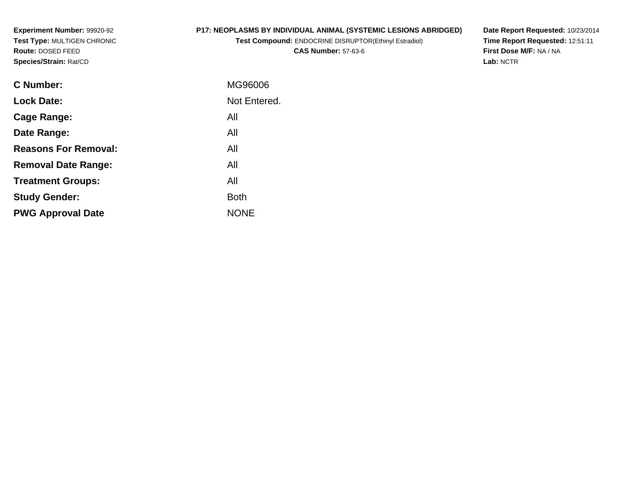**Experiment Number:** 99920-92 **Test Type:** MULTIGEN CHRONIC**Route:** DOSED FEED**Species/Strain:** Rat/CD

# **P17: NEOPLASMS BY INDIVIDUAL ANIMAL (SYSTEMIC LESIONS ABRIDGED)**

**Test Compound:** ENDOCRINE DISRUPTOR(Ethinyl Estradiol)**CAS Number:** 57-63-6

**Date Report Requested:** 10/23/2014 **Time Report Requested:** 12:51:11**First Dose M/F:** NA / NA**Lab:** NCTR

| C Number:                   | MG96006      |
|-----------------------------|--------------|
| <b>Lock Date:</b>           | Not Entered. |
| Cage Range:                 | All          |
| Date Range:                 | All          |
| <b>Reasons For Removal:</b> | All          |
| <b>Removal Date Range:</b>  | All          |
| <b>Treatment Groups:</b>    | All          |
| <b>Study Gender:</b>        | <b>Both</b>  |
| <b>PWG Approval Date</b>    | <b>NONE</b>  |
|                             |              |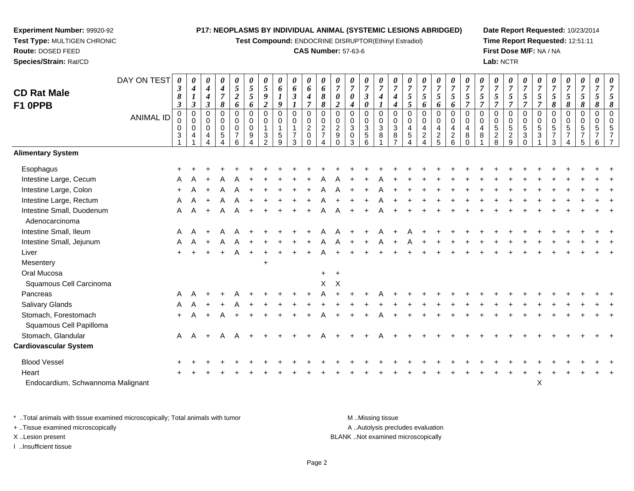**Test Compound:** ENDOCRINE DISRUPTOR(Ethinyl Estradiol)

#### **CAS Number:** 57-63-6

**Date Report Requested:** 10/23/2014**Time Report Requested:** 12:51:11**First Dose M/F:** NA / NA**Lab:** NCTR

|                                             | DAY ON TEST      | $\boldsymbol{\theta}$<br>$\boldsymbol{\beta}$ | 0<br>$\boldsymbol{4}$             | 0<br>$\boldsymbol{4}$     | 0<br>$\boldsymbol{4}$        | 0<br>$5\overline{)}$          | 0<br>$\sqrt{5}$  | 0<br>$\sqrt{5}$               | $\boldsymbol{\theta}$<br>6            | 0<br>6                          | 0<br>6                        | 0<br>6                           | 0<br>$\overline{7}$           | 0<br>$\boldsymbol{7}$       | 0<br>$\overline{7}$                  | 0<br>$\overline{7}$ | 0<br>$\overline{7}$   | 0<br>$\overline{7}$ | 0<br>$\overline{7}$ | 0<br>$\overline{7}$             | 0<br>$\overline{7}$              | $\overline{7}$             | 0<br>$\overline{7}$ | 0<br>$\boldsymbol{7}$ | 0<br>$\boldsymbol{7}$        | 0<br>$\overline{7}$           | 0<br>$\overline{7}$           | 0<br>$\overline{7}$ | 0<br>$\boldsymbol{7}$ | 0<br>$\overline{7}$          | 0<br>$\overline{7}$ | 0<br>$\overline{7}$ |
|---------------------------------------------|------------------|-----------------------------------------------|-----------------------------------|---------------------------|------------------------------|-------------------------------|------------------|-------------------------------|---------------------------------------|---------------------------------|-------------------------------|----------------------------------|-------------------------------|-----------------------------|--------------------------------------|---------------------|-----------------------|---------------------|---------------------|---------------------------------|----------------------------------|----------------------------|---------------------|-----------------------|------------------------------|-------------------------------|-------------------------------|---------------------|-----------------------|------------------------------|---------------------|---------------------|
| <b>CD Rat Male</b>                          |                  | 8                                             | $\bm{l}$                          | $\boldsymbol{4}$          | $\boldsymbol{7}$             | $\boldsymbol{2}$              | 5                | 9                             | $\boldsymbol{l}$                      | $\boldsymbol{\beta}$            | 4                             | 8                                | 0                             | $\boldsymbol{\theta}$       | $\boldsymbol{\beta}$                 | $\boldsymbol{4}$    | 4                     | 5                   | $\mathfrak{s}$      | $\mathfrak{s}$                  | 5                                | 5                          | 5<br>$\overline{7}$ | 5<br>$\overline{7}$   | 5<br>$\overline{7}$          | $\mathfrak{s}$                | $\mathfrak{s}$                | 5                   | $\mathfrak{s}$        | $\mathfrak{s}$               | $\mathfrak{s}$      | 5                   |
| F1 OPPB                                     |                  | $\boldsymbol{\beta}$<br>0                     | $\boldsymbol{\beta}$<br>$\pmb{0}$ | $\boldsymbol{\beta}$<br>0 | 8<br>$\mathbf 0$             | 6<br>0                        | 6<br>$\mathbf 0$ | $\overline{c}$<br>$\mathbf 0$ | 9<br>$\mathsf{O}\xspace$              | $\boldsymbol{l}$<br>$\mathbf 0$ | $\overline{7}$<br>$\mathbf 0$ | $\boldsymbol{\delta}$<br>0       | $\overline{2}$<br>$\mathbf 0$ | 4<br>$\mathbf 0$            | $\boldsymbol{\theta}$<br>$\mathbf 0$ | $\mathbf 0$         | $\boldsymbol{4}$<br>0 | 5<br>0              | 6<br>0              | 6<br>$\mathbf 0$                | 6<br>$\mathbf 0$                 | $\overline{7}$<br>$\Omega$ | $\Omega$            | $\pmb{0}$             | $\mathbf 0$                  | $\overline{7}$<br>$\mathbf 0$ | $\overline{7}$<br>$\mathbf 0$ | 8<br>0              | 8<br>0                | 8<br>$\mathbf 0$             | 8<br>$\mathbf 0$    | 8<br>$\Omega$       |
|                                             | <b>ANIMAL ID</b> |                                               | $\pmb{0}$                         | 0                         | $\pmb{0}$                    | 0                             | $\mathbf 0$      | $\mathbf 0$                   | $\mathbf 0$                           | $\pmb{0}$                       | 0                             | $\pmb{0}$                        | 0                             | 0                           |                                      | $\pmb{0}$           | 0                     | 0                   | 0                   | $\pmb{0}$                       | 0                                | $\mathbf 0$                | 0                   | $\pmb{0}$             | $\pmb{0}$                    | $\mathbf 0$                   | $\mathbf 0$                   | 0                   | 0                     | $\mathbf 0$                  | $\mathbf 0$         | $\Omega$            |
|                                             |                  | $\mathbf 0$<br>3                              | $\mathsf{O}\xspace$<br>4          | $\mathbf 0$<br>4          | $\overline{0}$<br>$\sqrt{5}$ | $\mathbf 0$<br>$\overline{7}$ | $\mathbf 0$<br>9 | 3                             | $\overline{\mathbf{1}}$<br>$\sqrt{5}$ | $\mathbf{1}$<br>$\overline{7}$  | $\overline{2}$<br>$\mathbf 0$ | $\overline{2}$<br>$\overline{7}$ | $\frac{2}{9}$                 | $\mathbf{3}$<br>$\mathbf 0$ | 0<br>3<br>5<br>6                     | $\mathbf{3}$<br>8   | $\mathfrak{S}$<br>8   | $\overline{4}$<br>5 | 4<br>$\mathbf 2$    | $\overline{4}$<br>$\frac{2}{5}$ | $\overline{4}$<br>$\overline{c}$ | $\overline{4}$<br>8        | 4<br>8              | $\frac{5}{2}$         | $\,$ 5 $\,$<br>$\frac{2}{9}$ | $\sqrt{5}$<br>$\mathbf{3}$    | 5<br>$\mathbf{3}$             | 5<br>$\overline{7}$ | 5<br>$\overline{7}$   | $\sqrt{5}$<br>$\overline{7}$ | 5<br>7              | 5<br>$\overline{7}$ |
|                                             |                  |                                               |                                   |                           |                              | 6                             |                  | $\mathcal{D}$                 | 9                                     | 3                               | $\Omega$                      |                                  | $\Omega$                      | 3                           |                                      |                     |                       |                     | $\overline{4}$      |                                 | 6                                | $\Omega$                   |                     |                       |                              | $\Omega$                      |                               | 3                   |                       | 5                            | 6                   | $\overline{7}$      |
| <b>Alimentary System</b>                    |                  |                                               |                                   |                           |                              |                               |                  |                               |                                       |                                 |                               |                                  |                               |                             |                                      |                     |                       |                     |                     |                                 |                                  |                            |                     |                       |                              |                               |                               |                     |                       |                              |                     |                     |
| Esophagus                                   |                  |                                               |                                   |                           |                              |                               |                  |                               |                                       |                                 |                               |                                  |                               |                             |                                      |                     |                       |                     |                     |                                 |                                  |                            |                     |                       |                              |                               |                               |                     |                       |                              |                     |                     |
| Intestine Large, Cecum                      |                  |                                               |                                   |                           |                              |                               |                  |                               |                                       |                                 |                               |                                  |                               |                             |                                      |                     |                       |                     |                     |                                 |                                  |                            |                     |                       |                              |                               |                               |                     |                       |                              |                     |                     |
| Intestine Large, Colon                      |                  |                                               |                                   |                           |                              |                               |                  |                               |                                       |                                 |                               |                                  |                               |                             |                                      |                     |                       |                     |                     |                                 |                                  |                            |                     |                       |                              |                               |                               |                     |                       |                              |                     |                     |
| Intestine Large, Rectum                     |                  | A                                             | A                                 | $+$                       | A                            | A                             |                  |                               |                                       |                                 |                               |                                  |                               |                             |                                      |                     |                       |                     |                     |                                 |                                  |                            |                     |                       |                              |                               |                               |                     |                       |                              |                     |                     |
| Intestine Small, Duodenum<br>Adenocarcinoma |                  | A                                             | A                                 | $\ddot{}$                 |                              | Α                             |                  |                               |                                       |                                 |                               |                                  |                               |                             |                                      |                     |                       |                     |                     |                                 |                                  |                            |                     |                       |                              |                               |                               |                     |                       |                              |                     |                     |
| Intestine Small, Ileum                      |                  | A                                             |                                   |                           |                              |                               |                  |                               |                                       |                                 |                               |                                  |                               |                             |                                      |                     |                       |                     |                     |                                 |                                  |                            |                     |                       |                              |                               |                               |                     |                       |                              |                     |                     |
| Intestine Small, Jejunum                    |                  | A                                             | A                                 | $+$                       | A                            | A                             |                  |                               |                                       |                                 |                               |                                  |                               |                             |                                      |                     |                       |                     |                     |                                 |                                  |                            |                     |                       |                              |                               |                               |                     |                       |                              |                     |                     |
| Liver                                       |                  |                                               |                                   |                           |                              | A                             |                  |                               |                                       |                                 |                               |                                  |                               |                             |                                      |                     |                       |                     |                     |                                 |                                  |                            |                     |                       |                              |                               |                               |                     |                       |                              |                     |                     |
| Mesentery                                   |                  |                                               |                                   |                           |                              |                               |                  | $\ddot{}$                     |                                       |                                 |                               |                                  |                               |                             |                                      |                     |                       |                     |                     |                                 |                                  |                            |                     |                       |                              |                               |                               |                     |                       |                              |                     |                     |
| Oral Mucosa                                 |                  |                                               |                                   |                           |                              |                               |                  |                               |                                       |                                 |                               | $+$                              | $+$                           |                             |                                      |                     |                       |                     |                     |                                 |                                  |                            |                     |                       |                              |                               |                               |                     |                       |                              |                     |                     |
| Squamous Cell Carcinoma                     |                  |                                               |                                   |                           |                              |                               |                  |                               |                                       |                                 |                               | X                                | $\mathsf{X}$                  |                             |                                      |                     |                       |                     |                     |                                 |                                  |                            |                     |                       |                              |                               |                               |                     |                       |                              |                     |                     |
| Pancreas                                    |                  | A                                             |                                   |                           |                              |                               |                  |                               |                                       |                                 |                               |                                  |                               |                             |                                      |                     |                       |                     |                     |                                 |                                  |                            |                     |                       |                              |                               |                               |                     |                       |                              |                     |                     |
| Salivary Glands                             |                  |                                               |                                   |                           |                              |                               |                  |                               |                                       |                                 |                               |                                  |                               |                             |                                      |                     |                       |                     |                     |                                 |                                  |                            |                     |                       |                              |                               |                               |                     |                       |                              |                     |                     |
| Stomach, Forestomach                        |                  | $+$                                           |                                   | $\ddot{+}$                | A                            |                               |                  |                               |                                       |                                 |                               |                                  |                               |                             |                                      |                     |                       |                     |                     |                                 |                                  |                            |                     |                       |                              |                               |                               |                     |                       |                              |                     |                     |
| Squamous Cell Papilloma                     |                  |                                               |                                   |                           |                              |                               |                  |                               |                                       |                                 |                               |                                  |                               |                             |                                      |                     |                       |                     |                     |                                 |                                  |                            |                     |                       |                              |                               |                               |                     |                       |                              |                     |                     |
| Stomach, Glandular                          |                  | A                                             | $\overline{A}$                    | $\ddot{}$                 | A                            | A                             |                  |                               |                                       |                                 |                               |                                  |                               |                             |                                      |                     |                       |                     |                     |                                 |                                  |                            |                     |                       |                              |                               |                               |                     |                       |                              |                     |                     |
| <b>Cardiovascular System</b>                |                  |                                               |                                   |                           |                              |                               |                  |                               |                                       |                                 |                               |                                  |                               |                             |                                      |                     |                       |                     |                     |                                 |                                  |                            |                     |                       |                              |                               |                               |                     |                       |                              |                     |                     |
| <b>Blood Vessel</b>                         |                  |                                               |                                   |                           |                              |                               |                  |                               |                                       |                                 |                               |                                  |                               |                             |                                      |                     |                       |                     |                     |                                 |                                  |                            |                     |                       |                              |                               |                               |                     |                       |                              |                     |                     |
| Heart                                       |                  |                                               |                                   |                           |                              |                               |                  |                               |                                       |                                 |                               |                                  |                               |                             |                                      |                     |                       |                     |                     |                                 |                                  |                            |                     |                       |                              |                               |                               |                     |                       |                              |                     |                     |
| Endocardium, Schwannoma Malignant           |                  |                                               |                                   |                           |                              |                               |                  |                               |                                       |                                 |                               |                                  |                               |                             |                                      |                     |                       |                     |                     |                                 |                                  |                            |                     |                       |                              |                               | X                             |                     |                       |                              |                     |                     |

\* ..Total animals with tissue examined microscopically; Total animals with tumor **M** . Missing tissue M ..Missing tissue A ..Autolysis precludes evaluation + ..Tissue examined microscopically X ..Lesion present BLANK ..Not examined microscopicallyI ..Insufficient tissue

**Experiment Number:** 99920-92**Test Type:** MULTIGEN CHRONIC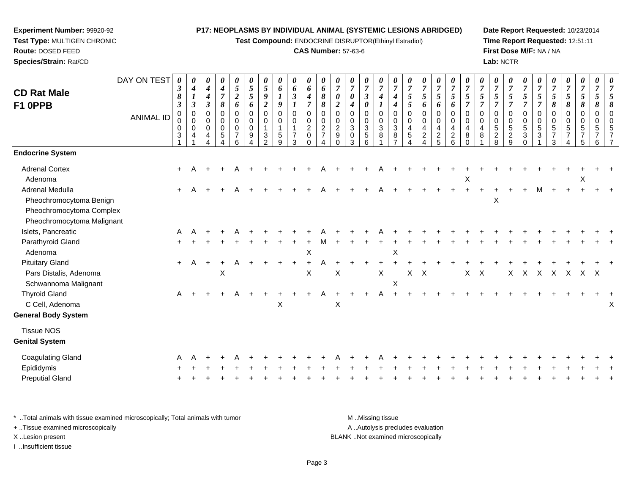**Test Compound:** ENDOCRINE DISRUPTOR(Ethinyl Estradiol)

#### **CAS Number:** 57-63-6

**Date Report Requested:** 10/23/2014**Time Report Requested:** 12:51:11**First Dose M/F:** NA / NA**Lab:** NCTR

| DAY ON TEST<br><b>ANIMAL ID</b> | 0<br>$\boldsymbol{\beta}$<br>8<br>$\mathfrak{z}$<br>0<br>0<br>0<br>3 | 0<br>$\boldsymbol{4}$<br>$\boldsymbol{l}$<br>$\mathfrak{z}$<br>$\pmb{0}$<br>$\mathbf 0$<br>$\mathbf 0$<br>$\overline{4}$ | 0<br>4<br>4<br>$\boldsymbol{\beta}$<br>0<br>0<br>$\mathbf 0$<br>4 | $\pmb{\theta}$<br>$\boldsymbol{4}$<br>$\overline{7}$<br>8<br>$\mathbf 0$<br>$\mathbf 0$<br>$\pmb{0}$<br>5 | $\pmb{\theta}$<br>$\sqrt{5}$<br>$\boldsymbol{2}$<br>6<br>$\mathbf 0$<br>$\mathbf 0$<br>$\pmb{0}$<br>$\overline{7}$<br>6 | $\pmb{\theta}$<br>$\sqrt{5}$<br>$\mathfrak{s}$<br>6<br>0<br>$\mathbf 0$<br>$\mathbf 0$<br>9 | 0<br>5<br>9<br>$\boldsymbol{2}$<br>$\mathbf 0$<br>$\mathbf 0$<br>$\mathbf{1}$<br>3<br>$\mathcal{P}$ | 0<br>6<br>9<br>0<br>$\Omega$<br>1<br>5<br>9 | $\pmb{\theta}$<br>6<br>$\boldsymbol{\beta}$<br>$\pmb{0}$<br>0<br>$\mathbf{1}$<br>$\overline{7}$<br>3 | 0<br>6<br>$\boldsymbol{4}$<br>$\overline{7}$<br>$\pmb{0}$<br>$\pmb{0}$<br>$\overline{c}$<br>0<br>$\mathbf 0$ | 0<br>6<br>$\pmb{8}$<br>$\pmb{8}$<br>0<br>$\mathbf 0$<br>$\overline{2}$<br>$\overline{7}$<br>4 | $\boldsymbol{\theta}$<br>$\overline{7}$<br>$\boldsymbol{\theta}$<br>$\boldsymbol{2}$<br>$\mathbf 0$<br>$\mathbf 0$<br>$\overline{c}$<br>9<br>$\Omega$ | 0<br>$\overline{7}$<br>0<br>$\boldsymbol{4}$<br>$\mathbf 0$<br>$\mathbf 0$<br>$\mathbf{3}$<br>$\mathbf 0$<br>3 | $\pmb{\theta}$<br>$\boldsymbol{7}$<br>$\boldsymbol{\beta}$<br>$\boldsymbol{\theta}$<br>$\pmb{0}$<br>0<br>$\sqrt{3}$<br>5<br>6 | 0<br>$\overline{7}$<br>4<br>$\pmb{0}$<br>$\pmb{0}$<br>$\sqrt{3}$<br>8 | 0<br>$\overline{7}$<br>4<br>4<br>0<br>$\mathbf 0$<br>$\mathbf{3}$<br>8<br>$\overline{ }$ | 0<br>$\overline{7}$<br>$\mathfrak{s}$<br>5<br>$\mathbf 0$<br>$\Omega$<br>$\overline{4}$<br>5 | 0<br>$\overline{7}$<br>5<br>6<br>0<br>$\mathbf 0$<br>$\overline{4}$<br>$\overline{2}$ | $\pmb{\theta}$<br>$\boldsymbol{7}$<br>$\mathfrak{H}$<br>6<br>$\,0\,$<br>$\pmb{0}$<br>$\overline{4}$<br>$\frac{2}{5}$ | $\pmb{\theta}$<br>$\overline{7}$<br>$\sqrt{5}$<br>6<br>$\pmb{0}$<br>$\mathbf 0$<br>$\overline{4}$<br>$\frac{2}{6}$ | $\pmb{\theta}$<br>$\overline{7}$<br>$\mathfrak{s}$<br>$\overline{7}$<br>0<br>$\mathbf 0$<br>$\overline{4}$<br>8<br>$\Omega$ | $\boldsymbol{\theta}$<br>$\overline{7}$<br>$\mathfrak{s}$<br>$\overline{7}$<br>$\mathbf 0$<br>$\Omega$<br>4<br>8 | 0<br>$\overline{7}$<br>5<br>$\overline{7}$<br>0<br>$\mathbf 0$<br>5<br>$\overline{a}$<br>8 | $\pmb{\theta}$<br>$\boldsymbol{7}$<br>$\sqrt{5}$<br>$\overline{7}$<br>$\,0\,$<br>$\pmb{0}$<br>$\sqrt{5}$<br>$\overline{\mathbf{c}}$<br>9 | $\pmb{\theta}$<br>$\overline{7}$<br>$\mathfrak{s}$<br>$\overline{7}$<br>$\mathbf 0$<br>$\mathbf 0$<br>$\sqrt{5}$<br>$\mathbf{3}$<br>$\Omega$ | 0<br>$\boldsymbol{7}$<br>$\mathfrak{s}$<br>$\overline{7}$<br>0<br>0<br>5<br>3 | 0<br>$\overline{7}$<br>5<br>8<br>$\mathbf 0$<br>$\Omega$<br>5<br>7<br>3 | 0<br>$\overline{7}$<br>5<br>8<br>0<br>$\mathbf 0$<br>5 | $\pmb{\theta}$<br>$\boldsymbol{7}$<br>$\sqrt{5}$<br>8<br>0<br>$\pmb{0}$<br>$\sqrt{5}$<br>5 | 0<br>$\overline{7}$<br>5<br>8<br>$\pmb{0}$<br>$\mathbf 0$<br>5<br>6 |     |
|---------------------------------|----------------------------------------------------------------------|--------------------------------------------------------------------------------------------------------------------------|-------------------------------------------------------------------|-----------------------------------------------------------------------------------------------------------|-------------------------------------------------------------------------------------------------------------------------|---------------------------------------------------------------------------------------------|-----------------------------------------------------------------------------------------------------|---------------------------------------------|------------------------------------------------------------------------------------------------------|--------------------------------------------------------------------------------------------------------------|-----------------------------------------------------------------------------------------------|-------------------------------------------------------------------------------------------------------------------------------------------------------|----------------------------------------------------------------------------------------------------------------|-------------------------------------------------------------------------------------------------------------------------------|-----------------------------------------------------------------------|------------------------------------------------------------------------------------------|----------------------------------------------------------------------------------------------|---------------------------------------------------------------------------------------|----------------------------------------------------------------------------------------------------------------------|--------------------------------------------------------------------------------------------------------------------|-----------------------------------------------------------------------------------------------------------------------------|------------------------------------------------------------------------------------------------------------------|--------------------------------------------------------------------------------------------|------------------------------------------------------------------------------------------------------------------------------------------|----------------------------------------------------------------------------------------------------------------------------------------------|-------------------------------------------------------------------------------|-------------------------------------------------------------------------|--------------------------------------------------------|--------------------------------------------------------------------------------------------|---------------------------------------------------------------------|-----|
|                                 |                                                                      |                                                                                                                          |                                                                   |                                                                                                           |                                                                                                                         |                                                                                             |                                                                                                     |                                             |                                                                                                      |                                                                                                              |                                                                                               |                                                                                                                                                       |                                                                                                                |                                                                                                                               |                                                                       |                                                                                          |                                                                                              |                                                                                       |                                                                                                                      |                                                                                                                    |                                                                                                                             |                                                                                                                  |                                                                                            |                                                                                                                                          |                                                                                                                                              |                                                                               |                                                                         |                                                        |                                                                                            |                                                                     |     |
|                                 |                                                                      |                                                                                                                          |                                                                   |                                                                                                           |                                                                                                                         |                                                                                             |                                                                                                     |                                             |                                                                                                      |                                                                                                              |                                                                                               |                                                                                                                                                       |                                                                                                                |                                                                                                                               |                                                                       |                                                                                          |                                                                                              |                                                                                       |                                                                                                                      |                                                                                                                    | X                                                                                                                           |                                                                                                                  |                                                                                            |                                                                                                                                          |                                                                                                                                              |                                                                               |                                                                         |                                                        | X                                                                                          |                                                                     |     |
| Pheochromocytoma Malignant      | $\ddot{+}$                                                           |                                                                                                                          |                                                                   |                                                                                                           |                                                                                                                         |                                                                                             |                                                                                                     |                                             |                                                                                                      |                                                                                                              |                                                                                               |                                                                                                                                                       |                                                                                                                |                                                                                                                               |                                                                       |                                                                                          |                                                                                              |                                                                                       |                                                                                                                      |                                                                                                                    |                                                                                                                             |                                                                                                                  | X                                                                                          |                                                                                                                                          |                                                                                                                                              | M                                                                             |                                                                         |                                                        |                                                                                            |                                                                     |     |
|                                 | A                                                                    |                                                                                                                          |                                                                   |                                                                                                           |                                                                                                                         |                                                                                             |                                                                                                     |                                             |                                                                                                      |                                                                                                              |                                                                                               |                                                                                                                                                       |                                                                                                                |                                                                                                                               |                                                                       |                                                                                          |                                                                                              |                                                                                       |                                                                                                                      |                                                                                                                    |                                                                                                                             |                                                                                                                  |                                                                                            |                                                                                                                                          |                                                                                                                                              |                                                                               |                                                                         |                                                        |                                                                                            |                                                                     |     |
|                                 |                                                                      |                                                                                                                          |                                                                   |                                                                                                           |                                                                                                                         |                                                                                             |                                                                                                     |                                             |                                                                                                      |                                                                                                              |                                                                                               |                                                                                                                                                       |                                                                                                                |                                                                                                                               |                                                                       |                                                                                          |                                                                                              |                                                                                       |                                                                                                                      |                                                                                                                    |                                                                                                                             |                                                                                                                  |                                                                                            |                                                                                                                                          |                                                                                                                                              |                                                                               |                                                                         |                                                        |                                                                                            |                                                                     |     |
|                                 |                                                                      |                                                                                                                          |                                                                   |                                                                                                           |                                                                                                                         |                                                                                             |                                                                                                     |                                             |                                                                                                      |                                                                                                              |                                                                                               |                                                                                                                                                       |                                                                                                                |                                                                                                                               |                                                                       |                                                                                          |                                                                                              |                                                                                       |                                                                                                                      |                                                                                                                    |                                                                                                                             |                                                                                                                  |                                                                                            |                                                                                                                                          |                                                                                                                                              |                                                                               |                                                                         |                                                        |                                                                                            |                                                                     |     |
|                                 | $+$                                                                  | A                                                                                                                        | $\overline{+}$                                                    |                                                                                                           |                                                                                                                         |                                                                                             |                                                                                                     |                                             |                                                                                                      | $\ddot{}$                                                                                                    |                                                                                               |                                                                                                                                                       |                                                                                                                |                                                                                                                               |                                                                       |                                                                                          |                                                                                              |                                                                                       |                                                                                                                      |                                                                                                                    |                                                                                                                             |                                                                                                                  |                                                                                            |                                                                                                                                          |                                                                                                                                              |                                                                               |                                                                         |                                                        |                                                                                            |                                                                     |     |
|                                 |                                                                      |                                                                                                                          |                                                                   |                                                                                                           |                                                                                                                         |                                                                                             |                                                                                                     |                                             |                                                                                                      |                                                                                                              |                                                                                               |                                                                                                                                                       |                                                                                                                |                                                                                                                               |                                                                       |                                                                                          |                                                                                              |                                                                                       |                                                                                                                      |                                                                                                                    |                                                                                                                             |                                                                                                                  |                                                                                            |                                                                                                                                          |                                                                                                                                              |                                                                               |                                                                         |                                                        |                                                                                            |                                                                     |     |
|                                 | A                                                                    |                                                                                                                          |                                                                   | $\ddot{}$                                                                                                 | A                                                                                                                       |                                                                                             |                                                                                                     | Χ                                           |                                                                                                      |                                                                                                              | Α                                                                                             | X                                                                                                                                                     |                                                                                                                |                                                                                                                               | A                                                                     |                                                                                          |                                                                                              |                                                                                       |                                                                                                                      |                                                                                                                    |                                                                                                                             |                                                                                                                  |                                                                                            |                                                                                                                                          |                                                                                                                                              |                                                                               |                                                                         |                                                        |                                                                                            |                                                                     | х   |
|                                 |                                                                      |                                                                                                                          |                                                                   |                                                                                                           |                                                                                                                         |                                                                                             |                                                                                                     |                                             |                                                                                                      |                                                                                                              |                                                                                               |                                                                                                                                                       |                                                                                                                |                                                                                                                               |                                                                       |                                                                                          |                                                                                              |                                                                                       |                                                                                                                      |                                                                                                                    |                                                                                                                             |                                                                                                                  |                                                                                            |                                                                                                                                          |                                                                                                                                              |                                                                               |                                                                         |                                                        |                                                                                            |                                                                     |     |
|                                 |                                                                      |                                                                                                                          |                                                                   |                                                                                                           |                                                                                                                         |                                                                                             |                                                                                                     |                                             |                                                                                                      |                                                                                                              |                                                                                               |                                                                                                                                                       |                                                                                                                |                                                                                                                               |                                                                       |                                                                                          |                                                                                              |                                                                                       |                                                                                                                      |                                                                                                                    |                                                                                                                             |                                                                                                                  |                                                                                            |                                                                                                                                          |                                                                                                                                              |                                                                               |                                                                         |                                                        |                                                                                            |                                                                     |     |
|                                 |                                                                      |                                                                                                                          |                                                                   |                                                                                                           |                                                                                                                         |                                                                                             |                                                                                                     |                                             |                                                                                                      |                                                                                                              |                                                                                               |                                                                                                                                                       |                                                                                                                |                                                                                                                               |                                                                       |                                                                                          |                                                                                              |                                                                                       |                                                                                                                      |                                                                                                                    |                                                                                                                             |                                                                                                                  |                                                                                            |                                                                                                                                          |                                                                                                                                              |                                                                               |                                                                         |                                                        |                                                                                            |                                                                     |     |
|                                 |                                                                      |                                                                                                                          |                                                                   |                                                                                                           |                                                                                                                         |                                                                                             |                                                                                                     |                                             |                                                                                                      |                                                                                                              |                                                                                               |                                                                                                                                                       |                                                                                                                |                                                                                                                               |                                                                       |                                                                                          |                                                                                              |                                                                                       |                                                                                                                      |                                                                                                                    |                                                                                                                             |                                                                                                                  |                                                                                            |                                                                                                                                          |                                                                                                                                              |                                                                               |                                                                         |                                                        |                                                                                            |                                                                     |     |
|                                 |                                                                      |                                                                                                                          |                                                                   |                                                                                                           |                                                                                                                         |                                                                                             |                                                                                                     |                                             |                                                                                                      |                                                                                                              |                                                                                               |                                                                                                                                                       |                                                                                                                |                                                                                                                               |                                                                       |                                                                                          |                                                                                              |                                                                                       |                                                                                                                      |                                                                                                                    |                                                                                                                             |                                                                                                                  |                                                                                            |                                                                                                                                          |                                                                                                                                              |                                                                               |                                                                         |                                                        |                                                                                            |                                                                     |     |
|                                 |                                                                      | $\ddot{}$                                                                                                                | A                                                                 |                                                                                                           | X                                                                                                                       |                                                                                             |                                                                                                     |                                             |                                                                                                      |                                                                                                              | $\mathsf X$<br>X                                                                              |                                                                                                                                                       | $\boldsymbol{\mathsf{X}}$                                                                                      |                                                                                                                               |                                                                       | $\mathsf X$                                                                              | $\sf X$<br>X                                                                                 | X                                                                                     | $\boldsymbol{\mathsf{X}}$                                                                                            |                                                                                                                    |                                                                                                                             | X                                                                                                                | X                                                                                          |                                                                                                                                          | X                                                                                                                                            | $\times$                                                                      | X                                                                       | X                                                      | X                                                                                          |                                                                     | X X |

\* ..Total animals with tissue examined microscopically; Total animals with tumor **M** . Missing tissue M ..Missing tissue A ..Autolysis precludes evaluation + ..Tissue examined microscopically X ..Lesion present BLANK ..Not examined microscopicallyI ..Insufficient tissue

**Experiment Number:** 99920-92**Test Type:** MULTIGEN CHRONIC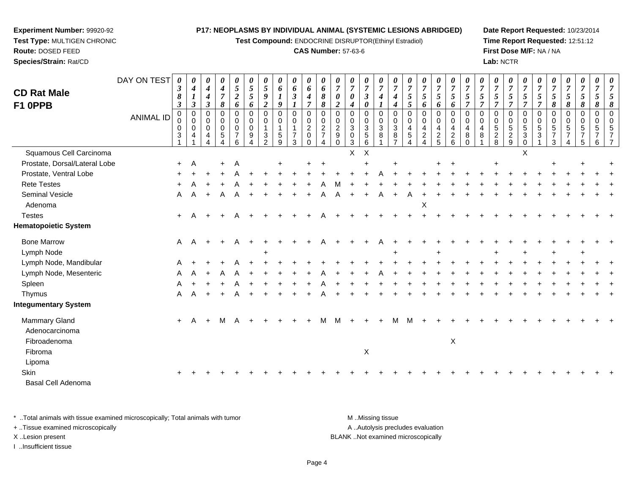**Test Compound:** ENDOCRINE DISRUPTOR(Ethinyl Estradiol)

## **CAS Number:** 57-63-6

**Date Report Requested:** 10/23/2014**Time Report Requested:** 12:51:12**First Dose M/F:** NA / NA**Lab:** NCTR

| <b>CD Rat Male</b><br>F1 0PPB                          | DAY ON TEST      | 0<br>$\boldsymbol{\beta}$<br>8<br>$\boldsymbol{\beta}$ | $\boldsymbol{\theta}$<br>$\boldsymbol{4}$<br>$\boldsymbol{l}$<br>$\mathfrak{z}$ | 0<br>$\boldsymbol{4}$<br>$\boldsymbol{4}$<br>$\boldsymbol{\beta}$ | 0<br>$\boldsymbol{4}$<br>$\boldsymbol{7}$<br>8 | 0<br>$\mathfrak{s}$<br>$\boldsymbol{2}$<br>6 | 0<br>5<br>5<br>6                | 0<br>$\mathfrak{s}$<br>9<br>$\boldsymbol{2}$                                             | 0<br>6<br>1<br>9                          | 0<br>6<br>$\boldsymbol{\beta}$                                    | 0<br>6<br>$\boldsymbol{4}$<br>$\overline{7}$ | 0<br>6<br>8<br>8                                                                   | 0<br>$\overline{7}$<br>$\boldsymbol{\theta}$<br>$\boldsymbol{2}$   | 0<br>$\overline{7}$<br>0<br>4                       | 0<br>$\overline{7}$<br>$\boldsymbol{\beta}$<br>0     | 0<br>$\overline{7}$<br>4 | $\boldsymbol{\theta}$<br>$\overline{7}$<br>$\boldsymbol{4}$<br>$\boldsymbol{4}$ | 0<br>$\overline{7}$<br>5<br>$\mathfrak{s}$    | 0<br>$\overline{7}$<br>5<br>6                   | 0<br>$\boldsymbol{7}$<br>5<br>6              | 0<br>$\overline{7}$<br>5<br>6                                  | 0<br>$\overline{7}$<br>5<br>$\overline{7}$ | 0<br>$\overline{7}$<br>5<br>$\overline{7}$     | 0<br>$\overline{7}$<br>5<br>$\overline{7}$ | 0<br>$\boldsymbol{7}$<br>5<br>$\overline{7}$              | 0<br>$\overline{7}$<br>5<br>$\overline{7}$                           | $\boldsymbol{\theta}$<br>$\overline{7}$<br>$\sqrt{5}$<br>$\overline{7}$ | 0<br>$\overline{7}$<br>$\mathfrak{s}$<br>$\pmb{8}$              | 0<br>$\boldsymbol{7}$<br>$\mathfrak{F}$<br>8     | 0<br>$\boldsymbol{7}$<br>$\mathfrak{s}$<br>8 | 0<br>$\overline{7}$<br>5<br>8     | 8        |
|--------------------------------------------------------|------------------|--------------------------------------------------------|---------------------------------------------------------------------------------|-------------------------------------------------------------------|------------------------------------------------|----------------------------------------------|---------------------------------|------------------------------------------------------------------------------------------|-------------------------------------------|-------------------------------------------------------------------|----------------------------------------------|------------------------------------------------------------------------------------|--------------------------------------------------------------------|-----------------------------------------------------|------------------------------------------------------|--------------------------|---------------------------------------------------------------------------------|-----------------------------------------------|-------------------------------------------------|----------------------------------------------|----------------------------------------------------------------|--------------------------------------------|------------------------------------------------|--------------------------------------------|-----------------------------------------------------------|----------------------------------------------------------------------|-------------------------------------------------------------------------|-----------------------------------------------------------------|--------------------------------------------------|----------------------------------------------|-----------------------------------|----------|
|                                                        | <b>ANIMAL ID</b> | $\mathbf 0$<br>0<br>0<br>3                             | $\pmb{0}$<br>$\mathbf 0$<br>$\mathbf 0$<br>4                                    | 0<br>0<br>$\mathbf 0$<br>4<br>4                                   | 0<br>0<br>0<br>5<br>4                          | $\pmb{0}$<br>0<br>0<br>$\overline{7}$<br>6   | $\mathbf 0$<br>0<br>0<br>9<br>4 | $\mathbf 0$<br>$\mathbf 0$<br>$\mathbf 1$<br>$\ensuremath{\mathsf{3}}$<br>$\overline{2}$ | 0<br>0<br>$\mathbf{1}$<br>$\sqrt{5}$<br>9 | $\mathbf 0$<br>$\mathbf 0$<br>$\mathbf{1}$<br>$\overline{7}$<br>3 | 0<br>0<br>$\overline{c}$<br>0<br>$\mathbf 0$ | $\mathbf 0$<br>$\mathbf 0$<br>$\boldsymbol{2}$<br>$\overline{7}$<br>$\overline{4}$ | $\mathbf 0$<br>0<br>$\overline{2}$<br>$\boldsymbol{9}$<br>$\Omega$ | 0<br>0<br>$\sqrt{3}$<br>$\mathbf 0$<br>$\mathbf{3}$ | $\mathbf 0$<br>$\mathbf 0$<br>$\mathbf{3}$<br>5<br>6 | 0<br>0<br>3<br>8         | $\mathbf 0$<br>0<br>$\ensuremath{\mathsf{3}}$<br>$\bf 8$<br>$\overline{7}$      | $\mathbf 0$<br>$\mathbf 0$<br>4<br>$\sqrt{5}$ | 0<br>0<br>$\overline{4}$<br>$\overline{2}$<br>4 | $\pmb{0}$<br>$\mathbf 0$<br>4<br>$rac{2}{5}$ | 0<br>$\mathbf 0$<br>4<br>$\begin{array}{c} 2 \\ 6 \end{array}$ | $\mathbf 0$<br>0<br>4<br>8<br>$\mathbf 0$  | $\mathbf 0$<br>$\Omega$<br>$\overline{4}$<br>8 | 0<br>0<br>5<br>$\overline{c}$<br>8         | $\mathbf 0$<br>$\mathbf 0$<br>$\sqrt{5}$<br>$\frac{2}{9}$ | $\mathbf 0$<br>$\Omega$<br>$\sqrt{5}$<br>$\mathbf{3}$<br>$\mathbf 0$ | $\mathbf 0$<br>0<br>$\,$ 5 $\,$<br>$\ensuremath{\mathsf{3}}$            | $\mathbf 0$<br>$\mathbf 0$<br>$\sqrt{5}$<br>$\overline{7}$<br>3 | 0<br>0<br>$5\phantom{.0}$<br>$\overline{7}$<br>4 | $\mathbf 0$<br>$\mathbf 0$<br>5<br>7<br>5    | $\mathbf 0$<br>$\Omega$<br>5<br>6 | $\Omega$ |
| Squamous Cell Carcinoma                                |                  |                                                        |                                                                                 |                                                                   |                                                |                                              |                                 |                                                                                          |                                           |                                                                   |                                              |                                                                                    |                                                                    | $\mathsf{X}$                                        | $\times$                                             |                          |                                                                                 |                                               |                                                 |                                              |                                                                |                                            |                                                |                                            |                                                           | $\sf X$                                                              |                                                                         |                                                                 |                                                  |                                              |                                   |          |
| Prostate, Dorsal/Lateral Lobe                          |                  | $+$                                                    | Α                                                                               |                                                                   |                                                | Α                                            |                                 |                                                                                          |                                           |                                                                   |                                              |                                                                                    |                                                                    |                                                     |                                                      |                          |                                                                                 |                                               |                                                 |                                              |                                                                |                                            |                                                |                                            |                                                           |                                                                      |                                                                         |                                                                 |                                                  |                                              |                                   |          |
| Prostate, Ventral Lobe                                 |                  |                                                        |                                                                                 |                                                                   |                                                |                                              |                                 |                                                                                          |                                           |                                                                   |                                              |                                                                                    |                                                                    |                                                     |                                                      |                          |                                                                                 |                                               |                                                 |                                              |                                                                |                                            |                                                |                                            |                                                           |                                                                      |                                                                         |                                                                 |                                                  |                                              |                                   |          |
| <b>Rete Testes</b>                                     |                  |                                                        |                                                                                 |                                                                   |                                                |                                              |                                 |                                                                                          |                                           |                                                                   |                                              |                                                                                    |                                                                    |                                                     |                                                      |                          |                                                                                 |                                               |                                                 |                                              |                                                                |                                            |                                                |                                            |                                                           |                                                                      |                                                                         |                                                                 |                                                  |                                              |                                   |          |
| Seminal Vesicle                                        |                  | A                                                      | A                                                                               | $\ddot{}$                                                         |                                                |                                              |                                 |                                                                                          |                                           |                                                                   |                                              |                                                                                    |                                                                    |                                                     |                                                      | Α                        |                                                                                 |                                               |                                                 |                                              |                                                                |                                            |                                                |                                            |                                                           |                                                                      |                                                                         |                                                                 |                                                  |                                              |                                   |          |
| Adenoma                                                |                  |                                                        |                                                                                 |                                                                   |                                                |                                              |                                 |                                                                                          |                                           |                                                                   |                                              |                                                                                    |                                                                    |                                                     |                                                      |                          |                                                                                 |                                               | X                                               |                                              |                                                                |                                            |                                                |                                            |                                                           |                                                                      |                                                                         |                                                                 |                                                  |                                              |                                   |          |
| <b>Testes</b>                                          |                  | $\ddot{}$                                              | A                                                                               |                                                                   |                                                |                                              |                                 |                                                                                          |                                           |                                                                   |                                              |                                                                                    |                                                                    |                                                     |                                                      |                          |                                                                                 |                                               |                                                 |                                              |                                                                |                                            |                                                |                                            |                                                           |                                                                      |                                                                         |                                                                 |                                                  |                                              |                                   |          |
| <b>Hematopoietic System</b>                            |                  |                                                        |                                                                                 |                                                                   |                                                |                                              |                                 |                                                                                          |                                           |                                                                   |                                              |                                                                                    |                                                                    |                                                     |                                                      |                          |                                                                                 |                                               |                                                 |                                              |                                                                |                                            |                                                |                                            |                                                           |                                                                      |                                                                         |                                                                 |                                                  |                                              |                                   |          |
| <b>Bone Marrow</b>                                     |                  | A                                                      | $\overline{A}$                                                                  |                                                                   |                                                |                                              |                                 |                                                                                          |                                           |                                                                   |                                              |                                                                                    |                                                                    |                                                     |                                                      |                          |                                                                                 |                                               |                                                 |                                              |                                                                |                                            |                                                |                                            |                                                           |                                                                      |                                                                         |                                                                 |                                                  |                                              |                                   |          |
| Lymph Node                                             |                  |                                                        |                                                                                 |                                                                   |                                                |                                              |                                 |                                                                                          |                                           |                                                                   |                                              |                                                                                    |                                                                    |                                                     |                                                      |                          |                                                                                 |                                               |                                                 |                                              |                                                                |                                            |                                                |                                            |                                                           |                                                                      |                                                                         |                                                                 |                                                  |                                              |                                   |          |
| Lymph Node, Mandibular                                 |                  |                                                        |                                                                                 |                                                                   |                                                |                                              |                                 |                                                                                          |                                           |                                                                   |                                              |                                                                                    |                                                                    |                                                     |                                                      |                          |                                                                                 |                                               |                                                 |                                              |                                                                |                                            |                                                |                                            |                                                           |                                                                      |                                                                         |                                                                 |                                                  |                                              |                                   |          |
| Lymph Node, Mesenteric                                 |                  | A                                                      |                                                                                 |                                                                   |                                                |                                              |                                 |                                                                                          |                                           |                                                                   |                                              |                                                                                    |                                                                    |                                                     |                                                      |                          |                                                                                 |                                               |                                                 |                                              |                                                                |                                            |                                                |                                            |                                                           |                                                                      |                                                                         |                                                                 |                                                  |                                              |                                   |          |
| Spleen                                                 |                  | A                                                      |                                                                                 |                                                                   |                                                |                                              |                                 |                                                                                          |                                           |                                                                   |                                              |                                                                                    |                                                                    |                                                     |                                                      |                          |                                                                                 |                                               |                                                 |                                              |                                                                |                                            |                                                |                                            |                                                           |                                                                      |                                                                         |                                                                 |                                                  |                                              |                                   |          |
| Thymus                                                 |                  | A                                                      |                                                                                 | $\ddot{}$                                                         |                                                |                                              |                                 |                                                                                          |                                           |                                                                   |                                              |                                                                                    |                                                                    |                                                     |                                                      |                          |                                                                                 |                                               |                                                 |                                              |                                                                |                                            |                                                |                                            |                                                           |                                                                      |                                                                         |                                                                 |                                                  |                                              |                                   |          |
| <b>Integumentary System</b>                            |                  |                                                        |                                                                                 |                                                                   |                                                |                                              |                                 |                                                                                          |                                           |                                                                   |                                              |                                                                                    |                                                                    |                                                     |                                                      |                          |                                                                                 |                                               |                                                 |                                              |                                                                |                                            |                                                |                                            |                                                           |                                                                      |                                                                         |                                                                 |                                                  |                                              |                                   |          |
| <b>Mammary Gland</b><br>Adenocarcinoma<br>Fibroadenoma |                  | $+$                                                    | $\overline{A}$                                                                  | $+$                                                               | M                                              | A                                            |                                 |                                                                                          |                                           |                                                                   |                                              |                                                                                    |                                                                    |                                                     |                                                      |                          | м                                                                               | м                                             |                                                 |                                              | X                                                              |                                            |                                                |                                            |                                                           |                                                                      |                                                                         |                                                                 |                                                  |                                              |                                   |          |
| Fibroma                                                |                  |                                                        |                                                                                 |                                                                   |                                                |                                              |                                 |                                                                                          |                                           |                                                                   |                                              |                                                                                    |                                                                    |                                                     | $\boldsymbol{\mathsf{X}}$                            |                          |                                                                                 |                                               |                                                 |                                              |                                                                |                                            |                                                |                                            |                                                           |                                                                      |                                                                         |                                                                 |                                                  |                                              |                                   |          |
| Lipoma                                                 |                  |                                                        |                                                                                 |                                                                   |                                                |                                              |                                 |                                                                                          |                                           |                                                                   |                                              |                                                                                    |                                                                    |                                                     |                                                      |                          |                                                                                 |                                               |                                                 |                                              |                                                                |                                            |                                                |                                            |                                                           |                                                                      |                                                                         |                                                                 |                                                  |                                              |                                   |          |
| Skin                                                   |                  |                                                        |                                                                                 |                                                                   |                                                |                                              |                                 |                                                                                          |                                           |                                                                   |                                              |                                                                                    |                                                                    |                                                     |                                                      |                          |                                                                                 |                                               |                                                 |                                              |                                                                |                                            |                                                |                                            |                                                           |                                                                      |                                                                         |                                                                 |                                                  |                                              |                                   |          |
| Basal Cell Adenoma                                     |                  |                                                        |                                                                                 |                                                                   |                                                |                                              |                                 |                                                                                          |                                           |                                                                   |                                              |                                                                                    |                                                                    |                                                     |                                                      |                          |                                                                                 |                                               |                                                 |                                              |                                                                |                                            |                                                |                                            |                                                           |                                                                      |                                                                         |                                                                 |                                                  |                                              |                                   |          |
|                                                        |                  |                                                        |                                                                                 |                                                                   |                                                |                                              |                                 |                                                                                          |                                           |                                                                   |                                              |                                                                                    |                                                                    |                                                     |                                                      |                          |                                                                                 |                                               |                                                 |                                              |                                                                |                                            |                                                |                                            |                                                           |                                                                      |                                                                         |                                                                 |                                                  |                                              |                                   |          |

\* ..Total animals with tissue examined microscopically; Total animals with tumor **M** . Missing tissue M ..Missing tissue A ..Autolysis precludes evaluation + ..Tissue examined microscopically X ..Lesion present BLANK ..Not examined microscopicallyI ..Insufficient tissue

**Experiment Number:** 99920-92**Test Type:** MULTIGEN CHRONIC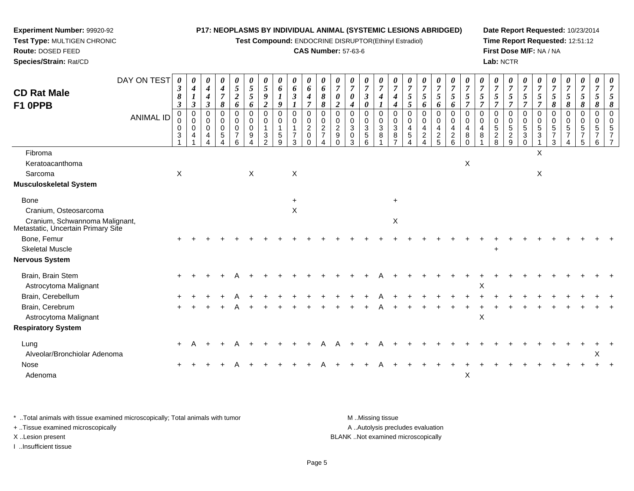**Test Compound:** ENDOCRINE DISRUPTOR(Ethinyl Estradiol)

## **CAS Number:** 57-63-6

**Date Report Requested:** 10/23/2014**Time Report Requested:** 12:51:12**First Dose M/F:** NA / NA**Lab:** NCTR

| <b>CD Rat Male</b><br>F1 OPPB                                                                                                                                           | DAY ON TEST<br><b>ANIMAL ID</b> | 3<br>8<br>$\boldsymbol{\beta}$<br>$\pmb{0}$<br>0<br>0<br>$\mathbf{3}$ | 0<br>$\boldsymbol{4}$<br>$\boldsymbol{l}$<br>$\mathfrak{z}$<br>$\pmb{0}$<br>$\Omega$<br>0<br>4 | 0<br>$\boldsymbol{4}$<br>$\boldsymbol{4}$<br>$\boldsymbol{\beta}$<br>0<br>$\Omega$<br>0<br>4 | 0<br>$\boldsymbol{4}$<br>$\boldsymbol{7}$<br>8<br>$\mathbf 0$<br>0<br>$\pmb{0}$<br>$5\phantom{.0}$ | 0<br>$\sqrt{5}$<br>$\boldsymbol{2}$<br>6<br>$\mathbf 0$<br>$\,0\,$<br>$\,0\,$<br>$\overline{7}$<br>6 | 0<br>$\sqrt{5}$<br>$\sqrt{5}$<br>6<br>$\pmb{0}$<br>0<br>0<br>9 | 0<br>$\overline{5}$<br>$\boldsymbol{9}$<br>$\boldsymbol{2}$<br>$\mathbf 0$<br>$\mathbf 0$<br>$\mathbf{1}$<br>3<br>$\Omega$ | 0<br>6<br>$\boldsymbol{l}$<br>9<br>0<br>$\mathbf 0$<br>5<br>9 | 0<br>6<br>$\boldsymbol{\beta}$<br>$\boldsymbol{l}$<br>0<br>0<br>$\mathbf{1}$<br>$\overline{7}$<br>3 | 0<br>6<br>$\boldsymbol{4}$<br>$\overline{7}$<br>$\mathbf 0$<br>$\,0\,$<br>$\overline{c}$<br>$\pmb{0}$<br>$\Omega$ | 0<br>6<br>8<br>8<br>$\mathbf 0$<br>$\mathbf 0$<br>$\overline{2}$<br>$\overline{7}$ | 0<br>$\overline{7}$<br>0<br>$\boldsymbol{2}$<br>$\overline{0}$<br>$\mathbf 0$<br>$\overline{2}$<br>$\boldsymbol{9}$ | 0<br>$\overline{7}$<br>0<br>4<br>$\mathbf 0$<br>$\Omega$<br>3<br>$\mathbf 0$<br>3 | 0<br>$\overline{7}$<br>$\boldsymbol{\beta}$<br>0<br>$\mathbf 0$<br>$\mathbf 0$<br>$\ensuremath{\mathsf{3}}$<br>$\overline{5}$<br>6 | 0<br>$\overline{7}$<br>$\boldsymbol{4}$<br>$\mathbf 0$<br>$\pmb{0}$<br>$\sqrt{3}$<br>8 | $\boldsymbol{\theta}$<br>$\overline{7}$<br>$\boldsymbol{4}$<br>$\boldsymbol{4}$<br>$\mathbf 0$<br>0<br>3<br>8<br>$\overline{ }$ | $\boldsymbol{\theta}$<br>$\overline{7}$<br>$\sqrt{5}$<br>5<br>$\mathbf 0$<br>$\mathbf 0$<br>$\overline{4}$<br>$\sqrt{5}$ | 0<br>$\overline{7}$<br>5<br>6<br>$\pmb{0}$<br>$\mathbf 0$<br>4<br>$\overline{a}$ | 0<br>$\boldsymbol{7}$<br>$\mathfrak{s}$<br>6<br>$\mathsf 0$<br>0<br>4<br>$rac{2}{5}$ | 0<br>$\overline{7}$<br>$\mathfrak{s}$<br>6<br>$\pmb{0}$<br>$\mathbf 0$<br>4<br>$\frac{2}{6}$ | $\boldsymbol{\theta}$<br>$\overline{7}$<br>5<br>$\overline{7}$<br>$\mathbf 0$<br>$\mathbf 0$<br>$\overline{4}$<br>8<br>$\Omega$ | $\boldsymbol{\theta}$<br>$\overline{7}$<br>$\mathfrak{s}$<br>$\overline{7}$<br>$\mathbf 0$<br>$\Omega$<br>4<br>8 | 0<br>$\overline{7}$<br>5<br>$\overline{7}$<br>0<br>$\Omega$<br>5<br>$\overline{2}$<br>8 | 0<br>$\overline{7}$<br>$\sqrt{5}$<br>$\overline{7}$<br>0<br>$\mathbf 0$<br>5<br>$\frac{2}{9}$ | $\boldsymbol{\theta}$<br>$\overline{7}$<br>$\mathfrak{s}$<br>$\overline{7}$<br>$\pmb{0}$<br>$\mathbf 0$<br>$\sqrt{5}$<br>$\sqrt{3}$<br>$\Omega$ | $\boldsymbol{\theta}$<br>$\overline{7}$<br>$\mathfrak{s}$<br>$\overline{7}$<br>$\pmb{0}$<br>$\mathbf 0$<br>$\sqrt{5}$<br>$\mathbf{3}$ | $\overline{7}$<br>5<br>$\pmb{8}$<br>$\mathbf 0$<br>0<br>$\sqrt{5}$<br>$\overline{7}$<br>3 | 0<br>$\overline{7}$<br>5<br>8<br>0<br>$\mathbf 0$<br>5<br>$\overline{7}$ | 0<br>$\boldsymbol{7}$<br>$\mathfrak{H}$<br>$\pmb{8}$<br>0<br>0<br>5<br>$\overline{7}$<br>5 | $\boldsymbol{\theta}$<br>7<br>5<br>8<br>$\pmb{0}$<br>0<br>$\sqrt{5}$<br>$\overline{7}$<br>6 | 8<br>$\Omega$ |
|-------------------------------------------------------------------------------------------------------------------------------------------------------------------------|---------------------------------|-----------------------------------------------------------------------|------------------------------------------------------------------------------------------------|----------------------------------------------------------------------------------------------|----------------------------------------------------------------------------------------------------|------------------------------------------------------------------------------------------------------|----------------------------------------------------------------|----------------------------------------------------------------------------------------------------------------------------|---------------------------------------------------------------|-----------------------------------------------------------------------------------------------------|-------------------------------------------------------------------------------------------------------------------|------------------------------------------------------------------------------------|---------------------------------------------------------------------------------------------------------------------|-----------------------------------------------------------------------------------|------------------------------------------------------------------------------------------------------------------------------------|----------------------------------------------------------------------------------------|---------------------------------------------------------------------------------------------------------------------------------|--------------------------------------------------------------------------------------------------------------------------|----------------------------------------------------------------------------------|--------------------------------------------------------------------------------------|----------------------------------------------------------------------------------------------|---------------------------------------------------------------------------------------------------------------------------------|------------------------------------------------------------------------------------------------------------------|-----------------------------------------------------------------------------------------|-----------------------------------------------------------------------------------------------|-------------------------------------------------------------------------------------------------------------------------------------------------|---------------------------------------------------------------------------------------------------------------------------------------|-------------------------------------------------------------------------------------------|--------------------------------------------------------------------------|--------------------------------------------------------------------------------------------|---------------------------------------------------------------------------------------------|---------------|
| Fibroma<br>Keratoacanthoma<br>Sarcoma<br>Musculoskeletal System                                                                                                         |                                 | X                                                                     |                                                                                                |                                                                                              |                                                                                                    |                                                                                                      | $\pmb{\times}$                                                 |                                                                                                                            |                                                               | $\boldsymbol{\mathsf{X}}$                                                                           |                                                                                                                   |                                                                                    |                                                                                                                     |                                                                                   |                                                                                                                                    |                                                                                        |                                                                                                                                 |                                                                                                                          |                                                                                  |                                                                                      |                                                                                              | $\boldsymbol{\mathsf{X}}$                                                                                                       |                                                                                                                  |                                                                                         |                                                                                               |                                                                                                                                                 | Χ<br>$\mathsf X$                                                                                                                      |                                                                                           |                                                                          |                                                                                            |                                                                                             |               |
| <b>Bone</b><br>Cranium, Osteosarcoma<br>Cranium, Schwannoma Malignant,<br>Metastatic, Uncertain Primary Site<br>Bone, Femur<br><b>Skeletal Muscle</b><br>Nervous System |                                 |                                                                       |                                                                                                |                                                                                              |                                                                                                    |                                                                                                      |                                                                |                                                                                                                            |                                                               | X                                                                                                   |                                                                                                                   |                                                                                    |                                                                                                                     |                                                                                   |                                                                                                                                    |                                                                                        | $\ddot{}$<br>$\mathsf X$                                                                                                        |                                                                                                                          |                                                                                  |                                                                                      |                                                                                              |                                                                                                                                 |                                                                                                                  | $\ddot{}$                                                                               |                                                                                               |                                                                                                                                                 |                                                                                                                                       |                                                                                           |                                                                          |                                                                                            |                                                                                             |               |
| Brain, Brain Stem<br>Astrocytoma Malignant<br>Brain, Cerebellum<br>Brain, Cerebrum<br>Astrocytoma Malignant<br><b>Respiratory System</b>                                |                                 |                                                                       |                                                                                                |                                                                                              |                                                                                                    |                                                                                                      |                                                                |                                                                                                                            |                                                               |                                                                                                     |                                                                                                                   |                                                                                    |                                                                                                                     |                                                                                   |                                                                                                                                    |                                                                                        |                                                                                                                                 |                                                                                                                          |                                                                                  |                                                                                      |                                                                                              |                                                                                                                                 | X<br>$\mathsf X$                                                                                                 |                                                                                         |                                                                                               |                                                                                                                                                 |                                                                                                                                       |                                                                                           |                                                                          |                                                                                            |                                                                                             |               |
| Lung<br>Alveolar/Bronchiolar Adenoma<br><b>Nose</b><br>Adenoma                                                                                                          |                                 | $\ddot{}$                                                             |                                                                                                |                                                                                              |                                                                                                    |                                                                                                      |                                                                |                                                                                                                            |                                                               |                                                                                                     |                                                                                                                   |                                                                                    |                                                                                                                     |                                                                                   |                                                                                                                                    |                                                                                        |                                                                                                                                 |                                                                                                                          |                                                                                  |                                                                                      |                                                                                              | $\boldsymbol{\mathsf{X}}$                                                                                                       |                                                                                                                  |                                                                                         |                                                                                               |                                                                                                                                                 |                                                                                                                                       |                                                                                           |                                                                          |                                                                                            | X.                                                                                          |               |

\* ..Total animals with tissue examined microscopically; Total animals with tumor **M** . Missing tissue M ..Missing tissue A ..Autolysis precludes evaluation + ..Tissue examined microscopically X ..Lesion present BLANK ..Not examined microscopicallyI ..Insufficient tissue

**Experiment Number:** 99920-92**Test Type:** MULTIGEN CHRONIC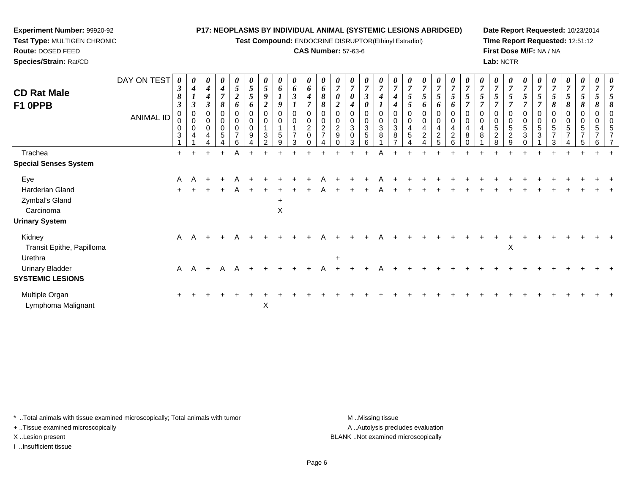**Test Compound:** ENDOCRINE DISRUPTOR(Ethinyl Estradiol)

## **CAS Number:** 57-63-6

**Date Report Requested:** 10/23/2014 **Time Report Requested:** 12:51:12**First Dose M/F:** NA / NA**Lab:** NCTR

| <b>CD Rat Male</b><br>F1 0PPB                                                  | DAY ON TEST<br><b>ANIMAL ID</b> | 0<br>3<br>8<br>$\boldsymbol{\beta}$<br>$\mathbf 0$<br>0<br>0<br>3 | 0<br>$\boldsymbol{4}$<br>$\boldsymbol{\beta}$<br>0<br>$\mathbf 0$<br>0<br>$\overline{4}$ | 0<br>$\boldsymbol{4}$<br>4<br>$\boldsymbol{\beta}$<br>0<br>$\mathbf 0$<br>0<br>$\overline{4}$ | $\pmb{\theta}$<br>$\boldsymbol{4}$<br>$\overline{7}$<br>8<br>$\mathbf 0$<br>$\mathbf 0$<br>5 | 0<br>5<br>$\overline{c}$<br>6<br>0<br>0<br>0<br>$\overline{7}$<br>6 | $\boldsymbol{\theta}$<br>5<br>5<br>6<br>0<br>0<br>9 | 0<br>$\mathfrak{s}$<br>9<br>2<br>0<br>0<br>$\sqrt{3}$<br>$\mathcal{P}$ | 0<br>6<br>1<br>9<br>0<br>0<br>1<br>5<br>9 | $\boldsymbol{\theta}$<br>$\boldsymbol{6}$<br>$\boldsymbol{\beta}$<br>$\mathbf 0$<br>$\mathbf 0$<br>1<br>$\overline{7}$<br>3 | 0<br>$\boldsymbol{6}$<br>$\boldsymbol{4}$<br>0<br>$\pmb{0}$<br>$^2_{0}$ | 0<br>6<br>8<br>8<br>$\pmb{0}$<br>$\frac{2}{7}$ | 0<br>$\overline{7}$<br>0<br>$\overline{2}$<br>0<br>$\mathbf 0$<br>$\frac{2}{9}$ | 0<br>$\overline{7}$<br>0<br>4<br>0<br>$\mathbf 0$<br>$\sqrt{3}$<br>0<br>3 | 0<br>$\overline{7}$<br>$\boldsymbol{\beta}$<br>0<br>$\mathbf 0$<br>$\sqrt{3}$<br>5<br>6 | 0<br>$\overline{ }$<br>0<br>3<br>8 | $\mathbf 0$<br>3<br>8 | 0<br>$\overline{ }$<br>5<br>5<br>0<br>4<br>$\sqrt{5}$ | $\boldsymbol{\theta}$<br>$\overline{7}$<br>$5\overline{)}$<br>6<br>0<br>$\mathbf 0$<br>4<br>$\boldsymbol{2}$ | 0<br>$\overline{7}$<br>$\mathfrak{s}$<br>6<br>0<br>$\pmb{0}$<br>$\overline{a}$<br>$\boldsymbol{2}$<br>5 | 0<br>$\overline{7}$<br>5<br>6<br>$\mathbf 0$<br>4<br>$\boldsymbol{2}$<br>6 | 0<br>$\overline{ }$<br>5<br>0<br>4<br>8 | 0<br>5<br>0<br>4<br>8 | 0<br>$\overline{7}$<br>5<br>0<br>$\mathbf 0$<br>5<br>$\overline{2}$<br>8 | $\pmb{\theta}$<br>$\overline{7}$<br>5<br>0<br>$\mathbf 0$<br>5<br>$\sqrt{2}$<br>9 | 0<br>$\overline{7}$<br>$5\overline{)}$<br>0<br>0<br>5<br>3 | 5<br>0<br>5<br>3 | 0<br>$\overline{7}$<br>5<br>8<br>0<br>0<br>5<br>$\overline{ }$<br>3 | 0<br>$\overline{7}$<br>5<br>8<br>0<br>0<br>5<br>$\overline{ }$ | 0<br>$\overline{7}$<br>5<br>8<br>0<br>0<br>5<br>$\overline{7}$ | 0<br>$\overline{7}$<br>8<br>0<br>0<br>5<br>$\overline{ }$<br>6 |  |
|--------------------------------------------------------------------------------|---------------------------------|-------------------------------------------------------------------|------------------------------------------------------------------------------------------|-----------------------------------------------------------------------------------------------|----------------------------------------------------------------------------------------------|---------------------------------------------------------------------|-----------------------------------------------------|------------------------------------------------------------------------|-------------------------------------------|-----------------------------------------------------------------------------------------------------------------------------|-------------------------------------------------------------------------|------------------------------------------------|---------------------------------------------------------------------------------|---------------------------------------------------------------------------|-----------------------------------------------------------------------------------------|------------------------------------|-----------------------|-------------------------------------------------------|--------------------------------------------------------------------------------------------------------------|---------------------------------------------------------------------------------------------------------|----------------------------------------------------------------------------|-----------------------------------------|-----------------------|--------------------------------------------------------------------------|-----------------------------------------------------------------------------------|------------------------------------------------------------|------------------|---------------------------------------------------------------------|----------------------------------------------------------------|----------------------------------------------------------------|----------------------------------------------------------------|--|
| Trachea                                                                        |                                 | $+$                                                               |                                                                                          | $\ddot{}$                                                                                     |                                                                                              | A                                                                   |                                                     |                                                                        |                                           |                                                                                                                             |                                                                         |                                                |                                                                                 |                                                                           |                                                                                         | Α                                  |                       |                                                       |                                                                                                              |                                                                                                         |                                                                            |                                         |                       |                                                                          |                                                                                   |                                                            |                  |                                                                     |                                                                |                                                                |                                                                |  |
| <b>Special Senses System</b>                                                   |                                 |                                                                   |                                                                                          |                                                                                               |                                                                                              |                                                                     |                                                     |                                                                        |                                           |                                                                                                                             |                                                                         |                                                |                                                                                 |                                                                           |                                                                                         |                                    |                       |                                                       |                                                                                                              |                                                                                                         |                                                                            |                                         |                       |                                                                          |                                                                                   |                                                            |                  |                                                                     |                                                                |                                                                |                                                                |  |
| Eye<br>Harderian Gland<br>Zymbal's Gland<br>Carcinoma<br><b>Urinary System</b> |                                 | A<br>$\ddot{}$                                                    | A                                                                                        |                                                                                               |                                                                                              | A                                                                   |                                                     |                                                                        | $\ddot{}$<br>X                            |                                                                                                                             |                                                                         |                                                |                                                                                 |                                                                           |                                                                                         |                                    |                       |                                                       |                                                                                                              |                                                                                                         |                                                                            |                                         |                       |                                                                          |                                                                                   |                                                            |                  |                                                                     |                                                                |                                                                |                                                                |  |
| Kidney<br>Transit Epithe, Papilloma                                            |                                 |                                                                   | A A                                                                                      | $+$                                                                                           |                                                                                              | A                                                                   |                                                     |                                                                        |                                           |                                                                                                                             |                                                                         |                                                |                                                                                 |                                                                           |                                                                                         |                                    |                       |                                                       |                                                                                                              |                                                                                                         |                                                                            |                                         |                       |                                                                          | X                                                                                 |                                                            |                  |                                                                     |                                                                |                                                                |                                                                |  |
| Urethra<br><b>Urinary Bladder</b><br><b>SYSTEMIC LESIONS</b>                   |                                 | $\mathsf{A}$                                                      | A                                                                                        | $+$                                                                                           | A                                                                                            | A                                                                   |                                                     |                                                                        |                                           |                                                                                                                             |                                                                         |                                                | $\ddot{}$                                                                       |                                                                           |                                                                                         |                                    |                       |                                                       |                                                                                                              |                                                                                                         |                                                                            |                                         |                       |                                                                          |                                                                                   |                                                            |                  |                                                                     |                                                                |                                                                |                                                                |  |
| Multiple Organ<br>Lymphoma Malignant                                           |                                 | $\ddot{}$                                                         |                                                                                          |                                                                                               |                                                                                              |                                                                     |                                                     | X                                                                      |                                           |                                                                                                                             |                                                                         |                                                |                                                                                 |                                                                           |                                                                                         |                                    |                       |                                                       |                                                                                                              |                                                                                                         |                                                                            |                                         |                       |                                                                          |                                                                                   |                                                            |                  |                                                                     |                                                                |                                                                |                                                                |  |

\* ..Total animals with tissue examined microscopically; Total animals with tumor **M** . Missing tissue M ..Missing tissue

+ ..Tissue examined microscopically

**Experiment Number:** 99920-92**Test Type:** MULTIGEN CHRONIC

**Route:** DOSED FEED**Species/Strain:** Rat/CD

I ..Insufficient tissue

A ..Autolysis precludes evaluation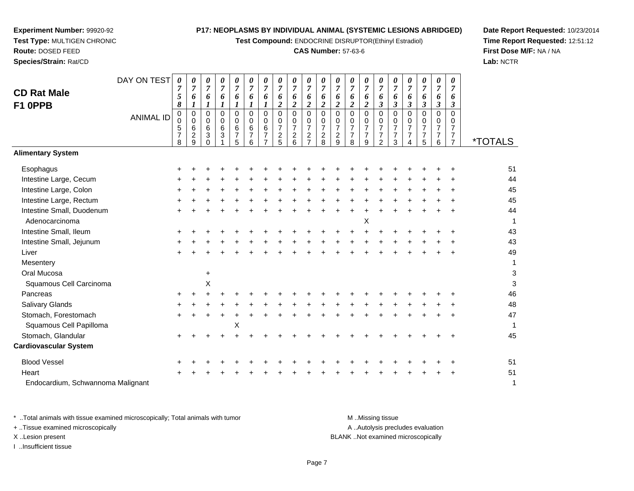**Test Compound:** ENDOCRINE DISRUPTOR(Ethinyl Estradiol)

# **CAS Number:** 57-63-6

**Date Report Requested:** 10/23/2014**Time Report Requested:** 12:51:12**First Dose M/F:** NA / NA**Lab:** NCTR

 $\mathsf 3$ 

| <b>CD Rat Male</b><br>F1 OPPB               | DAY ON TEST      | 0<br>$\overline{7}$<br>5<br>8                | 0<br>7<br>6                               | 0<br>$\overline{7}$<br>6<br>$\boldsymbol{l}$     | 0<br>$\overline{7}$<br>6<br>1         | 0<br>7<br>6<br>$\boldsymbol{l}$                 | 0<br>7<br>6<br>1                             | 0<br>$\overline{7}$<br>6<br>$\boldsymbol{l}$ | 0<br>$\overline{7}$<br>6<br>$\boldsymbol{2}$                        | 0<br>$\overline{7}$<br>6<br>$\boldsymbol{2}$           | 0<br>$\overline{7}$<br>6<br>$\overline{\mathbf{c}}$                           | 0<br>$\overline{7}$<br>6<br>$\overline{2}$                  | 0<br>$\overline{7}$<br>6<br>$\overline{2}$                            | 0<br>$\overline{7}$<br>6<br>$\boldsymbol{2}$              | 0<br>$\overline{7}$<br>6<br>$\overline{c}$                | 0<br>$\overline{7}$<br>6<br>$\mathfrak{z}$                        | 0<br>$\overline{7}$<br>6<br>$\boldsymbol{\beta}$     | 0<br>$\overline{7}$<br>6<br>$\boldsymbol{\beta}$ | 0<br>$\overline{7}$<br>6<br>$\mathfrak{z}$                        | 0<br>7<br>6<br>$\boldsymbol{\beta}$ | $\boldsymbol{\theta}$<br>$\overline{7}$<br>6<br>3      |                       |
|---------------------------------------------|------------------|----------------------------------------------|-------------------------------------------|--------------------------------------------------|---------------------------------------|-------------------------------------------------|----------------------------------------------|----------------------------------------------|---------------------------------------------------------------------|--------------------------------------------------------|-------------------------------------------------------------------------------|-------------------------------------------------------------|-----------------------------------------------------------------------|-----------------------------------------------------------|-----------------------------------------------------------|-------------------------------------------------------------------|------------------------------------------------------|--------------------------------------------------|-------------------------------------------------------------------|-------------------------------------|--------------------------------------------------------|-----------------------|
|                                             | <b>ANIMAL ID</b> | 0<br>$\mathbf 0$<br>5<br>$\overline{7}$<br>8 | $\mathbf 0$<br>$\mathbf 0$<br>6<br>2<br>9 | $\mathsf 0$<br>$\mathbf 0$<br>6<br>3<br>$\Omega$ | $\overline{0}$<br>$\pmb{0}$<br>$^6_3$ | $\overline{0}$<br>0<br>6<br>$\overline{7}$<br>5 | $\mathbf 0$<br>0<br>6<br>$\overline{7}$<br>6 | $\mathbf 0$<br>0<br>6<br>7<br>$\overline{7}$ | $\mathbf 0$<br>$\mathbf 0$<br>$\overline{7}$<br>$\overline{c}$<br>5 | $\Omega$<br>0<br>$\overline{7}$<br>$\overline{c}$<br>6 | $\Omega$<br>$\mathbf 0$<br>$\overline{7}$<br>$\overline{c}$<br>$\overline{7}$ | $\pmb{0}$<br>$\mathbf 0$<br>$\overline{7}$<br>$\frac{2}{8}$ | $\mathsf 0$<br>$\mathbf 0$<br>$\overline{7}$<br>$\boldsymbol{2}$<br>9 | $\mathbf 0$<br>0<br>$\overline{7}$<br>$\overline{7}$<br>8 | $\mathsf 0$<br>0<br>$\overline{7}$<br>$\overline{7}$<br>9 | $\pmb{0}$<br>$\mathbf 0$<br>$\overline{7}$<br>$\overline{7}$<br>2 | $\pmb{0}$<br>$\mathbf 0$<br>$\overline{7}$<br>7<br>3 | 0<br>0<br>$\overline{7}$<br>7<br>4               | $\pmb{0}$<br>$\mathbf 0$<br>$\overline{7}$<br>$\overline{7}$<br>5 | 0<br>0<br>7<br>7<br>6               | $\Omega$<br>0<br>$\overline{7}$<br>7<br>$\overline{7}$ | <i><b>*TOTALS</b></i> |
| <b>Alimentary System</b>                    |                  |                                              |                                           |                                                  |                                       |                                                 |                                              |                                              |                                                                     |                                                        |                                                                               |                                                             |                                                                       |                                                           |                                                           |                                                                   |                                                      |                                                  |                                                                   |                                     |                                                        |                       |
| Esophagus                                   |                  |                                              |                                           |                                                  |                                       |                                                 |                                              |                                              |                                                                     |                                                        |                                                                               |                                                             |                                                                       |                                                           |                                                           |                                                                   |                                                      |                                                  |                                                                   |                                     |                                                        | 51                    |
| Intestine Large, Cecum                      |                  |                                              |                                           |                                                  |                                       |                                                 |                                              |                                              |                                                                     |                                                        |                                                                               |                                                             |                                                                       |                                                           |                                                           |                                                                   |                                                      |                                                  |                                                                   |                                     |                                                        | 44                    |
| Intestine Large, Colon                      |                  |                                              |                                           |                                                  |                                       |                                                 |                                              |                                              |                                                                     |                                                        |                                                                               |                                                             |                                                                       |                                                           |                                                           |                                                                   |                                                      |                                                  |                                                                   |                                     |                                                        | 45                    |
| Intestine Large, Rectum                     |                  |                                              |                                           |                                                  |                                       |                                                 |                                              |                                              |                                                                     |                                                        |                                                                               |                                                             |                                                                       |                                                           |                                                           |                                                                   |                                                      |                                                  |                                                                   |                                     |                                                        | 45                    |
| Intestine Small, Duodenum<br>Adenocarcinoma |                  |                                              |                                           |                                                  |                                       |                                                 |                                              |                                              |                                                                     |                                                        |                                                                               |                                                             |                                                                       |                                                           | Χ                                                         |                                                                   |                                                      |                                                  |                                                                   |                                     |                                                        | 44<br>1               |
| Intestine Small, Ileum                      |                  |                                              |                                           |                                                  |                                       |                                                 |                                              |                                              |                                                                     |                                                        |                                                                               |                                                             |                                                                       |                                                           |                                                           |                                                                   |                                                      |                                                  |                                                                   |                                     |                                                        | 43                    |
| Intestine Small, Jejunum                    |                  |                                              |                                           |                                                  |                                       |                                                 |                                              |                                              |                                                                     |                                                        |                                                                               |                                                             |                                                                       |                                                           |                                                           |                                                                   |                                                      |                                                  |                                                                   |                                     |                                                        | 43                    |
| Liver                                       |                  |                                              |                                           |                                                  |                                       |                                                 |                                              |                                              |                                                                     |                                                        |                                                                               |                                                             |                                                                       |                                                           |                                                           |                                                                   |                                                      |                                                  |                                                                   |                                     |                                                        | 49                    |
| Mesentery                                   |                  |                                              |                                           |                                                  |                                       |                                                 |                                              |                                              |                                                                     |                                                        |                                                                               |                                                             |                                                                       |                                                           |                                                           |                                                                   |                                                      |                                                  |                                                                   |                                     |                                                        | $\mathbf{1}$          |
| Oral Mucosa                                 |                  |                                              |                                           | +                                                |                                       |                                                 |                                              |                                              |                                                                     |                                                        |                                                                               |                                                             |                                                                       |                                                           |                                                           |                                                                   |                                                      |                                                  |                                                                   |                                     |                                                        | 3                     |
| Squamous Cell Carcinoma                     |                  |                                              |                                           | Χ                                                |                                       |                                                 |                                              |                                              |                                                                     |                                                        |                                                                               |                                                             |                                                                       |                                                           |                                                           |                                                                   |                                                      |                                                  |                                                                   |                                     |                                                        | 3                     |
| Pancreas                                    |                  |                                              |                                           |                                                  |                                       |                                                 |                                              |                                              |                                                                     |                                                        |                                                                               |                                                             |                                                                       |                                                           |                                                           |                                                                   |                                                      |                                                  |                                                                   |                                     |                                                        | 46                    |
| Salivary Glands                             |                  |                                              |                                           |                                                  |                                       |                                                 |                                              |                                              |                                                                     |                                                        |                                                                               |                                                             |                                                                       |                                                           |                                                           |                                                                   |                                                      |                                                  |                                                                   |                                     |                                                        | 48                    |
| Stomach, Forestomach                        |                  |                                              |                                           |                                                  |                                       |                                                 |                                              |                                              |                                                                     |                                                        |                                                                               |                                                             |                                                                       |                                                           |                                                           |                                                                   |                                                      |                                                  |                                                                   |                                     |                                                        | 47                    |
| Squamous Cell Papilloma                     |                  |                                              |                                           |                                                  |                                       | X                                               |                                              |                                              |                                                                     |                                                        |                                                                               |                                                             |                                                                       |                                                           |                                                           |                                                                   |                                                      |                                                  |                                                                   |                                     |                                                        | 1                     |
| Stomach, Glandular                          |                  |                                              |                                           |                                                  |                                       |                                                 |                                              |                                              |                                                                     |                                                        |                                                                               |                                                             |                                                                       |                                                           |                                                           |                                                                   |                                                      |                                                  |                                                                   |                                     |                                                        | 45                    |
| <b>Cardiovascular System</b>                |                  |                                              |                                           |                                                  |                                       |                                                 |                                              |                                              |                                                                     |                                                        |                                                                               |                                                             |                                                                       |                                                           |                                                           |                                                                   |                                                      |                                                  |                                                                   |                                     |                                                        |                       |
| <b>Blood Vessel</b>                         |                  |                                              |                                           |                                                  |                                       |                                                 |                                              |                                              |                                                                     |                                                        |                                                                               |                                                             |                                                                       |                                                           |                                                           |                                                                   |                                                      |                                                  |                                                                   |                                     |                                                        | 51                    |
| Heart                                       |                  |                                              |                                           |                                                  |                                       |                                                 |                                              |                                              |                                                                     |                                                        |                                                                               |                                                             |                                                                       |                                                           |                                                           |                                                                   |                                                      |                                                  |                                                                   |                                     |                                                        | 51                    |
| Endocardium, Schwannoma Malignant           |                  |                                              |                                           |                                                  |                                       |                                                 |                                              |                                              |                                                                     |                                                        |                                                                               |                                                             |                                                                       |                                                           |                                                           |                                                                   |                                                      |                                                  |                                                                   |                                     |                                                        | 1                     |

**Experiment Number:** 99920-92**Test Type:** MULTIGEN CHRONIC

**Route:** DOSED FEED**Species/Strain:** Rat/CD

\* ..Total animals with tissue examined microscopically; Total animals with tumor **M** ...Missing tissue M ...Missing tissue A .. Autolysis precludes evaluation + ..Tissue examined microscopically X ..Lesion present BLANK ..Not examined microscopicallyI ..Insufficient tissue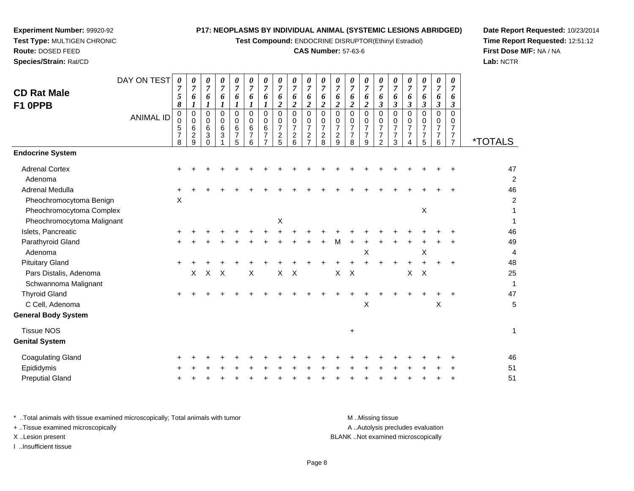**Test Compound:** ENDOCRINE DISRUPTOR(Ethinyl Estradiol)

# **CAS Number:** 57-63-6

DAY ON TEST*00000000000000000000*

**Date Report Requested:** 10/23/2014 **Time Report Requested:** 12:51:12**First Dose M/F:** NA / NA**Lab:** NCTR

| <b>CD Rat Male</b><br>F1 OPPB                                            |                  | 7<br>5<br>8                        | 7<br>6<br>$\boldsymbol{I}$                     | $\overline{7}$<br>6<br>$\boldsymbol{l}$                                           | $\overline{7}$<br>6<br>$\boldsymbol{l}$          | 6<br>1                                    | $\overline{7}$<br>6<br>$\boldsymbol{l}$   | 6                                                | 7<br>6<br>$\overline{2}$                            | 6<br>$\overline{2}$                                 | 7<br>6<br>$\overline{2}$                                            | $\overline{7}$<br>6<br>$\overline{2}$            | 7<br>6<br>$\overline{2}$                         | $\overline{7}$<br>6<br>$\overline{2}$                  | 6<br>$\overline{c}$                          | 6<br>$\boldsymbol{\beta}$                                           | $\boldsymbol{6}$<br>$\mathfrak{z}$                                  | $\overline{7}$<br>6<br>$\mathfrak{z}$                               | $\overline{7}$<br>6<br>$\mathfrak{z}$                  | $\overline{7}$<br>6<br>$\mathfrak{z}$                  | $\overline{7}$<br>6<br>$\boldsymbol{\beta}$                  |                       |
|--------------------------------------------------------------------------|------------------|------------------------------------|------------------------------------------------|-----------------------------------------------------------------------------------|--------------------------------------------------|-------------------------------------------|-------------------------------------------|--------------------------------------------------|-----------------------------------------------------|-----------------------------------------------------|---------------------------------------------------------------------|--------------------------------------------------|--------------------------------------------------|--------------------------------------------------------|----------------------------------------------|---------------------------------------------------------------------|---------------------------------------------------------------------|---------------------------------------------------------------------|--------------------------------------------------------|--------------------------------------------------------|--------------------------------------------------------------|-----------------------|
|                                                                          | <b>ANIMAL ID</b> | 0<br>0<br>5<br>$\overline{7}$<br>8 | $\mathbf 0$<br>$\pmb{0}$<br>6<br>$\frac{2}{9}$ | $\pmb{0}$<br>$\pmb{0}$<br>$6\phantom{a}$<br>$\ensuremath{\mathsf{3}}$<br>$\Omega$ | $\Omega$<br>$\mathbf 0$<br>$\,6$<br>$\mathbf{3}$ | $\Omega$<br>0<br>6<br>$\overline{7}$<br>5 | $\Omega$<br>0<br>6<br>$\overline{7}$<br>6 | 0<br>0<br>$6\phantom{1}6$<br>$\overline{7}$<br>7 | $\mathbf 0$<br>0<br>$\overline{7}$<br>$\frac{2}{5}$ | $\mathbf 0$<br>0<br>$\overline{7}$<br>$\frac{2}{6}$ | $\Omega$<br>0<br>$\overline{7}$<br>$\overline{c}$<br>$\overline{7}$ | $\Omega$<br>0<br>$\overline{7}$<br>$\frac{2}{8}$ | $\Omega$<br>0<br>$\overline{7}$<br>$\frac{2}{9}$ | $\Omega$<br>0<br>$\overline{7}$<br>$\overline{7}$<br>8 | $\mathbf 0$<br>0<br>7<br>$\overline{7}$<br>9 | $\Omega$<br>0<br>$\overline{7}$<br>$\overline{7}$<br>$\overline{2}$ | $\mathbf 0$<br>$\mathbf 0$<br>$\overline{7}$<br>$\overline{7}$<br>3 | $\mathbf 0$<br>$\mathbf 0$<br>$\overline{7}$<br>$\overline{7}$<br>4 | $\Omega$<br>0<br>$\overline{7}$<br>$\overline{7}$<br>5 | $\Omega$<br>0<br>$\overline{7}$<br>$\overline{7}$<br>6 | 0<br>0<br>$\overline{7}$<br>$\overline{7}$<br>$\overline{7}$ | <i><b>*TOTALS</b></i> |
| <b>Endocrine System</b>                                                  |                  |                                    |                                                |                                                                                   |                                                  |                                           |                                           |                                                  |                                                     |                                                     |                                                                     |                                                  |                                                  |                                                        |                                              |                                                                     |                                                                     |                                                                     |                                                        |                                                        |                                                              |                       |
| <b>Adrenal Cortex</b><br>Adenoma                                         |                  |                                    |                                                |                                                                                   |                                                  |                                           |                                           |                                                  |                                                     |                                                     |                                                                     |                                                  |                                                  |                                                        |                                              |                                                                     |                                                                     |                                                                     |                                                        |                                                        |                                                              | 47<br>$\overline{a}$  |
| Adrenal Medulla<br>Pheochromocytoma Benign<br>Pheochromocytoma Complex   |                  | $\times$                           |                                                |                                                                                   |                                                  |                                           |                                           |                                                  |                                                     |                                                     |                                                                     |                                                  |                                                  |                                                        |                                              |                                                                     |                                                                     |                                                                     | X                                                      |                                                        |                                                              | 46<br>2               |
| Pheochromocytoma Malignant                                               |                  |                                    |                                                |                                                                                   |                                                  |                                           |                                           |                                                  | X                                                   |                                                     |                                                                     |                                                  |                                                  |                                                        |                                              |                                                                     |                                                                     |                                                                     |                                                        |                                                        |                                                              |                       |
| Islets, Pancreatic<br>Parathyroid Gland<br>Adenoma                       |                  |                                    |                                                |                                                                                   |                                                  |                                           |                                           |                                                  |                                                     |                                                     |                                                                     |                                                  | м                                                |                                                        | Χ                                            |                                                                     |                                                                     |                                                                     | Χ                                                      |                                                        |                                                              | 46<br>49<br>4         |
| <b>Pituitary Gland</b><br>Pars Distalis, Adenoma<br>Schwannoma Malignant |                  |                                    | X                                              | $\boldsymbol{\mathsf{X}}$                                                         | $\boldsymbol{\mathsf{X}}$                        |                                           | X                                         |                                                  | $\boldsymbol{\mathsf{X}}$                           | $\boldsymbol{\mathsf{X}}$                           |                                                                     |                                                  | $\mathsf X$                                      | $\boldsymbol{\mathsf{X}}$                              |                                              |                                                                     |                                                                     | $\ddot{}$<br>X                                                      | $\times$                                               |                                                        |                                                              | 48<br>25<br>1         |
| <b>Thyroid Gland</b><br>C Cell, Adenoma<br><b>General Body System</b>    |                  | $\pm$                              |                                                |                                                                                   |                                                  |                                           |                                           |                                                  |                                                     |                                                     |                                                                     |                                                  |                                                  |                                                        | ٠<br>X                                       |                                                                     |                                                                     |                                                                     |                                                        | X                                                      |                                                              | 47<br>5               |
| <b>Tissue NOS</b><br><b>Genital System</b>                               |                  |                                    |                                                |                                                                                   |                                                  |                                           |                                           |                                                  |                                                     |                                                     |                                                                     |                                                  |                                                  | $\ddot{}$                                              |                                              |                                                                     |                                                                     |                                                                     |                                                        |                                                        |                                                              | 1                     |
| <b>Coagulating Gland</b><br>Epididymis                                   |                  |                                    |                                                |                                                                                   |                                                  |                                           |                                           |                                                  |                                                     |                                                     |                                                                     |                                                  |                                                  |                                                        |                                              |                                                                     |                                                                     |                                                                     |                                                        |                                                        |                                                              | 46<br>51              |

**Experiment Number:** 99920-92**Test Type:** MULTIGEN CHRONIC

**Route:** DOSED FEED**Species/Strain:** Rat/CD

Preputial Gland

d  $+$ 

| * Total animals with tissue examined microscopically; Total animals with tumor | M Missing tissue                   |
|--------------------------------------------------------------------------------|------------------------------------|
| + Tissue examined microscopically                                              | A Autolysis precludes evaluation   |
| X Lesion present                                                               | BLANK Not examined microscopically |
| Insufficient tissue                                                            |                                    |

<sup>+</sup> <sup>+</sup> <sup>+</sup> <sup>+</sup> <sup>+</sup> <sup>+</sup> <sup>+</sup> <sup>+</sup> <sup>+</sup> <sup>+</sup> <sup>+</sup> <sup>+</sup> <sup>+</sup> <sup>+</sup> <sup>+</sup> <sup>+</sup> <sup>+</sup> <sup>+</sup> <sup>+</sup> <sup>51</sup>

Page 8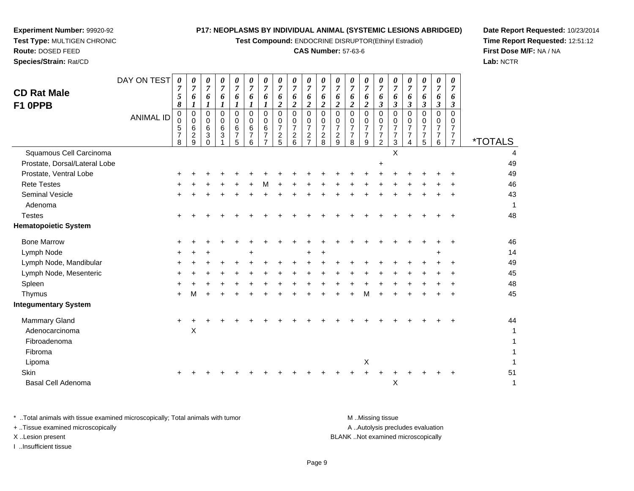**Test Compound:** ENDOCRINE DISRUPTOR(Ethinyl Estradiol)

## **CAS Number:** 57-63-6

**Date Report Requested:** 10/23/2014**Time Report Requested:** 12:51:12**First Dose M/F:** NA / NA**Lab:** NCTR

| <b>CD Rat Male</b><br>F1 OPPB | DAY ON TEST      | 0<br>$\overline{7}$<br>5<br>8                               | 0<br>$\overline{7}$<br>6                     | 0<br>$\overline{7}$<br>6        | 0<br>$\overline{7}$<br>6<br>1 | 0<br>7<br>6<br>1                                 | 6<br>1                                    | 0<br>7<br>6                          | 0<br>6<br>2                                            | 0<br>7<br>6<br>$\boldsymbol{2}$                        | 0<br>$\overline{7}$<br>6<br>$\overline{2}$                            | 0<br>$\overline{7}$<br>6<br>$\overline{2}$               | 0<br>$\overline{7}$<br>6<br>$\boldsymbol{2}$              | 0<br>6<br>2                                            | 0<br>$\overline{7}$<br>6<br>$\boldsymbol{2}$           | 0<br>$\overline{7}$<br>6<br>3             | 0<br>7<br>6<br>$\mathfrak{z}$                          | 0<br>$\overline{7}$<br>6<br>$\boldsymbol{\beta}$  | 0<br>$\overline{7}$<br>6<br>$\mathfrak{z}$             | 0<br>$\overline{7}$<br>6<br>3             | 0<br>$\overline{7}$<br>6<br>$\boldsymbol{\beta}$                    |                       |
|-------------------------------|------------------|-------------------------------------------------------------|----------------------------------------------|---------------------------------|-------------------------------|--------------------------------------------------|-------------------------------------------|--------------------------------------|--------------------------------------------------------|--------------------------------------------------------|-----------------------------------------------------------------------|----------------------------------------------------------|-----------------------------------------------------------|--------------------------------------------------------|--------------------------------------------------------|-------------------------------------------|--------------------------------------------------------|---------------------------------------------------|--------------------------------------------------------|-------------------------------------------|---------------------------------------------------------------------|-----------------------|
|                               | <b>ANIMAL ID</b> | $\pmb{0}$<br>$\pmb{0}$<br>$\sqrt{5}$<br>$\overline{7}$<br>8 | $\mathbf 0$<br>0<br>6<br>$\overline{c}$<br>9 | $\mathbf 0$<br>0<br>6<br>3<br>0 | $\Omega$<br>0<br>$\,6\,$<br>3 | $\mathbf 0$<br>0<br>$\,6$<br>$\overline{7}$<br>5 | $\Omega$<br>0<br>6<br>$\overline{7}$<br>6 | $\Omega$<br>0<br>6<br>$\overline{7}$ | $\Omega$<br>0<br>$\overline{7}$<br>$\overline{c}$<br>5 | $\Omega$<br>0<br>$\overline{7}$<br>$\overline{c}$<br>6 | $\Omega$<br>0<br>$\overline{7}$<br>$\boldsymbol{2}$<br>$\overline{ }$ | $\Omega$<br>0<br>$\overline{7}$<br>$\boldsymbol{2}$<br>8 | $\mathbf 0$<br>0<br>$\overline{7}$<br>$\overline{c}$<br>9 | $\Omega$<br>0<br>$\overline{7}$<br>$\overline{7}$<br>8 | $\Omega$<br>0<br>$\overline{7}$<br>$\overline{7}$<br>9 | $\Omega$<br>0<br>7<br>$\overline{7}$<br>2 | $\Omega$<br>0<br>$\overline{7}$<br>$\overline{7}$<br>3 | $\Omega$<br>0<br>$\overline{7}$<br>$\overline{7}$ | $\Omega$<br>0<br>$\overline{7}$<br>$\overline{7}$<br>5 | $\Omega$<br>0<br>$\overline{7}$<br>7<br>6 | $\Omega$<br>0<br>$\overline{7}$<br>$\overline{7}$<br>$\overline{7}$ | <i><b>*TOTALS</b></i> |
| Squamous Cell Carcinoma       |                  |                                                             |                                              |                                 |                               |                                                  |                                           |                                      |                                                        |                                                        |                                                                       |                                                          |                                                           |                                                        |                                                        |                                           | X                                                      |                                                   |                                                        |                                           |                                                                     | 4                     |
| Prostate, Dorsal/Lateral Lobe |                  |                                                             |                                              |                                 |                               |                                                  |                                           |                                      |                                                        |                                                        |                                                                       |                                                          |                                                           |                                                        |                                                        | $\ddot{}$                                 |                                                        |                                                   |                                                        |                                           |                                                                     | 49                    |
| Prostate, Ventral Lobe        |                  |                                                             |                                              |                                 |                               |                                                  |                                           |                                      |                                                        |                                                        |                                                                       |                                                          |                                                           |                                                        |                                                        |                                           |                                                        |                                                   |                                                        |                                           |                                                                     | 49                    |
| <b>Rete Testes</b>            |                  |                                                             |                                              |                                 |                               |                                                  |                                           |                                      |                                                        |                                                        |                                                                       |                                                          |                                                           |                                                        |                                                        |                                           |                                                        |                                                   |                                                        |                                           |                                                                     | 46                    |
| <b>Seminal Vesicle</b>        |                  |                                                             |                                              |                                 |                               |                                                  |                                           |                                      |                                                        |                                                        |                                                                       |                                                          |                                                           |                                                        |                                                        |                                           |                                                        |                                                   |                                                        |                                           |                                                                     | 43                    |
| Adenoma                       |                  |                                                             |                                              |                                 |                               |                                                  |                                           |                                      |                                                        |                                                        |                                                                       |                                                          |                                                           |                                                        |                                                        |                                           |                                                        |                                                   |                                                        |                                           |                                                                     | 1                     |
| <b>Testes</b>                 |                  |                                                             |                                              |                                 |                               |                                                  |                                           |                                      |                                                        |                                                        |                                                                       |                                                          |                                                           |                                                        |                                                        |                                           |                                                        |                                                   |                                                        |                                           |                                                                     | 48                    |
| <b>Hematopoietic System</b>   |                  |                                                             |                                              |                                 |                               |                                                  |                                           |                                      |                                                        |                                                        |                                                                       |                                                          |                                                           |                                                        |                                                        |                                           |                                                        |                                                   |                                                        |                                           |                                                                     |                       |
| <b>Bone Marrow</b>            |                  |                                                             |                                              |                                 |                               |                                                  |                                           |                                      |                                                        |                                                        |                                                                       |                                                          |                                                           |                                                        |                                                        |                                           |                                                        |                                                   |                                                        |                                           |                                                                     | 46                    |
| Lymph Node                    |                  |                                                             |                                              |                                 |                               |                                                  |                                           |                                      |                                                        |                                                        | +                                                                     |                                                          |                                                           |                                                        |                                                        |                                           |                                                        |                                                   |                                                        | $\ddot{}$                                 |                                                                     | 14                    |
| Lymph Node, Mandibular        |                  |                                                             |                                              |                                 |                               |                                                  |                                           |                                      |                                                        |                                                        |                                                                       |                                                          |                                                           |                                                        |                                                        |                                           |                                                        |                                                   |                                                        |                                           |                                                                     | 49                    |
| Lymph Node, Mesenteric        |                  |                                                             |                                              |                                 |                               |                                                  |                                           |                                      |                                                        |                                                        |                                                                       |                                                          |                                                           |                                                        |                                                        |                                           |                                                        |                                                   |                                                        |                                           |                                                                     | 45                    |
| Spleen                        |                  |                                                             |                                              |                                 |                               |                                                  |                                           |                                      |                                                        |                                                        |                                                                       |                                                          |                                                           |                                                        |                                                        |                                           |                                                        |                                                   |                                                        |                                           |                                                                     | 48                    |
| Thymus                        |                  | ÷                                                           | M                                            |                                 |                               |                                                  |                                           |                                      |                                                        |                                                        |                                                                       |                                                          |                                                           |                                                        |                                                        |                                           |                                                        |                                                   |                                                        |                                           |                                                                     | 45                    |
| <b>Integumentary System</b>   |                  |                                                             |                                              |                                 |                               |                                                  |                                           |                                      |                                                        |                                                        |                                                                       |                                                          |                                                           |                                                        |                                                        |                                           |                                                        |                                                   |                                                        |                                           |                                                                     |                       |
| Mammary Gland                 |                  | $\ddot{}$                                                   |                                              |                                 |                               |                                                  |                                           |                                      |                                                        |                                                        |                                                                       |                                                          |                                                           |                                                        |                                                        |                                           |                                                        |                                                   |                                                        |                                           |                                                                     | 44                    |
| Adenocarcinoma                |                  |                                                             | X                                            |                                 |                               |                                                  |                                           |                                      |                                                        |                                                        |                                                                       |                                                          |                                                           |                                                        |                                                        |                                           |                                                        |                                                   |                                                        |                                           |                                                                     |                       |
| Fibroadenoma                  |                  |                                                             |                                              |                                 |                               |                                                  |                                           |                                      |                                                        |                                                        |                                                                       |                                                          |                                                           |                                                        |                                                        |                                           |                                                        |                                                   |                                                        |                                           |                                                                     |                       |
| Fibroma                       |                  |                                                             |                                              |                                 |                               |                                                  |                                           |                                      |                                                        |                                                        |                                                                       |                                                          |                                                           |                                                        |                                                        |                                           |                                                        |                                                   |                                                        |                                           |                                                                     |                       |
| Lipoma                        |                  |                                                             |                                              |                                 |                               |                                                  |                                           |                                      |                                                        |                                                        |                                                                       |                                                          |                                                           |                                                        | X                                                      |                                           |                                                        |                                                   |                                                        |                                           |                                                                     |                       |
| Skin                          |                  |                                                             |                                              |                                 |                               |                                                  |                                           |                                      |                                                        |                                                        |                                                                       |                                                          |                                                           |                                                        |                                                        |                                           |                                                        |                                                   |                                                        |                                           |                                                                     | 51                    |
| Basal Cell Adenoma            |                  |                                                             |                                              |                                 |                               |                                                  |                                           |                                      |                                                        |                                                        |                                                                       |                                                          |                                                           |                                                        |                                                        |                                           | X                                                      |                                                   |                                                        |                                           |                                                                     |                       |

**Experiment Number:** 99920-92**Test Type:** MULTIGEN CHRONIC

**Route:** DOSED FEED**Species/Strain:** Rat/CD

\* ..Total animals with tissue examined microscopically; Total animals with tumor **M** ...Missing tissue M ...Missing tissue A .. Autolysis precludes evaluation + ..Tissue examined microscopically X ..Lesion present BLANK ..Not examined microscopicallyI ..Insufficient tissue

 $\alpha$ 

 $\mathsf{X}$  and  $\mathsf{Y}$  are the set of  $\mathsf{Y}$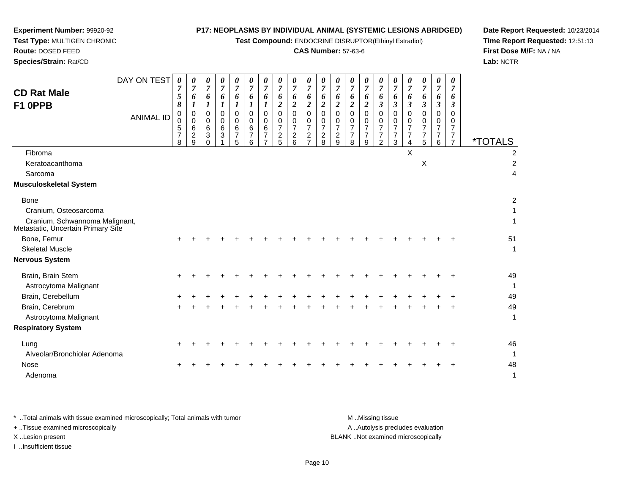**Test Compound:** ENDOCRINE DISRUPTOR(Ethinyl Estradiol)

# **CAS Number:** 57-63-6

**Date Report Requested:** 10/23/2014**Time Report Requested:** 12:51:13**First Dose M/F:** NA / NA**Lab:** NCTR

| <b>CD Rat Male</b><br>F1 OPPB                                                                                | DAY ON TEST<br><b>ANIMAL ID</b> | 0<br>$\boldsymbol{7}$<br>$\mathfrak{s}$<br>8<br>0<br>$\mathbf 0$<br>5<br>$\overline{7}$<br>8 | 0<br>7<br>6<br>$\boldsymbol{l}$<br>0<br>$\overline{0}$<br>6<br>$\overline{c}$<br>9 | 0<br>$\boldsymbol{7}$<br>6<br>1<br>$\mathbf 0$<br>$\mathbf 0$<br>6<br>3<br>$\Omega$ | 0<br>$\overline{7}$<br>6<br>1<br>0<br>0<br>$\,6$<br>3<br>1 | 0<br>$\overline{7}$<br>6<br>1<br>$\mathbf 0$<br>$\Omega$<br>6<br>$\overline{7}$<br>5 | 0<br>7<br>6<br>1<br>$\mathbf 0$<br>0<br>6<br>7<br>6 | 0<br>$\overline{7}$<br>6<br>1<br>$\Omega$<br>$\Omega$<br>6<br>$\overline{7}$<br>$\overline{7}$ | $\overline{7}$<br>6<br>2<br>$\mathbf 0$<br>$\mathbf 0$<br>$\overline{7}$<br>$\overline{c}$<br>5 | 0<br>$\overline{7}$<br>6<br>$\overline{c}$<br>$\Omega$<br>$\Omega$<br>7<br>$\boldsymbol{2}$<br>6 | 0<br>$\overline{7}$<br>6<br>$\overline{2}$<br>$\Omega$<br>$\Omega$<br>$\overline{7}$<br>$\overline{c}$<br>$\overline{7}$ | 0<br>$\overline{7}$<br>6<br>$\overline{2}$<br>$\Omega$<br>0<br>$\overline{7}$<br>$\frac{2}{8}$ | 0<br>$\boldsymbol{7}$<br>6<br>$\overline{c}$<br>$\mathbf 0$<br>0<br>$\overline{7}$<br>$\frac{2}{9}$ | 0<br>$\overline{7}$<br>6<br>$\overline{2}$<br>$\mathbf 0$<br>$\Omega$<br>$\overline{7}$<br>$\boldsymbol{7}$<br>8 | 0<br>$\overline{7}$<br>6<br>$\boldsymbol{2}$<br>0<br>$\Omega$<br>$\overline{7}$<br>$\overline{7}$<br>9 | 0<br>$\overline{7}$<br>6<br>$\mathbf{3}$<br>0<br>0<br>7<br>$\overline{7}$<br>$\overline{2}$ | 0<br>$\overline{7}$<br>6<br>$\boldsymbol{\beta}$<br>0<br>0<br>7<br>$\overline{7}$<br>3 | 0<br>7<br>6<br>3<br>0<br>0<br>7<br>7<br>4 | 0<br>$\overline{7}$<br>6<br>$\boldsymbol{\beta}$<br>$\mathbf 0$<br>$\mathbf 0$<br>$\overline{7}$<br>$\overline{7}$<br>5 | 0<br>$\overline{7}$<br>6<br>3<br>0<br>0<br>$\overline{7}$<br>7<br>6 | 0<br>$\overline{7}$<br>6<br>3<br>$\Omega$<br>$\Omega$<br>$\overline{7}$<br>7<br>$\overline{7}$ | <i><b>*TOTALS</b></i>    |
|--------------------------------------------------------------------------------------------------------------|---------------------------------|----------------------------------------------------------------------------------------------|------------------------------------------------------------------------------------|-------------------------------------------------------------------------------------|------------------------------------------------------------|--------------------------------------------------------------------------------------|-----------------------------------------------------|------------------------------------------------------------------------------------------------|-------------------------------------------------------------------------------------------------|--------------------------------------------------------------------------------------------------|--------------------------------------------------------------------------------------------------------------------------|------------------------------------------------------------------------------------------------|-----------------------------------------------------------------------------------------------------|------------------------------------------------------------------------------------------------------------------|--------------------------------------------------------------------------------------------------------|---------------------------------------------------------------------------------------------|----------------------------------------------------------------------------------------|-------------------------------------------|-------------------------------------------------------------------------------------------------------------------------|---------------------------------------------------------------------|------------------------------------------------------------------------------------------------|--------------------------|
| Fibroma<br>Keratoacanthoma<br>Sarcoma<br><b>Musculoskeletal System</b>                                       |                                 |                                                                                              |                                                                                    |                                                                                     |                                                            |                                                                                      |                                                     |                                                                                                |                                                                                                 |                                                                                                  |                                                                                                                          |                                                                                                |                                                                                                     |                                                                                                                  |                                                                                                        |                                                                                             |                                                                                        | X                                         | $\pmb{\times}$                                                                                                          |                                                                     |                                                                                                | 2<br>$\overline{2}$<br>4 |
| <b>Bone</b><br>Cranium, Osteosarcoma<br>Cranium, Schwannoma Malignant,<br>Metastatic, Uncertain Primary Site |                                 |                                                                                              |                                                                                    |                                                                                     |                                                            |                                                                                      |                                                     |                                                                                                |                                                                                                 |                                                                                                  |                                                                                                                          |                                                                                                |                                                                                                     |                                                                                                                  |                                                                                                        |                                                                                             |                                                                                        |                                           |                                                                                                                         |                                                                     |                                                                                                | 2<br>1                   |
| Bone, Femur<br><b>Skeletal Muscle</b><br><b>Nervous System</b>                                               |                                 |                                                                                              |                                                                                    |                                                                                     |                                                            |                                                                                      |                                                     |                                                                                                |                                                                                                 |                                                                                                  |                                                                                                                          |                                                                                                |                                                                                                     |                                                                                                                  |                                                                                                        |                                                                                             |                                                                                        |                                           |                                                                                                                         |                                                                     |                                                                                                | 51<br>1                  |
| Brain, Brain Stem<br>Astrocytoma Malignant<br>Brain, Cerebellum<br>Brain, Cerebrum                           |                                 |                                                                                              |                                                                                    |                                                                                     |                                                            |                                                                                      |                                                     |                                                                                                |                                                                                                 |                                                                                                  |                                                                                                                          |                                                                                                |                                                                                                     |                                                                                                                  |                                                                                                        |                                                                                             |                                                                                        |                                           |                                                                                                                         |                                                                     |                                                                                                | 49<br>1<br>49<br>49      |
| Astrocytoma Malignant<br><b>Respiratory System</b>                                                           |                                 |                                                                                              |                                                                                    |                                                                                     |                                                            |                                                                                      |                                                     |                                                                                                |                                                                                                 |                                                                                                  |                                                                                                                          |                                                                                                |                                                                                                     |                                                                                                                  |                                                                                                        |                                                                                             |                                                                                        |                                           |                                                                                                                         |                                                                     |                                                                                                | 1                        |
| Lung<br>Alveolar/Bronchiolar Adenoma<br><b>Nose</b>                                                          |                                 |                                                                                              |                                                                                    |                                                                                     |                                                            |                                                                                      |                                                     |                                                                                                |                                                                                                 |                                                                                                  |                                                                                                                          |                                                                                                |                                                                                                     |                                                                                                                  |                                                                                                        |                                                                                             |                                                                                        |                                           |                                                                                                                         |                                                                     |                                                                                                | 46<br>$\mathbf{1}$<br>48 |
| Adenoma                                                                                                      |                                 |                                                                                              |                                                                                    |                                                                                     |                                                            |                                                                                      |                                                     |                                                                                                |                                                                                                 |                                                                                                  |                                                                                                                          |                                                                                                |                                                                                                     |                                                                                                                  |                                                                                                        |                                                                                             |                                                                                        |                                           |                                                                                                                         |                                                                     |                                                                                                | 1                        |

**Experiment Number:** 99920-92**Test Type:** MULTIGEN CHRONIC

**Route:** DOSED FEED**Species/Strain:** Rat/CD

\* ..Total animals with tissue examined microscopically; Total animals with tumor **M** . Missing tissue M ..Missing tissue A ..Autolysis precludes evaluation + ..Tissue examined microscopically X ..Lesion present BLANK ..Not examined microscopicallyI ..Insufficient tissue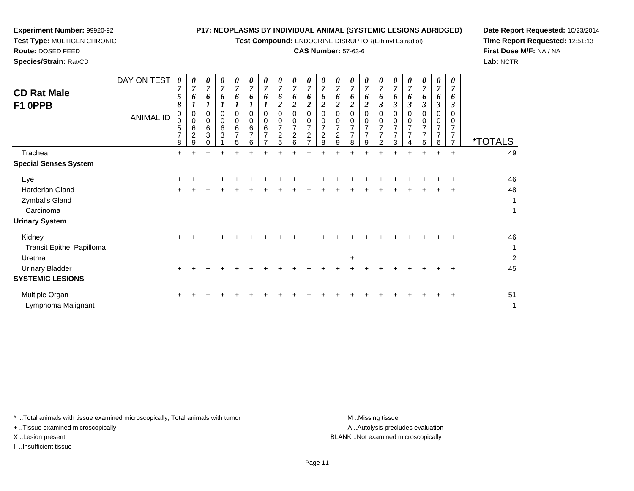**Test Compound:** ENDOCRINE DISRUPTOR(Ethinyl Estradiol)

## **CAS Number:** 57-63-6

**Date Report Requested:** 10/23/2014**Time Report Requested:** 12:51:13**First Dose M/F:** NA / NA**Lab:** NCTR

| <b>CD Rat Male</b><br>F1 OPPB | DAY ON TEST<br><b>ANIMAL ID</b> | $\boldsymbol{\theta}$<br>$\overline{7}$<br>5<br>8<br>0<br>0<br>5<br>$\overline{7}$<br>8 | 0<br>$\overline{7}$<br>6<br>0<br>$\mathbf 0$<br>6<br>$\overline{c}$<br>9 | 0<br>$\overline{7}$<br>6<br>0<br>$\mathbf 0$<br>6<br>$\mathbf{3}$ | 0<br>$\overline{7}$<br>6<br>0<br>$\mathbf 0$<br>6<br>3 | $\frac{\theta}{7}$<br>6<br>0<br>0<br>6<br>$\overline{7}$<br>5 | $\boldsymbol{\theta}$<br>$\overline{7}$<br>6<br>0<br>0<br>6<br>$\overline{ }$<br>6 | 0<br>$\overline{7}$<br>6<br>0<br>6<br>$\overline{ }$ | 0<br>$\overline{7}$<br>o<br>$\overline{7}$<br>$\overline{c}$<br>5 | 0<br>$\overline{7}$<br>6<br>0<br>0<br>$\overline{7}$<br>$\overline{2}$<br>6 | 0<br>$\overline{ }$<br>0<br>0<br>2 | 0<br>$\overline{7}$<br>6<br>∍<br>$\Omega$<br>0<br>7<br>$\overline{c}$<br>8 | $\boldsymbol{\theta}$<br>$\overline{7}$<br>6<br>0<br>$\overline{ }$<br>$\boldsymbol{2}$<br>9 | $\pmb{\theta}$<br>$\overline{7}$<br>o<br>$\overline{2}$<br>0<br>$\overline{7}$<br>$\overline{7}$<br>8 | 0<br>$\boldsymbol{7}$<br>0<br>$\overline{c}$<br>0<br>0<br>$\overline{7}$<br>$\overline{ }$<br>9 | 0<br>$\overline{7}$<br>6<br>0<br>0<br>7<br>$\overline{ }$<br>2 | 0<br>$\overline{7}$<br>o | 0<br>$\overline{7}$<br>6<br>0<br>$\overline{ }$ | 0<br>$\overline{7}$<br>6<br>7<br>$\overline{7}$<br>5 | $\boldsymbol{\theta}$<br>$\overline{7}$<br>6<br>$\boldsymbol{\beta}$<br>0<br>0<br>$\overline{7}$<br>$\overline{7}$<br>6 | 0<br>$\overline{ }$ | <i><b>*TOTALS</b></i> |
|-------------------------------|---------------------------------|-----------------------------------------------------------------------------------------|--------------------------------------------------------------------------|-------------------------------------------------------------------|--------------------------------------------------------|---------------------------------------------------------------|------------------------------------------------------------------------------------|------------------------------------------------------|-------------------------------------------------------------------|-----------------------------------------------------------------------------|------------------------------------|----------------------------------------------------------------------------|----------------------------------------------------------------------------------------------|-------------------------------------------------------------------------------------------------------|-------------------------------------------------------------------------------------------------|----------------------------------------------------------------|--------------------------|-------------------------------------------------|------------------------------------------------------|-------------------------------------------------------------------------------------------------------------------------|---------------------|-----------------------|
| Trachea                       |                                 | $\ddot{}$                                                                               | ٠                                                                        | $\ddot{}$                                                         | $\pm$                                                  |                                                               |                                                                                    |                                                      |                                                                   |                                                                             |                                    |                                                                            |                                                                                              |                                                                                                       |                                                                                                 |                                                                |                          | $\pm$                                           | $\ddot{}$                                            | ÷                                                                                                                       | $\ddot{}$           | 49                    |
| <b>Special Senses System</b>  |                                 |                                                                                         |                                                                          |                                                                   |                                                        |                                                               |                                                                                    |                                                      |                                                                   |                                                                             |                                    |                                                                            |                                                                                              |                                                                                                       |                                                                                                 |                                                                |                          |                                                 |                                                      |                                                                                                                         |                     |                       |
| Eye                           |                                 | $\ddot{}$                                                                               |                                                                          |                                                                   |                                                        |                                                               |                                                                                    |                                                      |                                                                   |                                                                             |                                    |                                                                            |                                                                                              |                                                                                                       |                                                                                                 |                                                                |                          |                                                 |                                                      |                                                                                                                         |                     | 46                    |
| Harderian Gland               |                                 | $\pm$                                                                                   |                                                                          |                                                                   |                                                        |                                                               |                                                                                    |                                                      |                                                                   |                                                                             |                                    |                                                                            |                                                                                              |                                                                                                       |                                                                                                 |                                                                |                          |                                                 |                                                      |                                                                                                                         | $\pm$               | 48                    |
| Zymbal's Gland                |                                 |                                                                                         |                                                                          |                                                                   |                                                        |                                                               |                                                                                    |                                                      |                                                                   |                                                                             |                                    |                                                                            |                                                                                              |                                                                                                       |                                                                                                 |                                                                |                          |                                                 |                                                      |                                                                                                                         |                     | 1                     |
| Carcinoma                     |                                 |                                                                                         |                                                                          |                                                                   |                                                        |                                                               |                                                                                    |                                                      |                                                                   |                                                                             |                                    |                                                                            |                                                                                              |                                                                                                       |                                                                                                 |                                                                |                          |                                                 |                                                      |                                                                                                                         |                     | 1                     |
| <b>Urinary System</b>         |                                 |                                                                                         |                                                                          |                                                                   |                                                        |                                                               |                                                                                    |                                                      |                                                                   |                                                                             |                                    |                                                                            |                                                                                              |                                                                                                       |                                                                                                 |                                                                |                          |                                                 |                                                      |                                                                                                                         |                     |                       |
| Kidney                        |                                 | ÷                                                                                       |                                                                          |                                                                   |                                                        |                                                               |                                                                                    |                                                      |                                                                   |                                                                             |                                    |                                                                            |                                                                                              |                                                                                                       |                                                                                                 |                                                                |                          |                                                 |                                                      |                                                                                                                         |                     | 46                    |
| Transit Epithe, Papilloma     |                                 |                                                                                         |                                                                          |                                                                   |                                                        |                                                               |                                                                                    |                                                      |                                                                   |                                                                             |                                    |                                                                            |                                                                                              |                                                                                                       |                                                                                                 |                                                                |                          |                                                 |                                                      |                                                                                                                         |                     | 1                     |
| Urethra                       |                                 |                                                                                         |                                                                          |                                                                   |                                                        |                                                               |                                                                                    |                                                      |                                                                   |                                                                             |                                    |                                                                            |                                                                                              | $\ddot{}$                                                                                             |                                                                                                 |                                                                |                          |                                                 |                                                      |                                                                                                                         |                     | $\overline{a}$        |
| <b>Urinary Bladder</b>        |                                 | $\ddot{}$                                                                               |                                                                          |                                                                   |                                                        |                                                               |                                                                                    |                                                      |                                                                   |                                                                             |                                    |                                                                            |                                                                                              |                                                                                                       |                                                                                                 |                                                                |                          |                                                 |                                                      |                                                                                                                         |                     | 45                    |
| <b>SYSTEMIC LESIONS</b>       |                                 |                                                                                         |                                                                          |                                                                   |                                                        |                                                               |                                                                                    |                                                      |                                                                   |                                                                             |                                    |                                                                            |                                                                                              |                                                                                                       |                                                                                                 |                                                                |                          |                                                 |                                                      |                                                                                                                         |                     |                       |

\* ..Total animals with tissue examined microscopically; Total animals with tumor **M** ...Missing tissue M ...Missing tissue

n  $+$ 

+ ..Tissue examined microscopically

**Experiment Number:** 99920-92**Test Type:** MULTIGEN CHRONIC

**Route:** DOSED FEED**Species/Strain:** Rat/CD

I ..Insufficient tissue

Multiple Organ

Lymphoma Malignant

A .. Autolysis precludes evaluation X ..Lesion present BLANK ..Not examined microscopically

t de la construction de la construction de la construction de la construction de la construction de la construction<br>La construction de la construction de la construction de la construction de la construction de la construc

<sup>+</sup> <sup>+</sup> <sup>+</sup> <sup>+</sup> <sup>+</sup> <sup>+</sup> <sup>+</sup> <sup>+</sup> <sup>+</sup> <sup>+</sup> <sup>+</sup> <sup>+</sup> <sup>+</sup> <sup>+</sup> <sup>+</sup> <sup>+</sup> <sup>+</sup> <sup>+</sup> <sup>+</sup> <sup>51</sup>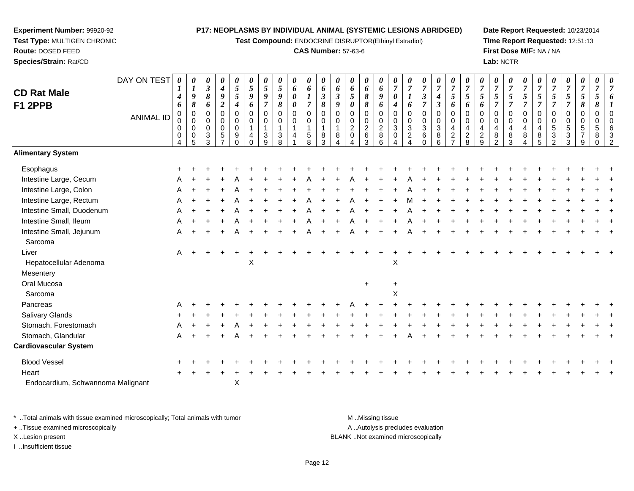**Test Compound:** ENDOCRINE DISRUPTOR(Ethinyl Estradiol)

#### **CAS Number:** 57-63-6

**Date Report Requested:** 10/23/2014**Time Report Requested:** 12:51:13**First Dose M/F:** NA / NA**Lab:** NCTR

00632

|                              | DAY ON TEST      | 0<br>1                | 0<br>$\boldsymbol{l}$                     | 0<br>$\boldsymbol{\mathfrak{z}}$          | 0<br>$\boldsymbol{4}$ | 0<br>$\mathfrak{s}$                       | 0<br>$\mathfrak{s}$                        | 0<br>5                          | 0<br>5                 | 0<br>6 | 0<br>$\boldsymbol{6}$                    | $\boldsymbol{\theta}$<br>$\pmb{6}$ | 0<br>6               | 0<br>6                               | 0<br>6                            | 0<br>$\boldsymbol{6}$                        | $\frac{\theta}{7}$                         | $\overline{7}$                                        | $\boldsymbol{\theta}$<br>$\overline{7}$     | 0<br>$\boldsymbol{7}$                         | $\frac{\theta}{7}$                           | $\frac{\boldsymbol{0}}{7}$                   | $\overline{7}$                  | $\overline{7}$                  | $\frac{\boldsymbol{0}}{7}$         | $\frac{\theta}{7}$                 | 0<br>$\overline{7}$      | $\overline{7}$                 | $\boldsymbol{\theta}$<br>$\overline{7}$   | $\boldsymbol{\theta}$<br>$\boldsymbol{7}$ | $\boldsymbol{\theta}$<br>$\overline{7}$ |  |
|------------------------------|------------------|-----------------------|-------------------------------------------|-------------------------------------------|-----------------------|-------------------------------------------|--------------------------------------------|---------------------------------|------------------------|--------|------------------------------------------|------------------------------------|----------------------|--------------------------------------|-----------------------------------|----------------------------------------------|--------------------------------------------|-------------------------------------------------------|---------------------------------------------|-----------------------------------------------|----------------------------------------------|----------------------------------------------|---------------------------------|---------------------------------|------------------------------------|------------------------------------|--------------------------|--------------------------------|-------------------------------------------|-------------------------------------------|-----------------------------------------|--|
| <b>CD Rat Male</b>           |                  | $\boldsymbol{4}$      | 9                                         | 8                                         | $\pmb{9}$             | $\mathfrak{s}$                            | $\boldsymbol{g}$                           | 9                               | 9                      | 0      | $\boldsymbol{l}$                         | $\mathfrak{z}$                     | $\boldsymbol{\beta}$ | 5                                    | 8                                 | $\pmb{9}$                                    | $\boldsymbol{\theta}$                      | $\boldsymbol{l}$                                      | $\mathfrak{z}$                              | $\boldsymbol{4}$                              | $\mathfrak{s}$                               | 5                                            | $\mathfrak{s}$                  | 5                               | $\overline{5}$                     | $\mathfrak{s}$                     | 5                        | $\sqrt{5}$                     | $\sqrt{5}$                                | $\sqrt{5}$                                | $\overline{\mathbf{5}}$                 |  |
| <b>F1 2PPB</b>               |                  | 6                     | 8                                         | 6                                         | $\overline{2}$        | $\boldsymbol{4}$                          | 6                                          | $\overline{7}$                  | 8                      | 0      | $\overline{7}$                           | $\pmb{8}$                          | 9<br>$\Omega$        | 0                                    | 8                                 | 6                                            | $\boldsymbol{4}$                           | 6                                                     | $\overline{7}$                              | $\boldsymbol{\beta}$                          | 6                                            | 6                                            | 6                               |                                 | $\overline{7}$                     | $\overline{7}$                     | $\overline{7}$           | $\overline{7}$                 | $\overline{7}$                            | $\pmb{8}$                                 | 8                                       |  |
|                              | <b>ANIMAL ID</b> | $\mathbf 0$<br>0<br>0 | $\mathbf 0$<br>$\mathbf 0$<br>$\mathbf 0$ | $\mathbf 0$<br>$\mathbf 0$<br>$\mathbf 0$ | 0<br>0<br>0           | $\mathbf 0$<br>$\mathbf 0$<br>$\mathbf 0$ | $\mathbf 0$<br>$\mathbf 0$<br>$\mathbf{1}$ | $\mathbf 0$<br>$\mathbf 0$<br>1 | 0<br>0<br>$\mathbf{1}$ | 0<br>0 | $\mathbf 0$<br>$\pmb{0}$<br>$\mathbf{1}$ | $\mathbf 0$<br>0<br>$\mathbf{1}$   | 0<br>1               | $\mathbf 0$<br>0<br>$\boldsymbol{2}$ | 0<br>$\mathbf 0$<br>$\frac{2}{6}$ | $\mathbf 0$<br>$\mathbf 0$<br>$\overline{2}$ | $\mathbf 0$<br>$\mathbf 0$<br>$\mathbf{3}$ | $\mathbf 0$<br>$\pmb{0}$<br>$\ensuremath{\mathsf{3}}$ | 0<br>$\pmb{0}$<br>$\ensuremath{\mathsf{3}}$ | 0<br>$\mathbf 0$<br>$\ensuremath{\mathsf{3}}$ | $\mathbf 0$<br>$\mathbf 0$<br>$\overline{4}$ | $\mathbf 0$<br>$\mathbf 0$<br>$\overline{4}$ | $\mathbf 0$<br>$\mathbf 0$<br>4 | $\mathbf 0$<br>$\mathbf 0$<br>4 | $\mathbf 0$<br>0<br>$\overline{4}$ | 0<br>$\mathbf 0$<br>$\overline{4}$ | 0<br>0<br>$\overline{4}$ | 0<br>$\mathbf 0$<br>5          | $\mathbf 0$<br>$\mathbf 0$<br>$\,$ 5 $\,$ | 0<br>$\mathbf 0$<br>$\frac{5}{7}$         | $\pmb{0}$<br>$\mathbf 0$<br>5           |  |
|                              |                  | 0<br>4                | $\mathbf 0$<br>5                          | 3<br>3                                    | $\sqrt{5}$            | 9<br>$\Omega$                             | $\overline{4}$<br>$\mathbf{0}$             | 3<br>9                          | 3<br>8                 | 4      | $\sqrt{5}$<br>8                          | 8<br>3                             | 8                    | $\pmb{0}$<br>Δ                       | 3                                 | $\,8\,$<br>6                                 | $\mathbf 0$<br>4                           | $\overline{c}$                                        | $\,6\,$<br>$\Omega$                         | $\bf8$<br>6                                   | $\sqrt{2}$<br>$\overline{7}$                 | $\overline{\mathbf{c}}$<br>8                 | $\sqrt{2}$<br>9                 | $\bf 8$<br>$\mathcal{D}$        | $\,8\,$<br>3                       | $\bf 8$<br>4                       | $\bf 8$<br>5             | $\ensuremath{\mathsf{3}}$<br>2 | $\sqrt{3}$<br>3                           | 9                                         | 8<br>$\Omega$                           |  |
| <b>Alimentary System</b>     |                  |                       |                                           |                                           |                       |                                           |                                            |                                 |                        |        |                                          |                                    |                      |                                      |                                   |                                              |                                            |                                                       |                                             |                                               |                                              |                                              |                                 |                                 |                                    |                                    |                          |                                |                                           |                                           |                                         |  |
| Esophagus                    |                  |                       |                                           |                                           |                       |                                           |                                            |                                 |                        |        |                                          |                                    |                      |                                      |                                   |                                              |                                            |                                                       |                                             |                                               |                                              |                                              |                                 |                                 |                                    |                                    |                          |                                |                                           |                                           |                                         |  |
| Intestine Large, Cecum       |                  |                       |                                           |                                           |                       |                                           |                                            |                                 |                        |        |                                          |                                    |                      |                                      |                                   |                                              |                                            |                                                       |                                             |                                               |                                              |                                              |                                 |                                 |                                    |                                    |                          |                                |                                           |                                           |                                         |  |
| Intestine Large, Colon       |                  | Α                     |                                           |                                           |                       |                                           |                                            |                                 |                        |        |                                          |                                    |                      |                                      |                                   |                                              |                                            |                                                       |                                             |                                               |                                              |                                              |                                 |                                 |                                    |                                    |                          |                                |                                           |                                           |                                         |  |
| Intestine Large, Rectum      |                  | Α                     |                                           |                                           |                       |                                           |                                            |                                 |                        |        |                                          |                                    |                      |                                      |                                   |                                              |                                            |                                                       |                                             |                                               |                                              |                                              |                                 |                                 |                                    |                                    |                          |                                |                                           |                                           |                                         |  |
| Intestine Small, Duodenum    |                  |                       |                                           |                                           |                       |                                           |                                            |                                 |                        |        |                                          |                                    |                      |                                      |                                   |                                              |                                            |                                                       |                                             |                                               |                                              |                                              |                                 |                                 |                                    |                                    |                          |                                |                                           |                                           |                                         |  |
| Intestine Small, Ileum       |                  | Α                     |                                           |                                           |                       |                                           |                                            |                                 |                        |        |                                          |                                    |                      |                                      |                                   |                                              |                                            |                                                       |                                             |                                               |                                              |                                              |                                 |                                 |                                    |                                    |                          |                                |                                           |                                           |                                         |  |
| Intestine Small, Jejunum     |                  | A                     |                                           |                                           | $\ddot{}$             |                                           |                                            |                                 |                        |        |                                          |                                    |                      |                                      |                                   |                                              |                                            |                                                       |                                             |                                               |                                              |                                              |                                 |                                 |                                    |                                    |                          |                                |                                           |                                           |                                         |  |
| Sarcoma                      |                  |                       |                                           |                                           |                       |                                           |                                            |                                 |                        |        |                                          |                                    |                      |                                      |                                   |                                              |                                            |                                                       |                                             |                                               |                                              |                                              |                                 |                                 |                                    |                                    |                          |                                |                                           |                                           |                                         |  |
| Liver                        |                  | A                     |                                           |                                           |                       |                                           |                                            |                                 |                        |        |                                          |                                    |                      |                                      |                                   |                                              |                                            |                                                       |                                             |                                               |                                              |                                              |                                 |                                 |                                    |                                    |                          |                                |                                           |                                           |                                         |  |
| Hepatocellular Adenoma       |                  |                       |                                           |                                           |                       |                                           | X                                          |                                 |                        |        |                                          |                                    |                      |                                      |                                   |                                              | X                                          |                                                       |                                             |                                               |                                              |                                              |                                 |                                 |                                    |                                    |                          |                                |                                           |                                           |                                         |  |
| Mesentery                    |                  |                       |                                           |                                           |                       |                                           |                                            |                                 |                        |        |                                          |                                    |                      |                                      |                                   |                                              |                                            |                                                       |                                             |                                               |                                              |                                              |                                 |                                 |                                    |                                    |                          |                                |                                           |                                           |                                         |  |
| Oral Mucosa                  |                  |                       |                                           |                                           |                       |                                           |                                            |                                 |                        |        |                                          |                                    |                      |                                      | $+$                               |                                              |                                            |                                                       |                                             |                                               |                                              |                                              |                                 |                                 |                                    |                                    |                          |                                |                                           |                                           |                                         |  |
| Sarcoma                      |                  |                       |                                           |                                           |                       |                                           |                                            |                                 |                        |        |                                          |                                    |                      |                                      |                                   |                                              | Χ                                          |                                                       |                                             |                                               |                                              |                                              |                                 |                                 |                                    |                                    |                          |                                |                                           |                                           |                                         |  |
| Pancreas                     |                  |                       |                                           |                                           |                       |                                           |                                            |                                 |                        |        |                                          |                                    |                      |                                      |                                   |                                              |                                            |                                                       |                                             |                                               |                                              |                                              |                                 |                                 |                                    |                                    |                          |                                |                                           |                                           |                                         |  |
| Salivary Glands              |                  |                       |                                           |                                           |                       |                                           |                                            |                                 |                        |        |                                          |                                    |                      |                                      |                                   |                                              |                                            |                                                       |                                             |                                               |                                              |                                              |                                 |                                 |                                    |                                    |                          |                                |                                           |                                           |                                         |  |
| Stomach, Forestomach         |                  |                       |                                           |                                           |                       |                                           |                                            |                                 |                        |        |                                          |                                    |                      |                                      |                                   |                                              |                                            |                                                       |                                             |                                               |                                              |                                              |                                 |                                 |                                    |                                    |                          |                                |                                           |                                           |                                         |  |
| Stomach, Glandular           |                  | A                     |                                           |                                           |                       |                                           |                                            |                                 |                        |        |                                          |                                    |                      |                                      |                                   |                                              |                                            |                                                       |                                             |                                               |                                              |                                              |                                 |                                 |                                    |                                    |                          |                                |                                           |                                           |                                         |  |
| <b>Cardiovascular System</b> |                  |                       |                                           |                                           |                       |                                           |                                            |                                 |                        |        |                                          |                                    |                      |                                      |                                   |                                              |                                            |                                                       |                                             |                                               |                                              |                                              |                                 |                                 |                                    |                                    |                          |                                |                                           |                                           |                                         |  |
| <b>Blood Vessel</b>          |                  |                       |                                           |                                           |                       |                                           |                                            |                                 |                        |        |                                          |                                    |                      |                                      |                                   |                                              |                                            |                                                       |                                             |                                               |                                              |                                              |                                 |                                 |                                    |                                    |                          |                                |                                           |                                           |                                         |  |
|                              |                  |                       |                                           |                                           |                       |                                           |                                            |                                 |                        |        |                                          |                                    |                      |                                      |                                   |                                              |                                            |                                                       |                                             |                                               |                                              |                                              |                                 |                                 |                                    |                                    |                          |                                |                                           |                                           |                                         |  |

Heart <sup>+</sup>Endocardium, Schwannoma MalignantX

**Experiment Number:** 99920-92**Test Type:** MULTIGEN CHRONIC

**Route:** DOSED FEED**Species/Strain:** Rat/CD

\* ..Total animals with tissue examined microscopically; Total animals with tumor **M** ...Missing tissue M ...Missing tissue A .. Autolysis precludes evaluation + ..Tissue examined microscopically X ..Lesion present BLANK ..Not examined microscopicallyI ..Insufficient tissue

<sup>+</sup> <sup>+</sup> <sup>+</sup> <sup>+</sup> <sup>+</sup> <sup>+</sup> <sup>+</sup> <sup>+</sup> <sup>+</sup> <sup>+</sup> <sup>+</sup> <sup>+</sup> <sup>+</sup> <sup>+</sup> <sup>+</sup> <sup>+</sup> <sup>+</sup> <sup>+</sup> <sup>+</sup> <sup>+</sup> <sup>+</sup> <sup>+</sup> <sup>+</sup> <sup>+</sup> <sup>+</sup> <sup>+</sup> <sup>+</sup> <sup>+</sup> <sup>+</sup> <sup>+</sup>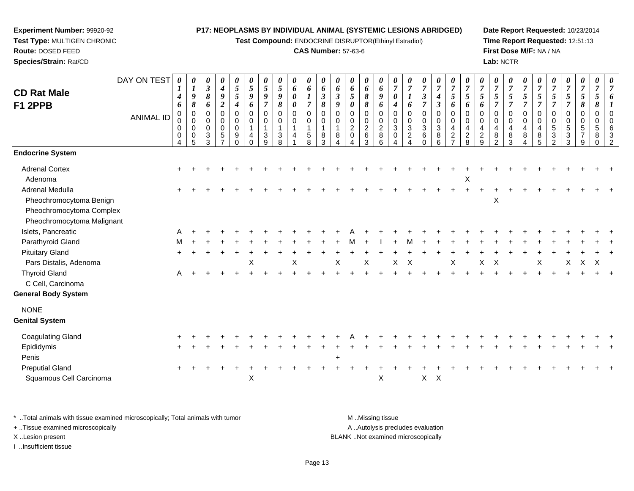**Test Compound:** ENDOCRINE DISRUPTOR(Ethinyl Estradiol)

## **CAS Number:** 57-63-6

**Date Report Requested:** 10/23/2014**Time Report Requested:** 12:51:13**First Dose M/F:** NA / NA**Lab:** NCTR

|                            | DAY ON TEST      | $\boldsymbol{\theta}$  | $\boldsymbol{\theta}$                | 0<br>$\boldsymbol{\beta}$ | 0                             | 0<br>$\mathfrak{s}$ | $\boldsymbol{\theta}$<br>$\mathfrak{s}$ | 0<br>$\overline{5}$        | 0<br>5 | 0            | 0                          | $\boldsymbol{\theta}$      | 0<br>6                     | 0<br>6         | 0              | 0                | 0<br>$\overline{7}$        | 0<br>$\overline{7}$        | 0<br>7               | 0<br>$\boldsymbol{7}$ | 0<br>$\overline{7}$                | 0<br>$\overline{7}$        | 0<br>$\overline{7}$     | 0<br>$\overline{7}$ | 0<br>$\boldsymbol{7}$ | 0<br>$\overline{7}$        | 0<br>$\overline{7}$        | $\overline{7}$                 | 0<br>$\overline{7}$ | 0<br>$\boldsymbol{7}$ | 0<br>$\overline{7}$       | 0<br>$\overline{7}$  |
|----------------------------|------------------|------------------------|--------------------------------------|---------------------------|-------------------------------|---------------------|-----------------------------------------|----------------------------|--------|--------------|----------------------------|----------------------------|----------------------------|----------------|----------------|------------------|----------------------------|----------------------------|----------------------|-----------------------|------------------------------------|----------------------------|-------------------------|---------------------|-----------------------|----------------------------|----------------------------|--------------------------------|---------------------|-----------------------|---------------------------|----------------------|
| <b>CD Rat Male</b>         |                  | $\boldsymbol{I}$<br>4  | $\boldsymbol{l}$<br>$\boldsymbol{9}$ | 8                         | $\boldsymbol{4}$<br>9         | 5                   | 9                                       | $\boldsymbol{9}$           | 9      | 6<br>0       | 6                          | 6<br>$\boldsymbol{\beta}$  | $\boldsymbol{\beta}$       | 5              | 6<br>$\pmb{8}$ | 6<br>9           | 0                          | $\boldsymbol{l}$           | $\boldsymbol{\beta}$ | $\boldsymbol{4}$      | 5                                  | $\mathfrak{s}$             | $\mathfrak{s}$          | 5                   | 5                     | 5                          | $\mathfrak{s}$             | $\sqrt{5}$                     | 5                   | $\mathfrak{s}$        | 5                         |                      |
| <b>F1 2PPB</b>             |                  | 6                      | $\pmb{8}$                            | 6                         | $\boldsymbol{2}$              | $\boldsymbol{4}$    | 6                                       | $\overline{7}$             | 8      | 0            | $\overline{7}$             | 8                          | $\boldsymbol{g}$           | 0              | 8              | 6                | $\boldsymbol{4}$           | 6                          | $\overline{7}$       | $\mathfrak{z}$        | 6                                  | 6                          | 6                       | $\overline{7}$      | $\overline{7}$        | $\overline{7}$             | $\overline{7}$             | $\overline{7}$                 | $\overline{7}$      | 8                     | 8                         |                      |
|                            | <b>ANIMAL ID</b> | $\pmb{0}$<br>$\pmb{0}$ | $\mathbf 0$<br>$\mathbf 0$           | 0<br>0                    | 0<br>0                        | $\mathbf 0$<br>0    | $\mathbf 0$<br>$\mathbf 0$              | $\mathbf 0$<br>$\mathbf 0$ | 0<br>0 | 0<br>0       | $\mathbf 0$<br>$\mathbf 0$ | $\mathbf 0$<br>$\mathbf 0$ | $\mathbf 0$<br>$\mathbf 0$ | 0<br>0         | 0<br>0         | $\mathbf 0$<br>0 | $\mathbf 0$<br>$\mathbf 0$ | $\mathbf 0$<br>$\mathbf 0$ | $\mathbf 0$<br>0     | 0<br>0                | $\mathbf 0$<br>0                   | $\mathbf 0$<br>$\mathbf 0$ | $\Omega$<br>$\mathbf 0$ | $\Omega$<br>0       | 0<br>0                | $\mathbf 0$<br>$\mathbf 0$ | $\mathbf 0$<br>$\mathbf 0$ | $\mathbf 0$<br>$\mathbf 0$     | $\mathbf 0$<br>0    | 0<br>0                | $\pmb{0}$<br>0            | $\Omega$<br>$\Omega$ |
|                            |                  | 0                      | $\mathbf 0$                          | $\Omega$                  | 0                             | 0                   | $\overline{1}$                          | $\mathbf{1}$               | 1      | $\mathbf{1}$ | 1                          |                            | $\mathbf{1}$               | $\overline{2}$ | $\overline{2}$ | $\frac{2}{8}$    | $\overline{3}$             | $\sqrt{3}$                 | 3                    | $\overline{3}$        | 4                                  | $\overline{4}$             | 4                       | 4                   | $\overline{4}$        | $\overline{4}$             | $\overline{4}$             | 5                              | 5                   | 5                     | $\sqrt{5}$                |                      |
|                            |                  | 0<br>4                 | $\pmb{0}$<br>5                       | 3<br>3                    | $\,$ 5 $\,$<br>$\overline{7}$ | 9<br>$\mathbf 0$    | 4<br>$\Omega$                           | $\mathbf{3}$<br>9          | 3<br>8 | 4            | $\sqrt{5}$<br>8            | 8<br>3                     | 8                          | $\Omega$       | 6<br>3         | 6                | $\mathbf 0$<br>4           | $\sqrt{2}$                 | 6<br>$\Omega$        | 8<br>6                | $\boldsymbol{2}$<br>$\overline{7}$ | $\frac{2}{8}$              | $\overline{2}$<br>9     | 8<br>$\mathcal{P}$  | $\bf 8$<br>3          | 8<br>Δ                     | 8<br>5                     | $\mathbf{3}$<br>$\overline{2}$ | 3<br>3              | $\overline{7}$<br>9   | 8<br>$\Omega$             |                      |
| <b>Endocrine System</b>    |                  |                        |                                      |                           |                               |                     |                                         |                            |        |              |                            |                            |                            |                |                |                  |                            |                            |                      |                       |                                    |                            |                         |                     |                       |                            |                            |                                |                     |                       |                           |                      |
| <b>Adrenal Cortex</b>      |                  |                        |                                      |                           |                               |                     |                                         |                            |        |              |                            |                            |                            |                |                |                  |                            |                            |                      |                       |                                    |                            |                         |                     |                       |                            |                            |                                |                     |                       |                           |                      |
| Adenoma                    |                  |                        |                                      |                           |                               |                     |                                         |                            |        |              |                            |                            |                            |                |                |                  |                            |                            |                      |                       |                                    | X                          |                         |                     |                       |                            |                            |                                |                     |                       |                           |                      |
| Adrenal Medulla            |                  |                        |                                      |                           |                               |                     |                                         |                            |        |              |                            |                            |                            |                |                |                  |                            |                            |                      |                       |                                    |                            |                         |                     |                       |                            |                            |                                |                     |                       |                           |                      |
| Pheochromocytoma Benign    |                  |                        |                                      |                           |                               |                     |                                         |                            |        |              |                            |                            |                            |                |                |                  |                            |                            |                      |                       |                                    |                            |                         | X                   |                       |                            |                            |                                |                     |                       |                           |                      |
| Pheochromocytoma Complex   |                  |                        |                                      |                           |                               |                     |                                         |                            |        |              |                            |                            |                            |                |                |                  |                            |                            |                      |                       |                                    |                            |                         |                     |                       |                            |                            |                                |                     |                       |                           |                      |
| Pheochromocytoma Malignant |                  |                        |                                      |                           |                               |                     |                                         |                            |        |              |                            |                            |                            |                |                |                  |                            |                            |                      |                       |                                    |                            |                         |                     |                       |                            |                            |                                |                     |                       |                           |                      |
| Islets, Pancreatic         |                  |                        |                                      |                           |                               |                     |                                         |                            |        |              |                            |                            |                            |                |                |                  |                            |                            |                      |                       |                                    |                            |                         |                     |                       |                            |                            |                                |                     |                       |                           |                      |
| Parathyroid Gland          |                  |                        |                                      |                           |                               |                     |                                         |                            |        |              |                            |                            |                            |                |                |                  |                            | M                          |                      |                       |                                    |                            |                         |                     |                       |                            |                            |                                |                     |                       |                           |                      |
| <b>Pituitary Gland</b>     |                  |                        |                                      |                           |                               |                     |                                         |                            |        |              |                            |                            |                            |                |                |                  |                            |                            |                      |                       |                                    |                            |                         |                     |                       |                            |                            |                                |                     |                       |                           |                      |
| Pars Distalis, Adenoma     |                  |                        |                                      |                           |                               |                     | X                                       |                            |        | X            |                            |                            | Χ                          |                | X              |                  | Χ                          | X                          |                      |                       | X                                  |                            | X                       | X                   |                       |                            | Χ                          |                                | X                   | $\mathsf{X}$          | $\boldsymbol{\mathsf{X}}$ |                      |
| <b>Thyroid Gland</b>       |                  | A                      |                                      |                           |                               |                     |                                         |                            |        |              |                            |                            |                            |                |                |                  |                            |                            |                      |                       |                                    |                            |                         |                     |                       |                            |                            |                                |                     |                       |                           |                      |
| C Cell, Carcinoma          |                  |                        |                                      |                           |                               |                     |                                         |                            |        |              |                            |                            |                            |                |                |                  |                            |                            |                      |                       |                                    |                            |                         |                     |                       |                            |                            |                                |                     |                       |                           |                      |
| <b>General Body System</b> |                  |                        |                                      |                           |                               |                     |                                         |                            |        |              |                            |                            |                            |                |                |                  |                            |                            |                      |                       |                                    |                            |                         |                     |                       |                            |                            |                                |                     |                       |                           |                      |
| <b>NONE</b>                |                  |                        |                                      |                           |                               |                     |                                         |                            |        |              |                            |                            |                            |                |                |                  |                            |                            |                      |                       |                                    |                            |                         |                     |                       |                            |                            |                                |                     |                       |                           |                      |
| <b>Genital System</b>      |                  |                        |                                      |                           |                               |                     |                                         |                            |        |              |                            |                            |                            |                |                |                  |                            |                            |                      |                       |                                    |                            |                         |                     |                       |                            |                            |                                |                     |                       |                           |                      |
| <b>Coagulating Gland</b>   |                  |                        |                                      |                           |                               |                     |                                         |                            |        |              |                            |                            |                            |                |                |                  |                            |                            |                      |                       |                                    |                            |                         |                     |                       |                            |                            |                                |                     |                       |                           |                      |
| Epididymis                 |                  |                        |                                      |                           |                               |                     |                                         |                            |        |              |                            |                            |                            |                |                |                  |                            |                            |                      |                       |                                    |                            |                         |                     |                       |                            |                            |                                |                     |                       |                           |                      |
| Penis                      |                  |                        |                                      |                           |                               |                     |                                         |                            |        |              |                            |                            | $\ddot{}$                  |                |                |                  |                            |                            |                      |                       |                                    |                            |                         |                     |                       |                            |                            |                                |                     |                       |                           |                      |
| <b>Preputial Gland</b>     |                  |                        |                                      |                           |                               |                     |                                         |                            |        |              |                            |                            |                            |                |                |                  |                            |                            |                      |                       |                                    |                            |                         |                     |                       |                            |                            |                                |                     |                       |                           |                      |
| Squamous Cell Carcinoma    |                  |                        |                                      |                           |                               |                     | X                                       |                            |        |              |                            |                            |                            |                |                | X                |                            |                            | $X$ $X$              |                       |                                    |                            |                         |                     |                       |                            |                            |                                |                     |                       |                           |                      |
|                            |                  |                        |                                      |                           |                               |                     |                                         |                            |        |              |                            |                            |                            |                |                |                  |                            |                            |                      |                       |                                    |                            |                         |                     |                       |                            |                            |                                |                     |                       |                           |                      |

\* ..Total animals with tissue examined microscopically; Total animals with tumor **M** . Missing tissue M ..Missing tissue A ..Autolysis precludes evaluation + ..Tissue examined microscopically X ..Lesion present BLANK ..Not examined microscopicallyI ..Insufficient tissue

**Experiment Number:** 99920-92**Test Type:** MULTIGEN CHRONIC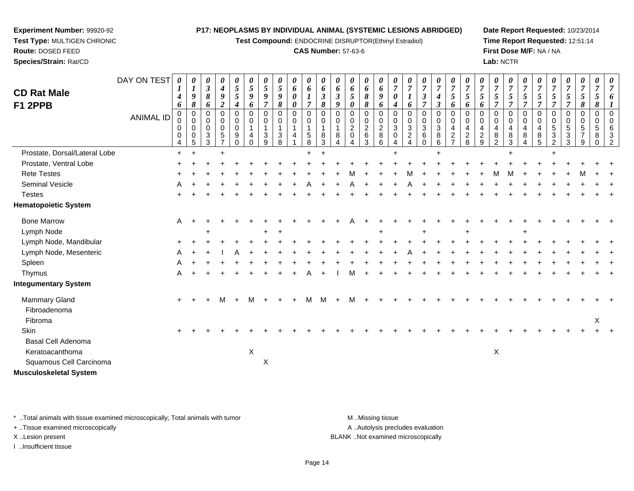**Test Compound:** ENDOCRINE DISRUPTOR(Ethinyl Estradiol)

## **CAS Number:** 57-63-6

**Date Report Requested:** 10/23/2014**Time Report Requested:** 12:51:14**First Dose M/F:** NA / NA**Lab:** NCTR

|                               | DAY ON TEST | $\boldsymbol{\theta}$             | 0<br>$\boldsymbol{l}$                          | 0<br>$\boldsymbol{\beta}$                              | 0<br>$\boldsymbol{4}$                                    | 0<br>5                                                                    | 0<br>5                                                  | 0<br>5                                                                 | 0<br>$\mathfrak{s}$                                      | 0<br>$\boldsymbol{6}$                     | 0<br>6                                                                 | 0<br>6                                          | $\theta$<br>6                          | 0<br>6                                                         | 0<br>6                                            | 0<br>6                                                         | 0<br>$\overline{7}$                                        | $\overline{7}$                                               | $\boldsymbol{\theta}$<br>$\overline{7}$                                        | $\boldsymbol{\theta}$<br>$\overline{7}$                                                   | 0<br>$\overline{7}$                                                                        | 0<br>$\overline{7}$                                      | $\boldsymbol{7}$                                         | 0<br>$\overline{7}$                                      | 0<br>$\overline{7}$                            | 0<br>$\overline{7}$                                                   | 0<br>$\overline{7}$                                      | $\overline{7}$                                                        | $\boldsymbol{\theta}$<br>$\overline{7}$        | 0<br>$\overline{7}$                                        | 0<br>$\overline{7}$                                     | 0                   |
|-------------------------------|-------------|-----------------------------------|------------------------------------------------|--------------------------------------------------------|----------------------------------------------------------|---------------------------------------------------------------------------|---------------------------------------------------------|------------------------------------------------------------------------|----------------------------------------------------------|-------------------------------------------|------------------------------------------------------------------------|-------------------------------------------------|----------------------------------------|----------------------------------------------------------------|---------------------------------------------------|----------------------------------------------------------------|------------------------------------------------------------|--------------------------------------------------------------|--------------------------------------------------------------------------------|-------------------------------------------------------------------------------------------|--------------------------------------------------------------------------------------------|----------------------------------------------------------|----------------------------------------------------------|----------------------------------------------------------|------------------------------------------------|-----------------------------------------------------------------------|----------------------------------------------------------|-----------------------------------------------------------------------|------------------------------------------------|------------------------------------------------------------|---------------------------------------------------------|---------------------|
| <b>CD Rat Male</b>            |             | $\boldsymbol{4}$                  | $\boldsymbol{g}$                               | $\boldsymbol{\delta}$                                  | $\boldsymbol{g}$                                         | 5                                                                         | 9                                                       | 9                                                                      | $\boldsymbol{9}$                                         | $\boldsymbol{\theta}$                     | $\boldsymbol{l}$                                                       | $\overline{\mathbf{3}}$                         | $\mathfrak{z}$                         | $\mathfrak{s}$                                                 | $\pmb{8}$                                         | $\boldsymbol{g}$                                               | $\boldsymbol{\theta}$                                      | $\boldsymbol{l}$                                             | $\boldsymbol{\beta}$                                                           | $\boldsymbol{4}$                                                                          | $\mathfrak{s}$                                                                             | $\mathfrak{H}$                                           | 5                                                        | 5                                                        | 5                                              | 5                                                                     | 5                                                        | 5                                                                     | 5                                              | 5                                                          | 5                                                       |                     |
| F1 2PPB                       | ANIMAL ID   | 6<br>$\Omega$<br>0<br>0<br>0<br>4 | 8<br>$\mathbf 0$<br>$\mathbf 0$<br>0<br>0<br>5 | 6<br>$\Omega$<br>$\mathbf 0$<br>0<br>$\mathbf{3}$<br>3 | $\overline{c}$<br>$\Omega$<br>0<br>$\mathbf 0$<br>5<br>⇁ | $\boldsymbol{4}$<br>$\mathbf 0$<br>0<br>0<br>$\boldsymbol{9}$<br>$\Omega$ | 6<br>$\mathbf 0$<br>$\pmb{0}$<br>$\mathbf{1}$<br>4<br>0 | $\overline{7}$<br>$\Omega$<br>0<br>$\overline{1}$<br>$\mathbf{3}$<br>9 | $\boldsymbol{\delta}$<br>$\mathbf 0$<br>0<br>1<br>3<br>8 | 0<br>$\mathbf 0$<br>$\mathbf 0$<br>1<br>4 | $\overline{7}$<br>$\mathbf 0$<br>$\mathbf 0$<br>$\mathbf{1}$<br>5<br>8 | 8<br>$\mathbf 0$<br>0<br>$\mathbf{1}$<br>8<br>3 | 9<br>$\Omega$<br>$\mathbf 0$<br>8<br>4 | 0<br>$\mathbf 0$<br>$\mathbf 0$<br>$\overline{c}$<br>$\pmb{0}$ | $\pmb{8}$<br>0<br>0<br>$\sqrt{2}$<br>$\,6\,$<br>3 | 6<br>$\overline{0}$<br>$\mathbf 0$<br>$\overline{c}$<br>8<br>6 | $\boldsymbol{4}$<br>$\Omega$<br>0<br>3<br>$\mathbf 0$<br>4 | 6<br>$\Omega$<br>$\mathbf 0$<br>$\sqrt{3}$<br>$\overline{2}$ | $\overline{7}$<br>$\Omega$<br>$\mathbf 0$<br>$\sqrt{3}$<br>$\,6\,$<br>$\Omega$ | $\boldsymbol{\beta}$<br>$\mathbf 0$<br>$\mathbf 0$<br>$\ensuremath{\mathsf{3}}$<br>8<br>6 | 6<br>$\mathbf 0$<br>$\mathbf 0$<br>$\overline{\mathbf{4}}$<br>$\sqrt{2}$<br>$\overline{7}$ | 6<br>$\Omega$<br>$\mathbf 0$<br>4<br>$\overline{2}$<br>8 | 6<br>$\Omega$<br>$\mathbf 0$<br>4<br>$\overline{c}$<br>9 | $\overline{7}$<br>$\Omega$<br>$\mathbf 0$<br>4<br>8<br>2 | $\overline{7}$<br>$\Omega$<br>0<br>4<br>8<br>3 | $\overline{7}$<br>$\Omega$<br>$\mathbf 0$<br>$\overline{4}$<br>8<br>4 | $\overline{7}$<br>$\Omega$<br>$\mathbf 0$<br>4<br>8<br>5 | $\overline{7}$<br>$\Omega$<br>$\mathbf 0$<br>5<br>3<br>$\overline{2}$ | $\overline{7}$<br>$\Omega$<br>0<br>5<br>3<br>3 | 8<br>0<br>$\mathbf 0$<br>$\sqrt{5}$<br>$\overline{7}$<br>9 | 8<br>$\mathbf 0$<br>$\mathbf 0$<br>$\sqrt{5}$<br>8<br>0 | 3<br>$\overline{2}$ |
| Prostate, Dorsal/Lateral Lobe |             | $\ddot{}$                         | $\ddot{}$                                      |                                                        |                                                          |                                                                           |                                                         |                                                                        |                                                          |                                           |                                                                        | $\ddot{}$                                       |                                        |                                                                |                                                   |                                                                |                                                            |                                                              |                                                                                |                                                                                           |                                                                                            |                                                          |                                                          |                                                          |                                                |                                                                       |                                                          |                                                                       |                                                |                                                            |                                                         |                     |
| Prostate, Ventral Lobe        |             |                                   |                                                |                                                        |                                                          |                                                                           |                                                         |                                                                        |                                                          |                                           |                                                                        |                                                 |                                        |                                                                |                                                   |                                                                |                                                            |                                                              |                                                                                |                                                                                           |                                                                                            |                                                          |                                                          |                                                          |                                                |                                                                       |                                                          |                                                                       |                                                |                                                            |                                                         |                     |
| <b>Rete Testes</b>            |             |                                   |                                                |                                                        |                                                          |                                                                           |                                                         |                                                                        |                                                          |                                           |                                                                        |                                                 |                                        |                                                                |                                                   |                                                                |                                                            |                                                              |                                                                                |                                                                                           |                                                                                            |                                                          |                                                          |                                                          |                                                |                                                                       |                                                          |                                                                       |                                                |                                                            |                                                         |                     |
| Seminal Vesicle               |             |                                   |                                                |                                                        |                                                          |                                                                           |                                                         |                                                                        |                                                          |                                           |                                                                        |                                                 |                                        |                                                                |                                                   |                                                                |                                                            |                                                              |                                                                                |                                                                                           |                                                                                            |                                                          |                                                          |                                                          |                                                |                                                                       |                                                          |                                                                       |                                                |                                                            |                                                         |                     |
| <b>Testes</b>                 |             |                                   |                                                |                                                        |                                                          |                                                                           |                                                         |                                                                        |                                                          |                                           |                                                                        |                                                 |                                        |                                                                |                                                   |                                                                |                                                            |                                                              |                                                                                |                                                                                           |                                                                                            |                                                          |                                                          |                                                          |                                                |                                                                       |                                                          |                                                                       |                                                |                                                            |                                                         |                     |
| <b>Hematopoietic System</b>   |             |                                   |                                                |                                                        |                                                          |                                                                           |                                                         |                                                                        |                                                          |                                           |                                                                        |                                                 |                                        |                                                                |                                                   |                                                                |                                                            |                                                              |                                                                                |                                                                                           |                                                                                            |                                                          |                                                          |                                                          |                                                |                                                                       |                                                          |                                                                       |                                                |                                                            |                                                         |                     |
| <b>Bone Marrow</b>            |             | A                                 |                                                |                                                        |                                                          |                                                                           |                                                         |                                                                        |                                                          |                                           |                                                                        |                                                 |                                        |                                                                |                                                   |                                                                |                                                            |                                                              |                                                                                |                                                                                           |                                                                                            |                                                          |                                                          |                                                          |                                                |                                                                       |                                                          |                                                                       |                                                |                                                            |                                                         |                     |
| Lymph Node                    |             |                                   |                                                |                                                        |                                                          |                                                                           |                                                         |                                                                        |                                                          |                                           |                                                                        |                                                 |                                        |                                                                |                                                   |                                                                |                                                            |                                                              |                                                                                |                                                                                           |                                                                                            |                                                          |                                                          |                                                          |                                                |                                                                       |                                                          |                                                                       |                                                |                                                            |                                                         |                     |
| Lymph Node, Mandibular        |             |                                   |                                                |                                                        |                                                          |                                                                           |                                                         |                                                                        |                                                          |                                           |                                                                        |                                                 |                                        |                                                                |                                                   |                                                                |                                                            |                                                              |                                                                                |                                                                                           |                                                                                            |                                                          |                                                          |                                                          |                                                |                                                                       |                                                          |                                                                       |                                                |                                                            |                                                         |                     |
| Lymph Node, Mesenteric        |             |                                   |                                                |                                                        |                                                          |                                                                           |                                                         |                                                                        |                                                          |                                           |                                                                        |                                                 |                                        |                                                                |                                                   |                                                                |                                                            |                                                              |                                                                                |                                                                                           |                                                                                            |                                                          |                                                          |                                                          |                                                |                                                                       |                                                          |                                                                       |                                                |                                                            |                                                         |                     |
| Spleen                        |             |                                   |                                                |                                                        |                                                          |                                                                           |                                                         |                                                                        |                                                          |                                           |                                                                        |                                                 |                                        |                                                                |                                                   |                                                                |                                                            |                                                              |                                                                                |                                                                                           |                                                                                            |                                                          |                                                          |                                                          |                                                |                                                                       |                                                          |                                                                       |                                                |                                                            |                                                         |                     |
| Thymus                        |             | A                                 |                                                |                                                        |                                                          |                                                                           |                                                         |                                                                        |                                                          |                                           |                                                                        |                                                 |                                        |                                                                |                                                   |                                                                |                                                            |                                                              |                                                                                |                                                                                           |                                                                                            |                                                          |                                                          |                                                          |                                                |                                                                       |                                                          |                                                                       |                                                |                                                            |                                                         |                     |
| <b>Integumentary System</b>   |             |                                   |                                                |                                                        |                                                          |                                                                           |                                                         |                                                                        |                                                          |                                           |                                                                        |                                                 |                                        |                                                                |                                                   |                                                                |                                                            |                                                              |                                                                                |                                                                                           |                                                                                            |                                                          |                                                          |                                                          |                                                |                                                                       |                                                          |                                                                       |                                                |                                                            |                                                         |                     |
| Mammary Gland                 |             |                                   |                                                |                                                        | M                                                        |                                                                           | м                                                       |                                                                        |                                                          |                                           | м                                                                      |                                                 |                                        |                                                                |                                                   |                                                                |                                                            |                                                              |                                                                                |                                                                                           |                                                                                            |                                                          |                                                          |                                                          |                                                |                                                                       |                                                          |                                                                       |                                                |                                                            |                                                         |                     |
| Fibroadenoma                  |             |                                   |                                                |                                                        |                                                          |                                                                           |                                                         |                                                                        |                                                          |                                           |                                                                        |                                                 |                                        |                                                                |                                                   |                                                                |                                                            |                                                              |                                                                                |                                                                                           |                                                                                            |                                                          |                                                          |                                                          |                                                |                                                                       |                                                          |                                                                       |                                                |                                                            |                                                         |                     |
| Fibroma                       |             |                                   |                                                |                                                        |                                                          |                                                                           |                                                         |                                                                        |                                                          |                                           |                                                                        |                                                 |                                        |                                                                |                                                   |                                                                |                                                            |                                                              |                                                                                |                                                                                           |                                                                                            |                                                          |                                                          |                                                          |                                                |                                                                       |                                                          |                                                                       |                                                |                                                            | X                                                       |                     |
| Skin                          |             |                                   |                                                |                                                        |                                                          |                                                                           |                                                         |                                                                        |                                                          |                                           |                                                                        |                                                 |                                        |                                                                |                                                   |                                                                |                                                            |                                                              |                                                                                |                                                                                           |                                                                                            |                                                          |                                                          |                                                          |                                                |                                                                       |                                                          |                                                                       |                                                |                                                            |                                                         |                     |
| Basal Cell Adenoma            |             |                                   |                                                |                                                        |                                                          |                                                                           |                                                         |                                                                        |                                                          |                                           |                                                                        |                                                 |                                        |                                                                |                                                   |                                                                |                                                            |                                                              |                                                                                |                                                                                           |                                                                                            |                                                          |                                                          |                                                          |                                                |                                                                       |                                                          |                                                                       |                                                |                                                            |                                                         |                     |
| Keratoacanthoma               |             |                                   |                                                |                                                        |                                                          |                                                                           | $\mathsf X$                                             |                                                                        |                                                          |                                           |                                                                        |                                                 |                                        |                                                                |                                                   |                                                                |                                                            |                                                              |                                                                                |                                                                                           |                                                                                            |                                                          |                                                          | X                                                        |                                                |                                                                       |                                                          |                                                                       |                                                |                                                            |                                                         |                     |
| Squamous Cell Carcinoma       |             |                                   |                                                |                                                        |                                                          |                                                                           |                                                         | X                                                                      |                                                          |                                           |                                                                        |                                                 |                                        |                                                                |                                                   |                                                                |                                                            |                                                              |                                                                                |                                                                                           |                                                                                            |                                                          |                                                          |                                                          |                                                |                                                                       |                                                          |                                                                       |                                                |                                                            |                                                         |                     |
| <b>Musculoskeletal System</b> |             |                                   |                                                |                                                        |                                                          |                                                                           |                                                         |                                                                        |                                                          |                                           |                                                                        |                                                 |                                        |                                                                |                                                   |                                                                |                                                            |                                                              |                                                                                |                                                                                           |                                                                                            |                                                          |                                                          |                                                          |                                                |                                                                       |                                                          |                                                                       |                                                |                                                            |                                                         |                     |

\* ..Total animals with tissue examined microscopically; Total animals with tumor **M** . Missing tissue M ..Missing tissue

+ ..Tissue examined microscopically

**Experiment Number:** 99920-92**Test Type:** MULTIGEN CHRONIC

**Route:** DOSED FEED**Species/Strain:** Rat/CD

I ..Insufficient tissue

A ..Autolysis precludes evaluation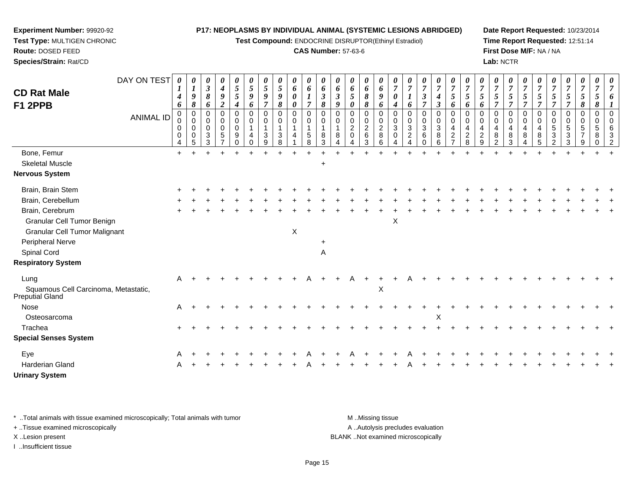**Test Compound:** ENDOCRINE DISRUPTOR(Ethinyl Estradiol)

## **CAS Number:** 57-63-6

**Date Report Requested:** 10/23/2014**Time Report Requested:** 12:51:14**First Dose M/F:** NA / NA**Lab:** NCTR

| DAY ON TEST                                             | 0                               |                                                  | 0                                                | 0                                            | 0                                                | 0                                          | 0                                  | 0                                                      | 0                                     | 0                                                    | 0                                         |                                       | 0                                                           | 0                                            | 0                                                      | 0                                       |                                        | 0                                             | 0                                        | 0                                                                   | 0                                         |                                                  | 0                                                | 0                               | 0                                    | 0                                                         |                     |                                   |                                  |                              |  |
|---------------------------------------------------------|---------------------------------|--------------------------------------------------|--------------------------------------------------|----------------------------------------------|--------------------------------------------------|--------------------------------------------|------------------------------------|--------------------------------------------------------|---------------------------------------|------------------------------------------------------|-------------------------------------------|---------------------------------------|-------------------------------------------------------------|----------------------------------------------|--------------------------------------------------------|-----------------------------------------|----------------------------------------|-----------------------------------------------|------------------------------------------|---------------------------------------------------------------------|-------------------------------------------|--------------------------------------------------|--------------------------------------------------|---------------------------------|--------------------------------------|-----------------------------------------------------------|---------------------|-----------------------------------|----------------------------------|------------------------------|--|
| <b>CD Rat Male</b>                                      |                                 | 9                                                | $\boldsymbol{\beta}$<br>$\boldsymbol{\delta}$    | $\boldsymbol{4}$<br>9                        | 5<br>5                                           | $5\overline{)}$<br>9                       | $\mathfrak{H}$<br>$\boldsymbol{g}$ | $\sqrt{5}$<br>$\boldsymbol{g}$                         | 6<br>$\boldsymbol{\theta}$            | 6<br>$\boldsymbol{l}$                                | 6<br>$\mathfrak{z}$                       | 6<br>$\mathfrak{z}$                   | 6<br>5                                                      | 6<br>$\boldsymbol{\delta}$                   | 6<br>$\boldsymbol{g}$                                  | $\overline{7}$<br>$\boldsymbol{\theta}$ | $\overline{7}$<br>$\boldsymbol{l}$     | $\boldsymbol{\beta}$                          | $\overline{7}$<br>$\boldsymbol{4}$       | $\overline{7}$<br>$\mathfrak{H}$                                    | $\overline{7}$<br>5                       | $\overline{7}$<br>5                              | $\overline{7}$<br>5                              | $\overline{7}$<br>5             | $\overline{7}$<br>$\mathfrak{s}$     | $\overline{7}$<br>$\sqrt{5}$                              | $\overline{7}$<br>5 | $\overline{7}$<br>5               | $\overline{7}$<br>$\mathfrak{s}$ | $\overline{7}$<br>5          |  |
| F1 2PPB                                                 | 4<br>6                          | 8                                                | 6                                                | $\overline{2}$                               | $\boldsymbol{4}$                                 | 6                                          | $\overline{7}$                     | 8                                                      | 0                                     | $\overline{7}$                                       | 8                                         | 9                                     | 0                                                           | 8                                            | 6                                                      | 4                                       |                                        | $\overline{7}$                                | $\mathfrak{z}$                           | 6                                                                   | 6                                         | 6                                                | $\overline{\tau}$                                | 7                               | $\overline{7}$                       | $\overline{7}$                                            | $\overline{7}$      | $\overline{7}$                    | 8                                | 8                            |  |
| <b>ANIMAL ID</b>                                        | 0<br>$\mathbf 0$<br>0<br>0<br>4 | $\mathbf 0$<br>$\Omega$<br>$\mathbf 0$<br>0<br>5 | $\mathbf 0$<br>$\Omega$<br>$\mathbf 0$<br>3<br>3 | $\pmb{0}$<br>$\mathbf 0$<br>$\mathbf 0$<br>5 | 0<br>$\mathbf 0$<br>$\mathbf 0$<br>9<br>$\Omega$ | 0<br>$\mathbf 0$<br>$\mathbf{1}$<br>4<br>0 | 0<br>0<br>$\mathbf{1}$<br>3<br>9   | $\mathbf 0$<br>$\mathbf 0$<br>$\overline{1}$<br>3<br>8 | 0<br>$\mathbf 0$<br>$\mathbf{1}$<br>4 | $\mathbf 0$<br>$\mathbf 0$<br>$\mathbf{1}$<br>5<br>8 | $\mathbf 0$<br>$\mathbf 0$<br>1<br>8<br>3 | $\mathbf 0$<br>0<br>$\mathbf{1}$<br>8 | $\mathbf 0$<br>$\mathbf 0$<br>$\overline{2}$<br>$\mathbf 0$ | 0<br>$\mathbf 0$<br>$\overline{2}$<br>6<br>3 | $\mathbf 0$<br>$\mathbf 0$<br>$\overline{2}$<br>8<br>6 | 0<br>$\mathbf 0$<br>3<br>$\Omega$       | 0<br>0<br>$\sqrt{3}$<br>$\overline{c}$ | $\mathbf 0$<br>$\mathbf 0$<br>$\sqrt{3}$<br>6 | 0<br>$\mathbf 0$<br>$\sqrt{3}$<br>8<br>6 | $\mathbf 0$<br>$\mathbf 0$<br>4<br>$\overline{2}$<br>$\overline{7}$ | 0<br>$\Omega$<br>4<br>$\overline{2}$<br>8 | $\Omega$<br>$\Omega$<br>4<br>$\overline{2}$<br>9 | $\Omega$<br>$\Omega$<br>4<br>8<br>$\mathfrak{p}$ | 0<br>$\mathbf 0$<br>4<br>8<br>3 | $\mathbf 0$<br>$\mathbf 0$<br>4<br>8 | $\mathbf 0$<br>$\overline{0}$<br>$\overline{4}$<br>8<br>5 | 0<br>0<br>5<br>3    | $\mathbf 0$<br>$\Omega$<br>5<br>3 | 0<br>0<br>5                      | $\mathbf 0$<br>$\Omega$<br>5 |  |
| Bone, Femur                                             | $\ddot{}$                       |                                                  |                                                  |                                              |                                                  |                                            |                                    |                                                        |                                       |                                                      |                                           |                                       |                                                             |                                              |                                                        |                                         |                                        |                                               |                                          |                                                                     |                                           |                                                  |                                                  |                                 |                                      |                                                           |                     |                                   |                                  |                              |  |
| <b>Skeletal Muscle</b>                                  |                                 |                                                  |                                                  |                                              |                                                  |                                            |                                    |                                                        |                                       |                                                      | $\ddot{}$                                 |                                       |                                                             |                                              |                                                        |                                         |                                        |                                               |                                          |                                                                     |                                           |                                                  |                                                  |                                 |                                      |                                                           |                     |                                   |                                  |                              |  |
| <b>Nervous System</b>                                   |                                 |                                                  |                                                  |                                              |                                                  |                                            |                                    |                                                        |                                       |                                                      |                                           |                                       |                                                             |                                              |                                                        |                                         |                                        |                                               |                                          |                                                                     |                                           |                                                  |                                                  |                                 |                                      |                                                           |                     |                                   |                                  |                              |  |
| Brain, Brain Stem                                       |                                 |                                                  |                                                  |                                              |                                                  |                                            |                                    |                                                        |                                       |                                                      |                                           |                                       |                                                             |                                              |                                                        |                                         |                                        |                                               |                                          |                                                                     |                                           |                                                  |                                                  |                                 |                                      |                                                           |                     |                                   |                                  |                              |  |
| Brain, Cerebellum                                       |                                 |                                                  |                                                  |                                              |                                                  |                                            |                                    |                                                        |                                       |                                                      |                                           |                                       |                                                             |                                              |                                                        |                                         |                                        |                                               |                                          |                                                                     |                                           |                                                  |                                                  |                                 |                                      |                                                           |                     |                                   |                                  |                              |  |
| Brain, Cerebrum                                         |                                 |                                                  |                                                  |                                              |                                                  |                                            |                                    |                                                        |                                       |                                                      |                                           |                                       |                                                             |                                              |                                                        |                                         |                                        |                                               |                                          |                                                                     |                                           |                                                  |                                                  |                                 |                                      |                                                           |                     |                                   |                                  |                              |  |
| Granular Cell Tumor Benign                              |                                 |                                                  |                                                  |                                              |                                                  |                                            |                                    |                                                        |                                       |                                                      |                                           |                                       |                                                             |                                              |                                                        | $\boldsymbol{\mathsf{X}}$               |                                        |                                               |                                          |                                                                     |                                           |                                                  |                                                  |                                 |                                      |                                                           |                     |                                   |                                  |                              |  |
| <b>Granular Cell Tumor Malignant</b>                    |                                 |                                                  |                                                  |                                              |                                                  |                                            |                                    |                                                        | $\sf X$                               |                                                      |                                           |                                       |                                                             |                                              |                                                        |                                         |                                        |                                               |                                          |                                                                     |                                           |                                                  |                                                  |                                 |                                      |                                                           |                     |                                   |                                  |                              |  |
| Peripheral Nerve                                        |                                 |                                                  |                                                  |                                              |                                                  |                                            |                                    |                                                        |                                       |                                                      | +                                         |                                       |                                                             |                                              |                                                        |                                         |                                        |                                               |                                          |                                                                     |                                           |                                                  |                                                  |                                 |                                      |                                                           |                     |                                   |                                  |                              |  |
| Spinal Cord                                             |                                 |                                                  |                                                  |                                              |                                                  |                                            |                                    |                                                        |                                       |                                                      | Α                                         |                                       |                                                             |                                              |                                                        |                                         |                                        |                                               |                                          |                                                                     |                                           |                                                  |                                                  |                                 |                                      |                                                           |                     |                                   |                                  |                              |  |
| <b>Respiratory System</b>                               |                                 |                                                  |                                                  |                                              |                                                  |                                            |                                    |                                                        |                                       |                                                      |                                           |                                       |                                                             |                                              |                                                        |                                         |                                        |                                               |                                          |                                                                     |                                           |                                                  |                                                  |                                 |                                      |                                                           |                     |                                   |                                  |                              |  |
| Lung                                                    | A                               |                                                  |                                                  |                                              |                                                  |                                            |                                    |                                                        |                                       |                                                      |                                           |                                       |                                                             |                                              |                                                        |                                         |                                        |                                               |                                          |                                                                     |                                           |                                                  |                                                  |                                 |                                      |                                                           |                     |                                   |                                  |                              |  |
| Squamous Cell Carcinoma, Metastatic,<br>Preputial Gland |                                 |                                                  |                                                  |                                              |                                                  |                                            |                                    |                                                        |                                       |                                                      |                                           |                                       |                                                             |                                              | X                                                      |                                         |                                        |                                               |                                          |                                                                     |                                           |                                                  |                                                  |                                 |                                      |                                                           |                     |                                   |                                  |                              |  |
| Nose                                                    | A                               |                                                  |                                                  |                                              |                                                  |                                            |                                    |                                                        |                                       |                                                      |                                           |                                       |                                                             |                                              |                                                        |                                         |                                        |                                               |                                          |                                                                     |                                           |                                                  |                                                  |                                 |                                      |                                                           |                     |                                   |                                  |                              |  |
| Osteosarcoma                                            |                                 |                                                  |                                                  |                                              |                                                  |                                            |                                    |                                                        |                                       |                                                      |                                           |                                       |                                                             |                                              |                                                        |                                         |                                        |                                               | X                                        |                                                                     |                                           |                                                  |                                                  |                                 |                                      |                                                           |                     |                                   |                                  |                              |  |
| Trachea                                                 |                                 |                                                  |                                                  |                                              |                                                  |                                            |                                    |                                                        |                                       |                                                      |                                           |                                       |                                                             |                                              |                                                        |                                         |                                        |                                               |                                          |                                                                     |                                           |                                                  |                                                  |                                 |                                      |                                                           |                     |                                   |                                  |                              |  |
| <b>Special Senses System</b>                            |                                 |                                                  |                                                  |                                              |                                                  |                                            |                                    |                                                        |                                       |                                                      |                                           |                                       |                                                             |                                              |                                                        |                                         |                                        |                                               |                                          |                                                                     |                                           |                                                  |                                                  |                                 |                                      |                                                           |                     |                                   |                                  |                              |  |
| Eye                                                     |                                 |                                                  |                                                  |                                              |                                                  |                                            |                                    |                                                        |                                       |                                                      |                                           |                                       |                                                             |                                              |                                                        |                                         |                                        |                                               |                                          |                                                                     |                                           |                                                  |                                                  |                                 |                                      |                                                           |                     |                                   |                                  |                              |  |
| <b>Harderian Gland</b>                                  |                                 |                                                  |                                                  |                                              |                                                  |                                            |                                    |                                                        |                                       |                                                      |                                           |                                       |                                                             |                                              |                                                        |                                         |                                        |                                               |                                          |                                                                     |                                           |                                                  |                                                  |                                 |                                      |                                                           |                     |                                   |                                  |                              |  |
| <b>Urinary System</b>                                   |                                 |                                                  |                                                  |                                              |                                                  |                                            |                                    |                                                        |                                       |                                                      |                                           |                                       |                                                             |                                              |                                                        |                                         |                                        |                                               |                                          |                                                                     |                                           |                                                  |                                                  |                                 |                                      |                                                           |                     |                                   |                                  |                              |  |

\* ..Total animals with tissue examined microscopically; Total animals with tumor **M** . Missing tissue M ..Missing tissue

+ ..Tissue examined microscopically

**Experiment Number:** 99920-92**Test Type:** MULTIGEN CHRONIC

**Route:** DOSED FEED**Species/Strain:** Rat/CD

I ..Insufficient tissue

A ..Autolysis precludes evaluation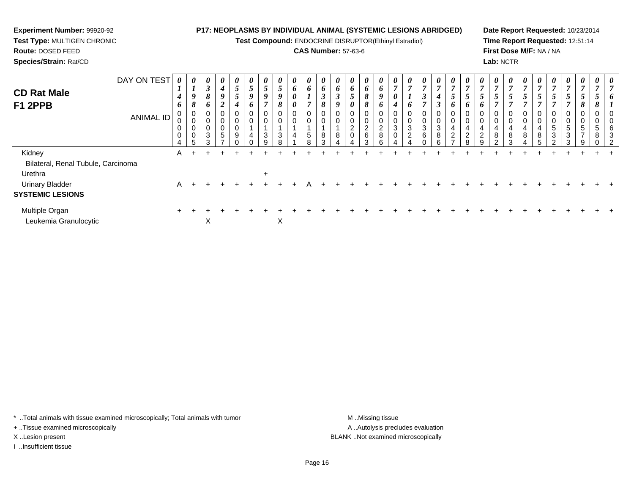**Test Compound:** ENDOCRINE DISRUPTOR(Ethinyl Estradiol)

## **CAS Number:** 57-63-6

**Date Report Requested:** 10/23/2014**Time Report Requested:** 12:51:14**First Dose M/F:** NA / NA**Lab:** NCTR

| <b>CD Rat Male</b><br>F1 2PPB           | DAY ON TEST<br>ANIMAL ID | $\overline{ }$<br>4<br>6<br>U<br>U<br>$\mathbf 0$ | $\boldsymbol{\theta}$<br>$\mathbf{I}$<br>9<br>8<br>0<br>$\pmb{0}$<br>$\pmb{0}$<br>$\pmb{0}$<br>5 | $\boldsymbol{\theta}$<br>$\mathfrak{z}$<br>8<br>6<br>0<br>0<br>0<br>$\ensuremath{\mathsf{3}}$<br>3 | $\boldsymbol{\theta}$<br>$\boldsymbol{4}$<br>9<br>$\overline{2}$<br>0<br>0<br>$\mathbf 0$<br>5 | $\boldsymbol{\theta}$<br>$\mathfrak{H}$<br>$\overline{\phantom{0}}$<br>J<br>4<br>9 | 5<br>9<br>0<br>O<br>$\overline{4}$ | U<br>5<br>9<br>0<br>0<br>3<br>9 | $\boldsymbol{\theta}$<br>$5\overline{)}$<br>9<br>8<br>0<br>$\pmb{0}$<br>$\ensuremath{\mathsf{3}}$<br>8 | $\boldsymbol{\theta}$<br>6<br>$\boldsymbol{\theta}$<br>$\boldsymbol{\theta}$<br>$\boldsymbol{0}$<br>$\pmb{0}$<br>$\overline{a}$ | $\boldsymbol{\theta}$<br>6<br>L<br>$\overline{ }$<br>0<br>$\mathbf 0$<br>5<br>$\circ$ | $\boldsymbol{\theta}$<br>6<br>3<br>8<br>0<br>8 | $\boldsymbol{\theta}$<br>6<br>$\mathbf{\Omega}$<br>J<br>Q<br>0<br>0<br>8 | $\boldsymbol{\theta}$<br>6<br>5<br>0<br>0<br>0<br>$\overline{c}$<br>0 | $\boldsymbol{\theta}$<br>6<br>8<br>8<br>0<br>0<br>$\frac{2}{6}$<br>3 | $\boldsymbol{\theta}$<br>6<br>9<br>6<br>0<br>$\pmb{0}$<br>$\overline{2}$<br>$\bf 8$<br>հ | $\boldsymbol{\mathit{U}}$<br>$\overline{ }$<br>0<br>4<br>3 | $\boldsymbol{\theta}$<br>$\overline{ }$<br>$\mathbf{I}$<br>6<br>0<br>0<br>3<br>$\overline{2}$ | $\boldsymbol{\theta}$<br>$\overline{7}$<br>$\boldsymbol{\beta}$<br>7<br>$\mathbf{0}$<br>0<br>3<br>6 | $\boldsymbol{\theta}$<br>$\overline{7}$<br>$\boldsymbol{4}$<br>$\boldsymbol{\beta}$<br>0<br>$\pmb{0}$<br>$\sqrt{3}$<br>$\bf8$<br>ĥ | $\boldsymbol{\mathit{U}}$<br>7<br>5<br>$\bm{o}$<br>0<br>0<br>4<br>$\overline{2}$ | $\boldsymbol{\mathsf{U}}$<br>$\overline{ }$<br>$\mathcal{L}$<br>$\bm{o}$<br>$\sim$ | $\boldsymbol{\theta}$<br>$\mathbf{r}$<br>◡<br>4<br>$\sim$ | $\boldsymbol{\theta}$<br>$\overline{ }$<br>$\mathfrak{s}$<br>0<br>0<br>4<br>8<br>$\sim$ | $\boldsymbol{\theta}$<br>$\overline{ }$<br>$\mathfrak{D}$<br>0<br>0<br>4<br>8<br>3 | $\boldsymbol{\theta}$<br>7<br>5<br>0<br>0<br>4<br>$\bf 8$ | U<br>$\overline{7}$<br>5<br>0<br>$\mathbf 0$<br>4<br>$\bf8$ | $\boldsymbol{\theta}$<br>$\overline{ }$<br>5<br>0<br>5<br>3 | $\boldsymbol{\theta}$<br>$\overline{7}$<br>$5\overline{)}$<br>$\mathbf{0}$<br>0<br>$\sqrt{5}$<br>3 | $\boldsymbol{\theta}$<br>$\overline{ }$<br>$\mathfrak{p}$<br>8<br>0<br>$\pmb{0}$<br>5<br>$\overline{\phantom{a}}$<br>9 | $\theta$<br>5<br>8<br>0<br>0<br>5<br>8 | $\boldsymbol{\theta}$<br>Ð<br>6<br>3<br>ົາ |
|-----------------------------------------|--------------------------|---------------------------------------------------|--------------------------------------------------------------------------------------------------|----------------------------------------------------------------------------------------------------|------------------------------------------------------------------------------------------------|------------------------------------------------------------------------------------|------------------------------------|---------------------------------|--------------------------------------------------------------------------------------------------------|---------------------------------------------------------------------------------------------------------------------------------|---------------------------------------------------------------------------------------|------------------------------------------------|--------------------------------------------------------------------------|-----------------------------------------------------------------------|----------------------------------------------------------------------|------------------------------------------------------------------------------------------|------------------------------------------------------------|-----------------------------------------------------------------------------------------------|-----------------------------------------------------------------------------------------------------|------------------------------------------------------------------------------------------------------------------------------------|----------------------------------------------------------------------------------|------------------------------------------------------------------------------------|-----------------------------------------------------------|-----------------------------------------------------------------------------------------|------------------------------------------------------------------------------------|-----------------------------------------------------------|-------------------------------------------------------------|-------------------------------------------------------------|----------------------------------------------------------------------------------------------------|------------------------------------------------------------------------------------------------------------------------|----------------------------------------|--------------------------------------------|
| Kidney                                  |                          | A                                                 |                                                                                                  |                                                                                                    |                                                                                                |                                                                                    |                                    |                                 |                                                                                                        |                                                                                                                                 |                                                                                       |                                                |                                                                          |                                                                       |                                                                      |                                                                                          |                                                            |                                                                                               |                                                                                                     |                                                                                                                                    |                                                                                  |                                                                                    |                                                           |                                                                                         |                                                                                    |                                                           |                                                             |                                                             |                                                                                                    |                                                                                                                        |                                        |                                            |
| Bilateral, Renal Tubule, Carcinoma      |                          |                                                   |                                                                                                  |                                                                                                    |                                                                                                |                                                                                    |                                    |                                 |                                                                                                        |                                                                                                                                 |                                                                                       |                                                |                                                                          |                                                                       |                                                                      |                                                                                          |                                                            |                                                                                               |                                                                                                     |                                                                                                                                    |                                                                                  |                                                                                    |                                                           |                                                                                         |                                                                                    |                                                           |                                                             |                                                             |                                                                                                    |                                                                                                                        |                                        |                                            |
| Urethra                                 |                          |                                                   |                                                                                                  |                                                                                                    |                                                                                                |                                                                                    |                                    | $\ddot{}$                       |                                                                                                        |                                                                                                                                 |                                                                                       |                                                |                                                                          |                                                                       |                                                                      |                                                                                          |                                                            |                                                                                               |                                                                                                     |                                                                                                                                    |                                                                                  |                                                                                    |                                                           |                                                                                         |                                                                                    |                                                           |                                                             |                                                             |                                                                                                    |                                                                                                                        |                                        |                                            |
| <b>Urinary Bladder</b>                  |                          | A                                                 |                                                                                                  |                                                                                                    |                                                                                                |                                                                                    |                                    |                                 |                                                                                                        |                                                                                                                                 |                                                                                       |                                                |                                                                          |                                                                       |                                                                      |                                                                                          |                                                            |                                                                                               |                                                                                                     |                                                                                                                                    |                                                                                  |                                                                                    |                                                           |                                                                                         |                                                                                    |                                                           |                                                             |                                                             |                                                                                                    |                                                                                                                        |                                        |                                            |
| <b>SYSTEMIC LESIONS</b>                 |                          |                                                   |                                                                                                  |                                                                                                    |                                                                                                |                                                                                    |                                    |                                 |                                                                                                        |                                                                                                                                 |                                                                                       |                                                |                                                                          |                                                                       |                                                                      |                                                                                          |                                                            |                                                                                               |                                                                                                     |                                                                                                                                    |                                                                                  |                                                                                    |                                                           |                                                                                         |                                                                                    |                                                           |                                                             |                                                             |                                                                                                    |                                                                                                                        |                                        |                                            |
| Multiple Organ<br>Leukemia Granulocytic |                          |                                                   |                                                                                                  | X                                                                                                  |                                                                                                |                                                                                    |                                    |                                 | X                                                                                                      |                                                                                                                                 |                                                                                       |                                                |                                                                          |                                                                       |                                                                      |                                                                                          |                                                            |                                                                                               |                                                                                                     |                                                                                                                                    |                                                                                  |                                                                                    |                                                           |                                                                                         |                                                                                    |                                                           |                                                             |                                                             |                                                                                                    |                                                                                                                        |                                        |                                            |

\* ..Total animals with tissue examined microscopically; Total animals with tumor **M** . Missing tissue M ..Missing tissue

+ ..Tissue examined microscopically

**Experiment Number:** 99920-92**Test Type:** MULTIGEN CHRONIC

**Route:** DOSED FEED**Species/Strain:** Rat/CD

I ..Insufficient tissue

A ..Autolysis precludes evaluation X ..Lesion present BLANK ..Not examined microscopically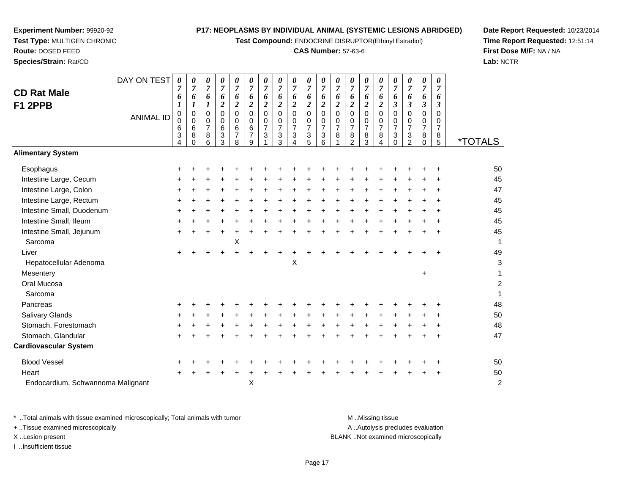**Test Compound:** ENDOCRINE DISRUPTOR(Ethinyl Estradiol)

## **CAS Number:** 57-63-6

**Date Report Requested:** 10/23/2014**Time Report Requested:** 12:51:14**First Dose M/F:** NA / NA**Lab:** NCTR

|                                   | DAY ON TEST      | 0              | 0                     | 0                   | 0                   | $\pmb{\theta}$       | 0                      | 0                   | 0                     | 0                             | 0                                  | 0                           | 0                   | 0                             | 0                             | 0                             | 0                           | 0                         | 0                    | 0                             |                       |
|-----------------------------------|------------------|----------------|-----------------------|---------------------|---------------------|----------------------|------------------------|---------------------|-----------------------|-------------------------------|------------------------------------|-----------------------------|---------------------|-------------------------------|-------------------------------|-------------------------------|-----------------------------|---------------------------|----------------------|-------------------------------|-----------------------|
| <b>CD Rat Male</b>                |                  | $\overline{7}$ | $\overline{7}$        | $\overline{7}$      | $\overline{7}$<br>6 | $\overline{7}$<br>6  | $\overline{7}$<br>6    | $\overline{7}$<br>6 | $\boldsymbol{7}$<br>6 | $\overline{7}$<br>6           | $\overline{7}$<br>$\boldsymbol{6}$ | $\boldsymbol{7}$            | $\boldsymbol{7}$    | $\overline{7}$<br>6           | $\overline{7}$<br>6           | $\overline{7}$<br>6           | $\boldsymbol{7}$<br>6       | $\boldsymbol{7}$          | $\overline{7}$<br>6  | $\overline{7}$                |                       |
| F1 2PPB                           |                  | 6<br>1         | 6<br>$\boldsymbol{l}$ | 6<br>1              | $\overline{c}$      | $\boldsymbol{2}$     | $\boldsymbol{2}$       | $\boldsymbol{2}$    | $\boldsymbol{2}$      | $\boldsymbol{2}$              | $\boldsymbol{2}$                   | 6<br>$\boldsymbol{2}$       | 6<br>$\overline{c}$ | $\boldsymbol{2}$              | $\overline{c}$                | $\overline{2}$                | $\boldsymbol{\mathfrak{z}}$ | 6<br>$\boldsymbol{\beta}$ | $\boldsymbol{\beta}$ | 6<br>$\boldsymbol{\beta}$     |                       |
|                                   | <b>ANIMAL ID</b> | $\pmb{0}$      | $\mathbf 0$           | $\mathbf 0$         | 0                   | $\mathbf 0$          | $\mathbf 0$            | $\mathbf 0$         | $\mathbf 0$           | $\mathbf 0$                   | $\pmb{0}$                          | $\overline{0}$              | $\mathbf 0$         | $\mathbf 0$                   | $\mathbf 0$                   | 0                             | $\mathsf 0$                 | $\mathbf 0$               | $\mathbf 0$          | $\mathbf 0$                   |                       |
|                                   |                  | 0<br>6         | 0<br>6                | 0<br>$\overline{7}$ | 0<br>6              | $\mathbf 0$<br>$\,6$ | $\mathbf 0$<br>$\,6\,$ | 0<br>$\overline{7}$ | 0<br>$\overline{7}$   | $\mathbf 0$<br>$\overline{7}$ | $\mathbf 0$<br>$\overline{7}$      | $\pmb{0}$<br>$\overline{7}$ | 0<br>$\overline{7}$ | $\mathbf 0$<br>$\overline{7}$ | $\mathbf 0$<br>$\overline{7}$ | $\mathbf 0$<br>$\overline{7}$ | $\pmb{0}$<br>$\overline{7}$ | 0<br>$\overline{7}$       | 0<br>$\overline{7}$  | $\mathbf 0$<br>$\overline{7}$ |                       |
|                                   |                  | 3              | 8                     | 8                   | 3                   | $\overline{7}$       | $\overline{7}$         | 3                   | 3                     | $\sqrt{3}$                    | $\ensuremath{\mathsf{3}}$          | $\ensuremath{\mathsf{3}}$   | 8                   | $\bf 8$                       | 8                             | 8                             | $\sqrt{3}$                  | $\sqrt{3}$                | 8                    | 8                             |                       |
|                                   |                  | 4              | $\Omega$              | 6                   | 3                   | 8                    | 9                      |                     | 3                     | 4                             | 5                                  | 6                           |                     | $\overline{c}$                | 3                             | 4                             | $\Omega$                    | $\overline{2}$            | $\Omega$             | 5                             | <i><b>*TOTALS</b></i> |
| <b>Alimentary System</b>          |                  |                |                       |                     |                     |                      |                        |                     |                       |                               |                                    |                             |                     |                               |                               |                               |                             |                           |                      |                               |                       |
| Esophagus                         |                  |                |                       |                     |                     |                      |                        |                     |                       |                               |                                    |                             |                     |                               |                               |                               |                             |                           |                      |                               | 50                    |
| Intestine Large, Cecum            |                  |                |                       |                     |                     |                      |                        |                     |                       |                               |                                    |                             |                     |                               |                               |                               |                             |                           |                      |                               | 45                    |
| Intestine Large, Colon            |                  | ٠              |                       |                     |                     |                      |                        |                     |                       |                               |                                    |                             |                     |                               |                               |                               |                             |                           |                      |                               | 47                    |
| Intestine Large, Rectum           |                  |                |                       |                     |                     |                      |                        |                     |                       |                               |                                    |                             |                     |                               |                               |                               |                             |                           |                      |                               | 45                    |
| Intestine Small, Duodenum         |                  |                |                       |                     |                     |                      |                        |                     |                       |                               |                                    |                             |                     |                               |                               |                               |                             |                           |                      |                               | 45                    |
| Intestine Small, Ileum            |                  |                |                       |                     |                     |                      |                        |                     |                       |                               |                                    |                             |                     |                               |                               |                               |                             |                           |                      |                               | 45                    |
| Intestine Small, Jejunum          |                  |                |                       |                     |                     |                      |                        |                     |                       |                               |                                    |                             |                     |                               |                               |                               |                             |                           |                      |                               | 45                    |
| Sarcoma                           |                  |                |                       |                     |                     | Χ                    |                        |                     |                       |                               |                                    |                             |                     |                               |                               |                               |                             |                           |                      |                               | $\mathbf{1}$          |
| Liver                             |                  |                |                       |                     |                     |                      |                        |                     |                       |                               |                                    |                             |                     |                               |                               |                               |                             |                           |                      |                               | 49                    |
| Hepatocellular Adenoma            |                  |                |                       |                     |                     |                      |                        |                     |                       | $\boldsymbol{\mathsf{X}}$     |                                    |                             |                     |                               |                               |                               |                             |                           |                      |                               | 3                     |
| Mesentery                         |                  |                |                       |                     |                     |                      |                        |                     |                       |                               |                                    |                             |                     |                               |                               |                               |                             |                           | $\ddot{}$            |                               | 1                     |
| Oral Mucosa                       |                  |                |                       |                     |                     |                      |                        |                     |                       |                               |                                    |                             |                     |                               |                               |                               |                             |                           |                      |                               | $\boldsymbol{2}$      |
| Sarcoma                           |                  |                |                       |                     |                     |                      |                        |                     |                       |                               |                                    |                             |                     |                               |                               |                               |                             |                           |                      |                               | 1                     |
| Pancreas                          |                  |                |                       |                     |                     |                      |                        |                     |                       |                               |                                    |                             |                     |                               |                               |                               |                             |                           |                      |                               | 48                    |
| Salivary Glands                   |                  |                |                       |                     |                     |                      |                        |                     |                       |                               |                                    |                             |                     |                               |                               |                               |                             |                           |                      |                               | 50                    |
| Stomach, Forestomach              |                  |                |                       |                     |                     |                      |                        |                     |                       |                               |                                    |                             |                     |                               |                               |                               |                             |                           |                      |                               | 48                    |
| Stomach, Glandular                |                  |                |                       |                     |                     |                      |                        |                     |                       |                               |                                    |                             |                     |                               |                               |                               |                             |                           |                      |                               | 47                    |
| <b>Cardiovascular System</b>      |                  |                |                       |                     |                     |                      |                        |                     |                       |                               |                                    |                             |                     |                               |                               |                               |                             |                           |                      |                               |                       |
| <b>Blood Vessel</b>               |                  |                |                       |                     |                     |                      |                        |                     |                       |                               |                                    |                             |                     |                               |                               |                               |                             |                           |                      |                               | 50                    |
| Heart                             |                  |                |                       |                     |                     |                      |                        |                     |                       |                               |                                    |                             |                     |                               |                               |                               |                             |                           |                      |                               | 50                    |
| Endocardium, Schwannoma Malignant |                  |                |                       |                     |                     |                      | X                      |                     |                       |                               |                                    |                             |                     |                               |                               |                               |                             |                           |                      |                               | $\overline{c}$        |

**Experiment Number:** 99920-92**Test Type:** MULTIGEN CHRONIC

**Route:** DOSED FEED**Species/Strain:** Rat/CD

\* ..Total animals with tissue examined microscopically; Total animals with tumor **M** ...Missing tissue M ...Missing tissue A ..Autolysis precludes evaluation + ..Tissue examined microscopically X ..Lesion present BLANK ..Not examined microscopicallyI ..Insufficient tissue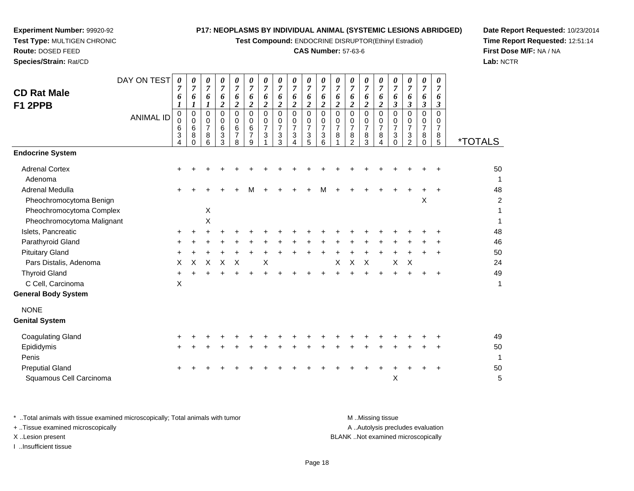**Test Compound:** ENDOCRINE DISRUPTOR(Ethinyl Estradiol)

## **CAS Number:** 57-63-6

**Date Report Requested:** 10/23/2014**Time Report Requested:** 12:51:14**First Dose M/F:** NA / NA**Lab:** NCTR

| <b>CD Rat Male</b><br>F1 2PPB    | DAY ON TEST<br><b>ANIMAL ID</b> | $\boldsymbol{\theta}$<br>7<br>6<br>$\boldsymbol{l}$<br>$_{\rm 0}^{\rm 0}$<br>6<br>3<br>4 | 0<br>$\overline{7}$<br>6<br>1<br>$\mathbf 0$<br>$\mathbf 0$<br>$6\phantom{1}6$<br>8<br>$\Omega$ | 0<br>$\overline{7}$<br>6<br>$\boldsymbol{l}$<br>$\mathbf 0$<br>0<br>$\overline{7}$<br>$\bf8$<br>6 | 0<br>$\overline{7}$<br>6<br>$\boldsymbol{2}$<br>0<br>0<br>6<br>3<br>3 | 0<br>$\overline{7}$<br>6<br>$\boldsymbol{2}$<br>$\mathbf 0$<br>0<br>6<br>$\overline{\mathbf{7}}$<br>8 | 0<br>$\overline{7}$<br>6<br>$\boldsymbol{2}$<br>$\mathbf 0$<br>$\mathbf 0$<br>$\,6\,$<br>$\overline{7}$<br>9 | 0<br>$\overline{7}$<br>6<br>$\boldsymbol{2}$<br>$\Omega$<br>0<br>$\overline{7}$<br>$\ensuremath{\mathsf{3}}$ | 0<br>$\overline{7}$<br>6<br>$\overline{2}$<br>$\mathbf 0$<br>0<br>$\overline{7}$<br>3<br>3 | 0<br>$\boldsymbol{7}$<br>6<br>$\boldsymbol{2}$<br>0<br>0<br>$\overline{7}$<br>3<br>4 | 0<br>$\boldsymbol{7}$<br>6<br>$\boldsymbol{2}$<br>0<br>0<br>$\overline{7}$<br>$\ensuremath{\mathsf{3}}$<br>5 | 0<br>$\boldsymbol{7}$<br>6<br>$\boldsymbol{2}$<br>$\mathbf 0$<br>$\mathbf 0$<br>$\overline{7}$<br>3<br>6 | 0<br>$\overline{7}$<br>6<br>$\boldsymbol{2}$<br>$\mathbf 0$<br>0<br>$\overline{7}$<br>$\bf8$ | 0<br>$\overline{7}$<br>6<br>$\boldsymbol{2}$<br>$\mathbf 0$<br>0<br>$\overline{7}$<br>8<br>$\overline{2}$ | 0<br>7<br>6<br>$\boldsymbol{2}$<br>0<br>0<br>$\overline{7}$<br>8<br>3 | 0<br>$\overline{7}$<br>6<br>$\boldsymbol{2}$<br>$\mathbf 0$<br>0<br>$\overline{7}$<br>8<br>$\overline{\mathbf{4}}$ | 0<br>$\overline{7}$<br>6<br>$\boldsymbol{\beta}$<br>0<br>0<br>$\overline{7}$<br>3<br>$\Omega$ | 0<br>7<br>6<br>$\boldsymbol{\beta}$<br>$\Omega$<br>0<br>$\overline{7}$<br>3<br>$\overline{2}$ | 0<br>$\overline{7}$<br>6<br>$\mathfrak{z}$<br>$\mathbf 0$<br>0<br>$\overline{7}$<br>8<br>$\mathbf 0$ | 0<br>$\overline{7}$<br>6<br>3<br>0<br>0<br>$\overline{7}$<br>8<br>5 | <i><b>*TOTALS</b></i> |
|----------------------------------|---------------------------------|------------------------------------------------------------------------------------------|-------------------------------------------------------------------------------------------------|---------------------------------------------------------------------------------------------------|-----------------------------------------------------------------------|-------------------------------------------------------------------------------------------------------|--------------------------------------------------------------------------------------------------------------|--------------------------------------------------------------------------------------------------------------|--------------------------------------------------------------------------------------------|--------------------------------------------------------------------------------------|--------------------------------------------------------------------------------------------------------------|----------------------------------------------------------------------------------------------------------|----------------------------------------------------------------------------------------------|-----------------------------------------------------------------------------------------------------------|-----------------------------------------------------------------------|--------------------------------------------------------------------------------------------------------------------|-----------------------------------------------------------------------------------------------|-----------------------------------------------------------------------------------------------|------------------------------------------------------------------------------------------------------|---------------------------------------------------------------------|-----------------------|
| <b>Endocrine System</b>          |                                 |                                                                                          |                                                                                                 |                                                                                                   |                                                                       |                                                                                                       |                                                                                                              |                                                                                                              |                                                                                            |                                                                                      |                                                                                                              |                                                                                                          |                                                                                              |                                                                                                           |                                                                       |                                                                                                                    |                                                                                               |                                                                                               |                                                                                                      |                                                                     |                       |
| <b>Adrenal Cortex</b><br>Adenoma |                                 |                                                                                          |                                                                                                 |                                                                                                   |                                                                       |                                                                                                       |                                                                                                              |                                                                                                              |                                                                                            |                                                                                      |                                                                                                              |                                                                                                          |                                                                                              |                                                                                                           |                                                                       |                                                                                                                    |                                                                                               |                                                                                               |                                                                                                      |                                                                     | 50<br>1               |
| <b>Adrenal Medulla</b>           |                                 |                                                                                          |                                                                                                 |                                                                                                   |                                                                       |                                                                                                       |                                                                                                              |                                                                                                              |                                                                                            |                                                                                      |                                                                                                              | М                                                                                                        |                                                                                              |                                                                                                           |                                                                       |                                                                                                                    |                                                                                               |                                                                                               |                                                                                                      |                                                                     | 48                    |
| Pheochromocytoma Benign          |                                 |                                                                                          |                                                                                                 |                                                                                                   |                                                                       |                                                                                                       |                                                                                                              |                                                                                                              |                                                                                            |                                                                                      |                                                                                                              |                                                                                                          |                                                                                              |                                                                                                           |                                                                       |                                                                                                                    |                                                                                               |                                                                                               | Χ                                                                                                    |                                                                     | $\overline{c}$        |
| Pheochromocytoma Complex         |                                 |                                                                                          |                                                                                                 | X                                                                                                 |                                                                       |                                                                                                       |                                                                                                              |                                                                                                              |                                                                                            |                                                                                      |                                                                                                              |                                                                                                          |                                                                                              |                                                                                                           |                                                                       |                                                                                                                    |                                                                                               |                                                                                               |                                                                                                      |                                                                     |                       |
| Pheochromocytoma Malignant       |                                 |                                                                                          |                                                                                                 | X                                                                                                 |                                                                       |                                                                                                       |                                                                                                              |                                                                                                              |                                                                                            |                                                                                      |                                                                                                              |                                                                                                          |                                                                                              |                                                                                                           |                                                                       |                                                                                                                    |                                                                                               |                                                                                               |                                                                                                      |                                                                     | 1                     |
| Islets, Pancreatic               |                                 |                                                                                          |                                                                                                 |                                                                                                   |                                                                       |                                                                                                       |                                                                                                              |                                                                                                              |                                                                                            |                                                                                      |                                                                                                              |                                                                                                          |                                                                                              |                                                                                                           |                                                                       |                                                                                                                    |                                                                                               |                                                                                               |                                                                                                      |                                                                     | 48                    |
| Parathyroid Gland                |                                 |                                                                                          |                                                                                                 |                                                                                                   |                                                                       |                                                                                                       |                                                                                                              |                                                                                                              |                                                                                            |                                                                                      |                                                                                                              |                                                                                                          |                                                                                              |                                                                                                           |                                                                       |                                                                                                                    |                                                                                               |                                                                                               |                                                                                                      |                                                                     | 46                    |
| <b>Pituitary Gland</b>           |                                 |                                                                                          |                                                                                                 |                                                                                                   |                                                                       |                                                                                                       |                                                                                                              |                                                                                                              |                                                                                            |                                                                                      |                                                                                                              |                                                                                                          |                                                                                              |                                                                                                           |                                                                       |                                                                                                                    |                                                                                               |                                                                                               |                                                                                                      |                                                                     | 50                    |
| Pars Distalis, Adenoma           |                                 | X                                                                                        | X                                                                                               | х                                                                                                 | Χ                                                                     | X                                                                                                     |                                                                                                              | X                                                                                                            |                                                                                            |                                                                                      |                                                                                                              |                                                                                                          | X                                                                                            | X                                                                                                         | $\times$                                                              |                                                                                                                    | $\boldsymbol{\mathsf{X}}$                                                                     | Χ                                                                                             |                                                                                                      |                                                                     | 24                    |
| <b>Thyroid Gland</b>             |                                 |                                                                                          |                                                                                                 |                                                                                                   |                                                                       |                                                                                                       |                                                                                                              |                                                                                                              |                                                                                            |                                                                                      |                                                                                                              |                                                                                                          |                                                                                              |                                                                                                           |                                                                       |                                                                                                                    |                                                                                               |                                                                                               |                                                                                                      |                                                                     | 49                    |
| C Cell, Carcinoma                |                                 | X                                                                                        |                                                                                                 |                                                                                                   |                                                                       |                                                                                                       |                                                                                                              |                                                                                                              |                                                                                            |                                                                                      |                                                                                                              |                                                                                                          |                                                                                              |                                                                                                           |                                                                       |                                                                                                                    |                                                                                               |                                                                                               |                                                                                                      |                                                                     | 1                     |
| <b>General Body System</b>       |                                 |                                                                                          |                                                                                                 |                                                                                                   |                                                                       |                                                                                                       |                                                                                                              |                                                                                                              |                                                                                            |                                                                                      |                                                                                                              |                                                                                                          |                                                                                              |                                                                                                           |                                                                       |                                                                                                                    |                                                                                               |                                                                                               |                                                                                                      |                                                                     |                       |
| <b>NONE</b>                      |                                 |                                                                                          |                                                                                                 |                                                                                                   |                                                                       |                                                                                                       |                                                                                                              |                                                                                                              |                                                                                            |                                                                                      |                                                                                                              |                                                                                                          |                                                                                              |                                                                                                           |                                                                       |                                                                                                                    |                                                                                               |                                                                                               |                                                                                                      |                                                                     |                       |
| <b>Genital System</b>            |                                 |                                                                                          |                                                                                                 |                                                                                                   |                                                                       |                                                                                                       |                                                                                                              |                                                                                                              |                                                                                            |                                                                                      |                                                                                                              |                                                                                                          |                                                                                              |                                                                                                           |                                                                       |                                                                                                                    |                                                                                               |                                                                                               |                                                                                                      |                                                                     |                       |
| <b>Coagulating Gland</b>         |                                 |                                                                                          |                                                                                                 |                                                                                                   |                                                                       |                                                                                                       |                                                                                                              |                                                                                                              |                                                                                            |                                                                                      |                                                                                                              |                                                                                                          |                                                                                              |                                                                                                           |                                                                       |                                                                                                                    |                                                                                               |                                                                                               |                                                                                                      |                                                                     | 49                    |
| Epididymis                       |                                 |                                                                                          |                                                                                                 |                                                                                                   |                                                                       |                                                                                                       |                                                                                                              |                                                                                                              |                                                                                            |                                                                                      |                                                                                                              |                                                                                                          |                                                                                              |                                                                                                           |                                                                       |                                                                                                                    |                                                                                               |                                                                                               |                                                                                                      | ÷                                                                   | 50                    |
| Penis                            |                                 |                                                                                          |                                                                                                 |                                                                                                   |                                                                       |                                                                                                       |                                                                                                              |                                                                                                              |                                                                                            |                                                                                      |                                                                                                              |                                                                                                          |                                                                                              |                                                                                                           |                                                                       |                                                                                                                    |                                                                                               |                                                                                               |                                                                                                      |                                                                     | $\mathbf{1}$          |
| <b>Preputial Gland</b>           |                                 |                                                                                          |                                                                                                 |                                                                                                   |                                                                       |                                                                                                       |                                                                                                              |                                                                                                              |                                                                                            |                                                                                      |                                                                                                              |                                                                                                          |                                                                                              |                                                                                                           |                                                                       |                                                                                                                    |                                                                                               |                                                                                               |                                                                                                      |                                                                     | 50                    |
| Squamous Cell Carcinoma          |                                 |                                                                                          |                                                                                                 |                                                                                                   |                                                                       |                                                                                                       |                                                                                                              |                                                                                                              |                                                                                            |                                                                                      |                                                                                                              |                                                                                                          |                                                                                              |                                                                                                           |                                                                       |                                                                                                                    | X                                                                                             |                                                                                               |                                                                                                      |                                                                     | 5                     |
|                                  |                                 |                                                                                          |                                                                                                 |                                                                                                   |                                                                       |                                                                                                       |                                                                                                              |                                                                                                              |                                                                                            |                                                                                      |                                                                                                              |                                                                                                          |                                                                                              |                                                                                                           |                                                                       |                                                                                                                    |                                                                                               |                                                                                               |                                                                                                      |                                                                     |                       |

**Experiment Number:** 99920-92**Test Type:** MULTIGEN CHRONIC

**Route:** DOSED FEED**Species/Strain:** Rat/CD

\* ..Total animals with tissue examined microscopically; Total animals with tumor **M** . Missing tissue M ..Missing tissue A ..Autolysis precludes evaluation + ..Tissue examined microscopically X ..Lesion present BLANK ..Not examined microscopicallyI ..Insufficient tissue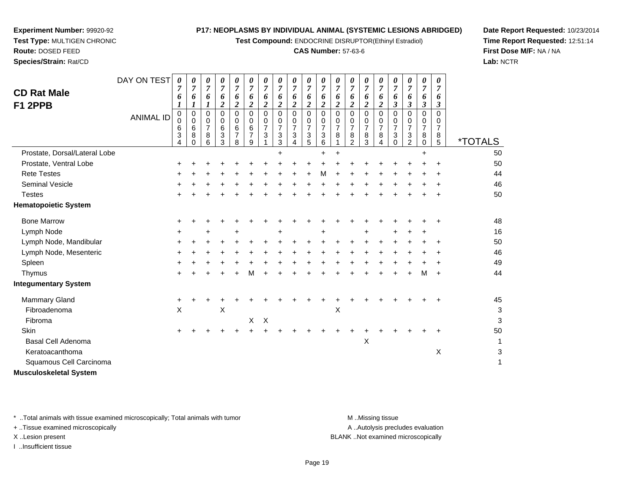**Test Compound:** ENDOCRINE DISRUPTOR(Ethinyl Estradiol)

## **CAS Number:** 57-63-6

**Date Report Requested:** 10/23/2014**Time Report Requested:** 12:51:14**First Dose M/F:** NA / NA**Lab:** NCTR

| <b>CD Rat Male</b><br>F1 2PPB | DAY ON TEST<br><b>ANIMAL ID</b> | 0<br>$\overline{7}$<br>6<br>$\boldsymbol{l}$<br>$\pmb{0}$<br>$\mathbf 0$<br>6<br>3<br>4 | 0<br>$\overline{7}$<br>6<br>$\boldsymbol{l}$<br>0<br>$\mathbf 0$<br>6<br>8<br>O | 0<br>$\overline{7}$<br>6<br>1<br>0<br>0<br>$\overline{7}$<br>8<br>6 | 0<br>$\overline{7}$<br>6<br>2<br>0<br>0<br>6<br>$\ensuremath{\mathsf{3}}$<br>3 | 0<br>$\overline{7}$<br>6<br>$\boldsymbol{2}$<br>0<br>0<br>6<br>$\overline{7}$<br>8 | 0<br>$\overline{7}$<br>6<br>$\boldsymbol{2}$<br>0<br>0<br>6<br>$\boldsymbol{7}$<br>9 | 0<br>$\overline{7}$<br>6<br>$\boldsymbol{2}$<br>$\mathbf 0$<br>0<br>7<br>$\sqrt{3}$ | 0<br>$\overline{7}$<br>6<br>$\overline{a}$<br>0<br>$\mathbf 0$<br>$\overline{7}$<br>$\ensuremath{\mathsf{3}}$<br>3 | 0<br>$\overline{7}$<br>6<br>$\boldsymbol{2}$<br>$\mathbf 0$<br>0<br>$\overline{7}$<br>3 | 0<br>$\overline{7}$<br>6<br>$\boldsymbol{2}$<br>0<br>0<br>7<br>3<br>5 | 0<br>$\overline{7}$<br>6<br>$\boldsymbol{2}$<br>$\mathbf 0$<br>0<br>$\boldsymbol{7}$<br>$\ensuremath{\mathsf{3}}$<br>6 | 0<br>$\overline{7}$<br>6<br>$\overline{c}$<br>$\Omega$<br>0<br>7<br>8 | 0<br>$\overline{7}$<br>6<br>$\overline{c}$<br>$\Omega$<br>0<br>7<br>$\bf 8$<br>$\overline{2}$ | 0<br>$\overline{7}$<br>6<br>$\boldsymbol{2}$<br>$\Omega$<br>0<br>$\overline{7}$<br>8<br>3 | 0<br>$\overline{7}$<br>6<br>$\boldsymbol{2}$<br>0<br>0<br>7<br>8 | 0<br>$\overline{7}$<br>6<br>$\boldsymbol{\beta}$<br>0<br>0<br>7<br>$\mathbf{3}$<br>$\Omega$ | 0<br>$\overline{7}$<br>6<br>$\mathfrak{z}$<br>$\Omega$<br>0<br>7<br>3<br>$\overline{2}$ | 0<br>$\overline{7}$<br>6<br>$\boldsymbol{\beta}$<br>$\mathbf 0$<br>$\mathbf 0$<br>$\overline{7}$<br>8<br>0 | 0<br>$\overline{7}$<br>6<br>3<br>$\Omega$<br>0<br>$\overline{7}$<br>$\,8\,$<br>5 | <i><b>*TOTALS</b></i> |
|-------------------------------|---------------------------------|-----------------------------------------------------------------------------------------|---------------------------------------------------------------------------------|---------------------------------------------------------------------|--------------------------------------------------------------------------------|------------------------------------------------------------------------------------|--------------------------------------------------------------------------------------|-------------------------------------------------------------------------------------|--------------------------------------------------------------------------------------------------------------------|-----------------------------------------------------------------------------------------|-----------------------------------------------------------------------|------------------------------------------------------------------------------------------------------------------------|-----------------------------------------------------------------------|-----------------------------------------------------------------------------------------------|-------------------------------------------------------------------------------------------|------------------------------------------------------------------|---------------------------------------------------------------------------------------------|-----------------------------------------------------------------------------------------|------------------------------------------------------------------------------------------------------------|----------------------------------------------------------------------------------|-----------------------|
| Prostate, Dorsal/Lateral Lobe |                                 |                                                                                         |                                                                                 |                                                                     |                                                                                |                                                                                    |                                                                                      |                                                                                     |                                                                                                                    |                                                                                         |                                                                       | 4                                                                                                                      |                                                                       |                                                                                               |                                                                                           |                                                                  |                                                                                             |                                                                                         |                                                                                                            |                                                                                  | 50                    |
| Prostate, Ventral Lobe        |                                 |                                                                                         |                                                                                 |                                                                     |                                                                                |                                                                                    |                                                                                      |                                                                                     |                                                                                                                    |                                                                                         |                                                                       |                                                                                                                        |                                                                       |                                                                                               |                                                                                           |                                                                  |                                                                                             |                                                                                         |                                                                                                            | $\ddot{}$                                                                        | 50                    |
| <b>Rete Testes</b>            |                                 |                                                                                         |                                                                                 |                                                                     |                                                                                |                                                                                    |                                                                                      |                                                                                     |                                                                                                                    |                                                                                         |                                                                       | M                                                                                                                      |                                                                       |                                                                                               |                                                                                           |                                                                  |                                                                                             |                                                                                         |                                                                                                            |                                                                                  | 44                    |
| <b>Seminal Vesicle</b>        |                                 |                                                                                         |                                                                                 |                                                                     |                                                                                |                                                                                    |                                                                                      |                                                                                     |                                                                                                                    |                                                                                         |                                                                       |                                                                                                                        |                                                                       |                                                                                               |                                                                                           |                                                                  |                                                                                             |                                                                                         |                                                                                                            |                                                                                  | 46                    |
| <b>Testes</b>                 |                                 | 4                                                                                       |                                                                                 |                                                                     |                                                                                |                                                                                    |                                                                                      |                                                                                     |                                                                                                                    |                                                                                         |                                                                       |                                                                                                                        |                                                                       |                                                                                               |                                                                                           |                                                                  |                                                                                             |                                                                                         |                                                                                                            |                                                                                  | 50                    |
| <b>Hematopoietic System</b>   |                                 |                                                                                         |                                                                                 |                                                                     |                                                                                |                                                                                    |                                                                                      |                                                                                     |                                                                                                                    |                                                                                         |                                                                       |                                                                                                                        |                                                                       |                                                                                               |                                                                                           |                                                                  |                                                                                             |                                                                                         |                                                                                                            |                                                                                  |                       |
| <b>Bone Marrow</b>            |                                 |                                                                                         |                                                                                 |                                                                     |                                                                                |                                                                                    |                                                                                      |                                                                                     |                                                                                                                    |                                                                                         |                                                                       |                                                                                                                        |                                                                       |                                                                                               |                                                                                           |                                                                  |                                                                                             |                                                                                         |                                                                                                            | ÷                                                                                | 48                    |
| Lymph Node                    |                                 | ٠                                                                                       |                                                                                 |                                                                     |                                                                                |                                                                                    |                                                                                      |                                                                                     |                                                                                                                    |                                                                                         |                                                                       |                                                                                                                        |                                                                       |                                                                                               |                                                                                           |                                                                  |                                                                                             |                                                                                         |                                                                                                            |                                                                                  | 16                    |
| Lymph Node, Mandibular        |                                 |                                                                                         |                                                                                 |                                                                     |                                                                                |                                                                                    |                                                                                      |                                                                                     |                                                                                                                    |                                                                                         |                                                                       |                                                                                                                        |                                                                       |                                                                                               |                                                                                           |                                                                  |                                                                                             |                                                                                         |                                                                                                            |                                                                                  | 50                    |
| Lymph Node, Mesenteric        |                                 |                                                                                         |                                                                                 |                                                                     |                                                                                |                                                                                    |                                                                                      |                                                                                     |                                                                                                                    |                                                                                         |                                                                       |                                                                                                                        |                                                                       |                                                                                               |                                                                                           |                                                                  |                                                                                             |                                                                                         |                                                                                                            |                                                                                  | 46                    |
| Spleen                        |                                 |                                                                                         |                                                                                 |                                                                     |                                                                                |                                                                                    |                                                                                      |                                                                                     |                                                                                                                    |                                                                                         |                                                                       |                                                                                                                        |                                                                       |                                                                                               |                                                                                           |                                                                  |                                                                                             |                                                                                         |                                                                                                            |                                                                                  | 49                    |
| Thymus                        |                                 |                                                                                         |                                                                                 |                                                                     |                                                                                |                                                                                    |                                                                                      |                                                                                     |                                                                                                                    |                                                                                         |                                                                       |                                                                                                                        |                                                                       |                                                                                               |                                                                                           |                                                                  |                                                                                             |                                                                                         | м                                                                                                          | ÷                                                                                | 44                    |
| <b>Integumentary System</b>   |                                 |                                                                                         |                                                                                 |                                                                     |                                                                                |                                                                                    |                                                                                      |                                                                                     |                                                                                                                    |                                                                                         |                                                                       |                                                                                                                        |                                                                       |                                                                                               |                                                                                           |                                                                  |                                                                                             |                                                                                         |                                                                                                            |                                                                                  |                       |
| Mammary Gland                 |                                 |                                                                                         |                                                                                 |                                                                     |                                                                                |                                                                                    |                                                                                      |                                                                                     |                                                                                                                    |                                                                                         |                                                                       |                                                                                                                        |                                                                       |                                                                                               |                                                                                           |                                                                  |                                                                                             |                                                                                         |                                                                                                            |                                                                                  | 45                    |
| Fibroadenoma                  |                                 | $\pmb{\times}$                                                                          |                                                                                 |                                                                     | Χ                                                                              |                                                                                    |                                                                                      |                                                                                     |                                                                                                                    |                                                                                         |                                                                       |                                                                                                                        | Χ                                                                     |                                                                                               |                                                                                           |                                                                  |                                                                                             |                                                                                         |                                                                                                            |                                                                                  | 3                     |
| Fibroma                       |                                 |                                                                                         |                                                                                 |                                                                     |                                                                                |                                                                                    | X                                                                                    | $\boldsymbol{\mathsf{X}}$                                                           |                                                                                                                    |                                                                                         |                                                                       |                                                                                                                        |                                                                       |                                                                                               |                                                                                           |                                                                  |                                                                                             |                                                                                         |                                                                                                            |                                                                                  | 3                     |
| Skin                          |                                 | +                                                                                       |                                                                                 |                                                                     |                                                                                |                                                                                    |                                                                                      |                                                                                     |                                                                                                                    |                                                                                         |                                                                       |                                                                                                                        |                                                                       |                                                                                               |                                                                                           |                                                                  |                                                                                             |                                                                                         |                                                                                                            |                                                                                  | 50                    |
| <b>Basal Cell Adenoma</b>     |                                 |                                                                                         |                                                                                 |                                                                     |                                                                                |                                                                                    |                                                                                      |                                                                                     |                                                                                                                    |                                                                                         |                                                                       |                                                                                                                        |                                                                       |                                                                                               | Χ                                                                                         |                                                                  |                                                                                             |                                                                                         |                                                                                                            |                                                                                  |                       |
| Keratoacanthoma               |                                 |                                                                                         |                                                                                 |                                                                     |                                                                                |                                                                                    |                                                                                      |                                                                                     |                                                                                                                    |                                                                                         |                                                                       |                                                                                                                        |                                                                       |                                                                                               |                                                                                           |                                                                  |                                                                                             |                                                                                         |                                                                                                            | X                                                                                | 3                     |
| Squamous Cell Carcinoma       |                                 |                                                                                         |                                                                                 |                                                                     |                                                                                |                                                                                    |                                                                                      |                                                                                     |                                                                                                                    |                                                                                         |                                                                       |                                                                                                                        |                                                                       |                                                                                               |                                                                                           |                                                                  |                                                                                             |                                                                                         |                                                                                                            |                                                                                  | 1                     |
| <b>Musculoskeletal System</b> |                                 |                                                                                         |                                                                                 |                                                                     |                                                                                |                                                                                    |                                                                                      |                                                                                     |                                                                                                                    |                                                                                         |                                                                       |                                                                                                                        |                                                                       |                                                                                               |                                                                                           |                                                                  |                                                                                             |                                                                                         |                                                                                                            |                                                                                  |                       |

\* ..Total animals with tissue examined microscopically; Total animals with tumor **M** . Missing tissue M ..Missing tissue

+ ..Tissue examined microscopically

**Experiment Number:** 99920-92**Test Type:** MULTIGEN CHRONIC

**Route:** DOSED FEED**Species/Strain:** Rat/CD

I ..Insufficient tissue

A ..Autolysis precludes evaluation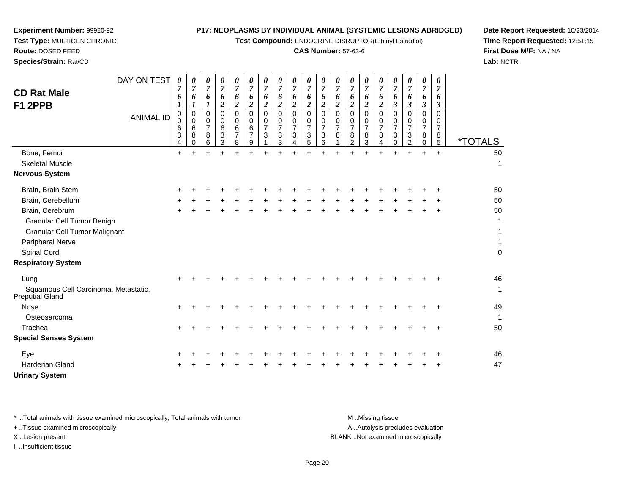**Test Compound:** ENDOCRINE DISRUPTOR(Ethinyl Estradiol)

## **CAS Number:** 57-63-6

**Date Report Requested:** 10/23/2014**Time Report Requested:** 12:51:15**First Dose M/F:** NA / NA**Lab:** NCTR

| DAY ON TEST<br><b>CD Rat Male</b><br>F1 2PPB                                                                     | 0<br>7<br>6<br>1      | 0<br>$\overline{7}$<br>6<br>$\boldsymbol{l}$ | 0<br>$\overline{7}$<br>6                            | 0<br>$\overline{7}$<br>6<br>$\overline{c}$ | 0<br>$\overline{7}$<br>6<br>$\overline{c}$ | 0<br>$\overline{7}$<br>6<br>$\overline{c}$ | 0<br>$\overline{7}$<br>6<br>$\boldsymbol{2}$ | 0<br>$\overline{7}$<br>6<br>$\boldsymbol{2}$        | 0<br>$\overline{7}$<br>6<br>$\overline{2}$                | 0<br>$\boldsymbol{7}$<br>6<br>$\overline{\mathbf{c}}$ | 0<br>$\boldsymbol{7}$<br>6<br>$\boldsymbol{2}$ | 0<br>$\overline{7}$<br>6<br>$\boldsymbol{2}$ | 0<br>$\overline{7}$<br>6<br>$\boldsymbol{2}$ | 0<br>$\overline{7}$<br>6<br>$\overline{\mathbf{c}}$ | 0<br>$\overline{7}$<br>6<br>$\overline{\mathbf{c}}$ | 0<br>$\overline{7}$<br>6<br>$\boldsymbol{\beta}$ | 0<br>$\overline{7}$<br>6<br>$\mathfrak{z}$             | 0<br>$\overline{7}$<br>6<br>$\boldsymbol{\beta}$       | 0<br>$\overline{7}$<br>6<br>$\boldsymbol{\beta}$ |                                         |
|------------------------------------------------------------------------------------------------------------------|-----------------------|----------------------------------------------|-----------------------------------------------------|--------------------------------------------|--------------------------------------------|--------------------------------------------|----------------------------------------------|-----------------------------------------------------|-----------------------------------------------------------|-------------------------------------------------------|------------------------------------------------|----------------------------------------------|----------------------------------------------|-----------------------------------------------------|-----------------------------------------------------|--------------------------------------------------|--------------------------------------------------------|--------------------------------------------------------|--------------------------------------------------|-----------------------------------------|
| <b>ANIMAL ID</b>                                                                                                 | 0<br>0<br>6<br>3<br>4 | $\pmb{0}$<br>$\mathbf 0$<br>6<br>8<br>0      | $\Omega$<br>$\mathbf 0$<br>$\overline{7}$<br>8<br>6 | $\Omega$<br>$\mathbf 0$<br>6<br>3<br>3     | $\Omega$<br>0<br>6<br>$\overline{7}$<br>8  | $\Omega$<br>0<br>6<br>$\overline{7}$<br>9  | $\mathbf 0$<br>0<br>$\overline{7}$<br>3      | $\Omega$<br>$\mathbf 0$<br>$\overline{7}$<br>3<br>3 | $\mathbf 0$<br>$\overline{0}$<br>$\overline{7}$<br>3<br>4 | 0<br>0<br>7<br>3<br>5                                 | $\mathbf 0$<br>0<br>$\overline{7}$<br>3<br>6   | $\mathbf 0$<br>0<br>$\overline{7}$<br>8      | $\Omega$<br>0<br>$\overline{7}$<br>8<br>2    | $\Omega$<br>0<br>$\overline{7}$<br>8<br>3           | $\mathbf 0$<br>0<br>$\overline{7}$<br>8<br>4        | $\Omega$<br>0<br>$\overline{7}$<br>3<br>0        | $\Omega$<br>0<br>$\overline{7}$<br>3<br>$\overline{2}$ | $\mathbf 0$<br>$\mathbf 0$<br>$\overline{7}$<br>8<br>0 | $\Omega$<br>0<br>$\overline{7}$<br>8<br>5        | <i><b>*TOTALS</b></i>                   |
| Bone, Femur                                                                                                      | $\ddot{}$             |                                              |                                                     |                                            |                                            |                                            |                                              |                                                     |                                                           |                                                       |                                                |                                              |                                              |                                                     |                                                     |                                                  |                                                        |                                                        | $+$                                              | 50                                      |
| <b>Skeletal Muscle</b>                                                                                           |                       |                                              |                                                     |                                            |                                            |                                            |                                              |                                                     |                                                           |                                                       |                                                |                                              |                                              |                                                     |                                                     |                                                  |                                                        |                                                        |                                                  | $\mathbf{1}$                            |
| <b>Nervous System</b>                                                                                            |                       |                                              |                                                     |                                            |                                            |                                            |                                              |                                                     |                                                           |                                                       |                                                |                                              |                                              |                                                     |                                                     |                                                  |                                                        |                                                        |                                                  |                                         |
| Brain, Brain Stem                                                                                                |                       |                                              |                                                     |                                            |                                            |                                            |                                              |                                                     |                                                           |                                                       |                                                |                                              |                                              |                                                     |                                                     |                                                  |                                                        |                                                        |                                                  | 50                                      |
| Brain, Cerebellum                                                                                                |                       |                                              |                                                     |                                            |                                            |                                            |                                              |                                                     |                                                           |                                                       |                                                |                                              |                                              |                                                     |                                                     |                                                  |                                                        |                                                        |                                                  | 50                                      |
| Brain, Cerebrum<br>Granular Cell Tumor Benign<br><b>Granular Cell Tumor Malignant</b><br><b>Peripheral Nerve</b> |                       |                                              |                                                     |                                            |                                            |                                            |                                              |                                                     |                                                           |                                                       |                                                |                                              |                                              |                                                     |                                                     |                                                  |                                                        |                                                        |                                                  | 50<br>$\mathbf{1}$<br>1<br>$\mathbf{1}$ |
| Spinal Cord                                                                                                      |                       |                                              |                                                     |                                            |                                            |                                            |                                              |                                                     |                                                           |                                                       |                                                |                                              |                                              |                                                     |                                                     |                                                  |                                                        |                                                        |                                                  | $\pmb{0}$                               |
| <b>Respiratory System</b>                                                                                        |                       |                                              |                                                     |                                            |                                            |                                            |                                              |                                                     |                                                           |                                                       |                                                |                                              |                                              |                                                     |                                                     |                                                  |                                                        |                                                        |                                                  |                                         |
| Lung<br>Squamous Cell Carcinoma, Metastatic,<br><b>Preputial Gland</b>                                           |                       |                                              |                                                     |                                            |                                            |                                            |                                              |                                                     |                                                           |                                                       |                                                |                                              |                                              |                                                     |                                                     |                                                  |                                                        |                                                        |                                                  | 46<br>$\mathbf 1$                       |
| Nose                                                                                                             | $\ddot{}$             |                                              |                                                     |                                            |                                            |                                            |                                              |                                                     |                                                           |                                                       |                                                |                                              |                                              |                                                     |                                                     |                                                  |                                                        |                                                        |                                                  | 49                                      |
| Osteosarcoma                                                                                                     |                       |                                              |                                                     |                                            |                                            |                                            |                                              |                                                     |                                                           |                                                       |                                                |                                              |                                              |                                                     |                                                     |                                                  |                                                        |                                                        |                                                  | $\mathbf{1}$                            |
| Trachea                                                                                                          | ÷                     |                                              |                                                     |                                            |                                            |                                            |                                              |                                                     |                                                           |                                                       |                                                |                                              |                                              |                                                     |                                                     |                                                  |                                                        |                                                        |                                                  | 50                                      |
| <b>Special Senses System</b>                                                                                     |                       |                                              |                                                     |                                            |                                            |                                            |                                              |                                                     |                                                           |                                                       |                                                |                                              |                                              |                                                     |                                                     |                                                  |                                                        |                                                        |                                                  |                                         |
| Eye                                                                                                              |                       |                                              |                                                     |                                            |                                            |                                            |                                              |                                                     |                                                           |                                                       |                                                |                                              |                                              |                                                     |                                                     |                                                  |                                                        |                                                        |                                                  | 46                                      |
| <b>Harderian Gland</b>                                                                                           |                       |                                              |                                                     |                                            |                                            |                                            |                                              |                                                     |                                                           |                                                       |                                                |                                              |                                              |                                                     |                                                     |                                                  |                                                        |                                                        |                                                  | 47                                      |
| <b>Urinary System</b>                                                                                            |                       |                                              |                                                     |                                            |                                            |                                            |                                              |                                                     |                                                           |                                                       |                                                |                                              |                                              |                                                     |                                                     |                                                  |                                                        |                                                        |                                                  |                                         |

**Experiment Number:** 99920-92**Test Type:** MULTIGEN CHRONIC

**Route:** DOSED FEED**Species/Strain:** Rat/CD

\* ..Total animals with tissue examined microscopically; Total animals with tumor **M** . Missing tissue M ..Missing tissue A ..Autolysis precludes evaluation + ..Tissue examined microscopically X ..Lesion present BLANK ..Not examined microscopicallyI ..Insufficient tissue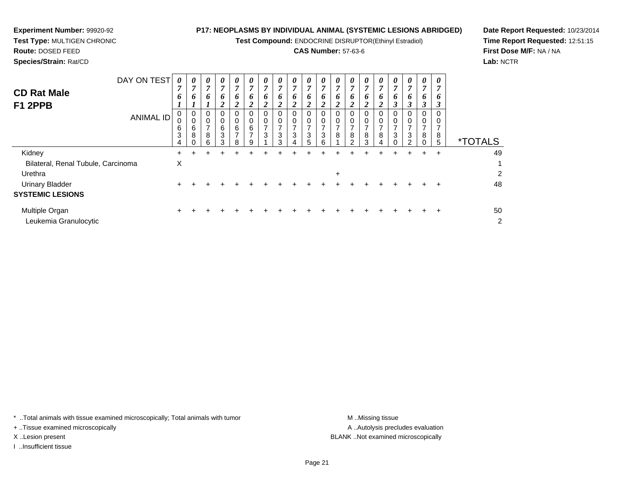**Test Compound:** ENDOCRINE DISRUPTOR(Ethinyl Estradiol)

# **CAS Number:** 57-63-6

**Date Report Requested:** 10/23/2014**Time Report Requested:** 12:51:15**First Dose M/F:** NA / NA**Lab:** NCTR

**Experiment Number:** 99920-92

| <b>CD Rat Male</b><br>F1 2PPB           | DAY ON TEST<br><b>ANIMAL ID</b> | $\boldsymbol{\theta}$<br>7<br>6<br>$\mathbf{I}$<br>0<br>0<br>6<br>3<br>4 | 0<br>7<br>6<br>0<br>0<br>6<br>8 | $\boldsymbol{\theta}$<br>$\overline{ }$<br>6<br>0<br>0<br>$\overline{ }$<br>8<br>6 | 0<br>$\overline{7}$<br>6<br>$\overline{c}$<br>0<br>0<br>6<br>3<br>3 | $\boldsymbol{\theta}$<br>$\overline{7}$<br>6<br>2<br>0<br>$\mathbf 0$<br>$\,6\,$<br>$\overline{7}$<br>8 | $\boldsymbol{\theta}$<br>$\overline{7}$<br>6<br>$\overline{2}$<br>0<br>$\,0\,$<br>6<br>$\overline{ }$<br>9 | $\boldsymbol{\theta}$<br>$\overline{7}$<br>6<br>$\overline{2}$<br>0<br>0<br>$\overline{ }$<br>3 | $\boldsymbol{\theta}$<br>7<br>6<br>$\overline{2}$<br>0<br>0<br>$\overline{ }$<br>3<br>3 | $\boldsymbol{\theta}$<br>$\overline{7}$<br>6<br>$\overline{2}$<br>0<br>0<br>$\overline{7}$<br>$\mathbf{3}$<br>4 | 0<br>$\overline{7}$<br>6<br>$\boldsymbol{2}$<br>0<br>0<br>$\overline{ }$<br>$\ensuremath{\mathsf{3}}$<br>5 | 0<br>$\overline{7}$<br>6<br>$\overline{2}$<br>0<br>$\overline{ }$<br>3<br>6 | $\boldsymbol{\theta}$<br>7<br>6<br>2<br>$\Omega$<br>0<br>$\overline{ }$<br>8 | $\boldsymbol{\theta}$<br>7<br>6<br>2<br>0<br>7<br>8<br>$\mathcal{D}$ | $\boldsymbol{\theta}$<br>7<br>6<br>$\overline{2}$<br>0<br>$\rightarrow$<br>8<br>$\mathcal{S}$ | 0<br>7<br>6<br>$\boldsymbol{2}$<br>0<br>0<br>$\overline{ }$<br>8<br>4 | $\boldsymbol{\theta}$<br>7<br>6<br>$\boldsymbol{\beta}$<br>0<br>$\pmb{0}$<br>$\overline{7}$<br>3<br>$\Omega$ | $\boldsymbol{\theta}$<br>7<br>o<br>3<br>0<br>0<br>$\overline{\phantom{a}}$<br>3<br>2 | $\boldsymbol{\theta}$<br>7<br>6<br>$\boldsymbol{\beta}$<br>0<br>0<br>$\overline{ }$<br>8<br>$\Omega$ | 0<br>o<br>8<br>5 | <i><b>*TOTALS</b></i> |
|-----------------------------------------|---------------------------------|--------------------------------------------------------------------------|---------------------------------|------------------------------------------------------------------------------------|---------------------------------------------------------------------|---------------------------------------------------------------------------------------------------------|------------------------------------------------------------------------------------------------------------|-------------------------------------------------------------------------------------------------|-----------------------------------------------------------------------------------------|-----------------------------------------------------------------------------------------------------------------|------------------------------------------------------------------------------------------------------------|-----------------------------------------------------------------------------|------------------------------------------------------------------------------|----------------------------------------------------------------------|-----------------------------------------------------------------------------------------------|-----------------------------------------------------------------------|--------------------------------------------------------------------------------------------------------------|--------------------------------------------------------------------------------------|------------------------------------------------------------------------------------------------------|------------------|-----------------------|
| Kidney                                  |                                 | $\ddot{}$                                                                |                                 | +                                                                                  | +                                                                   |                                                                                                         | +                                                                                                          | +                                                                                               | ÷.                                                                                      | +                                                                                                               |                                                                                                            |                                                                             |                                                                              | ÷                                                                    | +                                                                                             | ÷                                                                     | ÷                                                                                                            | ÷                                                                                    | $\pm$                                                                                                | $\pm$            | 49                    |
| Bilateral, Renal Tubule, Carcinoma      |                                 | $\boldsymbol{\mathsf{X}}$                                                |                                 |                                                                                    |                                                                     |                                                                                                         |                                                                                                            |                                                                                                 |                                                                                         |                                                                                                                 |                                                                                                            |                                                                             |                                                                              |                                                                      |                                                                                               |                                                                       |                                                                                                              |                                                                                      |                                                                                                      |                  | 1                     |
| Urethra                                 |                                 |                                                                          |                                 |                                                                                    |                                                                     |                                                                                                         |                                                                                                            |                                                                                                 |                                                                                         |                                                                                                                 |                                                                                                            |                                                                             | $\ddot{}$                                                                    |                                                                      |                                                                                               |                                                                       |                                                                                                              |                                                                                      |                                                                                                      |                  | $\overline{2}$        |
| <b>Urinary Bladder</b>                  |                                 | $\ddot{}$                                                                |                                 |                                                                                    |                                                                     |                                                                                                         |                                                                                                            |                                                                                                 |                                                                                         |                                                                                                                 |                                                                                                            |                                                                             |                                                                              |                                                                      |                                                                                               |                                                                       |                                                                                                              |                                                                                      |                                                                                                      |                  | 48                    |
| <b>SYSTEMIC LESIONS</b>                 |                                 |                                                                          |                                 |                                                                                    |                                                                     |                                                                                                         |                                                                                                            |                                                                                                 |                                                                                         |                                                                                                                 |                                                                                                            |                                                                             |                                                                              |                                                                      |                                                                                               |                                                                       |                                                                                                              |                                                                                      |                                                                                                      |                  |                       |
| Multiple Organ<br>Leukemia Granulocytic |                                 | $\ddot{}$                                                                |                                 |                                                                                    |                                                                     |                                                                                                         |                                                                                                            |                                                                                                 |                                                                                         |                                                                                                                 |                                                                                                            |                                                                             |                                                                              |                                                                      |                                                                                               |                                                                       |                                                                                                              |                                                                                      |                                                                                                      | $\pm$            | 50<br>2               |

\* ..Total animals with tissue examined microscopically; Total animals with tumor **M** . Missing tissue M ..Missing tissue

+ ..Tissue examined microscopically

I ..Insufficient tissue

A ..Autolysis precludes evaluation X ..Lesion present BLANK ..Not examined microscopically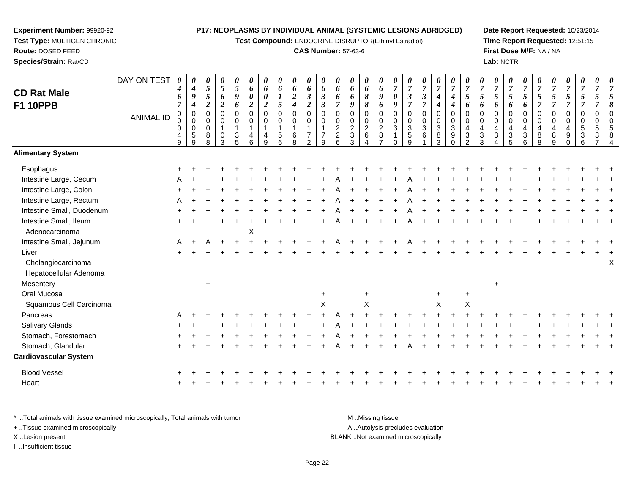**Test Compound:** ENDOCRINE DISRUPTOR(Ethinyl Estradiol)

## **CAS Number:** 57-63-6

**Date Report Requested:** 10/23/2014**Time Report Requested:** 12:51:15**First Dose M/F:** NA / NA**Lab:** NCTR

|                              | DAY ON TEST      | 0<br>$\boldsymbol{4}$    | 0<br>$\boldsymbol{4}$      | 0<br>5         | $\pmb{\theta}$<br>$\sqrt{5}$ | 0<br>$\sqrt{5}$          | 0<br>6                     | 0<br>6                     | 0<br>6                     | $\pmb{\theta}$<br>6 | $\pmb{\theta}$<br>6              | $\pmb{\theta}$<br>6        | 0<br>6                     | 0<br>6            | 0<br>6         | 0<br>6                    | 0<br>$\overline{7}$        | 0<br>$\overline{7}$        | 0<br>$\overline{7}$  | 0<br>$\boldsymbol{7}$     | $\pmb{\theta}$<br>$\overline{7}$ | 0<br>$\overline{7}$            | 0<br>$\overline{7}$     | 0<br>$\overline{7}$ | 0<br>$\boldsymbol{7}$  | 0<br>$\overline{7}$        | 0<br>$\overline{7}$ | $\overline{7}$          | 0<br>$\overline{7}$ | 0<br>$\boldsymbol{7}$ | 0<br>$\overline{7}$      | $\boldsymbol{\theta}$<br>$\overline{7}$ |
|------------------------------|------------------|--------------------------|----------------------------|----------------|------------------------------|--------------------------|----------------------------|----------------------------|----------------------------|---------------------|----------------------------------|----------------------------|----------------------------|-------------------|----------------|---------------------------|----------------------------|----------------------------|----------------------|---------------------------|----------------------------------|--------------------------------|-------------------------|---------------------|------------------------|----------------------------|---------------------|-------------------------|---------------------|-----------------------|--------------------------|-----------------------------------------|
| <b>CD Rat Male</b>           |                  | 6                        | $\boldsymbol{9}$           | 5              | 6                            | 9                        | $\boldsymbol{\theta}$      | 0                          | 1                          | $\boldsymbol{2}$    | $\mathfrak{z}$                   | $\boldsymbol{\beta}$       | 6                          | 6                 | 8              | 9                         | $\boldsymbol{\theta}$      | $\boldsymbol{\beta}$       | $\boldsymbol{\beta}$ | $\boldsymbol{4}$          | $\boldsymbol{4}$                 | $\sqrt{5}$                     | $\mathfrak{s}$          | 5                   | $\sqrt{5}$             | 5                          | $\mathfrak{s}$      | 5                       | 5                   | $\mathfrak{H}$        | 5                        |                                         |
| <b>F1 10PPB</b>              |                  | $\overline{7}$           | 4                          | $\overline{2}$ | $\boldsymbol{2}$             | 6                        | $\boldsymbol{2}$           | $\boldsymbol{2}$           | 5                          | $\boldsymbol{4}$    | $\boldsymbol{2}$                 | $\boldsymbol{\beta}$       | $\overline{7}$             | 9                 | 8              | 6                         | $\boldsymbol{9}$           | $\overline{7}$             | $\overline{7}$       | $\boldsymbol{4}$          | $\boldsymbol{4}$                 | 6                              | 6                       | 6                   | 6                      | 6                          | $\overline{7}$      | $\overline{7}$          | $\overline{7}$      | $\overline{\tau}$     | 7                        | 8                                       |
|                              | <b>ANIMAL ID</b> | $\pmb{0}$<br>$\mathbf 0$ | $\mathbf 0$<br>$\mathbf 0$ | 0<br>0         | $\mathbf 0$<br>$\mathbf 0$   | $\mathsf 0$<br>$\pmb{0}$ | $\mathbf 0$<br>$\mathbf 0$ | $\overline{0}$<br>$\Omega$ | $\mathbf 0$<br>$\mathbf 0$ | $\pmb{0}$<br>0      | $\mathsf 0$<br>$\pmb{0}$         | $\mathbf 0$<br>$\mathbf 0$ | $\mathbf 0$<br>$\mathbf 0$ | 0<br>$\mathbf 0$  | 0<br>$\pmb{0}$ | $\mathsf 0$<br>$\pmb{0}$  | $\mathbf 0$<br>$\mathbf 0$ | $\mathbf 0$<br>$\mathbf 0$ | 0<br>$\mathbf 0$     | $\pmb{0}$<br>$\pmb{0}$    | $\pmb{0}$<br>$\pmb{0}$           | $\mathbf 0$<br>$\mathbf 0$     | $\mathbf 0$<br>$\Omega$ | 0<br>$\Omega$       | $\pmb{0}$<br>$\pmb{0}$ | $\mathbf 0$<br>$\mathbf 0$ | $\mathbf 0$<br>0    | $\mathbf 0$<br>$\Omega$ | 0<br>$\Omega$       | 0<br>$\pmb{0}$        | $\pmb{0}$<br>$\mathbf 0$ |                                         |
|                              |                  | 0                        | $\mathbf 0$                | $\mathbf 0$    | $\mathbf{1}$                 | $\overline{1}$           | $\overline{1}$             | $\overline{1}$             | $\mathbf{1}$               | $\mathbf 1$         | $\mathbf 1$                      | $\mathbf{1}$               | $\overline{c}$             | $\overline{c}$    | $\sqrt{2}$     | $\sqrt{2}$                | $\sqrt{3}$                 | $\sqrt{3}$                 | $\mathbf{3}$         | $\ensuremath{\mathsf{3}}$ | $\ensuremath{\mathsf{3}}$        | $\overline{4}$                 | 4                       | 4                   | $\overline{4}$         | $\overline{a}$             | $\overline{4}$      | 4                       | 4                   | $\sqrt{5}$            | $\sqrt{5}$               |                                         |
|                              |                  | 4<br>$\overline{9}$      | $\sqrt{5}$<br>9            | 8<br>8         | $\pmb{0}$<br>3               | $\frac{3}{5}$            | 4<br>6                     | 4<br>9                     | 5<br>6                     | 6<br>$\overline{8}$ | $\overline{7}$<br>$\overline{2}$ | $\overline{7}$<br>9        | $\frac{2}{6}$              | $\mathbf{3}$<br>3 | 6<br>4         | $\bf 8$<br>$\overline{ }$ | 1<br>$\Omega$              | $\sqrt{5}$<br>9            | 6                    | $^8_3$                    | $\boldsymbol{9}$<br>$\mathbf 0$  | $\mathbf{3}$<br>$\overline{2}$ | $\mathbf{3}$<br>3       | 3                   | $\frac{3}{5}$          | $\sqrt{3}$<br>6            | $\bf 8$<br>8        | 8<br>9                  | 9                   | 3<br>6                | $\mathbf{3}$             |                                         |
| <b>Alimentary System</b>     |                  |                          |                            |                |                              |                          |                            |                            |                            |                     |                                  |                            |                            |                   |                |                           |                            |                            |                      |                           |                                  |                                |                         |                     |                        |                            |                     |                         |                     |                       |                          |                                         |
| Esophagus                    |                  |                          |                            |                |                              |                          |                            |                            |                            |                     |                                  |                            |                            |                   |                |                           |                            |                            |                      |                           |                                  |                                |                         |                     |                        |                            |                     |                         |                     |                       |                          |                                         |
| Intestine Large, Cecum       |                  |                          |                            |                |                              |                          |                            |                            |                            |                     |                                  |                            |                            |                   |                |                           |                            |                            |                      |                           |                                  |                                |                         |                     |                        |                            |                     |                         |                     |                       |                          |                                         |
| Intestine Large, Colon       |                  |                          |                            |                |                              |                          |                            |                            |                            |                     |                                  |                            |                            |                   |                |                           |                            |                            |                      |                           |                                  |                                |                         |                     |                        |                            |                     |                         |                     |                       |                          |                                         |
| Intestine Large, Rectum      |                  |                          |                            |                |                              |                          |                            |                            |                            |                     |                                  |                            |                            |                   |                |                           |                            |                            |                      |                           |                                  |                                |                         |                     |                        |                            |                     |                         |                     |                       |                          |                                         |
| Intestine Small, Duodenum    |                  |                          |                            |                |                              |                          |                            |                            |                            |                     |                                  |                            |                            |                   |                |                           |                            |                            |                      |                           |                                  |                                |                         |                     |                        |                            |                     |                         |                     |                       |                          |                                         |
| Intestine Small, Ileum       |                  |                          |                            |                |                              |                          |                            |                            |                            |                     |                                  |                            |                            |                   |                |                           |                            |                            |                      |                           |                                  |                                |                         |                     |                        |                            |                     |                         |                     |                       |                          |                                         |
| Adenocarcinoma               |                  |                          |                            |                |                              |                          | Χ                          |                            |                            |                     |                                  |                            |                            |                   |                |                           |                            |                            |                      |                           |                                  |                                |                         |                     |                        |                            |                     |                         |                     |                       |                          |                                         |
| Intestine Small, Jejunum     |                  | A                        |                            |                |                              |                          |                            |                            |                            |                     |                                  |                            |                            |                   |                |                           |                            |                            |                      |                           |                                  |                                |                         |                     |                        |                            |                     |                         |                     |                       |                          |                                         |
| Liver                        |                  |                          |                            |                |                              |                          |                            |                            |                            |                     |                                  |                            |                            |                   |                |                           |                            |                            |                      |                           |                                  |                                |                         |                     |                        |                            |                     |                         |                     |                       |                          |                                         |
| Cholangiocarcinoma           |                  |                          |                            |                |                              |                          |                            |                            |                            |                     |                                  |                            |                            |                   |                |                           |                            |                            |                      |                           |                                  |                                |                         |                     |                        |                            |                     |                         |                     |                       |                          | Χ                                       |
| Hepatocellular Adenoma       |                  |                          |                            |                |                              |                          |                            |                            |                            |                     |                                  |                            |                            |                   |                |                           |                            |                            |                      |                           |                                  |                                |                         |                     |                        |                            |                     |                         |                     |                       |                          |                                         |
| Mesentery                    |                  |                          |                            | $\ddot{}$      |                              |                          |                            |                            |                            |                     |                                  |                            |                            |                   |                |                           |                            |                            |                      |                           |                                  |                                |                         | $\ddot{}$           |                        |                            |                     |                         |                     |                       |                          |                                         |
| Oral Mucosa                  |                  |                          |                            |                |                              |                          |                            |                            |                            |                     |                                  | $\overline{+}$             |                            |                   | $\ddot{}$      |                           |                            |                            |                      | $\ddot{}$                 |                                  | $\ddot{}$                      |                         |                     |                        |                            |                     |                         |                     |                       |                          |                                         |
| Squamous Cell Carcinoma      |                  |                          |                            |                |                              |                          |                            |                            |                            |                     |                                  | $\sf X$                    |                            |                   | X              |                           |                            |                            |                      | X                         |                                  | X                              |                         |                     |                        |                            |                     |                         |                     |                       |                          |                                         |
| Pancreas                     |                  |                          |                            |                |                              |                          |                            |                            |                            |                     |                                  |                            |                            |                   |                |                           |                            |                            |                      |                           |                                  |                                |                         |                     |                        |                            |                     |                         |                     |                       |                          |                                         |
| Salivary Glands              |                  |                          |                            |                |                              |                          |                            |                            |                            |                     |                                  |                            |                            |                   |                |                           |                            |                            |                      |                           |                                  |                                |                         |                     |                        |                            |                     |                         |                     |                       |                          |                                         |
| Stomach, Forestomach         |                  |                          |                            |                |                              |                          |                            |                            |                            |                     |                                  |                            |                            |                   |                |                           |                            |                            |                      |                           |                                  |                                |                         |                     |                        |                            |                     |                         |                     |                       |                          |                                         |
| Stomach, Glandular           |                  |                          |                            |                |                              |                          |                            |                            |                            |                     |                                  |                            |                            |                   |                |                           |                            |                            |                      |                           |                                  |                                |                         |                     |                        |                            |                     |                         |                     |                       |                          |                                         |
| <b>Cardiovascular System</b> |                  |                          |                            |                |                              |                          |                            |                            |                            |                     |                                  |                            |                            |                   |                |                           |                            |                            |                      |                           |                                  |                                |                         |                     |                        |                            |                     |                         |                     |                       |                          |                                         |
| <b>Blood Vessel</b>          |                  |                          |                            |                |                              |                          |                            |                            |                            |                     |                                  |                            |                            |                   |                |                           |                            |                            |                      |                           |                                  |                                |                         |                     |                        |                            |                     |                         |                     |                       |                          |                                         |
| Heart                        |                  |                          |                            |                |                              |                          |                            |                            |                            |                     |                                  |                            |                            |                   |                |                           |                            |                            |                      |                           |                                  |                                |                         |                     |                        |                            |                     |                         |                     |                       |                          |                                         |
|                              |                  |                          |                            |                |                              |                          |                            |                            |                            |                     |                                  |                            |                            |                   |                |                           |                            |                            |                      |                           |                                  |                                |                         |                     |                        |                            |                     |                         |                     |                       |                          |                                         |

\* ..Total animals with tissue examined microscopically; Total animals with tumor **M** . Missing tissue M ..Missing tissue A ..Autolysis precludes evaluation + ..Tissue examined microscopically X ..Lesion present BLANK ..Not examined microscopicallyI ..Insufficient tissue

**Experiment Number:** 99920-92**Test Type:** MULTIGEN CHRONIC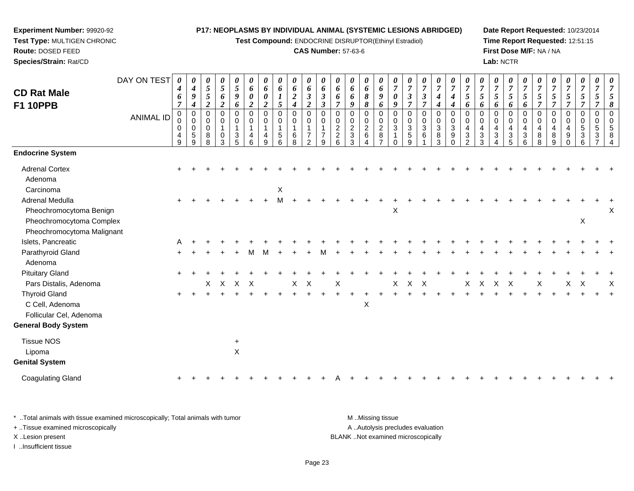**Test Compound:** ENDOCRINE DISRUPTOR(Ethinyl Estradiol)

#### **CAS Number:** 57-63-6

**Date Report Requested:** 10/23/2014**Time Report Requested:** 12:51:15**First Dose M/F:** NA / NA**Lab:** NCTR

|                                                        | DAY ON TEST      | 0                                         | 0                                                            | 0                               | 0                                                            | $\boldsymbol{\theta}$                  | 0                                          | 0                | $\boldsymbol{\theta}$                                                                 | $\boldsymbol{\theta}$                                    | $\boldsymbol{\theta}$                               | 0                                           | 0                                                         | 0                                                       | 0                                                                | $\boldsymbol{\theta}$                                                   | 0                                                           | 0                                                             | 0                                          | 0                                                  | 0                                                           | $\boldsymbol{\theta}$                                       | 0                                   | 0                                                                                   | 0                                                                                    | 0                                               | 0                                                               | 0                            | 0                                      | $\boldsymbol{\theta}$                                                    | 0                                               |                                |
|--------------------------------------------------------|------------------|-------------------------------------------|--------------------------------------------------------------|---------------------------------|--------------------------------------------------------------|----------------------------------------|--------------------------------------------|------------------|---------------------------------------------------------------------------------------|----------------------------------------------------------|-----------------------------------------------------|---------------------------------------------|-----------------------------------------------------------|---------------------------------------------------------|------------------------------------------------------------------|-------------------------------------------------------------------------|-------------------------------------------------------------|---------------------------------------------------------------|--------------------------------------------|----------------------------------------------------|-------------------------------------------------------------|-------------------------------------------------------------|-------------------------------------|-------------------------------------------------------------------------------------|--------------------------------------------------------------------------------------|-------------------------------------------------|-----------------------------------------------------------------|------------------------------|----------------------------------------|--------------------------------------------------------------------------|-------------------------------------------------|--------------------------------|
| <b>CD Rat Male</b>                                     |                  | 4<br>6                                    | 4<br>9                                                       | $\sqrt{5}$<br>$\sqrt{5}$        | $\sqrt{5}$<br>6                                              | $\sqrt{5}$<br>9                        | 6<br>$\boldsymbol{\theta}$                 | 6<br>0           | 6<br>$\boldsymbol{l}$                                                                 | 6<br>$\sqrt{2}$                                          | 6<br>$\boldsymbol{\beta}$                           | 6<br>$\boldsymbol{\beta}$                   | 6<br>6                                                    | 6<br>6                                                  | 6<br>$\pmb{8}$                                                   | 6<br>$\boldsymbol{g}$                                                   | $\overline{7}$<br>0                                         | $\overline{7}$<br>$\boldsymbol{\beta}$                        | $\overline{7}$<br>$\boldsymbol{\beta}$     | $\overline{7}$<br>$\boldsymbol{4}$                 | $\overline{7}$<br>4                                         | $\overline{7}$<br>5                                         | $\overline{7}$<br>5                 | $\overline{7}$<br>$5\overline{)}$                                                   | $\overline{7}$<br>$\mathfrak{s}$                                                     | $\overline{7}$<br>$\mathfrak{H}$                | $\overline{7}$<br>5                                             | $\overline{7}$<br>5          | $\boldsymbol{7}$<br>5                  | $\overline{7}$<br>$\mathfrak{s}$                                         | $\overline{7}$<br>$\mathfrak{s}$                | 7<br>5                         |
| <b>F1 10PPB</b>                                        |                  | $\overline{7}$                            | $\boldsymbol{4}$                                             | $\boldsymbol{2}$                | $\boldsymbol{2}$                                             | 6                                      | $\boldsymbol{2}$                           | $\overline{c}$   | $5\overline{)}$                                                                       | $\boldsymbol{4}$                                         | $\overline{a}$                                      | $\boldsymbol{\beta}$                        | $\overline{7}$                                            | 9                                                       | $\boldsymbol{\delta}$                                            | 6                                                                       | 9                                                           | $\overline{7}$                                                | $\overline{7}$                             | $\boldsymbol{4}$                                   | $\boldsymbol{4}$                                            | 6                                                           | 6                                   | 6                                                                                   | 6                                                                                    | 6                                               | $\overline{7}$                                                  | $\overline{7}$               | $\overline{7}$                         | $\overline{7}$                                                           | $\overline{7}$                                  | 8                              |
|                                                        | <b>ANIMAL ID</b> | $\mathbf 0$<br>0<br>$\mathbf 0$<br>4<br>9 | $\mathbf 0$<br>$\mathbf 0$<br>$\mathbf 0$<br>$\sqrt{5}$<br>9 | 0<br>0<br>$\mathbf 0$<br>8<br>8 | $\mathbf 0$<br>$\pmb{0}$<br>$\mathbf{1}$<br>$\mathbf 0$<br>3 | $\Omega$<br>0<br>$\mathbf 1$<br>3<br>5 | $\mathbf 0$<br>0<br>$\mathbf{1}$<br>4<br>6 | 0<br>0<br>4<br>9 | $\mathbf 0$<br>$\mathbf 0$<br>$\overline{1}$<br>$\begin{array}{c} 5 \\ 6 \end{array}$ | $\mathbf 0$<br>$\mathbf 0$<br>$\mathbf{1}$<br>$\,6$<br>8 | $\Omega$<br>$\mathbf 0$<br>1<br>7<br>$\overline{2}$ | $\Omega$<br>$\Omega$<br>$\overline{7}$<br>9 | $\mathbf 0$<br>0<br>$\overline{c}$<br>$\overline{c}$<br>6 | $\mathbf 0$<br>0<br>$\overline{c}$<br>$\mathbf{3}$<br>3 | $\mathbf 0$<br>$\mathbf 0$<br>$\sqrt{2}$<br>$\,6\,$<br>$\Lambda$ | $\mathbf 0$<br>$\pmb{0}$<br>$\overline{c}$<br>$\bf 8$<br>$\overline{ }$ | $\mathbf 0$<br>$\mathbf 0$<br>$\mathbf{3}$<br>1<br>$\Omega$ | $\mathsf 0$<br>$\mathbf 0$<br>$\mathbf{3}$<br>$\sqrt{5}$<br>9 | $\Omega$<br>$\pmb{0}$<br>$\mathbf{3}$<br>6 | $\mathbf 0$<br>$\mathbf 0$<br>$\sqrt{3}$<br>8<br>3 | $\mathbf 0$<br>$\mathbf 0$<br>$\mathbf{3}$<br>9<br>$\Omega$ | $\Omega$<br>$\mathbf 0$<br>4<br>$\sqrt{3}$<br>$\mathcal{P}$ | $\Omega$<br>$\Omega$<br>4<br>3<br>3 | $\mathbf 0$<br>0<br>$\overline{\mathbf{4}}$<br>$\sqrt{3}$<br>$\boldsymbol{\Lambda}$ | $\Omega$<br>$\mathbf 0$<br>$\overline{\mathbf{4}}$<br>$\ensuremath{\mathsf{3}}$<br>5 | $\Omega$<br>$\mathbf 0$<br>4<br>$\sqrt{3}$<br>6 | $\mathbf 0$<br>$\mathbf 0$<br>$\overline{\mathbf{4}}$<br>8<br>8 | $\Omega$<br>0<br>4<br>8<br>9 | $\mathbf 0$<br>0<br>4<br>9<br>$\Omega$ | $\mathbf 0$<br>$\pmb{0}$<br>$\sqrt{5}$<br>$\ensuremath{\mathsf{3}}$<br>6 | $\mathbf 0$<br>$\mathbf 0$<br>5<br>$\mathbf{3}$ | $\Omega$<br>$\Omega$<br>5<br>8 |
| <b>Endocrine System</b>                                |                  |                                           |                                                              |                                 |                                                              |                                        |                                            |                  |                                                                                       |                                                          |                                                     |                                             |                                                           |                                                         |                                                                  |                                                                         |                                                             |                                                               |                                            |                                                    |                                                             |                                                             |                                     |                                                                                     |                                                                                      |                                                 |                                                                 |                              |                                        |                                                                          |                                                 |                                |
| <b>Adrenal Cortex</b>                                  |                  |                                           |                                                              |                                 |                                                              |                                        |                                            |                  |                                                                                       |                                                          |                                                     |                                             |                                                           |                                                         |                                                                  |                                                                         |                                                             |                                                               |                                            |                                                    |                                                             |                                                             |                                     |                                                                                     |                                                                                      |                                                 |                                                                 |                              |                                        |                                                                          |                                                 |                                |
| Adenoma<br>Carcinoma                                   |                  |                                           |                                                              |                                 |                                                              |                                        |                                            |                  | X                                                                                     |                                                          |                                                     |                                             |                                                           |                                                         |                                                                  |                                                                         |                                                             |                                                               |                                            |                                                    |                                                             |                                                             |                                     |                                                                                     |                                                                                      |                                                 |                                                                 |                              |                                        |                                                                          |                                                 |                                |
| <b>Adrenal Medulla</b><br>Pheochromocytoma Benign      |                  |                                           |                                                              |                                 |                                                              |                                        |                                            |                  | M                                                                                     |                                                          |                                                     |                                             |                                                           |                                                         |                                                                  |                                                                         | X                                                           |                                                               |                                            |                                                    |                                                             |                                                             |                                     |                                                                                     |                                                                                      |                                                 |                                                                 |                              |                                        |                                                                          |                                                 | $\boldsymbol{\mathsf{X}}$      |
| Pheochromocytoma Complex<br>Pheochromocytoma Malignant |                  |                                           |                                                              |                                 |                                                              |                                        |                                            |                  |                                                                                       |                                                          |                                                     |                                             |                                                           |                                                         |                                                                  |                                                                         |                                                             |                                                               |                                            |                                                    |                                                             |                                                             |                                     |                                                                                     |                                                                                      |                                                 |                                                                 |                              |                                        | X                                                                        |                                                 |                                |
| Islets, Pancreatic                                     |                  |                                           |                                                              |                                 |                                                              |                                        |                                            |                  |                                                                                       |                                                          |                                                     |                                             |                                                           |                                                         |                                                                  |                                                                         |                                                             |                                                               |                                            |                                                    |                                                             |                                                             |                                     |                                                                                     |                                                                                      |                                                 |                                                                 |                              |                                        |                                                                          |                                                 |                                |
| Parathyroid Gland<br>Adenoma                           |                  |                                           |                                                              |                                 |                                                              |                                        | м                                          | M                |                                                                                       |                                                          |                                                     |                                             |                                                           |                                                         |                                                                  |                                                                         |                                                             |                                                               |                                            |                                                    |                                                             |                                                             |                                     |                                                                                     |                                                                                      |                                                 |                                                                 |                              |                                        |                                                                          |                                                 |                                |
| <b>Pituitary Gland</b>                                 |                  |                                           |                                                              |                                 |                                                              |                                        |                                            |                  |                                                                                       |                                                          |                                                     |                                             |                                                           |                                                         |                                                                  |                                                                         |                                                             |                                                               |                                            |                                                    |                                                             |                                                             |                                     |                                                                                     |                                                                                      |                                                 |                                                                 |                              |                                        |                                                                          |                                                 |                                |
| Pars Distalis, Adenoma                                 |                  |                                           |                                                              | X                               | $\mathsf{X}$                                                 | $X$ $X$                                |                                            |                  |                                                                                       | X                                                        | $\mathsf{X}$                                        |                                             | Χ                                                         |                                                         |                                                                  |                                                                         | Χ                                                           | $\boldsymbol{\mathsf{X}}$                                     | $\mathsf{X}$                               |                                                    |                                                             | X                                                           | $\mathsf{X}$                        | $\mathsf{X}$                                                                        | $\mathsf{X}$                                                                         |                                                 | Χ                                                               |                              | X                                      | $\mathsf{X}$                                                             |                                                 | X                              |
| <b>Thyroid Gland</b>                                   |                  |                                           |                                                              |                                 |                                                              |                                        |                                            |                  |                                                                                       |                                                          |                                                     |                                             |                                                           |                                                         |                                                                  |                                                                         |                                                             |                                                               |                                            |                                                    |                                                             |                                                             |                                     |                                                                                     |                                                                                      |                                                 |                                                                 |                              |                                        |                                                                          |                                                 |                                |
| C Cell, Adenoma                                        |                  |                                           |                                                              |                                 |                                                              |                                        |                                            |                  |                                                                                       |                                                          |                                                     |                                             |                                                           |                                                         | X                                                                |                                                                         |                                                             |                                                               |                                            |                                                    |                                                             |                                                             |                                     |                                                                                     |                                                                                      |                                                 |                                                                 |                              |                                        |                                                                          |                                                 |                                |
| Follicular Cel, Adenoma                                |                  |                                           |                                                              |                                 |                                                              |                                        |                                            |                  |                                                                                       |                                                          |                                                     |                                             |                                                           |                                                         |                                                                  |                                                                         |                                                             |                                                               |                                            |                                                    |                                                             |                                                             |                                     |                                                                                     |                                                                                      |                                                 |                                                                 |                              |                                        |                                                                          |                                                 |                                |
| <b>General Body System</b>                             |                  |                                           |                                                              |                                 |                                                              |                                        |                                            |                  |                                                                                       |                                                          |                                                     |                                             |                                                           |                                                         |                                                                  |                                                                         |                                                             |                                                               |                                            |                                                    |                                                             |                                                             |                                     |                                                                                     |                                                                                      |                                                 |                                                                 |                              |                                        |                                                                          |                                                 |                                |
| <b>Tissue NOS</b>                                      |                  |                                           |                                                              |                                 |                                                              | $\ddot{}$                              |                                            |                  |                                                                                       |                                                          |                                                     |                                             |                                                           |                                                         |                                                                  |                                                                         |                                                             |                                                               |                                            |                                                    |                                                             |                                                             |                                     |                                                                                     |                                                                                      |                                                 |                                                                 |                              |                                        |                                                                          |                                                 |                                |
| Lipoma                                                 |                  |                                           |                                                              |                                 |                                                              | $\mathsf{X}$                           |                                            |                  |                                                                                       |                                                          |                                                     |                                             |                                                           |                                                         |                                                                  |                                                                         |                                                             |                                                               |                                            |                                                    |                                                             |                                                             |                                     |                                                                                     |                                                                                      |                                                 |                                                                 |                              |                                        |                                                                          |                                                 |                                |
| <b>Genital System</b>                                  |                  |                                           |                                                              |                                 |                                                              |                                        |                                            |                  |                                                                                       |                                                          |                                                     |                                             |                                                           |                                                         |                                                                  |                                                                         |                                                             |                                                               |                                            |                                                    |                                                             |                                                             |                                     |                                                                                     |                                                                                      |                                                 |                                                                 |                              |                                        |                                                                          |                                                 |                                |
| <b>Coagulating Gland</b>                               |                  |                                           |                                                              |                                 |                                                              |                                        |                                            |                  |                                                                                       |                                                          |                                                     |                                             |                                                           |                                                         |                                                                  |                                                                         |                                                             |                                                               |                                            |                                                    |                                                             |                                                             |                                     |                                                                                     |                                                                                      |                                                 |                                                                 |                              |                                        |                                                                          |                                                 |                                |

\* ..Total animals with tissue examined microscopically; Total animals with tumor **M** . Missing tissue M ..Missing tissue A ..Autolysis precludes evaluation + ..Tissue examined microscopically X ..Lesion present BLANK ..Not examined microscopicallyI ..Insufficient tissue

**Experiment Number:** 99920-92**Test Type:** MULTIGEN CHRONIC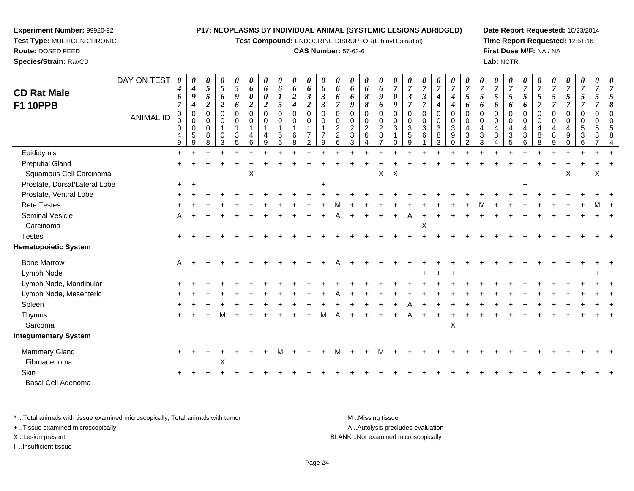**Test Compound:** ENDOCRINE DISRUPTOR(Ethinyl Estradiol)

## **CAS Number:** 57-63-6

**Date Report Requested:** 10/23/2014**Time Report Requested:** 12:51:16**First Dose M/F:** NA / NA**Lab:** NCTR

| <b>CD Rat Male</b>            | DAY ON TEST      | 0<br>4<br>6<br>$\overline{7}$           | $\boldsymbol{\theta}$<br>4<br>9<br>$\boldsymbol{4}$      | $\pmb{\theta}$<br>$\overline{5}$<br>$\mathfrak{s}$<br>$\overline{c}$ | 0<br>$\sqrt{5}$<br>6<br>$\boldsymbol{2}$                     | 0<br>$\sqrt{5}$<br>9<br>6               | 0<br>6<br>0<br>$\boldsymbol{2}$         | 0<br>6<br>0<br>$\boldsymbol{2}$           | 0<br>6<br>$\boldsymbol{I}$<br>5                       | $\pmb{\theta}$<br>$\boldsymbol{\theta}$<br>$\boldsymbol{2}$<br>$\boldsymbol{4}$ | 0<br>6<br>3<br>$\overline{2}$                          | 0<br>6<br>$\mathfrak{z}$<br>$\boldsymbol{\beta}$ | 0<br>6<br>6<br>$\overline{7}$                     | $\boldsymbol{\theta}$<br>6<br>6<br>9                                    | $\pmb{\theta}$<br>6<br>$\boldsymbol{\delta}$<br>8            | 0<br>6<br>9<br>6                                               | 0<br>$\overline{7}$<br>0<br>9 | 0<br>$\overline{7}$<br>3<br>$\overline{7}$     | 0<br>$\overline{7}$<br>$\mathfrak{z}$<br>$\overline{7}$ | 0<br>$\boldsymbol{7}$<br>$\boldsymbol{4}$<br>$\boldsymbol{4}$ | 0<br>$\overline{7}$<br>4<br>4       | 0<br>$\overline{7}$<br>5<br>6                                  | 0<br>$\overline{7}$<br>5<br>6             | 0<br>$\overline{7}$<br>5<br>6                      | 0<br>$\overline{7}$<br>5<br>6                                     | 0<br>$\overline{7}$<br>$\mathfrak{s}$<br>6              | 0<br>$\overline{7}$<br>5<br>$\overline{7}$        | 0<br>$\overline{7}$<br>5<br>$\overline{\tau}$ | 0<br>$\boldsymbol{7}$<br>5<br>$\overline{7}$ | 0<br>$\overline{7}$<br>5<br>$\overline{7}$                      | 0<br>$\overline{7}$<br>5<br>7 |  |
|-------------------------------|------------------|-----------------------------------------|----------------------------------------------------------|----------------------------------------------------------------------|--------------------------------------------------------------|-----------------------------------------|-----------------------------------------|-------------------------------------------|-------------------------------------------------------|---------------------------------------------------------------------------------|--------------------------------------------------------|--------------------------------------------------|---------------------------------------------------|-------------------------------------------------------------------------|--------------------------------------------------------------|----------------------------------------------------------------|-------------------------------|------------------------------------------------|---------------------------------------------------------|---------------------------------------------------------------|-------------------------------------|----------------------------------------------------------------|-------------------------------------------|----------------------------------------------------|-------------------------------------------------------------------|---------------------------------------------------------|---------------------------------------------------|-----------------------------------------------|----------------------------------------------|-----------------------------------------------------------------|-------------------------------|--|
| <b>F1 10PPB</b>               | <b>ANIMAL ID</b> | $\pmb{0}$<br>0<br>4<br>$\boldsymbol{9}$ | $\pmb{0}$<br>$\pmb{0}$<br>$\mathbf 0$<br>$\sqrt{5}$<br>9 | 0<br>$\pmb{0}$<br>$\mathbf 0$<br>8<br>8                              | $\mathbf 0$<br>$\pmb{0}$<br>$\mathbf{1}$<br>$\mathbf 0$<br>3 | $\Omega$<br>0<br>$\mathbf{1}$<br>3<br>5 | $\Omega$<br>0<br>$\mathbf{1}$<br>4<br>6 | $\mathbf 0$<br>$\mathbf 0$<br>1<br>4<br>9 | 0<br>$\mathbf 0$<br>$\overline{1}$<br>$\sqrt{5}$<br>6 | $\boldsymbol{0}$<br>$\pmb{0}$<br>$\overline{1}$<br>6<br>8                       | $\Omega$<br>0<br>1<br>$\overline{7}$<br>$\overline{2}$ | $\Omega$<br>0<br>$\mathbf{1}$<br>9               | $\mathbf 0$<br>0<br>$\sqrt{2}$<br>$\sqrt{2}$<br>6 | $\mathsf{O}\xspace$<br>$\mathbf 0$<br>$\overline{2}$<br>$\sqrt{3}$<br>3 | $\mathbf 0$<br>$\mathbf 0$<br>$\overline{2}$<br>$\,6\,$<br>4 | $\Omega$<br>0<br>$\boldsymbol{2}$<br>$\bf 8$<br>$\overline{7}$ | $\Omega$<br>$\Omega$<br>3     | $\Omega$<br>0<br>$\sqrt{3}$<br>$\sqrt{5}$<br>9 | $\pmb{0}$<br>$\mathbf 0$<br>$\sqrt{3}$<br>6             | $\mathbf 0$<br>$\mathbf 0$<br>$\mathbf{3}$<br>$\bf 8$<br>3    | $\Omega$<br>0<br>3<br>9<br>$\Omega$ | $\Omega$<br>$\mathbf 0$<br>4<br>$\mathbf{3}$<br>$\overline{2}$ | $\Omega$<br>0<br>$\overline{4}$<br>3<br>3 | 0<br>$\mathbf 0$<br>$\overline{4}$<br>$\mathbf{3}$ | $\mathbf 0$<br>$\mathbf 0$<br>$\overline{4}$<br>$\mathbf{3}$<br>5 | $\mathbf 0$<br>0<br>$\overline{4}$<br>$\mathbf{3}$<br>6 | $\Omega$<br>$\pmb{0}$<br>$\overline{4}$<br>8<br>8 | $\mathsf 0$<br>0<br>4<br>8<br>9               | $\mathbf 0$<br>0<br>4<br>9<br>0              | $\mathbf 0$<br>$\pmb{0}$<br>$\overline{5}$<br>$\mathbf{3}$<br>6 | $\mathbf 0$<br>0<br>5<br>3    |  |
| Epididymis                    |                  | $\ddot{}$                               |                                                          |                                                                      |                                                              |                                         |                                         |                                           |                                                       |                                                                                 |                                                        |                                                  |                                                   |                                                                         |                                                              |                                                                |                               |                                                |                                                         |                                                               |                                     |                                                                |                                           |                                                    |                                                                   |                                                         |                                                   |                                               |                                              |                                                                 |                               |  |
| <b>Preputial Gland</b>        |                  |                                         |                                                          |                                                                      |                                                              |                                         |                                         |                                           |                                                       |                                                                                 |                                                        |                                                  |                                                   |                                                                         |                                                              |                                                                |                               |                                                |                                                         |                                                               |                                     |                                                                |                                           |                                                    |                                                                   |                                                         |                                                   |                                               |                                              |                                                                 |                               |  |
| Squamous Cell Carcinoma       |                  |                                         |                                                          |                                                                      |                                                              |                                         | X                                       |                                           |                                                       |                                                                                 |                                                        |                                                  |                                                   |                                                                         |                                                              | X                                                              | $\boldsymbol{\mathsf{X}}$     |                                                |                                                         |                                                               |                                     |                                                                |                                           |                                                    |                                                                   |                                                         |                                                   |                                               | X                                            |                                                                 | X                             |  |
| Prostate, Dorsal/Lateral Lobe |                  | $+$                                     | $\overline{+}$                                           |                                                                      |                                                              |                                         |                                         |                                           |                                                       |                                                                                 |                                                        | $\ddot{}$                                        |                                                   |                                                                         |                                                              |                                                                |                               |                                                |                                                         |                                                               |                                     |                                                                |                                           |                                                    |                                                                   | $\ddot{}$                                               |                                                   |                                               |                                              |                                                                 |                               |  |
| Prostate, Ventral Lobe        |                  |                                         |                                                          |                                                                      |                                                              |                                         |                                         |                                           |                                                       |                                                                                 |                                                        |                                                  |                                                   |                                                                         |                                                              |                                                                |                               |                                                |                                                         |                                                               |                                     |                                                                |                                           |                                                    |                                                                   |                                                         |                                                   |                                               |                                              |                                                                 |                               |  |
| <b>Rete Testes</b>            |                  |                                         |                                                          |                                                                      |                                                              |                                         |                                         |                                           |                                                       |                                                                                 |                                                        |                                                  |                                                   |                                                                         |                                                              |                                                                |                               |                                                |                                                         |                                                               |                                     |                                                                |                                           |                                                    |                                                                   |                                                         |                                                   |                                               |                                              |                                                                 |                               |  |
| Seminal Vesicle               |                  |                                         |                                                          |                                                                      |                                                              |                                         |                                         |                                           |                                                       |                                                                                 |                                                        |                                                  |                                                   |                                                                         |                                                              |                                                                |                               |                                                |                                                         |                                                               |                                     |                                                                |                                           |                                                    |                                                                   |                                                         |                                                   |                                               |                                              |                                                                 |                               |  |
| Carcinoma                     |                  |                                         |                                                          |                                                                      |                                                              |                                         |                                         |                                           |                                                       |                                                                                 |                                                        |                                                  |                                                   |                                                                         |                                                              |                                                                |                               |                                                | $\pmb{\times}$                                          |                                                               |                                     |                                                                |                                           |                                                    |                                                                   |                                                         |                                                   |                                               |                                              |                                                                 |                               |  |
| <b>Testes</b>                 |                  |                                         |                                                          |                                                                      |                                                              |                                         |                                         |                                           |                                                       |                                                                                 |                                                        |                                                  |                                                   |                                                                         |                                                              |                                                                |                               |                                                |                                                         |                                                               |                                     |                                                                |                                           |                                                    |                                                                   |                                                         |                                                   |                                               |                                              |                                                                 |                               |  |
| <b>Hematopoietic System</b>   |                  |                                         |                                                          |                                                                      |                                                              |                                         |                                         |                                           |                                                       |                                                                                 |                                                        |                                                  |                                                   |                                                                         |                                                              |                                                                |                               |                                                |                                                         |                                                               |                                     |                                                                |                                           |                                                    |                                                                   |                                                         |                                                   |                                               |                                              |                                                                 |                               |  |
| <b>Bone Marrow</b>            |                  | A                                       |                                                          |                                                                      |                                                              |                                         |                                         |                                           |                                                       |                                                                                 |                                                        |                                                  |                                                   |                                                                         |                                                              |                                                                |                               |                                                |                                                         |                                                               |                                     |                                                                |                                           |                                                    |                                                                   |                                                         |                                                   |                                               |                                              |                                                                 |                               |  |
| Lymph Node                    |                  |                                         |                                                          |                                                                      |                                                              |                                         |                                         |                                           |                                                       |                                                                                 |                                                        |                                                  |                                                   |                                                                         |                                                              |                                                                |                               |                                                |                                                         |                                                               |                                     |                                                                |                                           |                                                    |                                                                   |                                                         |                                                   |                                               |                                              |                                                                 |                               |  |
| Lymph Node, Mandibular        |                  |                                         |                                                          |                                                                      |                                                              |                                         |                                         |                                           |                                                       |                                                                                 |                                                        |                                                  |                                                   |                                                                         |                                                              |                                                                |                               |                                                |                                                         |                                                               |                                     |                                                                |                                           |                                                    |                                                                   |                                                         |                                                   |                                               |                                              |                                                                 |                               |  |
| Lymph Node, Mesenteric        |                  |                                         |                                                          |                                                                      |                                                              |                                         |                                         |                                           |                                                       |                                                                                 |                                                        |                                                  |                                                   |                                                                         |                                                              |                                                                |                               |                                                |                                                         |                                                               |                                     |                                                                |                                           |                                                    |                                                                   |                                                         |                                                   |                                               |                                              |                                                                 |                               |  |
| Spleen                        |                  |                                         |                                                          |                                                                      |                                                              |                                         |                                         |                                           |                                                       |                                                                                 |                                                        |                                                  |                                                   |                                                                         |                                                              |                                                                |                               |                                                |                                                         |                                                               |                                     |                                                                |                                           |                                                    |                                                                   |                                                         |                                                   |                                               |                                              |                                                                 |                               |  |
| Thymus                        |                  |                                         |                                                          |                                                                      | м                                                            |                                         |                                         |                                           |                                                       |                                                                                 |                                                        |                                                  |                                                   |                                                                         |                                                              |                                                                |                               |                                                |                                                         |                                                               |                                     |                                                                |                                           |                                                    |                                                                   |                                                         |                                                   |                                               |                                              |                                                                 |                               |  |
| Sarcoma                       |                  |                                         |                                                          |                                                                      |                                                              |                                         |                                         |                                           |                                                       |                                                                                 |                                                        |                                                  |                                                   |                                                                         |                                                              |                                                                |                               |                                                |                                                         |                                                               | $\boldsymbol{\mathsf{X}}$           |                                                                |                                           |                                                    |                                                                   |                                                         |                                                   |                                               |                                              |                                                                 |                               |  |
| <b>Integumentary System</b>   |                  |                                         |                                                          |                                                                      |                                                              |                                         |                                         |                                           |                                                       |                                                                                 |                                                        |                                                  |                                                   |                                                                         |                                                              |                                                                |                               |                                                |                                                         |                                                               |                                     |                                                                |                                           |                                                    |                                                                   |                                                         |                                                   |                                               |                                              |                                                                 |                               |  |
| Mammary Gland                 |                  |                                         |                                                          |                                                                      |                                                              |                                         |                                         |                                           |                                                       |                                                                                 |                                                        |                                                  |                                                   |                                                                         |                                                              |                                                                |                               |                                                |                                                         |                                                               |                                     |                                                                |                                           |                                                    |                                                                   |                                                         |                                                   |                                               |                                              |                                                                 |                               |  |
| Fibroadenoma                  |                  |                                         |                                                          |                                                                      | X                                                            |                                         |                                         |                                           |                                                       |                                                                                 |                                                        |                                                  |                                                   |                                                                         |                                                              |                                                                |                               |                                                |                                                         |                                                               |                                     |                                                                |                                           |                                                    |                                                                   |                                                         |                                                   |                                               |                                              |                                                                 |                               |  |
| Skin                          |                  |                                         |                                                          |                                                                      |                                                              |                                         |                                         |                                           |                                                       |                                                                                 |                                                        |                                                  |                                                   |                                                                         |                                                              |                                                                |                               |                                                |                                                         |                                                               |                                     |                                                                |                                           |                                                    |                                                                   |                                                         |                                                   |                                               |                                              |                                                                 |                               |  |
| Basal Cell Adenoma            |                  |                                         |                                                          |                                                                      |                                                              |                                         |                                         |                                           |                                                       |                                                                                 |                                                        |                                                  |                                                   |                                                                         |                                                              |                                                                |                               |                                                |                                                         |                                                               |                                     |                                                                |                                           |                                                    |                                                                   |                                                         |                                                   |                                               |                                              |                                                                 |                               |  |

\* ..Total animals with tissue examined microscopically; Total animals with tumor **M** . Missing tissue M ..Missing tissue A ..Autolysis precludes evaluation + ..Tissue examined microscopically X ..Lesion present BLANK ..Not examined microscopicallyI ..Insufficient tissue

**Experiment Number:** 99920-92**Test Type:** MULTIGEN CHRONIC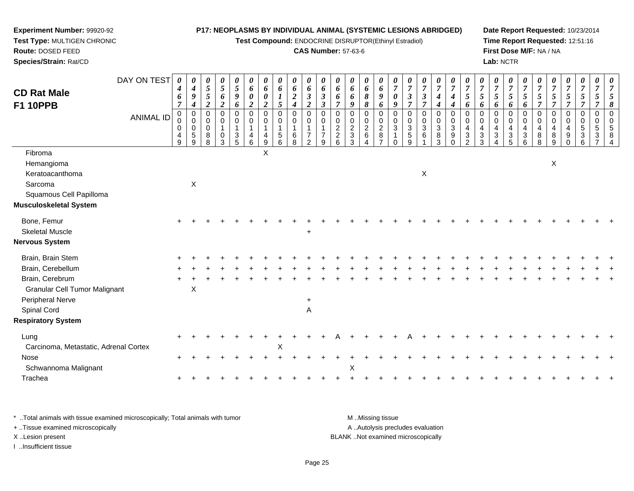**Test Compound:** ENDOCRINE DISRUPTOR(Ethinyl Estradiol)

## **CAS Number:** 57-63-6

**Date Report Requested:** 10/23/2014**Time Report Requested:** 12:51:16**First Dose M/F:** NA / NA**Lab:** NCTR

| <b>CD Rat Male</b>                    | DAY ON TEST      | 0<br>4<br>6           | $\boldsymbol{\theta}$<br>$\boldsymbol{4}$<br>9               | $\boldsymbol{\theta}$<br>$\mathfrak{z}$<br>$\sqrt{5}$ | $\boldsymbol{\theta}$<br>$\mathfrak{s}$<br>6           | 0<br>$\sqrt{5}$<br>9            | 0<br>6<br>$\boldsymbol{\theta}$ | 0<br>6<br>$\pmb{\theta}$        | $\boldsymbol{\theta}$<br>6<br>$\boldsymbol{l}$               | 0<br>6<br>$\boldsymbol{2}$                       | $\boldsymbol{\theta}$<br>6<br>$\boldsymbol{\beta}$             | 0<br>6<br>$\mathfrak{z}$                       | 0<br>6<br>6                            | 0<br>6<br>6                               | 0<br>6<br>8                                                   | 0<br>6<br>$\boldsymbol{9}$                            | $\boldsymbol{\theta}$<br>$\overline{7}$<br>$\boldsymbol{\theta}$       | 0<br>$\overline{7}$<br>$\overline{\mathbf{3}}$ | 0<br>$\boldsymbol{7}$<br>$\mathfrak{z}$ | $\boldsymbol{\theta}$<br>$\overline{7}$<br>$\boldsymbol{4}$ | $\boldsymbol{\theta}$<br>$\overline{7}$<br>$\boldsymbol{4}$ | $\boldsymbol{\theta}$<br>$\overline{7}$<br>5               | $\boldsymbol{\theta}$<br>$\overline{7}$<br>$\mathfrak{s}$ | 0<br>$\overline{7}$<br>5                                | $\boldsymbol{\theta}$<br>$\boldsymbol{7}$<br>5 | $\boldsymbol{\theta}$<br>$\boldsymbol{7}$<br>$\mathfrak{s}$ | 0<br>$\overline{7}$<br>5                        | $\boldsymbol{\theta}$<br>$\overline{7}$<br>$\mathfrak{H}$ | 0<br>$\overline{7}$<br>$\mathfrak{I}$                                 | 0<br>$\overline{7}$<br>5 | 0<br>$\overline{7}$<br>5                     | $\boldsymbol{\theta}$<br>$\overline{7}$<br>5              |
|---------------------------------------|------------------|-----------------------|--------------------------------------------------------------|-------------------------------------------------------|--------------------------------------------------------|---------------------------------|---------------------------------|---------------------------------|--------------------------------------------------------------|--------------------------------------------------|----------------------------------------------------------------|------------------------------------------------|----------------------------------------|-------------------------------------------|---------------------------------------------------------------|-------------------------------------------------------|------------------------------------------------------------------------|------------------------------------------------|-----------------------------------------|-------------------------------------------------------------|-------------------------------------------------------------|------------------------------------------------------------|-----------------------------------------------------------|---------------------------------------------------------|------------------------------------------------|-------------------------------------------------------------|-------------------------------------------------|-----------------------------------------------------------|-----------------------------------------------------------------------|--------------------------|----------------------------------------------|-----------------------------------------------------------|
| <b>F1 10PPB</b>                       |                  | $\overline{7}$        | $\boldsymbol{4}$                                             | $\overline{2}$                                        | $\boldsymbol{2}$                                       | 6                               | $\boldsymbol{2}$                | $\overline{c}$                  | 5                                                            | $\boldsymbol{4}$                                 | $\boldsymbol{2}$                                               | $\boldsymbol{\beta}$                           | $\overline{\tau}$                      | 9                                         | 8                                                             | 6                                                     | 9                                                                      | $\overline{7}$                                 | $\overline{7}$                          | $\boldsymbol{4}$                                            | $\boldsymbol{4}$                                            | 6                                                          | 6                                                         | 6                                                       | 6                                              | 6                                                           | $\overline{7}$                                  | $\overline{7}$                                            | $\overline{7}$                                                        | $\overline{7}$           | $\overline{\tau}$                            | 8                                                         |
|                                       | <b>ANIMAL ID</b> | 0<br>0<br>0<br>4<br>9 | $\mathbf 0$<br>$\mathbf 0$<br>$\mathbf 0$<br>$\sqrt{5}$<br>9 | 0<br>0<br>0<br>8<br>8                                 | $\mathbf 0$<br>$\mathbf 0$<br>1<br>$\overline{0}$<br>3 | 0<br>$\mathbf 0$<br>1<br>3<br>5 | $\mathbf 0$<br>0<br>1<br>4<br>6 | 0<br>0<br>4<br>$\boldsymbol{9}$ | $\mathbf 0$<br>$\mathbf 0$<br>$\mathbf 1$<br>$\sqrt{5}$<br>6 | $\mathbf 0$<br>0<br>$\mathbf{1}$<br>$\,6\,$<br>8 | $\mathbf 0$<br>$\mathbf 0$<br>$\overline{7}$<br>$\overline{2}$ | $\mathbf 0$<br>$\Omega$<br>$\overline{7}$<br>9 | $\mathbf 0$<br>0<br>$\frac{2}{2}$<br>6 | 0<br>0<br>$\frac{2}{3}$<br>$\mathfrak{Z}$ | $\mathbf 0$<br>$\mathbf 0$<br>$\frac{2}{6}$<br>$\overline{4}$ | 0<br>0<br>$\overline{c}$<br>$\,8\,$<br>$\overline{7}$ | $\mathbf 0$<br>$\mathbf 0$<br>$\mathbf{3}$<br>$\mathbf{1}$<br>$\Omega$ | $\mathbf 0$<br>0<br>3<br>$\,$ 5 $\,$<br>9      | 0<br>0<br>$\mathbf 3$<br>6              | $\mathbf 0$<br>$_{3}^{\rm 0}$<br>$\overline{8}$<br>3        | $\mathbf 0$<br>0<br>3<br>$\boldsymbol{9}$<br>$\mathbf 0$    | $\Omega$<br>$\Omega$<br>4<br>$\mathbf 3$<br>$\overline{2}$ | 0<br>0<br>$\overline{4}$<br>$\sqrt{3}$<br>3               | $\mathbf 0$<br>0<br>4<br>$\ensuremath{\mathsf{3}}$<br>4 | 0<br>0<br>4<br>$\ensuremath{\mathsf{3}}$<br>5  | 0<br>0<br>4<br>$\frac{3}{6}$                                | $\mathbf 0$<br>$\mathbf 0$<br>4<br>$\bf 8$<br>8 | 0<br>$\mathbf 0$<br>$\overline{4}$<br>$\bf 8$<br>9        | 0<br>$\mathbf 0$<br>$\overline{4}$<br>$\boldsymbol{9}$<br>$\mathbf 0$ | 0<br>0<br>5<br>3<br>6    | 0<br>$\mathbf 0$<br>5<br>3<br>$\overline{7}$ | $\overline{0}$<br>$\mathbf 0$<br>5<br>8<br>$\overline{4}$ |
| Fibroma<br>Hemangioma                 |                  |                       |                                                              |                                                       |                                                        |                                 |                                 | X                               |                                                              |                                                  |                                                                |                                                |                                        |                                           |                                                               |                                                       |                                                                        |                                                |                                         |                                                             |                                                             |                                                            |                                                           |                                                         |                                                |                                                             |                                                 | X                                                         |                                                                       |                          |                                              |                                                           |
| Keratoacanthoma                       |                  |                       |                                                              |                                                       |                                                        |                                 |                                 |                                 |                                                              |                                                  |                                                                |                                                |                                        |                                           |                                                               |                                                       |                                                                        |                                                | X                                       |                                                             |                                                             |                                                            |                                                           |                                                         |                                                |                                                             |                                                 |                                                           |                                                                       |                          |                                              |                                                           |
| Sarcoma                               |                  |                       | $\mathsf X$                                                  |                                                       |                                                        |                                 |                                 |                                 |                                                              |                                                  |                                                                |                                                |                                        |                                           |                                                               |                                                       |                                                                        |                                                |                                         |                                                             |                                                             |                                                            |                                                           |                                                         |                                                |                                                             |                                                 |                                                           |                                                                       |                          |                                              |                                                           |
| Squamous Cell Papilloma               |                  |                       |                                                              |                                                       |                                                        |                                 |                                 |                                 |                                                              |                                                  |                                                                |                                                |                                        |                                           |                                                               |                                                       |                                                                        |                                                |                                         |                                                             |                                                             |                                                            |                                                           |                                                         |                                                |                                                             |                                                 |                                                           |                                                                       |                          |                                              |                                                           |
| <b>Musculoskeletal System</b>         |                  |                       |                                                              |                                                       |                                                        |                                 |                                 |                                 |                                                              |                                                  |                                                                |                                                |                                        |                                           |                                                               |                                                       |                                                                        |                                                |                                         |                                                             |                                                             |                                                            |                                                           |                                                         |                                                |                                                             |                                                 |                                                           |                                                                       |                          |                                              |                                                           |
| Bone, Femur                           |                  |                       |                                                              |                                                       |                                                        |                                 |                                 |                                 |                                                              |                                                  |                                                                |                                                |                                        |                                           |                                                               |                                                       |                                                                        |                                                |                                         |                                                             |                                                             |                                                            |                                                           |                                                         |                                                |                                                             |                                                 |                                                           |                                                                       |                          |                                              |                                                           |
| <b>Skeletal Muscle</b>                |                  |                       |                                                              |                                                       |                                                        |                                 |                                 |                                 |                                                              |                                                  | $\ddot{}$                                                      |                                                |                                        |                                           |                                                               |                                                       |                                                                        |                                                |                                         |                                                             |                                                             |                                                            |                                                           |                                                         |                                                |                                                             |                                                 |                                                           |                                                                       |                          |                                              |                                                           |
| <b>Nervous System</b>                 |                  |                       |                                                              |                                                       |                                                        |                                 |                                 |                                 |                                                              |                                                  |                                                                |                                                |                                        |                                           |                                                               |                                                       |                                                                        |                                                |                                         |                                                             |                                                             |                                                            |                                                           |                                                         |                                                |                                                             |                                                 |                                                           |                                                                       |                          |                                              |                                                           |
| Brain, Brain Stem                     |                  |                       |                                                              |                                                       |                                                        |                                 |                                 |                                 |                                                              |                                                  |                                                                |                                                |                                        |                                           |                                                               |                                                       |                                                                        |                                                |                                         |                                                             |                                                             |                                                            |                                                           |                                                         |                                                |                                                             |                                                 |                                                           |                                                                       |                          |                                              |                                                           |
| Brain, Cerebellum                     |                  |                       |                                                              |                                                       |                                                        |                                 |                                 |                                 |                                                              |                                                  |                                                                |                                                |                                        |                                           |                                                               |                                                       |                                                                        |                                                |                                         |                                                             |                                                             |                                                            |                                                           |                                                         |                                                |                                                             |                                                 |                                                           |                                                                       |                          |                                              |                                                           |
| Brain, Cerebrum                       |                  |                       |                                                              |                                                       |                                                        |                                 |                                 |                                 |                                                              |                                                  |                                                                |                                                |                                        |                                           |                                                               |                                                       |                                                                        |                                                |                                         |                                                             |                                                             |                                                            |                                                           |                                                         |                                                |                                                             |                                                 |                                                           |                                                                       |                          |                                              |                                                           |
| <b>Granular Cell Tumor Malignant</b>  |                  |                       | $\mathsf X$                                                  |                                                       |                                                        |                                 |                                 |                                 |                                                              |                                                  |                                                                |                                                |                                        |                                           |                                                               |                                                       |                                                                        |                                                |                                         |                                                             |                                                             |                                                            |                                                           |                                                         |                                                |                                                             |                                                 |                                                           |                                                                       |                          |                                              |                                                           |
| Peripheral Nerve                      |                  |                       |                                                              |                                                       |                                                        |                                 |                                 |                                 |                                                              |                                                  | +                                                              |                                                |                                        |                                           |                                                               |                                                       |                                                                        |                                                |                                         |                                                             |                                                             |                                                            |                                                           |                                                         |                                                |                                                             |                                                 |                                                           |                                                                       |                          |                                              |                                                           |
| Spinal Cord                           |                  |                       |                                                              |                                                       |                                                        |                                 |                                 |                                 |                                                              |                                                  | $\overline{A}$                                                 |                                                |                                        |                                           |                                                               |                                                       |                                                                        |                                                |                                         |                                                             |                                                             |                                                            |                                                           |                                                         |                                                |                                                             |                                                 |                                                           |                                                                       |                          |                                              |                                                           |
| <b>Respiratory System</b>             |                  |                       |                                                              |                                                       |                                                        |                                 |                                 |                                 |                                                              |                                                  |                                                                |                                                |                                        |                                           |                                                               |                                                       |                                                                        |                                                |                                         |                                                             |                                                             |                                                            |                                                           |                                                         |                                                |                                                             |                                                 |                                                           |                                                                       |                          |                                              |                                                           |
| Lung                                  |                  |                       |                                                              |                                                       |                                                        |                                 |                                 |                                 |                                                              |                                                  |                                                                |                                                |                                        |                                           |                                                               |                                                       |                                                                        |                                                |                                         |                                                             |                                                             |                                                            |                                                           |                                                         |                                                |                                                             |                                                 |                                                           |                                                                       |                          |                                              |                                                           |
| Carcinoma, Metastatic, Adrenal Cortex |                  |                       |                                                              |                                                       |                                                        |                                 |                                 |                                 | $\mathsf X$                                                  |                                                  |                                                                |                                                |                                        |                                           |                                                               |                                                       |                                                                        |                                                |                                         |                                                             |                                                             |                                                            |                                                           |                                                         |                                                |                                                             |                                                 |                                                           |                                                                       |                          |                                              |                                                           |
| Nose                                  |                  |                       |                                                              |                                                       |                                                        |                                 |                                 |                                 |                                                              |                                                  |                                                                |                                                |                                        |                                           |                                                               |                                                       |                                                                        |                                                |                                         |                                                             |                                                             |                                                            |                                                           |                                                         |                                                |                                                             |                                                 |                                                           |                                                                       |                          |                                              |                                                           |
| Schwannoma Malignant                  |                  |                       |                                                              |                                                       |                                                        |                                 |                                 |                                 |                                                              |                                                  |                                                                |                                                |                                        | Χ                                         |                                                               |                                                       |                                                                        |                                                |                                         |                                                             |                                                             |                                                            |                                                           |                                                         |                                                |                                                             |                                                 |                                                           |                                                                       |                          |                                              |                                                           |
| Trachea                               |                  |                       |                                                              |                                                       |                                                        |                                 |                                 |                                 |                                                              |                                                  |                                                                |                                                |                                        |                                           |                                                               |                                                       |                                                                        |                                                |                                         |                                                             |                                                             |                                                            |                                                           |                                                         |                                                |                                                             |                                                 |                                                           |                                                                       |                          |                                              |                                                           |

\* ..Total animals with tissue examined microscopically; Total animals with tumor **M** . Missing tissue M ..Missing tissue A ..Autolysis precludes evaluation + ..Tissue examined microscopically X ..Lesion present BLANK ..Not examined microscopicallyI ..Insufficient tissue

**Experiment Number:** 99920-92**Test Type:** MULTIGEN CHRONIC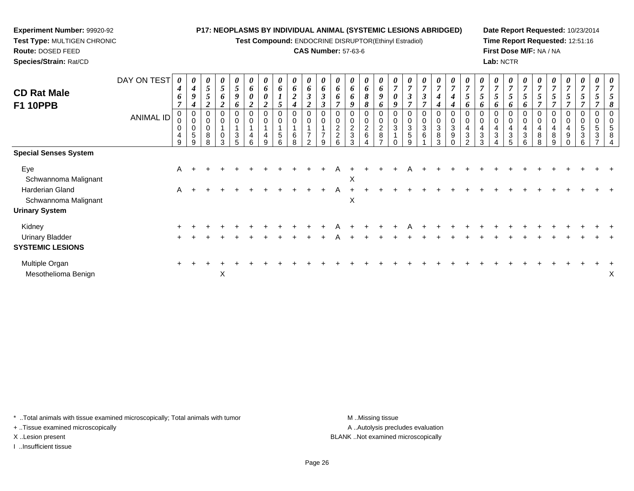**Test Compound:** ENDOCRINE DISRUPTOR(Ethinyl Estradiol)

## **CAS Number:** 57-63-6

**Date Report Requested:** 10/23/2014**Time Report Requested:** 12:51:16**First Dose M/F:** NA / NA**Lab:** NCTR

| <b>CD Rat Male</b><br><b>F1 10PPB</b>             | DAY ON TEST      | 0<br>$\boldsymbol{4}$<br>6 | $\boldsymbol{\theta}$<br>$\boldsymbol{4}$<br>9<br>4 | 0<br>$\mathfrak{s}$<br>5<br>2       | 0<br>$\overline{5}$<br>6<br>$\boldsymbol{2}$ | $\boldsymbol{\theta}$<br>5<br>$\boldsymbol{g}$<br>6 | $\boldsymbol{\mathit{U}}$<br>6<br>$\boldsymbol{\theta}$<br>2 | 0<br>6<br>$\boldsymbol{\theta}$<br>$\overline{2}$ | 0<br>6<br>$\mathbf{r}$<br>$\mathbf{I}$<br>$\mathfrak{s}$ | 0<br>6<br>$\boldsymbol{2}$<br>$\boldsymbol{4}$ | 0<br>6<br>$\mathfrak{z}$<br>$\overline{2}$          | $\boldsymbol{\mathit{U}}$<br>6<br>$\boldsymbol{\beta}$<br>$\boldsymbol{\beta}$ | $\boldsymbol{\theta}$<br>6<br>6<br>7                          | 0<br>6<br>6<br>9             | $\boldsymbol{\theta}$<br>6<br>8<br>8 | $\boldsymbol{\theta}$<br>6<br>9<br>6 | $\boldsymbol{\theta}$<br>$\overline{7}$<br>$\boldsymbol{\theta}$<br>9 | $\boldsymbol{\theta}$<br>$\overline{7}$<br>$\mathbf{3}$<br>$\overline{7}$ | 0<br>$\overline{7}$<br>$\boldsymbol{\beta}$<br>$\overline{7}$ | $\frac{\boldsymbol{\theta}}{\boldsymbol{7}}$<br>4<br>4 | $\overline{7}$<br>4                        | $\boldsymbol{\theta}$<br>$\overline{ }$<br>5<br>6     | $\frac{\boldsymbol{0}}{7}$<br>$\mathfrak{s}$<br>6 | $\boldsymbol{\theta}$<br>$\overline{7}$<br>5<br>6                                    | $\boldsymbol{\theta}$<br>$\overline{ }$<br>5<br>6 | $\boldsymbol{\theta}$<br>$\overline{7}$<br>5 | $\boldsymbol{\theta}$<br>$\overline{ }$<br>$\mathfrak{s}$<br>$\overline{ }$ | 0<br>$\overline{7}$<br>$\mathfrak{s}$<br>$\overline{7}$ | 0<br>$\overline{7}$<br>5<br>$\overline{ }$          | $\boldsymbol{\theta}$<br>$\overline{7}$<br>5 | 0<br>$\overline{ }$<br>$\mathcal{L}$ | 0<br>$\overline{ }$<br>8 |
|---------------------------------------------------|------------------|----------------------------|-----------------------------------------------------|-------------------------------------|----------------------------------------------|-----------------------------------------------------|--------------------------------------------------------------|---------------------------------------------------|----------------------------------------------------------|------------------------------------------------|-----------------------------------------------------|--------------------------------------------------------------------------------|---------------------------------------------------------------|------------------------------|--------------------------------------|--------------------------------------|-----------------------------------------------------------------------|---------------------------------------------------------------------------|---------------------------------------------------------------|--------------------------------------------------------|--------------------------------------------|-------------------------------------------------------|---------------------------------------------------|--------------------------------------------------------------------------------------|---------------------------------------------------|----------------------------------------------|-----------------------------------------------------------------------------|---------------------------------------------------------|-----------------------------------------------------|----------------------------------------------|--------------------------------------|--------------------------|
|                                                   | <b>ANIMAL ID</b> | 0<br>4<br>9                | 0<br>0<br>0<br>$\sqrt{5}$<br>9                      | 0<br>$\pmb{0}$<br>0<br>$\bf 8$<br>8 | 0<br>0<br>$\pmb{0}$<br>3                     | 0<br>$\pmb{0}$<br>3<br>5                            | $\mathbf 0$<br>4<br>F                                        | 0<br>$\mathbf 0$<br>4<br>9                        | 0<br>$\mathbf 0$<br>$\mathbf 5$<br>6                     | $\boldsymbol{0}$<br>$\pmb{0}$<br>$\,6\,$<br>8  | 0<br>0<br>$\overline{\phantom{a}}$<br>$\mathcal{P}$ | 0<br>$\mathbf 0$<br>$\overline{ }$<br>9                                        | $\mathbf 0$<br>$\overline{\mathbf{c}}$<br>$\overline{c}$<br>6 | 0<br>0<br>$\frac{2}{3}$<br>3 | 0<br>$\pmb{0}$<br>$\frac{2}{6}$      | 0<br>$\pmb{0}$<br>$_{\rm 8}^2$<br>⇁  | 0<br>$\pmb{0}$<br>$\mathbf{3}$                                        | 0<br>$\,0\,$<br>3<br>$\sqrt{5}$<br>9                                      | $\pmb{0}$<br>3<br>6                                           | 0<br>0<br>3<br>8<br>3                                  | $\pmb{0}$<br>$\mathbf{3}$<br>9<br>$\Omega$ | 0<br>$\pmb{0}$<br>4<br>$\ensuremath{\mathsf{3}}$<br>ົ | 0<br>$\pmb{0}$<br>4<br>$\sqrt{3}$<br>3            | $\mathbf 0$<br>$\mathbf 0$<br>$\overline{a}$<br>$\sqrt{3}$<br>$\boldsymbol{\Lambda}$ | $\mathbf 0$<br>4<br>3<br>5                        | 4<br>$\mathbf{3}$<br>ี                       | 0<br>0<br>4<br>$\bf 8$<br>8                                                 | 0<br>$\pmb{0}$<br>4<br>8<br>9                           | 0<br>$\pmb{0}$<br>4<br>$\boldsymbol{9}$<br>$\Omega$ | 0<br>$\pmb{0}$<br>5<br>$\mathbf{3}$<br>6     | $\mathbf 0$<br>5<br>3                | $\mathbf 0$<br>5<br>8    |
| <b>Special Senses System</b>                      |                  |                            |                                                     |                                     |                                              |                                                     |                                                              |                                                   |                                                          |                                                |                                                     |                                                                                |                                                               |                              |                                      |                                      |                                                                       |                                                                           |                                                               |                                                        |                                            |                                                       |                                                   |                                                                                      |                                                   |                                              |                                                                             |                                                         |                                                     |                                              |                                      |                          |
| Eye<br>Schwannoma Malignant                       |                  | A                          |                                                     |                                     |                                              |                                                     |                                                              |                                                   |                                                          |                                                |                                                     |                                                                                |                                                               | X                            |                                      |                                      |                                                                       |                                                                           |                                                               |                                                        |                                            |                                                       |                                                   |                                                                                      |                                                   |                                              |                                                                             |                                                         |                                                     |                                              |                                      |                          |
| Harderian Gland<br>Schwannoma Malignant           |                  | A                          |                                                     |                                     |                                              |                                                     |                                                              |                                                   |                                                          |                                                |                                                     |                                                                                | Α                                                             | X                            |                                      |                                      |                                                                       |                                                                           |                                                               |                                                        |                                            |                                                       |                                                   |                                                                                      |                                                   |                                              |                                                                             |                                                         |                                                     |                                              |                                      |                          |
| <b>Urinary System</b>                             |                  |                            |                                                     |                                     |                                              |                                                     |                                                              |                                                   |                                                          |                                                |                                                     |                                                                                |                                                               |                              |                                      |                                      |                                                                       |                                                                           |                                                               |                                                        |                                            |                                                       |                                                   |                                                                                      |                                                   |                                              |                                                                             |                                                         |                                                     |                                              |                                      |                          |
| Kidney                                            |                  |                            |                                                     |                                     |                                              |                                                     |                                                              |                                                   |                                                          |                                                |                                                     |                                                                                |                                                               |                              |                                      |                                      |                                                                       |                                                                           |                                                               |                                                        |                                            |                                                       |                                                   |                                                                                      |                                                   |                                              |                                                                             |                                                         |                                                     |                                              |                                      |                          |
| <b>Urinary Bladder</b><br><b>SYSTEMIC LESIONS</b> |                  |                            |                                                     |                                     |                                              |                                                     |                                                              |                                                   |                                                          |                                                |                                                     |                                                                                |                                                               |                              |                                      |                                      |                                                                       |                                                                           |                                                               |                                                        |                                            |                                                       |                                                   |                                                                                      |                                                   |                                              |                                                                             |                                                         |                                                     |                                              |                                      |                          |
| Multiple Organ<br>Mesothelioma Benign             |                  | $\pm$                      |                                                     |                                     | X                                            |                                                     |                                                              |                                                   |                                                          |                                                |                                                     |                                                                                |                                                               |                              |                                      |                                      |                                                                       |                                                                           |                                                               |                                                        |                                            |                                                       |                                                   |                                                                                      |                                                   |                                              |                                                                             |                                                         |                                                     |                                              |                                      | X                        |

\* ..Total animals with tissue examined microscopically; Total animals with tumor **M** . Missing tissue M ..Missing tissue

+ ..Tissue examined microscopically

**Experiment Number:** 99920-92**Test Type:** MULTIGEN CHRONIC

**Route:** DOSED FEED**Species/Strain:** Rat/CD

I ..Insufficient tissue

A ..Autolysis precludes evaluation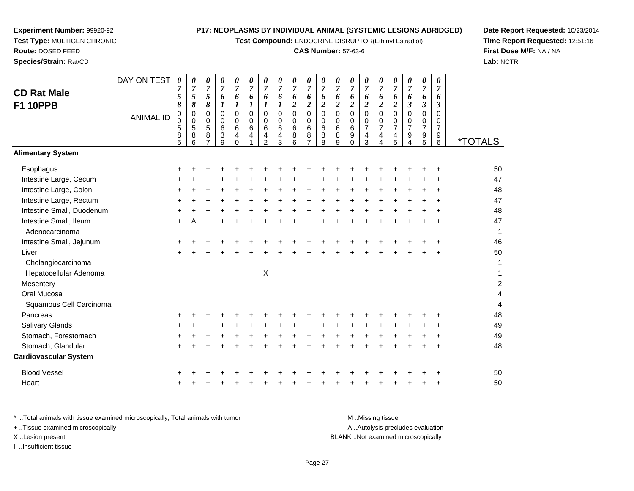**Test Compound:** ENDOCRINE DISRUPTOR(Ethinyl Estradiol)

## **CAS Number:** 57-63-6

**Date Report Requested:** 10/23/2014**Time Report Requested:** 12:51:16**First Dose M/F:** NA / NA**Lab:** NCTR

|                              | DAY ON TEST      | 0                   | 0                            | 0                                | 0                         | $\frac{\theta}{7}$ | $\pmb{\theta}$         | 0                   | $\pmb{\theta}$      | 0                   | 0                                  | 0                           | 0                     | 0                   | 0                   | 0                   | 0                             | $\pmb{\theta}$      | $\pmb{\theta}$                | 0                             |                       |
|------------------------------|------------------|---------------------|------------------------------|----------------------------------|---------------------------|--------------------|------------------------|---------------------|---------------------|---------------------|------------------------------------|-----------------------------|-----------------------|---------------------|---------------------|---------------------|-------------------------------|---------------------|-------------------------------|-------------------------------|-----------------------|
| <b>CD Rat Male</b>           |                  | $\overline{7}$<br>5 | $\overline{7}$<br>$\sqrt{5}$ | $\overline{7}$<br>$\mathfrak{s}$ | $\overline{7}$<br>6       | 6                  | $\boldsymbol{7}$<br>6  | $\overline{7}$<br>6 | $\overline{7}$<br>6 | $\overline{7}$<br>6 | $\overline{7}$<br>$\boldsymbol{6}$ | $\overline{7}$<br>6         | $\boldsymbol{7}$<br>6 | $\overline{7}$<br>6 | $\overline{7}$<br>6 | $\overline{7}$<br>6 | $\boldsymbol{7}$<br>$\pmb{6}$ | $\overline{7}$<br>6 | $\overline{7}$<br>6           | $\overline{7}$<br>6           |                       |
| <b>F1 10PPB</b>              |                  | 8                   | 8                            | $\pmb{8}$                        | 1                         | $\boldsymbol{l}$   | $\boldsymbol{l}$       | $\boldsymbol{l}$    | 1                   | $\overline{2}$      | $\overline{2}$                     | $\boldsymbol{2}$            | $\boldsymbol{2}$      | $\boldsymbol{2}$    | $\boldsymbol{2}$    | $\overline{c}$      | $\overline{\mathbf{c}}$       | $\mathfrak{z}$      | $\boldsymbol{\beta}$          | $\boldsymbol{\beta}$          |                       |
|                              | <b>ANIMAL ID</b> | $\pmb{0}$           | $\pmb{0}$                    | $\mathbf 0$                      | 0                         | $\mathbf 0$        | $\Omega$               | $\mathbf 0$         | $\pmb{0}$           | $\mathbf 0$         | $\mathbf 0$                        | $\mathsf 0$                 | $\mathbf 0$           | $\mathbf 0$         | $\mathbf 0$         | 0                   | $\mathbf 0$                   | $\mathbf 0$         | $\Omega$                      | $\Omega$                      |                       |
|                              |                  | $\pmb{0}$<br>5      | 0<br>$\sqrt{5}$              | $\mathbf 0$<br>$\overline{5}$    | 0<br>$6\phantom{a}$       | $\mathbf 0$<br>6   | $\mathbf 0$<br>$\,6\,$ | 0<br>6              | 0<br>$\,6\,$        | 0<br>$\,6$          | $\mathbf 0$<br>$\,6\,$             | $\pmb{0}$<br>$6\phantom{a}$ | 0<br>$6\phantom{a}$   | 0<br>$\,6\,$        | 0<br>$\overline{7}$ | 0<br>$\overline{7}$ | 0<br>$\overline{7}$           | 0<br>$\overline{7}$ | $\mathbf 0$<br>$\overline{7}$ | $\mathbf 0$<br>$\overline{7}$ |                       |
|                              |                  | 8                   | $\bf 8$                      | 8                                | $\ensuremath{\mathsf{3}}$ | $\overline{4}$     | $\overline{4}$         | 4                   | $\overline{4}$      | $\bf8$              | $\bf 8$                            | $\overline{8}$              | $\bf 8$               | $\boldsymbol{9}$    | $\overline{4}$      | 4                   | $\overline{4}$                | $\boldsymbol{9}$    | $\boldsymbol{9}$              | $9\,$                         |                       |
|                              |                  | 5                   | 6                            | $\overline{7}$                   | 9                         | $\Omega$           |                        | $\overline{2}$      | 3                   | 6                   | $\overline{7}$                     | 8                           | 9                     | $\Omega$            | 3                   | 4                   | 5                             | 4                   | 5                             | 6                             | <i><b>*TOTALS</b></i> |
| <b>Alimentary System</b>     |                  |                     |                              |                                  |                           |                    |                        |                     |                     |                     |                                    |                             |                       |                     |                     |                     |                               |                     |                               |                               |                       |
| Esophagus                    |                  |                     |                              |                                  |                           |                    |                        |                     |                     |                     |                                    |                             |                       |                     |                     |                     |                               |                     |                               |                               | 50                    |
| Intestine Large, Cecum       |                  |                     |                              |                                  |                           |                    |                        |                     |                     |                     |                                    |                             |                       |                     |                     |                     |                               |                     |                               |                               | 47                    |
| Intestine Large, Colon       |                  |                     |                              |                                  |                           |                    |                        |                     |                     |                     |                                    | $\div$                      |                       |                     |                     |                     |                               |                     |                               |                               | 48                    |
| Intestine Large, Rectum      |                  |                     |                              |                                  |                           |                    |                        |                     |                     |                     |                                    |                             |                       |                     |                     |                     |                               |                     |                               |                               | 47                    |
| Intestine Small, Duodenum    |                  |                     |                              |                                  |                           |                    |                        |                     |                     |                     |                                    |                             |                       |                     |                     |                     |                               |                     |                               |                               | 48                    |
| Intestine Small, Ileum       |                  |                     |                              |                                  |                           |                    |                        |                     |                     |                     |                                    |                             |                       |                     |                     |                     |                               |                     |                               |                               | 47                    |
| Adenocarcinoma               |                  |                     |                              |                                  |                           |                    |                        |                     |                     |                     |                                    |                             |                       |                     |                     |                     |                               |                     |                               |                               | 1                     |
| Intestine Small, Jejunum     |                  |                     |                              |                                  |                           |                    |                        |                     |                     |                     |                                    |                             |                       |                     |                     |                     |                               |                     |                               |                               | 46                    |
| Liver                        |                  |                     |                              |                                  |                           |                    |                        |                     |                     |                     |                                    |                             |                       |                     |                     |                     |                               |                     |                               |                               | 50                    |
| Cholangiocarcinoma           |                  |                     |                              |                                  |                           |                    |                        |                     |                     |                     |                                    |                             |                       |                     |                     |                     |                               |                     |                               |                               | 1                     |
| Hepatocellular Adenoma       |                  |                     |                              |                                  |                           |                    |                        | Χ                   |                     |                     |                                    |                             |                       |                     |                     |                     |                               |                     |                               |                               | 1                     |
| Mesentery                    |                  |                     |                              |                                  |                           |                    |                        |                     |                     |                     |                                    |                             |                       |                     |                     |                     |                               |                     |                               |                               | $\boldsymbol{2}$      |
| Oral Mucosa                  |                  |                     |                              |                                  |                           |                    |                        |                     |                     |                     |                                    |                             |                       |                     |                     |                     |                               |                     |                               |                               | 4                     |
| Squamous Cell Carcinoma      |                  |                     |                              |                                  |                           |                    |                        |                     |                     |                     |                                    |                             |                       |                     |                     |                     |                               |                     |                               |                               | $\overline{4}$        |
| Pancreas                     |                  |                     |                              |                                  |                           |                    |                        |                     |                     |                     |                                    |                             |                       |                     |                     |                     |                               |                     |                               |                               | 48                    |
| Salivary Glands              |                  |                     |                              |                                  |                           |                    |                        |                     |                     |                     |                                    |                             |                       |                     |                     |                     |                               |                     |                               |                               | 49                    |
| Stomach, Forestomach         |                  |                     |                              |                                  |                           |                    |                        |                     |                     |                     |                                    |                             |                       |                     |                     |                     |                               |                     |                               |                               | 49                    |
| Stomach, Glandular           |                  |                     |                              |                                  |                           |                    |                        |                     |                     |                     |                                    |                             |                       |                     |                     |                     |                               |                     |                               |                               | 48                    |
| <b>Cardiovascular System</b> |                  |                     |                              |                                  |                           |                    |                        |                     |                     |                     |                                    |                             |                       |                     |                     |                     |                               |                     |                               |                               |                       |
| <b>Blood Vessel</b>          |                  |                     |                              |                                  |                           |                    |                        |                     |                     |                     |                                    |                             |                       |                     |                     |                     |                               |                     |                               |                               | 50                    |
| Heart                        |                  |                     |                              |                                  |                           |                    |                        |                     |                     |                     |                                    |                             |                       |                     |                     |                     |                               |                     |                               |                               | 50                    |
|                              |                  |                     |                              |                                  |                           |                    |                        |                     |                     |                     |                                    |                             |                       |                     |                     |                     |                               |                     |                               |                               |                       |

**Experiment Number:** 99920-92**Test Type:** MULTIGEN CHRONIC

**Route:** DOSED FEED**Species/Strain:** Rat/CD

\* ..Total animals with tissue examined microscopically; Total animals with tumor **M** ...Missing tissue M ...Missing tissue A ..Autolysis precludes evaluation + ..Tissue examined microscopically X ..Lesion present BLANK ..Not examined microscopicallyI ..Insufficient tissue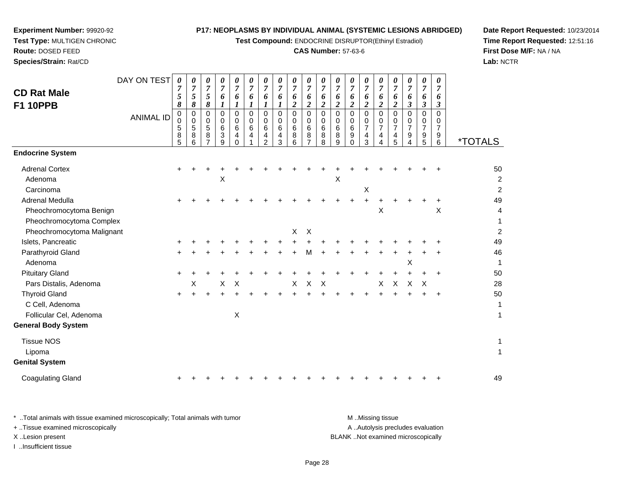**Test Compound:** ENDOCRINE DISRUPTOR(Ethinyl Estradiol)

# **CAS Number:** 57-63-6

**Date Report Requested:** 10/23/2014 **Time Report Requested:** 12:51:16**First Dose M/F:** NA / NA**Lab:** NCTR

| DAY ON TEST<br><b>CD Rat Male</b><br><b>F1 10PPB</b><br><b>ANIMAL ID</b> | 0<br>7<br>5<br>8<br>0<br>0 | 0<br>$\overline{7}$<br>5<br>8<br>$\pmb{0}$<br>$\mathbf 0$<br>$\sqrt{5}$ | 0<br>$\overline{7}$<br>5<br>8<br>$\mathbf 0$<br>$\mathbf 0$ | 0<br>$\overline{7}$<br>6<br>1<br>$\mathbf 0$<br>$\mathbf 0$<br>6 | 0<br>$\overline{7}$<br>6<br>1<br>0<br>0<br>6 | $\pmb{\theta}$<br>$\overline{7}$<br>6<br>1<br>$\mathbf 0$<br>$\mathbf 0$<br>$\,6\,$ | $\pmb{\theta}$<br>$\overline{7}$<br>6<br>1<br>$\mathbf 0$<br>$\Omega$ | 0<br>$\boldsymbol{7}$<br>6<br>1<br>0<br>$\mathbf 0$<br>$\,6\,$ | 0<br>$\overline{7}$<br>6<br>$\overline{\mathbf{c}}$<br>0<br>0<br>6 | $\pmb{\theta}$<br>$\overline{7}$<br>6<br>$\overline{c}$<br>$\pmb{0}$<br>$\pmb{0}$<br>$\,6\,$ | 0<br>$\overline{7}$<br>6<br>$\boldsymbol{2}$<br>$\mathbf 0$<br>$\mathbf 0$<br>$\,6\,$ | 0<br>$\overline{7}$<br>6<br>$\boldsymbol{2}$<br>$\mathbf 0$<br>$\mathbf 0$ | 0<br>$\overline{7}$<br>6<br>$\overline{\mathbf{2}}$<br>$\mathbf 0$<br>$\mathbf 0$<br>6 | 0<br>$\overline{7}$<br>6<br>$\overline{\mathbf{c}}$<br>0<br>0<br>$\overline{7}$ | $\pmb{\theta}$<br>$\overline{7}$<br>6<br>$\overline{2}$<br>$\pmb{0}$<br>$\mathbf 0$<br>$\overline{7}$ | 0<br>$\overline{7}$<br>6<br>$\boldsymbol{2}$<br>$\Omega$<br>0<br>$\overline{7}$ | 0<br>$\overline{7}$<br>6<br>$\boldsymbol{\beta}$<br>$\mathbf 0$<br>0<br>$\overline{7}$ | 0<br>$\overline{7}$<br>6<br>3<br>$\mathbf 0$<br>0<br>$\overline{7}$ | 0<br>$\overline{7}$<br>6<br>$\boldsymbol{\beta}$<br>$\Omega$<br>0<br>$\overline{7}$ |                                        |
|--------------------------------------------------------------------------|----------------------------|-------------------------------------------------------------------------|-------------------------------------------------------------|------------------------------------------------------------------|----------------------------------------------|-------------------------------------------------------------------------------------|-----------------------------------------------------------------------|----------------------------------------------------------------|--------------------------------------------------------------------|----------------------------------------------------------------------------------------------|---------------------------------------------------------------------------------------|----------------------------------------------------------------------------|----------------------------------------------------------------------------------------|---------------------------------------------------------------------------------|-------------------------------------------------------------------------------------------------------|---------------------------------------------------------------------------------|----------------------------------------------------------------------------------------|---------------------------------------------------------------------|-------------------------------------------------------------------------------------|----------------------------------------|
|                                                                          | 5<br>8<br>5                | 8<br>6                                                                  | 5<br>8<br>7                                                 | 3<br>9                                                           | 4<br>$\Omega$                                | 4                                                                                   | 6<br>4<br>2                                                           | 4<br>3                                                         | 8<br>6                                                             | 8<br>7                                                                                       | 8<br>8                                                                                | 6<br>8<br>9                                                                | 9<br>0                                                                                 | 4<br>3                                                                          | 4<br>4                                                                                                | 4<br>5                                                                          | 9<br>4                                                                                 | 9<br>5                                                              | 9<br>6                                                                              | <i><b>*TOTALS</b></i>                  |
| <b>Endocrine System</b>                                                  |                            |                                                                         |                                                             |                                                                  |                                              |                                                                                     |                                                                       |                                                                |                                                                    |                                                                                              |                                                                                       |                                                                            |                                                                                        |                                                                                 |                                                                                                       |                                                                                 |                                                                                        |                                                                     |                                                                                     |                                        |
| <b>Adrenal Cortex</b><br>Adenoma<br>Carcinoma                            |                            |                                                                         |                                                             | X                                                                |                                              |                                                                                     |                                                                       |                                                                |                                                                    |                                                                                              |                                                                                       | X                                                                          |                                                                                        | $\boldsymbol{\mathsf{X}}$                                                       |                                                                                                       |                                                                                 |                                                                                        |                                                                     |                                                                                     | 50<br>$\overline{c}$<br>$\overline{c}$ |
| Adrenal Medulla<br>Pheochromocytoma Benign<br>Pheochromocytoma Complex   |                            |                                                                         |                                                             |                                                                  |                                              |                                                                                     |                                                                       |                                                                |                                                                    |                                                                                              |                                                                                       |                                                                            |                                                                                        | +                                                                               | X                                                                                                     |                                                                                 |                                                                                        |                                                                     | X                                                                                   | 49<br>$\overline{4}$<br>1              |
| Pheochromocytoma Malignant                                               |                            |                                                                         |                                                             |                                                                  |                                              |                                                                                     |                                                                       |                                                                | X                                                                  | X                                                                                            |                                                                                       |                                                                            |                                                                                        |                                                                                 |                                                                                                       |                                                                                 |                                                                                        |                                                                     |                                                                                     | $\overline{c}$                         |
| Islets, Pancreatic                                                       |                            |                                                                         |                                                             |                                                                  |                                              |                                                                                     |                                                                       |                                                                |                                                                    |                                                                                              |                                                                                       |                                                                            |                                                                                        |                                                                                 |                                                                                                       |                                                                                 |                                                                                        |                                                                     |                                                                                     | 49                                     |
| Parathyroid Gland<br>Adenoma                                             |                            |                                                                         |                                                             |                                                                  |                                              |                                                                                     |                                                                       |                                                                |                                                                    | м                                                                                            |                                                                                       |                                                                            |                                                                                        |                                                                                 |                                                                                                       |                                                                                 | Χ                                                                                      |                                                                     |                                                                                     | 46<br>$\mathbf{1}$                     |
| <b>Pituitary Gland</b>                                                   |                            |                                                                         |                                                             |                                                                  |                                              |                                                                                     |                                                                       |                                                                |                                                                    |                                                                                              |                                                                                       |                                                                            |                                                                                        |                                                                                 |                                                                                                       |                                                                                 |                                                                                        |                                                                     |                                                                                     | 50                                     |
| Pars Distalis, Adenoma                                                   |                            | X                                                                       |                                                             | X                                                                | X                                            |                                                                                     |                                                                       |                                                                | X                                                                  | X                                                                                            | X                                                                                     |                                                                            |                                                                                        |                                                                                 | X                                                                                                     | $\boldsymbol{\mathsf{X}}$                                                       | X                                                                                      | X                                                                   |                                                                                     | 28                                     |
| <b>Thyroid Gland</b><br>C Cell, Adenoma<br>Follicular Cel, Adenoma       |                            |                                                                         |                                                             |                                                                  | $\boldsymbol{\mathsf{X}}$                    |                                                                                     |                                                                       |                                                                |                                                                    |                                                                                              |                                                                                       |                                                                            |                                                                                        |                                                                                 |                                                                                                       |                                                                                 |                                                                                        |                                                                     |                                                                                     | 50<br>$\mathbf{1}$<br>$\mathbf{1}$     |
| <b>General Body System</b>                                               |                            |                                                                         |                                                             |                                                                  |                                              |                                                                                     |                                                                       |                                                                |                                                                    |                                                                                              |                                                                                       |                                                                            |                                                                                        |                                                                                 |                                                                                                       |                                                                                 |                                                                                        |                                                                     |                                                                                     |                                        |
| <b>Tissue NOS</b><br>Lipoma<br><b>Genital System</b>                     |                            |                                                                         |                                                             |                                                                  |                                              |                                                                                     |                                                                       |                                                                |                                                                    |                                                                                              |                                                                                       |                                                                            |                                                                                        |                                                                                 |                                                                                                       |                                                                                 |                                                                                        |                                                                     |                                                                                     | 1<br>$\mathbf{1}$                      |
| <b>Coagulating Gland</b>                                                 |                            |                                                                         |                                                             |                                                                  |                                              |                                                                                     |                                                                       |                                                                |                                                                    |                                                                                              |                                                                                       |                                                                            |                                                                                        |                                                                                 |                                                                                                       |                                                                                 |                                                                                        |                                                                     |                                                                                     | 49                                     |

**Experiment Number:** 99920-92**Test Type:** MULTIGEN CHRONIC

| * Total animals with tissue examined microscopically; Total animals with tumor | M Missing tissue                   |
|--------------------------------------------------------------------------------|------------------------------------|
| + Tissue examined microscopically                                              | A Autolysis precludes evaluation   |
| X Lesion present                                                               | BLANK Not examined microscopically |
| Insufficient tissue                                                            |                                    |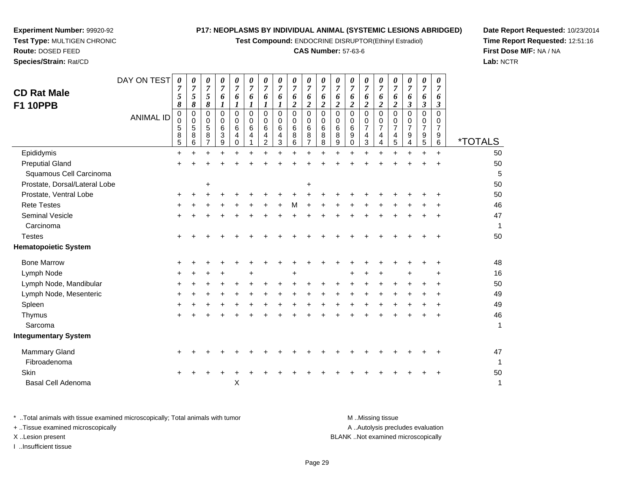**Test Compound:** ENDOCRINE DISRUPTOR(Ethinyl Estradiol)

## **CAS Number:** 57-63-6

**Date Report Requested:** 10/23/2014**Time Report Requested:** 12:51:16**First Dose M/F:** NA / NA**Lab:** NCTR

| <b>CD Rat Male</b><br><b>F1 10PPB</b> | DAY ON TEST<br><b>ANIMAL ID</b> | $\boldsymbol{\theta}$<br>7<br>5<br>8<br>$\mathbf 0$<br>$\mathbf 0$<br>5<br>8<br>5 | 0<br>7<br>5<br>8<br>$\pmb{0}$<br>0<br>5<br>8<br>6 | 0<br>7<br>5<br>8<br>0<br>0<br>5<br>8<br>7 | 0<br>$\overline{7}$<br>6<br>0<br>0<br>6<br>3<br>9 | 0<br>$\overline{7}$<br>6<br>1<br>$\Omega$<br>0<br>6<br>4<br>$\Omega$ | 0<br>7<br>6<br>1<br>$\Omega$<br>0<br>6<br>4 | $\boldsymbol{\theta}$<br>7<br>6<br>$\mathbf 0$<br>0<br>6<br>4<br>$\overline{2}$ | 0<br>7<br>6<br>1<br>$\mathbf 0$<br>$\Omega$<br>6<br>4<br>3 | 0<br>$\overline{7}$<br>6<br>$\overline{c}$<br>0<br>0<br>6<br>8<br>6 | 0<br>7<br>6<br>$\boldsymbol{2}$<br>$\Omega$<br>0<br>6<br>8<br>$\overline{7}$ | 0<br>7<br>6<br>$\boldsymbol{2}$<br>$\Omega$<br>0<br>6<br>8<br>8 | 0<br>7<br>6<br>2<br>$\mathbf 0$<br>$\Omega$<br>6<br>8<br>9 | 0<br>7<br>6<br>$\boldsymbol{2}$<br>$\mathbf 0$<br>0<br>$\,6$<br>9<br>0 | 0<br>$\overline{7}$<br>6<br>$\overline{2}$<br>$\mathbf 0$<br>0<br>$\overline{7}$<br>4<br>$\mathfrak{S}$ | $\boldsymbol{\theta}$<br>$\overline{7}$<br>6<br>$\boldsymbol{2}$<br>$\Omega$<br>0<br>$\overline{7}$<br>4<br>$\overline{4}$ | 0<br>7<br>6<br>$\overline{\mathbf{2}}$<br>$\Omega$<br>0<br>$\overline{7}$<br>4<br>5 | 0<br>$\overline{7}$<br>6<br>$\boldsymbol{\beta}$<br>$\mathbf 0$<br>0<br>$\overline{7}$<br>9<br>4 | 0<br>$\overline{7}$<br>6<br>3<br>0<br>0<br>$\overline{7}$<br>9<br>5 | 0<br>$\overline{\tau}$<br>6<br>3<br>$\Omega$<br>0<br>$\overline{7}$<br>9<br>6 | <i><b>*TOTALS</b></i> |
|---------------------------------------|---------------------------------|-----------------------------------------------------------------------------------|---------------------------------------------------|-------------------------------------------|---------------------------------------------------|----------------------------------------------------------------------|---------------------------------------------|---------------------------------------------------------------------------------|------------------------------------------------------------|---------------------------------------------------------------------|------------------------------------------------------------------------------|-----------------------------------------------------------------|------------------------------------------------------------|------------------------------------------------------------------------|---------------------------------------------------------------------------------------------------------|----------------------------------------------------------------------------------------------------------------------------|-------------------------------------------------------------------------------------|--------------------------------------------------------------------------------------------------|---------------------------------------------------------------------|-------------------------------------------------------------------------------|-----------------------|
| Epididymis                            |                                 | $\ddot{}$                                                                         |                                                   |                                           |                                                   |                                                                      |                                             |                                                                                 |                                                            |                                                                     | $\ddot{}$                                                                    |                                                                 |                                                            |                                                                        |                                                                                                         |                                                                                                                            |                                                                                     | $\ddot{}$                                                                                        | $\ddot{}$                                                           | $+$                                                                           | 50                    |
| <b>Preputial Gland</b>                |                                 |                                                                                   |                                                   |                                           |                                                   |                                                                      |                                             |                                                                                 |                                                            |                                                                     |                                                                              |                                                                 |                                                            |                                                                        |                                                                                                         |                                                                                                                            |                                                                                     |                                                                                                  |                                                                     |                                                                               | 50                    |
| Squamous Cell Carcinoma               |                                 |                                                                                   |                                                   |                                           |                                                   |                                                                      |                                             |                                                                                 |                                                            |                                                                     |                                                                              |                                                                 |                                                            |                                                                        |                                                                                                         |                                                                                                                            |                                                                                     |                                                                                                  |                                                                     |                                                                               |                       |
| Prostate, Dorsal/Lateral Lobe         |                                 |                                                                                   |                                                   | +                                         |                                                   |                                                                      |                                             |                                                                                 |                                                            |                                                                     | +                                                                            |                                                                 |                                                            |                                                                        |                                                                                                         |                                                                                                                            |                                                                                     |                                                                                                  |                                                                     |                                                                               | 50                    |
| Prostate, Ventral Lobe                |                                 | ÷                                                                                 |                                                   |                                           |                                                   |                                                                      |                                             |                                                                                 |                                                            |                                                                     |                                                                              |                                                                 |                                                            |                                                                        |                                                                                                         |                                                                                                                            |                                                                                     |                                                                                                  |                                                                     |                                                                               | 50                    |
| <b>Rete Testes</b>                    |                                 |                                                                                   |                                                   |                                           |                                                   |                                                                      |                                             |                                                                                 |                                                            |                                                                     |                                                                              |                                                                 |                                                            |                                                                        |                                                                                                         |                                                                                                                            |                                                                                     |                                                                                                  |                                                                     |                                                                               | 46                    |
| <b>Seminal Vesicle</b>                |                                 | +                                                                                 |                                                   |                                           |                                                   |                                                                      |                                             |                                                                                 |                                                            |                                                                     |                                                                              |                                                                 |                                                            |                                                                        |                                                                                                         |                                                                                                                            |                                                                                     |                                                                                                  |                                                                     |                                                                               | 47                    |
| Carcinoma                             |                                 |                                                                                   |                                                   |                                           |                                                   |                                                                      |                                             |                                                                                 |                                                            |                                                                     |                                                                              |                                                                 |                                                            |                                                                        |                                                                                                         |                                                                                                                            |                                                                                     |                                                                                                  |                                                                     |                                                                               | 1                     |
| <b>Testes</b>                         |                                 | $\pm$                                                                             |                                                   |                                           |                                                   |                                                                      |                                             |                                                                                 |                                                            |                                                                     |                                                                              |                                                                 |                                                            |                                                                        |                                                                                                         |                                                                                                                            |                                                                                     |                                                                                                  |                                                                     |                                                                               | 50                    |
| <b>Hematopoietic System</b>           |                                 |                                                                                   |                                                   |                                           |                                                   |                                                                      |                                             |                                                                                 |                                                            |                                                                     |                                                                              |                                                                 |                                                            |                                                                        |                                                                                                         |                                                                                                                            |                                                                                     |                                                                                                  |                                                                     |                                                                               |                       |
| <b>Bone Marrow</b>                    |                                 |                                                                                   |                                                   |                                           |                                                   |                                                                      |                                             |                                                                                 |                                                            |                                                                     |                                                                              |                                                                 |                                                            |                                                                        |                                                                                                         |                                                                                                                            |                                                                                     |                                                                                                  |                                                                     | +                                                                             | 48                    |
| Lymph Node                            |                                 |                                                                                   |                                                   |                                           |                                                   |                                                                      |                                             |                                                                                 |                                                            |                                                                     |                                                                              |                                                                 |                                                            |                                                                        |                                                                                                         |                                                                                                                            |                                                                                     |                                                                                                  |                                                                     |                                                                               | 16                    |
| Lymph Node, Mandibular                |                                 |                                                                                   |                                                   |                                           |                                                   |                                                                      |                                             |                                                                                 |                                                            |                                                                     |                                                                              |                                                                 |                                                            |                                                                        |                                                                                                         |                                                                                                                            |                                                                                     |                                                                                                  |                                                                     |                                                                               | 50                    |
| Lymph Node, Mesenteric                |                                 |                                                                                   |                                                   |                                           |                                                   |                                                                      |                                             |                                                                                 |                                                            |                                                                     |                                                                              |                                                                 |                                                            |                                                                        |                                                                                                         |                                                                                                                            |                                                                                     |                                                                                                  |                                                                     | +                                                                             | 49                    |
| Spleen                                |                                 |                                                                                   |                                                   |                                           |                                                   |                                                                      |                                             |                                                                                 |                                                            |                                                                     |                                                                              |                                                                 |                                                            |                                                                        |                                                                                                         |                                                                                                                            |                                                                                     |                                                                                                  |                                                                     | +                                                                             | 49                    |
| Thymus                                |                                 |                                                                                   |                                                   |                                           |                                                   |                                                                      |                                             |                                                                                 |                                                            |                                                                     |                                                                              |                                                                 |                                                            |                                                                        |                                                                                                         |                                                                                                                            |                                                                                     |                                                                                                  |                                                                     |                                                                               | 46                    |
| Sarcoma                               |                                 |                                                                                   |                                                   |                                           |                                                   |                                                                      |                                             |                                                                                 |                                                            |                                                                     |                                                                              |                                                                 |                                                            |                                                                        |                                                                                                         |                                                                                                                            |                                                                                     |                                                                                                  |                                                                     |                                                                               | 1                     |
| <b>Integumentary System</b>           |                                 |                                                                                   |                                                   |                                           |                                                   |                                                                      |                                             |                                                                                 |                                                            |                                                                     |                                                                              |                                                                 |                                                            |                                                                        |                                                                                                         |                                                                                                                            |                                                                                     |                                                                                                  |                                                                     |                                                                               |                       |
| Mammary Gland                         |                                 |                                                                                   |                                                   |                                           |                                                   |                                                                      |                                             |                                                                                 |                                                            |                                                                     |                                                                              |                                                                 |                                                            |                                                                        |                                                                                                         |                                                                                                                            |                                                                                     |                                                                                                  |                                                                     |                                                                               | 47                    |
| Fibroadenoma                          |                                 |                                                                                   |                                                   |                                           |                                                   |                                                                      |                                             |                                                                                 |                                                            |                                                                     |                                                                              |                                                                 |                                                            |                                                                        |                                                                                                         |                                                                                                                            |                                                                                     |                                                                                                  |                                                                     |                                                                               | 1                     |
| Skin                                  |                                 |                                                                                   |                                                   |                                           |                                                   |                                                                      |                                             |                                                                                 |                                                            |                                                                     |                                                                              |                                                                 |                                                            |                                                                        |                                                                                                         |                                                                                                                            |                                                                                     |                                                                                                  |                                                                     |                                                                               | 50                    |
| <b>Basal Cell Adenoma</b>             |                                 |                                                                                   |                                                   |                                           |                                                   | $\pmb{\times}$                                                       |                                             |                                                                                 |                                                            |                                                                     |                                                                              |                                                                 |                                                            |                                                                        |                                                                                                         |                                                                                                                            |                                                                                     |                                                                                                  |                                                                     |                                                                               | 1                     |
|                                       |                                 |                                                                                   |                                                   |                                           |                                                   |                                                                      |                                             |                                                                                 |                                                            |                                                                     |                                                                              |                                                                 |                                                            |                                                                        |                                                                                                         |                                                                                                                            |                                                                                     |                                                                                                  |                                                                     |                                                                               |                       |

**Experiment Number:** 99920-92**Test Type:** MULTIGEN CHRONIC

**Route:** DOSED FEED**Species/Strain:** Rat/CD

\* ..Total animals with tissue examined microscopically; Total animals with tumor **M** . Missing tissue M ..Missing tissue A ..Autolysis precludes evaluation + ..Tissue examined microscopically X ..Lesion present BLANK ..Not examined microscopicallyI ..Insufficient tissue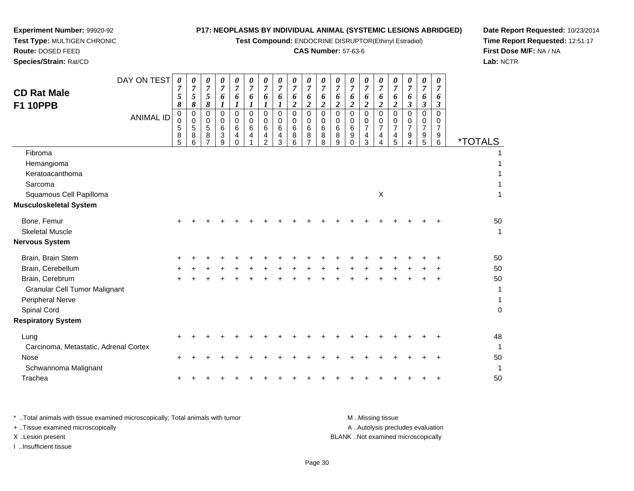**Test Compound:** ENDOCRINE DISRUPTOR(Ethinyl Estradiol)

# **CAS Number:** 57-63-6

**Date Report Requested:** 10/23/2014 **Time Report Requested:** 12:51:17**First Dose M/F:** NA / NA**Lab:** NCTR

| <b>CD Rat Male</b><br><b>F1 10PPB</b>                                                      | DAY ON TEST      | $\pmb{\theta}$<br>7<br>5<br>8 | 0<br>$\overline{7}$<br>5<br>8   | 0<br>$\overline{7}$<br>5<br>8 | 0<br>$\overline{7}$<br>6<br>1                          | 0<br>$\overline{7}$<br>6<br>$\bm{l}$       | 0<br>7<br>6<br>$\boldsymbol{l}$ | 0<br>$\overline{7}$<br>6<br>1                        | 0<br>$\overline{7}$<br>6<br>1 | 0<br>7<br>6<br>$\boldsymbol{2}$                 | 0<br>7<br>6<br>$\boldsymbol{2}$                        | 0<br>7<br>6<br>$\boldsymbol{2}$           | 0<br>$\overline{7}$<br>6<br>$\boldsymbol{2}$ | 0<br>7<br>6<br>$\boldsymbol{2}$ | 0<br>$\overline{7}$<br>6<br>$\overline{c}$   | 0<br>$\overline{7}$<br>6<br>$\boldsymbol{2}$                                    | 0<br>7<br>6<br>$\boldsymbol{2}$ | 0<br>7<br>6<br>3      | 0<br>$\overline{7}$<br>6<br>3                | 0<br>$\overline{7}$<br>6<br>3             |                                                    |
|--------------------------------------------------------------------------------------------|------------------|-------------------------------|---------------------------------|-------------------------------|--------------------------------------------------------|--------------------------------------------|---------------------------------|------------------------------------------------------|-------------------------------|-------------------------------------------------|--------------------------------------------------------|-------------------------------------------|----------------------------------------------|---------------------------------|----------------------------------------------|---------------------------------------------------------------------------------|---------------------------------|-----------------------|----------------------------------------------|-------------------------------------------|----------------------------------------------------|
|                                                                                            | <b>ANIMAL ID</b> | 0<br>0<br>5<br>8<br>5         | 0<br>$\mathbf 0$<br>5<br>8<br>6 | 0<br>0<br>5<br>8              | $\mathbf 0$<br>$\mathbf 0$<br>$\,6$<br>$\sqrt{3}$<br>9 | $\Omega$<br>$\Omega$<br>6<br>4<br>$\Omega$ | $\mathbf 0$<br>0<br>6<br>4      | $\pmb{0}$<br>$\mathbf 0$<br>6<br>4<br>$\overline{2}$ | 0<br>0<br>6<br>4<br>3         | $\mathbf 0$<br>$\mathbf 0$<br>6<br>$\bf 8$<br>6 | $\mathbf 0$<br>$\mathbf 0$<br>6<br>8<br>$\overline{7}$ | $\mathbf 0$<br>$\mathbf 0$<br>6<br>8<br>8 | 0<br>0<br>6<br>8<br>9                        | 0<br>0<br>6<br>$9\,$<br>0       | $\mathbf 0$<br>0<br>$\overline{7}$<br>4<br>3 | $\mathbf 0$<br>0<br>$\overline{7}$<br>$\overline{\mathbf{4}}$<br>$\overline{4}$ | $\mathbf 0$<br>0<br>7<br>4<br>5 | 0<br>0<br>7<br>9<br>4 | $\mathbf 0$<br>0<br>$\overline{7}$<br>9<br>5 | $\Omega$<br>0<br>$\overline{7}$<br>9<br>6 | <i><b>*TOTALS</b></i>                              |
| Fibroma<br>Hemangioma                                                                      |                  |                               |                                 |                               |                                                        |                                            |                                 |                                                      |                               |                                                 |                                                        |                                           |                                              |                                 |                                              |                                                                                 |                                 |                       |                                              |                                           |                                                    |
| Keratoacanthoma<br>Sarcoma                                                                 |                  |                               |                                 |                               |                                                        |                                            |                                 |                                                      |                               |                                                 |                                                        |                                           |                                              |                                 |                                              |                                                                                 |                                 |                       |                                              |                                           | 1                                                  |
| Squamous Cell Papilloma                                                                    |                  |                               |                                 |                               |                                                        |                                            |                                 |                                                      |                               |                                                 |                                                        |                                           |                                              |                                 |                                              | $\mathsf X$                                                                     |                                 |                       |                                              |                                           | 1                                                  |
| <b>Musculoskeletal System</b>                                                              |                  |                               |                                 |                               |                                                        |                                            |                                 |                                                      |                               |                                                 |                                                        |                                           |                                              |                                 |                                              |                                                                                 |                                 |                       |                                              |                                           |                                                    |
| Bone, Femur<br><b>Skeletal Muscle</b>                                                      |                  |                               |                                 |                               |                                                        |                                            |                                 |                                                      |                               |                                                 |                                                        |                                           |                                              |                                 |                                              |                                                                                 |                                 |                       |                                              |                                           | 50<br>1                                            |
| <b>Nervous System</b>                                                                      |                  |                               |                                 |                               |                                                        |                                            |                                 |                                                      |                               |                                                 |                                                        |                                           |                                              |                                 |                                              |                                                                                 |                                 |                       |                                              |                                           |                                                    |
| Brain, Brain Stem                                                                          |                  | ٠                             |                                 |                               |                                                        |                                            |                                 |                                                      |                               |                                                 |                                                        |                                           |                                              |                                 |                                              |                                                                                 |                                 |                       |                                              | ÷                                         | 50                                                 |
| Brain, Cerebellum                                                                          |                  |                               |                                 |                               |                                                        |                                            |                                 |                                                      |                               |                                                 |                                                        |                                           |                                              |                                 |                                              |                                                                                 |                                 |                       |                                              |                                           | 50                                                 |
| Brain, Cerebrum<br><b>Granular Cell Tumor Malignant</b><br>Peripheral Nerve<br>Spinal Cord |                  | ÷                             |                                 |                               |                                                        |                                            |                                 |                                                      |                               |                                                 |                                                        |                                           |                                              |                                 |                                              |                                                                                 |                                 |                       |                                              |                                           | 50<br>$\mathbf 1$<br>$\mathbf 1$<br>$\overline{0}$ |
| <b>Respiratory System</b>                                                                  |                  |                               |                                 |                               |                                                        |                                            |                                 |                                                      |                               |                                                 |                                                        |                                           |                                              |                                 |                                              |                                                                                 |                                 |                       |                                              |                                           |                                                    |
| Lung<br>Carcinoma, Metastatic, Adrenal Cortex                                              |                  | ÷                             |                                 |                               |                                                        |                                            |                                 |                                                      |                               |                                                 |                                                        |                                           |                                              |                                 |                                              |                                                                                 |                                 |                       |                                              |                                           | 48<br>$\mathbf 1$                                  |
| <b>Nose</b><br>Schwannoma Malignant                                                        |                  | $\ddot{}$                     |                                 |                               |                                                        |                                            |                                 |                                                      |                               |                                                 |                                                        |                                           |                                              |                                 |                                              |                                                                                 |                                 |                       |                                              | $\div$                                    | 50<br>1                                            |
| Trachea                                                                                    |                  |                               |                                 |                               |                                                        |                                            |                                 |                                                      |                               |                                                 |                                                        |                                           |                                              |                                 |                                              |                                                                                 |                                 |                       |                                              | $\ddot{}$                                 | 50                                                 |

**Experiment Number:** 99920-92**Test Type:** MULTIGEN CHRONIC

**Route:** DOSED FEED**Species/Strain:** Rat/CD

| * Total animals with tissue examined microscopically; Total animals with tumor | M Missing tissue                   |
|--------------------------------------------------------------------------------|------------------------------------|
| + Tissue examined microscopically                                              | A Autolysis precludes evaluation   |
| X Lesion present                                                               | BLANK Not examined microscopically |
| Insufficient tissue                                                            |                                    |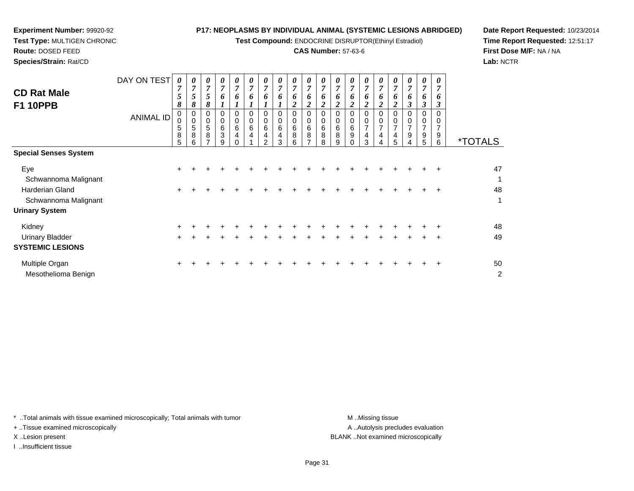**Test Compound:** ENDOCRINE DISRUPTOR(Ethinyl Estradiol)

# **CAS Number:** 57-63-6

*0 7*

*0 7*

*7 6*

0 0 7

9 4

*6*

*6*

0<br>0<br>0<br>0<br>0<br>0

**Date Report Requested:** 10/23/2014**Time Report Requested:** 12:51:17**First Dose M/F:** NA / NA**Lab:** NCTR

| Species/Strain: Rat/CD                |                  |                        |                  |                            |                       |                  |                  |                            |   |                  |                  |        |
|---------------------------------------|------------------|------------------------|------------------|----------------------------|-----------------------|------------------|------------------|----------------------------|---|------------------|------------------|--------|
|                                       | DAY ON TEST      | 0<br>,                 | 0<br>7           | $\boldsymbol{\theta}$<br>7 | $\boldsymbol{\theta}$ | $\theta$<br>7    | 0<br>7           | $\boldsymbol{\theta}$<br>7 |   | $\theta$<br>7    | 0<br>7           |        |
| <b>CD Rat Male</b><br><b>F1 10PPB</b> |                  | C<br>$\mathbf{o}$<br>ð | 5<br>8           | 5<br>8                     | o                     | Đ                | o                | 6                          | o | 6<br>ി<br>∠      | o<br>◠           |        |
|                                       | <b>ANIMAL ID</b> | 0<br>0<br>5<br>8       | 0<br>0<br>5<br>8 | 0<br>0<br>5<br>8           | 6<br>3                | 0<br>0<br>6<br>4 | 0<br>0<br>6<br>4 | 0<br>0<br>6<br>4           | 6 | 0<br>0<br>6<br>8 | 0<br>0<br>6<br>8 | 6<br>8 |
|                                       |                  | 5                      | 6                |                            |                       |                  |                  | ⌒                          |   | 6                |                  | o      |

|                              | O<br>5    | $\circ$<br>6 | O<br>$\overline{ }$ | ত<br>9 | 4<br>$\Omega$ | 4 | 4<br>$\mathcal{P}$ | 4<br>3 | O<br>6 | O<br>$\overline{ }$ | $\circ$<br>8 | $\circ$<br>9 | স<br>$\Omega$ | 4<br>$\mathcal{S}$ | 4<br>$\overline{4}$ | 4<br>5 | ັ  | ັ<br>5 | ັ<br>6    | <i><b>*TOTALS</b></i> |
|------------------------------|-----------|--------------|---------------------|--------|---------------|---|--------------------|--------|--------|---------------------|--------------|--------------|---------------|--------------------|---------------------|--------|----|--------|-----------|-----------------------|
| <b>Special Senses System</b> |           |              |                     |        |               |   |                    |        |        |                     |              |              |               |                    |                     |        |    |        |           |                       |
| Eye                          | $\ddot{}$ |              |                     |        |               |   |                    |        |        |                     |              |              |               |                    |                     |        |    |        |           | 47                    |
| Schwannoma Malignant         |           |              |                     |        |               |   |                    |        |        |                     |              |              |               |                    |                     |        |    |        |           | 1                     |
| Harderian Gland              | $\ddot{}$ |              |                     |        |               |   |                    |        |        |                     |              |              |               |                    |                     |        |    |        | $+$       | 48                    |
| Schwannoma Malignant         |           |              |                     |        |               |   |                    |        |        |                     |              |              |               |                    |                     |        |    |        |           | 1                     |
| <b>Urinary System</b>        |           |              |                     |        |               |   |                    |        |        |                     |              |              |               |                    |                     |        |    |        |           |                       |
| Kidney                       | $+$       |              |                     |        |               |   |                    |        |        |                     |              |              |               |                    |                     |        | ÷. |        |           | 48                    |
| Urinary Bladder              | $\ddot{}$ |              |                     |        |               |   |                    |        |        |                     |              |              |               |                    |                     |        |    |        | $\ddot{}$ | 49                    |
| <b>SYSTEMIC LESIONS</b>      |           |              |                     |        |               |   |                    |        |        |                     |              |              |               |                    |                     |        |    |        |           |                       |
| Multiple Organ               | $\pm$     |              |                     |        |               |   |                    |        |        |                     |              |              |               |                    |                     |        |    |        | $+$       | 50                    |
| Mesothelioma Benign          |           |              |                     |        |               |   |                    |        |        |                     |              |              |               |                    |                     |        |    |        |           | 2                     |

\* ..Total animals with tissue examined microscopically; Total animals with tumor **M** ...Missing tissue M ...Missing tissue

+ ..Tissue examined microscopically

**Experiment Number:** 99920-92**Test Type:** MULTIGEN CHRONIC

**Route:** DOSED FEED

I ..Insufficient tissue

A .. Autolysis precludes evaluation X ..Lesion present BLANK ..Not examined microscopically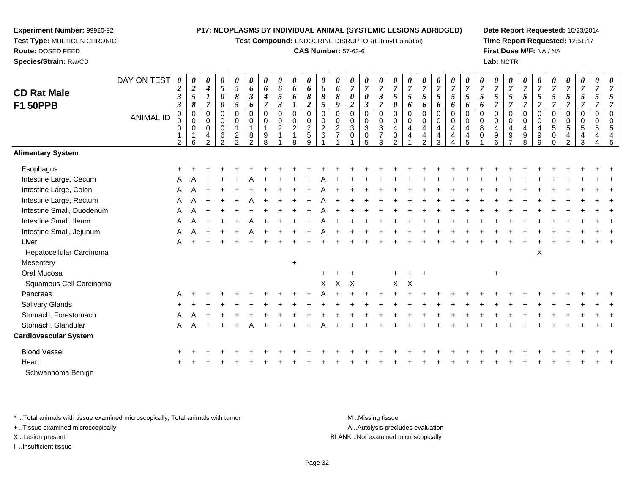**Test Compound:** ENDOCRINE DISRUPTOR(Ethinyl Estradiol)

## **CAS Number:** 57-63-6

**Date Report Requested:** 10/23/2014**Time Report Requested:** 12:51:17**First Dose M/F:** NA / NA**Lab:** NCTR

| 00545

| <b>CD Rat Male</b>           | DAY ON TEST      | 0<br>$\boldsymbol{2}$<br>$\boldsymbol{\beta}$                           | $\boldsymbol{\theta}$<br>$\boldsymbol{2}$<br>$\mathfrak{s}$ | 4<br>$\boldsymbol{l}$                                                   | 0<br>5<br>0                            | 0<br>$\sqrt{5}$<br>8                         | 0<br>6<br>$\mathfrak{z}$                                 | 0<br>6<br>4                        | 6<br>5                                                               | 0<br>6<br>6                             | 0<br>6<br>8                                                              | 0<br>6<br>$\pmb{8}$                            | 0<br>$\pmb{6}$<br>8                                         | $\boldsymbol{\theta}$<br>$\overline{7}$<br>$\boldsymbol{\theta}$          | 0<br>$\overline{7}$<br>0                                                        | 0<br>$\overline{7}$<br>$\mathfrak{z}$                           | $\theta$<br>$\boldsymbol{7}$<br>5                      | $\overline{7}$<br>$\mathfrak{s}$ | $\boldsymbol{7}$<br>5                                      | 0<br>$\overline{7}$<br>$5\phantom{.0}$ | 0<br>$\boldsymbol{7}$<br>5      | 0<br>$\overline{7}$<br>5                       | $\overline{7}$<br>5          | $\overline{7}$<br>5                        | 0<br>$\overline{7}$<br>5                | 0<br>$\overline{7}$<br>5                          | 0<br>$\overline{7}$<br>5                          | $\overline{7}$<br>5                                     | 0<br>$\overline{7}$<br>5                                                         | 0<br>$\boldsymbol{7}$<br>5              | 0<br>$\overline{7}$<br>5                                   |  |
|------------------------------|------------------|-------------------------------------------------------------------------|-------------------------------------------------------------|-------------------------------------------------------------------------|----------------------------------------|----------------------------------------------|----------------------------------------------------------|------------------------------------|----------------------------------------------------------------------|-----------------------------------------|--------------------------------------------------------------------------|------------------------------------------------|-------------------------------------------------------------|---------------------------------------------------------------------------|---------------------------------------------------------------------------------|-----------------------------------------------------------------|--------------------------------------------------------|----------------------------------|------------------------------------------------------------|----------------------------------------|---------------------------------|------------------------------------------------|------------------------------|--------------------------------------------|-----------------------------------------|---------------------------------------------------|---------------------------------------------------|---------------------------------------------------------|----------------------------------------------------------------------------------|-----------------------------------------|------------------------------------------------------------|--|
| <b>F1 50PPB</b>              | <b>ANIMAL ID</b> | $\boldsymbol{\beta}$<br>$\pmb{0}$<br>$\mathbf 0$<br>0<br>$\overline{2}$ | $\pmb{8}$<br>$\mathbf 0$<br>$\mathbf 0$<br>0<br>1<br>6      | $\overline{7}$<br>$\mathbf 0$<br>0<br>$\mathbf 0$<br>4<br>$\mathcal{P}$ | 0<br>0<br>0<br>0<br>6<br>$\mathcal{P}$ | 5<br>0<br>0<br>$\mathbf{1}$<br>$\frac{2}{2}$ | 6<br>$\mathbf 0$<br>$\mathbf 0$<br>$\mathbf 1$<br>8<br>2 | $\overline{7}$<br>0<br>0<br>9<br>8 | $\boldsymbol{\beta}$<br>$\mathbf 0$<br>$\pmb{0}$<br>$\boldsymbol{2}$ | $\mathbf 0$<br>0<br>$\overline{c}$<br>8 | $\boldsymbol{2}$<br>$\mathbf 0$<br>$\pmb{0}$<br>$\overline{2}$<br>5<br>9 | 5<br>$\pmb{0}$<br>$\pmb{0}$<br>$\sqrt{2}$<br>6 | 9<br>$\pmb{0}$<br>$\pmb{0}$<br>$\sqrt{2}$<br>$\overline{7}$ | $\boldsymbol{2}$<br>$\mathbf 0$<br>$\pmb{0}$<br>$\sqrt{3}$<br>$\mathbf 0$ | $\overline{\mathbf{3}}$<br>$\mathbf 0$<br>0<br>$\mathbf{3}$<br>$\mathbf 0$<br>5 | $\overline{7}$<br>0<br>0<br>$\mathbf{3}$<br>$\overline{7}$<br>3 | 0<br>$\mathbf 0$<br>$\,0\,$<br>4<br>0<br>$\mathcal{P}$ | 6<br>$\mathbf 0$<br>0<br>4<br>4  | 6<br>$\mathbf 0$<br>$\mathbf 0$<br>4<br>4<br>$\mathcal{P}$ | 6<br>0<br>0<br>4<br>4<br>3             | 6<br>$\mathbf 0$<br>0<br>4<br>4 | 6<br>$\mathsf 0$<br>$\mathsf 0$<br>4<br>4<br>5 | 6<br>$\Omega$<br>0<br>8<br>0 | $\Omega$<br>$\mathbf 0$<br>4<br>$9\,$<br>6 | 7<br>0<br>0<br>4<br>9<br>$\overline{ }$ | $\overline{7}$<br>$\mathbf 0$<br>0<br>4<br>9<br>8 | $\overline{7}$<br>$\mathbf 0$<br>0<br>4<br>9<br>9 | $\overline{7}$<br>0<br>$\pmb{0}$<br>$\overline{5}$<br>0 | $\overline{7}$<br>$\mathbf 0$<br>$\mathbf 0$<br>$\sqrt{5}$<br>4<br>$\mathcal{P}$ | $\overline{7}$<br>0<br>0<br>5<br>4<br>3 | $\mathbf 0$<br>$\mathbf 0$<br>$\sqrt{5}$<br>$\overline{4}$ |  |
| <b>Alimentary System</b>     |                  |                                                                         |                                                             |                                                                         |                                        |                                              |                                                          |                                    |                                                                      |                                         |                                                                          |                                                |                                                             |                                                                           |                                                                                 |                                                                 |                                                        |                                  |                                                            |                                        |                                 |                                                |                              |                                            |                                         |                                                   |                                                   |                                                         |                                                                                  |                                         |                                                            |  |
| Esophagus                    |                  |                                                                         |                                                             |                                                                         |                                        |                                              |                                                          |                                    |                                                                      |                                         |                                                                          |                                                |                                                             |                                                                           |                                                                                 |                                                                 |                                                        |                                  |                                                            |                                        |                                 |                                                |                              |                                            |                                         |                                                   |                                                   |                                                         |                                                                                  |                                         |                                                            |  |
| Intestine Large, Cecum       |                  |                                                                         |                                                             |                                                                         |                                        |                                              |                                                          |                                    |                                                                      |                                         |                                                                          |                                                |                                                             |                                                                           |                                                                                 |                                                                 |                                                        |                                  |                                                            |                                        |                                 |                                                |                              |                                            |                                         |                                                   |                                                   |                                                         |                                                                                  |                                         |                                                            |  |
| Intestine Large, Colon       |                  |                                                                         |                                                             |                                                                         |                                        |                                              |                                                          |                                    |                                                                      |                                         |                                                                          |                                                |                                                             |                                                                           |                                                                                 |                                                                 |                                                        |                                  |                                                            |                                        |                                 |                                                |                              |                                            |                                         |                                                   |                                                   |                                                         |                                                                                  |                                         |                                                            |  |
| Intestine Large, Rectum      |                  |                                                                         |                                                             |                                                                         |                                        |                                              |                                                          |                                    |                                                                      |                                         |                                                                          |                                                |                                                             |                                                                           |                                                                                 |                                                                 |                                                        |                                  |                                                            |                                        |                                 |                                                |                              |                                            |                                         |                                                   |                                                   |                                                         |                                                                                  |                                         |                                                            |  |
| Intestine Small, Duodenum    |                  | A                                                                       |                                                             |                                                                         |                                        |                                              |                                                          |                                    |                                                                      |                                         |                                                                          |                                                |                                                             |                                                                           |                                                                                 |                                                                 |                                                        |                                  |                                                            |                                        |                                 |                                                |                              |                                            |                                         |                                                   |                                                   |                                                         |                                                                                  |                                         |                                                            |  |
| Intestine Small, Ileum       |                  | A                                                                       |                                                             |                                                                         |                                        |                                              |                                                          |                                    |                                                                      |                                         |                                                                          |                                                |                                                             |                                                                           |                                                                                 |                                                                 |                                                        |                                  |                                                            |                                        |                                 |                                                |                              |                                            |                                         |                                                   |                                                   |                                                         |                                                                                  |                                         |                                                            |  |
| Intestine Small, Jejunum     |                  | A                                                                       |                                                             |                                                                         |                                        |                                              |                                                          |                                    |                                                                      |                                         |                                                                          |                                                |                                                             |                                                                           |                                                                                 |                                                                 |                                                        |                                  |                                                            |                                        |                                 |                                                |                              |                                            |                                         |                                                   |                                                   |                                                         |                                                                                  |                                         |                                                            |  |
| Liver                        |                  | A                                                                       |                                                             |                                                                         |                                        |                                              |                                                          |                                    |                                                                      |                                         |                                                                          |                                                |                                                             |                                                                           |                                                                                 |                                                                 |                                                        |                                  |                                                            |                                        |                                 |                                                |                              |                                            |                                         |                                                   |                                                   |                                                         |                                                                                  |                                         |                                                            |  |
| Hepatocellular Carcinoma     |                  |                                                                         |                                                             |                                                                         |                                        |                                              |                                                          |                                    |                                                                      |                                         |                                                                          |                                                |                                                             |                                                                           |                                                                                 |                                                                 |                                                        |                                  |                                                            |                                        |                                 |                                                |                              |                                            |                                         |                                                   | X                                                 |                                                         |                                                                                  |                                         |                                                            |  |
| Mesentery                    |                  |                                                                         |                                                             |                                                                         |                                        |                                              |                                                          |                                    |                                                                      | $\ddot{}$                               |                                                                          |                                                |                                                             |                                                                           |                                                                                 |                                                                 |                                                        |                                  |                                                            |                                        |                                 |                                                |                              |                                            |                                         |                                                   |                                                   |                                                         |                                                                                  |                                         |                                                            |  |
| Oral Mucosa                  |                  |                                                                         |                                                             |                                                                         |                                        |                                              |                                                          |                                    |                                                                      |                                         |                                                                          |                                                |                                                             |                                                                           |                                                                                 |                                                                 |                                                        |                                  |                                                            |                                        |                                 |                                                |                              | $\ddot{}$                                  |                                         |                                                   |                                                   |                                                         |                                                                                  |                                         |                                                            |  |
| Squamous Cell Carcinoma      |                  |                                                                         |                                                             |                                                                         |                                        |                                              |                                                          |                                    |                                                                      |                                         |                                                                          | X                                              |                                                             | X X                                                                       |                                                                                 |                                                                 | X                                                      | X                                |                                                            |                                        |                                 |                                                |                              |                                            |                                         |                                                   |                                                   |                                                         |                                                                                  |                                         |                                                            |  |
| Pancreas                     |                  |                                                                         |                                                             |                                                                         |                                        |                                              |                                                          |                                    |                                                                      |                                         |                                                                          |                                                |                                                             |                                                                           |                                                                                 |                                                                 |                                                        |                                  |                                                            |                                        |                                 |                                                |                              |                                            |                                         |                                                   |                                                   |                                                         |                                                                                  |                                         |                                                            |  |
| Salivary Glands              |                  |                                                                         |                                                             |                                                                         |                                        |                                              |                                                          |                                    |                                                                      |                                         |                                                                          |                                                |                                                             |                                                                           |                                                                                 |                                                                 |                                                        |                                  |                                                            |                                        |                                 |                                                |                              |                                            |                                         |                                                   |                                                   |                                                         |                                                                                  |                                         |                                                            |  |
| Stomach, Forestomach         |                  |                                                                         |                                                             |                                                                         |                                        |                                              |                                                          |                                    |                                                                      |                                         |                                                                          |                                                |                                                             |                                                                           |                                                                                 |                                                                 |                                                        |                                  |                                                            |                                        |                                 |                                                |                              |                                            |                                         |                                                   |                                                   |                                                         |                                                                                  |                                         |                                                            |  |
| Stomach, Glandular           |                  | A                                                                       |                                                             |                                                                         |                                        |                                              |                                                          |                                    |                                                                      |                                         |                                                                          |                                                |                                                             |                                                                           |                                                                                 |                                                                 |                                                        |                                  |                                                            |                                        |                                 |                                                |                              |                                            |                                         |                                                   |                                                   |                                                         |                                                                                  |                                         |                                                            |  |
| <b>Cardiovascular System</b> |                  |                                                                         |                                                             |                                                                         |                                        |                                              |                                                          |                                    |                                                                      |                                         |                                                                          |                                                |                                                             |                                                                           |                                                                                 |                                                                 |                                                        |                                  |                                                            |                                        |                                 |                                                |                              |                                            |                                         |                                                   |                                                   |                                                         |                                                                                  |                                         |                                                            |  |

| Blood Vessel      |  |  |  |  |  |  |  |  |  |  |  |  |  |  |  |  |
|-------------------|--|--|--|--|--|--|--|--|--|--|--|--|--|--|--|--|
| Heart             |  |  |  |  |  |  |  |  |  |  |  |  |  |  |  |  |
| Schwannoma Benign |  |  |  |  |  |  |  |  |  |  |  |  |  |  |  |  |

\* ..Total animals with tissue examined microscopically; Total animals with tumor **M** ...Missing tissue M ...Missing tissue

+ ..Tissue examined microscopically

**Experiment Number:** 99920-92**Test Type:** MULTIGEN CHRONIC

**Route:** DOSED FEED**Species/Strain:** Rat/CD

I ..Insufficient tissue

A ..Autolysis precludes evaluation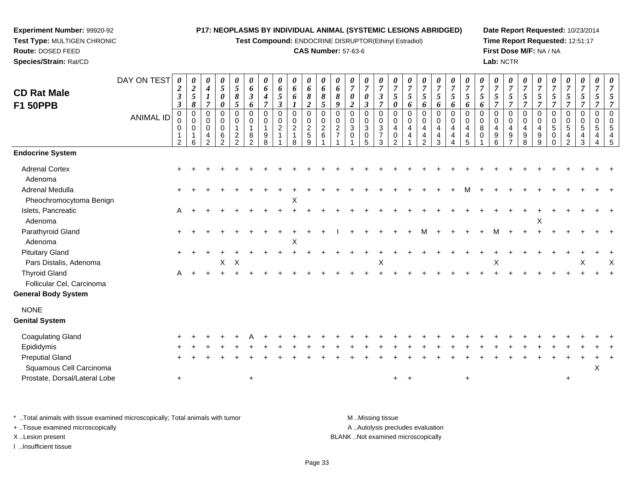**Test Compound:** ENDOCRINE DISRUPTOR(Ethinyl Estradiol)

# **CAS Number:** 57-63-6

**Date Report Requested:** 10/23/2014**Time Report Requested:** 12:51:17**First Dose M/F:** NA / NA**Lab:** NCTR

| <b>CD Rat Male</b><br><b>F1 50PPB</b>             | DAY ON TEST      | 0<br>$\boldsymbol{2}$<br>$\boldsymbol{\beta}$<br>$\boldsymbol{\beta}$ | 0<br>$\boldsymbol{2}$<br>$\mathfrak{I}$<br>$\pmb{8}$ | $\boldsymbol{\theta}$<br>$\boldsymbol{4}$<br>$\boldsymbol{l}$<br>$\overline{7}$ | $\boldsymbol{\theta}$<br>$\sqrt{5}$<br>$\pmb{\theta}$<br>$\boldsymbol{\theta}$ | 0<br>5<br>8<br>5                                        | 0<br>6<br>$\boldsymbol{\beta}$<br>6 | 0<br>6<br>4<br>$\overline{\tau}$                     | 0<br>6<br>5<br>3                        | $\boldsymbol{\theta}$<br>6<br>6<br>$\mathbf{I}$                 | $\boldsymbol{\theta}$<br>6<br>$\boldsymbol{\delta}$<br>$\overline{\mathbf{c}}$ | 0<br>6<br>8<br>5                                  | 0<br>6<br>8<br>$\boldsymbol{q}$                                | $\pmb{\theta}$<br>$\boldsymbol{7}$<br>$\pmb{\theta}$<br>$\overline{2}$ | $\pmb{\theta}$<br>$\overline{7}$<br>$\pmb{\theta}$<br>$\mathfrak{z}$ | 0<br>$\overline{7}$<br>$\boldsymbol{\beta}$<br>$\overline{7}$ | 0<br>$\overline{7}$<br>5<br>$\boldsymbol{\theta}$                    | 0<br>$\overline{7}$<br>5<br>6 | 0<br>$\boldsymbol{7}$<br>$\mathfrak{s}$<br>6              | 0<br>$\boldsymbol{7}$<br>$\mathfrak{s}$<br>6                      | 0<br>$\overline{7}$<br>$\mathfrak{s}$<br>6        | 0<br>$\overline{7}$<br>5<br>6                    | $\boldsymbol{\theta}$<br>$\boldsymbol{7}$<br>$\mathfrak{s}$<br>6 | $\pmb{\theta}$<br>$\boldsymbol{7}$<br>5<br>$\overline{7}$ | 0<br>$\overline{7}$<br>5<br>$\overline{7}$ | 0<br>$\overline{7}$<br>$\mathfrak{s}$<br>$\overline{7}$ | 0<br>$\overline{7}$<br>$\mathfrak{s}$<br>$\overline{7}$ | $\pmb{\theta}$<br>$\boldsymbol{7}$<br>$\sqrt{5}$<br>$\overline{7}$ | $\boldsymbol{\theta}$<br>$\overline{7}$<br>5<br>$\overline{7}$    | 0<br>$\overline{7}$<br>5<br>$\overline{7}$ | 7<br>5                     | 5<br>$\overline{7}$                    |
|---------------------------------------------------|------------------|-----------------------------------------------------------------------|------------------------------------------------------|---------------------------------------------------------------------------------|--------------------------------------------------------------------------------|---------------------------------------------------------|-------------------------------------|------------------------------------------------------|-----------------------------------------|-----------------------------------------------------------------|--------------------------------------------------------------------------------|---------------------------------------------------|----------------------------------------------------------------|------------------------------------------------------------------------|----------------------------------------------------------------------|---------------------------------------------------------------|----------------------------------------------------------------------|-------------------------------|-----------------------------------------------------------|-------------------------------------------------------------------|---------------------------------------------------|--------------------------------------------------|------------------------------------------------------------------|-----------------------------------------------------------|--------------------------------------------|---------------------------------------------------------|---------------------------------------------------------|--------------------------------------------------------------------|-------------------------------------------------------------------|--------------------------------------------|----------------------------|----------------------------------------|
|                                                   | <b>ANIMAL ID</b> | $\mathbf 0$<br>0<br>0<br>$\mathbf 1$<br>2                             | $\pmb{0}$<br>$\mathbf 0$<br>$\mathbf 0$<br>6         | $\pmb{0}$<br>$\mathbf 0$<br>$\mathbf 0$<br>4<br>$\overline{2}$                  | $\pmb{0}$<br>$\mathbf 0$<br>$\mathbf 0$<br>6<br>$\overline{2}$                 | $\pmb{0}$<br>0<br>1<br>$\overline{c}$<br>$\overline{2}$ | 0<br>0<br>$\mathbf{1}$<br>8<br>C    | $\mathbf 0$<br>$\mathbf 0$<br>$\mathbf{1}$<br>9<br>8 | $\boldsymbol{0}$<br>0<br>$\overline{c}$ | $\pmb{0}$<br>$\mathbf 0$<br>$\overline{2}$<br>$\mathbf{1}$<br>8 | $\mathbf 0$<br>$\mathbf 0$<br>$\overline{2}$<br>$\overline{5}$<br>9            | $\mathbf 0$<br>$\mathbf 0$<br>$\overline{c}$<br>6 | $\mathbf 0$<br>$\mathbf 0$<br>$\overline{a}$<br>$\overline{7}$ | $\,0\,$<br>0<br>$\sqrt{3}$<br>$\mathbf 0$                              | $\pmb{0}$<br>$\mathbf 0$<br>$\sqrt{3}$<br>$\mathbf 0$<br>5           | 0<br>$\mathbf 0$<br>$\mathbf{3}$<br>$\overline{7}$<br>3       | $\mathbf 0$<br>$\Omega$<br>$\overline{4}$<br>$\mathbf 0$<br>$\Omega$ | 0<br>$\mathbf 0$<br>4<br>4    | $\mathsf 0$<br>0<br>$\overline{4}$<br>4<br>$\mathfrak{p}$ | $\pmb{0}$<br>$\mathbf 0$<br>$\overline{4}$<br>$\overline{4}$<br>3 | $\mathbf 0$<br>$\mathbf 0$<br>$\overline{4}$<br>4 | $\Omega$<br>$\Omega$<br>$\overline{4}$<br>4<br>5 | 0<br>$\mathbf 0$<br>8<br>$\mathbf 0$                             | $\mathbf 0$<br>$\mathbf 0$<br>$\overline{4}$<br>9<br>6    | 0<br>$\mathbf 0$<br>$\overline{4}$<br>9    | 0<br>$\mathbf 0$<br>4<br>9<br>8                         | $\mathbf 0$<br>$\mathbf 0$<br>4<br>9<br>9               | 0<br>0<br>5<br>$\mathbf 0$                                         | $\pmb{0}$<br>$\mathbf 0$<br>5<br>$\overline{4}$<br>$\overline{2}$ | $\mathbf 0$<br>$\Omega$<br>5<br>4<br>3     | $\mathbf 0$<br>0<br>5<br>4 | $\mathbf 0$<br>$\Omega$<br>5<br>4<br>5 |
| <b>Endocrine System</b>                           |                  |                                                                       |                                                      |                                                                                 |                                                                                |                                                         |                                     |                                                      |                                         |                                                                 |                                                                                |                                                   |                                                                |                                                                        |                                                                      |                                                               |                                                                      |                               |                                                           |                                                                   |                                                   |                                                  |                                                                  |                                                           |                                            |                                                         |                                                         |                                                                    |                                                                   |                                            |                            |                                        |
| <b>Adrenal Cortex</b><br>Adenoma                  |                  |                                                                       |                                                      |                                                                                 |                                                                                |                                                         |                                     |                                                      |                                         |                                                                 |                                                                                |                                                   |                                                                |                                                                        |                                                                      |                                                               |                                                                      |                               |                                                           |                                                                   |                                                   |                                                  |                                                                  |                                                           |                                            |                                                         |                                                         |                                                                    |                                                                   |                                            |                            |                                        |
| Adrenal Medulla<br>Pheochromocytoma Benign        |                  |                                                                       |                                                      |                                                                                 |                                                                                |                                                         |                                     |                                                      |                                         | Χ                                                               |                                                                                |                                                   |                                                                |                                                                        |                                                                      |                                                               |                                                                      |                               |                                                           |                                                                   |                                                   |                                                  |                                                                  |                                                           |                                            |                                                         |                                                         |                                                                    |                                                                   |                                            |                            |                                        |
| Islets, Pancreatic<br>Adenoma                     |                  | A                                                                     |                                                      |                                                                                 |                                                                                |                                                         |                                     |                                                      |                                         |                                                                 |                                                                                |                                                   |                                                                |                                                                        |                                                                      |                                                               |                                                                      |                               |                                                           |                                                                   |                                                   |                                                  |                                                                  |                                                           |                                            |                                                         | Х                                                       |                                                                    |                                                                   |                                            |                            |                                        |
| Parathyroid Gland<br>Adenoma                      |                  |                                                                       |                                                      |                                                                                 |                                                                                |                                                         |                                     |                                                      |                                         | $\boldsymbol{\mathsf{X}}$                                       |                                                                                |                                                   |                                                                |                                                                        |                                                                      |                                                               |                                                                      |                               |                                                           |                                                                   |                                                   |                                                  |                                                                  |                                                           |                                            |                                                         |                                                         |                                                                    |                                                                   |                                            |                            |                                        |
| <b>Pituitary Gland</b><br>Pars Distalis, Adenoma  |                  |                                                                       |                                                      |                                                                                 | X                                                                              | $\boldsymbol{\mathsf{X}}$                               |                                     |                                                      |                                         |                                                                 |                                                                                |                                                   |                                                                |                                                                        |                                                                      | Х                                                             |                                                                      |                               |                                                           |                                                                   |                                                   |                                                  |                                                                  | X                                                         |                                            |                                                         |                                                         |                                                                    |                                                                   | х                                          |                            | Х                                      |
| <b>Thyroid Gland</b><br>Follicular Cel, Carcinoma |                  | A                                                                     |                                                      |                                                                                 |                                                                                |                                                         |                                     |                                                      |                                         |                                                                 |                                                                                |                                                   |                                                                |                                                                        |                                                                      |                                                               |                                                                      |                               |                                                           |                                                                   |                                                   |                                                  |                                                                  |                                                           |                                            |                                                         |                                                         |                                                                    |                                                                   |                                            |                            |                                        |
| <b>General Body System</b>                        |                  |                                                                       |                                                      |                                                                                 |                                                                                |                                                         |                                     |                                                      |                                         |                                                                 |                                                                                |                                                   |                                                                |                                                                        |                                                                      |                                                               |                                                                      |                               |                                                           |                                                                   |                                                   |                                                  |                                                                  |                                                           |                                            |                                                         |                                                         |                                                                    |                                                                   |                                            |                            |                                        |
| <b>NONE</b><br><b>Genital System</b>              |                  |                                                                       |                                                      |                                                                                 |                                                                                |                                                         |                                     |                                                      |                                         |                                                                 |                                                                                |                                                   |                                                                |                                                                        |                                                                      |                                                               |                                                                      |                               |                                                           |                                                                   |                                                   |                                                  |                                                                  |                                                           |                                            |                                                         |                                                         |                                                                    |                                                                   |                                            |                            |                                        |
| <b>Coagulating Gland</b>                          |                  |                                                                       |                                                      |                                                                                 |                                                                                |                                                         |                                     |                                                      |                                         |                                                                 |                                                                                |                                                   |                                                                |                                                                        |                                                                      |                                                               |                                                                      |                               |                                                           |                                                                   |                                                   |                                                  |                                                                  |                                                           |                                            |                                                         |                                                         |                                                                    |                                                                   |                                            |                            |                                        |
| Epididymis                                        |                  |                                                                       |                                                      |                                                                                 |                                                                                |                                                         |                                     |                                                      |                                         |                                                                 |                                                                                |                                                   |                                                                |                                                                        |                                                                      |                                                               |                                                                      |                               |                                                           |                                                                   |                                                   |                                                  |                                                                  |                                                           |                                            |                                                         |                                                         |                                                                    |                                                                   |                                            |                            |                                        |
| <b>Preputial Gland</b><br>Squamous Cell Carcinoma |                  |                                                                       |                                                      |                                                                                 |                                                                                |                                                         |                                     |                                                      |                                         |                                                                 |                                                                                |                                                   |                                                                |                                                                        |                                                                      |                                                               |                                                                      |                               |                                                           |                                                                   |                                                   |                                                  |                                                                  |                                                           |                                            |                                                         |                                                         |                                                                    |                                                                   |                                            | X                          |                                        |
| Prostate, Dorsal/Lateral Lobe                     |                  | $\ddot{}$                                                             |                                                      |                                                                                 |                                                                                |                                                         | $\ddot{}$                           |                                                      |                                         |                                                                 |                                                                                |                                                   |                                                                |                                                                        |                                                                      |                                                               | $+$                                                                  | $+$                           |                                                           |                                                                   |                                                   | $\ddot{}$                                        |                                                                  |                                                           |                                            |                                                         |                                                         |                                                                    | $\ddot{}$                                                         |                                            |                            |                                        |

\* ..Total animals with tissue examined microscopically; Total animals with tumor **M** . Missing tissue M ..Missing tissue

+ ..Tissue examined microscopically

**Experiment Number:** 99920-92**Test Type:** MULTIGEN CHRONIC

**Route:** DOSED FEED**Species/Strain:** Rat/CD

I ..Insufficient tissue

A ..Autolysis precludes evaluation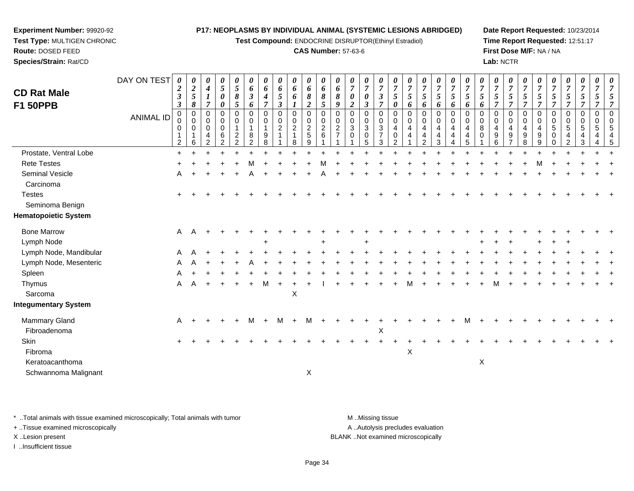**Test Compound:** ENDOCRINE DISRUPTOR(Ethinyl Estradiol)

#### **CAS Number:** 57-63-6

**Date Report Requested:** 10/23/2014**Time Report Requested:** 12:51:17**First Dose M/F:** NA / NA**Lab:** NCTR

| <b>CD Rat Male</b><br><b>F1 50PPB</b>  | DAY ON TEST      | 0<br>$\boldsymbol{2}$<br>$\boldsymbol{\beta}$<br>$\boldsymbol{\beta}$ | $\boldsymbol{\theta}$<br>$\boldsymbol{2}$<br>$\sqrt{5}$<br>8 | 0<br>$\boldsymbol{4}$<br>$\boldsymbol{l}$<br>$\overline{7}$ | 0<br>$\mathfrak{s}$<br>$\pmb{\theta}$<br>0                     | 0<br>$\sqrt{5}$<br>8<br>5                         | 0<br>6<br>$\mathfrak{z}$<br>6                          | 0<br>6<br>$\boldsymbol{4}$<br>$\overline{7}$ | 0<br>6<br>$\mathfrak{I}$<br>$\boldsymbol{\beta}$ | 0<br>6<br>6<br>1                                                | 0<br>6<br>8<br>$\overline{2}$          | 0<br>6<br>8<br>5                        | 0<br>6<br>8<br>9                             | $\pmb{\theta}$<br>$\overline{7}$<br>0<br>$\boldsymbol{2}$              | 0<br>$\boldsymbol{7}$<br>$\boldsymbol{\theta}$<br>$\boldsymbol{\beta}$ | 0<br>$\overline{7}$<br>3<br>$\overline{7}$ | $\boldsymbol{\theta}$<br>$\overline{7}$<br>5<br>0 | $\boldsymbol{\theta}$<br>$\overline{7}$<br>5<br>6 | 0<br>$\overline{7}$<br>$5\overline{)}$<br>6 | 0<br>$\overline{7}$<br>$\sqrt{5}$<br>6                                                  | 0<br>$\overline{7}$<br>5<br>6             | 0<br>$\boldsymbol{7}$<br>$\overline{5}$<br>6 | 0<br>$\overline{7}$<br>5<br>6        | 0<br>$\overline{7}$<br>5<br>$\overline{7}$ | 0<br>$\overline{7}$<br>5<br>$\overline{7}$             | 0<br>$\overline{7}$<br>5<br>7                | 0<br>$\overline{7}$<br>5<br>$\overline{7}$ | 0<br>$\overline{7}$<br>5<br>$\overline{7}$    | 0<br>$\overline{7}$<br>5<br>$\overline{7}$ | $\boldsymbol{\theta}$<br>$\overline{7}$<br>5<br>$\overline{7}$ | $\boldsymbol{\theta}$<br>$\overline{7}$<br>5<br>7 |                    |
|----------------------------------------|------------------|-----------------------------------------------------------------------|--------------------------------------------------------------|-------------------------------------------------------------|----------------------------------------------------------------|---------------------------------------------------|--------------------------------------------------------|----------------------------------------------|--------------------------------------------------|-----------------------------------------------------------------|----------------------------------------|-----------------------------------------|----------------------------------------------|------------------------------------------------------------------------|------------------------------------------------------------------------|--------------------------------------------|---------------------------------------------------|---------------------------------------------------|---------------------------------------------|-----------------------------------------------------------------------------------------|-------------------------------------------|----------------------------------------------|--------------------------------------|--------------------------------------------|--------------------------------------------------------|----------------------------------------------|--------------------------------------------|-----------------------------------------------|--------------------------------------------|----------------------------------------------------------------|---------------------------------------------------|--------------------|
|                                        | <b>ANIMAL ID</b> | $\mathbf 0$<br>0<br>0<br>$\overline{2}$                               | $\mathbf 0$<br>$\mathbf 0$<br>$\mathbf 0$<br>1<br>6          | $\mathbf 0$<br>0<br>$\mathbf 0$<br>4<br>$\overline{2}$      | $\mathbf 0$<br>$\pmb{0}$<br>$\mathbf 0$<br>6<br>$\overline{2}$ | 0<br>0<br>1<br>$\boldsymbol{2}$<br>$\overline{2}$ | $\mathbf 0$<br>0<br>$\mathbf 1$<br>8<br>$\overline{2}$ | $\mathbf 0$<br>0<br>9<br>8                   | 0<br>$\mathbf 0$<br>$\boldsymbol{2}$             | $\mathbf 0$<br>$\pmb{0}$<br>$\overline{c}$<br>$\mathbf{1}$<br>8 | $\mathbf 0$<br>0<br>$\frac{2}{5}$<br>9 | $\mathbf 0$<br>0<br>$\overline{c}$<br>6 | $\mathbf 0$<br>$\mathbf 0$<br>$\overline{2}$ | $\mathbf 0$<br>$\mathbf 0$<br>$\ensuremath{\mathsf{3}}$<br>$\mathbf 0$ | $\mathbf 0$<br>$\mathbf 0$<br>$\sqrt{3}$<br>$\pmb{0}$<br>5             | 0<br>0<br>3<br>$\overline{7}$<br>3         | 0<br>0<br>4<br>0<br>2                             | $\mathbf 0$<br>0<br>4<br>4                        | $\mathbf 0$<br>$\mathbf 0$<br>4<br>4<br>2   | $\mathbf 0$<br>$\mathbf 0$<br>$\overline{\mathbf{4}}$<br>$\overline{4}$<br>$\mathbf{3}$ | $\mathbf 0$<br>$\mathbf 0$<br>4<br>4<br>4 | $\mathbf 0$<br>$\mathbf 0$<br>4<br>4<br>5    | $\mathbf 0$<br>0<br>8<br>$\mathbf 0$ | 0<br>0<br>4<br>9<br>6                      | $\mathbf 0$<br>$\mathbf 0$<br>4<br>9<br>$\overline{7}$ | $\mathbf 0$<br>0<br>$\overline{4}$<br>9<br>8 | $\mathbf 0$<br>0<br>4<br>9<br>9            | 0<br>$\pmb{0}$<br>$\sqrt{5}$<br>0<br>$\Omega$ | 0<br>0<br>5<br>4<br>$\overline{a}$         | $\mathbf 0$<br>$\mathbf 0$<br>5<br>4<br>3                      | $\mathbf 0$<br>0<br>5<br>4<br>4                   | $\Omega$<br>5<br>5 |
| Prostate, Ventral Lobe                 |                  | $\ddot{}$                                                             |                                                              |                                                             |                                                                |                                                   |                                                        |                                              |                                                  |                                                                 |                                        |                                         |                                              |                                                                        |                                                                        |                                            |                                                   |                                                   |                                             |                                                                                         |                                           |                                              |                                      |                                            |                                                        |                                              |                                            |                                               |                                            |                                                                |                                                   |                    |
| <b>Rete Testes</b>                     |                  |                                                                       |                                                              |                                                             |                                                                |                                                   |                                                        |                                              |                                                  |                                                                 |                                        |                                         |                                              |                                                                        |                                                                        |                                            |                                                   |                                                   |                                             |                                                                                         |                                           |                                              |                                      |                                            |                                                        |                                              |                                            |                                               |                                            |                                                                |                                                   |                    |
| Seminal Vesicle<br>Carcinoma           |                  | A                                                                     |                                                              |                                                             |                                                                |                                                   |                                                        |                                              |                                                  |                                                                 |                                        |                                         |                                              |                                                                        |                                                                        |                                            |                                                   |                                                   |                                             |                                                                                         |                                           |                                              |                                      |                                            |                                                        |                                              |                                            |                                               |                                            |                                                                |                                                   |                    |
| <b>Testes</b><br>Seminoma Benign       |                  |                                                                       |                                                              |                                                             |                                                                |                                                   |                                                        |                                              |                                                  |                                                                 |                                        |                                         |                                              |                                                                        |                                                                        |                                            |                                                   |                                                   |                                             |                                                                                         |                                           |                                              |                                      |                                            |                                                        |                                              |                                            |                                               |                                            |                                                                |                                                   |                    |
| <b>Hematopoietic System</b>            |                  |                                                                       |                                                              |                                                             |                                                                |                                                   |                                                        |                                              |                                                  |                                                                 |                                        |                                         |                                              |                                                                        |                                                                        |                                            |                                                   |                                                   |                                             |                                                                                         |                                           |                                              |                                      |                                            |                                                        |                                              |                                            |                                               |                                            |                                                                |                                                   |                    |
| <b>Bone Marrow</b><br>Lymph Node       |                  | A                                                                     | A                                                            |                                                             |                                                                |                                                   |                                                        |                                              |                                                  |                                                                 |                                        |                                         |                                              |                                                                        |                                                                        |                                            |                                                   |                                                   |                                             |                                                                                         |                                           |                                              |                                      |                                            |                                                        |                                              |                                            |                                               |                                            |                                                                |                                                   |                    |
| Lymph Node, Mandibular                 |                  | Α                                                                     |                                                              |                                                             |                                                                |                                                   |                                                        |                                              |                                                  |                                                                 |                                        |                                         |                                              |                                                                        |                                                                        |                                            |                                                   |                                                   |                                             |                                                                                         |                                           |                                              |                                      |                                            |                                                        |                                              |                                            |                                               |                                            |                                                                |                                                   |                    |
| Lymph Node, Mesenteric                 |                  | A                                                                     |                                                              |                                                             |                                                                |                                                   |                                                        |                                              |                                                  |                                                                 |                                        |                                         |                                              |                                                                        |                                                                        |                                            |                                                   |                                                   |                                             |                                                                                         |                                           |                                              |                                      |                                            |                                                        |                                              |                                            |                                               |                                            |                                                                |                                                   |                    |
| Spleen                                 |                  |                                                                       |                                                              |                                                             |                                                                |                                                   |                                                        |                                              |                                                  |                                                                 |                                        |                                         |                                              |                                                                        |                                                                        |                                            |                                                   |                                                   |                                             |                                                                                         |                                           |                                              |                                      |                                            |                                                        |                                              |                                            |                                               |                                            |                                                                |                                                   |                    |
| Thymus                                 |                  | A                                                                     |                                                              |                                                             |                                                                |                                                   |                                                        | м                                            |                                                  |                                                                 |                                        |                                         |                                              |                                                                        |                                                                        |                                            |                                                   |                                                   |                                             |                                                                                         |                                           |                                              |                                      |                                            |                                                        |                                              |                                            |                                               |                                            |                                                                |                                                   |                    |
| Sarcoma<br><b>Integumentary System</b> |                  |                                                                       |                                                              |                                                             |                                                                |                                                   |                                                        |                                              |                                                  | $\times$                                                        |                                        |                                         |                                              |                                                                        |                                                                        |                                            |                                                   |                                                   |                                             |                                                                                         |                                           |                                              |                                      |                                            |                                                        |                                              |                                            |                                               |                                            |                                                                |                                                   |                    |
| Mammary Gland                          |                  | Α                                                                     |                                                              |                                                             |                                                                |                                                   | м                                                      | $\ddot{}$                                    | м                                                | $\ddot{}$                                                       | М                                      |                                         |                                              |                                                                        |                                                                        |                                            |                                                   |                                                   |                                             |                                                                                         |                                           |                                              |                                      |                                            |                                                        |                                              |                                            |                                               |                                            |                                                                |                                                   |                    |
| Fibroadenoma                           |                  |                                                                       |                                                              |                                                             |                                                                |                                                   |                                                        |                                              |                                                  |                                                                 |                                        |                                         |                                              |                                                                        |                                                                        | Χ                                          |                                                   |                                                   |                                             |                                                                                         |                                           |                                              |                                      |                                            |                                                        |                                              |                                            |                                               |                                            |                                                                |                                                   |                    |
| Skin                                   |                  | $\pm$                                                                 |                                                              |                                                             |                                                                |                                                   |                                                        |                                              |                                                  |                                                                 |                                        |                                         |                                              |                                                                        |                                                                        |                                            |                                                   |                                                   |                                             |                                                                                         |                                           |                                              |                                      |                                            |                                                        |                                              |                                            |                                               |                                            |                                                                |                                                   |                    |
| Fibroma                                |                  |                                                                       |                                                              |                                                             |                                                                |                                                   |                                                        |                                              |                                                  |                                                                 |                                        |                                         |                                              |                                                                        |                                                                        |                                            |                                                   | X                                                 |                                             |                                                                                         |                                           |                                              |                                      |                                            |                                                        |                                              |                                            |                                               |                                            |                                                                |                                                   |                    |
| Keratoacanthoma                        |                  |                                                                       |                                                              |                                                             |                                                                |                                                   |                                                        |                                              |                                                  |                                                                 |                                        |                                         |                                              |                                                                        |                                                                        |                                            |                                                   |                                                   |                                             |                                                                                         |                                           |                                              | X                                    |                                            |                                                        |                                              |                                            |                                               |                                            |                                                                |                                                   |                    |
| Schwannoma Malignant                   |                  |                                                                       |                                                              |                                                             |                                                                |                                                   |                                                        |                                              |                                                  |                                                                 | $\boldsymbol{\mathsf{X}}$              |                                         |                                              |                                                                        |                                                                        |                                            |                                                   |                                                   |                                             |                                                                                         |                                           |                                              |                                      |                                            |                                                        |                                              |                                            |                                               |                                            |                                                                |                                                   |                    |

\* ..Total animals with tissue examined microscopically; Total animals with tumor **M** . Missing tissue M ..Missing tissue A ..Autolysis precludes evaluation + ..Tissue examined microscopically X ..Lesion present BLANK ..Not examined microscopically

I ..Insufficient tissue

**Experiment Number:** 99920-92**Test Type:** MULTIGEN CHRONIC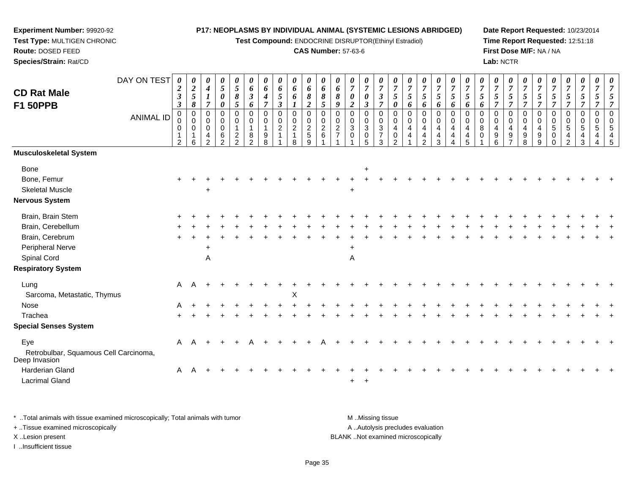**Test Compound:** ENDOCRINE DISRUPTOR(Ethinyl Estradiol)

#### **CAS Number:** 57-63-6

**Date Report Requested:** 10/23/2014**Time Report Requested:** 12:51:18**First Dose M/F:** NA / NA**Lab:** NCTR

| 00545

| <b>CD Rat Male</b><br><b>F1 50PPB</b>                  | DAY ON TEST<br><b>ANIMAL ID</b> | 0<br>$\overline{\mathbf{c}}$<br>$\boldsymbol{\beta}$<br>$\boldsymbol{\beta}$<br>0<br>0 | 0<br>$\boldsymbol{2}$<br>$\overline{5}$<br>8<br>$\mathbf 0$<br>0 | 0<br>$\boldsymbol{4}$<br>$\overline{\tau}$<br>0<br>0 | $\boldsymbol{\theta}$<br>$\mathfrak{s}$<br>0<br>0<br>0<br>0 | $\boldsymbol{\theta}$<br>$\mathfrak{s}$<br>8<br>5<br>$\mathbf 0$<br>0 | 0<br>6<br>$\boldsymbol{\beta}$<br>6<br>$\mathbf 0$<br>0 | 0<br>6<br>4<br>7<br>0<br>0 | 0<br>6<br>5<br>3<br>0<br>0     | 0<br>6<br>6<br>0<br>$\mathbf 0$ | $\boldsymbol{\theta}$<br>6<br>8<br>$\overline{2}$<br>$\mathbf 0$<br>$\pmb{0}$ | $\boldsymbol{\theta}$<br>6<br>8<br>5<br>$\mathbf 0$<br>$\mathbf 0$ | 0<br>6<br>8<br>9<br>$\Omega$<br>0 | 0<br>$\overline{\tau}$<br>0<br>$\boldsymbol{2}$<br>$\mathbf 0$<br>0 | 0<br>7<br>0<br>3<br>0<br>0      | $\pmb{\theta}$<br>$\overline{7}$<br>$\boldsymbol{\beta}$<br>$\overline{7}$<br>$\mathbf 0$<br>$\pmb{0}$ | 0<br>7<br>5<br>$\boldsymbol{\theta}$<br>0<br>$\mathbf 0$ | 0<br>$\overline{7}$<br>5<br>6<br>0<br>0 | 0<br>$\overline{7}$<br>5<br>6<br>0<br>0 | 0<br>$\overline{7}$<br>5<br>6<br>0<br>$\mathbf 0$ | $\pmb{\theta}$<br>$\overline{7}$<br>5<br>6<br>$\mathbf 0$<br>$\mathbf 0$ | 0<br>7<br>5<br>6<br>0<br>$\mathbf 0$ | 0<br>7<br>5<br>6<br>0<br>0 | 0<br>$\overline{7}$<br>5<br>$\Omega$<br>0 | $\boldsymbol{\theta}$<br>$\overline{7}$<br>5<br>$\Omega$<br>0 | 0<br>$\overline{7}$<br>5<br>$\overline{7}$<br>0<br>$\boldsymbol{0}$ | 0<br>7<br>5<br>$\Omega$<br>0 | 5<br>$\Omega$<br>0 | $\boldsymbol{\theta}$<br>5<br>0<br>0 | $\boldsymbol{\theta}$<br>$\overline{7}$<br>5<br>0<br>$\mathbf 0$ | $\boldsymbol{\theta}$<br>$\overline{7}$<br>5<br>$\mathbf 0$<br>$\mathbf 0$ |  |
|--------------------------------------------------------|---------------------------------|----------------------------------------------------------------------------------------|------------------------------------------------------------------|------------------------------------------------------|-------------------------------------------------------------|-----------------------------------------------------------------------|---------------------------------------------------------|----------------------------|--------------------------------|---------------------------------|-------------------------------------------------------------------------------|--------------------------------------------------------------------|-----------------------------------|---------------------------------------------------------------------|---------------------------------|--------------------------------------------------------------------------------------------------------|----------------------------------------------------------|-----------------------------------------|-----------------------------------------|---------------------------------------------------|--------------------------------------------------------------------------|--------------------------------------|----------------------------|-------------------------------------------|---------------------------------------------------------------|---------------------------------------------------------------------|------------------------------|--------------------|--------------------------------------|------------------------------------------------------------------|----------------------------------------------------------------------------|--|
|                                                        |                                 | 0<br>1<br>$\overline{2}$                                                               | $\mathbf 0$<br>1<br>6                                            | 0<br>4<br>$\mathcal{P}$                              | $\mathbf 0$<br>6<br>2                                       | $\overline{1}$<br>$\overline{\mathbf{c}}$<br>$\mathcal{P}$            | $\mathbf{1}$<br>8<br>$\mathfrak{p}$                     | 1<br>9<br>8                | $\overline{c}$<br>$\mathbf{1}$ | $\sqrt{2}$<br>8                 | $\frac{2}{5}$<br>9                                                            | $\overline{c}$<br>6                                                | $\overline{2}$                    | $\sqrt{3}$<br>$\mathbf 0$                                           | $\mathbf 3$<br>$\mathbf 0$<br>5 | $\sqrt{3}$<br>$\frac{7}{3}$                                                                            | 4<br>0<br>$\mathcal{P}$                                  | 4                                       | 4<br>4<br>$\mathfrak{p}$                | $\overline{4}$<br>$\overline{4}$<br>3             | $\overline{4}$<br>$\overline{\mathbf{4}}$<br>4                           | 4<br>4<br>5                          | 8<br>0                     | 4<br>9<br>6                               | $\overline{4}$<br>9<br>$\overline{ }$                         | $\overline{4}$<br>$\boldsymbol{9}$<br>8                             | 4<br>9<br>9                  | 5<br>0<br>$\Omega$ | $\sqrt{5}$<br>4<br>$\mathcal{P}$     | $\sqrt{5}$<br>4<br>3                                             | 5<br>4                                                                     |  |
| Musculoskeletal System                                 |                                 |                                                                                        |                                                                  |                                                      |                                                             |                                                                       |                                                         |                            |                                |                                 |                                                                               |                                                                    |                                   |                                                                     |                                 |                                                                                                        |                                                          |                                         |                                         |                                                   |                                                                          |                                      |                            |                                           |                                                               |                                                                     |                              |                    |                                      |                                                                  |                                                                            |  |
| Bone                                                   |                                 |                                                                                        |                                                                  |                                                      |                                                             |                                                                       |                                                         |                            |                                |                                 |                                                                               |                                                                    |                                   |                                                                     | $\ddot{}$                       |                                                                                                        |                                                          |                                         |                                         |                                                   |                                                                          |                                      |                            |                                           |                                                               |                                                                     |                              |                    |                                      |                                                                  |                                                                            |  |
| Bone, Femur                                            |                                 |                                                                                        |                                                                  |                                                      |                                                             |                                                                       |                                                         |                            |                                |                                 |                                                                               |                                                                    |                                   |                                                                     |                                 |                                                                                                        |                                                          |                                         |                                         |                                                   |                                                                          |                                      |                            |                                           |                                                               |                                                                     |                              |                    |                                      |                                                                  |                                                                            |  |
| <b>Skeletal Muscle</b>                                 |                                 |                                                                                        |                                                                  | $\ddot{}$                                            |                                                             |                                                                       |                                                         |                            |                                |                                 |                                                                               |                                                                    |                                   | $\ddot{}$                                                           |                                 |                                                                                                        |                                                          |                                         |                                         |                                                   |                                                                          |                                      |                            |                                           |                                                               |                                                                     |                              |                    |                                      |                                                                  |                                                                            |  |
| Nervous System                                         |                                 |                                                                                        |                                                                  |                                                      |                                                             |                                                                       |                                                         |                            |                                |                                 |                                                                               |                                                                    |                                   |                                                                     |                                 |                                                                                                        |                                                          |                                         |                                         |                                                   |                                                                          |                                      |                            |                                           |                                                               |                                                                     |                              |                    |                                      |                                                                  |                                                                            |  |
| Brain, Brain Stem                                      |                                 |                                                                                        |                                                                  |                                                      |                                                             |                                                                       |                                                         |                            |                                |                                 |                                                                               |                                                                    |                                   |                                                                     |                                 |                                                                                                        |                                                          |                                         |                                         |                                                   |                                                                          |                                      |                            |                                           |                                                               |                                                                     |                              |                    |                                      |                                                                  |                                                                            |  |
| Brain, Cerebellum                                      |                                 |                                                                                        |                                                                  |                                                      |                                                             |                                                                       |                                                         |                            |                                |                                 |                                                                               |                                                                    |                                   |                                                                     |                                 |                                                                                                        |                                                          |                                         |                                         |                                                   |                                                                          |                                      |                            |                                           |                                                               |                                                                     |                              |                    |                                      |                                                                  |                                                                            |  |
| Brain, Cerebrum                                        |                                 |                                                                                        |                                                                  |                                                      |                                                             |                                                                       |                                                         |                            |                                |                                 |                                                                               |                                                                    |                                   |                                                                     |                                 |                                                                                                        |                                                          |                                         |                                         |                                                   |                                                                          |                                      |                            |                                           |                                                               |                                                                     |                              |                    |                                      |                                                                  |                                                                            |  |
| Peripheral Nerve                                       |                                 |                                                                                        |                                                                  | +                                                    |                                                             |                                                                       |                                                         |                            |                                |                                 |                                                                               |                                                                    |                                   | $\ddot{}$                                                           |                                 |                                                                                                        |                                                          |                                         |                                         |                                                   |                                                                          |                                      |                            |                                           |                                                               |                                                                     |                              |                    |                                      |                                                                  |                                                                            |  |
| Spinal Cord                                            |                                 |                                                                                        |                                                                  | A                                                    |                                                             |                                                                       |                                                         |                            |                                |                                 |                                                                               |                                                                    |                                   | A                                                                   |                                 |                                                                                                        |                                                          |                                         |                                         |                                                   |                                                                          |                                      |                            |                                           |                                                               |                                                                     |                              |                    |                                      |                                                                  |                                                                            |  |
| <b>Respiratory System</b>                              |                                 |                                                                                        |                                                                  |                                                      |                                                             |                                                                       |                                                         |                            |                                |                                 |                                                                               |                                                                    |                                   |                                                                     |                                 |                                                                                                        |                                                          |                                         |                                         |                                                   |                                                                          |                                      |                            |                                           |                                                               |                                                                     |                              |                    |                                      |                                                                  |                                                                            |  |
| Lung                                                   |                                 | A                                                                                      |                                                                  |                                                      |                                                             |                                                                       |                                                         |                            |                                |                                 |                                                                               |                                                                    |                                   |                                                                     |                                 |                                                                                                        |                                                          |                                         |                                         |                                                   |                                                                          |                                      |                            |                                           |                                                               |                                                                     |                              |                    |                                      |                                                                  |                                                                            |  |
| Sarcoma, Metastatic, Thymus                            |                                 |                                                                                        |                                                                  |                                                      |                                                             |                                                                       |                                                         |                            |                                | Χ                               |                                                                               |                                                                    |                                   |                                                                     |                                 |                                                                                                        |                                                          |                                         |                                         |                                                   |                                                                          |                                      |                            |                                           |                                                               |                                                                     |                              |                    |                                      |                                                                  |                                                                            |  |
| Nose                                                   |                                 |                                                                                        |                                                                  |                                                      |                                                             |                                                                       |                                                         |                            |                                |                                 |                                                                               |                                                                    |                                   |                                                                     |                                 |                                                                                                        |                                                          |                                         |                                         |                                                   |                                                                          |                                      |                            |                                           |                                                               |                                                                     |                              |                    |                                      |                                                                  |                                                                            |  |
| Trachea                                                |                                 |                                                                                        |                                                                  |                                                      |                                                             |                                                                       |                                                         |                            |                                |                                 |                                                                               |                                                                    |                                   |                                                                     |                                 |                                                                                                        |                                                          |                                         |                                         |                                                   |                                                                          |                                      |                            |                                           |                                                               |                                                                     |                              |                    |                                      |                                                                  |                                                                            |  |
| <b>Special Senses System</b>                           |                                 |                                                                                        |                                                                  |                                                      |                                                             |                                                                       |                                                         |                            |                                |                                 |                                                                               |                                                                    |                                   |                                                                     |                                 |                                                                                                        |                                                          |                                         |                                         |                                                   |                                                                          |                                      |                            |                                           |                                                               |                                                                     |                              |                    |                                      |                                                                  |                                                                            |  |
| Eye                                                    |                                 | A                                                                                      |                                                                  |                                                      |                                                             |                                                                       |                                                         |                            |                                |                                 |                                                                               |                                                                    |                                   |                                                                     |                                 |                                                                                                        |                                                          |                                         |                                         |                                                   |                                                                          |                                      |                            |                                           |                                                               |                                                                     |                              |                    |                                      |                                                                  |                                                                            |  |
| Retrobulbar, Squamous Cell Carcinoma,<br>Deep Invasion |                                 |                                                                                        |                                                                  |                                                      |                                                             |                                                                       |                                                         |                            |                                |                                 |                                                                               |                                                                    |                                   |                                                                     |                                 |                                                                                                        |                                                          |                                         |                                         |                                                   |                                                                          |                                      |                            |                                           |                                                               |                                                                     |                              |                    |                                      |                                                                  |                                                                            |  |
| <b>Harderian Gland</b>                                 |                                 |                                                                                        | $A \quad A +$                                                    |                                                      |                                                             |                                                                       |                                                         |                            |                                |                                 |                                                                               |                                                                    |                                   |                                                                     |                                 |                                                                                                        |                                                          |                                         |                                         |                                                   |                                                                          |                                      |                            |                                           |                                                               |                                                                     |                              |                    |                                      |                                                                  |                                                                            |  |

\* ..Total animals with tissue examined microscopically; Total animals with tumor **M** ...Missing tissue M ...Missing tissue A .. Autolysis precludes evaluation + ..Tissue examined microscopically X ..Lesion present BLANK ..Not examined microscopicallyI ..Insufficient tissue

 $\alpha$ 

d A

**Experiment Number:** 99920-92**Test Type:** MULTIGEN CHRONIC

**Route:** DOSED FEED**Species/Strain:** Rat/CD

Lacrimal Gland

<sup>A</sup> <sup>+</sup> <sup>+</sup> <sup>+</sup> <sup>+</sup> <sup>+</sup> <sup>+</sup> <sup>+</sup> <sup>+</sup> <sup>+</sup> <sup>+</sup> <sup>+</sup> <sup>+</sup> <sup>+</sup> <sup>+</sup> <sup>+</sup> <sup>+</sup> <sup>+</sup> <sup>+</sup> <sup>+</sup> <sup>+</sup> <sup>+</sup> <sup>+</sup> <sup>+</sup> <sup>+</sup> <sup>+</sup> <sup>+</sup> <sup>+</sup> <sup>+</sup> <sup>+</sup>

 $+$   $+$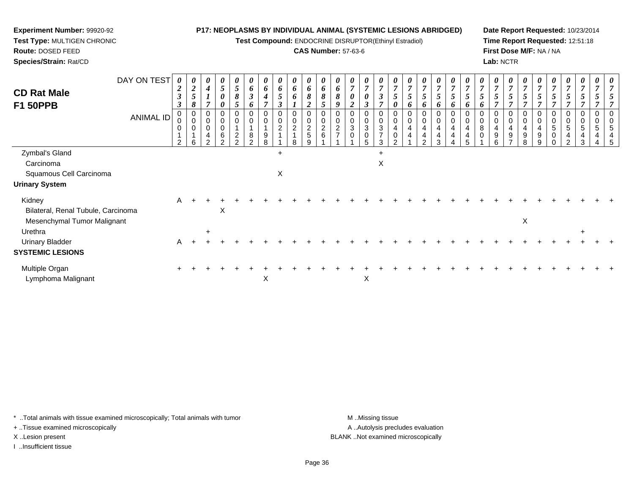**Test Compound:** ENDOCRINE DISRUPTOR(Ethinyl Estradiol)

## **CAS Number:** 57-63-6

**Date Report Requested:** 10/23/2014**Time Report Requested:** 12:51:18**First Dose M/F:** NA / NA**Lab:** NCTR

| DAY ON TEST<br><b>CD Rat Male</b><br><b>F1 50PPB</b> | 0<br>$\boldsymbol{2}$<br>$\boldsymbol{\beta}$<br>$\boldsymbol{\beta}$ | $\boldsymbol{\theta}$<br>$\boldsymbol{2}$<br>$\mathfrak{s}$<br>8 | 0<br>$\boldsymbol{4}$<br>7                   | 0<br>5<br>$\boldsymbol{\theta}$<br>$\theta$     | $\boldsymbol{\theta}$<br>5<br>8                         | $\boldsymbol{\theta}$<br>6<br>$\mathfrak{z}$<br>6 | $\boldsymbol{\theta}$<br>6<br>$\boldsymbol{4}$ | $\boldsymbol{\theta}$<br>6<br>$\overline{5}$<br>$\boldsymbol{\beta}$ | 0<br>6<br>6                                                       | 0<br>6<br>8<br>2                                                 | $\boldsymbol{\theta}$<br>6<br>8<br>5 | $\boldsymbol{\theta}$<br>6<br>8<br>9 | $\boldsymbol{\theta}$<br>$\overline{7}$<br>$\boldsymbol{\theta}$<br>$\overline{2}$ | 0<br>$\overline{7}$<br>$\boldsymbol{\theta}$<br>3 | 0<br>$\overline{7}$<br>3<br>$\overline{ }$    | U<br>$\overline{7}$<br>C<br>0 | $\boldsymbol{\theta}$<br>$\overline{7}$<br>5<br>$\bm{o}$ | $\boldsymbol{\theta}$<br>$\overline{7}$<br>5<br>6 | 0<br>$\overline{7}$<br>5<br>6 | $\frac{\boldsymbol{\theta}}{\boldsymbol{7}}$<br>5<br>6 | U<br>$\overline{ }$<br>o   | $\boldsymbol{\theta}$<br>$\overline{7}$<br>$\mathfrak{I}$<br>$\bm{o}$ | $\boldsymbol{\theta}$<br>$\overline{7}$<br>5 | 0<br>$\overline{7}$<br>$\mathfrak{s}$<br>$\overline{ }$ | $\boldsymbol{\theta}$<br>$\overline{7}$<br>5 | 5                | $\boldsymbol{\theta}$<br>$\overline{7}$<br>$\mathfrak{I}$ | $\boldsymbol{\theta}$<br>$\overline{7}$<br>5 | $\boldsymbol{\theta}$<br>$\boldsymbol{7}$<br>5 | $\boldsymbol{\theta}$ |  |
|------------------------------------------------------|-----------------------------------------------------------------------|------------------------------------------------------------------|----------------------------------------------|-------------------------------------------------|---------------------------------------------------------|---------------------------------------------------|------------------------------------------------|----------------------------------------------------------------------|-------------------------------------------------------------------|------------------------------------------------------------------|--------------------------------------|--------------------------------------|------------------------------------------------------------------------------------|---------------------------------------------------|-----------------------------------------------|-------------------------------|----------------------------------------------------------|---------------------------------------------------|-------------------------------|--------------------------------------------------------|----------------------------|-----------------------------------------------------------------------|----------------------------------------------|---------------------------------------------------------|----------------------------------------------|------------------|-----------------------------------------------------------|----------------------------------------------|------------------------------------------------|-----------------------|--|
| ANIMAL ID                                            | $\pmb{0}$<br>0<br>$\mathbf 0$<br>2                                    | 0<br>$\mathbf 0$<br>0<br>1<br>6                                  | 0<br>$\mathbf 0$<br>0<br>4<br>$\mathfrak{p}$ | $\mathbf 0$<br>$\pmb{0}$<br>6<br>$\overline{2}$ | 0<br>$\pmb{0}$<br>$\overline{A}$<br>$\overline{c}$<br>2 | 0<br>8<br>2                                       | 0<br>9<br>8                                    | 0<br>0<br>$\overline{c}$                                             | $\mathbf 0$<br>$\boldsymbol{2}$<br>$\overline{A}$<br>$\mathsf{R}$ | $\mathbf 0$<br>$\pmb{0}$<br>$\boldsymbol{2}$<br>$\mathbf 5$<br>9 | 0<br>$\boldsymbol{2}$<br>6           | $\mathbf 0$<br>$\overline{2}$        | 0<br>$\pmb{0}$<br>$\ensuremath{\mathsf{3}}$<br>0                                   | $\mathbf 0$<br>$\sqrt{3}$<br>0<br>5               | 0<br>0<br>$\mathbf{3}$<br>$\overline{7}$<br>3 | 0<br>4<br>0                   | 0<br>4<br>4                                              | $\mathbf 0$<br>4<br>4<br>$\mathcal{P}$            | 0<br>4<br>4<br>3              | 0<br>0<br>4<br>4                                       | $\mathbf 0$<br>4<br>4<br>5 | 0<br>8<br>0                                                           | 0<br>4<br>9<br>6                             | $\mathbf 0$<br>$\overline{4}$<br>9                      | 0<br>4<br>9<br>8                             | 0<br>4<br>9<br>9 | 0<br>0<br>5<br>$\pmb{0}$<br>$\mathbf 0$                   | 0<br>0<br>5<br>4<br>$\overline{2}$           | $\mathbf 0$<br>5<br>4<br>3                     | 0                     |  |
| Zymbal's Gland                                       |                                                                       |                                                                  |                                              |                                                 |                                                         |                                                   |                                                | $\ddot{}$                                                            |                                                                   |                                                                  |                                      |                                      |                                                                                    |                                                   | $\ddot{}$                                     |                               |                                                          |                                                   |                               |                                                        |                            |                                                                       |                                              |                                                         |                                              |                  |                                                           |                                              |                                                |                       |  |
| Carcinoma                                            |                                                                       |                                                                  |                                              |                                                 |                                                         |                                                   |                                                |                                                                      |                                                                   |                                                                  |                                      |                                      |                                                                                    |                                                   | Χ                                             |                               |                                                          |                                                   |                               |                                                        |                            |                                                                       |                                              |                                                         |                                              |                  |                                                           |                                              |                                                |                       |  |
| Squamous Cell Carcinoma                              |                                                                       |                                                                  |                                              |                                                 |                                                         |                                                   |                                                | Χ                                                                    |                                                                   |                                                                  |                                      |                                      |                                                                                    |                                                   |                                               |                               |                                                          |                                                   |                               |                                                        |                            |                                                                       |                                              |                                                         |                                              |                  |                                                           |                                              |                                                |                       |  |
| <b>Urinary System</b>                                |                                                                       |                                                                  |                                              |                                                 |                                                         |                                                   |                                                |                                                                      |                                                                   |                                                                  |                                      |                                      |                                                                                    |                                                   |                                               |                               |                                                          |                                                   |                               |                                                        |                            |                                                                       |                                              |                                                         |                                              |                  |                                                           |                                              |                                                |                       |  |
| Kidney<br>Bilateral, Renal Tubule, Carcinoma         | A                                                                     |                                                                  |                                              | X                                               |                                                         |                                                   |                                                |                                                                      |                                                                   |                                                                  |                                      |                                      |                                                                                    |                                                   |                                               |                               |                                                          |                                                   |                               |                                                        |                            |                                                                       |                                              |                                                         |                                              |                  |                                                           |                                              |                                                |                       |  |
| Mesenchymal Tumor Malignant<br>Urethra               |                                                                       |                                                                  | $\ddot{}$                                    |                                                 |                                                         |                                                   |                                                |                                                                      |                                                                   |                                                                  |                                      |                                      |                                                                                    |                                                   |                                               |                               |                                                          |                                                   |                               |                                                        |                            |                                                                       |                                              |                                                         | X                                            |                  |                                                           |                                              | $\ddot{}$                                      |                       |  |
| <b>Urinary Bladder</b>                               | A                                                                     |                                                                  |                                              |                                                 |                                                         |                                                   |                                                |                                                                      |                                                                   |                                                                  |                                      |                                      |                                                                                    |                                                   |                                               |                               |                                                          |                                                   |                               |                                                        |                            |                                                                       |                                              |                                                         |                                              |                  |                                                           |                                              |                                                |                       |  |
| <b>SYSTEMIC LESIONS</b>                              |                                                                       |                                                                  |                                              |                                                 |                                                         |                                                   |                                                |                                                                      |                                                                   |                                                                  |                                      |                                      |                                                                                    |                                                   |                                               |                               |                                                          |                                                   |                               |                                                        |                            |                                                                       |                                              |                                                         |                                              |                  |                                                           |                                              |                                                |                       |  |
| Multiple Organ<br>Lymphoma Malignant                 |                                                                       |                                                                  |                                              |                                                 |                                                         |                                                   | X                                              |                                                                      |                                                                   |                                                                  |                                      |                                      |                                                                                    | X                                                 |                                               |                               |                                                          |                                                   |                               |                                                        |                            |                                                                       |                                              |                                                         |                                              |                  |                                                           |                                              |                                                |                       |  |

\* ..Total animals with tissue examined microscopically; Total animals with tumor **M** . Missing tissue M ..Missing tissue

+ ..Tissue examined microscopically

**Experiment Number:** 99920-92**Test Type:** MULTIGEN CHRONIC

**Route:** DOSED FEED**Species/Strain:** Rat/CD

I ..Insufficient tissue

A ..Autolysis precludes evaluation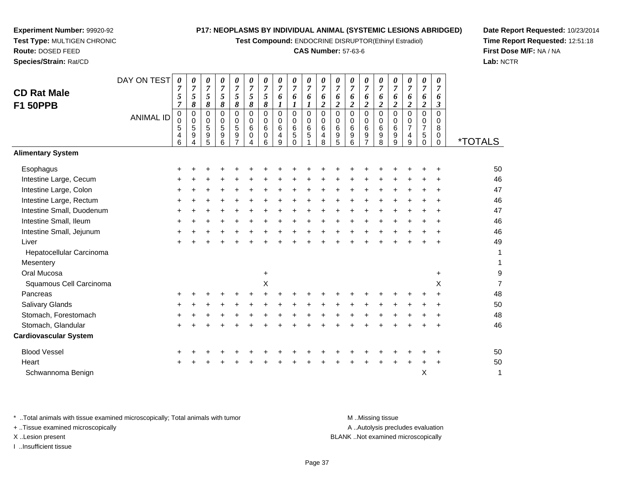**Test Compound:** ENDOCRINE DISRUPTOR(Ethinyl Estradiol)

#### **CAS Number:** 57-63-6

0 \*TOTALS

9

**Date Report Requested:** 10/23/2014**Time Report Requested:** 12:51:18**First Dose M/F:** NA / NA**Lab:** NCTR

| Esophagus                                                                                                            | +     |  |  |           |  |  |  |                                                                                                                                                                                                                                                   |  |           | ÷         | 50 |
|----------------------------------------------------------------------------------------------------------------------|-------|--|--|-----------|--|--|--|---------------------------------------------------------------------------------------------------------------------------------------------------------------------------------------------------------------------------------------------------|--|-----------|-----------|----|
| Intestine Large, Cecum                                                                                               | +     |  |  |           |  |  |  |                                                                                                                                                                                                                                                   |  |           | $\ddot{}$ | 46 |
| Intestine Large, Colon                                                                                               | +     |  |  |           |  |  |  |                                                                                                                                                                                                                                                   |  |           | ÷         | 47 |
| Intestine Large, Rectum                                                                                              | $\pm$ |  |  |           |  |  |  |                                                                                                                                                                                                                                                   |  |           | $\ddot{}$ | 46 |
| Intestine Small, Duodenum                                                                                            | +     |  |  |           |  |  |  |                                                                                                                                                                                                                                                   |  |           | ÷         | 47 |
| Intestine Small, Ileum                                                                                               | $\pm$ |  |  |           |  |  |  |                                                                                                                                                                                                                                                   |  |           | $\ddot{}$ | 46 |
| Intestine Small, Jejunum                                                                                             | +     |  |  |           |  |  |  |                                                                                                                                                                                                                                                   |  |           | ÷         | 46 |
| Liver                                                                                                                | $\pm$ |  |  |           |  |  |  |                                                                                                                                                                                                                                                   |  | $\ddot{}$ | $\ddot{}$ | 49 |
| Hepatocellular Carcinoma                                                                                             |       |  |  |           |  |  |  |                                                                                                                                                                                                                                                   |  |           |           | 1  |
| Mesentery                                                                                                            |       |  |  |           |  |  |  |                                                                                                                                                                                                                                                   |  |           |           | 1  |
| Oral Mucosa                                                                                                          |       |  |  | $\ddot{}$ |  |  |  |                                                                                                                                                                                                                                                   |  |           | $\ddot{}$ | 9  |
| Squamous Cell Carcinoma                                                                                              |       |  |  | Χ         |  |  |  |                                                                                                                                                                                                                                                   |  |           | X         | 7  |
| Pancreas                                                                                                             | +     |  |  |           |  |  |  |                                                                                                                                                                                                                                                   |  |           | ÷         | 48 |
| Salivary Glands                                                                                                      | +     |  |  |           |  |  |  |                                                                                                                                                                                                                                                   |  |           |           | 50 |
| Stomach, Forestomach                                                                                                 | +     |  |  |           |  |  |  |                                                                                                                                                                                                                                                   |  |           |           | 48 |
| Stomach, Glandular                                                                                                   | $\pm$ |  |  |           |  |  |  |                                                                                                                                                                                                                                                   |  |           | $\ddot{}$ | 46 |
| <b>Cardiovascular System</b>                                                                                         |       |  |  |           |  |  |  |                                                                                                                                                                                                                                                   |  |           |           |    |
| <b>Blood Vessel</b>                                                                                                  | ٠     |  |  |           |  |  |  |                                                                                                                                                                                                                                                   |  |           | ÷         | 50 |
| Heart                                                                                                                | $\pm$ |  |  |           |  |  |  |                                                                                                                                                                                                                                                   |  | $\ddot{}$ | $\ddot{}$ | 50 |
| Schwannoma Benign                                                                                                    |       |  |  |           |  |  |  |                                                                                                                                                                                                                                                   |  | X         |           | 1  |
|                                                                                                                      |       |  |  |           |  |  |  |                                                                                                                                                                                                                                                   |  |           |           |    |
| <b>Seat of Contract Contract of Contract Contract Contract Contract Contract Contract Contract Contract Contract</b> | .     |  |  |           |  |  |  | $\mathbf{A}$ and $\mathbf{A}$ and $\mathbf{A}$ and $\mathbf{A}$ and $\mathbf{A}$ are associated as a set of the set of the set of the set of the set of the set of the set of the set of the set of the set of the set of the set of the set of t |  |           |           |    |

\* ..Total animals with tissue examined microscopically; Total animals with tumor M ...Missing tissue M ...Missing tissue

DAY ON TEST

*0 7 5*

0<br>0<br>6<br>5<br>0<br>0

*8*

5 4 6

ANIMAL ID

+ ..Tissue examined microscopically

**Experiment Number:** 99920-92**Test Type:** MULTIGEN CHRONIC

**Route:** DOSED FEED**Species/Strain:** Rat/CD

**CD Rat MaleF1 50PPB**

**Alimentary System**

I ..Insufficient tissue

A ..Autolysis precludes evaluation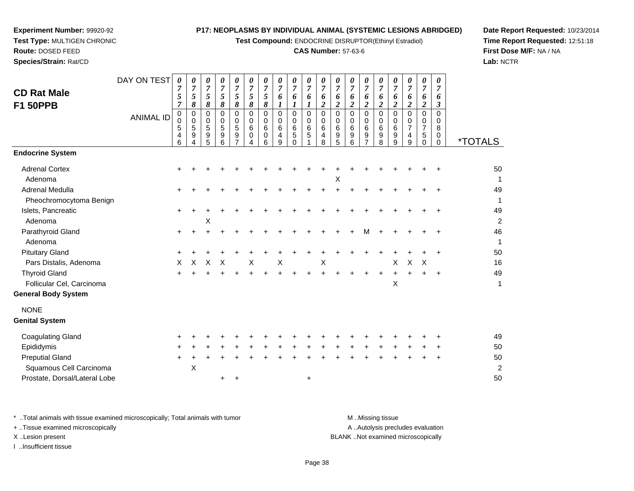**Test Compound:** ENDOCRINE DISRUPTOR(Ethinyl Estradiol)

# **CAS Number:** 57-63-6

**Date Report Requested:** 10/23/2014**Time Report Requested:** 12:51:18**First Dose M/F:** NA / NA**Lab:** NCTR

| <b>CD Rat Male</b><br><b>F1 50PPB</b> | DAY ON TEST<br><b>ANIMAL ID</b> | 0<br>7<br>5<br>$\overline{7}$<br>0<br>$\pmb{0}$<br>5<br>4<br>6 | 0<br>7<br>5<br>8<br>0<br>0<br>5<br>9 | 0<br>$\overline{7}$<br>5<br>8<br>0<br>0<br>$\sqrt{5}$<br>$\boldsymbol{9}$<br>5 | 0<br>$\overline{7}$<br>5<br>8<br>0<br>0<br>$\overline{5}$<br>9<br>6 | 0<br>$\boldsymbol{7}$<br>5<br>8<br>$\mathbf 0$<br>0<br>$\sqrt{5}$<br>$\boldsymbol{9}$ | 0<br>$\overline{7}$<br>5<br>8<br>$\mathbf 0$<br>$\mathbf 0$<br>$\,6$<br>0 | 0<br>$\overline{7}$<br>5<br>$\pmb{8}$<br>$\Omega$<br>$\Omega$<br>6<br>0<br>6 | 0<br>$\overline{7}$<br>6<br>1<br>$\mathbf 0$<br>0<br>6<br>4<br>9 | 0<br>$\overline{7}$<br>6<br>$\boldsymbol{l}$<br>$\mathbf 0$<br>0<br>6<br>5<br>$\Omega$ | 0<br>$\overline{7}$<br>6<br>1<br>$\mathbf 0$<br>0<br>$\,6\,$<br>$\overline{5}$ | 0<br>7<br>6<br>$\overline{c}$<br>$\Omega$<br>0<br>6<br>4<br>8 | 0<br>$\overline{7}$<br>6<br>$\overline{c}$<br>0<br>0<br>6<br>9<br>5 | 0<br>$\overline{7}$<br>6<br>$\overline{c}$<br>$\mathbf 0$<br>$\mathbf 0$<br>$\,6\,$<br>9<br>6 | 0<br>$\overline{7}$<br>6<br>$\overline{2}$<br>$\mathbf 0$<br>0<br>$\,6\,$<br>$\boldsymbol{9}$<br>$\overline{7}$ | 0<br>$\overline{7}$<br>6<br>$\overline{c}$<br>$\Omega$<br>0<br>$\,6\,$<br>9<br>8 | 0<br>$\overline{7}$<br>6<br>$\boldsymbol{2}$<br>$\Omega$<br>$\Omega$<br>6<br>9<br>9 | 0<br>$\overline{7}$<br>6<br>$\overline{2}$<br>$\pmb{0}$<br>$\mathbf 0$<br>$\overline{7}$<br>4<br>9 | 0<br>$\overline{7}$<br>6<br>$\overline{c}$<br>0<br>0<br>$\overline{7}$<br>5<br>0 | 0<br>$\overline{7}$<br>6<br>$\boldsymbol{\beta}$<br>$\mathbf 0$<br>0<br>8<br>0<br>$\Omega$ | <i><b>*TOTALS</b></i> |
|---------------------------------------|---------------------------------|----------------------------------------------------------------|--------------------------------------|--------------------------------------------------------------------------------|---------------------------------------------------------------------|---------------------------------------------------------------------------------------|---------------------------------------------------------------------------|------------------------------------------------------------------------------|------------------------------------------------------------------|----------------------------------------------------------------------------------------|--------------------------------------------------------------------------------|---------------------------------------------------------------|---------------------------------------------------------------------|-----------------------------------------------------------------------------------------------|-----------------------------------------------------------------------------------------------------------------|----------------------------------------------------------------------------------|-------------------------------------------------------------------------------------|----------------------------------------------------------------------------------------------------|----------------------------------------------------------------------------------|--------------------------------------------------------------------------------------------|-----------------------|
| <b>Endocrine System</b>               |                                 |                                                                |                                      |                                                                                |                                                                     |                                                                                       |                                                                           |                                                                              |                                                                  |                                                                                        |                                                                                |                                                               |                                                                     |                                                                                               |                                                                                                                 |                                                                                  |                                                                                     |                                                                                                    |                                                                                  |                                                                                            |                       |
| <b>Adrenal Cortex</b><br>Adenoma      |                                 |                                                                |                                      |                                                                                |                                                                     |                                                                                       |                                                                           |                                                                              |                                                                  |                                                                                        |                                                                                |                                                               | X                                                                   |                                                                                               |                                                                                                                 |                                                                                  |                                                                                     |                                                                                                    |                                                                                  |                                                                                            | 50<br>1               |
| Adrenal Medulla                       |                                 |                                                                |                                      |                                                                                |                                                                     |                                                                                       |                                                                           |                                                                              |                                                                  |                                                                                        |                                                                                |                                                               |                                                                     |                                                                                               |                                                                                                                 |                                                                                  |                                                                                     |                                                                                                    |                                                                                  |                                                                                            | 49                    |
| Pheochromocytoma Benign               |                                 |                                                                |                                      |                                                                                |                                                                     |                                                                                       |                                                                           |                                                                              |                                                                  |                                                                                        |                                                                                |                                                               |                                                                     |                                                                                               |                                                                                                                 |                                                                                  |                                                                                     |                                                                                                    |                                                                                  |                                                                                            | 1                     |
| Islets, Pancreatic                    |                                 | $\pm$                                                          |                                      |                                                                                |                                                                     |                                                                                       |                                                                           |                                                                              |                                                                  |                                                                                        |                                                                                |                                                               |                                                                     |                                                                                               |                                                                                                                 |                                                                                  |                                                                                     |                                                                                                    |                                                                                  |                                                                                            | 49                    |
| Adenoma                               |                                 |                                                                |                                      | X                                                                              |                                                                     |                                                                                       |                                                                           |                                                                              |                                                                  |                                                                                        |                                                                                |                                                               |                                                                     |                                                                                               |                                                                                                                 |                                                                                  |                                                                                     |                                                                                                    |                                                                                  |                                                                                            | $\overline{a}$        |
| Parathyroid Gland<br>Adenoma          |                                 | ٠                                                              |                                      |                                                                                |                                                                     |                                                                                       |                                                                           |                                                                              |                                                                  |                                                                                        |                                                                                |                                                               |                                                                     |                                                                                               | М                                                                                                               |                                                                                  |                                                                                     |                                                                                                    |                                                                                  | $\ddot{}$                                                                                  | 46<br>1               |
| <b>Pituitary Gland</b>                |                                 |                                                                |                                      |                                                                                |                                                                     |                                                                                       |                                                                           |                                                                              |                                                                  |                                                                                        |                                                                                |                                                               |                                                                     |                                                                                               |                                                                                                                 |                                                                                  |                                                                                     |                                                                                                    |                                                                                  | ÷                                                                                          | 50                    |
| Pars Distalis, Adenoma                |                                 | X                                                              | Χ                                    | X                                                                              | $\times$                                                            |                                                                                       | $\boldsymbol{\mathsf{X}}$                                                 |                                                                              | Χ                                                                |                                                                                        |                                                                                | Χ                                                             |                                                                     |                                                                                               |                                                                                                                 |                                                                                  | X                                                                                   | X                                                                                                  | $\times$                                                                         |                                                                                            | 16                    |
| <b>Thyroid Gland</b>                  |                                 |                                                                |                                      |                                                                                |                                                                     |                                                                                       |                                                                           |                                                                              |                                                                  |                                                                                        |                                                                                |                                                               |                                                                     |                                                                                               |                                                                                                                 |                                                                                  |                                                                                     |                                                                                                    |                                                                                  | $\ddot{}$                                                                                  | 49                    |
| Follicular Cel, Carcinoma             |                                 |                                                                |                                      |                                                                                |                                                                     |                                                                                       |                                                                           |                                                                              |                                                                  |                                                                                        |                                                                                |                                                               |                                                                     |                                                                                               |                                                                                                                 |                                                                                  | X                                                                                   |                                                                                                    |                                                                                  |                                                                                            | 1                     |
| <b>General Body System</b>            |                                 |                                                                |                                      |                                                                                |                                                                     |                                                                                       |                                                                           |                                                                              |                                                                  |                                                                                        |                                                                                |                                                               |                                                                     |                                                                                               |                                                                                                                 |                                                                                  |                                                                                     |                                                                                                    |                                                                                  |                                                                                            |                       |
| <b>NONE</b>                           |                                 |                                                                |                                      |                                                                                |                                                                     |                                                                                       |                                                                           |                                                                              |                                                                  |                                                                                        |                                                                                |                                                               |                                                                     |                                                                                               |                                                                                                                 |                                                                                  |                                                                                     |                                                                                                    |                                                                                  |                                                                                            |                       |
| <b>Genital System</b>                 |                                 |                                                                |                                      |                                                                                |                                                                     |                                                                                       |                                                                           |                                                                              |                                                                  |                                                                                        |                                                                                |                                                               |                                                                     |                                                                                               |                                                                                                                 |                                                                                  |                                                                                     |                                                                                                    |                                                                                  |                                                                                            |                       |
| <b>Coagulating Gland</b>              |                                 |                                                                |                                      |                                                                                |                                                                     |                                                                                       |                                                                           |                                                                              |                                                                  |                                                                                        |                                                                                |                                                               |                                                                     |                                                                                               |                                                                                                                 |                                                                                  |                                                                                     |                                                                                                    |                                                                                  |                                                                                            | 49                    |
| Epididymis                            |                                 |                                                                |                                      |                                                                                |                                                                     |                                                                                       |                                                                           |                                                                              |                                                                  |                                                                                        |                                                                                |                                                               |                                                                     |                                                                                               |                                                                                                                 |                                                                                  |                                                                                     |                                                                                                    |                                                                                  |                                                                                            | 50                    |
| <b>Preputial Gland</b>                |                                 |                                                                |                                      |                                                                                |                                                                     |                                                                                       |                                                                           |                                                                              |                                                                  |                                                                                        |                                                                                |                                                               |                                                                     |                                                                                               |                                                                                                                 |                                                                                  |                                                                                     |                                                                                                    |                                                                                  |                                                                                            | 50                    |
| Squamous Cell Carcinoma               |                                 |                                                                | Χ                                    |                                                                                |                                                                     |                                                                                       |                                                                           |                                                                              |                                                                  |                                                                                        |                                                                                |                                                               |                                                                     |                                                                                               |                                                                                                                 |                                                                                  |                                                                                     |                                                                                                    |                                                                                  |                                                                                            | 2                     |
| Prostate, Dorsal/Lateral Lobe         |                                 |                                                                |                                      |                                                                                | $\pm$                                                               | ÷                                                                                     |                                                                           |                                                                              |                                                                  |                                                                                        | $\ddot{}$                                                                      |                                                               |                                                                     |                                                                                               |                                                                                                                 |                                                                                  |                                                                                     |                                                                                                    |                                                                                  |                                                                                            | 50                    |
|                                       |                                 |                                                                |                                      |                                                                                |                                                                     |                                                                                       |                                                                           |                                                                              |                                                                  |                                                                                        |                                                                                |                                                               |                                                                     |                                                                                               |                                                                                                                 |                                                                                  |                                                                                     |                                                                                                    |                                                                                  |                                                                                            |                       |

\* ..Total animals with tissue examined microscopically; Total animals with tumor **M** . Missing tissue M ..Missing tissue

+ ..Tissue examined microscopically

**Experiment Number:** 99920-92**Test Type:** MULTIGEN CHRONIC

**Route:** DOSED FEED**Species/Strain:** Rat/CD

I ..Insufficient tissue

A ..Autolysis precludes evaluation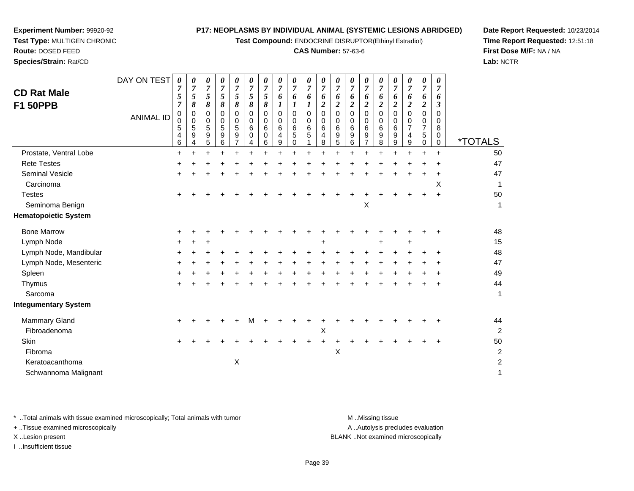**Test Compound:** ENDOCRINE DISRUPTOR(Ethinyl Estradiol)

### **CAS Number:** 57-63-6

**Date Report Requested:** 10/23/2014**Time Report Requested:** 12:51:18**First Dose M/F:** NA / NA**Lab:** NCTR

| <b>CD Rat Male</b><br><b>F1 50PPB</b> | DAY ON TEST<br><b>ANIMAL ID</b> | $\pmb{\theta}$<br>7<br>5<br>$\overline{7}$<br>0<br>$\Omega$<br>5 | $\boldsymbol{\theta}$<br>$\overline{7}$<br>5<br>8<br>0<br>$\mathbf 0$<br>5 | 0<br>7<br>5<br>8<br>0<br>0<br>5 | 0<br>$\overline{7}$<br>$\mathfrak{s}$<br>8<br>0<br>0<br>5 | 0<br>$\overline{7}$<br>5<br>$\pmb{8}$<br>$\Omega$<br>$\Omega$<br>5 | 0<br>7<br>5<br>8<br>$\Omega$<br>$\mathbf 0$<br>6 | 0<br>7<br>5<br>8<br>$\Omega$<br>0<br>6 | 0<br>7<br>6<br>1<br>0<br>0<br>6 | 0<br>$\overline{7}$<br>6<br>$\boldsymbol{l}$<br>0<br>0<br>6 | $\pmb{\theta}$<br>$\overline{7}$<br>6<br>1<br>$\mathbf 0$<br>$\mathbf 0$<br>6 | 0<br>$\overline{7}$<br>6<br>$\overline{c}$<br>0<br>0<br>6 | 0<br>$\overline{7}$<br>6<br>$\overline{c}$<br>0<br>0<br>6 | 0<br>7<br>6<br>2<br>$\mathbf 0$<br>0<br>6 | 0<br>7<br>6<br>2<br>$\Omega$<br>$\Omega$<br>6 | 0<br>$\overline{7}$<br>6<br>2<br>$\Omega$<br>$\Omega$<br>6 | 0<br>$\overline{7}$<br>6<br>$\overline{\mathbf{2}}$<br>$\Omega$<br>$\Omega$<br>6 | 0<br>$\overline{7}$<br>6<br>$\boldsymbol{2}$<br>$\Omega$<br>0<br>$\overline{7}$ | $\pmb{\theta}$<br>$\overline{7}$<br>6<br>$\boldsymbol{2}$<br>$\mathbf 0$<br>0<br>$\overline{7}$ | 0<br>7<br>6<br>3<br>$\Omega$<br>0<br>8 |                       |
|---------------------------------------|---------------------------------|------------------------------------------------------------------|----------------------------------------------------------------------------|---------------------------------|-----------------------------------------------------------|--------------------------------------------------------------------|--------------------------------------------------|----------------------------------------|---------------------------------|-------------------------------------------------------------|-------------------------------------------------------------------------------|-----------------------------------------------------------|-----------------------------------------------------------|-------------------------------------------|-----------------------------------------------|------------------------------------------------------------|----------------------------------------------------------------------------------|---------------------------------------------------------------------------------|-------------------------------------------------------------------------------------------------|----------------------------------------|-----------------------|
|                                       |                                 | 4<br>6                                                           | $\boldsymbol{9}$<br>$\overline{4}$                                         | 9<br>5                          | 9<br>6                                                    | 9<br>$\overline{7}$                                                | 0<br>4                                           | 0<br>6                                 | $\overline{4}$<br>9             | 5<br>$\pmb{0}$                                              | 5                                                                             | 4<br>8                                                    | 9<br>5                                                    | 9<br>6                                    | 9<br>$\overline{7}$                           | 9<br>8                                                     | 9<br>9                                                                           | 4<br>9                                                                          | 5<br>$\mathbf 0$                                                                                | 0<br>$\mathbf 0$                       | <i><b>*TOTALS</b></i> |
| Prostate, Ventral Lobe                |                                 | $\ddot{}$                                                        | $\ddot{}$                                                                  |                                 | 4                                                         |                                                                    | $\ddot{}$                                        |                                        |                                 | $\ddot{}$                                                   | $\ddot{}$                                                                     | $\ddot{}$                                                 | $\ddot{}$                                                 |                                           | ÷                                             |                                                            | $\ddot{}$                                                                        | $\ddot{}$                                                                       |                                                                                                 | $\ddot{}$                              | 50                    |
| <b>Rete Testes</b>                    |                                 |                                                                  |                                                                            |                                 |                                                           |                                                                    |                                                  |                                        |                                 |                                                             |                                                                               |                                                           |                                                           |                                           |                                               |                                                            |                                                                                  |                                                                                 |                                                                                                 |                                        | 47                    |
| <b>Seminal Vesicle</b>                |                                 |                                                                  |                                                                            |                                 |                                                           |                                                                    |                                                  |                                        |                                 |                                                             |                                                                               |                                                           |                                                           |                                           |                                               |                                                            |                                                                                  |                                                                                 |                                                                                                 |                                        | 47                    |
| Carcinoma                             |                                 |                                                                  |                                                                            |                                 |                                                           |                                                                    |                                                  |                                        |                                 |                                                             |                                                                               |                                                           |                                                           |                                           |                                               |                                                            |                                                                                  |                                                                                 |                                                                                                 | X                                      |                       |
| <b>Testes</b>                         |                                 |                                                                  |                                                                            |                                 |                                                           |                                                                    |                                                  |                                        |                                 |                                                             |                                                                               |                                                           |                                                           |                                           |                                               |                                                            |                                                                                  |                                                                                 |                                                                                                 | $\div$                                 | 50                    |
| Seminoma Benign                       |                                 |                                                                  |                                                                            |                                 |                                                           |                                                                    |                                                  |                                        |                                 |                                                             |                                                                               |                                                           |                                                           |                                           | $\boldsymbol{\mathsf{X}}$                     |                                                            |                                                                                  |                                                                                 |                                                                                                 |                                        | -1                    |
| <b>Hematopoietic System</b>           |                                 |                                                                  |                                                                            |                                 |                                                           |                                                                    |                                                  |                                        |                                 |                                                             |                                                                               |                                                           |                                                           |                                           |                                               |                                                            |                                                                                  |                                                                                 |                                                                                                 |                                        |                       |
| <b>Bone Marrow</b>                    |                                 |                                                                  |                                                                            |                                 |                                                           |                                                                    |                                                  |                                        |                                 |                                                             |                                                                               |                                                           |                                                           |                                           |                                               |                                                            |                                                                                  |                                                                                 |                                                                                                 |                                        | 48                    |
| Lymph Node                            |                                 |                                                                  |                                                                            |                                 |                                                           |                                                                    |                                                  |                                        |                                 |                                                             |                                                                               |                                                           |                                                           |                                           |                                               |                                                            |                                                                                  | +                                                                               |                                                                                                 |                                        | 15                    |
| Lymph Node, Mandibular                |                                 |                                                                  |                                                                            |                                 |                                                           |                                                                    |                                                  |                                        |                                 |                                                             |                                                                               |                                                           |                                                           |                                           |                                               |                                                            |                                                                                  |                                                                                 |                                                                                                 |                                        | 48                    |
| Lymph Node, Mesenteric                |                                 |                                                                  |                                                                            |                                 |                                                           |                                                                    |                                                  |                                        |                                 |                                                             |                                                                               |                                                           |                                                           |                                           |                                               |                                                            |                                                                                  |                                                                                 |                                                                                                 |                                        | 47                    |
| Spleen                                |                                 |                                                                  |                                                                            |                                 |                                                           |                                                                    |                                                  |                                        |                                 |                                                             |                                                                               |                                                           |                                                           |                                           |                                               |                                                            |                                                                                  |                                                                                 |                                                                                                 |                                        | 49                    |
| Thymus                                |                                 |                                                                  |                                                                            |                                 |                                                           |                                                                    |                                                  |                                        |                                 |                                                             |                                                                               |                                                           |                                                           |                                           |                                               |                                                            |                                                                                  |                                                                                 |                                                                                                 |                                        | 44                    |
| Sarcoma                               |                                 |                                                                  |                                                                            |                                 |                                                           |                                                                    |                                                  |                                        |                                 |                                                             |                                                                               |                                                           |                                                           |                                           |                                               |                                                            |                                                                                  |                                                                                 |                                                                                                 |                                        | $\mathbf{1}$          |
| <b>Integumentary System</b>           |                                 |                                                                  |                                                                            |                                 |                                                           |                                                                    |                                                  |                                        |                                 |                                                             |                                                                               |                                                           |                                                           |                                           |                                               |                                                            |                                                                                  |                                                                                 |                                                                                                 |                                        |                       |
| <b>Mammary Gland</b>                  |                                 |                                                                  |                                                                            |                                 |                                                           |                                                                    | м                                                |                                        |                                 |                                                             |                                                                               |                                                           |                                                           |                                           |                                               |                                                            |                                                                                  |                                                                                 |                                                                                                 |                                        | 44                    |
| Fibroadenoma                          |                                 |                                                                  |                                                                            |                                 |                                                           |                                                                    |                                                  |                                        |                                 |                                                             |                                                                               | Χ                                                         |                                                           |                                           |                                               |                                                            |                                                                                  |                                                                                 |                                                                                                 |                                        | $\overline{2}$        |
| Skin                                  |                                 |                                                                  |                                                                            |                                 |                                                           |                                                                    |                                                  |                                        |                                 |                                                             |                                                                               |                                                           |                                                           |                                           |                                               |                                                            |                                                                                  |                                                                                 |                                                                                                 |                                        | 50                    |
| Fibroma                               |                                 |                                                                  |                                                                            |                                 |                                                           |                                                                    |                                                  |                                        |                                 |                                                             |                                                                               |                                                           | X                                                         |                                           |                                               |                                                            |                                                                                  |                                                                                 |                                                                                                 |                                        | $\boldsymbol{2}$      |
| Keratoacanthoma                       |                                 |                                                                  |                                                                            |                                 |                                                           | X                                                                  |                                                  |                                        |                                 |                                                             |                                                                               |                                                           |                                                           |                                           |                                               |                                                            |                                                                                  |                                                                                 |                                                                                                 |                                        | $\overline{c}$        |
| Schwannoma Malignant                  |                                 |                                                                  |                                                                            |                                 |                                                           |                                                                    |                                                  |                                        |                                 |                                                             |                                                                               |                                                           |                                                           |                                           |                                               |                                                            |                                                                                  |                                                                                 |                                                                                                 |                                        | 1                     |

\* ..Total animals with tissue examined microscopically; Total animals with tumor **M** . Missing tissue M ..Missing tissue

+ ..Tissue examined microscopically

**Experiment Number:** 99920-92**Test Type:** MULTIGEN CHRONIC

**Route:** DOSED FEED**Species/Strain:** Rat/CD

I ..Insufficient tissue

A ..Autolysis precludes evaluation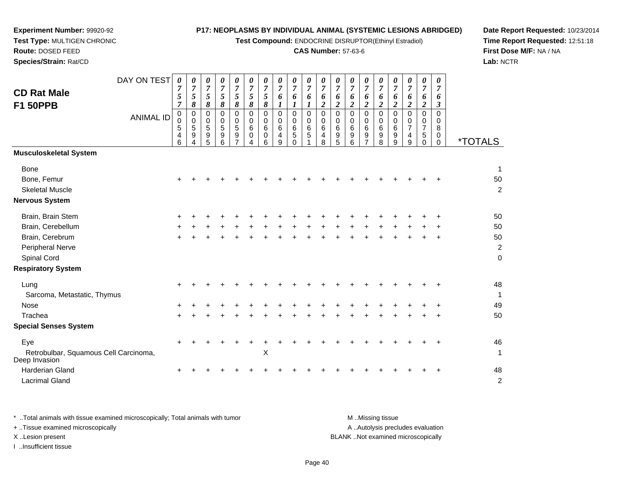**Test Compound:** ENDOCRINE DISRUPTOR(Ethinyl Estradiol)

## **CAS Number:** 57-63-6

**Date Report Requested:** 10/23/2014**Time Report Requested:** 12:51:18**First Dose M/F:** NA / NA**Lab:** NCTR

|                                                        | DAY ON TEST      | 0<br>7           | 0<br>$\overline{7}$ | 0<br>$\overline{7}$ | 0<br>$\overline{7}$ | 0<br>$\boldsymbol{7}$ | 0<br>$\overline{7}$ | $\pmb{\theta}$<br>$\boldsymbol{7}$ | 0<br>$\overline{7}$ | 0<br>$\overline{7}$     | 0<br>$\overline{7}$        | 0<br>$\overline{7}$ | 0<br>$\overline{7}$ | 0<br>$\overline{7}$ | 0<br>7           | 0<br>$\overline{7}$ | 0<br>$\overline{7}$   | 0<br>$\overline{7}$ | $\pmb{\theta}$<br>$\overline{7}$ | 0<br>$\overline{7}$     |                       |
|--------------------------------------------------------|------------------|------------------|---------------------|---------------------|---------------------|-----------------------|---------------------|------------------------------------|---------------------|-------------------------|----------------------------|---------------------|---------------------|---------------------|------------------|---------------------|-----------------------|---------------------|----------------------------------|-------------------------|-----------------------|
| <b>CD Rat Male</b>                                     |                  | 5                | $\sqrt{5}$          | $\overline{5}$      | 5                   | $\mathfrak{H}$        | $\mathfrak{s}$      | $\sqrt{5}$                         | 6                   | 6                       | 6                          | 6                   | 6                   | 6                   | 6                | 6                   | 6                     | 6                   | 6                                | 6                       |                       |
| <b>F1 50PPB</b>                                        |                  | $\overline{7}$   | 8                   | 8                   | 8                   | $\boldsymbol{\delta}$ | 8                   | 8                                  | $\boldsymbol{l}$    | 1                       | $\bm{l}$                   | $\boldsymbol{2}$    | $\boldsymbol{2}$    | 2                   | $\overline{a}$   | $\overline{2}$      | $\overline{2}$        | $\overline{2}$      | $\boldsymbol{2}$                 | $\boldsymbol{\beta}$    |                       |
|                                                        | <b>ANIMAL ID</b> | 0<br>$\mathbf 0$ | $\pmb{0}$<br>0      | $\mathbf 0$<br>0    | 0<br>0              | $\mathbf 0$<br>0      | $\mathbf 0$<br>0    | $\mathbf 0$<br>0                   | $\mathbf 0$<br>0    | $\mathbf 0$<br>0        | $\mathbf 0$<br>$\mathbf 0$ | $\mathbf 0$<br>0    | $\mathbf 0$<br>0    | $\mathbf 0$<br>0    | $\mathbf 0$<br>0 | 0<br>0              | $\mathbf 0$<br>0      | $\Omega$<br>0       | $\mathbf 0$<br>0                 | $\Omega$<br>$\mathbf 0$ |                       |
|                                                        |                  | 5                | $\overline{5}$      | 5                   | 5                   | $\sqrt{5}$            | 6                   | 6                                  | 6                   | $\,6\,$                 | 6                          | $\,6\,$             | 6                   | 6                   | 6                | 6                   | $\,6\,$               | $\overline{7}$      | $\overline{7}$                   | 8                       |                       |
|                                                        |                  | 4<br>6           | 9<br>4              | 9<br>5              | 9<br>6              | 9<br>$\overline{7}$   | 0<br>4              | 0<br>6                             | $\overline{4}$<br>9 | $\,$ 5 $\,$<br>$\Omega$ | 5                          | $\overline{4}$<br>8 | 9<br>5              | 9<br>6              | 9<br>7           | 9<br>8              | $\boldsymbol{9}$<br>9 | 4<br>9              | 5<br>$\Omega$                    | $\mathbf 0$<br>$\Omega$ | <i><b>*TOTALS</b></i> |
| <b>Musculoskeletal System</b>                          |                  |                  |                     |                     |                     |                       |                     |                                    |                     |                         |                            |                     |                     |                     |                  |                     |                       |                     |                                  |                         |                       |
| <b>Bone</b>                                            |                  |                  |                     |                     |                     |                       |                     |                                    |                     |                         |                            |                     |                     |                     |                  |                     |                       |                     |                                  |                         | $\mathbf{1}$          |
| Bone, Femur                                            |                  |                  |                     |                     |                     |                       |                     |                                    |                     |                         |                            |                     |                     |                     |                  |                     |                       |                     |                                  |                         | 50                    |
| <b>Skeletal Muscle</b>                                 |                  |                  |                     |                     |                     |                       |                     |                                    |                     |                         |                            |                     |                     |                     |                  |                     |                       |                     |                                  |                         | $\overline{c}$        |
| <b>Nervous System</b>                                  |                  |                  |                     |                     |                     |                       |                     |                                    |                     |                         |                            |                     |                     |                     |                  |                     |                       |                     |                                  |                         |                       |
| Brain, Brain Stem                                      |                  |                  |                     |                     |                     |                       |                     |                                    |                     |                         |                            |                     |                     |                     |                  |                     |                       |                     |                                  |                         | 50                    |
| Brain, Cerebellum                                      |                  |                  |                     |                     |                     |                       |                     |                                    |                     |                         |                            |                     |                     |                     |                  |                     |                       |                     |                                  |                         | 50                    |
| Brain, Cerebrum                                        |                  |                  |                     |                     |                     |                       |                     |                                    |                     |                         |                            |                     |                     |                     |                  |                     |                       |                     |                                  |                         | 50                    |
| Peripheral Nerve                                       |                  |                  |                     |                     |                     |                       |                     |                                    |                     |                         |                            |                     |                     |                     |                  |                     |                       |                     |                                  |                         | $\boldsymbol{2}$      |
| Spinal Cord                                            |                  |                  |                     |                     |                     |                       |                     |                                    |                     |                         |                            |                     |                     |                     |                  |                     |                       |                     |                                  |                         | $\mathbf 0$           |
| <b>Respiratory System</b>                              |                  |                  |                     |                     |                     |                       |                     |                                    |                     |                         |                            |                     |                     |                     |                  |                     |                       |                     |                                  |                         |                       |
| Lung                                                   |                  |                  |                     |                     |                     |                       |                     |                                    |                     |                         |                            |                     |                     |                     |                  |                     |                       |                     |                                  |                         | 48                    |
| Sarcoma, Metastatic, Thymus                            |                  |                  |                     |                     |                     |                       |                     |                                    |                     |                         |                            |                     |                     |                     |                  |                     |                       |                     |                                  |                         | 1                     |
| <b>Nose</b>                                            |                  |                  |                     |                     |                     |                       |                     |                                    |                     |                         |                            |                     |                     |                     |                  |                     |                       |                     |                                  |                         | 49                    |
| Trachea                                                |                  |                  |                     |                     |                     |                       |                     |                                    |                     |                         |                            |                     |                     |                     |                  |                     |                       |                     |                                  |                         | 50                    |
| <b>Special Senses System</b>                           |                  |                  |                     |                     |                     |                       |                     |                                    |                     |                         |                            |                     |                     |                     |                  |                     |                       |                     |                                  |                         |                       |
| Eye                                                    |                  | $\ddot{}$        |                     |                     |                     |                       |                     |                                    |                     |                         |                            |                     |                     |                     |                  |                     |                       |                     |                                  | +                       | 46                    |
| Retrobulbar, Squamous Cell Carcinoma,<br>Deep Invasion |                  |                  |                     |                     |                     |                       |                     | X                                  |                     |                         |                            |                     |                     |                     |                  |                     |                       |                     |                                  |                         | $\mathbf{1}$          |
| <b>Harderian Gland</b>                                 |                  |                  |                     |                     |                     |                       |                     |                                    |                     |                         |                            |                     |                     |                     |                  |                     |                       |                     |                                  |                         | 48                    |
| <b>Lacrimal Gland</b>                                  |                  |                  |                     |                     |                     |                       |                     |                                    |                     |                         |                            |                     |                     |                     |                  |                     |                       |                     |                                  |                         | $\overline{c}$        |

**Experiment Number:** 99920-92**Test Type:** MULTIGEN CHRONIC

**Route:** DOSED FEED**Species/Strain:** Rat/CD

\* ..Total animals with tissue examined microscopically; Total animals with tumor **M** ...Missing tissue M ...Missing tissue A ..Autolysis precludes evaluation + ..Tissue examined microscopically X ..Lesion present BLANK ..Not examined microscopicallyI ..Insufficient tissue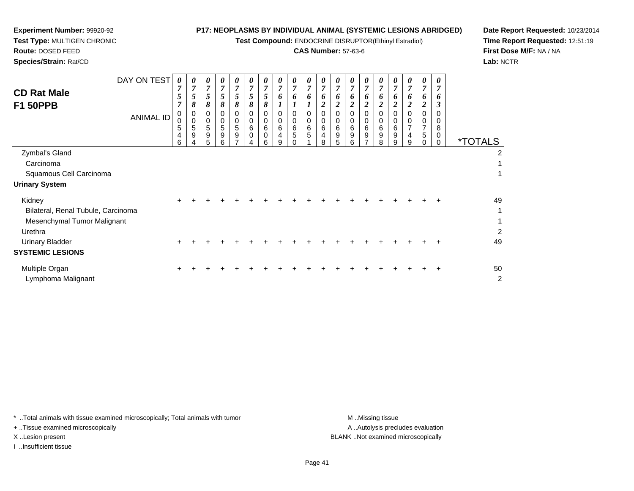**Test Compound:** ENDOCRINE DISRUPTOR(Ethinyl Estradiol)

# **CAS Number:** 57-63-6

**Date Report Requested:** 10/23/2014**Time Report Requested:** 12:51:19**First Dose M/F:** NA / NA**Lab:** NCTR

 $\overline{2}$ 

| <b>CD Rat Male</b><br><b>F1 50PPB</b>                                                                                                       | DAY ON TEST<br><b>ANIMAL ID</b> | 0<br>7<br>5<br>7<br>0<br>$\mathbf 0$<br>5<br>$\overline{4}$<br>6 | 0<br>7<br>5<br>8<br>0<br>0<br>5<br>9 | 0<br>$\overline{7}$<br>5<br>8<br>0<br>0<br>5<br>9<br>5 | 0<br>7<br>5 <sup>5</sup><br>8<br>$\Omega$<br>0<br>5<br>9<br>6 | $\boldsymbol{\theta}$<br>$\overline{7}$<br>5<br>8<br>0<br>$\mathbf 0$<br>5<br>$\boldsymbol{9}$<br>$\overline{ }$ | 0<br>$\overline{7}$<br>5<br>8<br>0<br>0<br>6<br>$\mathbf 0$<br>4 | 0<br>$\overline{7}$<br>5<br>8<br>0<br>6<br>$\Omega$<br>6 | 0<br>$\overline{7}$<br>6<br>0<br>$\mathbf 0$<br>6<br>4<br>9 | 0<br>$\overline{7}$<br>6<br>0<br>6<br>5 | 0<br>7<br>6<br>0<br>0<br>6<br>5 | 0<br>$\overline{7}$<br>6<br>$\overline{2}$<br>0<br>0<br>6<br>$\overline{\mathbf{4}}$<br>8 | 0<br>7<br>6<br>2<br>0<br>6<br>9<br>5 | 0<br>$\overline{7}$<br>6<br>2<br>0<br>6<br>9<br>6 | 0<br>7<br>6<br>2<br>0<br>6<br>9<br>$\overline{ }$ | 0<br>7<br>6<br>0<br>6<br>$\boldsymbol{9}$<br>8 | 0<br>$\overline{7}$<br>0<br>0<br>6<br>9<br>9 | 0<br>$\overline{7}$<br>6<br>2<br>0<br>0<br>7<br>4<br>9 | 0<br>7<br>6<br>2<br>0<br>5 | 0<br>7<br>6<br>$\boldsymbol{\beta}$<br>$\Omega$<br>$\Omega$<br>8<br>0<br>0 | <i><b>*TOTALS</b></i> |
|---------------------------------------------------------------------------------------------------------------------------------------------|---------------------------------|------------------------------------------------------------------|--------------------------------------|--------------------------------------------------------|---------------------------------------------------------------|------------------------------------------------------------------------------------------------------------------|------------------------------------------------------------------|----------------------------------------------------------|-------------------------------------------------------------|-----------------------------------------|---------------------------------|-------------------------------------------------------------------------------------------|--------------------------------------|---------------------------------------------------|---------------------------------------------------|------------------------------------------------|----------------------------------------------|--------------------------------------------------------|----------------------------|----------------------------------------------------------------------------|-----------------------|
| Zymbal's Gland<br>Carcinoma<br>Squamous Cell Carcinoma<br><b>Urinary System</b>                                                             |                                 |                                                                  |                                      |                                                        |                                                               |                                                                                                                  |                                                                  |                                                          |                                                             |                                         |                                 |                                                                                           |                                      |                                                   |                                                   |                                                |                                              |                                                        |                            |                                                                            | 2                     |
| Kidney<br>Bilateral, Renal Tubule, Carcinoma<br>Mesenchymal Tumor Malignant<br>Urethra<br><b>Urinary Bladder</b><br><b>SYSTEMIC LESIONS</b> |                                 | ÷                                                                |                                      |                                                        |                                                               |                                                                                                                  |                                                                  |                                                          |                                                             |                                         |                                 |                                                                                           |                                      |                                                   |                                                   |                                                |                                              |                                                        |                            |                                                                            | 49<br>2<br>49         |
| Multiple Organ                                                                                                                              |                                 |                                                                  |                                      |                                                        |                                                               |                                                                                                                  |                                                                  |                                                          |                                                             |                                         |                                 |                                                                                           |                                      |                                                   |                                                   |                                                |                                              |                                                        |                            |                                                                            | 50                    |

\* ..Total animals with tissue examined microscopically; Total animals with tumor **M** ...Missing tissue M ...Missing tissue

+ ..Tissue examined microscopically

Lymphoma Malignant

**Experiment Number:** 99920-92**Test Type:** MULTIGEN CHRONIC

**Route:** DOSED FEED**Species/Strain:** Rat/CD

I ..Insufficient tissue

A ..Autolysis precludes evaluation X ..Lesion present BLANK ..Not examined microscopically

t de la construction de la construction de la construction de la construction de la construction de la construction<br>De la construction de la construction de la construction de la construction de la construction de la const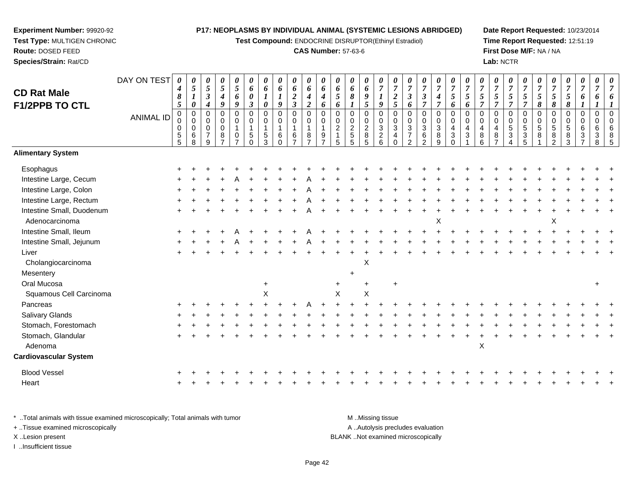**Test Compound:** ENDOCRINE DISRUPTOR(Ethinyl Estradiol)

## **CAS Number:** 57-63-6

**Date Report Requested:** 10/23/2014**Time Report Requested:** 12:51:19**First Dose M/F:** NA / NA**Lab:** NCTR

| <b>CD Rat Male</b>           | DAY ON TEST      | 0<br>4<br>$\pmb{8}$                       | 0<br>$\mathfrak{s}$                                                    | 0<br>$\mathfrak{s}$<br>$\boldsymbol{\beta}$                                | $\boldsymbol{\theta}$<br>5<br>$\boldsymbol{4}$                    | $\boldsymbol{\theta}$<br>$\overline{5}$<br>6 | 0<br>6<br>0                                                      | 0<br>6                                                         | $\pmb{\theta}$<br>6<br>$\boldsymbol{l}$                     | 0<br>6<br>$\boldsymbol{2}$                                                            | $\pmb{\theta}$<br>6<br>$\boldsymbol{4}$                             | $\boldsymbol{\theta}$<br>6<br>$\boldsymbol{4}$       | 0<br>6<br>5                                  | 0<br>6<br>$\pmb{8}$                                                       | $\pmb{\theta}$<br>6<br>9                                        | 0<br>$\overline{7}$                                  | $\boldsymbol{\theta}$<br>$\overline{7}$<br>$\boldsymbol{2}$ | $\boldsymbol{\theta}$<br>$\overline{7}$<br>$\mathbf{3}$                                         | 0<br>$\overline{7}$<br>$\mathfrak{z}$                                            | 0<br>$\overline{7}$<br>$\boldsymbol{4}$                             | 0<br>$\boldsymbol{7}$<br>5                                                                | 0<br>$\overline{7}$<br>5                                        | $\boldsymbol{\theta}$<br>$\overline{7}$<br>$\mathfrak{s}$  | $\boldsymbol{\theta}$<br>$\overline{7}$<br>$\overline{5}$                     | 0<br>$\overline{7}$<br>$5\overline{)}$                                                  | 0<br>$\overline{7}$<br>$\mathfrak{s}$                                                 | $\pmb{\theta}$<br>$\overline{7}$<br>5               | 0<br>$\boldsymbol{7}$<br>$\sqrt{5}$        | $\boldsymbol{\theta}$<br>$\overline{7}$<br>$\mathfrak{s}$                   | $\boldsymbol{\theta}$<br>$\overline{7}$<br>6 | 0<br>7<br>6                            | $\pmb{\theta}$<br>$\overline{7}$<br>6     |
|------------------------------|------------------|-------------------------------------------|------------------------------------------------------------------------|----------------------------------------------------------------------------|-------------------------------------------------------------------|----------------------------------------------|------------------------------------------------------------------|----------------------------------------------------------------|-------------------------------------------------------------|---------------------------------------------------------------------------------------|---------------------------------------------------------------------|------------------------------------------------------|----------------------------------------------|---------------------------------------------------------------------------|-----------------------------------------------------------------|------------------------------------------------------|-------------------------------------------------------------|-------------------------------------------------------------------------------------------------|----------------------------------------------------------------------------------|---------------------------------------------------------------------|-------------------------------------------------------------------------------------------|-----------------------------------------------------------------|------------------------------------------------------------|-------------------------------------------------------------------------------|-----------------------------------------------------------------------------------------|---------------------------------------------------------------------------------------|-----------------------------------------------------|--------------------------------------------|-----------------------------------------------------------------------------|----------------------------------------------|----------------------------------------|-------------------------------------------|
| F1/2PPB TO CTL               | <b>ANIMAL ID</b> | 5<br>$\pmb{0}$<br>0<br>0<br>$\frac{5}{5}$ | $\boldsymbol{\theta}$<br>0<br>$\mathbf 0$<br>$\pmb{0}$<br>$\,6\,$<br>8 | $\boldsymbol{4}$<br>0<br>$\mathbf 0$<br>$\mathbf 0$<br>$\overline{7}$<br>9 | 9<br>$\pmb{0}$<br>$\mathsf 0$<br>$\pmb{0}$<br>8<br>$\overline{7}$ | 9<br>$\mathbf 0$<br>0<br>$\mathbf{1}$<br>0   | $\boldsymbol{\beta}$<br>$\overline{0}$<br>0<br>$\mathbf{1}$<br>5 | 0<br>$\overline{0}$<br>0<br>$\mathbf{1}$<br>5<br>$\mathcal{R}$ | 9<br>$\mathbf 0$<br>0<br>$\mathbf 1$<br>$\,6\,$<br>$\Omega$ | $\mathfrak{z}$<br>$\pmb{0}$<br>$\pmb{0}$<br>$\overline{1}$<br>$\,6$<br>$\overline{z}$ | $\boldsymbol{2}$<br>0<br>0<br>$\overline{1}$<br>8<br>$\overline{ }$ | 6<br>$\overline{0}$<br>$\Omega$<br>$\mathbf{1}$<br>9 | 6<br>$\mathbf 0$<br>0<br>$\overline{c}$<br>5 | $\mathbf{I}$<br>0<br>$\mathbf 0$<br>$\overline{c}$<br>$\overline{5}$<br>5 | 5<br>$\mathbf 0$<br>$\pmb{0}$<br>$\overline{c}$<br>$\bf 8$<br>5 | 9<br>$\pmb{0}$<br>0<br>$\mathbf{3}$<br>$\frac{2}{6}$ | 5<br>$\overline{0}$<br>$\mathbf 0$<br>$\mathbf{3}$<br>4     | 6<br>$\mathbf 0$<br>$\mathbf 0$<br>$\ensuremath{\mathsf{3}}$<br>$\overline{7}$<br>$\mathcal{P}$ | $\overline{7}$<br>$\pmb{0}$<br>$\mathbf 0$<br>$\mathbf{3}$<br>6<br>$\mathcal{P}$ | $\overline{7}$<br>$\mathsf{O}\xspace$<br>$\mathbf 0$<br>3<br>8<br>9 | 6<br>$\mathbf 0$<br>0<br>$\overline{\mathbf{4}}$<br>$\ensuremath{\mathsf{3}}$<br>$\Omega$ | 6<br>$\mathbf 0$<br>$\mathbf 0$<br>$\overline{4}$<br>$\sqrt{3}$ | $\overline{7}$<br>0<br>0<br>$\overline{4}$<br>$\bf 8$<br>6 | $\overline{7}$<br>$\pmb{0}$<br>$\mathbf 0$<br>$\overline{4}$<br>$\frac{8}{7}$ | $\overline{7}$<br>$\mathbf 0$<br>$\mathbf 0$<br>$\sqrt{5}$<br>$\ensuremath{\mathsf{3}}$ | $\overline{7}$<br>$\overline{0}$<br>0<br>$5\phantom{.0}$<br>$\ensuremath{\mathsf{3}}$ | 8<br>$\overline{0}$<br>$\pmb{0}$<br>$\sqrt{5}$<br>8 | 8<br>$\mathbf 0$<br>0<br>5<br>$\bf 8$<br>2 | $\pmb{8}$<br>$\overline{0}$<br>$\mathbf 0$<br>$\overline{5}$<br>$\, 8$<br>3 | $\mathbf 0$<br>$\Omega$<br>6<br>3            | $\mathbf 0$<br>$\Omega$<br>6<br>3<br>8 | $\overline{0}$<br>$\Omega$<br>6<br>8<br>5 |
| <b>Alimentary System</b>     |                  |                                           |                                                                        |                                                                            |                                                                   |                                              |                                                                  |                                                                |                                                             |                                                                                       |                                                                     |                                                      |                                              |                                                                           |                                                                 |                                                      |                                                             |                                                                                                 |                                                                                  |                                                                     |                                                                                           |                                                                 |                                                            |                                                                               |                                                                                         |                                                                                       |                                                     |                                            |                                                                             |                                              |                                        |                                           |
| Esophagus                    |                  |                                           |                                                                        |                                                                            |                                                                   |                                              |                                                                  |                                                                |                                                             |                                                                                       |                                                                     |                                                      |                                              |                                                                           |                                                                 |                                                      |                                                             |                                                                                                 |                                                                                  |                                                                     |                                                                                           |                                                                 |                                                            |                                                                               |                                                                                         |                                                                                       |                                                     |                                            |                                                                             |                                              |                                        |                                           |
| Intestine Large, Cecum       |                  |                                           |                                                                        |                                                                            |                                                                   |                                              |                                                                  |                                                                |                                                             |                                                                                       |                                                                     |                                                      |                                              |                                                                           |                                                                 |                                                      |                                                             |                                                                                                 |                                                                                  |                                                                     |                                                                                           |                                                                 |                                                            |                                                                               |                                                                                         |                                                                                       |                                                     |                                            |                                                                             |                                              |                                        |                                           |
| Intestine Large, Colon       |                  |                                           |                                                                        |                                                                            |                                                                   |                                              |                                                                  |                                                                |                                                             |                                                                                       |                                                                     |                                                      |                                              |                                                                           |                                                                 |                                                      |                                                             |                                                                                                 |                                                                                  |                                                                     |                                                                                           |                                                                 |                                                            |                                                                               |                                                                                         |                                                                                       |                                                     |                                            |                                                                             |                                              |                                        |                                           |
| Intestine Large, Rectum      |                  |                                           |                                                                        |                                                                            |                                                                   |                                              |                                                                  |                                                                |                                                             |                                                                                       |                                                                     |                                                      |                                              |                                                                           |                                                                 |                                                      |                                                             |                                                                                                 |                                                                                  |                                                                     |                                                                                           |                                                                 |                                                            |                                                                               |                                                                                         |                                                                                       |                                                     |                                            |                                                                             |                                              |                                        |                                           |
| Intestine Small, Duodenum    |                  |                                           |                                                                        |                                                                            |                                                                   |                                              |                                                                  |                                                                |                                                             |                                                                                       |                                                                     |                                                      |                                              |                                                                           |                                                                 |                                                      |                                                             |                                                                                                 |                                                                                  |                                                                     |                                                                                           |                                                                 |                                                            |                                                                               |                                                                                         |                                                                                       |                                                     |                                            |                                                                             |                                              |                                        |                                           |
| Adenocarcinoma               |                  |                                           |                                                                        |                                                                            |                                                                   |                                              |                                                                  |                                                                |                                                             |                                                                                       |                                                                     |                                                      |                                              |                                                                           |                                                                 |                                                      |                                                             |                                                                                                 |                                                                                  | X                                                                   |                                                                                           |                                                                 |                                                            |                                                                               |                                                                                         |                                                                                       |                                                     | X                                          |                                                                             |                                              |                                        |                                           |
| Intestine Small, Ileum       |                  |                                           |                                                                        |                                                                            |                                                                   |                                              |                                                                  |                                                                |                                                             |                                                                                       |                                                                     |                                                      |                                              |                                                                           |                                                                 |                                                      |                                                             |                                                                                                 |                                                                                  |                                                                     |                                                                                           |                                                                 |                                                            |                                                                               |                                                                                         |                                                                                       |                                                     |                                            |                                                                             |                                              |                                        |                                           |
| Intestine Small, Jejunum     |                  |                                           |                                                                        |                                                                            |                                                                   |                                              |                                                                  |                                                                |                                                             |                                                                                       |                                                                     |                                                      |                                              |                                                                           |                                                                 |                                                      |                                                             |                                                                                                 |                                                                                  |                                                                     |                                                                                           |                                                                 |                                                            |                                                                               |                                                                                         |                                                                                       |                                                     |                                            |                                                                             |                                              |                                        |                                           |
| Liver                        |                  |                                           |                                                                        |                                                                            |                                                                   |                                              |                                                                  |                                                                |                                                             |                                                                                       |                                                                     |                                                      |                                              |                                                                           |                                                                 |                                                      |                                                             |                                                                                                 |                                                                                  |                                                                     |                                                                                           |                                                                 |                                                            |                                                                               |                                                                                         |                                                                                       |                                                     |                                            |                                                                             |                                              |                                        |                                           |
| Cholangiocarcinoma           |                  |                                           |                                                                        |                                                                            |                                                                   |                                              |                                                                  |                                                                |                                                             |                                                                                       |                                                                     |                                                      |                                              |                                                                           | $\pmb{\times}$                                                  |                                                      |                                                             |                                                                                                 |                                                                                  |                                                                     |                                                                                           |                                                                 |                                                            |                                                                               |                                                                                         |                                                                                       |                                                     |                                            |                                                                             |                                              |                                        |                                           |
| Mesentery                    |                  |                                           |                                                                        |                                                                            |                                                                   |                                              |                                                                  |                                                                |                                                             |                                                                                       |                                                                     |                                                      |                                              |                                                                           |                                                                 |                                                      |                                                             |                                                                                                 |                                                                                  |                                                                     |                                                                                           |                                                                 |                                                            |                                                                               |                                                                                         |                                                                                       |                                                     |                                            |                                                                             |                                              |                                        |                                           |
| Oral Mucosa                  |                  |                                           |                                                                        |                                                                            |                                                                   |                                              |                                                                  | $\ddot{}$                                                      |                                                             |                                                                                       |                                                                     |                                                      | +                                            |                                                                           |                                                                 |                                                      | $\ddot{}$                                                   |                                                                                                 |                                                                                  |                                                                     |                                                                                           |                                                                 |                                                            |                                                                               |                                                                                         |                                                                                       |                                                     |                                            |                                                                             |                                              | $\ddot{}$                              |                                           |
| Squamous Cell Carcinoma      |                  |                                           |                                                                        |                                                                            |                                                                   |                                              |                                                                  | X                                                              |                                                             |                                                                                       |                                                                     |                                                      | X                                            |                                                                           | $\pmb{\times}$                                                  |                                                      |                                                             |                                                                                                 |                                                                                  |                                                                     |                                                                                           |                                                                 |                                                            |                                                                               |                                                                                         |                                                                                       |                                                     |                                            |                                                                             |                                              |                                        |                                           |
| Pancreas                     |                  |                                           |                                                                        |                                                                            |                                                                   |                                              |                                                                  |                                                                |                                                             |                                                                                       |                                                                     |                                                      |                                              |                                                                           |                                                                 |                                                      |                                                             |                                                                                                 |                                                                                  |                                                                     |                                                                                           |                                                                 |                                                            |                                                                               |                                                                                         |                                                                                       |                                                     |                                            |                                                                             |                                              |                                        |                                           |
| Salivary Glands              |                  |                                           |                                                                        |                                                                            |                                                                   |                                              |                                                                  |                                                                |                                                             |                                                                                       |                                                                     |                                                      |                                              |                                                                           |                                                                 |                                                      |                                                             |                                                                                                 |                                                                                  |                                                                     |                                                                                           |                                                                 |                                                            |                                                                               |                                                                                         |                                                                                       |                                                     |                                            |                                                                             |                                              |                                        |                                           |
| Stomach, Forestomach         |                  |                                           |                                                                        |                                                                            |                                                                   |                                              |                                                                  |                                                                |                                                             |                                                                                       |                                                                     |                                                      |                                              |                                                                           |                                                                 |                                                      |                                                             |                                                                                                 |                                                                                  |                                                                     |                                                                                           |                                                                 |                                                            |                                                                               |                                                                                         |                                                                                       |                                                     |                                            |                                                                             |                                              |                                        |                                           |
| Stomach, Glandular           |                  |                                           |                                                                        |                                                                            |                                                                   |                                              |                                                                  |                                                                |                                                             |                                                                                       |                                                                     |                                                      |                                              |                                                                           |                                                                 |                                                      |                                                             |                                                                                                 |                                                                                  |                                                                     |                                                                                           |                                                                 |                                                            |                                                                               |                                                                                         |                                                                                       |                                                     |                                            |                                                                             |                                              |                                        |                                           |
| Adenoma                      |                  |                                           |                                                                        |                                                                            |                                                                   |                                              |                                                                  |                                                                |                                                             |                                                                                       |                                                                     |                                                      |                                              |                                                                           |                                                                 |                                                      |                                                             |                                                                                                 |                                                                                  |                                                                     |                                                                                           |                                                                 | X                                                          |                                                                               |                                                                                         |                                                                                       |                                                     |                                            |                                                                             |                                              |                                        |                                           |
| <b>Cardiovascular System</b> |                  |                                           |                                                                        |                                                                            |                                                                   |                                              |                                                                  |                                                                |                                                             |                                                                                       |                                                                     |                                                      |                                              |                                                                           |                                                                 |                                                      |                                                             |                                                                                                 |                                                                                  |                                                                     |                                                                                           |                                                                 |                                                            |                                                                               |                                                                                         |                                                                                       |                                                     |                                            |                                                                             |                                              |                                        |                                           |
| <b>Blood Vessel</b>          |                  |                                           |                                                                        |                                                                            |                                                                   |                                              |                                                                  |                                                                |                                                             |                                                                                       |                                                                     |                                                      |                                              |                                                                           |                                                                 |                                                      |                                                             |                                                                                                 |                                                                                  |                                                                     |                                                                                           |                                                                 |                                                            |                                                                               |                                                                                         |                                                                                       |                                                     |                                            |                                                                             |                                              |                                        |                                           |
| Heart                        |                  |                                           |                                                                        |                                                                            |                                                                   |                                              |                                                                  |                                                                |                                                             |                                                                                       |                                                                     |                                                      |                                              |                                                                           |                                                                 |                                                      |                                                             |                                                                                                 |                                                                                  |                                                                     |                                                                                           |                                                                 |                                                            |                                                                               |                                                                                         |                                                                                       |                                                     |                                            |                                                                             |                                              |                                        |                                           |
|                              |                  |                                           |                                                                        |                                                                            |                                                                   |                                              |                                                                  |                                                                |                                                             |                                                                                       |                                                                     |                                                      |                                              |                                                                           |                                                                 |                                                      |                                                             |                                                                                                 |                                                                                  |                                                                     |                                                                                           |                                                                 |                                                            |                                                                               |                                                                                         |                                                                                       |                                                     |                                            |                                                                             |                                              |                                        |                                           |

\* ..Total animals with tissue examined microscopically; Total animals with tumor **M** . Missing tissue M ..Missing tissue A ..Autolysis precludes evaluation + ..Tissue examined microscopically X ..Lesion present BLANK ..Not examined microscopicallyI ..Insufficient tissue

**Experiment Number:** 99920-92**Test Type:** MULTIGEN CHRONIC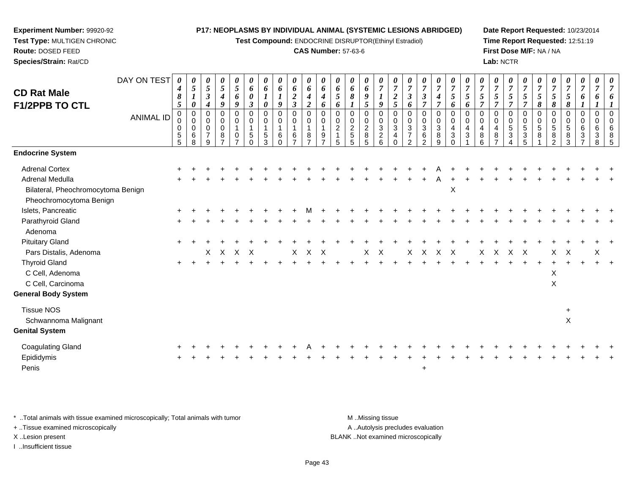**Test Compound:** ENDOCRINE DISRUPTOR(Ethinyl Estradiol)

### **CAS Number:** 57-63-6

**Date Report Requested:** 10/23/2014**Time Report Requested:** 12:51:19**First Dose M/F:** NA / NA**Lab:** NCTR

| <b>CD Rat Male</b><br><b>F1/2PPB TO CTL</b>                                             | DAY ON TEST<br><b>ANIMAL ID</b> | 0<br>$\boldsymbol{4}$<br>8<br>$5\phantom{.0}$<br>0<br>0<br>$\pmb{0}$<br>5<br>5 | 0<br>$\sqrt{5}$<br>$\boldsymbol{\mathit{1}}$<br>$\boldsymbol{\theta}$<br>$\mathbf 0$<br>$\pmb{0}$<br>$\pmb{0}$<br>6<br>8 | 0<br>$\sqrt{5}$<br>$\mathfrak{z}$<br>$\boldsymbol{4}$<br>$\Omega$<br>$\mathbf 0$<br>$\mathbf 0$<br>$\overline{7}$<br>9 | 0<br>$\sqrt{5}$<br>$\boldsymbol{4}$<br>9<br>$\mathbf 0$<br>$\mathbf 0$<br>$\mathbf 0$<br>8<br>$\overline{\phantom{a}}$ | 0<br>$\overline{5}$<br>6<br>9<br>$\Omega$<br>$\mathbf 0$<br>$\mathbf{1}$<br>0<br>$\overline{ }$ | $\boldsymbol{\theta}$<br>6<br>$\boldsymbol{\theta}$<br>$\mathfrak{z}$<br>$\Omega$<br>0<br>$\overline{1}$<br>5<br>$\Omega$ | 0<br>6<br>$\boldsymbol{l}$<br>$\boldsymbol{\theta}$<br>$\Omega$<br>0<br>1<br>5<br>3 | 0<br>6<br>$\boldsymbol{l}$<br>9<br>$\mathbf 0$<br>0<br>6<br>$\Omega$ | 0<br>6<br>$\boldsymbol{2}$<br>$\mathbf{3}$<br>$\mathbf 0$<br>$\mathbf 0$<br>$\mathbf{1}$<br>6<br>$\overline{z}$ | 0<br>6<br>$\boldsymbol{4}$<br>$\overline{2}$<br>$\Omega$<br>$\mathbf 0$<br>$\mathbf{1}$<br>8<br>$\overline{ }$ | 0<br>6<br>$\boldsymbol{4}$<br>6<br>$\Omega$<br>$\mathbf 0$<br>$\overline{1}$<br>9<br>$\overline{ }$ | $\theta$<br>6<br>$\mathfrak{s}$<br>6<br>$\Omega$<br>0<br>$\sqrt{2}$<br>$\mathbf{1}$<br>5 | 0<br>$\pmb{6}$<br>8<br>$\mathbf 0$<br>$\mathbf 0$<br>$\frac{2}{5}$<br>5 | 0<br>6<br>9<br>5<br>$\Omega$<br>$\mathbf 0$<br>$\overline{c}$<br>8<br>5 | 0<br>$\overline{7}$<br>$\boldsymbol{l}$<br>9<br>$\mathbf 0$<br>$\mathbf 0$<br>3<br>$\overline{a}$<br>6 | $\boldsymbol{7}$<br>$\boldsymbol{2}$<br>$\mathfrak{s}$<br>$\mathbf 0$<br>0<br>$\sqrt{3}$<br>4<br>$\Omega$ | $\boldsymbol{\theta}$<br>$\overline{7}$<br>$\mathfrak{z}$<br>6<br>$\mathbf 0$<br>$\mathbf 0$<br>$\sqrt{3}$<br>$\overline{7}$<br>$\mathfrak{p}$ | 0<br>$\overline{7}$<br>$\boldsymbol{\beta}$<br>$\overline{7}$<br>$\pmb{0}$<br>$\mathbf 0$<br>$\sqrt{3}$<br>$\,6\,$<br>$\mathfrak{p}$ | 0<br>$\overline{7}$<br>$\boldsymbol{4}$<br>$\overline{7}$<br>$\mathbf 0$<br>$\pmb{0}$<br>$\mathbf{3}$<br>8<br>9 | $\boldsymbol{\theta}$<br>$\overline{7}$<br>$\mathfrak{s}$<br>6<br>$\Omega$<br>$\mathbf 0$<br>$\overline{4}$<br>3<br>$\Omega$ | $\boldsymbol{7}$<br>5<br>6<br>$\Omega$<br>$\mathbf 0$<br>4<br>3 | 0<br>$\overline{7}$<br>5<br>$\overline{7}$<br>$\Omega$<br>$\mathbf 0$<br>4<br>8<br>6 | 0<br>$\boldsymbol{7}$<br>5<br>$\overline{7}$<br>$\mathbf 0$<br>$\mathbf 0$<br>$\overline{\mathbf{4}}$<br>$\bf8$<br>$\overline{7}$ | $\boldsymbol{\theta}$<br>$\overline{7}$<br>5<br>$\overline{7}$<br>$\Omega$<br>$\mathbf 0$<br>$\sqrt{5}$<br>3<br>4 | $\theta$<br>$\overline{7}$<br>$\mathfrak{s}$<br>$\overline{7}$<br>$\mathbf 0$<br>$\mathbf 0$<br>$\,$ 5 $\,$<br>$\ensuremath{\mathsf{3}}$<br>5 | $\boldsymbol{\theta}$<br>$\overline{7}$<br>$\overline{5}$<br>8<br>$\Omega$<br>$\mathbf 0$<br>5<br>8 | $\boldsymbol{\theta}$<br>$\overline{7}$<br>$\mathfrak{s}$<br>8<br>$\mathbf 0$<br>$\mathbf 0$<br>$\sqrt{5}$<br>8<br>2 | 0<br>$\boldsymbol{7}$<br>5<br>8<br>$\mathbf 0$<br>0<br>5<br>8<br>3 | 0<br>$\overline{7}$<br>6<br>$\mathbf 0$<br>0<br>6<br>3<br>$\overline{ }$ | 0<br>$\overline{7}$<br>6<br>$\boldsymbol{l}$<br>$\mathbf 0$<br>0<br>6<br>3<br>8 | 0<br>$\overline{7}$<br>6<br>$\Omega$<br>$\mathbf 0$<br>6<br>8<br>5 |
|-----------------------------------------------------------------------------------------|---------------------------------|--------------------------------------------------------------------------------|--------------------------------------------------------------------------------------------------------------------------|------------------------------------------------------------------------------------------------------------------------|------------------------------------------------------------------------------------------------------------------------|-------------------------------------------------------------------------------------------------|---------------------------------------------------------------------------------------------------------------------------|-------------------------------------------------------------------------------------|----------------------------------------------------------------------|-----------------------------------------------------------------------------------------------------------------|----------------------------------------------------------------------------------------------------------------|-----------------------------------------------------------------------------------------------------|------------------------------------------------------------------------------------------|-------------------------------------------------------------------------|-------------------------------------------------------------------------|--------------------------------------------------------------------------------------------------------|-----------------------------------------------------------------------------------------------------------|------------------------------------------------------------------------------------------------------------------------------------------------|--------------------------------------------------------------------------------------------------------------------------------------|-----------------------------------------------------------------------------------------------------------------|------------------------------------------------------------------------------------------------------------------------------|-----------------------------------------------------------------|--------------------------------------------------------------------------------------|-----------------------------------------------------------------------------------------------------------------------------------|-------------------------------------------------------------------------------------------------------------------|-----------------------------------------------------------------------------------------------------------------------------------------------|-----------------------------------------------------------------------------------------------------|----------------------------------------------------------------------------------------------------------------------|--------------------------------------------------------------------|--------------------------------------------------------------------------|---------------------------------------------------------------------------------|--------------------------------------------------------------------|
| <b>Endocrine System</b>                                                                 |                                 |                                                                                |                                                                                                                          |                                                                                                                        |                                                                                                                        |                                                                                                 |                                                                                                                           |                                                                                     |                                                                      |                                                                                                                 |                                                                                                                |                                                                                                     |                                                                                          |                                                                         |                                                                         |                                                                                                        |                                                                                                           |                                                                                                                                                |                                                                                                                                      |                                                                                                                 |                                                                                                                              |                                                                 |                                                                                      |                                                                                                                                   |                                                                                                                   |                                                                                                                                               |                                                                                                     |                                                                                                                      |                                                                    |                                                                          |                                                                                 |                                                                    |
| <b>Adrenal Cortex</b>                                                                   |                                 |                                                                                |                                                                                                                          |                                                                                                                        |                                                                                                                        |                                                                                                 |                                                                                                                           |                                                                                     |                                                                      |                                                                                                                 |                                                                                                                |                                                                                                     |                                                                                          |                                                                         |                                                                         |                                                                                                        |                                                                                                           |                                                                                                                                                |                                                                                                                                      |                                                                                                                 |                                                                                                                              |                                                                 |                                                                                      |                                                                                                                                   |                                                                                                                   |                                                                                                                                               |                                                                                                     |                                                                                                                      |                                                                    |                                                                          |                                                                                 |                                                                    |
| <b>Adrenal Medulla</b><br>Bilateral, Pheochromocytoma Benign<br>Pheochromocytoma Benign |                                 |                                                                                |                                                                                                                          |                                                                                                                        |                                                                                                                        |                                                                                                 |                                                                                                                           |                                                                                     |                                                                      |                                                                                                                 |                                                                                                                |                                                                                                     |                                                                                          |                                                                         |                                                                         |                                                                                                        |                                                                                                           |                                                                                                                                                |                                                                                                                                      |                                                                                                                 | $\times$                                                                                                                     |                                                                 |                                                                                      |                                                                                                                                   |                                                                                                                   |                                                                                                                                               |                                                                                                     |                                                                                                                      |                                                                    |                                                                          |                                                                                 |                                                                    |
| Islets, Pancreatic                                                                      |                                 |                                                                                |                                                                                                                          |                                                                                                                        |                                                                                                                        |                                                                                                 |                                                                                                                           |                                                                                     |                                                                      |                                                                                                                 |                                                                                                                |                                                                                                     |                                                                                          |                                                                         |                                                                         |                                                                                                        |                                                                                                           |                                                                                                                                                |                                                                                                                                      |                                                                                                                 |                                                                                                                              |                                                                 |                                                                                      |                                                                                                                                   |                                                                                                                   |                                                                                                                                               |                                                                                                     |                                                                                                                      |                                                                    |                                                                          |                                                                                 |                                                                    |
| Parathyroid Gland<br>Adenoma                                                            |                                 |                                                                                |                                                                                                                          |                                                                                                                        |                                                                                                                        |                                                                                                 |                                                                                                                           |                                                                                     |                                                                      |                                                                                                                 |                                                                                                                |                                                                                                     |                                                                                          |                                                                         |                                                                         |                                                                                                        |                                                                                                           |                                                                                                                                                |                                                                                                                                      |                                                                                                                 |                                                                                                                              |                                                                 |                                                                                      |                                                                                                                                   |                                                                                                                   |                                                                                                                                               |                                                                                                     |                                                                                                                      |                                                                    |                                                                          |                                                                                 |                                                                    |
| <b>Pituitary Gland</b>                                                                  |                                 |                                                                                |                                                                                                                          |                                                                                                                        |                                                                                                                        |                                                                                                 |                                                                                                                           |                                                                                     |                                                                      |                                                                                                                 |                                                                                                                |                                                                                                     |                                                                                          |                                                                         |                                                                         |                                                                                                        |                                                                                                           |                                                                                                                                                |                                                                                                                                      |                                                                                                                 |                                                                                                                              |                                                                 |                                                                                      |                                                                                                                                   |                                                                                                                   |                                                                                                                                               |                                                                                                     |                                                                                                                      |                                                                    |                                                                          |                                                                                 |                                                                    |
| Pars Distalis, Adenoma                                                                  |                                 |                                                                                |                                                                                                                          | X.                                                                                                                     | $\mathsf{X}$                                                                                                           | $\times$                                                                                        | $\mathsf{X}$                                                                                                              |                                                                                     |                                                                      | X                                                                                                               | $\times$                                                                                                       | $\times$                                                                                            |                                                                                          |                                                                         | $\times$                                                                | $\mathsf{X}$                                                                                           |                                                                                                           | X                                                                                                                                              | $\boldsymbol{\mathsf{X}}$                                                                                                            | $\sf X$                                                                                                         | $\boldsymbol{\mathsf{X}}$                                                                                                    |                                                                 | X                                                                                    | $\boldsymbol{\mathsf{X}}$                                                                                                         | $\times$                                                                                                          | Χ                                                                                                                                             |                                                                                                     | X                                                                                                                    | $\mathsf{X}$                                                       |                                                                          | X                                                                               |                                                                    |
| <b>Thyroid Gland</b><br>C Cell, Adenoma<br>C Cell, Carcinoma                            |                                 |                                                                                |                                                                                                                          |                                                                                                                        |                                                                                                                        |                                                                                                 |                                                                                                                           |                                                                                     |                                                                      |                                                                                                                 |                                                                                                                |                                                                                                     |                                                                                          |                                                                         |                                                                         |                                                                                                        |                                                                                                           |                                                                                                                                                |                                                                                                                                      |                                                                                                                 |                                                                                                                              |                                                                 |                                                                                      |                                                                                                                                   |                                                                                                                   |                                                                                                                                               |                                                                                                     | X<br>X                                                                                                               |                                                                    |                                                                          |                                                                                 |                                                                    |
| <b>General Body System</b>                                                              |                                 |                                                                                |                                                                                                                          |                                                                                                                        |                                                                                                                        |                                                                                                 |                                                                                                                           |                                                                                     |                                                                      |                                                                                                                 |                                                                                                                |                                                                                                     |                                                                                          |                                                                         |                                                                         |                                                                                                        |                                                                                                           |                                                                                                                                                |                                                                                                                                      |                                                                                                                 |                                                                                                                              |                                                                 |                                                                                      |                                                                                                                                   |                                                                                                                   |                                                                                                                                               |                                                                                                     |                                                                                                                      |                                                                    |                                                                          |                                                                                 |                                                                    |
| <b>Tissue NOS</b><br>Schwannoma Malignant                                               |                                 |                                                                                |                                                                                                                          |                                                                                                                        |                                                                                                                        |                                                                                                 |                                                                                                                           |                                                                                     |                                                                      |                                                                                                                 |                                                                                                                |                                                                                                     |                                                                                          |                                                                         |                                                                         |                                                                                                        |                                                                                                           |                                                                                                                                                |                                                                                                                                      |                                                                                                                 |                                                                                                                              |                                                                 |                                                                                      |                                                                                                                                   |                                                                                                                   |                                                                                                                                               |                                                                                                     |                                                                                                                      | $\ddot{}$<br>$\pmb{\times}$                                        |                                                                          |                                                                                 |                                                                    |
| <b>Genital System</b>                                                                   |                                 |                                                                                |                                                                                                                          |                                                                                                                        |                                                                                                                        |                                                                                                 |                                                                                                                           |                                                                                     |                                                                      |                                                                                                                 |                                                                                                                |                                                                                                     |                                                                                          |                                                                         |                                                                         |                                                                                                        |                                                                                                           |                                                                                                                                                |                                                                                                                                      |                                                                                                                 |                                                                                                                              |                                                                 |                                                                                      |                                                                                                                                   |                                                                                                                   |                                                                                                                                               |                                                                                                     |                                                                                                                      |                                                                    |                                                                          |                                                                                 |                                                                    |
| Coagulating Gland<br>Epididymis<br>Penis                                                |                                 |                                                                                |                                                                                                                          |                                                                                                                        |                                                                                                                        |                                                                                                 |                                                                                                                           |                                                                                     |                                                                      |                                                                                                                 |                                                                                                                |                                                                                                     |                                                                                          |                                                                         |                                                                         |                                                                                                        |                                                                                                           |                                                                                                                                                | $\ddot{}$                                                                                                                            |                                                                                                                 |                                                                                                                              |                                                                 |                                                                                      |                                                                                                                                   |                                                                                                                   |                                                                                                                                               |                                                                                                     |                                                                                                                      |                                                                    |                                                                          |                                                                                 |                                                                    |

\* ..Total animals with tissue examined microscopically; Total animals with tumor **M** . Missing tissue M ..Missing tissue A ..Autolysis precludes evaluation + ..Tissue examined microscopically X ..Lesion present BLANK ..Not examined microscopically

I ..Insufficient tissue

**Experiment Number:** 99920-92**Test Type:** MULTIGEN CHRONIC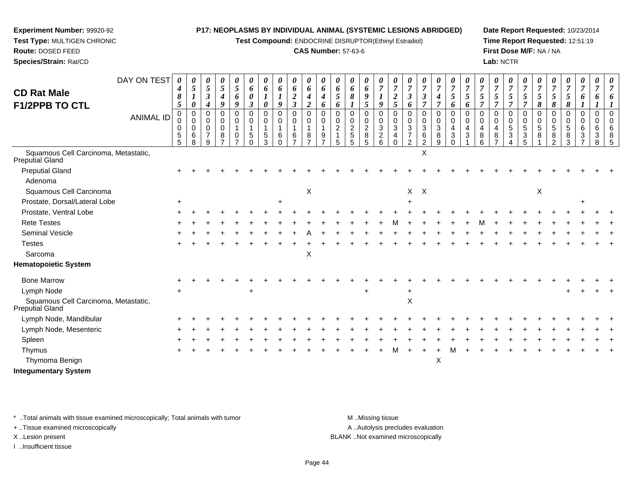**Test Compound:** ENDOCRINE DISRUPTOR(Ethinyl Estradiol)

# **CAS Number:** 57-63-6

**Date Report Requested:** 10/23/2014**Time Report Requested:** 12:51:19**First Dose M/F:** NA / NA**Lab:** NCTR

| <b>CD Rat Male</b><br><b>F1/2PPB TO CTL</b>                    | DAY ON TEST      | 0<br>4<br>8<br>5                                 | $\boldsymbol{\theta}$<br>$\mathfrak{s}$<br>$\boldsymbol{l}$<br>$\boldsymbol{\theta}$<br>$\overline{0}$ | 0<br>$\overline{5}$<br>$\boldsymbol{\beta}$<br>$\boldsymbol{4}$<br>$\Omega$ | 0<br>5<br>4<br>9<br>$\Omega$                      | 0<br>$\mathfrak{s}$<br>6<br>9                             | 0<br>6<br>0<br>$\mathbf{3}$                       | 0<br>6<br>0             | $\boldsymbol{\theta}$<br>6<br>9<br>$\mathbf 0$ | 0<br>6<br>$\boldsymbol{2}$<br>$\overline{\mathbf{3}}$ | 0<br>6<br>4<br>$\overline{2}$<br>$\mathbf 0$       | $\boldsymbol{\theta}$<br>6<br>4<br>6    | 0<br>6<br>5<br>6<br>$\mathbf 0$          | 0<br>6<br>8<br>$\Omega$                          | 0<br>6<br>9<br>5                                                          | 0<br>$\overline{7}$<br>$\boldsymbol{l}$<br>9                | 0<br>7<br>$\overline{\mathbf{c}}$<br>5 | 0<br>$\overline{7}$<br>$\boldsymbol{\beta}$<br>6                                 | 0<br>$\overline{7}$<br>$\mathfrak{z}$<br>$\overline{7}$<br>$\mathbf 0$ | 0<br>$\overline{7}$<br>4<br>7              | $\boldsymbol{\theta}$<br>$\overline{7}$<br>5<br>6<br>$\mathbf 0$ | 0<br>$\overline{7}$<br>5<br>6                      | 7<br>5<br>7<br>$\Omega$    | 0<br>$\overline{7}$<br>5<br>$\Omega$ | 0<br>$\overline{7}$<br>5<br>$\overline{7}$                 | 0<br>$\overline{7}$<br>5<br>$\overline{7}$       | 0<br>$\overline{7}$<br>5<br>8        | 0<br>$\overline{7}$<br>$\mathfrak{s}$<br>8  | 0<br>$\overline{7}$<br>5<br>8          | 0<br>$\overline{7}$<br>6                    | 0<br>$\overline{7}$<br>6                     |   |
|----------------------------------------------------------------|------------------|--------------------------------------------------|--------------------------------------------------------------------------------------------------------|-----------------------------------------------------------------------------|---------------------------------------------------|-----------------------------------------------------------|---------------------------------------------------|-------------------------|------------------------------------------------|-------------------------------------------------------|----------------------------------------------------|-----------------------------------------|------------------------------------------|--------------------------------------------------|---------------------------------------------------------------------------|-------------------------------------------------------------|----------------------------------------|----------------------------------------------------------------------------------|------------------------------------------------------------------------|--------------------------------------------|------------------------------------------------------------------|----------------------------------------------------|----------------------------|--------------------------------------|------------------------------------------------------------|--------------------------------------------------|--------------------------------------|---------------------------------------------|----------------------------------------|---------------------------------------------|----------------------------------------------|---|
|                                                                | <b>ANIMAL ID</b> | $\mathbf 0$<br>$\mathbf 0$<br>0<br>$\frac{5}{5}$ | $\mathbf 0$<br>0<br>$\,6$<br>8                                                                         | 0<br>0<br>$\overline{7}$<br>9                                               | $\mathbf 0$<br>$\mathbf 0$<br>8<br>$\overline{ }$ | 0<br>$\mathbf 0$<br>$\overline{1}$<br>0<br>$\overline{7}$ | $\mathbf 0$<br>0<br>$\mathbf{1}$<br>5<br>$\Omega$ | $\Omega$<br>0<br>5<br>3 | $\mathbf 0$<br>6<br>$\Omega$                   | 0<br>$\mathbf 0$<br>1<br>6<br>$\overline{z}$          | $\mathbf 0$<br>$\mathbf{1}$<br>8<br>$\overline{7}$ | 0<br>$\mathbf 0$<br>9<br>$\overline{ }$ | 0<br>$\overline{c}$<br>$\mathbf{1}$<br>5 | $\mathbf 0$<br>$\overline{c}$<br>$\sqrt{5}$<br>5 | $\mathbf 0$<br>$\mathbf 0$<br>$\overline{c}$<br>$\bf 8$<br>$\overline{5}$ | $\mathbf 0$<br>$\mathbf 0$<br>$\sqrt{3}$<br>$\sqrt{2}$<br>6 | 0<br>$\mathbf 0$<br>3<br>4<br>$\Omega$ | $\mathbf 0$<br>$\mathbf 0$<br>$\mathbf{3}$<br>$\boldsymbol{7}$<br>$\overline{2}$ | 0<br>3<br>6<br>$\overline{2}$                                          | 0<br>$\mathbf 0$<br>$\mathbf{3}$<br>8<br>9 | $\mathbf 0$<br>4<br>$\mathbf{3}$<br>$\mathbf 0$                  | 0<br>$\mathbf 0$<br>4<br>$\ensuremath{\mathsf{3}}$ | $\mathbf 0$<br>4<br>8<br>6 | $\Omega$<br>8                        | 0<br>0<br>5<br>$\ensuremath{\mathsf{3}}$<br>$\overline{4}$ | $\mathbf 0$<br>$\mathbf 0$<br>5<br>$\frac{3}{5}$ | $\mathbf 0$<br>$\mathbf 0$<br>5<br>8 | $\mathbf 0$<br>0<br>5<br>8<br>$\mathcal{P}$ | $\Omega$<br>$\mathbf 0$<br>5<br>8<br>3 | 0<br>0<br>6<br>$\sqrt{3}$<br>$\overline{7}$ | $\mathbf 0$<br>0<br>6<br>3<br>$\overline{8}$ | 5 |
| Squamous Cell Carcinoma, Metastatic,<br>Preputial Gland        |                  |                                                  |                                                                                                        |                                                                             |                                                   |                                                           |                                                   |                         |                                                |                                                       |                                                    |                                         |                                          |                                                  |                                                                           |                                                             |                                        |                                                                                  | X                                                                      |                                            |                                                                  |                                                    |                            |                                      |                                                            |                                                  |                                      |                                             |                                        |                                             |                                              |   |
| <b>Preputial Gland</b>                                         |                  |                                                  |                                                                                                        |                                                                             |                                                   |                                                           |                                                   |                         |                                                |                                                       |                                                    |                                         |                                          |                                                  |                                                                           |                                                             |                                        |                                                                                  |                                                                        |                                            |                                                                  |                                                    |                            |                                      |                                                            |                                                  |                                      |                                             |                                        |                                             |                                              |   |
| Adenoma                                                        |                  |                                                  |                                                                                                        |                                                                             |                                                   |                                                           |                                                   |                         |                                                |                                                       |                                                    |                                         |                                          |                                                  |                                                                           |                                                             |                                        |                                                                                  |                                                                        |                                            |                                                                  |                                                    |                            |                                      |                                                            |                                                  |                                      |                                             |                                        |                                             |                                              |   |
| Squamous Cell Carcinoma                                        |                  |                                                  |                                                                                                        |                                                                             |                                                   |                                                           |                                                   |                         |                                                |                                                       | $\boldsymbol{\mathsf{X}}$                          |                                         |                                          |                                                  |                                                                           |                                                             |                                        | $\mathsf{X}$                                                                     | $\mathsf{X}$                                                           |                                            |                                                                  |                                                    |                            |                                      |                                                            |                                                  | $\mathsf X$                          |                                             |                                        |                                             |                                              |   |
| Prostate, Dorsal/Lateral Lobe                                  |                  |                                                  |                                                                                                        |                                                                             |                                                   |                                                           |                                                   |                         |                                                |                                                       |                                                    |                                         |                                          |                                                  |                                                                           |                                                             |                                        |                                                                                  |                                                                        |                                            |                                                                  |                                                    |                            |                                      |                                                            |                                                  |                                      |                                             |                                        |                                             |                                              |   |
| Prostate, Ventral Lobe                                         |                  |                                                  |                                                                                                        |                                                                             |                                                   |                                                           |                                                   |                         |                                                |                                                       |                                                    |                                         |                                          |                                                  |                                                                           |                                                             |                                        |                                                                                  |                                                                        |                                            |                                                                  |                                                    |                            |                                      |                                                            |                                                  |                                      |                                             |                                        |                                             |                                              |   |
| <b>Rete Testes</b>                                             |                  |                                                  |                                                                                                        |                                                                             |                                                   |                                                           |                                                   |                         |                                                |                                                       |                                                    |                                         |                                          |                                                  |                                                                           |                                                             |                                        |                                                                                  |                                                                        |                                            |                                                                  |                                                    |                            |                                      |                                                            |                                                  |                                      |                                             |                                        |                                             |                                              |   |
| Seminal Vesicle                                                |                  |                                                  |                                                                                                        |                                                                             |                                                   |                                                           |                                                   |                         |                                                |                                                       |                                                    |                                         |                                          |                                                  |                                                                           |                                                             |                                        |                                                                                  |                                                                        |                                            |                                                                  |                                                    |                            |                                      |                                                            |                                                  |                                      |                                             |                                        |                                             |                                              |   |
| <b>Testes</b>                                                  |                  |                                                  |                                                                                                        |                                                                             |                                                   |                                                           |                                                   |                         |                                                |                                                       |                                                    |                                         |                                          |                                                  |                                                                           |                                                             |                                        |                                                                                  |                                                                        |                                            |                                                                  |                                                    |                            |                                      |                                                            |                                                  |                                      |                                             |                                        |                                             |                                              |   |
| Sarcoma                                                        |                  |                                                  |                                                                                                        |                                                                             |                                                   |                                                           |                                                   |                         |                                                |                                                       | X                                                  |                                         |                                          |                                                  |                                                                           |                                                             |                                        |                                                                                  |                                                                        |                                            |                                                                  |                                                    |                            |                                      |                                                            |                                                  |                                      |                                             |                                        |                                             |                                              |   |
| <b>Hematopoietic System</b>                                    |                  |                                                  |                                                                                                        |                                                                             |                                                   |                                                           |                                                   |                         |                                                |                                                       |                                                    |                                         |                                          |                                                  |                                                                           |                                                             |                                        |                                                                                  |                                                                        |                                            |                                                                  |                                                    |                            |                                      |                                                            |                                                  |                                      |                                             |                                        |                                             |                                              |   |
| <b>Bone Marrow</b>                                             |                  |                                                  |                                                                                                        |                                                                             |                                                   |                                                           |                                                   |                         |                                                |                                                       |                                                    |                                         |                                          |                                                  |                                                                           |                                                             |                                        |                                                                                  |                                                                        |                                            |                                                                  |                                                    |                            |                                      |                                                            |                                                  |                                      |                                             |                                        |                                             |                                              |   |
| Lymph Node                                                     |                  |                                                  |                                                                                                        |                                                                             |                                                   |                                                           | $\div$                                            |                         |                                                |                                                       |                                                    |                                         |                                          |                                                  |                                                                           |                                                             |                                        |                                                                                  |                                                                        |                                            |                                                                  |                                                    |                            |                                      |                                                            |                                                  |                                      |                                             |                                        |                                             |                                              |   |
| Squamous Cell Carcinoma, Metastatic,<br><b>Preputial Gland</b> |                  |                                                  |                                                                                                        |                                                                             |                                                   |                                                           |                                                   |                         |                                                |                                                       |                                                    |                                         |                                          |                                                  |                                                                           |                                                             |                                        | X                                                                                |                                                                        |                                            |                                                                  |                                                    |                            |                                      |                                                            |                                                  |                                      |                                             |                                        |                                             |                                              |   |
| Lymph Node, Mandibular                                         |                  |                                                  |                                                                                                        |                                                                             |                                                   |                                                           |                                                   |                         |                                                |                                                       |                                                    |                                         |                                          |                                                  |                                                                           |                                                             |                                        |                                                                                  |                                                                        |                                            |                                                                  |                                                    |                            |                                      |                                                            |                                                  |                                      |                                             |                                        |                                             |                                              |   |
| Lymph Node, Mesenteric                                         |                  |                                                  |                                                                                                        |                                                                             |                                                   |                                                           |                                                   |                         |                                                |                                                       |                                                    |                                         |                                          |                                                  |                                                                           |                                                             |                                        |                                                                                  |                                                                        |                                            |                                                                  |                                                    |                            |                                      |                                                            |                                                  |                                      |                                             |                                        |                                             |                                              |   |
| Spleen                                                         |                  |                                                  |                                                                                                        |                                                                             |                                                   |                                                           |                                                   |                         |                                                |                                                       |                                                    |                                         |                                          |                                                  |                                                                           |                                                             |                                        |                                                                                  |                                                                        |                                            |                                                                  |                                                    |                            |                                      |                                                            |                                                  |                                      |                                             |                                        |                                             |                                              |   |
| Thymus                                                         |                  |                                                  |                                                                                                        |                                                                             |                                                   |                                                           |                                                   |                         |                                                |                                                       |                                                    |                                         |                                          |                                                  |                                                                           |                                                             |                                        |                                                                                  |                                                                        |                                            |                                                                  |                                                    |                            |                                      |                                                            |                                                  |                                      |                                             |                                        |                                             |                                              |   |
| Thymoma Benign                                                 |                  |                                                  |                                                                                                        |                                                                             |                                                   |                                                           |                                                   |                         |                                                |                                                       |                                                    |                                         |                                          |                                                  |                                                                           |                                                             |                                        |                                                                                  |                                                                        | X                                          |                                                                  |                                                    |                            |                                      |                                                            |                                                  |                                      |                                             |                                        |                                             |                                              |   |
| <b>Integumentary System</b>                                    |                  |                                                  |                                                                                                        |                                                                             |                                                   |                                                           |                                                   |                         |                                                |                                                       |                                                    |                                         |                                          |                                                  |                                                                           |                                                             |                                        |                                                                                  |                                                                        |                                            |                                                                  |                                                    |                            |                                      |                                                            |                                                  |                                      |                                             |                                        |                                             |                                              |   |

\* ..Total animals with tissue examined microscopically; Total animals with tumor **M** . Missing tissue M ..Missing tissue

+ ..Tissue examined microscopically

**Experiment Number:** 99920-92**Test Type:** MULTIGEN CHRONIC

**Route:** DOSED FEED**Species/Strain:** Rat/CD

I ..Insufficient tissue

A ..Autolysis precludes evaluation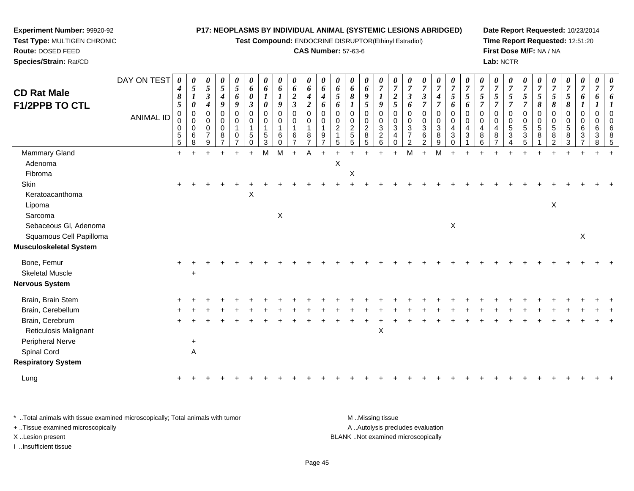**Test Compound:** ENDOCRINE DISRUPTOR(Ethinyl Estradiol)

#### **CAS Number:** 57-63-6

**Date Report Requested:** 10/23/2014**Time Report Requested:** 12:51:20**First Dose M/F:** NA / NA**Lab:** NCTR

| <b>CD Rat Male</b><br><b>F1/2PPB TO CTL</b> | DAY ON TEST<br><b>ANIMAL ID</b> | $\boldsymbol{\theta}$<br>$\boldsymbol{4}$<br>$\pmb{8}$<br>$\overline{5}$<br>$\boldsymbol{0}$<br>0<br>$\pmb{0}$<br>$\begin{array}{c} 5 \\ 5 \end{array}$ | 0<br>5<br>0<br>$\pmb{0}$<br>$\mathbf 0$<br>$\mathbf 0$<br>6<br>8 | 0<br>$\sqrt{5}$<br>$\boldsymbol{\beta}$<br>4<br>0<br>0<br>$\mathbf 0$<br>$\overline{7}$<br>9 | $\boldsymbol{\theta}$<br>$\mathfrak{s}$<br>$\boldsymbol{4}$<br>9<br>$\pmb{0}$<br>$\mathbf 0$<br>$\mathsf{O}\xspace$<br>8 | 0<br>$\sqrt{5}$<br>6<br>9<br>$\mathbf 0$<br>0<br>$\mathbf{1}$<br>0<br>7 | 0<br>6<br>0<br>3<br>$\mathbf 0$<br>$\Omega$<br>$\mathbf{1}$<br>5<br>$\Omega$ | 0<br>6<br>0<br>0<br>0<br>5<br>3 | 0<br>6<br>1<br>9<br>$\pmb{0}$<br>$\boldsymbol{0}$<br>$\mathbf{1}$<br>6<br>0 | $\pmb{\theta}$<br>6<br>$\boldsymbol{2}$<br>$\mathfrak{z}$<br>$\pmb{0}$<br>$\mathbf 0$<br>6 | $\boldsymbol{\theta}$<br>6<br>$\boldsymbol{4}$<br>$\overline{2}$<br>$\mathbf 0$<br>$\mathbf 0$<br>$\overline{1}$<br>8<br>$\overline{7}$ | $\boldsymbol{\theta}$<br>6<br>4<br>6<br>$\mathbf 0$<br>$\Omega$<br>$\mathbf{1}$<br>9<br>$\overline{7}$ | 0<br>6<br>$5\overline{)}$<br>6<br>$\mathbf 0$<br>0<br>$\overline{c}$<br>5 | $\pmb{\theta}$<br>6<br>$\pmb{8}$<br>$\boldsymbol{l}$<br>0<br>$\begin{smallmatrix} 0\\ 2 \end{smallmatrix}$<br>$\sqrt{5}$<br>5 | $\pmb{\theta}$<br>6<br>9<br>5<br>$\pmb{0}$<br>$\pmb{0}$<br>$\overline{c}$<br>8<br>5 | 0<br>$\overline{7}$<br>9<br>0<br>0<br>$\mathbf{3}$<br>$\overline{c}$<br>6 | 0<br>$\overline{7}$<br>$\boldsymbol{2}$<br>$\overline{5}$<br>$\pmb{0}$<br>$\mathsf{O}\xspace$<br>3<br>$\overline{4}$<br>$\mathbf 0$ | 0<br>$\boldsymbol{7}$<br>$\boldsymbol{\beta}$<br>6<br>0<br>0<br>$\mathbf{3}$<br>$\overline{7}$<br>$\overline{2}$ | 0<br>$\boldsymbol{7}$<br>$\mathfrak{z}$<br>$\overline{7}$<br>$\mathbf 0$<br>$\mathbf 0$<br>$\sqrt{3}$<br>6<br>2 | 0<br>$\boldsymbol{7}$<br>$\boldsymbol{4}$<br>$\overline{7}$<br>$\pmb{0}$<br>0<br>$\sqrt{3}$<br>8<br>9 | 0<br>$\boldsymbol{7}$<br>$\mathfrak{s}$<br>6<br>$\pmb{0}$<br>0<br>$\overline{4}$<br>3<br>$\Omega$ | 0<br>$\overline{7}$<br>5<br>6<br>$\mathbf 0$<br>$\mathbf 0$<br>4<br>3 | $\boldsymbol{\theta}$<br>$\overline{7}$<br>$\mathfrak{s}$<br>$\overline{7}$<br>0<br>0<br>$\overline{4}$<br>8<br>6 | $\pmb{\theta}$<br>$\overline{7}$<br>$\mathfrak{s}$<br>$\overline{7}$<br>$\mathbf 0$<br>$\mathbf 0$<br>$\overline{4}$<br>8<br>$\overline{7}$ | 0<br>$\overline{7}$<br>$5\overline{)}$<br>$\overline{7}$<br>0<br>$\mathbf 0$<br>5<br>3<br>4 | 0<br>$\boldsymbol{7}$<br>$\mathfrak{s}$<br>$\overline{7}$<br>$\mathbf 0$<br>$\mathbf 0$<br>$\sqrt{5}$<br>$\sqrt{3}$<br>5 | 0<br>$\overline{7}$<br>5<br>8<br>$\pmb{0}$<br>0<br>$\sqrt{5}$<br>8 | 0<br>$\boldsymbol{7}$<br>$\sqrt{5}$<br>8<br>0<br>0<br>$\overline{5}$<br>8<br>$\overline{2}$ | $\boldsymbol{\theta}$<br>$\overline{7}$<br>$\mathfrak{s}$<br>$\pmb{8}$<br>$\pmb{0}$<br>$\mathbf 0$<br>$\overline{5}$<br>8<br>3 | 0<br>$\overline{7}$<br>6<br>$\mathbf 0$<br>$\Omega$<br>6<br>3 | $\boldsymbol{\theta}$<br>$\overline{7}$<br>6<br>$\mathbf 0$<br>$\Omega$<br>6<br>3<br>8 | $\pmb{\theta}$<br>$\overline{7}$<br>6<br>$\mathbf 0$<br>$\mathbf 0$<br>6<br>8<br>5 |
|---------------------------------------------|---------------------------------|---------------------------------------------------------------------------------------------------------------------------------------------------------|------------------------------------------------------------------|----------------------------------------------------------------------------------------------|--------------------------------------------------------------------------------------------------------------------------|-------------------------------------------------------------------------|------------------------------------------------------------------------------|---------------------------------|-----------------------------------------------------------------------------|--------------------------------------------------------------------------------------------|-----------------------------------------------------------------------------------------------------------------------------------------|--------------------------------------------------------------------------------------------------------|---------------------------------------------------------------------------|-------------------------------------------------------------------------------------------------------------------------------|-------------------------------------------------------------------------------------|---------------------------------------------------------------------------|-------------------------------------------------------------------------------------------------------------------------------------|------------------------------------------------------------------------------------------------------------------|-----------------------------------------------------------------------------------------------------------------|-------------------------------------------------------------------------------------------------------|---------------------------------------------------------------------------------------------------|-----------------------------------------------------------------------|-------------------------------------------------------------------------------------------------------------------|---------------------------------------------------------------------------------------------------------------------------------------------|---------------------------------------------------------------------------------------------|--------------------------------------------------------------------------------------------------------------------------|--------------------------------------------------------------------|---------------------------------------------------------------------------------------------|--------------------------------------------------------------------------------------------------------------------------------|---------------------------------------------------------------|----------------------------------------------------------------------------------------|------------------------------------------------------------------------------------|
| Mammary Gland                               |                                 | $+$                                                                                                                                                     |                                                                  |                                                                                              |                                                                                                                          |                                                                         |                                                                              | м                               | М                                                                           | $+$                                                                                        | A                                                                                                                                       |                                                                                                        |                                                                           |                                                                                                                               |                                                                                     |                                                                           |                                                                                                                                     | M                                                                                                                | $\ddot{}$                                                                                                       |                                                                                                       |                                                                                                   |                                                                       |                                                                                                                   |                                                                                                                                             |                                                                                             |                                                                                                                          |                                                                    |                                                                                             |                                                                                                                                |                                                               |                                                                                        |                                                                                    |
| Adenoma                                     |                                 |                                                                                                                                                         |                                                                  |                                                                                              |                                                                                                                          |                                                                         |                                                                              |                                 |                                                                             |                                                                                            |                                                                                                                                         |                                                                                                        | X                                                                         |                                                                                                                               |                                                                                     |                                                                           |                                                                                                                                     |                                                                                                                  |                                                                                                                 |                                                                                                       |                                                                                                   |                                                                       |                                                                                                                   |                                                                                                                                             |                                                                                             |                                                                                                                          |                                                                    |                                                                                             |                                                                                                                                |                                                               |                                                                                        |                                                                                    |
| Fibroma                                     |                                 |                                                                                                                                                         |                                                                  |                                                                                              |                                                                                                                          |                                                                         |                                                                              |                                 |                                                                             |                                                                                            |                                                                                                                                         |                                                                                                        |                                                                           | $\times$                                                                                                                      |                                                                                     |                                                                           |                                                                                                                                     |                                                                                                                  |                                                                                                                 |                                                                                                       |                                                                                                   |                                                                       |                                                                                                                   |                                                                                                                                             |                                                                                             |                                                                                                                          |                                                                    |                                                                                             |                                                                                                                                |                                                               |                                                                                        |                                                                                    |
| Skin                                        |                                 | $+$                                                                                                                                                     |                                                                  |                                                                                              |                                                                                                                          |                                                                         |                                                                              |                                 |                                                                             |                                                                                            |                                                                                                                                         |                                                                                                        |                                                                           |                                                                                                                               |                                                                                     |                                                                           |                                                                                                                                     |                                                                                                                  |                                                                                                                 |                                                                                                       |                                                                                                   |                                                                       |                                                                                                                   |                                                                                                                                             |                                                                                             |                                                                                                                          |                                                                    |                                                                                             |                                                                                                                                |                                                               |                                                                                        |                                                                                    |
| Keratoacanthoma                             |                                 |                                                                                                                                                         |                                                                  |                                                                                              |                                                                                                                          |                                                                         | X                                                                            |                                 |                                                                             |                                                                                            |                                                                                                                                         |                                                                                                        |                                                                           |                                                                                                                               |                                                                                     |                                                                           |                                                                                                                                     |                                                                                                                  |                                                                                                                 |                                                                                                       |                                                                                                   |                                                                       |                                                                                                                   |                                                                                                                                             |                                                                                             |                                                                                                                          |                                                                    |                                                                                             |                                                                                                                                |                                                               |                                                                                        |                                                                                    |
| Lipoma                                      |                                 |                                                                                                                                                         |                                                                  |                                                                                              |                                                                                                                          |                                                                         |                                                                              |                                 |                                                                             |                                                                                            |                                                                                                                                         |                                                                                                        |                                                                           |                                                                                                                               |                                                                                     |                                                                           |                                                                                                                                     |                                                                                                                  |                                                                                                                 |                                                                                                       |                                                                                                   |                                                                       |                                                                                                                   |                                                                                                                                             |                                                                                             |                                                                                                                          |                                                                    | X                                                                                           |                                                                                                                                |                                                               |                                                                                        |                                                                                    |
| Sarcoma                                     |                                 |                                                                                                                                                         |                                                                  |                                                                                              |                                                                                                                          |                                                                         |                                                                              |                                 | X                                                                           |                                                                                            |                                                                                                                                         |                                                                                                        |                                                                           |                                                                                                                               |                                                                                     |                                                                           |                                                                                                                                     |                                                                                                                  |                                                                                                                 |                                                                                                       |                                                                                                   |                                                                       |                                                                                                                   |                                                                                                                                             |                                                                                             |                                                                                                                          |                                                                    |                                                                                             |                                                                                                                                |                                                               |                                                                                        |                                                                                    |
| Sebaceous Gl, Adenoma                       |                                 |                                                                                                                                                         |                                                                  |                                                                                              |                                                                                                                          |                                                                         |                                                                              |                                 |                                                                             |                                                                                            |                                                                                                                                         |                                                                                                        |                                                                           |                                                                                                                               |                                                                                     |                                                                           |                                                                                                                                     |                                                                                                                  |                                                                                                                 |                                                                                                       | X                                                                                                 |                                                                       |                                                                                                                   |                                                                                                                                             |                                                                                             |                                                                                                                          |                                                                    |                                                                                             |                                                                                                                                |                                                               |                                                                                        |                                                                                    |
| Squamous Cell Papilloma                     |                                 |                                                                                                                                                         |                                                                  |                                                                                              |                                                                                                                          |                                                                         |                                                                              |                                 |                                                                             |                                                                                            |                                                                                                                                         |                                                                                                        |                                                                           |                                                                                                                               |                                                                                     |                                                                           |                                                                                                                                     |                                                                                                                  |                                                                                                                 |                                                                                                       |                                                                                                   |                                                                       |                                                                                                                   |                                                                                                                                             |                                                                                             |                                                                                                                          |                                                                    |                                                                                             |                                                                                                                                | X                                                             |                                                                                        |                                                                                    |
| Musculoskeletal System                      |                                 |                                                                                                                                                         |                                                                  |                                                                                              |                                                                                                                          |                                                                         |                                                                              |                                 |                                                                             |                                                                                            |                                                                                                                                         |                                                                                                        |                                                                           |                                                                                                                               |                                                                                     |                                                                           |                                                                                                                                     |                                                                                                                  |                                                                                                                 |                                                                                                       |                                                                                                   |                                                                       |                                                                                                                   |                                                                                                                                             |                                                                                             |                                                                                                                          |                                                                    |                                                                                             |                                                                                                                                |                                                               |                                                                                        |                                                                                    |
| Bone, Femur                                 |                                 |                                                                                                                                                         |                                                                  |                                                                                              |                                                                                                                          |                                                                         |                                                                              |                                 |                                                                             |                                                                                            |                                                                                                                                         |                                                                                                        |                                                                           |                                                                                                                               |                                                                                     |                                                                           |                                                                                                                                     |                                                                                                                  |                                                                                                                 |                                                                                                       |                                                                                                   |                                                                       |                                                                                                                   |                                                                                                                                             |                                                                                             |                                                                                                                          |                                                                    |                                                                                             |                                                                                                                                |                                                               |                                                                                        |                                                                                    |
| <b>Skeletal Muscle</b>                      |                                 |                                                                                                                                                         | $\ddot{}$                                                        |                                                                                              |                                                                                                                          |                                                                         |                                                                              |                                 |                                                                             |                                                                                            |                                                                                                                                         |                                                                                                        |                                                                           |                                                                                                                               |                                                                                     |                                                                           |                                                                                                                                     |                                                                                                                  |                                                                                                                 |                                                                                                       |                                                                                                   |                                                                       |                                                                                                                   |                                                                                                                                             |                                                                                             |                                                                                                                          |                                                                    |                                                                                             |                                                                                                                                |                                                               |                                                                                        |                                                                                    |
| Nervous System                              |                                 |                                                                                                                                                         |                                                                  |                                                                                              |                                                                                                                          |                                                                         |                                                                              |                                 |                                                                             |                                                                                            |                                                                                                                                         |                                                                                                        |                                                                           |                                                                                                                               |                                                                                     |                                                                           |                                                                                                                                     |                                                                                                                  |                                                                                                                 |                                                                                                       |                                                                                                   |                                                                       |                                                                                                                   |                                                                                                                                             |                                                                                             |                                                                                                                          |                                                                    |                                                                                             |                                                                                                                                |                                                               |                                                                                        |                                                                                    |
| Brain, Brain Stem                           |                                 |                                                                                                                                                         |                                                                  |                                                                                              |                                                                                                                          |                                                                         |                                                                              |                                 |                                                                             |                                                                                            |                                                                                                                                         |                                                                                                        |                                                                           |                                                                                                                               |                                                                                     |                                                                           |                                                                                                                                     |                                                                                                                  |                                                                                                                 |                                                                                                       |                                                                                                   |                                                                       |                                                                                                                   |                                                                                                                                             |                                                                                             |                                                                                                                          |                                                                    |                                                                                             |                                                                                                                                |                                                               |                                                                                        |                                                                                    |
| Brain, Cerebellum                           |                                 |                                                                                                                                                         |                                                                  |                                                                                              |                                                                                                                          |                                                                         |                                                                              |                                 |                                                                             |                                                                                            |                                                                                                                                         |                                                                                                        |                                                                           |                                                                                                                               |                                                                                     |                                                                           |                                                                                                                                     |                                                                                                                  |                                                                                                                 |                                                                                                       |                                                                                                   |                                                                       |                                                                                                                   |                                                                                                                                             |                                                                                             |                                                                                                                          |                                                                    |                                                                                             |                                                                                                                                |                                                               |                                                                                        |                                                                                    |
| Brain, Cerebrum                             |                                 |                                                                                                                                                         |                                                                  |                                                                                              |                                                                                                                          |                                                                         |                                                                              |                                 |                                                                             |                                                                                            |                                                                                                                                         |                                                                                                        |                                                                           |                                                                                                                               |                                                                                     |                                                                           |                                                                                                                                     |                                                                                                                  |                                                                                                                 |                                                                                                       |                                                                                                   |                                                                       |                                                                                                                   |                                                                                                                                             |                                                                                             |                                                                                                                          |                                                                    |                                                                                             |                                                                                                                                |                                                               |                                                                                        |                                                                                    |
| Reticulosis Malignant                       |                                 |                                                                                                                                                         |                                                                  |                                                                                              |                                                                                                                          |                                                                         |                                                                              |                                 |                                                                             |                                                                                            |                                                                                                                                         |                                                                                                        |                                                                           |                                                                                                                               |                                                                                     | X                                                                         |                                                                                                                                     |                                                                                                                  |                                                                                                                 |                                                                                                       |                                                                                                   |                                                                       |                                                                                                                   |                                                                                                                                             |                                                                                             |                                                                                                                          |                                                                    |                                                                                             |                                                                                                                                |                                                               |                                                                                        |                                                                                    |
| Peripheral Nerve                            |                                 |                                                                                                                                                         | $\ddot{}$                                                        |                                                                                              |                                                                                                                          |                                                                         |                                                                              |                                 |                                                                             |                                                                                            |                                                                                                                                         |                                                                                                        |                                                                           |                                                                                                                               |                                                                                     |                                                                           |                                                                                                                                     |                                                                                                                  |                                                                                                                 |                                                                                                       |                                                                                                   |                                                                       |                                                                                                                   |                                                                                                                                             |                                                                                             |                                                                                                                          |                                                                    |                                                                                             |                                                                                                                                |                                                               |                                                                                        |                                                                                    |
| Spinal Cord                                 |                                 |                                                                                                                                                         | A                                                                |                                                                                              |                                                                                                                          |                                                                         |                                                                              |                                 |                                                                             |                                                                                            |                                                                                                                                         |                                                                                                        |                                                                           |                                                                                                                               |                                                                                     |                                                                           |                                                                                                                                     |                                                                                                                  |                                                                                                                 |                                                                                                       |                                                                                                   |                                                                       |                                                                                                                   |                                                                                                                                             |                                                                                             |                                                                                                                          |                                                                    |                                                                                             |                                                                                                                                |                                                               |                                                                                        |                                                                                    |
| <b>Respiratory System</b>                   |                                 |                                                                                                                                                         |                                                                  |                                                                                              |                                                                                                                          |                                                                         |                                                                              |                                 |                                                                             |                                                                                            |                                                                                                                                         |                                                                                                        |                                                                           |                                                                                                                               |                                                                                     |                                                                           |                                                                                                                                     |                                                                                                                  |                                                                                                                 |                                                                                                       |                                                                                                   |                                                                       |                                                                                                                   |                                                                                                                                             |                                                                                             |                                                                                                                          |                                                                    |                                                                                             |                                                                                                                                |                                                               |                                                                                        |                                                                                    |
| Lung                                        |                                 | +                                                                                                                                                       |                                                                  |                                                                                              |                                                                                                                          |                                                                         |                                                                              |                                 |                                                                             |                                                                                            |                                                                                                                                         |                                                                                                        |                                                                           |                                                                                                                               |                                                                                     |                                                                           |                                                                                                                                     |                                                                                                                  |                                                                                                                 |                                                                                                       |                                                                                                   |                                                                       |                                                                                                                   |                                                                                                                                             |                                                                                             |                                                                                                                          |                                                                    |                                                                                             |                                                                                                                                |                                                               |                                                                                        |                                                                                    |
|                                             |                                 |                                                                                                                                                         |                                                                  |                                                                                              |                                                                                                                          |                                                                         |                                                                              |                                 |                                                                             |                                                                                            |                                                                                                                                         |                                                                                                        |                                                                           |                                                                                                                               |                                                                                     |                                                                           |                                                                                                                                     |                                                                                                                  |                                                                                                                 |                                                                                                       |                                                                                                   |                                                                       |                                                                                                                   |                                                                                                                                             |                                                                                             |                                                                                                                          |                                                                    |                                                                                             |                                                                                                                                |                                                               |                                                                                        |                                                                                    |

\* ..Total animals with tissue examined microscopically; Total animals with tumor **M** . Missing tissue M ..Missing tissue A ..Autolysis precludes evaluation + ..Tissue examined microscopically X ..Lesion present BLANK ..Not examined microscopicallyI ..Insufficient tissue

**Experiment Number:** 99920-92**Test Type:** MULTIGEN CHRONIC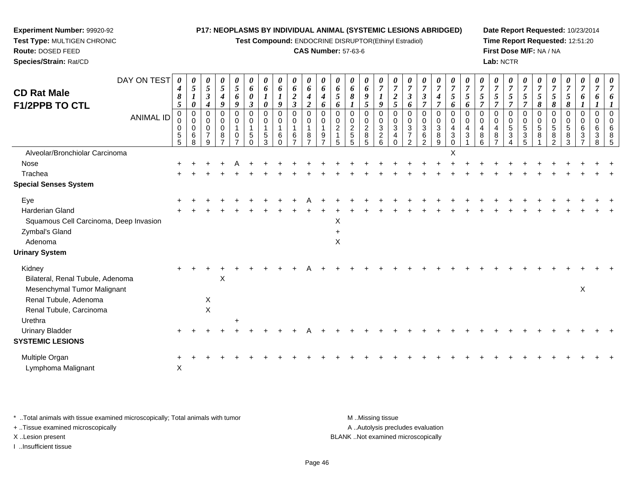**Test Compound:** ENDOCRINE DISRUPTOR(Ethinyl Estradiol)

#### **CAS Number:** 57-63-6

**Date Report Requested:** 10/23/2014**Time Report Requested:** 12:51:20**First Dose M/F:** NA / NA**Lab:** NCTR

| DAY ON TEST<br><b>CD Rat Male</b><br><b>F1/2PPB TO CTL</b><br><b>ANIMAL ID</b> | 0<br>4<br>8<br>5<br>0<br>0<br>0 | 0<br>5<br>0<br>0<br>0<br>0<br>$\,6\,$ | 0<br>$\sqrt{5}$<br>$\boldsymbol{\beta}$<br>$\boldsymbol{4}$<br>0<br>$\mathbf 0$<br>0 | 0<br>5<br>$\boldsymbol{4}$<br>9<br>0<br>0<br>0<br>8 | 0<br>5<br>6<br>9<br>$\mathbf 0$<br>0<br>1<br>0 | 0<br>6<br>0<br>$\boldsymbol{\beta}$<br>0<br>0<br>5 | 0<br>6<br>0<br>0<br>0<br>5 | 0<br>6<br>9<br>0<br>0<br>6 | 0<br>6<br>$\boldsymbol{2}$<br>$\mathfrak{z}$<br>0<br>$\mathbf 0$<br>-1 | 0<br>6<br>4<br>$\boldsymbol{2}$<br>0<br>0<br>8 | 0<br>6<br>$\boldsymbol{4}$<br>6<br>$\mathbf 0$<br>$\Omega$<br>9 | 0<br>6<br>5<br>6<br>0<br>0<br>$\overline{\mathbf{c}}$ | 0<br>6<br>8<br>0<br>0<br>$\boldsymbol{2}$ | 0<br>6<br>9<br>5<br>0<br>0<br>$\boldsymbol{2}$<br>$\bf8$ | 0<br>$\overline{7}$<br>9<br>$\Omega$<br>0<br>3 | 0<br>$\overline{7}$<br>$\boldsymbol{2}$<br>$\mathfrak{s}$<br>0<br>$\mathbf 0$<br>3<br>4 | 0<br>$\overline{7}$<br>$\boldsymbol{\beta}$<br>6<br>0<br>0<br>$\ensuremath{\mathsf{3}}$<br>$\boldsymbol{7}$ | 0<br>$\boldsymbol{7}$<br>3<br>$\overline{7}$<br>0<br>0<br>$\ensuremath{\mathsf{3}}$<br>$\,6$ | $\frac{\boldsymbol{0}}{7}$<br>$\boldsymbol{4}$<br>$\overline{7}$<br>0<br>0<br>3<br>8 | 0<br>$\overline{7}$<br>5<br>6<br>0<br>0<br>$\overline{4}$<br>$\sqrt{3}$ | 0<br>$\overline{7}$<br>5<br>6<br>$\Omega$<br>$\mathbf 0$<br>4<br>3 | $\boldsymbol{\theta}$<br>$\overline{7}$<br>5<br>$\overline{7}$<br>0<br>0<br>4 | 0<br>$\overline{7}$<br>5<br>$\overline{7}$<br>0<br>$\mathbf 0$<br>$\overline{\mathbf{4}}$<br>$\,8\,$ | 0<br>$\overline{7}$<br>5<br>7<br>$\Omega$<br>0<br>5<br>3 | 0<br>$\overline{7}$<br>5<br>0<br>0<br>5<br>$\sqrt{3}$ | 0<br>$\overline{7}$<br>5<br>8<br>0<br>0<br>5<br>8 | 0<br>$\overline{7}$<br>5<br>8<br>0<br>0<br>5<br>8 | $\boldsymbol{\theta}$<br>$\overline{7}$<br>5<br>8<br>0<br>$\mathbf 0$<br>5 | 0<br>$\overline{7}$<br>6<br>0<br>$\Omega$<br>6<br>$\mathbf{3}$ | 0<br>7<br>0<br>0<br>$\Omega$<br>6<br>3 | 0<br>$\overline{7}$<br>6<br>0<br>$\Omega$<br>6<br>8 |
|--------------------------------------------------------------------------------|---------------------------------|---------------------------------------|--------------------------------------------------------------------------------------|-----------------------------------------------------|------------------------------------------------|----------------------------------------------------|----------------------------|----------------------------|------------------------------------------------------------------------|------------------------------------------------|-----------------------------------------------------------------|-------------------------------------------------------|-------------------------------------------|----------------------------------------------------------|------------------------------------------------|-----------------------------------------------------------------------------------------|-------------------------------------------------------------------------------------------------------------|----------------------------------------------------------------------------------------------|--------------------------------------------------------------------------------------|-------------------------------------------------------------------------|--------------------------------------------------------------------|-------------------------------------------------------------------------------|------------------------------------------------------------------------------------------------------|----------------------------------------------------------|-------------------------------------------------------|---------------------------------------------------|---------------------------------------------------|----------------------------------------------------------------------------|----------------------------------------------------------------|----------------------------------------|-----------------------------------------------------|
|                                                                                | $\frac{5}{5}$                   | 8                                     | 9                                                                                    | $\overline{z}$                                      | $\overline{ }$                                 | $\Omega$                                           | 3                          | $\Omega$                   | $rac{6}{7}$                                                            | $\overline{7}$                                 | $\overline{z}$                                                  | 5                                                     | $\frac{5}{5}$                             | 5                                                        | $\frac{2}{6}$                                  | $\Omega$                                                                                | $\overline{2}$                                                                                              | $\mathcal{P}$                                                                                | 9                                                                                    | $\Omega$                                                                |                                                                    | $\frac{8}{6}$                                                                 | $\overline{z}$                                                                                       | 4                                                        | 5                                                     |                                                   | $\mathcal{P}$                                     | $\frac{8}{3}$                                                              | $\overline{7}$                                                 | 8                                      | 5                                                   |
| Alveolar/Bronchiolar Carcinoma                                                 |                                 |                                       |                                                                                      |                                                     |                                                |                                                    |                            |                            |                                                                        |                                                |                                                                 |                                                       |                                           |                                                          |                                                |                                                                                         |                                                                                                             |                                                                                              |                                                                                      | X                                                                       |                                                                    |                                                                               |                                                                                                      |                                                          |                                                       |                                                   |                                                   |                                                                            |                                                                |                                        |                                                     |
| Nose                                                                           |                                 |                                       |                                                                                      |                                                     |                                                |                                                    |                            |                            |                                                                        |                                                |                                                                 |                                                       |                                           |                                                          |                                                |                                                                                         |                                                                                                             |                                                                                              |                                                                                      |                                                                         |                                                                    |                                                                               |                                                                                                      |                                                          |                                                       |                                                   |                                                   |                                                                            |                                                                |                                        |                                                     |
| Trachea                                                                        |                                 |                                       |                                                                                      |                                                     |                                                |                                                    |                            |                            |                                                                        |                                                |                                                                 |                                                       |                                           |                                                          |                                                |                                                                                         |                                                                                                             |                                                                                              |                                                                                      |                                                                         |                                                                    |                                                                               |                                                                                                      |                                                          |                                                       |                                                   |                                                   |                                                                            |                                                                |                                        |                                                     |
| <b>Special Senses System</b>                                                   |                                 |                                       |                                                                                      |                                                     |                                                |                                                    |                            |                            |                                                                        |                                                |                                                                 |                                                       |                                           |                                                          |                                                |                                                                                         |                                                                                                             |                                                                                              |                                                                                      |                                                                         |                                                                    |                                                                               |                                                                                                      |                                                          |                                                       |                                                   |                                                   |                                                                            |                                                                |                                        |                                                     |
| Eye                                                                            |                                 |                                       |                                                                                      |                                                     |                                                |                                                    |                            |                            |                                                                        |                                                |                                                                 |                                                       |                                           |                                                          |                                                |                                                                                         |                                                                                                             |                                                                                              |                                                                                      |                                                                         |                                                                    |                                                                               |                                                                                                      |                                                          |                                                       |                                                   |                                                   |                                                                            |                                                                |                                        |                                                     |
| Harderian Gland                                                                |                                 |                                       |                                                                                      |                                                     |                                                |                                                    |                            |                            |                                                                        |                                                |                                                                 |                                                       |                                           |                                                          |                                                |                                                                                         |                                                                                                             |                                                                                              |                                                                                      |                                                                         |                                                                    |                                                                               |                                                                                                      |                                                          |                                                       |                                                   |                                                   |                                                                            |                                                                |                                        |                                                     |
| Squamous Cell Carcinoma, Deep Invasion                                         |                                 |                                       |                                                                                      |                                                     |                                                |                                                    |                            |                            |                                                                        |                                                |                                                                 | Χ                                                     |                                           |                                                          |                                                |                                                                                         |                                                                                                             |                                                                                              |                                                                                      |                                                                         |                                                                    |                                                                               |                                                                                                      |                                                          |                                                       |                                                   |                                                   |                                                                            |                                                                |                                        |                                                     |
| Zymbal's Gland                                                                 |                                 |                                       |                                                                                      |                                                     |                                                |                                                    |                            |                            |                                                                        |                                                |                                                                 |                                                       |                                           |                                                          |                                                |                                                                                         |                                                                                                             |                                                                                              |                                                                                      |                                                                         |                                                                    |                                                                               |                                                                                                      |                                                          |                                                       |                                                   |                                                   |                                                                            |                                                                |                                        |                                                     |
| Adenoma                                                                        |                                 |                                       |                                                                                      |                                                     |                                                |                                                    |                            |                            |                                                                        |                                                |                                                                 | X                                                     |                                           |                                                          |                                                |                                                                                         |                                                                                                             |                                                                                              |                                                                                      |                                                                         |                                                                    |                                                                               |                                                                                                      |                                                          |                                                       |                                                   |                                                   |                                                                            |                                                                |                                        |                                                     |
| <b>Urinary System</b>                                                          |                                 |                                       |                                                                                      |                                                     |                                                |                                                    |                            |                            |                                                                        |                                                |                                                                 |                                                       |                                           |                                                          |                                                |                                                                                         |                                                                                                             |                                                                                              |                                                                                      |                                                                         |                                                                    |                                                                               |                                                                                                      |                                                          |                                                       |                                                   |                                                   |                                                                            |                                                                |                                        |                                                     |
| Kidney                                                                         |                                 |                                       |                                                                                      |                                                     |                                                |                                                    |                            |                            |                                                                        |                                                |                                                                 |                                                       |                                           |                                                          |                                                |                                                                                         |                                                                                                             |                                                                                              |                                                                                      |                                                                         |                                                                    |                                                                               |                                                                                                      |                                                          |                                                       |                                                   |                                                   |                                                                            |                                                                |                                        |                                                     |
| Bilateral, Renal Tubule, Adenoma                                               |                                 |                                       |                                                                                      | X                                                   |                                                |                                                    |                            |                            |                                                                        |                                                |                                                                 |                                                       |                                           |                                                          |                                                |                                                                                         |                                                                                                             |                                                                                              |                                                                                      |                                                                         |                                                                    |                                                                               |                                                                                                      |                                                          |                                                       |                                                   |                                                   |                                                                            |                                                                |                                        |                                                     |
| Mesenchymal Tumor Malignant                                                    |                                 |                                       |                                                                                      |                                                     |                                                |                                                    |                            |                            |                                                                        |                                                |                                                                 |                                                       |                                           |                                                          |                                                |                                                                                         |                                                                                                             |                                                                                              |                                                                                      |                                                                         |                                                                    |                                                                               |                                                                                                      |                                                          |                                                       |                                                   |                                                   |                                                                            | X                                                              |                                        |                                                     |
| Renal Tubule, Adenoma                                                          |                                 |                                       | X                                                                                    |                                                     |                                                |                                                    |                            |                            |                                                                        |                                                |                                                                 |                                                       |                                           |                                                          |                                                |                                                                                         |                                                                                                             |                                                                                              |                                                                                      |                                                                         |                                                                    |                                                                               |                                                                                                      |                                                          |                                                       |                                                   |                                                   |                                                                            |                                                                |                                        |                                                     |
| Renal Tubule, Carcinoma                                                        |                                 |                                       | $\pmb{\times}$                                                                       |                                                     |                                                |                                                    |                            |                            |                                                                        |                                                |                                                                 |                                                       |                                           |                                                          |                                                |                                                                                         |                                                                                                             |                                                                                              |                                                                                      |                                                                         |                                                                    |                                                                               |                                                                                                      |                                                          |                                                       |                                                   |                                                   |                                                                            |                                                                |                                        |                                                     |
| Urethra                                                                        |                                 |                                       |                                                                                      |                                                     |                                                |                                                    |                            |                            |                                                                        |                                                |                                                                 |                                                       |                                           |                                                          |                                                |                                                                                         |                                                                                                             |                                                                                              |                                                                                      |                                                                         |                                                                    |                                                                               |                                                                                                      |                                                          |                                                       |                                                   |                                                   |                                                                            |                                                                |                                        |                                                     |
| <b>Urinary Bladder</b>                                                         |                                 |                                       |                                                                                      |                                                     |                                                |                                                    |                            |                            |                                                                        |                                                |                                                                 |                                                       |                                           |                                                          |                                                |                                                                                         |                                                                                                             |                                                                                              |                                                                                      |                                                                         |                                                                    |                                                                               |                                                                                                      |                                                          |                                                       |                                                   |                                                   |                                                                            |                                                                |                                        |                                                     |
| <b>SYSTEMIC LESIONS</b>                                                        |                                 |                                       |                                                                                      |                                                     |                                                |                                                    |                            |                            |                                                                        |                                                |                                                                 |                                                       |                                           |                                                          |                                                |                                                                                         |                                                                                                             |                                                                                              |                                                                                      |                                                                         |                                                                    |                                                                               |                                                                                                      |                                                          |                                                       |                                                   |                                                   |                                                                            |                                                                |                                        |                                                     |
| Multiple Organ                                                                 |                                 |                                       |                                                                                      |                                                     |                                                |                                                    |                            |                            |                                                                        |                                                |                                                                 |                                                       |                                           |                                                          |                                                |                                                                                         |                                                                                                             |                                                                                              |                                                                                      |                                                                         |                                                                    |                                                                               |                                                                                                      |                                                          |                                                       |                                                   |                                                   |                                                                            |                                                                |                                        |                                                     |
| Lymphoma Malignant                                                             | $\mathsf X$                     |                                       |                                                                                      |                                                     |                                                |                                                    |                            |                            |                                                                        |                                                |                                                                 |                                                       |                                           |                                                          |                                                |                                                                                         |                                                                                                             |                                                                                              |                                                                                      |                                                                         |                                                                    |                                                                               |                                                                                                      |                                                          |                                                       |                                                   |                                                   |                                                                            |                                                                |                                        |                                                     |

\* ..Total animals with tissue examined microscopically; Total animals with tumor **M** . Missing tissue M ..Missing tissue

+ ..Tissue examined microscopically

**Experiment Number:** 99920-92**Test Type:** MULTIGEN CHRONIC

**Route:** DOSED FEED**Species/Strain:** Rat/CD

I ..Insufficient tissue

A ..Autolysis precludes evaluation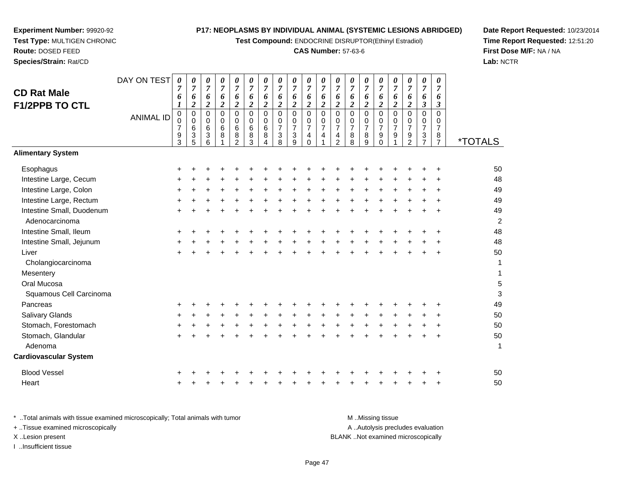**Test Compound:** ENDOCRINE DISRUPTOR(Ethinyl Estradiol)

# **CAS Number:** 57-63-6

**Date Report Requested:** 10/23/2014 **Time Report Requested:** 12:51:20**First Dose M/F:** NA / NA**Lab:** NCTR

|                              | DAY ON TEST      | 0                             | 0                   | 0                         | 0                   | $\frac{\theta}{7}$            | $\pmb{\theta}$       | $\pmb{\theta}$                | $\pmb{\theta}$                | 0                             | 0                                  | 0                       | 0                                     | 0                             | $\boldsymbol{\theta}$         | 0                             | $\pmb{\theta}$                               | $\pmb{\theta}$                | $\pmb{\theta}$                              | $\pmb{\theta}$                |                       |
|------------------------------|------------------|-------------------------------|---------------------|---------------------------|---------------------|-------------------------------|----------------------|-------------------------------|-------------------------------|-------------------------------|------------------------------------|-------------------------|---------------------------------------|-------------------------------|-------------------------------|-------------------------------|----------------------------------------------|-------------------------------|---------------------------------------------|-------------------------------|-----------------------|
| <b>CD Rat Male</b>           |                  | $\overline{7}$<br>6           | $\overline{7}$<br>6 | $\overline{7}$<br>6       | $\overline{7}$<br>6 | $\boldsymbol{6}$              | $\overline{7}$<br>6  | $\overline{7}$<br>6           | $\overline{7}$<br>6           | $\boldsymbol{7}$<br>6         | $\overline{7}$<br>$\boldsymbol{6}$ | $\overline{7}$<br>6     | $\boldsymbol{7}$<br>6                 | $\overline{7}$<br>6           | $\overline{7}$<br>6           | $\overline{7}$<br>6           | $\boldsymbol{7}$<br>$\boldsymbol{6}$         | $\overline{7}$<br>6           | $\boldsymbol{7}$<br>6                       | $\overline{7}$<br>6           |                       |
| <b>F1/2PPB TO CTL</b>        |                  | 1                             | $\boldsymbol{2}$    | $\boldsymbol{2}$          | $\overline{c}$      | $\boldsymbol{2}$              | $\boldsymbol{2}$     | $\boldsymbol{2}$              | $\boldsymbol{2}$              | $\boldsymbol{2}$              | $\overline{\mathbf{c}}$            | $\overline{\mathbf{c}}$ | $\overline{2}$                        | $\overline{2}$                | $\boldsymbol{2}$              | $\overline{c}$                | $\boldsymbol{2}$                             | $\boldsymbol{2}$              | $\mathfrak{z}$                              | $\boldsymbol{\beta}$          |                       |
|                              | <b>ANIMAL ID</b> | $\pmb{0}$                     | $\pmb{0}$           | $\pmb{0}$                 | 0                   | $\pmb{0}$                     | $\mathbf 0$          | $\pmb{0}$                     | $\pmb{0}$                     | $\mathsf{O}\xspace$           | $\mathbf 0$                        | 0                       | $\pmb{0}$                             | $\mathbf 0$                   | $\pmb{0}$                     | 0                             | $\pmb{0}$                                    | $\Omega$                      | $\pmb{0}$                                   | $\mathbf 0$                   |                       |
|                              |                  | $\mathbf 0$<br>$\overline{7}$ | $\Omega$<br>6       | $\mathbf 0$<br>$\,6\,$    | $\mathbf 0$<br>6    | $\mathbf 0$<br>$\overline{6}$ | $\mathbf 0$<br>$\,6$ | $\mathbf 0$<br>$\overline{6}$ | $\mathbf 0$<br>$\overline{7}$ | $\mathbf 0$<br>$\overline{7}$ | 0<br>$\frac{5}{7}$                 | $\frac{0}{7}$           | $\begin{array}{c} 0 \\ 7 \end{array}$ | $\mathbf 0$<br>$\overline{7}$ | $\mathbf 0$<br>$\overline{7}$ | $\mathbf 0$<br>$\overline{7}$ | $\begin{smallmatrix} 0\\7 \end{smallmatrix}$ | $\mathbf 0$<br>$\overline{7}$ | $\pmb{0}$<br>$\overline{7}$                 | $\mathbf 0$<br>$\overline{7}$ |                       |
|                              |                  | $\boldsymbol{9}$              | 3                   | $\ensuremath{\mathsf{3}}$ | 8                   | $\overline{8}$                | $\bf 8$              | 8                             | 3                             | 3                             | 4                                  | 4                       | $\overline{\mathbf{4}}$               | 8                             | 8                             | 9                             | $\boldsymbol{9}$                             | $\boldsymbol{9}$              | $\ensuremath{\mathsf{3}}$<br>$\overline{7}$ | 8                             |                       |
|                              |                  | 3                             | 5                   | 6                         |                     | $\mathfrak{p}$                | 3                    |                               | 8                             | 9                             | $\Omega$                           |                         | $\overline{2}$                        | 8                             | 9                             | 0                             |                                              | $\overline{2}$                |                                             | $\overline{7}$                | <i><b>*TOTALS</b></i> |
| <b>Alimentary System</b>     |                  |                               |                     |                           |                     |                               |                      |                               |                               |                               |                                    |                         |                                       |                               |                               |                               |                                              |                               |                                             |                               |                       |
| Esophagus                    |                  |                               |                     |                           |                     |                               |                      |                               |                               |                               |                                    |                         |                                       |                               |                               |                               |                                              |                               |                                             |                               | 50                    |
| Intestine Large, Cecum       |                  |                               |                     |                           |                     |                               |                      |                               |                               |                               |                                    |                         |                                       |                               |                               |                               |                                              |                               |                                             |                               | 48                    |
| Intestine Large, Colon       |                  |                               |                     |                           |                     |                               |                      |                               |                               |                               |                                    |                         |                                       |                               |                               |                               |                                              |                               |                                             |                               | 49                    |
| Intestine Large, Rectum      |                  |                               |                     |                           |                     |                               |                      |                               |                               |                               |                                    |                         |                                       |                               |                               |                               |                                              |                               |                                             |                               | 49                    |
| Intestine Small, Duodenum    |                  |                               |                     |                           |                     |                               |                      |                               |                               |                               |                                    |                         |                                       |                               |                               |                               |                                              |                               |                                             |                               | 49                    |
| Adenocarcinoma               |                  |                               |                     |                           |                     |                               |                      |                               |                               |                               |                                    |                         |                                       |                               |                               |                               |                                              |                               |                                             |                               | $\overline{c}$        |
| Intestine Small, Ileum       |                  |                               |                     |                           |                     |                               |                      |                               |                               |                               |                                    |                         |                                       |                               |                               |                               |                                              |                               |                                             |                               | 48                    |
| Intestine Small, Jejunum     |                  |                               |                     |                           |                     |                               |                      |                               |                               |                               |                                    |                         |                                       |                               |                               |                               |                                              |                               |                                             |                               | 48                    |
| Liver                        |                  |                               |                     |                           |                     |                               |                      |                               |                               |                               |                                    |                         |                                       |                               |                               |                               |                                              |                               |                                             |                               | 50                    |
| Cholangiocarcinoma           |                  |                               |                     |                           |                     |                               |                      |                               |                               |                               |                                    |                         |                                       |                               |                               |                               |                                              |                               |                                             |                               | 1                     |
| Mesentery                    |                  |                               |                     |                           |                     |                               |                      |                               |                               |                               |                                    |                         |                                       |                               |                               |                               |                                              |                               |                                             |                               | 1                     |
| Oral Mucosa                  |                  |                               |                     |                           |                     |                               |                      |                               |                               |                               |                                    |                         |                                       |                               |                               |                               |                                              |                               |                                             |                               | 5                     |
| Squamous Cell Carcinoma      |                  |                               |                     |                           |                     |                               |                      |                               |                               |                               |                                    |                         |                                       |                               |                               |                               |                                              |                               |                                             |                               | 3                     |
| Pancreas                     |                  |                               |                     |                           |                     |                               |                      |                               |                               |                               |                                    |                         |                                       |                               |                               |                               |                                              |                               |                                             |                               | 49                    |
| Salivary Glands              |                  |                               |                     |                           |                     |                               |                      |                               |                               |                               |                                    |                         |                                       |                               |                               |                               |                                              |                               |                                             |                               | 50                    |
| Stomach, Forestomach         |                  |                               |                     |                           |                     |                               |                      |                               |                               |                               |                                    |                         |                                       |                               |                               |                               |                                              |                               |                                             |                               | 50                    |
| Stomach, Glandular           |                  |                               |                     |                           |                     |                               |                      |                               |                               |                               |                                    |                         |                                       |                               |                               |                               |                                              |                               |                                             | ÷                             | 50                    |
| Adenoma                      |                  |                               |                     |                           |                     |                               |                      |                               |                               |                               |                                    |                         |                                       |                               |                               |                               |                                              |                               |                                             |                               | $\mathbf{1}$          |
| <b>Cardiovascular System</b> |                  |                               |                     |                           |                     |                               |                      |                               |                               |                               |                                    |                         |                                       |                               |                               |                               |                                              |                               |                                             |                               |                       |
| <b>Blood Vessel</b>          |                  |                               |                     |                           |                     |                               |                      |                               |                               |                               |                                    |                         |                                       |                               |                               |                               |                                              |                               |                                             |                               | 50                    |
| Heart                        |                  |                               |                     |                           |                     |                               |                      |                               |                               |                               |                                    |                         |                                       |                               |                               |                               |                                              |                               |                                             |                               | 50                    |

**Experiment Number:** 99920-92**Test Type:** MULTIGEN CHRONIC

| Total animals with tissue examined microscopically: Total animals with tumor. | M Missing tissue                   |
|-------------------------------------------------------------------------------|------------------------------------|
| + Tissue examined microscopically                                             | A Autolysis precludes evaluation   |
| X Lesion present                                                              | BLANK Not examined microscopically |
| Insufficient tissue                                                           |                                    |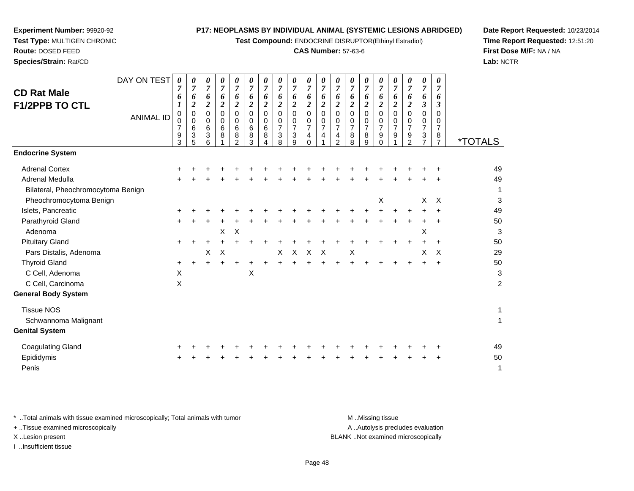**Test Compound:** ENDOCRINE DISRUPTOR(Ethinyl Estradiol)

# **CAS Number:** 57-63-6

**Date Report Requested:** 10/23/2014**Time Report Requested:** 12:51:20**First Dose M/F:** NA / NA**Lab:** NCTR

| <b>CD Rat Male</b><br><b>F1/2PPB TO CTL</b> | DAY ON TEST<br><b>ANIMAL ID</b> | $\theta$<br>7<br>6<br>0<br>0 | U<br>$\overline{7}$<br>6<br>2<br>0<br>0 | 0<br>$\overline{7}$<br>6<br>2<br>0<br>$\mathbf 0$ | 0<br>$\overline{7}$<br>6<br>$\overline{\mathbf{2}}$<br>0<br>0 | 0<br>$\overline{7}$<br>6<br>2<br>0<br>0 | $\boldsymbol{\theta}$<br>$\boldsymbol{7}$<br>6<br>$\boldsymbol{2}$<br>0<br>0 | 0<br>$\overline{7}$<br>6<br>$\boldsymbol{2}$<br>0<br>0 | 0<br>$\overline{7}$<br>6<br>$\boldsymbol{2}$<br>0<br>0 | 0<br>$\overline{7}$<br>6<br>$\overline{c}$<br>0<br>$\mathbf 0$ | 0<br>$\overline{7}$<br>6<br>$\boldsymbol{2}$<br>0<br>0 | 0<br>$\overline{7}$<br>6<br>2<br>0<br>0 | 0<br>$\boldsymbol{7}$<br>6<br>2<br>0<br>0 | 0<br>$\overline{7}$<br>6<br>$\overline{2}$<br>0<br>0 | 0<br>$\overline{7}$<br>6<br>2<br>0<br>0 | 0<br>$\overline{7}$<br>6<br>$\boldsymbol{2}$<br>0<br>0 | 0<br>$\overline{7}$<br>6<br>$\boldsymbol{2}$<br>0<br>0 | 0<br>$\overline{7}$<br>6<br>$\boldsymbol{2}$<br>0<br>$\mathbf 0$ | $\theta$<br>$\overline{7}$<br>6<br>$\mathfrak{z}$<br>0<br>0 | 0<br>$\overline{7}$<br>6<br>3<br>0<br>0 |                         |
|---------------------------------------------|---------------------------------|------------------------------|-----------------------------------------|---------------------------------------------------|---------------------------------------------------------------|-----------------------------------------|------------------------------------------------------------------------------|--------------------------------------------------------|--------------------------------------------------------|----------------------------------------------------------------|--------------------------------------------------------|-----------------------------------------|-------------------------------------------|------------------------------------------------------|-----------------------------------------|--------------------------------------------------------|--------------------------------------------------------|------------------------------------------------------------------|-------------------------------------------------------------|-----------------------------------------|-------------------------|
|                                             |                                 | 7<br>9                       | 6<br>3                                  | $6\phantom{1}6$<br>3                              | 6<br>8                                                        | 6<br>8                                  | 6<br>8                                                                       | 6<br>8                                                 | $\overline{7}$<br>3                                    | $\overline{7}$<br>$\sqrt{3}$                                   | $\overline{7}$<br>4                                    | 7<br>4                                  | $\overline{7}$<br>4                       | $\overline{7}$<br>8                                  | $\overline{7}$<br>8                     | $\overline{7}$<br>9                                    | $\overline{7}$<br>9                                    | $\overline{7}$<br>9                                              | 7<br>3                                                      | $\overline{7}$<br>8                     |                         |
|                                             |                                 | 3                            | 5                                       | 6                                                 |                                                               | $\mathcal{P}$                           | 3                                                                            | 4                                                      | 8                                                      | 9                                                              | $\Omega$                                               |                                         | 2                                         | 8                                                    | 9                                       | $\Omega$                                               |                                                        | $\overline{2}$                                                   | $\overline{7}$                                              | $\overline{7}$                          | <i><b>*TOTALS</b></i>   |
| <b>Endocrine System</b>                     |                                 |                              |                                         |                                                   |                                                               |                                         |                                                                              |                                                        |                                                        |                                                                |                                                        |                                         |                                           |                                                      |                                         |                                                        |                                                        |                                                                  |                                                             |                                         |                         |
| <b>Adrenal Cortex</b>                       |                                 |                              |                                         |                                                   |                                                               |                                         |                                                                              |                                                        |                                                        |                                                                |                                                        |                                         |                                           |                                                      |                                         |                                                        |                                                        |                                                                  |                                                             | ÷                                       | 49                      |
| Adrenal Medulla                             |                                 |                              |                                         |                                                   |                                                               |                                         |                                                                              |                                                        |                                                        |                                                                |                                                        |                                         |                                           |                                                      |                                         |                                                        |                                                        |                                                                  |                                                             |                                         | 49                      |
| Bilateral, Pheochromocytoma Benign          |                                 |                              |                                         |                                                   |                                                               |                                         |                                                                              |                                                        |                                                        |                                                                |                                                        |                                         |                                           |                                                      |                                         |                                                        |                                                        |                                                                  |                                                             |                                         | 1                       |
| Pheochromocytoma Benign                     |                                 |                              |                                         |                                                   |                                                               |                                         |                                                                              |                                                        |                                                        |                                                                |                                                        |                                         |                                           |                                                      |                                         | X                                                      |                                                        |                                                                  | X                                                           | X                                       | 3                       |
| Islets, Pancreatic                          |                                 |                              |                                         |                                                   |                                                               |                                         |                                                                              |                                                        |                                                        |                                                                |                                                        |                                         |                                           |                                                      |                                         |                                                        |                                                        |                                                                  |                                                             |                                         | 49                      |
| Parathyroid Gland                           |                                 |                              |                                         |                                                   |                                                               |                                         |                                                                              |                                                        |                                                        |                                                                |                                                        |                                         |                                           |                                                      |                                         |                                                        |                                                        |                                                                  |                                                             |                                         | 50                      |
| Adenoma                                     |                                 |                              |                                         |                                                   | X                                                             | $\times$                                |                                                                              |                                                        |                                                        |                                                                |                                                        |                                         |                                           |                                                      |                                         |                                                        |                                                        |                                                                  | X                                                           |                                         | 3                       |
| <b>Pituitary Gland</b>                      |                                 | ٠                            |                                         |                                                   |                                                               |                                         |                                                                              |                                                        |                                                        |                                                                |                                                        |                                         |                                           |                                                      |                                         |                                                        |                                                        |                                                                  |                                                             | $\ddot{}$                               | 50                      |
| Pars Distalis, Adenoma                      |                                 |                              |                                         | X                                                 | $\times$                                                      |                                         |                                                                              |                                                        | X                                                      | $\mathsf{X}$                                                   | $\boldsymbol{\mathsf{X}}$                              | $\boldsymbol{\mathsf{X}}$               |                                           | Χ                                                    |                                         |                                                        |                                                        |                                                                  | X                                                           | $\times$                                | 29                      |
| <b>Thyroid Gland</b>                        |                                 | $+$                          | $\ddot{}$                               | ٠                                                 |                                                               | +                                       |                                                                              |                                                        |                                                        |                                                                |                                                        |                                         | $\ddot{}$                                 |                                                      |                                         |                                                        | ٠                                                      | ÷                                                                | $\pm$                                                       | $\ddot{}$                               | 50                      |
| C Cell, Adenoma                             |                                 | X                            |                                         |                                                   |                                                               |                                         | X                                                                            |                                                        |                                                        |                                                                |                                                        |                                         |                                           |                                                      |                                         |                                                        |                                                        |                                                                  |                                                             |                                         | 3                       |
| C Cell, Carcinoma                           |                                 | X                            |                                         |                                                   |                                                               |                                         |                                                                              |                                                        |                                                        |                                                                |                                                        |                                         |                                           |                                                      |                                         |                                                        |                                                        |                                                                  |                                                             |                                         | $\overline{\mathbf{c}}$ |
| <b>General Body System</b>                  |                                 |                              |                                         |                                                   |                                                               |                                         |                                                                              |                                                        |                                                        |                                                                |                                                        |                                         |                                           |                                                      |                                         |                                                        |                                                        |                                                                  |                                                             |                                         |                         |
| <b>Tissue NOS</b>                           |                                 |                              |                                         |                                                   |                                                               |                                         |                                                                              |                                                        |                                                        |                                                                |                                                        |                                         |                                           |                                                      |                                         |                                                        |                                                        |                                                                  |                                                             |                                         | 1                       |
| Schwannoma Malignant                        |                                 |                              |                                         |                                                   |                                                               |                                         |                                                                              |                                                        |                                                        |                                                                |                                                        |                                         |                                           |                                                      |                                         |                                                        |                                                        |                                                                  |                                                             |                                         | 1                       |
| <b>Genital System</b>                       |                                 |                              |                                         |                                                   |                                                               |                                         |                                                                              |                                                        |                                                        |                                                                |                                                        |                                         |                                           |                                                      |                                         |                                                        |                                                        |                                                                  |                                                             |                                         |                         |
|                                             |                                 |                              |                                         |                                                   |                                                               |                                         |                                                                              |                                                        |                                                        |                                                                |                                                        |                                         |                                           |                                                      |                                         |                                                        |                                                        |                                                                  |                                                             |                                         |                         |

| Coagulating Gland |  |  |  |  |  |  |  |  | + + + + + + + + + + + + + + + + + + + |  | 49 |
|-------------------|--|--|--|--|--|--|--|--|---------------------------------------|--|----|
| Epididymis        |  |  |  |  |  |  |  |  | + + + + + + + + + + + + + + + + + + + |  | 50 |
| Penis             |  |  |  |  |  |  |  |  |                                       |  |    |

\* ..Total animals with tissue examined microscopically; Total animals with tumor **M** . Missing tissue M ..Missing tissue + ..Tissue examined microscopically X ..Lesion present BLANK ..Not examined microscopically

I ..Insufficient tissue

**Experiment Number:** 99920-92**Test Type:** MULTIGEN CHRONIC

**Route:** DOSED FEED**Species/Strain:** Rat/CD

A ..Autolysis precludes evaluation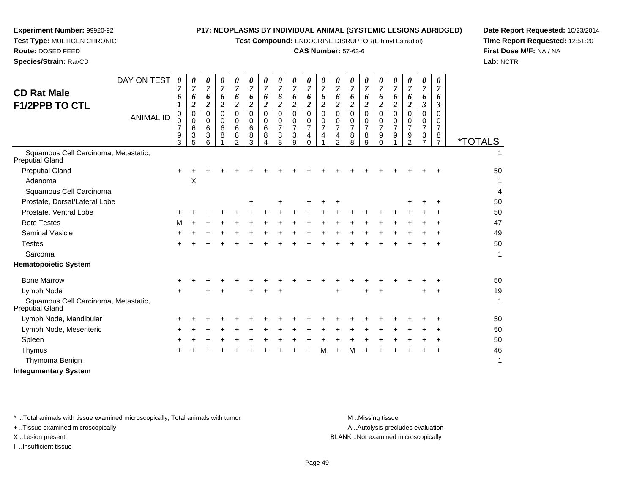**Test Compound:** ENDOCRINE DISRUPTOR(Ethinyl Estradiol)

# **CAS Number:** 57-63-6

**Date Report Requested:** 10/23/2014**Time Report Requested:** 12:51:20**First Dose M/F:** NA / NA**Lab:** NCTR

**Experiment Number:** 99920-92**Test Type:** MULTIGEN CHRONIC

| DAY ON TEST<br><b>CD Rat Male</b>                              | 0                                                    | 0<br>7                                    | 0<br>$\overline{7}$                       | 0<br>$\overline{7}$        | 0                                        | 0<br>7                          | 0<br>$\overline{7}$                       | $\overline{7}$                     | 0<br>$\overline{7}$                          | 0<br>7                                           |                         | 0<br>$\overline{7}$                                       | 0<br>7                                    |                                           | 0<br>7                                    | 0<br>7                               | 0<br>$\overline{7}$                       | 0<br>$\overline{7}$                                     | 0<br>7                                                 |                       |
|----------------------------------------------------------------|------------------------------------------------------|-------------------------------------------|-------------------------------------------|----------------------------|------------------------------------------|---------------------------------|-------------------------------------------|------------------------------------|----------------------------------------------|--------------------------------------------------|-------------------------|-----------------------------------------------------------|-------------------------------------------|-------------------------------------------|-------------------------------------------|--------------------------------------|-------------------------------------------|---------------------------------------------------------|--------------------------------------------------------|-----------------------|
|                                                                | 6                                                    | 6<br>$\overline{\mathbf{c}}$              | 6<br>$\overline{c}$                       | 6<br>$\overline{c}$        | 6<br>$\boldsymbol{2}$                    | 6<br>$\overline{2}$             | 6<br>$\boldsymbol{2}$                     | 6<br>$\overline{\mathbf{c}}$       | 6<br>$\boldsymbol{2}$                        | 6<br>$\boldsymbol{2}$                            | 6<br>$\boldsymbol{2}$   | 6<br>$\boldsymbol{2}$                                     | 6<br>$\overline{2}$                       | 6<br>2                                    | 6<br>$\overline{\mathbf{c}}$              | 6<br>$\overline{c}$                  | 6<br>$\boldsymbol{2}$                     | 6<br>$\mathfrak{z}$                                     | 6<br>3                                                 |                       |
| <b>F1/2PPB TO CTL</b><br><b>ANIMAL ID</b>                      | $\pmb{0}$<br>$\mathbf 0$<br>$\overline{7}$<br>9<br>3 | $\mathbf 0$<br>$\mathbf 0$<br>6<br>3<br>5 | $\mathbf 0$<br>$\mathbf 0$<br>6<br>3<br>6 | $\mathbf 0$<br>0<br>6<br>8 | $\Omega$<br>0<br>6<br>8<br>$\mathcal{P}$ | $\mathbf 0$<br>0<br>6<br>8<br>3 | $\mathbf 0$<br>$\mathbf 0$<br>6<br>8<br>4 | 0<br>0<br>$\overline{7}$<br>3<br>8 | $\mathbf 0$<br>0<br>$\overline{7}$<br>3<br>9 | $\Omega$<br>0<br>$\overline{7}$<br>4<br>$\Omega$ | $\Omega$<br>0<br>7<br>4 | $\mathbf 0$<br>0<br>$\overline{7}$<br>4<br>$\overline{2}$ | $\Omega$<br>0<br>$\overline{7}$<br>8<br>8 | $\Omega$<br>0<br>$\overline{7}$<br>8<br>9 | 0<br>0<br>$\overline{7}$<br>9<br>$\Omega$ | $\Omega$<br>0<br>$\overline{7}$<br>9 | $\Omega$<br>0<br>$\overline{7}$<br>9<br>2 | $\pmb{0}$<br>0<br>$\overline{7}$<br>3<br>$\overline{7}$ | $\Omega$<br>0<br>$\overline{7}$<br>8<br>$\overline{7}$ | <i><b>*TOTALS</b></i> |
| Squamous Cell Carcinoma, Metastatic,<br><b>Preputial Gland</b> |                                                      |                                           |                                           |                            |                                          |                                 |                                           |                                    |                                              |                                                  |                         |                                                           |                                           |                                           |                                           |                                      |                                           |                                                         |                                                        |                       |
| <b>Preputial Gland</b>                                         | $\pm$                                                |                                           |                                           |                            |                                          |                                 |                                           |                                    |                                              |                                                  |                         |                                                           |                                           |                                           |                                           |                                      |                                           |                                                         |                                                        | 50                    |
| Adenoma                                                        |                                                      | X                                         |                                           |                            |                                          |                                 |                                           |                                    |                                              |                                                  |                         |                                                           |                                           |                                           |                                           |                                      |                                           |                                                         |                                                        | 1                     |
| Squamous Cell Carcinoma                                        |                                                      |                                           |                                           |                            |                                          |                                 |                                           |                                    |                                              |                                                  |                         |                                                           |                                           |                                           |                                           |                                      |                                           |                                                         |                                                        | 4                     |
| Prostate, Dorsal/Lateral Lobe                                  |                                                      |                                           |                                           |                            |                                          | +                               |                                           |                                    |                                              |                                                  |                         |                                                           |                                           |                                           |                                           |                                      |                                           |                                                         |                                                        | 50                    |
| Prostate, Ventral Lobe                                         |                                                      |                                           |                                           |                            |                                          |                                 |                                           |                                    |                                              |                                                  |                         |                                                           |                                           |                                           |                                           |                                      |                                           |                                                         |                                                        | 50                    |
| <b>Rete Testes</b>                                             | м                                                    |                                           |                                           |                            |                                          |                                 |                                           |                                    |                                              |                                                  |                         |                                                           |                                           |                                           |                                           |                                      |                                           |                                                         |                                                        | 47                    |
| <b>Seminal Vesicle</b>                                         |                                                      |                                           |                                           |                            |                                          |                                 |                                           |                                    |                                              |                                                  |                         |                                                           |                                           |                                           |                                           |                                      |                                           |                                                         |                                                        | 49                    |
| <b>Testes</b>                                                  |                                                      |                                           |                                           |                            |                                          |                                 |                                           |                                    |                                              |                                                  |                         |                                                           |                                           |                                           |                                           |                                      |                                           |                                                         |                                                        | 50                    |
| Sarcoma                                                        |                                                      |                                           |                                           |                            |                                          |                                 |                                           |                                    |                                              |                                                  |                         |                                                           |                                           |                                           |                                           |                                      |                                           |                                                         |                                                        | 1                     |
| <b>Hematopoietic System</b>                                    |                                                      |                                           |                                           |                            |                                          |                                 |                                           |                                    |                                              |                                                  |                         |                                                           |                                           |                                           |                                           |                                      |                                           |                                                         |                                                        |                       |
| <b>Bone Marrow</b>                                             |                                                      |                                           |                                           |                            |                                          |                                 |                                           |                                    |                                              |                                                  |                         |                                                           |                                           |                                           |                                           |                                      |                                           |                                                         |                                                        | 50                    |
| Lymph Node                                                     |                                                      |                                           |                                           |                            |                                          |                                 |                                           |                                    |                                              |                                                  |                         | +                                                         |                                           |                                           |                                           |                                      |                                           |                                                         |                                                        | 19                    |
| Squamous Cell Carcinoma, Metastatic,<br><b>Preputial Gland</b> |                                                      |                                           |                                           |                            |                                          |                                 |                                           |                                    |                                              |                                                  |                         |                                                           |                                           |                                           |                                           |                                      |                                           |                                                         |                                                        | 1                     |
| Lymph Node, Mandibular                                         |                                                      |                                           |                                           |                            |                                          |                                 |                                           |                                    |                                              |                                                  |                         |                                                           |                                           |                                           |                                           |                                      |                                           |                                                         |                                                        | 50                    |
| Lymph Node, Mesenteric                                         | ÷                                                    |                                           |                                           |                            |                                          |                                 |                                           |                                    |                                              |                                                  |                         |                                                           |                                           |                                           |                                           |                                      |                                           |                                                         |                                                        | 50                    |
| Spleen                                                         |                                                      |                                           |                                           |                            |                                          |                                 |                                           |                                    |                                              |                                                  |                         |                                                           |                                           |                                           |                                           |                                      |                                           |                                                         |                                                        | 50                    |
| Thymus                                                         |                                                      |                                           |                                           |                            |                                          |                                 |                                           |                                    |                                              |                                                  | м                       |                                                           | м                                         |                                           |                                           |                                      |                                           |                                                         |                                                        | 46                    |
| Thymoma Benign                                                 |                                                      |                                           |                                           |                            |                                          |                                 |                                           |                                    |                                              |                                                  |                         |                                                           |                                           |                                           |                                           |                                      |                                           |                                                         |                                                        | 1                     |

 $\top$ 

 $\top$ <u>and the second</u>

\* ..Total animals with tissue examined microscopically; Total animals with tumor **M** ...Missing tissue M ...Missing tissue

+ ..Tissue examined microscopically

I ..Insufficient tissue

A ..Autolysis precludes evaluation

**Integumentary System**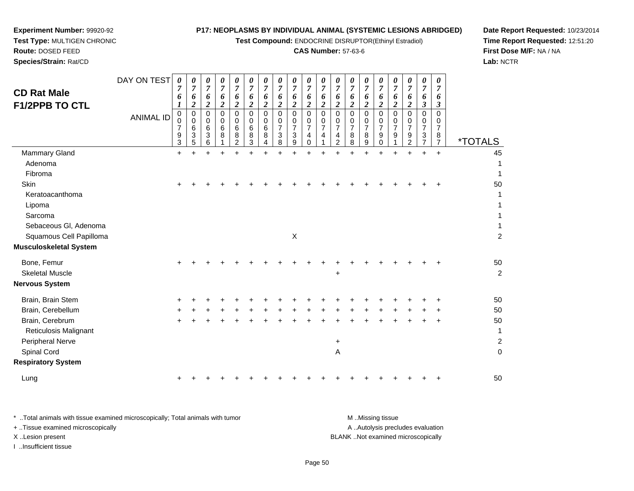**Test Compound:** ENDOCRINE DISRUPTOR(Ethinyl Estradiol)

# **CAS Number:** 57-63-6

**Date Report Requested:** 10/23/2014 **Time Report Requested:** 12:51:20**First Dose M/F:** NA / NA**Lab:** NCTR

| <b>CD Rat Male</b><br><b>F1/2PPB TO CTL</b> | DAY ON TEST<br><b>ANIMAL ID</b> | 0<br>7<br>6<br>$\mathbf 0$<br>$\mathbf 0$<br>7<br>9<br>3 | 0<br>7<br>6<br>$\overline{c}$<br>$\mathbf 0$<br>$\mathbf 0$<br>6<br>3<br>5 | 0<br>7<br>6<br>$\boldsymbol{2}$<br>$\Omega$<br>$\mathbf 0$<br>6<br>3<br>6 | 0<br>$\overline{7}$<br>6<br>$\boldsymbol{2}$<br>$\mathbf 0$<br>0<br>6<br>8 | 0<br>7<br>6<br>$\overline{2}$<br>$\Omega$<br>0<br>6<br>8<br>$\overline{2}$ | 0<br>$\overline{7}$<br>6<br>2<br>$\Omega$<br>0<br>6<br>8<br>3 | 0<br>7<br>6<br>$\boldsymbol{2}$<br>$\Omega$<br>0<br>6<br>8 | $\pmb{\theta}$<br>$\overline{7}$<br>6<br>$\boldsymbol{2}$<br>$\Omega$<br>0<br>$\overline{7}$<br>3<br>8 | 0<br>$\overline{7}$<br>6<br>2<br>$\Omega$<br>0<br>$\overline{7}$<br>$\ensuremath{\mathsf{3}}$<br>9 | 0<br>$\overline{7}$<br>6<br>$\boldsymbol{2}$<br>$\Omega$<br>0<br>$\overline{7}$<br>4<br>0 | 0<br>$\boldsymbol{7}$<br>6<br>$\overline{\mathbf{c}}$<br>$\mathbf 0$<br>0<br>$\overline{7}$<br>4 | 0<br>7<br>6<br>$\boldsymbol{2}$<br>$\mathbf 0$<br>0<br>$\overline{7}$<br>4<br>$\overline{2}$ | 0<br>7<br>6<br>2<br>$\Omega$<br>0<br>$\overline{7}$<br>8<br>8 | 0<br>$\overline{7}$<br>6<br>2<br>$\Omega$<br>0<br>$\overline{7}$<br>8<br>9 | 0<br>$\overline{7}$<br>6<br>$\boldsymbol{2}$<br>$\Omega$<br>0<br>$\overline{7}$<br>9<br>0 | 0<br>7<br>6<br>$\overline{2}$<br>$\Omega$<br>0<br>$\overline{7}$<br>9 | 0<br>7<br>6<br>2<br>$\Omega$<br>0<br>$\overline{7}$<br>9<br>2 | $\pmb{\theta}$<br>$\overline{7}$<br>6<br>$\mathfrak{z}$<br>$\Omega$<br>0<br>$\overline{7}$<br>3<br>$\overline{7}$ | 0<br>7<br>6<br>3<br>$\Omega$<br>0<br>7<br>8<br>$\overline{7}$ | <i><b>*TOTALS</b></i> |
|---------------------------------------------|---------------------------------|----------------------------------------------------------|----------------------------------------------------------------------------|---------------------------------------------------------------------------|----------------------------------------------------------------------------|----------------------------------------------------------------------------|---------------------------------------------------------------|------------------------------------------------------------|--------------------------------------------------------------------------------------------------------|----------------------------------------------------------------------------------------------------|-------------------------------------------------------------------------------------------|--------------------------------------------------------------------------------------------------|----------------------------------------------------------------------------------------------|---------------------------------------------------------------|----------------------------------------------------------------------------|-------------------------------------------------------------------------------------------|-----------------------------------------------------------------------|---------------------------------------------------------------|-------------------------------------------------------------------------------------------------------------------|---------------------------------------------------------------|-----------------------|
| Mammary Gland                               |                                 | $\pm$                                                    |                                                                            |                                                                           |                                                                            |                                                                            |                                                               |                                                            |                                                                                                        |                                                                                                    |                                                                                           |                                                                                                  |                                                                                              |                                                               |                                                                            |                                                                                           | +                                                                     |                                                               | $\ddot{}$                                                                                                         | $\ddot{}$                                                     | 45                    |
| Adenoma                                     |                                 |                                                          |                                                                            |                                                                           |                                                                            |                                                                            |                                                               |                                                            |                                                                                                        |                                                                                                    |                                                                                           |                                                                                                  |                                                                                              |                                                               |                                                                            |                                                                                           |                                                                       |                                                               |                                                                                                                   |                                                               | 1                     |
| Fibroma                                     |                                 |                                                          |                                                                            |                                                                           |                                                                            |                                                                            |                                                               |                                                            |                                                                                                        |                                                                                                    |                                                                                           |                                                                                                  |                                                                                              |                                                               |                                                                            |                                                                                           |                                                                       |                                                               |                                                                                                                   |                                                               | 1                     |
| Skin                                        |                                 |                                                          |                                                                            |                                                                           |                                                                            |                                                                            |                                                               |                                                            |                                                                                                        |                                                                                                    |                                                                                           |                                                                                                  |                                                                                              |                                                               |                                                                            |                                                                                           |                                                                       |                                                               |                                                                                                                   |                                                               | 50                    |
| Keratoacanthoma                             |                                 |                                                          |                                                                            |                                                                           |                                                                            |                                                                            |                                                               |                                                            |                                                                                                        |                                                                                                    |                                                                                           |                                                                                                  |                                                                                              |                                                               |                                                                            |                                                                                           |                                                                       |                                                               |                                                                                                                   |                                                               | 1                     |
| Lipoma                                      |                                 |                                                          |                                                                            |                                                                           |                                                                            |                                                                            |                                                               |                                                            |                                                                                                        |                                                                                                    |                                                                                           |                                                                                                  |                                                                                              |                                                               |                                                                            |                                                                                           |                                                                       |                                                               |                                                                                                                   |                                                               | 1                     |
| Sarcoma                                     |                                 |                                                          |                                                                            |                                                                           |                                                                            |                                                                            |                                                               |                                                            |                                                                                                        |                                                                                                    |                                                                                           |                                                                                                  |                                                                                              |                                                               |                                                                            |                                                                                           |                                                                       |                                                               |                                                                                                                   |                                                               | 1                     |
| Sebaceous Gl, Adenoma                       |                                 |                                                          |                                                                            |                                                                           |                                                                            |                                                                            |                                                               |                                                            |                                                                                                        |                                                                                                    |                                                                                           |                                                                                                  |                                                                                              |                                                               |                                                                            |                                                                                           |                                                                       |                                                               |                                                                                                                   |                                                               | 1                     |
| Squamous Cell Papilloma                     |                                 |                                                          |                                                                            |                                                                           |                                                                            |                                                                            |                                                               |                                                            |                                                                                                        | $\pmb{\times}$                                                                                     |                                                                                           |                                                                                                  |                                                                                              |                                                               |                                                                            |                                                                                           |                                                                       |                                                               |                                                                                                                   |                                                               | $\overline{2}$        |
| Musculoskeletal System                      |                                 |                                                          |                                                                            |                                                                           |                                                                            |                                                                            |                                                               |                                                            |                                                                                                        |                                                                                                    |                                                                                           |                                                                                                  |                                                                                              |                                                               |                                                                            |                                                                                           |                                                                       |                                                               |                                                                                                                   |                                                               |                       |
| Bone, Femur                                 |                                 |                                                          |                                                                            |                                                                           |                                                                            |                                                                            |                                                               |                                                            |                                                                                                        |                                                                                                    |                                                                                           |                                                                                                  |                                                                                              |                                                               |                                                                            |                                                                                           |                                                                       |                                                               |                                                                                                                   |                                                               | 50                    |
| <b>Skeletal Muscle</b>                      |                                 |                                                          |                                                                            |                                                                           |                                                                            |                                                                            |                                                               |                                                            |                                                                                                        |                                                                                                    |                                                                                           |                                                                                                  | $\ddot{}$                                                                                    |                                                               |                                                                            |                                                                                           |                                                                       |                                                               |                                                                                                                   |                                                               | $\overline{c}$        |
| Nervous System                              |                                 |                                                          |                                                                            |                                                                           |                                                                            |                                                                            |                                                               |                                                            |                                                                                                        |                                                                                                    |                                                                                           |                                                                                                  |                                                                                              |                                                               |                                                                            |                                                                                           |                                                                       |                                                               |                                                                                                                   |                                                               |                       |
| Brain, Brain Stem                           |                                 |                                                          |                                                                            |                                                                           |                                                                            |                                                                            |                                                               |                                                            |                                                                                                        |                                                                                                    |                                                                                           |                                                                                                  |                                                                                              |                                                               |                                                                            |                                                                                           |                                                                       |                                                               |                                                                                                                   |                                                               | 50                    |
| Brain, Cerebellum                           |                                 |                                                          |                                                                            |                                                                           |                                                                            |                                                                            |                                                               |                                                            |                                                                                                        |                                                                                                    |                                                                                           |                                                                                                  |                                                                                              |                                                               |                                                                            |                                                                                           |                                                                       |                                                               |                                                                                                                   |                                                               | 50                    |
| Brain, Cerebrum                             |                                 |                                                          |                                                                            |                                                                           |                                                                            |                                                                            |                                                               |                                                            |                                                                                                        |                                                                                                    |                                                                                           |                                                                                                  |                                                                                              |                                                               |                                                                            |                                                                                           |                                                                       |                                                               |                                                                                                                   |                                                               | 50                    |
| Reticulosis Malignant                       |                                 |                                                          |                                                                            |                                                                           |                                                                            |                                                                            |                                                               |                                                            |                                                                                                        |                                                                                                    |                                                                                           |                                                                                                  |                                                                                              |                                                               |                                                                            |                                                                                           |                                                                       |                                                               |                                                                                                                   |                                                               | 1                     |
| Peripheral Nerve                            |                                 |                                                          |                                                                            |                                                                           |                                                                            |                                                                            |                                                               |                                                            |                                                                                                        |                                                                                                    |                                                                                           |                                                                                                  | $\ddot{}$                                                                                    |                                                               |                                                                            |                                                                                           |                                                                       |                                                               |                                                                                                                   |                                                               | $\overline{c}$        |
| Spinal Cord                                 |                                 |                                                          |                                                                            |                                                                           |                                                                            |                                                                            |                                                               |                                                            |                                                                                                        |                                                                                                    |                                                                                           |                                                                                                  | $\overline{\mathsf{A}}$                                                                      |                                                               |                                                                            |                                                                                           |                                                                       |                                                               |                                                                                                                   |                                                               | $\mathbf 0$           |
| <b>Respiratory System</b>                   |                                 |                                                          |                                                                            |                                                                           |                                                                            |                                                                            |                                                               |                                                            |                                                                                                        |                                                                                                    |                                                                                           |                                                                                                  |                                                                                              |                                                               |                                                                            |                                                                                           |                                                                       |                                                               |                                                                                                                   |                                                               |                       |
|                                             |                                 |                                                          |                                                                            |                                                                           |                                                                            |                                                                            |                                                               |                                                            |                                                                                                        |                                                                                                    |                                                                                           |                                                                                                  |                                                                                              |                                                               |                                                                            |                                                                                           |                                                                       |                                                               |                                                                                                                   |                                                               |                       |

| Lung |  | ÷ |
|------|--|---|
|------|--|---|

**Experiment Number:** 99920-92**Test Type:** MULTIGEN CHRONIC

**Route:** DOSED FEED**Species/Strain:** Rat/CD

| * Total animals with tissue examined microscopically; Total animals with tumor | M Missing tissue                   |
|--------------------------------------------------------------------------------|------------------------------------|
| + Tissue examined microscopically                                              | A Autolysis precludes evaluation   |
| X Lesion present                                                               | BLANK Not examined microscopically |
| …Insufficient tissue                                                           |                                    |

<sup>+</sup> <sup>+</sup> <sup>+</sup> <sup>+</sup> <sup>+</sup> <sup>+</sup> <sup>+</sup> <sup>+</sup> <sup>+</sup> <sup>+</sup> <sup>+</sup> <sup>+</sup> <sup>+</sup> <sup>+</sup> <sup>+</sup> <sup>+</sup> <sup>+</sup> <sup>+</sup> <sup>50</sup>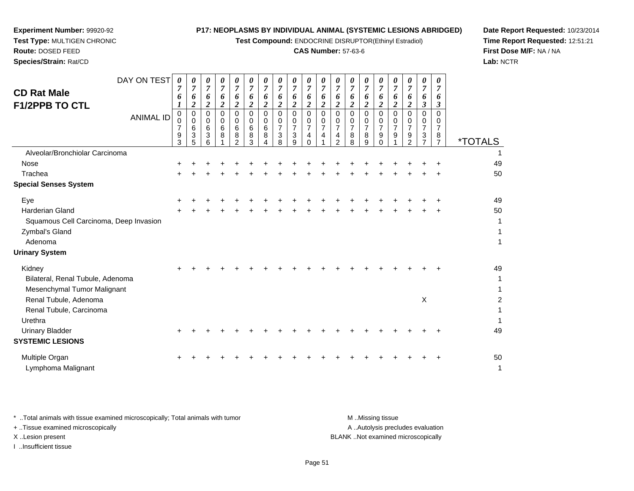**Test Compound:** ENDOCRINE DISRUPTOR(Ethinyl Estradiol)

# **CAS Number:** 57-63-6

**Date Report Requested:** 10/23/2014**Time Report Requested:** 12:51:21**First Dose M/F:** NA / NA**Lab:** NCTR

 $\overline{2}$ 

| <b>CD Rat Male</b><br><b>F1/2PPB TO CTL</b>       | DAY ON TEST<br><b>ANIMAL ID</b> | 0<br>6<br>$\mathbf 0$<br>0<br>$\overline{7}$<br>9<br>3 | $\boldsymbol{\theta}$<br>$\overline{7}$<br>6<br>2<br>$\mathbf 0$<br>$\pmb{0}$<br>6<br>3<br>5 | 0<br>7<br>6<br>$\overline{\mathbf{2}}$<br>$\Omega$<br>0<br>6<br>3<br>6 | 0<br>$\boldsymbol{7}$<br>6<br>$\overline{\mathbf{c}}$<br>$\Omega$<br>0<br>6<br>8 | 0<br>7<br>6<br>$\boldsymbol{2}$<br>$\Omega$<br>0<br>6<br>8<br>$\mathfrak{D}$ | $\boldsymbol{\theta}$<br>$\overline{7}$<br>6<br>$\boldsymbol{2}$<br>$\Omega$<br>0<br>6<br>8<br>3 | U<br>$\overline{7}$<br>6<br>$\boldsymbol{2}$<br>$\Omega$<br>0<br>6<br>8 | 0<br>7<br>6<br>$\overline{2}$<br>$\Omega$<br>0<br>$\overline{7}$<br>3<br>8 | 0<br>$\overline{7}$<br>6<br>2<br>$\Omega$<br>0<br>$\overline{7}$<br>3<br>9 | 0<br>7<br>6<br>$\boldsymbol{2}$<br>$\mathbf 0$<br>0<br>$\overline{7}$<br>4<br>$\Omega$ | U<br>7<br>6<br>$\overline{2}$<br>$\Omega$<br>$\Omega$<br>$\overline{7}$<br>4 | $\overline{7}$<br>6<br>2<br>$\Omega$<br>$\Omega$<br>$\overline{7}$<br>4<br>$\mathcal{P}$ | 7<br>6<br>$\overline{\mathbf{2}}$<br>$\Omega$<br>$\Omega$<br>$\overline{7}$<br>8<br>8 | 0<br>6<br>2<br>$\Omega$<br>0<br>7<br>8<br>9 | 7<br>6<br>$\boldsymbol{2}$<br>$\Omega$<br>0<br>$\overline{7}$<br>9<br>$\Omega$ | $\boldsymbol{\theta}$<br>$\overline{7}$<br>6<br>$\overline{c}$<br>$\Omega$<br>0<br>$\overline{7}$<br>9 | 0<br>$\overline{7}$<br>6<br>$\boldsymbol{2}$<br>$\Omega$<br>0<br>$\overline{7}$<br>9<br>$\mathcal{P}$ | 0<br>7<br>6<br>3<br>$\Omega$<br>0<br>$\overline{7}$<br>3<br>$\overline{ }$ | 0<br>6<br>$\boldsymbol{\beta}$<br>$\Omega$<br>0<br>7<br>8<br>$\overline{7}$ | <i><b>*TOTALS</b></i> |
|---------------------------------------------------|---------------------------------|--------------------------------------------------------|----------------------------------------------------------------------------------------------|------------------------------------------------------------------------|----------------------------------------------------------------------------------|------------------------------------------------------------------------------|--------------------------------------------------------------------------------------------------|-------------------------------------------------------------------------|----------------------------------------------------------------------------|----------------------------------------------------------------------------|----------------------------------------------------------------------------------------|------------------------------------------------------------------------------|------------------------------------------------------------------------------------------|---------------------------------------------------------------------------------------|---------------------------------------------|--------------------------------------------------------------------------------|--------------------------------------------------------------------------------------------------------|-------------------------------------------------------------------------------------------------------|----------------------------------------------------------------------------|-----------------------------------------------------------------------------|-----------------------|
| Alveolar/Bronchiolar Carcinoma                    |                                 |                                                        |                                                                                              |                                                                        |                                                                                  |                                                                              |                                                                                                  |                                                                         |                                                                            |                                                                            |                                                                                        |                                                                              |                                                                                          |                                                                                       |                                             |                                                                                |                                                                                                        |                                                                                                       |                                                                            |                                                                             |                       |
| Nose                                              |                                 |                                                        |                                                                                              |                                                                        |                                                                                  |                                                                              |                                                                                                  |                                                                         |                                                                            |                                                                            |                                                                                        |                                                                              |                                                                                          |                                                                                       |                                             |                                                                                |                                                                                                        |                                                                                                       |                                                                            |                                                                             | 49                    |
| Trachea                                           |                                 |                                                        |                                                                                              |                                                                        |                                                                                  |                                                                              |                                                                                                  |                                                                         |                                                                            |                                                                            |                                                                                        |                                                                              |                                                                                          |                                                                                       |                                             |                                                                                |                                                                                                        |                                                                                                       |                                                                            |                                                                             | 50                    |
| <b>Special Senses System</b>                      |                                 |                                                        |                                                                                              |                                                                        |                                                                                  |                                                                              |                                                                                                  |                                                                         |                                                                            |                                                                            |                                                                                        |                                                                              |                                                                                          |                                                                                       |                                             |                                                                                |                                                                                                        |                                                                                                       |                                                                            |                                                                             |                       |
| Eye                                               |                                 |                                                        |                                                                                              |                                                                        |                                                                                  |                                                                              |                                                                                                  |                                                                         |                                                                            |                                                                            |                                                                                        |                                                                              |                                                                                          |                                                                                       |                                             |                                                                                |                                                                                                        |                                                                                                       |                                                                            |                                                                             | 49                    |
| <b>Harderian Gland</b>                            |                                 |                                                        |                                                                                              |                                                                        |                                                                                  |                                                                              |                                                                                                  |                                                                         |                                                                            |                                                                            |                                                                                        |                                                                              |                                                                                          |                                                                                       |                                             |                                                                                |                                                                                                        |                                                                                                       |                                                                            |                                                                             | 50                    |
| Squamous Cell Carcinoma, Deep Invasion            |                                 |                                                        |                                                                                              |                                                                        |                                                                                  |                                                                              |                                                                                                  |                                                                         |                                                                            |                                                                            |                                                                                        |                                                                              |                                                                                          |                                                                                       |                                             |                                                                                |                                                                                                        |                                                                                                       |                                                                            |                                                                             | 1                     |
| Zymbal's Gland                                    |                                 |                                                        |                                                                                              |                                                                        |                                                                                  |                                                                              |                                                                                                  |                                                                         |                                                                            |                                                                            |                                                                                        |                                                                              |                                                                                          |                                                                                       |                                             |                                                                                |                                                                                                        |                                                                                                       |                                                                            |                                                                             |                       |
| Adenoma                                           |                                 |                                                        |                                                                                              |                                                                        |                                                                                  |                                                                              |                                                                                                  |                                                                         |                                                                            |                                                                            |                                                                                        |                                                                              |                                                                                          |                                                                                       |                                             |                                                                                |                                                                                                        |                                                                                                       |                                                                            |                                                                             |                       |
| <b>Urinary System</b>                             |                                 |                                                        |                                                                                              |                                                                        |                                                                                  |                                                                              |                                                                                                  |                                                                         |                                                                            |                                                                            |                                                                                        |                                                                              |                                                                                          |                                                                                       |                                             |                                                                                |                                                                                                        |                                                                                                       |                                                                            |                                                                             |                       |
| Kidney                                            |                                 |                                                        |                                                                                              |                                                                        |                                                                                  |                                                                              |                                                                                                  |                                                                         |                                                                            |                                                                            |                                                                                        |                                                                              |                                                                                          |                                                                                       |                                             |                                                                                |                                                                                                        |                                                                                                       |                                                                            |                                                                             | 49                    |
| Bilateral, Renal Tubule, Adenoma                  |                                 |                                                        |                                                                                              |                                                                        |                                                                                  |                                                                              |                                                                                                  |                                                                         |                                                                            |                                                                            |                                                                                        |                                                                              |                                                                                          |                                                                                       |                                             |                                                                                |                                                                                                        |                                                                                                       |                                                                            |                                                                             | 1                     |
| Mesenchymal Tumor Malignant                       |                                 |                                                        |                                                                                              |                                                                        |                                                                                  |                                                                              |                                                                                                  |                                                                         |                                                                            |                                                                            |                                                                                        |                                                                              |                                                                                          |                                                                                       |                                             |                                                                                |                                                                                                        |                                                                                                       |                                                                            |                                                                             |                       |
| Renal Tubule, Adenoma                             |                                 |                                                        |                                                                                              |                                                                        |                                                                                  |                                                                              |                                                                                                  |                                                                         |                                                                            |                                                                            |                                                                                        |                                                                              |                                                                                          |                                                                                       |                                             |                                                                                |                                                                                                        |                                                                                                       | X                                                                          |                                                                             |                       |
| Renal Tubule, Carcinoma                           |                                 |                                                        |                                                                                              |                                                                        |                                                                                  |                                                                              |                                                                                                  |                                                                         |                                                                            |                                                                            |                                                                                        |                                                                              |                                                                                          |                                                                                       |                                             |                                                                                |                                                                                                        |                                                                                                       |                                                                            |                                                                             |                       |
| Urethra                                           |                                 |                                                        |                                                                                              |                                                                        |                                                                                  |                                                                              |                                                                                                  |                                                                         |                                                                            |                                                                            |                                                                                        |                                                                              |                                                                                          |                                                                                       |                                             |                                                                                |                                                                                                        |                                                                                                       |                                                                            |                                                                             |                       |
| <b>Urinary Bladder</b><br><b>SYSTEMIC LESIONS</b> |                                 |                                                        |                                                                                              |                                                                        |                                                                                  |                                                                              |                                                                                                  |                                                                         |                                                                            |                                                                            |                                                                                        |                                                                              |                                                                                          |                                                                                       |                                             |                                                                                |                                                                                                        |                                                                                                       |                                                                            |                                                                             | 49                    |
|                                                   |                                 |                                                        |                                                                                              |                                                                        |                                                                                  |                                                                              |                                                                                                  |                                                                         |                                                                            |                                                                            |                                                                                        |                                                                              |                                                                                          |                                                                                       |                                             |                                                                                |                                                                                                        |                                                                                                       |                                                                            |                                                                             |                       |

**Experiment Number:** 99920-92**Test Type:** MULTIGEN CHRONIC

**Route:** DOSED FEED**Species/Strain:** Rat/CD

Multiple Organn  $+$  <sup>+</sup> <sup>+</sup> <sup>+</sup> <sup>+</sup> <sup>+</sup> <sup>+</sup> <sup>+</sup> <sup>+</sup> <sup>+</sup> <sup>+</sup> <sup>+</sup> <sup>+</sup> <sup>+</sup> <sup>+</sup> <sup>+</sup> <sup>+</sup> <sup>+</sup> <sup>+</sup> <sup>50</sup> Lymphoma Malignantt de la construction de la construction de la construction de la construction de la construction de la construction<br>La construction de la construction de la construction de la construction de la construction de la construc

\* ..Total animals with tissue examined microscopically; Total animals with tumor **M** ...Missing tissue M ...Missing tissue A .. Autolysis precludes evaluation + ..Tissue examined microscopically X ..Lesion present BLANK ..Not examined microscopicallyI ..Insufficient tissue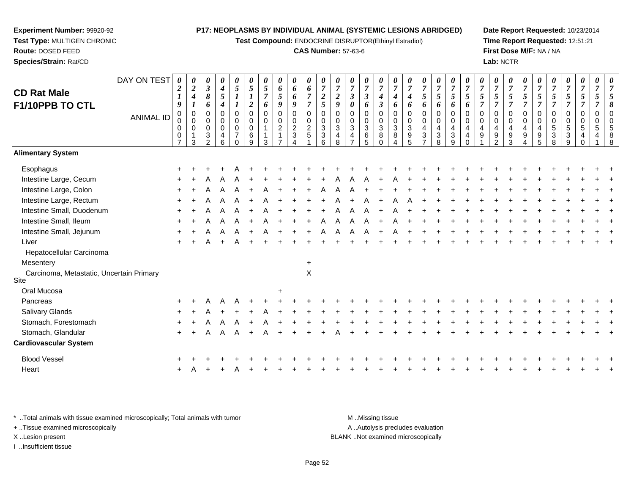**Test Compound:** ENDOCRINE DISRUPTOR(Ethinyl Estradiol)

#### **CAS Number:** 57-63-6

**Date Report Requested:** 10/23/2014**Time Report Requested:** 12:51:21**First Dose M/F:** NA / NA**Lab:** NCTR

| DAY ON TEST<br><b>CD Rat Male</b><br>F1/10PPB TO CTL | <b>ANIMAL ID</b> | 0<br>$\boldsymbol{2}$<br>1<br>9<br>0<br>0<br>$\mathbf 0$<br>0<br>$\overline{7}$ | $\boldsymbol{\theta}$<br>$\boldsymbol{2}$<br>$\boldsymbol{4}$<br>1<br>$\Omega$<br>$\mathbf 0$<br>$\mathbf 0$<br>3 | 0<br>$\boldsymbol{\beta}$<br>$\pmb{8}$<br>6<br>$\mathbf{0}$<br>$\mathbf 0$<br>$\mathbf 0$<br>$\sqrt{3}$<br>$\mathcal{P}$ | $\pmb{\theta}$<br>$\boldsymbol{4}$<br>$\sqrt{5}$<br>4<br>0<br>0<br>$\pmb{0}$<br>4<br>6 | $\boldsymbol{\theta}$<br>$\mathfrak{s}$<br>$\boldsymbol{l}$<br>$\boldsymbol{l}$<br>$\mathbf 0$<br>$\mathbf 0$<br>$\pmb{0}$<br>$\overline{7}$<br>$\Omega$ | 0<br>5<br>2<br>$\Omega$<br>0<br>$\mathbf 0$<br>6<br>9 | 0<br>$\mathfrak{s}$<br>$\overline{7}$<br>6<br>0<br>0<br>3 | 0<br>6<br>5<br>9<br>0<br>$\pmb{0}$<br>$\overline{c}$<br>$\mathbf{1}$ | 0<br>6<br>6<br>9<br>0<br>$\mathbf 0$<br>$\overline{2}$<br>$\mathfrak{S}$<br>$\Delta$ | $\boldsymbol{\theta}$<br>6<br>$\overline{7}$<br>$\overline{7}$<br>$\mathbf 0$<br>$\frac{0}{2}$<br>$\overline{5}$ | 0<br>$\overline{7}$<br>$\overline{\mathbf{c}}$<br>5<br>0<br>$\mathbf 0$<br>$\sqrt{3}$<br>3<br>6 | 0<br>$\overline{7}$<br>$\boldsymbol{2}$<br>$\boldsymbol{g}$<br>$\Omega$<br>0<br>$\mathbf{3}$<br>4<br>8 | 0<br>$\overline{7}$<br>$\boldsymbol{\mathfrak{z}}$<br>0<br>$\Omega$<br>0<br>$\mathbf{3}$<br>4 | 0<br>$\boldsymbol{7}$<br>$\boldsymbol{\mathfrak{z}}$<br>6<br>$\Omega$<br>0<br>$\mathbf{3}$<br>6<br>5 | 0<br>$\overline{7}$<br>$\boldsymbol{4}$<br>$\boldsymbol{\beta}$<br>$\mathbf 0$<br>$\pmb{0}$<br>$\sqrt{3}$<br>8<br>$\Omega$ | $\overline{7}$<br>4<br>6<br>$\Omega$<br>0<br>$\mathbf{3}$<br>8<br>Δ | 0<br>$\overline{7}$<br>$\boldsymbol{4}$<br>6<br>$\mathbf 0$<br>$\mathbf 0$<br>$\mathbf{3}$<br>$9\,$<br>$\overline{5}$ | 0<br>7<br>5<br>6<br>0<br>$\mathbf 0$<br>$\overline{\mathbf{4}}$<br>$\sqrt{3}$<br>$\overline{ }$ | 0<br>$\overline{7}$<br>$\sqrt{5}$<br>6<br>$\mathbf 0$<br>$\pmb{0}$<br>$\overline{\mathbf{4}}$<br>$\ensuremath{\mathsf{3}}$<br>8 | 0<br>$\overline{7}$<br>$\mathfrak{H}$<br>6<br>$\Omega$<br>0<br>$\overline{4}$<br>3<br>9 | 5<br>6<br>$\Omega$<br>0<br>4<br>4 | 0<br>$\sqrt{5}$<br>7<br>$\Omega$<br>0<br>4<br>9 | 0<br>$\overline{7}$<br>$\mathfrak{s}$<br>7<br>$\Omega$<br>$\mathbf 0$<br>$\overline{a}$<br>9<br>2 | 0<br>$\overline{7}$<br>5<br>$\overline{7}$<br>$\Omega$<br>$\pmb{0}$<br>$\overline{4}$<br>$\boldsymbol{9}$<br>3 | 0<br>$\overline{7}$<br>$\overline{5}$<br>$\overline{7}$<br>$\mathbf 0$<br>$\mathbf 0$<br>$\overline{4}$<br>9<br>4 | 7<br>5<br>7<br>$\Omega$<br>0<br>4<br>9<br>5 | 0<br>$\overline{7}$<br>5<br>$\overline{7}$<br>$\mathbf 0$<br>0<br>5<br>3<br>8 | 0<br>$\overline{7}$<br>5<br>$\overline{7}$<br>$\mathbf 0$<br>$\pmb{0}$<br>$\sqrt{5}$<br>$\ensuremath{\mathsf{3}}$<br>9 | 0<br>$\overline{7}$<br>$\mathfrak{s}$<br>7<br>$\mathbf 0$<br>$\pmb{0}$<br>$\sqrt{5}$<br>4<br>$\Omega$ | 0<br>$\overline{7}$<br>$\mathfrak{s}$<br>$\overline{7}$<br>$\mathbf 0$<br>0<br>5<br>4 | 5<br>8<br>$\Omega$<br>$\mathbf 0$<br>5<br>8<br>8 |
|------------------------------------------------------|------------------|---------------------------------------------------------------------------------|-------------------------------------------------------------------------------------------------------------------|--------------------------------------------------------------------------------------------------------------------------|----------------------------------------------------------------------------------------|----------------------------------------------------------------------------------------------------------------------------------------------------------|-------------------------------------------------------|-----------------------------------------------------------|----------------------------------------------------------------------|--------------------------------------------------------------------------------------|------------------------------------------------------------------------------------------------------------------|-------------------------------------------------------------------------------------------------|--------------------------------------------------------------------------------------------------------|-----------------------------------------------------------------------------------------------|------------------------------------------------------------------------------------------------------|----------------------------------------------------------------------------------------------------------------------------|---------------------------------------------------------------------|-----------------------------------------------------------------------------------------------------------------------|-------------------------------------------------------------------------------------------------|---------------------------------------------------------------------------------------------------------------------------------|-----------------------------------------------------------------------------------------|-----------------------------------|-------------------------------------------------|---------------------------------------------------------------------------------------------------|----------------------------------------------------------------------------------------------------------------|-------------------------------------------------------------------------------------------------------------------|---------------------------------------------|-------------------------------------------------------------------------------|------------------------------------------------------------------------------------------------------------------------|-------------------------------------------------------------------------------------------------------|---------------------------------------------------------------------------------------|--------------------------------------------------|
| <b>Alimentary System</b>                             |                  |                                                                                 |                                                                                                                   |                                                                                                                          |                                                                                        |                                                                                                                                                          |                                                       |                                                           |                                                                      |                                                                                      |                                                                                                                  |                                                                                                 |                                                                                                        |                                                                                               |                                                                                                      |                                                                                                                            |                                                                     |                                                                                                                       |                                                                                                 |                                                                                                                                 |                                                                                         |                                   |                                                 |                                                                                                   |                                                                                                                |                                                                                                                   |                                             |                                                                               |                                                                                                                        |                                                                                                       |                                                                                       |                                                  |
| Esophagus                                            |                  |                                                                                 |                                                                                                                   |                                                                                                                          |                                                                                        |                                                                                                                                                          |                                                       |                                                           |                                                                      |                                                                                      |                                                                                                                  |                                                                                                 |                                                                                                        |                                                                                               |                                                                                                      |                                                                                                                            |                                                                     |                                                                                                                       |                                                                                                 |                                                                                                                                 |                                                                                         |                                   |                                                 |                                                                                                   |                                                                                                                |                                                                                                                   |                                             |                                                                               |                                                                                                                        |                                                                                                       |                                                                                       |                                                  |
| Intestine Large, Cecum                               |                  |                                                                                 |                                                                                                                   |                                                                                                                          |                                                                                        |                                                                                                                                                          |                                                       |                                                           |                                                                      |                                                                                      |                                                                                                                  |                                                                                                 |                                                                                                        |                                                                                               |                                                                                                      |                                                                                                                            |                                                                     |                                                                                                                       |                                                                                                 |                                                                                                                                 |                                                                                         |                                   |                                                 |                                                                                                   |                                                                                                                |                                                                                                                   |                                             |                                                                               |                                                                                                                        |                                                                                                       |                                                                                       |                                                  |
| Intestine Large, Colon                               |                  | $\ddot{}$                                                                       |                                                                                                                   |                                                                                                                          |                                                                                        |                                                                                                                                                          |                                                       |                                                           |                                                                      |                                                                                      |                                                                                                                  |                                                                                                 |                                                                                                        |                                                                                               |                                                                                                      |                                                                                                                            |                                                                     |                                                                                                                       |                                                                                                 |                                                                                                                                 |                                                                                         |                                   |                                                 |                                                                                                   |                                                                                                                |                                                                                                                   |                                             |                                                                               |                                                                                                                        |                                                                                                       |                                                                                       |                                                  |
| Intestine Large, Rectum                              |                  | $\div$                                                                          |                                                                                                                   |                                                                                                                          |                                                                                        |                                                                                                                                                          |                                                       |                                                           |                                                                      |                                                                                      |                                                                                                                  |                                                                                                 |                                                                                                        |                                                                                               |                                                                                                      |                                                                                                                            |                                                                     |                                                                                                                       |                                                                                                 |                                                                                                                                 |                                                                                         |                                   |                                                 |                                                                                                   |                                                                                                                |                                                                                                                   |                                             |                                                                               |                                                                                                                        |                                                                                                       |                                                                                       |                                                  |
| Intestine Small, Duodenum                            |                  |                                                                                 |                                                                                                                   |                                                                                                                          |                                                                                        |                                                                                                                                                          |                                                       |                                                           |                                                                      |                                                                                      |                                                                                                                  |                                                                                                 |                                                                                                        |                                                                                               |                                                                                                      |                                                                                                                            |                                                                     |                                                                                                                       |                                                                                                 |                                                                                                                                 |                                                                                         |                                   |                                                 |                                                                                                   |                                                                                                                |                                                                                                                   |                                             |                                                                               |                                                                                                                        |                                                                                                       |                                                                                       |                                                  |
| Intestine Small, Ileum                               |                  | $\div$                                                                          |                                                                                                                   |                                                                                                                          | A                                                                                      |                                                                                                                                                          |                                                       |                                                           |                                                                      |                                                                                      |                                                                                                                  |                                                                                                 |                                                                                                        |                                                                                               |                                                                                                      |                                                                                                                            |                                                                     |                                                                                                                       |                                                                                                 |                                                                                                                                 |                                                                                         |                                   |                                                 |                                                                                                   |                                                                                                                |                                                                                                                   |                                             |                                                                               |                                                                                                                        |                                                                                                       |                                                                                       |                                                  |
| Intestine Small, Jejunum                             |                  | $\ddot{}$                                                                       |                                                                                                                   |                                                                                                                          | A                                                                                      | A                                                                                                                                                        |                                                       |                                                           |                                                                      |                                                                                      |                                                                                                                  | Α                                                                                               |                                                                                                        | A                                                                                             | A                                                                                                    |                                                                                                                            |                                                                     |                                                                                                                       |                                                                                                 |                                                                                                                                 |                                                                                         |                                   |                                                 |                                                                                                   |                                                                                                                |                                                                                                                   |                                             |                                                                               |                                                                                                                        |                                                                                                       |                                                                                       |                                                  |
| Liver                                                |                  | $\ddot{}$                                                                       |                                                                                                                   |                                                                                                                          |                                                                                        |                                                                                                                                                          |                                                       |                                                           |                                                                      |                                                                                      |                                                                                                                  |                                                                                                 |                                                                                                        |                                                                                               |                                                                                                      |                                                                                                                            |                                                                     |                                                                                                                       |                                                                                                 |                                                                                                                                 |                                                                                         |                                   |                                                 |                                                                                                   |                                                                                                                |                                                                                                                   |                                             |                                                                               |                                                                                                                        |                                                                                                       |                                                                                       |                                                  |
| Hepatocellular Carcinoma                             |                  |                                                                                 |                                                                                                                   |                                                                                                                          |                                                                                        |                                                                                                                                                          |                                                       |                                                           |                                                                      |                                                                                      |                                                                                                                  |                                                                                                 |                                                                                                        |                                                                                               |                                                                                                      |                                                                                                                            |                                                                     |                                                                                                                       |                                                                                                 |                                                                                                                                 |                                                                                         |                                   |                                                 |                                                                                                   |                                                                                                                |                                                                                                                   |                                             |                                                                               |                                                                                                                        |                                                                                                       |                                                                                       |                                                  |
| Mesentery                                            |                  |                                                                                 |                                                                                                                   |                                                                                                                          |                                                                                        |                                                                                                                                                          |                                                       |                                                           |                                                                      |                                                                                      | $\ddot{}$                                                                                                        |                                                                                                 |                                                                                                        |                                                                                               |                                                                                                      |                                                                                                                            |                                                                     |                                                                                                                       |                                                                                                 |                                                                                                                                 |                                                                                         |                                   |                                                 |                                                                                                   |                                                                                                                |                                                                                                                   |                                             |                                                                               |                                                                                                                        |                                                                                                       |                                                                                       |                                                  |
| Carcinoma, Metastatic, Uncertain Primary<br>Site     |                  |                                                                                 |                                                                                                                   |                                                                                                                          |                                                                                        |                                                                                                                                                          |                                                       |                                                           |                                                                      |                                                                                      | X                                                                                                                |                                                                                                 |                                                                                                        |                                                                                               |                                                                                                      |                                                                                                                            |                                                                     |                                                                                                                       |                                                                                                 |                                                                                                                                 |                                                                                         |                                   |                                                 |                                                                                                   |                                                                                                                |                                                                                                                   |                                             |                                                                               |                                                                                                                        |                                                                                                       |                                                                                       |                                                  |
| Oral Mucosa                                          |                  |                                                                                 |                                                                                                                   |                                                                                                                          |                                                                                        |                                                                                                                                                          |                                                       |                                                           | $\ddot{}$                                                            |                                                                                      |                                                                                                                  |                                                                                                 |                                                                                                        |                                                                                               |                                                                                                      |                                                                                                                            |                                                                     |                                                                                                                       |                                                                                                 |                                                                                                                                 |                                                                                         |                                   |                                                 |                                                                                                   |                                                                                                                |                                                                                                                   |                                             |                                                                               |                                                                                                                        |                                                                                                       |                                                                                       |                                                  |
| Pancreas                                             |                  |                                                                                 |                                                                                                                   |                                                                                                                          |                                                                                        |                                                                                                                                                          |                                                       |                                                           |                                                                      |                                                                                      |                                                                                                                  |                                                                                                 |                                                                                                        |                                                                                               |                                                                                                      |                                                                                                                            |                                                                     |                                                                                                                       |                                                                                                 |                                                                                                                                 |                                                                                         |                                   |                                                 |                                                                                                   |                                                                                                                |                                                                                                                   |                                             |                                                                               |                                                                                                                        |                                                                                                       |                                                                                       |                                                  |
| Salivary Glands                                      |                  |                                                                                 |                                                                                                                   |                                                                                                                          |                                                                                        |                                                                                                                                                          |                                                       |                                                           |                                                                      |                                                                                      |                                                                                                                  |                                                                                                 |                                                                                                        |                                                                                               |                                                                                                      |                                                                                                                            |                                                                     |                                                                                                                       |                                                                                                 |                                                                                                                                 |                                                                                         |                                   |                                                 |                                                                                                   |                                                                                                                |                                                                                                                   |                                             |                                                                               |                                                                                                                        |                                                                                                       |                                                                                       |                                                  |
| Stomach, Forestomach                                 |                  | $\ddot{}$                                                                       |                                                                                                                   |                                                                                                                          | A                                                                                      |                                                                                                                                                          |                                                       |                                                           |                                                                      |                                                                                      |                                                                                                                  |                                                                                                 |                                                                                                        |                                                                                               |                                                                                                      |                                                                                                                            |                                                                     |                                                                                                                       |                                                                                                 |                                                                                                                                 |                                                                                         |                                   |                                                 |                                                                                                   |                                                                                                                |                                                                                                                   |                                             |                                                                               |                                                                                                                        |                                                                                                       |                                                                                       |                                                  |
| Stomach, Glandular                                   |                  | $\ddot{}$                                                                       |                                                                                                                   | A                                                                                                                        | A                                                                                      | A                                                                                                                                                        |                                                       |                                                           |                                                                      |                                                                                      |                                                                                                                  |                                                                                                 |                                                                                                        |                                                                                               |                                                                                                      |                                                                                                                            |                                                                     |                                                                                                                       |                                                                                                 |                                                                                                                                 |                                                                                         |                                   |                                                 |                                                                                                   |                                                                                                                |                                                                                                                   |                                             |                                                                               |                                                                                                                        |                                                                                                       |                                                                                       |                                                  |
| <b>Cardiovascular System</b>                         |                  |                                                                                 |                                                                                                                   |                                                                                                                          |                                                                                        |                                                                                                                                                          |                                                       |                                                           |                                                                      |                                                                                      |                                                                                                                  |                                                                                                 |                                                                                                        |                                                                                               |                                                                                                      |                                                                                                                            |                                                                     |                                                                                                                       |                                                                                                 |                                                                                                                                 |                                                                                         |                                   |                                                 |                                                                                                   |                                                                                                                |                                                                                                                   |                                             |                                                                               |                                                                                                                        |                                                                                                       |                                                                                       |                                                  |
| <b>Blood Vessel</b>                                  |                  | $\div$                                                                          |                                                                                                                   |                                                                                                                          |                                                                                        |                                                                                                                                                          |                                                       |                                                           |                                                                      |                                                                                      |                                                                                                                  |                                                                                                 |                                                                                                        |                                                                                               |                                                                                                      |                                                                                                                            |                                                                     |                                                                                                                       |                                                                                                 |                                                                                                                                 |                                                                                         |                                   |                                                 |                                                                                                   |                                                                                                                |                                                                                                                   |                                             |                                                                               |                                                                                                                        |                                                                                                       |                                                                                       |                                                  |

\* ..Total animals with tissue examined microscopically; Total animals with tumor **M** ...Missing tissue M ...Missing tissue A ..Autolysis precludes evaluation + ..Tissue examined microscopically X ..Lesion present BLANK ..Not examined microscopicallyI ..Insufficient tissue

 $+$  A  $+$ 

**Experiment Number:** 99920-92**Test Type:** MULTIGEN CHRONIC

**Route:** DOSED FEED**Species/Strain:** Rat/CD

Heart

 $\frac{1}{2}$ 

Page 52

<sup>+</sup> <sup>+</sup> <sup>A</sup> <sup>+</sup> <sup>+</sup> <sup>+</sup> <sup>+</sup> <sup>+</sup> <sup>+</sup> <sup>+</sup> <sup>+</sup> <sup>+</sup> <sup>+</sup> <sup>+</sup> <sup>+</sup> <sup>+</sup> <sup>+</sup> <sup>+</sup> <sup>+</sup> <sup>+</sup> <sup>+</sup> <sup>+</sup> <sup>+</sup> <sup>+</sup> <sup>+</sup> <sup>+</sup> <sup>+</sup> <sup>+</sup> <sup>+</sup>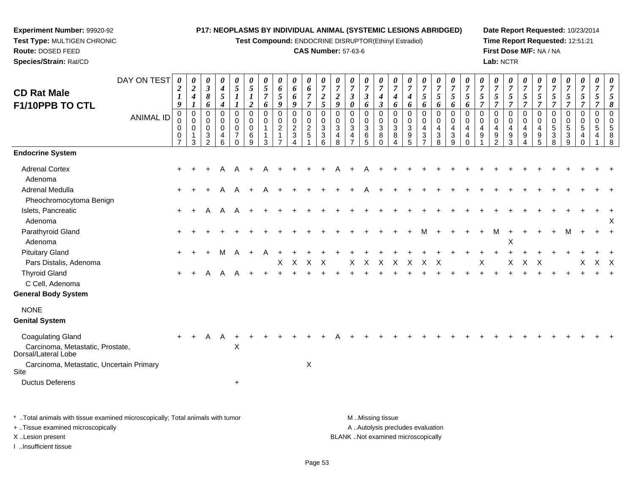**Test Compound:** ENDOCRINE DISRUPTOR(Ethinyl Estradiol)

## **CAS Number:** 57-63-6

**Date Report Requested:** 10/23/2014**Time Report Requested:** 12:51:21**First Dose M/F:** NA / NA**Lab:** NCTR

| <b>CD Rat Male</b><br>F1/10PPB TO CTL                                                                                                   | DAY ON TEST<br><b>ANIMAL ID</b> | 0<br>$\boldsymbol{2}$<br>$\bm{l}$<br>9<br>0<br>0<br>$\mathbf 0$<br>0<br>$\overline{7}$ | 0<br>$\boldsymbol{2}$<br>$\boldsymbol{4}$<br>$\mathbf 0$<br>$\mathbf 0$<br>$\Omega$<br>3 | 0<br>$\mathfrak{z}$<br>$\pmb{8}$<br>6<br>$\mathbf 0$<br>$\mathbf 0$<br>$\mathbf 0$<br>3<br>$\mathcal{P}$ | 0<br>$\boldsymbol{4}$<br>5<br>4<br>0<br>0<br>$\mathbf 0$<br>4<br>6 | 0<br>$\mathfrak{s}$<br>$\boldsymbol{l}$<br>$\boldsymbol{l}$<br>$\pmb{0}$<br>$\mathbf 0$<br>$\mathbf 0$<br>$\overline{7}$<br>$\Omega$ | 0<br>5<br>1<br>$\boldsymbol{2}$<br>$\mathbf 0$<br>0<br>$\mathbf 0$<br>6<br>9 | 0<br>$\mathfrak{s}$<br>$\overline{7}$<br>6<br>$\mathbf 0$<br>0<br>1<br>3 | 0<br>6<br>5<br>9<br>$\pmb{0}$<br>0<br>$\overline{a}$ | 0<br>6<br>6<br>9<br>0<br>$\mathbf 0$<br>$\overline{2}$<br>$\sqrt{3}$<br>$\Lambda$ | 0<br>6<br>$\overline{7}$<br>$\overline{7}$<br>$\pmb{0}$<br>$\mathsf{O}\xspace$<br>$\overline{c}$<br>$\overline{5}$ | 0<br>$\overline{7}$<br>$\boldsymbol{2}$<br>5<br>$\mathbf 0$<br>0<br>3<br>3<br>6 | 0<br>$\overline{7}$<br>$\overline{2}$<br>9<br>$\mathbf 0$<br>$\mathbf 0$<br>3<br>4<br>8 | 0<br>$\overline{7}$<br>$\boldsymbol{\beta}$<br>0<br>$\mathbf 0$<br>0<br>3<br>4 | 0<br>$\boldsymbol{7}$<br>$\boldsymbol{\beta}$<br>6<br>0<br>0<br>3<br>$\,6$<br>$\overline{5}$ | 0<br>$\overline{7}$<br>$\boldsymbol{4}$<br>$\boldsymbol{\beta}$<br>$\mathbf 0$<br>$\pmb{0}$<br>$\sqrt{3}$<br>8<br>$\Omega$ | 0<br>$\overline{7}$<br>4<br>6<br>$\mathbf 0$<br>0<br>$\mathbf{3}$<br>8<br>4 | 0<br>$\overline{7}$<br>4<br>6<br>$\pmb{0}$<br>0<br>$\mathbf{3}$<br>9<br>$\overline{5}$ | 0<br>$\overline{7}$<br>5<br>6<br>0<br>0<br>4<br>$\ensuremath{\mathsf{3}}$<br>$\overline{7}$ | 0<br>$\boldsymbol{7}$<br>$\mathfrak{s}$<br>6<br>$\boldsymbol{0}$<br>$\mathsf 0$<br>4<br>$\ensuremath{\mathsf{3}}$<br>8 | 0<br>$\overline{7}$<br>5<br>6<br>$\mathbf 0$<br>0<br>$\overline{4}$<br>3<br>9 | 0<br>$\overline{7}$<br>5<br>6<br>$\mathbf 0$<br>0<br>$\overline{4}$<br>$\overline{4}$ | 0<br>$\overline{7}$<br>5<br>$\mathbf 0$<br>$\mathbf 0$<br>4<br>9 | 0<br>$\overline{7}$<br>5<br>$\overline{7}$<br>$\mathbf 0$<br>$\mathbf 0$<br>$\overline{4}$<br>9<br>2 | 0<br>$\overline{7}$<br>5<br>$\overline{7}$<br>$\mathbf 0$<br>$\mathbf 0$<br>$\overline{4}$<br>9<br>3 | 0<br>$\overline{7}$<br>5<br>$\overline{7}$<br>$\mathbf 0$<br>$\mathbf 0$<br>$\overline{a}$<br>9<br>$\boldsymbol{\Lambda}$ | 0<br>$\overline{7}$<br>5<br>7<br>$\mathbf 0$<br>$\mathbf 0$<br>4<br>9<br>5 | 0<br>$\overline{7}$<br>5<br>$\overline{7}$<br>0<br>0<br>5<br>3<br>8 | 0<br>$\overline{7}$<br>$\sqrt{5}$<br>$\overline{7}$<br>$\pmb{0}$<br>$\pmb{0}$<br>$\sqrt{5}$<br>3<br>9 | 0<br>$\overline{7}$<br>$\mathfrak{s}$<br>$\overline{7}$<br>$\mathbf 0$<br>$\mathbf 0$<br>$\sqrt{5}$<br>4<br>$\Omega$ | 0<br>$\overline{7}$<br>$\mathfrak{s}$<br>$\overline{7}$<br>$\mathbf 0$<br>0<br>5<br>4 | 0<br>$\overline{7}$<br>5<br>8<br>$\overline{0}$<br>$\mathbf 0$<br>5<br>8<br>8 |
|-----------------------------------------------------------------------------------------------------------------------------------------|---------------------------------|----------------------------------------------------------------------------------------|------------------------------------------------------------------------------------------|----------------------------------------------------------------------------------------------------------|--------------------------------------------------------------------|--------------------------------------------------------------------------------------------------------------------------------------|------------------------------------------------------------------------------|--------------------------------------------------------------------------|------------------------------------------------------|-----------------------------------------------------------------------------------|--------------------------------------------------------------------------------------------------------------------|---------------------------------------------------------------------------------|-----------------------------------------------------------------------------------------|--------------------------------------------------------------------------------|----------------------------------------------------------------------------------------------|----------------------------------------------------------------------------------------------------------------------------|-----------------------------------------------------------------------------|----------------------------------------------------------------------------------------|---------------------------------------------------------------------------------------------|------------------------------------------------------------------------------------------------------------------------|-------------------------------------------------------------------------------|---------------------------------------------------------------------------------------|------------------------------------------------------------------|------------------------------------------------------------------------------------------------------|------------------------------------------------------------------------------------------------------|---------------------------------------------------------------------------------------------------------------------------|----------------------------------------------------------------------------|---------------------------------------------------------------------|-------------------------------------------------------------------------------------------------------|----------------------------------------------------------------------------------------------------------------------|---------------------------------------------------------------------------------------|-------------------------------------------------------------------------------|
| <b>Endocrine System</b>                                                                                                                 |                                 |                                                                                        |                                                                                          |                                                                                                          |                                                                    |                                                                                                                                      |                                                                              |                                                                          |                                                      |                                                                                   |                                                                                                                    |                                                                                 |                                                                                         |                                                                                |                                                                                              |                                                                                                                            |                                                                             |                                                                                        |                                                                                             |                                                                                                                        |                                                                               |                                                                                       |                                                                  |                                                                                                      |                                                                                                      |                                                                                                                           |                                                                            |                                                                     |                                                                                                       |                                                                                                                      |                                                                                       |                                                                               |
| <b>Adrenal Cortex</b><br>Adenoma                                                                                                        |                                 |                                                                                        |                                                                                          |                                                                                                          | A                                                                  | $\mathsf{A}$                                                                                                                         |                                                                              |                                                                          |                                                      |                                                                                   |                                                                                                                    |                                                                                 |                                                                                         |                                                                                |                                                                                              |                                                                                                                            |                                                                             |                                                                                        |                                                                                             |                                                                                                                        |                                                                               |                                                                                       |                                                                  |                                                                                                      |                                                                                                      |                                                                                                                           |                                                                            |                                                                     |                                                                                                       |                                                                                                                      |                                                                                       |                                                                               |
| Adrenal Medulla<br>Pheochromocytoma Benign                                                                                              |                                 | $\ddot{}$                                                                              |                                                                                          |                                                                                                          | A                                                                  |                                                                                                                                      |                                                                              |                                                                          |                                                      |                                                                                   |                                                                                                                    |                                                                                 |                                                                                         |                                                                                |                                                                                              |                                                                                                                            |                                                                             |                                                                                        |                                                                                             |                                                                                                                        |                                                                               |                                                                                       |                                                                  |                                                                                                      |                                                                                                      |                                                                                                                           |                                                                            |                                                                     |                                                                                                       |                                                                                                                      |                                                                                       |                                                                               |
| Islets, Pancreatic<br>Adenoma                                                                                                           |                                 | $\ddot{}$                                                                              | $\pm$                                                                                    | A                                                                                                        | A                                                                  | $\mathsf{A}$                                                                                                                         |                                                                              |                                                                          |                                                      |                                                                                   |                                                                                                                    |                                                                                 |                                                                                         |                                                                                |                                                                                              |                                                                                                                            |                                                                             |                                                                                        |                                                                                             |                                                                                                                        |                                                                               |                                                                                       |                                                                  |                                                                                                      |                                                                                                      |                                                                                                                           |                                                                            |                                                                     |                                                                                                       |                                                                                                                      |                                                                                       | X                                                                             |
| Parathyroid Gland<br>Adenoma                                                                                                            |                                 |                                                                                        |                                                                                          |                                                                                                          |                                                                    |                                                                                                                                      |                                                                              |                                                                          |                                                      |                                                                                   |                                                                                                                    |                                                                                 |                                                                                         |                                                                                |                                                                                              |                                                                                                                            |                                                                             |                                                                                        | м                                                                                           |                                                                                                                        |                                                                               |                                                                                       |                                                                  | M                                                                                                    | X                                                                                                    |                                                                                                                           |                                                                            |                                                                     | м                                                                                                     |                                                                                                                      |                                                                                       |                                                                               |
| <b>Pituitary Gland</b><br>Pars Distalis, Adenoma                                                                                        |                                 |                                                                                        |                                                                                          |                                                                                                          | м                                                                  |                                                                                                                                      |                                                                              |                                                                          | Χ                                                    | X                                                                                 | X                                                                                                                  | X                                                                               |                                                                                         | Х                                                                              | X                                                                                            | X                                                                                                                          | X                                                                           | X                                                                                      | X                                                                                           | X                                                                                                                      |                                                                               |                                                                                       | Х                                                                |                                                                                                      | Х                                                                                                    | х                                                                                                                         |                                                                            |                                                                     |                                                                                                       | X                                                                                                                    | $X$ X                                                                                 |                                                                               |
| <b>Thyroid Gland</b><br>C Cell, Adenoma                                                                                                 |                                 | $\ddot{}$                                                                              |                                                                                          |                                                                                                          |                                                                    |                                                                                                                                      |                                                                              |                                                                          |                                                      |                                                                                   |                                                                                                                    |                                                                                 |                                                                                         |                                                                                |                                                                                              |                                                                                                                            |                                                                             |                                                                                        |                                                                                             |                                                                                                                        |                                                                               |                                                                                       |                                                                  |                                                                                                      |                                                                                                      |                                                                                                                           |                                                                            |                                                                     |                                                                                                       |                                                                                                                      |                                                                                       |                                                                               |
| <b>General Body System</b>                                                                                                              |                                 |                                                                                        |                                                                                          |                                                                                                          |                                                                    |                                                                                                                                      |                                                                              |                                                                          |                                                      |                                                                                   |                                                                                                                    |                                                                                 |                                                                                         |                                                                                |                                                                                              |                                                                                                                            |                                                                             |                                                                                        |                                                                                             |                                                                                                                        |                                                                               |                                                                                       |                                                                  |                                                                                                      |                                                                                                      |                                                                                                                           |                                                                            |                                                                     |                                                                                                       |                                                                                                                      |                                                                                       |                                                                               |
| <b>NONE</b><br><b>Genital System</b>                                                                                                    |                                 |                                                                                        |                                                                                          |                                                                                                          |                                                                    |                                                                                                                                      |                                                                              |                                                                          |                                                      |                                                                                   |                                                                                                                    |                                                                                 |                                                                                         |                                                                                |                                                                                              |                                                                                                                            |                                                                             |                                                                                        |                                                                                             |                                                                                                                        |                                                                               |                                                                                       |                                                                  |                                                                                                      |                                                                                                      |                                                                                                                           |                                                                            |                                                                     |                                                                                                       |                                                                                                                      |                                                                                       |                                                                               |
| <b>Coagulating Gland</b><br>Carcinoma, Metastatic, Prostate,<br>Dorsal/Lateral Lobe<br>Carcinoma, Metastatic, Uncertain Primary<br>Site |                                 | $+$                                                                                    |                                                                                          | A                                                                                                        | A                                                                  | X                                                                                                                                    |                                                                              |                                                                          |                                                      |                                                                                   | X                                                                                                                  |                                                                                 |                                                                                         |                                                                                |                                                                                              |                                                                                                                            |                                                                             |                                                                                        |                                                                                             |                                                                                                                        |                                                                               |                                                                                       |                                                                  |                                                                                                      |                                                                                                      |                                                                                                                           |                                                                            |                                                                     |                                                                                                       |                                                                                                                      |                                                                                       |                                                                               |
| <b>Ductus Deferens</b>                                                                                                                  |                                 |                                                                                        |                                                                                          |                                                                                                          |                                                                    | $\ddot{}$                                                                                                                            |                                                                              |                                                                          |                                                      |                                                                                   |                                                                                                                    |                                                                                 |                                                                                         |                                                                                |                                                                                              |                                                                                                                            |                                                                             |                                                                                        |                                                                                             |                                                                                                                        |                                                                               |                                                                                       |                                                                  |                                                                                                      |                                                                                                      |                                                                                                                           |                                                                            |                                                                     |                                                                                                       |                                                                                                                      |                                                                                       |                                                                               |

\* ..Total animals with tissue examined microscopically; Total animals with tumor **M** . Missing tissue M ..Missing tissue A ..Autolysis precludes evaluation + ..Tissue examined microscopically X ..Lesion present BLANK ..Not examined microscopicallyI ..Insufficient tissue

**Experiment Number:** 99920-92**Test Type:** MULTIGEN CHRONIC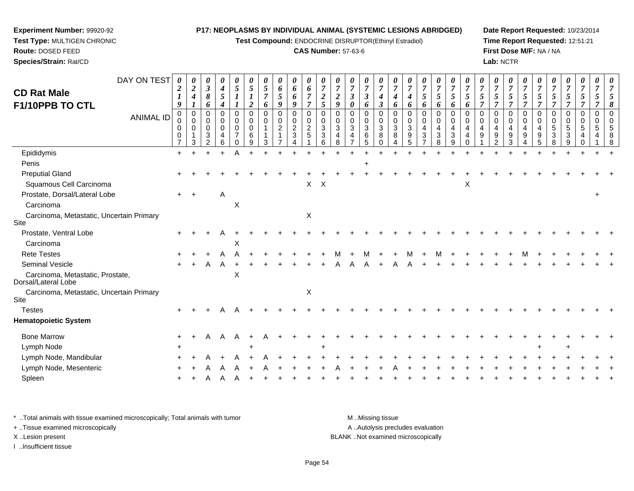**Test Compound:** ENDOCRINE DISRUPTOR(Ethinyl Estradiol)

#### **CAS Number:** 57-63-6

**Date Report Requested:** 10/23/2014**Time Report Requested:** 12:51:21**First Dose M/F:** NA / NA**Lab:** NCTR

| DAY ON TEST                                             | 0                                            | 0                       | 0                                                       | 0                               |                                                     | 0                                         |                       | 0                                        | 0                                                     | 0                                                 | 0                            |                                                |                              | 0                                           | 0                                                    | 0                               |                                                      | 0                                    | 0                                            | 0                                                                 | 0                                                          |                                   | 0                                   | 0                     |                                                     | 0                               |                         |                       |             |                       |  |
|---------------------------------------------------------|----------------------------------------------|-------------------------|---------------------------------------------------------|---------------------------------|-----------------------------------------------------|-------------------------------------------|-----------------------|------------------------------------------|-------------------------------------------------------|---------------------------------------------------|------------------------------|------------------------------------------------|------------------------------|---------------------------------------------|------------------------------------------------------|---------------------------------|------------------------------------------------------|--------------------------------------|----------------------------------------------|-------------------------------------------------------------------|------------------------------------------------------------|-----------------------------------|-------------------------------------|-----------------------|-----------------------------------------------------|---------------------------------|-------------------------|-----------------------|-------------|-----------------------|--|
| <b>CD Rat Male</b>                                      | $\boldsymbol{2}$                             | $\boldsymbol{2}$<br>4   | $\boldsymbol{\beta}$<br>8                               | $\boldsymbol{4}$<br>5           | 5                                                   | 5                                         | 5<br>$\overline{7}$   | 6<br>5                                   | 6<br>6                                                | 6<br>$\overline{7}$                               | $\overline{7}$<br>2          | $\overline{7}$<br>$\boldsymbol{2}$             | 3                            | $\overline{7}$<br>$\boldsymbol{\beta}$      | $\overline{7}$<br>$\boldsymbol{4}$                   | 7<br>4                          | 4                                                    | 5                                    | 7<br>5                                       | $\overline{7}$<br>5                                               | $\overline{7}$<br>5                                        | 7<br>5                            | $\overline{7}$<br>5                 | $\overline{7}$<br>5   | $\overline{7}$<br>5                                 | $\overline{7}$<br>5             | 5                       | 5                     | 5           |                       |  |
| F1/10PPB TO CTL                                         | 9                                            | 1                       | 6                                                       | 4                               |                                                     | $\overline{2}$                            | 6                     | 9                                        | 9                                                     | $\overline{7}$                                    | 5                            | 9                                              | $\boldsymbol{\theta}$        | 6                                           | $\boldsymbol{\beta}$                                 | 6                               | 6                                                    | 6                                    | 6                                            | 6                                                                 | 6                                                          | 7                                 | $\overline{7}$                      | $\overline{7}$        | $\overline{7}$                                      | 7                               | 7                       |                       |             |                       |  |
| <b>ANIMAL ID</b>                                        | 0<br>0<br>$\mathbf 0$<br>0<br>$\overline{7}$ | 0<br>0<br>$\Omega$<br>3 | $\Omega$<br>$\Omega$<br>$\Omega$<br>3<br>$\overline{2}$ | 0<br>$\mathbf 0$<br>0<br>4<br>6 | 0<br>0<br>$\mathbf 0$<br>$\overline{7}$<br>$\Omega$ | $\mathbf 0$<br>0<br>$\mathbf 0$<br>6<br>9 | 0<br>$\mathbf 0$<br>3 | $\mathbf 0$<br>$\mathsf 0$<br>$\sqrt{2}$ | 0<br>$\mathbf 0$<br>$\overline{c}$<br>$\sqrt{3}$<br>Δ | $\mathbf 0$<br>$\mathbf 0$<br>$\overline{2}$<br>5 | $\Omega$<br>0<br>3<br>3<br>6 | $\Omega$<br>$\Omega$<br>$\mathbf{3}$<br>4<br>8 | $\Omega$<br>$\mathbf 0$<br>3 | $\Omega$<br>0<br>$\mathbf{3}$<br>$\,6$<br>5 | $\mathbf 0$<br>$\mathbf 0$<br>$\mathbf{3}$<br>8<br>0 | $\mathbf 0$<br>0<br>3<br>8<br>4 | $\mathbf 0$<br>$\mathbf 0$<br>$\mathbf{3}$<br>9<br>5 | $\mathbf 0$<br>$\mathbf 0$<br>4<br>3 | 0<br>$\mathbf 0$<br>$\overline{4}$<br>3<br>8 | $\mathbf 0$<br>$\mathbf 0$<br>4<br>$\ensuremath{\mathsf{3}}$<br>9 | $\Omega$<br>$\mathbf 0$<br>$\overline{4}$<br>4<br>$\Omega$ | $\Omega$<br>$\mathbf 0$<br>4<br>9 | $\Omega$<br>0<br>9<br>$\mathcal{P}$ | 0<br>0<br>4<br>9<br>3 | $\Omega$<br>$\mathbf 0$<br>$\overline{4}$<br>9<br>Δ | 0<br>$\mathbf 0$<br>4<br>9<br>5 | 0<br>$\Omega$<br>5<br>3 | 0<br>0<br>5<br>3<br>g | 0<br>0<br>5 | $\mathbf 0$<br>0<br>5 |  |
| Epididymis                                              | $+$                                          | +                       |                                                         | $+$                             |                                                     |                                           |                       |                                          |                                                       |                                                   |                              |                                                |                              |                                             |                                                      |                                 |                                                      |                                      |                                              |                                                                   |                                                            |                                   |                                     |                       |                                                     |                                 |                         |                       |             |                       |  |
| Penis                                                   |                                              |                         |                                                         |                                 |                                                     |                                           |                       |                                          |                                                       |                                                   |                              |                                                |                              |                                             |                                                      |                                 |                                                      |                                      |                                              |                                                                   |                                                            |                                   |                                     |                       |                                                     |                                 |                         |                       |             |                       |  |
| <b>Preputial Gland</b>                                  |                                              |                         |                                                         |                                 |                                                     |                                           |                       |                                          |                                                       |                                                   |                              |                                                |                              |                                             |                                                      |                                 |                                                      |                                      |                                              |                                                                   |                                                            |                                   |                                     |                       |                                                     |                                 |                         |                       |             |                       |  |
| Squamous Cell Carcinoma                                 |                                              |                         |                                                         |                                 |                                                     |                                           |                       |                                          |                                                       | X                                                 | $\boldsymbol{\mathsf{X}}$    |                                                |                              |                                             |                                                      |                                 |                                                      |                                      |                                              |                                                                   | X                                                          |                                   |                                     |                       |                                                     |                                 |                         |                       |             |                       |  |
| Prostate, Dorsal/Lateral Lobe                           | $+$                                          | $\div$                  |                                                         | Α                               |                                                     |                                           |                       |                                          |                                                       |                                                   |                              |                                                |                              |                                             |                                                      |                                 |                                                      |                                      |                                              |                                                                   |                                                            |                                   |                                     |                       |                                                     |                                 |                         |                       |             |                       |  |
| Carcinoma                                               |                                              |                         |                                                         |                                 | $\times$                                            |                                           |                       |                                          |                                                       |                                                   |                              |                                                |                              |                                             |                                                      |                                 |                                                      |                                      |                                              |                                                                   |                                                            |                                   |                                     |                       |                                                     |                                 |                         |                       |             |                       |  |
| Carcinoma, Metastatic, Uncertain Primary<br>Site        |                                              |                         |                                                         |                                 |                                                     |                                           |                       |                                          |                                                       | X                                                 |                              |                                                |                              |                                             |                                                      |                                 |                                                      |                                      |                                              |                                                                   |                                                            |                                   |                                     |                       |                                                     |                                 |                         |                       |             |                       |  |
| Prostate, Ventral Lobe                                  |                                              |                         |                                                         |                                 |                                                     |                                           |                       |                                          |                                                       |                                                   |                              |                                                |                              |                                             |                                                      |                                 |                                                      |                                      |                                              |                                                                   |                                                            |                                   |                                     |                       |                                                     |                                 |                         |                       |             |                       |  |
| Carcinoma                                               |                                              |                         |                                                         |                                 | X                                                   |                                           |                       |                                          |                                                       |                                                   |                              |                                                |                              |                                             |                                                      |                                 |                                                      |                                      |                                              |                                                                   |                                                            |                                   |                                     |                       |                                                     |                                 |                         |                       |             |                       |  |
| <b>Rete Testes</b>                                      |                                              |                         |                                                         |                                 |                                                     |                                           |                       |                                          |                                                       |                                                   |                              |                                                |                              |                                             |                                                      |                                 |                                                      |                                      |                                              |                                                                   |                                                            |                                   |                                     |                       |                                                     |                                 |                         |                       |             |                       |  |
| Seminal Vesicle                                         | $\ddot{}$                                    |                         |                                                         | A                               |                                                     |                                           |                       |                                          |                                                       |                                                   |                              |                                                |                              |                                             |                                                      |                                 |                                                      |                                      |                                              |                                                                   |                                                            |                                   |                                     |                       |                                                     |                                 |                         |                       |             |                       |  |
| Carcinoma, Metastatic, Prostate,<br>Dorsal/Lateral Lobe |                                              |                         |                                                         |                                 | X                                                   |                                           |                       |                                          |                                                       |                                                   |                              |                                                |                              |                                             |                                                      |                                 |                                                      |                                      |                                              |                                                                   |                                                            |                                   |                                     |                       |                                                     |                                 |                         |                       |             |                       |  |
| Carcinoma, Metastatic, Uncertain Primary<br>Site        |                                              |                         |                                                         |                                 |                                                     |                                           |                       |                                          |                                                       | $\boldsymbol{\mathsf{X}}$                         |                              |                                                |                              |                                             |                                                      |                                 |                                                      |                                      |                                              |                                                                   |                                                            |                                   |                                     |                       |                                                     |                                 |                         |                       |             |                       |  |
| <b>Testes</b>                                           | $\pm$                                        |                         |                                                         |                                 |                                                     |                                           |                       |                                          |                                                       |                                                   |                              |                                                |                              |                                             |                                                      |                                 |                                                      |                                      |                                              |                                                                   |                                                            |                                   |                                     |                       |                                                     |                                 |                         |                       |             |                       |  |
| <b>Hematopoietic System</b>                             |                                              |                         |                                                         |                                 |                                                     |                                           |                       |                                          |                                                       |                                                   |                              |                                                |                              |                                             |                                                      |                                 |                                                      |                                      |                                              |                                                                   |                                                            |                                   |                                     |                       |                                                     |                                 |                         |                       |             |                       |  |
| <b>Bone Marrow</b>                                      | $\ddot{}$                                    |                         | A                                                       | A                               | A                                                   |                                           |                       |                                          |                                                       |                                                   |                              |                                                |                              |                                             |                                                      |                                 |                                                      |                                      |                                              |                                                                   |                                                            |                                   |                                     |                       |                                                     |                                 |                         |                       |             |                       |  |
| Lymph Node                                              |                                              |                         |                                                         |                                 |                                                     |                                           |                       |                                          |                                                       |                                                   |                              |                                                |                              |                                             |                                                      |                                 |                                                      |                                      |                                              |                                                                   |                                                            |                                   |                                     |                       |                                                     |                                 |                         |                       |             |                       |  |
| Lymph Node, Mandibular                                  |                                              |                         |                                                         |                                 |                                                     |                                           |                       |                                          |                                                       |                                                   |                              |                                                |                              |                                             |                                                      |                                 |                                                      |                                      |                                              |                                                                   |                                                            |                                   |                                     |                       |                                                     |                                 |                         |                       |             |                       |  |
| Lymph Node, Mesenteric                                  |                                              |                         |                                                         |                                 |                                                     |                                           |                       |                                          |                                                       |                                                   |                              |                                                |                              |                                             |                                                      |                                 |                                                      |                                      |                                              |                                                                   |                                                            |                                   |                                     |                       |                                                     |                                 |                         |                       |             |                       |  |
| Spleen                                                  |                                              |                         |                                                         |                                 |                                                     |                                           |                       |                                          |                                                       |                                                   |                              |                                                |                              |                                             |                                                      |                                 |                                                      |                                      |                                              |                                                                   |                                                            |                                   |                                     |                       |                                                     |                                 |                         |                       |             |                       |  |
|                                                         |                                              |                         |                                                         |                                 |                                                     |                                           |                       |                                          |                                                       |                                                   |                              |                                                |                              |                                             |                                                      |                                 |                                                      |                                      |                                              |                                                                   |                                                            |                                   |                                     |                       |                                                     |                                 |                         |                       |             |                       |  |

\* ..Total animals with tissue examined microscopically; Total animals with tumor **M** ...Missing tissue M ...Missing tissue A ..Autolysis precludes evaluation + ..Tissue examined microscopically X ..Lesion present BLANK ..Not examined microscopicallyI ..Insufficient tissue

**Experiment Number:** 99920-92**Test Type:** MULTIGEN CHRONIC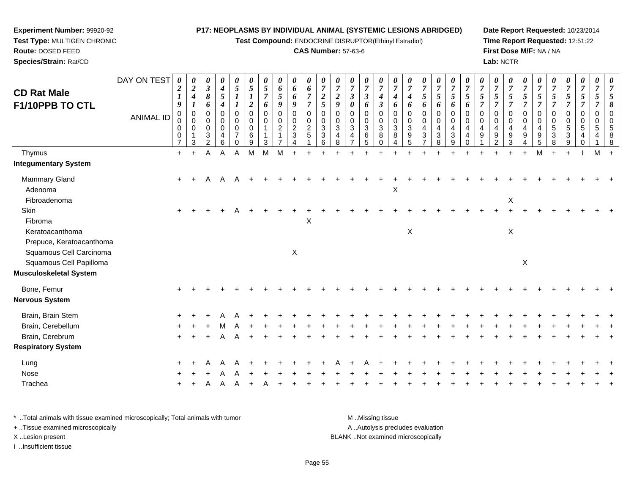**Test Compound:** ENDOCRINE DISRUPTOR(Ethinyl Estradiol)

#### **CAS Number:** 57-63-6

**Date Report Requested:** 10/23/2014**Time Report Requested:** 12:51:22**First Dose M/F:** NA / NA**Lab:** NCTR

| <b>CD Rat Male</b>                                     | DAY ON TEST      | 0<br>$\boldsymbol{2}$<br>$\boldsymbol{l}$         | $\boldsymbol{\theta}$<br>$\overline{2}$<br>$\boldsymbol{4}$               | 0<br>$\boldsymbol{\beta}$<br>8                                  | 0<br>$\boldsymbol{4}$<br>$\sqrt{5}$          | $\boldsymbol{\theta}$<br>$\mathfrak{s}$                | $\boldsymbol{\theta}$<br>$\overline{5}$<br>$\boldsymbol{l}$ | $\boldsymbol{\theta}$<br>$\sqrt{5}$<br>$\overline{7}$ | $\boldsymbol{\theta}$<br>6<br>5    | 0<br>6<br>6                                                                    | $\boldsymbol{\theta}$<br>6<br>$\overline{7}$               | $\boldsymbol{\theta}$<br>$\overline{7}$<br>$\boldsymbol{2}$ | $\boldsymbol{\theta}$<br>$\overline{7}$<br>$\boldsymbol{2}$  | 0<br>$\overline{7}$<br>$\mathbf{3}$ | 0<br>$\boldsymbol{7}$<br>$\boldsymbol{\beta}$ | $\boldsymbol{\theta}$<br>$\overline{7}$<br>$\boldsymbol{4}$ | 0<br>$\overline{7}$<br>$\boldsymbol{4}$ | $\boldsymbol{\theta}$<br>$\overline{7}$<br>$\boldsymbol{4}$      | $\boldsymbol{\theta}$<br>$\boldsymbol{7}$<br>$5\overline{)}$                     | 0<br>$\boldsymbol{7}$<br>5               | $\boldsymbol{\theta}$<br>$\overline{7}$<br>5            | 0<br>$\overline{7}$<br>5                                   | $\boldsymbol{\theta}$<br>$\overline{7}$<br>5   | $\boldsymbol{\theta}$<br>$\overline{7}$<br>$\mathfrak{s}$ | 0<br>$\boldsymbol{7}$<br>5                        | $\boldsymbol{\theta}$<br>$\overline{7}$<br>5 | $\overline{7}$<br>5                                                | $\overline{7}$<br>5                               | $\boldsymbol{\theta}$<br>$\boldsymbol{7}$<br>5          | $\boldsymbol{\theta}$<br>$\boldsymbol{7}$<br>$5\overline{)}$ | $\boldsymbol{\theta}$<br>$\overline{7}$<br>5 |          |
|--------------------------------------------------------|------------------|---------------------------------------------------|---------------------------------------------------------------------------|-----------------------------------------------------------------|----------------------------------------------|--------------------------------------------------------|-------------------------------------------------------------|-------------------------------------------------------|------------------------------------|--------------------------------------------------------------------------------|------------------------------------------------------------|-------------------------------------------------------------|--------------------------------------------------------------|-------------------------------------|-----------------------------------------------|-------------------------------------------------------------|-----------------------------------------|------------------------------------------------------------------|----------------------------------------------------------------------------------|------------------------------------------|---------------------------------------------------------|------------------------------------------------------------|------------------------------------------------|-----------------------------------------------------------|---------------------------------------------------|----------------------------------------------|--------------------------------------------------------------------|---------------------------------------------------|---------------------------------------------------------|--------------------------------------------------------------|----------------------------------------------|----------|
| F1/10PPB TO CTL                                        |                  | $\boldsymbol{g}$                                  | $\boldsymbol{l}$                                                          | 6                                                               | $\boldsymbol{4}$                             |                                                        | $\overline{2}$                                              | 6                                                     | 9                                  | 9                                                                              | $\overline{7}$                                             | $\mathfrak{s}$                                              | 9                                                            | 0                                   | 6                                             | $\mathfrak{z}$                                              | 6                                       | 6                                                                | 6                                                                                | 6                                        | 6                                                       | 6                                                          | $\overline{7}$                                 | $\overline{7}$                                            | $\overline{7}$                                    | $\overline{\tau}$                            | $\overline{7}$                                                     | $\overline{7}$                                    | $\overline{7}$                                          | $\overline{7}$                                               | $\overline{\tau}$                            |          |
|                                                        | <b>ANIMAL ID</b> | $\boldsymbol{0}$<br>0<br>0<br>0<br>$\overline{7}$ | $\mathbf 0$<br>$\mathbf 0$<br>$\mathbf 0$<br>$\mathbf{1}$<br>$\mathbf{3}$ | 0<br>$\mathbf 0$<br>$\mathbf 0$<br>$\sqrt{3}$<br>$\overline{2}$ | 0<br>0<br>$\mathbf 0$<br>$\overline{4}$<br>6 | $\mathbf 0$<br>0<br>0<br>$\overline{7}$<br>$\mathbf 0$ | $\mathbf 0$<br>0<br>$\mathbf 0$<br>6<br>9                   | $\mathbf 0$<br>0<br>$\mathbf{1}$<br>1<br>3            | $\mathbf 0$<br>0<br>$\overline{c}$ | 0<br>$\begin{smallmatrix} 0\\2 \end{smallmatrix}$<br>$\ensuremath{\mathsf{3}}$ | $\mathbf 0$<br>$\,0\,$<br>$\overline{2}$<br>$\overline{5}$ | $\mathbf 0$<br>0<br>3<br>$\sqrt{3}$<br>6                    | $\Omega$<br>$\mathbf 0$<br>$\sqrt{3}$<br>$\overline{4}$<br>8 | $\Omega$<br>0<br>3<br>4             | 0<br>$\pmb{0}$<br>$\overline{3}$<br>6<br>5    | $\mathbf 0$<br>0<br>$\sqrt{3}$<br>8<br>$\mathbf 0$          | $\Omega$<br>0<br>3<br>8<br>4            | $\Omega$<br>$\mathbf 0$<br>$\mathbf{3}$<br>$\boldsymbol{9}$<br>5 | 0<br>0<br>$\overline{\mathbf{4}}$<br>$\ensuremath{\mathsf{3}}$<br>$\overline{7}$ | 0<br>$\pmb{0}$<br>4<br>$\mathbf{3}$<br>8 | $\mathbf 0$<br>0<br>4<br>$\ensuremath{\mathsf{3}}$<br>9 | $\Omega$<br>$\Omega$<br>$\overline{4}$<br>4<br>$\mathbf 0$ | $\Omega$<br>$\mathbf 0$<br>$\overline{4}$<br>9 | 0<br>0<br>4<br>$\boldsymbol{9}$<br>$\overline{2}$         | 0<br>0<br>$\overline{4}$<br>$\boldsymbol{9}$<br>3 | $\mathbf 0$<br>0<br>4<br>9                   | $\Omega$<br>$\mathbf 0$<br>4<br>$\boldsymbol{9}$<br>$\overline{5}$ | $\mathbf 0$<br>0<br>$\sqrt{5}$<br>$\sqrt{3}$<br>8 | 0<br>0<br>$\,$ 5 $\,$<br>$\ensuremath{\mathsf{3}}$<br>9 | $\mathbf 0$<br>$\mathbf 0$<br>$\sqrt{5}$<br>4<br>$\Omega$    | 0<br>$\mathbf 0$<br>5                        | $\Omega$ |
| Thymus                                                 |                  | $+$                                               | $+$                                                                       | A                                                               | A                                            | A                                                      | M                                                           | M                                                     | М                                  |                                                                                |                                                            |                                                             |                                                              |                                     |                                               |                                                             |                                         |                                                                  |                                                                                  |                                          |                                                         |                                                            |                                                |                                                           |                                                   |                                              | M                                                                  |                                                   |                                                         |                                                              |                                              |          |
| <b>Integumentary System</b>                            |                  |                                                   |                                                                           |                                                                 |                                              |                                                        |                                                             |                                                       |                                    |                                                                                |                                                            |                                                             |                                                              |                                     |                                               |                                                             |                                         |                                                                  |                                                                                  |                                          |                                                         |                                                            |                                                |                                                           |                                                   |                                              |                                                                    |                                                   |                                                         |                                                              |                                              |          |
| Mammary Gland<br>Adenoma                               |                  | $+$                                               |                                                                           | Α                                                               | A                                            |                                                        |                                                             |                                                       |                                    |                                                                                |                                                            |                                                             |                                                              |                                     |                                               |                                                             | Χ                                       |                                                                  |                                                                                  |                                          |                                                         |                                                            |                                                |                                                           |                                                   |                                              |                                                                    |                                                   |                                                         |                                                              |                                              |          |
| Fibroadenoma                                           |                  |                                                   |                                                                           |                                                                 |                                              |                                                        |                                                             |                                                       |                                    |                                                                                |                                                            |                                                             |                                                              |                                     |                                               |                                                             |                                         |                                                                  |                                                                                  |                                          |                                                         |                                                            |                                                |                                                           | $\boldsymbol{\mathsf{X}}$                         |                                              |                                                                    |                                                   |                                                         |                                                              |                                              |          |
| Skin                                                   |                  | $+$                                               |                                                                           |                                                                 |                                              |                                                        |                                                             |                                                       |                                    |                                                                                |                                                            |                                                             |                                                              |                                     |                                               |                                                             |                                         |                                                                  |                                                                                  |                                          |                                                         |                                                            |                                                |                                                           |                                                   |                                              |                                                                    |                                                   |                                                         |                                                              |                                              |          |
| Fibroma<br>Keratoacanthoma<br>Prepuce, Keratoacanthoma |                  |                                                   |                                                                           |                                                                 |                                              |                                                        |                                                             |                                                       |                                    |                                                                                | $\pmb{\times}$                                             |                                                             |                                                              |                                     |                                               |                                                             |                                         | $\mathsf X$                                                      |                                                                                  |                                          |                                                         |                                                            |                                                |                                                           | $\mathsf X$                                       |                                              |                                                                    |                                                   |                                                         |                                                              |                                              |          |
| Squamous Cell Carcinoma                                |                  |                                                   |                                                                           |                                                                 |                                              |                                                        |                                                             |                                                       |                                    | $\boldsymbol{\mathsf{X}}$                                                      |                                                            |                                                             |                                                              |                                     |                                               |                                                             |                                         |                                                                  |                                                                                  |                                          |                                                         |                                                            |                                                |                                                           |                                                   |                                              |                                                                    |                                                   |                                                         |                                                              |                                              |          |
| Squamous Cell Papilloma                                |                  |                                                   |                                                                           |                                                                 |                                              |                                                        |                                                             |                                                       |                                    |                                                                                |                                                            |                                                             |                                                              |                                     |                                               |                                                             |                                         |                                                                  |                                                                                  |                                          |                                                         |                                                            |                                                |                                                           |                                                   | $\boldsymbol{\mathsf{X}}$                    |                                                                    |                                                   |                                                         |                                                              |                                              |          |
| <b>Musculoskeletal System</b>                          |                  |                                                   |                                                                           |                                                                 |                                              |                                                        |                                                             |                                                       |                                    |                                                                                |                                                            |                                                             |                                                              |                                     |                                               |                                                             |                                         |                                                                  |                                                                                  |                                          |                                                         |                                                            |                                                |                                                           |                                                   |                                              |                                                                    |                                                   |                                                         |                                                              |                                              |          |
| Bone, Femur                                            |                  |                                                   |                                                                           |                                                                 |                                              |                                                        |                                                             |                                                       |                                    |                                                                                |                                                            |                                                             |                                                              |                                     |                                               |                                                             |                                         |                                                                  |                                                                                  |                                          |                                                         |                                                            |                                                |                                                           |                                                   |                                              |                                                                    |                                                   |                                                         |                                                              |                                              |          |
| <b>Nervous System</b>                                  |                  |                                                   |                                                                           |                                                                 |                                              |                                                        |                                                             |                                                       |                                    |                                                                                |                                                            |                                                             |                                                              |                                     |                                               |                                                             |                                         |                                                                  |                                                                                  |                                          |                                                         |                                                            |                                                |                                                           |                                                   |                                              |                                                                    |                                                   |                                                         |                                                              |                                              |          |
| Brain, Brain Stem                                      |                  |                                                   |                                                                           |                                                                 |                                              |                                                        |                                                             |                                                       |                                    |                                                                                |                                                            |                                                             |                                                              |                                     |                                               |                                                             |                                         |                                                                  |                                                                                  |                                          |                                                         |                                                            |                                                |                                                           |                                                   |                                              |                                                                    |                                                   |                                                         |                                                              |                                              |          |
| Brain, Cerebellum                                      |                  |                                                   |                                                                           |                                                                 |                                              |                                                        |                                                             |                                                       |                                    |                                                                                |                                                            |                                                             |                                                              |                                     |                                               |                                                             |                                         |                                                                  |                                                                                  |                                          |                                                         |                                                            |                                                |                                                           |                                                   |                                              |                                                                    |                                                   |                                                         |                                                              |                                              |          |
| Brain, Cerebrum                                        |                  |                                                   |                                                                           |                                                                 |                                              |                                                        |                                                             |                                                       |                                    |                                                                                |                                                            |                                                             |                                                              |                                     |                                               |                                                             |                                         |                                                                  |                                                                                  |                                          |                                                         |                                                            |                                                |                                                           |                                                   |                                              |                                                                    |                                                   |                                                         |                                                              |                                              |          |
| <b>Respiratory System</b>                              |                  |                                                   |                                                                           |                                                                 |                                              |                                                        |                                                             |                                                       |                                    |                                                                                |                                                            |                                                             |                                                              |                                     |                                               |                                                             |                                         |                                                                  |                                                                                  |                                          |                                                         |                                                            |                                                |                                                           |                                                   |                                              |                                                                    |                                                   |                                                         |                                                              |                                              |          |
| Lung                                                   |                  |                                                   |                                                                           |                                                                 |                                              |                                                        |                                                             |                                                       |                                    |                                                                                |                                                            |                                                             |                                                              |                                     |                                               |                                                             |                                         |                                                                  |                                                                                  |                                          |                                                         |                                                            |                                                |                                                           |                                                   |                                              |                                                                    |                                                   |                                                         |                                                              |                                              |          |
| Nose                                                   |                  |                                                   |                                                                           |                                                                 |                                              |                                                        |                                                             |                                                       |                                    |                                                                                |                                                            |                                                             |                                                              |                                     |                                               |                                                             |                                         |                                                                  |                                                                                  |                                          |                                                         |                                                            |                                                |                                                           |                                                   |                                              |                                                                    |                                                   |                                                         |                                                              |                                              |          |
| Trachea                                                |                  |                                                   |                                                                           |                                                                 |                                              |                                                        |                                                             |                                                       |                                    |                                                                                |                                                            |                                                             |                                                              |                                     |                                               |                                                             |                                         |                                                                  |                                                                                  |                                          |                                                         |                                                            |                                                |                                                           |                                                   |                                              |                                                                    |                                                   |                                                         |                                                              |                                              |          |

\* ..Total animals with tissue examined microscopically; Total animals with tumor **M** . Missing tissue M ..Missing tissue A ..Autolysis precludes evaluation + ..Tissue examined microscopically X ..Lesion present BLANK ..Not examined microscopicallyI ..Insufficient tissue

**Experiment Number:** 99920-92**Test Type:** MULTIGEN CHRONIC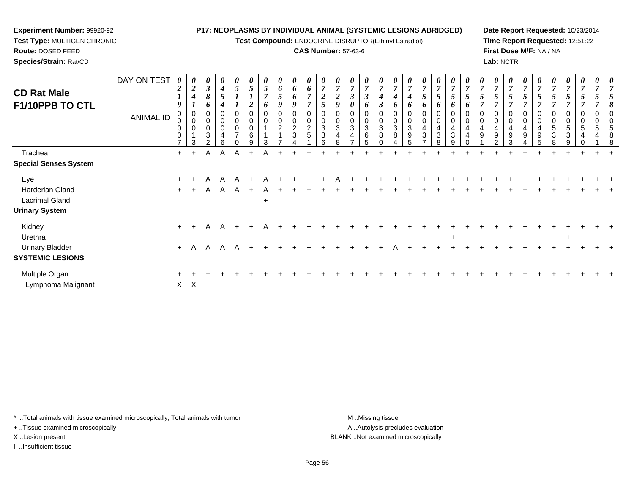**Test Compound:** ENDOCRINE DISRUPTOR(Ethinyl Estradiol)

## **CAS Number:** 57-63-6

**Date Report Requested:** 10/23/2014**Time Report Requested:** 12:51:22**First Dose M/F:** NA / NA**Lab:** NCTR

| <b>CD Rat Male</b><br>F1/10PPB TO CTL                                    | DAY ON TEST<br>ANIMAL ID | $\overline{2}$<br>9<br>0<br>0 | $\boldsymbol{\theta}$<br>$\overline{2}$<br>$\boldsymbol{4}$<br>0<br>$\mathbf 0$<br>0<br>3 | $\boldsymbol{\theta}$<br>$\mathbf{3}$<br>8<br>o<br>0<br>0<br>0<br>3<br>$\mathcal{P}$ | 0<br>$\boldsymbol{4}$<br>5<br>4<br>$\Omega$<br>$\mathbf 0$<br>$\mathbf 0$<br>4<br>6 | 0<br>5<br>0<br>0<br>$\pmb{0}$<br>$\overline{ }$ | $\mathfrak{s}$<br>$\overline{2}$<br>0<br>6<br>9 | 5<br>$\overline{ }$<br>6<br>0<br>$\mathbf 0$<br>3 | 0<br>6<br>5<br>$\boldsymbol{9}$<br>0<br>$\pmb{0}$<br>$\overline{c}$ | $\boldsymbol{\theta}$<br>$\boldsymbol{\theta}$<br>6<br>9<br>$\overline{0}$<br>$\pmb{0}$<br>$\frac{2}{3}$ | $\boldsymbol{\theta}$<br>6<br>$\overline{ }$<br>$\overline{7}$<br>$\mathbf 0$<br>$\mathbf 0$<br>$\frac{2}{5}$ | $\overline{7}$<br>$\overline{2}$<br>5<br>$\Omega$<br>$\Omega$<br>3<br>3<br>6 | $\overline{7}$<br>$\overline{2}$<br>9<br>0<br>$\mathbf{3}$<br>4<br>8 | $\boldsymbol{\theta}$<br>$\overline{7}$<br>$\boldsymbol{\beta}$<br>0<br>$\mathbf 0$<br>0<br>3<br>4 | 0<br>$\overline{7}$<br>$\mathfrak{z}$<br>6<br>$\mathbf 0$<br>$\mathbf 0$<br>$\sqrt{3}$<br>6<br>5 | $\boldsymbol{\theta}$<br>$\overline{7}$<br>3<br>0<br>0<br>3<br>8 | o<br>$\sqrt{3}$<br>8 | $\overline{ }$<br>6<br>0<br>0<br>3<br>9<br>5 | $\boldsymbol{\theta}$<br>$\overline{7}$<br>5<br>6<br>0<br>0<br>$\overline{4}$<br>$\mathbf{3}$<br>$\rightarrow$ | $\boldsymbol{\theta}$<br>$\overline{7}$<br>$\overline{5}$<br>6<br>$\pmb{0}$<br>$\pmb{0}$<br>$\overline{\mathbf{4}}$<br>$\mathbf{3}$<br>8 | $\boldsymbol{\theta}$<br>$\overline{7}$<br>$\bm{o}$<br>$\mathbf 0$<br>$\mathbf 0$<br>4<br>$\mathbf{3}$<br>9 | o | $\overline{7}$<br>0<br>0<br>4<br>9 | $\boldsymbol{\theta}$<br>$\overline{7}$<br>$5\overline{)}$<br>$\Omega$<br>4<br>9<br>$\mathcal{D}$ | $\theta$<br>$\overline{7}$<br>$\mathbf 0$<br>$\mathbf 0$<br>4<br>9<br>3 | 7<br>0<br>$\mathbf 0$<br>4<br>9 | 7<br>$\Omega$<br>9 | $\boldsymbol{\theta}$<br>$\overline{\tau}$<br>0<br>0<br>5<br>3 | 0<br>$\mathfrak{s}$<br>0<br>0<br>$\mathbf 5$<br>3<br>9 | 0<br>$\overline{7}$<br>5<br>0<br>$\mathbf 0$<br>5<br>4<br>$\Omega$ | $\boldsymbol{\theta}$<br>0<br>0<br>5 | 8<br>$\Omega$<br>8 |
|--------------------------------------------------------------------------|--------------------------|-------------------------------|-------------------------------------------------------------------------------------------|--------------------------------------------------------------------------------------|-------------------------------------------------------------------------------------|-------------------------------------------------|-------------------------------------------------|---------------------------------------------------|---------------------------------------------------------------------|----------------------------------------------------------------------------------------------------------|---------------------------------------------------------------------------------------------------------------|------------------------------------------------------------------------------|----------------------------------------------------------------------|----------------------------------------------------------------------------------------------------|--------------------------------------------------------------------------------------------------|------------------------------------------------------------------|----------------------|----------------------------------------------|----------------------------------------------------------------------------------------------------------------|------------------------------------------------------------------------------------------------------------------------------------------|-------------------------------------------------------------------------------------------------------------|---|------------------------------------|---------------------------------------------------------------------------------------------------|-------------------------------------------------------------------------|---------------------------------|--------------------|----------------------------------------------------------------|--------------------------------------------------------|--------------------------------------------------------------------|--------------------------------------|--------------------|
| Trachea<br><b>Special Senses System</b>                                  |                          | $+$                           | $+$                                                                                       | A                                                                                    | A                                                                                   | A                                               | $+$                                             | A                                                 |                                                                     |                                                                                                          |                                                                                                               |                                                                              |                                                                      |                                                                                                    |                                                                                                  |                                                                  |                      |                                              |                                                                                                                |                                                                                                                                          |                                                                                                             |   |                                    |                                                                                                   |                                                                         |                                 |                    |                                                                |                                                        |                                                                    |                                      |                    |
| Eye<br>Harderian Gland<br><b>Lacrimal Gland</b><br><b>Urinary System</b> |                          | $+$<br>$+$                    |                                                                                           | A<br>A                                                                               | A<br>$\mathsf{A}$                                                                   | A<br>$\mathsf{A}$                               | $+$                                             | A<br>A<br>$\ddot{}$                               |                                                                     |                                                                                                          |                                                                                                               |                                                                              |                                                                      |                                                                                                    |                                                                                                  |                                                                  |                      |                                              |                                                                                                                |                                                                                                                                          |                                                                                                             |   |                                    |                                                                                                   |                                                                         |                                 |                    |                                                                |                                                        |                                                                    |                                      |                    |
| Kidney<br>Urethra<br><b>Urinary Bladder</b><br><b>SYSTEMIC LESIONS</b>   |                          | $+$<br>$+$                    | A                                                                                         | Α<br>Α                                                                               | A<br>$\mathsf{A}$                                                                   | A                                               |                                                 |                                                   |                                                                     |                                                                                                          |                                                                                                               |                                                                              |                                                                      |                                                                                                    |                                                                                                  |                                                                  |                      |                                              |                                                                                                                |                                                                                                                                          | $+$                                                                                                         |   |                                    |                                                                                                   |                                                                         |                                 |                    |                                                                | $\overline{+}$                                         |                                                                    |                                      |                    |
| Multiple Organ<br>Lymphoma Malignant                                     |                          | $\pm$                         | $X$ $X$                                                                                   |                                                                                      |                                                                                     |                                                 |                                                 |                                                   |                                                                     |                                                                                                          |                                                                                                               |                                                                              |                                                                      |                                                                                                    |                                                                                                  |                                                                  |                      |                                              |                                                                                                                |                                                                                                                                          |                                                                                                             |   |                                    |                                                                                                   |                                                                         |                                 |                    |                                                                |                                                        |                                                                    |                                      |                    |

\* ..Total animals with tissue examined microscopically; Total animals with tumor **M** . Missing tissue M ..Missing tissue

+ ..Tissue examined microscopically

**Experiment Number:** 99920-92**Test Type:** MULTIGEN CHRONIC

**Route:** DOSED FEED**Species/Strain:** Rat/CD

I ..Insufficient tissue

A ..Autolysis precludes evaluation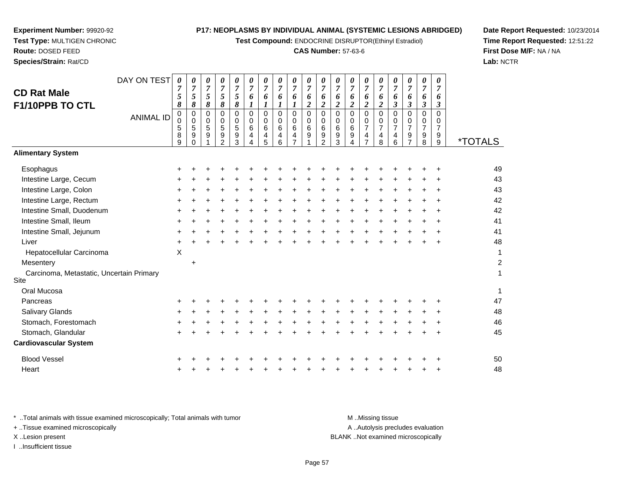**Test Compound:** ENDOCRINE DISRUPTOR(Ethinyl Estradiol)

#### **CAS Number:** 57-63-6

<sup>+</sup> <sup>+</sup> <sup>+</sup> <sup>+</sup> <sup>+</sup> <sup>+</sup> <sup>+</sup> <sup>+</sup> <sup>+</sup> <sup>+</sup> <sup>+</sup> <sup>+</sup> <sup>+</sup> <sup>+</sup> <sup>+</sup> <sup>+</sup> <sup>+</sup> <sup>+</sup> <sup>49</sup>

<sup>+</sup> <sup>+</sup> <sup>+</sup> <sup>+</sup> <sup>+</sup> <sup>+</sup> <sup>+</sup> <sup>+</sup> <sup>+</sup> <sup>+</sup> <sup>+</sup> <sup>+</sup> <sup>+</sup> <sup>+</sup> <sup>+</sup> <sup>+</sup> <sup>+</sup> <sup>+</sup> <sup>43</sup>

9 \*TOTALS

**Date Report Requested:** 10/23/2014**Time Report Requested:** 12:51:22**First Dose M/F:** NA / NA**Lab:** NCTR

| Intestine Large, Rectum                                                        | +         |           |  |  |  |  |  |  |                  |                                 |           |           | 42 |
|--------------------------------------------------------------------------------|-----------|-----------|--|--|--|--|--|--|------------------|---------------------------------|-----------|-----------|----|
| Intestine Small, Duodenum                                                      | $\ddot{}$ |           |  |  |  |  |  |  |                  |                                 |           | ÷         | 42 |
| Intestine Small, Ileum                                                         | $\pm$     |           |  |  |  |  |  |  |                  |                                 |           | $\pm$     | 41 |
| Intestine Small, Jejunum                                                       | +         |           |  |  |  |  |  |  |                  |                                 |           | $\pm$     | 41 |
| Liver                                                                          | +         |           |  |  |  |  |  |  |                  |                                 |           | $\ddot{}$ | 48 |
| Hepatocellular Carcinoma                                                       | X         |           |  |  |  |  |  |  |                  |                                 |           |           | 1  |
| Mesentery                                                                      |           | $\ddot{}$ |  |  |  |  |  |  |                  |                                 |           |           | 2  |
| Carcinoma, Metastatic, Uncertain Primary<br>Site                               |           |           |  |  |  |  |  |  |                  |                                 |           |           | 1  |
| Oral Mucosa                                                                    |           |           |  |  |  |  |  |  |                  |                                 |           |           | 1  |
| Pancreas                                                                       | +         |           |  |  |  |  |  |  |                  |                                 |           | ÷         | 47 |
| Salivary Glands                                                                | +         |           |  |  |  |  |  |  |                  |                                 |           |           | 48 |
| Stomach, Forestomach                                                           | $\ddot{}$ |           |  |  |  |  |  |  |                  |                                 |           | ÷         | 46 |
| Stomach, Glandular                                                             | $\pm$     |           |  |  |  |  |  |  |                  |                                 | $\ddot{}$ | $\ddot{}$ | 45 |
| <b>Cardiovascular System</b>                                                   |           |           |  |  |  |  |  |  |                  |                                 |           |           |    |
| <b>Blood Vessel</b>                                                            | +         |           |  |  |  |  |  |  |                  |                                 |           | ÷         | 50 |
| Heart                                                                          | $\pm$     |           |  |  |  |  |  |  |                  |                                 |           | $\ddot{}$ | 48 |
|                                                                                |           |           |  |  |  |  |  |  |                  |                                 |           |           |    |
| * Total animals with tissue examined microscopically; Total animals with tumor |           |           |  |  |  |  |  |  | M Missing tissue |                                 |           |           |    |
| <b>Ticque overwined microsoppically</b>                                        |           |           |  |  |  |  |  |  |                  | A Autolicio produdos ovoluction |           |           |    |

**Experiment Number:** 99920-92**Test Type:** MULTIGEN CHRONIC

DAY ON TEST

<sup>+</sup> <sup>+</sup> <sup>+</sup> <sup>+</sup> <sup>+</sup> <sup>+</sup> <sup>+</sup> <sup>+</sup> <sup>+</sup> <sup>+</sup> <sup>+</sup> <sup>+</sup> <sup>+</sup> <sup>+</sup> <sup>+</sup> <sup>+</sup> <sup>+</sup> <sup>+</sup> <sup>+</sup> <sup>43</sup>

ANIMAL ID

 $\mathsf{S}$  +

 $\mathsf{n}$  +

**Route:** DOSED FEED**Species/Strain:** Rat/CD

**CD Rat Male**

**Alimentary System**

Intestine Large, Cecum

Intestine Large, Colon

**Esophagus** 

Site

**F1/10PPB TO CTL**

\* ..Total animals with tis + ..Tissue examined microscopically A ..Autolysis precludes evaluation X ..Lesion present BLANK ..Not examined microscopicallyI ..Insufficient tissue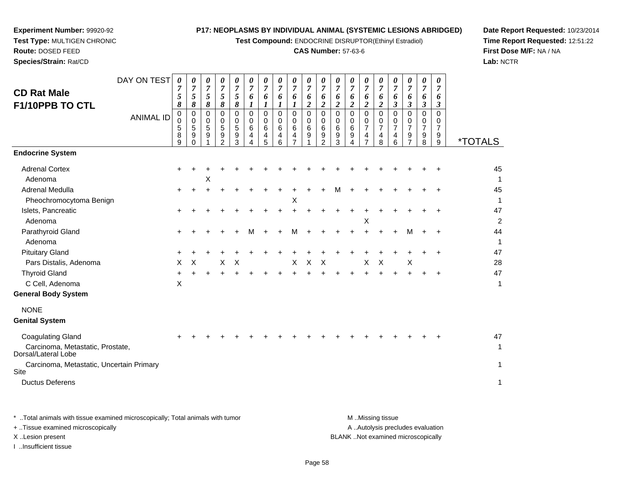**Test Compound:** ENDOCRINE DISRUPTOR(Ethinyl Estradiol)

# **CAS Number:** 57-63-6

**Date Report Requested:** 10/23/2014**Time Report Requested:** 12:51:22**First Dose M/F:** NA / NA**Lab:** NCTR

| Species/Strain: Rat/CD                                                              |                                 |                                                                 |                                                                                   |                                                             |                                                                     |                                                                          |                                                                                 |                                                         |                                                               |                                                               |                                                                            |                                                                                                             |                                                                 |                                                                         |                                                                            |                                                                                           |                                                                                  |                                                         |                                                                                               |                                                  | Lab: N                   |
|-------------------------------------------------------------------------------------|---------------------------------|-----------------------------------------------------------------|-----------------------------------------------------------------------------------|-------------------------------------------------------------|---------------------------------------------------------------------|--------------------------------------------------------------------------|---------------------------------------------------------------------------------|---------------------------------------------------------|---------------------------------------------------------------|---------------------------------------------------------------|----------------------------------------------------------------------------|-------------------------------------------------------------------------------------------------------------|-----------------------------------------------------------------|-------------------------------------------------------------------------|----------------------------------------------------------------------------|-------------------------------------------------------------------------------------------|----------------------------------------------------------------------------------|---------------------------------------------------------|-----------------------------------------------------------------------------------------------|--------------------------------------------------|--------------------------|
| <b>CD Rat Male</b><br>F1/10PPB TO CTL                                               | DAY ON TEST<br><b>ANIMAL ID</b> | 0<br>$\boldsymbol{7}$<br>5<br>8<br>0<br>$\Omega$<br>5<br>8<br>9 | 0<br>$\overline{7}$<br>5<br>8<br>$\mathbf 0$<br>$\mathbf 0$<br>5<br>9<br>$\Omega$ | 0<br>$\overline{7}$<br>5<br>8<br>$\mathbf 0$<br>0<br>5<br>9 | 0<br>$\overline{7}$<br>5<br>8<br>0<br>0<br>5<br>9<br>$\overline{2}$ | 0<br>$\overline{7}$<br>5<br>$\pmb{8}$<br>$\mathbf 0$<br>0<br>5<br>9<br>3 | 0<br>$\overline{7}$<br>6<br>$\boldsymbol{l}$<br>$\mathbf 0$<br>0<br>6<br>4<br>4 | 0<br>7<br>6<br>1<br>$\Omega$<br>$\Omega$<br>6<br>4<br>5 | 0<br>$\overline{7}$<br>6<br>1<br>$\Omega$<br>0<br>6<br>4<br>6 | 0<br>$\overline{7}$<br>6<br>1<br>$\Omega$<br>0<br>6<br>4<br>7 | 0<br>$\overline{7}$<br>6<br>$\boldsymbol{2}$<br>$\mathbf 0$<br>0<br>6<br>9 | 0<br>$\boldsymbol{7}$<br>6<br>$\boldsymbol{2}$<br>$\overline{0}$<br>$\mathbf 0$<br>6<br>9<br>$\mathfrak{p}$ | 0<br>7<br>6<br>$\boldsymbol{2}$<br>$\Omega$<br>0<br>6<br>9<br>3 | 0<br>$\overline{7}$<br>6<br>$\boldsymbol{2}$<br>$\Omega$<br>0<br>6<br>9 | 0<br>$\overline{7}$<br>6<br>$\overline{c}$<br>$\Omega$<br>0<br>7<br>4<br>7 | 0<br>$\overline{7}$<br>6<br>$\boldsymbol{2}$<br>$\Omega$<br>0<br>$\overline{7}$<br>4<br>8 | 0<br>$\overline{7}$<br>6<br>$\boldsymbol{\beta}$<br>$\Omega$<br>0<br>7<br>4<br>6 | 0<br>7<br>6<br>3<br>$\Omega$<br>$\Omega$<br>7<br>9<br>7 | 0<br>$\overline{7}$<br>6<br>$\boldsymbol{\beta}$<br>$\Omega$<br>0<br>$\overline{7}$<br>9<br>8 | 0<br>7<br>6<br>3<br>$\Omega$<br>0<br>7<br>9<br>9 | <i><b>*TOTALS</b></i>    |
| <b>Endocrine System</b>                                                             |                                 |                                                                 |                                                                                   |                                                             |                                                                     |                                                                          |                                                                                 |                                                         |                                                               |                                                               |                                                                            |                                                                                                             |                                                                 |                                                                         |                                                                            |                                                                                           |                                                                                  |                                                         |                                                                                               |                                                  |                          |
| <b>Adrenal Cortex</b><br>Adenoma<br>Adrenal Medulla                                 |                                 |                                                                 |                                                                                   | Х                                                           |                                                                     |                                                                          |                                                                                 |                                                         |                                                               |                                                               |                                                                            |                                                                                                             |                                                                 |                                                                         |                                                                            |                                                                                           |                                                                                  |                                                         |                                                                                               |                                                  | 45<br>$\mathbf{1}$<br>45 |
| Pheochromocytoma Benign                                                             |                                 |                                                                 |                                                                                   |                                                             |                                                                     |                                                                          |                                                                                 |                                                         |                                                               | X                                                             |                                                                            |                                                                                                             |                                                                 |                                                                         |                                                                            |                                                                                           |                                                                                  |                                                         |                                                                                               |                                                  | $\mathbf 1$              |
| Islets, Pancreatic<br>Adenoma                                                       |                                 |                                                                 |                                                                                   |                                                             |                                                                     |                                                                          |                                                                                 |                                                         |                                                               | $\ddot{}$                                                     |                                                                            |                                                                                                             |                                                                 |                                                                         | х                                                                          |                                                                                           |                                                                                  |                                                         |                                                                                               |                                                  | 47<br>$\overline{2}$     |
| Parathyroid Gland<br>Adenoma                                                        |                                 |                                                                 |                                                                                   |                                                             |                                                                     |                                                                          |                                                                                 |                                                         |                                                               | м                                                             |                                                                            |                                                                                                             |                                                                 |                                                                         |                                                                            |                                                                                           |                                                                                  | м                                                       | $\ddot{}$                                                                                     | $\ddot{}$                                        | 44<br>$\mathbf{1}$       |
| <b>Pituitary Gland</b><br>Pars Distalis, Adenoma                                    |                                 | X                                                               | X                                                                                 |                                                             | х                                                                   | $\times$                                                                 |                                                                                 |                                                         |                                                               | X                                                             | $\boldsymbol{\mathsf{X}}$                                                  | $\boldsymbol{\mathsf{X}}$                                                                                   |                                                                 |                                                                         | X                                                                          | X                                                                                         |                                                                                  | X                                                       |                                                                                               |                                                  | 47<br>28                 |
| <b>Thyroid Gland</b><br>C Cell, Adenoma<br><b>General Body System</b>               |                                 | X                                                               |                                                                                   |                                                             |                                                                     |                                                                          |                                                                                 |                                                         |                                                               |                                                               |                                                                            |                                                                                                             |                                                                 |                                                                         |                                                                            |                                                                                           |                                                                                  |                                                         |                                                                                               |                                                  | 47<br>1                  |
| <b>NONE</b><br><b>Genital System</b>                                                |                                 |                                                                 |                                                                                   |                                                             |                                                                     |                                                                          |                                                                                 |                                                         |                                                               |                                                               |                                                                            |                                                                                                             |                                                                 |                                                                         |                                                                            |                                                                                           |                                                                                  |                                                         |                                                                                               |                                                  |                          |
| <b>Coagulating Gland</b><br>Carcinoma, Metastatic, Prostate,<br>Dorsal/Lateral Lobe |                                 |                                                                 |                                                                                   |                                                             |                                                                     |                                                                          |                                                                                 |                                                         |                                                               |                                                               |                                                                            |                                                                                                             |                                                                 |                                                                         |                                                                            |                                                                                           |                                                                                  |                                                         |                                                                                               |                                                  | 47<br>1                  |
| Carcinoma, Metastatic, Uncertain Primary<br>Site<br><b>Ductus Deferens</b>          |                                 |                                                                 |                                                                                   |                                                             |                                                                     |                                                                          |                                                                                 |                                                         |                                                               |                                                               |                                                                            |                                                                                                             |                                                                 |                                                                         |                                                                            |                                                                                           |                                                                                  |                                                         |                                                                                               |                                                  | 1<br>1                   |
|                                                                                     |                                 |                                                                 |                                                                                   |                                                             |                                                                     |                                                                          |                                                                                 |                                                         |                                                               |                                                               |                                                                            |                                                                                                             |                                                                 |                                                                         |                                                                            |                                                                                           |                                                                                  |                                                         |                                                                                               |                                                  |                          |

**Experiment Number:** 99920-92**Test Type:** MULTIGEN CHRONIC

**Route:** DOSED FEED

\* ..Total animals with tissue examined microscopically; Total animals with tumor **M** . Missing tissue M ..Missing tissue A ..Autolysis precludes evaluation + ..Tissue examined microscopically X ..Lesion present BLANK ..Not examined microscopicallyI ..Insufficient tissue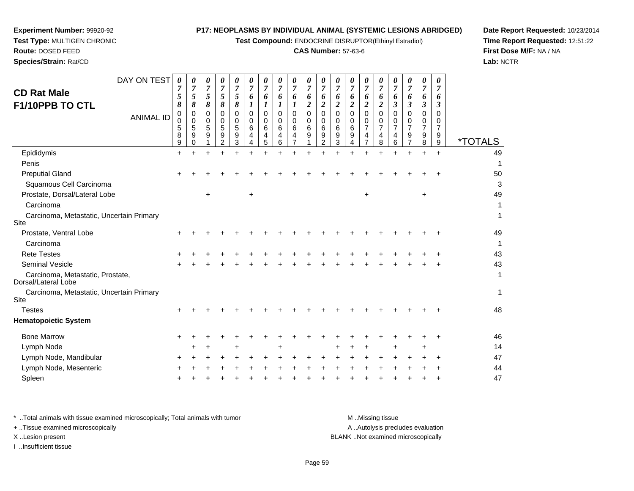**Test Compound:** ENDOCRINE DISRUPTOR(Ethinyl Estradiol)

# **CAS Number:** 57-63-6

**Date Report Requested:** 10/23/2014 **Time Report Requested:** 12:51:22**First Dose M/F:** NA / NA**Lab:** NCTR

| <b>CD Rat Male</b><br>F1/10PPB TO CTL                   | 7<br>5<br>8           | 5<br>8                | 5<br>8           | 5<br>$\pmb{8}$                     | 5<br>8                       | 6<br>$\boldsymbol{l}$           | 6<br>$\boldsymbol{l}$     | 6<br>1                | 6<br>$\boldsymbol{l}$   | 6<br>$\boldsymbol{2}$   | 6<br>$\boldsymbol{2}$              | 6<br>$\boldsymbol{2}$     | 6<br>$\overline{\mathbf{c}}$ | 6<br>$\overline{c}$                                    | 6<br>$\overline{2}$          | 6<br>$\mathfrak{z}$                       | 6<br>$\boldsymbol{\beta}$            | 6<br>$\boldsymbol{\beta}$                 | 7<br>6<br>$\mathfrak{z}$                  |                       |
|---------------------------------------------------------|-----------------------|-----------------------|------------------|------------------------------------|------------------------------|---------------------------------|---------------------------|-----------------------|-------------------------|-------------------------|------------------------------------|---------------------------|------------------------------|--------------------------------------------------------|------------------------------|-------------------------------------------|--------------------------------------|-------------------------------------------|-------------------------------------------|-----------------------|
| <b>ANIMAL ID</b>                                        | 0<br>0<br>5<br>8<br>9 | 0<br>0<br>5<br>9<br>0 | 0<br>0<br>5<br>9 | 0<br>0<br>5<br>9<br>$\overline{2}$ | $\Omega$<br>0<br>5<br>9<br>3 | $\mathbf 0$<br>0<br>6<br>4<br>4 | 0<br>0<br>$\,6$<br>4<br>5 | 0<br>0<br>6<br>4<br>6 | $\Omega$<br>0<br>6<br>4 | $\Omega$<br>0<br>6<br>9 | 0<br>0<br>6<br>9<br>$\overline{2}$ | 0<br>0<br>$\,6$<br>9<br>3 | $\Omega$<br>0<br>6<br>9      | $\Omega$<br>0<br>$\overline{7}$<br>4<br>$\overline{7}$ | $\Omega$<br>0<br>7<br>4<br>8 | $\Omega$<br>0<br>$\overline{7}$<br>4<br>6 | $\Omega$<br>0<br>$\overline{7}$<br>9 | $\Omega$<br>0<br>$\overline{7}$<br>9<br>8 | $\Omega$<br>0<br>$\overline{7}$<br>9<br>9 | <i><b>*TOTALS</b></i> |
| Epididymis                                              | ÷                     |                       |                  |                                    |                              |                                 |                           |                       |                         |                         |                                    |                           |                              |                                                        |                              |                                           |                                      |                                           | ÷                                         | 49                    |
| Penis                                                   |                       |                       |                  |                                    |                              |                                 |                           |                       |                         |                         |                                    |                           |                              |                                                        |                              |                                           |                                      |                                           |                                           |                       |
| <b>Preputial Gland</b>                                  |                       |                       |                  |                                    |                              |                                 |                           |                       |                         |                         |                                    |                           |                              |                                                        |                              |                                           |                                      |                                           |                                           | 50                    |
| Squamous Cell Carcinoma                                 |                       |                       |                  |                                    |                              |                                 |                           |                       |                         |                         |                                    |                           |                              |                                                        |                              |                                           |                                      |                                           |                                           | 3                     |
| Prostate, Dorsal/Lateral Lobe                           |                       |                       |                  |                                    |                              | $\ddot{}$                       |                           |                       |                         |                         |                                    |                           |                              |                                                        |                              |                                           |                                      | +                                         |                                           | 49                    |
| Carcinoma                                               |                       |                       |                  |                                    |                              |                                 |                           |                       |                         |                         |                                    |                           |                              |                                                        |                              |                                           |                                      |                                           |                                           |                       |
| Carcinoma, Metastatic, Uncertain Primary<br>Site        |                       |                       |                  |                                    |                              |                                 |                           |                       |                         |                         |                                    |                           |                              |                                                        |                              |                                           |                                      |                                           |                                           | 1                     |
| Prostate, Ventral Lobe                                  |                       |                       |                  |                                    |                              |                                 |                           |                       |                         |                         |                                    |                           |                              |                                                        |                              |                                           |                                      |                                           |                                           | 49                    |
| Carcinoma                                               |                       |                       |                  |                                    |                              |                                 |                           |                       |                         |                         |                                    |                           |                              |                                                        |                              |                                           |                                      |                                           |                                           |                       |
| <b>Rete Testes</b>                                      |                       |                       |                  |                                    |                              |                                 |                           |                       |                         |                         |                                    |                           |                              |                                                        |                              |                                           |                                      |                                           |                                           | 43                    |
| <b>Seminal Vesicle</b>                                  |                       |                       |                  |                                    |                              |                                 |                           |                       |                         |                         |                                    |                           |                              |                                                        |                              |                                           |                                      |                                           |                                           | 43                    |
| Carcinoma, Metastatic, Prostate,<br>Dorsal/Lateral Lobe |                       |                       |                  |                                    |                              |                                 |                           |                       |                         |                         |                                    |                           |                              |                                                        |                              |                                           |                                      |                                           |                                           | 1                     |
| Carcinoma, Metastatic, Uncertain Primary<br>Site        |                       |                       |                  |                                    |                              |                                 |                           |                       |                         |                         |                                    |                           |                              |                                                        |                              |                                           |                                      |                                           |                                           | 1                     |
| <b>Testes</b>                                           |                       |                       |                  |                                    |                              |                                 |                           |                       |                         |                         |                                    |                           |                              |                                                        |                              |                                           |                                      |                                           |                                           | 48                    |
| <b>Hematopoietic System</b>                             |                       |                       |                  |                                    |                              |                                 |                           |                       |                         |                         |                                    |                           |                              |                                                        |                              |                                           |                                      |                                           |                                           |                       |
| <b>Bone Marrow</b>                                      |                       |                       |                  |                                    |                              |                                 |                           |                       |                         |                         |                                    |                           |                              |                                                        |                              |                                           |                                      |                                           |                                           | 46                    |
| Lymph Node                                              |                       |                       |                  |                                    |                              |                                 |                           |                       |                         |                         |                                    |                           |                              |                                                        |                              |                                           |                                      |                                           |                                           | 14                    |
| Lymph Node, Mandibular                                  |                       |                       |                  |                                    |                              |                                 |                           |                       |                         |                         |                                    |                           |                              |                                                        |                              |                                           |                                      |                                           |                                           | 47                    |
| Lymph Node, Mesenteric                                  |                       |                       |                  |                                    |                              |                                 |                           |                       |                         |                         |                                    |                           |                              |                                                        |                              |                                           |                                      |                                           |                                           | 44                    |

**Experiment Number:** 99920-92**Test Type:** MULTIGEN CHRONIC

DAY ON TEST*0*

**Route:** DOSED FEED**Species/Strain:** Rat/CD

Spleen

n  $+$ 

| * Total animals with tissue examined microscopically; Total animals with tumor | M Missing tissue                   |
|--------------------------------------------------------------------------------|------------------------------------|
| + Tissue examined microscopically                                              | A Autolysis precludes evaluation   |
| X Lesion present                                                               | BLANK Not examined microscopically |
| …Insufficient tissue                                                           |                                    |

<sup>+</sup> <sup>+</sup> <sup>+</sup> <sup>+</sup> <sup>+</sup> <sup>+</sup> <sup>+</sup> <sup>+</sup> <sup>+</sup> <sup>+</sup> <sup>+</sup> <sup>+</sup> <sup>+</sup> <sup>+</sup> <sup>+</sup> <sup>+</sup> <sup>+</sup> <sup>+</sup> <sup>47</sup>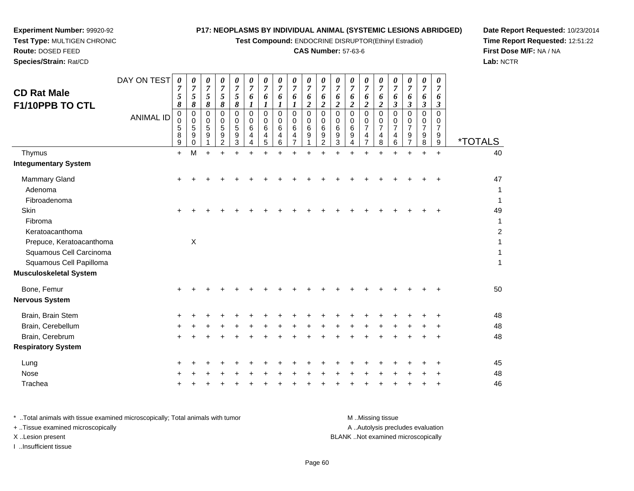**Test Compound:** ENDOCRINE DISRUPTOR(Ethinyl Estradiol)

# **CAS Number:** 57-63-6

**Date Report Requested:** 10/23/2014 **Time Report Requested:** 12:51:22**First Dose M/F:** NA / NA**Lab:** NCTR

| <b>CD Rat Male</b><br>F1/10PPB TO CTL                                          | DAY ON TEST<br><b>ANIMAL ID</b> | 0<br>7<br>5<br>8<br>0<br>$\mathbf 0$<br>5<br>8<br>9 | 0<br>$\overline{7}$<br>5<br>8<br>0<br>0<br>5<br>9<br>0 | 0<br>$\overline{7}$<br>5<br>8<br>0<br>0<br>5<br>9 | 0<br>$\overline{7}$<br>5<br>8<br>0<br>0<br>5<br>9<br>$\overline{2}$ | 0<br>$\overline{7}$<br>5<br>$\pmb{8}$<br>0<br>$\mathbf 0$<br>5<br>9<br>$\mathbf{3}$ | 0<br>$\overline{7}$<br>6<br>1<br>$\mathbf 0$<br>$\Omega$<br>6<br>4<br>4 | 0<br>$\overline{7}$<br>6<br>1<br>$\mathbf 0$<br>$\Omega$<br>6<br>4<br>5 | 0<br>$\overline{7}$<br>6<br>1<br>0<br>0<br>6<br>4<br>6 | 0<br>$\overline{7}$<br>6<br>1<br>$\mathbf 0$<br>$\mathbf 0$<br>6<br>4<br>$\overline{7}$ | 0<br>7<br>6<br>$\overline{c}$<br>$\Omega$<br>0<br>$6\phantom{1}6$<br>9 | 0<br>$\overline{7}$<br>6<br>$\overline{\mathbf{2}}$<br>$\mathbf 0$<br>0<br>6<br>9<br>$\overline{2}$ | 0<br>$\overline{7}$<br>6<br>$\overline{\mathbf{2}}$<br>$\Omega$<br>$\Omega$<br>6<br>9<br>3 | 0<br>$\overline{7}$<br>6<br>$\overline{2}$<br>$\mathbf 0$<br>0<br>6<br>9<br>4 | 0<br>$\overline{7}$<br>6<br>$\overline{2}$<br>$\mathbf 0$<br>0<br>$\overline{7}$<br>4<br>$\overline{7}$ | 0<br>$\overline{7}$<br>6<br>$\boldsymbol{2}$<br>$\Omega$<br>0<br>$\overline{7}$<br>4<br>8 | 0<br>$\overline{7}$<br>6<br>3<br>$\Omega$<br>0<br>$\overline{7}$<br>4<br>6 | 0<br>$\overline{7}$<br>6<br>$\boldsymbol{\beta}$<br>0<br>$\mathbf 0$<br>$\overline{7}$<br>9<br>$\overline{7}$ | 0<br>$\overline{7}$<br>6<br>$\boldsymbol{\beta}$<br>0<br>0<br>$\overline{7}$<br>9<br>8 | 0<br>$\overline{7}$<br>6<br>3<br>$\Omega$<br>0<br>7<br>9<br>$\boldsymbol{9}$ | <i><b>*TOTALS</b></i>     |
|--------------------------------------------------------------------------------|---------------------------------|-----------------------------------------------------|--------------------------------------------------------|---------------------------------------------------|---------------------------------------------------------------------|-------------------------------------------------------------------------------------|-------------------------------------------------------------------------|-------------------------------------------------------------------------|--------------------------------------------------------|-----------------------------------------------------------------------------------------|------------------------------------------------------------------------|-----------------------------------------------------------------------------------------------------|--------------------------------------------------------------------------------------------|-------------------------------------------------------------------------------|---------------------------------------------------------------------------------------------------------|-------------------------------------------------------------------------------------------|----------------------------------------------------------------------------|---------------------------------------------------------------------------------------------------------------|----------------------------------------------------------------------------------------|------------------------------------------------------------------------------|---------------------------|
| Thymus                                                                         |                                 | $\ddot{}$                                           | M                                                      | $\ddot{}$                                         |                                                                     |                                                                                     |                                                                         |                                                                         |                                                        |                                                                                         |                                                                        |                                                                                                     |                                                                                            |                                                                               |                                                                                                         |                                                                                           | $\ddot{}$                                                                  | +                                                                                                             |                                                                                        | $\ddot{}$                                                                    | 40                        |
| <b>Integumentary System</b>                                                    |                                 |                                                     |                                                        |                                                   |                                                                     |                                                                                     |                                                                         |                                                                         |                                                        |                                                                                         |                                                                        |                                                                                                     |                                                                                            |                                                                               |                                                                                                         |                                                                                           |                                                                            |                                                                                                               |                                                                                        |                                                                              |                           |
| <b>Mammary Gland</b><br>Adenoma<br>Fibroadenoma                                |                                 | ÷                                                   |                                                        |                                                   |                                                                     |                                                                                     |                                                                         |                                                                         |                                                        |                                                                                         |                                                                        |                                                                                                     |                                                                                            |                                                                               |                                                                                                         |                                                                                           |                                                                            |                                                                                                               |                                                                                        | ٠                                                                            | 47<br>1<br>1              |
| Skin<br>Fibroma<br>Keratoacanthoma                                             |                                 | $\pm$                                               |                                                        |                                                   |                                                                     |                                                                                     |                                                                         |                                                                         |                                                        |                                                                                         |                                                                        |                                                                                                     |                                                                                            |                                                                               |                                                                                                         |                                                                                           |                                                                            |                                                                                                               |                                                                                        | ÷                                                                            | 49<br>1<br>$\overline{c}$ |
| Prepuce, Keratoacanthoma<br>Squamous Cell Carcinoma<br>Squamous Cell Papilloma |                                 |                                                     | $\mathsf X$                                            |                                                   |                                                                     |                                                                                     |                                                                         |                                                                         |                                                        |                                                                                         |                                                                        |                                                                                                     |                                                                                            |                                                                               |                                                                                                         |                                                                                           |                                                                            |                                                                                                               |                                                                                        |                                                                              | 1<br>1                    |
| Musculoskeletal System                                                         |                                 |                                                     |                                                        |                                                   |                                                                     |                                                                                     |                                                                         |                                                                         |                                                        |                                                                                         |                                                                        |                                                                                                     |                                                                                            |                                                                               |                                                                                                         |                                                                                           |                                                                            |                                                                                                               |                                                                                        |                                                                              |                           |
| Bone, Femur<br>Nervous System                                                  |                                 |                                                     |                                                        |                                                   |                                                                     |                                                                                     |                                                                         |                                                                         |                                                        |                                                                                         |                                                                        |                                                                                                     |                                                                                            |                                                                               |                                                                                                         |                                                                                           |                                                                            |                                                                                                               |                                                                                        |                                                                              | 50                        |
| Brain, Brain Stem                                                              |                                 |                                                     |                                                        |                                                   |                                                                     |                                                                                     |                                                                         |                                                                         |                                                        |                                                                                         |                                                                        |                                                                                                     |                                                                                            |                                                                               |                                                                                                         |                                                                                           |                                                                            |                                                                                                               |                                                                                        |                                                                              | 48                        |
| Brain, Cerebellum                                                              |                                 |                                                     |                                                        |                                                   |                                                                     |                                                                                     |                                                                         |                                                                         |                                                        |                                                                                         |                                                                        |                                                                                                     |                                                                                            |                                                                               |                                                                                                         |                                                                                           |                                                                            |                                                                                                               |                                                                                        |                                                                              | 48                        |
| Brain, Cerebrum<br><b>Respiratory System</b>                                   |                                 |                                                     |                                                        |                                                   |                                                                     |                                                                                     |                                                                         |                                                                         |                                                        |                                                                                         |                                                                        |                                                                                                     |                                                                                            |                                                                               |                                                                                                         |                                                                                           |                                                                            |                                                                                                               |                                                                                        |                                                                              | 48                        |
| Lung                                                                           |                                 |                                                     |                                                        |                                                   |                                                                     |                                                                                     |                                                                         |                                                                         |                                                        |                                                                                         |                                                                        |                                                                                                     |                                                                                            |                                                                               |                                                                                                         |                                                                                           |                                                                            |                                                                                                               |                                                                                        | +                                                                            | 45                        |
| Nose<br>Trachea                                                                |                                 |                                                     |                                                        |                                                   |                                                                     |                                                                                     |                                                                         |                                                                         |                                                        |                                                                                         |                                                                        |                                                                                                     |                                                                                            |                                                                               |                                                                                                         |                                                                                           |                                                                            |                                                                                                               |                                                                                        | ٠                                                                            | 48<br>46                  |
|                                                                                |                                 |                                                     |                                                        |                                                   |                                                                     |                                                                                     |                                                                         |                                                                         |                                                        |                                                                                         |                                                                        |                                                                                                     |                                                                                            |                                                                               |                                                                                                         |                                                                                           |                                                                            |                                                                                                               |                                                                                        |                                                                              |                           |

**Experiment Number:** 99920-92**Test Type:** MULTIGEN CHRONIC

| * Total animals with tissue examined microscopically; Total animals with tumor | M Missing tissue                   |
|--------------------------------------------------------------------------------|------------------------------------|
| + Tissue examined microscopically                                              | A Autolysis precludes evaluation   |
| X Lesion present                                                               | BLANK Not examined microscopically |
| …Insufficient tissue                                                           |                                    |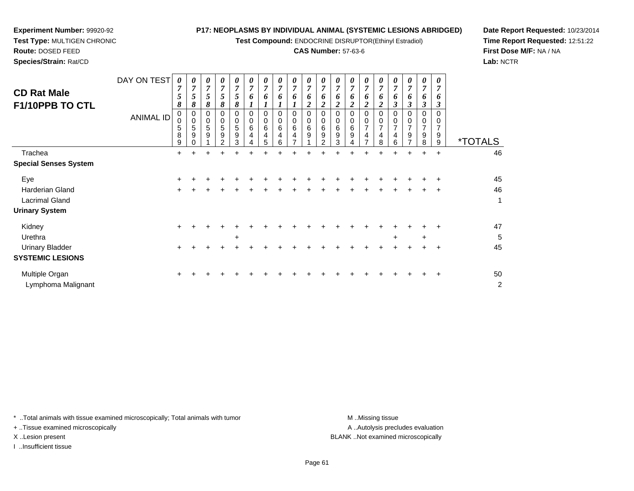**Test Compound:** ENDOCRINE DISRUPTOR(Ethinyl Estradiol)

# **CAS Number:** 57-63-6

<sup>+</sup> <sup>+</sup> <sup>+</sup> <sup>+</sup> <sup>+</sup> <sup>+</sup> <sup>+</sup> <sup>+</sup> <sup>+</sup> <sup>+</sup> <sup>+</sup> <sup>+</sup> <sup>+</sup> <sup>+</sup> <sup>+</sup> <sup>+</sup> <sup>+</sup> <sup>+</sup> <sup>50</sup>

t de la construction de la construction de la construction de la construction de la construction de la construction<br>De la construction de la construction de la construction de la construction de la construction de la const

**Date Report Requested:** 10/23/2014 **Time Report Requested:** 12:51:22**First Dose M/F:** NA / NA**Lab:** NCTR

| <b>CD Rat Male</b><br>F1/10PPB TO CTL                                  | DAY ON TEST<br><b>ANIMAL ID</b> | $\boldsymbol{\theta}$<br>$\overline{7}$<br>5<br>8<br>0<br>$\mathbf 0$<br>5<br>8<br>9 | 0<br>$\overline{ }$<br>5<br>8<br>0<br>0<br>5<br>9 | 0<br>$\overline{7}$<br>5<br>8<br>0<br>0<br>5<br>9 | 0<br>7<br>5<br>8<br>$\Omega$<br>0<br>5<br>9<br>$\mathcal{P}$ | $\boldsymbol{\theta}$<br>7<br>5<br>8<br>$\Omega$<br>0<br>5<br>9<br>3 | 0<br>$\overline{7}$<br>6<br>$\Omega$<br>0<br>6<br>4<br>4 | 0<br>$\overline{ }$<br>0<br>0<br>6<br>5 | 0<br>$\overline{ }$<br>6<br>0<br>0<br>6<br>6 | 0<br>$\overline{ }$<br>0<br>0<br>6 | 0<br>$\overline{7}$<br>6<br>0<br>0<br>6<br>9 | 0<br>$\overline{7}$<br>6<br>0<br>0<br>6<br>$\boldsymbol{9}$<br>$\mathfrak{p}$ | 0<br>7<br>o<br>$\Omega$<br>0<br>6<br>9 | 0<br>7<br>o<br>0<br>6<br>9 | 0<br>$\overline{ }$<br>0 | 0<br>0<br>4<br>8 | 0<br>$\overline{ }$<br>3<br>6 | 0<br>7<br>6<br>3<br>0<br>0<br>7<br>9 | 0<br>7<br>o<br>3<br>9<br>8 | 0<br>$\overline{7}$<br>o<br>$\boldsymbol{\beta}$<br>$\Omega$<br>0<br>9<br>9 | <i><b>*TOTALS</b></i> |
|------------------------------------------------------------------------|---------------------------------|--------------------------------------------------------------------------------------|---------------------------------------------------|---------------------------------------------------|--------------------------------------------------------------|----------------------------------------------------------------------|----------------------------------------------------------|-----------------------------------------|----------------------------------------------|------------------------------------|----------------------------------------------|-------------------------------------------------------------------------------|----------------------------------------|----------------------------|--------------------------|------------------|-------------------------------|--------------------------------------|----------------------------|-----------------------------------------------------------------------------|-----------------------|
| Trachea<br><b>Special Senses System</b>                                |                                 | $+$                                                                                  | +                                                 | $\pm$                                             | $\pm$                                                        | +                                                                    |                                                          | +                                       | +                                            |                                    |                                              |                                                                               |                                        |                            |                          | +                | $\pm$                         | $\pm$                                | $\pm$                      | $\overline{+}$                                                              | 46                    |
| Eye<br>Harderian Gland<br>Lacrimal Gland<br><b>Urinary System</b>      |                                 | $\pm$<br>$\pm$                                                                       |                                                   |                                                   |                                                              |                                                                      |                                                          |                                         |                                              |                                    |                                              |                                                                               |                                        |                            |                          |                  |                               |                                      |                            | $\ddot{}$                                                                   | 45<br>46<br>1         |
| Kidney<br>Urethra<br><b>Urinary Bladder</b><br><b>SYSTEMIC LESIONS</b> |                                 | $\pm$<br>$\ddot{}$                                                                   |                                                   |                                                   |                                                              | $\ddot{}$                                                            |                                                          |                                         |                                              |                                    |                                              |                                                                               |                                        |                            |                          |                  | $\ddot{}$                     |                                      | $\ddot{}$                  | ÷                                                                           | 47<br>5<br>45         |

\* ..Total animals with tissue examined microscopically; Total animals with tumor **M** . Missing tissue M ..Missing tissue

n  $+$ 

+ ..Tissue examined microscopically

**Experiment Number:** 99920-92**Test Type:** MULTIGEN CHRONIC

**Route:** DOSED FEED**Species/Strain:** Rat/CD

I ..Insufficient tissue

Multiple Organ

Lymphoma Malignant

A .. Autolysis precludes evaluation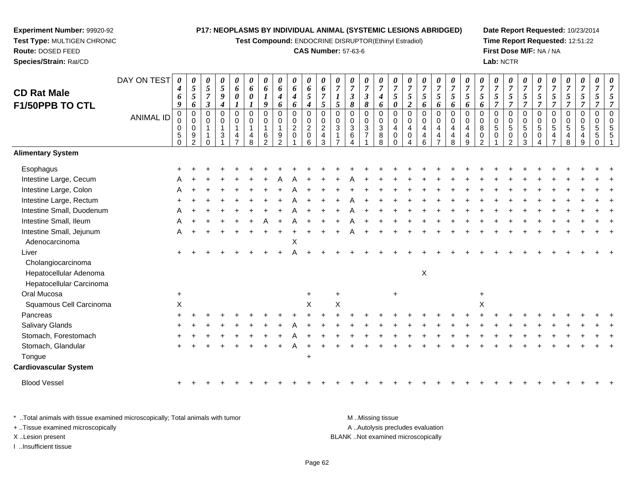**Test Compound:** ENDOCRINE DISRUPTOR(Ethinyl Estradiol)

#### **CAS Number:** 57-63-6

**Date Report Requested:** 10/23/2014 **Time Report Requested:** 12:51:22**First Dose M/F:** NA / NA**Lab:** NCTR

| <b>CD Rat Male</b><br>F1/50PPB TO CTL                                    | DAY ON TEST<br><b>ANIMAL ID</b> | $\boldsymbol{\theta}$<br>4<br>6<br>9<br>$\pmb{0}$<br>0<br>0<br>$\sqrt{5}$<br>$\Omega$ | 0<br>$\overline{5}$<br>5<br>6<br>$\mathbf 0$<br>$\mathbf 0$<br>0<br>9<br>$\overline{2}$ | 0<br>5<br>$\overline{7}$<br>3<br>$\Omega$<br>0 | $\pmb{\theta}$<br>$\sqrt{5}$<br>9<br>4<br>0<br>0<br>$\mathbf{1}$<br>3 | $\pmb{\theta}$<br>6<br>0<br>$\mathbf 0$<br>$\mathbf 0$<br>$\mathbf{1}$<br>4 | 0<br>6<br>0<br>1<br>$\mathbf 0$<br>0<br>-1<br>4<br>8 | 0<br>6<br>9<br>$\overline{0}$<br>$\mathbf 0$<br>1<br>6<br>$\mathcal{P}$ | 0<br>6<br>4<br>6<br>$\mathbf 0$<br>$\mathbf 0$<br>9 | 0<br>6<br>$\boldsymbol{4}$<br>6<br>$\mathbf 0$<br>$\pmb{0}$<br>$\boldsymbol{2}$<br>$\mathbf 0$ | $\pmb{\theta}$<br>6<br>$\mathfrak{s}$<br>$\boldsymbol{4}$<br>$\mathsf 0$<br>$\pmb{0}$<br>$\overline{2}$<br>$\mathbf 0$<br>6 | $\pmb{\theta}$<br>6<br>$\overline{7}$<br>$5\overline{)}$<br>$\mathbf 0$<br>$\mathbf 0$<br>$\sqrt{2}$<br>$\overline{4}$<br>3 | 0<br>$\overline{7}$<br>$\mathfrak{s}$<br>$\overline{0}$<br>$\Omega$<br>3 | 0<br>$\overline{7}$<br>$\boldsymbol{\beta}$<br>8<br>$\Omega$<br>0<br>3<br>6 | 0<br>$\boldsymbol{7}$<br>$\boldsymbol{\beta}$<br>8<br>0<br>$\mathbf 0$<br>$\sqrt{3}$<br>$\overline{7}$ | $\pmb{\theta}$<br>$\overline{7}$<br>$\boldsymbol{4}$<br>6<br>$\mathsf 0$<br>$\mathbf 0$<br>$\sqrt{3}$<br>8<br>8 | 0<br>$\overline{7}$<br>$\mathfrak{s}$<br>0<br>$\mathbf 0$<br>0<br>$\overline{4}$<br>$\mathbf 0$<br>0 | 0<br>$\overline{7}$<br>$\mathfrak{s}$<br>$\boldsymbol{2}$<br>$\overline{0}$<br>$\mathbf 0$<br>4<br>$\mathbf 0$ | 0<br>$\overline{7}$<br>5<br>6<br>0<br>0<br>4<br>4<br>6 | 0<br>$\boldsymbol{7}$<br>5<br>6<br>$\pmb{0}$<br>0<br>4<br>4<br>$\overline{ }$ | $\pmb{\theta}$<br>$\overline{7}$<br>5<br>6<br>$\pmb{0}$<br>$\mathbf 0$<br>$\overline{4}$<br>4<br>8 | 0<br>$\overline{7}$<br>$\sqrt{5}$<br>6<br>$\Omega$<br>0<br>4<br>4<br>9 | 0<br>$\overline{7}$<br>$\mathfrak{s}$<br>6<br>$\Omega$<br>$\Omega$<br>8<br>0<br>$\mathfrak{p}$ | 0<br>$\overline{7}$<br>5<br>$\overline{7}$<br>$\Omega$<br>0<br>5<br>$\Omega$ | 0<br>$\boldsymbol{7}$<br>5<br>$\overline{7}$<br>$\pmb{0}$<br>$\,0\,$<br>$\sqrt{5}$<br>$\pmb{0}$<br>$\overline{2}$ | $\pmb{\theta}$<br>$\overline{7}$<br>5<br>$\overline{7}$<br>$\mathbf 0$<br>$\mathbf 0$<br>$\sqrt{5}$<br>0<br>3 | 0<br>$\overline{7}$<br>5<br>$\overline{7}$<br>$\mathbf{0}$<br>0<br>$\sqrt{5}$<br>0<br>4 | 0<br>7<br>5<br>$\overline{7}$<br>$\Omega$<br>$\Omega$<br>5<br>4 | 0<br>$\overline{7}$<br>5<br>$\overline{\tau}$<br>0<br>0<br>5<br>8 | 0<br>$\boldsymbol{7}$<br>5<br>$\overline{7}$<br>0<br>$\,0\,$<br>$\sqrt{5}$<br>4<br>9 | $\pmb{\theta}$<br>$\overline{7}$<br>5<br>7<br>$\mathbf 0$<br>$\mathbf 0$<br>$\sqrt{5}$<br>5<br>$\Omega$ | $\frac{\theta}{7}$ |
|--------------------------------------------------------------------------|---------------------------------|---------------------------------------------------------------------------------------|-----------------------------------------------------------------------------------------|------------------------------------------------|-----------------------------------------------------------------------|-----------------------------------------------------------------------------|------------------------------------------------------|-------------------------------------------------------------------------|-----------------------------------------------------|------------------------------------------------------------------------------------------------|-----------------------------------------------------------------------------------------------------------------------------|-----------------------------------------------------------------------------------------------------------------------------|--------------------------------------------------------------------------|-----------------------------------------------------------------------------|--------------------------------------------------------------------------------------------------------|-----------------------------------------------------------------------------------------------------------------|------------------------------------------------------------------------------------------------------|----------------------------------------------------------------------------------------------------------------|--------------------------------------------------------|-------------------------------------------------------------------------------|----------------------------------------------------------------------------------------------------|------------------------------------------------------------------------|------------------------------------------------------------------------------------------------|------------------------------------------------------------------------------|-------------------------------------------------------------------------------------------------------------------|---------------------------------------------------------------------------------------------------------------|-----------------------------------------------------------------------------------------|-----------------------------------------------------------------|-------------------------------------------------------------------|--------------------------------------------------------------------------------------|---------------------------------------------------------------------------------------------------------|--------------------|
| <b>Alimentary System</b>                                                 |                                 |                                                                                       |                                                                                         |                                                |                                                                       |                                                                             |                                                      |                                                                         |                                                     |                                                                                                |                                                                                                                             |                                                                                                                             |                                                                          |                                                                             |                                                                                                        |                                                                                                                 |                                                                                                      |                                                                                                                |                                                        |                                                                               |                                                                                                    |                                                                        |                                                                                                |                                                                              |                                                                                                                   |                                                                                                               |                                                                                         |                                                                 |                                                                   |                                                                                      |                                                                                                         |                    |
| Esophagus                                                                |                                 |                                                                                       |                                                                                         |                                                |                                                                       |                                                                             |                                                      |                                                                         |                                                     |                                                                                                |                                                                                                                             |                                                                                                                             |                                                                          |                                                                             |                                                                                                        |                                                                                                                 |                                                                                                      |                                                                                                                |                                                        |                                                                               |                                                                                                    |                                                                        |                                                                                                |                                                                              |                                                                                                                   |                                                                                                               |                                                                                         |                                                                 |                                                                   |                                                                                      |                                                                                                         |                    |
| Intestine Large, Cecum                                                   |                                 |                                                                                       |                                                                                         |                                                |                                                                       |                                                                             |                                                      |                                                                         |                                                     |                                                                                                |                                                                                                                             |                                                                                                                             |                                                                          |                                                                             |                                                                                                        |                                                                                                                 |                                                                                                      |                                                                                                                |                                                        |                                                                               |                                                                                                    |                                                                        |                                                                                                |                                                                              |                                                                                                                   |                                                                                                               |                                                                                         |                                                                 |                                                                   |                                                                                      |                                                                                                         |                    |
| Intestine Large, Colon                                                   |                                 |                                                                                       |                                                                                         |                                                |                                                                       |                                                                             |                                                      |                                                                         |                                                     |                                                                                                |                                                                                                                             |                                                                                                                             |                                                                          |                                                                             |                                                                                                        |                                                                                                                 |                                                                                                      |                                                                                                                |                                                        |                                                                               |                                                                                                    |                                                                        |                                                                                                |                                                                              |                                                                                                                   |                                                                                                               |                                                                                         |                                                                 |                                                                   |                                                                                      |                                                                                                         |                    |
| Intestine Large, Rectum                                                  |                                 |                                                                                       |                                                                                         |                                                |                                                                       |                                                                             |                                                      |                                                                         |                                                     |                                                                                                |                                                                                                                             |                                                                                                                             |                                                                          |                                                                             |                                                                                                        |                                                                                                                 |                                                                                                      |                                                                                                                |                                                        |                                                                               |                                                                                                    |                                                                        |                                                                                                |                                                                              |                                                                                                                   |                                                                                                               |                                                                                         |                                                                 |                                                                   |                                                                                      |                                                                                                         |                    |
| Intestine Small, Duodenum                                                |                                 |                                                                                       |                                                                                         |                                                |                                                                       |                                                                             |                                                      |                                                                         |                                                     |                                                                                                |                                                                                                                             |                                                                                                                             |                                                                          |                                                                             |                                                                                                        |                                                                                                                 |                                                                                                      |                                                                                                                |                                                        |                                                                               |                                                                                                    |                                                                        |                                                                                                |                                                                              |                                                                                                                   |                                                                                                               |                                                                                         |                                                                 |                                                                   |                                                                                      |                                                                                                         |                    |
| Intestine Small, Ileum                                                   |                                 |                                                                                       |                                                                                         |                                                |                                                                       |                                                                             |                                                      |                                                                         |                                                     |                                                                                                |                                                                                                                             |                                                                                                                             |                                                                          |                                                                             |                                                                                                        |                                                                                                                 |                                                                                                      |                                                                                                                |                                                        |                                                                               |                                                                                                    |                                                                        |                                                                                                |                                                                              |                                                                                                                   |                                                                                                               |                                                                                         |                                                                 |                                                                   |                                                                                      |                                                                                                         |                    |
| Intestine Small, Jejunum<br>Adenocarcinoma                               |                                 | A                                                                                     |                                                                                         |                                                |                                                                       |                                                                             |                                                      |                                                                         |                                                     | X                                                                                              |                                                                                                                             |                                                                                                                             |                                                                          |                                                                             |                                                                                                        |                                                                                                                 |                                                                                                      |                                                                                                                |                                                        |                                                                               |                                                                                                    |                                                                        |                                                                                                |                                                                              |                                                                                                                   |                                                                                                               |                                                                                         |                                                                 |                                                                   |                                                                                      |                                                                                                         |                    |
| Liver                                                                    |                                 |                                                                                       |                                                                                         |                                                |                                                                       |                                                                             |                                                      |                                                                         |                                                     |                                                                                                |                                                                                                                             |                                                                                                                             |                                                                          |                                                                             |                                                                                                        |                                                                                                                 |                                                                                                      |                                                                                                                |                                                        |                                                                               |                                                                                                    |                                                                        |                                                                                                |                                                                              |                                                                                                                   |                                                                                                               |                                                                                         |                                                                 |                                                                   |                                                                                      |                                                                                                         |                    |
| Cholangiocarcinoma<br>Hepatocellular Adenoma<br>Hepatocellular Carcinoma |                                 |                                                                                       |                                                                                         |                                                |                                                                       |                                                                             |                                                      |                                                                         |                                                     |                                                                                                |                                                                                                                             |                                                                                                                             |                                                                          |                                                                             |                                                                                                        |                                                                                                                 |                                                                                                      |                                                                                                                | $\mathsf X$                                            |                                                                               |                                                                                                    |                                                                        |                                                                                                |                                                                              |                                                                                                                   |                                                                                                               |                                                                                         |                                                                 |                                                                   |                                                                                      |                                                                                                         |                    |
| Oral Mucosa                                                              |                                 | $\ddot{}$                                                                             |                                                                                         |                                                |                                                                       |                                                                             |                                                      |                                                                         |                                                     |                                                                                                | $\div$                                                                                                                      |                                                                                                                             | +                                                                        |                                                                             |                                                                                                        |                                                                                                                 | $\ddot{}$                                                                                            |                                                                                                                |                                                        |                                                                               |                                                                                                    |                                                                        | +                                                                                              |                                                                              |                                                                                                                   |                                                                                                               |                                                                                         |                                                                 |                                                                   |                                                                                      |                                                                                                         |                    |
| Squamous Cell Carcinoma                                                  |                                 | $\mathsf X$                                                                           |                                                                                         |                                                |                                                                       |                                                                             |                                                      |                                                                         |                                                     |                                                                                                | X                                                                                                                           |                                                                                                                             | $\sf X$                                                                  |                                                                             |                                                                                                        |                                                                                                                 |                                                                                                      |                                                                                                                |                                                        |                                                                               |                                                                                                    |                                                                        | Χ                                                                                              |                                                                              |                                                                                                                   |                                                                                                               |                                                                                         |                                                                 |                                                                   |                                                                                      |                                                                                                         |                    |
| Pancreas                                                                 |                                 |                                                                                       |                                                                                         |                                                |                                                                       |                                                                             |                                                      |                                                                         |                                                     |                                                                                                |                                                                                                                             |                                                                                                                             |                                                                          |                                                                             |                                                                                                        |                                                                                                                 |                                                                                                      |                                                                                                                |                                                        |                                                                               |                                                                                                    |                                                                        |                                                                                                |                                                                              |                                                                                                                   |                                                                                                               |                                                                                         |                                                                 |                                                                   |                                                                                      |                                                                                                         |                    |
| <b>Salivary Glands</b>                                                   |                                 |                                                                                       |                                                                                         |                                                |                                                                       |                                                                             |                                                      |                                                                         |                                                     |                                                                                                |                                                                                                                             |                                                                                                                             |                                                                          |                                                                             |                                                                                                        |                                                                                                                 |                                                                                                      |                                                                                                                |                                                        |                                                                               |                                                                                                    |                                                                        |                                                                                                |                                                                              |                                                                                                                   |                                                                                                               |                                                                                         |                                                                 |                                                                   |                                                                                      |                                                                                                         |                    |
| Stomach, Forestomach                                                     |                                 |                                                                                       |                                                                                         |                                                |                                                                       |                                                                             |                                                      |                                                                         |                                                     |                                                                                                |                                                                                                                             |                                                                                                                             |                                                                          |                                                                             |                                                                                                        |                                                                                                                 |                                                                                                      |                                                                                                                |                                                        |                                                                               |                                                                                                    |                                                                        |                                                                                                |                                                                              |                                                                                                                   |                                                                                                               |                                                                                         |                                                                 |                                                                   |                                                                                      |                                                                                                         |                    |
| Stomach, Glandular                                                       |                                 |                                                                                       |                                                                                         |                                                |                                                                       |                                                                             |                                                      |                                                                         |                                                     |                                                                                                |                                                                                                                             |                                                                                                                             |                                                                          |                                                                             |                                                                                                        |                                                                                                                 |                                                                                                      |                                                                                                                |                                                        |                                                                               |                                                                                                    |                                                                        |                                                                                                |                                                                              |                                                                                                                   |                                                                                                               |                                                                                         |                                                                 |                                                                   |                                                                                      |                                                                                                         |                    |
| Tongue                                                                   |                                 |                                                                                       |                                                                                         |                                                |                                                                       |                                                                             |                                                      |                                                                         |                                                     |                                                                                                | $\overline{1}$                                                                                                              |                                                                                                                             |                                                                          |                                                                             |                                                                                                        |                                                                                                                 |                                                                                                      |                                                                                                                |                                                        |                                                                               |                                                                                                    |                                                                        |                                                                                                |                                                                              |                                                                                                                   |                                                                                                               |                                                                                         |                                                                 |                                                                   |                                                                                      |                                                                                                         |                    |
| <b>Cardiovascular System</b>                                             |                                 |                                                                                       |                                                                                         |                                                |                                                                       |                                                                             |                                                      |                                                                         |                                                     |                                                                                                |                                                                                                                             |                                                                                                                             |                                                                          |                                                                             |                                                                                                        |                                                                                                                 |                                                                                                      |                                                                                                                |                                                        |                                                                               |                                                                                                    |                                                                        |                                                                                                |                                                                              |                                                                                                                   |                                                                                                               |                                                                                         |                                                                 |                                                                   |                                                                                      |                                                                                                         |                    |
| <b>Blood Vessel</b>                                                      |                                 | $+$                                                                                   |                                                                                         |                                                |                                                                       |                                                                             |                                                      |                                                                         |                                                     |                                                                                                |                                                                                                                             |                                                                                                                             |                                                                          |                                                                             |                                                                                                        |                                                                                                                 |                                                                                                      |                                                                                                                |                                                        |                                                                               |                                                                                                    |                                                                        |                                                                                                |                                                                              |                                                                                                                   |                                                                                                               |                                                                                         |                                                                 |                                                                   |                                                                                      |                                                                                                         |                    |

\* ..Total animals with tissue examined microscopically; Total animals with tumor **M** ...Missing tissue M ...Missing tissue A ..Autolysis precludes evaluation + ..Tissue examined microscopically X ..Lesion present BLANK ..Not examined microscopicallyI ..Insufficient tissue

<sup>+</sup>

**Experiment Number:** 99920-92**Test Type:** MULTIGEN CHRONIC

**Route:** DOSED FEED**Species/Strain:** Rat/CD

<sup>+</sup> <sup>+</sup> <sup>+</sup> <sup>+</sup> <sup>+</sup> <sup>+</sup> <sup>+</sup> <sup>+</sup> <sup>+</sup> <sup>+</sup> <sup>+</sup> <sup>+</sup> <sup>+</sup> <sup>+</sup> <sup>+</sup> <sup>+</sup> <sup>+</sup> <sup>+</sup> <sup>+</sup> <sup>+</sup> <sup>+</sup> <sup>+</sup> <sup>+</sup> <sup>+</sup> <sup>+</sup> <sup>+</sup> <sup>+</sup> <sup>+</sup> <sup>+</sup> <sup>+</sup>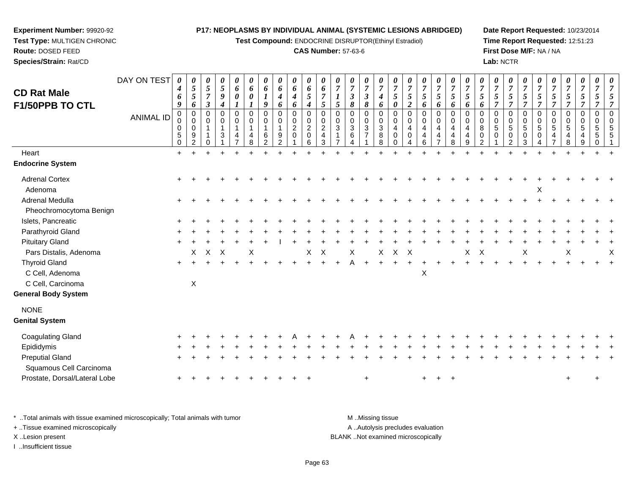**Test Compound:** ENDOCRINE DISRUPTOR(Ethinyl Estradiol)

### **CAS Number:** 57-63-6

**Date Report Requested:** 10/23/2014**Time Report Requested:** 12:51:23**First Dose M/F:** NA / NA**Lab:** NCTR

| <b>CD Rat Male</b><br>F1/50PPB TO CTL<br>Heart               | DAY ON TEST<br><b>ANIMAL ID</b> | 0<br>4<br>6<br>9<br>0<br>0<br>0<br>5<br>$\mathbf 0$<br>$+$ | 0<br>$\mathfrak{s}$<br>$\mathfrak{s}$<br>6<br>0<br>0<br>0<br>9<br>2 | 0<br>$\mathfrak{s}$<br>$\overline{7}$<br>$\boldsymbol{\beta}$<br>0<br>$\mathbf 0$<br>$\overline{1}$<br>0 | 0<br>5<br>$\boldsymbol{g}$<br>$\boldsymbol{4}$<br>$\mathbf 0$<br>$\mathbf 0$<br>$\mathbf{1}$<br>3 | 0<br>6<br>$\boldsymbol{\theta}$<br>$\mathbf 0$<br>$\mathbf 0$<br>$\mathbf{1}$<br>4 | 0<br>6<br>$\boldsymbol{l}$<br>$\mathbf 0$<br>0<br>1<br>4<br>8 | 0<br>6<br>9<br>0<br>$\mathbf 0$<br>6<br>2 | 0<br>6<br>$\boldsymbol{4}$<br>6<br>$\mathbf 0$<br>0<br>$\mathbf{1}$<br>9<br>$\overline{2}$ | 0<br>6<br>$\boldsymbol{4}$<br>6<br>$\pmb{0}$<br>$\mathsf{O}\xspace$<br>$\sqrt{2}$<br>$\mathbf 0$ | 0<br>6<br>5<br>$\boldsymbol{4}$<br>0<br>0<br>$\overline{2}$<br>0<br>6 | 6<br>$\overline{7}$<br>5<br>$\mathbf 0$<br>$\mathbf 0$<br>$\overline{2}$<br>4<br>3 | 0<br>$\overline{7}$<br>5<br>0<br>$\mathbf 0$<br>$\mathbf{3}$ | 0<br>$\overline{7}$<br>$\boldsymbol{\mathfrak{z}}$<br>8<br>0<br>0<br>3<br>6<br>4 | 0<br>$\boldsymbol{7}$<br>$\boldsymbol{\mathfrak{z}}$<br>8<br>$\pmb{0}$<br>$\pmb{0}$<br>$\sqrt{3}$<br>$\overline{7}$ | 0<br>$\overline{7}$<br>$\boldsymbol{4}$<br>6<br>$\mathbf 0$<br>$\mathbf 0$<br>$\sqrt{3}$<br>8<br>8 | $\overline{7}$<br>5<br>$\boldsymbol{\theta}$<br>$\mathbf 0$<br>$\mathbf 0$<br>4<br>$\Omega$<br>$\Omega$ | 0<br>$\overline{7}$<br>$\mathfrak{s}$<br>$\boldsymbol{2}$<br>$\pmb{0}$<br>0<br>$\overline{4}$<br>0<br>4 | 0<br>$\boldsymbol{7}$<br>$\overline{5}$<br>6<br>$\pmb{0}$<br>$\mathsf 0$<br>4<br>4<br>6 | 0<br>$\overline{7}$<br>5<br>6<br>$\mathsf{O}\xspace$<br>0<br>4<br>4<br>$\overline{7}$ | 0<br>$\boldsymbol{7}$<br>5<br>6<br>$\mathbf 0$<br>$\Omega$<br>4<br>4<br>8 | 0<br>$\overline{7}$<br>5<br>6<br>$\mathbf 0$<br>$\Omega$<br>$\overline{4}$<br>4<br>9 | $\boldsymbol{\theta}$<br>$\overline{7}$<br>$\sqrt{5}$<br>6<br>0<br>0<br>$\bf 8$<br>$\pmb{0}$<br>$\overline{2}$ | 0<br>$\overline{7}$<br>$\sqrt{5}$<br>$\overline{7}$<br>$\pmb{0}$<br>$\pmb{0}$<br>$\sqrt{5}$<br>$\mathbf 0$<br>$\overline{1}$ | 0<br>$\overline{7}$<br>5<br>$\overline{7}$<br>0<br>0<br>5<br>0<br>2 | $\boldsymbol{7}$<br>$\sqrt{5}$<br>$\overline{7}$<br>0<br>$\mathbf 0$<br>$\sqrt{5}$<br>0<br>3 | 0<br>$\overline{7}$<br>5<br>$\overline{7}$<br>$\pmb{0}$<br>$\pmb{0}$<br>$\sqrt{5}$<br>0 | 0<br>$\boldsymbol{7}$<br>5<br>$\overline{7}$<br>0<br>$\mathsf{O}$<br>$5\phantom{.0}$<br>4 | 0<br>$\overline{7}$<br>$\mathfrak{s}$<br>$\overline{7}$<br>$\pmb{0}$<br>$\mathbf 0$<br>$\overline{5}$<br>$\overline{4}$<br>8 | 0<br>$\overline{7}$<br>$\sqrt{5}$<br>$\overline{7}$<br>0<br>$\mathbf 0$<br>5<br>4<br>9 | $\overline{7}$<br>5<br>7<br>0<br>$\Omega$<br>5<br>5<br>$\Omega$ | 0<br>$\overline{7}$<br>5<br>$\overline{7}$<br>$\mathbf 0$<br>$\Omega$<br>5<br>5 |
|--------------------------------------------------------------|---------------------------------|------------------------------------------------------------|---------------------------------------------------------------------|----------------------------------------------------------------------------------------------------------|---------------------------------------------------------------------------------------------------|------------------------------------------------------------------------------------|---------------------------------------------------------------|-------------------------------------------|--------------------------------------------------------------------------------------------|--------------------------------------------------------------------------------------------------|-----------------------------------------------------------------------|------------------------------------------------------------------------------------|--------------------------------------------------------------|----------------------------------------------------------------------------------|---------------------------------------------------------------------------------------------------------------------|----------------------------------------------------------------------------------------------------|---------------------------------------------------------------------------------------------------------|---------------------------------------------------------------------------------------------------------|-----------------------------------------------------------------------------------------|---------------------------------------------------------------------------------------|---------------------------------------------------------------------------|--------------------------------------------------------------------------------------|----------------------------------------------------------------------------------------------------------------|------------------------------------------------------------------------------------------------------------------------------|---------------------------------------------------------------------|----------------------------------------------------------------------------------------------|-----------------------------------------------------------------------------------------|-------------------------------------------------------------------------------------------|------------------------------------------------------------------------------------------------------------------------------|----------------------------------------------------------------------------------------|-----------------------------------------------------------------|---------------------------------------------------------------------------------|
| <b>Endocrine System</b>                                      |                                 |                                                            |                                                                     |                                                                                                          |                                                                                                   |                                                                                    |                                                               |                                           |                                                                                            |                                                                                                  |                                                                       |                                                                                    |                                                              |                                                                                  |                                                                                                                     |                                                                                                    |                                                                                                         |                                                                                                         |                                                                                         |                                                                                       |                                                                           |                                                                                      |                                                                                                                |                                                                                                                              |                                                                     |                                                                                              |                                                                                         |                                                                                           |                                                                                                                              |                                                                                        |                                                                 |                                                                                 |
| <b>Adrenal Cortex</b><br>Adenoma                             |                                 |                                                            |                                                                     |                                                                                                          |                                                                                                   |                                                                                    |                                                               |                                           |                                                                                            |                                                                                                  |                                                                       |                                                                                    |                                                              |                                                                                  |                                                                                                                     |                                                                                                    |                                                                                                         |                                                                                                         |                                                                                         |                                                                                       |                                                                           |                                                                                      |                                                                                                                |                                                                                                                              |                                                                     |                                                                                              | х                                                                                       |                                                                                           |                                                                                                                              |                                                                                        |                                                                 |                                                                                 |
| Adrenal Medulla<br>Pheochromocytoma Benign                   |                                 |                                                            |                                                                     |                                                                                                          |                                                                                                   |                                                                                    |                                                               |                                           |                                                                                            |                                                                                                  |                                                                       |                                                                                    |                                                              |                                                                                  |                                                                                                                     |                                                                                                    |                                                                                                         |                                                                                                         |                                                                                         |                                                                                       |                                                                           |                                                                                      |                                                                                                                |                                                                                                                              |                                                                     |                                                                                              |                                                                                         |                                                                                           |                                                                                                                              |                                                                                        |                                                                 |                                                                                 |
| Islets, Pancreatic                                           |                                 |                                                            |                                                                     |                                                                                                          |                                                                                                   |                                                                                    |                                                               |                                           |                                                                                            |                                                                                                  |                                                                       |                                                                                    |                                                              |                                                                                  |                                                                                                                     |                                                                                                    |                                                                                                         |                                                                                                         |                                                                                         |                                                                                       |                                                                           |                                                                                      |                                                                                                                |                                                                                                                              |                                                                     |                                                                                              |                                                                                         |                                                                                           |                                                                                                                              |                                                                                        |                                                                 |                                                                                 |
| Parathyroid Gland                                            |                                 |                                                            |                                                                     |                                                                                                          |                                                                                                   |                                                                                    |                                                               |                                           |                                                                                            |                                                                                                  |                                                                       |                                                                                    |                                                              |                                                                                  |                                                                                                                     |                                                                                                    |                                                                                                         |                                                                                                         |                                                                                         |                                                                                       |                                                                           |                                                                                      |                                                                                                                |                                                                                                                              |                                                                     |                                                                                              |                                                                                         |                                                                                           |                                                                                                                              |                                                                                        |                                                                 |                                                                                 |
| <b>Pituitary Gland</b>                                       |                                 |                                                            |                                                                     |                                                                                                          |                                                                                                   |                                                                                    |                                                               |                                           |                                                                                            |                                                                                                  |                                                                       |                                                                                    |                                                              |                                                                                  |                                                                                                                     |                                                                                                    |                                                                                                         |                                                                                                         |                                                                                         |                                                                                       |                                                                           |                                                                                      |                                                                                                                |                                                                                                                              |                                                                     |                                                                                              |                                                                                         |                                                                                           |                                                                                                                              |                                                                                        |                                                                 |                                                                                 |
| Pars Distalis, Adenoma                                       |                                 |                                                            | X                                                                   | $\pmb{\times}$                                                                                           | X                                                                                                 |                                                                                    | Χ                                                             |                                           |                                                                                            |                                                                                                  | X                                                                     | X                                                                                  |                                                              | X                                                                                |                                                                                                                     | X                                                                                                  | $\mathsf X$                                                                                             | $\times$                                                                                                |                                                                                         |                                                                                       |                                                                           | X                                                                                    | $\mathsf X$                                                                                                    |                                                                                                                              |                                                                     | Χ                                                                                            |                                                                                         |                                                                                           | $\pmb{\times}$                                                                                                               |                                                                                        |                                                                 | X                                                                               |
| <b>Thyroid Gland</b><br>C Cell, Adenoma<br>C Cell, Carcinoma |                                 | $+$                                                        | X                                                                   |                                                                                                          |                                                                                                   |                                                                                    |                                                               |                                           |                                                                                            |                                                                                                  |                                                                       |                                                                                    |                                                              |                                                                                  |                                                                                                                     |                                                                                                    |                                                                                                         |                                                                                                         | $\times$                                                                                |                                                                                       |                                                                           |                                                                                      |                                                                                                                |                                                                                                                              |                                                                     |                                                                                              |                                                                                         |                                                                                           |                                                                                                                              |                                                                                        |                                                                 |                                                                                 |
| <b>General Body System</b>                                   |                                 |                                                            |                                                                     |                                                                                                          |                                                                                                   |                                                                                    |                                                               |                                           |                                                                                            |                                                                                                  |                                                                       |                                                                                    |                                                              |                                                                                  |                                                                                                                     |                                                                                                    |                                                                                                         |                                                                                                         |                                                                                         |                                                                                       |                                                                           |                                                                                      |                                                                                                                |                                                                                                                              |                                                                     |                                                                                              |                                                                                         |                                                                                           |                                                                                                                              |                                                                                        |                                                                 |                                                                                 |
| <b>NONE</b><br><b>Genital System</b>                         |                                 |                                                            |                                                                     |                                                                                                          |                                                                                                   |                                                                                    |                                                               |                                           |                                                                                            |                                                                                                  |                                                                       |                                                                                    |                                                              |                                                                                  |                                                                                                                     |                                                                                                    |                                                                                                         |                                                                                                         |                                                                                         |                                                                                       |                                                                           |                                                                                      |                                                                                                                |                                                                                                                              |                                                                     |                                                                                              |                                                                                         |                                                                                           |                                                                                                                              |                                                                                        |                                                                 |                                                                                 |
| <b>Coagulating Gland</b>                                     |                                 |                                                            |                                                                     |                                                                                                          |                                                                                                   |                                                                                    |                                                               |                                           |                                                                                            |                                                                                                  |                                                                       |                                                                                    |                                                              |                                                                                  |                                                                                                                     |                                                                                                    |                                                                                                         |                                                                                                         |                                                                                         |                                                                                       |                                                                           |                                                                                      |                                                                                                                |                                                                                                                              |                                                                     |                                                                                              |                                                                                         |                                                                                           |                                                                                                                              |                                                                                        |                                                                 |                                                                                 |
| Epididymis                                                   |                                 |                                                            |                                                                     |                                                                                                          |                                                                                                   |                                                                                    |                                                               |                                           |                                                                                            |                                                                                                  |                                                                       |                                                                                    |                                                              |                                                                                  |                                                                                                                     |                                                                                                    |                                                                                                         |                                                                                                         |                                                                                         |                                                                                       |                                                                           |                                                                                      |                                                                                                                |                                                                                                                              |                                                                     |                                                                                              |                                                                                         |                                                                                           |                                                                                                                              |                                                                                        |                                                                 |                                                                                 |
| <b>Preputial Gland</b><br>Squamous Cell Carcinoma            |                                 |                                                            |                                                                     |                                                                                                          |                                                                                                   |                                                                                    |                                                               |                                           |                                                                                            |                                                                                                  |                                                                       |                                                                                    |                                                              |                                                                                  |                                                                                                                     |                                                                                                    |                                                                                                         |                                                                                                         |                                                                                         |                                                                                       |                                                                           |                                                                                      |                                                                                                                |                                                                                                                              |                                                                     |                                                                                              |                                                                                         |                                                                                           |                                                                                                                              |                                                                                        |                                                                 |                                                                                 |
| Prostate, Dorsal/Lateral Lobe                                |                                 |                                                            |                                                                     |                                                                                                          |                                                                                                   |                                                                                    |                                                               |                                           |                                                                                            |                                                                                                  |                                                                       |                                                                                    |                                                              |                                                                                  | $\ddot{}$                                                                                                           |                                                                                                    |                                                                                                         |                                                                                                         | $+$                                                                                     | $^+$                                                                                  | $\div$                                                                    |                                                                                      |                                                                                                                |                                                                                                                              |                                                                     |                                                                                              |                                                                                         |                                                                                           | $\ddot{}$                                                                                                                    |                                                                                        | $\ddot{}$                                                       |                                                                                 |

\* ..Total animals with tissue examined microscopically; Total animals with tumor **M** . Missing tissue M ..Missing tissue

+ ..Tissue examined microscopically

**Experiment Number:** 99920-92**Test Type:** MULTIGEN CHRONIC

**Route:** DOSED FEED**Species/Strain:** Rat/CD

I ..Insufficient tissue

A ..Autolysis precludes evaluation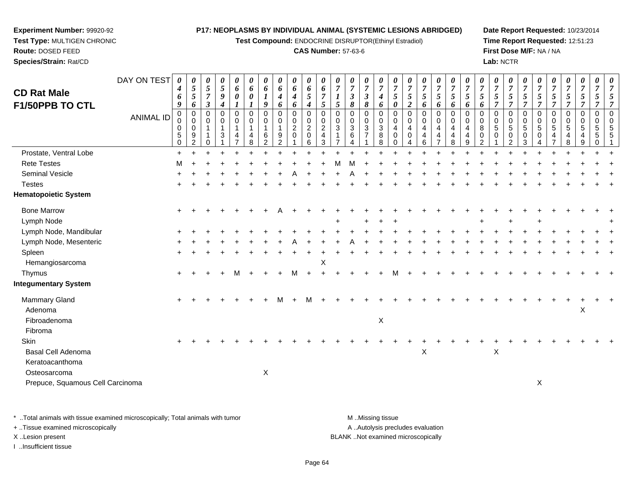**Test Compound:** ENDOCRINE DISRUPTOR(Ethinyl Estradiol)

#### **CAS Number:** 57-63-6

**Date Report Requested:** 10/23/2014**Time Report Requested:** 12:51:23**First Dose M/F:** NA / NA**Lab:** NCTR

|                                  | DAY ON TEST      | 0                | 0                          | 0                                | 0                     | 0                                           | 0                                         | 0                                   | 0                | 0                             | 0                          | 0                                 | $\boldsymbol{\theta}$      | 0                   | 0                                | $\boldsymbol{\theta}$ | $\theta$                                  | $\boldsymbol{\theta}$              | $\boldsymbol{\theta}$    | 0                                     | $\boldsymbol{\theta}$ | $\boldsymbol{\theta}$      | $\boldsymbol{\theta}$        | $\boldsymbol{\theta}$ | 0                                                    | $\boldsymbol{\theta}$    | 0                                | $\boldsymbol{\theta}$        | 0                   | 0                                          | 0                               | 0                    |
|----------------------------------|------------------|------------------|----------------------------|----------------------------------|-----------------------|---------------------------------------------|-------------------------------------------|-------------------------------------|------------------|-------------------------------|----------------------------|-----------------------------------|----------------------------|---------------------|----------------------------------|-----------------------|-------------------------------------------|------------------------------------|--------------------------|---------------------------------------|-----------------------|----------------------------|------------------------------|-----------------------|------------------------------------------------------|--------------------------|----------------------------------|------------------------------|---------------------|--------------------------------------------|---------------------------------|----------------------|
| <b>CD Rat Male</b>               |                  | 4                | $\mathfrak{s}$             | $5\overline{)}$                  | $\mathfrak{I}$        | 6                                           | 6                                         | 6                                   | 6                | 6                             | $\pmb{6}$                  | 6                                 | $\overline{7}$             | $\overline{7}$      | $\overline{7}$                   | $\overline{7}$        | $\overline{7}$                            | $\overline{7}$                     | $\overline{7}$           | $\boldsymbol{7}$                      | $\overline{7}$        | $\overline{7}$             | $\overline{7}$               | $\overline{7}$        | $\overline{7}$                                       | $\overline{7}$           | $\overline{7}$                   | $\overline{7}$               | $\overline{7}$      | $\boldsymbol{7}$                           | $\overline{7}$                  | $\overline{7}$       |
| <b>F1/50PPB TO CTL</b>           |                  | 6<br>9           | $\overline{5}$<br>6        | $\overline{7}$<br>$\mathfrak{z}$ | 9<br>$\boldsymbol{4}$ | $\pmb{\theta}$<br>$\boldsymbol{\mathit{1}}$ | $\boldsymbol{\theta}$<br>$\boldsymbol{l}$ | $\boldsymbol{l}$<br>9               | 4<br>6           | $\boldsymbol{4}$<br>6         | 5<br>$\boldsymbol{4}$      | $\overline{7}$<br>$\mathfrak{s}$  | $\boldsymbol{l}$<br>5      | $\mathfrak{z}$<br>8 | $\mathfrak{z}$<br>8              | $\boldsymbol{4}$<br>6 | $\mathfrak{s}$<br>$\boldsymbol{\theta}$   | $\overline{5}$<br>$\boldsymbol{2}$ | 5<br>6                   | 5<br>6                                | 5<br>6                | $\mathfrak{s}$<br>6        | $\overline{5}$<br>6          | 5<br>7                | 5<br>$\overline{7}$                                  | 5<br>7                   | $\mathfrak{s}$<br>$\overline{7}$ | $\sqrt{5}$<br>$\overline{7}$ | 5<br>$\overline{7}$ | 5<br>$\overline{7}$                        | 5<br>7                          |                      |
|                                  | <b>ANIMAL ID</b> | $\mathbf 0$<br>0 | $\mathbf 0$<br>$\mathbf 0$ | $\mathbf 0$<br>0                 | $\mathbf 0$<br>0      | $\mathbf 0$<br>0                            | $\Omega$<br>0                             | $\mathbf 0$<br>0                    | $\mathbf 0$<br>0 | $\mathbf 0$<br>$_{2}^{\rm 0}$ | $\mathbf 0$<br>$\,0\,$     | $\mathbf 0$<br>0                  | $\Omega$<br>$\mathbf 0$    | $\Omega$<br>0       | $\mathbf 0$<br>$\pmb{0}$         | $\mathbf 0$<br>0      | $\Omega$<br>0                             | $\mathbf 0$<br>0                   | $\mathbf 0$<br>0         | 0<br>0                                | $\mathbf 0$<br>0      | $\mathbf 0$<br>$\mathbf 0$ | $\Omega$<br>0                | $\Omega$<br>0         | $\mathbf 0$<br>$\begin{array}{c} 0 \\ 5 \end{array}$ | $\mathbf 0$<br>0         | $\mathbf 0$<br>$\mathbf 0$       | $\Omega$<br>0                | $\mathbf 0$<br>0    | 0<br>$\begin{array}{c} 0 \\ 5 \end{array}$ | $\mathbf 0$<br>0                | $\Omega$<br>$\Omega$ |
|                                  |                  | 0<br>5<br>0      | $\mathbf 0$<br>9<br>2      | $\mathbf{1}$<br>0                | $\mathbf{1}$<br>3     | $\mathbf{1}$<br>4                           | $\mathbf 1$<br>4<br>8                     | $\mathbf{1}$<br>6<br>$\overline{2}$ | 1<br>9<br>2      | 0                             | $\boldsymbol{2}$<br>0<br>6 | $\sqrt{2}$<br>$\overline{4}$<br>3 | $\sqrt{3}$<br>$\mathbf{1}$ | 3<br>6              | $\overline{3}$<br>$\overline{7}$ | $\sqrt{3}$<br>8<br>8  | $\overline{4}$<br>$\mathbf 0$<br>$\Omega$ | $\overline{4}$<br>$\Omega$         | $\overline{4}$<br>4<br>6 | $\overline{4}$<br>4<br>$\overline{7}$ | 4<br>4<br>8           | 4<br>$\overline{4}$<br>9   | $\bf8$<br>0<br>$\mathcal{P}$ | 5<br>$\Omega$         | 0<br>$\overline{c}$                                  | $\overline{5}$<br>0<br>3 | $\overline{5}$<br>0              | $\overline{5}$<br>4          | 5<br>4<br>8         | 4<br>9                                     | $\overline{5}$<br>5<br>$\Omega$ |                      |
| Prostate, Ventral Lobe           |                  | $\ddot{}$        |                            |                                  |                       |                                             |                                           |                                     |                  |                               |                            |                                   |                            |                     |                                  |                       |                                           |                                    |                          |                                       |                       |                            |                              |                       |                                                      |                          |                                  |                              |                     |                                            |                                 |                      |
| <b>Rete Testes</b>               |                  | M                |                            |                                  |                       |                                             |                                           |                                     |                  |                               |                            |                                   |                            |                     |                                  |                       |                                           |                                    |                          |                                       |                       |                            |                              |                       |                                                      |                          |                                  |                              |                     |                                            |                                 |                      |
| Seminal Vesicle                  |                  |                  |                            |                                  |                       |                                             |                                           |                                     |                  |                               |                            |                                   |                            |                     |                                  |                       |                                           |                                    |                          |                                       |                       |                            |                              |                       |                                                      |                          |                                  |                              |                     |                                            |                                 |                      |
| <b>Testes</b>                    |                  |                  |                            |                                  |                       |                                             |                                           |                                     |                  |                               |                            |                                   |                            |                     |                                  |                       |                                           |                                    |                          |                                       |                       |                            |                              |                       |                                                      |                          |                                  |                              |                     |                                            |                                 |                      |
| <b>Hematopoietic System</b>      |                  |                  |                            |                                  |                       |                                             |                                           |                                     |                  |                               |                            |                                   |                            |                     |                                  |                       |                                           |                                    |                          |                                       |                       |                            |                              |                       |                                                      |                          |                                  |                              |                     |                                            |                                 |                      |
| <b>Bone Marrow</b>               |                  |                  |                            |                                  |                       |                                             |                                           |                                     |                  |                               |                            |                                   |                            |                     |                                  |                       |                                           |                                    |                          |                                       |                       |                            |                              |                       |                                                      |                          |                                  |                              |                     |                                            |                                 |                      |
| Lymph Node                       |                  |                  |                            |                                  |                       |                                             |                                           |                                     |                  |                               |                            |                                   |                            |                     |                                  |                       |                                           |                                    |                          |                                       |                       |                            |                              |                       |                                                      |                          |                                  |                              |                     |                                            |                                 |                      |
| Lymph Node, Mandibular           |                  |                  |                            |                                  |                       |                                             |                                           |                                     |                  |                               |                            |                                   |                            |                     |                                  |                       |                                           |                                    |                          |                                       |                       |                            |                              |                       |                                                      |                          |                                  |                              |                     |                                            |                                 |                      |
| Lymph Node, Mesenteric           |                  |                  |                            |                                  |                       |                                             |                                           |                                     |                  |                               |                            |                                   |                            |                     |                                  |                       |                                           |                                    |                          |                                       |                       |                            |                              |                       |                                                      |                          |                                  |                              |                     |                                            |                                 |                      |
| Spleen                           |                  |                  |                            |                                  |                       |                                             |                                           |                                     |                  |                               |                            |                                   |                            |                     |                                  |                       |                                           |                                    |                          |                                       |                       |                            |                              |                       |                                                      |                          |                                  |                              |                     |                                            |                                 |                      |
| Hemangiosarcoma                  |                  |                  |                            |                                  |                       |                                             |                                           |                                     |                  |                               |                            | X                                 |                            |                     |                                  |                       |                                           |                                    |                          |                                       |                       |                            |                              |                       |                                                      |                          |                                  |                              |                     |                                            |                                 |                      |
| Thymus                           |                  |                  |                            |                                  |                       |                                             |                                           |                                     |                  |                               |                            |                                   |                            |                     |                                  |                       |                                           |                                    |                          |                                       |                       |                            |                              |                       |                                                      |                          |                                  |                              |                     |                                            |                                 |                      |
| <b>Integumentary System</b>      |                  |                  |                            |                                  |                       |                                             |                                           |                                     |                  |                               |                            |                                   |                            |                     |                                  |                       |                                           |                                    |                          |                                       |                       |                            |                              |                       |                                                      |                          |                                  |                              |                     |                                            |                                 |                      |
| <b>Mammary Gland</b>             |                  |                  |                            |                                  |                       |                                             |                                           |                                     | М                |                               | м                          |                                   |                            |                     |                                  |                       |                                           |                                    |                          |                                       |                       |                            |                              |                       |                                                      |                          |                                  |                              |                     |                                            |                                 |                      |
| Adenoma                          |                  |                  |                            |                                  |                       |                                             |                                           |                                     |                  |                               |                            |                                   |                            |                     |                                  |                       |                                           |                                    |                          |                                       |                       |                            |                              |                       |                                                      |                          |                                  |                              |                     | X                                          |                                 |                      |
| Fibroadenoma                     |                  |                  |                            |                                  |                       |                                             |                                           |                                     |                  |                               |                            |                                   |                            |                     |                                  | $\mathsf X$           |                                           |                                    |                          |                                       |                       |                            |                              |                       |                                                      |                          |                                  |                              |                     |                                            |                                 |                      |
| Fibroma                          |                  |                  |                            |                                  |                       |                                             |                                           |                                     |                  |                               |                            |                                   |                            |                     |                                  |                       |                                           |                                    |                          |                                       |                       |                            |                              |                       |                                                      |                          |                                  |                              |                     |                                            |                                 |                      |
| Skin                             |                  |                  |                            |                                  |                       |                                             |                                           |                                     |                  |                               |                            |                                   |                            |                     |                                  |                       |                                           |                                    |                          |                                       |                       |                            |                              |                       |                                                      |                          |                                  |                              |                     |                                            |                                 |                      |
| <b>Basal Cell Adenoma</b>        |                  |                  |                            |                                  |                       |                                             |                                           |                                     |                  |                               |                            |                                   |                            |                     |                                  |                       |                                           |                                    | X                        |                                       |                       |                            |                              | X                     |                                                      |                          |                                  |                              |                     |                                            |                                 |                      |
| Keratoacanthoma                  |                  |                  |                            |                                  |                       |                                             |                                           |                                     |                  |                               |                            |                                   |                            |                     |                                  |                       |                                           |                                    |                          |                                       |                       |                            |                              |                       |                                                      |                          |                                  |                              |                     |                                            |                                 |                      |
| Osteosarcoma                     |                  |                  |                            |                                  |                       |                                             |                                           | $\mathsf X$                         |                  |                               |                            |                                   |                            |                     |                                  |                       |                                           |                                    |                          |                                       |                       |                            |                              |                       |                                                      |                          |                                  |                              |                     |                                            |                                 |                      |
| Prepuce, Squamous Cell Carcinoma |                  |                  |                            |                                  |                       |                                             |                                           |                                     |                  |                               |                            |                                   |                            |                     |                                  |                       |                                           |                                    |                          |                                       |                       |                            |                              |                       |                                                      |                          | $\mathsf X$                      |                              |                     |                                            |                                 |                      |
|                                  |                  |                  |                            |                                  |                       |                                             |                                           |                                     |                  |                               |                            |                                   |                            |                     |                                  |                       |                                           |                                    |                          |                                       |                       |                            |                              |                       |                                                      |                          |                                  |                              |                     |                                            |                                 |                      |

\* ..Total animals with tissue examined microscopically; Total animals with tumor **M** . Missing tissue M ..Missing tissue A ..Autolysis precludes evaluation + ..Tissue examined microscopically X ..Lesion present BLANK ..Not examined microscopicallyI ..Insufficient tissue

**Experiment Number:** 99920-92**Test Type:** MULTIGEN CHRONIC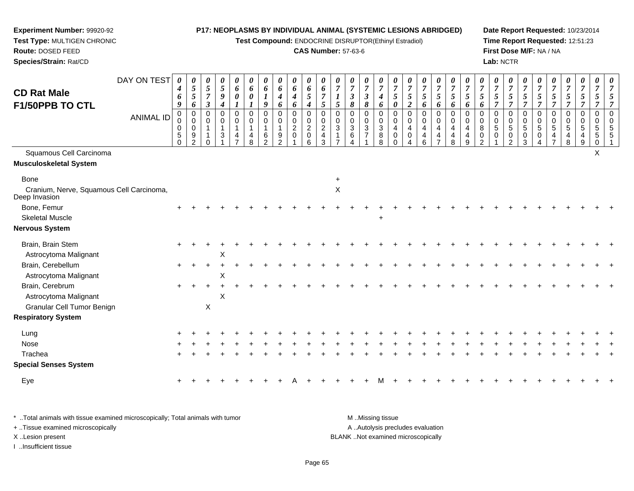**Test Compound:** ENDOCRINE DISRUPTOR(Ethinyl Estradiol)

#### **CAS Number:** 57-63-6

**Date Report Requested:** 10/23/2014**Time Report Requested:** 12:51:23**First Dose M/F:** NA / NA**Lab:** NCTR

| <b>CD Rat Male</b>                                        | DAY ON TEST      | 0<br>4<br>6<br>9                                             | $\boldsymbol{\theta}$<br>$\sqrt{5}$<br>$\sqrt{5}$<br>6               | 0<br>5<br>$\overline{7}$<br>$\mathfrak{z}$ | 0<br>$\mathfrak{s}$<br>$\boldsymbol{g}$<br>$\boldsymbol{4}$ | $\boldsymbol{\theta}$<br>6<br>0<br>$\mathbf{I}$ | 0<br>6<br>0                                | $\boldsymbol{\theta}$<br>6<br>$\boldsymbol{l}$<br>9              | $\boldsymbol{\theta}$<br>6<br>4<br>6                                   | 0<br>6<br>$\boldsymbol{4}$<br>6                               | 0<br>6<br>5<br>$\boldsymbol{4}$    | $\theta$<br>6<br>$\overline{7}$<br>5                                | $\overline{7}$<br>5                           | 0<br>$\boldsymbol{7}$<br>$\boldsymbol{\beta}$<br>8 | $\boldsymbol{\theta}$<br>$\overline{7}$<br>$\boldsymbol{\beta}$<br>8 | $\overline{7}$<br>$\boldsymbol{4}$<br>6 | $\overline{7}$<br>5<br>$\boldsymbol{\theta}$      | U<br>$\overline{7}$<br>$\mathfrak{s}$<br>$\boldsymbol{2}$ | $\boldsymbol{\theta}$<br>$\overline{7}$<br>$\mathfrak{H}$<br>6      | 0<br>$\overline{7}$<br>$\mathfrak{s}$<br>6                                       | $\boldsymbol{\theta}$<br>$\overline{7}$<br>5<br>6 | $\boldsymbol{7}$<br>$\mathfrak{s}$<br>6             | $\overline{7}$<br>5<br>6                               | 0<br>$\boldsymbol{7}$<br>5<br>$\overline{7}$ | $\boldsymbol{\theta}$<br>$\overline{7}$<br>$\mathfrak{s}$<br>$\overline{7}$ | $\boldsymbol{\theta}$<br>$\overline{7}$<br>$\mathfrak{s}$<br>$\overline{7}$ | $\overline{7}$<br>5<br>$\overline{7}$ | $\boldsymbol{\theta}$<br>$\overline{7}$<br>5<br>$\overline{7}$ | $\boldsymbol{\theta}$<br>$\overline{7}$<br>5<br>$\overline{7}$ | 0<br>$\overline{7}$<br>$\mathfrak{s}$<br>$\overline{7}$ | $\boldsymbol{\theta}$<br>$\overline{7}$<br>5<br>$\overline{7}$ | 5<br>$\overline{7}$  |
|-----------------------------------------------------------|------------------|--------------------------------------------------------------|----------------------------------------------------------------------|--------------------------------------------|-------------------------------------------------------------|-------------------------------------------------|--------------------------------------------|------------------------------------------------------------------|------------------------------------------------------------------------|---------------------------------------------------------------|------------------------------------|---------------------------------------------------------------------|-----------------------------------------------|----------------------------------------------------|----------------------------------------------------------------------|-----------------------------------------|---------------------------------------------------|-----------------------------------------------------------|---------------------------------------------------------------------|----------------------------------------------------------------------------------|---------------------------------------------------|-----------------------------------------------------|--------------------------------------------------------|----------------------------------------------|-----------------------------------------------------------------------------|-----------------------------------------------------------------------------|---------------------------------------|----------------------------------------------------------------|----------------------------------------------------------------|---------------------------------------------------------|----------------------------------------------------------------|----------------------|
| F1/50PPB TO CTL                                           | <b>ANIMAL ID</b> | $\mathbf 0$<br>0<br>$\mathbf 0$<br>$\sqrt{5}$<br>$\mathbf 0$ | $\mathbf 0$<br>$\mathbf 0$<br>$\mathbf 0$<br>$9\,$<br>$\overline{2}$ | $\Omega$<br>0<br>1<br>$\Omega$             | $\mathbf 0$<br>0<br>$\overline{1}$<br>$\mathbf{3}$          | $\pmb{0}$<br>0<br>$\mathbf{1}$<br>4             | $\mathbf 0$<br>0<br>$\mathbf{1}$<br>4<br>8 | $\mathbf 0$<br>$\mathbf 0$<br>$\mathbf{1}$<br>6<br>$\mathcal{P}$ | $\mathbf 0$<br>0<br>$\mathbf{1}$<br>$\boldsymbol{9}$<br>$\overline{2}$ | $\mathbf 0$<br>$\mathbf 0$<br>$\boldsymbol{2}$<br>$\mathbf 0$ | 0<br>0<br>$\overline{2}$<br>0<br>6 | $\Omega$<br>0<br>$\boldsymbol{2}$<br>$\overline{4}$<br>$\mathbf{3}$ | $\mathbf 0$<br>0<br>$\ensuremath{\mathsf{3}}$ | 0<br>0<br>$\mathbf{3}$<br>$\,6\,$<br>4             | $\overline{0}$<br>$\mathbf 0$<br>$\mathbf{3}$<br>$\overline{7}$      | $\Omega$<br>0<br>$\mathbf{3}$<br>8<br>8 | $\mathbf 0$<br>0<br>$\overline{4}$<br>$\mathbf 0$ | $\mathbf 0$<br>$\mathbf 0$<br>4<br>$\mathbf 0$            | $\mathbf 0$<br>$\mathbf 0$<br>$\overline{4}$<br>$\overline{4}$<br>6 | $\mathbf 0$<br>$\mathbf 0$<br>$\overline{a}$<br>$\overline{4}$<br>$\overline{7}$ | $\mathbf 0$<br>0<br>4<br>4<br>8                   | $\Omega$<br>$\mathbf 0$<br>$\overline{4}$<br>4<br>9 | $\mathbf 0$<br>$\mathbf 0$<br>8<br>0<br>$\mathfrak{p}$ | $\mathbf 0$<br>0<br>$5\,$<br>$\mathbf 0$     | $\mathbf 0$<br>0<br>$\sqrt{5}$<br>0<br>$\overline{2}$                       | $\mathbf 0$<br>0<br>$\overline{5}$<br>$\mathbf 0$<br>3                      | $\Omega$<br>0<br>5<br>0               | $\mathbf 0$<br>0<br>5<br>4                                     | $\pmb{0}$<br>$\pmb{0}$<br>$\sqrt{5}$<br>4<br>8                 | $\mathbf 0$<br>$\mathbf 0$<br>$\sqrt{5}$<br>4<br>9      | 0<br>0<br>5<br>5<br>0                                          | $\Omega$<br>$\Omega$ |
| Squamous Cell Carcinoma                                   |                  |                                                              |                                                                      |                                            |                                                             |                                                 |                                            |                                                                  |                                                                        |                                                               |                                    |                                                                     |                                               |                                                    |                                                                      |                                         |                                                   |                                                           |                                                                     |                                                                                  |                                                   |                                                     |                                                        |                                              |                                                                             |                                                                             |                                       |                                                                |                                                                |                                                         | X                                                              |                      |
| <b>Musculoskeletal System</b>                             |                  |                                                              |                                                                      |                                            |                                                             |                                                 |                                            |                                                                  |                                                                        |                                                               |                                    |                                                                     |                                               |                                                    |                                                                      |                                         |                                                   |                                                           |                                                                     |                                                                                  |                                                   |                                                     |                                                        |                                              |                                                                             |                                                                             |                                       |                                                                |                                                                |                                                         |                                                                |                      |
| <b>Bone</b>                                               |                  |                                                              |                                                                      |                                            |                                                             |                                                 |                                            |                                                                  |                                                                        |                                                               |                                    |                                                                     |                                               |                                                    |                                                                      |                                         |                                                   |                                                           |                                                                     |                                                                                  |                                                   |                                                     |                                                        |                                              |                                                                             |                                                                             |                                       |                                                                |                                                                |                                                         |                                                                |                      |
| Cranium, Nerve, Squamous Cell Carcinoma,<br>Deep Invasion |                  |                                                              |                                                                      |                                            |                                                             |                                                 |                                            |                                                                  |                                                                        |                                                               |                                    |                                                                     | $\mathsf X$                                   |                                                    |                                                                      |                                         |                                                   |                                                           |                                                                     |                                                                                  |                                                   |                                                     |                                                        |                                              |                                                                             |                                                                             |                                       |                                                                |                                                                |                                                         |                                                                |                      |
| Bone, Femur                                               |                  |                                                              |                                                                      |                                            |                                                             |                                                 |                                            |                                                                  |                                                                        |                                                               |                                    |                                                                     |                                               |                                                    |                                                                      |                                         |                                                   |                                                           |                                                                     |                                                                                  |                                                   |                                                     |                                                        |                                              |                                                                             |                                                                             |                                       |                                                                |                                                                |                                                         |                                                                |                      |
| <b>Skeletal Muscle</b>                                    |                  |                                                              |                                                                      |                                            |                                                             |                                                 |                                            |                                                                  |                                                                        |                                                               |                                    |                                                                     |                                               |                                                    |                                                                      | ÷                                       |                                                   |                                                           |                                                                     |                                                                                  |                                                   |                                                     |                                                        |                                              |                                                                             |                                                                             |                                       |                                                                |                                                                |                                                         |                                                                |                      |
| <b>Nervous System</b>                                     |                  |                                                              |                                                                      |                                            |                                                             |                                                 |                                            |                                                                  |                                                                        |                                                               |                                    |                                                                     |                                               |                                                    |                                                                      |                                         |                                                   |                                                           |                                                                     |                                                                                  |                                                   |                                                     |                                                        |                                              |                                                                             |                                                                             |                                       |                                                                |                                                                |                                                         |                                                                |                      |
| Brain, Brain Stem                                         |                  |                                                              |                                                                      |                                            |                                                             |                                                 |                                            |                                                                  |                                                                        |                                                               |                                    |                                                                     |                                               |                                                    |                                                                      |                                         |                                                   |                                                           |                                                                     |                                                                                  |                                                   |                                                     |                                                        |                                              |                                                                             |                                                                             |                                       |                                                                |                                                                |                                                         |                                                                |                      |
| Astrocytoma Malignant                                     |                  |                                                              |                                                                      |                                            | X                                                           |                                                 |                                            |                                                                  |                                                                        |                                                               |                                    |                                                                     |                                               |                                                    |                                                                      |                                         |                                                   |                                                           |                                                                     |                                                                                  |                                                   |                                                     |                                                        |                                              |                                                                             |                                                                             |                                       |                                                                |                                                                |                                                         |                                                                |                      |
| Brain, Cerebellum<br>Astrocytoma Malignant                |                  | $+$                                                          |                                                                      | $\ddot{}$                                  | X                                                           |                                                 |                                            |                                                                  |                                                                        |                                                               |                                    |                                                                     |                                               |                                                    |                                                                      |                                         |                                                   |                                                           |                                                                     |                                                                                  |                                                   |                                                     |                                                        |                                              |                                                                             |                                                                             |                                       |                                                                |                                                                |                                                         |                                                                |                      |
| Brain, Cerebrum                                           |                  |                                                              |                                                                      |                                            |                                                             |                                                 |                                            |                                                                  |                                                                        |                                                               |                                    |                                                                     |                                               |                                                    |                                                                      |                                         |                                                   |                                                           |                                                                     |                                                                                  |                                                   |                                                     |                                                        |                                              |                                                                             |                                                                             |                                       |                                                                |                                                                |                                                         |                                                                |                      |
| Astrocytoma Malignant                                     |                  |                                                              |                                                                      |                                            | $\pmb{\times}$                                              |                                                 |                                            |                                                                  |                                                                        |                                                               |                                    |                                                                     |                                               |                                                    |                                                                      |                                         |                                                   |                                                           |                                                                     |                                                                                  |                                                   |                                                     |                                                        |                                              |                                                                             |                                                                             |                                       |                                                                |                                                                |                                                         |                                                                |                      |
| <b>Granular Cell Tumor Benign</b>                         |                  |                                                              |                                                                      | X                                          |                                                             |                                                 |                                            |                                                                  |                                                                        |                                                               |                                    |                                                                     |                                               |                                                    |                                                                      |                                         |                                                   |                                                           |                                                                     |                                                                                  |                                                   |                                                     |                                                        |                                              |                                                                             |                                                                             |                                       |                                                                |                                                                |                                                         |                                                                |                      |
| <b>Respiratory System</b>                                 |                  |                                                              |                                                                      |                                            |                                                             |                                                 |                                            |                                                                  |                                                                        |                                                               |                                    |                                                                     |                                               |                                                    |                                                                      |                                         |                                                   |                                                           |                                                                     |                                                                                  |                                                   |                                                     |                                                        |                                              |                                                                             |                                                                             |                                       |                                                                |                                                                |                                                         |                                                                |                      |
| Lung                                                      |                  |                                                              |                                                                      |                                            |                                                             |                                                 |                                            |                                                                  |                                                                        |                                                               |                                    |                                                                     |                                               |                                                    |                                                                      |                                         |                                                   |                                                           |                                                                     |                                                                                  |                                                   |                                                     |                                                        |                                              |                                                                             |                                                                             |                                       |                                                                |                                                                |                                                         |                                                                |                      |
| Nose                                                      |                  |                                                              |                                                                      |                                            |                                                             |                                                 |                                            |                                                                  |                                                                        |                                                               |                                    |                                                                     |                                               |                                                    |                                                                      |                                         |                                                   |                                                           |                                                                     |                                                                                  |                                                   |                                                     |                                                        |                                              |                                                                             |                                                                             |                                       |                                                                |                                                                |                                                         |                                                                |                      |
| Trachea                                                   |                  |                                                              |                                                                      |                                            |                                                             |                                                 |                                            |                                                                  |                                                                        |                                                               |                                    |                                                                     |                                               |                                                    |                                                                      |                                         |                                                   |                                                           |                                                                     |                                                                                  |                                                   |                                                     |                                                        |                                              |                                                                             |                                                                             |                                       |                                                                |                                                                |                                                         |                                                                |                      |
| <b>Special Senses System</b>                              |                  |                                                              |                                                                      |                                            |                                                             |                                                 |                                            |                                                                  |                                                                        |                                                               |                                    |                                                                     |                                               |                                                    |                                                                      |                                         |                                                   |                                                           |                                                                     |                                                                                  |                                                   |                                                     |                                                        |                                              |                                                                             |                                                                             |                                       |                                                                |                                                                |                                                         |                                                                |                      |
| Eye                                                       |                  |                                                              |                                                                      |                                            |                                                             |                                                 |                                            |                                                                  |                                                                        |                                                               |                                    |                                                                     |                                               |                                                    |                                                                      |                                         |                                                   |                                                           |                                                                     |                                                                                  |                                                   |                                                     |                                                        |                                              |                                                                             |                                                                             |                                       |                                                                |                                                                |                                                         |                                                                |                      |

\* ..Total animals with tissue examined microscopically; Total animals with tumor **M** . Missing tissue M ..Missing tissue A ..Autolysis precludes evaluation + ..Tissue examined microscopically X ..Lesion present BLANK ..Not examined microscopicallyI ..Insufficient tissue

**Experiment Number:** 99920-92**Test Type:** MULTIGEN CHRONIC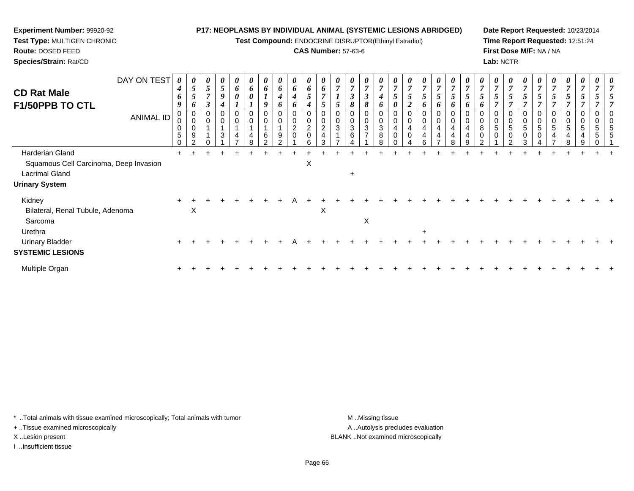**Test Compound:** ENDOCRINE DISRUPTOR(Ethinyl Estradiol)

## **CAS Number:** 57-63-6

**Date Report Requested:** 10/23/2014**Time Report Requested:** 12:51:24**First Dose M/F:** NA / NA**Lab:** NCTR

| DAY ON TEST<br><b>CD Rat Male</b><br>F1/50PPB TO CTL                                                        | 4<br>6<br>9 | $\boldsymbol{\theta}$<br>$\sqrt{5}$<br>$5\overline{)}$<br>6 | 0<br>$5\overline{)}$<br>$\overline{7}$<br>$\mathfrak{z}$ | $\boldsymbol{\theta}$<br>$\sqrt{5}$<br>9   | 6<br>0      | 6<br>$\boldsymbol{\theta}$ | 6<br>o | $\theta$<br>6<br>$\boldsymbol{4}$<br>6                     | 6<br>$\boldsymbol{4}$<br>6                | 6<br>$5\overline{)}$<br>4                                  |   |        | 0<br>7<br>$\boldsymbol{\beta}$<br>8        | $\boldsymbol{\theta}$<br>$\overline{7}$<br>$\boldsymbol{\beta}$<br>8 | $\overline{ }$<br>4<br>6                 | $5\phantom{.0}$<br>0 | $\overline{7}$<br>$5\overline{)}$<br>$\overline{2}$ | $\overline{7}$<br>$5\overline{)}$<br>6 | $\overline{7}$<br>$\mathfrak{s}$<br>6                                         | $5\overline{)}$<br>6     | C<br>o |   | $\overline{7}$<br>$\mathfrak{H}$<br>$\overline{ }$ | $\overline{7}$<br>5<br>$\overline{ }$   | $\mathfrak{s}$<br>$\overline{ }$   | 5<br>$\overline{ }$ | $\overline{7}$<br>$5\overline{)}$<br>$\overline{ }$ | $\sqrt{5}$  |        |        | 0<br>$\overline{7}$ |
|-------------------------------------------------------------------------------------------------------------|-------------|-------------------------------------------------------------|----------------------------------------------------------|--------------------------------------------|-------------|----------------------------|--------|------------------------------------------------------------|-------------------------------------------|------------------------------------------------------------|---|--------|--------------------------------------------|----------------------------------------------------------------------|------------------------------------------|----------------------|-----------------------------------------------------|----------------------------------------|-------------------------------------------------------------------------------|--------------------------|--------|---|----------------------------------------------------|-----------------------------------------|------------------------------------|---------------------|-----------------------------------------------------|-------------|--------|--------|---------------------|
| <b>ANIMAL ID</b>                                                                                            | 0<br>5<br>0 | $\boldsymbol{0}$<br>$\pmb{0}$<br>$\pmb{0}$<br>9<br>ົ        | 0<br>0<br>4                                              | $\mathbf 0$<br>$\mathbf 0$<br>$\mathbf{3}$ | $\mathbf 0$ | 0                          | 0<br>6 | $\boldsymbol{0}$<br>$\boldsymbol{0}$<br>9<br>$\mathcal{P}$ | 0<br>$\pmb{0}$<br>$\sqrt{2}$<br>$\pmb{0}$ | $\mathbf 0$<br>$\overline{\mathbf{c}}$<br>$\mathbf 0$<br>6 |   | 0<br>3 | 0<br>$\boldsymbol{0}$<br>$\mathbf{3}$<br>6 | 0<br>$\pmb{0}$<br>$\overline{3}$<br>$\overline{z}$                   | 0<br>$\pmb{0}$<br>$\mathbf{3}$<br>8<br>8 |                      | 0<br>$\boldsymbol{0}$<br>0                          | 0<br>4<br>4<br>R.                      | 0<br>$\pmb{0}$<br>$\overline{\mathbf{4}}$<br>$\overline{a}$<br>$\overline{ }$ | $\pmb{0}$<br>4<br>4<br>8 |        | 0 | 0<br>$\sqrt{5}$<br>0                               | 0<br>$\pmb{0}$<br>5<br>$\mathbf 0$<br>ົ | $\pmb{0}$<br>5<br>$\mathbf 0$<br>3 | $\mathbf 0$<br>5    | 0<br>5<br>4                                         | 0<br>5<br>4 | 0<br>5 | 0<br>5 | 5                   |
| Harderian Gland<br>Squamous Cell Carcinoma, Deep Invasion<br><b>Lacrimal Gland</b><br><b>Urinary System</b> |             |                                                             |                                                          |                                            |             |                            |        |                                                            |                                           | X                                                          |   |        | $\ddot{}$                                  |                                                                      |                                          |                      |                                                     |                                        |                                                                               |                          |        |   |                                                    |                                         |                                    |                     |                                                     |             |        |        |                     |
| Kidney<br>Bilateral, Renal Tubule, Adenoma<br>Sarcoma<br>Urethra                                            |             | X                                                           |                                                          |                                            |             |                            |        |                                                            |                                           |                                                            | X |        |                                            | X                                                                    |                                          |                      |                                                     | $\ddot{}$                              |                                                                               |                          |        |   |                                                    |                                         |                                    |                     |                                                     |             |        |        |                     |
| <b>Urinary Bladder</b><br><b>SYSTEMIC LESIONS</b>                                                           | $\pm$       |                                                             |                                                          |                                            |             |                            |        |                                                            |                                           |                                                            |   |        |                                            |                                                                      |                                          |                      |                                                     |                                        |                                                                               |                          |        |   |                                                    |                                         |                                    |                     |                                                     |             |        |        |                     |
| Multiple Organ                                                                                              |             |                                                             |                                                          |                                            |             |                            |        |                                                            |                                           |                                                            |   |        |                                            |                                                                      |                                          |                      |                                                     |                                        |                                                                               |                          |        |   |                                                    |                                         |                                    |                     |                                                     |             |        |        |                     |

\* ..Total animals with tissue examined microscopically; Total animals with tumor **M** . Missing tissue M ..Missing tissue

+ ..Tissue examined microscopically

**Experiment Number:** 99920-92**Test Type:** MULTIGEN CHRONIC

**Route:** DOSED FEED**Species/Strain:** Rat/CD

I ..Insufficient tissue

A ..Autolysis precludes evaluation X ..Lesion present BLANK ..Not examined microscopically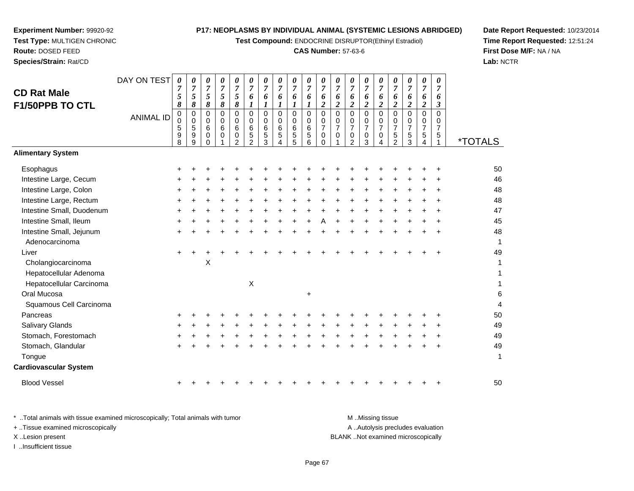**Test Compound:** ENDOCRINE DISRUPTOR(Ethinyl Estradiol)

# **CAS Number:** 57-63-6

**Date Report Requested:** 10/23/2014**Time Report Requested:** 12:51:24**First Dose M/F:** NA / NA**Lab:** NCTR

|                              | DAY ON TEST      | 0         | 0             | 0                   | 0                   | 0              | 0                   | 0                   | 0                   | 0                   | 0                   | 0                   | 0                   | 0                             | 0                             | 0                          | 0                          | 0                             | 0                   | 0                   |                       |
|------------------------------|------------------|-----------|---------------|---------------------|---------------------|----------------|---------------------|---------------------|---------------------|---------------------|---------------------|---------------------|---------------------|-------------------------------|-------------------------------|----------------------------|----------------------------|-------------------------------|---------------------|---------------------|-----------------------|
| <b>CD Rat Male</b>           |                  | 7<br>5    | 7<br>5        | $\overline{7}$<br>5 | $\overline{7}$<br>5 | 7<br>5         | $\overline{7}$<br>6 | $\overline{7}$<br>6 | $\overline{7}$<br>6 | $\overline{7}$<br>6 | $\overline{7}$<br>6 | 7<br>6              | $\overline{7}$<br>6 | $\overline{7}$<br>6           | $\overline{7}$<br>6           | $\overline{7}$<br>6        | 7<br>6                     | $\overline{7}$<br>6           | $\overline{7}$<br>6 | $\overline{7}$<br>6 |                       |
| F1/50PPB TO CTL              |                  | 8         | 8             | 8                   | 8                   | 8              | 1                   | 1                   | 1                   | $\boldsymbol{l}$    |                     | $\overline{c}$      | 2                   | $\overline{c}$                | $\boldsymbol{2}$              | $\boldsymbol{2}$           | $\boldsymbol{2}$           | $\boldsymbol{2}$              | $\overline{c}$      | 3                   |                       |
|                              | <b>ANIMAL ID</b> | $\pmb{0}$ | $\mathbf 0$   | $\mathbf 0$         | 0                   | $\mathbf 0$    | $\mathbf 0$         | $\Omega$            | $\mathbf 0$         | $\mathbf 0$         | $\overline{0}$      | $\mathbf 0$         | $\mathbf 0$         | 0                             | $\mathbf 0$                   | $\mathbf 0$                | $\mathbf 0$                | $\pmb{0}$                     | 0                   | 0                   |                       |
|                              |                  | 0<br>5    | $\Omega$<br>5 | $\Omega$<br>6       | 0<br>6              | $\Omega$<br>6  | $\Omega$<br>$\,6\,$ | $\Omega$<br>6       | $\Omega$<br>6       | 0<br>$\,6$          | 0<br>$\,6\,$        | 0<br>$\overline{7}$ | 0<br>$\overline{7}$ | $\mathbf 0$<br>$\overline{7}$ | $\mathbf 0$<br>$\overline{7}$ | $\Omega$<br>$\overline{7}$ | $\Omega$<br>$\overline{7}$ | $\mathbf 0$<br>$\overline{7}$ | 0<br>$\overline{7}$ | 0<br>$\overline{7}$ |                       |
|                              |                  | 9         | 9             | 0                   | 0                   | $\mathbf 0$    | $\sqrt{5}$          | $\sqrt{5}$          | $\sqrt{5}$          | $\sqrt{5}$          | $\sqrt{5}$          | 0                   | 0                   | $\mathbf 0$                   | $\pmb{0}$                     | 0                          | 5                          | $\mathbf 5$                   | 5                   | 5                   |                       |
| <b>Alimentary System</b>     |                  | 8         | 9             | $\Omega$            |                     | $\mathfrak{D}$ | $\mathcal{P}$       | 3                   | 4                   | 5                   | 6                   | $\Omega$            |                     | $\mathcal{P}$                 | 3                             | Δ                          | $\mathcal{P}$              | 3                             |                     |                     | <i><b>*TOTALS</b></i> |
|                              |                  |           |               |                     |                     |                |                     |                     |                     |                     |                     |                     |                     |                               |                               |                            |                            |                               |                     |                     |                       |
| Esophagus                    |                  |           |               |                     |                     |                |                     |                     |                     |                     |                     |                     |                     |                               |                               |                            |                            |                               |                     |                     | 50                    |
| Intestine Large, Cecum       |                  |           |               |                     |                     |                |                     |                     |                     |                     |                     |                     |                     |                               |                               |                            |                            |                               |                     |                     | 46                    |
| Intestine Large, Colon       |                  |           |               |                     |                     |                |                     |                     |                     |                     |                     |                     |                     |                               |                               |                            |                            |                               |                     |                     | 48                    |
| Intestine Large, Rectum      |                  |           |               |                     |                     |                |                     |                     |                     |                     |                     |                     |                     |                               |                               |                            |                            |                               |                     |                     | 48                    |
| Intestine Small, Duodenum    |                  |           |               |                     |                     |                |                     |                     |                     |                     |                     |                     |                     |                               |                               |                            |                            |                               |                     |                     | 47                    |
| Intestine Small, Ileum       |                  |           |               |                     |                     |                |                     |                     |                     |                     |                     |                     |                     |                               |                               |                            |                            |                               |                     |                     | 45                    |
| Intestine Small, Jejunum     |                  |           |               |                     |                     |                |                     |                     |                     |                     |                     |                     |                     |                               |                               |                            |                            |                               |                     |                     | 48                    |
| Adenocarcinoma               |                  |           |               |                     |                     |                |                     |                     |                     |                     |                     |                     |                     |                               |                               |                            |                            |                               |                     |                     | 1                     |
| Liver                        |                  |           |               |                     |                     |                |                     |                     |                     |                     |                     |                     |                     |                               |                               |                            |                            |                               |                     |                     | 49                    |
| Cholangiocarcinoma           |                  |           |               | X                   |                     |                |                     |                     |                     |                     |                     |                     |                     |                               |                               |                            |                            |                               |                     |                     | 1                     |
| Hepatocellular Adenoma       |                  |           |               |                     |                     |                |                     |                     |                     |                     |                     |                     |                     |                               |                               |                            |                            |                               |                     |                     | 1                     |
| Hepatocellular Carcinoma     |                  |           |               |                     |                     |                | $\pmb{\times}$      |                     |                     |                     |                     |                     |                     |                               |                               |                            |                            |                               |                     |                     |                       |
| Oral Mucosa                  |                  |           |               |                     |                     |                |                     |                     |                     |                     | $\ddot{}$           |                     |                     |                               |                               |                            |                            |                               |                     |                     | 6                     |
| Squamous Cell Carcinoma      |                  |           |               |                     |                     |                |                     |                     |                     |                     |                     |                     |                     |                               |                               |                            |                            |                               |                     |                     | 4                     |
| Pancreas                     |                  |           |               |                     |                     |                |                     |                     |                     |                     |                     |                     |                     |                               |                               |                            |                            |                               |                     |                     | 50                    |
| <b>Salivary Glands</b>       |                  |           |               |                     |                     |                |                     |                     |                     |                     |                     |                     |                     |                               |                               |                            |                            |                               |                     |                     | 49                    |
| Stomach, Forestomach         |                  |           |               |                     |                     |                |                     |                     |                     |                     |                     |                     |                     |                               |                               |                            |                            |                               |                     |                     | 49                    |
| Stomach, Glandular           |                  |           |               |                     |                     |                |                     |                     |                     |                     |                     |                     |                     |                               |                               |                            |                            |                               |                     |                     | 49                    |
| Tongue                       |                  |           |               |                     |                     |                |                     |                     |                     |                     |                     |                     |                     |                               |                               |                            |                            |                               |                     |                     | 1                     |
| <b>Cardiovascular System</b> |                  |           |               |                     |                     |                |                     |                     |                     |                     |                     |                     |                     |                               |                               |                            |                            |                               |                     |                     |                       |
| <b>Blood Vessel</b>          |                  |           |               |                     |                     |                |                     |                     |                     |                     |                     |                     |                     |                               |                               |                            |                            |                               |                     |                     | 50                    |
|                              |                  |           |               |                     |                     |                |                     |                     |                     |                     |                     |                     |                     |                               |                               |                            |                            |                               |                     |                     |                       |

**Experiment Number:** 99920-92**Test Type:** MULTIGEN CHRONIC

**Route:** DOSED FEED**Species/Strain:** Rat/CD

\* ..Total animals with tissue examined microscopically; Total animals with tumor **M** . Missing tissue M ..Missing tissue A ..Autolysis precludes evaluation + ..Tissue examined microscopically X ..Lesion present BLANK ..Not examined microscopicallyI ..Insufficient tissue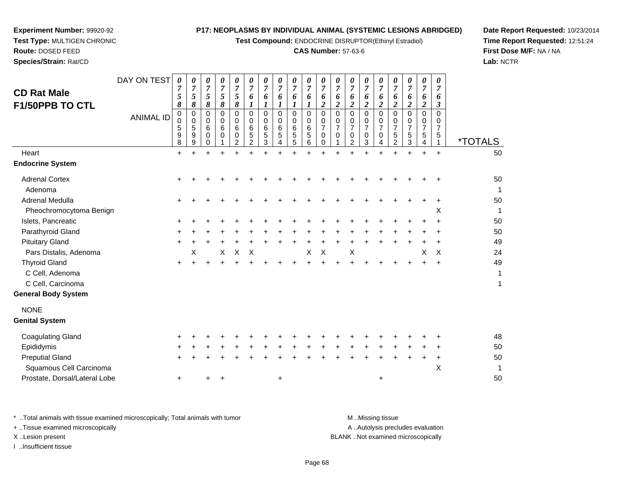**Test Compound:** ENDOCRINE DISRUPTOR(Ethinyl Estradiol)

# **CAS Number:** 57-63-6

**Date Report Requested:** 10/23/2014**Time Report Requested:** 12:51:24**First Dose M/F:** NA / NA**Lab:** NCTR

**Route:** DOSED FEED**Species/Strain:** Rat/CD

**Experiment Number:** 99920-92**Test Type:** MULTIGEN CHRONIC

| <b>CD Rat Male</b><br>F1/50PPB TO CTL<br>Heart<br><b>Endocrine System</b> | DAY ON TEST<br><b>ANIMAL ID</b> | 0<br>7<br>$\mathfrak{s}$<br>8<br>$\pmb{0}$<br>0<br>5<br>9<br>8<br>$\ddot{}$ | 0<br>$\overline{7}$<br>$\sqrt{5}$<br>$\pmb{8}$<br>$\pmb{0}$<br>$\mathbf 0$<br>5<br>9<br>9 | 0<br>$\overline{7}$<br>5<br>8<br>$\mathbf 0$<br>$\Omega$<br>6<br>0<br>0 | 0<br>$\overline{7}$<br>5<br>8<br>0<br>$\mathbf 0$<br>6<br>$\Omega$ | 0<br>$\boldsymbol{7}$<br>$\mathfrak{s}$<br>8<br>0<br>0<br>6<br>$\mathbf 0$<br>2 | 0<br>$\overline{7}$<br>6<br>1<br>$\overline{0}$<br>0<br>$\,6\,$<br>5<br>2 | $\pmb{\theta}$<br>$\overline{7}$<br>6<br>$\boldsymbol{l}$<br>$\mathbf 0$<br>0<br>6<br>5<br>3 | $\pmb{\theta}$<br>$\overline{7}$<br>6<br>$\boldsymbol{l}$<br>$\mathbf 0$<br>$\mathbf 0$<br>$6\phantom{1}6$<br>5<br>4 | 0<br>$\overline{7}$<br>6<br>1<br>$\mathbf 0$<br>0<br>6<br>5<br>5 | $\frac{\boldsymbol{0}}{7}$<br>6<br>$\boldsymbol{l}$<br>$\pmb{0}$<br>$\begin{array}{c} 0 \\ 6 \end{array}$<br>$\sqrt{5}$<br>6<br>÷ | 0<br>$\overline{7}$<br>6<br>$\boldsymbol{2}$<br>$\overline{0}$<br>$\mathbf 0$<br>$\overline{7}$<br>0<br>0 | 0<br>$\overline{7}$<br>6<br>$\boldsymbol{2}$<br>$\mathbf 0$<br>0<br>7<br>0 | 0<br>$\overline{7}$<br>6<br>$\overline{\mathbf{c}}$<br>0<br>$\mathbf 0$<br>$\overline{7}$<br>0<br>$\overline{2}$ | 0<br>$\overline{7}$<br>6<br>$\overline{c}$<br>$\overline{0}$<br>$\Omega$<br>$\overline{7}$<br>0<br>3 | 0<br>$\overline{7}$<br>6<br>$\overline{2}$<br>$\Omega$<br>$\Omega$<br>$\overline{7}$<br>$\mathbf 0$<br>4 | 0<br>$\overline{7}$<br>6<br>$\overline{c}$<br>$\Omega$<br>0<br>7<br>5<br>$\overline{2}$ | 0<br>$\boldsymbol{7}$<br>6<br>$\overline{2}$<br>$\Omega$<br>0<br>$\overline{7}$<br>5<br>3 | $\pmb{\theta}$<br>$\overline{7}$<br>6<br>$\overline{c}$<br>$\mathbf 0$<br>0<br>$\overline{7}$<br>5<br>4<br>÷ | 0<br>$\overline{7}$<br>6<br>3<br>$\Omega$<br>0<br>$\overline{7}$<br>5<br>$+$ | <i><b>*TOTALS</b></i><br>50 |
|---------------------------------------------------------------------------|---------------------------------|-----------------------------------------------------------------------------|-------------------------------------------------------------------------------------------|-------------------------------------------------------------------------|--------------------------------------------------------------------|---------------------------------------------------------------------------------|---------------------------------------------------------------------------|----------------------------------------------------------------------------------------------|----------------------------------------------------------------------------------------------------------------------|------------------------------------------------------------------|-----------------------------------------------------------------------------------------------------------------------------------|-----------------------------------------------------------------------------------------------------------|----------------------------------------------------------------------------|------------------------------------------------------------------------------------------------------------------|------------------------------------------------------------------------------------------------------|----------------------------------------------------------------------------------------------------------|-----------------------------------------------------------------------------------------|-------------------------------------------------------------------------------------------|--------------------------------------------------------------------------------------------------------------|------------------------------------------------------------------------------|-----------------------------|
| <b>Adrenal Cortex</b>                                                     |                                 |                                                                             |                                                                                           |                                                                         |                                                                    |                                                                                 |                                                                           |                                                                                              |                                                                                                                      |                                                                  |                                                                                                                                   |                                                                                                           |                                                                            |                                                                                                                  |                                                                                                      |                                                                                                          |                                                                                         |                                                                                           |                                                                                                              |                                                                              | 50                          |
| Adenoma                                                                   |                                 |                                                                             |                                                                                           |                                                                         |                                                                    |                                                                                 |                                                                           |                                                                                              |                                                                                                                      |                                                                  |                                                                                                                                   |                                                                                                           |                                                                            |                                                                                                                  |                                                                                                      |                                                                                                          |                                                                                         |                                                                                           |                                                                                                              |                                                                              | $\mathbf 1$                 |
| Adrenal Medulla                                                           |                                 |                                                                             |                                                                                           |                                                                         |                                                                    |                                                                                 |                                                                           |                                                                                              |                                                                                                                      |                                                                  |                                                                                                                                   |                                                                                                           |                                                                            |                                                                                                                  |                                                                                                      |                                                                                                          |                                                                                         |                                                                                           |                                                                                                              |                                                                              | 50                          |
| Pheochromocytoma Benign                                                   |                                 |                                                                             |                                                                                           |                                                                         |                                                                    |                                                                                 |                                                                           |                                                                                              |                                                                                                                      |                                                                  |                                                                                                                                   |                                                                                                           |                                                                            |                                                                                                                  |                                                                                                      |                                                                                                          |                                                                                         |                                                                                           |                                                                                                              | х                                                                            | -1                          |
| Islets, Pancreatic                                                        |                                 |                                                                             |                                                                                           |                                                                         |                                                                    |                                                                                 |                                                                           |                                                                                              |                                                                                                                      |                                                                  |                                                                                                                                   |                                                                                                           |                                                                            |                                                                                                                  |                                                                                                      |                                                                                                          |                                                                                         |                                                                                           |                                                                                                              |                                                                              | 50                          |
| Parathyroid Gland                                                         |                                 |                                                                             |                                                                                           |                                                                         |                                                                    |                                                                                 |                                                                           |                                                                                              |                                                                                                                      |                                                                  |                                                                                                                                   |                                                                                                           |                                                                            |                                                                                                                  |                                                                                                      |                                                                                                          |                                                                                         |                                                                                           |                                                                                                              |                                                                              | 50                          |
| <b>Pituitary Gland</b>                                                    |                                 |                                                                             |                                                                                           |                                                                         |                                                                    |                                                                                 |                                                                           |                                                                                              |                                                                                                                      |                                                                  |                                                                                                                                   |                                                                                                           |                                                                            |                                                                                                                  |                                                                                                      |                                                                                                          |                                                                                         |                                                                                           |                                                                                                              |                                                                              | 49                          |
| Pars Distalis, Adenoma                                                    |                                 |                                                                             | х                                                                                         |                                                                         | X                                                                  | $\mathsf X$                                                                     | Χ                                                                         |                                                                                              |                                                                                                                      |                                                                  | Χ                                                                                                                                 | $\mathsf X$                                                                                               |                                                                            | Χ                                                                                                                |                                                                                                      |                                                                                                          |                                                                                         |                                                                                           | X                                                                                                            | X                                                                            | 24                          |
| <b>Thyroid Gland</b>                                                      |                                 |                                                                             |                                                                                           |                                                                         |                                                                    |                                                                                 |                                                                           |                                                                                              |                                                                                                                      |                                                                  |                                                                                                                                   |                                                                                                           |                                                                            |                                                                                                                  |                                                                                                      |                                                                                                          |                                                                                         |                                                                                           |                                                                                                              |                                                                              | 49                          |
| C Cell, Adenoma                                                           |                                 |                                                                             |                                                                                           |                                                                         |                                                                    |                                                                                 |                                                                           |                                                                                              |                                                                                                                      |                                                                  |                                                                                                                                   |                                                                                                           |                                                                            |                                                                                                                  |                                                                                                      |                                                                                                          |                                                                                         |                                                                                           |                                                                                                              |                                                                              | 1                           |
| C Cell, Carcinoma                                                         |                                 |                                                                             |                                                                                           |                                                                         |                                                                    |                                                                                 |                                                                           |                                                                                              |                                                                                                                      |                                                                  |                                                                                                                                   |                                                                                                           |                                                                            |                                                                                                                  |                                                                                                      |                                                                                                          |                                                                                         |                                                                                           |                                                                                                              |                                                                              | 1                           |
| <b>General Body System</b>                                                |                                 |                                                                             |                                                                                           |                                                                         |                                                                    |                                                                                 |                                                                           |                                                                                              |                                                                                                                      |                                                                  |                                                                                                                                   |                                                                                                           |                                                                            |                                                                                                                  |                                                                                                      |                                                                                                          |                                                                                         |                                                                                           |                                                                                                              |                                                                              |                             |
| <b>NONE</b>                                                               |                                 |                                                                             |                                                                                           |                                                                         |                                                                    |                                                                                 |                                                                           |                                                                                              |                                                                                                                      |                                                                  |                                                                                                                                   |                                                                                                           |                                                                            |                                                                                                                  |                                                                                                      |                                                                                                          |                                                                                         |                                                                                           |                                                                                                              |                                                                              |                             |
| <b>Genital System</b>                                                     |                                 |                                                                             |                                                                                           |                                                                         |                                                                    |                                                                                 |                                                                           |                                                                                              |                                                                                                                      |                                                                  |                                                                                                                                   |                                                                                                           |                                                                            |                                                                                                                  |                                                                                                      |                                                                                                          |                                                                                         |                                                                                           |                                                                                                              |                                                                              |                             |
| <b>Coagulating Gland</b>                                                  |                                 |                                                                             |                                                                                           |                                                                         |                                                                    |                                                                                 |                                                                           |                                                                                              |                                                                                                                      |                                                                  |                                                                                                                                   |                                                                                                           |                                                                            |                                                                                                                  |                                                                                                      |                                                                                                          |                                                                                         |                                                                                           |                                                                                                              |                                                                              | 48                          |
| Epididymis                                                                |                                 |                                                                             |                                                                                           |                                                                         |                                                                    |                                                                                 |                                                                           |                                                                                              |                                                                                                                      |                                                                  |                                                                                                                                   |                                                                                                           |                                                                            |                                                                                                                  |                                                                                                      |                                                                                                          |                                                                                         |                                                                                           |                                                                                                              |                                                                              | 50                          |
| <b>Preputial Gland</b>                                                    |                                 |                                                                             |                                                                                           |                                                                         |                                                                    |                                                                                 |                                                                           |                                                                                              |                                                                                                                      |                                                                  |                                                                                                                                   |                                                                                                           |                                                                            |                                                                                                                  |                                                                                                      |                                                                                                          |                                                                                         |                                                                                           |                                                                                                              | ÷                                                                            | 50                          |
| Squamous Cell Carcinoma                                                   |                                 |                                                                             |                                                                                           |                                                                         |                                                                    |                                                                                 |                                                                           |                                                                                              |                                                                                                                      |                                                                  |                                                                                                                                   |                                                                                                           |                                                                            |                                                                                                                  |                                                                                                      |                                                                                                          |                                                                                         |                                                                                           |                                                                                                              | Χ                                                                            | 1                           |
| Prostate, Dorsal/Lateral Lobe                                             |                                 | $\ddot{}$                                                                   |                                                                                           |                                                                         | ٠                                                                  |                                                                                 |                                                                           |                                                                                              | $\ddot{}$                                                                                                            |                                                                  |                                                                                                                                   |                                                                                                           |                                                                            |                                                                                                                  |                                                                                                      | +                                                                                                        |                                                                                         |                                                                                           |                                                                                                              |                                                                              | 50                          |

\* ..Total animals with tissue examined microscopically; Total animals with tumor **M** . Missing tissue M ..Missing tissue + ..Tissue examined microscopically X ..Lesion present BLANK ..Not examined microscopically

I ..Insufficient tissue

A ..Autolysis precludes evaluation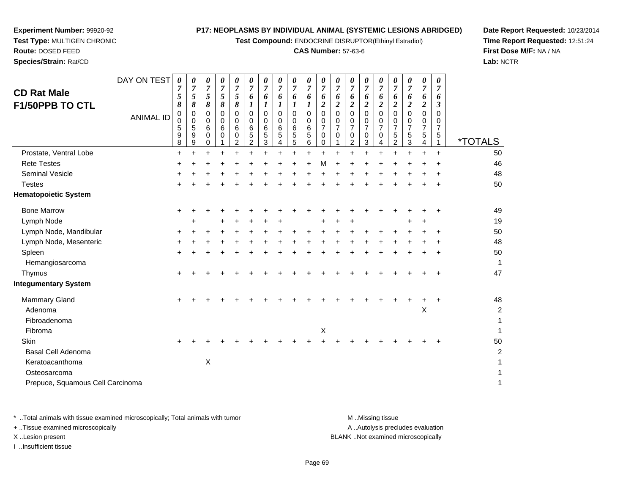**Test Compound:** ENDOCRINE DISRUPTOR(Ethinyl Estradiol)

### **CAS Number:** 57-63-6

**Date Report Requested:** 10/23/2014**Time Report Requested:** 12:51:24**First Dose M/F:** NA / NA**Lab:** NCTR

| <b>CD Rat Male</b><br><b>F1/50PPB TO CTL</b> | DAY ON TEST<br><b>ANIMAL ID</b> | 0<br>7<br>5<br>8<br>0<br>0<br>5<br>9<br>8 | 0<br>$\boldsymbol{7}$<br>5<br>8<br>0<br>0<br>5<br>9<br>9 | 0<br>$\overline{7}$<br>5<br>8<br>0<br>0<br>6<br>0<br>0 | 0<br>7<br>5<br>8<br>0<br>0<br>6<br>0 | 0<br>7<br>5<br>8<br>0<br>0<br>6<br>0<br>$\overline{2}$ | 0<br>$\overline{7}$<br>6<br>1<br>$\Omega$<br>0<br>6<br>$\sqrt{5}$<br>2 | $\boldsymbol{\theta}$<br>$\overline{7}$<br>6<br>1<br>$\Omega$<br>0<br>6<br>5<br>3 | 0<br>$\overline{7}$<br>6<br>1<br>$\mathbf 0$<br>0<br>6<br>5<br>4 | 0<br>$\overline{7}$<br>6<br>1<br>$\mathbf 0$<br>0<br>6<br>$\mathbf 5$<br>5 | 0<br>7<br>6<br>$\Omega$<br>0<br>$\,6$<br>5<br>6 | 0<br>7<br>6<br>$\overline{\mathbf{2}}$<br>$\Omega$<br>0<br>$\overline{7}$<br>0<br>0 | 0<br>7<br>6<br>2<br>0<br>0<br>$\overline{7}$<br>0 | 0<br>7<br>6<br>$\boldsymbol{2}$<br>$\mathbf 0$<br>0<br>$\overline{7}$<br>0<br>$\overline{2}$ | 0<br>7<br>6<br>$\overline{2}$<br>$\Omega$<br>0<br>$\overline{7}$<br>0<br>3 | $\boldsymbol{\theta}$<br>$\overline{7}$<br>6<br>$\boldsymbol{2}$<br>$\Omega$<br>0<br>$\overline{7}$<br>0<br>4 | 0<br>7<br>6<br>2<br>$\Omega$<br>0<br>$\overline{7}$<br>5<br>2 | $\boldsymbol{\theta}$<br>$\overline{7}$<br>6<br>$\boldsymbol{2}$<br>$\mathbf 0$<br>0<br>$\overline{7}$<br>5<br>3 | 0<br>$\overline{7}$<br>6<br>$\overline{2}$<br>0<br>0<br>$\overline{7}$<br>5<br>4 | 0<br>$\overline{7}$<br>6<br>3<br>$\Omega$<br>0<br>7<br>5<br>1 | <i><b>*TOTALS</b></i>   |
|----------------------------------------------|---------------------------------|-------------------------------------------|----------------------------------------------------------|--------------------------------------------------------|--------------------------------------|--------------------------------------------------------|------------------------------------------------------------------------|-----------------------------------------------------------------------------------|------------------------------------------------------------------|----------------------------------------------------------------------------|-------------------------------------------------|-------------------------------------------------------------------------------------|---------------------------------------------------|----------------------------------------------------------------------------------------------|----------------------------------------------------------------------------|---------------------------------------------------------------------------------------------------------------|---------------------------------------------------------------|------------------------------------------------------------------------------------------------------------------|----------------------------------------------------------------------------------|---------------------------------------------------------------|-------------------------|
| Prostate, Ventral Lobe                       |                                 | $\ddot{}$                                 |                                                          | $\ddot{}$                                              |                                      |                                                        |                                                                        |                                                                                   |                                                                  |                                                                            | $\ddot{}$                                       |                                                                                     |                                                   |                                                                                              |                                                                            |                                                                                                               |                                                               | $\ddot{}$                                                                                                        |                                                                                  | $\ddot{}$                                                     | 50                      |
| <b>Rete Testes</b>                           |                                 | +                                         |                                                          |                                                        |                                      |                                                        |                                                                        |                                                                                   |                                                                  |                                                                            |                                                 | M                                                                                   |                                                   |                                                                                              |                                                                            |                                                                                                               |                                                               |                                                                                                                  |                                                                                  |                                                               | 46                      |
| <b>Seminal Vesicle</b>                       |                                 |                                           |                                                          |                                                        |                                      |                                                        |                                                                        |                                                                                   |                                                                  |                                                                            |                                                 |                                                                                     |                                                   |                                                                                              |                                                                            |                                                                                                               |                                                               |                                                                                                                  |                                                                                  |                                                               | 48                      |
| <b>Testes</b>                                |                                 | +                                         |                                                          |                                                        |                                      |                                                        |                                                                        |                                                                                   |                                                                  |                                                                            |                                                 |                                                                                     |                                                   |                                                                                              |                                                                            |                                                                                                               |                                                               |                                                                                                                  | +                                                                                | $\ddot{}$                                                     | 50                      |
| <b>Hematopoietic System</b>                  |                                 |                                           |                                                          |                                                        |                                      |                                                        |                                                                        |                                                                                   |                                                                  |                                                                            |                                                 |                                                                                     |                                                   |                                                                                              |                                                                            |                                                                                                               |                                                               |                                                                                                                  |                                                                                  |                                                               |                         |
| <b>Bone Marrow</b>                           |                                 | $\ddot{}$                                 |                                                          |                                                        |                                      |                                                        |                                                                        |                                                                                   |                                                                  |                                                                            |                                                 |                                                                                     |                                                   |                                                                                              |                                                                            |                                                                                                               |                                                               |                                                                                                                  |                                                                                  | +                                                             | 49                      |
| Lymph Node                                   |                                 |                                           |                                                          |                                                        |                                      |                                                        |                                                                        |                                                                                   |                                                                  |                                                                            |                                                 |                                                                                     |                                                   |                                                                                              |                                                                            |                                                                                                               |                                                               |                                                                                                                  |                                                                                  |                                                               | 19                      |
| Lymph Node, Mandibular                       |                                 | +                                         |                                                          |                                                        |                                      |                                                        |                                                                        |                                                                                   |                                                                  |                                                                            | +                                               |                                                                                     |                                                   |                                                                                              |                                                                            |                                                                                                               |                                                               |                                                                                                                  |                                                                                  | +                                                             | 50                      |
| Lymph Node, Mesenteric                       |                                 |                                           |                                                          |                                                        |                                      |                                                        |                                                                        |                                                                                   |                                                                  |                                                                            |                                                 |                                                                                     |                                                   |                                                                                              |                                                                            |                                                                                                               |                                                               |                                                                                                                  |                                                                                  |                                                               | 48                      |
| Spleen                                       |                                 | $\ddot{}$                                 |                                                          |                                                        |                                      |                                                        |                                                                        |                                                                                   |                                                                  |                                                                            |                                                 |                                                                                     |                                                   |                                                                                              |                                                                            |                                                                                                               |                                                               |                                                                                                                  | $\div$                                                                           | $\ddot{}$                                                     | 50                      |
| Hemangiosarcoma                              |                                 |                                           |                                                          |                                                        |                                      |                                                        |                                                                        |                                                                                   |                                                                  |                                                                            |                                                 |                                                                                     |                                                   |                                                                                              |                                                                            |                                                                                                               |                                                               |                                                                                                                  |                                                                                  |                                                               | 1                       |
| Thymus                                       |                                 | ٠                                         |                                                          |                                                        |                                      |                                                        |                                                                        |                                                                                   |                                                                  |                                                                            |                                                 |                                                                                     |                                                   |                                                                                              |                                                                            |                                                                                                               |                                                               |                                                                                                                  |                                                                                  | +                                                             | 47                      |
| <b>Integumentary System</b>                  |                                 |                                           |                                                          |                                                        |                                      |                                                        |                                                                        |                                                                                   |                                                                  |                                                                            |                                                 |                                                                                     |                                                   |                                                                                              |                                                                            |                                                                                                               |                                                               |                                                                                                                  |                                                                                  |                                                               |                         |
| <b>Mammary Gland</b>                         |                                 | +                                         |                                                          |                                                        |                                      |                                                        |                                                                        |                                                                                   |                                                                  |                                                                            |                                                 |                                                                                     |                                                   |                                                                                              |                                                                            |                                                                                                               |                                                               |                                                                                                                  |                                                                                  | +                                                             | 48                      |
| Adenoma                                      |                                 |                                           |                                                          |                                                        |                                      |                                                        |                                                                        |                                                                                   |                                                                  |                                                                            |                                                 |                                                                                     |                                                   |                                                                                              |                                                                            |                                                                                                               |                                                               |                                                                                                                  | Χ                                                                                |                                                               | $\overline{\mathbf{c}}$ |
| Fibroadenoma                                 |                                 |                                           |                                                          |                                                        |                                      |                                                        |                                                                        |                                                                                   |                                                                  |                                                                            |                                                 |                                                                                     |                                                   |                                                                                              |                                                                            |                                                                                                               |                                                               |                                                                                                                  |                                                                                  |                                                               | 1                       |
| Fibroma                                      |                                 |                                           |                                                          |                                                        |                                      |                                                        |                                                                        |                                                                                   |                                                                  |                                                                            |                                                 | $\boldsymbol{\mathsf{X}}$                                                           |                                                   |                                                                                              |                                                                            |                                                                                                               |                                                               |                                                                                                                  |                                                                                  |                                                               |                         |
| <b>Skin</b>                                  |                                 | +                                         |                                                          |                                                        |                                      |                                                        |                                                                        |                                                                                   |                                                                  |                                                                            |                                                 |                                                                                     |                                                   |                                                                                              |                                                                            |                                                                                                               |                                                               |                                                                                                                  |                                                                                  |                                                               | 50                      |
| <b>Basal Cell Adenoma</b>                    |                                 |                                           |                                                          |                                                        |                                      |                                                        |                                                                        |                                                                                   |                                                                  |                                                                            |                                                 |                                                                                     |                                                   |                                                                                              |                                                                            |                                                                                                               |                                                               |                                                                                                                  |                                                                                  |                                                               | 2                       |
| Keratoacanthoma                              |                                 |                                           |                                                          | Χ                                                      |                                      |                                                        |                                                                        |                                                                                   |                                                                  |                                                                            |                                                 |                                                                                     |                                                   |                                                                                              |                                                                            |                                                                                                               |                                                               |                                                                                                                  |                                                                                  |                                                               |                         |
| Osteosarcoma                                 |                                 |                                           |                                                          |                                                        |                                      |                                                        |                                                                        |                                                                                   |                                                                  |                                                                            |                                                 |                                                                                     |                                                   |                                                                                              |                                                                            |                                                                                                               |                                                               |                                                                                                                  |                                                                                  |                                                               |                         |
| Prepuce, Squamous Cell Carcinoma             |                                 |                                           |                                                          |                                                        |                                      |                                                        |                                                                        |                                                                                   |                                                                  |                                                                            |                                                 |                                                                                     |                                                   |                                                                                              |                                                                            |                                                                                                               |                                                               |                                                                                                                  |                                                                                  |                                                               | 1                       |

**Experiment Number:** 99920-92**Test Type:** MULTIGEN CHRONIC

**Route:** DOSED FEED**Species/Strain:** Rat/CD

\* ..Total animals with tissue examined microscopically; Total animals with tumor **M** . Missing tissue M ..Missing tissue A ..Autolysis precludes evaluation + ..Tissue examined microscopically X ..Lesion present BLANK ..Not examined microscopicallyI ..Insufficient tissue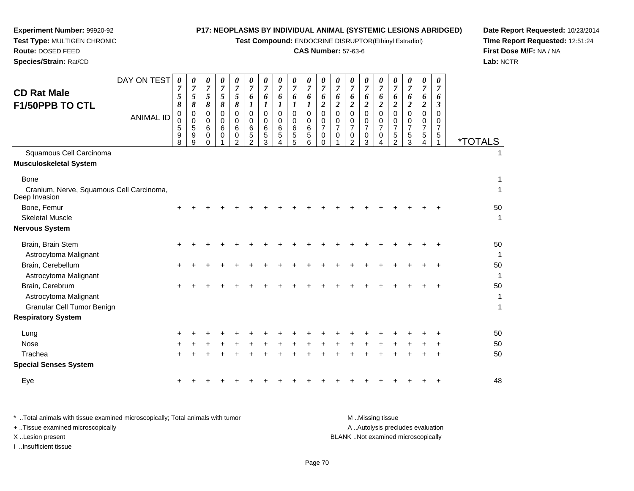**Test Compound:** ENDOCRINE DISRUPTOR(Ethinyl Estradiol)

# **CAS Number:** 57-63-6

**Date Report Requested:** 10/23/2014 **Time Report Requested:** 12:51:24**First Dose M/F:** NA / NA**Lab:** NCTR

 $\mathbf{1}$ 

| <b>CD Rat Male</b><br>F1/50PPB TO CTL                                    | DAY ON TEST<br><b>ANIMAL ID</b> | $\boldsymbol{\theta}$<br>5<br>8<br>0<br>$\mathbf 0$<br>5<br>9<br>8 | 0<br>7<br>5<br>8<br>0<br>0<br>5<br>$\boldsymbol{9}$<br>9 | 0<br>$\overline{7}$<br>5<br>8<br>0<br>$\mathbf 0$<br>6<br>$\mathbf 0$<br>$\Omega$ | 0<br>$\overline{7}$<br>5<br>8<br>0<br>$\mathbf 0$<br>6<br>$\Omega$ | $\boldsymbol{\theta}$<br>$\overline{7}$<br>5<br>8<br>$\mathbf 0$<br>$\mathbf 0$<br>6<br>$\Omega$<br>$\mathfrak{p}$ | 0<br>7<br>6<br>1<br>$\Omega$<br>0<br>6<br>5<br>$\mathfrak{p}$ | 0<br>$\overline{7}$<br>6<br>1<br>$\Omega$<br>0<br>6<br>$\sqrt{5}$<br>3 | 0<br>$\overline{7}$<br>6<br>1<br>0<br>0<br>6<br>5<br>4 | 0<br>$\boldsymbol{7}$<br>6<br>$\boldsymbol{l}$<br>$\mathbf 0$<br>$\mathbf 0$<br>$\,6$<br>5<br>5 | 0<br>$\overline{7}$<br>6<br>1<br>$\mathbf 0$<br>$\mathbf 0$<br>$\,6\,$<br>5<br>6 | 0<br>$\overline{7}$<br>6<br>$\boldsymbol{2}$<br>$\Omega$<br>0<br>$\overline{7}$<br>$\mathbf 0$<br>$\Omega$ | 0<br>$\overline{7}$<br>6<br>$\boldsymbol{2}$<br>$\Omega$<br>0<br>$\overline{7}$<br>$\Omega$ | 0<br>$\overline{7}$<br>6<br>$\boldsymbol{2}$<br>0<br>0<br>$\overline{7}$<br>$\mathbf 0$<br>$\overline{2}$ | 0<br>$\overline{7}$<br>6<br>$\overline{\mathbf{c}}$<br>$\Omega$<br>0<br>7<br>0<br>3 | 0<br>7<br>6<br>$\boldsymbol{2}$<br>$\Omega$<br>$\mathbf 0$<br>$\overline{7}$<br>$\mathbf 0$<br>4 | 0<br>$\overline{7}$<br>6<br>$\boldsymbol{2}$<br>$\Omega$<br>0<br>$\overline{7}$<br>$\sqrt{5}$<br>$\mathcal{P}$ | 0<br>$\overline{7}$<br>6<br>$\boldsymbol{2}$<br>$\Omega$<br>0<br>7<br>5<br>3 | 0<br>$\overline{7}$<br>6<br>$\boldsymbol{2}$<br>$\Omega$<br>0<br>$\overline{7}$<br>$\sqrt{5}$<br>4 | 0<br>7<br>6<br>3<br>$\Omega$<br>0<br>7<br>5 | <i><b>*TOTALS</b></i>   |
|--------------------------------------------------------------------------|---------------------------------|--------------------------------------------------------------------|----------------------------------------------------------|-----------------------------------------------------------------------------------|--------------------------------------------------------------------|--------------------------------------------------------------------------------------------------------------------|---------------------------------------------------------------|------------------------------------------------------------------------|--------------------------------------------------------|-------------------------------------------------------------------------------------------------|----------------------------------------------------------------------------------|------------------------------------------------------------------------------------------------------------|---------------------------------------------------------------------------------------------|-----------------------------------------------------------------------------------------------------------|-------------------------------------------------------------------------------------|--------------------------------------------------------------------------------------------------|----------------------------------------------------------------------------------------------------------------|------------------------------------------------------------------------------|----------------------------------------------------------------------------------------------------|---------------------------------------------|-------------------------|
| Squamous Cell Carcinoma<br><b>Musculoskeletal System</b>                 |                                 |                                                                    |                                                          |                                                                                   |                                                                    |                                                                                                                    |                                                               |                                                                        |                                                        |                                                                                                 |                                                                                  |                                                                                                            |                                                                                             |                                                                                                           |                                                                                     |                                                                                                  |                                                                                                                |                                                                              |                                                                                                    |                                             | 1                       |
| <b>Bone</b><br>Cranium, Nerve, Squamous Cell Carcinoma,<br>Deep Invasion |                                 |                                                                    |                                                          |                                                                                   |                                                                    |                                                                                                                    |                                                               |                                                                        |                                                        |                                                                                                 |                                                                                  |                                                                                                            |                                                                                             |                                                                                                           |                                                                                     |                                                                                                  |                                                                                                                |                                                                              |                                                                                                    |                                             | 1<br>1                  |
| Bone, Femur<br><b>Skeletal Muscle</b>                                    |                                 |                                                                    |                                                          |                                                                                   |                                                                    |                                                                                                                    |                                                               |                                                                        |                                                        |                                                                                                 |                                                                                  |                                                                                                            |                                                                                             |                                                                                                           |                                                                                     |                                                                                                  |                                                                                                                |                                                                              |                                                                                                    |                                             | 50<br>1                 |
| Nervous System                                                           |                                 |                                                                    |                                                          |                                                                                   |                                                                    |                                                                                                                    |                                                               |                                                                        |                                                        |                                                                                                 |                                                                                  |                                                                                                            |                                                                                             |                                                                                                           |                                                                                     |                                                                                                  |                                                                                                                |                                                                              |                                                                                                    |                                             |                         |
| Brain, Brain Stem<br>Astrocytoma Malignant                               |                                 |                                                                    |                                                          |                                                                                   |                                                                    |                                                                                                                    |                                                               |                                                                        |                                                        |                                                                                                 |                                                                                  |                                                                                                            |                                                                                             |                                                                                                           |                                                                                     |                                                                                                  |                                                                                                                |                                                                              |                                                                                                    |                                             | 50<br>1                 |
| Brain, Cerebellum<br>Astrocytoma Malignant                               |                                 | ٠                                                                  |                                                          |                                                                                   |                                                                    |                                                                                                                    |                                                               |                                                                        |                                                        |                                                                                                 |                                                                                  |                                                                                                            |                                                                                             |                                                                                                           |                                                                                     |                                                                                                  |                                                                                                                |                                                                              |                                                                                                    | +                                           | 50<br>1                 |
| Brain, Cerebrum<br>Astrocytoma Malignant<br>Granular Cell Tumor Benign   |                                 |                                                                    |                                                          |                                                                                   |                                                                    |                                                                                                                    |                                                               |                                                                        |                                                        |                                                                                                 |                                                                                  |                                                                                                            |                                                                                             |                                                                                                           |                                                                                     |                                                                                                  |                                                                                                                |                                                                              |                                                                                                    |                                             | 50<br>$\mathbf{1}$<br>1 |
| <b>Respiratory System</b>                                                |                                 |                                                                    |                                                          |                                                                                   |                                                                    |                                                                                                                    |                                                               |                                                                        |                                                        |                                                                                                 |                                                                                  |                                                                                                            |                                                                                             |                                                                                                           |                                                                                     |                                                                                                  |                                                                                                                |                                                                              |                                                                                                    |                                             |                         |
| Lung                                                                     |                                 |                                                                    |                                                          |                                                                                   |                                                                    |                                                                                                                    |                                                               |                                                                        |                                                        |                                                                                                 |                                                                                  |                                                                                                            |                                                                                             |                                                                                                           |                                                                                     |                                                                                                  |                                                                                                                |                                                                              |                                                                                                    |                                             | 50                      |
| <b>Nose</b>                                                              |                                 |                                                                    |                                                          |                                                                                   |                                                                    |                                                                                                                    |                                                               |                                                                        |                                                        |                                                                                                 |                                                                                  |                                                                                                            |                                                                                             |                                                                                                           |                                                                                     |                                                                                                  |                                                                                                                |                                                                              |                                                                                                    |                                             | 50                      |
| Trachea<br><b>Special Senses System</b>                                  |                                 |                                                                    |                                                          |                                                                                   |                                                                    |                                                                                                                    |                                                               |                                                                        |                                                        |                                                                                                 |                                                                                  |                                                                                                            |                                                                                             |                                                                                                           |                                                                                     |                                                                                                  |                                                                                                                |                                                                              |                                                                                                    |                                             | 50                      |
|                                                                          |                                 |                                                                    |                                                          |                                                                                   |                                                                    |                                                                                                                    |                                                               |                                                                        |                                                        |                                                                                                 |                                                                                  |                                                                                                            |                                                                                             |                                                                                                           |                                                                                     |                                                                                                  |                                                                                                                |                                                                              |                                                                                                    |                                             |                         |

Eye $e$  +

**Experiment Number:** 99920-92**Test Type:** MULTIGEN CHRONIC

**Route:** DOSED FEED**Species/Strain:** Rat/CD

| Total animals with tissue examined microscopically: Total animals with tumor. | M Missing tissue                   |
|-------------------------------------------------------------------------------|------------------------------------|
| + Tissue examined microscopically                                             | A Autolysis precludes evaluation   |
| X Lesion present                                                              | BLANK Not examined microscopically |
| Insufficient tissue                                                           |                                    |

<sup>+</sup> <sup>+</sup> <sup>+</sup> <sup>+</sup> <sup>+</sup> <sup>+</sup> <sup>+</sup> <sup>+</sup> <sup>+</sup> <sup>+</sup> <sup>+</sup> <sup>+</sup> <sup>+</sup> <sup>+</sup> <sup>+</sup> <sup>+</sup> <sup>+</sup> <sup>+</sup> <sup>48</sup>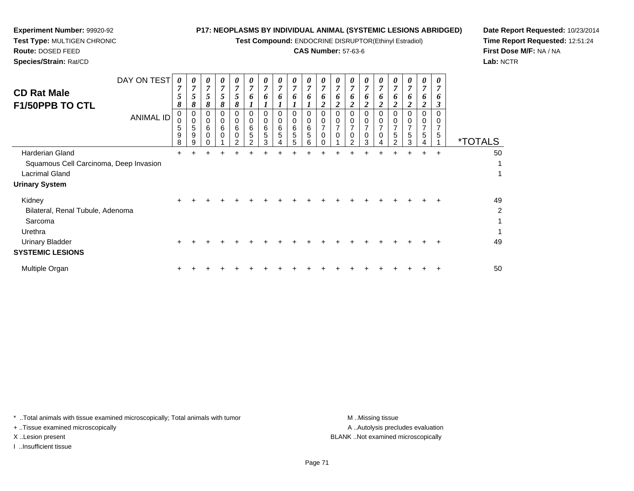**Test Compound:** ENDOCRINE DISRUPTOR(Ethinyl Estradiol)

# **CAS Number:** 57-63-6

**Date Report Requested:** 10/23/2014**Time Report Requested:** 12:51:24**First Dose M/F:** NA / NA**Lab:** NCTR

**Route:** DOSED FEED**Species/Strain:** Rat/CD

**Experiment Number:** 99920-92**Test Type:** MULTIGEN CHRONIC

| <b>CD Rat Male</b><br>F1/50PPB TO CTL                                                                                 | DAY ON TEST<br><b>ANIMAL ID</b> | $\theta$<br>$\overline{7}$<br>5<br>8<br>0<br>$\mathbf 0$<br>5<br>9<br>8 | U<br>$\overline{7}$<br>5<br>8<br>0<br>$\Omega$<br>5<br>9<br>q | 0<br>$\overline{7}$<br>5<br>8<br>0<br>0<br>6<br>0 | 0<br>$\overline{7}$<br>$5\overline{)}$<br>8<br>0<br>0<br>6<br>0 | 0<br>$\overline{7}$<br>5<br>8<br>0<br>$\mathbf 0$<br>6<br>$\mathbf 0$<br>າ | 0<br>$\overline{7}$<br>6<br>0<br>$\mathbf 0$<br>6<br>5 | 0<br>$\overline{7}$<br>6<br>0<br>$\mathbf 0$<br>6<br>5<br>3 | $\theta$<br>$\overline{7}$<br>6<br>0<br>$\Omega$<br>6<br>5 | 0<br>$\overline{7}$<br>6<br>0<br>$\pmb{0}$<br>$\,6$<br>5<br>5 | 0<br>$\overline{7}$<br>6<br>0<br>$\pmb{0}$<br>6<br>5<br>6 | $\boldsymbol{\theta}$<br>$\boldsymbol{7}$<br>6<br>2<br>0<br>0<br>$\overline{7}$<br>0 | 0<br>7<br>6<br>0<br>0<br>$\overline{7}$<br>0 | 0<br>$\overline{7}$<br>6<br>0<br>$\mathbf 0$<br>7<br>$\pmb{0}$<br>C | 0<br>$\overline{7}$<br>6<br>ኅ<br>0<br>0<br>7<br>0<br>3 | 0<br>$\overline{7}$<br>6<br>$\boldsymbol{2}$<br>0<br>0<br>$\overline{7}$<br>$\mathsf 0$<br>Δ | 0<br>$\overline{7}$<br>5 | 0<br>$\overline{7}$<br>$\bm{o}$<br>0<br>7<br>5<br>з | $\boldsymbol{\theta}$<br>$\overline{7}$<br>6<br>$\boldsymbol{2}$<br>0<br>$\Omega$<br>7<br>5 | 0<br>$\overline{7}$<br>6<br>$\boldsymbol{\beta}$<br>0<br>7<br>5 | <i><b>*TOTALS</b></i>                |
|-----------------------------------------------------------------------------------------------------------------------|---------------------------------|-------------------------------------------------------------------------|---------------------------------------------------------------|---------------------------------------------------|-----------------------------------------------------------------|----------------------------------------------------------------------------|--------------------------------------------------------|-------------------------------------------------------------|------------------------------------------------------------|---------------------------------------------------------------|-----------------------------------------------------------|--------------------------------------------------------------------------------------|----------------------------------------------|---------------------------------------------------------------------|--------------------------------------------------------|----------------------------------------------------------------------------------------------|--------------------------|-----------------------------------------------------|---------------------------------------------------------------------------------------------|-----------------------------------------------------------------|--------------------------------------|
| Harderian Gland<br>Squamous Cell Carcinoma, Deep Invasion<br><b>Lacrimal Gland</b><br><b>Urinary System</b>           |                                 | +                                                                       |                                                               |                                                   |                                                                 |                                                                            |                                                        |                                                             |                                                            |                                                               |                                                           |                                                                                      |                                              |                                                                     |                                                        |                                                                                              |                          | $\pm$                                               | $\pm$                                                                                       | $\ddot{}$                                                       | 50<br>1<br>1                         |
| Kidney<br>Bilateral, Renal Tubule, Adenoma<br>Sarcoma<br>Urethra<br><b>Urinary Bladder</b><br><b>SYSTEMIC LESIONS</b> |                                 |                                                                         |                                                               |                                                   |                                                                 |                                                                            |                                                        |                                                             |                                                            |                                                               |                                                           |                                                                                      |                                              |                                                                     |                                                        |                                                                                              |                          |                                                     |                                                                                             |                                                                 | 49<br>$\overline{2}$<br>1<br>1<br>49 |
| Multiple Organ                                                                                                        |                                 |                                                                         |                                                               |                                                   |                                                                 |                                                                            |                                                        |                                                             |                                                            |                                                               |                                                           |                                                                                      |                                              |                                                                     |                                                        |                                                                                              |                          |                                                     |                                                                                             |                                                                 | 50                                   |

\* ..Total animals with tissue examined microscopically; Total animals with tumor **M** . Missing tissue M ..Missing tissue

+ ..Tissue examined microscopically

I ..Insufficient tissue

A ..Autolysis precludes evaluation X ..Lesion present BLANK ..Not examined microscopically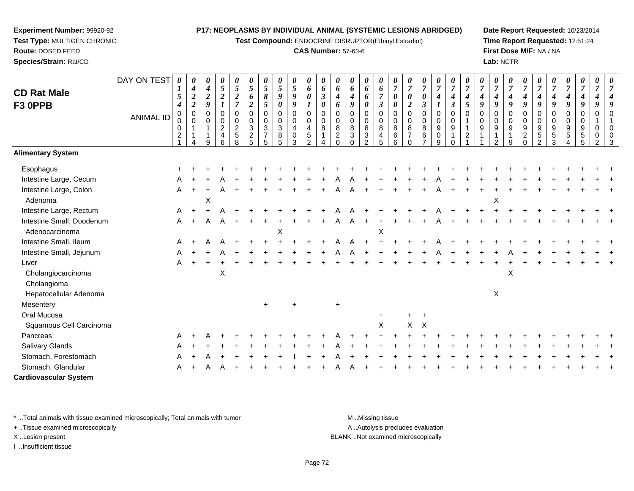**Test Compound:** ENDOCRINE DISRUPTOR(Ethinyl Estradiol)

#### **CAS Number:** 57-63-6

**Date Report Requested:** 10/23/2014**Time Report Requested:** 12:51:24**First Dose M/F:** NA / NA**Lab:** NCTR

| <b>CD Rat Male</b>           | DAY ON TEST      | 0<br>$\mathbf{I}$<br>5                                                    | 0<br>$\boldsymbol{4}$<br>$\boldsymbol{2}$                   | 0<br>$\boldsymbol{4}$<br>$\boldsymbol{2}$                                | 0<br>$\mathfrak{s}$<br>$\boldsymbol{2}$                                            | $\pmb{\theta}$<br>$\mathfrak{s}$<br>$\sqrt{2}$                                   | 0<br>$\mathfrak{s}$<br>6                                                | 0<br>5<br>8                                                                     | $\pmb{\theta}$<br>5<br>9                                           | 0<br>$5\overline{)}$<br>$\pmb{9}$                                       | $\pmb{\theta}$<br>6<br>$\pmb{\theta}$                        | 0<br>6<br>$\mathfrak{z}$                   | $\boldsymbol{\theta}$<br>6<br>$\boldsymbol{4}$                          | 0<br>6<br>4                                      | 0<br>6<br>6                                                                              | 0<br>6<br>$\overline{7}$                                    | 0<br>$\boldsymbol{7}$<br>$\boldsymbol{\theta}$ | 0<br>$\overline{7}$<br>0                                          | 0<br>$\overline{7}$<br>0                            | $\frac{\boldsymbol{0}}{7}$<br>$\boldsymbol{4}$                                       | 0<br>$\overline{7}$<br>4                                                     | $\overline{7}$<br>4                             | 0<br>$\overline{7}$<br>4                  | $\pmb{\theta}$<br>$\overline{7}$<br>$\boldsymbol{4}$    | 0<br>$\overline{7}$<br>$\boldsymbol{4}$                  | 0<br>$\overline{7}$<br>$\boldsymbol{4}$                                       | 0<br>$\overline{7}$<br>$\boldsymbol{4}$                                   | $\boldsymbol{\theta}$<br>$\overline{7}$<br>$\boldsymbol{4}$ | 0<br>$\overline{7}$<br>$\boldsymbol{4}$                  | 0<br>$\overline{7}$<br>$\boldsymbol{4}$      | $\overline{7}$                                 | 0                                          |
|------------------------------|------------------|---------------------------------------------------------------------------|-------------------------------------------------------------|--------------------------------------------------------------------------|------------------------------------------------------------------------------------|----------------------------------------------------------------------------------|-------------------------------------------------------------------------|---------------------------------------------------------------------------------|--------------------------------------------------------------------|-------------------------------------------------------------------------|--------------------------------------------------------------|--------------------------------------------|-------------------------------------------------------------------------|--------------------------------------------------|------------------------------------------------------------------------------------------|-------------------------------------------------------------|------------------------------------------------|-------------------------------------------------------------------|-----------------------------------------------------|--------------------------------------------------------------------------------------|------------------------------------------------------------------------------|-------------------------------------------------|-------------------------------------------|---------------------------------------------------------|----------------------------------------------------------|-------------------------------------------------------------------------------|---------------------------------------------------------------------------|-------------------------------------------------------------|----------------------------------------------------------|----------------------------------------------|------------------------------------------------|--------------------------------------------|
| F3 OPPB                      | <b>ANIMAL ID</b> | 4<br>$\mathbf 0$<br>$\mathbf 0$<br>$\mathbf 0$<br>$\overline{\mathbf{c}}$ | $\overline{2}$<br>$\pmb{0}$<br>$\Omega$<br>1<br>$\mathbf 1$ | $\boldsymbol{q}$<br>$\boldsymbol{0}$<br>$\mathbf 0$<br>$\mathbf{1}$<br>9 | $\mathbf{I}$<br>0<br>$\pmb{0}$<br>$\boldsymbol{2}$<br>$\overline{\mathbf{4}}$<br>6 | $\overline{7}$<br>$\pmb{0}$<br>$\pmb{0}$<br>$\boldsymbol{2}$<br>$\,$ 5 $\,$<br>8 | $\overline{c}$<br>0<br>$\mathbf 0$<br>$\sqrt{3}$<br>$\overline{c}$<br>5 | $\mathfrak{s}$<br>$\pmb{0}$<br>$\pmb{0}$<br>$\mathbf{3}$<br>$\overline{7}$<br>5 | 0<br>$\pmb{0}$<br>$\pmb{0}$<br>$\ensuremath{\mathsf{3}}$<br>8<br>5 | $\boldsymbol{g}$<br>0<br>$\pmb{0}$<br>$\overline{\mathbf{4}}$<br>0<br>3 | $\pmb{0}$<br>$\pmb{0}$<br>$\overline{4}$<br>$\mathbf 5$<br>2 | 0<br>$\mathbf 0$<br>$\mathbf 0$<br>$\,8\,$ | 6<br>$\mathbf 0$<br>$\mathbf 0$<br>$\bf8$<br>$\overline{c}$<br>$\Omega$ | 9<br>0<br>$\mathbf 0$<br>$\bf 8$<br>$\mathbf{3}$ | $\boldsymbol{\theta}$<br>$\mathbf 0$<br>$\mathbf 0$<br>8<br>$\sqrt{3}$<br>$\overline{2}$ | 3<br>$\mathbf 0$<br>$\mathbf 0$<br>8<br>$\overline{4}$<br>5 | 0<br>0<br>$\mathbf 0$<br>8<br>6<br>6           | $\boldsymbol{2}$<br>$\pmb{0}$<br>$\pmb{0}$<br>8<br>$\overline{7}$ | 3<br>$\boldsymbol{0}$<br>$\boldsymbol{0}$<br>8<br>6 | $\boldsymbol{l}$<br>$\pmb{0}$<br>$\mathbf 0$<br>$\boldsymbol{9}$<br>$\mathbf 0$<br>9 | $\boldsymbol{\beta}$<br>$\mathbf 0$<br>$\mathbf 0$<br>$9\,$<br>1<br>$\Omega$ | 5<br>$\Omega$<br>$\mathbf{1}$<br>$\overline{c}$ | $\boldsymbol{g}$<br>0<br>$\mathbf 0$<br>9 | $\boldsymbol{q}$<br>$\mathbf 0$<br>$\mathbf 0$<br>$9\,$ | 9<br>$\mathbf 0$<br>$\mathbf 0$<br>$\boldsymbol{9}$<br>9 | 9<br>$\mathbf 0$<br>$\mathbf 0$<br>$\boldsymbol{9}$<br>$\sqrt{2}$<br>$\Omega$ | 9<br>$\mathbf 0$<br>$\mathbf 0$<br>$\boldsymbol{9}$<br>5<br>$\mathcal{D}$ | 9<br>0<br>$\pmb{0}$<br>$\boldsymbol{9}$<br>$\sqrt{5}$<br>3  | 9<br>$\mathbf 0$<br>$\mathbf 0$<br>$\boldsymbol{9}$<br>5 | 9<br>$\pmb{0}$<br>0<br>9<br>$\mathbf 5$<br>5 | $\boldsymbol{q}$<br>$\mathbf 0$<br>0<br>0<br>2 | Q<br>$\Omega$<br>$\Omega$<br>$\Omega$<br>3 |
| <b>Alimentary System</b>     |                  |                                                                           |                                                             |                                                                          |                                                                                    |                                                                                  |                                                                         |                                                                                 |                                                                    |                                                                         |                                                              |                                            |                                                                         |                                                  |                                                                                          |                                                             |                                                |                                                                   |                                                     |                                                                                      |                                                                              |                                                 |                                           |                                                         |                                                          |                                                                               |                                                                           |                                                             |                                                          |                                              |                                                |                                            |
| Esophagus                    |                  |                                                                           |                                                             |                                                                          |                                                                                    |                                                                                  |                                                                         |                                                                                 |                                                                    |                                                                         |                                                              |                                            |                                                                         |                                                  |                                                                                          |                                                             |                                                |                                                                   |                                                     |                                                                                      |                                                                              |                                                 |                                           |                                                         |                                                          |                                                                               |                                                                           |                                                             |                                                          |                                              |                                                |                                            |
| Intestine Large, Cecum       |                  |                                                                           |                                                             |                                                                          |                                                                                    |                                                                                  |                                                                         |                                                                                 |                                                                    |                                                                         |                                                              |                                            |                                                                         |                                                  |                                                                                          |                                                             |                                                |                                                                   |                                                     |                                                                                      |                                                                              |                                                 |                                           |                                                         |                                                          |                                                                               |                                                                           |                                                             |                                                          |                                              |                                                |                                            |
| Intestine Large, Colon       |                  | A                                                                         |                                                             |                                                                          |                                                                                    |                                                                                  |                                                                         |                                                                                 |                                                                    |                                                                         |                                                              |                                            |                                                                         |                                                  |                                                                                          |                                                             |                                                |                                                                   |                                                     |                                                                                      |                                                                              |                                                 |                                           |                                                         |                                                          |                                                                               |                                                                           |                                                             |                                                          |                                              |                                                |                                            |
| Adenoma                      |                  |                                                                           |                                                             | X                                                                        |                                                                                    |                                                                                  |                                                                         |                                                                                 |                                                                    |                                                                         |                                                              |                                            |                                                                         |                                                  |                                                                                          |                                                             |                                                |                                                                   |                                                     |                                                                                      |                                                                              |                                                 |                                           | X                                                       |                                                          |                                                                               |                                                                           |                                                             |                                                          |                                              |                                                |                                            |
| Intestine Large, Rectum      |                  | Α                                                                         |                                                             |                                                                          |                                                                                    |                                                                                  |                                                                         |                                                                                 |                                                                    |                                                                         |                                                              |                                            |                                                                         |                                                  |                                                                                          |                                                             |                                                |                                                                   |                                                     |                                                                                      |                                                                              |                                                 |                                           |                                                         |                                                          |                                                                               |                                                                           |                                                             |                                                          |                                              |                                                |                                            |
| Intestine Small, Duodenum    |                  | Α                                                                         |                                                             | A                                                                        | A                                                                                  |                                                                                  |                                                                         |                                                                                 |                                                                    |                                                                         |                                                              |                                            |                                                                         | Α                                                |                                                                                          |                                                             |                                                |                                                                   |                                                     |                                                                                      |                                                                              |                                                 |                                           |                                                         |                                                          |                                                                               |                                                                           |                                                             |                                                          |                                              |                                                |                                            |
| Adenocarcinoma               |                  |                                                                           |                                                             |                                                                          |                                                                                    |                                                                                  |                                                                         |                                                                                 | X                                                                  |                                                                         |                                                              |                                            |                                                                         |                                                  |                                                                                          | X                                                           |                                                |                                                                   |                                                     |                                                                                      |                                                                              |                                                 |                                           |                                                         |                                                          |                                                                               |                                                                           |                                                             |                                                          |                                              |                                                |                                            |
| Intestine Small, Ileum       |                  | A                                                                         |                                                             | A                                                                        |                                                                                    |                                                                                  |                                                                         |                                                                                 |                                                                    |                                                                         |                                                              |                                            |                                                                         | Α                                                |                                                                                          |                                                             |                                                |                                                                   |                                                     |                                                                                      |                                                                              |                                                 |                                           |                                                         |                                                          |                                                                               |                                                                           |                                                             |                                                          |                                              |                                                |                                            |
| Intestine Small, Jejunum     |                  | A                                                                         |                                                             |                                                                          |                                                                                    |                                                                                  |                                                                         |                                                                                 |                                                                    |                                                                         |                                                              |                                            |                                                                         |                                                  |                                                                                          |                                                             |                                                |                                                                   |                                                     |                                                                                      |                                                                              |                                                 |                                           |                                                         |                                                          |                                                                               |                                                                           |                                                             |                                                          |                                              |                                                |                                            |
| Liver                        |                  | A                                                                         |                                                             |                                                                          |                                                                                    |                                                                                  |                                                                         |                                                                                 |                                                                    |                                                                         |                                                              |                                            |                                                                         |                                                  |                                                                                          |                                                             |                                                |                                                                   |                                                     |                                                                                      |                                                                              |                                                 |                                           |                                                         |                                                          |                                                                               |                                                                           |                                                             |                                                          |                                              |                                                |                                            |
| Cholangiocarcinoma           |                  |                                                                           |                                                             |                                                                          | X                                                                                  |                                                                                  |                                                                         |                                                                                 |                                                                    |                                                                         |                                                              |                                            |                                                                         |                                                  |                                                                                          |                                                             |                                                |                                                                   |                                                     |                                                                                      |                                                                              |                                                 |                                           |                                                         | X                                                        |                                                                               |                                                                           |                                                             |                                                          |                                              |                                                |                                            |
| Cholangioma                  |                  |                                                                           |                                                             |                                                                          |                                                                                    |                                                                                  |                                                                         |                                                                                 |                                                                    |                                                                         |                                                              |                                            |                                                                         |                                                  |                                                                                          |                                                             |                                                |                                                                   |                                                     |                                                                                      |                                                                              |                                                 |                                           |                                                         |                                                          |                                                                               |                                                                           |                                                             |                                                          |                                              |                                                |                                            |
| Hepatocellular Adenoma       |                  |                                                                           |                                                             |                                                                          |                                                                                    |                                                                                  |                                                                         |                                                                                 |                                                                    |                                                                         |                                                              |                                            |                                                                         |                                                  |                                                                                          |                                                             |                                                |                                                                   |                                                     |                                                                                      |                                                                              |                                                 |                                           | X                                                       |                                                          |                                                                               |                                                                           |                                                             |                                                          |                                              |                                                |                                            |
| Mesentery                    |                  |                                                                           |                                                             |                                                                          |                                                                                    |                                                                                  |                                                                         | $\ddot{}$                                                                       |                                                                    |                                                                         |                                                              |                                            |                                                                         |                                                  |                                                                                          |                                                             |                                                |                                                                   |                                                     |                                                                                      |                                                                              |                                                 |                                           |                                                         |                                                          |                                                                               |                                                                           |                                                             |                                                          |                                              |                                                |                                            |
| Oral Mucosa                  |                  |                                                                           |                                                             |                                                                          |                                                                                    |                                                                                  |                                                                         |                                                                                 |                                                                    |                                                                         |                                                              |                                            |                                                                         |                                                  |                                                                                          | $\ddot{}$                                                   |                                                | $+$                                                               | $+$                                                 |                                                                                      |                                                                              |                                                 |                                           |                                                         |                                                          |                                                                               |                                                                           |                                                             |                                                          |                                              |                                                |                                            |
| Squamous Cell Carcinoma      |                  |                                                                           |                                                             |                                                                          |                                                                                    |                                                                                  |                                                                         |                                                                                 |                                                                    |                                                                         |                                                              |                                            |                                                                         |                                                  |                                                                                          | X                                                           |                                                | $X$ $X$                                                           |                                                     |                                                                                      |                                                                              |                                                 |                                           |                                                         |                                                          |                                                                               |                                                                           |                                                             |                                                          |                                              |                                                |                                            |
| Pancreas                     |                  | Α                                                                         |                                                             |                                                                          |                                                                                    |                                                                                  |                                                                         |                                                                                 |                                                                    |                                                                         |                                                              |                                            |                                                                         |                                                  |                                                                                          |                                                             |                                                |                                                                   |                                                     |                                                                                      |                                                                              |                                                 |                                           |                                                         |                                                          |                                                                               |                                                                           |                                                             |                                                          |                                              |                                                |                                            |
| Salivary Glands              |                  | Α                                                                         |                                                             |                                                                          |                                                                                    |                                                                                  |                                                                         |                                                                                 |                                                                    |                                                                         |                                                              |                                            |                                                                         |                                                  |                                                                                          |                                                             |                                                |                                                                   |                                                     |                                                                                      |                                                                              |                                                 |                                           |                                                         |                                                          |                                                                               |                                                                           |                                                             |                                                          |                                              |                                                |                                            |
| Stomach, Forestomach         |                  | Α                                                                         |                                                             |                                                                          |                                                                                    |                                                                                  |                                                                         |                                                                                 |                                                                    |                                                                         |                                                              |                                            |                                                                         |                                                  |                                                                                          |                                                             |                                                |                                                                   |                                                     |                                                                                      |                                                                              |                                                 |                                           |                                                         |                                                          |                                                                               |                                                                           |                                                             |                                                          |                                              |                                                |                                            |
| Stomach, Glandular           |                  | A                                                                         |                                                             |                                                                          |                                                                                    |                                                                                  |                                                                         |                                                                                 |                                                                    |                                                                         |                                                              |                                            |                                                                         |                                                  |                                                                                          |                                                             |                                                |                                                                   |                                                     |                                                                                      |                                                                              |                                                 |                                           |                                                         |                                                          |                                                                               |                                                                           |                                                             |                                                          |                                              |                                                |                                            |
| <b>Cardiovascular System</b> |                  |                                                                           |                                                             |                                                                          |                                                                                    |                                                                                  |                                                                         |                                                                                 |                                                                    |                                                                         |                                                              |                                            |                                                                         |                                                  |                                                                                          |                                                             |                                                |                                                                   |                                                     |                                                                                      |                                                                              |                                                 |                                           |                                                         |                                                          |                                                                               |                                                                           |                                                             |                                                          |                                              |                                                |                                            |

\* ..Total animals with tissue examined microscopically; Total animals with tumor **M** . Missing tissue M ..Missing tissue

+ ..Tissue examined microscopically

**Experiment Number:** 99920-92**Test Type:** MULTIGEN CHRONIC

**Route:** DOSED FEED**Species/Strain:** Rat/CD

I ..Insufficient tissue

A ..Autolysis precludes evaluation X ..Lesion present BLANK ..Not examined microscopically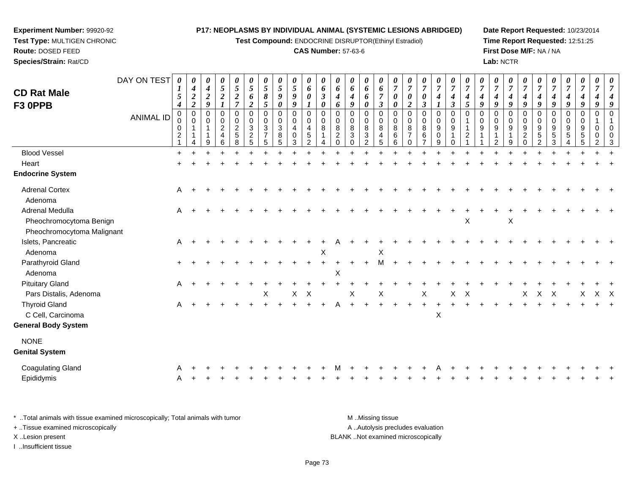**Test Compound:** ENDOCRINE DISRUPTOR(Ethinyl Estradiol)

#### **CAS Number:** 57-63-6

**Date Report Requested:** 10/23/2014**Time Report Requested:** 12:51:25**First Dose M/F:** NA / NA**Lab:** NCTR

|                            | DAY ON TEST      | 0                     | 0                             | 0<br>4           | 0<br>$\sqrt{5}$                  | 0<br>$\sqrt{5}$            | 0<br>$\overline{5}$          | $\boldsymbol{\theta}$<br>5     | 0<br>5        | 0<br>$\sqrt{5}$             | 0<br>6                       | 0<br>6               | 0                       | 0<br>6           | 0               | 0<br>6                     | 0<br>$\overline{7}$ | $\overline{7}$          | 0<br>$\overline{7}$ | 0<br>$\overline{7}$  | 0<br>$\overline{7}$              | 0<br>$\overline{7}$       | $\overline{7}$          | 0<br>$\overline{7}$ | 0<br>$\overline{7}$              | 0<br>$\overline{7}$     | 0<br>$\overline{7}$ |                      | 0<br>$\overline{7}$ | 0<br>$\boldsymbol{7}$ | 0<br>$\overline{7}$ | $\boldsymbol{\theta}$<br>7 |
|----------------------------|------------------|-----------------------|-------------------------------|------------------|----------------------------------|----------------------------|------------------------------|--------------------------------|---------------|-----------------------------|------------------------------|----------------------|-------------------------|------------------|-----------------|----------------------------|---------------------|-------------------------|---------------------|----------------------|----------------------------------|---------------------------|-------------------------|---------------------|----------------------------------|-------------------------|---------------------|----------------------|---------------------|-----------------------|---------------------|----------------------------|
| <b>CD Rat Male</b>         |                  | $\boldsymbol{I}$<br>5 | 4<br>$\boldsymbol{2}$         | $\boldsymbol{2}$ | $\boldsymbol{2}$                 | $\boldsymbol{2}$           | 6                            | $\pmb{8}$                      | 9             | 9                           | 0                            | $\boldsymbol{\beta}$ | 6<br>$\boldsymbol{4}$   | 4                | 6<br>6          | $\overline{7}$             | 0                   | 0                       | 0                   | 4                    | 4                                | 4                         | 4                       | 4                   | 4                                | $\boldsymbol{4}$        | 4                   |                      | 4                   | 4                     | 4                   |                            |
| F3 OPPB                    |                  | $\boldsymbol{4}$      | $\boldsymbol{2}$              | 9                |                                  | $\overline{7}$             | $\boldsymbol{2}$             | 5                              | 0             | 9                           |                              | 0                    | 6                       | 9                | 0               | $\boldsymbol{\beta}$       | 0                   | $\boldsymbol{2}$        | 3                   | 1                    | $\boldsymbol{\beta}$             | 5                         | 9                       | 9                   | 9                                | $\boldsymbol{q}$        | 9                   | 9                    | 9                   | 9                     | 9                   |                            |
|                            | <b>ANIMAL ID</b> | $\mathbf 0$<br>0      | $\mathbf 0$<br>$\mathbf 0$    | 0<br>0           | 0<br>$\mathbf 0$                 | $\mathbf 0$<br>$\mathbf 0$ | $\mathbf 0$<br>$\mathbf 0$   | $\mathbf 0$<br>$\mathbf 0$     | $\Omega$<br>0 | $\mathbf 0$<br>0            | $\mathbf 0$<br>$\mathbf 0$   | 0<br>$\mathbf 0$     | $\Omega$<br>$\mathbf 0$ | 0<br>$\mathbf 0$ | 0<br>0          | $\mathbf 0$<br>$\mathbf 0$ | 0<br>0              | $\Omega$<br>$\mathbf 0$ | $\Omega$<br>0       | $\,0\,$<br>$\pmb{0}$ | $\mathbf 0$<br>$\mathbf 0$       | $\Omega$                  | $\Omega$<br>$\mathbf 0$ | $\Omega$<br>0       | 0<br>0                           | $\Omega$<br>$\mathbf 0$ | 0<br>0              | $\Omega$<br>$\Omega$ | 0<br>0              | 0<br>0                | $\mathbf 0$         |                            |
|                            |                  | 0<br>$\overline{c}$   | $\overline{1}$<br>$\mathbf 1$ |                  | $\overline{2}$<br>$\overline{4}$ | $\frac{2}{5}$              | $\sqrt{3}$<br>$\overline{c}$ | $\mathbf{3}$<br>$\overline{7}$ | 3<br>8        | $\overline{4}$<br>$\pmb{0}$ | $\overline{4}$<br>$\sqrt{5}$ | 8<br>$\mathbf{1}$    | 8<br>$\overline{2}$     | 8<br>3           | 8<br>$\sqrt{3}$ | $\,8\,$<br>$\overline{4}$  | 8<br>$\,6\,$        | 8<br>$\overline{7}$     | 8<br>6              | 9<br>$\pmb{0}$       | $\boldsymbol{9}$<br>$\mathbf{1}$ | $\sqrt{2}$                | 9                       | 9                   | $\boldsymbol{9}$<br>$\mathbf{1}$ | 9<br>$\boldsymbol{2}$   | 9<br>5              | 9<br>5               | 9<br>5              | 9<br>$\sqrt{5}$       | $\Omega$<br>0       |                            |
|                            |                  |                       |                               | 9                | 6                                | 8                          | $\sqrt{5}$                   | 5                              | 5             | 3                           | $\overline{2}$               | 4                    | $\Omega$                |                  | 2               | 5                          | 6                   | $\Omega$                |                     | 9                    | $\Omega$                         |                           |                         | 2                   | 9                                | $\Omega$                | $\overline{2}$      |                      |                     |                       |                     |                            |
| <b>Blood Vessel</b>        |                  | $\ddot{}$             |                               |                  |                                  |                            |                              |                                |               |                             |                              |                      |                         |                  |                 |                            |                     |                         |                     |                      |                                  |                           |                         |                     |                                  |                         |                     |                      |                     |                       |                     |                            |
| Heart                      |                  |                       |                               |                  |                                  |                            |                              |                                |               |                             |                              |                      |                         |                  |                 |                            |                     |                         |                     |                      |                                  |                           |                         |                     |                                  |                         |                     |                      |                     |                       |                     |                            |
| <b>Endocrine System</b>    |                  |                       |                               |                  |                                  |                            |                              |                                |               |                             |                              |                      |                         |                  |                 |                            |                     |                         |                     |                      |                                  |                           |                         |                     |                                  |                         |                     |                      |                     |                       |                     |                            |
| <b>Adrenal Cortex</b>      |                  | A                     |                               |                  |                                  |                            |                              |                                |               |                             |                              |                      |                         |                  |                 |                            |                     |                         |                     |                      |                                  |                           |                         |                     |                                  |                         |                     |                      |                     |                       |                     |                            |
| Adenoma                    |                  |                       |                               |                  |                                  |                            |                              |                                |               |                             |                              |                      |                         |                  |                 |                            |                     |                         |                     |                      |                                  |                           |                         |                     |                                  |                         |                     |                      |                     |                       |                     |                            |
| Adrenal Medulla            |                  | Α                     |                               |                  |                                  |                            |                              |                                |               |                             |                              |                      |                         |                  |                 |                            |                     |                         |                     |                      |                                  |                           |                         |                     |                                  |                         |                     |                      |                     |                       |                     |                            |
| Pheochromocytoma Benign    |                  |                       |                               |                  |                                  |                            |                              |                                |               |                             |                              |                      |                         |                  |                 |                            |                     |                         |                     |                      |                                  | X                         |                         |                     | X                                |                         |                     |                      |                     |                       |                     |                            |
| Pheochromocytoma Malignant |                  |                       |                               |                  |                                  |                            |                              |                                |               |                             |                              |                      |                         |                  |                 |                            |                     |                         |                     |                      |                                  |                           |                         |                     |                                  |                         |                     |                      |                     |                       |                     |                            |
| Islets, Pancreatic         |                  | A                     |                               |                  |                                  |                            |                              |                                |               |                             |                              |                      |                         |                  |                 |                            |                     |                         |                     |                      |                                  |                           |                         |                     |                                  |                         |                     |                      |                     |                       |                     |                            |
| Adenoma                    |                  |                       |                               |                  |                                  |                            |                              |                                |               |                             |                              | X                    |                         |                  |                 | X                          |                     |                         |                     |                      |                                  |                           |                         |                     |                                  |                         |                     |                      |                     |                       |                     |                            |
| Parathyroid Gland          |                  | $\ddot{}$             |                               |                  |                                  |                            |                              |                                |               |                             |                              |                      |                         |                  |                 | М                          |                     |                         |                     |                      |                                  |                           |                         |                     |                                  |                         |                     |                      |                     |                       |                     |                            |
| Adenoma                    |                  |                       |                               |                  |                                  |                            |                              |                                |               |                             |                              |                      | X                       |                  |                 |                            |                     |                         |                     |                      |                                  |                           |                         |                     |                                  |                         |                     |                      |                     |                       |                     |                            |
| <b>Pituitary Gland</b>     |                  | A                     |                               |                  |                                  |                            |                              |                                |               |                             |                              |                      |                         |                  |                 |                            |                     |                         |                     |                      |                                  |                           |                         |                     |                                  |                         |                     |                      |                     |                       |                     |                            |
| Pars Distalis, Adenoma     |                  |                       |                               |                  |                                  |                            |                              | X                              |               | $\mathsf X$                 | $\mathsf{X}$                 |                      |                         | X                |                 | X                          |                     |                         | X                   |                      | $\mathsf X$                      | $\boldsymbol{\mathsf{X}}$ |                         |                     |                                  | X                       | $\mathsf X$         | X                    |                     | X                     | X X                 |                            |
| <b>Thyroid Gland</b>       |                  | Α                     |                               |                  |                                  |                            |                              |                                |               |                             |                              |                      |                         |                  |                 |                            |                     |                         | $+$                 | $+$                  |                                  |                           |                         |                     |                                  |                         |                     |                      |                     |                       |                     |                            |
| C Cell, Carcinoma          |                  |                       |                               |                  |                                  |                            |                              |                                |               |                             |                              |                      |                         |                  |                 |                            |                     |                         |                     | $\pmb{\times}$       |                                  |                           |                         |                     |                                  |                         |                     |                      |                     |                       |                     |                            |
| <b>General Body System</b> |                  |                       |                               |                  |                                  |                            |                              |                                |               |                             |                              |                      |                         |                  |                 |                            |                     |                         |                     |                      |                                  |                           |                         |                     |                                  |                         |                     |                      |                     |                       |                     |                            |
| <b>NONE</b>                |                  |                       |                               |                  |                                  |                            |                              |                                |               |                             |                              |                      |                         |                  |                 |                            |                     |                         |                     |                      |                                  |                           |                         |                     |                                  |                         |                     |                      |                     |                       |                     |                            |
| <b>Genital System</b>      |                  |                       |                               |                  |                                  |                            |                              |                                |               |                             |                              |                      |                         |                  |                 |                            |                     |                         |                     |                      |                                  |                           |                         |                     |                                  |                         |                     |                      |                     |                       |                     |                            |
| <b>Coagulating Gland</b>   |                  |                       |                               |                  |                                  |                            |                              |                                |               |                             |                              |                      |                         |                  |                 |                            |                     |                         |                     |                      |                                  |                           |                         |                     |                                  |                         |                     |                      |                     |                       |                     |                            |
| Epididymis                 |                  | A                     |                               |                  |                                  |                            |                              |                                |               |                             |                              |                      |                         |                  |                 |                            |                     |                         |                     |                      |                                  |                           |                         |                     |                                  |                         |                     |                      |                     |                       |                     |                            |
|                            |                  |                       |                               |                  |                                  |                            |                              |                                |               |                             |                              |                      |                         |                  |                 |                            |                     |                         |                     |                      |                                  |                           |                         |                     |                                  |                         |                     |                      |                     |                       |                     |                            |

\* ..Total animals with tissue examined microscopically; Total animals with tumor **M** . Missing tissue M ..Missing tissue A ..Autolysis precludes evaluation + ..Tissue examined microscopically X ..Lesion present BLANK ..Not examined microscopicallyI ..Insufficient tissue

**Experiment Number:** 99920-92**Test Type:** MULTIGEN CHRONIC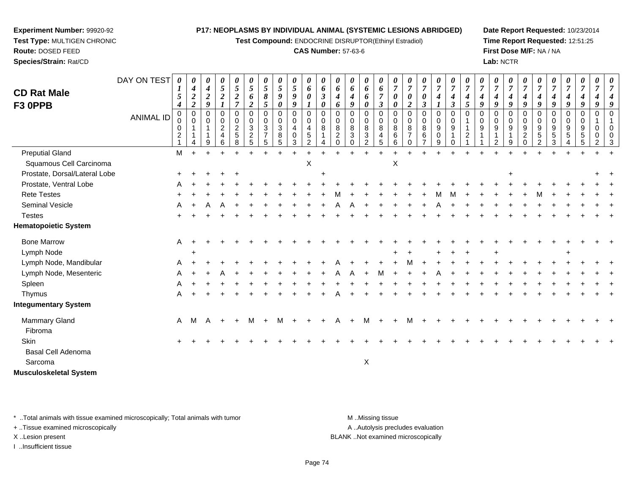**Test Compound:** ENDOCRINE DISRUPTOR(Ethinyl Estradiol)

#### **CAS Number:** 57-63-6

**Date Report Requested:** 10/23/2014**Time Report Requested:** 12:51:25**First Dose M/F:** NA / NA**Lab:** NCTR

| <b>CD Rat Male</b><br>F3 OPPB        | DAY ON TEST<br><b>ANIMAL ID</b> | 0<br>1<br>5<br>$\boldsymbol{4}$<br>$\mathbf 0$<br>0<br>0<br>$\overline{c}$ | 0<br>4<br>$\boldsymbol{2}$<br>$\overline{2}$<br>0<br>0 | 0<br>$\boldsymbol{4}$<br>$\boldsymbol{2}$<br>9<br>$\mathbf 0$<br>$\mathbf 0$<br>9 | 0<br>$\overline{5}$<br>$\boldsymbol{2}$<br>$\boldsymbol{\eta}$<br>$\mathbf 0$<br>$\mathbf 0$<br>$\overline{c}$<br>$\overline{\mathbf{4}}$<br>6 | 0<br>5<br>$\overline{\mathbf{c}}$<br>$\overline{7}$<br>$\mathbf 0$<br>0<br>$\overline{2}$<br>$\sqrt{5}$<br>8 | 0<br>5<br>6<br>$\boldsymbol{2}$<br>$\mathbf 0$<br>0<br>3<br>$\overline{c}$<br>5 | 0<br>5<br>8<br>5<br>$\pmb{0}$<br>0<br>3<br>$\overline{ }$<br>5 | 0<br>$\mathfrak{s}$<br>9<br>0<br>0<br>$\mathbf 0$<br>$\ensuremath{\mathsf{3}}$<br>$\bf 8$<br>5 | 0<br>$\mathfrak{s}$<br>9<br>9<br>$\mathbf 0$<br>$\mathbf 0$<br>$\overline{4}$<br>$\pmb{0}$<br>3 | 0<br>6<br>0<br>0<br>$\mathbf 0$<br>4<br>$\sqrt{5}$<br>2 | 0<br>6<br>$\mathfrak{z}$<br>0<br>$\Omega$<br>$\mathbf 0$<br>8 | 0<br>6<br>4<br>6<br>$\Omega$<br>0<br>8<br>$\overline{c}$<br>$\Omega$ | 0<br>6<br>$\boldsymbol{4}$<br>9<br>$\mathbf 0$<br>$\pmb{0}$<br>$\bf8$<br>$\sqrt{3}$<br>$\Omega$ | 0<br>6<br>6<br>0<br>$\mathbf 0$<br>$\mathbf 0$<br>$\,8\,$<br>$\ensuremath{\mathsf{3}}$<br>$\overline{2}$ | 0<br>6<br>$\overline{7}$<br>$\mathfrak{z}$<br>$\mathbf 0$<br>0<br>8<br>$\overline{4}$<br>5 | 0<br>$\overline{7}$<br>$\boldsymbol{\theta}$<br>0<br>0<br>$\mathbf 0$<br>8<br>$\,6$<br>6 | 0<br>$\overline{7}$<br>$\boldsymbol{\theta}$<br>$\overline{2}$<br>$\mathbf 0$<br>0<br>8<br>$\overline{7}$<br>$\Omega$ | 0<br>$\overline{7}$<br>$\boldsymbol{\theta}$<br>$\mathfrak{z}$<br>$\pmb{0}$<br>$\mathsf{O}\xspace$<br>$\bf 8$<br>$\,6\,$<br>$\overline{7}$ | 0<br>$\overline{7}$<br>$\boldsymbol{4}$<br>$\pmb{0}$<br>$\pmb{0}$<br>9<br>$\,0\,$<br>9 | 0<br>4<br>$\boldsymbol{\beta}$<br>$\Omega$<br>$\mathbf 0$<br>9<br>0 | 0<br>$\overline{7}$<br>4<br>5<br>$\Omega$<br>$\overline{2}$ | 0<br>$\overline{7}$<br>4<br>9<br>0<br>0<br>9 | $\pmb{\theta}$<br>$\boldsymbol{7}$<br>4<br>9<br>0<br>0<br>9<br>1<br>$\overline{2}$ | 0<br>$\overline{7}$<br>4<br>9<br>0<br>0<br>9<br>$\mathbf{1}$<br>9 | 4<br>9<br>$\Omega$<br>$\mathbf 0$<br>9<br>$\overline{c}$<br>$\mathbf 0$ | 0<br>$\overline{7}$<br>4<br>9<br>$\mathbf 0$<br>0<br>9<br>$\sqrt{5}$<br>$\overline{2}$ | 0<br>$\overline{7}$<br>4<br>9<br>0<br>$\mathbf 0$<br>9<br>$\,$ 5 $\,$<br>3 | 0<br>$\overline{7}$<br>$\boldsymbol{4}$<br>9<br>$\overline{0}$<br>$\mathbf 0$<br>$\boldsymbol{9}$<br>$\sqrt{5}$<br>$\overline{\mathbf{4}}$ | 0<br>4<br>9<br>$\Omega$<br>0<br>9<br>5<br>5 | 9<br>0<br>0<br>0<br>2 | 0<br>g<br>0<br>0<br>3 |
|--------------------------------------|---------------------------------|----------------------------------------------------------------------------|--------------------------------------------------------|-----------------------------------------------------------------------------------|------------------------------------------------------------------------------------------------------------------------------------------------|--------------------------------------------------------------------------------------------------------------|---------------------------------------------------------------------------------|----------------------------------------------------------------|------------------------------------------------------------------------------------------------|-------------------------------------------------------------------------------------------------|---------------------------------------------------------|---------------------------------------------------------------|----------------------------------------------------------------------|-------------------------------------------------------------------------------------------------|----------------------------------------------------------------------------------------------------------|--------------------------------------------------------------------------------------------|------------------------------------------------------------------------------------------|-----------------------------------------------------------------------------------------------------------------------|--------------------------------------------------------------------------------------------------------------------------------------------|----------------------------------------------------------------------------------------|---------------------------------------------------------------------|-------------------------------------------------------------|----------------------------------------------|------------------------------------------------------------------------------------|-------------------------------------------------------------------|-------------------------------------------------------------------------|----------------------------------------------------------------------------------------|----------------------------------------------------------------------------|--------------------------------------------------------------------------------------------------------------------------------------------|---------------------------------------------|-----------------------|-----------------------|
| <b>Preputial Gland</b>               |                                 | M                                                                          |                                                        |                                                                                   |                                                                                                                                                |                                                                                                              |                                                                                 |                                                                |                                                                                                |                                                                                                 |                                                         |                                                               |                                                                      |                                                                                                 |                                                                                                          |                                                                                            |                                                                                          |                                                                                                                       |                                                                                                                                            |                                                                                        |                                                                     |                                                             |                                              |                                                                                    |                                                                   |                                                                         |                                                                                        |                                                                            |                                                                                                                                            |                                             |                       |                       |
| Squamous Cell Carcinoma              |                                 |                                                                            |                                                        |                                                                                   |                                                                                                                                                |                                                                                                              |                                                                                 |                                                                |                                                                                                |                                                                                                 | X                                                       |                                                               |                                                                      |                                                                                                 |                                                                                                          |                                                                                            | X                                                                                        |                                                                                                                       |                                                                                                                                            |                                                                                        |                                                                     |                                                             |                                              |                                                                                    |                                                                   |                                                                         |                                                                                        |                                                                            |                                                                                                                                            |                                             |                       |                       |
| Prostate, Dorsal/Lateral Lobe        |                                 |                                                                            |                                                        |                                                                                   |                                                                                                                                                |                                                                                                              |                                                                                 |                                                                |                                                                                                |                                                                                                 |                                                         |                                                               |                                                                      |                                                                                                 |                                                                                                          |                                                                                            |                                                                                          |                                                                                                                       |                                                                                                                                            |                                                                                        |                                                                     |                                                             |                                              |                                                                                    | ÷                                                                 |                                                                         |                                                                                        |                                                                            |                                                                                                                                            |                                             |                       |                       |
| Prostate, Ventral Lobe               |                                 |                                                                            |                                                        |                                                                                   |                                                                                                                                                |                                                                                                              |                                                                                 |                                                                |                                                                                                |                                                                                                 |                                                         |                                                               |                                                                      |                                                                                                 |                                                                                                          |                                                                                            |                                                                                          |                                                                                                                       |                                                                                                                                            |                                                                                        |                                                                     |                                                             |                                              |                                                                                    |                                                                   |                                                                         |                                                                                        |                                                                            |                                                                                                                                            |                                             |                       |                       |
| <b>Rete Testes</b>                   |                                 |                                                                            |                                                        |                                                                                   |                                                                                                                                                |                                                                                                              |                                                                                 |                                                                |                                                                                                |                                                                                                 |                                                         |                                                               |                                                                      |                                                                                                 |                                                                                                          |                                                                                            |                                                                                          |                                                                                                                       |                                                                                                                                            |                                                                                        |                                                                     |                                                             |                                              |                                                                                    |                                                                   |                                                                         |                                                                                        |                                                                            |                                                                                                                                            |                                             |                       |                       |
| Seminal Vesicle                      |                                 |                                                                            |                                                        |                                                                                   |                                                                                                                                                |                                                                                                              |                                                                                 |                                                                |                                                                                                |                                                                                                 |                                                         |                                                               |                                                                      |                                                                                                 |                                                                                                          |                                                                                            |                                                                                          |                                                                                                                       |                                                                                                                                            |                                                                                        |                                                                     |                                                             |                                              |                                                                                    |                                                                   |                                                                         |                                                                                        |                                                                            |                                                                                                                                            |                                             |                       |                       |
| <b>Testes</b>                        |                                 |                                                                            |                                                        |                                                                                   |                                                                                                                                                |                                                                                                              |                                                                                 |                                                                |                                                                                                |                                                                                                 |                                                         |                                                               |                                                                      |                                                                                                 |                                                                                                          |                                                                                            |                                                                                          |                                                                                                                       |                                                                                                                                            |                                                                                        |                                                                     |                                                             |                                              |                                                                                    |                                                                   |                                                                         |                                                                                        |                                                                            |                                                                                                                                            |                                             |                       |                       |
| <b>Hematopoietic System</b>          |                                 |                                                                            |                                                        |                                                                                   |                                                                                                                                                |                                                                                                              |                                                                                 |                                                                |                                                                                                |                                                                                                 |                                                         |                                                               |                                                                      |                                                                                                 |                                                                                                          |                                                                                            |                                                                                          |                                                                                                                       |                                                                                                                                            |                                                                                        |                                                                     |                                                             |                                              |                                                                                    |                                                                   |                                                                         |                                                                                        |                                                                            |                                                                                                                                            |                                             |                       |                       |
| <b>Bone Marrow</b>                   |                                 | A                                                                          |                                                        |                                                                                   |                                                                                                                                                |                                                                                                              |                                                                                 |                                                                |                                                                                                |                                                                                                 |                                                         |                                                               |                                                                      |                                                                                                 |                                                                                                          |                                                                                            |                                                                                          |                                                                                                                       |                                                                                                                                            |                                                                                        |                                                                     |                                                             |                                              |                                                                                    |                                                                   |                                                                         |                                                                                        |                                                                            |                                                                                                                                            |                                             |                       |                       |
| Lymph Node                           |                                 |                                                                            |                                                        |                                                                                   |                                                                                                                                                |                                                                                                              |                                                                                 |                                                                |                                                                                                |                                                                                                 |                                                         |                                                               |                                                                      |                                                                                                 |                                                                                                          |                                                                                            |                                                                                          |                                                                                                                       |                                                                                                                                            |                                                                                        |                                                                     |                                                             |                                              |                                                                                    |                                                                   |                                                                         |                                                                                        |                                                                            |                                                                                                                                            |                                             |                       |                       |
| Lymph Node, Mandibular               |                                 | A                                                                          |                                                        |                                                                                   |                                                                                                                                                |                                                                                                              |                                                                                 |                                                                |                                                                                                |                                                                                                 |                                                         |                                                               |                                                                      |                                                                                                 |                                                                                                          |                                                                                            |                                                                                          |                                                                                                                       |                                                                                                                                            |                                                                                        |                                                                     |                                                             |                                              |                                                                                    |                                                                   |                                                                         |                                                                                        |                                                                            |                                                                                                                                            |                                             |                       |                       |
| Lymph Node, Mesenteric               |                                 | A                                                                          |                                                        |                                                                                   |                                                                                                                                                |                                                                                                              |                                                                                 |                                                                |                                                                                                |                                                                                                 |                                                         |                                                               |                                                                      |                                                                                                 |                                                                                                          |                                                                                            |                                                                                          |                                                                                                                       |                                                                                                                                            |                                                                                        |                                                                     |                                                             |                                              |                                                                                    |                                                                   |                                                                         |                                                                                        |                                                                            |                                                                                                                                            |                                             |                       |                       |
| Spleen                               |                                 |                                                                            |                                                        |                                                                                   |                                                                                                                                                |                                                                                                              |                                                                                 |                                                                |                                                                                                |                                                                                                 |                                                         |                                                               |                                                                      |                                                                                                 |                                                                                                          |                                                                                            |                                                                                          |                                                                                                                       |                                                                                                                                            |                                                                                        |                                                                     |                                                             |                                              |                                                                                    |                                                                   |                                                                         |                                                                                        |                                                                            |                                                                                                                                            |                                             |                       |                       |
| Thymus                               |                                 | Α                                                                          |                                                        |                                                                                   |                                                                                                                                                |                                                                                                              |                                                                                 |                                                                |                                                                                                |                                                                                                 |                                                         |                                                               |                                                                      |                                                                                                 |                                                                                                          |                                                                                            |                                                                                          |                                                                                                                       |                                                                                                                                            |                                                                                        |                                                                     |                                                             |                                              |                                                                                    |                                                                   |                                                                         |                                                                                        |                                                                            |                                                                                                                                            |                                             |                       |                       |
| <b>Integumentary System</b>          |                                 |                                                                            |                                                        |                                                                                   |                                                                                                                                                |                                                                                                              |                                                                                 |                                                                |                                                                                                |                                                                                                 |                                                         |                                                               |                                                                      |                                                                                                 |                                                                                                          |                                                                                            |                                                                                          |                                                                                                                       |                                                                                                                                            |                                                                                        |                                                                     |                                                             |                                              |                                                                                    |                                                                   |                                                                         |                                                                                        |                                                                            |                                                                                                                                            |                                             |                       |                       |
| Mammary Gland<br>Fibroma             |                                 | $\mathsf{A}$                                                               | M                                                      | A                                                                                 | $+$                                                                                                                                            | $\pm$                                                                                                        | M                                                                               | $+$                                                            | M                                                                                              |                                                                                                 |                                                         |                                                               | A                                                                    |                                                                                                 | M                                                                                                        |                                                                                            |                                                                                          | м                                                                                                                     |                                                                                                                                            |                                                                                        |                                                                     |                                                             |                                              |                                                                                    |                                                                   |                                                                         |                                                                                        |                                                                            |                                                                                                                                            |                                             |                       |                       |
| Skin                                 |                                 |                                                                            |                                                        |                                                                                   |                                                                                                                                                |                                                                                                              |                                                                                 |                                                                |                                                                                                |                                                                                                 |                                                         |                                                               |                                                                      |                                                                                                 |                                                                                                          |                                                                                            |                                                                                          |                                                                                                                       |                                                                                                                                            |                                                                                        |                                                                     |                                                             |                                              |                                                                                    |                                                                   |                                                                         |                                                                                        |                                                                            |                                                                                                                                            |                                             |                       |                       |
| <b>Basal Cell Adenoma</b><br>Sarcoma |                                 |                                                                            |                                                        |                                                                                   |                                                                                                                                                |                                                                                                              |                                                                                 |                                                                |                                                                                                |                                                                                                 |                                                         |                                                               |                                                                      |                                                                                                 | X                                                                                                        |                                                                                            |                                                                                          |                                                                                                                       |                                                                                                                                            |                                                                                        |                                                                     |                                                             |                                              |                                                                                    |                                                                   |                                                                         |                                                                                        |                                                                            |                                                                                                                                            |                                             |                       |                       |

\* ..Total animals with tissue examined microscopically; Total animals with tumor **M** . Missing tissue M ..Missing tissue A ..Autolysis precludes evaluation + ..Tissue examined microscopically X ..Lesion present BLANK ..Not examined microscopically

I ..Insufficient tissue

**Musculoskeletal System**

**Experiment Number:** 99920-92**Test Type:** MULTIGEN CHRONIC

**Route:** DOSED FEED**Species/Strain:** Rat/CD

Page 74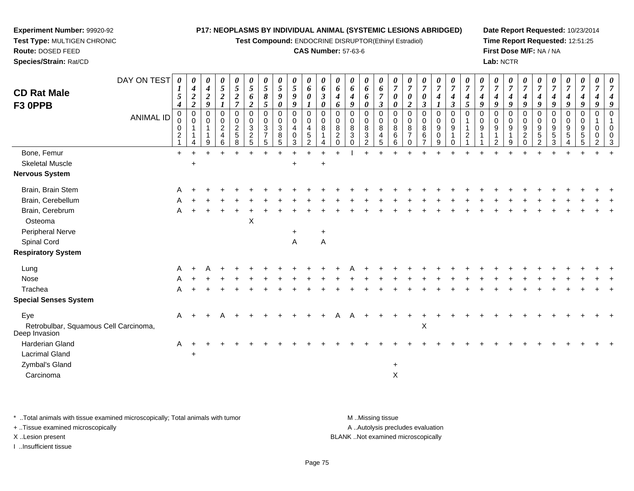**Test Compound:** ENDOCRINE DISRUPTOR(Ethinyl Estradiol)

#### **CAS Number:** 57-63-6

**Date Report Requested:** 10/23/2014**Time Report Requested:** 12:51:25**First Dose M/F:** NA / NA**Lab:** NCTR

| <b>CD Rat Male</b>                                     | DAY ON TEST      | $\boldsymbol{\theta}$<br>$\boldsymbol{I}$<br>5             | 0<br>$\boldsymbol{4}$<br>$\boldsymbol{2}$<br>$\overline{\mathbf{c}}$ | 0<br>$\boldsymbol{4}$<br>$\boldsymbol{2}$<br>9 | 0<br>5<br>$\boldsymbol{2}$         | 0<br>$\mathfrak{s}$<br>$\boldsymbol{2}$<br>$\overline{7}$   | $\boldsymbol{\theta}$<br>$\overline{5}$<br>6                    | $\boldsymbol{\theta}$<br>$\sqrt{5}$<br>$\pmb{8}$                                     | 0<br>$5\overline{)}$<br>9                          | 0<br>$\mathfrak{s}$<br>9<br>9    | 0<br>6<br>$\boldsymbol{\theta}$                               | 0<br>6<br>$\boldsymbol{\beta}$                              | $\boldsymbol{\theta}$<br>6<br>4                                  | 0<br>6<br>4<br>9                       | 0<br>6<br>6<br>0                                   | $\boldsymbol{\theta}$<br>6<br>$\overline{7}$                                   | 0<br>$\overline{7}$<br>0                                                  | $\boldsymbol{\theta}$<br>$\overline{7}$<br>$\boldsymbol{\theta}$<br>$\boldsymbol{2}$ | 0<br>$\overline{7}$<br>0                          | 0<br>$\overline{7}$<br>4                                   | $\boldsymbol{\theta}$<br>$\overline{7}$<br>4                                        | 0<br>$\overline{7}$<br>$\boldsymbol{4}$      | $\overline{7}$<br>4<br>9        | 0<br>$\overline{7}$<br>4<br>9 | 0<br>$\boldsymbol{7}$<br>$\boldsymbol{4}$<br>9 | $\boldsymbol{\theta}$<br>$\overline{7}$<br>4<br>9                   | 0<br>$\overline{7}$<br>$\boldsymbol{4}$<br>9       | $\overline{7}$<br>4<br>9       | 0<br>$\overline{7}$<br>4<br>9 | 0<br>$\overline{7}$<br>$\boldsymbol{4}$<br>9         | $\boldsymbol{\theta}$<br>$\overline{7}$<br>4<br>9 | $\boldsymbol{\theta}$<br>$\overline{7}$ |
|--------------------------------------------------------|------------------|------------------------------------------------------------|----------------------------------------------------------------------|------------------------------------------------|------------------------------------|-------------------------------------------------------------|-----------------------------------------------------------------|--------------------------------------------------------------------------------------|----------------------------------------------------|----------------------------------|---------------------------------------------------------------|-------------------------------------------------------------|------------------------------------------------------------------|----------------------------------------|----------------------------------------------------|--------------------------------------------------------------------------------|---------------------------------------------------------------------------|--------------------------------------------------------------------------------------|---------------------------------------------------|------------------------------------------------------------|-------------------------------------------------------------------------------------|----------------------------------------------|---------------------------------|-------------------------------|------------------------------------------------|---------------------------------------------------------------------|----------------------------------------------------|--------------------------------|-------------------------------|------------------------------------------------------|---------------------------------------------------|-----------------------------------------|
| F3 OPPB                                                | <b>ANIMAL ID</b> | $\boldsymbol{4}$<br>$\mathbf 0$<br>0<br>0<br>$\frac{2}{1}$ | $\mathsf 0$<br>$\mathbf 0$<br>$\mathbf 1$<br>$\mathbf{1}$<br>4       | 0<br>$\Omega$<br>9                             | 0<br>0<br>$\overline{c}$<br>4<br>6 | $\mathbf 0$<br>$\pmb{0}$<br>$\frac{2}{5}$<br>$\overline{8}$ | $\boldsymbol{2}$<br>$\mathbf 0$<br>$\mathbf 0$<br>$\frac{3}{2}$ | $\mathfrak{s}$<br>0<br>$\mathbf 0$<br>$\sqrt{3}$<br>$\overline{7}$<br>$\overline{5}$ | 0<br>0<br>0<br>$\mathbf{3}$<br>8<br>$\overline{5}$ | 0<br>0<br>4<br>0<br>$\mathbf{3}$ | $\mathbf 0$<br>$\mathbf 0$<br>$\overline{4}$<br>$\frac{5}{2}$ | 0<br>$\mathbf 0$<br>$\mathbf 0$<br>8<br>$\overline{1}$<br>4 | 6<br>$\mathbf 0$<br>0<br>$\bf8$<br>$\overline{c}$<br>$\mathsf 0$ | 0<br>$\mathbf 0$<br>8<br>3<br>$\Omega$ | 0<br>0<br>$\bf 8$<br>$\,$ 3 $\,$<br>$\overline{2}$ | $\boldsymbol{\beta}$<br>$\mathbf 0$<br>$\pmb{0}$<br>$\bf 8$<br>4<br>$\sqrt{5}$ | $\boldsymbol{\theta}$<br>$\mathbf 0$<br>0<br>$\bf8$<br>$\,6\,$<br>$\,6\,$ | $\mathbf 0$<br>0<br>8<br>$\overline{7}$<br>0                                         | 3<br>$\mathbf 0$<br>0<br>8<br>6<br>$\overline{7}$ | 0<br>0<br>$\boldsymbol{9}$<br>$\mathsf{O}\xspace$<br>$9\,$ | $\boldsymbol{\beta}$<br>$\mathbf 0$<br>$\pmb{0}$<br>$\boldsymbol{9}$<br>$\mathbf 0$ | $\mathfrak{s}$<br>$\Omega$<br>$\overline{2}$ | 0<br>0<br>$\boldsymbol{9}$<br>1 | 0<br>0<br>9<br>$\overline{2}$ | 0<br>0<br>$\boldsymbol{9}$<br>1<br>9           | $\mathbf 0$<br>0<br>$\boldsymbol{9}$<br>$\overline{c}$<br>$\pmb{0}$ | $\Omega$<br>0<br>$\boldsymbol{9}$<br>$\frac{5}{2}$ | 0<br>0<br>9<br>$\sqrt{5}$<br>3 | 0<br>0<br>9<br>5<br>4         | 0<br>0<br>$\begin{array}{c} 9 \\ 5 \end{array}$<br>5 | $\mathbf 0$<br>0<br>0<br>2                        | $\Omega$                                |
| Bone, Femur                                            |                  | $+$                                                        |                                                                      |                                                |                                    | $\ddot{}$                                                   |                                                                 |                                                                                      |                                                    |                                  |                                                               |                                                             |                                                                  |                                        | $\pm$                                              | $\ddot{}$                                                                      |                                                                           |                                                                                      |                                                   |                                                            |                                                                                     |                                              |                                 |                               |                                                |                                                                     |                                                    |                                |                               |                                                      |                                                   |                                         |
| <b>Skeletal Muscle</b>                                 |                  |                                                            | $\ddot{}$                                                            |                                                |                                    |                                                             |                                                                 |                                                                                      |                                                    | $\ddot{}$                        |                                                               | $\ddot{}$                                                   |                                                                  |                                        |                                                    |                                                                                |                                                                           |                                                                                      |                                                   |                                                            |                                                                                     |                                              |                                 |                               |                                                |                                                                     |                                                    |                                |                               |                                                      |                                                   |                                         |
| <b>Nervous System</b>                                  |                  |                                                            |                                                                      |                                                |                                    |                                                             |                                                                 |                                                                                      |                                                    |                                  |                                                               |                                                             |                                                                  |                                        |                                                    |                                                                                |                                                                           |                                                                                      |                                                   |                                                            |                                                                                     |                                              |                                 |                               |                                                |                                                                     |                                                    |                                |                               |                                                      |                                                   |                                         |
| Brain, Brain Stem                                      |                  | A                                                          |                                                                      |                                                |                                    |                                                             |                                                                 |                                                                                      |                                                    |                                  |                                                               |                                                             |                                                                  |                                        |                                                    |                                                                                |                                                                           |                                                                                      |                                                   |                                                            |                                                                                     |                                              |                                 |                               |                                                |                                                                     |                                                    |                                |                               |                                                      |                                                   |                                         |
| Brain, Cerebellum                                      |                  |                                                            |                                                                      |                                                |                                    |                                                             |                                                                 |                                                                                      |                                                    |                                  |                                                               |                                                             |                                                                  |                                        |                                                    |                                                                                |                                                                           |                                                                                      |                                                   |                                                            |                                                                                     |                                              |                                 |                               |                                                |                                                                     |                                                    |                                |                               |                                                      |                                                   |                                         |
| Brain, Cerebrum                                        |                  | A                                                          |                                                                      |                                                |                                    |                                                             |                                                                 |                                                                                      |                                                    |                                  |                                                               |                                                             |                                                                  |                                        |                                                    |                                                                                |                                                                           |                                                                                      |                                                   |                                                            |                                                                                     |                                              |                                 |                               |                                                |                                                                     |                                                    |                                |                               |                                                      |                                                   |                                         |
| Osteoma                                                |                  |                                                            |                                                                      |                                                |                                    |                                                             | $\pmb{\times}$                                                  |                                                                                      |                                                    |                                  |                                                               |                                                             |                                                                  |                                        |                                                    |                                                                                |                                                                           |                                                                                      |                                                   |                                                            |                                                                                     |                                              |                                 |                               |                                                |                                                                     |                                                    |                                |                               |                                                      |                                                   |                                         |
| Peripheral Nerve                                       |                  |                                                            |                                                                      |                                                |                                    |                                                             |                                                                 |                                                                                      |                                                    | +                                |                                                               | $\ddot{}$                                                   |                                                                  |                                        |                                                    |                                                                                |                                                                           |                                                                                      |                                                   |                                                            |                                                                                     |                                              |                                 |                               |                                                |                                                                     |                                                    |                                |                               |                                                      |                                                   |                                         |
| Spinal Cord                                            |                  |                                                            |                                                                      |                                                |                                    |                                                             |                                                                 |                                                                                      |                                                    | A                                |                                                               | A                                                           |                                                                  |                                        |                                                    |                                                                                |                                                                           |                                                                                      |                                                   |                                                            |                                                                                     |                                              |                                 |                               |                                                |                                                                     |                                                    |                                |                               |                                                      |                                                   |                                         |
| <b>Respiratory System</b>                              |                  |                                                            |                                                                      |                                                |                                    |                                                             |                                                                 |                                                                                      |                                                    |                                  |                                                               |                                                             |                                                                  |                                        |                                                    |                                                                                |                                                                           |                                                                                      |                                                   |                                                            |                                                                                     |                                              |                                 |                               |                                                |                                                                     |                                                    |                                |                               |                                                      |                                                   |                                         |
| Lung                                                   |                  | A                                                          |                                                                      |                                                |                                    |                                                             |                                                                 |                                                                                      |                                                    |                                  |                                                               |                                                             |                                                                  |                                        |                                                    |                                                                                |                                                                           |                                                                                      |                                                   |                                                            |                                                                                     |                                              |                                 |                               |                                                |                                                                     |                                                    |                                |                               |                                                      |                                                   |                                         |
| Nose                                                   |                  |                                                            |                                                                      |                                                |                                    |                                                             |                                                                 |                                                                                      |                                                    |                                  |                                                               |                                                             |                                                                  |                                        |                                                    |                                                                                |                                                                           |                                                                                      |                                                   |                                                            |                                                                                     |                                              |                                 |                               |                                                |                                                                     |                                                    |                                |                               |                                                      |                                                   |                                         |
| Trachea                                                |                  | A                                                          |                                                                      |                                                |                                    |                                                             |                                                                 |                                                                                      |                                                    |                                  |                                                               |                                                             |                                                                  |                                        |                                                    |                                                                                |                                                                           |                                                                                      |                                                   |                                                            |                                                                                     |                                              |                                 |                               |                                                |                                                                     |                                                    |                                |                               |                                                      |                                                   |                                         |
| <b>Special Senses System</b>                           |                  |                                                            |                                                                      |                                                |                                    |                                                             |                                                                 |                                                                                      |                                                    |                                  |                                                               |                                                             |                                                                  |                                        |                                                    |                                                                                |                                                                           |                                                                                      |                                                   |                                                            |                                                                                     |                                              |                                 |                               |                                                |                                                                     |                                                    |                                |                               |                                                      |                                                   |                                         |
| Eye                                                    |                  | A                                                          |                                                                      |                                                |                                    |                                                             |                                                                 |                                                                                      |                                                    |                                  |                                                               |                                                             |                                                                  |                                        |                                                    |                                                                                |                                                                           |                                                                                      |                                                   |                                                            |                                                                                     |                                              |                                 |                               |                                                |                                                                     |                                                    |                                |                               |                                                      |                                                   |                                         |
| Retrobulbar, Squamous Cell Carcinoma,<br>Deep Invasion |                  |                                                            |                                                                      |                                                |                                    |                                                             |                                                                 |                                                                                      |                                                    |                                  |                                                               |                                                             |                                                                  |                                        |                                                    |                                                                                |                                                                           |                                                                                      | X                                                 |                                                            |                                                                                     |                                              |                                 |                               |                                                |                                                                     |                                                    |                                |                               |                                                      |                                                   |                                         |
| <b>Harderian Gland</b>                                 |                  | A                                                          |                                                                      |                                                |                                    |                                                             |                                                                 |                                                                                      |                                                    |                                  |                                                               |                                                             |                                                                  |                                        |                                                    |                                                                                |                                                                           |                                                                                      |                                                   |                                                            |                                                                                     |                                              |                                 |                               |                                                |                                                                     |                                                    |                                |                               |                                                      |                                                   |                                         |
| <b>Lacrimal Gland</b>                                  |                  |                                                            |                                                                      |                                                |                                    |                                                             |                                                                 |                                                                                      |                                                    |                                  |                                                               |                                                             |                                                                  |                                        |                                                    |                                                                                |                                                                           |                                                                                      |                                                   |                                                            |                                                                                     |                                              |                                 |                               |                                                |                                                                     |                                                    |                                |                               |                                                      |                                                   |                                         |
| Zymbal's Gland                                         |                  |                                                            |                                                                      |                                                |                                    |                                                             |                                                                 |                                                                                      |                                                    |                                  |                                                               |                                                             |                                                                  |                                        |                                                    |                                                                                | $\ddot{}$                                                                 |                                                                                      |                                                   |                                                            |                                                                                     |                                              |                                 |                               |                                                |                                                                     |                                                    |                                |                               |                                                      |                                                   |                                         |
| Carcinoma                                              |                  |                                                            |                                                                      |                                                |                                    |                                                             |                                                                 |                                                                                      |                                                    |                                  |                                                               |                                                             |                                                                  |                                        |                                                    |                                                                                | $\pmb{\times}$                                                            |                                                                                      |                                                   |                                                            |                                                                                     |                                              |                                 |                               |                                                |                                                                     |                                                    |                                |                               |                                                      |                                                   |                                         |

\* ..Total animals with tissue examined microscopically; Total animals with tumor **M** . Missing tissue M ..Missing tissue A ..Autolysis precludes evaluation + ..Tissue examined microscopically X ..Lesion present BLANK ..Not examined microscopicallyI ..Insufficient tissue

**Experiment Number:** 99920-92**Test Type:** MULTIGEN CHRONIC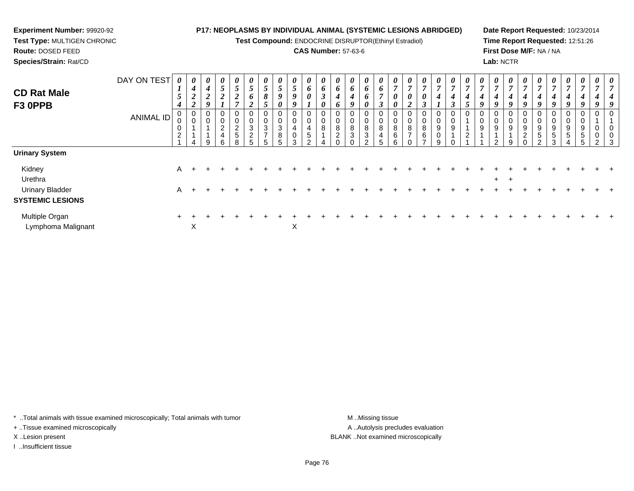#### **Experiment Number:** 99920-92**P17: NEOPLASMS BY INDIVIDUAL ANIMAL (SYSTEMIC LESIONS ABRIDGED)**

 **Test Type:** MULTIGEN CHRONIC**Route:** DOSED FEED

**Species/Strain:** Rat/CD

# **Test Compound:** ENDOCRINE DISRUPTOR(Ethinyl Estradiol)**CAS Number:** 57-63-6

**Date Report Requested:** 10/23/2014**Time Report Requested:** 12:51:26**First Dose M/F:** NA / NA**Lab:** NCTR

| <b>CD Rat Male</b><br>F3 OPPB                     | DAY ON TEST<br><b>ANIMAL ID</b> | 0<br>$\mathbf{I}$<br>$\mathcal{L}$<br>4<br>0<br>0<br>2 | $\boldsymbol{\theta}$<br>$\boldsymbol{4}$<br>$\mathbf{\hat{z}}$<br>◢<br>$\boldsymbol{2}$<br>$\boldsymbol{0}$<br>$\mathbf 0$ | 0<br>$\boldsymbol{4}$<br>$\boldsymbol{2}$<br>9<br>0<br>0<br>$\overline{A}$<br>$\overline{A}$<br>9 | 0<br>$5\overline{)}$<br>$\overline{2}$<br>0<br>0<br>$\overline{2}$<br>$\overline{\mathbf{4}}$<br>6 | $\boldsymbol{\theta}$<br>$\sqrt{5}$<br>$\boldsymbol{2}$<br>$\overline{ }$<br>0<br>$\pmb{0}$<br>$\frac{2}{5}$<br>8 | $\boldsymbol{\theta}$<br>$\overline{5}$<br>6<br>◠<br>$\epsilon$<br>0<br>0<br>$\sqrt{3}$<br>$\overline{c}$<br>5 | $\boldsymbol{\theta}$<br>5<br>8<br>$\mathcal{L}$<br>$\mathbf 0$<br>$\pmb{0}$<br>$\mathbf{3}$<br>$\overline{ }$ | 0<br>5<br>9<br>0<br>0<br>0<br>3<br>8<br>5 | 0<br>$\mathfrak{H}$<br>$\pmb{9}$<br>$\boldsymbol{9}$<br>0<br>$\mathbf 0$<br>4<br>$\pmb{0}$<br>3 | 0<br>6<br>0<br>$\mathbf 0$<br>$\pmb{0}$<br>$\overline{\mathbf{4}}$<br>$\sqrt{5}$<br>$\sim$ | $\boldsymbol{\theta}$<br>6<br>$\sim$<br>J<br>0<br>0<br>8 | $\boldsymbol{\theta}$<br>6<br>$\boldsymbol{4}$<br>6<br>0<br>$\pmb{0}$<br>8<br>$\overline{2}$ | 0<br>6<br>4<br>9<br>0<br>0<br>8<br>3 | $\boldsymbol{\theta}$<br>6<br>$\bm{o}$<br>0<br>0<br>$\pmb{0}$<br>$\, 8$<br>3<br>$\sim$ | $\boldsymbol{\theta}$<br>6<br>$\overline{ }$<br>$\rightarrow$<br>J<br>0<br>8<br>4 | U<br>0<br>0<br>0<br>8<br>6<br>ี | $\boldsymbol{\theta}$<br>$\overline{ }$<br>0<br>ി<br>$\overline{v}$<br>0<br>0<br>8<br>$\overline{ }$ | $\boldsymbol{\theta}$<br>7<br>0<br>$\boldsymbol{\beta}$<br>0<br>0<br>8<br>6<br>$\rightarrow$ | $\boldsymbol{\theta}$<br>$\overline{7}$<br>$\boldsymbol{4}$<br>$\overline{ }$<br>0<br>$\pmb{0}$<br>$\boldsymbol{9}$<br>$\pmb{0}$<br>9 | $\boldsymbol{\theta}$<br>$\overline{ }$<br>4<br>$\boldsymbol{\beta}$<br>0<br>$\pmb{0}$<br>9<br>$\overline{ }$ | $\boldsymbol{\theta}$<br>$\overline{ }$<br>4<br>5<br>$\sim$<br>∠ | $\boldsymbol{\theta}$<br>$\overline{ }$<br>4<br>o<br>9 | 0<br>4<br>9<br>$\mathbf 0$<br>0<br>9<br>$\sim$ | $\boldsymbol{\theta}$<br>$\mathbf{r}$<br>4<br>Q<br>U<br>0<br>9<br>9 | $\boldsymbol{\theta}$<br>4<br>$\boldsymbol{0}$<br>0<br>0<br>9<br>$\overline{c}$ | $\boldsymbol{\theta}$<br>4<br>9<br>0<br>0<br>9<br>$\sqrt{5}$<br>$\sim$ | $\boldsymbol{\theta}$<br>$\overline{ }$<br>4<br>9<br>0<br>0<br>9<br>$5\phantom{.0}$<br>3 | $\boldsymbol{\theta}$<br>7<br>4<br>9<br>0<br>9<br>$\sqrt{5}$ | 0<br>$\overline{ }$<br>4<br>9<br>0<br>0<br>9<br>$\sqrt{5}$<br>5 | 0<br>9<br>$\mathbf 0$<br>$\Omega$ | $\boldsymbol{\theta}$<br>Q<br>0<br>3 |
|---------------------------------------------------|---------------------------------|--------------------------------------------------------|-----------------------------------------------------------------------------------------------------------------------------|---------------------------------------------------------------------------------------------------|----------------------------------------------------------------------------------------------------|-------------------------------------------------------------------------------------------------------------------|----------------------------------------------------------------------------------------------------------------|----------------------------------------------------------------------------------------------------------------|-------------------------------------------|-------------------------------------------------------------------------------------------------|--------------------------------------------------------------------------------------------|----------------------------------------------------------|----------------------------------------------------------------------------------------------|--------------------------------------|----------------------------------------------------------------------------------------|-----------------------------------------------------------------------------------|---------------------------------|------------------------------------------------------------------------------------------------------|----------------------------------------------------------------------------------------------|---------------------------------------------------------------------------------------------------------------------------------------|---------------------------------------------------------------------------------------------------------------|------------------------------------------------------------------|--------------------------------------------------------|------------------------------------------------|---------------------------------------------------------------------|---------------------------------------------------------------------------------|------------------------------------------------------------------------|------------------------------------------------------------------------------------------|--------------------------------------------------------------|-----------------------------------------------------------------|-----------------------------------|--------------------------------------|
| <b>Urinary System</b>                             |                                 |                                                        |                                                                                                                             |                                                                                                   |                                                                                                    |                                                                                                                   |                                                                                                                |                                                                                                                |                                           |                                                                                                 |                                                                                            |                                                          |                                                                                              |                                      |                                                                                        |                                                                                   |                                 |                                                                                                      |                                                                                              |                                                                                                                                       |                                                                                                               |                                                                  |                                                        |                                                |                                                                     |                                                                                 |                                                                        |                                                                                          |                                                              |                                                                 |                                   |                                      |
| Kidney<br>Urethra                                 |                                 | A                                                      |                                                                                                                             |                                                                                                   |                                                                                                    |                                                                                                                   |                                                                                                                |                                                                                                                |                                           |                                                                                                 |                                                                                            |                                                          |                                                                                              |                                      |                                                                                        |                                                                                   |                                 |                                                                                                      |                                                                                              |                                                                                                                                       |                                                                                                               |                                                                  |                                                        | $+$                                            | $+$                                                                 |                                                                                 |                                                                        |                                                                                          |                                                              |                                                                 |                                   |                                      |
| <b>Urinary Bladder</b><br><b>SYSTEMIC LESIONS</b> |                                 | A                                                      |                                                                                                                             |                                                                                                   |                                                                                                    |                                                                                                                   |                                                                                                                |                                                                                                                |                                           |                                                                                                 |                                                                                            |                                                          |                                                                                              |                                      |                                                                                        |                                                                                   |                                 |                                                                                                      |                                                                                              |                                                                                                                                       |                                                                                                               |                                                                  |                                                        |                                                |                                                                     |                                                                                 |                                                                        |                                                                                          |                                                              |                                                                 |                                   |                                      |
| Multiple Organ<br>Lymphoma Malignant              |                                 | $\ddot{}$                                              | X                                                                                                                           |                                                                                                   |                                                                                                    |                                                                                                                   |                                                                                                                |                                                                                                                |                                           | X                                                                                               |                                                                                            |                                                          |                                                                                              |                                      |                                                                                        |                                                                                   |                                 |                                                                                                      |                                                                                              |                                                                                                                                       |                                                                                                               |                                                                  |                                                        |                                                |                                                                     |                                                                                 |                                                                        |                                                                                          |                                                              |                                                                 |                                   |                                      |

\* ..Total animals with tissue examined microscopically; Total animals with tumor **M** . Missing tissue M ..Missing tissue

+ ..Tissue examined microscopically

I ..Insufficient tissue

A ..Autolysis precludes evaluation X ..Lesion present BLANK ..Not examined microscopically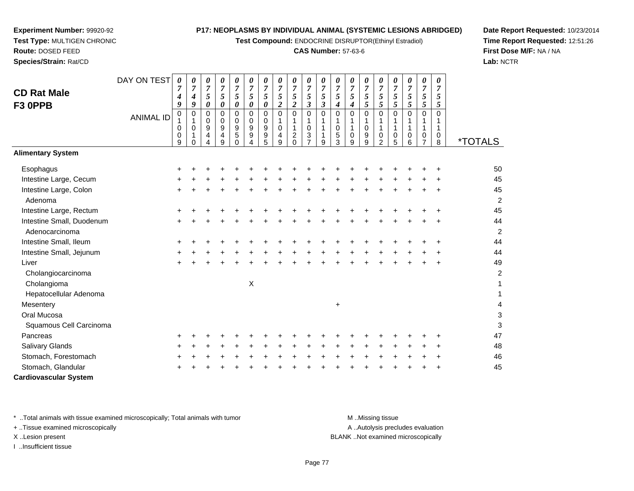**Test Compound:** ENDOCRINE DISRUPTOR(Ethinyl Estradiol)

#### **CAS Number:** 57-63-6

**Date Report Requested:** 10/23/2014**Time Report Requested:** 12:51:26**First Dose M/F:** NA / NA**Lab:** NCTR

|                              | DAY ON TEST      | $\boldsymbol{\theta}$<br>$\overline{7}$ | 0<br>$\overline{7}$      | 0<br>$\overline{7}$          | 0<br>$\overline{7}$   | 0<br>$\boldsymbol{7}$      | $\boldsymbol{\theta}$<br>$\overline{7}$ | 0<br>$\overline{7}$ | $\frac{\boldsymbol{0}}{7}$ | 0<br>$\overline{7}$           | 0<br>$\overline{7}$          | 0<br>$\overline{7}$  | 0<br>$\overline{7}$ | 0<br>$\overline{7}$         | 0<br>$\overline{7}$ | 0<br>$\overline{7}$ | 0<br>$\overline{7}$ | 0<br>$\overline{7}$ | 0<br>$\overline{7}$ | 0<br>$\overline{7}$ |                       |
|------------------------------|------------------|-----------------------------------------|--------------------------|------------------------------|-----------------------|----------------------------|-----------------------------------------|---------------------|----------------------------|-------------------------------|------------------------------|----------------------|---------------------|-----------------------------|---------------------|---------------------|---------------------|---------------------|---------------------|---------------------|-----------------------|
| <b>CD Rat Male</b>           |                  | 4                                       | 4                        | 5                            | 5                     | $\mathfrak{s}$             | $\mathfrak{s}$                          | $\sqrt{5}$          | 5                          | 5                             | 5                            | 5                    | 5                   | 5                           | 5                   | 5                   | $\overline{5}$      | $\mathfrak{s}$      | 5                   | 5                   |                       |
| F3 OPPB                      |                  | 9                                       | 9                        | 0                            | $\boldsymbol{\theta}$ | 0                          | 0                                       | $\pmb{\theta}$      | $\boldsymbol{2}$           | $\boldsymbol{2}$              | $\mathfrak{z}$               | $\boldsymbol{\beta}$ | $\boldsymbol{4}$    | $\boldsymbol{4}$            | 5                   | $\overline{5}$      | $\overline{5}$      | $\mathfrak{s}$      | 5                   | 5                   |                       |
|                              | <b>ANIMAL ID</b> | $\mathbf 0$                             | $\mathbf 0$<br>1         | 0<br>0                       | $\Omega$<br>0         | $\mathbf 0$<br>$\mathbf 0$ | $\Omega$<br>$\mathbf 0$                 | $\mathbf 0$<br>0    | $\overline{0}$             | $\mathbf 0$<br>$\mathbf{1}$   | $\mathbf 0$<br>1             | $\Omega$             | $\Omega$<br>1       | $\mathbf 0$<br>$\mathbf{1}$ | 0                   | 0                   | $\mathbf 0$<br>1    | $\mathbf 0$<br>1    | $\mathbf 0$         | $\mathbf 0$         |                       |
|                              |                  | 0                                       | $\pmb{0}$                | 9                            | $\boldsymbol{9}$      | $\boldsymbol{9}$           | 9                                       | $\boldsymbol{9}$    | $\mathbf 0$                | $\mathbf{1}$                  | $\pmb{0}$                    | 1                    | $\mathbf 0$         | 1                           | $\mathbf 0$         | 1                   | $\mathbf{1}$        | 1                   | $\mathbf{1}$        |                     |                       |
|                              |                  | 0<br>9                                  | $\mathbf{1}$<br>$\Omega$ | $\overline{\mathbf{4}}$<br>4 | $\overline{4}$<br>9   | 5<br>$\Omega$              | 9<br>4                                  | 9<br>5              | 4<br>9                     | $\overline{c}$<br>$\mathbf 0$ | $\sqrt{3}$<br>$\overline{7}$ | 9                    | 5<br>3              | 0<br>9                      | 9<br>9              | 0<br>$\overline{2}$ | $\mathbf 0$<br>5    | 0<br>6              | 0<br>$\overline{7}$ | 0<br>8              | <i><b>*TOTALS</b></i> |
| <b>Alimentary System</b>     |                  |                                         |                          |                              |                       |                            |                                         |                     |                            |                               |                              |                      |                     |                             |                     |                     |                     |                     |                     |                     |                       |
| Esophagus                    |                  |                                         |                          |                              |                       |                            |                                         |                     |                            |                               |                              |                      |                     |                             |                     |                     |                     |                     |                     |                     | 50                    |
| Intestine Large, Cecum       |                  |                                         |                          |                              |                       |                            |                                         |                     |                            |                               |                              |                      |                     |                             |                     |                     |                     |                     |                     |                     | 45                    |
| Intestine Large, Colon       |                  |                                         |                          |                              |                       |                            |                                         |                     |                            |                               |                              |                      |                     |                             |                     |                     |                     |                     |                     |                     | 45                    |
| Adenoma                      |                  |                                         |                          |                              |                       |                            |                                         |                     |                            |                               |                              |                      |                     |                             |                     |                     |                     |                     |                     |                     | $\overline{a}$        |
| Intestine Large, Rectum      |                  |                                         |                          |                              |                       |                            |                                         |                     |                            |                               |                              |                      |                     |                             |                     |                     |                     |                     |                     |                     | 45                    |
| Intestine Small, Duodenum    |                  | $\ddot{}$                               |                          |                              |                       |                            |                                         |                     |                            |                               |                              |                      |                     |                             |                     |                     |                     |                     |                     |                     | 44                    |
| Adenocarcinoma               |                  |                                         |                          |                              |                       |                            |                                         |                     |                            |                               |                              |                      |                     |                             |                     |                     |                     |                     |                     |                     | $\overline{c}$        |
| Intestine Small, Ileum       |                  |                                         |                          |                              |                       |                            |                                         |                     |                            |                               |                              |                      |                     |                             |                     |                     |                     |                     |                     |                     | 44                    |
| Intestine Small, Jejunum     |                  |                                         |                          |                              |                       |                            |                                         |                     |                            |                               |                              |                      |                     |                             |                     |                     |                     |                     |                     |                     | 44                    |
| Liver                        |                  | $\div$                                  |                          |                              |                       |                            |                                         |                     |                            |                               |                              |                      |                     |                             |                     |                     |                     |                     |                     |                     | 49                    |
| Cholangiocarcinoma           |                  |                                         |                          |                              |                       |                            |                                         |                     |                            |                               |                              |                      |                     |                             |                     |                     |                     |                     |                     |                     | 2                     |
| Cholangioma                  |                  |                                         |                          |                              |                       |                            | X                                       |                     |                            |                               |                              |                      |                     |                             |                     |                     |                     |                     |                     |                     | 1                     |
| Hepatocellular Adenoma       |                  |                                         |                          |                              |                       |                            |                                         |                     |                            |                               |                              |                      |                     |                             |                     |                     |                     |                     |                     |                     |                       |
| Mesentery                    |                  |                                         |                          |                              |                       |                            |                                         |                     |                            |                               |                              |                      | $\ddot{}$           |                             |                     |                     |                     |                     |                     |                     |                       |
| Oral Mucosa                  |                  |                                         |                          |                              |                       |                            |                                         |                     |                            |                               |                              |                      |                     |                             |                     |                     |                     |                     |                     |                     | 3                     |
| Squamous Cell Carcinoma      |                  |                                         |                          |                              |                       |                            |                                         |                     |                            |                               |                              |                      |                     |                             |                     |                     |                     |                     |                     |                     | 3                     |
| Pancreas                     |                  |                                         |                          |                              |                       |                            |                                         |                     |                            |                               |                              |                      |                     |                             |                     |                     |                     |                     |                     |                     | 47                    |
| Salivary Glands              |                  |                                         |                          |                              |                       |                            |                                         |                     |                            |                               |                              |                      |                     |                             |                     |                     |                     |                     |                     | ÷                   | 48                    |
| Stomach, Forestomach         |                  |                                         |                          |                              |                       |                            |                                         |                     |                            |                               |                              |                      |                     |                             |                     |                     |                     |                     |                     |                     | 46                    |
| Stomach, Glandular           |                  |                                         |                          |                              |                       |                            |                                         |                     |                            |                               |                              |                      |                     |                             |                     |                     |                     |                     |                     |                     | 45                    |
| <b>Cardiovascular System</b> |                  |                                         |                          |                              |                       |                            |                                         |                     |                            |                               |                              |                      |                     |                             |                     |                     |                     |                     |                     |                     |                       |

\* ..Total animals with tissue examined microscopically; Total animals with tumor **M** ...Missing tissue M ...Missing tissue

+ ..Tissue examined microscopically

**Experiment Number:** 99920-92**Test Type:** MULTIGEN CHRONIC

**Route:** DOSED FEED**Species/Strain:** Rat/CD

I ..Insufficient tissue

A ..Autolysis precludes evaluation X ..Lesion present BLANK ..Not examined microscopically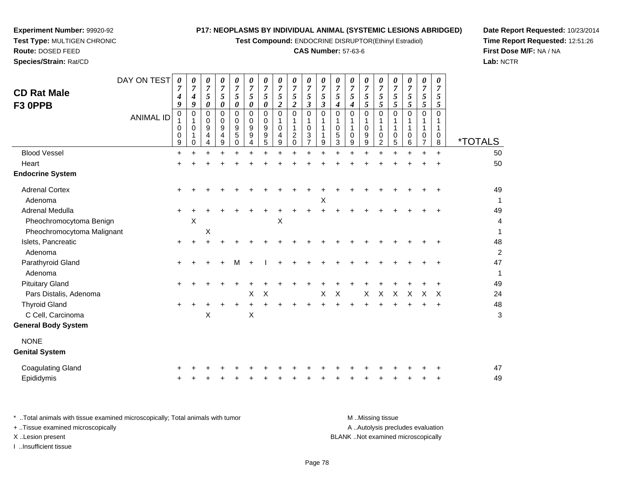**Test Compound:** ENDOCRINE DISRUPTOR(Ethinyl Estradiol)

# **CAS Number:** 57-63-6

**Date Report Requested:** 10/23/2014 **Time Report Requested:** 12:51:26**First Dose M/F:** NA / NA**Lab:** NCTR

| <b>CD Rat Male</b><br>F3 OPPB                                            | DAY ON TEST<br><b>ANIMAL ID</b> | 0<br>7<br>4<br>9<br>0<br>0<br>0<br>9 | 0<br>$\overline{7}$<br>4<br>9<br>0<br>1<br>$\mathbf 0$<br>1<br>0 | 0<br>$\boldsymbol{7}$<br>5<br>0<br>0<br>0<br>9<br>4 | 0<br>$\boldsymbol{7}$<br>5<br>0<br>0<br>0<br>$\boldsymbol{9}$<br>4<br>9 | 0<br>$\boldsymbol{7}$<br>5<br>0<br>$\mathbf 0$<br>0<br>9<br>$\sqrt{5}$<br>0 | 0<br>$\overline{7}$<br>$\mathfrak{s}$<br>0<br>$\mathbf 0$<br>0<br>9<br>9<br>4 | 0<br>$\overline{7}$<br>$\sqrt{5}$<br>0<br>0<br>0<br>9<br>9<br>$\sqrt{5}$ | 0<br>$\overline{7}$<br>5<br>$\overline{a}$<br>$\mathbf 0$<br>1<br>$\mathbf 0$<br>4<br>9 | 0<br>$\boldsymbol{7}$<br>5<br>$\overline{c}$<br>0<br>1<br>1<br>$\boldsymbol{2}$<br>$\mathbf 0$ | 0<br>$\boldsymbol{7}$<br>$\sqrt{5}$<br>$\mathfrak{z}$<br>$\mathbf 0$<br>1<br>0<br>3<br>$\overline{7}$ | 0<br>$\overline{7}$<br>$\mathfrak{s}$<br>$\boldsymbol{\beta}$<br>0<br>1<br>9 | 0<br>$\overline{7}$<br>5<br>4<br>0<br>1<br>$\mathbf 0$<br>5<br>3 | 0<br>$\boldsymbol{7}$<br>5<br>$\boldsymbol{4}$<br>$\mathbf 0$<br>0<br>9 | 0<br>$\overline{7}$<br>5<br>5<br>$\Omega$<br>0<br>9<br>9 | 0<br>$\boldsymbol{7}$<br>5<br>5<br>$\Omega$<br>0<br>$\overline{2}$ | 0<br>$\overline{7}$<br>$\sqrt{5}$<br>5<br>0<br>1<br>1<br>0<br>5 | 0<br>$\overline{7}$<br>$\mathfrak{s}$<br>5<br>$\mathbf 0$<br>1<br>1<br>$\mathbf 0$<br>6 | 0<br>$\overline{7}$<br>$\sqrt{5}$<br>5<br>$\mathbf 0$<br>-1<br>0 | 0<br>$\overline{7}$<br>5<br>5<br>$\Omega$<br>0<br>8 | <i><b>*TOTALS</b></i> |
|--------------------------------------------------------------------------|---------------------------------|--------------------------------------|------------------------------------------------------------------|-----------------------------------------------------|-------------------------------------------------------------------------|-----------------------------------------------------------------------------|-------------------------------------------------------------------------------|--------------------------------------------------------------------------|-----------------------------------------------------------------------------------------|------------------------------------------------------------------------------------------------|-------------------------------------------------------------------------------------------------------|------------------------------------------------------------------------------|------------------------------------------------------------------|-------------------------------------------------------------------------|----------------------------------------------------------|--------------------------------------------------------------------|-----------------------------------------------------------------|-----------------------------------------------------------------------------------------|------------------------------------------------------------------|-----------------------------------------------------|-----------------------|
| <b>Blood Vessel</b>                                                      |                                 | $\ddot{}$                            | $\pm$                                                            | $\pm$                                               | +                                                                       |                                                                             | $\ddot{}$                                                                     | $\div$                                                                   | $\pm$                                                                                   | $\ddot{}$                                                                                      |                                                                                                       |                                                                              |                                                                  |                                                                         | $\ddot{}$                                                |                                                                    | $\ddot{}$                                                       | $\ddot{}$                                                                               | $\ddot{}$                                                        | $\ddot{}$                                           | 50                    |
| Heart                                                                    |                                 |                                      |                                                                  |                                                     |                                                                         |                                                                             |                                                                               |                                                                          |                                                                                         |                                                                                                |                                                                                                       |                                                                              |                                                                  |                                                                         |                                                          |                                                                    |                                                                 |                                                                                         |                                                                  |                                                     | 50                    |
| <b>Endocrine System</b>                                                  |                                 |                                      |                                                                  |                                                     |                                                                         |                                                                             |                                                                               |                                                                          |                                                                                         |                                                                                                |                                                                                                       |                                                                              |                                                                  |                                                                         |                                                          |                                                                    |                                                                 |                                                                                         |                                                                  |                                                     |                       |
| <b>Adrenal Cortex</b><br>Adenoma                                         |                                 | $\ddot{}$                            |                                                                  |                                                     |                                                                         |                                                                             |                                                                               |                                                                          |                                                                                         |                                                                                                |                                                                                                       | X                                                                            |                                                                  |                                                                         |                                                          |                                                                    |                                                                 |                                                                                         |                                                                  |                                                     | 49<br>1               |
| Adrenal Medulla<br>Pheochromocytoma Benign<br>Pheochromocytoma Malignant |                                 |                                      | Χ                                                                | Χ                                                   |                                                                         |                                                                             |                                                                               |                                                                          | X                                                                                       |                                                                                                |                                                                                                       |                                                                              |                                                                  |                                                                         |                                                          |                                                                    |                                                                 |                                                                                         |                                                                  |                                                     | 49<br>4<br>1          |
| Islets, Pancreatic<br>Adenoma                                            |                                 | $\ddot{}$                            |                                                                  |                                                     |                                                                         |                                                                             |                                                                               |                                                                          |                                                                                         |                                                                                                |                                                                                                       |                                                                              |                                                                  |                                                                         |                                                          |                                                                    |                                                                 |                                                                                         |                                                                  | $\ddot{}$                                           | 48<br>$\overline{a}$  |
| Parathyroid Gland<br>Adenoma                                             |                                 | $\ddot{}$                            |                                                                  |                                                     |                                                                         | M                                                                           |                                                                               |                                                                          |                                                                                         |                                                                                                |                                                                                                       |                                                                              |                                                                  |                                                                         |                                                          |                                                                    |                                                                 |                                                                                         |                                                                  |                                                     | 47<br>1               |
| <b>Pituitary Gland</b>                                                   |                                 | $\ddot{}$                            |                                                                  |                                                     |                                                                         |                                                                             |                                                                               |                                                                          |                                                                                         |                                                                                                |                                                                                                       |                                                                              |                                                                  |                                                                         |                                                          |                                                                    |                                                                 |                                                                                         |                                                                  |                                                     | 49                    |
| Pars Distalis, Adenoma                                                   |                                 |                                      |                                                                  |                                                     |                                                                         |                                                                             | $\pmb{\times}$                                                                | $\boldsymbol{\mathsf{X}}$                                                |                                                                                         |                                                                                                |                                                                                                       | X                                                                            | $\boldsymbol{\mathsf{X}}$                                        |                                                                         | X                                                        | X                                                                  | X                                                               | X                                                                                       | X                                                                | X                                                   | 24                    |
| <b>Thyroid Gland</b><br>C Cell, Carcinoma<br><b>General Body System</b>  |                                 | $\ddot{}$                            |                                                                  | X                                                   |                                                                         |                                                                             | $\ddot{}$<br>Χ                                                                | $\ddot{}$                                                                | $\ddot{}$                                                                               | $\ddot{}$                                                                                      |                                                                                                       |                                                                              |                                                                  | $\ddot{}$                                                               | $\ddot{}$                                                |                                                                    |                                                                 |                                                                                         | ÷.                                                               | $\ddot{}$                                           | 48<br>3               |
|                                                                          |                                 |                                      |                                                                  |                                                     |                                                                         |                                                                             |                                                                               |                                                                          |                                                                                         |                                                                                                |                                                                                                       |                                                                              |                                                                  |                                                                         |                                                          |                                                                    |                                                                 |                                                                                         |                                                                  |                                                     |                       |
| <b>NONE</b><br><b>Genital System</b>                                     |                                 |                                      |                                                                  |                                                     |                                                                         |                                                                             |                                                                               |                                                                          |                                                                                         |                                                                                                |                                                                                                       |                                                                              |                                                                  |                                                                         |                                                          |                                                                    |                                                                 |                                                                                         |                                                                  |                                                     |                       |
| <b>Coagulating Gland</b><br>Epididymis                                   |                                 |                                      |                                                                  |                                                     |                                                                         |                                                                             |                                                                               |                                                                          |                                                                                         |                                                                                                |                                                                                                       |                                                                              |                                                                  |                                                                         |                                                          |                                                                    |                                                                 |                                                                                         |                                                                  |                                                     | 47<br>49              |

**Experiment Number:** 99920-92**Test Type:** MULTIGEN CHRONIC

| Total animals with tissue examined microscopically; Total animals with tumor | M Missing tissue                   |
|------------------------------------------------------------------------------|------------------------------------|
| + Tissue examined microscopically                                            | A Autolysis precludes evaluation   |
| X Lesion present                                                             | BLANK Not examined microscopically |
| …Insufficient tissue                                                         |                                    |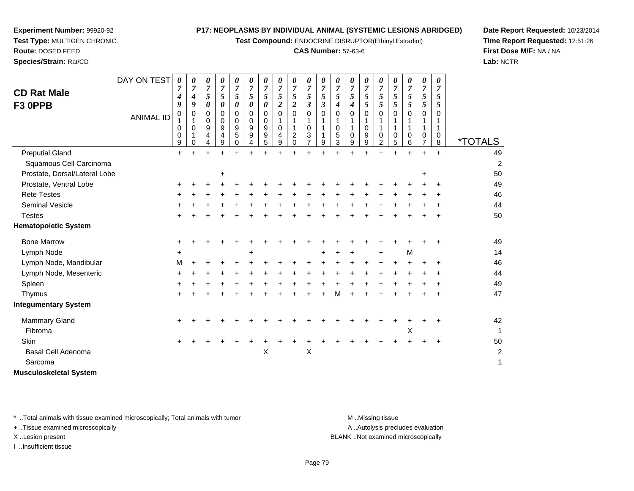**Test Compound:** ENDOCRINE DISRUPTOR(Ethinyl Estradiol)

#### **CAS Number:** 57-63-6

**Date Report Requested:** 10/23/2014**Time Report Requested:** 12:51:26**First Dose M/F:** NA / NA**Lab:** NCTR

| <b>CD Rat Male</b><br>F3 OPPB<br><b>Preputial Gland</b> | DAY ON TEST<br><b>ANIMAL ID</b> | 0<br>$\overline{7}$<br>$\boldsymbol{4}$<br>9<br>$\pmb{0}$<br>0<br>0<br>9 | 0<br>7<br>$\boldsymbol{4}$<br>9<br>$\mathbf 0$<br>$\Omega$<br>1<br>0 | 0<br>$\overline{7}$<br>5<br>0<br>0<br>0<br>9<br>4<br>4<br>$+$ | 0<br>7<br>5<br>0<br>$\Omega$<br>0<br>9<br>4<br>9 | 0<br>$\overline{7}$<br>5<br>0<br>$\Omega$<br>0<br>9<br>5<br>0 | 0<br>$\overline{7}$<br>5<br>0<br>$\mathbf 0$<br>0<br>9<br>9<br>4 | $\boldsymbol{\theta}$<br>$\overline{7}$<br>5<br>0<br>$\mathbf 0$<br>0<br>9<br>9<br>5 | 0<br>$\overline{7}$<br>5<br>$\overline{c}$<br>$\Omega$<br>$\mathbf 0$<br>4<br>$\boldsymbol{9}$<br>$+$ | 0<br>5<br>$\boldsymbol{2}$<br>$\Omega$<br>$\boldsymbol{2}$<br>$\pmb{0}$ | 0<br>7<br>5<br>3<br>$\Omega$<br>0<br>3<br>$\overline{7}$<br>÷ | 0<br>$\overline{7}$<br>$\sqrt{5}$<br>3<br>$\mathbf 0$<br>1<br>1<br>1<br>9<br>÷ | 0<br>$\overline{7}$<br>5<br>4<br>$\Omega$<br>1<br>0<br>5<br>3<br>÷ | 0<br>$\overline{7}$<br>5<br>4<br>$\Omega$<br>0<br>9<br>$\ddot{}$ | 0<br>7<br>5<br>5<br>$\Omega$<br>$\mathbf 0$<br>9<br>$\boldsymbol{9}$ | 0<br>7<br>5<br>5<br>$\Omega$<br>0<br>$\overline{c}$<br>$\ddot{}$ | 0<br>$\overline{7}$<br>5<br>5<br>$\Omega$<br>1<br>0<br>5 | 0<br>$\overline{7}$<br>5<br>5<br>$\Omega$<br>1<br>$\Omega$<br>6<br>$\ddot{}$ | 0<br>$\overline{7}$<br>5<br>5<br>$\Omega$<br>0<br>$\overline{7}$ | 0<br>$\overline{7}$<br>5<br>5<br>$\Omega$<br>0<br>8 | <i><b>*TOTALS</b></i><br>49 |
|---------------------------------------------------------|---------------------------------|--------------------------------------------------------------------------|----------------------------------------------------------------------|---------------------------------------------------------------|--------------------------------------------------|---------------------------------------------------------------|------------------------------------------------------------------|--------------------------------------------------------------------------------------|-------------------------------------------------------------------------------------------------------|-------------------------------------------------------------------------|---------------------------------------------------------------|--------------------------------------------------------------------------------|--------------------------------------------------------------------|------------------------------------------------------------------|----------------------------------------------------------------------|------------------------------------------------------------------|----------------------------------------------------------|------------------------------------------------------------------------------|------------------------------------------------------------------|-----------------------------------------------------|-----------------------------|
| Squamous Cell Carcinoma                                 |                                 | $\ddot{}$                                                                | $\ddot{}$                                                            |                                                               | $\ddot{}$                                        | $\ddot{}$                                                     | $\ddot{}$                                                        | $\ddot{}$                                                                            |                                                                                                       | $\ddot{}$                                                               |                                                               |                                                                                |                                                                    |                                                                  | $\ddot{}$                                                            |                                                                  | $\ddot{}$                                                |                                                                              | $\ddot{}$                                                        | $\ddot{}$                                           |                             |
| Prostate, Dorsal/Lateral Lobe                           |                                 |                                                                          |                                                                      |                                                               |                                                  |                                                               |                                                                  |                                                                                      |                                                                                                       |                                                                         |                                                               |                                                                                |                                                                    |                                                                  |                                                                      |                                                                  |                                                          |                                                                              |                                                                  |                                                     | $\overline{c}$<br>50        |
| Prostate, Ventral Lobe                                  |                                 | +                                                                        |                                                                      |                                                               | +                                                |                                                               |                                                                  |                                                                                      |                                                                                                       |                                                                         |                                                               |                                                                                |                                                                    |                                                                  |                                                                      |                                                                  |                                                          |                                                                              | $\ddot{}$                                                        |                                                     | 49                          |
| <b>Rete Testes</b>                                      |                                 |                                                                          |                                                                      |                                                               |                                                  |                                                               |                                                                  |                                                                                      |                                                                                                       |                                                                         |                                                               |                                                                                |                                                                    |                                                                  |                                                                      |                                                                  |                                                          |                                                                              |                                                                  |                                                     | 46                          |
| Seminal Vesicle                                         |                                 |                                                                          |                                                                      |                                                               |                                                  |                                                               |                                                                  |                                                                                      |                                                                                                       |                                                                         |                                                               |                                                                                |                                                                    |                                                                  |                                                                      |                                                                  |                                                          |                                                                              |                                                                  |                                                     | 44                          |
| <b>Testes</b>                                           |                                 |                                                                          |                                                                      |                                                               |                                                  |                                                               |                                                                  |                                                                                      |                                                                                                       |                                                                         |                                                               |                                                                                |                                                                    |                                                                  |                                                                      |                                                                  |                                                          |                                                                              |                                                                  |                                                     | 50                          |
| <b>Hematopoietic System</b>                             |                                 |                                                                          |                                                                      |                                                               |                                                  |                                                               |                                                                  |                                                                                      |                                                                                                       |                                                                         |                                                               |                                                                                |                                                                    |                                                                  |                                                                      |                                                                  |                                                          |                                                                              |                                                                  |                                                     |                             |
| <b>Bone Marrow</b>                                      |                                 | ٠                                                                        |                                                                      |                                                               |                                                  |                                                               |                                                                  |                                                                                      |                                                                                                       |                                                                         |                                                               |                                                                                |                                                                    |                                                                  |                                                                      |                                                                  |                                                          |                                                                              |                                                                  | $\ddot{}$                                           | 49                          |
| Lymph Node                                              |                                 | +                                                                        |                                                                      |                                                               |                                                  |                                                               |                                                                  |                                                                                      |                                                                                                       |                                                                         |                                                               |                                                                                |                                                                    |                                                                  |                                                                      | +                                                                |                                                          | M                                                                            |                                                                  |                                                     | 14                          |
| Lymph Node, Mandibular                                  |                                 | м                                                                        |                                                                      |                                                               |                                                  |                                                               |                                                                  |                                                                                      |                                                                                                       |                                                                         |                                                               |                                                                                |                                                                    |                                                                  |                                                                      |                                                                  |                                                          |                                                                              |                                                                  | $\ddot{}$                                           | 46                          |
| Lymph Node, Mesenteric                                  |                                 |                                                                          |                                                                      |                                                               |                                                  |                                                               |                                                                  |                                                                                      |                                                                                                       |                                                                         |                                                               |                                                                                |                                                                    |                                                                  |                                                                      |                                                                  |                                                          |                                                                              |                                                                  |                                                     | 44                          |
| Spleen                                                  |                                 |                                                                          |                                                                      |                                                               |                                                  |                                                               |                                                                  |                                                                                      |                                                                                                       |                                                                         |                                                               |                                                                                |                                                                    |                                                                  |                                                                      |                                                                  |                                                          |                                                                              |                                                                  |                                                     | 49                          |
| Thymus                                                  |                                 | +                                                                        |                                                                      |                                                               |                                                  |                                                               |                                                                  |                                                                                      |                                                                                                       |                                                                         |                                                               |                                                                                | м                                                                  |                                                                  |                                                                      |                                                                  |                                                          |                                                                              |                                                                  |                                                     | 47                          |
| <b>Integumentary System</b>                             |                                 |                                                                          |                                                                      |                                                               |                                                  |                                                               |                                                                  |                                                                                      |                                                                                                       |                                                                         |                                                               |                                                                                |                                                                    |                                                                  |                                                                      |                                                                  |                                                          |                                                                              |                                                                  |                                                     |                             |
| <b>Mammary Gland</b>                                    |                                 | ٠                                                                        |                                                                      |                                                               |                                                  |                                                               |                                                                  |                                                                                      |                                                                                                       |                                                                         |                                                               |                                                                                |                                                                    |                                                                  |                                                                      |                                                                  |                                                          |                                                                              |                                                                  |                                                     | 42                          |
| Fibroma                                                 |                                 |                                                                          |                                                                      |                                                               |                                                  |                                                               |                                                                  |                                                                                      |                                                                                                       |                                                                         |                                                               |                                                                                |                                                                    |                                                                  |                                                                      |                                                                  |                                                          | Χ                                                                            |                                                                  |                                                     |                             |
| Skin                                                    |                                 | $\ddot{}$                                                                |                                                                      |                                                               |                                                  |                                                               |                                                                  |                                                                                      |                                                                                                       |                                                                         |                                                               |                                                                                |                                                                    |                                                                  |                                                                      |                                                                  |                                                          |                                                                              |                                                                  | $\ddot{}$                                           | 50                          |
| <b>Basal Cell Adenoma</b>                               |                                 |                                                                          |                                                                      |                                                               |                                                  |                                                               |                                                                  | X                                                                                    |                                                                                                       |                                                                         | X                                                             |                                                                                |                                                                    |                                                                  |                                                                      |                                                                  |                                                          |                                                                              |                                                                  |                                                     | 2                           |
| Sarcoma                                                 |                                 |                                                                          |                                                                      |                                                               |                                                  |                                                               |                                                                  |                                                                                      |                                                                                                       |                                                                         |                                                               |                                                                                |                                                                    |                                                                  |                                                                      |                                                                  |                                                          |                                                                              |                                                                  |                                                     | 1                           |
| <b>Musculoskeletal System</b>                           |                                 |                                                                          |                                                                      |                                                               |                                                  |                                                               |                                                                  |                                                                                      |                                                                                                       |                                                                         |                                                               |                                                                                |                                                                    |                                                                  |                                                                      |                                                                  |                                                          |                                                                              |                                                                  |                                                     |                             |

\* ..Total animals with tissue examined microscopically; Total animals with tumor **M** . Missing tissue M ..Missing tissue

+ ..Tissue examined microscopically

**Experiment Number:** 99920-92**Test Type:** MULTIGEN CHRONIC

**Route:** DOSED FEED**Species/Strain:** Rat/CD

I ..Insufficient tissue

A ..Autolysis precludes evaluation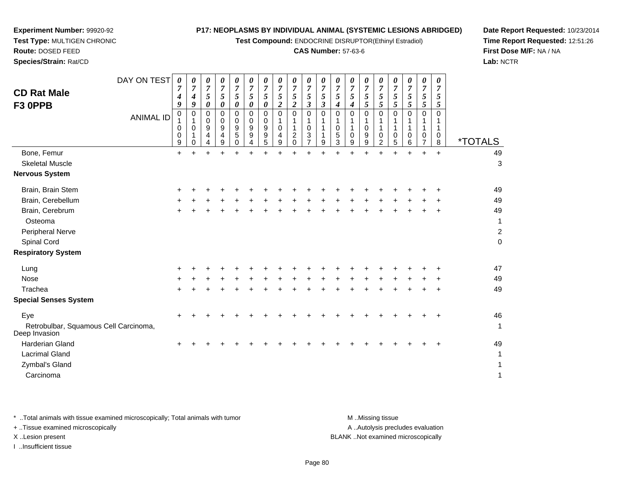**Test Compound:** ENDOCRINE DISRUPTOR(Ethinyl Estradiol)

#### **CAS Number:** 57-63-6

49

**Date Report Requested:** 10/23/2014**Time Report Requested:** 12:51:26**First Dose M/F:** NA / NA**Lab:** NCTR

| DAY ON TEST<br>0<br>0<br>0<br>0<br>0<br>0<br>$\boldsymbol{\theta}$<br>$\boldsymbol{\theta}$<br>$\boldsymbol{\theta}$<br>$\boldsymbol{\theta}$<br>$\boldsymbol{\theta}$<br>U<br>$\boldsymbol{\theta}$<br>7<br>$\overline{ }$<br>7<br>7<br>$\overline{7}$<br>7<br>7<br>7<br>7<br>7<br>7<br>7<br>$\mathbf{z}$<br>7<br>$\overline{7}$<br>7<br><b>CD Rat Male</b><br>5<br>5<br>5<br>$5\overline{)}$<br>5<br>5<br>5<br>5<br>5<br>5<br>5<br>5<br>5<br>5<br>4<br>4<br>9<br>0<br>$\boldsymbol{\theta}$<br>$\boldsymbol{2}$<br>$\boldsymbol{\beta}$<br>9<br>0<br>5<br>5 <sup>5</sup><br>5<br>0<br>$\overline{2}$<br>$\boldsymbol{\beta}$<br>0<br>F3 OPPB<br>4<br>4<br>0<br>$\mathbf 0$<br>0<br>0<br>0<br>0<br>0<br>0<br>0<br>0<br>0<br>0<br>$\Omega$<br><b>ANIMAL ID</b><br>0<br>0<br>0<br>9<br>9<br>9<br>$\pmb{0}$<br>0<br>0<br>9<br>9<br>0<br>0<br>0<br>3<br>9<br>5<br>5<br>0<br>$\overline{c}$<br>4<br>9<br>0<br>9<br>0<br>4<br>4<br>$\overline{7}$<br>3<br>2<br>5<br>9<br>9<br>$\Omega$<br>9<br>5<br>9<br>9<br>9<br>$\Omega$<br>4<br>4 | 5<br>5<br>0<br>6 | 7 | $\overline{7}$<br>5<br>5<br>0<br>0<br>⇁ | $\overline{7}$<br>C<br>Ć<br>0<br>0<br>8 | <i><b>*TOTALS</b></i> |
|----------------------------------------------------------------------------------------------------------------------------------------------------------------------------------------------------------------------------------------------------------------------------------------------------------------------------------------------------------------------------------------------------------------------------------------------------------------------------------------------------------------------------------------------------------------------------------------------------------------------------------------------------------------------------------------------------------------------------------------------------------------------------------------------------------------------------------------------------------------------------------------------------------------------------------------------------------------------------------------------------------------------------------|------------------|---|-----------------------------------------|-----------------------------------------|-----------------------|
| Bone, Femur<br>$\ddot{}$<br>+<br>÷<br>÷<br>+<br>÷<br>+<br>÷<br>+<br>+<br>÷                                                                                                                                                                                                                                                                                                                                                                                                                                                                                                                                                                                                                                                                                                                                                                                                                                                                                                                                                       | ÷                |   | $\pm$                                   | $\ddot{}$                               | 49                    |
| <b>Skeletal Muscle</b>                                                                                                                                                                                                                                                                                                                                                                                                                                                                                                                                                                                                                                                                                                                                                                                                                                                                                                                                                                                                           |                  |   |                                         |                                         | 3                     |
| <b>Nervous System</b>                                                                                                                                                                                                                                                                                                                                                                                                                                                                                                                                                                                                                                                                                                                                                                                                                                                                                                                                                                                                            |                  |   |                                         |                                         |                       |
| Brain, Brain Stem<br>٠                                                                                                                                                                                                                                                                                                                                                                                                                                                                                                                                                                                                                                                                                                                                                                                                                                                                                                                                                                                                           |                  |   |                                         |                                         | 49                    |
| Brain, Cerebellum<br>÷                                                                                                                                                                                                                                                                                                                                                                                                                                                                                                                                                                                                                                                                                                                                                                                                                                                                                                                                                                                                           |                  |   |                                         | ÷                                       | 49                    |
| Brain, Cerebrum<br>$\pm$<br>÷                                                                                                                                                                                                                                                                                                                                                                                                                                                                                                                                                                                                                                                                                                                                                                                                                                                                                                                                                                                                    |                  |   | ÷                                       | $\div$                                  | 49                    |
| Osteoma                                                                                                                                                                                                                                                                                                                                                                                                                                                                                                                                                                                                                                                                                                                                                                                                                                                                                                                                                                                                                          |                  |   |                                         |                                         | 1                     |
| Peripheral Nerve                                                                                                                                                                                                                                                                                                                                                                                                                                                                                                                                                                                                                                                                                                                                                                                                                                                                                                                                                                                                                 |                  |   |                                         |                                         | 2                     |

DAY ON TEST

 $\sim$  0 **Respiratory System**

Spinal Cord

**Experiment Number:** 99920-92**Test Type:** MULTIGEN CHRONIC

**Route:** DOSED FEED**Species/Strain:** Rat/CD

| Lung                                                   | $+$   |  |  |  |  |  |  |  |  |       | $\pm$ | 47 |
|--------------------------------------------------------|-------|--|--|--|--|--|--|--|--|-------|-------|----|
| Nose                                                   | $\pm$ |  |  |  |  |  |  |  |  | +     | $\pm$ | 49 |
| Trachea                                                | $+$   |  |  |  |  |  |  |  |  | $\pm$ | $+$   | 49 |
| <b>Special Senses System</b>                           |       |  |  |  |  |  |  |  |  |       |       |    |
| Eye                                                    | $+$   |  |  |  |  |  |  |  |  | +     | $+$   | 46 |
| Retrobulbar, Squamous Cell Carcinoma,<br>Deep Invasion |       |  |  |  |  |  |  |  |  |       |       | 1  |
| Harderian Gland                                        | $+$   |  |  |  |  |  |  |  |  |       | $\pm$ | 49 |
| Lacrimal Gland                                         |       |  |  |  |  |  |  |  |  |       |       | 4  |
| Zymbal's Gland                                         |       |  |  |  |  |  |  |  |  |       |       | 1  |
| Carcinoma                                              |       |  |  |  |  |  |  |  |  |       |       | 1  |
|                                                        |       |  |  |  |  |  |  |  |  |       |       |    |

| * Total animals with tissue examined microscopically; Total animals with tumor | M Missing tissue                   |
|--------------------------------------------------------------------------------|------------------------------------|
| + Tissue examined microscopically                                              | A Autolysis precludes evaluation   |
| X Lesion present                                                               | BLANK Not examined microscopically |
| Insufficient tissue                                                            |                                    |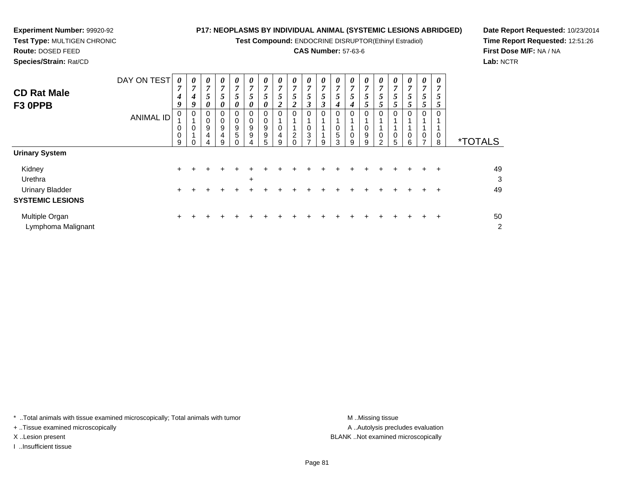**Test Compound:** ENDOCRINE DISRUPTOR(Ethinyl Estradiol)

#### **CAS Number:** 57-63-6

8 \*TOTALS

0 1

1 0 5

0 1 1

0 2

**Date Report Requested:** 10/23/2014**Time Report Requested:** 12:51:26**First Dose M/F:** NA / NA**Lab:** NCTR

| <b>Species/Strain: Rat/CD</b> |                  |        |        |                       |                       |                       |                       |        |                       |                       |   |         |        |   |
|-------------------------------|------------------|--------|--------|-----------------------|-----------------------|-----------------------|-----------------------|--------|-----------------------|-----------------------|---|---------|--------|---|
|                               | DAY ON TEST      | 0      | 0      | $\boldsymbol{\theta}$ | $\boldsymbol{\theta}$ | $\boldsymbol{\theta}$ | $\boldsymbol{\theta}$ | U      | $\boldsymbol{\theta}$ | $\boldsymbol{\theta}$ |   | U       | 0      | 0 |
| <b>CD Rat Male</b>            |                  | ∽<br>4 | 7<br>4 |                       |                       | ~                     | ,<br>C                |        | 7<br>Ć                | -<br>C                |   | 7<br>C. | ~      |   |
| F3 OPPB                       |                  | 9      | g      | J                     | Э                     | $\mathcal{L}$         | 0                     | U      | 2                     | ∠                     | J |         |        |   |
|                               | <b>ANIMAL ID</b> | 0      | O      |                       | U<br>0                | O<br>0                | 0<br>0                | O<br>0 | 0<br>и                | 0                     |   | 0       | 0      | 0 |
|                               |                  | 0      | 0      | 9                     | 9                     | 9                     | 9                     | 9      | 0                     |                       |   |         | 0      |   |
|                               |                  | 0      |        | 4                     | 4                     | 5                     | 9                     | 9      | 4                     | っ                     | າ |         | 5      | 0 |
|                               |                  | 9      |        |                       | 9                     |                       |                       | 5      | 9                     |                       |   | 9       | ◠<br>w | 9 |

| <b>Urinary System</b>   |     |         |           |           |         |                     |  |  |  |  |             |         |    |
|-------------------------|-----|---------|-----------|-----------|---------|---------------------|--|--|--|--|-------------|---------|----|
| Kidney                  |     |         | + + + + + |           |         | + + + + + + + + + + |  |  |  |  | $+$ $+$ $+$ |         | 49 |
| Urethra                 |     |         |           | $\ddot{}$ |         |                     |  |  |  |  |             |         | 3  |
| <b>Urinary Bladder</b>  | $+$ |         |           |           | $+$ $-$ | $+$                 |  |  |  |  |             | $+$ $+$ | 49 |
| <b>SYSTEMIC LESIONS</b> |     |         |           |           |         |                     |  |  |  |  |             |         |    |
| Multiple Organ          |     | $+$ $+$ | $+$ $+$   |           |         | + + + + + + + + + + |  |  |  |  |             | $+$ $+$ | 50 |
| Lymphoma Malignant      |     |         |           |           |         |                     |  |  |  |  |             |         | 2  |

\* ..Total animals with tissue examined microscopically; Total animals with tumor **M** ...Missing tissue M ...Missing tissue

+ ..Tissue examined microscopically

**Experiment Number:** 99920-92**Test Type:** MULTIGEN CHRONIC

**Route:** DOSED FEED

I ..Insufficient tissue

A .. Autolysis precludes evaluation X ..Lesion present BLANK ..Not examined microscopically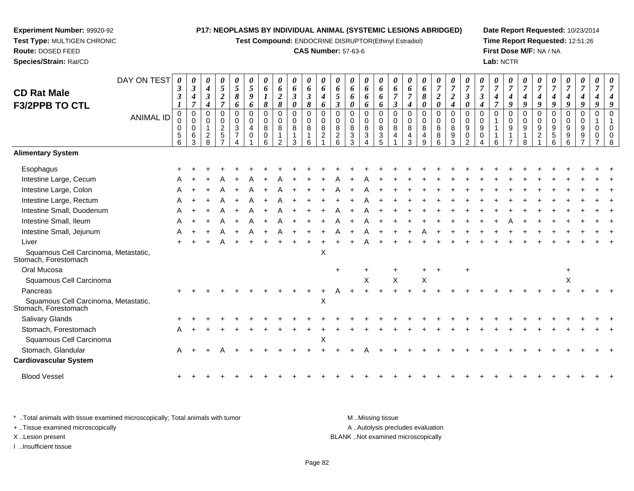**Test Compound:** ENDOCRINE DISRUPTOR(Ethinyl Estradiol)

#### **CAS Number:** 57-63-6

**Date Report Requested:** 10/23/2014**Time Report Requested:** 12:51:26**First Dose M/F:** NA / NA**Lab:** NCTR

| <b>CD Rat Male</b><br><b>F3/2PPB TO CTL</b>                  | DAY ON TEST      | 0<br>$\boldsymbol{\beta}$<br>$\boldsymbol{\beta}$ | 0<br>$\boldsymbol{\beta}$<br>$\boldsymbol{4}$<br>$\overline{7}$ | 0<br>$\boldsymbol{4}$<br>$\boldsymbol{\beta}$<br>$\boldsymbol{4}$ | 0<br>5<br>$\boldsymbol{2}$<br>$\overline{7}$ | 0<br>5<br>8<br>6                                   | 0<br>5<br>9<br>6                                       | 0<br>6<br>$\boldsymbol{l}$<br>$\pmb{8}$   | 0<br>6<br>$\boldsymbol{2}$<br>$\boldsymbol{\delta}$ | $\boldsymbol{\theta}$<br>6<br>$\boldsymbol{\beta}$<br>0 | 0<br>6<br>$\boldsymbol{\beta}$<br>8 | 0<br>6<br>$\boldsymbol{4}$<br>6               | 0<br>6<br>5<br>$\boldsymbol{\beta}$   | 0<br>6<br>6<br>0                                           | $\boldsymbol{\theta}$<br>6<br>6<br>6                       | 0<br>6<br>6<br>6                | 0<br>6<br>$\overline{7}$<br>$\boldsymbol{\beta}$ | 0<br>6<br>$\overline{7}$<br>4                    | 0<br>6<br>8<br>0                                  | 0<br>7<br>$\boldsymbol{2}$<br>$\boldsymbol{\theta}$ | 0<br>$\boldsymbol{7}$<br>$\boldsymbol{2}$<br>$\boldsymbol{4}$ | 0<br>$\overline{7}$<br>$\boldsymbol{\beta}$<br>0 | 0<br>$\overline{7}$<br>$\boldsymbol{\beta}$<br>4 |          | 0<br>7<br>4<br>9      | 0<br>$\overline{7}$<br>4<br>9 | 0<br>$\overline{7}$<br>4<br>9               | $\overline{7}$<br>4<br>9     | 0<br>4<br>9                    | 0<br>$\overline{7}$<br>4<br>9 | 0<br>$\overline{7}$  |  |
|--------------------------------------------------------------|------------------|---------------------------------------------------|-----------------------------------------------------------------|-------------------------------------------------------------------|----------------------------------------------|----------------------------------------------------|--------------------------------------------------------|-------------------------------------------|-----------------------------------------------------|---------------------------------------------------------|-------------------------------------|-----------------------------------------------|---------------------------------------|------------------------------------------------------------|------------------------------------------------------------|---------------------------------|--------------------------------------------------|--------------------------------------------------|---------------------------------------------------|-----------------------------------------------------|---------------------------------------------------------------|--------------------------------------------------|--------------------------------------------------|----------|-----------------------|-------------------------------|---------------------------------------------|------------------------------|--------------------------------|-------------------------------|----------------------|--|
|                                                              | <b>ANIMAL ID</b> | 0<br>0<br>0<br>$\sqrt{5}$<br>6                    | $\mathbf 0$<br>$\Omega$<br>$\mathbf 0$<br>6<br>3                | $\Omega$<br>$\Omega$<br>1<br>$\overline{c}$<br>8                  | 0<br>$\Omega$<br>$\overline{c}$<br>5         | 0<br>$\mathbf 0$<br>$\mathbf{3}$<br>$\overline{7}$ | $\mathbf 0$<br>$\pmb{0}$<br>$\overline{4}$<br>$\Omega$ | $\mathbf 0$<br>$\mathbf 0$<br>8<br>0<br>6 | $\mathbf 0$<br>$\mathbf 0$<br>8                     | 0<br>$\mathbf 0$<br>8<br>3                              | $\,0\,$<br>$\mathbf 0$<br>8<br>հ    | $\pmb{0}$<br>$\pmb{0}$<br>8<br>$\overline{c}$ | 0<br>$\Omega$<br>8<br>$\sqrt{2}$<br>6 | $\Omega$<br>$\Omega$<br>8<br>$\mathbf{3}$<br>$\mathcal{R}$ | $\pmb{0}$<br>$\mathbf 0$<br>8<br>$\ensuremath{\mathsf{3}}$ | 0<br>$\mathbf 0$<br>8<br>3<br>5 | 0<br>$\mathbf 0$<br>8<br>$\overline{4}$          | $\Omega$<br>$\Omega$<br>8<br>$\overline{4}$<br>3 | $\Omega$<br>$\mathbf 0$<br>8<br>4<br><sub>9</sub> | 0<br>$\mathbf 0$<br>$\,8\,$<br>8<br>6               | 0<br>$\mathbf 0$<br>8<br>9<br>3                               | 0<br>0<br>9<br>0<br>$\mathcal{P}$                | $\Omega$<br>$\Omega$<br>9<br>0                   | $\Omega$ | 0<br>$\mathbf 0$<br>9 | $\mathbf 0$<br>$\Omega$<br>9  | $\Omega$<br>$\Omega$<br>9<br>$\overline{c}$ | 0<br>$\Omega$<br>9<br>5<br>6 | $\Omega$<br>$\Omega$<br>9<br>9 | 0<br>$\Omega$<br>9<br>9       | $\Omega$<br>$\Omega$ |  |
| <b>Alimentary System</b>                                     |                  |                                                   |                                                                 |                                                                   |                                              |                                                    |                                                        |                                           |                                                     |                                                         |                                     |                                               |                                       |                                                            |                                                            |                                 |                                                  |                                                  |                                                   |                                                     |                                                               |                                                  |                                                  |          |                       |                               |                                             |                              |                                |                               |                      |  |
| Esophagus                                                    |                  |                                                   |                                                                 |                                                                   |                                              |                                                    |                                                        |                                           |                                                     |                                                         |                                     |                                               |                                       |                                                            |                                                            |                                 |                                                  |                                                  |                                                   |                                                     |                                                               |                                                  |                                                  |          |                       |                               |                                             |                              |                                |                               |                      |  |
| Intestine Large, Cecum                                       |                  |                                                   |                                                                 |                                                                   |                                              |                                                    |                                                        |                                           |                                                     |                                                         |                                     |                                               |                                       |                                                            |                                                            |                                 |                                                  |                                                  |                                                   |                                                     |                                                               |                                                  |                                                  |          |                       |                               |                                             |                              |                                |                               |                      |  |
| Intestine Large, Colon                                       |                  |                                                   |                                                                 |                                                                   |                                              |                                                    |                                                        |                                           |                                                     |                                                         |                                     |                                               |                                       |                                                            |                                                            |                                 |                                                  |                                                  |                                                   |                                                     |                                                               |                                                  |                                                  |          |                       |                               |                                             |                              |                                |                               |                      |  |
| Intestine Large, Rectum                                      |                  |                                                   |                                                                 |                                                                   |                                              |                                                    |                                                        |                                           |                                                     |                                                         |                                     |                                               |                                       |                                                            |                                                            |                                 |                                                  |                                                  |                                                   |                                                     |                                                               |                                                  |                                                  |          |                       |                               |                                             |                              |                                |                               |                      |  |
| Intestine Small, Duodenum                                    |                  |                                                   |                                                                 |                                                                   |                                              |                                                    |                                                        |                                           |                                                     |                                                         |                                     |                                               |                                       |                                                            |                                                            |                                 |                                                  |                                                  |                                                   |                                                     |                                                               |                                                  |                                                  |          |                       |                               |                                             |                              |                                |                               |                      |  |
| Intestine Small, Ileum                                       |                  |                                                   |                                                                 |                                                                   |                                              |                                                    |                                                        |                                           |                                                     |                                                         |                                     |                                               |                                       |                                                            |                                                            |                                 |                                                  |                                                  |                                                   |                                                     |                                                               |                                                  |                                                  |          |                       |                               |                                             |                              |                                |                               |                      |  |
| Intestine Small, Jejunum                                     |                  |                                                   |                                                                 |                                                                   |                                              |                                                    |                                                        |                                           |                                                     |                                                         |                                     |                                               |                                       |                                                            |                                                            |                                 |                                                  |                                                  |                                                   |                                                     |                                                               |                                                  |                                                  |          |                       |                               |                                             |                              |                                |                               |                      |  |
| Liver                                                        |                  |                                                   |                                                                 |                                                                   |                                              |                                                    |                                                        |                                           |                                                     |                                                         |                                     |                                               |                                       |                                                            |                                                            |                                 |                                                  |                                                  |                                                   |                                                     |                                                               |                                                  |                                                  |          |                       |                               |                                             |                              |                                |                               |                      |  |
| Squamous Cell Carcinoma, Metastatic,<br>Stomach, Forestomach |                  |                                                   |                                                                 |                                                                   |                                              |                                                    |                                                        |                                           |                                                     |                                                         |                                     | $\boldsymbol{\mathsf{X}}$                     |                                       |                                                            |                                                            |                                 |                                                  |                                                  |                                                   |                                                     |                                                               |                                                  |                                                  |          |                       |                               |                                             |                              |                                |                               |                      |  |
| Oral Mucosa                                                  |                  |                                                   |                                                                 |                                                                   |                                              |                                                    |                                                        |                                           |                                                     |                                                         |                                     |                                               | $\ddot{}$                             |                                                            |                                                            |                                 |                                                  |                                                  |                                                   |                                                     |                                                               |                                                  |                                                  |          |                       |                               |                                             |                              |                                |                               |                      |  |
| Squamous Cell Carcinoma                                      |                  |                                                   |                                                                 |                                                                   |                                              |                                                    |                                                        |                                           |                                                     |                                                         |                                     |                                               |                                       |                                                            | X                                                          |                                 | X                                                |                                                  | X                                                 |                                                     |                                                               |                                                  |                                                  |          |                       |                               |                                             |                              | X                              |                               |                      |  |
| Pancreas                                                     |                  |                                                   |                                                                 |                                                                   |                                              |                                                    |                                                        |                                           |                                                     |                                                         |                                     |                                               |                                       |                                                            |                                                            |                                 |                                                  |                                                  |                                                   |                                                     |                                                               |                                                  |                                                  |          |                       |                               |                                             |                              |                                |                               |                      |  |
| Squamous Cell Carcinoma, Metastatic,<br>Stomach, Forestomach |                  |                                                   |                                                                 |                                                                   |                                              |                                                    |                                                        |                                           |                                                     |                                                         |                                     | X                                             |                                       |                                                            |                                                            |                                 |                                                  |                                                  |                                                   |                                                     |                                                               |                                                  |                                                  |          |                       |                               |                                             |                              |                                |                               |                      |  |
| Salivary Glands                                              |                  |                                                   |                                                                 |                                                                   |                                              |                                                    |                                                        |                                           |                                                     |                                                         |                                     |                                               |                                       |                                                            |                                                            |                                 |                                                  |                                                  |                                                   |                                                     |                                                               |                                                  |                                                  |          |                       |                               |                                             |                              |                                |                               |                      |  |
| Stomach, Forestomach                                         |                  |                                                   |                                                                 |                                                                   |                                              |                                                    |                                                        |                                           |                                                     |                                                         |                                     |                                               |                                       |                                                            |                                                            |                                 |                                                  |                                                  |                                                   |                                                     |                                                               |                                                  |                                                  |          |                       |                               |                                             |                              |                                |                               |                      |  |
| Squamous Cell Carcinoma                                      |                  |                                                   |                                                                 |                                                                   |                                              |                                                    |                                                        |                                           |                                                     |                                                         |                                     | X                                             |                                       |                                                            |                                                            |                                 |                                                  |                                                  |                                                   |                                                     |                                                               |                                                  |                                                  |          |                       |                               |                                             |                              |                                |                               |                      |  |
| Stomach, Glandular                                           |                  |                                                   |                                                                 |                                                                   |                                              |                                                    |                                                        |                                           |                                                     |                                                         |                                     |                                               |                                       |                                                            |                                                            |                                 |                                                  |                                                  |                                                   |                                                     |                                                               |                                                  |                                                  |          |                       |                               |                                             |                              |                                |                               |                      |  |
| <b>Cardiovascular System</b>                                 |                  |                                                   |                                                                 |                                                                   |                                              |                                                    |                                                        |                                           |                                                     |                                                         |                                     |                                               |                                       |                                                            |                                                            |                                 |                                                  |                                                  |                                                   |                                                     |                                                               |                                                  |                                                  |          |                       |                               |                                             |                              |                                |                               |                      |  |

Blood Vessel $\mathbf{+}$ 

**Experiment Number:** 99920-92**Test Type:** MULTIGEN CHRONIC

**Route:** DOSED FEED**Species/Strain:** Rat/CD

\* ..Total animals with tissue examined microscopically; Total animals with tumor **M** ...Missing tissue M ...Missing tissue A ..Autolysis precludes evaluation + ..Tissue examined microscopically X ..Lesion present BLANK ..Not examined microscopicallyI ..Insufficient tissue

Page 82

<sup>+</sup> <sup>+</sup> <sup>+</sup> <sup>+</sup> <sup>+</sup> <sup>+</sup> <sup>+</sup> <sup>+</sup> <sup>+</sup> <sup>+</sup> <sup>+</sup> <sup>+</sup> <sup>+</sup> <sup>+</sup> <sup>+</sup> <sup>+</sup> <sup>+</sup> <sup>+</sup> <sup>+</sup> <sup>+</sup> <sup>+</sup> <sup>+</sup> <sup>+</sup> <sup>+</sup> <sup>+</sup> <sup>+</sup> <sup>+</sup> <sup>+</sup> <sup>+</sup> <sup>+</sup>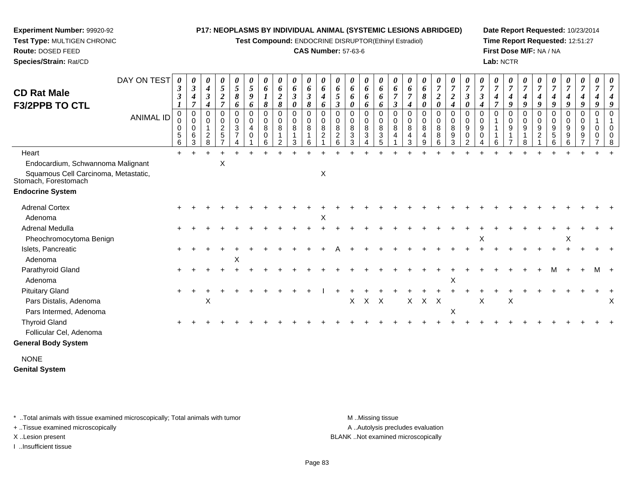**Test Compound:** ENDOCRINE DISRUPTOR(Ethinyl Estradiol)

#### **CAS Number:** 57-63-6

**Date Report Requested:** 10/23/2014**Time Report Requested:** 12:51:27**First Dose M/F:** NA / NA**Lab:** NCTR

| <b>CD Rat Male</b><br><b>F3/2PPB TO CTL</b>                  | DAY ON TEST<br><b>ANIMAL ID</b> | $\theta$<br>3<br>3<br>0<br>0<br>0<br>$\sqrt{5}$ | 0<br>$\mathfrak{z}$<br>4<br>$\overline{7}$<br>$\mathbf 0$<br>0<br>$\Omega$<br>6 | 0<br>$\boldsymbol{4}$<br>3<br>4<br>0<br>$\mathbf 0$<br>$\overline{c}$ | 0<br>$\mathfrak{H}$<br>$\boldsymbol{2}$<br>$\overline{7}$<br>0<br>$\mathbf 0$<br>$\frac{2}{5}$ | 0<br>$\mathfrak{S}$<br>8<br>6<br>$\mathbf 0$<br>$\pmb{0}$<br>$\sqrt{3}$<br>$\overline{7}$ | 0<br>$\mathfrak{s}$<br>9<br>6<br>$\Omega$<br>0<br>$\overline{4}$<br>$\mathbf 0$ | 0<br>6<br>$\boldsymbol{l}$<br>8<br>$\mathbf 0$<br>0<br>8<br>0 | 0<br>6<br>$\overline{2}$<br>$\pmb{8}$<br>$\mathbf 0$<br>0<br>8<br>1 | 0<br>6<br>$\boldsymbol{\beta}$<br>$\boldsymbol{\theta}$<br>0<br>$\mathbf 0$<br>8<br>$\mathbf{1}$ | 0<br>6<br>$\boldsymbol{\beta}$<br>8<br>$\mathbf 0$<br>$\mathbf 0$<br>8<br>$\mathbf{1}$ | $\boldsymbol{\theta}$<br>6<br>4<br>6<br>$\Omega$<br>0<br>8<br>$\overline{c}$ | 0<br>6<br>5<br>$\boldsymbol{\beta}$<br>$\Omega$<br>$\mathbf 0$<br>8<br>$\boldsymbol{2}$ | $\boldsymbol{\theta}$<br>6<br>6<br>0<br>$\Omega$<br>0<br>8<br>$\ensuremath{\mathsf{3}}$ | 0<br>6<br>6<br>6<br>0<br>0<br>8<br>$\mathbf{3}$ | 0<br>6<br>6<br>6<br>$\mathbf 0$<br>0<br>8<br>$\mathbf{3}$ | U<br>6<br>3<br>$\Omega$<br>0<br>8<br>4 | $\boldsymbol{\theta}$<br>6<br>4<br>$\mathbf 0$<br>$\mathbf 0$<br>8<br>4 | $\boldsymbol{\theta}$<br>6<br>8<br>0<br>0<br>0<br>8<br>$\overline{4}$ | 0<br>$\boldsymbol{7}$<br>$\boldsymbol{2}$<br>$\boldsymbol{\theta}$<br>0<br>0<br>8<br>8 | 0<br>$\overline{7}$<br>$\boldsymbol{2}$<br>$\boldsymbol{4}$<br>$\pmb{0}$<br>0<br>8<br>9 | U<br>$\overline{7}$<br>$\boldsymbol{\beta}$<br>0<br>$\Omega$<br>0<br>9<br>0 | $\boldsymbol{\beta}$<br>$\Omega$<br>$\mathbf 0$<br>9<br>$\mathbf 0$ | 0<br>$\overline{7}$<br>4<br>7<br>$\Omega$ | 0<br>$\boldsymbol{7}$<br>4<br>9<br>$\Omega$<br>$\mathbf 0$<br>9<br>$\mathbf{1}$ | 0<br>$\overline{7}$<br>4<br>9<br>$\Omega$<br>0<br>9 | $\overline{7}$<br>4<br>9<br>0<br>9<br>$\overline{c}$ | 0<br>$\overline{7}$<br>4<br>9<br>$\mathbf 0$<br>$\mathbf 0$<br>$9\,$<br>$\,$ 5 $\,$ | 0<br>$\overline{7}$<br>$\boldsymbol{4}$<br>9<br>0<br>0<br>9<br>9 | 0<br>$\overline{7}$<br>4<br>9<br>$\mathbf 0$<br>$\mathbf 0$<br>9<br>9 | 0<br>$\overline{7}$<br>9<br>$\Omega$<br>$\Omega$<br>0 |   |
|--------------------------------------------------------------|---------------------------------|-------------------------------------------------|---------------------------------------------------------------------------------|-----------------------------------------------------------------------|------------------------------------------------------------------------------------------------|-------------------------------------------------------------------------------------------|---------------------------------------------------------------------------------|---------------------------------------------------------------|---------------------------------------------------------------------|--------------------------------------------------------------------------------------------------|----------------------------------------------------------------------------------------|------------------------------------------------------------------------------|-----------------------------------------------------------------------------------------|-----------------------------------------------------------------------------------------|-------------------------------------------------|-----------------------------------------------------------|----------------------------------------|-------------------------------------------------------------------------|-----------------------------------------------------------------------|----------------------------------------------------------------------------------------|-----------------------------------------------------------------------------------------|-----------------------------------------------------------------------------|---------------------------------------------------------------------|-------------------------------------------|---------------------------------------------------------------------------------|-----------------------------------------------------|------------------------------------------------------|-------------------------------------------------------------------------------------|------------------------------------------------------------------|-----------------------------------------------------------------------|-------------------------------------------------------|---|
|                                                              |                                 | 6                                               | 3                                                                               | 8                                                                     | $\overline{ }$                                                                                 | $\overline{A}$                                                                            |                                                                                 | 6                                                             | 2                                                                   | 3                                                                                                | 6                                                                                      |                                                                              | 6                                                                                       | 3                                                                                       | 4                                               | 5                                                         |                                        | 3                                                                       | 9                                                                     | 6                                                                                      | 3                                                                                       | $\overline{2}$                                                              | Δ                                                                   | 6                                         |                                                                                 | 8                                                   |                                                      | 6                                                                                   | 6                                                                |                                                                       |                                                       |   |
| Heart                                                        |                                 | $+$                                             |                                                                                 | $\ddot{}$                                                             |                                                                                                |                                                                                           |                                                                                 |                                                               |                                                                     |                                                                                                  | $\div$                                                                                 |                                                                              |                                                                                         |                                                                                         |                                                 | $\overline{1}$                                            |                                        |                                                                         | ÷                                                                     |                                                                                        |                                                                                         |                                                                             |                                                                     |                                           |                                                                                 |                                                     |                                                      |                                                                                     |                                                                  |                                                                       |                                                       |   |
| Endocardium, Schwannoma Malignant                            |                                 |                                                 |                                                                                 |                                                                       | Χ                                                                                              |                                                                                           |                                                                                 |                                                               |                                                                     |                                                                                                  |                                                                                        |                                                                              |                                                                                         |                                                                                         |                                                 |                                                           |                                        |                                                                         |                                                                       |                                                                                        |                                                                                         |                                                                             |                                                                     |                                           |                                                                                 |                                                     |                                                      |                                                                                     |                                                                  |                                                                       |                                                       |   |
| Squamous Cell Carcinoma, Metastatic,<br>Stomach, Forestomach |                                 |                                                 |                                                                                 |                                                                       |                                                                                                |                                                                                           |                                                                                 |                                                               |                                                                     |                                                                                                  |                                                                                        | $\boldsymbol{\mathsf{X}}$                                                    |                                                                                         |                                                                                         |                                                 |                                                           |                                        |                                                                         |                                                                       |                                                                                        |                                                                                         |                                                                             |                                                                     |                                           |                                                                                 |                                                     |                                                      |                                                                                     |                                                                  |                                                                       |                                                       |   |
| <b>Endocrine System</b>                                      |                                 |                                                 |                                                                                 |                                                                       |                                                                                                |                                                                                           |                                                                                 |                                                               |                                                                     |                                                                                                  |                                                                                        |                                                                              |                                                                                         |                                                                                         |                                                 |                                                           |                                        |                                                                         |                                                                       |                                                                                        |                                                                                         |                                                                             |                                                                     |                                           |                                                                                 |                                                     |                                                      |                                                                                     |                                                                  |                                                                       |                                                       |   |
| <b>Adrenal Cortex</b>                                        |                                 |                                                 |                                                                                 |                                                                       |                                                                                                |                                                                                           |                                                                                 |                                                               |                                                                     |                                                                                                  |                                                                                        |                                                                              |                                                                                         |                                                                                         |                                                 |                                                           |                                        |                                                                         |                                                                       |                                                                                        |                                                                                         |                                                                             |                                                                     |                                           |                                                                                 |                                                     |                                                      |                                                                                     |                                                                  |                                                                       |                                                       |   |
| Adenoma                                                      |                                 |                                                 |                                                                                 |                                                                       |                                                                                                |                                                                                           |                                                                                 |                                                               |                                                                     |                                                                                                  |                                                                                        | Χ                                                                            |                                                                                         |                                                                                         |                                                 |                                                           |                                        |                                                                         |                                                                       |                                                                                        |                                                                                         |                                                                             |                                                                     |                                           |                                                                                 |                                                     |                                                      |                                                                                     |                                                                  |                                                                       |                                                       |   |
| Adrenal Medulla                                              |                                 |                                                 |                                                                                 |                                                                       |                                                                                                |                                                                                           |                                                                                 |                                                               |                                                                     |                                                                                                  |                                                                                        |                                                                              |                                                                                         |                                                                                         |                                                 |                                                           |                                        |                                                                         |                                                                       |                                                                                        |                                                                                         |                                                                             |                                                                     |                                           |                                                                                 |                                                     |                                                      |                                                                                     |                                                                  |                                                                       |                                                       |   |
| Pheochromocytoma Benign                                      |                                 |                                                 |                                                                                 |                                                                       |                                                                                                |                                                                                           |                                                                                 |                                                               |                                                                     |                                                                                                  |                                                                                        |                                                                              |                                                                                         |                                                                                         |                                                 |                                                           |                                        |                                                                         |                                                                       |                                                                                        |                                                                                         |                                                                             | Χ                                                                   |                                           |                                                                                 |                                                     |                                                      |                                                                                     | X                                                                |                                                                       |                                                       |   |
| Islets, Pancreatic                                           |                                 |                                                 |                                                                                 |                                                                       |                                                                                                |                                                                                           |                                                                                 |                                                               |                                                                     |                                                                                                  |                                                                                        |                                                                              |                                                                                         |                                                                                         |                                                 |                                                           |                                        |                                                                         |                                                                       |                                                                                        |                                                                                         |                                                                             |                                                                     |                                           |                                                                                 |                                                     |                                                      |                                                                                     |                                                                  |                                                                       |                                                       |   |
| Adenoma                                                      |                                 |                                                 |                                                                                 |                                                                       |                                                                                                | X                                                                                         |                                                                                 |                                                               |                                                                     |                                                                                                  |                                                                                        |                                                                              |                                                                                         |                                                                                         |                                                 |                                                           |                                        |                                                                         |                                                                       |                                                                                        |                                                                                         |                                                                             |                                                                     |                                           |                                                                                 |                                                     |                                                      |                                                                                     |                                                                  |                                                                       |                                                       |   |
| Parathyroid Gland                                            |                                 |                                                 |                                                                                 |                                                                       |                                                                                                |                                                                                           |                                                                                 |                                                               |                                                                     |                                                                                                  |                                                                                        |                                                                              |                                                                                         |                                                                                         |                                                 |                                                           |                                        |                                                                         |                                                                       |                                                                                        |                                                                                         |                                                                             |                                                                     |                                           |                                                                                 |                                                     |                                                      |                                                                                     |                                                                  |                                                                       |                                                       |   |
| Adenoma                                                      |                                 |                                                 |                                                                                 |                                                                       |                                                                                                |                                                                                           |                                                                                 |                                                               |                                                                     |                                                                                                  |                                                                                        |                                                                              |                                                                                         |                                                                                         |                                                 |                                                           |                                        |                                                                         |                                                                       |                                                                                        | X                                                                                       |                                                                             |                                                                     |                                           |                                                                                 |                                                     |                                                      |                                                                                     |                                                                  |                                                                       |                                                       |   |
| <b>Pituitary Gland</b>                                       |                                 |                                                 |                                                                                 |                                                                       |                                                                                                |                                                                                           |                                                                                 |                                                               |                                                                     |                                                                                                  |                                                                                        |                                                                              |                                                                                         |                                                                                         |                                                 |                                                           |                                        |                                                                         |                                                                       |                                                                                        |                                                                                         |                                                                             |                                                                     |                                           |                                                                                 |                                                     |                                                      |                                                                                     |                                                                  |                                                                       |                                                       |   |
| Pars Distalis, Adenoma                                       |                                 |                                                 |                                                                                 | X                                                                     |                                                                                                |                                                                                           |                                                                                 |                                                               |                                                                     |                                                                                                  |                                                                                        |                                                                              |                                                                                         | $\mathsf{X}$                                                                            | $X$ $X$                                         |                                                           |                                        |                                                                         | $X$ $X$ $X$                                                           |                                                                                        |                                                                                         |                                                                             | Χ                                                                   |                                           | X                                                                               |                                                     |                                                      |                                                                                     |                                                                  |                                                                       |                                                       | х |
| Pars Intermed, Adenoma                                       |                                 |                                                 |                                                                                 |                                                                       |                                                                                                |                                                                                           |                                                                                 |                                                               |                                                                     |                                                                                                  |                                                                                        |                                                                              |                                                                                         |                                                                                         |                                                 |                                                           |                                        |                                                                         |                                                                       |                                                                                        | Χ                                                                                       |                                                                             |                                                                     |                                           |                                                                                 |                                                     |                                                      |                                                                                     |                                                                  |                                                                       |                                                       |   |
| <b>Thyroid Gland</b>                                         |                                 |                                                 |                                                                                 |                                                                       |                                                                                                |                                                                                           |                                                                                 |                                                               |                                                                     |                                                                                                  |                                                                                        |                                                                              |                                                                                         |                                                                                         |                                                 |                                                           |                                        |                                                                         |                                                                       |                                                                                        |                                                                                         |                                                                             |                                                                     |                                           |                                                                                 |                                                     |                                                      |                                                                                     |                                                                  |                                                                       |                                                       |   |
| Follicular Cel, Adenoma                                      |                                 |                                                 |                                                                                 |                                                                       |                                                                                                |                                                                                           |                                                                                 |                                                               |                                                                     |                                                                                                  |                                                                                        |                                                                              |                                                                                         |                                                                                         |                                                 |                                                           |                                        |                                                                         |                                                                       |                                                                                        |                                                                                         |                                                                             |                                                                     |                                           |                                                                                 |                                                     |                                                      |                                                                                     |                                                                  |                                                                       |                                                       |   |
| <b>General Body System</b>                                   |                                 |                                                 |                                                                                 |                                                                       |                                                                                                |                                                                                           |                                                                                 |                                                               |                                                                     |                                                                                                  |                                                                                        |                                                                              |                                                                                         |                                                                                         |                                                 |                                                           |                                        |                                                                         |                                                                       |                                                                                        |                                                                                         |                                                                             |                                                                     |                                           |                                                                                 |                                                     |                                                      |                                                                                     |                                                                  |                                                                       |                                                       |   |
| <b>NONE</b>                                                  |                                 |                                                 |                                                                                 |                                                                       |                                                                                                |                                                                                           |                                                                                 |                                                               |                                                                     |                                                                                                  |                                                                                        |                                                                              |                                                                                         |                                                                                         |                                                 |                                                           |                                        |                                                                         |                                                                       |                                                                                        |                                                                                         |                                                                             |                                                                     |                                           |                                                                                 |                                                     |                                                      |                                                                                     |                                                                  |                                                                       |                                                       |   |
| <b>Genital System</b>                                        |                                 |                                                 |                                                                                 |                                                                       |                                                                                                |                                                                                           |                                                                                 |                                                               |                                                                     |                                                                                                  |                                                                                        |                                                                              |                                                                                         |                                                                                         |                                                 |                                                           |                                        |                                                                         |                                                                       |                                                                                        |                                                                                         |                                                                             |                                                                     |                                           |                                                                                 |                                                     |                                                      |                                                                                     |                                                                  |                                                                       |                                                       |   |

\* ..Total animals with tissue examined microscopically; Total animals with tumor **M** . Missing tissue M ..Missing tissue

+ ..Tissue examined microscopically

**Experiment Number:** 99920-92**Test Type:** MULTIGEN CHRONIC

**Route:** DOSED FEED**Species/Strain:** Rat/CD

I ..Insufficient tissue

A ..Autolysis precludes evaluation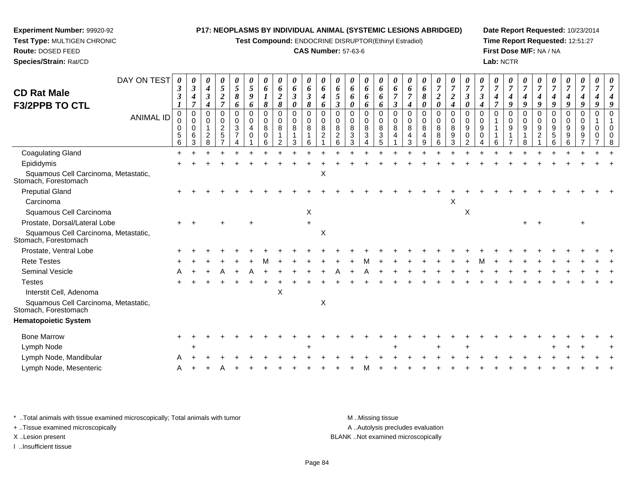**Test Compound:** ENDOCRINE DISRUPTOR(Ethinyl Estradiol)

#### **CAS Number:** 57-63-6

**Date Report Requested:** 10/23/2014**Time Report Requested:** 12:51:27**First Dose M/F:** NA / NA**Lab:** NCTR

| DAY ON TEST                                                  | 0<br>3                | 0<br>$\boldsymbol{\beta}$                           | 0<br>4                             | 0<br>$\mathfrak{s}$                            | 0<br>5             | 5                     | 0<br>6                                           | 0<br>6                | 6                               | 0<br>6                            | 6                                              | 6                                   | 0<br>6                           | 0<br>6                               | 0<br>6                       | 6              | 6                | 0<br>6                                    | 0<br>$\overline{7}$                       | 0<br>$\overline{7}$          |        |                           | 0<br>7            | 0<br>$\overline{7}$          | $\overline{7}$          |                    | $\overline{7}$                           |                       |                              |          |  |
|--------------------------------------------------------------|-----------------------|-----------------------------------------------------|------------------------------------|------------------------------------------------|--------------------|-----------------------|--------------------------------------------------|-----------------------|---------------------------------|-----------------------------------|------------------------------------------------|-------------------------------------|----------------------------------|--------------------------------------|------------------------------|----------------|------------------|-------------------------------------------|-------------------------------------------|------------------------------|--------|---------------------------|-------------------|------------------------------|-------------------------|--------------------|------------------------------------------|-----------------------|------------------------------|----------|--|
| <b>CD Rat Male</b>                                           | 3                     | 4                                                   | $\boldsymbol{\beta}$               | $\overline{\mathbf{c}}$                        | 8                  | 9                     |                                                  | $\boldsymbol{2}$      | $\boldsymbol{\beta}$            | 3                                 | 4                                              | 5                                   | 6                                | 6                                    | 6                            |                |                  | 8                                         | $\boldsymbol{2}$                          | $\overline{2}$               | 3      | 3                         | 4                 | 4                            | 4                       | 4                  | 4                                        | 4                     |                              |          |  |
| <b>F3/2PPB TO CTL</b>                                        |                       | $\overline{7}$                                      | 4                                  | $\overline{7}$                                 | 6                  | 6                     | 8                                                | 8                     | $\boldsymbol{\theta}$           | 8                                 | 6                                              | 3                                   | 0                                | 6                                    | 6                            | $\mathfrak{z}$ | 4                | 0                                         | $\pmb{\theta}$                            | 4                            | 0      | 4                         | $\overline{\tau}$ | 9                            | 9                       | 9                  | 9                                        | 9                     | 9                            |          |  |
| <b>ANIMAL ID</b>                                             | 0<br>0<br>0<br>5<br>6 | $\mathbf 0$<br>$\mathbf 0$<br>$\mathbf 0$<br>6<br>3 | 0<br>0<br>1<br>$\overline{c}$<br>8 | $\Omega$<br>$\mathbf 0$<br>$\overline{c}$<br>5 | $\Omega$<br>0<br>3 | $\mathbf 0$<br>0<br>4 | $\mathbf 0$<br>$\mathbf 0$<br>8<br>$\Omega$<br>6 | $\mathbf 0$<br>0<br>8 | $\mathbf 0$<br>$\mathbf 0$<br>8 | $\Omega$<br>$\mathbf 0$<br>8<br>6 | $\Omega$<br>$\mathbf 0$<br>8<br>$\overline{c}$ | $\Omega$<br>$\Omega$<br>8<br>2<br>6 | 0<br>0<br>8<br>$\mathbf{3}$<br>3 | $\mathbf 0$<br>$\mathbf 0$<br>8<br>3 | $\Omega$<br>0<br>8<br>3<br>5 | 0<br>0<br>8    | 0<br>0<br>8<br>3 | $\mathbf 0$<br>$\mathbf 0$<br>8<br>4<br>9 | $\mathbf 0$<br>$\mathbf 0$<br>8<br>8<br>6 | $\Omega$<br>0<br>8<br>9<br>3 | 0<br>9 | $\Omega$<br>$\Omega$<br>9 | 0<br>6            | $\Omega$<br>$\mathbf 0$<br>9 | $\Omega$<br>0<br>9<br>8 | $\Omega$<br>0<br>9 | $\mathbf 0$<br>0<br>9<br>$\sqrt{5}$<br>6 | 0<br>0<br>9<br>9<br>6 | $\Omega$<br>$\mathbf 0$<br>9 | $\Omega$ |  |
| <b>Coagulating Gland</b>                                     |                       |                                                     |                                    |                                                |                    |                       |                                                  |                       |                                 |                                   |                                                |                                     |                                  |                                      |                              |                |                  |                                           |                                           |                              |        |                           |                   |                              |                         |                    |                                          |                       |                              |          |  |
| Epididymis                                                   |                       |                                                     |                                    |                                                |                    |                       |                                                  |                       |                                 |                                   |                                                |                                     |                                  |                                      |                              |                |                  |                                           |                                           |                              |        |                           |                   |                              |                         |                    |                                          |                       |                              |          |  |
| Squamous Cell Carcinoma, Metastatic,<br>Stomach, Forestomach |                       |                                                     |                                    |                                                |                    |                       |                                                  |                       |                                 |                                   | Χ                                              |                                     |                                  |                                      |                              |                |                  |                                           |                                           |                              |        |                           |                   |                              |                         |                    |                                          |                       |                              |          |  |
| <b>Preputial Gland</b>                                       |                       |                                                     |                                    |                                                |                    |                       |                                                  |                       |                                 |                                   |                                                |                                     |                                  |                                      |                              |                |                  |                                           |                                           |                              |        |                           |                   |                              |                         |                    |                                          |                       |                              |          |  |
| Carcinoma                                                    |                       |                                                     |                                    |                                                |                    |                       |                                                  |                       |                                 |                                   |                                                |                                     |                                  |                                      |                              |                |                  |                                           |                                           | X                            |        |                           |                   |                              |                         |                    |                                          |                       |                              |          |  |
| Squamous Cell Carcinoma                                      |                       |                                                     |                                    |                                                |                    |                       |                                                  |                       |                                 | X                                 |                                                |                                     |                                  |                                      |                              |                |                  |                                           |                                           |                              | X      |                           |                   |                              |                         |                    |                                          |                       |                              |          |  |
| Prostate, Dorsal/Lateral Lobe                                |                       |                                                     |                                    |                                                |                    |                       |                                                  |                       |                                 |                                   |                                                |                                     |                                  |                                      |                              |                |                  |                                           |                                           |                              |        |                           |                   |                              |                         |                    |                                          |                       |                              |          |  |
| Squamous Cell Carcinoma, Metastatic,<br>Stomach, Forestomach |                       |                                                     |                                    |                                                |                    |                       |                                                  |                       |                                 |                                   | X                                              |                                     |                                  |                                      |                              |                |                  |                                           |                                           |                              |        |                           |                   |                              |                         |                    |                                          |                       |                              |          |  |
| Prostate, Ventral Lobe                                       |                       |                                                     |                                    |                                                |                    |                       |                                                  |                       |                                 |                                   |                                                |                                     |                                  |                                      |                              |                |                  |                                           |                                           |                              |        |                           |                   |                              |                         |                    |                                          |                       |                              |          |  |
| <b>Rete Testes</b>                                           |                       |                                                     |                                    |                                                |                    |                       |                                                  |                       |                                 |                                   |                                                |                                     |                                  |                                      |                              |                |                  |                                           |                                           |                              |        |                           |                   |                              |                         |                    |                                          |                       |                              |          |  |
| <b>Seminal Vesicle</b>                                       |                       |                                                     |                                    |                                                |                    |                       |                                                  |                       |                                 |                                   |                                                |                                     |                                  |                                      |                              |                |                  |                                           |                                           |                              |        |                           |                   |                              |                         |                    |                                          |                       |                              |          |  |
| <b>Testes</b>                                                |                       |                                                     |                                    |                                                |                    |                       |                                                  |                       |                                 |                                   |                                                |                                     |                                  |                                      |                              |                |                  |                                           |                                           |                              |        |                           |                   |                              |                         |                    |                                          |                       |                              |          |  |
| Interstit Cell, Adenoma                                      |                       |                                                     |                                    |                                                |                    |                       |                                                  | X                     |                                 |                                   |                                                |                                     |                                  |                                      |                              |                |                  |                                           |                                           |                              |        |                           |                   |                              |                         |                    |                                          |                       |                              |          |  |
| Squamous Cell Carcinoma, Metastatic,<br>Stomach, Forestomach |                       |                                                     |                                    |                                                |                    |                       |                                                  |                       |                                 |                                   | X                                              |                                     |                                  |                                      |                              |                |                  |                                           |                                           |                              |        |                           |                   |                              |                         |                    |                                          |                       |                              |          |  |
| <b>Hematopoietic System</b>                                  |                       |                                                     |                                    |                                                |                    |                       |                                                  |                       |                                 |                                   |                                                |                                     |                                  |                                      |                              |                |                  |                                           |                                           |                              |        |                           |                   |                              |                         |                    |                                          |                       |                              |          |  |
| <b>Bone Marrow</b>                                           |                       |                                                     |                                    |                                                |                    |                       |                                                  |                       |                                 |                                   |                                                |                                     |                                  |                                      |                              |                |                  |                                           |                                           |                              |        |                           |                   |                              |                         |                    |                                          |                       |                              |          |  |
| Lymph Node                                                   |                       |                                                     |                                    |                                                |                    |                       |                                                  |                       |                                 |                                   |                                                |                                     |                                  |                                      |                              |                |                  |                                           |                                           |                              |        |                           |                   |                              |                         |                    |                                          |                       |                              |          |  |
| Lymph Node, Mandibular                                       |                       |                                                     |                                    |                                                |                    |                       |                                                  |                       |                                 |                                   |                                                |                                     |                                  |                                      |                              |                |                  |                                           |                                           |                              |        |                           |                   |                              |                         |                    |                                          |                       |                              |          |  |
| Lymph Node, Mesenteric                                       |                       |                                                     |                                    |                                                |                    |                       |                                                  |                       |                                 |                                   |                                                |                                     |                                  |                                      |                              |                |                  |                                           |                                           |                              |        |                           |                   |                              |                         |                    |                                          |                       |                              |          |  |
|                                                              |                       |                                                     |                                    |                                                |                    |                       |                                                  |                       |                                 |                                   |                                                |                                     |                                  |                                      |                              |                |                  |                                           |                                           |                              |        |                           |                   |                              |                         |                    |                                          |                       |                              |          |  |

\* ..Total animals with tissue examined microscopically; Total animals with tumor **M** . Missing tissue M ..Missing tissue

+ ..Tissue examined microscopically

**Experiment Number:** 99920-92**Test Type:** MULTIGEN CHRONIC

**Route:** DOSED FEED**Species/Strain:** Rat/CD

I ..Insufficient tissue

A ..Autolysis precludes evaluation X ..Lesion present BLANK ..Not examined microscopically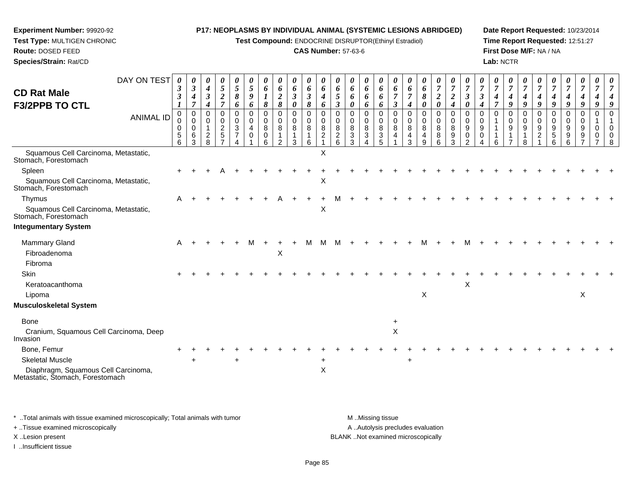**Test Compound:** ENDOCRINE DISRUPTOR(Ethinyl Estradiol)

#### **CAS Number:** 57-63-6

**Date Report Requested:** 10/23/2014**Time Report Requested:** 12:51:27**First Dose M/F:** NA / NA**Lab:** NCTR

| <b>CD Rat Male</b>                                                      | DAY ON TEST      | 3<br>$\mathfrak{z}$          | $\boldsymbol{\theta}$<br>$\boldsymbol{\beta}$<br>4<br>$\overline{7}$ | 0<br>$\boldsymbol{4}$<br>$\mathbf{3}$     | 0<br>$\sqrt{5}$<br>$\overline{2}$<br>$\overline{7}$                  | $\boldsymbol{\theta}$<br>$5\overline{)}$<br>8               | $\theta$<br>$\overline{5}$<br>9           | $\boldsymbol{\theta}$<br>6<br>$\boldsymbol{l}$ | $\boldsymbol{\theta}$<br>6<br>$\boldsymbol{2}$ | 0<br>6<br>$\boldsymbol{\beta}$ | $\boldsymbol{\theta}$<br>6<br>$\boldsymbol{\beta}$ | $\theta$<br>6<br>4                        | $\boldsymbol{\theta}$<br>6<br>5                                    | $\theta$<br>6<br>6                | 0<br>6<br>6                     | $\boldsymbol{\theta}$<br>6<br>6      | $\theta$<br>6                                        | 6<br>$\overline{7}$                         | $\boldsymbol{\theta}$<br>6<br>8                 | $\boldsymbol{\theta}$<br>$\boldsymbol{7}$<br>$\boldsymbol{2}$ | $\boldsymbol{\theta}$<br>$\overline{7}$<br>$\boldsymbol{2}$ | $\theta$<br>$\boldsymbol{\beta}$                            | $\boldsymbol{\beta}$                               | $\boldsymbol{\theta}$<br>$\overline{7}$<br>4 | $\theta$<br>$\overline{7}$ | $\boldsymbol{\theta}$<br>$\boldsymbol{4}$<br>9 | $\boldsymbol{\theta}$<br>4                             | 4                                 | U<br>4                            | $\theta$<br>$\boldsymbol{7}$ | $\boldsymbol{\theta}$ |  |
|-------------------------------------------------------------------------|------------------|------------------------------|----------------------------------------------------------------------|-------------------------------------------|----------------------------------------------------------------------|-------------------------------------------------------------|-------------------------------------------|------------------------------------------------|------------------------------------------------|--------------------------------|----------------------------------------------------|-------------------------------------------|--------------------------------------------------------------------|-----------------------------------|---------------------------------|--------------------------------------|------------------------------------------------------|---------------------------------------------|-------------------------------------------------|---------------------------------------------------------------|-------------------------------------------------------------|-------------------------------------------------------------|----------------------------------------------------|----------------------------------------------|----------------------------|------------------------------------------------|--------------------------------------------------------|-----------------------------------|-----------------------------------|------------------------------|-----------------------|--|
| <b>F3/2PPB TO CTL</b>                                                   | <b>ANIMAL ID</b> | $\Omega$<br>0<br>0<br>5<br>6 | $\mathbf 0$<br>$\mathbf 0$<br>0<br>6<br>3                            | 4<br>0<br>$\Omega$<br>$\overline{2}$<br>8 | 0<br>$\mathbf 0$<br>$\boldsymbol{2}$<br>$\sqrt{5}$<br>$\overline{7}$ | 6<br>$\mathbf 0$<br>$\mathbf 0$<br>3<br>$\overline{7}$<br>Δ | 6<br>$\mathbf 0$<br>$\mathbf 0$<br>4<br>0 | 8<br>$\mathbf 0$<br>$\mathbf 0$<br>8<br>0<br>6 | 8<br>0<br>0<br>8<br>2                          | 0<br>0<br>0<br>8<br>1<br>3     | 8<br>$\mathbf 0$<br>$\mathbf 0$<br>8<br>1<br>6     | 6<br>$\Omega$<br>0<br>8<br>$\overline{2}$ | $\mathfrak{z}$<br>$\Omega$<br>$\Omega$<br>8<br>$\overline{c}$<br>6 | 0<br>0<br>$\Omega$<br>8<br>3<br>3 | 6<br>0<br>$\mathbf 0$<br>8<br>3 | 6<br>0<br>$\mathbf 0$<br>8<br>3<br>5 | $\boldsymbol{\beta}$<br>$\Omega$<br>$\mathbf 0$<br>8 | 4<br>$\mathbf 0$<br>$\Omega$<br>8<br>4<br>3 | 0<br>0<br>$\mathbf 0$<br>8<br>4<br><sub>9</sub> | 0<br>0<br>$\mathbf 0$<br>8<br>8<br>6                          | 4<br>$\mathbf 0$<br>$\mathbf 0$<br>8<br>9<br>3              | 0<br>$\Omega$<br>$\mathbf 0$<br>$9\,$<br>0<br>$\mathcal{P}$ | $\boldsymbol{4}$<br>$\Omega$<br>$\Omega$<br>9<br>0 | $\Omega$                                     | 9<br>$\Omega$<br>0<br>9    | $\Omega$<br>$\mathbf 0$<br>9<br>8              | 9<br>$\mathbf 0$<br>$\mathbf 0$<br>9<br>$\overline{2}$ | 9<br>0<br>$\Omega$<br>9<br>5<br>6 | 9<br>0<br>$\Omega$<br>9<br>9<br>ี | 9<br>0<br>0<br>9<br>9        | 0<br>$\Omega$<br>0    |  |
| Squamous Cell Carcinoma, Metastatic,<br>Stomach, Forestomach            |                  |                              |                                                                      |                                           |                                                                      |                                                             |                                           |                                                |                                                |                                |                                                    | X                                         |                                                                    |                                   |                                 |                                      |                                                      |                                             |                                                 |                                                               |                                                             |                                                             |                                                    |                                              |                            |                                                |                                                        |                                   |                                   |                              |                       |  |
| Spleen                                                                  |                  |                              |                                                                      |                                           |                                                                      |                                                             |                                           |                                                |                                                |                                |                                                    |                                           |                                                                    |                                   |                                 |                                      |                                                      |                                             |                                                 |                                                               |                                                             |                                                             |                                                    |                                              |                            |                                                |                                                        |                                   |                                   |                              |                       |  |
| Squamous Cell Carcinoma, Metastatic,<br>Stomach, Forestomach            |                  |                              |                                                                      |                                           |                                                                      |                                                             |                                           |                                                |                                                |                                |                                                    | X                                         |                                                                    |                                   |                                 |                                      |                                                      |                                             |                                                 |                                                               |                                                             |                                                             |                                                    |                                              |                            |                                                |                                                        |                                   |                                   |                              |                       |  |
| Thymus                                                                  |                  | A                            |                                                                      |                                           |                                                                      |                                                             |                                           |                                                |                                                |                                |                                                    |                                           |                                                                    |                                   |                                 |                                      |                                                      |                                             |                                                 |                                                               |                                                             |                                                             |                                                    |                                              |                            |                                                |                                                        |                                   |                                   |                              |                       |  |
| Squamous Cell Carcinoma, Metastatic,<br>Stomach, Forestomach            |                  |                              |                                                                      |                                           |                                                                      |                                                             |                                           |                                                |                                                |                                |                                                    | X                                         |                                                                    |                                   |                                 |                                      |                                                      |                                             |                                                 |                                                               |                                                             |                                                             |                                                    |                                              |                            |                                                |                                                        |                                   |                                   |                              |                       |  |
| <b>Integumentary System</b>                                             |                  |                              |                                                                      |                                           |                                                                      |                                                             |                                           |                                                |                                                |                                |                                                    |                                           |                                                                    |                                   |                                 |                                      |                                                      |                                             |                                                 |                                                               |                                                             |                                                             |                                                    |                                              |                            |                                                |                                                        |                                   |                                   |                              |                       |  |
| <b>Mammary Gland</b>                                                    |                  | A                            |                                                                      |                                           |                                                                      |                                                             |                                           |                                                |                                                |                                |                                                    |                                           |                                                                    |                                   |                                 |                                      |                                                      |                                             |                                                 |                                                               |                                                             |                                                             |                                                    |                                              |                            |                                                |                                                        |                                   |                                   |                              |                       |  |
| Fibroadenoma                                                            |                  |                              |                                                                      |                                           |                                                                      |                                                             |                                           |                                                | Χ                                              |                                |                                                    |                                           |                                                                    |                                   |                                 |                                      |                                                      |                                             |                                                 |                                                               |                                                             |                                                             |                                                    |                                              |                            |                                                |                                                        |                                   |                                   |                              |                       |  |
| Fibroma                                                                 |                  |                              |                                                                      |                                           |                                                                      |                                                             |                                           |                                                |                                                |                                |                                                    |                                           |                                                                    |                                   |                                 |                                      |                                                      |                                             |                                                 |                                                               |                                                             |                                                             |                                                    |                                              |                            |                                                |                                                        |                                   |                                   |                              |                       |  |
| Skin                                                                    |                  |                              |                                                                      |                                           |                                                                      |                                                             |                                           |                                                |                                                |                                |                                                    |                                           |                                                                    |                                   |                                 |                                      |                                                      |                                             |                                                 |                                                               |                                                             |                                                             |                                                    |                                              |                            |                                                |                                                        |                                   |                                   |                              |                       |  |
| Keratoacanthoma                                                         |                  |                              |                                                                      |                                           |                                                                      |                                                             |                                           |                                                |                                                |                                |                                                    |                                           |                                                                    |                                   |                                 |                                      |                                                      |                                             |                                                 |                                                               |                                                             | X                                                           |                                                    |                                              |                            |                                                |                                                        |                                   |                                   |                              |                       |  |
| Lipoma                                                                  |                  |                              |                                                                      |                                           |                                                                      |                                                             |                                           |                                                |                                                |                                |                                                    |                                           |                                                                    |                                   |                                 |                                      |                                                      |                                             | X                                               |                                                               |                                                             |                                                             |                                                    |                                              |                            |                                                |                                                        |                                   |                                   | X                            |                       |  |
| Musculoskeletal System                                                  |                  |                              |                                                                      |                                           |                                                                      |                                                             |                                           |                                                |                                                |                                |                                                    |                                           |                                                                    |                                   |                                 |                                      |                                                      |                                             |                                                 |                                                               |                                                             |                                                             |                                                    |                                              |                            |                                                |                                                        |                                   |                                   |                              |                       |  |
| <b>Bone</b>                                                             |                  |                              |                                                                      |                                           |                                                                      |                                                             |                                           |                                                |                                                |                                |                                                    |                                           |                                                                    |                                   |                                 |                                      |                                                      |                                             |                                                 |                                                               |                                                             |                                                             |                                                    |                                              |                            |                                                |                                                        |                                   |                                   |                              |                       |  |
| Cranium, Squamous Cell Carcinoma, Deep<br>Invasion                      |                  |                              |                                                                      |                                           |                                                                      |                                                             |                                           |                                                |                                                |                                |                                                    |                                           |                                                                    |                                   |                                 |                                      | $\pmb{\times}$                                       |                                             |                                                 |                                                               |                                                             |                                                             |                                                    |                                              |                            |                                                |                                                        |                                   |                                   |                              |                       |  |
| Bone, Femur                                                             |                  |                              |                                                                      |                                           |                                                                      |                                                             |                                           |                                                |                                                |                                |                                                    |                                           |                                                                    |                                   |                                 |                                      |                                                      |                                             |                                                 |                                                               |                                                             |                                                             |                                                    |                                              |                            |                                                |                                                        |                                   |                                   |                              |                       |  |
| <b>Skeletal Muscle</b>                                                  |                  |                              |                                                                      |                                           |                                                                      | $\ddot{}$                                                   |                                           |                                                |                                                |                                |                                                    | $\pm$                                     |                                                                    |                                   |                                 |                                      |                                                      | $\ddot{}$                                   |                                                 |                                                               |                                                             |                                                             |                                                    |                                              |                            |                                                |                                                        |                                   |                                   |                              |                       |  |
| Diaphragm, Squamous Cell Carcinoma,<br>Metastatic, Štomach, Forestomach |                  |                              |                                                                      |                                           |                                                                      |                                                             |                                           |                                                |                                                |                                |                                                    | $\mathsf X$                               |                                                                    |                                   |                                 |                                      |                                                      |                                             |                                                 |                                                               |                                                             |                                                             |                                                    |                                              |                            |                                                |                                                        |                                   |                                   |                              |                       |  |

\* ..Total animals with tissue examined microscopically; Total animals with tumor **M** . Missing tissue M ..Missing tissue A ..Autolysis precludes evaluation + ..Tissue examined microscopically X ..Lesion present BLANK ..Not examined microscopicallyI ..Insufficient tissue

**Experiment Number:** 99920-92**Test Type:** MULTIGEN CHRONIC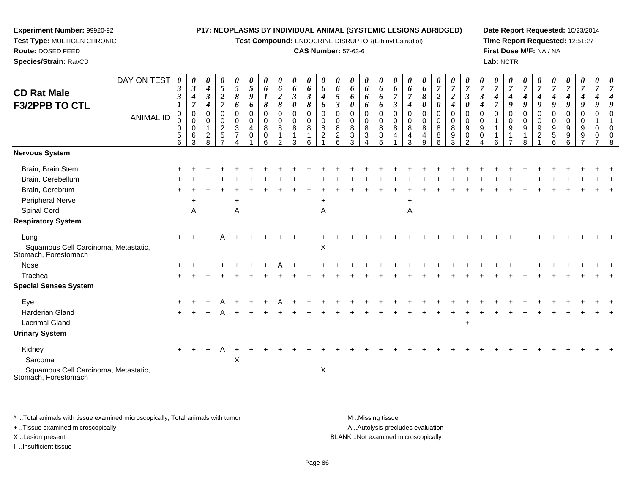**Test Compound:** ENDOCRINE DISRUPTOR(Ethinyl Estradiol)

#### **CAS Number:** 57-63-6

**Date Report Requested:** 10/23/2014**Time Report Requested:** 12:51:27**First Dose M/F:** NA / NA**Lab:** NCTR

| DAY ON TEST<br><b>CD Rat Male</b><br><b>F3/2PPB TO CTL</b>                                                                                                                                                                                                  | 0<br>$\boldsymbol{\beta}$<br>$\boldsymbol{\beta}$ | 0<br>$\boldsymbol{\beta}$<br>4<br>$\overline{7}$ | 0<br>$\boldsymbol{4}$<br>$\boldsymbol{\beta}$<br>4 | 0<br>$\overline{5}$<br>$\boldsymbol{2}$<br>$\overline{7}$      | 0<br>$\mathfrak{s}$<br>8<br>6           | 0<br>$\mathfrak{s}$<br>9<br>6            | 0<br>6<br>8                               | $\boldsymbol{\theta}$<br>6<br>$\overline{2}$<br>8                 | 0<br>6<br>$\boldsymbol{\beta}$<br>$\boldsymbol{\theta}$ | $\boldsymbol{\theta}$<br>6<br>$\boldsymbol{\beta}$<br>8 | 0<br>6<br>4<br>6                                | $\boldsymbol{\theta}$<br>6<br>5<br>$\boldsymbol{\beta}$ | 0<br>6<br>6<br>0                             | 0<br>6<br>6<br>6                                             | 0<br>6<br>6<br>6                         | 0<br>6<br>$\overline{7}$<br>$\boldsymbol{\beta}$ | 0<br>6<br>$\overline{7}$<br>4 | $\boldsymbol{\theta}$<br>6<br>8<br>0 | $\boldsymbol{\theta}$<br>$\overline{7}$<br>$\boldsymbol{2}$<br>$\boldsymbol{\theta}$ | $\boldsymbol{\theta}$<br>$\overline{7}$<br>$\boldsymbol{2}$<br>$\boldsymbol{4}$ | $\overline{7}$<br>$\boldsymbol{\beta}$<br>0                  | 0<br>$\overline{7}$<br>3<br>4  | 0<br>$\overline{7}$<br>4<br>$\overline{\tau}$ | $\boldsymbol{\theta}$<br>$\overline{7}$<br>4<br>9 | $\boldsymbol{\theta}$<br>$\overline{7}$<br>$\boldsymbol{4}$<br>9 | $\overline{7}$<br>$\boldsymbol{4}$<br>9               | 0<br>$\overline{7}$<br>4<br>9          | 0<br>$\overline{7}$<br>$\boldsymbol{4}$<br>9 | $\boldsymbol{\theta}$<br>$\overline{7}$<br>$\boldsymbol{4}$<br>9 | 0<br>$\overline{7}$<br>4<br>9 | 0<br>$\overline{7}$<br>$\overline{4}$<br>9          |
|-------------------------------------------------------------------------------------------------------------------------------------------------------------------------------------------------------------------------------------------------------------|---------------------------------------------------|--------------------------------------------------|----------------------------------------------------|----------------------------------------------------------------|-----------------------------------------|------------------------------------------|-------------------------------------------|-------------------------------------------------------------------|---------------------------------------------------------|---------------------------------------------------------|-------------------------------------------------|---------------------------------------------------------|----------------------------------------------|--------------------------------------------------------------|------------------------------------------|--------------------------------------------------|-------------------------------|--------------------------------------|--------------------------------------------------------------------------------------|---------------------------------------------------------------------------------|--------------------------------------------------------------|--------------------------------|-----------------------------------------------|---------------------------------------------------|------------------------------------------------------------------|-------------------------------------------------------|----------------------------------------|----------------------------------------------|------------------------------------------------------------------|-------------------------------|-----------------------------------------------------|
| <b>ANIMAL ID</b>                                                                                                                                                                                                                                            | 0<br>0<br>0<br>$\mathbf 5$<br>6                   | 0<br>$\mathbf 0$<br>0<br>$\,6\,$<br>3            | 0<br>$\mathbf 0$<br>1<br>$\overline{c}$<br>8       | $\mathbf 0$<br>$\mathbf 0$<br>$\overline{2}$<br>$\overline{5}$ | 0<br>$\mathbf 0$<br>3<br>$\overline{7}$ | $\mathbf 0$<br>$\Omega$<br>4<br>$\Omega$ | $\mathbf 0$<br>$\mathbf 0$<br>8<br>0<br>6 | $\mathbf 0$<br>$\mathbf 0$<br>8<br>$\mathbf{1}$<br>$\overline{2}$ | $\mathbf 0$<br>$\mathbf 0$<br>8<br>$\mathbf{1}$<br>3    | 0<br>$\mathbf 0$<br>8<br>1<br>6                         | 0<br>$\mathbf 0$<br>$\bf 8$<br>$\boldsymbol{2}$ | 0<br>$\mathbf 0$<br>8<br>$\overline{a}$<br>6            | $\mathbf 0$<br>0<br>8<br>$\mathfrak{3}$<br>3 | 0<br>$\mathbf 0$<br>$\, 8$<br>$\ensuremath{\mathsf{3}}$<br>4 | $\mathbf 0$<br>0<br>8<br>$\sqrt{3}$<br>5 | $\mathbf 0$<br>0<br>8<br>$\overline{4}$          | 0<br>0<br>8<br>4<br>3         | 0<br>0<br>8<br>4<br>$\boldsymbol{9}$ | $\mathbf 0$<br>$\mathbf 0$<br>8<br>$\bf 8$<br>6                                      | $\mathbf 0$<br>0<br>8<br>$\boldsymbol{9}$<br>3                                  | $\mathbf 0$<br>$\Omega$<br>9<br>$\mathbf 0$<br>$\mathcal{D}$ | $\Omega$<br>$\Omega$<br>9<br>0 | 0<br>$\mathbf{1}$<br>-1<br>6                  | $\mathbf 0$<br>$\mathbf 0$<br>9                   | $\mathbf 0$<br>$\mathbf 0$<br>9<br>-1<br>8                       | $\mathbf 0$<br>$\mathbf 0$<br>$9\,$<br>$\overline{2}$ | $\Omega$<br>$\mathbf 0$<br>9<br>5<br>6 | 0<br>0<br>$9\,$<br>$\boldsymbol{9}$<br>6     | $\mathbf 0$<br>$\mathbf 0$<br>9<br>9                             | $\Omega$<br>0<br>0            | $\Omega$<br>$\overline{1}$<br>$\mathbf 0$<br>0<br>8 |
| Nervous System                                                                                                                                                                                                                                              |                                                   |                                                  |                                                    |                                                                |                                         |                                          |                                           |                                                                   |                                                         |                                                         |                                                 |                                                         |                                              |                                                              |                                          |                                                  |                               |                                      |                                                                                      |                                                                                 |                                                              |                                |                                               |                                                   |                                                                  |                                                       |                                        |                                              |                                                                  |                               |                                                     |
| Brain, Brain Stem<br>Brain, Cerebellum<br>Brain, Cerebrum<br><b>Peripheral Nerve</b><br>Spinal Cord<br><b>Respiratory System</b><br>Lung<br>Squamous Cell Carcinoma, Metastatic,<br>Stomach, Forestomach<br>Nose<br>Trachea<br><b>Special Senses System</b> | $+$                                               | $\ddot{}$<br>A                                   |                                                    |                                                                | $\ddot{}$<br>A                          |                                          |                                           |                                                                   |                                                         |                                                         | $\ddot{}$<br>A<br>$\boldsymbol{\mathsf{X}}$     |                                                         |                                              |                                                              |                                          |                                                  | $\ddot{}$<br>A                |                                      |                                                                                      |                                                                                 |                                                              |                                |                                               |                                                   |                                                                  |                                                       |                                        |                                              |                                                                  |                               |                                                     |
| Eye<br><b>Harderian Gland</b><br><b>Lacrimal Gland</b><br><b>Urinary System</b><br>Kidney<br>Sarcoma<br>Squamous Cell Carcinoma, Metastatic,<br>Stomach, Forestomach                                                                                        | $\ddot{}$                                         |                                                  |                                                    |                                                                | $\pmb{\times}$                          |                                          |                                           |                                                                   |                                                         |                                                         | X                                               |                                                         |                                              |                                                              |                                          |                                                  |                               |                                      |                                                                                      |                                                                                 | $\ddot{}$                                                    |                                |                                               |                                                   |                                                                  |                                                       |                                        |                                              |                                                                  |                               |                                                     |

\* ..Total animals with tissue examined microscopically; Total animals with tumor **M** . Missing tissue M ..Missing tissue A ..Autolysis precludes evaluation + ..Tissue examined microscopically X ..Lesion present BLANK ..Not examined microscopicallyI ..Insufficient tissue

**Experiment Number:** 99920-92**Test Type:** MULTIGEN CHRONIC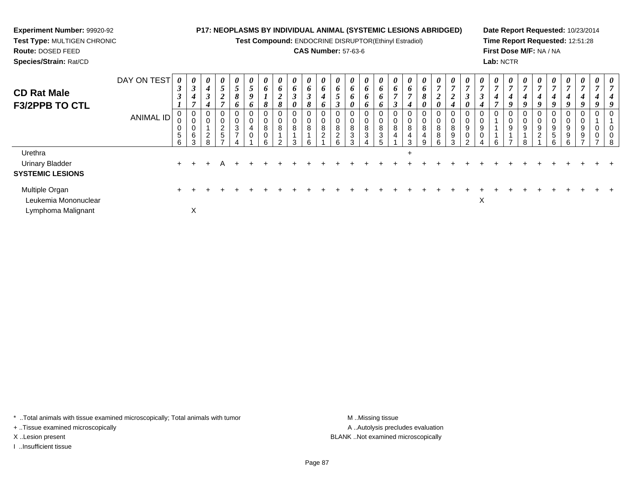**Test Compound:** ENDOCRINE DISRUPTOR(Ethinyl Estradiol)

#### **CAS Number:** 57-63-6

**Date Report Requested:** 10/23/2014**Time Report Requested:** 12:51:28**First Dose M/F:** NA / NA**Lab:** NCTR

| <b>CD Rat Male</b>                     | DAY ON TEST      | 0<br>$\boldsymbol{\beta}$ | $\boldsymbol{\theta}$<br>$\rightarrow$ | $\boldsymbol{\theta}$<br>4 | 0<br>5                | $\boldsymbol{\theta}$<br>$\mathcal{L}$ | 0<br>5                                  | 0<br>6            | $\boldsymbol{\theta}$<br>6               | $\boldsymbol{\theta}$<br>6 | $\boldsymbol{\theta}$<br>6                  | $\boldsymbol{\theta}$<br>6        | 0<br>6                        | 0<br>6           | $\boldsymbol{\theta}$<br>6 | $\boldsymbol{\theta}$<br>$\bm{o}$ | $\boldsymbol{\theta}$<br>6 | 0<br>6              | 0<br>6                     | $\boldsymbol{\theta}$ | $\boldsymbol{\theta}$ | $\boldsymbol{\theta}$<br>$\overline{ }$ | $\boldsymbol{\theta}$<br>$\mathbf{r}$ | $\boldsymbol{\theta}$ | 0           | $\boldsymbol{\theta}$ | $\boldsymbol{\theta}$<br>$\mathbf{r}$ | $\boldsymbol{\theta}$<br>$\overline{ }$ | $\boldsymbol{\theta}$<br>$\overline{ }$ | $\boldsymbol{\theta}$<br>7 | $\boldsymbol{\theta}$ | 0 |
|----------------------------------------|------------------|---------------------------|----------------------------------------|----------------------------|-----------------------|----------------------------------------|-----------------------------------------|-------------------|------------------------------------------|----------------------------|---------------------------------------------|-----------------------------------|-------------------------------|------------------|----------------------------|-----------------------------------|----------------------------|---------------------|----------------------------|-----------------------|-----------------------|-----------------------------------------|---------------------------------------|-----------------------|-------------|-----------------------|---------------------------------------|-----------------------------------------|-----------------------------------------|----------------------------|-----------------------|---|
| <b>F3/2PPB TO CTL</b>                  |                  | $\rightarrow$<br>J        | 4                                      | $\mathbf{J}$<br>4          | $\boldsymbol{2}$      | $\mathbf{o}$<br>$\sigma$<br>6          | 9<br>6                                  | $\mathbf{I}$<br>8 | $\mathbf{\hat{}}$<br>$\overline{z}$<br>8 | $\boldsymbol{\beta}$<br>0  | $\boldsymbol{\beta}$<br>$\overline{\delta}$ | 4<br>6                            | $\overline{\phantom{0}}$<br>J | o<br>0           | 6<br>6                     | $\bm{o}$<br>6                     | $\boldsymbol{\beta}$       | $\overline{ }$<br>4 | 8<br>$\boldsymbol{\theta}$ | $\overline{z}$<br>0   | ◢<br>4                | 3<br>$\boldsymbol{\theta}$              | $\boldsymbol{\beta}$<br>4             | $\boldsymbol{4}$      | 4<br>Q      | 4<br>9                | 4<br>9                                | 4<br>9                                  | 4<br>9                                  | 4<br>9                     | 4                     |   |
|                                        | <b>ANIMAL ID</b> | U<br>0<br>$\sqrt{5}$      | U<br>U<br>U<br>6                       | 0<br>0<br>$\overline{2}$   | 0<br>U<br>$rac{2}{5}$ | 0<br>0<br>3<br>⇁                       | $\mathbf 0$<br>0<br>4<br>$\overline{0}$ | 0<br>0<br>8<br>0  | 0<br>0<br>8                              | 0<br>0<br>8                | 0<br>0<br>8                                 | 0<br>$\mathbf 0$<br>8<br>$\Omega$ | 8<br>$\sim$<br>∼              | 0<br>0<br>8<br>3 | U<br>U<br>8<br>3           | 0<br>0<br>8<br>3                  | 0<br>0<br>8<br>4           | 0<br>0<br>8<br>4    | υ<br>8<br>4                | 0<br>0<br>8<br>8      | U<br>0<br>8<br>9      | 0<br>0<br>9<br>0                        | 0<br>0<br>9<br>0                      | 0                     | 0<br>U<br>9 | υ<br>U<br>9           | 0<br>0<br>9<br>$\overline{2}$         | 0<br>0<br>9<br>5                        | 0<br>0<br>$9\,$<br>9                    | 0<br>0<br>9<br>9           |                       |   |
| Urethra                                |                  | 6                         | 3                                      | 8                          | $\rightarrow$         |                                        |                                         | Р.                | ົ                                        | 3                          | ี                                           |                                   | $\mathbf{C}$                  | $\sim$           |                            |                                   |                            | ર<br>$\pm$          |                            | R.                    | $\sim$                | $\sim$                                  |                                       |                       |             |                       |                                       | 6                                       | 6                                       |                            |                       |   |
| <b>Urinary Bladder</b>                 |                  | $+$                       |                                        |                            |                       |                                        |                                         |                   |                                          |                            |                                             |                                   |                               |                  |                            |                                   |                            |                     |                            |                       |                       |                                         |                                       |                       |             |                       |                                       |                                         |                                         |                            |                       |   |
| <b>SYSTEMIC LESIONS</b>                |                  |                           |                                        |                            |                       |                                        |                                         |                   |                                          |                            |                                             |                                   |                               |                  |                            |                                   |                            |                     |                            |                       |                       |                                         |                                       |                       |             |                       |                                       |                                         |                                         |                            |                       |   |
| Multiple Organ<br>Leukemia Mononuclear |                  |                           |                                        |                            |                       |                                        |                                         |                   |                                          |                            |                                             |                                   |                               |                  |                            |                                   |                            |                     |                            |                       |                       |                                         | X                                     |                       |             |                       |                                       |                                         |                                         |                            |                       |   |

Lymphoma MalignantX

**Experiment Number:** 99920-92**Test Type:** MULTIGEN CHRONIC

**Route:** DOSED FEED**Species/Strain:** Rat/CD

\* ..Total animals with tissue examined microscopically; Total animals with tumor **M** . Missing tissue M ..Missing tissue

+ ..Tissue examined microscopically

I ..Insufficient tissue

A ..Autolysis precludes evaluation X ..Lesion present BLANK ..Not examined microscopically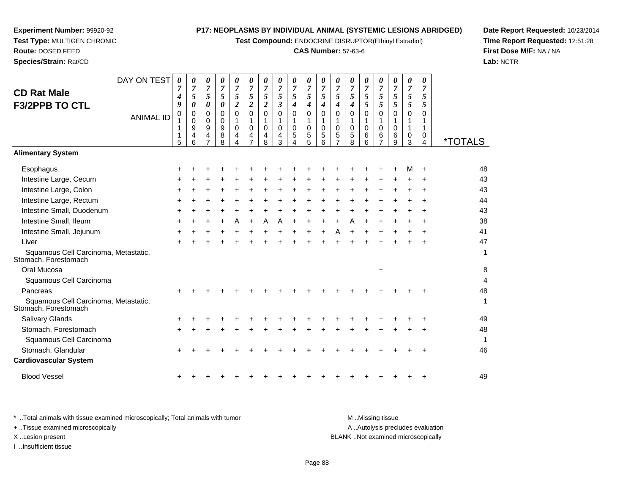**Test Compound:** ENDOCRINE DISRUPTOR(Ethinyl Estradiol)

# **CAS Number:** 57-63-6

**Date Report Requested:** 10/23/2014**Time Report Requested:** 12:51:28**First Dose M/F:** NA / NA**Lab:** NCTR

| * Total animals with tissue examined microscopically; Total animals with tumor | M Missing tissue                   |
|--------------------------------------------------------------------------------|------------------------------------|
| + Tissue examined microscopically                                              | A Autolysis precludes evaluation   |
| X Lesion present                                                               | BLANK Not examined microscopically |
| Insufficient tissue                                                            |                                    |

**CD Rat Male**

# **Test Type:** MULTIGEN CHRONIC**Route:** DOSED FEED

| DAY ON TEST<br><b>CD Rat Male</b>                            | 0<br>7<br>$\boldsymbol{4}$           | 0<br>7<br>5                                                        | 0<br>7<br>5                                                        | 0<br>7<br>5                                                | 0<br>$\overline{7}$<br>5                                       | 0<br>$\overline{7}$<br>5                                    | 0<br>7<br>5                                           | 0<br>$\overline{7}$<br>5                                       | 0<br>$\overline{7}$<br>5                                    | 0<br>$\overline{7}$<br>5                          | 0<br>$\overline{7}$<br>5                                              | 0<br>7<br>5                                           | 0<br>$\overline{7}$<br>5                                   | 0<br>$\overline{7}$<br>5             | 0<br>$\overline{7}$<br>5                                 | 0<br>$\overline{7}$<br>5     | 0<br>$\overline{7}$<br>5             | 0<br>$\overline{7}$<br>5 |                       |
|--------------------------------------------------------------|--------------------------------------|--------------------------------------------------------------------|--------------------------------------------------------------------|------------------------------------------------------------|----------------------------------------------------------------|-------------------------------------------------------------|-------------------------------------------------------|----------------------------------------------------------------|-------------------------------------------------------------|---------------------------------------------------|-----------------------------------------------------------------------|-------------------------------------------------------|------------------------------------------------------------|--------------------------------------|----------------------------------------------------------|------------------------------|--------------------------------------|--------------------------|-----------------------|
| <b>F3/2PPB TO CTL</b><br><b>ANIMAL ID</b>                    | 9<br>$\mathbf 0$<br>1<br>1<br>1<br>5 | $\boldsymbol{\theta}$<br>$\mathbf 0$<br>$\mathbf 0$<br>9<br>4<br>6 | 0<br>$\Omega$<br>$\mathbf 0$<br>$\boldsymbol{9}$<br>$\overline{4}$ | 0<br>$\Omega$<br>$\mathbf 0$<br>$\boldsymbol{9}$<br>8<br>8 | $\boldsymbol{2}$<br>$\mathbf{0}$<br>1<br>$\mathbf 0$<br>4<br>4 | $\overline{2}$<br>$\Omega$<br>1<br>0<br>4<br>$\overline{7}$ | $\overline{2}$<br>$\Omega$<br>1<br>$\Omega$<br>4<br>8 | $\boldsymbol{\beta}$<br>$\Omega$<br>1<br>$\mathbf 0$<br>4<br>3 | $\boldsymbol{4}$<br>$\mathbf 0$<br>1<br>$\pmb{0}$<br>5<br>4 | $\boldsymbol{4}$<br>0<br>1<br>$\pmb{0}$<br>5<br>5 | $\boldsymbol{4}$<br>$\Omega$<br>1<br>$\pmb{0}$<br>$\overline{5}$<br>6 | $\boldsymbol{4}$<br>$\Omega$<br>1<br>$\mathbf 0$<br>5 | $\boldsymbol{4}$<br>$\Omega$<br>1<br>$\mathbf 0$<br>5<br>8 | 5<br>$\mathbf 0$<br>1<br>0<br>6<br>6 | 5<br>$\Omega$<br>1<br>$\mathbf 0$<br>6<br>$\overline{7}$ | 5<br>$\Omega$<br>0<br>6<br>9 | 5<br>$\mathbf 0$<br>1<br>1<br>0<br>3 | 5<br>0<br>1<br>0<br>4    | <i><b>*TOTALS</b></i> |
| <b>Alimentary System</b>                                     |                                      |                                                                    |                                                                    |                                                            |                                                                |                                                             |                                                       |                                                                |                                                             |                                                   |                                                                       |                                                       |                                                            |                                      |                                                          |                              |                                      |                          |                       |
| Esophagus                                                    |                                      |                                                                    |                                                                    |                                                            |                                                                |                                                             |                                                       |                                                                |                                                             |                                                   |                                                                       |                                                       |                                                            |                                      |                                                          |                              | м                                    |                          | 48                    |
| Intestine Large, Cecum                                       |                                      |                                                                    |                                                                    |                                                            |                                                                |                                                             |                                                       |                                                                |                                                             |                                                   |                                                                       |                                                       |                                                            |                                      |                                                          |                              |                                      |                          | 43                    |
| Intestine Large, Colon                                       |                                      |                                                                    |                                                                    |                                                            |                                                                |                                                             |                                                       |                                                                |                                                             |                                                   |                                                                       |                                                       |                                                            |                                      | ÷                                                        |                              |                                      |                          | 43                    |
| Intestine Large, Rectum                                      |                                      |                                                                    |                                                                    |                                                            |                                                                |                                                             |                                                       |                                                                |                                                             |                                                   |                                                                       |                                                       |                                                            |                                      |                                                          |                              |                                      |                          | 44                    |
| Intestine Small, Duodenum                                    |                                      |                                                                    |                                                                    |                                                            |                                                                |                                                             |                                                       |                                                                |                                                             |                                                   |                                                                       |                                                       |                                                            |                                      |                                                          |                              |                                      |                          | 43                    |
| Intestine Small, Ileum                                       |                                      |                                                                    |                                                                    |                                                            | A                                                              | $\ddot{}$                                                   | Α                                                     | Α                                                              |                                                             | $\ddot{}$                                         | $\ddot{}$                                                             | $\div$                                                | Α                                                          |                                      | $\ddot{}$                                                |                              |                                      |                          | 38                    |
| Intestine Small, Jejunum                                     | ÷                                    |                                                                    |                                                                    |                                                            |                                                                |                                                             |                                                       |                                                                |                                                             |                                                   | $\ddot{}$                                                             | A                                                     |                                                            |                                      |                                                          |                              |                                      |                          | 41                    |
| Liver                                                        |                                      |                                                                    |                                                                    |                                                            |                                                                |                                                             |                                                       |                                                                |                                                             |                                                   |                                                                       |                                                       |                                                            |                                      |                                                          |                              |                                      |                          | 47                    |
| Squamous Cell Carcinoma, Metastatic,<br>Stomach, Forestomach |                                      |                                                                    |                                                                    |                                                            |                                                                |                                                             |                                                       |                                                                |                                                             |                                                   |                                                                       |                                                       |                                                            |                                      |                                                          |                              |                                      |                          | 1                     |
| Oral Mucosa                                                  |                                      |                                                                    |                                                                    |                                                            |                                                                |                                                             |                                                       |                                                                |                                                             |                                                   |                                                                       |                                                       |                                                            |                                      | +                                                        |                              |                                      |                          | 8                     |
| Squamous Cell Carcinoma                                      |                                      |                                                                    |                                                                    |                                                            |                                                                |                                                             |                                                       |                                                                |                                                             |                                                   |                                                                       |                                                       |                                                            |                                      |                                                          |                              |                                      |                          | $\overline{4}$        |
| Pancreas                                                     |                                      |                                                                    |                                                                    |                                                            |                                                                |                                                             |                                                       |                                                                |                                                             |                                                   |                                                                       |                                                       |                                                            |                                      |                                                          |                              |                                      |                          | 48                    |
| Squamous Cell Carcinoma, Metastatic,<br>Stomach, Forestomach |                                      |                                                                    |                                                                    |                                                            |                                                                |                                                             |                                                       |                                                                |                                                             |                                                   |                                                                       |                                                       |                                                            |                                      |                                                          |                              |                                      |                          | 1                     |
| <b>Salivary Glands</b>                                       |                                      |                                                                    |                                                                    |                                                            |                                                                |                                                             |                                                       |                                                                |                                                             |                                                   |                                                                       |                                                       |                                                            |                                      |                                                          |                              |                                      |                          | 49                    |
| Stomach, Forestomach                                         |                                      |                                                                    |                                                                    |                                                            |                                                                |                                                             |                                                       |                                                                |                                                             |                                                   |                                                                       |                                                       |                                                            |                                      |                                                          |                              |                                      |                          | 48                    |
| Squamous Cell Carcinoma                                      |                                      |                                                                    |                                                                    |                                                            |                                                                |                                                             |                                                       |                                                                |                                                             |                                                   |                                                                       |                                                       |                                                            |                                      |                                                          |                              |                                      |                          | 1                     |
| Stomach, Glandular                                           |                                      |                                                                    |                                                                    |                                                            |                                                                |                                                             |                                                       |                                                                |                                                             |                                                   |                                                                       |                                                       |                                                            |                                      |                                                          |                              |                                      |                          | 46                    |
| <b>Cardiovascular System</b>                                 |                                      |                                                                    |                                                                    |                                                            |                                                                |                                                             |                                                       |                                                                |                                                             |                                                   |                                                                       |                                                       |                                                            |                                      |                                                          |                              |                                      |                          |                       |
| <b>Blood Vessel</b>                                          |                                      |                                                                    |                                                                    |                                                            |                                                                |                                                             |                                                       |                                                                |                                                             |                                                   |                                                                       |                                                       |                                                            |                                      |                                                          |                              |                                      |                          | 49                    |

**Experiment Number:** 99920-92

**Species/Strain:** Rat/CD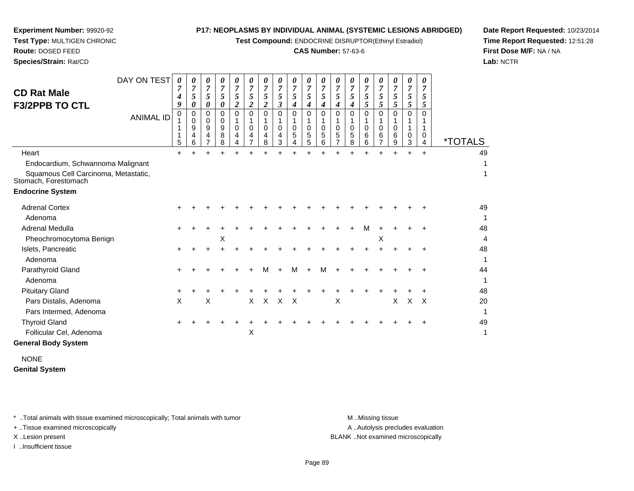**Test Compound:** ENDOCRINE DISRUPTOR(Ethinyl Estradiol)

#### **CAS Number:** 57-63-6

**Date Report Requested:** 10/23/2014**Time Report Requested:** 12:51:28**First Dose M/F:** NA / NA**Lab:** NCTR

| <b>CD Rat Male</b><br><b>F3/2PPB TO CTL</b>                  | DAY ON TEST<br><b>ANIMAL ID</b> | 0<br>4<br>9<br>0<br>5 | 0<br>7<br>5<br>$\boldsymbol{\theta}$<br>0<br>$\mathbf 0$<br>9<br>4<br>6 | 0<br>7<br>5<br>0<br>0<br>$\Omega$<br>9<br>4<br>$\overline{7}$ | $\boldsymbol{\theta}$<br>$\overline{7}$<br>5<br>$\boldsymbol{\theta}$<br>0<br>0<br>9<br>8<br>8 | 0<br>$\overline{7}$<br>5<br>$\overline{2}$<br>$\Omega$<br>$\mathbf 0$<br>$\overline{4}$<br>4 | $\boldsymbol{\theta}$<br>5<br>$\boldsymbol{2}$<br>$\Omega$<br>$\Omega$<br>4<br>$\overline{7}$ | 0<br>$\overline{7}$<br>5<br>$\boldsymbol{2}$<br>0<br>$\Omega$<br>4<br>8 | $\boldsymbol{\theta}$<br>7<br>5<br>3<br>0<br>$\Omega$<br>4<br>3 | 0<br>7<br>5<br>4<br>0<br>$\mathbf 0$<br>5<br>4 | 0<br>5<br>4<br>0<br>0<br>5<br>5 | $\boldsymbol{\theta}$<br>7<br>5<br>4<br>0<br>$\Omega$<br>5<br>6 | 0<br>$\overline{7}$<br>5<br>4<br>$\Omega$<br>$\mathbf 0$<br>5<br>$\overline{7}$ | 0<br>7<br>5<br>$\boldsymbol{4}$<br>$\Omega$<br>$\mathbf 0$<br>5<br>8 | 0<br>7<br>5<br>5<br>0<br>$\Omega$<br>6<br>6 | 0<br>7<br>5<br>5<br>0<br>$\Omega$<br>6<br>7 | 0<br>7<br>5<br>5<br>$\Omega$<br>$\mathbf 0$<br>6<br>9 | $\boldsymbol{\theta}$<br>$\overline{7}$<br>$\mathfrak{s}$<br>$5\overline{)}$<br>$\Omega$<br>1<br>0<br>3 | 0<br>7<br>5<br>5<br>0<br>0<br>4 | <i><b>*TOTALS</b></i> |
|--------------------------------------------------------------|---------------------------------|-----------------------|-------------------------------------------------------------------------|---------------------------------------------------------------|------------------------------------------------------------------------------------------------|----------------------------------------------------------------------------------------------|-----------------------------------------------------------------------------------------------|-------------------------------------------------------------------------|-----------------------------------------------------------------|------------------------------------------------|---------------------------------|-----------------------------------------------------------------|---------------------------------------------------------------------------------|----------------------------------------------------------------------|---------------------------------------------|---------------------------------------------|-------------------------------------------------------|---------------------------------------------------------------------------------------------------------|---------------------------------|-----------------------|
| Heart                                                        |                                 | $\ddot{}$             |                                                                         |                                                               |                                                                                                |                                                                                              |                                                                                               |                                                                         |                                                                 |                                                |                                 |                                                                 |                                                                                 |                                                                      |                                             |                                             |                                                       |                                                                                                         | $\ddot{}$                       | 49                    |
| Endocardium, Schwannoma Malignant                            |                                 |                       |                                                                         |                                                               |                                                                                                |                                                                                              |                                                                                               |                                                                         |                                                                 |                                                |                                 |                                                                 |                                                                                 |                                                                      |                                             |                                             |                                                       |                                                                                                         |                                 |                       |
| Squamous Cell Carcinoma, Metastatic,<br>Stomach, Forestomach |                                 |                       |                                                                         |                                                               |                                                                                                |                                                                                              |                                                                                               |                                                                         |                                                                 |                                                |                                 |                                                                 |                                                                                 |                                                                      |                                             |                                             |                                                       |                                                                                                         |                                 | 1                     |
| <b>Endocrine System</b>                                      |                                 |                       |                                                                         |                                                               |                                                                                                |                                                                                              |                                                                                               |                                                                         |                                                                 |                                                |                                 |                                                                 |                                                                                 |                                                                      |                                             |                                             |                                                       |                                                                                                         |                                 |                       |
| <b>Adrenal Cortex</b>                                        |                                 |                       |                                                                         |                                                               |                                                                                                |                                                                                              |                                                                                               |                                                                         |                                                                 |                                                |                                 |                                                                 |                                                                                 |                                                                      |                                             |                                             |                                                       |                                                                                                         |                                 | 49                    |
| Adenoma                                                      |                                 |                       |                                                                         |                                                               |                                                                                                |                                                                                              |                                                                                               |                                                                         |                                                                 |                                                |                                 |                                                                 |                                                                                 |                                                                      |                                             |                                             |                                                       |                                                                                                         |                                 |                       |
| Adrenal Medulla                                              |                                 |                       |                                                                         |                                                               |                                                                                                |                                                                                              |                                                                                               |                                                                         |                                                                 |                                                |                                 |                                                                 |                                                                                 |                                                                      | м                                           |                                             |                                                       |                                                                                                         |                                 | 48                    |
| Pheochromocytoma Benign                                      |                                 |                       |                                                                         |                                                               | X                                                                                              |                                                                                              |                                                                                               |                                                                         |                                                                 |                                                |                                 |                                                                 |                                                                                 |                                                                      |                                             | X                                           |                                                       |                                                                                                         |                                 | 4                     |
| Islets, Pancreatic                                           |                                 |                       |                                                                         |                                                               |                                                                                                |                                                                                              |                                                                                               |                                                                         |                                                                 |                                                |                                 |                                                                 |                                                                                 |                                                                      |                                             |                                             |                                                       |                                                                                                         |                                 | 48                    |
| Adenoma                                                      |                                 |                       |                                                                         |                                                               |                                                                                                |                                                                                              |                                                                                               |                                                                         |                                                                 |                                                |                                 |                                                                 |                                                                                 |                                                                      |                                             |                                             |                                                       |                                                                                                         |                                 | 1                     |
| Parathyroid Gland                                            |                                 |                       |                                                                         |                                                               |                                                                                                |                                                                                              |                                                                                               | м                                                                       |                                                                 | М                                              | +                               | м                                                               |                                                                                 |                                                                      |                                             |                                             |                                                       |                                                                                                         |                                 | 44                    |
| Adenoma                                                      |                                 |                       |                                                                         |                                                               |                                                                                                |                                                                                              |                                                                                               |                                                                         |                                                                 |                                                |                                 |                                                                 |                                                                                 |                                                                      |                                             |                                             |                                                       |                                                                                                         |                                 | 1                     |
| <b>Pituitary Gland</b>                                       |                                 |                       |                                                                         |                                                               |                                                                                                |                                                                                              |                                                                                               |                                                                         |                                                                 |                                                |                                 |                                                                 |                                                                                 |                                                                      |                                             |                                             |                                                       |                                                                                                         |                                 | 48                    |
| Pars Distalis, Adenoma                                       |                                 | X                     |                                                                         | X                                                             |                                                                                                |                                                                                              | X                                                                                             | X                                                                       | $\times$                                                        | $\times$                                       |                                 |                                                                 | Χ                                                                               |                                                                      |                                             |                                             | X                                                     | X                                                                                                       | $\times$                        | 20                    |
| Pars Intermed, Adenoma                                       |                                 |                       |                                                                         |                                                               |                                                                                                |                                                                                              |                                                                                               |                                                                         |                                                                 |                                                |                                 |                                                                 |                                                                                 |                                                                      |                                             |                                             |                                                       |                                                                                                         |                                 | 1                     |
| <b>Thyroid Gland</b>                                         |                                 |                       |                                                                         |                                                               |                                                                                                |                                                                                              |                                                                                               |                                                                         |                                                                 |                                                |                                 |                                                                 |                                                                                 |                                                                      |                                             |                                             |                                                       |                                                                                                         |                                 | 49                    |
| Follicular Cel, Adenoma                                      |                                 |                       |                                                                         |                                                               |                                                                                                |                                                                                              | X                                                                                             |                                                                         |                                                                 |                                                |                                 |                                                                 |                                                                                 |                                                                      |                                             |                                             |                                                       |                                                                                                         |                                 | 1                     |
| <b>General Body System</b>                                   |                                 |                       |                                                                         |                                                               |                                                                                                |                                                                                              |                                                                                               |                                                                         |                                                                 |                                                |                                 |                                                                 |                                                                                 |                                                                      |                                             |                                             |                                                       |                                                                                                         |                                 |                       |
|                                                              |                                 |                       |                                                                         |                                                               |                                                                                                |                                                                                              |                                                                                               |                                                                         |                                                                 |                                                |                                 |                                                                 |                                                                                 |                                                                      |                                             |                                             |                                                       |                                                                                                         |                                 |                       |

NONE**Genital System**

\* ..Total animals with tissue examined microscopically; Total animals with tumor **M** . Missing tissue M ..Missing tissue

+ ..Tissue examined microscopically

**Experiment Number:** 99920-92**Test Type:** MULTIGEN CHRONIC

**Route:** DOSED FEED**Species/Strain:** Rat/CD

I ..Insufficient tissue

A ..Autolysis precludes evaluation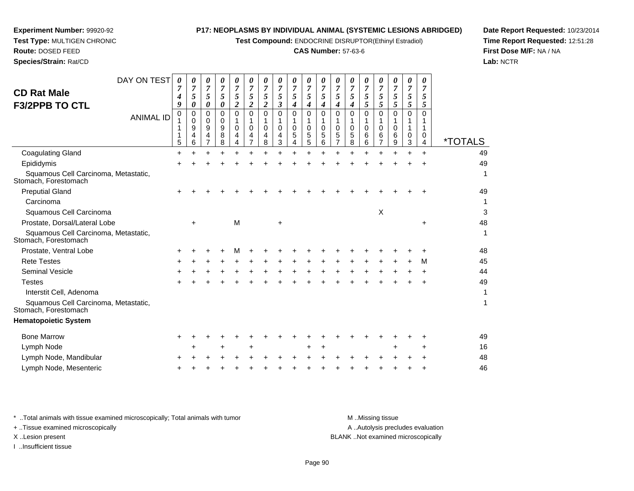**Test Compound:** ENDOCRINE DISRUPTOR(Ethinyl Estradiol)

#### **CAS Number:** 57-63-6

*0*

*7 5 4*

*0 7 5*

*0*

49

1

1

1

*7 5 5*

**Date Report Requested:** 10/23/2014**Time Report Requested:** 12:51:28**First Dose M/F:** NA / NA**Lab:** NCTR

| <b>F3/2PPB TO CTL</b>                                        | 9         | 0                     | 0                | 0                               | 2           | 2           | 2                | 3                | 4           | 4                | 4                       | 4           | 4                | 5                | 5           | 5                | 5           | 5      |                       |
|--------------------------------------------------------------|-----------|-----------------------|------------------|---------------------------------|-------------|-------------|------------------|------------------|-------------|------------------|-------------------------|-------------|------------------|------------------|-------------|------------------|-------------|--------|-----------------------|
| <b>ANIMAL ID</b>                                             | 0<br>5    | 0<br>0<br>9<br>4<br>6 | 0<br>0<br>9<br>4 | 0<br>$\mathbf 0$<br>9<br>8<br>8 | 0<br>0<br>4 | 0<br>0<br>4 | 0<br>0<br>4<br>8 | 0<br>0<br>4<br>3 | 0<br>0<br>5 | 0<br>0<br>5<br>5 | $\Omega$<br>0<br>5<br>6 | 0<br>0<br>5 | 0<br>0<br>5<br>8 | 0<br>0<br>6<br>6 | 0<br>0<br>6 | 0<br>0<br>6<br>9 | 0<br>0<br>3 | 0<br>0 | <i><b>*TOTALS</b></i> |
| <b>Coagulating Gland</b>                                     | $\ddot{}$ |                       |                  |                                 |             |             |                  |                  |             |                  |                         |             |                  |                  |             |                  |             |        | 49                    |
| Epididymis                                                   |           |                       |                  |                                 |             |             |                  |                  |             |                  |                         |             |                  |                  |             |                  |             |        | 49                    |
| Squamous Cell Carcinoma, Metastatic,<br>Stomach, Forestomach |           |                       |                  |                                 |             |             |                  |                  |             |                  |                         |             |                  |                  |             |                  |             |        | 1                     |
| <b>Preputial Gland</b>                                       |           |                       |                  |                                 |             |             |                  |                  |             |                  |                         |             |                  |                  |             |                  |             |        | 49                    |
| Carcinoma                                                    |           |                       |                  |                                 |             |             |                  |                  |             |                  |                         |             |                  |                  |             |                  |             |        | 1                     |
| Squamous Cell Carcinoma                                      |           |                       |                  |                                 |             |             |                  |                  |             |                  |                         |             |                  |                  | X           |                  |             |        | 3                     |
| Prostate, Dorsal/Lateral Lobe                                |           | $\ddot{}$             |                  |                                 | M           |             |                  | +                |             |                  |                         |             |                  |                  |             |                  |             | +      | 48                    |
| Squamous Cell Carcinoma, Metastatic,<br>Stomach, Forestomach |           |                       |                  |                                 |             |             |                  |                  |             |                  |                         |             |                  |                  |             |                  |             |        | 1                     |
| Prostate, Ventral Lobe                                       |           |                       |                  |                                 |             |             |                  |                  |             |                  |                         |             |                  |                  |             |                  |             |        | 48                    |
| <b>Rete Testes</b>                                           | +         |                       |                  |                                 |             |             |                  |                  |             |                  |                         |             |                  |                  |             |                  |             | м      | 45                    |
| <b>Seminal Vesicle</b>                                       |           |                       |                  |                                 |             |             |                  |                  |             |                  |                         |             |                  |                  |             |                  |             |        | 44                    |
| <b>Testes</b>                                                |           |                       |                  |                                 |             |             |                  |                  |             |                  |                         |             |                  |                  |             |                  |             |        | 49                    |
| Interstit Cell, Adenoma                                      |           |                       |                  |                                 |             |             |                  |                  |             |                  |                         |             |                  |                  |             |                  |             |        | 1                     |
| Squamous Cell Carcinoma, Metastatic,<br>Stomach, Forestomach |           |                       |                  |                                 |             |             |                  |                  |             |                  |                         |             |                  |                  |             |                  |             |        | 1                     |
| <b>Hematopoietic System</b>                                  |           |                       |                  |                                 |             |             |                  |                  |             |                  |                         |             |                  |                  |             |                  |             |        |                       |
| <b>Bone Marrow</b>                                           |           |                       |                  |                                 |             |             |                  |                  |             |                  |                         |             |                  |                  |             |                  |             |        | 49                    |
| Lymph Node                                                   |           |                       |                  |                                 |             |             |                  |                  |             | ٠                |                         |             |                  |                  |             |                  |             |        | 16                    |
| Lymph Node, Mandibular                                       |           |                       |                  |                                 |             |             |                  |                  |             |                  |                         |             |                  |                  |             |                  |             |        | 48                    |
|                                                              |           |                       |                  |                                 |             |             |                  |                  |             |                  |                         |             |                  |                  |             |                  |             |        |                       |

**Experiment Number:** 99920-92**Test Type:** MULTIGEN CHRONIC

Lymph Node, Mesenteric

DAY ON TEST

 $\circ$  +

**Route:** DOSED FEED**Species/Strain:** Rat/CD

**CD Rat Male**

\* ..Total animals with tissue examined microscopically; Total animals with tumor **M** ..Missing tissue M ..Missing tissue A ..Autolysis precludes evaluation + ..Tissue examined microscopically X ..Lesion present BLANK ..Not examined microscopicallyI ..Insufficient tissue

Page 90

<sup>+</sup> <sup>+</sup> <sup>+</sup> <sup>+</sup> <sup>+</sup> <sup>+</sup> <sup>+</sup> <sup>+</sup> <sup>+</sup> <sup>+</sup> <sup>+</sup> <sup>+</sup> <sup>+</sup> <sup>+</sup> <sup>+</sup> <sup>+</sup> <sup>+</sup> <sup>46</sup>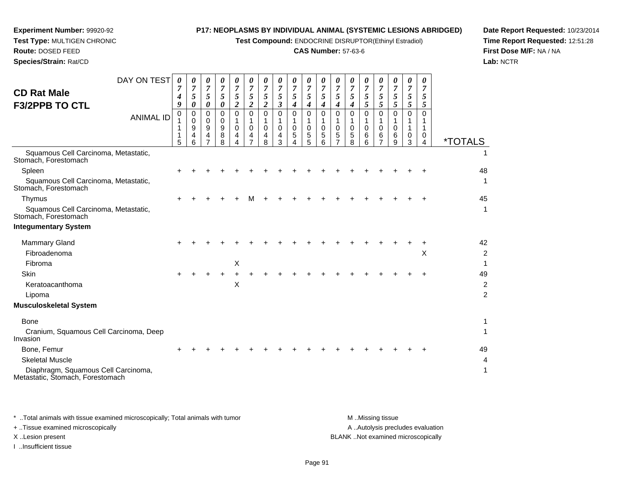**Test Compound:** ENDOCRINE DISRUPTOR(Ethinyl Estradiol)

#### **CAS Number:** 57-63-6

**Date Report Requested:** 10/23/2014**Time Report Requested:** 12:51:28**First Dose M/F:** NA / NA**Lab:** NCTR

**Species/Strain:** Rat/CD

**Experiment Number:** 99920-92

| DAY ON TEST<br><b>CD Rat Male</b><br><b>F3/2PPB TO CTL</b><br><b>ANIMAL ID</b>                                   | 0<br>7<br>4<br>9<br>0<br>1<br>1<br>1<br>5 | 0<br>$\overline{7}$<br>$\mathfrak{I}$<br>0<br>0<br>0<br>9<br>4<br>6 | 0<br>$\overline{7}$<br>$\mathfrak{H}$<br>0<br>$\mathbf 0$<br>0<br>9<br>$\overline{4}$<br>7 | 0<br>$\overline{7}$<br>$\mathfrak{H}$<br>0<br>0<br>0<br>9<br>8<br>8 | $\theta$<br>$\overline{7}$<br>5<br>$\boldsymbol{2}$<br>$\Omega$<br>1<br>0<br>4<br>Δ | 0<br>$\overline{7}$<br>5<br>$\boldsymbol{2}$<br>$\mathbf 0$<br>1<br>0<br>4<br>7 | 0<br>$\overline{7}$<br>5<br>$\boldsymbol{2}$<br>0<br>1<br>$\mathbf 0$<br>4<br>8 | 0<br>$\overline{7}$<br>5<br>3<br>$\mathbf 0$<br>1<br>$\mathbf 0$<br>4<br>3 | 0<br>7<br>5<br>4<br>$\Omega$<br>1<br>$\mathbf 0$<br>5 | $\boldsymbol{\theta}$<br>$\overline{7}$<br>5<br>4<br>$\Omega$<br>$\mathbf 0$<br>5<br>5 | 0<br>$\overline{7}$<br>5<br>4<br>$\Omega$<br>$\mathbf 0$<br>5<br>6 | 0<br>$\overline{7}$<br>5<br>4<br>$\Omega$<br>$\mathbf 0$<br>5 | $\boldsymbol{\theta}$<br>7<br>5<br>4<br>$\Omega$<br>1<br>$\mathbf 0$<br>5<br>8 | 0<br>7<br>5<br>5<br>$\Omega$<br>$\mathbf 0$<br>6<br>6 | $\boldsymbol{\theta}$<br>7<br>5<br>5<br>$\mathbf 0$<br>1<br>$\mathbf 0$<br>6<br>7 | 0<br>7<br>5<br>5<br>$\Omega$<br>$\mathbf 0$<br>6<br>9 | $\boldsymbol{\theta}$<br>7<br>5<br>5<br>$\Omega$<br>1<br>0<br>3 | $\theta$<br>7<br>5<br>5<br>$\Omega$<br>1<br>0<br>4 | <i><b>*TOTALS</b></i>                  |
|------------------------------------------------------------------------------------------------------------------|-------------------------------------------|---------------------------------------------------------------------|--------------------------------------------------------------------------------------------|---------------------------------------------------------------------|-------------------------------------------------------------------------------------|---------------------------------------------------------------------------------|---------------------------------------------------------------------------------|----------------------------------------------------------------------------|-------------------------------------------------------|----------------------------------------------------------------------------------------|--------------------------------------------------------------------|---------------------------------------------------------------|--------------------------------------------------------------------------------|-------------------------------------------------------|-----------------------------------------------------------------------------------|-------------------------------------------------------|-----------------------------------------------------------------|----------------------------------------------------|----------------------------------------|
| Squamous Cell Carcinoma, Metastatic,<br>Stomach, Forestomach                                                     |                                           |                                                                     |                                                                                            |                                                                     |                                                                                     |                                                                                 |                                                                                 |                                                                            |                                                       |                                                                                        |                                                                    |                                                               |                                                                                |                                                       |                                                                                   |                                                       |                                                                 |                                                    |                                        |
| Spleen<br>Squamous Cell Carcinoma, Metastatic,<br>Stomach, Forestomach                                           |                                           |                                                                     |                                                                                            |                                                                     |                                                                                     |                                                                                 |                                                                                 |                                                                            |                                                       |                                                                                        |                                                                    |                                                               |                                                                                |                                                       |                                                                                   |                                                       |                                                                 |                                                    | 48<br>1                                |
| Thymus<br>Squamous Cell Carcinoma, Metastatic,<br>Stomach, Forestomach                                           |                                           |                                                                     |                                                                                            |                                                                     |                                                                                     |                                                                                 |                                                                                 |                                                                            |                                                       |                                                                                        |                                                                    |                                                               |                                                                                |                                                       |                                                                                   |                                                       |                                                                 |                                                    | 45<br>$\mathbf{1}$                     |
| <b>Integumentary System</b>                                                                                      |                                           |                                                                     |                                                                                            |                                                                     |                                                                                     |                                                                                 |                                                                                 |                                                                            |                                                       |                                                                                        |                                                                    |                                                               |                                                                                |                                                       |                                                                                   |                                                       |                                                                 |                                                    |                                        |
| <b>Mammary Gland</b><br>Fibroadenoma<br>Fibroma                                                                  |                                           |                                                                     |                                                                                            |                                                                     | X                                                                                   |                                                                                 |                                                                                 |                                                                            |                                                       |                                                                                        |                                                                    |                                                               |                                                                                |                                                       |                                                                                   |                                                       |                                                                 | X                                                  | 42<br>$\overline{c}$<br>-1             |
| <b>Skin</b><br>Keratoacanthoma<br>Lipoma                                                                         |                                           |                                                                     |                                                                                            |                                                                     | $\pmb{\times}$                                                                      |                                                                                 |                                                                                 |                                                                            |                                                       |                                                                                        |                                                                    |                                                               |                                                                                |                                                       |                                                                                   |                                                       |                                                                 |                                                    | 49<br>$\overline{c}$<br>$\overline{c}$ |
| <b>Musculoskeletal System</b>                                                                                    |                                           |                                                                     |                                                                                            |                                                                     |                                                                                     |                                                                                 |                                                                                 |                                                                            |                                                       |                                                                                        |                                                                    |                                                               |                                                                                |                                                       |                                                                                   |                                                       |                                                                 |                                                    |                                        |
| Bone<br>Cranium, Squamous Cell Carcinoma, Deep<br>Invasion                                                       |                                           |                                                                     |                                                                                            |                                                                     |                                                                                     |                                                                                 |                                                                                 |                                                                            |                                                       |                                                                                        |                                                                    |                                                               |                                                                                |                                                       |                                                                                   |                                                       |                                                                 |                                                    | 1<br>1                                 |
| Bone, Femur<br><b>Skeletal Muscle</b><br>Diaphragm, Squamous Cell Carcinoma,<br>Metastatic, Stomach, Forestomach |                                           |                                                                     |                                                                                            |                                                                     |                                                                                     |                                                                                 |                                                                                 |                                                                            |                                                       |                                                                                        |                                                                    |                                                               |                                                                                |                                                       |                                                                                   |                                                       |                                                                 |                                                    | 49<br>4<br>1                           |

\* ..Total animals with tissue examined microscopically; Total animals with tumor **M** . Missing tissue M ..Missing tissue A ..Autolysis precludes evaluation + ..Tissue examined microscopically X ..Lesion present BLANK ..Not examined microscopicallyI ..Insufficient tissue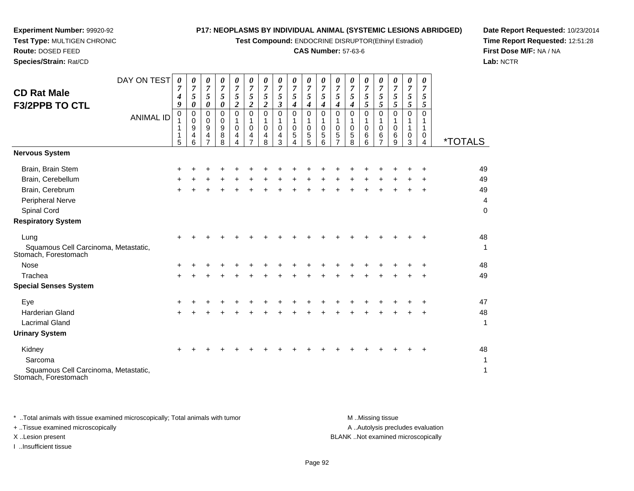**Test Compound:** ENDOCRINE DISRUPTOR(Ethinyl Estradiol)

#### **CAS Number:** 57-63-6

**Date Report Requested:** 10/23/2014**Time Report Requested:** 12:51:28**First Dose M/F:** NA / NA**Lab:** NCTR

| <b>CD Rat Male</b><br><b>F3/2PPB TO CTL</b>                  | DAY ON TEST<br><b>ANIMAL ID</b> | $\boldsymbol{\theta}$<br>$\overline{7}$<br>$\boldsymbol{4}$<br>9<br>0<br>1<br>1<br>1<br>5 | 0<br>$\overline{7}$<br>5<br>0<br>$\mathbf{0}$<br>$\mathbf 0$<br>9<br>4<br>6 | $\theta$<br>$\boldsymbol{7}$<br>5<br>$\Omega$<br>$\mathbf 0$<br>9<br>4 | 0<br>$\boldsymbol{7}$<br>5<br>0<br>$\Omega$<br>$\mathbf 0$<br>$\boldsymbol{9}$<br>8<br>8 | 0<br>$\overline{7}$<br>5<br>$\boldsymbol{2}$<br>$\Omega$<br>$\pmb{0}$<br>4 | 0<br>$\overline{7}$<br>5<br>$\boldsymbol{2}$<br>$\Omega$<br>1<br>$\mathbf 0$<br>4 | 0<br>$\overline{7}$<br>5<br>$\overline{2}$<br>$\Omega$<br>0<br>4<br>8 | 0<br>$\overline{7}$<br>5<br>3<br>$\Omega$<br>$\mathbf 0$<br>4<br>3 | $\boldsymbol{\theta}$<br>$\overline{7}$<br>5<br>$\Omega$<br>$\mathbf 0$<br>5 | $\boldsymbol{\theta}$<br>$\overline{7}$<br>5<br>$\Omega$<br>$\mathbf 0$<br>5<br>5 | 0<br>$\overline{7}$<br>5<br>4<br>$\Omega$<br>0<br>5<br>6 | 0<br>$\boldsymbol{7}$<br>5<br>4<br>$\Omega$<br>$\mathbf 0$<br>5 | 0<br>$\overline{7}$<br>5<br>4<br>$\Omega$<br>1<br>$\mathbf 0$<br>5<br>8 | 0<br>$\overline{7}$<br>5<br>5<br>$\Omega$<br>$\mathbf 0$<br>6<br>6 | 0<br>$\overline{7}$<br>5<br>5<br>$\Omega$<br>$\pmb{0}$<br>6<br>7 | 0<br>$\overline{7}$<br>5<br>5<br>$\Omega$<br>$\mathbf 0$<br>6<br>9 | 0<br>$\overline{7}$<br>5<br>$\overline{5}$<br>$\Omega$<br>0<br>3 | 0<br>7<br>5<br>5<br>$\Omega$<br>0 | <i><b>*TOTALS</b></i> |
|--------------------------------------------------------------|---------------------------------|-------------------------------------------------------------------------------------------|-----------------------------------------------------------------------------|------------------------------------------------------------------------|------------------------------------------------------------------------------------------|----------------------------------------------------------------------------|-----------------------------------------------------------------------------------|-----------------------------------------------------------------------|--------------------------------------------------------------------|------------------------------------------------------------------------------|-----------------------------------------------------------------------------------|----------------------------------------------------------|-----------------------------------------------------------------|-------------------------------------------------------------------------|--------------------------------------------------------------------|------------------------------------------------------------------|--------------------------------------------------------------------|------------------------------------------------------------------|-----------------------------------|-----------------------|
| <b>Nervous System</b>                                        |                                 |                                                                                           |                                                                             |                                                                        |                                                                                          |                                                                            |                                                                                   |                                                                       |                                                                    |                                                                              |                                                                                   |                                                          |                                                                 |                                                                         |                                                                    |                                                                  |                                                                    |                                                                  |                                   |                       |
| Brain, Brain Stem                                            |                                 | +                                                                                         |                                                                             |                                                                        |                                                                                          |                                                                            |                                                                                   |                                                                       |                                                                    |                                                                              |                                                                                   |                                                          |                                                                 |                                                                         |                                                                    |                                                                  |                                                                    |                                                                  |                                   | 49                    |
| Brain, Cerebellum                                            |                                 | +                                                                                         |                                                                             |                                                                        |                                                                                          |                                                                            |                                                                                   |                                                                       |                                                                    |                                                                              |                                                                                   |                                                          |                                                                 |                                                                         |                                                                    |                                                                  |                                                                    |                                                                  |                                   | 49                    |
| Brain, Cerebrum                                              |                                 | $\ddot{}$                                                                                 |                                                                             |                                                                        |                                                                                          |                                                                            |                                                                                   |                                                                       |                                                                    |                                                                              |                                                                                   |                                                          |                                                                 |                                                                         |                                                                    |                                                                  |                                                                    | $\ddot{}$                                                        | $\div$                            | 49                    |
| Peripheral Nerve                                             |                                 |                                                                                           |                                                                             |                                                                        |                                                                                          |                                                                            |                                                                                   |                                                                       |                                                                    |                                                                              |                                                                                   |                                                          |                                                                 |                                                                         |                                                                    |                                                                  |                                                                    |                                                                  |                                   | 4                     |
| Spinal Cord                                                  |                                 |                                                                                           |                                                                             |                                                                        |                                                                                          |                                                                            |                                                                                   |                                                                       |                                                                    |                                                                              |                                                                                   |                                                          |                                                                 |                                                                         |                                                                    |                                                                  |                                                                    |                                                                  |                                   | $\mathbf 0$           |
| <b>Respiratory System</b>                                    |                                 |                                                                                           |                                                                             |                                                                        |                                                                                          |                                                                            |                                                                                   |                                                                       |                                                                    |                                                                              |                                                                                   |                                                          |                                                                 |                                                                         |                                                                    |                                                                  |                                                                    |                                                                  |                                   |                       |
| Lung                                                         |                                 |                                                                                           |                                                                             |                                                                        |                                                                                          |                                                                            |                                                                                   |                                                                       |                                                                    |                                                                              |                                                                                   |                                                          |                                                                 |                                                                         |                                                                    |                                                                  |                                                                    |                                                                  |                                   | 48                    |
| Squamous Cell Carcinoma, Metastatic,<br>Stomach, Forestomach |                                 |                                                                                           |                                                                             |                                                                        |                                                                                          |                                                                            |                                                                                   |                                                                       |                                                                    |                                                                              |                                                                                   |                                                          |                                                                 |                                                                         |                                                                    |                                                                  |                                                                    |                                                                  |                                   | 1                     |
| <b>Nose</b>                                                  |                                 |                                                                                           |                                                                             |                                                                        |                                                                                          |                                                                            |                                                                                   |                                                                       |                                                                    |                                                                              |                                                                                   |                                                          |                                                                 |                                                                         |                                                                    |                                                                  |                                                                    |                                                                  |                                   | 48                    |
| Trachea                                                      |                                 | +                                                                                         |                                                                             |                                                                        |                                                                                          |                                                                            |                                                                                   |                                                                       |                                                                    |                                                                              |                                                                                   |                                                          |                                                                 |                                                                         |                                                                    |                                                                  |                                                                    |                                                                  |                                   | 49                    |
| <b>Special Senses System</b>                                 |                                 |                                                                                           |                                                                             |                                                                        |                                                                                          |                                                                            |                                                                                   |                                                                       |                                                                    |                                                                              |                                                                                   |                                                          |                                                                 |                                                                         |                                                                    |                                                                  |                                                                    |                                                                  |                                   |                       |
| Eye                                                          |                                 |                                                                                           |                                                                             |                                                                        |                                                                                          |                                                                            |                                                                                   |                                                                       |                                                                    |                                                                              |                                                                                   |                                                          |                                                                 |                                                                         |                                                                    |                                                                  |                                                                    |                                                                  |                                   | 47                    |
| <b>Harderian Gland</b>                                       |                                 |                                                                                           |                                                                             |                                                                        |                                                                                          |                                                                            |                                                                                   |                                                                       |                                                                    |                                                                              |                                                                                   |                                                          |                                                                 |                                                                         |                                                                    |                                                                  |                                                                    |                                                                  | $\pm$                             | 48                    |
| <b>Lacrimal Gland</b>                                        |                                 |                                                                                           |                                                                             |                                                                        |                                                                                          |                                                                            |                                                                                   |                                                                       |                                                                    |                                                                              |                                                                                   |                                                          |                                                                 |                                                                         |                                                                    |                                                                  |                                                                    |                                                                  |                                   | 1                     |

**Urinary System**

**Experiment Number:** 99920-92**Test Type:** MULTIGEN CHRONIC

**Route:** DOSED FEED**Species/Strain:** Rat/CD

| Kidney                               |  | + + + + + + + + + + + + + + + + + + |  |  |  |  |  |  |  | 48 |
|--------------------------------------|--|-------------------------------------|--|--|--|--|--|--|--|----|
| Sarcoma                              |  |                                     |  |  |  |  |  |  |  |    |
| Squamous Cell Carcinoma, Metastatic, |  |                                     |  |  |  |  |  |  |  |    |
| Stomach, Forestomach                 |  |                                     |  |  |  |  |  |  |  |    |

\* ..Total animals with tissue examined microscopically; Total animals with tumor **M** ...Missing tissue M ...Missing tissue A .. Autolysis precludes evaluation + ..Tissue examined microscopically X ..Lesion present BLANK ..Not examined microscopicallyI ..Insufficient tissue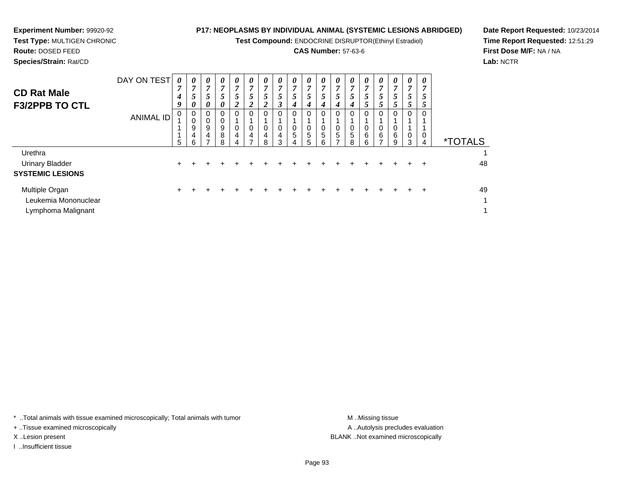**Test Compound:** ENDOCRINE DISRUPTOR(Ethinyl Estradiol)

#### **CAS Number:** 57-63-6

**Date Report Requested:** 10/23/2014**Time Report Requested:** 12:51:29**First Dose M/F:** NA / NA**Lab:** NCTR

**Experiment Number:** 99920-92**Test Type:** MULTIGEN CHRONIC

| <b>CD Rat Male</b><br><b>F3/2PPB TO CTL</b>                  | DAY ON TEST<br><b>ANIMAL ID</b> | $\boldsymbol{\theta}$<br>$\overline{7}$<br>$\boldsymbol{4}$<br>9<br>0<br>1<br>$5\phantom{.0}$ | 0<br>7<br>5<br>$\boldsymbol{\theta}$<br>0<br>$\pmb{0}$<br>9<br>4<br>6 | 0<br>7<br>5<br>0<br>0<br>0<br>9<br>4 | $\boldsymbol{\theta}$<br>$\overline{7}$<br>5<br>0<br>0<br>$\mathbf 0$<br>9<br>8<br>8 | 0<br>$\overline{7}$<br>5<br>2<br>$\mathbf 0$<br>0<br>$\overline{a}$<br>4 | 0<br>7<br>5<br>2<br>$\Omega$<br>0<br>4 | 0<br>7<br>5<br>2<br>0<br>4<br>-8 | 0<br>$\overline{7}$<br>5<br>3<br>$\Omega$<br>0<br>4<br>3 | 0<br>7<br>5<br>4<br>$\Omega$<br>0<br>5<br>4 | 0<br>7<br>5<br>4<br>$\Omega$<br>0<br>5<br>5 | U<br>7<br>5<br>4<br>0<br>5<br>6 | 0<br>$\overline{7}$<br>5 <sup>5</sup><br>4<br>$\Omega$<br>$\mathbf 0$<br>$\sqrt{5}$<br>$\overline{ }$ | 0<br>7<br>5 <sup>5</sup><br>$\boldsymbol{4}$<br>$\Omega$<br>0<br>5<br>8 | 0<br>7<br>5<br>Ć<br>$\Omega$<br>0<br>6<br>6 | 0<br>5 <sup>5</sup><br>$\mathcal{P}$<br>0<br>6 | 0<br>$\overline{7}$<br>5<br>Ć.<br>$\Omega$<br>0<br>6<br>9 | 0<br>7<br>5<br>0<br>0<br>3 | 0<br>7<br>Э<br>C<br>$\Omega$<br>0<br>4 | <i><b>*TOTALS</b></i>              |
|--------------------------------------------------------------|---------------------------------|-----------------------------------------------------------------------------------------------|-----------------------------------------------------------------------|--------------------------------------|--------------------------------------------------------------------------------------|--------------------------------------------------------------------------|----------------------------------------|----------------------------------|----------------------------------------------------------|---------------------------------------------|---------------------------------------------|---------------------------------|-------------------------------------------------------------------------------------------------------|-------------------------------------------------------------------------|---------------------------------------------|------------------------------------------------|-----------------------------------------------------------|----------------------------|----------------------------------------|------------------------------------|
| Urethra<br><b>Urinary Bladder</b><br><b>SYSTEMIC LESIONS</b> |                                 | $\pm$                                                                                         |                                                                       |                                      |                                                                                      |                                                                          |                                        |                                  |                                                          |                                             |                                             |                                 |                                                                                                       |                                                                         |                                             |                                                |                                                           |                            |                                        | 48                                 |
| Multiple Organ<br>Leukemia Mononuclear<br>Lymphoma Malignant |                                 | ÷                                                                                             |                                                                       |                                      |                                                                                      |                                                                          |                                        |                                  |                                                          |                                             |                                             |                                 |                                                                                                       |                                                                         |                                             |                                                |                                                           |                            | ÷                                      | 49<br>$\mathbf{1}$<br>$\mathbf{1}$ |

\* ..Total animals with tissue examined microscopically; Total animals with tumor **M** ...Missing tissue M ...Missing tissue

+ ..Tissue examined microscopically

I ..Insufficient tissue

A ..Autolysis precludes evaluation X ..Lesion present BLANK ..Not examined microscopically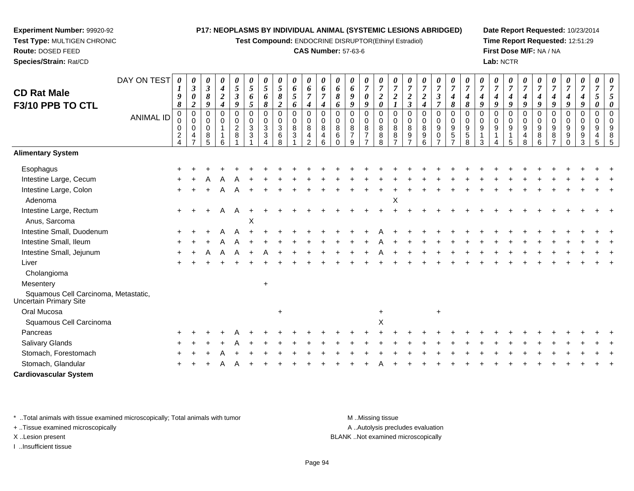**Test Compound:** ENDOCRINE DISRUPTOR(Ethinyl Estradiol)

#### **CAS Number:** 57-63-6

**Date Report Requested:** 10/23/2014**Time Report Requested:** 12:51:29**First Dose M/F:** NA / NA**Lab:** NCTR

| <b>CD Rat Male</b><br>F3/10 PPB TO CTL                         | DAY ON TEST<br><b>ANIMAL ID</b> | 0<br>$\boldsymbol{l}$<br>9<br>8<br>0<br>0<br>0 | 0<br>$\mathfrak{z}$<br>$\pmb{\theta}$<br>$\overline{2}$<br>$\pmb{0}$<br>$\pmb{0}$<br>$\pmb{0}$ | 0<br>$\mathfrak{z}$<br>$\pmb{8}$<br>$\boldsymbol{q}$<br>$\mathbf 0$<br>$\mathbf 0$<br>$\mathbf 0$ | 0<br>$\boldsymbol{4}$<br>$\boldsymbol{2}$<br>$\boldsymbol{4}$<br>$\mathbf 0$<br>$\mathbf 0$ | $\boldsymbol{\theta}$<br>5<br>$\mathfrak{Z}$<br>9<br>$\mathbf 0$<br>$\pmb{0}$<br>$\overline{c}$ | 0<br>5<br>6<br>5<br>0<br>0<br>$\mathbf{3}$ | 0<br>$\sqrt{5}$<br>6<br>8<br>$\mathbf 0$<br>$\pmb{0}$<br>$\ensuremath{\mathsf{3}}$ | 0<br>5<br>8<br>$\boldsymbol{2}$<br>$\mathbf 0$<br>$\pmb{0}$<br>$\sqrt{3}$ | $\boldsymbol{\theta}$<br>6<br>$\mathfrak{s}$<br>6<br>0<br>$\pmb{0}$<br>$\bf8$ | $\pmb{\theta}$<br>6<br>$\overline{7}$<br>4<br>$\mathbf 0$<br>$\pmb{0}$<br>$\bf8$ | 0<br>6<br>$\overline{7}$<br>4<br>$\Omega$<br>0<br>8 | 0<br>6<br>8<br>6<br>$\Omega$<br>$\mathbf 0$<br>8 | 0<br>6<br>9<br>$\boldsymbol{q}$<br>$\Omega$<br>$\mathbf 0$<br>8 | 0<br>$\overline{7}$<br>0<br>9<br>$\mathbf 0$<br>0<br>$\, 8$ | $\boldsymbol{\theta}$<br>$\overline{7}$<br>$\sqrt{2}$<br>$\boldsymbol{\theta}$<br>0<br>$\pmb{0}$<br>$\,8\,$ | 0<br>$\overline{7}$<br>$\boldsymbol{2}$<br>$\mathbf 0$<br>$\mathbf 0$<br>8 | 0<br>$\overline{7}$<br>$\overline{2}$<br>$\mathfrak{z}$<br>$\Omega$<br>$\mathbf 0$<br>8 | 0<br>$\overline{7}$<br>$\boldsymbol{2}$<br>4<br>$\mathbf 0$<br>$\pmb{0}$<br>$\bf 8$ | 0<br>$\overline{7}$<br>$\boldsymbol{\beta}$<br>$\overline{7}$<br>0<br>$\mathbf 0$<br>$\boldsymbol{9}$ | $\frac{\theta}{7}$<br>$\boldsymbol{4}$<br>8<br>$\mathbf 0$<br>$\pmb{0}$<br>$\boldsymbol{9}$ | $\boldsymbol{\theta}$<br>$\overline{7}$<br>$\boldsymbol{4}$<br>8<br>$\mathbf 0$<br>$\mathbf 0$<br>$\boldsymbol{9}$ | 0<br>$\overline{7}$<br>4<br>9<br>$\Omega$<br>$\Omega$<br>9 | $\boldsymbol{\theta}$<br>$\overline{7}$<br>4<br>$\boldsymbol{q}$<br>$\Omega$<br>$\mathbf 0$<br>9 | 0<br>$\boldsymbol{7}$<br>$\boldsymbol{4}$<br>9<br>$\Omega$<br>0<br>9 | 0<br>$\overline{7}$<br>$\boldsymbol{4}$<br>9<br>$\Omega$<br>$\mathbf 0$<br>$\boldsymbol{9}$ | 0<br>$\overline{7}$<br>$\boldsymbol{4}$<br>9<br>$\mathbf 0$<br>$\mathbf 0$<br>$\boldsymbol{9}$ | 0<br>$\overline{7}$<br>4<br>9<br>$\Omega$<br>0<br>9 | 0<br>$\overline{7}$<br>4<br>$\boldsymbol{q}$<br>$\Omega$<br>0<br>9 | 0<br>$\overline{7}$<br>$\boldsymbol{4}$<br>9<br>$\Omega$<br>0<br>$\boldsymbol{9}$ | 0<br>$\overline{7}$<br>5<br>$\boldsymbol{\theta}$<br>$\mathbf 0$<br>$\mathbf 0$<br>9 |   |
|----------------------------------------------------------------|---------------------------------|------------------------------------------------|------------------------------------------------------------------------------------------------|---------------------------------------------------------------------------------------------------|---------------------------------------------------------------------------------------------|-------------------------------------------------------------------------------------------------|--------------------------------------------|------------------------------------------------------------------------------------|---------------------------------------------------------------------------|-------------------------------------------------------------------------------|----------------------------------------------------------------------------------|-----------------------------------------------------|--------------------------------------------------|-----------------------------------------------------------------|-------------------------------------------------------------|-------------------------------------------------------------------------------------------------------------|----------------------------------------------------------------------------|-----------------------------------------------------------------------------------------|-------------------------------------------------------------------------------------|-------------------------------------------------------------------------------------------------------|---------------------------------------------------------------------------------------------|--------------------------------------------------------------------------------------------------------------------|------------------------------------------------------------|--------------------------------------------------------------------------------------------------|----------------------------------------------------------------------|---------------------------------------------------------------------------------------------|------------------------------------------------------------------------------------------------|-----------------------------------------------------|--------------------------------------------------------------------|-----------------------------------------------------------------------------------|--------------------------------------------------------------------------------------|---|
|                                                                |                                 | $\overline{\mathbf{c}}$<br>$\overline{4}$      | 4<br>$\overline{7}$                                                                            | 8<br>5                                                                                            | 6                                                                                           | $\, 8$                                                                                          | 3                                          | $\ensuremath{\mathsf{3}}$<br>$\boldsymbol{\Lambda}$                                | $\,6\,$<br>8                                                              | $\ensuremath{\mathsf{3}}$                                                     | $\overline{4}$<br>2                                                              | $\overline{\mathbf{4}}$<br>6                        | $\,6\,$<br>$\Omega$                              | $\overline{ }$<br>9                                             | $\overline{7}$<br>$\overline{ }$                            | $\bf 8$<br>8                                                                                                | $\bf 8$<br>$\overline{z}$                                                  | $\boldsymbol{9}$<br>$\overline{7}$                                                      | 9<br>6                                                                              | $\mathbf 0$<br>$\overline{z}$                                                                         | $\overline{5}$<br>$\overline{7}$                                                            | $\sqrt{5}$<br>8                                                                                                    | $\mathbf 1$<br>3                                           |                                                                                                  | 5                                                                    | $\overline{\mathbf{4}}$<br>8                                                                | $\, 8$<br>$6\phantom{1}$                                                                       | 8<br>$\overline{7}$                                 | 9<br>$\Omega$                                                      | $\boldsymbol{9}$<br>$\mathbf{3}$                                                  | $\overline{4}$<br>5                                                                  | 5 |
| <b>Alimentary System</b>                                       |                                 |                                                |                                                                                                |                                                                                                   |                                                                                             |                                                                                                 |                                            |                                                                                    |                                                                           |                                                                               |                                                                                  |                                                     |                                                  |                                                                 |                                                             |                                                                                                             |                                                                            |                                                                                         |                                                                                     |                                                                                                       |                                                                                             |                                                                                                                    |                                                            |                                                                                                  |                                                                      |                                                                                             |                                                                                                |                                                     |                                                                    |                                                                                   |                                                                                      |   |
| Esophagus                                                      |                                 |                                                |                                                                                                |                                                                                                   |                                                                                             |                                                                                                 |                                            |                                                                                    |                                                                           |                                                                               |                                                                                  |                                                     |                                                  |                                                                 |                                                             |                                                                                                             |                                                                            |                                                                                         |                                                                                     |                                                                                                       |                                                                                             |                                                                                                                    |                                                            |                                                                                                  |                                                                      |                                                                                             |                                                                                                |                                                     |                                                                    |                                                                                   |                                                                                      |   |
| Intestine Large, Cecum                                         |                                 |                                                |                                                                                                |                                                                                                   |                                                                                             |                                                                                                 |                                            |                                                                                    |                                                                           |                                                                               |                                                                                  |                                                     |                                                  |                                                                 |                                                             |                                                                                                             |                                                                            |                                                                                         |                                                                                     |                                                                                                       |                                                                                             |                                                                                                                    |                                                            |                                                                                                  |                                                                      |                                                                                             |                                                                                                |                                                     |                                                                    |                                                                                   |                                                                                      |   |
| Intestine Large, Colon<br>Adenoma                              |                                 |                                                |                                                                                                |                                                                                                   | A                                                                                           | A                                                                                               |                                            |                                                                                    |                                                                           |                                                                               |                                                                                  |                                                     |                                                  |                                                                 |                                                             |                                                                                                             | X                                                                          |                                                                                         |                                                                                     |                                                                                                       |                                                                                             |                                                                                                                    |                                                            |                                                                                                  |                                                                      |                                                                                             |                                                                                                |                                                     |                                                                    |                                                                                   |                                                                                      |   |
| Intestine Large, Rectum<br>Anus, Sarcoma                       |                                 |                                                |                                                                                                |                                                                                                   | A                                                                                           | A                                                                                               | X                                          |                                                                                    |                                                                           |                                                                               |                                                                                  |                                                     |                                                  |                                                                 |                                                             |                                                                                                             |                                                                            |                                                                                         |                                                                                     |                                                                                                       |                                                                                             |                                                                                                                    |                                                            |                                                                                                  |                                                                      |                                                                                             |                                                                                                |                                                     |                                                                    |                                                                                   |                                                                                      |   |
| Intestine Small, Duodenum                                      |                                 |                                                |                                                                                                |                                                                                                   |                                                                                             |                                                                                                 |                                            |                                                                                    |                                                                           |                                                                               |                                                                                  |                                                     |                                                  |                                                                 |                                                             |                                                                                                             |                                                                            |                                                                                         |                                                                                     |                                                                                                       |                                                                                             |                                                                                                                    |                                                            |                                                                                                  |                                                                      |                                                                                             |                                                                                                |                                                     |                                                                    |                                                                                   |                                                                                      |   |
| Intestine Small, Ileum                                         |                                 |                                                |                                                                                                |                                                                                                   |                                                                                             |                                                                                                 |                                            |                                                                                    |                                                                           |                                                                               |                                                                                  |                                                     |                                                  |                                                                 |                                                             |                                                                                                             |                                                                            |                                                                                         |                                                                                     |                                                                                                       |                                                                                             |                                                                                                                    |                                                            |                                                                                                  |                                                                      |                                                                                             |                                                                                                |                                                     |                                                                    |                                                                                   |                                                                                      |   |
| Intestine Small, Jejunum                                       |                                 |                                                |                                                                                                |                                                                                                   |                                                                                             |                                                                                                 |                                            |                                                                                    |                                                                           |                                                                               |                                                                                  |                                                     |                                                  |                                                                 |                                                             |                                                                                                             |                                                                            |                                                                                         |                                                                                     |                                                                                                       |                                                                                             |                                                                                                                    |                                                            |                                                                                                  |                                                                      |                                                                                             |                                                                                                |                                                     |                                                                    |                                                                                   |                                                                                      |   |
| Liver                                                          |                                 |                                                |                                                                                                |                                                                                                   |                                                                                             |                                                                                                 |                                            |                                                                                    |                                                                           |                                                                               |                                                                                  |                                                     |                                                  |                                                                 |                                                             |                                                                                                             |                                                                            |                                                                                         |                                                                                     |                                                                                                       |                                                                                             |                                                                                                                    |                                                            |                                                                                                  |                                                                      |                                                                                             |                                                                                                |                                                     |                                                                    |                                                                                   |                                                                                      |   |
| Cholangioma                                                    |                                 |                                                |                                                                                                |                                                                                                   |                                                                                             |                                                                                                 |                                            |                                                                                    |                                                                           |                                                                               |                                                                                  |                                                     |                                                  |                                                                 |                                                             |                                                                                                             |                                                                            |                                                                                         |                                                                                     |                                                                                                       |                                                                                             |                                                                                                                    |                                                            |                                                                                                  |                                                                      |                                                                                             |                                                                                                |                                                     |                                                                    |                                                                                   |                                                                                      |   |
| Mesentery                                                      |                                 |                                                |                                                                                                |                                                                                                   |                                                                                             |                                                                                                 |                                            | $+$                                                                                |                                                                           |                                                                               |                                                                                  |                                                     |                                                  |                                                                 |                                                             |                                                                                                             |                                                                            |                                                                                         |                                                                                     |                                                                                                       |                                                                                             |                                                                                                                    |                                                            |                                                                                                  |                                                                      |                                                                                             |                                                                                                |                                                     |                                                                    |                                                                                   |                                                                                      |   |
| Squamous Cell Carcinoma, Metastatic,<br>Uncertain Primary Site |                                 |                                                |                                                                                                |                                                                                                   |                                                                                             |                                                                                                 |                                            |                                                                                    |                                                                           |                                                                               |                                                                                  |                                                     |                                                  |                                                                 |                                                             |                                                                                                             |                                                                            |                                                                                         |                                                                                     |                                                                                                       |                                                                                             |                                                                                                                    |                                                            |                                                                                                  |                                                                      |                                                                                             |                                                                                                |                                                     |                                                                    |                                                                                   |                                                                                      |   |
| Oral Mucosa                                                    |                                 |                                                |                                                                                                |                                                                                                   |                                                                                             |                                                                                                 |                                            |                                                                                    | $\ddot{}$                                                                 |                                                                               |                                                                                  |                                                     |                                                  |                                                                 |                                                             | $\ddot{}$                                                                                                   |                                                                            |                                                                                         |                                                                                     | $\ddot{}$                                                                                             |                                                                                             |                                                                                                                    |                                                            |                                                                                                  |                                                                      |                                                                                             |                                                                                                |                                                     |                                                                    |                                                                                   |                                                                                      |   |
| Squamous Cell Carcinoma                                        |                                 |                                                |                                                                                                |                                                                                                   |                                                                                             |                                                                                                 |                                            |                                                                                    |                                                                           |                                                                               |                                                                                  |                                                     |                                                  |                                                                 |                                                             | X                                                                                                           |                                                                            |                                                                                         |                                                                                     |                                                                                                       |                                                                                             |                                                                                                                    |                                                            |                                                                                                  |                                                                      |                                                                                             |                                                                                                |                                                     |                                                                    |                                                                                   |                                                                                      |   |
| Pancreas                                                       |                                 |                                                |                                                                                                |                                                                                                   |                                                                                             |                                                                                                 |                                            |                                                                                    |                                                                           |                                                                               |                                                                                  |                                                     |                                                  |                                                                 |                                                             |                                                                                                             |                                                                            |                                                                                         |                                                                                     |                                                                                                       |                                                                                             |                                                                                                                    |                                                            |                                                                                                  |                                                                      |                                                                                             |                                                                                                |                                                     |                                                                    |                                                                                   |                                                                                      |   |
| <b>Salivary Glands</b>                                         |                                 |                                                |                                                                                                |                                                                                                   |                                                                                             |                                                                                                 |                                            |                                                                                    |                                                                           |                                                                               |                                                                                  |                                                     |                                                  |                                                                 |                                                             |                                                                                                             |                                                                            |                                                                                         |                                                                                     |                                                                                                       |                                                                                             |                                                                                                                    |                                                            |                                                                                                  |                                                                      |                                                                                             |                                                                                                |                                                     |                                                                    |                                                                                   |                                                                                      |   |
| Stomach, Forestomach                                           |                                 |                                                |                                                                                                |                                                                                                   |                                                                                             |                                                                                                 |                                            |                                                                                    |                                                                           |                                                                               |                                                                                  |                                                     |                                                  |                                                                 |                                                             |                                                                                                             |                                                                            |                                                                                         |                                                                                     |                                                                                                       |                                                                                             |                                                                                                                    |                                                            |                                                                                                  |                                                                      |                                                                                             |                                                                                                |                                                     |                                                                    |                                                                                   |                                                                                      |   |
| Stomach, Glandular                                             |                                 |                                                |                                                                                                |                                                                                                   |                                                                                             |                                                                                                 |                                            |                                                                                    |                                                                           |                                                                               |                                                                                  |                                                     |                                                  |                                                                 |                                                             |                                                                                                             |                                                                            |                                                                                         |                                                                                     |                                                                                                       |                                                                                             |                                                                                                                    |                                                            |                                                                                                  |                                                                      |                                                                                             |                                                                                                |                                                     |                                                                    |                                                                                   |                                                                                      |   |
| <b>Cardiovascular System</b>                                   |                                 |                                                |                                                                                                |                                                                                                   |                                                                                             |                                                                                                 |                                            |                                                                                    |                                                                           |                                                                               |                                                                                  |                                                     |                                                  |                                                                 |                                                             |                                                                                                             |                                                                            |                                                                                         |                                                                                     |                                                                                                       |                                                                                             |                                                                                                                    |                                                            |                                                                                                  |                                                                      |                                                                                             |                                                                                                |                                                     |                                                                    |                                                                                   |                                                                                      |   |

\* ..Total animals with tissue examined microscopically; Total animals with tumor **M** . Missing tissue M ..Missing tissue

+ ..Tissue examined microscopically

**Experiment Number:** 99920-92**Test Type:** MULTIGEN CHRONIC

**Route:** DOSED FEED**Species/Strain:** Rat/CD

I ..Insufficient tissue

A ..Autolysis precludes evaluation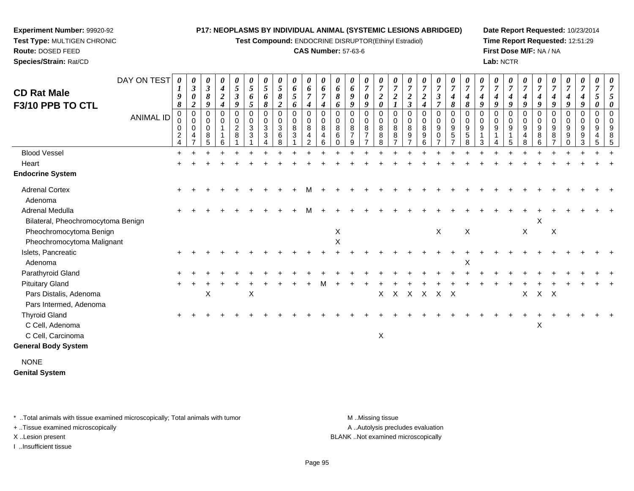**Test Compound:** ENDOCRINE DISRUPTOR(Ethinyl Estradiol)

#### **CAS Number:** 57-63-6

**Date Report Requested:** 10/23/2014**Time Report Requested:** 12:51:29**First Dose M/F:** NA / NA**Lab:** NCTR

|                                        | DAY ON TEST      | 0<br>$\bm{l}$                                   | $\boldsymbol{\beta}$                                   | 0<br>$\boldsymbol{\beta}$      | 0<br>$\boldsymbol{4}$                | $\boldsymbol{\theta}$<br>$5\phantom{.0}$          | 0<br>$\overline{5}$ | $\mathfrak{s}$                                  | $\boldsymbol{\theta}$<br>5 | 0<br>6                      | 0<br>6                                            | 0<br>6                | 6                                             | $\boldsymbol{\theta}$<br>6     | 0<br>$\overline{7}$           | 0<br>$\overline{7}$                   | $\boldsymbol{\theta}$<br>$\overline{7}$  | $\overline{7}$                               | $\boldsymbol{\theta}$<br>$\overline{7}$ | 0<br>$\overline{7}$                                      | $\frac{\boldsymbol{0}}{7}$                                    | $\boldsymbol{\theta}$<br>$\overline{7}$ | $\overline{7}$                 | 0<br>$\overline{7}$ | 0<br>$\overline{7}$   | $\boldsymbol{\theta}$<br>$\overline{7}$ | $\theta$<br>$\overline{7}$ | 7                                    | $\frac{\boldsymbol{0}}{7}$ | 0<br>$\overline{7}$           | 0<br>$\overline{7}$                  | $\boldsymbol{\theta}$ |
|----------------------------------------|------------------|-------------------------------------------------|--------------------------------------------------------|--------------------------------|--------------------------------------|---------------------------------------------------|---------------------|-------------------------------------------------|----------------------------|-----------------------------|---------------------------------------------------|-----------------------|-----------------------------------------------|--------------------------------|-------------------------------|---------------------------------------|------------------------------------------|----------------------------------------------|-----------------------------------------|----------------------------------------------------------|---------------------------------------------------------------|-----------------------------------------|--------------------------------|---------------------|-----------------------|-----------------------------------------|----------------------------|--------------------------------------|----------------------------|-------------------------------|--------------------------------------|-----------------------|
| <b>CD Rat Male</b><br>F3/10 PPB TO CTL |                  | 9<br>$\pmb{8}$                                  | $\boldsymbol{\theta}$<br>$\boldsymbol{2}$              | 8<br>9                         | $\boldsymbol{2}$<br>$\boldsymbol{4}$ | $\boldsymbol{\beta}$<br>9                         | 6<br>$\mathfrak{I}$ | 6<br>8                                          | 8<br>$\overline{c}$        | $\sqrt{5}$<br>6             | $\overline{7}$<br>$\boldsymbol{4}$                | $\overline{7}$<br>4   | 8<br>6                                        | 9<br>9                         | $\boldsymbol{\theta}$<br>9    | $\boldsymbol{2}$<br>$\pmb{\theta}$    | $\boldsymbol{2}$<br>$\boldsymbol{l}$     | $\boldsymbol{2}$<br>$\mathfrak{z}$           | $\boldsymbol{2}$<br>$\boldsymbol{4}$    | $\mathfrak{z}$<br>$\overline{7}$                         | $\boldsymbol{4}$<br>8                                         | 4<br>$\pmb{8}$                          | 9                              | 4<br>9              | $\boldsymbol{4}$<br>9 | $\boldsymbol{4}$<br>9                   | $\boldsymbol{4}$<br>9      | 4<br>9                               | 4<br>9                     | 4<br>9                        | 5<br>0                               |                       |
|                                        | <b>ANIMAL ID</b> | 0<br>0<br>0<br>$\overline{c}$<br>$\overline{4}$ | $\mathbf 0$<br>0<br>$\mathbf 0$<br>4<br>$\overline{ }$ | 0<br>$\Omega$<br>$\Omega$<br>8 | 0<br>0<br>$\mathbf{1}$<br>6          | $\mathbf 0$<br>$\mathbf 0$<br>$\overline{c}$<br>8 | 0<br>0<br>3<br>3    | $\mathbf 0$<br>$\mathbf 0$<br>$\mathbf{3}$<br>3 | 0<br>0<br>3<br>6<br>8      | 0<br>0<br>8<br>$\mathbf{3}$ | $\mathbf 0$<br>$\mathsf{O}\xspace$<br>8<br>4<br>2 | 0<br>0<br>8<br>4<br>6 | $\Omega$<br>$\mathbf 0$<br>8<br>6<br>$\Omega$ | $\Omega$<br>$\Omega$<br>8<br>Q | 0<br>0<br>8<br>$\overline{7}$ | $\mathbf 0$<br>0<br>8<br>$\bf 8$<br>8 | 0<br>0<br>8<br>$\,8\,$<br>$\overline{ }$ | $\mathbf 0$<br>0<br>8<br>9<br>$\overline{ }$ | 0<br>0<br>8<br>9<br>6                   | $\,0\,$<br>$\pmb{0}$<br>9<br>$\pmb{0}$<br>$\overline{ }$ | $\mathbf 0$<br>$\pmb{0}$<br>9<br>$\sqrt{5}$<br>$\overline{ }$ | 0<br>0<br>9<br>$\sqrt{5}$<br>8          | $\Omega$<br>$\Omega$<br>9<br>3 | $\Omega$<br>0<br>9  | 0<br>0<br>9<br>5      | $\Omega$<br>$\mathbf 0$<br>9<br>4<br>8  | 0<br>0<br>9<br>8<br>6      | $\mathbf 0$<br>$\mathbf 0$<br>9<br>8 | 0<br>0<br>9<br>9           | 0<br>$\pmb{0}$<br>9<br>9<br>3 | $\mathbf 0$<br>$\mathbf 0$<br>9<br>5 |                       |
| <b>Blood Vessel</b>                    |                  | $+$                                             |                                                        |                                |                                      |                                                   |                     |                                                 |                            |                             |                                                   |                       |                                               |                                |                               |                                       |                                          |                                              |                                         |                                                          |                                                               |                                         |                                |                     |                       |                                         |                            |                                      |                            |                               |                                      |                       |
| Heart                                  |                  |                                                 |                                                        |                                |                                      |                                                   |                     |                                                 |                            |                             |                                                   |                       |                                               |                                |                               |                                       |                                          |                                              |                                         |                                                          |                                                               |                                         |                                |                     |                       |                                         |                            |                                      |                            |                               |                                      |                       |
| <b>Endocrine System</b>                |                  |                                                 |                                                        |                                |                                      |                                                   |                     |                                                 |                            |                             |                                                   |                       |                                               |                                |                               |                                       |                                          |                                              |                                         |                                                          |                                                               |                                         |                                |                     |                       |                                         |                            |                                      |                            |                               |                                      |                       |
| <b>Adrenal Cortex</b>                  |                  |                                                 |                                                        |                                |                                      |                                                   |                     |                                                 |                            |                             |                                                   |                       |                                               |                                |                               |                                       |                                          |                                              |                                         |                                                          |                                                               |                                         |                                |                     |                       |                                         |                            |                                      |                            |                               |                                      |                       |
| Adenoma                                |                  |                                                 |                                                        |                                |                                      |                                                   |                     |                                                 |                            |                             |                                                   |                       |                                               |                                |                               |                                       |                                          |                                              |                                         |                                                          |                                                               |                                         |                                |                     |                       |                                         |                            |                                      |                            |                               |                                      |                       |
| Adrenal Medulla                        |                  |                                                 |                                                        |                                |                                      |                                                   |                     |                                                 |                            |                             |                                                   |                       |                                               |                                |                               |                                       |                                          |                                              |                                         |                                                          |                                                               |                                         |                                |                     |                       |                                         |                            |                                      |                            |                               |                                      |                       |
| Bilateral, Pheochromocytoma Benign     |                  |                                                 |                                                        |                                |                                      |                                                   |                     |                                                 |                            |                             |                                                   |                       |                                               |                                |                               |                                       |                                          |                                              |                                         |                                                          |                                                               |                                         |                                |                     |                       |                                         | $\mathsf X$                |                                      |                            |                               |                                      |                       |
| Pheochromocytoma Benign                |                  |                                                 |                                                        |                                |                                      |                                                   |                     |                                                 |                            |                             |                                                   |                       | X                                             |                                |                               |                                       |                                          |                                              |                                         | X                                                        |                                                               | $\mathsf X$                             |                                |                     |                       | $\pmb{\times}$                          |                            | $\boldsymbol{\mathsf{X}}$            |                            |                               |                                      |                       |
| Pheochromocytoma Malignant             |                  |                                                 |                                                        |                                |                                      |                                                   |                     |                                                 |                            |                             |                                                   |                       | X                                             |                                |                               |                                       |                                          |                                              |                                         |                                                          |                                                               |                                         |                                |                     |                       |                                         |                            |                                      |                            |                               |                                      |                       |
| Islets, Pancreatic                     |                  |                                                 |                                                        |                                |                                      |                                                   |                     |                                                 |                            |                             |                                                   |                       |                                               |                                |                               |                                       |                                          |                                              |                                         |                                                          |                                                               |                                         |                                |                     |                       |                                         |                            |                                      |                            |                               |                                      |                       |
| Adenoma                                |                  |                                                 |                                                        |                                |                                      |                                                   |                     |                                                 |                            |                             |                                                   |                       |                                               |                                |                               |                                       |                                          |                                              |                                         |                                                          |                                                               | X                                       |                                |                     |                       |                                         |                            |                                      |                            |                               |                                      |                       |
| Parathyroid Gland                      |                  |                                                 |                                                        |                                |                                      |                                                   |                     |                                                 |                            |                             |                                                   |                       |                                               |                                |                               |                                       |                                          |                                              |                                         |                                                          |                                                               |                                         |                                |                     |                       |                                         |                            |                                      |                            |                               |                                      |                       |
| <b>Pituitary Gland</b>                 |                  |                                                 |                                                        |                                |                                      |                                                   |                     |                                                 |                            |                             |                                                   |                       |                                               |                                |                               |                                       |                                          |                                              |                                         |                                                          |                                                               |                                         |                                |                     |                       |                                         |                            |                                      |                            |                               |                                      |                       |
| Pars Distalis, Adenoma                 |                  |                                                 |                                                        | Χ                              |                                      |                                                   | $\sf X$             |                                                 |                            |                             |                                                   |                       |                                               |                                |                               | X                                     | $\mathsf{X}$                             | $X$ $X$                                      |                                         | $X$ $X$                                                  |                                                               |                                         |                                |                     |                       | $\mathsf{X}$                            |                            | $X$ $X$                              |                            |                               |                                      |                       |
| Pars Intermed, Adenoma                 |                  |                                                 |                                                        |                                |                                      |                                                   |                     |                                                 |                            |                             |                                                   |                       |                                               |                                |                               |                                       |                                          |                                              |                                         |                                                          |                                                               |                                         |                                |                     |                       |                                         |                            |                                      |                            |                               |                                      |                       |
| <b>Thyroid Gland</b>                   |                  |                                                 |                                                        |                                |                                      |                                                   |                     |                                                 |                            |                             |                                                   |                       |                                               |                                |                               |                                       |                                          |                                              |                                         |                                                          |                                                               |                                         |                                |                     |                       |                                         |                            |                                      |                            |                               |                                      |                       |
| C Cell, Adenoma                        |                  |                                                 |                                                        |                                |                                      |                                                   |                     |                                                 |                            |                             |                                                   |                       |                                               |                                |                               |                                       |                                          |                                              |                                         |                                                          |                                                               |                                         |                                |                     |                       |                                         | X                          |                                      |                            |                               |                                      |                       |
| C Cell, Carcinoma                      |                  |                                                 |                                                        |                                |                                      |                                                   |                     |                                                 |                            |                             |                                                   |                       |                                               |                                |                               | X                                     |                                          |                                              |                                         |                                                          |                                                               |                                         |                                |                     |                       |                                         |                            |                                      |                            |                               |                                      |                       |
| <b>General Body System</b>             |                  |                                                 |                                                        |                                |                                      |                                                   |                     |                                                 |                            |                             |                                                   |                       |                                               |                                |                               |                                       |                                          |                                              |                                         |                                                          |                                                               |                                         |                                |                     |                       |                                         |                            |                                      |                            |                               |                                      |                       |
| <b>NONE</b>                            |                  |                                                 |                                                        |                                |                                      |                                                   |                     |                                                 |                            |                             |                                                   |                       |                                               |                                |                               |                                       |                                          |                                              |                                         |                                                          |                                                               |                                         |                                |                     |                       |                                         |                            |                                      |                            |                               |                                      |                       |

**Genital System**

\* ..Total animals with tissue examined microscopically; Total animals with tumor **M** . Missing tissue M ..Missing tissue

+ ..Tissue examined microscopically

**Experiment Number:** 99920-92**Test Type:** MULTIGEN CHRONIC

**Route:** DOSED FEED**Species/Strain:** Rat/CD

I ..Insufficient tissue

A ..Autolysis precludes evaluation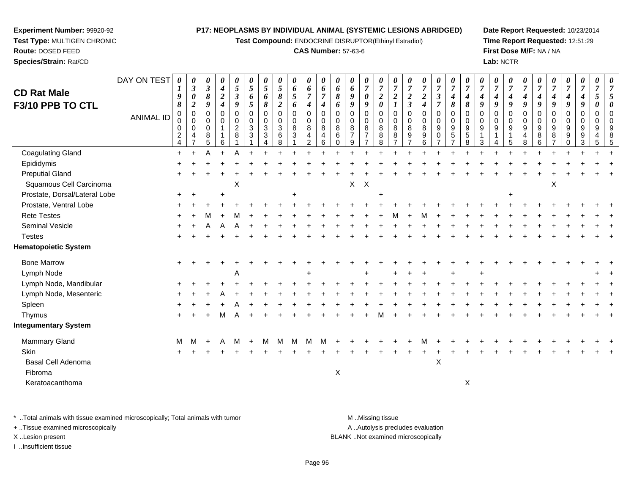**Test Compound:** ENDOCRINE DISRUPTOR(Ethinyl Estradiol)

#### **CAS Number:** 57-63-6

**Date Report Requested:** 10/23/2014**Time Report Requested:** 12:51:29**First Dose M/F:** NA / NA**Lab:** NCTR

| <b>CD Rat Male</b><br>F3/10 PPB TO CTL | DAY ON TEST<br><b>ANIMAL ID</b> | 0<br>1<br>9<br>8<br>0<br>0<br>$\mathbf 0$<br>$\frac{2}{4}$ | $\boldsymbol{\theta}$<br>$\boldsymbol{\beta}$<br>0<br>2<br>$\mathbf 0$<br>$\mathbf 0$<br>$\mathbf 0$<br>4<br>$\overline{ }$ | 0<br>$\mathbf{3}$<br>$\pmb{8}$<br>9<br>$\pmb{0}$<br>0<br>$\mathbf 0$<br>8<br>5 | 0<br>$\boldsymbol{4}$<br>$\boldsymbol{2}$<br>$\boldsymbol{4}$<br>0<br>0<br>$\mathbf{1}$<br>1<br>6 | 0<br>5<br>$\boldsymbol{\beta}$<br>9<br>$\pmb{0}$<br>0<br>$\overline{a}$<br>8 | $\boldsymbol{\theta}$<br>$5\overline{)}$<br>6<br>5<br>$\mathbf 0$<br>$\mathbf 0$<br>$\mathbf{3}$<br>$\mathbf{3}$ | $\boldsymbol{\theta}$<br>$\overline{5}$<br>6<br>8<br>$\mathbf 0$<br>$\mathbf 0$<br>$\sqrt{3}$<br>$\mathbf{3}$ | $\boldsymbol{\theta}$<br>$\overline{5}$<br>$\pmb{8}$<br>$\overline{\mathbf{c}}$<br>0<br>0<br>$\sqrt{3}$<br>$\,6$<br>8 | 0<br>6<br>5<br>6<br>$\mathbf 0$<br>0<br>8<br>$\mathbf{3}$ | 0<br>6<br>$\overline{7}$<br>4<br>0<br>0<br>8<br>4<br>$\overline{2}$ | $\boldsymbol{\theta}$<br>6<br>$\overline{7}$<br>$\boldsymbol{4}$<br>$\Omega$<br>$\mathbf 0$<br>8<br>4<br>6 | $\theta$<br>6<br>8<br>6<br>$\Omega$<br>$\Omega$<br>8<br>6<br>$\Omega$ | $\boldsymbol{\theta}$<br>$\boldsymbol{6}$<br>9<br>9<br>0<br>0<br>$\bf8$<br>$\overline{7}$<br>9 | $\boldsymbol{\theta}$<br>$\overline{7}$<br>$\boldsymbol{\theta}$<br>9<br>$\mathbf 0$<br>$\mathbf 0$<br>8<br>$\overline{7}$<br>$\overline{7}$ | $\boldsymbol{\theta}$<br>$\overline{7}$<br>$\boldsymbol{2}$<br>$\boldsymbol{\theta}$<br>$\mathbf 0$<br>0<br>8<br>8<br>8 | $\overline{7}$<br>$\boldsymbol{2}$<br>$\boldsymbol{I}$<br>$\mathbf 0$<br>$\mathbf 0$<br>8<br>$\bf 8$<br>$\overline{7}$ | $\boldsymbol{\theta}$<br>$\overline{7}$<br>$\boldsymbol{2}$<br>$\mathfrak{z}$<br>$\mathbf 0$<br>$\mathbf 0$<br>$\, 8$<br>$9\,$ | $\boldsymbol{\theta}$<br>$\overline{7}$<br>$\boldsymbol{2}$<br>$\boldsymbol{4}$<br>0<br>0<br>$\,8\,$<br>$\boldsymbol{9}$<br>6 | $\boldsymbol{\theta}$<br>$\overline{7}$<br>$\boldsymbol{\beta}$<br>$\overline{7}$<br>$\mathbf 0$<br>$\mathbf 0$<br>$\boldsymbol{9}$<br>$\mathbf 0$<br>$\overline{7}$ | $\boldsymbol{\theta}$<br>$\overline{7}$<br>4<br>8<br>0<br>0<br>$\boldsymbol{9}$<br>5<br>$\overline{7}$ | $\boldsymbol{\theta}$<br>$\overline{7}$<br>$\boldsymbol{4}$<br>8<br>$\mathbf 0$<br>0<br>$\boldsymbol{9}$<br>$\sqrt{5}$<br>8 | $\boldsymbol{\theta}$<br>$\overline{7}$<br>4<br>9<br>$\Omega$<br>$\Omega$<br>9<br>3 | 0<br>$\overline{7}$<br>4<br>9<br>$\Omega$<br>0<br>$\boldsymbol{9}$<br>1<br>4 | $\boldsymbol{\theta}$<br>$\overline{7}$<br>$\boldsymbol{4}$<br>9<br>$\mathbf 0$<br>$\mathbf 0$<br>$\boldsymbol{9}$<br>$\mathbf{1}$<br>5 | $\boldsymbol{\theta}$<br>$\overline{7}$<br>4<br>9<br>$\mathbf 0$<br>$\Omega$<br>9<br>4<br>8 | $\boldsymbol{\theta}$<br>$\overline{7}$<br>4<br>9<br>$\mathbf 0$<br>0<br>$\boldsymbol{9}$<br>8<br>6 | 0<br>$\overline{7}$<br>4<br>9<br>$\mathbf 0$<br>$\mathbf 0$<br>$\boldsymbol{9}$<br>8 | 0<br>$\boldsymbol{7}$<br>$\boldsymbol{4}$<br>9<br>0<br>0<br>$\boldsymbol{9}$<br>$\boldsymbol{9}$<br>$\Omega$ | 0<br>$\overline{7}$<br>$\boldsymbol{4}$<br>9<br>$\mathbf 0$<br>$\mathbf 0$<br>9<br>9<br>3 | 0<br>$\overline{7}$<br>5<br>0<br>0<br>$\Omega$<br>9<br>4<br>5 | $\overline{7}$ |
|----------------------------------------|---------------------------------|------------------------------------------------------------|-----------------------------------------------------------------------------------------------------------------------------|--------------------------------------------------------------------------------|---------------------------------------------------------------------------------------------------|------------------------------------------------------------------------------|------------------------------------------------------------------------------------------------------------------|---------------------------------------------------------------------------------------------------------------|-----------------------------------------------------------------------------------------------------------------------|-----------------------------------------------------------|---------------------------------------------------------------------|------------------------------------------------------------------------------------------------------------|-----------------------------------------------------------------------|------------------------------------------------------------------------------------------------|----------------------------------------------------------------------------------------------------------------------------------------------|-------------------------------------------------------------------------------------------------------------------------|------------------------------------------------------------------------------------------------------------------------|--------------------------------------------------------------------------------------------------------------------------------|-------------------------------------------------------------------------------------------------------------------------------|----------------------------------------------------------------------------------------------------------------------------------------------------------------------|--------------------------------------------------------------------------------------------------------|-----------------------------------------------------------------------------------------------------------------------------|-------------------------------------------------------------------------------------|------------------------------------------------------------------------------|-----------------------------------------------------------------------------------------------------------------------------------------|---------------------------------------------------------------------------------------------|-----------------------------------------------------------------------------------------------------|--------------------------------------------------------------------------------------|--------------------------------------------------------------------------------------------------------------|-------------------------------------------------------------------------------------------|---------------------------------------------------------------|----------------|
| <b>Coagulating Gland</b>               |                                 | $+$                                                        |                                                                                                                             |                                                                                |                                                                                                   | Α                                                                            |                                                                                                                  |                                                                                                               |                                                                                                                       |                                                           |                                                                     |                                                                                                            |                                                                       |                                                                                                |                                                                                                                                              |                                                                                                                         |                                                                                                                        |                                                                                                                                |                                                                                                                               |                                                                                                                                                                      |                                                                                                        |                                                                                                                             |                                                                                     |                                                                              |                                                                                                                                         |                                                                                             |                                                                                                     |                                                                                      |                                                                                                              |                                                                                           |                                                               |                |
| Epididymis                             |                                 |                                                            |                                                                                                                             |                                                                                |                                                                                                   |                                                                              |                                                                                                                  |                                                                                                               |                                                                                                                       |                                                           |                                                                     |                                                                                                            |                                                                       |                                                                                                |                                                                                                                                              |                                                                                                                         |                                                                                                                        |                                                                                                                                |                                                                                                                               |                                                                                                                                                                      |                                                                                                        |                                                                                                                             |                                                                                     |                                                                              |                                                                                                                                         |                                                                                             |                                                                                                     |                                                                                      |                                                                                                              |                                                                                           |                                                               |                |
| <b>Preputial Gland</b>                 |                                 |                                                            |                                                                                                                             |                                                                                |                                                                                                   |                                                                              |                                                                                                                  |                                                                                                               |                                                                                                                       |                                                           |                                                                     |                                                                                                            |                                                                       |                                                                                                |                                                                                                                                              |                                                                                                                         |                                                                                                                        |                                                                                                                                |                                                                                                                               |                                                                                                                                                                      |                                                                                                        |                                                                                                                             |                                                                                     |                                                                              |                                                                                                                                         |                                                                                             |                                                                                                     |                                                                                      |                                                                                                              |                                                                                           |                                                               |                |
| Squamous Cell Carcinoma                |                                 |                                                            |                                                                                                                             |                                                                                |                                                                                                   | X                                                                            |                                                                                                                  |                                                                                                               |                                                                                                                       |                                                           |                                                                     |                                                                                                            |                                                                       |                                                                                                | $X$ $X$                                                                                                                                      |                                                                                                                         |                                                                                                                        |                                                                                                                                |                                                                                                                               |                                                                                                                                                                      |                                                                                                        |                                                                                                                             |                                                                                     |                                                                              |                                                                                                                                         |                                                                                             |                                                                                                     | Χ                                                                                    |                                                                                                              |                                                                                           |                                                               |                |
| Prostate, Dorsal/Lateral Lobe          |                                 | $\ddot{}$                                                  |                                                                                                                             |                                                                                |                                                                                                   |                                                                              |                                                                                                                  |                                                                                                               |                                                                                                                       | ÷                                                         |                                                                     |                                                                                                            |                                                                       |                                                                                                |                                                                                                                                              | $\ddot{}$                                                                                                               |                                                                                                                        |                                                                                                                                |                                                                                                                               |                                                                                                                                                                      |                                                                                                        |                                                                                                                             |                                                                                     |                                                                              | $\pm$                                                                                                                                   |                                                                                             |                                                                                                     |                                                                                      |                                                                                                              |                                                                                           |                                                               |                |
| Prostate, Ventral Lobe                 |                                 |                                                            |                                                                                                                             |                                                                                |                                                                                                   |                                                                              |                                                                                                                  |                                                                                                               |                                                                                                                       |                                                           |                                                                     |                                                                                                            |                                                                       |                                                                                                |                                                                                                                                              |                                                                                                                         |                                                                                                                        |                                                                                                                                |                                                                                                                               |                                                                                                                                                                      |                                                                                                        |                                                                                                                             |                                                                                     |                                                                              |                                                                                                                                         |                                                                                             |                                                                                                     |                                                                                      |                                                                                                              |                                                                                           |                                                               |                |
| <b>Rete Testes</b>                     |                                 |                                                            |                                                                                                                             |                                                                                |                                                                                                   |                                                                              |                                                                                                                  |                                                                                                               |                                                                                                                       |                                                           |                                                                     |                                                                                                            |                                                                       |                                                                                                |                                                                                                                                              |                                                                                                                         |                                                                                                                        |                                                                                                                                |                                                                                                                               |                                                                                                                                                                      |                                                                                                        |                                                                                                                             |                                                                                     |                                                                              |                                                                                                                                         |                                                                                             |                                                                                                     |                                                                                      |                                                                                                              |                                                                                           |                                                               |                |
| Seminal Vesicle                        |                                 |                                                            |                                                                                                                             |                                                                                |                                                                                                   |                                                                              |                                                                                                                  |                                                                                                               |                                                                                                                       |                                                           |                                                                     |                                                                                                            |                                                                       |                                                                                                |                                                                                                                                              |                                                                                                                         |                                                                                                                        |                                                                                                                                |                                                                                                                               |                                                                                                                                                                      |                                                                                                        |                                                                                                                             |                                                                                     |                                                                              |                                                                                                                                         |                                                                                             |                                                                                                     |                                                                                      |                                                                                                              |                                                                                           |                                                               |                |
| <b>Testes</b>                          |                                 |                                                            |                                                                                                                             |                                                                                |                                                                                                   |                                                                              |                                                                                                                  |                                                                                                               |                                                                                                                       |                                                           |                                                                     |                                                                                                            |                                                                       |                                                                                                |                                                                                                                                              |                                                                                                                         |                                                                                                                        |                                                                                                                                |                                                                                                                               |                                                                                                                                                                      |                                                                                                        |                                                                                                                             |                                                                                     |                                                                              |                                                                                                                                         |                                                                                             |                                                                                                     |                                                                                      |                                                                                                              |                                                                                           |                                                               |                |
| <b>Hematopoietic System</b>            |                                 |                                                            |                                                                                                                             |                                                                                |                                                                                                   |                                                                              |                                                                                                                  |                                                                                                               |                                                                                                                       |                                                           |                                                                     |                                                                                                            |                                                                       |                                                                                                |                                                                                                                                              |                                                                                                                         |                                                                                                                        |                                                                                                                                |                                                                                                                               |                                                                                                                                                                      |                                                                                                        |                                                                                                                             |                                                                                     |                                                                              |                                                                                                                                         |                                                                                             |                                                                                                     |                                                                                      |                                                                                                              |                                                                                           |                                                               |                |
| <b>Bone Marrow</b>                     |                                 |                                                            |                                                                                                                             |                                                                                |                                                                                                   |                                                                              |                                                                                                                  |                                                                                                               |                                                                                                                       |                                                           |                                                                     |                                                                                                            |                                                                       |                                                                                                |                                                                                                                                              |                                                                                                                         |                                                                                                                        |                                                                                                                                |                                                                                                                               |                                                                                                                                                                      |                                                                                                        |                                                                                                                             |                                                                                     |                                                                              |                                                                                                                                         |                                                                                             |                                                                                                     |                                                                                      |                                                                                                              |                                                                                           |                                                               |                |
| Lymph Node                             |                                 |                                                            |                                                                                                                             |                                                                                |                                                                                                   | A                                                                            |                                                                                                                  |                                                                                                               |                                                                                                                       |                                                           |                                                                     |                                                                                                            |                                                                       |                                                                                                |                                                                                                                                              |                                                                                                                         |                                                                                                                        |                                                                                                                                |                                                                                                                               |                                                                                                                                                                      |                                                                                                        |                                                                                                                             |                                                                                     |                                                                              |                                                                                                                                         |                                                                                             |                                                                                                     |                                                                                      |                                                                                                              |                                                                                           |                                                               |                |
| Lymph Node, Mandibular                 |                                 |                                                            |                                                                                                                             |                                                                                |                                                                                                   |                                                                              |                                                                                                                  |                                                                                                               |                                                                                                                       |                                                           |                                                                     |                                                                                                            |                                                                       |                                                                                                |                                                                                                                                              |                                                                                                                         |                                                                                                                        |                                                                                                                                |                                                                                                                               |                                                                                                                                                                      |                                                                                                        |                                                                                                                             |                                                                                     |                                                                              |                                                                                                                                         |                                                                                             |                                                                                                     |                                                                                      |                                                                                                              |                                                                                           |                                                               |                |
| Lymph Node, Mesenteric                 |                                 |                                                            |                                                                                                                             |                                                                                |                                                                                                   |                                                                              |                                                                                                                  |                                                                                                               |                                                                                                                       |                                                           |                                                                     |                                                                                                            |                                                                       |                                                                                                |                                                                                                                                              |                                                                                                                         |                                                                                                                        |                                                                                                                                |                                                                                                                               |                                                                                                                                                                      |                                                                                                        |                                                                                                                             |                                                                                     |                                                                              |                                                                                                                                         |                                                                                             |                                                                                                     |                                                                                      |                                                                                                              |                                                                                           |                                                               |                |
| Spleen                                 |                                 |                                                            |                                                                                                                             |                                                                                |                                                                                                   |                                                                              |                                                                                                                  |                                                                                                               |                                                                                                                       |                                                           |                                                                     |                                                                                                            |                                                                       |                                                                                                |                                                                                                                                              |                                                                                                                         |                                                                                                                        |                                                                                                                                |                                                                                                                               |                                                                                                                                                                      |                                                                                                        |                                                                                                                             |                                                                                     |                                                                              |                                                                                                                                         |                                                                                             |                                                                                                     |                                                                                      |                                                                                                              |                                                                                           |                                                               |                |
| Thymus                                 |                                 | $\pm$                                                      |                                                                                                                             |                                                                                | м                                                                                                 |                                                                              |                                                                                                                  |                                                                                                               |                                                                                                                       |                                                           |                                                                     |                                                                                                            |                                                                       |                                                                                                |                                                                                                                                              |                                                                                                                         |                                                                                                                        |                                                                                                                                |                                                                                                                               |                                                                                                                                                                      |                                                                                                        |                                                                                                                             |                                                                                     |                                                                              |                                                                                                                                         |                                                                                             |                                                                                                     |                                                                                      |                                                                                                              |                                                                                           |                                                               |                |
| <b>Integumentary System</b>            |                                 |                                                            |                                                                                                                             |                                                                                |                                                                                                   |                                                                              |                                                                                                                  |                                                                                                               |                                                                                                                       |                                                           |                                                                     |                                                                                                            |                                                                       |                                                                                                |                                                                                                                                              |                                                                                                                         |                                                                                                                        |                                                                                                                                |                                                                                                                               |                                                                                                                                                                      |                                                                                                        |                                                                                                                             |                                                                                     |                                                                              |                                                                                                                                         |                                                                                             |                                                                                                     |                                                                                      |                                                                                                              |                                                                                           |                                                               |                |
| Mammary Gland                          |                                 | м                                                          | м                                                                                                                           | $\ddot{}$                                                                      |                                                                                                   | м                                                                            | $+$                                                                                                              | м                                                                                                             | M                                                                                                                     | M                                                         |                                                                     |                                                                                                            |                                                                       |                                                                                                |                                                                                                                                              |                                                                                                                         |                                                                                                                        |                                                                                                                                |                                                                                                                               |                                                                                                                                                                      |                                                                                                        |                                                                                                                             |                                                                                     |                                                                              |                                                                                                                                         |                                                                                             |                                                                                                     |                                                                                      |                                                                                                              |                                                                                           |                                                               |                |
| Skin                                   |                                 |                                                            |                                                                                                                             |                                                                                |                                                                                                   |                                                                              |                                                                                                                  |                                                                                                               |                                                                                                                       |                                                           |                                                                     |                                                                                                            |                                                                       |                                                                                                |                                                                                                                                              |                                                                                                                         |                                                                                                                        |                                                                                                                                |                                                                                                                               |                                                                                                                                                                      |                                                                                                        |                                                                                                                             |                                                                                     |                                                                              |                                                                                                                                         |                                                                                             |                                                                                                     |                                                                                      |                                                                                                              |                                                                                           |                                                               |                |
| Basal Cell Adenoma                     |                                 |                                                            |                                                                                                                             |                                                                                |                                                                                                   |                                                                              |                                                                                                                  |                                                                                                               |                                                                                                                       |                                                           |                                                                     |                                                                                                            |                                                                       |                                                                                                |                                                                                                                                              |                                                                                                                         |                                                                                                                        |                                                                                                                                |                                                                                                                               | $\boldsymbol{\mathsf{X}}$                                                                                                                                            |                                                                                                        |                                                                                                                             |                                                                                     |                                                                              |                                                                                                                                         |                                                                                             |                                                                                                     |                                                                                      |                                                                                                              |                                                                                           |                                                               |                |
| Fibroma                                |                                 |                                                            |                                                                                                                             |                                                                                |                                                                                                   |                                                                              |                                                                                                                  |                                                                                                               |                                                                                                                       |                                                           |                                                                     |                                                                                                            | $\mathsf X$                                                           |                                                                                                |                                                                                                                                              |                                                                                                                         |                                                                                                                        |                                                                                                                                |                                                                                                                               |                                                                                                                                                                      |                                                                                                        |                                                                                                                             |                                                                                     |                                                                              |                                                                                                                                         |                                                                                             |                                                                                                     |                                                                                      |                                                                                                              |                                                                                           |                                                               |                |
| Keratoacanthoma                        |                                 |                                                            |                                                                                                                             |                                                                                |                                                                                                   |                                                                              |                                                                                                                  |                                                                                                               |                                                                                                                       |                                                           |                                                                     |                                                                                                            |                                                                       |                                                                                                |                                                                                                                                              |                                                                                                                         |                                                                                                                        |                                                                                                                                |                                                                                                                               |                                                                                                                                                                      |                                                                                                        | X                                                                                                                           |                                                                                     |                                                                              |                                                                                                                                         |                                                                                             |                                                                                                     |                                                                                      |                                                                                                              |                                                                                           |                                                               |                |
|                                        |                                 |                                                            |                                                                                                                             |                                                                                |                                                                                                   |                                                                              |                                                                                                                  |                                                                                                               |                                                                                                                       |                                                           |                                                                     |                                                                                                            |                                                                       |                                                                                                |                                                                                                                                              |                                                                                                                         |                                                                                                                        |                                                                                                                                |                                                                                                                               |                                                                                                                                                                      |                                                                                                        |                                                                                                                             |                                                                                     |                                                                              |                                                                                                                                         |                                                                                             |                                                                                                     |                                                                                      |                                                                                                              |                                                                                           |                                                               |                |

\* ..Total animals with tissue examined microscopically; Total animals with tumor **M** . Missing tissue M ..Missing tissue A ..Autolysis precludes evaluation + ..Tissue examined microscopically X ..Lesion present BLANK ..Not examined microscopicallyI ..Insufficient tissue

**Experiment Number:** 99920-92**Test Type:** MULTIGEN CHRONIC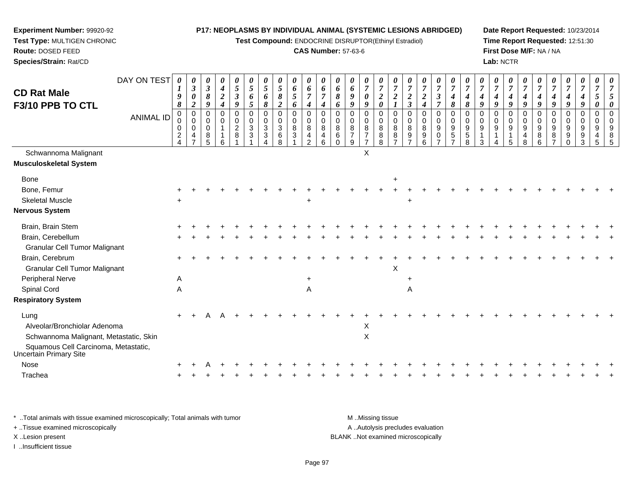**Test Compound:** ENDOCRINE DISRUPTOR(Ethinyl Estradiol)

#### **CAS Number:** 57-63-6

**Date Report Requested:** 10/23/2014**Time Report Requested:** 12:51:30**First Dose M/F:** NA / NA**Lab:** NCTR

| <b>CD Rat Male</b><br>F3/10 PPB TO CTL                         | DAY ON TEST      | $\boldsymbol{\theta}$<br>1<br>9<br>8   | 0<br>$\boldsymbol{\beta}$<br>$\boldsymbol{\theta}$<br>$\overline{2}$ | 0<br>$\mathfrak{z}$<br>8<br>9                 | 0<br>$\boldsymbol{4}$<br>$\boldsymbol{2}$<br>$\boldsymbol{4}$ | $\boldsymbol{\theta}$<br>$\mathfrak{s}$<br>$\boldsymbol{\beta}$<br>9 | 0<br>$\overline{5}$<br>6<br>$\overline{5}$               | $\boldsymbol{\theta}$<br>$\mathfrak{s}$<br>6<br>$\pmb{8}$                | 0<br>$5\overline{)}$<br>$\pmb{8}$<br>$\overline{\mathbf{c}}$ | 0<br>6<br>5<br>6                                  | 0<br>6<br>$\overline{7}$<br>$\boldsymbol{4}$ | 0<br>6<br>7<br>4                                             | 0<br>6<br>8<br>6                              | 0<br>6<br>9<br>9                               | 0<br>$\overline{7}$<br>$\boldsymbol{\theta}$<br>9         | $\boldsymbol{\theta}$<br>$\overline{7}$<br>$\boldsymbol{2}$<br>$\boldsymbol{\theta}$ | $\boldsymbol{7}$<br>$\boldsymbol{2}$<br>$\boldsymbol{l}$ | $\boldsymbol{7}$<br>$\boldsymbol{2}$<br>$\mathfrak{z}$                      | $\boldsymbol{\theta}$<br>$\boldsymbol{7}$<br>$\boldsymbol{2}$<br>$\boldsymbol{4}$ | $\boldsymbol{\theta}$<br>$\overline{7}$<br>$\mathfrak{z}$<br>$\overline{7}$     | 0<br>$\overline{7}$<br>4<br>8                                | $\overline{7}$<br>4<br>$\pmb{8}$                                         | $\overline{7}$<br>4<br>9          | 0<br>$\overline{7}$<br>$\boldsymbol{4}$<br>9 | 0<br>$\overline{7}$<br>$\boldsymbol{4}$<br>9 | U<br>$\overline{7}$<br>4<br>9          | $\overline{7}$<br>4<br>9            | $\overline{7}$<br>4<br>9                  | 0<br>$\boldsymbol{7}$<br>$\boldsymbol{4}$<br>9 | 0<br>$\overline{7}$<br>$\boldsymbol{4}$<br>9                          | $\boldsymbol{\theta}$<br>$\overline{7}$<br>5<br>0 |             |
|----------------------------------------------------------------|------------------|----------------------------------------|----------------------------------------------------------------------|-----------------------------------------------|---------------------------------------------------------------|----------------------------------------------------------------------|----------------------------------------------------------|--------------------------------------------------------------------------|--------------------------------------------------------------|---------------------------------------------------|----------------------------------------------|--------------------------------------------------------------|-----------------------------------------------|------------------------------------------------|-----------------------------------------------------------|--------------------------------------------------------------------------------------|----------------------------------------------------------|-----------------------------------------------------------------------------|-----------------------------------------------------------------------------------|---------------------------------------------------------------------------------|--------------------------------------------------------------|--------------------------------------------------------------------------|-----------------------------------|----------------------------------------------|----------------------------------------------|----------------------------------------|-------------------------------------|-------------------------------------------|------------------------------------------------|-----------------------------------------------------------------------|---------------------------------------------------|-------------|
|                                                                | <b>ANIMAL ID</b> | $\mathbf 0$<br>0<br>0<br>$\frac{2}{4}$ | $\mathbf 0$<br>$\mathbf 0$<br>$\mathbf 0$<br>4<br>$\overline{7}$     | $\Omega$<br>$\mathbf 0$<br>$\Omega$<br>8<br>5 | $\mathbf 0$<br>0<br>$\mathbf{1}$<br>1<br>6                    | $\mathbf 0$<br>$\begin{smallmatrix} 0\\2\\8 \end{smallmatrix}$       | $\mathbf 0$<br>$\mathbf 0$<br>$\sqrt{3}$<br>$\mathbf{3}$ | $\mathbf 0$<br>$\mathbf 0$<br>$\sqrt{3}$<br>$\sqrt{3}$<br>$\overline{A}$ | $\mathbf 0$<br>0<br>3<br>$\,6\,$<br>$\overline{8}$           | $\pmb{0}$<br>$\mathbf 0$<br>$\,8\,$<br>$\sqrt{3}$ | $\pmb{0}$<br>$\pmb{0}$<br>8<br>4<br>2        | $\Omega$<br>$\mathbf 0$<br>8<br>$\overline{\mathbf{4}}$<br>6 | $\Omega$<br>$\mathbf 0$<br>8<br>6<br>$\Omega$ | $\Omega$<br>0<br>$\bf8$<br>$\overline{7}$<br>9 | $\mathbf 0$<br>0<br>8<br>$\overline{7}$<br>$\overline{7}$ | $\mathbf 0$<br>0<br>8<br>8<br>8                                                      | $\mathbf 0$<br>0<br>$\bf8$<br>$\frac{8}{7}$              | $\mathbf 0$<br>$\mathbf 0$<br>$\,8\,$<br>$\boldsymbol{9}$<br>$\overline{7}$ | 0<br>0<br>$\bf 8$<br>$\boldsymbol{9}$<br>$6^{\circ}$                              | $\mathbf 0$<br>$\mathbf 0$<br>$\boldsymbol{9}$<br>$\mathbf 0$<br>$\overline{7}$ | $\Omega$<br>$\mathbf 0$<br>9<br>$\sqrt{5}$<br>$\overline{7}$ | $\mathbf 0$<br>0<br>$\boldsymbol{9}$<br>$\overline{5}$<br>$\overline{8}$ | $\Omega$<br>$\mathbf 0$<br>9<br>3 | $\Omega$<br>0<br>$\boldsymbol{9}$<br>4       | $\Omega$<br>0<br>$9\,$<br>$\mathbf{1}$<br>5  | $\Omega$<br>$\mathbf 0$<br>9<br>4<br>8 | $\Omega$<br>$\Omega$<br>9<br>8<br>6 | $\Omega$<br>0<br>9<br>8<br>$\overline{z}$ | $\Omega$<br>$\mathbf 0$<br>9<br>9<br>$\Omega$  | $\mathbf 0$<br>$\mathbf 0$<br>9<br>$\boldsymbol{9}$<br>$\overline{3}$ | $\mathbf 0$<br>0<br>9<br>4<br>5                   | $\cap$<br>5 |
| Schwannoma Malignant<br><b>Musculoskeletal System</b>          |                  |                                        |                                                                      |                                               |                                                               |                                                                      |                                                          |                                                                          |                                                              |                                                   |                                              |                                                              |                                               |                                                | X                                                         |                                                                                      |                                                          |                                                                             |                                                                                   |                                                                                 |                                                              |                                                                          |                                   |                                              |                                              |                                        |                                     |                                           |                                                |                                                                       |                                                   |             |
| <b>Bone</b>                                                    |                  |                                        |                                                                      |                                               |                                                               |                                                                      |                                                          |                                                                          |                                                              |                                                   |                                              |                                                              |                                               |                                                |                                                           |                                                                                      | $\ddot{}$                                                |                                                                             |                                                                                   |                                                                                 |                                                              |                                                                          |                                   |                                              |                                              |                                        |                                     |                                           |                                                |                                                                       |                                                   |             |
| Bone, Femur                                                    |                  |                                        |                                                                      |                                               |                                                               |                                                                      |                                                          |                                                                          |                                                              |                                                   |                                              |                                                              |                                               |                                                |                                                           |                                                                                      |                                                          |                                                                             |                                                                                   |                                                                                 |                                                              |                                                                          |                                   |                                              |                                              |                                        |                                     |                                           |                                                |                                                                       |                                                   |             |
| <b>Skeletal Muscle</b>                                         |                  |                                        |                                                                      |                                               |                                                               |                                                                      |                                                          |                                                                          |                                                              |                                                   | $\ddot{}$                                    |                                                              |                                               |                                                |                                                           |                                                                                      |                                                          |                                                                             |                                                                                   |                                                                                 |                                                              |                                                                          |                                   |                                              |                                              |                                        |                                     |                                           |                                                |                                                                       |                                                   |             |
| <b>Nervous System</b>                                          |                  |                                        |                                                                      |                                               |                                                               |                                                                      |                                                          |                                                                          |                                                              |                                                   |                                              |                                                              |                                               |                                                |                                                           |                                                                                      |                                                          |                                                                             |                                                                                   |                                                                                 |                                                              |                                                                          |                                   |                                              |                                              |                                        |                                     |                                           |                                                |                                                                       |                                                   |             |
| Brain, Brain Stem                                              |                  |                                        |                                                                      |                                               |                                                               |                                                                      |                                                          |                                                                          |                                                              |                                                   |                                              |                                                              |                                               |                                                |                                                           |                                                                                      |                                                          |                                                                             |                                                                                   |                                                                                 |                                                              |                                                                          |                                   |                                              |                                              |                                        |                                     |                                           |                                                |                                                                       |                                                   |             |
| Brain, Cerebellum                                              |                  |                                        |                                                                      |                                               |                                                               |                                                                      |                                                          |                                                                          |                                                              |                                                   |                                              |                                                              |                                               |                                                |                                                           |                                                                                      |                                                          |                                                                             |                                                                                   |                                                                                 |                                                              |                                                                          |                                   |                                              |                                              |                                        |                                     |                                           |                                                |                                                                       |                                                   |             |
| <b>Granular Cell Tumor Malignant</b>                           |                  |                                        |                                                                      |                                               |                                                               |                                                                      |                                                          |                                                                          |                                                              |                                                   |                                              |                                                              |                                               |                                                |                                                           |                                                                                      |                                                          |                                                                             |                                                                                   |                                                                                 |                                                              |                                                                          |                                   |                                              |                                              |                                        |                                     |                                           |                                                |                                                                       |                                                   |             |
| Brain, Cerebrum                                                |                  |                                        |                                                                      |                                               |                                                               |                                                                      |                                                          |                                                                          |                                                              |                                                   |                                              |                                                              |                                               |                                                |                                                           |                                                                                      |                                                          |                                                                             |                                                                                   |                                                                                 |                                                              |                                                                          |                                   |                                              |                                              |                                        |                                     |                                           |                                                |                                                                       |                                                   |             |
| <b>Granular Cell Tumor Malignant</b>                           |                  |                                        |                                                                      |                                               |                                                               |                                                                      |                                                          |                                                                          |                                                              |                                                   |                                              |                                                              |                                               |                                                |                                                           |                                                                                      | X                                                        |                                                                             |                                                                                   |                                                                                 |                                                              |                                                                          |                                   |                                              |                                              |                                        |                                     |                                           |                                                |                                                                       |                                                   |             |
| Peripheral Nerve                                               |                  | A                                      |                                                                      |                                               |                                                               |                                                                      |                                                          |                                                                          |                                                              |                                                   | $\ddot{}$                                    |                                                              |                                               |                                                |                                                           |                                                                                      |                                                          |                                                                             |                                                                                   |                                                                                 |                                                              |                                                                          |                                   |                                              |                                              |                                        |                                     |                                           |                                                |                                                                       |                                                   |             |
| Spinal Cord                                                    |                  | Α                                      |                                                                      |                                               |                                                               |                                                                      |                                                          |                                                                          |                                                              |                                                   | Α                                            |                                                              |                                               |                                                |                                                           |                                                                                      |                                                          | Α                                                                           |                                                                                   |                                                                                 |                                                              |                                                                          |                                   |                                              |                                              |                                        |                                     |                                           |                                                |                                                                       |                                                   |             |
| <b>Respiratory System</b>                                      |                  |                                        |                                                                      |                                               |                                                               |                                                                      |                                                          |                                                                          |                                                              |                                                   |                                              |                                                              |                                               |                                                |                                                           |                                                                                      |                                                          |                                                                             |                                                                                   |                                                                                 |                                                              |                                                                          |                                   |                                              |                                              |                                        |                                     |                                           |                                                |                                                                       |                                                   |             |
| Lung                                                           |                  |                                        |                                                                      |                                               |                                                               |                                                                      |                                                          |                                                                          |                                                              |                                                   |                                              |                                                              |                                               |                                                |                                                           |                                                                                      |                                                          |                                                                             |                                                                                   |                                                                                 |                                                              |                                                                          |                                   |                                              |                                              |                                        |                                     |                                           |                                                |                                                                       |                                                   |             |
| Alveolar/Bronchiolar Adenoma                                   |                  |                                        |                                                                      |                                               |                                                               |                                                                      |                                                          |                                                                          |                                                              |                                                   |                                              |                                                              |                                               |                                                | X                                                         |                                                                                      |                                                          |                                                                             |                                                                                   |                                                                                 |                                                              |                                                                          |                                   |                                              |                                              |                                        |                                     |                                           |                                                |                                                                       |                                                   |             |
| Schwannoma Malignant, Metastatic, Skin                         |                  |                                        |                                                                      |                                               |                                                               |                                                                      |                                                          |                                                                          |                                                              |                                                   |                                              |                                                              |                                               |                                                | $\pmb{\times}$                                            |                                                                                      |                                                          |                                                                             |                                                                                   |                                                                                 |                                                              |                                                                          |                                   |                                              |                                              |                                        |                                     |                                           |                                                |                                                                       |                                                   |             |
| Squamous Cell Carcinoma, Metastatic,<br>Uncertain Primary Site |                  |                                        |                                                                      |                                               |                                                               |                                                                      |                                                          |                                                                          |                                                              |                                                   |                                              |                                                              |                                               |                                                |                                                           |                                                                                      |                                                          |                                                                             |                                                                                   |                                                                                 |                                                              |                                                                          |                                   |                                              |                                              |                                        |                                     |                                           |                                                |                                                                       |                                                   |             |
| <b>Nose</b>                                                    |                  |                                        |                                                                      |                                               |                                                               |                                                                      |                                                          |                                                                          |                                                              |                                                   |                                              |                                                              |                                               |                                                |                                                           |                                                                                      |                                                          |                                                                             |                                                                                   |                                                                                 |                                                              |                                                                          |                                   |                                              |                                              |                                        |                                     |                                           |                                                |                                                                       |                                                   |             |
| Trachea                                                        |                  |                                        |                                                                      |                                               |                                                               |                                                                      |                                                          |                                                                          |                                                              |                                                   |                                              |                                                              |                                               |                                                |                                                           |                                                                                      |                                                          |                                                                             |                                                                                   |                                                                                 |                                                              |                                                                          |                                   |                                              |                                              |                                        |                                     |                                           |                                                |                                                                       |                                                   |             |
|                                                                |                  |                                        |                                                                      |                                               |                                                               |                                                                      |                                                          |                                                                          |                                                              |                                                   |                                              |                                                              |                                               |                                                |                                                           |                                                                                      |                                                          |                                                                             |                                                                                   |                                                                                 |                                                              |                                                                          |                                   |                                              |                                              |                                        |                                     |                                           |                                                |                                                                       |                                                   |             |

\* ..Total animals with tissue examined microscopically; Total animals with tumor **M** . Missing tissue M ..Missing tissue A ..Autolysis precludes evaluation + ..Tissue examined microscopically X ..Lesion present BLANK ..Not examined microscopicallyI ..Insufficient tissue

**Experiment Number:** 99920-92**Test Type:** MULTIGEN CHRONIC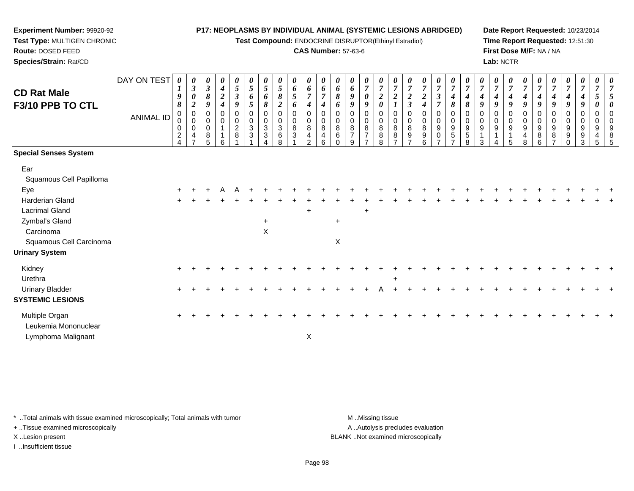**Test Compound:** ENDOCRINE DISRUPTOR(Ethinyl Estradiol)

#### **CAS Number:** 57-63-6

**Date Report Requested:** 10/23/2014**Time Report Requested:** 12:51:30**First Dose M/F:** NA / NA**Lab:** NCTR

| <b>CD Rat Male</b><br>F3/10 PPB TO CTL                        | DAY ON TEST<br><b>ANIMAL ID</b> | 0<br>1<br>9<br>8<br>0<br>0<br>$\overline{\mathbf{c}}$ | 0<br>$\boldsymbol{\beta}$<br>0<br>$\overline{2}$<br>0<br>0<br>0<br>4 | 0<br>$\boldsymbol{\beta}$<br>8<br>9<br>0<br>0<br>0<br>8<br>5 | 0<br>$\boldsymbol{4}$<br>$\boldsymbol{2}$<br>4<br>0<br>$\mathbf 0$<br>6 | 0<br>5<br>$\boldsymbol{\beta}$<br>9<br>0<br>$\mathbf 0$<br>$\overline{c}$<br>8 | 0<br>5<br>6<br>5<br>0<br>0<br>$\mathbf{3}$<br>3 | 0<br>5<br>6<br>8<br>0<br>0<br>$\,$ 3 $\,$<br>3 | 0<br>5<br>8<br>$\boldsymbol{2}$<br>0<br>$\pmb{0}$<br>$\ensuremath{\mathsf{3}}$<br>6<br>8 | 0<br>6<br>5<br>6<br>0<br>$\pmb{0}$<br>$\, 8$<br>3 | 0<br>6<br>$\overline{7}$<br>4<br>0<br>$\mathbf 0$<br>8<br>$\overline{4}$<br>$\overline{2}$ | 0<br>6<br>$\overline{7}$<br>$\mathbf 0$<br>0<br>8<br>4<br>6 | 0<br>6<br>8<br>6<br>0<br>8<br>6 | 0<br>6<br>9<br>9<br>0<br>0<br>8<br>$\overline{7}$<br>$\mathbf{Q}$ | 0<br>$\overline{7}$<br>0<br>9<br>0<br>$\pmb{0}$<br>$\bf8$<br>$\overline{7}$ | 0<br>$\overline{7}$<br>$\boldsymbol{2}$<br>$\boldsymbol{\theta}$<br>0<br>0<br>8<br>8<br>8 | 0<br>$\overline{7}$<br>$\boldsymbol{2}$<br>0<br>$\pmb{0}$<br>$\, 8$<br>8 | 0<br>$\overline{7}$<br>$\overline{2}$<br>$\mathfrak{z}$<br>0<br>$\mathbf 0$<br>$\,8\,$<br>$9\,$ | 0<br>$\overline{7}$<br>$\boldsymbol{2}$<br>4<br>0<br>$\mathbf 0$<br>8<br>9<br>6 | 0<br>$\overline{7}$<br>3<br>$\overline{7}$<br>0<br>0<br>9<br>0 | $\boldsymbol{7}$<br>4<br>8<br>$\mathbf 0$<br>$\boldsymbol{9}$<br>$\sqrt{5}$ | 0<br>$\overline{7}$<br>4<br>$\pmb{8}$<br>0<br>0<br>$\boldsymbol{9}$<br>$\sqrt{5}$<br>8 | 0<br>$\overline{7}$<br>$\boldsymbol{4}$<br>$\boldsymbol{g}$<br>0<br>0<br>9<br>3 | 0<br>$\overline{7}$<br>$\boldsymbol{4}$<br>9<br>0<br>$\mathbf 0$<br>9<br>$\mathbf 1$<br>4 | 0<br>$\overline{7}$<br>9<br>0<br>0<br>9<br>5 | 0<br>$\overline{7}$<br>4<br>9<br>$\mathbf 0$<br>9 | 0<br>$\overline{7}$<br>4<br>9<br>0<br>0<br>9<br>8<br>6 | 0<br>$\overline{7}$<br>4<br>9<br>0<br>$\mathbf 0$<br>$9\,$<br>8<br>$\overline{ }$ | 0<br>$\overline{7}$<br>$\boldsymbol{4}$<br>9<br>0<br>$\pmb{0}$<br>$9\,$<br>9<br>$\mathbf 0$ | 0<br>4<br>9<br>0<br>0<br>9<br>9<br>3 | 0<br>$\overline{\tau}$<br>5<br>0<br>$\Omega$<br>0<br>9<br>4<br>5 | 0<br>7<br>5<br>0<br>$\mathbf 0$<br>0<br>9<br>8<br>5 |
|---------------------------------------------------------------|---------------------------------|-------------------------------------------------------|----------------------------------------------------------------------|--------------------------------------------------------------|-------------------------------------------------------------------------|--------------------------------------------------------------------------------|-------------------------------------------------|------------------------------------------------|------------------------------------------------------------------------------------------|---------------------------------------------------|--------------------------------------------------------------------------------------------|-------------------------------------------------------------|---------------------------------|-------------------------------------------------------------------|-----------------------------------------------------------------------------|-------------------------------------------------------------------------------------------|--------------------------------------------------------------------------|-------------------------------------------------------------------------------------------------|---------------------------------------------------------------------------------|----------------------------------------------------------------|-----------------------------------------------------------------------------|----------------------------------------------------------------------------------------|---------------------------------------------------------------------------------|-------------------------------------------------------------------------------------------|----------------------------------------------|---------------------------------------------------|--------------------------------------------------------|-----------------------------------------------------------------------------------|---------------------------------------------------------------------------------------------|--------------------------------------|------------------------------------------------------------------|-----------------------------------------------------|
| <b>Special Senses System</b>                                  |                                 |                                                       |                                                                      |                                                              |                                                                         |                                                                                |                                                 |                                                |                                                                                          |                                                   |                                                                                            |                                                             |                                 |                                                                   |                                                                             |                                                                                           |                                                                          |                                                                                                 |                                                                                 |                                                                |                                                                             |                                                                                        |                                                                                 |                                                                                           |                                              |                                                   |                                                        |                                                                                   |                                                                                             |                                      |                                                                  |                                                     |
| Ear<br>Squamous Cell Papilloma                                |                                 |                                                       |                                                                      |                                                              |                                                                         |                                                                                |                                                 |                                                |                                                                                          |                                                   |                                                                                            |                                                             |                                 |                                                                   |                                                                             |                                                                                           |                                                                          |                                                                                                 |                                                                                 |                                                                |                                                                             |                                                                                        |                                                                                 |                                                                                           |                                              |                                                   |                                                        |                                                                                   |                                                                                             |                                      |                                                                  |                                                     |
| Eye                                                           |                                 | $\ddot{}$                                             |                                                                      |                                                              |                                                                         |                                                                                |                                                 |                                                |                                                                                          |                                                   |                                                                                            |                                                             |                                 |                                                                   |                                                                             |                                                                                           |                                                                          |                                                                                                 |                                                                                 |                                                                |                                                                             |                                                                                        |                                                                                 |                                                                                           |                                              |                                                   |                                                        |                                                                                   |                                                                                             |                                      |                                                                  |                                                     |
| <b>Harderian Gland</b><br><b>Lacrimal Gland</b>               |                                 |                                                       |                                                                      |                                                              |                                                                         |                                                                                |                                                 |                                                |                                                                                          |                                                   | $\ddot{}$                                                                                  |                                                             |                                 |                                                                   | $\ddot{}$                                                                   |                                                                                           |                                                                          |                                                                                                 |                                                                                 |                                                                |                                                                             |                                                                                        |                                                                                 |                                                                                           |                                              |                                                   |                                                        |                                                                                   |                                                                                             |                                      |                                                                  |                                                     |
| Zymbal's Gland                                                |                                 |                                                       |                                                                      |                                                              |                                                                         |                                                                                |                                                 | $\ddot{}$                                      |                                                                                          |                                                   |                                                                                            |                                                             | $\ddot{}$                       |                                                                   |                                                                             |                                                                                           |                                                                          |                                                                                                 |                                                                                 |                                                                |                                                                             |                                                                                        |                                                                                 |                                                                                           |                                              |                                                   |                                                        |                                                                                   |                                                                                             |                                      |                                                                  |                                                     |
| Carcinoma<br>Squamous Cell Carcinoma<br><b>Urinary System</b> |                                 |                                                       |                                                                      |                                                              |                                                                         |                                                                                |                                                 | X                                              |                                                                                          |                                                   |                                                                                            |                                                             | $\pmb{\times}$                  |                                                                   |                                                                             |                                                                                           |                                                                          |                                                                                                 |                                                                                 |                                                                |                                                                             |                                                                                        |                                                                                 |                                                                                           |                                              |                                                   |                                                        |                                                                                   |                                                                                             |                                      |                                                                  |                                                     |
| Kidney<br>Urethra                                             |                                 |                                                       |                                                                      |                                                              |                                                                         |                                                                                |                                                 |                                                |                                                                                          |                                                   |                                                                                            |                                                             |                                 |                                                                   |                                                                             |                                                                                           |                                                                          |                                                                                                 |                                                                                 |                                                                |                                                                             |                                                                                        |                                                                                 |                                                                                           |                                              |                                                   |                                                        |                                                                                   |                                                                                             |                                      |                                                                  |                                                     |
| <b>Urinary Bladder</b><br><b>SYSTEMIC LESIONS</b>             |                                 |                                                       |                                                                      |                                                              |                                                                         |                                                                                |                                                 |                                                |                                                                                          |                                                   |                                                                                            |                                                             |                                 |                                                                   |                                                                             |                                                                                           |                                                                          |                                                                                                 |                                                                                 |                                                                |                                                                             |                                                                                        |                                                                                 |                                                                                           |                                              |                                                   |                                                        |                                                                                   |                                                                                             |                                      |                                                                  |                                                     |
| Multiple Organ<br>Leukemia Mononuclear                        |                                 |                                                       |                                                                      |                                                              |                                                                         |                                                                                |                                                 |                                                |                                                                                          |                                                   |                                                                                            |                                                             |                                 |                                                                   |                                                                             |                                                                                           |                                                                          |                                                                                                 |                                                                                 |                                                                |                                                                             |                                                                                        |                                                                                 |                                                                                           |                                              |                                                   |                                                        |                                                                                   |                                                                                             |                                      |                                                                  |                                                     |
| Lymphoma Malignant                                            |                                 |                                                       |                                                                      |                                                              |                                                                         |                                                                                |                                                 |                                                |                                                                                          |                                                   | $\mathsf X$                                                                                |                                                             |                                 |                                                                   |                                                                             |                                                                                           |                                                                          |                                                                                                 |                                                                                 |                                                                |                                                                             |                                                                                        |                                                                                 |                                                                                           |                                              |                                                   |                                                        |                                                                                   |                                                                                             |                                      |                                                                  |                                                     |

\* ..Total animals with tissue examined microscopically; Total animals with tumor **M** . Missing tissue M ..Missing tissue

+ ..Tissue examined microscopically

**Experiment Number:** 99920-92**Test Type:** MULTIGEN CHRONIC

**Route:** DOSED FEED**Species/Strain:** Rat/CD

I ..Insufficient tissue

A ..Autolysis precludes evaluation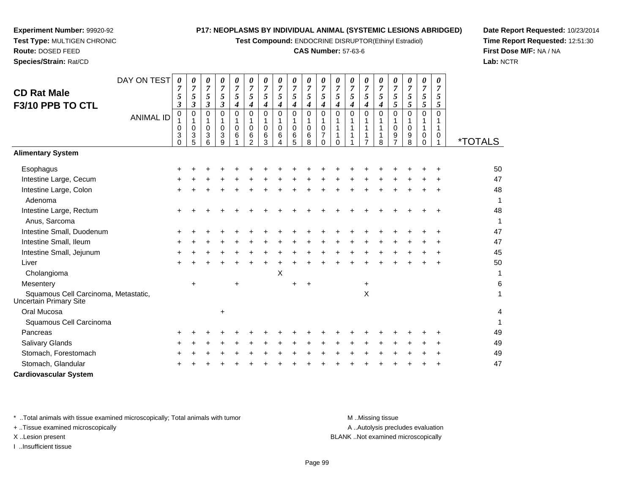**Test Compound:** ENDOCRINE DISRUPTOR(Ethinyl Estradiol)

#### **CAS Number:** 57-63-6

**Date Report Requested:** 10/23/2014**Time Report Requested:** 12:51:30**First Dose M/F:** NA / NA**Lab:** NCTR

| DAY ON TEST<br><b>CD Rat Male</b><br>F3/10 PPB TO CTL          | 0<br>7<br>5<br>3             | 0<br>$\overline{7}$<br>$\mathfrak{s}$ | $\boldsymbol{\beta}$       | 0<br>7<br>5<br>3                       | 0<br>$\overline{7}$<br>$\sqrt{5}$<br>$\boldsymbol{\beta}$ | 0<br>7<br>$\mathfrak{s}$<br>4      | 0<br>$\overline{7}$<br>$\mathfrak{S}$<br>4 | 0<br>$\overline{7}$<br>$\sqrt{5}$<br>$\boldsymbol{4}$ | 0<br>$\overline{7}$<br>5<br>$\boldsymbol{4}$ | 0<br>$\overline{7}$<br>5<br>$\boldsymbol{4}$ | 0<br>$\overline{7}$<br>5<br>4 | 0<br>$\overline{7}$<br>$\mathfrak{s}$<br>4                    | 0<br>$\overline{7}$<br>5<br>$\boldsymbol{4}$   | 0<br>$\overline{7}$<br>5<br>4 | 0<br>$\overline{7}$<br>5<br>4 | 0<br>$\overline{7}$<br>$\sqrt{5}$<br>$\boldsymbol{4}$ | 0<br>$\overline{7}$<br>$\overline{5}$<br>$\mathfrak{s}$ | 0<br>$\overline{7}$<br>5<br>$\sqrt{5}$    | 0<br>$\overline{7}$<br>$\mathfrak{s}$<br>5        | 0<br>$\overline{7}$<br>5<br>5 |                       |
|----------------------------------------------------------------|------------------------------|---------------------------------------|----------------------------|----------------------------------------|-----------------------------------------------------------|------------------------------------|--------------------------------------------|-------------------------------------------------------|----------------------------------------------|----------------------------------------------|-------------------------------|---------------------------------------------------------------|------------------------------------------------|-------------------------------|-------------------------------|-------------------------------------------------------|---------------------------------------------------------|-------------------------------------------|---------------------------------------------------|-------------------------------|-----------------------|
| <b>ANIMAL ID</b>                                               | 0<br>1<br>0<br>3<br>$\Omega$ | 0                                     | 1<br>$\mathbf 0$<br>3<br>5 | $\Omega$<br>1<br>$\mathbf 0$<br>3<br>6 | $\Omega$<br>1<br>$\mathbf 0$<br>3<br>9                    | $\overline{0}$<br>$\mathbf 0$<br>6 | $\Omega$<br>0<br>6<br>$\mathcal{P}$        | $\mathbf 0$<br>$\mathbf{1}$<br>$\mathbf 0$<br>6<br>3  | $\mathbf 0$<br>1<br>$\mathbf 0$<br>6         | 0<br>$\mathbf{1}$<br>$\mathbf 0$<br>6<br>5   | 0<br>1<br>0<br>6<br>8         | $\mathbf 0$<br>1<br>$\mathbf 0$<br>$\overline{7}$<br>$\Omega$ | $\Omega$<br>1<br>$\mathbf{1}$<br>1<br>$\Omega$ | $\Omega$                      | $\Omega$                      | 0<br>1<br>1<br>1<br>8                                 | $\mathbf 0$<br>1<br>$\mathbf 0$<br>9<br>$\overline{7}$  | $\mathbf 0$<br>1<br>$\mathbf 0$<br>9<br>8 | $\mathsf 0$<br>1<br>$\mathbf{1}$<br>0<br>$\Omega$ | $\Omega$<br>1<br>0            | <i><b>*TOTALS</b></i> |
| <b>Alimentary System</b>                                       |                              |                                       |                            |                                        |                                                           |                                    |                                            |                                                       |                                              |                                              |                               |                                                               |                                                |                               |                               |                                                       |                                                         |                                           |                                                   |                               |                       |
| Esophagus                                                      |                              |                                       |                            |                                        |                                                           |                                    |                                            |                                                       |                                              |                                              |                               |                                                               |                                                |                               |                               |                                                       |                                                         |                                           |                                                   |                               | 50                    |
| Intestine Large, Cecum                                         |                              |                                       |                            |                                        |                                                           |                                    |                                            |                                                       |                                              |                                              |                               |                                                               |                                                |                               |                               |                                                       |                                                         |                                           |                                                   |                               | 47                    |
| Intestine Large, Colon<br>Adenoma                              |                              |                                       |                            |                                        |                                                           |                                    |                                            |                                                       |                                              |                                              |                               |                                                               |                                                |                               |                               |                                                       |                                                         |                                           |                                                   |                               | 48<br>-1              |
| Intestine Large, Rectum<br>Anus, Sarcoma                       |                              |                                       |                            |                                        |                                                           |                                    |                                            |                                                       |                                              |                                              |                               |                                                               |                                                |                               |                               |                                                       |                                                         |                                           |                                                   |                               | 48<br>1               |
| Intestine Small, Duodenum                                      |                              |                                       |                            |                                        |                                                           |                                    |                                            |                                                       |                                              |                                              |                               |                                                               |                                                |                               |                               |                                                       |                                                         |                                           |                                                   |                               | 47                    |
| Intestine Small, Ileum                                         |                              |                                       |                            |                                        |                                                           |                                    |                                            |                                                       |                                              |                                              |                               |                                                               |                                                |                               |                               |                                                       |                                                         |                                           |                                                   |                               | 47                    |
| Intestine Small, Jejunum                                       |                              |                                       |                            |                                        |                                                           |                                    |                                            |                                                       |                                              |                                              |                               |                                                               |                                                |                               |                               |                                                       |                                                         |                                           |                                                   |                               | 45                    |
| Liver                                                          |                              |                                       |                            |                                        |                                                           |                                    |                                            |                                                       |                                              |                                              |                               |                                                               |                                                |                               |                               |                                                       |                                                         |                                           |                                                   |                               | 50                    |
| Cholangioma                                                    |                              |                                       |                            |                                        |                                                           |                                    |                                            |                                                       | X                                            |                                              |                               |                                                               |                                                |                               |                               |                                                       |                                                         |                                           |                                                   |                               | 1                     |
| Mesentery                                                      |                              | $\ddot{}$                             |                            |                                        |                                                           |                                    |                                            |                                                       |                                              | +                                            | +                             |                                                               |                                                |                               | +                             |                                                       |                                                         |                                           |                                                   |                               | 6                     |
| Squamous Cell Carcinoma, Metastatic,<br>Uncertain Primary Site |                              |                                       |                            |                                        |                                                           |                                    |                                            |                                                       |                                              |                                              |                               |                                                               |                                                |                               | X                             |                                                       |                                                         |                                           |                                                   |                               | $\mathbf{1}$          |
| Oral Mucosa                                                    |                              |                                       |                            |                                        | +                                                         |                                    |                                            |                                                       |                                              |                                              |                               |                                                               |                                                |                               |                               |                                                       |                                                         |                                           |                                                   |                               | 4                     |
| Squamous Cell Carcinoma                                        |                              |                                       |                            |                                        |                                                           |                                    |                                            |                                                       |                                              |                                              |                               |                                                               |                                                |                               |                               |                                                       |                                                         |                                           |                                                   |                               | 1                     |
| Pancreas                                                       |                              |                                       |                            |                                        |                                                           |                                    |                                            |                                                       |                                              |                                              |                               |                                                               |                                                |                               |                               |                                                       |                                                         |                                           |                                                   |                               | 49                    |
| <b>Salivary Glands</b>                                         |                              |                                       |                            |                                        |                                                           |                                    |                                            |                                                       |                                              |                                              |                               |                                                               |                                                |                               |                               |                                                       |                                                         |                                           |                                                   |                               | 49                    |
| Stomach, Forestomach                                           |                              |                                       |                            |                                        |                                                           |                                    |                                            |                                                       |                                              |                                              |                               |                                                               |                                                |                               |                               |                                                       |                                                         |                                           |                                                   |                               | 49                    |
| Stomach, Glandular                                             |                              |                                       |                            |                                        |                                                           |                                    |                                            |                                                       |                                              |                                              |                               |                                                               |                                                |                               |                               |                                                       |                                                         |                                           |                                                   |                               | 47                    |
| <b>Cardiovascular System</b>                                   |                              |                                       |                            |                                        |                                                           |                                    |                                            |                                                       |                                              |                                              |                               |                                                               |                                                |                               |                               |                                                       |                                                         |                                           |                                                   |                               |                       |

\* ..Total animals with tissue examined microscopically; Total animals with tumor **M** ...Missing tissue M ...Missing tissue

+ ..Tissue examined microscopically

**Experiment Number:** 99920-92**Test Type:** MULTIGEN CHRONIC

**Route:** DOSED FEED**Species/Strain:** Rat/CD

I ..Insufficient tissue

A ..Autolysis precludes evaluation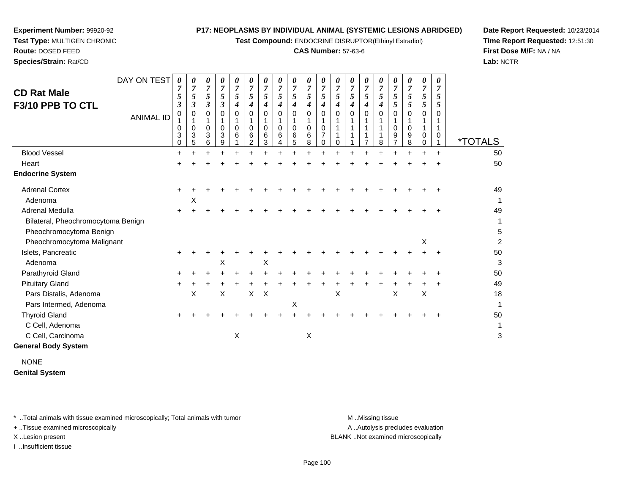**Test Compound:** ENDOCRINE DISRUPTOR(Ethinyl Estradiol)

#### **CAS Number:** 57-63-6

**Date Report Requested:** 10/23/2014**Time Report Requested:** 12:51:30**First Dose M/F:** NA / NA**Lab:** NCTR

| Species/Strain: Rat/CD                                                           |                  |                                      |                               |                               |                               |                               |                               |             |             |                          |                          |                          |        |                               |                          |             |             |                               |             |                  | Lab:                  |
|----------------------------------------------------------------------------------|------------------|--------------------------------------|-------------------------------|-------------------------------|-------------------------------|-------------------------------|-------------------------------|-------------|-------------|--------------------------|--------------------------|--------------------------|--------|-------------------------------|--------------------------|-------------|-------------|-------------------------------|-------------|------------------|-----------------------|
| <b>CD Rat Male</b><br>F3/10 PPB TO CTL                                           | DAY ON TEST      | $\boldsymbol{\theta}$<br>7<br>5<br>3 | 0<br>$\overline{ }$<br>5<br>3 | 0<br>$\overline{7}$<br>5<br>3 | 0<br>$\overline{7}$<br>5<br>3 | 0<br>$\overline{7}$<br>5<br>4 | 0<br>$\overline{7}$<br>5<br>4 | 0<br>5<br>4 | 0<br>7<br>5 | 0<br>$\overline{7}$<br>5 | $\overline{7}$<br>5<br>4 | 0<br>7<br>C              | 5<br>4 | 0<br>7<br>$\mathfrak{I}$<br>4 | 0<br>$\overline{7}$<br>C | 0<br>7<br>4 | 0<br>5      | 0<br>7<br>5<br>$\mathfrak{p}$ | 0<br>7<br>5 | 0<br>7<br>C<br>C |                       |
|                                                                                  | <b>ANIMAL ID</b> | 0<br>0<br>3                          | 3<br>5.                       | 0<br>0<br>3<br>6              | 0<br>0<br>3<br>9              | $\Omega$<br>0<br>6            | 0<br>0<br>6<br>$\mathfrak{p}$ | 6<br>3      | 0<br>6      | 0<br>6                   | 0<br>6<br>8              | 0<br>0<br>$\overline{ }$ |        | 0                             | 0                        | 8           | 0<br>0<br>9 | 0<br>0<br>9<br>8              | 0<br>0      | 0                | <i><b>*TOTALS</b></i> |
| <b>Blood Vessel</b>                                                              |                  | $\div$                               |                               |                               |                               |                               |                               |             |             |                          |                          |                          |        |                               |                          |             | ÷           |                               | $\ddot{}$   | $\div$           | 50                    |
| Heart                                                                            |                  |                                      |                               |                               |                               |                               |                               |             |             |                          |                          |                          |        |                               |                          |             |             |                               |             | $\div$           | 50                    |
| <b>Endocrine System</b>                                                          |                  |                                      |                               |                               |                               |                               |                               |             |             |                          |                          |                          |        |                               |                          |             |             |                               |             |                  |                       |
| <b>Adrenal Cortex</b><br>Adenoma                                                 |                  |                                      | х                             |                               |                               |                               |                               |             |             |                          |                          |                          |        |                               |                          |             |             |                               |             |                  | 49<br>1               |
| Adrenal Medulla<br>Bilateral, Pheochromocytoma Benign<br>Pheochromocytoma Benign |                  | $\pm$                                |                               |                               |                               |                               |                               |             |             |                          |                          |                          |        |                               |                          |             |             |                               |             | $\mathbf +$      | 49<br>1<br>5          |
|                                                                                  |                  |                                      |                               |                               |                               |                               |                               |             |             |                          |                          |                          |        |                               |                          |             |             |                               |             |                  |                       |

| <b>Adrenal Medulla</b>             | $\pm$ |   |   |   |    |              |   |   |   |  |   |   | 49 |
|------------------------------------|-------|---|---|---|----|--------------|---|---|---|--|---|---|----|
| Bilateral, Pheochromocytoma Benign |       |   |   |   |    |              |   |   |   |  |   |   |    |
| Pheochromocytoma Benign            |       |   |   |   |    |              |   |   |   |  |   |   | 5  |
| Pheochromocytoma Malignant         |       |   |   |   |    |              |   |   |   |  |   | X | 2  |
| Islets, Pancreatic                 |       |   |   |   |    |              |   |   |   |  |   |   | 50 |
| Adenoma                            |       |   | X |   |    | X            |   |   |   |  |   |   | 3  |
| Parathyroid Gland                  | ÷     |   |   |   |    |              |   |   |   |  |   |   | 50 |
| <b>Pituitary Gland</b>             | $\pm$ |   |   |   |    |              |   |   |   |  |   |   | 49 |
| Pars Distalis, Adenoma             |       | X | X |   | X. | $\mathsf{X}$ |   |   | X |  | X | X | 18 |
| Pars Intermed, Adenoma             |       |   |   |   |    |              | X |   |   |  |   |   |    |
| <b>Thyroid Gland</b>               | $\pm$ |   |   |   |    |              |   |   |   |  |   |   | 50 |
| C Cell, Adenoma                    |       |   |   |   |    |              |   |   |   |  |   |   |    |
| C Cell, Carcinoma                  |       |   |   | Х |    |              |   | X |   |  |   |   | 3  |

### **General Body System**

**Experiment Number:** 99920-92**Test Type:** MULTIGEN CHRONIC

**Route:** DOSED FEED

NONE**Genital System**

\* ..Total animals with tissue examined microscopically; Total animals with tumor **M** ...Missing tissue M ...Missing tissue

+ ..Tissue examined microscopically

I ..Insufficient tissue

A .. Autolysis precludes evaluation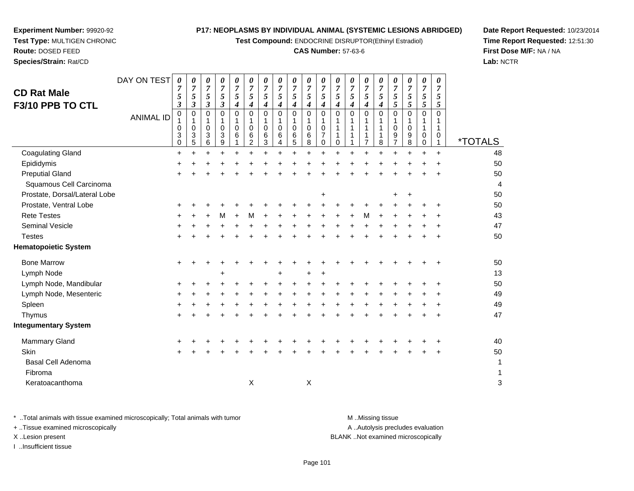**Test Compound:** ENDOCRINE DISRUPTOR(Ethinyl Estradiol)

#### **CAS Number:** 57-63-6

**Date Report Requested:** 10/23/2014**Time Report Requested:** 12:51:30**First Dose M/F:** NA / NA**Lab:** NCTR

| <b>CD Rat Male</b><br>F3/10 PPB TO CTL | DAY ON TEST<br><b>ANIMAL ID</b> | 0<br>7<br>5<br>$\boldsymbol{\beta}$<br>$\pmb{0}$<br>0<br>3<br>$\mathbf 0$ | 0<br>7<br>5<br>3<br>$\mathbf 0$<br>$\mathbf 0$<br>3<br>5 | 0<br>$\overline{7}$<br>5<br>$\boldsymbol{\beta}$<br>$\mathbf 0$<br>1<br>$\mathbf 0$<br>3<br>6 | 0<br>7<br>5<br>$\boldsymbol{\beta}$<br>$\mathbf 0$<br>1<br>$\mathbf 0$<br>3<br>9 | 0<br>$\overline{7}$<br>5<br>$\boldsymbol{4}$<br>$\Omega$<br>1<br>$\mathbf 0$<br>6 | 0<br>$\overline{7}$<br>5<br>4<br>$\Omega$<br>$\mathbf 0$<br>6<br>2 | 0<br>7<br>5<br>4<br>$\Omega$<br>$\mathbf 0$<br>6<br>3 | 0<br>$\overline{7}$<br>5<br>4<br>$\mathbf 0$<br>$\mathbf 0$<br>6<br>4 | 0<br>7<br>5<br>4<br>0<br>0<br>6<br>5 | 0<br>7<br>5<br>4<br>$\Omega$<br>1<br>$\mathbf 0$<br>$\,6\,$<br>8 | 0<br>7<br>5<br>$\boldsymbol{4}$<br>$\mathbf{0}$<br>$\mathbf 0$<br>$\overline{7}$<br>$\mathbf 0$ | 0<br>7<br>5<br>4<br>$\mathbf{0}$<br>1<br>1<br>$\mathbf 0$ | 0<br>7<br>5<br>4<br>$\Omega$<br>1 | 0<br>$\overline{7}$<br>5<br>$\boldsymbol{4}$<br>$\Omega$<br>$\overline{7}$ | 0<br>7<br>5<br>4<br>$\Omega$<br>1<br>8 | 0<br>7<br>5<br>5<br>$\Omega$<br>0<br>9<br>$\overline{7}$ | 0<br>$\overline{7}$<br>$\mathfrak{s}$<br>$\sqrt{5}$<br>$\mathbf 0$<br>1<br>0<br>9<br>8 | 0<br>7<br>5<br>5<br>$\Omega$<br>1<br>0<br>$\mathbf 0$ | 0<br>$\overline{7}$<br>5<br>5<br>$\Omega$<br>1<br>0<br>$\mathbf{1}$ | <i><b>*TOTALS</b></i> |
|----------------------------------------|---------------------------------|---------------------------------------------------------------------------|----------------------------------------------------------|-----------------------------------------------------------------------------------------------|----------------------------------------------------------------------------------|-----------------------------------------------------------------------------------|--------------------------------------------------------------------|-------------------------------------------------------|-----------------------------------------------------------------------|--------------------------------------|------------------------------------------------------------------|-------------------------------------------------------------------------------------------------|-----------------------------------------------------------|-----------------------------------|----------------------------------------------------------------------------|----------------------------------------|----------------------------------------------------------|----------------------------------------------------------------------------------------|-------------------------------------------------------|---------------------------------------------------------------------|-----------------------|
| <b>Coagulating Gland</b>               |                                 | $\ddot{}$                                                                 |                                                          |                                                                                               |                                                                                  | $\ddot{}$                                                                         |                                                                    |                                                       | $\ddot{}$                                                             | $\ddot{}$                            | $\ddot{}$                                                        |                                                                                                 |                                                           |                                   |                                                                            | $\ddot{}$                              |                                                          |                                                                                        |                                                       | $\ddot{}$                                                           | 48                    |
| Epididymis                             |                                 | ٠                                                                         |                                                          |                                                                                               |                                                                                  |                                                                                   |                                                                    |                                                       |                                                                       |                                      |                                                                  |                                                                                                 |                                                           |                                   |                                                                            |                                        |                                                          |                                                                                        |                                                       |                                                                     | 50                    |
| <b>Preputial Gland</b>                 |                                 |                                                                           |                                                          |                                                                                               |                                                                                  |                                                                                   |                                                                    |                                                       |                                                                       |                                      |                                                                  |                                                                                                 |                                                           |                                   |                                                                            |                                        |                                                          |                                                                                        |                                                       |                                                                     | 50                    |
| Squamous Cell Carcinoma                |                                 |                                                                           |                                                          |                                                                                               |                                                                                  |                                                                                   |                                                                    |                                                       |                                                                       |                                      |                                                                  |                                                                                                 |                                                           |                                   |                                                                            |                                        |                                                          |                                                                                        |                                                       |                                                                     | 4                     |
| Prostate, Dorsal/Lateral Lobe          |                                 |                                                                           |                                                          |                                                                                               |                                                                                  |                                                                                   |                                                                    |                                                       |                                                                       |                                      |                                                                  | $\ddot{}$                                                                                       |                                                           |                                   |                                                                            |                                        |                                                          | +                                                                                      |                                                       |                                                                     | 50                    |
| Prostate, Ventral Lobe                 |                                 | $\pm$                                                                     |                                                          |                                                                                               |                                                                                  |                                                                                   |                                                                    |                                                       |                                                                       |                                      |                                                                  |                                                                                                 |                                                           |                                   |                                                                            |                                        |                                                          |                                                                                        |                                                       |                                                                     | 50                    |
| <b>Rete Testes</b>                     |                                 | +                                                                         |                                                          |                                                                                               | м                                                                                | +                                                                                 | M                                                                  |                                                       |                                                                       |                                      |                                                                  |                                                                                                 |                                                           |                                   | М                                                                          |                                        |                                                          |                                                                                        |                                                       |                                                                     | 43                    |
| <b>Seminal Vesicle</b>                 |                                 |                                                                           |                                                          |                                                                                               |                                                                                  |                                                                                   |                                                                    |                                                       |                                                                       |                                      |                                                                  |                                                                                                 |                                                           |                                   |                                                                            |                                        |                                                          |                                                                                        |                                                       |                                                                     | 47                    |
| <b>Testes</b>                          |                                 | $\pm$                                                                     |                                                          |                                                                                               |                                                                                  |                                                                                   |                                                                    |                                                       |                                                                       |                                      |                                                                  |                                                                                                 |                                                           |                                   |                                                                            |                                        |                                                          |                                                                                        |                                                       | $\ddot{}$                                                           | 50                    |
| <b>Hematopoietic System</b>            |                                 |                                                                           |                                                          |                                                                                               |                                                                                  |                                                                                   |                                                                    |                                                       |                                                                       |                                      |                                                                  |                                                                                                 |                                                           |                                   |                                                                            |                                        |                                                          |                                                                                        |                                                       |                                                                     |                       |
| <b>Bone Marrow</b>                     |                                 | $\ddot{}$                                                                 |                                                          |                                                                                               |                                                                                  |                                                                                   |                                                                    |                                                       |                                                                       |                                      |                                                                  |                                                                                                 |                                                           |                                   |                                                                            |                                        |                                                          |                                                                                        |                                                       |                                                                     | 50                    |
| Lymph Node                             |                                 |                                                                           |                                                          |                                                                                               |                                                                                  |                                                                                   |                                                                    |                                                       |                                                                       |                                      |                                                                  |                                                                                                 |                                                           |                                   |                                                                            |                                        |                                                          |                                                                                        |                                                       |                                                                     | 13                    |
| Lymph Node, Mandibular                 |                                 | +                                                                         |                                                          |                                                                                               |                                                                                  |                                                                                   |                                                                    |                                                       |                                                                       |                                      |                                                                  |                                                                                                 |                                                           |                                   |                                                                            |                                        |                                                          |                                                                                        |                                                       |                                                                     | 50                    |
| Lymph Node, Mesenteric                 |                                 | ٠                                                                         |                                                          |                                                                                               |                                                                                  |                                                                                   |                                                                    |                                                       |                                                                       |                                      |                                                                  |                                                                                                 |                                                           |                                   |                                                                            |                                        |                                                          |                                                                                        |                                                       |                                                                     | 49                    |
| Spleen                                 |                                 |                                                                           |                                                          |                                                                                               |                                                                                  |                                                                                   |                                                                    |                                                       |                                                                       |                                      |                                                                  |                                                                                                 |                                                           |                                   |                                                                            |                                        |                                                          |                                                                                        |                                                       |                                                                     | 49                    |
| Thymus                                 |                                 |                                                                           |                                                          |                                                                                               |                                                                                  |                                                                                   |                                                                    |                                                       |                                                                       |                                      |                                                                  |                                                                                                 |                                                           |                                   |                                                                            |                                        |                                                          |                                                                                        |                                                       |                                                                     | 47                    |
| <b>Integumentary System</b>            |                                 |                                                                           |                                                          |                                                                                               |                                                                                  |                                                                                   |                                                                    |                                                       |                                                                       |                                      |                                                                  |                                                                                                 |                                                           |                                   |                                                                            |                                        |                                                          |                                                                                        |                                                       |                                                                     |                       |
| Mammary Gland                          |                                 | ٠                                                                         |                                                          |                                                                                               |                                                                                  |                                                                                   |                                                                    |                                                       |                                                                       |                                      |                                                                  |                                                                                                 |                                                           |                                   |                                                                            |                                        |                                                          |                                                                                        |                                                       |                                                                     | 40                    |
| Skin                                   |                                 |                                                                           |                                                          |                                                                                               |                                                                                  |                                                                                   |                                                                    |                                                       |                                                                       |                                      |                                                                  |                                                                                                 |                                                           |                                   |                                                                            |                                        |                                                          |                                                                                        |                                                       |                                                                     | 50                    |
| <b>Basal Cell Adenoma</b>              |                                 |                                                                           |                                                          |                                                                                               |                                                                                  |                                                                                   |                                                                    |                                                       |                                                                       |                                      |                                                                  |                                                                                                 |                                                           |                                   |                                                                            |                                        |                                                          |                                                                                        |                                                       |                                                                     | 1                     |
| Fibroma                                |                                 |                                                                           |                                                          |                                                                                               |                                                                                  |                                                                                   |                                                                    |                                                       |                                                                       |                                      |                                                                  |                                                                                                 |                                                           |                                   |                                                                            |                                        |                                                          |                                                                                        |                                                       |                                                                     | 1                     |
| Keratoacanthoma                        |                                 |                                                                           |                                                          |                                                                                               |                                                                                  |                                                                                   | X                                                                  |                                                       |                                                                       |                                      | X                                                                |                                                                                                 |                                                           |                                   |                                                                            |                                        |                                                          |                                                                                        |                                                       |                                                                     | 3                     |
|                                        |                                 |                                                                           |                                                          |                                                                                               |                                                                                  |                                                                                   |                                                                    |                                                       |                                                                       |                                      |                                                                  |                                                                                                 |                                                           |                                   |                                                                            |                                        |                                                          |                                                                                        |                                                       |                                                                     |                       |

**Experiment Number:** 99920-92**Test Type:** MULTIGEN CHRONIC

**Route:** DOSED FEED**Species/Strain:** Rat/CD

\* ..Total animals with tissue examined microscopically; Total animals with tumor **M** . Missing tissue M ..Missing tissue A ..Autolysis precludes evaluation + ..Tissue examined microscopically X ..Lesion present BLANK ..Not examined microscopicallyI ..Insufficient tissue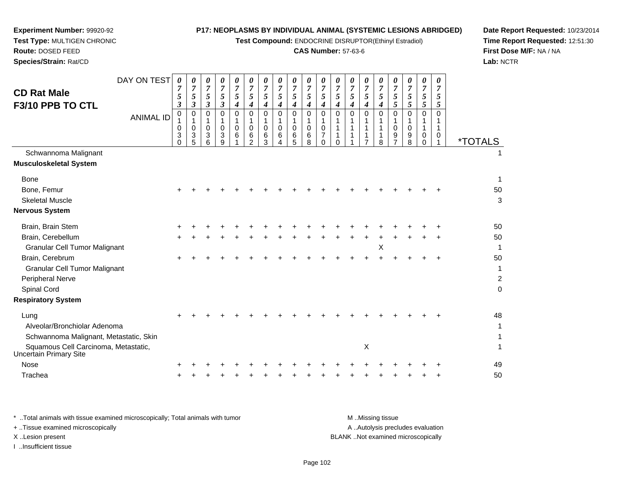$\overline{\phantom{a}}$ 

**Test Compound:** ENDOCRINE DISRUPTOR(Ethinyl Estradiol)

# **CAS Number:** 57-63-6

**Date Report Requested:** 10/23/2014 **Time Report Requested:** 12:51:30**First Dose M/F:** NA / NA**Lab:** NCTR

| DAY ON TEST                            | $\boldsymbol{\theta}$<br>7 | 0<br>$\overline{7}$                                         | 0<br>$\overline{7}$             | 0<br>$\overline{7}$              | 0<br>$\overline{7}$                   | 0<br>$\overline{7}$                                            | 0<br>$\boldsymbol{7}$                               | 0<br>$\overline{7}$                                  | 0<br>$\overline{7}$                         | 0<br>$\overline{7}$                                | 0<br>$\overline{7}$                                                      | 0<br>$\overline{7}$          | 0<br>$\boldsymbol{7}$ | 0<br>$\overline{7}$                                     | 0<br>$\overline{7}$                        | 0<br>$\overline{7}$                                                              | 0<br>$\overline{7}$             | 0<br>$\overline{7}$                                         | $\boldsymbol{\theta}$<br>7        |                       |
|----------------------------------------|----------------------------|-------------------------------------------------------------|---------------------------------|----------------------------------|---------------------------------------|----------------------------------------------------------------|-----------------------------------------------------|------------------------------------------------------|---------------------------------------------|----------------------------------------------------|--------------------------------------------------------------------------|------------------------------|-----------------------|---------------------------------------------------------|--------------------------------------------|----------------------------------------------------------------------------------|---------------------------------|-------------------------------------------------------------|-----------------------------------|-----------------------|
| <b>CD Rat Male</b>                     | 5                          | $\mathfrak{s}$                                              | 5                               | 5                                | 5                                     | $\mathfrak{s}$                                                 | 5                                                   | 5                                                    | 5                                           | $\sqrt{5}$                                         | 5                                                                        | 5                            | 5                     | 5                                                       | $\mathfrak{H}$                             | $\sqrt{5}$                                                                       | 5                               | $\sqrt{5}$                                                  | 5                                 |                       |
| F3/10 PPB TO CTL                       | 3                          | $\mathfrak{z}$                                              | 3                               | $\mathfrak{z}$                   | $\boldsymbol{4}$                      | $\boldsymbol{4}$                                               | 4                                                   | $\boldsymbol{4}$                                     | $\boldsymbol{4}$                            | $\boldsymbol{4}$                                   | $\boldsymbol{4}$                                                         | 4                            | 4                     | $\boldsymbol{4}$                                        | $\boldsymbol{4}$                           | 5                                                                                | $5\overline{)}$                 | 5                                                           | 5                                 |                       |
| <b>ANIMAL ID</b>                       | 0<br>0<br>3<br>$\Omega$    | $\pmb{0}$<br>$\mathbf{1}$<br>$\pmb{0}$<br>$\mathbf{3}$<br>5 | 0<br>1<br>$\mathbf 0$<br>3<br>6 | 0<br>$\mathbf{1}$<br>0<br>3<br>9 | 0<br>$\mathbf{1}$<br>$\mathbf 0$<br>6 | $\pmb{0}$<br>$\mathbf 1$<br>$\mathbf 0$<br>6<br>$\mathfrak{p}$ | $\mathbf 0$<br>$\mathbf 1$<br>$\mathbf 0$<br>6<br>3 | $\mathbf 0$<br>$\mathbf{1}$<br>$\mathbf 0$<br>6<br>4 | $\mathsf{O}$<br>$\mathbf{1}$<br>0<br>6<br>5 | $\pmb{0}$<br>$\mathbf{1}$<br>$\mathbf 0$<br>6<br>8 | $\mathbf 0$<br>$\mathbf{1}$<br>$\mathbf 0$<br>$\overline{7}$<br>$\Omega$ | $\mathbf 0$<br>1<br>$\Omega$ | 0<br>1<br>1<br>1      | 0<br>$\mathbf 1$<br>1<br>$\mathbf{1}$<br>$\overline{7}$ | $\mathbf 0$<br>$\mathbf{1}$<br>1<br>1<br>8 | $\mathbf 0$<br>$\mathbf{1}$<br>$\mathbf 0$<br>$\boldsymbol{9}$<br>$\overline{7}$ | $\mathbf 0$<br>1<br>0<br>9<br>8 | $\mathbf 0$<br>$\mathbf{1}$<br>1<br>$\mathbf 0$<br>$\Omega$ | $\mathbf 0$<br>1<br>1<br>$\Omega$ | <i><b>*TOTALS</b></i> |
| Schwannoma Malignant                   |                            |                                                             |                                 |                                  |                                       |                                                                |                                                     |                                                      |                                             |                                                    |                                                                          |                              |                       |                                                         |                                            |                                                                                  |                                 |                                                             |                                   | 1                     |
| <b>Musculoskeletal System</b>          |                            |                                                             |                                 |                                  |                                       |                                                                |                                                     |                                                      |                                             |                                                    |                                                                          |                              |                       |                                                         |                                            |                                                                                  |                                 |                                                             |                                   |                       |
| <b>Bone</b>                            |                            |                                                             |                                 |                                  |                                       |                                                                |                                                     |                                                      |                                             |                                                    |                                                                          |                              |                       |                                                         |                                            |                                                                                  |                                 |                                                             |                                   | 1                     |
| Bone, Femur                            |                            |                                                             |                                 |                                  |                                       |                                                                |                                                     |                                                      |                                             |                                                    |                                                                          |                              |                       |                                                         |                                            |                                                                                  |                                 |                                                             |                                   | 50                    |
| <b>Skeletal Muscle</b>                 |                            |                                                             |                                 |                                  |                                       |                                                                |                                                     |                                                      |                                             |                                                    |                                                                          |                              |                       |                                                         |                                            |                                                                                  |                                 |                                                             |                                   | 3                     |
| <b>Nervous System</b>                  |                            |                                                             |                                 |                                  |                                       |                                                                |                                                     |                                                      |                                             |                                                    |                                                                          |                              |                       |                                                         |                                            |                                                                                  |                                 |                                                             |                                   |                       |
| Brain, Brain Stem                      |                            |                                                             |                                 |                                  |                                       |                                                                |                                                     |                                                      |                                             |                                                    |                                                                          |                              |                       |                                                         |                                            |                                                                                  |                                 |                                                             |                                   | 50                    |
| Brain, Cerebellum                      | ÷                          |                                                             |                                 |                                  |                                       |                                                                |                                                     |                                                      |                                             |                                                    |                                                                          |                              |                       |                                                         |                                            |                                                                                  |                                 |                                                             |                                   | 50                    |
| <b>Granular Cell Tumor Malignant</b>   |                            |                                                             |                                 |                                  |                                       |                                                                |                                                     |                                                      |                                             |                                                    |                                                                          |                              |                       |                                                         | X                                          |                                                                                  |                                 |                                                             |                                   | $\mathbf{1}$          |
| Brain, Cerebrum                        |                            |                                                             |                                 |                                  |                                       |                                                                |                                                     |                                                      |                                             |                                                    |                                                                          |                              |                       |                                                         |                                            |                                                                                  |                                 |                                                             |                                   | 50                    |
| <b>Granular Cell Tumor Malignant</b>   |                            |                                                             |                                 |                                  |                                       |                                                                |                                                     |                                                      |                                             |                                                    |                                                                          |                              |                       |                                                         |                                            |                                                                                  |                                 |                                                             |                                   | 1                     |
| Peripheral Nerve                       |                            |                                                             |                                 |                                  |                                       |                                                                |                                                     |                                                      |                                             |                                                    |                                                                          |                              |                       |                                                         |                                            |                                                                                  |                                 |                                                             |                                   | $\overline{c}$        |
| Spinal Cord                            |                            |                                                             |                                 |                                  |                                       |                                                                |                                                     |                                                      |                                             |                                                    |                                                                          |                              |                       |                                                         |                                            |                                                                                  |                                 |                                                             |                                   | $\mathbf 0$           |
| <b>Respiratory System</b>              |                            |                                                             |                                 |                                  |                                       |                                                                |                                                     |                                                      |                                             |                                                    |                                                                          |                              |                       |                                                         |                                            |                                                                                  |                                 |                                                             |                                   |                       |
| Lung                                   |                            |                                                             |                                 |                                  |                                       |                                                                |                                                     |                                                      |                                             |                                                    |                                                                          |                              |                       |                                                         |                                            |                                                                                  |                                 |                                                             |                                   | 48                    |
| Alveolar/Bronchiolar Adenoma           |                            |                                                             |                                 |                                  |                                       |                                                                |                                                     |                                                      |                                             |                                                    |                                                                          |                              |                       |                                                         |                                            |                                                                                  |                                 |                                                             |                                   | 1                     |
| Schwannoma Malignant, Metastatic, Skin |                            |                                                             |                                 |                                  |                                       |                                                                |                                                     |                                                      |                                             |                                                    |                                                                          |                              |                       |                                                         |                                            |                                                                                  |                                 |                                                             |                                   | 1                     |
| Squamous Cell Carcinoma, Metastatic,   |                            |                                                             |                                 |                                  |                                       |                                                                |                                                     |                                                      |                                             |                                                    |                                                                          |                              |                       | $\boldsymbol{\mathsf{X}}$                               |                                            |                                                                                  |                                 |                                                             |                                   | 1                     |
| Uncertain Primary Site                 |                            |                                                             |                                 |                                  |                                       |                                                                |                                                     |                                                      |                                             |                                                    |                                                                          |                              |                       |                                                         |                                            |                                                                                  |                                 |                                                             |                                   |                       |
| <b>Nose</b>                            |                            |                                                             |                                 |                                  |                                       |                                                                |                                                     |                                                      |                                             |                                                    |                                                                          |                              |                       |                                                         |                                            |                                                                                  |                                 |                                                             |                                   | 49                    |
| Trachea                                |                            |                                                             |                                 |                                  |                                       |                                                                |                                                     |                                                      |                                             |                                                    |                                                                          |                              |                       |                                                         |                                            |                                                                                  |                                 |                                                             |                                   | 50                    |
|                                        |                            |                                                             |                                 |                                  |                                       |                                                                |                                                     |                                                      |                                             |                                                    |                                                                          |                              |                       |                                                         |                                            |                                                                                  |                                 |                                                             |                                   |                       |

**Experiment Number:** 99920-92**Test Type:** MULTIGEN CHRONIC

| * Total animals with tissue examined microscopically; Total animals with tumor | M Missing tissue                   |
|--------------------------------------------------------------------------------|------------------------------------|
| + Tissue examined microscopically                                              | A Autolysis precludes evaluation   |
| X Lesion present                                                               | BLANK Not examined microscopically |
| Insufficient tissue                                                            |                                    |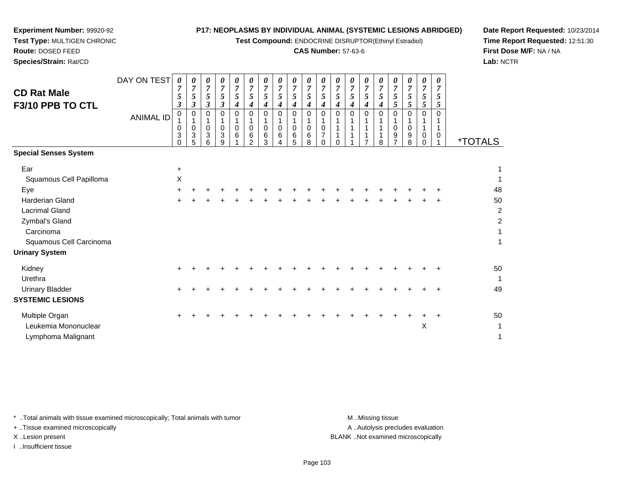**Test Compound:** ENDOCRINE DISRUPTOR(Ethinyl Estradiol)

#### **CAS Number:** 57-63-6

**Date Report Requested:** 10/23/2014**Time Report Requested:** 12:51:30**First Dose M/F:** NA / NA**Lab:** NCTR

| <b>CD Rat Male</b><br>F3/10 PPB TO CTL                                                                    | DAY ON TEST<br><b>ANIMAL ID</b> | 0<br>5<br>3<br>0<br>0<br>3<br>$\Omega$ | 0<br>5<br>$\mathfrak{z}$<br>0<br>$\mathbf{1}$<br>$\pmb{0}$<br>$\ensuremath{\mathsf{3}}$<br>5 | 0<br>$\overline{7}$<br>$\mathfrak{s}$<br>3<br>$\Omega$<br>0<br>$\mathbf{3}$<br>6 | 0<br>$\overline{7}$<br>5<br>$\boldsymbol{\beta}$<br>$\Omega$<br>$\pmb{0}$<br>$\mathbf{3}$<br>9 | 0<br>$\overline{7}$<br>5<br>4<br>0<br>1<br>0<br>6 | 0<br>$\boldsymbol{7}$<br>5<br>$\boldsymbol{4}$<br>$\mathbf 0$<br>1<br>$\pmb{0}$<br>6<br>$\overline{2}$ | 0<br>$\overline{7}$<br>5<br>$\boldsymbol{4}$<br>$\Omega$<br>1<br>$\pmb{0}$<br>6<br>3 | 0<br>$\overline{7}$<br>5<br>4<br>$\Omega$<br>$\mathsf 0$<br>$6\phantom{1}6$<br>4 | 7<br>5<br>4<br>$\Omega$<br>$\mathbf 0$<br>6<br>5 | 0<br>$\overline{7}$<br>$\mathfrak{z}$<br>$\boldsymbol{4}$<br>$\Omega$<br>1<br>$\pmb{0}$<br>$\,6$<br>8 | 0<br>$\overline{7}$<br>5<br>4<br>$\Omega$<br>$\mathbf 0$<br>7<br>$\Omega$ | 0<br>$\overline{7}$<br>5<br>$\boldsymbol{4}$<br>$\Omega$<br>$\Omega$ | 0<br>7<br>5<br>4<br>$\Omega$ | 0<br>$\overline{7}$<br>5<br>4<br>$\Omega$ | 0<br>$\overline{7}$<br>5<br>4<br>$\Omega$<br>8 | 0<br>$\overline{7}$<br>5<br>5<br>0<br>$\pmb{0}$<br>$\boldsymbol{9}$<br>$\overline{7}$ | 0<br>$\overline{7}$<br>5<br>5<br>$\Omega$<br>$\Omega$<br>9<br>8 | 0<br>$\overline{7}$<br>5<br>5<br>$\Omega$<br>$\mathbf{1}$<br>$\pmb{0}$<br>$\Omega$ | 0<br>$\overline{7}$<br>5<br>5<br>$\Omega$<br>1<br>0 | <i><b>*TOTALS</b></i> |
|-----------------------------------------------------------------------------------------------------------|---------------------------------|----------------------------------------|----------------------------------------------------------------------------------------------|----------------------------------------------------------------------------------|------------------------------------------------------------------------------------------------|---------------------------------------------------|--------------------------------------------------------------------------------------------------------|--------------------------------------------------------------------------------------|----------------------------------------------------------------------------------|--------------------------------------------------|-------------------------------------------------------------------------------------------------------|---------------------------------------------------------------------------|----------------------------------------------------------------------|------------------------------|-------------------------------------------|------------------------------------------------|---------------------------------------------------------------------------------------|-----------------------------------------------------------------|------------------------------------------------------------------------------------|-----------------------------------------------------|-----------------------|
| <b>Special Senses System</b>                                                                              |                                 |                                        |                                                                                              |                                                                                  |                                                                                                |                                                   |                                                                                                        |                                                                                      |                                                                                  |                                                  |                                                                                                       |                                                                           |                                                                      |                              |                                           |                                                |                                                                                       |                                                                 |                                                                                    |                                                     |                       |
| Ear<br>Squamous Cell Papilloma<br>Eye                                                                     |                                 | $\ddot{}$<br>$\boldsymbol{\mathsf{X}}$ |                                                                                              |                                                                                  |                                                                                                |                                                   |                                                                                                        |                                                                                      |                                                                                  |                                                  |                                                                                                       |                                                                           |                                                                      |                              |                                           |                                                |                                                                                       |                                                                 |                                                                                    |                                                     | 1<br>1<br>48          |
| <b>Harderian Gland</b><br><b>Lacrimal Gland</b><br>Zymbal's Gland<br>Carcinoma<br>Squamous Cell Carcinoma |                                 |                                        |                                                                                              |                                                                                  |                                                                                                |                                                   |                                                                                                        |                                                                                      |                                                                                  |                                                  |                                                                                                       |                                                                           |                                                                      |                              |                                           |                                                |                                                                                       |                                                                 |                                                                                    |                                                     | 50<br>2<br>2<br>1     |
| <b>Urinary System</b>                                                                                     |                                 |                                        |                                                                                              |                                                                                  |                                                                                                |                                                   |                                                                                                        |                                                                                      |                                                                                  |                                                  |                                                                                                       |                                                                           |                                                                      |                              |                                           |                                                |                                                                                       |                                                                 |                                                                                    |                                                     |                       |
| Kidney<br>Urethra                                                                                         |                                 |                                        |                                                                                              |                                                                                  |                                                                                                |                                                   |                                                                                                        |                                                                                      |                                                                                  |                                                  |                                                                                                       |                                                                           |                                                                      |                              |                                           |                                                |                                                                                       |                                                                 |                                                                                    |                                                     | 50<br>1               |
| <b>Urinary Bladder</b><br><b>SYSTEMIC LESIONS</b>                                                         |                                 |                                        |                                                                                              |                                                                                  |                                                                                                |                                                   |                                                                                                        |                                                                                      |                                                                                  |                                                  |                                                                                                       |                                                                           |                                                                      |                              |                                           |                                                |                                                                                       |                                                                 |                                                                                    |                                                     | 49                    |
| Multiple Organ<br>Leukemia Mononuclear<br>Lymphoma Malignant                                              |                                 |                                        |                                                                                              |                                                                                  |                                                                                                |                                                   |                                                                                                        |                                                                                      |                                                                                  |                                                  |                                                                                                       |                                                                           |                                                                      |                              |                                           |                                                |                                                                                       |                                                                 | X                                                                                  |                                                     | 50<br>1<br>1          |

\* ..Total animals with tissue examined microscopically; Total animals with tumor **M** ...Missing tissue M ...Missing tissue

+ ..Tissue examined microscopically

**Experiment Number:** 99920-92**Test Type:** MULTIGEN CHRONIC

**Route:** DOSED FEED**Species/Strain:** Rat/CD

I ..Insufficient tissue

A ..Autolysis precludes evaluation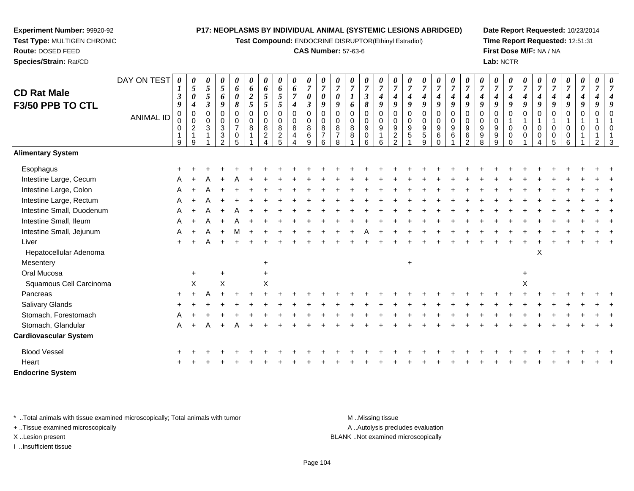**Test Compound:** ENDOCRINE DISRUPTOR(Ethinyl Estradiol)

#### **CAS Number:** 57-63-6

**Date Report Requested:** 10/23/2014**Time Report Requested:** 12:51:31**First Dose M/F:** NA / NA**Lab:** NCTR

| <b>CD Rat Male</b><br>F3/50 PPB TO CTL | DAY ON TEST<br>ANIMAL ID | 0<br>$\boldsymbol{\beta}$<br>9<br>$\,0\,$<br>$\mathbf 0$<br>$\mathbf 0$<br>9 | 5<br>$\pmb{\theta}$<br>$\boldsymbol{4}$<br>$\pmb{0}$<br>$\mathbf 0$<br>$\boldsymbol{2}$<br>$\mathbf{1}$<br>9 | 0<br>5<br>$5\phantom{.0}$<br>$\boldsymbol{\beta}$<br>$\mathsf 0$<br>$\mathbf 0$<br>$\sqrt{3}$ | 0<br>$\sqrt{5}$<br>6<br>9<br>0<br>0<br>$\sqrt{3}$<br>$\sqrt{3}$<br>$\overline{2}$ | 0<br>6<br>$\boldsymbol{\theta}$<br>8<br>$\pmb{0}$<br>$\pmb{0}$<br>$\overline{7}$<br>$\mathbf 0$<br>5 | 0<br>6<br>$\boldsymbol{2}$<br>$\mathfrak{H}$<br>$\mathbf 0$<br>0<br>8 | 0<br>6<br>$\mathfrak{I}$<br>5<br>$\mathbf 0$<br>$\mathbf 0$<br>$\bf 8$<br>$\overline{c}$<br>$\boldsymbol{\Delta}$ | 0<br>6<br>$5\phantom{.0}$<br>$5\overline{)}$<br>$\pmb{0}$<br>0<br>$\bf 8$<br>$\frac{2}{5}$ | $\boldsymbol{\theta}$<br>6<br>$\overline{7}$<br>$\boldsymbol{4}$<br>$\pmb{0}$<br>$\mathbf 0$<br>$\, 8$<br>4<br>$\overline{4}$ | 0<br>$\boldsymbol{7}$<br>$\pmb{\theta}$<br>$\boldsymbol{\beta}$<br>$\mathbf 0$<br>$\pmb{0}$<br>8<br>$\,6\,$<br>9 | 0<br>$\overline{7}$<br>$\pmb{\theta}$<br>9<br>$\mathbf 0$<br>$\mathbf 0$<br>8<br>$\overline{7}$<br>6 | $\overline{7}$<br>$\boldsymbol{\theta}$<br>9<br>$\Omega$<br>$\mathbf 0$<br>$\,8\,$<br>$\boldsymbol{7}$<br>8 | 0<br>6<br>$\Omega$<br>0<br>8<br>8 | 0<br>$\overline{7}$<br>$\boldsymbol{\beta}$<br>$\pmb{8}$<br>0<br>0<br>9<br>$\mathbf 0$<br>6 | 0<br>$\overline{7}$<br>$\boldsymbol{4}$<br>9<br>$\mathbf 0$<br>$\mathbf 0$<br>$\boldsymbol{9}$<br>$\mathbf{1}$<br>6 | 0<br>$\overline{7}$<br>4<br>$\boldsymbol{g}$<br>$\mathbf 0$<br>$\mathbf 0$<br>$\boldsymbol{9}$<br>$\overline{\mathbf{c}}$<br>$\overline{2}$ | $\overline{7}$<br>$\boldsymbol{4}$<br>9<br>$\mathbf 0$<br>$\mathbf 0$<br>$\boldsymbol{9}$<br>5 | 0<br>$\overline{7}$<br>4<br>$\boldsymbol{q}$<br>$\mathbf 0$<br>0<br>$\boldsymbol{9}$<br>$\,$ 5 $\,$<br>9 | 0<br>$\overline{7}$<br>$\boldsymbol{4}$<br>9<br>0<br>$\pmb{0}$<br>$\boldsymbol{9}$<br>6<br>$\Omega$ | 0<br>$\overline{7}$<br>$\boldsymbol{4}$<br>9<br>$\mathsf 0$<br>$\pmb{0}$<br>$9\,$<br>$\,6\,$ | 0<br>$\overline{7}$<br>$\boldsymbol{4}$<br>9<br>$\mathbf 0$<br>$\mathbf 0$<br>$9\,$<br>$\,6$<br>$\overline{2}$ | $\overline{7}$<br>$\boldsymbol{4}$<br>9<br>$\Omega$<br>0<br>9<br>$\boldsymbol{9}$<br>8 | 0<br>$\overline{7}$<br>4<br>$\boldsymbol{q}$<br>$\mathbf 0$<br>$\mathbf 0$<br>9<br>9<br>9 | 0<br>$\boldsymbol{7}$<br>$\boldsymbol{4}$<br>9<br>$\Omega$<br>0<br>0<br>$\Omega$ | 0<br>$\overline{7}$<br>$\boldsymbol{4}$<br>9<br>$\mathbf 0$<br>$\mathbf 0$<br>$\Omega$ | 0<br>$\overline{7}$<br>$\boldsymbol{4}$<br>9<br>$\mathbf 0$<br>1<br>$\mathbf 0$<br>0<br>$\overline{4}$ | 7<br>4<br>Q<br>$\Omega$<br>$\Omega$<br>0<br>5 | 0<br>$\overline{7}$<br>4<br>9<br>$\mathbf 0$<br>$\Omega$<br>0<br>6 | 0<br>$\overline{7}$<br>4<br>9<br>$\Omega$ | $\Omega$<br>$\Omega$ |  |
|----------------------------------------|--------------------------|------------------------------------------------------------------------------|--------------------------------------------------------------------------------------------------------------|-----------------------------------------------------------------------------------------------|-----------------------------------------------------------------------------------|------------------------------------------------------------------------------------------------------|-----------------------------------------------------------------------|-------------------------------------------------------------------------------------------------------------------|--------------------------------------------------------------------------------------------|-------------------------------------------------------------------------------------------------------------------------------|------------------------------------------------------------------------------------------------------------------|------------------------------------------------------------------------------------------------------|-------------------------------------------------------------------------------------------------------------|-----------------------------------|---------------------------------------------------------------------------------------------|---------------------------------------------------------------------------------------------------------------------|---------------------------------------------------------------------------------------------------------------------------------------------|------------------------------------------------------------------------------------------------|----------------------------------------------------------------------------------------------------------|-----------------------------------------------------------------------------------------------------|----------------------------------------------------------------------------------------------|----------------------------------------------------------------------------------------------------------------|----------------------------------------------------------------------------------------|-------------------------------------------------------------------------------------------|----------------------------------------------------------------------------------|----------------------------------------------------------------------------------------|--------------------------------------------------------------------------------------------------------|-----------------------------------------------|--------------------------------------------------------------------|-------------------------------------------|----------------------|--|
| <b>Alimentary System</b>               |                          |                                                                              |                                                                                                              |                                                                                               |                                                                                   |                                                                                                      |                                                                       |                                                                                                                   |                                                                                            |                                                                                                                               |                                                                                                                  |                                                                                                      |                                                                                                             |                                   |                                                                                             |                                                                                                                     |                                                                                                                                             |                                                                                                |                                                                                                          |                                                                                                     |                                                                                              |                                                                                                                |                                                                                        |                                                                                           |                                                                                  |                                                                                        |                                                                                                        |                                               |                                                                    |                                           |                      |  |
| Esophagus                              |                          |                                                                              |                                                                                                              |                                                                                               |                                                                                   |                                                                                                      |                                                                       |                                                                                                                   |                                                                                            |                                                                                                                               |                                                                                                                  |                                                                                                      |                                                                                                             |                                   |                                                                                             |                                                                                                                     |                                                                                                                                             |                                                                                                |                                                                                                          |                                                                                                     |                                                                                              |                                                                                                                |                                                                                        |                                                                                           |                                                                                  |                                                                                        |                                                                                                        |                                               |                                                                    |                                           |                      |  |
| Intestine Large, Cecum                 |                          |                                                                              |                                                                                                              |                                                                                               |                                                                                   |                                                                                                      |                                                                       |                                                                                                                   |                                                                                            |                                                                                                                               |                                                                                                                  |                                                                                                      |                                                                                                             |                                   |                                                                                             |                                                                                                                     |                                                                                                                                             |                                                                                                |                                                                                                          |                                                                                                     |                                                                                              |                                                                                                                |                                                                                        |                                                                                           |                                                                                  |                                                                                        |                                                                                                        |                                               |                                                                    |                                           |                      |  |
| Intestine Large, Colon                 |                          | Α                                                                            |                                                                                                              |                                                                                               |                                                                                   |                                                                                                      |                                                                       |                                                                                                                   |                                                                                            |                                                                                                                               |                                                                                                                  |                                                                                                      |                                                                                                             |                                   |                                                                                             |                                                                                                                     |                                                                                                                                             |                                                                                                |                                                                                                          |                                                                                                     |                                                                                              |                                                                                                                |                                                                                        |                                                                                           |                                                                                  |                                                                                        |                                                                                                        |                                               |                                                                    |                                           |                      |  |
| Intestine Large, Rectum                |                          |                                                                              |                                                                                                              |                                                                                               |                                                                                   |                                                                                                      |                                                                       |                                                                                                                   |                                                                                            |                                                                                                                               |                                                                                                                  |                                                                                                      |                                                                                                             |                                   |                                                                                             |                                                                                                                     |                                                                                                                                             |                                                                                                |                                                                                                          |                                                                                                     |                                                                                              |                                                                                                                |                                                                                        |                                                                                           |                                                                                  |                                                                                        |                                                                                                        |                                               |                                                                    |                                           |                      |  |
| Intestine Small, Duodenum              |                          | A                                                                            |                                                                                                              |                                                                                               |                                                                                   |                                                                                                      |                                                                       |                                                                                                                   |                                                                                            |                                                                                                                               |                                                                                                                  |                                                                                                      |                                                                                                             |                                   |                                                                                             |                                                                                                                     |                                                                                                                                             |                                                                                                |                                                                                                          |                                                                                                     |                                                                                              |                                                                                                                |                                                                                        |                                                                                           |                                                                                  |                                                                                        |                                                                                                        |                                               |                                                                    |                                           |                      |  |
| Intestine Small, Ileum                 |                          | A                                                                            |                                                                                                              |                                                                                               |                                                                                   |                                                                                                      |                                                                       |                                                                                                                   |                                                                                            |                                                                                                                               |                                                                                                                  |                                                                                                      |                                                                                                             |                                   |                                                                                             |                                                                                                                     |                                                                                                                                             |                                                                                                |                                                                                                          |                                                                                                     |                                                                                              |                                                                                                                |                                                                                        |                                                                                           |                                                                                  |                                                                                        |                                                                                                        |                                               |                                                                    |                                           |                      |  |
| Intestine Small, Jejunum               |                          | А                                                                            |                                                                                                              |                                                                                               |                                                                                   | м                                                                                                    |                                                                       |                                                                                                                   |                                                                                            |                                                                                                                               |                                                                                                                  |                                                                                                      |                                                                                                             |                                   |                                                                                             |                                                                                                                     |                                                                                                                                             |                                                                                                |                                                                                                          |                                                                                                     |                                                                                              |                                                                                                                |                                                                                        |                                                                                           |                                                                                  |                                                                                        |                                                                                                        |                                               |                                                                    |                                           |                      |  |
| Liver                                  |                          |                                                                              |                                                                                                              |                                                                                               |                                                                                   |                                                                                                      |                                                                       |                                                                                                                   |                                                                                            |                                                                                                                               |                                                                                                                  |                                                                                                      |                                                                                                             |                                   |                                                                                             |                                                                                                                     |                                                                                                                                             |                                                                                                |                                                                                                          |                                                                                                     |                                                                                              |                                                                                                                |                                                                                        |                                                                                           |                                                                                  |                                                                                        |                                                                                                        |                                               |                                                                    |                                           |                      |  |
| Hepatocellular Adenoma                 |                          |                                                                              |                                                                                                              |                                                                                               |                                                                                   |                                                                                                      |                                                                       |                                                                                                                   |                                                                                            |                                                                                                                               |                                                                                                                  |                                                                                                      |                                                                                                             |                                   |                                                                                             |                                                                                                                     |                                                                                                                                             |                                                                                                |                                                                                                          |                                                                                                     |                                                                                              |                                                                                                                |                                                                                        |                                                                                           |                                                                                  |                                                                                        | X                                                                                                      |                                               |                                                                    |                                           |                      |  |
| Mesentery                              |                          |                                                                              |                                                                                                              |                                                                                               |                                                                                   |                                                                                                      |                                                                       | $\ddot{}$                                                                                                         |                                                                                            |                                                                                                                               |                                                                                                                  |                                                                                                      |                                                                                                             |                                   |                                                                                             |                                                                                                                     |                                                                                                                                             | $\ddot{}$                                                                                      |                                                                                                          |                                                                                                     |                                                                                              |                                                                                                                |                                                                                        |                                                                                           |                                                                                  |                                                                                        |                                                                                                        |                                               |                                                                    |                                           |                      |  |
| Oral Mucosa                            |                          |                                                                              | $\ddot{}$                                                                                                    |                                                                                               | $\ddot{}$                                                                         |                                                                                                      |                                                                       | $\ddot{}$                                                                                                         |                                                                                            |                                                                                                                               |                                                                                                                  |                                                                                                      |                                                                                                             |                                   |                                                                                             |                                                                                                                     |                                                                                                                                             |                                                                                                |                                                                                                          |                                                                                                     |                                                                                              |                                                                                                                |                                                                                        |                                                                                           |                                                                                  | $\ddot{}$                                                                              |                                                                                                        |                                               |                                                                    |                                           |                      |  |
| Squamous Cell Carcinoma                |                          |                                                                              | $\mathsf X$                                                                                                  |                                                                                               | $\mathsf X$                                                                       |                                                                                                      |                                                                       | X                                                                                                                 |                                                                                            |                                                                                                                               |                                                                                                                  |                                                                                                      |                                                                                                             |                                   |                                                                                             |                                                                                                                     |                                                                                                                                             |                                                                                                |                                                                                                          |                                                                                                     |                                                                                              |                                                                                                                |                                                                                        |                                                                                           |                                                                                  | X                                                                                      |                                                                                                        |                                               |                                                                    |                                           |                      |  |
| Pancreas                               |                          |                                                                              |                                                                                                              |                                                                                               |                                                                                   |                                                                                                      |                                                                       |                                                                                                                   |                                                                                            |                                                                                                                               |                                                                                                                  |                                                                                                      |                                                                                                             |                                   |                                                                                             |                                                                                                                     |                                                                                                                                             |                                                                                                |                                                                                                          |                                                                                                     |                                                                                              |                                                                                                                |                                                                                        |                                                                                           |                                                                                  |                                                                                        |                                                                                                        |                                               |                                                                    |                                           |                      |  |
| Salivary Glands                        |                          |                                                                              |                                                                                                              |                                                                                               |                                                                                   |                                                                                                      |                                                                       |                                                                                                                   |                                                                                            |                                                                                                                               |                                                                                                                  |                                                                                                      |                                                                                                             |                                   |                                                                                             |                                                                                                                     |                                                                                                                                             |                                                                                                |                                                                                                          |                                                                                                     |                                                                                              |                                                                                                                |                                                                                        |                                                                                           |                                                                                  |                                                                                        |                                                                                                        |                                               |                                                                    |                                           |                      |  |
| Stomach, Forestomach                   |                          |                                                                              |                                                                                                              |                                                                                               |                                                                                   |                                                                                                      |                                                                       |                                                                                                                   |                                                                                            |                                                                                                                               |                                                                                                                  |                                                                                                      |                                                                                                             |                                   |                                                                                             |                                                                                                                     |                                                                                                                                             |                                                                                                |                                                                                                          |                                                                                                     |                                                                                              |                                                                                                                |                                                                                        |                                                                                           |                                                                                  |                                                                                        |                                                                                                        |                                               |                                                                    |                                           |                      |  |
| Stomach, Glandular                     |                          | Α                                                                            |                                                                                                              |                                                                                               |                                                                                   |                                                                                                      |                                                                       |                                                                                                                   |                                                                                            |                                                                                                                               |                                                                                                                  |                                                                                                      |                                                                                                             |                                   |                                                                                             |                                                                                                                     |                                                                                                                                             |                                                                                                |                                                                                                          |                                                                                                     |                                                                                              |                                                                                                                |                                                                                        |                                                                                           |                                                                                  |                                                                                        |                                                                                                        |                                               |                                                                    |                                           |                      |  |
| <b>Cardiovascular System</b>           |                          |                                                                              |                                                                                                              |                                                                                               |                                                                                   |                                                                                                      |                                                                       |                                                                                                                   |                                                                                            |                                                                                                                               |                                                                                                                  |                                                                                                      |                                                                                                             |                                   |                                                                                             |                                                                                                                     |                                                                                                                                             |                                                                                                |                                                                                                          |                                                                                                     |                                                                                              |                                                                                                                |                                                                                        |                                                                                           |                                                                                  |                                                                                        |                                                                                                        |                                               |                                                                    |                                           |                      |  |
| <b>Blood Vessel</b>                    |                          |                                                                              |                                                                                                              |                                                                                               |                                                                                   |                                                                                                      |                                                                       |                                                                                                                   |                                                                                            |                                                                                                                               |                                                                                                                  |                                                                                                      |                                                                                                             |                                   |                                                                                             |                                                                                                                     |                                                                                                                                             |                                                                                                |                                                                                                          |                                                                                                     |                                                                                              |                                                                                                                |                                                                                        |                                                                                           |                                                                                  |                                                                                        |                                                                                                        |                                               |                                                                    |                                           |                      |  |
| Heart                                  |                          |                                                                              |                                                                                                              |                                                                                               |                                                                                   |                                                                                                      |                                                                       |                                                                                                                   |                                                                                            |                                                                                                                               |                                                                                                                  |                                                                                                      |                                                                                                             |                                   |                                                                                             |                                                                                                                     |                                                                                                                                             |                                                                                                |                                                                                                          |                                                                                                     |                                                                                              |                                                                                                                |                                                                                        |                                                                                           |                                                                                  |                                                                                        |                                                                                                        |                                               |                                                                    |                                           |                      |  |
| <b>Endocrine System</b>                |                          |                                                                              |                                                                                                              |                                                                                               |                                                                                   |                                                                                                      |                                                                       |                                                                                                                   |                                                                                            |                                                                                                                               |                                                                                                                  |                                                                                                      |                                                                                                             |                                   |                                                                                             |                                                                                                                     |                                                                                                                                             |                                                                                                |                                                                                                          |                                                                                                     |                                                                                              |                                                                                                                |                                                                                        |                                                                                           |                                                                                  |                                                                                        |                                                                                                        |                                               |                                                                    |                                           |                      |  |

\* ..Total animals with tissue examined microscopically; Total animals with tumor **M** . Missing tissue M ..Missing tissue

+ ..Tissue examined microscopically

**Experiment Number:** 99920-92**Test Type:** MULTIGEN CHRONIC

**Route:** DOSED FEED**Species/Strain:** Rat/CD

I ..Insufficient tissue

A ..Autolysis precludes evaluation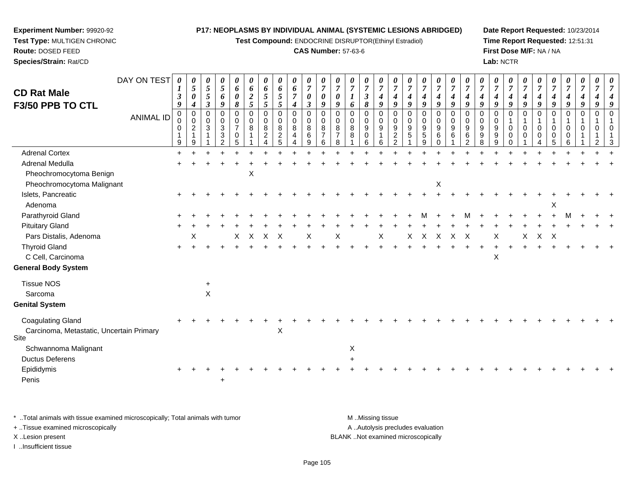**Test Compound:** ENDOCRINE DISRUPTOR(Ethinyl Estradiol)

#### **CAS Number:** 57-63-6

**Date Report Requested:** 10/23/2014**Time Report Requested:** 12:51:31**First Dose M/F:** NA / NA**Lab:** NCTR

| DAY ON TEST<br><b>CD Rat Male</b><br>F3/50 PPB TO CTL<br>ANIMAL ID | $\boldsymbol{\theta}$<br>$\boldsymbol{\beta}$<br>9<br>0<br>0<br>0 | 0<br>$\overline{5}$<br>0<br>$\boldsymbol{4}$<br>0<br>$\mathbf 0$<br>$\overline{2}$<br>1 | $\overline{5}$<br>$\mathfrak{s}$<br>$\mathfrak{z}$<br>$\mathbf 0$<br>$\mathbf 0$<br>3 | 0<br>5<br>6<br>9<br>$\mathbf 0$<br>0<br>3<br>3 | 0<br>6<br>0<br>8<br>0<br>0<br>$\overline{7}$<br>0 | 0<br>6<br>$\boldsymbol{2}$<br>5<br>$\mathbf 0$<br>$\mathbf 0$<br>8 | 0<br>6<br>$\mathfrak{s}$<br>$\mathfrak{s}$<br>$\mathbf 0$<br>0<br>8<br>$\overline{2}$ | 0<br>6<br>$\sqrt{5}$<br>$\mathfrak{s}$<br>$\mathbf 0$<br>0<br>8<br>$\overline{c}$ | 0<br>6<br>$\boldsymbol{7}$<br>$\boldsymbol{4}$<br>0<br>0<br>8<br>4 | 0<br>$\boldsymbol{7}$<br>$\pmb{\theta}$<br>$\boldsymbol{\beta}$<br>$\pmb{0}$<br>$\mathbf 0$<br>8<br>6 | 0<br>$\overline{7}$<br>$\boldsymbol{\theta}$<br>9<br>$\mathbf 0$<br>$\mathbf 0$<br>8<br>$\overline{7}$ | $\overline{7}$<br>$\boldsymbol{\theta}$<br>9<br>$\Omega$<br>0<br>8<br>$\overline{7}$ | 6<br>$\mathbf 0$<br>0<br>8<br>8 | 0<br>$\overline{7}$<br>$\mathbf{3}$<br>8<br>0<br>0<br>9<br>0 | $\overline{7}$<br>$\boldsymbol{4}$<br>$\boldsymbol{g}$<br>$\Omega$<br>$\mathbf 0$<br>9<br>1 | 0<br>$\overline{7}$<br>$\boldsymbol{4}$<br>9<br>$\mathbf 0$<br>0<br>9<br>$\overline{\mathbf{c}}$ | $\boldsymbol{7}$<br>$\boldsymbol{4}$<br>9<br>0<br>0<br>9<br>$\sqrt{5}$ | $\overline{7}$<br>$\boldsymbol{4}$<br>9<br>$\mathbf 0$<br>0<br>$\boldsymbol{9}$<br>$\,$ 5 $\,$ | 0<br>$\overline{7}$<br>$\boldsymbol{4}$<br>9<br>0<br>0<br>9<br>6 | 0<br>$\overline{7}$<br>$\boldsymbol{4}$<br>9<br>$\mathbf 0$<br>$\mathbf 0$<br>9<br>6 | 0<br>$\overline{7}$<br>4<br>9<br>$\Omega$<br>$\mathbf 0$<br>9<br>6 | $\overline{7}$<br>$\boldsymbol{4}$<br>9<br>0<br>0<br>9<br>9 | 4<br>9<br>$\mathbf 0$<br>$\mathbf 0$<br>9<br>9 | 0<br>$\overline{7}$<br>$\boldsymbol{4}$<br>9<br>$\Omega$<br>0<br>0 | 0<br>$\overline{7}$<br>$\boldsymbol{4}$<br>9<br>$\Omega$<br>$\mathbf{1}$<br>$\mathbf 0$<br>0 | 0<br>$\overline{7}$<br>$\boldsymbol{4}$<br>9<br>$\Omega$<br>$\mathbf 0$<br>0 | $\overline{7}$<br>$\boldsymbol{4}$<br>9<br>$\Omega$<br>0 | $\overline{7}$<br>$\boldsymbol{4}$<br>$\boldsymbol{q}$<br>$\mathbf 0$<br>$\mathbf{1}$<br>0<br>0 | $\overline{7}$<br>9<br><sup>n</sup><br>$\Omega$ | $\Omega$<br>$\Omega$ |  |
|--------------------------------------------------------------------|-------------------------------------------------------------------|-----------------------------------------------------------------------------------------|---------------------------------------------------------------------------------------|------------------------------------------------|---------------------------------------------------|--------------------------------------------------------------------|---------------------------------------------------------------------------------------|-----------------------------------------------------------------------------------|--------------------------------------------------------------------|-------------------------------------------------------------------------------------------------------|--------------------------------------------------------------------------------------------------------|--------------------------------------------------------------------------------------|---------------------------------|--------------------------------------------------------------|---------------------------------------------------------------------------------------------|--------------------------------------------------------------------------------------------------|------------------------------------------------------------------------|------------------------------------------------------------------------------------------------|------------------------------------------------------------------|--------------------------------------------------------------------------------------|--------------------------------------------------------------------|-------------------------------------------------------------|------------------------------------------------|--------------------------------------------------------------------|----------------------------------------------------------------------------------------------|------------------------------------------------------------------------------|----------------------------------------------------------|-------------------------------------------------------------------------------------------------|-------------------------------------------------|----------------------|--|
| <b>Adrenal Cortex</b>                                              | 9                                                                 | 9                                                                                       |                                                                                       | $\mathcal{D}$                                  | 5                                                 |                                                                    |                                                                                       |                                                                                   |                                                                    | 9                                                                                                     | 6                                                                                                      | 8                                                                                    |                                 | 6                                                            | 6                                                                                           | $\mathfrak{p}$                                                                                   |                                                                        | q                                                                                              | $\Omega$                                                         |                                                                                      | $\mathcal{P}$                                                      | 8                                                           | q                                              | $\Omega$                                                           |                                                                                              |                                                                              |                                                          |                                                                                                 |                                                 |                      |  |
| Adrenal Medulla                                                    |                                                                   |                                                                                         |                                                                                       |                                                |                                                   |                                                                    |                                                                                       |                                                                                   |                                                                    |                                                                                                       |                                                                                                        |                                                                                      |                                 |                                                              |                                                                                             |                                                                                                  |                                                                        |                                                                                                |                                                                  |                                                                                      |                                                                    |                                                             |                                                |                                                                    |                                                                                              |                                                                              |                                                          |                                                                                                 |                                                 |                      |  |
|                                                                    |                                                                   |                                                                                         |                                                                                       |                                                |                                                   |                                                                    |                                                                                       |                                                                                   |                                                                    |                                                                                                       |                                                                                                        |                                                                                      |                                 |                                                              |                                                                                             |                                                                                                  |                                                                        |                                                                                                |                                                                  |                                                                                      |                                                                    |                                                             |                                                |                                                                    |                                                                                              |                                                                              |                                                          |                                                                                                 |                                                 |                      |  |
| Pheochromocytoma Benign<br>Pheochromocytoma Malignant              |                                                                   |                                                                                         |                                                                                       |                                                |                                                   | X                                                                  |                                                                                       |                                                                                   |                                                                    |                                                                                                       |                                                                                                        |                                                                                      |                                 |                                                              |                                                                                             |                                                                                                  |                                                                        |                                                                                                | $\boldsymbol{\mathsf{X}}$                                        |                                                                                      |                                                                    |                                                             |                                                |                                                                    |                                                                                              |                                                                              |                                                          |                                                                                                 |                                                 |                      |  |
| Islets, Pancreatic                                                 |                                                                   |                                                                                         |                                                                                       |                                                |                                                   |                                                                    |                                                                                       |                                                                                   |                                                                    |                                                                                                       |                                                                                                        |                                                                                      |                                 |                                                              |                                                                                             |                                                                                                  |                                                                        |                                                                                                |                                                                  |                                                                                      |                                                                    |                                                             |                                                |                                                                    |                                                                                              |                                                                              |                                                          |                                                                                                 |                                                 |                      |  |
| Adenoma                                                            |                                                                   |                                                                                         |                                                                                       |                                                |                                                   |                                                                    |                                                                                       |                                                                                   |                                                                    |                                                                                                       |                                                                                                        |                                                                                      |                                 |                                                              |                                                                                             |                                                                                                  |                                                                        |                                                                                                |                                                                  |                                                                                      |                                                                    |                                                             |                                                |                                                                    |                                                                                              |                                                                              |                                                          |                                                                                                 |                                                 |                      |  |
| Parathyroid Gland                                                  |                                                                   |                                                                                         |                                                                                       |                                                |                                                   |                                                                    |                                                                                       |                                                                                   |                                                                    |                                                                                                       |                                                                                                        |                                                                                      |                                 |                                                              |                                                                                             |                                                                                                  |                                                                        |                                                                                                |                                                                  |                                                                                      |                                                                    |                                                             |                                                |                                                                    |                                                                                              |                                                                              |                                                          |                                                                                                 |                                                 |                      |  |
| <b>Pituitary Gland</b>                                             |                                                                   |                                                                                         |                                                                                       |                                                |                                                   |                                                                    |                                                                                       |                                                                                   |                                                                    |                                                                                                       |                                                                                                        |                                                                                      |                                 |                                                              |                                                                                             |                                                                                                  |                                                                        |                                                                                                |                                                                  |                                                                                      |                                                                    |                                                             |                                                |                                                                    |                                                                                              |                                                                              |                                                          |                                                                                                 |                                                 |                      |  |
| Pars Distalis, Adenoma                                             |                                                                   | X                                                                                       |                                                                                       |                                                | X                                                 | X                                                                  | $\pmb{\times}$                                                                        | $\times$                                                                          |                                                                    | X                                                                                                     |                                                                                                        | Χ                                                                                    |                                 |                                                              | X                                                                                           |                                                                                                  | X                                                                      | X                                                                                              | $\boldsymbol{\mathsf{X}}$                                        | $\boldsymbol{X}$                                                                     | $\mathsf{X}$                                                       |                                                             | X                                              |                                                                    | X                                                                                            | $\mathsf{X}$                                                                 | $\mathsf{X}$                                             |                                                                                                 |                                                 |                      |  |
| <b>Thyroid Gland</b>                                               |                                                                   |                                                                                         |                                                                                       |                                                |                                                   |                                                                    |                                                                                       |                                                                                   |                                                                    |                                                                                                       |                                                                                                        |                                                                                      |                                 |                                                              |                                                                                             |                                                                                                  |                                                                        |                                                                                                |                                                                  |                                                                                      |                                                                    |                                                             |                                                |                                                                    |                                                                                              |                                                                              |                                                          |                                                                                                 |                                                 |                      |  |
| C Cell, Carcinoma                                                  |                                                                   |                                                                                         |                                                                                       |                                                |                                                   |                                                                    |                                                                                       |                                                                                   |                                                                    |                                                                                                       |                                                                                                        |                                                                                      |                                 |                                                              |                                                                                             |                                                                                                  |                                                                        |                                                                                                |                                                                  |                                                                                      |                                                                    |                                                             | X                                              |                                                                    |                                                                                              |                                                                              |                                                          |                                                                                                 |                                                 |                      |  |
| <b>General Body System</b>                                         |                                                                   |                                                                                         |                                                                                       |                                                |                                                   |                                                                    |                                                                                       |                                                                                   |                                                                    |                                                                                                       |                                                                                                        |                                                                                      |                                 |                                                              |                                                                                             |                                                                                                  |                                                                        |                                                                                                |                                                                  |                                                                                      |                                                                    |                                                             |                                                |                                                                    |                                                                                              |                                                                              |                                                          |                                                                                                 |                                                 |                      |  |
| <b>Tissue NOS</b>                                                  |                                                                   |                                                                                         | +                                                                                     |                                                |                                                   |                                                                    |                                                                                       |                                                                                   |                                                                    |                                                                                                       |                                                                                                        |                                                                                      |                                 |                                                              |                                                                                             |                                                                                                  |                                                                        |                                                                                                |                                                                  |                                                                                      |                                                                    |                                                             |                                                |                                                                    |                                                                                              |                                                                              |                                                          |                                                                                                 |                                                 |                      |  |
| Sarcoma                                                            |                                                                   |                                                                                         | $\boldsymbol{\mathsf{X}}$                                                             |                                                |                                                   |                                                                    |                                                                                       |                                                                                   |                                                                    |                                                                                                       |                                                                                                        |                                                                                      |                                 |                                                              |                                                                                             |                                                                                                  |                                                                        |                                                                                                |                                                                  |                                                                                      |                                                                    |                                                             |                                                |                                                                    |                                                                                              |                                                                              |                                                          |                                                                                                 |                                                 |                      |  |
| <b>Genital System</b>                                              |                                                                   |                                                                                         |                                                                                       |                                                |                                                   |                                                                    |                                                                                       |                                                                                   |                                                                    |                                                                                                       |                                                                                                        |                                                                                      |                                 |                                                              |                                                                                             |                                                                                                  |                                                                        |                                                                                                |                                                                  |                                                                                      |                                                                    |                                                             |                                                |                                                                    |                                                                                              |                                                                              |                                                          |                                                                                                 |                                                 |                      |  |
| <b>Coagulating Gland</b>                                           |                                                                   |                                                                                         |                                                                                       |                                                |                                                   |                                                                    |                                                                                       |                                                                                   |                                                                    |                                                                                                       |                                                                                                        |                                                                                      |                                 |                                                              |                                                                                             |                                                                                                  |                                                                        |                                                                                                |                                                                  |                                                                                      |                                                                    |                                                             |                                                |                                                                    |                                                                                              |                                                                              |                                                          |                                                                                                 |                                                 |                      |  |
| Carcinoma, Metastatic, Uncertain Primary<br>Site                   |                                                                   |                                                                                         |                                                                                       |                                                |                                                   |                                                                    |                                                                                       | X                                                                                 |                                                                    |                                                                                                       |                                                                                                        |                                                                                      |                                 |                                                              |                                                                                             |                                                                                                  |                                                                        |                                                                                                |                                                                  |                                                                                      |                                                                    |                                                             |                                                |                                                                    |                                                                                              |                                                                              |                                                          |                                                                                                 |                                                 |                      |  |
| Schwannoma Malignant                                               |                                                                   |                                                                                         |                                                                                       |                                                |                                                   |                                                                    |                                                                                       |                                                                                   |                                                                    |                                                                                                       |                                                                                                        |                                                                                      | X                               |                                                              |                                                                                             |                                                                                                  |                                                                        |                                                                                                |                                                                  |                                                                                      |                                                                    |                                                             |                                                |                                                                    |                                                                                              |                                                                              |                                                          |                                                                                                 |                                                 |                      |  |
| <b>Ductus Deferens</b>                                             |                                                                   |                                                                                         |                                                                                       |                                                |                                                   |                                                                    |                                                                                       |                                                                                   |                                                                    |                                                                                                       |                                                                                                        |                                                                                      |                                 |                                                              |                                                                                             |                                                                                                  |                                                                        |                                                                                                |                                                                  |                                                                                      |                                                                    |                                                             |                                                |                                                                    |                                                                                              |                                                                              |                                                          |                                                                                                 |                                                 |                      |  |
| Epididymis                                                         |                                                                   |                                                                                         |                                                                                       |                                                |                                                   |                                                                    |                                                                                       |                                                                                   |                                                                    |                                                                                                       |                                                                                                        |                                                                                      |                                 |                                                              |                                                                                             |                                                                                                  |                                                                        |                                                                                                |                                                                  |                                                                                      |                                                                    |                                                             |                                                |                                                                    |                                                                                              |                                                                              |                                                          |                                                                                                 |                                                 |                      |  |
| Penis                                                              |                                                                   |                                                                                         |                                                                                       |                                                |                                                   |                                                                    |                                                                                       |                                                                                   |                                                                    |                                                                                                       |                                                                                                        |                                                                                      |                                 |                                                              |                                                                                             |                                                                                                  |                                                                        |                                                                                                |                                                                  |                                                                                      |                                                                    |                                                             |                                                |                                                                    |                                                                                              |                                                                              |                                                          |                                                                                                 |                                                 |                      |  |

\* ..Total animals with tissue examined microscopically; Total animals with tumor **M** . Missing tissue M ..Missing tissue A ..Autolysis precludes evaluation + ..Tissue examined microscopically X ..Lesion present BLANK ..Not examined microscopicallyI ..Insufficient tissue

**Experiment Number:** 99920-92**Test Type:** MULTIGEN CHRONIC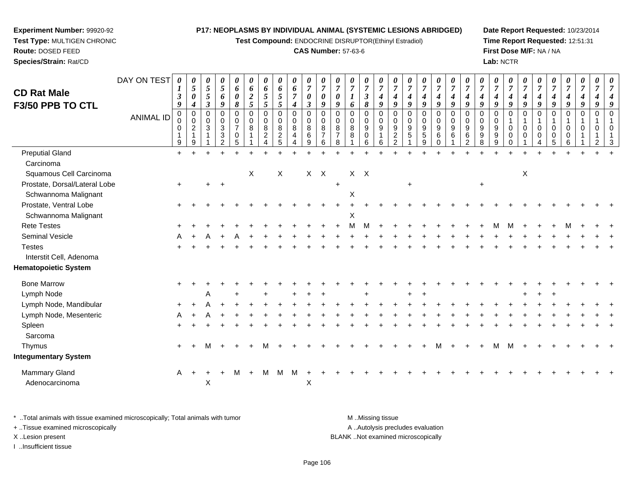**Test Compound:** ENDOCRINE DISRUPTOR(Ethinyl Estradiol)

#### **CAS Number:** 57-63-6

**Date Report Requested:** 10/23/2014**Time Report Requested:** 12:51:31**First Dose M/F:** NA / NA**Lab:** NCTR

| <b>CD Rat Male</b><br>F3/50 PPB TO CTL | DAY ON TEST<br><b>ANIMAL ID</b> | $\boldsymbol{\theta}$<br>1<br>$\mathfrak{z}$<br>9<br>$\mathbf 0$<br>0<br>0<br>9 | $\boldsymbol{\theta}$<br>$\mathfrak{s}$<br>$\boldsymbol{\theta}$<br>$\boldsymbol{4}$<br>$\pmb{0}$<br>$\mathbf 0$<br>$\overline{2}$<br>9 | $\pmb{\theta}$<br>$\mathfrak{s}$<br>$\sqrt{5}$<br>$\boldsymbol{\beta}$<br>0<br>$\mathbf 0$<br>$\sqrt{3}$<br>1 | 0<br>$\sqrt{5}$<br>6<br>9<br>$\pmb{0}$<br>$\mathbf 0$<br>$\sqrt{3}$<br>3<br>2 | 0<br>6<br>0<br>$\pmb{8}$<br>0<br>0<br>$\overline{7}$<br>0<br>5 | 0<br>6<br>$\boldsymbol{2}$<br>5<br>$\pmb{0}$<br>$\mathbf 0$<br>8 | $\boldsymbol{\theta}$<br>6<br>$\mathfrak{I}$<br>$\sqrt{5}$<br>$\mathbf 0$<br>$\mathbf 0$<br>$\,8\,$<br>$\overline{c}$ | 0<br>6<br>$\sqrt{5}$<br>5<br>0<br>$\mathbf 0$<br>$\bf 8$<br>$\sqrt{2}$<br>5 | $\boldsymbol{\theta}$<br>6<br>$\boldsymbol{7}$<br>4<br>$\pmb{0}$<br>$\mathbf 0$<br>8<br>4<br>$\boldsymbol{\Lambda}$ | 0<br>$\overline{7}$<br>0<br>$\boldsymbol{\beta}$<br>$\pmb{0}$<br>$\mathbf 0$<br>8<br>$\,6$<br>9 | 0<br>$\boldsymbol{7}$<br>0<br>9<br>$\mathbf 0$<br>$\mathbf 0$<br>8<br>$\overline{7}$<br>6 | 0<br>$\overline{7}$<br>$\boldsymbol{\theta}$<br>9<br>$\pmb{0}$<br>$\mathbf 0$<br>8<br>8 | 0<br>$\overline{7}$<br>$\boldsymbol{l}$<br>6<br>0<br>$\mathbf 0$<br>$\,8\,$<br>8 | $\boldsymbol{\theta}$<br>$\overline{7}$<br>$\mathfrak{z}$<br>8<br>$\mathbf 0$<br>$\mathbf 0$<br>9<br>$\mathbf 0$<br>6 | 0<br>$\overline{7}$<br>4<br>9<br>$\mathbf 0$<br>$\mathbf 0$<br>9<br>6 | 0<br>$\overline{7}$<br>$\boldsymbol{4}$<br>9<br>$\mathbf 0$<br>$\mathbf 0$<br>$\boldsymbol{9}$<br>$\overline{c}$<br>2 | 0<br>$\overline{7}$<br>4<br>9<br>$\pmb{0}$<br>$\mathbf 0$<br>$\boldsymbol{9}$<br>5 | $\boldsymbol{\theta}$<br>$\overline{7}$<br>$\boldsymbol{4}$<br>9<br>$\pmb{0}$<br>$\mathbf 0$<br>$\boldsymbol{9}$<br>$\sqrt{5}$<br>9 | $\boldsymbol{\theta}$<br>$\overline{7}$<br>$\boldsymbol{4}$<br>9<br>$\pmb{0}$<br>$\overline{0}$<br>$\boldsymbol{9}$<br>6<br>$\Omega$ | $\pmb{\theta}$<br>$\overline{7}$<br>4<br>9<br>$\mathbf 0$<br>$\mathbf 0$<br>9<br>6 | 0<br>$\overline{7}$<br>9<br>$\mathbf 0$<br>$\mathbf 0$<br>9<br>6<br>2 | 0<br>$\overline{7}$<br>$\boldsymbol{4}$<br>9<br>$\mathbf 0$<br>$\mathbf 0$<br>$\boldsymbol{9}$<br>9<br>8 | 0<br>$\overline{7}$<br>$\boldsymbol{4}$<br>9<br>$\pmb{0}$<br>$\mathbf 0$<br>$\boldsymbol{9}$<br>9<br>9 | $\boldsymbol{\theta}$<br>$\overline{7}$<br>$\boldsymbol{4}$<br>9<br>$\pmb{0}$<br>$\overline{1}$<br>$\mathbf 0$<br>$\mathbf 0$<br>$\Omega$ | 0<br>$\overline{7}$<br>4<br>9<br>$\mathbf 0$<br>1<br>$\mathbf 0$<br>0 | 0<br>$\overline{7}$<br>$\boldsymbol{4}$<br>9<br>0<br>0<br>0 | 0<br>$\overline{7}$<br>$\boldsymbol{4}$<br>9<br>$\mathbf 0$<br>$\mathbf 0$<br>0<br>5 | $\boldsymbol{\theta}$<br>$\overline{7}$<br>$\boldsymbol{4}$<br>9<br>$\mathbf 0$<br>-1<br>0<br>0<br>6 | $\pmb{\theta}$<br>$\overline{7}$<br>$\boldsymbol{4}$<br>9<br>$\pmb{0}$<br>$\mathbf{1}$<br>$\mathbf 0$<br>1 | 0<br>7<br>4<br>9<br>$\mathbf 0$<br>$\Omega$<br>2 |  |
|----------------------------------------|---------------------------------|---------------------------------------------------------------------------------|-----------------------------------------------------------------------------------------------------------------------------------------|---------------------------------------------------------------------------------------------------------------|-------------------------------------------------------------------------------|----------------------------------------------------------------|------------------------------------------------------------------|-----------------------------------------------------------------------------------------------------------------------|-----------------------------------------------------------------------------|---------------------------------------------------------------------------------------------------------------------|-------------------------------------------------------------------------------------------------|-------------------------------------------------------------------------------------------|-----------------------------------------------------------------------------------------|----------------------------------------------------------------------------------|-----------------------------------------------------------------------------------------------------------------------|-----------------------------------------------------------------------|-----------------------------------------------------------------------------------------------------------------------|------------------------------------------------------------------------------------|-------------------------------------------------------------------------------------------------------------------------------------|--------------------------------------------------------------------------------------------------------------------------------------|------------------------------------------------------------------------------------|-----------------------------------------------------------------------|----------------------------------------------------------------------------------------------------------|--------------------------------------------------------------------------------------------------------|-------------------------------------------------------------------------------------------------------------------------------------------|-----------------------------------------------------------------------|-------------------------------------------------------------|--------------------------------------------------------------------------------------|------------------------------------------------------------------------------------------------------|------------------------------------------------------------------------------------------------------------|--------------------------------------------------|--|
| <b>Preputial Gland</b>                 |                                 | $+$                                                                             |                                                                                                                                         |                                                                                                               |                                                                               |                                                                |                                                                  |                                                                                                                       |                                                                             |                                                                                                                     |                                                                                                 |                                                                                           |                                                                                         |                                                                                  |                                                                                                                       |                                                                       |                                                                                                                       |                                                                                    |                                                                                                                                     |                                                                                                                                      |                                                                                    |                                                                       |                                                                                                          |                                                                                                        |                                                                                                                                           |                                                                       |                                                             |                                                                                      |                                                                                                      |                                                                                                            |                                                  |  |
| Carcinoma<br>Squamous Cell Carcinoma   |                                 |                                                                                 |                                                                                                                                         |                                                                                                               |                                                                               |                                                                | X                                                                |                                                                                                                       | X                                                                           |                                                                                                                     | $X$ $X$                                                                                         |                                                                                           |                                                                                         | $X$ $X$                                                                          |                                                                                                                       |                                                                       |                                                                                                                       |                                                                                    |                                                                                                                                     |                                                                                                                                      |                                                                                    |                                                                       |                                                                                                          |                                                                                                        |                                                                                                                                           | X                                                                     |                                                             |                                                                                      |                                                                                                      |                                                                                                            |                                                  |  |
| Prostate, Dorsal/Lateral Lobe          |                                 | $+$                                                                             |                                                                                                                                         | +                                                                                                             | $+$                                                                           |                                                                |                                                                  |                                                                                                                       |                                                                             |                                                                                                                     |                                                                                                 |                                                                                           | $\ddot{}$                                                                               |                                                                                  |                                                                                                                       |                                                                       |                                                                                                                       | $\ddot{}$                                                                          |                                                                                                                                     |                                                                                                                                      |                                                                                    |                                                                       | +                                                                                                        |                                                                                                        |                                                                                                                                           |                                                                       |                                                             |                                                                                      |                                                                                                      |                                                                                                            |                                                  |  |
| Schwannoma Malignant                   |                                 |                                                                                 |                                                                                                                                         |                                                                                                               |                                                                               |                                                                |                                                                  |                                                                                                                       |                                                                             |                                                                                                                     |                                                                                                 |                                                                                           |                                                                                         | Χ                                                                                |                                                                                                                       |                                                                       |                                                                                                                       |                                                                                    |                                                                                                                                     |                                                                                                                                      |                                                                                    |                                                                       |                                                                                                          |                                                                                                        |                                                                                                                                           |                                                                       |                                                             |                                                                                      |                                                                                                      |                                                                                                            |                                                  |  |
| Prostate, Ventral Lobe                 |                                 |                                                                                 |                                                                                                                                         |                                                                                                               |                                                                               |                                                                |                                                                  |                                                                                                                       |                                                                             |                                                                                                                     |                                                                                                 |                                                                                           |                                                                                         |                                                                                  |                                                                                                                       |                                                                       |                                                                                                                       |                                                                                    |                                                                                                                                     |                                                                                                                                      |                                                                                    |                                                                       |                                                                                                          |                                                                                                        |                                                                                                                                           |                                                                       |                                                             |                                                                                      |                                                                                                      |                                                                                                            |                                                  |  |
| Schwannoma Malignant                   |                                 |                                                                                 |                                                                                                                                         |                                                                                                               |                                                                               |                                                                |                                                                  |                                                                                                                       |                                                                             |                                                                                                                     |                                                                                                 |                                                                                           |                                                                                         | X                                                                                |                                                                                                                       |                                                                       |                                                                                                                       |                                                                                    |                                                                                                                                     |                                                                                                                                      |                                                                                    |                                                                       |                                                                                                          |                                                                                                        |                                                                                                                                           |                                                                       |                                                             |                                                                                      |                                                                                                      |                                                                                                            |                                                  |  |
| <b>Rete Testes</b>                     |                                 |                                                                                 |                                                                                                                                         |                                                                                                               |                                                                               |                                                                |                                                                  |                                                                                                                       |                                                                             |                                                                                                                     |                                                                                                 |                                                                                           |                                                                                         |                                                                                  |                                                                                                                       |                                                                       |                                                                                                                       |                                                                                    |                                                                                                                                     |                                                                                                                                      |                                                                                    |                                                                       |                                                                                                          |                                                                                                        |                                                                                                                                           |                                                                       |                                                             |                                                                                      |                                                                                                      |                                                                                                            |                                                  |  |
| Seminal Vesicle                        |                                 |                                                                                 |                                                                                                                                         |                                                                                                               |                                                                               |                                                                |                                                                  |                                                                                                                       |                                                                             |                                                                                                                     |                                                                                                 |                                                                                           |                                                                                         |                                                                                  |                                                                                                                       |                                                                       |                                                                                                                       |                                                                                    |                                                                                                                                     |                                                                                                                                      |                                                                                    |                                                                       |                                                                                                          |                                                                                                        |                                                                                                                                           |                                                                       |                                                             |                                                                                      |                                                                                                      |                                                                                                            |                                                  |  |
| <b>Testes</b>                          |                                 |                                                                                 |                                                                                                                                         |                                                                                                               |                                                                               |                                                                |                                                                  |                                                                                                                       |                                                                             |                                                                                                                     |                                                                                                 |                                                                                           |                                                                                         |                                                                                  |                                                                                                                       |                                                                       |                                                                                                                       |                                                                                    |                                                                                                                                     |                                                                                                                                      |                                                                                    |                                                                       |                                                                                                          |                                                                                                        |                                                                                                                                           |                                                                       |                                                             |                                                                                      |                                                                                                      |                                                                                                            |                                                  |  |
| Interstit Cell, Adenoma                |                                 |                                                                                 |                                                                                                                                         |                                                                                                               |                                                                               |                                                                |                                                                  |                                                                                                                       |                                                                             |                                                                                                                     |                                                                                                 |                                                                                           |                                                                                         |                                                                                  |                                                                                                                       |                                                                       |                                                                                                                       |                                                                                    |                                                                                                                                     |                                                                                                                                      |                                                                                    |                                                                       |                                                                                                          |                                                                                                        |                                                                                                                                           |                                                                       |                                                             |                                                                                      |                                                                                                      |                                                                                                            |                                                  |  |
| <b>Hematopoietic System</b>            |                                 |                                                                                 |                                                                                                                                         |                                                                                                               |                                                                               |                                                                |                                                                  |                                                                                                                       |                                                                             |                                                                                                                     |                                                                                                 |                                                                                           |                                                                                         |                                                                                  |                                                                                                                       |                                                                       |                                                                                                                       |                                                                                    |                                                                                                                                     |                                                                                                                                      |                                                                                    |                                                                       |                                                                                                          |                                                                                                        |                                                                                                                                           |                                                                       |                                                             |                                                                                      |                                                                                                      |                                                                                                            |                                                  |  |
| <b>Bone Marrow</b>                     |                                 |                                                                                 |                                                                                                                                         |                                                                                                               |                                                                               |                                                                |                                                                  |                                                                                                                       |                                                                             |                                                                                                                     |                                                                                                 |                                                                                           |                                                                                         |                                                                                  |                                                                                                                       |                                                                       |                                                                                                                       |                                                                                    |                                                                                                                                     |                                                                                                                                      |                                                                                    |                                                                       |                                                                                                          |                                                                                                        |                                                                                                                                           |                                                                       |                                                             |                                                                                      |                                                                                                      |                                                                                                            |                                                  |  |
| Lymph Node                             |                                 |                                                                                 |                                                                                                                                         | A                                                                                                             |                                                                               |                                                                |                                                                  |                                                                                                                       |                                                                             |                                                                                                                     |                                                                                                 |                                                                                           |                                                                                         |                                                                                  |                                                                                                                       |                                                                       |                                                                                                                       |                                                                                    |                                                                                                                                     |                                                                                                                                      |                                                                                    |                                                                       |                                                                                                          |                                                                                                        |                                                                                                                                           |                                                                       |                                                             |                                                                                      |                                                                                                      |                                                                                                            |                                                  |  |
| Lymph Node, Mandibular                 |                                 |                                                                                 |                                                                                                                                         |                                                                                                               |                                                                               |                                                                |                                                                  |                                                                                                                       |                                                                             |                                                                                                                     |                                                                                                 |                                                                                           |                                                                                         |                                                                                  |                                                                                                                       |                                                                       |                                                                                                                       |                                                                                    |                                                                                                                                     |                                                                                                                                      |                                                                                    |                                                                       |                                                                                                          |                                                                                                        |                                                                                                                                           |                                                                       |                                                             |                                                                                      |                                                                                                      |                                                                                                            |                                                  |  |
| Lymph Node, Mesenteric                 |                                 |                                                                                 |                                                                                                                                         |                                                                                                               |                                                                               |                                                                |                                                                  |                                                                                                                       |                                                                             |                                                                                                                     |                                                                                                 |                                                                                           |                                                                                         |                                                                                  |                                                                                                                       |                                                                       |                                                                                                                       |                                                                                    |                                                                                                                                     |                                                                                                                                      |                                                                                    |                                                                       |                                                                                                          |                                                                                                        |                                                                                                                                           |                                                                       |                                                             |                                                                                      |                                                                                                      |                                                                                                            |                                                  |  |
| Spleen                                 |                                 |                                                                                 |                                                                                                                                         |                                                                                                               |                                                                               |                                                                |                                                                  |                                                                                                                       |                                                                             |                                                                                                                     |                                                                                                 |                                                                                           |                                                                                         |                                                                                  |                                                                                                                       |                                                                       |                                                                                                                       |                                                                                    |                                                                                                                                     |                                                                                                                                      |                                                                                    |                                                                       |                                                                                                          |                                                                                                        |                                                                                                                                           |                                                                       |                                                             |                                                                                      |                                                                                                      |                                                                                                            |                                                  |  |
| Sarcoma                                |                                 |                                                                                 |                                                                                                                                         |                                                                                                               |                                                                               |                                                                |                                                                  |                                                                                                                       |                                                                             |                                                                                                                     |                                                                                                 |                                                                                           |                                                                                         |                                                                                  |                                                                                                                       |                                                                       |                                                                                                                       |                                                                                    |                                                                                                                                     |                                                                                                                                      |                                                                                    |                                                                       |                                                                                                          |                                                                                                        |                                                                                                                                           |                                                                       |                                                             |                                                                                      |                                                                                                      |                                                                                                            |                                                  |  |
| Thymus                                 |                                 | $\ddot{}$                                                                       |                                                                                                                                         | м                                                                                                             |                                                                               |                                                                |                                                                  | М                                                                                                                     |                                                                             |                                                                                                                     |                                                                                                 |                                                                                           |                                                                                         |                                                                                  |                                                                                                                       |                                                                       |                                                                                                                       |                                                                                    |                                                                                                                                     |                                                                                                                                      |                                                                                    |                                                                       |                                                                                                          |                                                                                                        | M                                                                                                                                         |                                                                       |                                                             |                                                                                      |                                                                                                      |                                                                                                            |                                                  |  |
| <b>Integumentary System</b>            |                                 |                                                                                 |                                                                                                                                         |                                                                                                               |                                                                               |                                                                |                                                                  |                                                                                                                       |                                                                             |                                                                                                                     |                                                                                                 |                                                                                           |                                                                                         |                                                                                  |                                                                                                                       |                                                                       |                                                                                                                       |                                                                                    |                                                                                                                                     |                                                                                                                                      |                                                                                    |                                                                       |                                                                                                          |                                                                                                        |                                                                                                                                           |                                                                       |                                                             |                                                                                      |                                                                                                      |                                                                                                            |                                                  |  |
| Mammary Gland<br>Adenocarcinoma        |                                 | A                                                                               | $+$                                                                                                                                     | X                                                                                                             |                                                                               | м                                                              | $+$                                                              | M                                                                                                                     | M                                                                           | M                                                                                                                   | X                                                                                               |                                                                                           |                                                                                         |                                                                                  |                                                                                                                       |                                                                       |                                                                                                                       |                                                                                    |                                                                                                                                     |                                                                                                                                      |                                                                                    |                                                                       |                                                                                                          |                                                                                                        |                                                                                                                                           |                                                                       |                                                             |                                                                                      |                                                                                                      |                                                                                                            |                                                  |  |

\* ..Total animals with tissue examined microscopically; Total animals with tumor **M** . Missing tissue M ..Missing tissue A ..Autolysis precludes evaluation + ..Tissue examined microscopically X ..Lesion present BLANK ..Not examined microscopicallyI ..Insufficient tissue

**Experiment Number:** 99920-92**Test Type:** MULTIGEN CHRONIC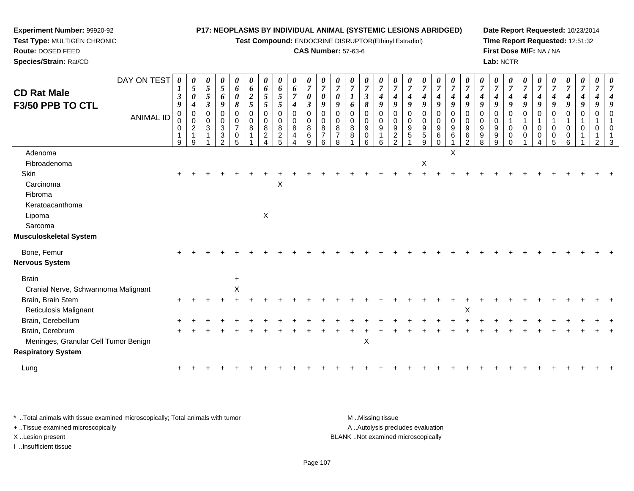**Test Compound:** ENDOCRINE DISRUPTOR(Ethinyl Estradiol)

#### **CAS Number:** 57-63-6

**Date Report Requested:** 10/23/2014**Time Report Requested:** 12:51:32**First Dose M/F:** NA / NA**Lab:** NCTR

| <b>CD Rat Male</b>                   | DAY ON TEST      | $\boldsymbol{\beta}$         | $\boldsymbol{\theta}$<br>$\mathfrak{H}$<br>$\boldsymbol{\theta}$                                         | $\boldsymbol{\theta}$<br>$\mathfrak{s}$<br>5 | 0<br>5<br>6                            | 0<br>6<br>0                             | $\boldsymbol{\theta}$<br>6<br>$\boldsymbol{2}$ | $\boldsymbol{\theta}$<br>6<br>$\mathfrak{H}$           | $\boldsymbol{\theta}$<br>6<br>$\sqrt{5}$     | $\boldsymbol{\theta}$<br>6<br>$\overline{7}$   | $\boldsymbol{\theta}$<br>$\overline{7}$<br>$\pmb{\theta}$ | $\overline{7}$<br>$\boldsymbol{\theta}$        | $\overline{7}$<br>$\boldsymbol{\theta}$                  | $\boldsymbol{\theta}$<br>$\overline{7}$<br>1 | $\boldsymbol{\theta}$<br>$\overline{7}$<br>$\boldsymbol{\beta}$ | $\boldsymbol{\theta}$<br>$\overline{7}$<br>$\boldsymbol{4}$ | $\overline{7}$<br>$\boldsymbol{4}$       | $\overline{7}$<br>4                                  | $\boldsymbol{\theta}$<br>$\overline{7}$<br>4 | $\boldsymbol{\theta}$<br>$\overline{7}$<br>$\boldsymbol{4}$ | $\boldsymbol{\theta}$<br>$\overline{7}$<br>$\boldsymbol{4}$ | $\overline{7}$<br>$\boldsymbol{4}$                       | $\overline{7}$<br>4                         | $\boldsymbol{\theta}$<br>$\overline{7}$<br>4 | $\boldsymbol{\theta}$<br>$\boldsymbol{7}$<br>$\boldsymbol{4}$    | $\boldsymbol{\theta}$<br>$\overline{7}$<br>$\boldsymbol{4}$ | $\overline{7}$<br>$\boldsymbol{4}$ | $\overline{7}$<br>$\boldsymbol{4}$ | $\boldsymbol{\theta}$<br>$\overline{7}$<br>$\boldsymbol{4}$ | 0<br>$\overline{7}$<br>$\boldsymbol{4}$         | 0<br>$\overline{7}$<br>4   |  |
|--------------------------------------|------------------|------------------------------|----------------------------------------------------------------------------------------------------------|----------------------------------------------|----------------------------------------|-----------------------------------------|------------------------------------------------|--------------------------------------------------------|----------------------------------------------|------------------------------------------------|-----------------------------------------------------------|------------------------------------------------|----------------------------------------------------------|----------------------------------------------|-----------------------------------------------------------------|-------------------------------------------------------------|------------------------------------------|------------------------------------------------------|----------------------------------------------|-------------------------------------------------------------|-------------------------------------------------------------|----------------------------------------------------------|---------------------------------------------|----------------------------------------------|------------------------------------------------------------------|-------------------------------------------------------------|------------------------------------|------------------------------------|-------------------------------------------------------------|-------------------------------------------------|----------------------------|--|
| F3/50 PPB TO CTL                     | <b>ANIMAL ID</b> | 9<br>$\Omega$<br>0<br>0<br>9 | $\boldsymbol{4}$<br>$\mathbf 0$<br>$\mathsf{O}\xspace$<br>$\overline{2}$<br>$\mathbf{1}$<br>$\mathsf{Q}$ | $\mathfrak{z}$<br>0<br>$\mathbf 0$<br>3<br>1 | 9<br>0<br>0<br>3<br>3<br>$\mathcal{P}$ | 8<br>0<br>0<br>$\overline{7}$<br>0<br>5 | 5<br>$\Omega$<br>0<br>8                        | 5<br>$\mathbf 0$<br>$\mathbf 0$<br>8<br>$\overline{2}$ | 5<br>0<br>0<br>$\bf8$<br>$\overline{c}$<br>5 | $\boldsymbol{4}$<br>0<br>$\mathbf 0$<br>8<br>4 | $\boldsymbol{\beta}$<br>0<br>0<br>8<br>6<br>9             | 9<br>$\Omega$<br>0<br>8<br>$\overline{7}$<br>6 | 9<br>$\Omega$<br>$\mathbf 0$<br>8<br>$\overline{7}$<br>8 | 6<br>$\Omega$<br>0<br>8<br>8                 | 8<br>$\mathbf 0$<br>$\mathbf 0$<br>9<br>0<br>6                  | 9<br>$\Omega$<br>$\mathbf 0$<br>9<br>$\mathbf{1}$<br>6      | 9<br>$\Omega$<br>0<br>9<br>$\frac{2}{2}$ | 9<br>$\Omega$<br>$\mathbf 0$<br>$9\,$<br>$\,$ 5 $\,$ | 9<br>0<br>$\mathbf 0$<br>9<br>$5\,$<br>9     | 9<br>0<br>$\mathbf 0$<br>9<br>6<br>$\Omega$                 | 9<br>$\mathbf 0$<br>$\mathbf 0$<br>9<br>6                   | 9<br>$\Omega$<br>$\mathbf 0$<br>9<br>6<br>$\overline{2}$ | 9<br>$\Omega$<br>$\mathbf 0$<br>9<br>9<br>8 | 9<br>0<br>$\mathbf 0$<br>9<br>9<br>9         | 9<br>0<br>$\mathbf{1}$<br>$\mathbf 0$<br>$\mathbf 0$<br>$\Omega$ | 9<br>$\Omega$<br>0<br>0                                     | 9<br>$\Omega$<br>0<br>0            | 9<br>$\Omega$<br>0<br>0<br>5       | 9<br>0<br>$\mathbf{1}$<br>0<br>0<br>6                       | 9<br>$\mathbf 0$<br>$\mathbf{1}$<br>$\mathbf 0$ | $\boldsymbol{q}$<br>0<br>0 |  |
| Adenoma                              |                  |                              |                                                                                                          |                                              |                                        |                                         |                                                |                                                        |                                              |                                                |                                                           |                                                |                                                          |                                              |                                                                 |                                                             |                                          |                                                      |                                              |                                                             | X                                                           |                                                          |                                             |                                              |                                                                  |                                                             |                                    |                                    |                                                             |                                                 |                            |  |
| Fibroadenoma                         |                  |                              |                                                                                                          |                                              |                                        |                                         |                                                |                                                        |                                              |                                                |                                                           |                                                |                                                          |                                              |                                                                 |                                                             |                                          |                                                      | X                                            |                                                             |                                                             |                                                          |                                             |                                              |                                                                  |                                                             |                                    |                                    |                                                             |                                                 |                            |  |
| <b>Skin</b>                          |                  |                              |                                                                                                          |                                              |                                        |                                         |                                                |                                                        |                                              |                                                |                                                           |                                                |                                                          |                                              |                                                                 |                                                             |                                          |                                                      |                                              |                                                             |                                                             |                                                          |                                             |                                              |                                                                  |                                                             |                                    |                                    |                                                             |                                                 |                            |  |
| Carcinoma                            |                  |                              |                                                                                                          |                                              |                                        |                                         |                                                |                                                        | X                                            |                                                |                                                           |                                                |                                                          |                                              |                                                                 |                                                             |                                          |                                                      |                                              |                                                             |                                                             |                                                          |                                             |                                              |                                                                  |                                                             |                                    |                                    |                                                             |                                                 |                            |  |
| Fibroma                              |                  |                              |                                                                                                          |                                              |                                        |                                         |                                                |                                                        |                                              |                                                |                                                           |                                                |                                                          |                                              |                                                                 |                                                             |                                          |                                                      |                                              |                                                             |                                                             |                                                          |                                             |                                              |                                                                  |                                                             |                                    |                                    |                                                             |                                                 |                            |  |
| Keratoacanthoma                      |                  |                              |                                                                                                          |                                              |                                        |                                         |                                                |                                                        |                                              |                                                |                                                           |                                                |                                                          |                                              |                                                                 |                                                             |                                          |                                                      |                                              |                                                             |                                                             |                                                          |                                             |                                              |                                                                  |                                                             |                                    |                                    |                                                             |                                                 |                            |  |
| Lipoma                               |                  |                              |                                                                                                          |                                              |                                        |                                         |                                                | X                                                      |                                              |                                                |                                                           |                                                |                                                          |                                              |                                                                 |                                                             |                                          |                                                      |                                              |                                                             |                                                             |                                                          |                                             |                                              |                                                                  |                                                             |                                    |                                    |                                                             |                                                 |                            |  |
| Sarcoma                              |                  |                              |                                                                                                          |                                              |                                        |                                         |                                                |                                                        |                                              |                                                |                                                           |                                                |                                                          |                                              |                                                                 |                                                             |                                          |                                                      |                                              |                                                             |                                                             |                                                          |                                             |                                              |                                                                  |                                                             |                                    |                                    |                                                             |                                                 |                            |  |
| Musculoskeletal System               |                  |                              |                                                                                                          |                                              |                                        |                                         |                                                |                                                        |                                              |                                                |                                                           |                                                |                                                          |                                              |                                                                 |                                                             |                                          |                                                      |                                              |                                                             |                                                             |                                                          |                                             |                                              |                                                                  |                                                             |                                    |                                    |                                                             |                                                 |                            |  |
| Bone, Femur                          |                  |                              |                                                                                                          |                                              |                                        |                                         |                                                |                                                        |                                              |                                                |                                                           |                                                |                                                          |                                              |                                                                 |                                                             |                                          |                                                      |                                              |                                                             |                                                             |                                                          |                                             |                                              |                                                                  |                                                             |                                    |                                    |                                                             |                                                 |                            |  |
| Nervous System                       |                  |                              |                                                                                                          |                                              |                                        |                                         |                                                |                                                        |                                              |                                                |                                                           |                                                |                                                          |                                              |                                                                 |                                                             |                                          |                                                      |                                              |                                                             |                                                             |                                                          |                                             |                                              |                                                                  |                                                             |                                    |                                    |                                                             |                                                 |                            |  |
| <b>Brain</b>                         |                  |                              |                                                                                                          |                                              |                                        | $\ddot{}$                               |                                                |                                                        |                                              |                                                |                                                           |                                                |                                                          |                                              |                                                                 |                                                             |                                          |                                                      |                                              |                                                             |                                                             |                                                          |                                             |                                              |                                                                  |                                                             |                                    |                                    |                                                             |                                                 |                            |  |
| Cranial Nerve, Schwannoma Malignant  |                  |                              |                                                                                                          |                                              |                                        | X                                       |                                                |                                                        |                                              |                                                |                                                           |                                                |                                                          |                                              |                                                                 |                                                             |                                          |                                                      |                                              |                                                             |                                                             |                                                          |                                             |                                              |                                                                  |                                                             |                                    |                                    |                                                             |                                                 |                            |  |
| Brain, Brain Stem                    |                  |                              |                                                                                                          |                                              |                                        |                                         |                                                |                                                        |                                              |                                                |                                                           |                                                |                                                          |                                              |                                                                 |                                                             |                                          |                                                      |                                              |                                                             |                                                             |                                                          |                                             |                                              |                                                                  |                                                             |                                    |                                    |                                                             |                                                 |                            |  |
| <b>Reticulosis Malignant</b>         |                  |                              |                                                                                                          |                                              |                                        |                                         |                                                |                                                        |                                              |                                                |                                                           |                                                |                                                          |                                              |                                                                 |                                                             |                                          |                                                      |                                              |                                                             |                                                             | X                                                        |                                             |                                              |                                                                  |                                                             |                                    |                                    |                                                             |                                                 |                            |  |
| Brain, Cerebellum                    |                  |                              |                                                                                                          |                                              |                                        |                                         |                                                |                                                        |                                              |                                                |                                                           |                                                |                                                          |                                              |                                                                 |                                                             |                                          |                                                      |                                              |                                                             |                                                             |                                                          |                                             |                                              |                                                                  |                                                             |                                    |                                    |                                                             |                                                 |                            |  |
| Brain, Cerebrum                      |                  |                              |                                                                                                          |                                              |                                        |                                         |                                                |                                                        |                                              |                                                |                                                           |                                                |                                                          |                                              |                                                                 |                                                             |                                          |                                                      |                                              |                                                             |                                                             |                                                          |                                             |                                              |                                                                  |                                                             |                                    |                                    |                                                             |                                                 |                            |  |
| Meninges, Granular Cell Tumor Benign |                  |                              |                                                                                                          |                                              |                                        |                                         |                                                |                                                        |                                              |                                                |                                                           |                                                |                                                          |                                              | $\mathsf X$                                                     |                                                             |                                          |                                                      |                                              |                                                             |                                                             |                                                          |                                             |                                              |                                                                  |                                                             |                                    |                                    |                                                             |                                                 |                            |  |
| <b>Respiratory System</b>            |                  |                              |                                                                                                          |                                              |                                        |                                         |                                                |                                                        |                                              |                                                |                                                           |                                                |                                                          |                                              |                                                                 |                                                             |                                          |                                                      |                                              |                                                             |                                                             |                                                          |                                             |                                              |                                                                  |                                                             |                                    |                                    |                                                             |                                                 |                            |  |
| Lung                                 |                  |                              |                                                                                                          |                                              |                                        |                                         |                                                |                                                        |                                              |                                                |                                                           |                                                |                                                          |                                              |                                                                 |                                                             |                                          |                                                      |                                              |                                                             |                                                             |                                                          |                                             |                                              |                                                                  |                                                             |                                    |                                    |                                                             |                                                 |                            |  |
|                                      |                  |                              |                                                                                                          |                                              |                                        |                                         |                                                |                                                        |                                              |                                                |                                                           |                                                |                                                          |                                              |                                                                 |                                                             |                                          |                                                      |                                              |                                                             |                                                             |                                                          |                                             |                                              |                                                                  |                                                             |                                    |                                    |                                                             |                                                 |                            |  |

\* ..Total animals with tissue examined microscopically; Total animals with tumor **M** . Missing tissue M ..Missing tissue A ..Autolysis precludes evaluation + ..Tissue examined microscopically X ..Lesion present BLANK ..Not examined microscopicallyI ..Insufficient tissue

**Experiment Number:** 99920-92**Test Type:** MULTIGEN CHRONIC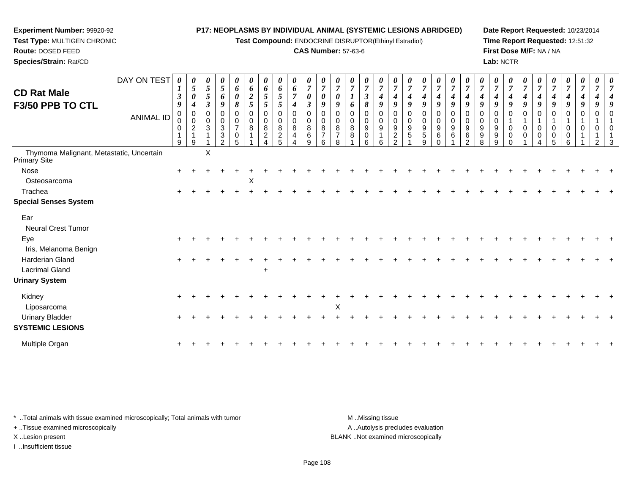# **Experiment Number:** 99920-92

 **Test Type:** MULTIGEN CHRONIC**Route:** DOSED FEED

**Species/Strain:** Rat/CD

#### **P17: NEOPLASMS BY INDIVIDUAL ANIMAL (SYSTEMIC LESIONS ABRIDGED)**

**Test Compound:** ENDOCRINE DISRUPTOR(Ethinyl Estradiol)

## **CAS Number:** 57-63-6

**Date Report Requested:** 10/23/2014**Time Report Requested:** 12:51:32**First Dose M/F:** NA / NA**Lab:** NCTR

| <b>CD Rat Male</b><br>F3/50 PPB TO CTL                   | DAY ON TEST<br><b>ANIMAL ID</b> | 0<br>$\boldsymbol{l}$<br>$\mathbf{3}$<br>9<br>0<br>0<br>$\mathbf 0$<br>$\mathbf{1}$<br>9 | $\boldsymbol{\theta}$<br>5<br>$\boldsymbol{\theta}$<br>$\boldsymbol{4}$<br>$\mathbf 0$<br>$\mathbf 0$<br>$\overline{c}$<br>$\mathbf{1}$<br>9 | $\boldsymbol{\theta}$<br>5<br>5<br>$\boldsymbol{\beta}$<br>$\mathbf 0$<br>$\mathbf 0$<br>$\ensuremath{\mathsf{3}}$ | 0<br>$5\overline{)}$<br>6<br>9<br>0<br>0<br>3<br>3<br>$\mathfrak{p}$ | 0<br>6<br>0<br>8<br>0<br>$\pmb{0}$<br>$\overline{7}$<br>0<br>5 | $\boldsymbol{\theta}$<br>6<br>$\boldsymbol{2}$<br>5<br>0<br>$\pmb{0}$<br>8 | $\theta$<br>6<br>5<br>5<br>0<br>$\mathbf 0$<br>$\, 8$<br>$\overline{c}$<br>4 | $\boldsymbol{\theta}$<br>6<br>$\mathfrak{s}$<br>5<br>0<br>$\mathbf 0$<br>$\bf 8$<br>$\frac{2}{5}$ | $\boldsymbol{\theta}$<br>6<br>7<br>4<br>0<br>$\mathbf 0$<br>8<br>4<br>Δ | $\boldsymbol{\theta}$<br>$\overline{7}$<br>$\boldsymbol{\theta}$<br>$\mathfrak{z}$<br>$\mathbf 0$<br>$\pmb{0}$<br>$\,8\,$<br>$\,6\,$<br>9 | 0<br>$\overline{7}$<br>0<br>9<br>0<br>$\mathbf 0$<br>8<br>$\overline{7}$<br>6 | $\boldsymbol{\theta}$<br>$\overline{7}$<br>0<br>9<br>$\mathbf 0$<br>$\mathbf 0$<br>8<br>7<br>8 | $\theta$<br>$\overline{7}$<br>6<br>0<br>0<br>8<br>8 | 0<br>$\overline{7}$<br>$\boldsymbol{\beta}$<br>8<br>0<br>$\boldsymbol{9}$<br>$\mathbf 0$<br>6 | 0<br>$\overline{7}$<br>4<br>9<br>$\mathbf 0$<br>$\pmb{0}$<br>$\boldsymbol{9}$<br>$\overline{1}$<br>6 | 0<br>$\overline{7}$<br>4<br>9<br>$\mathbf 0$<br>$\mathbf 0$<br>$\boldsymbol{9}$<br>$\frac{2}{2}$ | $\boldsymbol{\theta}$<br>$\overline{7}$<br>$\boldsymbol{4}$<br>$\boldsymbol{g}$<br>0<br>$\mathbf 0$<br>$\boldsymbol{9}$<br>$\sqrt{5}$ | $\boldsymbol{\theta}$<br>$\overline{7}$<br>4<br>9<br>0<br>$\mathbf 0$<br>$\boldsymbol{9}$<br>5<br>9 | $\frac{\boldsymbol{\theta}}{\boldsymbol{7}}$<br>4<br>$\boldsymbol{9}$<br>0<br>$\mathbf 0$<br>9<br>6<br>$\Omega$ | $\frac{\boldsymbol{0}}{7}$<br>$\boldsymbol{4}$<br>9<br>0<br>$\mathbf 0$<br>9<br>6 | $\boldsymbol{\theta}$<br>$\boldsymbol{7}$<br>9<br>0<br>0<br>$\boldsymbol{9}$<br>6<br>2 | $\boldsymbol{\theta}$<br>$\overline{7}$<br>9<br>0<br>0<br>$\boldsymbol{9}$<br>9<br>8 | $\boldsymbol{\theta}$<br>$\overline{7}$<br>$\boldsymbol{4}$<br>9<br>0<br>$\mathbf 0$<br>$\boldsymbol{9}$<br>$\boldsymbol{9}$<br>9 | 0<br>$\overline{7}$<br>4<br>9<br>0<br>$\mathbf{1}$<br>$\pmb{0}$<br>$\mathbf 0$<br>$\Omega$ | $\boldsymbol{\theta}$<br>$\overline{7}$<br>4<br>9<br>0<br>$\mathbf{1}$<br>$\mathbf 0$<br>$\mathbf 0$ | $\overline{7}$<br>9<br>$\Omega$<br>$\mathbf 0$<br>0 | $\boldsymbol{\theta}$<br>$\overline{7}$<br>4<br>9<br>0<br>0<br>0<br>5 | 0<br>$\overline{7}$<br>$\boldsymbol{4}$<br>9<br>0<br>$\mathbf{1}$<br>$\mathsf 0$<br>0<br>6 | $\frac{\boldsymbol{0}}{7}$<br>$\boldsymbol{4}$<br>9<br>0<br>$\mathbf{1}$<br>$\mathbf 0$ | $\boldsymbol{\theta}$<br>$\overline{7}$<br>9<br>0<br>0<br>2 | $\boldsymbol{\theta}$<br>$\overline{7}$<br>9<br>$\mathbf 0$<br>$\overline{1}$<br>$\mathbf 0$<br>3 |
|----------------------------------------------------------|---------------------------------|------------------------------------------------------------------------------------------|----------------------------------------------------------------------------------------------------------------------------------------------|--------------------------------------------------------------------------------------------------------------------|----------------------------------------------------------------------|----------------------------------------------------------------|----------------------------------------------------------------------------|------------------------------------------------------------------------------|---------------------------------------------------------------------------------------------------|-------------------------------------------------------------------------|-------------------------------------------------------------------------------------------------------------------------------------------|-------------------------------------------------------------------------------|------------------------------------------------------------------------------------------------|-----------------------------------------------------|-----------------------------------------------------------------------------------------------|------------------------------------------------------------------------------------------------------|--------------------------------------------------------------------------------------------------|---------------------------------------------------------------------------------------------------------------------------------------|-----------------------------------------------------------------------------------------------------|-----------------------------------------------------------------------------------------------------------------|-----------------------------------------------------------------------------------|----------------------------------------------------------------------------------------|--------------------------------------------------------------------------------------|-----------------------------------------------------------------------------------------------------------------------------------|--------------------------------------------------------------------------------------------|------------------------------------------------------------------------------------------------------|-----------------------------------------------------|-----------------------------------------------------------------------|--------------------------------------------------------------------------------------------|-----------------------------------------------------------------------------------------|-------------------------------------------------------------|---------------------------------------------------------------------------------------------------|
| Thymoma Malignant, Metastatic, Uncertain<br>Primary Site |                                 |                                                                                          |                                                                                                                                              | X                                                                                                                  |                                                                      |                                                                |                                                                            |                                                                              |                                                                                                   |                                                                         |                                                                                                                                           |                                                                               |                                                                                                |                                                     |                                                                                               |                                                                                                      |                                                                                                  |                                                                                                                                       |                                                                                                     |                                                                                                                 |                                                                                   |                                                                                        |                                                                                      |                                                                                                                                   |                                                                                            |                                                                                                      |                                                     |                                                                       |                                                                                            |                                                                                         |                                                             |                                                                                                   |
| Nose                                                     |                                 |                                                                                          |                                                                                                                                              |                                                                                                                    |                                                                      |                                                                |                                                                            |                                                                              |                                                                                                   |                                                                         |                                                                                                                                           |                                                                               |                                                                                                |                                                     |                                                                                               |                                                                                                      |                                                                                                  |                                                                                                                                       |                                                                                                     |                                                                                                                 |                                                                                   |                                                                                        |                                                                                      |                                                                                                                                   |                                                                                            |                                                                                                      |                                                     |                                                                       |                                                                                            |                                                                                         |                                                             |                                                                                                   |
| Osteosarcoma                                             |                                 |                                                                                          |                                                                                                                                              |                                                                                                                    |                                                                      |                                                                | X                                                                          |                                                                              |                                                                                                   |                                                                         |                                                                                                                                           |                                                                               |                                                                                                |                                                     |                                                                                               |                                                                                                      |                                                                                                  |                                                                                                                                       |                                                                                                     |                                                                                                                 |                                                                                   |                                                                                        |                                                                                      |                                                                                                                                   |                                                                                            |                                                                                                      |                                                     |                                                                       |                                                                                            |                                                                                         |                                                             |                                                                                                   |
| Trachea                                                  |                                 |                                                                                          |                                                                                                                                              |                                                                                                                    |                                                                      |                                                                |                                                                            |                                                                              |                                                                                                   |                                                                         |                                                                                                                                           |                                                                               |                                                                                                |                                                     |                                                                                               |                                                                                                      |                                                                                                  |                                                                                                                                       |                                                                                                     |                                                                                                                 |                                                                                   |                                                                                        |                                                                                      |                                                                                                                                   |                                                                                            |                                                                                                      |                                                     |                                                                       |                                                                                            |                                                                                         |                                                             |                                                                                                   |
| <b>Special Senses System</b>                             |                                 |                                                                                          |                                                                                                                                              |                                                                                                                    |                                                                      |                                                                |                                                                            |                                                                              |                                                                                                   |                                                                         |                                                                                                                                           |                                                                               |                                                                                                |                                                     |                                                                                               |                                                                                                      |                                                                                                  |                                                                                                                                       |                                                                                                     |                                                                                                                 |                                                                                   |                                                                                        |                                                                                      |                                                                                                                                   |                                                                                            |                                                                                                      |                                                     |                                                                       |                                                                                            |                                                                                         |                                                             |                                                                                                   |
| Ear<br>Neural Crest Tumor                                |                                 |                                                                                          |                                                                                                                                              |                                                                                                                    |                                                                      |                                                                |                                                                            |                                                                              |                                                                                                   |                                                                         |                                                                                                                                           |                                                                               |                                                                                                |                                                     |                                                                                               |                                                                                                      |                                                                                                  |                                                                                                                                       |                                                                                                     |                                                                                                                 |                                                                                   |                                                                                        |                                                                                      |                                                                                                                                   |                                                                                            |                                                                                                      |                                                     |                                                                       |                                                                                            |                                                                                         |                                                             |                                                                                                   |
| Eye<br>Iris, Melanoma Benign                             |                                 |                                                                                          |                                                                                                                                              |                                                                                                                    |                                                                      |                                                                |                                                                            |                                                                              |                                                                                                   |                                                                         |                                                                                                                                           |                                                                               |                                                                                                |                                                     |                                                                                               |                                                                                                      |                                                                                                  |                                                                                                                                       |                                                                                                     |                                                                                                                 |                                                                                   |                                                                                        |                                                                                      |                                                                                                                                   |                                                                                            |                                                                                                      |                                                     |                                                                       |                                                                                            |                                                                                         |                                                             |                                                                                                   |
| Harderian Gland                                          |                                 |                                                                                          |                                                                                                                                              |                                                                                                                    |                                                                      |                                                                |                                                                            |                                                                              |                                                                                                   |                                                                         |                                                                                                                                           |                                                                               |                                                                                                |                                                     |                                                                                               |                                                                                                      |                                                                                                  |                                                                                                                                       |                                                                                                     |                                                                                                                 |                                                                                   |                                                                                        |                                                                                      |                                                                                                                                   |                                                                                            |                                                                                                      |                                                     |                                                                       |                                                                                            |                                                                                         |                                                             |                                                                                                   |
| <b>Lacrimal Gland</b>                                    |                                 |                                                                                          |                                                                                                                                              |                                                                                                                    |                                                                      |                                                                |                                                                            | $\overline{+}$                                                               |                                                                                                   |                                                                         |                                                                                                                                           |                                                                               |                                                                                                |                                                     |                                                                                               |                                                                                                      |                                                                                                  |                                                                                                                                       |                                                                                                     |                                                                                                                 |                                                                                   |                                                                                        |                                                                                      |                                                                                                                                   |                                                                                            |                                                                                                      |                                                     |                                                                       |                                                                                            |                                                                                         |                                                             |                                                                                                   |
| <b>Urinary System</b>                                    |                                 |                                                                                          |                                                                                                                                              |                                                                                                                    |                                                                      |                                                                |                                                                            |                                                                              |                                                                                                   |                                                                         |                                                                                                                                           |                                                                               |                                                                                                |                                                     |                                                                                               |                                                                                                      |                                                                                                  |                                                                                                                                       |                                                                                                     |                                                                                                                 |                                                                                   |                                                                                        |                                                                                      |                                                                                                                                   |                                                                                            |                                                                                                      |                                                     |                                                                       |                                                                                            |                                                                                         |                                                             |                                                                                                   |
| Kidney<br>Liposarcoma                                    |                                 |                                                                                          |                                                                                                                                              |                                                                                                                    |                                                                      |                                                                |                                                                            |                                                                              |                                                                                                   |                                                                         |                                                                                                                                           |                                                                               | X                                                                                              |                                                     |                                                                                               |                                                                                                      |                                                                                                  |                                                                                                                                       |                                                                                                     |                                                                                                                 |                                                                                   |                                                                                        |                                                                                      |                                                                                                                                   |                                                                                            |                                                                                                      |                                                     |                                                                       |                                                                                            |                                                                                         |                                                             |                                                                                                   |
| <b>Urinary Bladder</b><br><b>SYSTEMIC LESIONS</b>        |                                 |                                                                                          |                                                                                                                                              |                                                                                                                    |                                                                      |                                                                |                                                                            |                                                                              |                                                                                                   |                                                                         |                                                                                                                                           |                                                                               |                                                                                                |                                                     |                                                                                               |                                                                                                      |                                                                                                  |                                                                                                                                       |                                                                                                     |                                                                                                                 |                                                                                   |                                                                                        |                                                                                      |                                                                                                                                   |                                                                                            |                                                                                                      |                                                     |                                                                       |                                                                                            |                                                                                         |                                                             |                                                                                                   |
| Multiple Organ                                           |                                 |                                                                                          |                                                                                                                                              |                                                                                                                    |                                                                      |                                                                |                                                                            |                                                                              |                                                                                                   |                                                                         |                                                                                                                                           |                                                                               |                                                                                                |                                                     |                                                                                               |                                                                                                      |                                                                                                  |                                                                                                                                       |                                                                                                     |                                                                                                                 |                                                                                   |                                                                                        |                                                                                      |                                                                                                                                   |                                                                                            |                                                                                                      |                                                     |                                                                       |                                                                                            |                                                                                         |                                                             |                                                                                                   |

\* ..Total animals with tissue examined microscopically; Total animals with tumor **M** . Missing tissue M ..Missing tissue

+ ..Tissue examined microscopically

I ..Insufficient tissue

A ..Autolysis precludes evaluation X ..Lesion present BLANK ..Not examined microscopically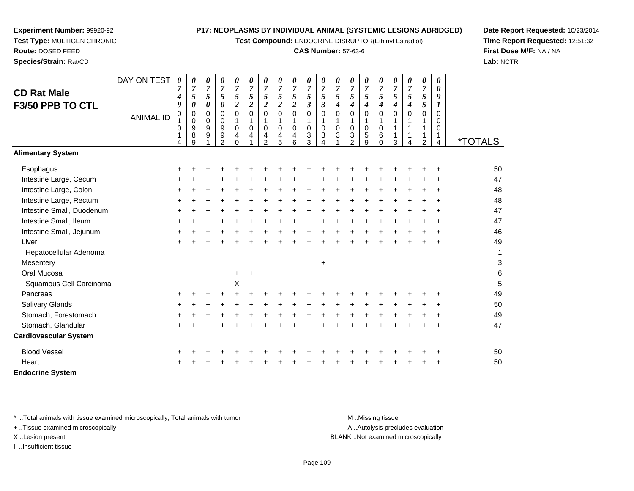**Test Compound:** ENDOCRINE DISRUPTOR(Ethinyl Estradiol)

#### **CAS Number:** 57-63-6

**Date Report Requested:** 10/23/2014**Time Report Requested:** 12:51:32**First Dose M/F:** NA / NA**Lab:** NCTR

|                              | DAY ON TEST      | 0                                | 0                     | 0                                         | 0                                            | 0                                      | 0                                | $\pmb{\theta}$                                         | 0                                                    | 0                                                  | 0                                                      | 0                     | 0                                                          | 0                                                   | 0                                       | 0                               | 0                                                    | 0                                  | 0                                                             | 0                            |                       |
|------------------------------|------------------|----------------------------------|-----------------------|-------------------------------------------|----------------------------------------------|----------------------------------------|----------------------------------|--------------------------------------------------------|------------------------------------------------------|----------------------------------------------------|--------------------------------------------------------|-----------------------|------------------------------------------------------------|-----------------------------------------------------|-----------------------------------------|---------------------------------|------------------------------------------------------|------------------------------------|---------------------------------------------------------------|------------------------------|-----------------------|
| <b>CD Rat Male</b>           |                  | 7<br>4                           | 7<br>5                | $\boldsymbol{7}$<br>5                     | $\overline{7}$<br>5                          | $\overline{7}$<br>5                    | $\overline{7}$<br>$\mathfrak{s}$ | $\boldsymbol{7}$<br>5                                  | $\overline{7}$<br>5                                  | $\overline{7}$<br>5                                | $\overline{7}$<br>5                                    | 7<br>5                | $\overline{7}$<br>$\sqrt{5}$                               | $\overline{7}$<br>5                                 | $\overline{7}$<br>5                     | $\overline{7}$<br>5             | $\boldsymbol{7}$<br>5                                | $\overline{7}$<br>5                | $\overline{7}$<br>5                                           | 0<br>9                       |                       |
| F3/50 PPB TO CTL             |                  | 9                                | 0                     | 0                                         | $\pmb{\theta}$                               | $\boldsymbol{2}$                       | $\boldsymbol{2}$                 | $\boldsymbol{2}$                                       | $\boldsymbol{2}$                                     | $\boldsymbol{2}$                                   | $\boldsymbol{\beta}$                                   | 3                     | $\boldsymbol{4}$                                           | 4                                                   | $\boldsymbol{4}$                        | 4                               | $\boldsymbol{4}$                                     | 4                                  | $\sqrt{5}$                                                    | 1                            |                       |
|                              | <b>ANIMAL ID</b> | $\,0\,$<br>0<br>$\mathbf 1$<br>4 | 0<br>0<br>9<br>8<br>9 | $\mathbf 0$<br>0<br>$\boldsymbol{9}$<br>9 | 0<br>$\mathbf 0$<br>9<br>9<br>$\overline{2}$ | $\mathbf 0$<br>1<br>0<br>4<br>$\Omega$ | $\mathbf 0$<br>1<br>0<br>4       | $\mathbf 0$<br>1<br>$\mathbf 0$<br>4<br>$\overline{2}$ | $\mathbf 0$<br>$\mathbf{1}$<br>$\mathbf 0$<br>4<br>5 | $\mathbf 0$<br>$\mathbf{1}$<br>$\pmb{0}$<br>4<br>6 | $\overline{0}$<br>1<br>$\mathbf 0$<br>$\mathsf 3$<br>3 | 0<br>$\mathbf 0$<br>3 | $\mathbf 0$<br>1<br>$\pmb{0}$<br>$\ensuremath{\mathsf{3}}$ | $\Omega$<br>1<br>$\mathbf 0$<br>3<br>$\overline{2}$ | 0<br>1<br>$\pmb{0}$<br>$\mathbf 5$<br>9 | 0<br>1<br>$\mathbf 0$<br>6<br>0 | $\mathbf 0$<br>1<br>$\mathbf 1$<br>$\mathbf{1}$<br>3 | $\Omega$<br>1<br>$\mathbf{1}$<br>4 | $\Omega$<br>1<br>$\mathbf 1$<br>$\mathbf 1$<br>$\overline{2}$ | $\Omega$<br>0<br>0<br>1<br>4 | <i><b>*TOTALS</b></i> |
| <b>Alimentary System</b>     |                  |                                  |                       |                                           |                                              |                                        |                                  |                                                        |                                                      |                                                    |                                                        |                       |                                                            |                                                     |                                         |                                 |                                                      |                                    |                                                               |                              |                       |
| Esophagus                    |                  | ٠                                |                       |                                           |                                              |                                        |                                  |                                                        |                                                      |                                                    |                                                        |                       |                                                            |                                                     |                                         |                                 |                                                      |                                    |                                                               |                              | 50                    |
| Intestine Large, Cecum       |                  |                                  |                       |                                           |                                              |                                        |                                  |                                                        |                                                      |                                                    |                                                        |                       |                                                            |                                                     |                                         |                                 |                                                      |                                    |                                                               |                              | 47                    |
| Intestine Large, Colon       |                  | +                                |                       |                                           |                                              |                                        |                                  |                                                        |                                                      |                                                    |                                                        |                       |                                                            |                                                     |                                         |                                 |                                                      |                                    |                                                               |                              | 48                    |
| Intestine Large, Rectum      |                  | ÷                                |                       |                                           |                                              |                                        |                                  |                                                        |                                                      |                                                    |                                                        |                       |                                                            |                                                     |                                         |                                 |                                                      |                                    |                                                               |                              | 48                    |
| Intestine Small, Duodenum    |                  | ÷                                |                       |                                           |                                              |                                        |                                  |                                                        |                                                      |                                                    |                                                        |                       |                                                            |                                                     |                                         |                                 |                                                      |                                    |                                                               |                              | 47                    |
| Intestine Small, Ileum       |                  | ÷                                |                       |                                           |                                              |                                        |                                  |                                                        |                                                      |                                                    |                                                        |                       |                                                            |                                                     |                                         |                                 |                                                      |                                    |                                                               |                              | 47                    |
| Intestine Small, Jejunum     |                  | ÷                                |                       |                                           |                                              |                                        |                                  |                                                        |                                                      |                                                    |                                                        |                       |                                                            |                                                     |                                         |                                 |                                                      |                                    |                                                               |                              | 46                    |
| Liver                        |                  |                                  |                       |                                           |                                              |                                        |                                  |                                                        |                                                      |                                                    |                                                        |                       |                                                            |                                                     |                                         |                                 |                                                      |                                    |                                                               |                              | 49                    |
| Hepatocellular Adenoma       |                  |                                  |                       |                                           |                                              |                                        |                                  |                                                        |                                                      |                                                    |                                                        |                       |                                                            |                                                     |                                         |                                 |                                                      |                                    |                                                               |                              | $\mathbf{1}$          |
| Mesentery                    |                  |                                  |                       |                                           |                                              |                                        |                                  |                                                        |                                                      |                                                    |                                                        | $\ddot{}$             |                                                            |                                                     |                                         |                                 |                                                      |                                    |                                                               |                              | 3                     |
| Oral Mucosa                  |                  |                                  |                       |                                           |                                              | +                                      | +                                |                                                        |                                                      |                                                    |                                                        |                       |                                                            |                                                     |                                         |                                 |                                                      |                                    |                                                               |                              | $6\phantom{1}6$       |
| Squamous Cell Carcinoma      |                  |                                  |                       |                                           |                                              | X                                      |                                  |                                                        |                                                      |                                                    |                                                        |                       |                                                            |                                                     |                                         |                                 |                                                      |                                    |                                                               |                              | 5                     |
| Pancreas                     |                  | ÷                                |                       |                                           |                                              |                                        |                                  |                                                        |                                                      |                                                    |                                                        |                       |                                                            |                                                     |                                         |                                 |                                                      |                                    |                                                               |                              | 49                    |
| <b>Salivary Glands</b>       |                  |                                  |                       |                                           |                                              |                                        |                                  |                                                        |                                                      |                                                    |                                                        |                       |                                                            |                                                     |                                         |                                 |                                                      |                                    |                                                               |                              | 50                    |
| Stomach, Forestomach         |                  |                                  |                       |                                           |                                              |                                        |                                  |                                                        |                                                      |                                                    |                                                        |                       |                                                            |                                                     |                                         |                                 |                                                      |                                    |                                                               |                              | 49                    |
| Stomach, Glandular           |                  |                                  |                       |                                           |                                              |                                        |                                  |                                                        |                                                      |                                                    |                                                        |                       |                                                            |                                                     |                                         |                                 |                                                      |                                    |                                                               |                              | 47                    |
| <b>Cardiovascular System</b> |                  |                                  |                       |                                           |                                              |                                        |                                  |                                                        |                                                      |                                                    |                                                        |                       |                                                            |                                                     |                                         |                                 |                                                      |                                    |                                                               |                              |                       |
| <b>Blood Vessel</b>          |                  |                                  |                       |                                           |                                              |                                        |                                  |                                                        |                                                      |                                                    |                                                        |                       |                                                            |                                                     |                                         |                                 |                                                      |                                    |                                                               |                              | 50                    |
| Heart                        |                  |                                  |                       |                                           |                                              |                                        |                                  |                                                        |                                                      |                                                    |                                                        |                       |                                                            |                                                     |                                         |                                 |                                                      |                                    |                                                               | ÷                            | 50                    |
| <b>Endocrine System</b>      |                  |                                  |                       |                                           |                                              |                                        |                                  |                                                        |                                                      |                                                    |                                                        |                       |                                                            |                                                     |                                         |                                 |                                                      |                                    |                                                               |                              |                       |

\* ..Total animals with tissue examined microscopically; Total animals with tumor **M** ...Missing tissue M ...Missing tissue

+ ..Tissue examined microscopically

**Experiment Number:** 99920-92**Test Type:** MULTIGEN CHRONIC

**Route:** DOSED FEED**Species/Strain:** Rat/CD

I ..Insufficient tissue

A ..Autolysis precludes evaluation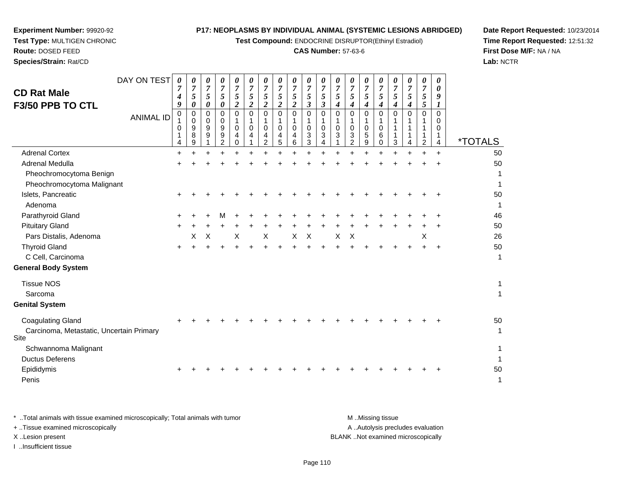**Test Compound:** ENDOCRINE DISRUPTOR(Ethinyl Estradiol)

# **CAS Number:** 57-63-6

**Date Report Requested:** 10/23/2014 **Time Report Requested:** 12:51:32**First Dose M/F:** NA / NA**Lab:** NCTR

**Experiment Number:** 99920-92

| DAY ON TEST<br><b>CD Rat Male</b><br>F3/50 PPB TO CTL<br><b>ANIMAL ID</b>    | 0<br>7<br>4<br>9<br>$\mathbf 0$<br>0<br>1<br>4 | 0<br>$\overline{7}$<br>5<br>0<br>0<br>0<br>9<br>8<br>9 | 0<br>$\overline{7}$<br>$\mathfrak{s}$<br>0<br>$\mathbf 0$<br>0<br>9<br>9 | 0<br>$\overline{7}$<br>5<br>$\boldsymbol{\theta}$<br>$\mathbf 0$<br>$\mathbf 0$<br>9<br>9<br>2 | 0<br>$\boldsymbol{7}$<br>$\sqrt{5}$<br>$\boldsymbol{2}$<br>$\Omega$<br>1<br>$\Omega$<br>4<br>$\Omega$ | 0<br>$\boldsymbol{7}$<br>5<br>$\boldsymbol{2}$<br>$\mathbf 0$<br>1<br>$\Omega$<br>4 | 0<br>$\boldsymbol{7}$<br>5<br>$\boldsymbol{2}$<br>$\mathbf 0$<br>1<br>0<br>4<br>$\overline{c}$ | 0<br>$\boldsymbol{7}$<br>$\mathfrak{s}$<br>$\overline{c}$<br>$\mathbf 0$<br>$\mathbf{1}$<br>$\mathbf 0$<br>4<br>5 | 0<br>$\boldsymbol{7}$<br>5<br>$\overline{2}$<br>$\mathbf 0$<br>$\mathbf{1}$<br>$\mathbf 0$<br>4<br>6 | 0<br>$\overline{7}$<br>$\sqrt{5}$<br>$\boldsymbol{\beta}$<br>$\mathbf 0$<br>1<br>$\Omega$<br>3<br>3 | 0<br>$\boldsymbol{7}$<br>5<br>$\mathfrak{z}$<br>$\mathbf 0$<br>1<br>$\Omega$<br>3<br>4 | 0<br>$\boldsymbol{7}$<br>5<br>4<br>0<br>1<br>$\mathbf 0$<br>3 | 0<br>$\overline{7}$<br>5<br>4<br>$\mathbf 0$<br>$\mathbf{1}$<br>$\mathbf 0$<br>3<br>$\overline{2}$ | 0<br>$\overline{7}$<br>5<br>$\boldsymbol{4}$<br>$\mathbf 0$<br>$\mathbf{1}$<br>$\mathbf 0$<br>5<br>9 | 0<br>$\boldsymbol{7}$<br>5<br>4<br>$\Omega$<br>1<br>$\Omega$<br>6<br>0 | 0<br>$\overline{7}$<br>$5\overline{)}$<br>4<br>$\Omega$<br>1<br>3 | 0<br>$\overline{7}$<br>5<br>4<br>0<br>1<br>1<br>1<br>4 | 0<br>$\overline{7}$<br>$\sqrt{5}$<br>5<br>$\mathbf 0$<br>1<br>$\mathbf 1$<br>1<br>$\overline{2}$ | 0<br>0<br>9<br>$\bm{l}$<br>0<br>$\Omega$<br>$\Omega$<br>1<br>4 | <i><b>*TOTALS</b></i> |
|------------------------------------------------------------------------------|------------------------------------------------|--------------------------------------------------------|--------------------------------------------------------------------------|------------------------------------------------------------------------------------------------|-------------------------------------------------------------------------------------------------------|-------------------------------------------------------------------------------------|------------------------------------------------------------------------------------------------|-------------------------------------------------------------------------------------------------------------------|------------------------------------------------------------------------------------------------------|-----------------------------------------------------------------------------------------------------|----------------------------------------------------------------------------------------|---------------------------------------------------------------|----------------------------------------------------------------------------------------------------|------------------------------------------------------------------------------------------------------|------------------------------------------------------------------------|-------------------------------------------------------------------|--------------------------------------------------------|--------------------------------------------------------------------------------------------------|----------------------------------------------------------------|-----------------------|
| <b>Adrenal Cortex</b>                                                        | $\ddot{}$                                      | $\ddot{}$                                              |                                                                          |                                                                                                |                                                                                                       |                                                                                     | $\ddot{}$                                                                                      |                                                                                                                   | $+$                                                                                                  |                                                                                                     |                                                                                        |                                                               |                                                                                                    | ÷                                                                                                    |                                                                        |                                                                   | $\ddot{}$                                              |                                                                                                  | $+$                                                            | 50                    |
| Adrenal Medulla                                                              |                                                |                                                        |                                                                          |                                                                                                |                                                                                                       |                                                                                     |                                                                                                |                                                                                                                   |                                                                                                      |                                                                                                     |                                                                                        |                                                               |                                                                                                    |                                                                                                      |                                                                        |                                                                   |                                                        |                                                                                                  |                                                                | 50                    |
| Pheochromocytoma Benign                                                      |                                                |                                                        |                                                                          |                                                                                                |                                                                                                       |                                                                                     |                                                                                                |                                                                                                                   |                                                                                                      |                                                                                                     |                                                                                        |                                                               |                                                                                                    |                                                                                                      |                                                                        |                                                                   |                                                        |                                                                                                  |                                                                |                       |
| Pheochromocytoma Malignant                                                   |                                                |                                                        |                                                                          |                                                                                                |                                                                                                       |                                                                                     |                                                                                                |                                                                                                                   |                                                                                                      |                                                                                                     |                                                                                        |                                                               |                                                                                                    |                                                                                                      |                                                                        |                                                                   |                                                        |                                                                                                  |                                                                |                       |
| Islets, Pancreatic<br>Adenoma                                                |                                                |                                                        |                                                                          |                                                                                                |                                                                                                       |                                                                                     |                                                                                                |                                                                                                                   |                                                                                                      |                                                                                                     |                                                                                        |                                                               |                                                                                                    |                                                                                                      |                                                                        |                                                                   |                                                        |                                                                                                  |                                                                | 50<br>1               |
| Parathyroid Gland                                                            |                                                |                                                        |                                                                          |                                                                                                |                                                                                                       |                                                                                     |                                                                                                |                                                                                                                   |                                                                                                      |                                                                                                     |                                                                                        |                                                               |                                                                                                    |                                                                                                      |                                                                        |                                                                   |                                                        |                                                                                                  |                                                                | 46                    |
| <b>Pituitary Gland</b>                                                       |                                                |                                                        |                                                                          |                                                                                                |                                                                                                       |                                                                                     |                                                                                                |                                                                                                                   |                                                                                                      |                                                                                                     |                                                                                        |                                                               |                                                                                                    |                                                                                                      |                                                                        |                                                                   |                                                        |                                                                                                  |                                                                | 50                    |
| Pars Distalis, Adenoma                                                       |                                                | х                                                      | X                                                                        |                                                                                                | X                                                                                                     |                                                                                     | $\times$                                                                                       |                                                                                                                   | X                                                                                                    | $\pmb{\times}$                                                                                      |                                                                                        | X                                                             | X                                                                                                  |                                                                                                      |                                                                        |                                                                   |                                                        | X                                                                                                |                                                                | 26                    |
| <b>Thyroid Gland</b>                                                         | $\pm$                                          |                                                        |                                                                          |                                                                                                |                                                                                                       |                                                                                     |                                                                                                |                                                                                                                   |                                                                                                      |                                                                                                     |                                                                                        |                                                               |                                                                                                    |                                                                                                      |                                                                        |                                                                   |                                                        |                                                                                                  | $\ddot{}$                                                      | 50                    |
| C Cell, Carcinoma                                                            |                                                |                                                        |                                                                          |                                                                                                |                                                                                                       |                                                                                     |                                                                                                |                                                                                                                   |                                                                                                      |                                                                                                     |                                                                                        |                                                               |                                                                                                    |                                                                                                      |                                                                        |                                                                   |                                                        |                                                                                                  |                                                                | 1                     |
| <b>General Body System</b>                                                   |                                                |                                                        |                                                                          |                                                                                                |                                                                                                       |                                                                                     |                                                                                                |                                                                                                                   |                                                                                                      |                                                                                                     |                                                                                        |                                                               |                                                                                                    |                                                                                                      |                                                                        |                                                                   |                                                        |                                                                                                  |                                                                |                       |
| <b>Tissue NOS</b><br>Sarcoma                                                 |                                                |                                                        |                                                                          |                                                                                                |                                                                                                       |                                                                                     |                                                                                                |                                                                                                                   |                                                                                                      |                                                                                                     |                                                                                        |                                                               |                                                                                                    |                                                                                                      |                                                                        |                                                                   |                                                        |                                                                                                  |                                                                | 1<br>1                |
| <b>Genital System</b>                                                        |                                                |                                                        |                                                                          |                                                                                                |                                                                                                       |                                                                                     |                                                                                                |                                                                                                                   |                                                                                                      |                                                                                                     |                                                                                        |                                                               |                                                                                                    |                                                                                                      |                                                                        |                                                                   |                                                        |                                                                                                  |                                                                |                       |
| <b>Coagulating Gland</b><br>Carcinoma, Metastatic, Uncertain Primary<br>Site |                                                |                                                        |                                                                          |                                                                                                |                                                                                                       |                                                                                     |                                                                                                |                                                                                                                   |                                                                                                      |                                                                                                     |                                                                                        |                                                               |                                                                                                    |                                                                                                      |                                                                        |                                                                   |                                                        |                                                                                                  |                                                                | 50<br>1               |
| Schwannoma Malignant<br><b>Ductus Deferens</b>                               |                                                |                                                        |                                                                          |                                                                                                |                                                                                                       |                                                                                     |                                                                                                |                                                                                                                   |                                                                                                      |                                                                                                     |                                                                                        |                                                               |                                                                                                    |                                                                                                      |                                                                        |                                                                   |                                                        |                                                                                                  |                                                                |                       |
| Epididymis<br>Penis                                                          |                                                |                                                        |                                                                          |                                                                                                |                                                                                                       |                                                                                     |                                                                                                |                                                                                                                   |                                                                                                      |                                                                                                     |                                                                                        |                                                               |                                                                                                    |                                                                                                      |                                                                        |                                                                   |                                                        |                                                                                                  |                                                                | 50<br>1               |

| Total animals with tissue examined microscopically; Total animals with tumor | M Missing tissue                   |
|------------------------------------------------------------------------------|------------------------------------|
| + Tissue examined microscopically                                            | A Autolysis precludes evaluation   |
| X Lesion present                                                             | BLANK Not examined microscopically |
| Insufficient tissue                                                          |                                    |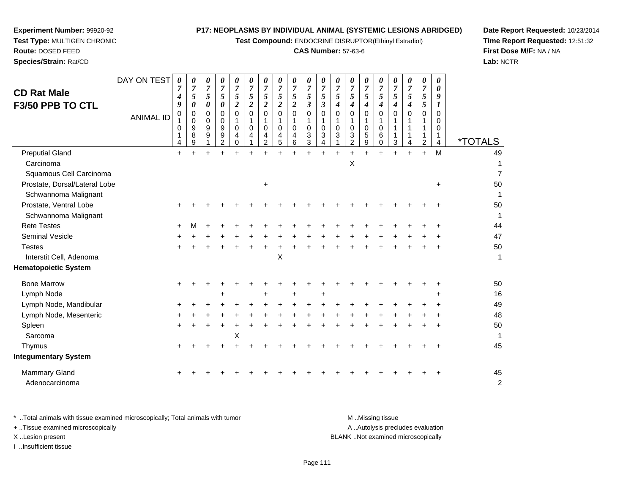**Test Compound:** ENDOCRINE DISRUPTOR(Ethinyl Estradiol)

#### **CAS Number:** 57-63-6

**Date Report Requested:** 10/23/2014**Time Report Requested:** 12:51:32**First Dose M/F:** NA / NA**Lab:** NCTR

| <b>CD Rat Male</b><br><b>F3/50 PPB TO CTL</b> | DAY ON TEST<br><b>ANIMAL ID</b> | 0<br>4<br>9<br>0<br>$\mathbf{1}$<br>0<br>4 | 0<br>7<br>5<br>0<br>0<br>$\mathbf 0$<br>9<br>8<br>9 | 0<br>$\overline{7}$<br>5<br>$\boldsymbol{\theta}$<br>$\mathbf 0$<br>$\mathbf 0$<br>9<br>9 | 0<br>$\overline{7}$<br>5<br>$\pmb{\theta}$<br>0<br>0<br>$\boldsymbol{9}$<br>9<br>$\overline{2}$ | 0<br>$\boldsymbol{7}$<br>5<br>$\overline{c}$<br>0<br>1<br>$\mathbf 0$<br>4<br>0 | 0<br>$\boldsymbol{7}$<br>$\sqrt{5}$<br>$\overline{c}$<br>$\Omega$<br>1<br>$\Omega$<br>4 | 0<br>$\overline{7}$<br>5<br>$\boldsymbol{2}$<br>$\Omega$<br>1<br>$\mathbf 0$<br>4<br>2 | 0<br>$\overline{7}$<br>5<br>$\boldsymbol{2}$<br>$\mathbf 0$<br>1<br>$\mathbf 0$<br>4<br>5 | 0<br>$\overline{7}$<br>5<br>$\boldsymbol{2}$<br>$\mathbf 0$<br>1<br>$\mathbf 0$<br>4<br>6 | 0<br>$\overline{7}$<br>5<br>$\boldsymbol{\beta}$<br>$\mathbf 0$<br>$\mathbf 0$<br>3<br>3 | 0<br>$\boldsymbol{7}$<br>5<br>$\boldsymbol{\beta}$<br>$\pmb{0}$<br>$\mathbf{1}$<br>$\pmb{0}$<br>3<br>4 | 0<br>$\overline{7}$<br>$\sqrt{5}$<br>$\boldsymbol{4}$<br>$\mathbf 0$<br>1<br>$\mathbf 0$<br>3 | 0<br>$\boldsymbol{7}$<br>5<br>$\boldsymbol{4}$<br>$\Omega$<br>$\mathbf{1}$<br>$\mathbf 0$<br>3<br>$\overline{2}$ | 0<br>$\overline{7}$<br>5<br>4<br>$\Omega$<br>1<br>0<br>5<br>9 | 0<br>$\overline{7}$<br>5<br>$\boldsymbol{4}$<br>$\mathbf 0$<br>1<br>$\mathbf 0$<br>6<br>$\mathbf 0$ | 0<br>7<br>5<br>4<br>$\Omega$<br>3 | 0<br>7<br>$\sqrt{5}$<br>$\boldsymbol{4}$<br>$\Omega$<br>4 | 0<br>$\overline{7}$<br>$\sqrt{5}$<br>$\mathfrak{s}$<br>$\mathbf 0$<br>1<br>$\mathbf{1}$<br>1<br>$\overline{c}$ | 0<br>0<br>9<br>1<br>$\Omega$<br>$\mathbf 0$<br>$\mathbf 0$<br>1<br>4 | <i><b>*TOTALS</b></i> |
|-----------------------------------------------|---------------------------------|--------------------------------------------|-----------------------------------------------------|-------------------------------------------------------------------------------------------|-------------------------------------------------------------------------------------------------|---------------------------------------------------------------------------------|-----------------------------------------------------------------------------------------|----------------------------------------------------------------------------------------|-------------------------------------------------------------------------------------------|-------------------------------------------------------------------------------------------|------------------------------------------------------------------------------------------|--------------------------------------------------------------------------------------------------------|-----------------------------------------------------------------------------------------------|------------------------------------------------------------------------------------------------------------------|---------------------------------------------------------------|-----------------------------------------------------------------------------------------------------|-----------------------------------|-----------------------------------------------------------|----------------------------------------------------------------------------------------------------------------|----------------------------------------------------------------------|-----------------------|
| <b>Preputial Gland</b>                        |                                 | $+$                                        |                                                     |                                                                                           |                                                                                                 |                                                                                 | ÷                                                                                       |                                                                                        |                                                                                           |                                                                                           |                                                                                          | $\ddot{}$                                                                                              |                                                                                               |                                                                                                                  |                                                               |                                                                                                     |                                   |                                                           | $\ddot{}$                                                                                                      | M                                                                    | 49                    |
| Carcinoma                                     |                                 |                                            |                                                     |                                                                                           |                                                                                                 |                                                                                 |                                                                                         |                                                                                        |                                                                                           |                                                                                           |                                                                                          |                                                                                                        |                                                                                               | Χ                                                                                                                |                                                               |                                                                                                     |                                   |                                                           |                                                                                                                |                                                                      | 1                     |
| Squamous Cell Carcinoma                       |                                 |                                            |                                                     |                                                                                           |                                                                                                 |                                                                                 |                                                                                         |                                                                                        |                                                                                           |                                                                                           |                                                                                          |                                                                                                        |                                                                                               |                                                                                                                  |                                                               |                                                                                                     |                                   |                                                           |                                                                                                                |                                                                      | $\overline{7}$        |
| Prostate, Dorsal/Lateral Lobe                 |                                 |                                            |                                                     |                                                                                           |                                                                                                 |                                                                                 |                                                                                         | $\ddot{}$                                                                              |                                                                                           |                                                                                           |                                                                                          |                                                                                                        |                                                                                               |                                                                                                                  |                                                               |                                                                                                     |                                   |                                                           |                                                                                                                | $\ddot{}$                                                            | 50                    |
| Schwannoma Malignant                          |                                 |                                            |                                                     |                                                                                           |                                                                                                 |                                                                                 |                                                                                         |                                                                                        |                                                                                           |                                                                                           |                                                                                          |                                                                                                        |                                                                                               |                                                                                                                  |                                                               |                                                                                                     |                                   |                                                           |                                                                                                                |                                                                      | 1                     |
| Prostate, Ventral Lobe                        |                                 |                                            |                                                     |                                                                                           |                                                                                                 |                                                                                 |                                                                                         |                                                                                        |                                                                                           |                                                                                           |                                                                                          |                                                                                                        |                                                                                               |                                                                                                                  |                                                               |                                                                                                     |                                   |                                                           |                                                                                                                |                                                                      | 50                    |
| Schwannoma Malignant                          |                                 |                                            |                                                     |                                                                                           |                                                                                                 |                                                                                 |                                                                                         |                                                                                        |                                                                                           |                                                                                           |                                                                                          |                                                                                                        |                                                                                               |                                                                                                                  |                                                               |                                                                                                     |                                   |                                                           |                                                                                                                |                                                                      | 1                     |
| <b>Rete Testes</b>                            |                                 |                                            |                                                     |                                                                                           |                                                                                                 |                                                                                 |                                                                                         |                                                                                        |                                                                                           |                                                                                           |                                                                                          |                                                                                                        |                                                                                               |                                                                                                                  |                                                               |                                                                                                     |                                   |                                                           |                                                                                                                |                                                                      | 44                    |
| Seminal Vesicle                               |                                 |                                            |                                                     |                                                                                           |                                                                                                 |                                                                                 |                                                                                         |                                                                                        |                                                                                           |                                                                                           |                                                                                          |                                                                                                        |                                                                                               |                                                                                                                  |                                                               |                                                                                                     |                                   |                                                           |                                                                                                                |                                                                      | 47                    |
| <b>Testes</b>                                 |                                 |                                            |                                                     |                                                                                           |                                                                                                 |                                                                                 |                                                                                         |                                                                                        |                                                                                           |                                                                                           |                                                                                          |                                                                                                        |                                                                                               |                                                                                                                  |                                                               |                                                                                                     |                                   |                                                           |                                                                                                                |                                                                      | 50                    |
| Interstit Cell, Adenoma                       |                                 |                                            |                                                     |                                                                                           |                                                                                                 |                                                                                 |                                                                                         |                                                                                        | Χ                                                                                         |                                                                                           |                                                                                          |                                                                                                        |                                                                                               |                                                                                                                  |                                                               |                                                                                                     |                                   |                                                           |                                                                                                                |                                                                      | $\mathbf{1}$          |
| <b>Hematopoietic System</b>                   |                                 |                                            |                                                     |                                                                                           |                                                                                                 |                                                                                 |                                                                                         |                                                                                        |                                                                                           |                                                                                           |                                                                                          |                                                                                                        |                                                                                               |                                                                                                                  |                                                               |                                                                                                     |                                   |                                                           |                                                                                                                |                                                                      |                       |
| <b>Bone Marrow</b>                            |                                 |                                            |                                                     |                                                                                           |                                                                                                 |                                                                                 |                                                                                         |                                                                                        |                                                                                           |                                                                                           |                                                                                          |                                                                                                        |                                                                                               |                                                                                                                  |                                                               |                                                                                                     |                                   |                                                           |                                                                                                                |                                                                      | 50                    |
| Lymph Node                                    |                                 |                                            |                                                     |                                                                                           | ÷                                                                                               |                                                                                 |                                                                                         |                                                                                        |                                                                                           |                                                                                           |                                                                                          | ÷                                                                                                      |                                                                                               |                                                                                                                  |                                                               |                                                                                                     |                                   |                                                           |                                                                                                                |                                                                      | 16                    |
| Lymph Node, Mandibular                        |                                 |                                            |                                                     |                                                                                           |                                                                                                 |                                                                                 |                                                                                         |                                                                                        |                                                                                           |                                                                                           |                                                                                          |                                                                                                        |                                                                                               |                                                                                                                  |                                                               |                                                                                                     |                                   |                                                           |                                                                                                                |                                                                      | 49                    |
| Lymph Node, Mesenteric                        |                                 |                                            |                                                     |                                                                                           |                                                                                                 |                                                                                 |                                                                                         |                                                                                        |                                                                                           |                                                                                           |                                                                                          |                                                                                                        |                                                                                               |                                                                                                                  |                                                               |                                                                                                     |                                   |                                                           |                                                                                                                |                                                                      | 48                    |
| Spleen                                        |                                 |                                            |                                                     |                                                                                           |                                                                                                 |                                                                                 |                                                                                         |                                                                                        |                                                                                           |                                                                                           |                                                                                          |                                                                                                        |                                                                                               |                                                                                                                  |                                                               |                                                                                                     |                                   |                                                           |                                                                                                                |                                                                      | 50                    |
| Sarcoma                                       |                                 |                                            |                                                     |                                                                                           |                                                                                                 | X                                                                               |                                                                                         |                                                                                        |                                                                                           |                                                                                           |                                                                                          |                                                                                                        |                                                                                               |                                                                                                                  |                                                               |                                                                                                     |                                   |                                                           |                                                                                                                |                                                                      | 1                     |
| Thymus                                        |                                 |                                            |                                                     |                                                                                           |                                                                                                 |                                                                                 |                                                                                         |                                                                                        |                                                                                           |                                                                                           |                                                                                          |                                                                                                        |                                                                                               |                                                                                                                  |                                                               |                                                                                                     |                                   |                                                           |                                                                                                                |                                                                      | 45                    |
| <b>Integumentary System</b>                   |                                 |                                            |                                                     |                                                                                           |                                                                                                 |                                                                                 |                                                                                         |                                                                                        |                                                                                           |                                                                                           |                                                                                          |                                                                                                        |                                                                                               |                                                                                                                  |                                                               |                                                                                                     |                                   |                                                           |                                                                                                                |                                                                      |                       |
| <b>Mammary Gland</b><br>Adenocarcinoma        |                                 |                                            |                                                     |                                                                                           |                                                                                                 |                                                                                 |                                                                                         |                                                                                        |                                                                                           |                                                                                           |                                                                                          |                                                                                                        |                                                                                               |                                                                                                                  |                                                               |                                                                                                     |                                   |                                                           |                                                                                                                |                                                                      | 45<br>$\overline{c}$  |

**Experiment Number:** 99920-92**Test Type:** MULTIGEN CHRONIC

**Route:** DOSED FEED**Species/Strain:** Rat/CD

\* ..Total animals with tissue examined microscopically; Total animals with tumor **M** . Missing tissue M ..Missing tissue A ..Autolysis precludes evaluation + ..Tissue examined microscopically X ..Lesion present BLANK ..Not examined microscopicallyI ..Insufficient tissue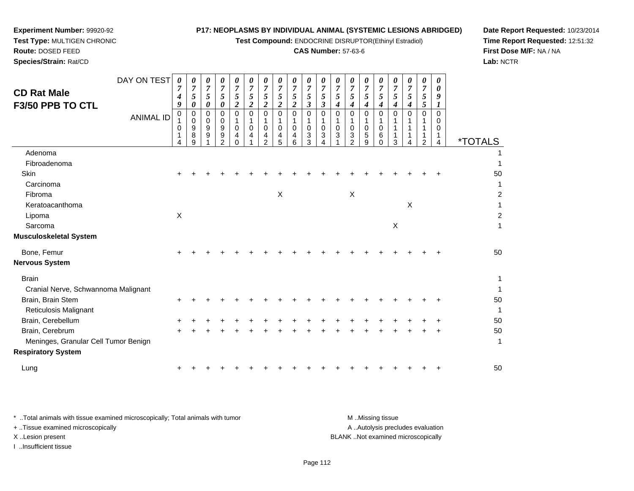**Test Compound:** ENDOCRINE DISRUPTOR(Ethinyl Estradiol)

# **CAS Number:** 57-63-6

**Date Report Requested:** 10/23/2014 **Time Report Requested:** 12:51:32**First Dose M/F:** NA / NA**Lab:** NCTR

| <b>CD Rat Male</b><br>F3/50 PPB TO CTL | DAY ON TEST      | 0<br>$\overline{7}$<br>$\boldsymbol{4}$<br>9 | 0<br>$\overline{7}$<br>5<br>0                  | 0<br>$\overline{7}$<br>5<br>0 | 0<br>$\overline{7}$<br>$\sqrt{5}$<br>0                                  | 0<br>$\overline{7}$<br>5<br>$\boldsymbol{2}$ | 0<br>$\overline{7}$<br>5<br>$\boldsymbol{2}$ | 0<br>$\overline{7}$<br>$\sqrt{5}$<br>$\boldsymbol{2}$               | 0<br>$\overline{7}$<br>5<br>$\overline{c}$ | 0<br>$\overline{7}$<br>$\overline{5}$<br>$\overline{c}$ | 0<br>$\overline{7}$<br>5<br>$\mathfrak{z}$ | 0<br>$\overline{7}$<br>$\mathfrak{s}$<br>$\boldsymbol{\beta}$ | 0<br>$\overline{7}$<br>5<br>4                   | $\overline{7}$<br>5<br>4             | 0<br>$\overline{7}$<br>$\overline{5}$<br>$\boldsymbol{4}$ | 0<br>$\overline{7}$<br>5<br>4                 | 0<br>$\overline{7}$<br>5<br>4 | 0<br>$\overline{7}$<br>5<br>4 | 0<br>$\overline{7}$<br>5<br>5 | 0<br>0<br>9<br>1                       |                       |
|----------------------------------------|------------------|----------------------------------------------|------------------------------------------------|-------------------------------|-------------------------------------------------------------------------|----------------------------------------------|----------------------------------------------|---------------------------------------------------------------------|--------------------------------------------|---------------------------------------------------------|--------------------------------------------|---------------------------------------------------------------|-------------------------------------------------|--------------------------------------|-----------------------------------------------------------|-----------------------------------------------|-------------------------------|-------------------------------|-------------------------------|----------------------------------------|-----------------------|
|                                        | <b>ANIMAL ID</b> | $\mathbf 0$<br>$\Omega$<br>Δ                 | 0<br>$\mathbf 0$<br>$\boldsymbol{9}$<br>8<br>9 | 0<br>0<br>9<br>9              | $\Omega$<br>0<br>$\boldsymbol{9}$<br>$\boldsymbol{9}$<br>$\overline{2}$ | $\Omega$<br>$\Omega$<br>4<br>$\Omega$        | $\Omega$<br>$\Omega$<br>4                    | $\mathbf 0$<br>1<br>$\mathbf 0$<br>$\overline{4}$<br>$\overline{2}$ | 0<br>$\mathbf 0$<br>4<br>5                 | 0<br>1<br>$\mathbf 0$<br>4<br>6                         | $\mathbf 0$<br>1<br>$\mathbf 0$<br>3<br>3  | $\Omega$<br>-1<br>$\Omega$<br>3<br>Δ                          | $\mathbf 0$<br>1<br>$\mathbf 0$<br>$\mathbf{3}$ | $\Omega$<br>0<br>3<br>$\overline{2}$ | $\Omega$<br>1<br>$\pmb{0}$<br>$\sqrt{5}$<br>9             | $\Omega$<br>1<br>$\mathbf 0$<br>6<br>$\Omega$ | $\Omega$<br>-1<br>3           | $\Omega$                      | $\Omega$<br>$\overline{2}$    | 0<br>$\Omega$<br>$\mathbf 0$<br>1<br>4 | <i><b>*TOTALS</b></i> |
| Adenoma                                |                  |                                              |                                                |                               |                                                                         |                                              |                                              |                                                                     |                                            |                                                         |                                            |                                                               |                                                 |                                      |                                                           |                                               |                               |                               |                               |                                        |                       |
| Fibroadenoma                           |                  |                                              |                                                |                               |                                                                         |                                              |                                              |                                                                     |                                            |                                                         |                                            |                                                               |                                                 |                                      |                                                           |                                               |                               |                               |                               |                                        |                       |
| Skin                                   |                  |                                              |                                                |                               |                                                                         |                                              |                                              |                                                                     |                                            |                                                         |                                            |                                                               |                                                 |                                      |                                                           |                                               |                               |                               |                               |                                        | 50                    |
| Carcinoma                              |                  |                                              |                                                |                               |                                                                         |                                              |                                              |                                                                     |                                            |                                                         |                                            |                                                               |                                                 |                                      |                                                           |                                               |                               |                               |                               |                                        | 1                     |
| Fibroma                                |                  |                                              |                                                |                               |                                                                         |                                              |                                              |                                                                     | $\times$                                   |                                                         |                                            |                                                               |                                                 | $\boldsymbol{\mathsf{X}}$            |                                                           |                                               |                               |                               |                               |                                        | $\overline{c}$        |
| Keratoacanthoma                        |                  |                                              |                                                |                               |                                                                         |                                              |                                              |                                                                     |                                            |                                                         |                                            |                                                               |                                                 |                                      |                                                           |                                               |                               | X                             |                               |                                        |                       |
| Lipoma                                 |                  | $\mathsf{X}$                                 |                                                |                               |                                                                         |                                              |                                              |                                                                     |                                            |                                                         |                                            |                                                               |                                                 |                                      |                                                           |                                               |                               |                               |                               |                                        | $\overline{c}$        |
| Sarcoma                                |                  |                                              |                                                |                               |                                                                         |                                              |                                              |                                                                     |                                            |                                                         |                                            |                                                               |                                                 |                                      |                                                           |                                               | X                             |                               |                               |                                        | $\mathbf{1}$          |
| <b>Musculoskeletal System</b>          |                  |                                              |                                                |                               |                                                                         |                                              |                                              |                                                                     |                                            |                                                         |                                            |                                                               |                                                 |                                      |                                                           |                                               |                               |                               |                               |                                        |                       |
| Bone, Femur                            |                  |                                              |                                                |                               |                                                                         |                                              |                                              |                                                                     |                                            |                                                         |                                            |                                                               |                                                 |                                      |                                                           |                                               |                               |                               |                               |                                        | 50                    |
| <b>Nervous System</b>                  |                  |                                              |                                                |                               |                                                                         |                                              |                                              |                                                                     |                                            |                                                         |                                            |                                                               |                                                 |                                      |                                                           |                                               |                               |                               |                               |                                        |                       |
| <b>Brain</b>                           |                  |                                              |                                                |                               |                                                                         |                                              |                                              |                                                                     |                                            |                                                         |                                            |                                                               |                                                 |                                      |                                                           |                                               |                               |                               |                               |                                        | 1                     |
| Cranial Nerve, Schwannoma Malignant    |                  |                                              |                                                |                               |                                                                         |                                              |                                              |                                                                     |                                            |                                                         |                                            |                                                               |                                                 |                                      |                                                           |                                               |                               |                               |                               |                                        |                       |
| Brain, Brain Stem                      |                  |                                              |                                                |                               |                                                                         |                                              |                                              |                                                                     |                                            |                                                         |                                            |                                                               |                                                 |                                      |                                                           |                                               |                               |                               |                               |                                        | 50                    |
| Reticulosis Malignant                  |                  |                                              |                                                |                               |                                                                         |                                              |                                              |                                                                     |                                            |                                                         |                                            |                                                               |                                                 |                                      |                                                           |                                               |                               |                               |                               |                                        | 1                     |
| Brain, Cerebellum                      |                  |                                              |                                                |                               |                                                                         |                                              |                                              |                                                                     |                                            |                                                         |                                            |                                                               |                                                 |                                      |                                                           |                                               |                               |                               |                               |                                        | 50                    |
| Brain, Cerebrum                        |                  |                                              |                                                |                               |                                                                         |                                              |                                              |                                                                     |                                            |                                                         |                                            |                                                               |                                                 |                                      |                                                           |                                               |                               |                               |                               |                                        | 50                    |
| Meninges, Granular Cell Tumor Benign   |                  |                                              |                                                |                               |                                                                         |                                              |                                              |                                                                     |                                            |                                                         |                                            |                                                               |                                                 |                                      |                                                           |                                               |                               |                               |                               |                                        | $\mathbf{1}$          |
| <b>Respiratory System</b>              |                  |                                              |                                                |                               |                                                                         |                                              |                                              |                                                                     |                                            |                                                         |                                            |                                                               |                                                 |                                      |                                                           |                                               |                               |                               |                               |                                        |                       |
| Lung                                   |                  |                                              |                                                |                               |                                                                         |                                              |                                              |                                                                     |                                            |                                                         |                                            |                                                               |                                                 |                                      |                                                           |                                               |                               |                               |                               |                                        | 50                    |
|                                        |                  |                                              |                                                |                               |                                                                         |                                              |                                              |                                                                     |                                            |                                                         |                                            |                                                               |                                                 |                                      |                                                           |                                               |                               |                               |                               |                                        |                       |

**Experiment Number:** 99920-92**Test Type:** MULTIGEN CHRONIC

| Total animals with tissue examined microscopically; Total animals with tumor | M Missing tissue                   |
|------------------------------------------------------------------------------|------------------------------------|
| + Tissue examined microscopically                                            | A Autolysis precludes evaluation   |
| X Lesion present                                                             | BLANK Not examined microscopically |
| …Insufficient tissue                                                         |                                    |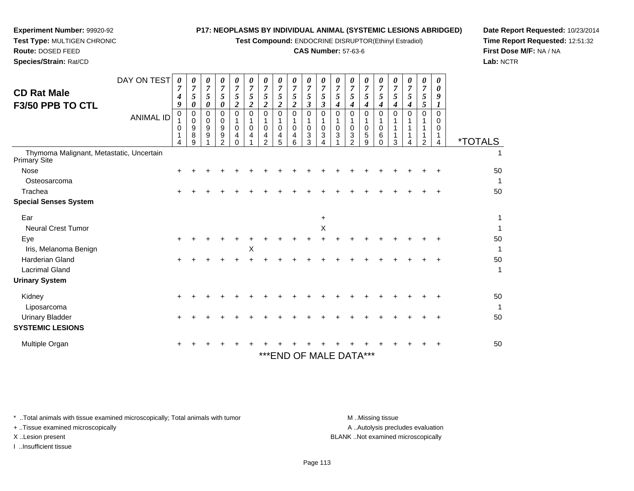**Test Compound:** ENDOCRINE DISRUPTOR(Ethinyl Estradiol)

## **CAS Number:** 57-63-6

**Date Report Requested:** 10/23/2014**Time Report Requested:** 12:51:32**First Dose M/F:** NA / NA**Lab:** NCTR

*0*

| <b>CD Rat Male</b><br>F3/50 PPB TO CTL                          | DAY ON TEST<br><b>ANIMAL ID</b> | 0<br>7<br>$\boldsymbol{4}$<br>9<br>0<br>0<br>4 | 0<br>$\overline{7}$<br>5<br>0<br>0<br>0<br>9<br>8<br>9 | $\overline{7}$<br>5<br>0<br>0<br>0<br>9<br>9 | 0<br>$\overline{7}$<br>5<br>0<br>0<br>0<br>9<br>9<br>$\mathcal{P}$ | 7<br>5<br>$\boldsymbol{2}$<br>$\Omega$<br>0<br>4<br>$\Omega$ | 0<br>$\overline{7}$<br>5<br>$\boldsymbol{2}$<br>$\Omega$<br>0<br>4 | U<br>$\overline{7}$<br>5<br>2<br>$\Omega$<br>0<br>4<br>$\mathcal{P}$ | 0<br>7<br>5<br>2<br>$\Omega$<br>$\mathbf 0$<br>4<br>5 | 0<br>$\overline{7}$<br>5<br>$\overline{\mathbf{2}}$<br>0<br>0<br>4<br>6 | U<br>$\overline{7}$<br>5<br>3<br>$\mathbf 0$<br>1<br>0<br>3<br>3 | U<br>7<br>5<br>3<br>$\Omega$<br>0<br>3 | $\overline{7}$<br>5<br>4<br>$\Omega$<br>0<br>3 | 7<br>5<br>4<br>$\Omega$<br>$\mathbf 0$<br>3<br>$\mathcal{P}$ | 0<br>5<br>4<br>$\Omega$<br>0<br>5<br>9 | 0<br>7<br>5<br>4<br>$\Omega$<br>0<br>6<br>0 | $\boldsymbol{\theta}$<br>$\overline{7}$<br>$\mathfrak{s}$<br>$\boldsymbol{4}$<br>$\Omega$<br>3 | 0<br>7<br>5<br>$\boldsymbol{4}$<br>$\Omega$ | 0<br>7<br>5<br>5<br>$\Omega$<br>2 | 0<br>0<br>9<br>$\Omega$<br>0<br>0 | <i><b>*TOTALS</b></i> |
|-----------------------------------------------------------------|---------------------------------|------------------------------------------------|--------------------------------------------------------|----------------------------------------------|--------------------------------------------------------------------|--------------------------------------------------------------|--------------------------------------------------------------------|----------------------------------------------------------------------|-------------------------------------------------------|-------------------------------------------------------------------------|------------------------------------------------------------------|----------------------------------------|------------------------------------------------|--------------------------------------------------------------|----------------------------------------|---------------------------------------------|------------------------------------------------------------------------------------------------|---------------------------------------------|-----------------------------------|-----------------------------------|-----------------------|
| Thymoma Malignant, Metastatic, Uncertain<br><b>Primary Site</b> |                                 |                                                |                                                        |                                              |                                                                    |                                                              |                                                                    |                                                                      |                                                       |                                                                         |                                                                  |                                        |                                                |                                                              |                                        |                                             |                                                                                                |                                             |                                   |                                   | 1                     |
| Nose                                                            |                                 | $\ddot{}$                                      |                                                        |                                              |                                                                    |                                                              |                                                                    |                                                                      |                                                       |                                                                         |                                                                  |                                        |                                                |                                                              |                                        |                                             |                                                                                                |                                             |                                   |                                   | 50                    |
| Osteosarcoma                                                    |                                 |                                                |                                                        |                                              |                                                                    |                                                              |                                                                    |                                                                      |                                                       |                                                                         |                                                                  |                                        |                                                |                                                              |                                        |                                             |                                                                                                |                                             |                                   |                                   | 1                     |
| Trachea                                                         |                                 | $\ddot{}$                                      |                                                        |                                              |                                                                    |                                                              |                                                                    |                                                                      |                                                       |                                                                         |                                                                  |                                        |                                                |                                                              |                                        |                                             |                                                                                                |                                             |                                   |                                   | 50                    |
| <b>Special Senses System</b>                                    |                                 |                                                |                                                        |                                              |                                                                    |                                                              |                                                                    |                                                                      |                                                       |                                                                         |                                                                  |                                        |                                                |                                                              |                                        |                                             |                                                                                                |                                             |                                   |                                   |                       |
| Ear                                                             |                                 |                                                |                                                        |                                              |                                                                    |                                                              |                                                                    |                                                                      |                                                       |                                                                         |                                                                  | $\ddot{}$                              |                                                |                                                              |                                        |                                             |                                                                                                |                                             |                                   |                                   | 1                     |
| <b>Neural Crest Tumor</b>                                       |                                 |                                                |                                                        |                                              |                                                                    |                                                              |                                                                    |                                                                      |                                                       |                                                                         |                                                                  | X                                      |                                                |                                                              |                                        |                                             |                                                                                                |                                             |                                   |                                   | 1                     |
| Eye<br>Iris, Melanoma Benign                                    |                                 | ÷                                              |                                                        |                                              |                                                                    |                                                              | X                                                                  |                                                                      |                                                       |                                                                         |                                                                  |                                        |                                                |                                                              |                                        |                                             |                                                                                                |                                             |                                   |                                   | 50<br>1               |
| Harderian Gland<br><b>Lacrimal Gland</b>                        |                                 | $\ddot{}$                                      |                                                        |                                              |                                                                    |                                                              |                                                                    |                                                                      |                                                       |                                                                         |                                                                  |                                        |                                                |                                                              |                                        |                                             |                                                                                                |                                             |                                   |                                   | 50<br>1               |
| <b>Urinary System</b>                                           |                                 |                                                |                                                        |                                              |                                                                    |                                                              |                                                                    |                                                                      |                                                       |                                                                         |                                                                  |                                        |                                                |                                                              |                                        |                                             |                                                                                                |                                             |                                   |                                   |                       |
| Kidney<br>Liposarcoma                                           |                                 |                                                |                                                        |                                              |                                                                    |                                                              |                                                                    |                                                                      |                                                       |                                                                         |                                                                  |                                        |                                                |                                                              |                                        |                                             |                                                                                                |                                             |                                   |                                   | 50                    |
| <b>Urinary Bladder</b><br><b>SYSTEMIC LESIONS</b>               |                                 |                                                |                                                        |                                              |                                                                    |                                                              |                                                                    |                                                                      |                                                       |                                                                         |                                                                  |                                        |                                                |                                                              |                                        |                                             |                                                                                                |                                             |                                   |                                   | 50                    |
| Multiple Organ                                                  |                                 |                                                |                                                        |                                              |                                                                    |                                                              |                                                                    |                                                                      |                                                       |                                                                         |                                                                  |                                        |                                                |                                                              |                                        |                                             |                                                                                                |                                             |                                   |                                   | 50                    |

**Experiment Number:** 99920-92**Test Type:** MULTIGEN CHRONIC

DAY ON TEST

**Route:** DOSED FEED**Species/Strain:** Rat/CD

# \*\*\*END OF MALE DATA\*\*\*

\* ..Total animals with tissue examined microscopically; Total animals with tumor **M** ..Missing tissue M ..Missing tissue A .. Autolysis precludes evaluation + ..Tissue examined microscopically X ..Lesion present BLANK ..Not examined microscopicallyI ..Insufficient tissue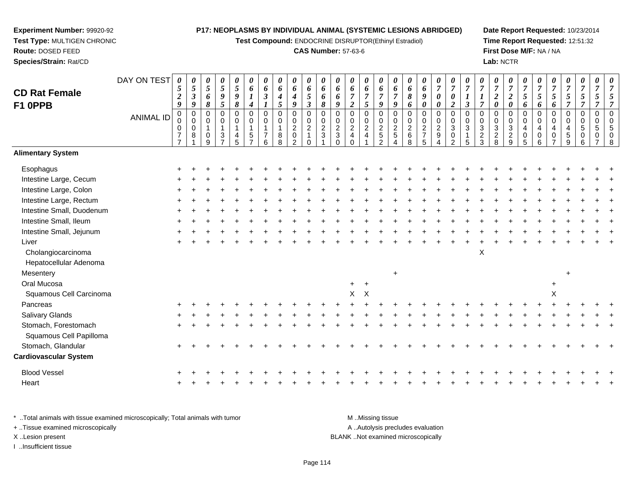**Test Compound:** ENDOCRINE DISRUPTOR(Ethinyl Estradiol)

#### **CAS Number:** 57-63-6

**Date Report Requested:** 10/23/2014**Time Report Requested:** 12:51:32**First Dose M/F:** NA / NA**Lab:** NCTR

#### DAY ON TEST**CD Rat FemaleF1 0PPB**ANIMAL ID*0 5 2 9* 0 0 0 7 7*0 5 3 9* 0 0 0 8 1*0 5 6 8* 0 0 1 0 9*0 5 9 5* 0 0 1 3 7*0 5 9 8* 0 0 1 4 5*0 6 1 4* 0 0 1 5 7*0 6 3 1* 0 0 1 7 6*0 6 4 5* 0 0 1 8 8*0 6 4 9* 0 0 2 0 2*0 6 5 3* 0 0 2 1 0*0 6 6 8* 0 0 2 3 1*0 6 6 9* 0 0 2 3 0*0 6 7 2* 0 0 2 4 0*0 6 7 5* 0 0 2 4 1*0 6 7 9* 0 0 2 5 2*0 6 7 9* 0 0 2 5 4*0 6 8 6* 0 0 2 6 8*0 6 9 0* 0 0 2 7 5*0 7 0 0* 0 0 2 9 4*0 7 0 2* 0 0 3 0 2*0 7 1 3* 0 0 3 1 5*0 7 1 7* 0 0 3 2 3*0 7 2 0* 0 0 3 2 8*0 7 2 0* 0 0 3 2 9*0 7 5 6* 0 0 4 0 5*0 7 5 6* 0 0 4 0 6*0 7 5 6* 0 0 4 0 7*0 7 5 7* 0 0 4 5 9*0 7 5 7* 0 0 5 0 6*0 7 5 7* 0 0 5 0 7*0 7 5 7* 0 0 5 0 8**Alimentary SystemEsophagus**  $\mathsf{S}$  + <sup>+</sup> <sup>+</sup> <sup>+</sup> <sup>+</sup> <sup>+</sup> <sup>+</sup> <sup>+</sup> <sup>+</sup> <sup>+</sup> <sup>+</sup> <sup>+</sup> <sup>+</sup> <sup>+</sup> <sup>+</sup> <sup>+</sup> <sup>+</sup> <sup>+</sup> <sup>+</sup> <sup>+</sup> <sup>+</sup> <sup>+</sup> <sup>+</sup> <sup>+</sup> <sup>+</sup> <sup>+</sup> <sup>+</sup> <sup>+</sup> <sup>+</sup> <sup>+</sup> <sup>+</sup> Intestine Large, Cecum <sup>+</sup> <sup>+</sup> <sup>+</sup> <sup>+</sup> <sup>+</sup> <sup>+</sup> <sup>+</sup> <sup>+</sup> <sup>+</sup> <sup>+</sup> <sup>+</sup> <sup>+</sup> <sup>+</sup> <sup>+</sup> <sup>+</sup> <sup>+</sup> <sup>+</sup> <sup>+</sup> <sup>+</sup> <sup>+</sup> <sup>+</sup> <sup>+</sup> <sup>+</sup> <sup>+</sup> <sup>+</sup> <sup>+</sup> <sup>+</sup> <sup>+</sup> <sup>+</sup> <sup>+</sup> <sup>+</sup> Intestine Large, Colon $\mathsf{n}$  + <sup>+</sup> <sup>+</sup> <sup>+</sup> <sup>+</sup> <sup>+</sup> <sup>+</sup> <sup>+</sup> <sup>+</sup> <sup>+</sup> <sup>+</sup> <sup>+</sup> <sup>+</sup> <sup>+</sup> <sup>+</sup> <sup>+</sup> <sup>+</sup> <sup>+</sup> <sup>+</sup> <sup>+</sup> <sup>+</sup> <sup>+</sup> <sup>+</sup> <sup>+</sup> <sup>+</sup> <sup>+</sup> <sup>+</sup> <sup>+</sup> <sup>+</sup> <sup>+</sup> <sup>+</sup> Intestine Large, Rectum <sup>+</sup> <sup>+</sup> <sup>+</sup> <sup>+</sup> <sup>+</sup> <sup>+</sup> <sup>+</sup> <sup>+</sup> <sup>+</sup> <sup>+</sup> <sup>+</sup> <sup>+</sup> <sup>+</sup> <sup>+</sup> <sup>+</sup> <sup>+</sup> <sup>+</sup> <sup>+</sup> <sup>+</sup> <sup>+</sup> <sup>+</sup> <sup>+</sup> <sup>+</sup> <sup>+</sup> <sup>+</sup> <sup>+</sup> <sup>+</sup> <sup>+</sup> <sup>+</sup> <sup>+</sup> <sup>+</sup> Intestine Small, Duodenum <sup>+</sup> <sup>+</sup> <sup>+</sup> <sup>+</sup> <sup>+</sup> <sup>+</sup> <sup>+</sup> <sup>+</sup> <sup>+</sup> <sup>+</sup> <sup>+</sup> <sup>+</sup> <sup>+</sup> <sup>+</sup> <sup>+</sup> <sup>+</sup> <sup>+</sup> <sup>+</sup> <sup>+</sup> <sup>+</sup> <sup>+</sup> <sup>+</sup> <sup>+</sup> <sup>+</sup> <sup>+</sup> <sup>+</sup> <sup>+</sup> <sup>+</sup> <sup>+</sup> <sup>+</sup> <sup>+</sup> Intestine Small, Ileum <sup>+</sup> <sup>+</sup> <sup>+</sup> <sup>+</sup> <sup>+</sup> <sup>+</sup> <sup>+</sup> <sup>+</sup> <sup>+</sup> <sup>+</sup> <sup>+</sup> <sup>+</sup> <sup>+</sup> <sup>+</sup> <sup>+</sup> <sup>+</sup> <sup>+</sup> <sup>+</sup> <sup>+</sup> <sup>+</sup> <sup>+</sup> <sup>+</sup> <sup>+</sup> <sup>+</sup> <sup>+</sup> <sup>+</sup> <sup>+</sup> <sup>+</sup> <sup>+</sup> <sup>+</sup> <sup>+</sup> Intestine Small, Jejunum <sup>+</sup> <sup>+</sup> <sup>+</sup> <sup>+</sup> <sup>+</sup> <sup>+</sup> <sup>+</sup> <sup>+</sup> <sup>+</sup> <sup>+</sup> <sup>+</sup> <sup>+</sup> <sup>+</sup> <sup>+</sup> <sup>+</sup> <sup>+</sup> <sup>+</sup> <sup>+</sup> <sup>+</sup> <sup>+</sup> <sup>+</sup> <sup>+</sup> <sup>+</sup> <sup>+</sup> <sup>+</sup> <sup>+</sup> <sup>+</sup> <sup>+</sup> <sup>+</sup> <sup>+</sup> <sup>+</sup> Liver $\mathsf{r}$  + <sup>+</sup> <sup>+</sup> <sup>+</sup> <sup>+</sup> <sup>+</sup> <sup>+</sup> <sup>+</sup> <sup>+</sup> <sup>+</sup> <sup>+</sup> <sup>+</sup> <sup>+</sup> <sup>+</sup> <sup>+</sup> <sup>+</sup> <sup>+</sup> <sup>+</sup> <sup>+</sup> <sup>+</sup> <sup>+</sup> <sup>+</sup> <sup>+</sup> <sup>+</sup> <sup>+</sup> <sup>+</sup> <sup>+</sup> <sup>+</sup> <sup>+</sup> <sup>+</sup> <sup>+</sup> Cholangiocarcinoma $\alpha$ Hepatocellular AdenomaMesentery $\mathsf y$  <sup>+</sup> Oral Mucosa $\overline{a}$  a <sup>+</sup> <sup>+</sup> Squamous Cell Carcinoma $\alpha$  $X$  X  $X$ Pancreas <sup>+</sup> <sup>+</sup> <sup>+</sup> <sup>+</sup> <sup>+</sup> <sup>+</sup> <sup>+</sup> <sup>+</sup> <sup>+</sup> <sup>+</sup> <sup>+</sup> <sup>+</sup> <sup>+</sup> <sup>+</sup> <sup>+</sup> <sup>+</sup> <sup>+</sup> <sup>+</sup> <sup>+</sup> <sup>+</sup> <sup>+</sup> <sup>+</sup> <sup>+</sup> <sup>+</sup> <sup>+</sup> <sup>+</sup> <sup>+</sup> <sup>+</sup> <sup>+</sup> <sup>+</sup> <sup>+</sup> Salivary Glands $\sim$   $\sim$   $\sim$   $\sim$   $\sim$   $\sim$  <sup>+</sup> <sup>+</sup> <sup>+</sup> <sup>+</sup> <sup>+</sup> <sup>+</sup> <sup>+</sup> <sup>+</sup> <sup>+</sup> <sup>+</sup> <sup>+</sup> <sup>+</sup> <sup>+</sup> <sup>+</sup> <sup>+</sup> <sup>+</sup> <sup>+</sup> <sup>+</sup> <sup>+</sup> <sup>+</sup> <sup>+</sup> <sup>+</sup> <sup>+</sup> <sup>+</sup> <sup>+</sup> <sup>+</sup> <sup>+</sup> <sup>+</sup> <sup>+</sup> <sup>+</sup> Stomach, Forestomach $h \rightarrow$  <sup>+</sup> <sup>+</sup> <sup>+</sup> <sup>+</sup> <sup>+</sup> <sup>+</sup> <sup>+</sup> <sup>+</sup> <sup>+</sup> <sup>+</sup> <sup>+</sup> <sup>+</sup> <sup>+</sup> <sup>+</sup> <sup>+</sup> <sup>+</sup> <sup>+</sup> <sup>+</sup> <sup>+</sup> <sup>+</sup> <sup>+</sup> <sup>+</sup> <sup>+</sup> <sup>+</sup> <sup>+</sup> <sup>+</sup> <sup>+</sup> <sup>+</sup> <sup>+</sup> <sup>+</sup> Squamous Cell PapillomaStomach, Glandular $\mathsf{r}$  + <sup>+</sup> <sup>+</sup> <sup>+</sup> <sup>+</sup> <sup>+</sup> <sup>+</sup> <sup>+</sup> <sup>+</sup> <sup>+</sup> <sup>+</sup> <sup>+</sup> <sup>+</sup> <sup>+</sup> <sup>+</sup> <sup>+</sup> <sup>+</sup> <sup>+</sup> <sup>+</sup> <sup>+</sup> <sup>+</sup> <sup>+</sup> <sup>+</sup> <sup>+</sup> <sup>+</sup> <sup>+</sup> <sup>+</sup> <sup>+</sup> <sup>+</sup> <sup>+</sup> <sup>+</sup> **Cardiovascular System**Blood Vessel $\mathbf{+}$  <sup>+</sup> <sup>+</sup> <sup>+</sup> <sup>+</sup> <sup>+</sup> <sup>+</sup> <sup>+</sup> <sup>+</sup> <sup>+</sup> <sup>+</sup> <sup>+</sup> <sup>+</sup> <sup>+</sup> <sup>+</sup> <sup>+</sup> <sup>+</sup> <sup>+</sup> <sup>+</sup> <sup>+</sup> <sup>+</sup> <sup>+</sup> <sup>+</sup> <sup>+</sup> <sup>+</sup> <sup>+</sup> <sup>+</sup> <sup>+</sup> <sup>+</sup> <sup>+</sup> <sup>+</sup> Heart

\* ..Total animals with tissue examined microscopically; Total animals with tumor M ...Total animals with tumor A ..Autolysis precludes evaluation + ..Tissue examined microscopically X ..Lesion present BLANK ..Not examined microscopicallyI ..Insufficient tissue

**Experiment Number:** 99920-92**Test Type:** MULTIGEN CHRONIC

<sup>+</sup>

**Route:** DOSED FEED**Species/Strain:** Rat/CD

<sup>+</sup> <sup>+</sup> <sup>+</sup> <sup>+</sup> <sup>+</sup> <sup>+</sup> <sup>+</sup> <sup>+</sup> <sup>+</sup> <sup>+</sup> <sup>+</sup> <sup>+</sup> <sup>+</sup> <sup>+</sup> <sup>+</sup> <sup>+</sup> <sup>+</sup> <sup>+</sup> <sup>+</sup> <sup>+</sup> <sup>+</sup> <sup>+</sup> <sup>+</sup> <sup>+</sup> <sup>+</sup> <sup>+</sup> <sup>+</sup> <sup>+</sup> <sup>+</sup> <sup>+</sup>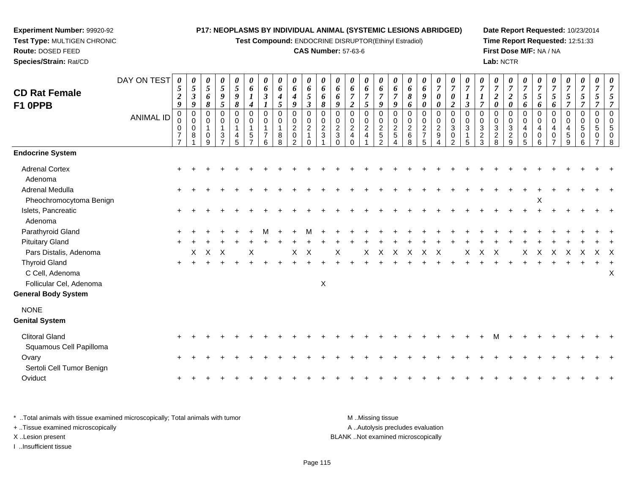**Test Compound:** ENDOCRINE DISRUPTOR(Ethinyl Estradiol)

#### **CAS Number:** 57-63-6

**Date Report Requested:** 10/23/2014**Time Report Requested:** 12:51:33**First Dose M/F:** NA / NA**Lab:** NCTR

| <b>CD Rat Female</b><br>F1 0PPB                                                                                            | DAY ON TEST<br><b>ANIMAL ID</b> | 0<br>$\mathfrak{s}$<br>$\boldsymbol{2}$<br>9<br>0<br>$\mathbf 0$<br>$\mathbf 0$<br>$\overline{7}$<br>$\overline{7}$ | 0<br>$\overline{5}$<br>$\boldsymbol{\beta}$<br>9<br>$\mathbf 0$<br>$\mathbf 0$<br>$\mathbf 0$<br>8 | 0<br>5<br>6<br>8<br>0<br>0<br>1<br>$\Omega$<br>9 | $\pmb{\theta}$<br>$\sqrt{5}$<br>9<br>5<br>0<br>0<br>$\mathbf{1}$<br>3<br>$\overline{ }$ | 0<br>$\sqrt{5}$<br>9<br>$\pmb{8}$<br>$\mathbf 0$<br>$\mathbf 0$<br>$\mathbf{1}$<br>4<br>5 | 0<br>6<br>$\boldsymbol{l}$<br>4<br>$\mathbf 0$<br>0<br>$\overline{1}$<br>5<br>$\overline{ }$ | 0<br>6<br>$\boldsymbol{\beta}$<br>$\mathbf 0$<br>$\Omega$<br>6 | 0<br>6<br>4<br>5<br>0<br>$\Omega$<br>1<br>8<br>8 | 0<br>6<br>$\boldsymbol{4}$<br>9<br>$\pmb{0}$<br>0<br>$\overline{c}$<br>0<br>2 | $\pmb{\theta}$<br>6<br>5<br>$\mathfrak{z}$<br>$\pmb{0}$<br>$\pmb{0}$<br>$\overline{c}$<br>$\mathbf{1}$<br>$\Omega$ | 0<br>6<br>6<br>$\pmb{8}$<br>0<br>$\mathbf 0$<br>$\overline{2}$<br>3 | 0<br>6<br>6<br>9<br>$\mathbf 0$<br>$\mathbf 0$<br>$\overline{2}$<br>3<br>$\Omega$ | 0<br>6<br>$\overline{2}$<br>0<br>$\Omega$<br>$\overline{a}$<br>4 | $\pmb{\theta}$<br>6<br>$\boldsymbol{7}$<br>5<br>$\pmb{0}$<br>$\pmb{0}$<br>$\overline{c}$<br>$\overline{4}$ | 0<br>6<br>$\overline{7}$<br>9<br>$\pmb{0}$<br>$\pmb{0}$<br>$\sqrt{2}$<br>$\,$ 5 $\,$<br>2 | 0<br>6<br>$\overline{7}$<br>9<br>0<br>$\mathbf 0$<br>$\overline{2}$<br>$\sqrt{5}$<br>4 | 0<br>6<br>8<br>6<br>$\mathbf 0$<br>$\Omega$<br>$\overline{2}$<br>6<br>8 | 0<br>6<br>9<br>0<br>0<br>$\mathbf 0$<br>$\overline{2}$<br>$\overline{7}$<br>5 | $\pmb{\theta}$<br>$\boldsymbol{7}$<br>$\pmb{\theta}$<br>$\pmb{\theta}$<br>$\,0\,$<br>$\pmb{0}$<br>$\overline{c}$<br>9<br>$\overline{\mathbf{4}}$ | $\pmb{\theta}$<br>$\overline{7}$<br>$\pmb{\theta}$<br>$\overline{2}$<br>$\pmb{0}$<br>$\mathbf 0$<br>$\sqrt{3}$<br>$\pmb{0}$<br>2 | 0<br>$\overline{7}$<br>$\boldsymbol{l}$<br>$\boldsymbol{\beta}$<br>0<br>$\Omega$<br>3<br>5 | 0<br>$\overline{7}$<br>$\overline{7}$<br>$\mathbf 0$<br>$\Omega$<br>3<br>$\overline{\mathbf{c}}$<br>3 | 0<br>$\overline{7}$<br>$\boldsymbol{2}$<br>0<br>$\mathbf 0$<br>$\Omega$<br>$\mathbf{3}$<br>$\overline{c}$<br>8 | $\pmb{\theta}$<br>$\overline{7}$<br>$\boldsymbol{2}$<br>$\pmb{\theta}$<br>0<br>0<br>$\ensuremath{\mathsf{3}}$<br>$\frac{2}{9}$ | 0<br>$\overline{7}$<br>5<br>6<br>$\mathbf 0$<br>$\mathbf 0$<br>$\overline{4}$<br>0<br>5 | 0<br>$\overline{7}$<br>$\mathfrak{s}$<br>6<br>0<br>$\Omega$<br>$\overline{4}$<br>0<br>6 | $\overline{7}$<br>5<br>6<br>$\Omega$<br>$\Omega$<br>$\overline{4}$<br>$\Omega$ | 0<br>$\overline{7}$<br>5<br>$\overline{\tau}$<br>0<br>$\Omega$<br>4<br>5<br>9 | 0<br>$\overline{7}$<br>5<br>$\overline{7}$<br>0<br>0<br>5<br>0<br>6 | 0<br>$\overline{7}$<br>5<br>$\boldsymbol{0}$<br>$\mathbf 0$<br>5<br>0 |   |
|----------------------------------------------------------------------------------------------------------------------------|---------------------------------|---------------------------------------------------------------------------------------------------------------------|----------------------------------------------------------------------------------------------------|--------------------------------------------------|-----------------------------------------------------------------------------------------|-------------------------------------------------------------------------------------------|----------------------------------------------------------------------------------------------|----------------------------------------------------------------|--------------------------------------------------|-------------------------------------------------------------------------------|--------------------------------------------------------------------------------------------------------------------|---------------------------------------------------------------------|-----------------------------------------------------------------------------------|------------------------------------------------------------------|------------------------------------------------------------------------------------------------------------|-------------------------------------------------------------------------------------------|----------------------------------------------------------------------------------------|-------------------------------------------------------------------------|-------------------------------------------------------------------------------|--------------------------------------------------------------------------------------------------------------------------------------------------|----------------------------------------------------------------------------------------------------------------------------------|--------------------------------------------------------------------------------------------|-------------------------------------------------------------------------------------------------------|----------------------------------------------------------------------------------------------------------------|--------------------------------------------------------------------------------------------------------------------------------|-----------------------------------------------------------------------------------------|-----------------------------------------------------------------------------------------|--------------------------------------------------------------------------------|-------------------------------------------------------------------------------|---------------------------------------------------------------------|-----------------------------------------------------------------------|---|
| <b>Endocrine System</b>                                                                                                    |                                 |                                                                                                                     |                                                                                                    |                                                  |                                                                                         |                                                                                           |                                                                                              |                                                                |                                                  |                                                                               |                                                                                                                    |                                                                     |                                                                                   |                                                                  |                                                                                                            |                                                                                           |                                                                                        |                                                                         |                                                                               |                                                                                                                                                  |                                                                                                                                  |                                                                                            |                                                                                                       |                                                                                                                |                                                                                                                                |                                                                                         |                                                                                         |                                                                                |                                                                               |                                                                     |                                                                       |   |
| <b>Adrenal Cortex</b><br>Adenoma                                                                                           |                                 |                                                                                                                     |                                                                                                    |                                                  |                                                                                         |                                                                                           |                                                                                              |                                                                |                                                  |                                                                               |                                                                                                                    |                                                                     |                                                                                   |                                                                  |                                                                                                            |                                                                                           |                                                                                        |                                                                         |                                                                               |                                                                                                                                                  |                                                                                                                                  |                                                                                            |                                                                                                       |                                                                                                                |                                                                                                                                |                                                                                         |                                                                                         |                                                                                |                                                                               |                                                                     |                                                                       |   |
| <b>Adrenal Medulla</b><br>Pheochromocytoma Benign                                                                          |                                 |                                                                                                                     |                                                                                                    |                                                  |                                                                                         |                                                                                           |                                                                                              |                                                                |                                                  |                                                                               |                                                                                                                    |                                                                     |                                                                                   |                                                                  |                                                                                                            |                                                                                           |                                                                                        |                                                                         |                                                                               |                                                                                                                                                  |                                                                                                                                  |                                                                                            |                                                                                                       |                                                                                                                |                                                                                                                                |                                                                                         | X                                                                                       |                                                                                |                                                                               |                                                                     |                                                                       |   |
| Islets, Pancreatic<br>Adenoma                                                                                              |                                 |                                                                                                                     |                                                                                                    |                                                  |                                                                                         |                                                                                           |                                                                                              |                                                                |                                                  |                                                                               |                                                                                                                    |                                                                     |                                                                                   |                                                                  |                                                                                                            |                                                                                           |                                                                                        |                                                                         |                                                                               |                                                                                                                                                  |                                                                                                                                  |                                                                                            |                                                                                                       |                                                                                                                |                                                                                                                                |                                                                                         |                                                                                         |                                                                                |                                                                               |                                                                     |                                                                       |   |
| Parathyroid Gland                                                                                                          |                                 |                                                                                                                     |                                                                                                    |                                                  |                                                                                         |                                                                                           |                                                                                              |                                                                |                                                  |                                                                               |                                                                                                                    |                                                                     |                                                                                   |                                                                  |                                                                                                            |                                                                                           |                                                                                        |                                                                         |                                                                               |                                                                                                                                                  |                                                                                                                                  |                                                                                            |                                                                                                       |                                                                                                                |                                                                                                                                |                                                                                         |                                                                                         |                                                                                |                                                                               |                                                                     |                                                                       |   |
| <b>Pituitary Gland</b>                                                                                                     |                                 |                                                                                                                     |                                                                                                    |                                                  |                                                                                         |                                                                                           |                                                                                              |                                                                |                                                  |                                                                               |                                                                                                                    |                                                                     |                                                                                   |                                                                  |                                                                                                            |                                                                                           |                                                                                        |                                                                         |                                                                               |                                                                                                                                                  |                                                                                                                                  |                                                                                            |                                                                                                       |                                                                                                                |                                                                                                                                |                                                                                         |                                                                                         |                                                                                |                                                                               |                                                                     |                                                                       |   |
| Pars Distalis, Adenoma<br><b>Thyroid Gland</b><br>C Cell, Adenoma<br>Follicular Cel, Adenoma<br><b>General Body System</b> |                                 | $\ddot{}$                                                                                                           | Χ                                                                                                  | X                                                | $\times$                                                                                |                                                                                           | X                                                                                            |                                                                |                                                  | X                                                                             | X                                                                                                                  | $\boldsymbol{\mathsf{X}}$                                           | Χ                                                                                 |                                                                  | X                                                                                                          | X                                                                                         | X                                                                                      |                                                                         | Χ                                                                             | X                                                                                                                                                |                                                                                                                                  | Χ                                                                                          |                                                                                                       |                                                                                                                |                                                                                                                                | Х                                                                                       |                                                                                         |                                                                                |                                                                               |                                                                     | X                                                                     | Χ |
| <b>NONE</b><br><b>Genital System</b>                                                                                       |                                 |                                                                                                                     |                                                                                                    |                                                  |                                                                                         |                                                                                           |                                                                                              |                                                                |                                                  |                                                                               |                                                                                                                    |                                                                     |                                                                                   |                                                                  |                                                                                                            |                                                                                           |                                                                                        |                                                                         |                                                                               |                                                                                                                                                  |                                                                                                                                  |                                                                                            |                                                                                                       |                                                                                                                |                                                                                                                                |                                                                                         |                                                                                         |                                                                                |                                                                               |                                                                     |                                                                       |   |
| <b>Clitoral Gland</b><br>Squamous Cell Papilloma                                                                           |                                 |                                                                                                                     |                                                                                                    |                                                  |                                                                                         |                                                                                           |                                                                                              |                                                                |                                                  |                                                                               |                                                                                                                    |                                                                     |                                                                                   |                                                                  |                                                                                                            |                                                                                           |                                                                                        |                                                                         |                                                                               |                                                                                                                                                  |                                                                                                                                  |                                                                                            |                                                                                                       |                                                                                                                |                                                                                                                                |                                                                                         |                                                                                         |                                                                                |                                                                               |                                                                     |                                                                       |   |
| Ovary<br>Sertoli Cell Tumor Benign                                                                                         |                                 | $\ddot{}$                                                                                                           |                                                                                                    |                                                  |                                                                                         |                                                                                           |                                                                                              |                                                                |                                                  |                                                                               |                                                                                                                    |                                                                     |                                                                                   |                                                                  |                                                                                                            |                                                                                           |                                                                                        |                                                                         |                                                                               |                                                                                                                                                  |                                                                                                                                  |                                                                                            |                                                                                                       |                                                                                                                |                                                                                                                                |                                                                                         |                                                                                         |                                                                                |                                                                               |                                                                     |                                                                       |   |
| Oviduct                                                                                                                    |                                 |                                                                                                                     |                                                                                                    |                                                  |                                                                                         |                                                                                           |                                                                                              |                                                                |                                                  |                                                                               |                                                                                                                    |                                                                     |                                                                                   |                                                                  |                                                                                                            |                                                                                           |                                                                                        |                                                                         |                                                                               |                                                                                                                                                  |                                                                                                                                  |                                                                                            |                                                                                                       |                                                                                                                |                                                                                                                                |                                                                                         |                                                                                         |                                                                                |                                                                               |                                                                     |                                                                       |   |

\* ..Total animals with tissue examined microscopically; Total animals with tumor **M** . Missing tissue M ..Missing tissue A ..Autolysis precludes evaluation + ..Tissue examined microscopically X ..Lesion present BLANK ..Not examined microscopicallyI ..Insufficient tissue

**Experiment Number:** 99920-92**Test Type:** MULTIGEN CHRONIC

**Route:** DOSED FEED**Species/Strain:** Rat/CD

Page 115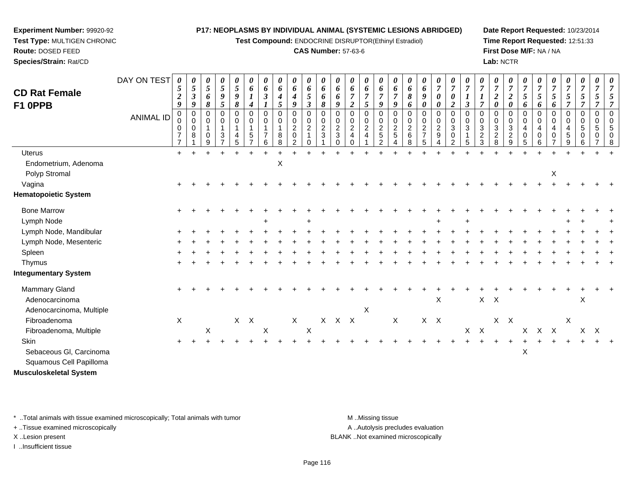**Test Compound:** ENDOCRINE DISRUPTOR(Ethinyl Estradiol)

#### **CAS Number:** 57-63-6

**Date Report Requested:** 10/23/2014**Time Report Requested:** 12:51:33**First Dose M/F:** NA / NA**Lab:** NCTR

| <b>CD Rat Female</b>        | DAY ON TEST      | 0<br>$\mathfrak{s}$<br>$\boldsymbol{2}$      | $\boldsymbol{\theta}$<br>5<br>$\boldsymbol{\beta}$ | 0<br>5<br>6                       | 0<br>$\mathfrak{S}$<br>9                                                                       | 0<br>$\overline{5}$<br>9              | 0<br>6<br>$\boldsymbol{l}$                                   | $\boldsymbol{\theta}$<br>6<br>$\boldsymbol{\beta}$               | 0<br>6<br>4           | 0<br>6<br>$\boldsymbol{4}$                                        | 0<br>6<br>5                                                                    | 0<br>6<br>6                        | $\boldsymbol{\theta}$<br>6<br>6                                     | 0<br>6                                                 | 0<br>6<br>$\overline{7}$                    | 0<br>6<br>$\overline{7}$                                                             | $\boldsymbol{\theta}$<br>6<br>$\overline{7}$           | 0<br>6<br>8                                       | 0<br>6<br>9                                                                           | 0<br>$\overline{7}$<br>0                                              | 0<br>$\boldsymbol{7}$<br>$\boldsymbol{\theta}$                                          | $\boldsymbol{\theta}$<br>$\overline{7}$                | $\boldsymbol{\theta}$<br>$\boldsymbol{7}$<br>$\boldsymbol{l}$               | $\boldsymbol{\theta}$<br>$\overline{7}$<br>$\boldsymbol{2}$ | 0<br>$\overline{7}$<br>$\boldsymbol{2}$                     | 0<br>$\overline{7}$<br>5                                  | 0<br>$\overline{7}$<br>5   | $\theta$<br>$\overline{7}$<br>$\mathfrak{s}$ | $\boldsymbol{\theta}$<br>$\overline{7}$<br>$\mathfrak{s}$ | 0<br>$\overline{7}$<br>5                                   | $\boldsymbol{\theta}$<br>$\overline{7}$<br>5 |  |
|-----------------------------|------------------|----------------------------------------------|----------------------------------------------------|-----------------------------------|------------------------------------------------------------------------------------------------|---------------------------------------|--------------------------------------------------------------|------------------------------------------------------------------|-----------------------|-------------------------------------------------------------------|--------------------------------------------------------------------------------|------------------------------------|---------------------------------------------------------------------|--------------------------------------------------------|---------------------------------------------|--------------------------------------------------------------------------------------|--------------------------------------------------------|---------------------------------------------------|---------------------------------------------------------------------------------------|-----------------------------------------------------------------------|-----------------------------------------------------------------------------------------|--------------------------------------------------------|-----------------------------------------------------------------------------|-------------------------------------------------------------|-------------------------------------------------------------|-----------------------------------------------------------|----------------------------|----------------------------------------------|-----------------------------------------------------------|------------------------------------------------------------|----------------------------------------------|--|
| F1 0PPB                     | <b>ANIMAL ID</b> | 9<br>0<br>0<br>$\mathbf 0$<br>$\overline{7}$ | 9<br>$\boldsymbol{0}$<br>0<br>$\mathbf 0$<br>8     | 8<br>0<br>0<br>1<br>$\Omega$<br>9 | $\mathfrak{s}$<br>$\Omega$<br>0<br>$\mathbf{1}$<br>$\ensuremath{\mathsf{3}}$<br>$\overline{z}$ | 8<br>0<br>0<br>$\mathbf{1}$<br>4<br>5 | 4<br>0<br>0<br>$\mathbf{1}$<br>$\,$ 5 $\,$<br>$\overline{z}$ | $\boldsymbol{l}$<br>$\mathbf 0$<br>$\mathbf 0$<br>$\overline{7}$ | 5<br>0<br>0<br>8<br>8 | 9<br>$\mathbf 0$<br>$\pmb{0}$<br>$\overline{c}$<br>$\pmb{0}$<br>2 | $\boldsymbol{\beta}$<br>$\mathbf 0$<br>$\pmb{0}$<br>$\overline{2}$<br>$\Omega$ | 8<br>0<br>0<br>$\overline{c}$<br>3 | 9<br>$\Omega$<br>$\mathbf 0$<br>$\overline{c}$<br>$\mathbf{3}$<br>∩ | $\boldsymbol{2}$<br>0<br>0<br>$\overline{c}$<br>4<br>∩ | 5<br>0<br>0<br>$\sqrt{2}$<br>$\overline{4}$ | 9<br>$\mathbf 0$<br>$\mathbf 0$<br>$\overline{c}$<br>$\overline{5}$<br>$\mathcal{P}$ | 9<br>$\mathbf 0$<br>$\mathbf 0$<br>$\overline{c}$<br>5 | 6<br>0<br>$\mathbf 0$<br>$\overline{c}$<br>6<br>8 | $\pmb{\theta}$<br>$\mathbf 0$<br>$\mathbf 0$<br>$\overline{c}$<br>$\overline{7}$<br>5 | $\boldsymbol{\theta}$<br>0<br>$\mathbf 0$<br>$\overline{c}$<br>9<br>4 | $\boldsymbol{2}$<br>$\pmb{0}$<br>$\pmb{0}$<br>$\sqrt{3}$<br>$\pmb{0}$<br>$\overline{c}$ | $\mathfrak{z}$<br>$\mathbf 0$<br>$\mathbf 0$<br>3<br>5 | $\overline{7}$<br>$\mathbf 0$<br>$\mathbf 0$<br>$\sqrt{3}$<br>$\frac{2}{3}$ | 0<br>0<br>0<br>3<br>$\overline{2}$<br>8                     | $\boldsymbol{\theta}$<br>0<br>0<br>3<br>$\overline{2}$<br>9 | 6<br>0<br>$\mathbf 0$<br>$\overline{4}$<br>$\pmb{0}$<br>5 | 6<br>0<br>0<br>4<br>0<br>6 | 6<br>0<br>0<br>4<br>0                        | $\mathbf 0$<br>0<br>$\overline{4}$<br>5<br>9              | $\overline{7}$<br>$\mathbf 0$<br>0<br>$\sqrt{5}$<br>0<br>6 | 7<br>$\mathbf 0$<br>$\overline{0}$<br>5      |  |
| <b>Uterus</b>               |                  | $\ddot{+}$                                   |                                                    |                                   |                                                                                                |                                       |                                                              |                                                                  |                       |                                                                   |                                                                                |                                    |                                                                     |                                                        |                                             |                                                                                      |                                                        |                                                   |                                                                                       |                                                                       |                                                                                         |                                                        |                                                                             |                                                             |                                                             |                                                           |                            |                                              |                                                           |                                                            |                                              |  |
| Endometrium, Adenoma        |                  |                                              |                                                    |                                   |                                                                                                |                                       |                                                              |                                                                  | X                     |                                                                   |                                                                                |                                    |                                                                     |                                                        |                                             |                                                                                      |                                                        |                                                   |                                                                                       |                                                                       |                                                                                         |                                                        |                                                                             |                                                             |                                                             |                                                           |                            |                                              |                                                           |                                                            |                                              |  |
| Polyp Stromal               |                  |                                              |                                                    |                                   |                                                                                                |                                       |                                                              |                                                                  |                       |                                                                   |                                                                                |                                    |                                                                     |                                                        |                                             |                                                                                      |                                                        |                                                   |                                                                                       |                                                                       |                                                                                         |                                                        |                                                                             |                                                             |                                                             |                                                           |                            | X                                            |                                                           |                                                            |                                              |  |
| Vagina                      |                  |                                              |                                                    |                                   |                                                                                                |                                       |                                                              |                                                                  |                       |                                                                   |                                                                                |                                    |                                                                     |                                                        |                                             |                                                                                      |                                                        |                                                   |                                                                                       |                                                                       |                                                                                         |                                                        |                                                                             |                                                             |                                                             |                                                           |                            |                                              |                                                           |                                                            |                                              |  |
| <b>Hematopoietic System</b> |                  |                                              |                                                    |                                   |                                                                                                |                                       |                                                              |                                                                  |                       |                                                                   |                                                                                |                                    |                                                                     |                                                        |                                             |                                                                                      |                                                        |                                                   |                                                                                       |                                                                       |                                                                                         |                                                        |                                                                             |                                                             |                                                             |                                                           |                            |                                              |                                                           |                                                            |                                              |  |
| <b>Bone Marrow</b>          |                  |                                              |                                                    |                                   |                                                                                                |                                       |                                                              |                                                                  |                       |                                                                   |                                                                                |                                    |                                                                     |                                                        |                                             |                                                                                      |                                                        |                                                   |                                                                                       |                                                                       |                                                                                         |                                                        |                                                                             |                                                             |                                                             |                                                           |                            |                                              |                                                           |                                                            |                                              |  |
| Lymph Node                  |                  |                                              |                                                    |                                   |                                                                                                |                                       |                                                              |                                                                  |                       |                                                                   |                                                                                |                                    |                                                                     |                                                        |                                             |                                                                                      |                                                        |                                                   |                                                                                       |                                                                       |                                                                                         |                                                        |                                                                             |                                                             |                                                             |                                                           |                            |                                              |                                                           |                                                            |                                              |  |
| Lymph Node, Mandibular      |                  |                                              |                                                    |                                   |                                                                                                |                                       |                                                              |                                                                  |                       |                                                                   |                                                                                |                                    |                                                                     |                                                        |                                             |                                                                                      |                                                        |                                                   |                                                                                       |                                                                       |                                                                                         |                                                        |                                                                             |                                                             |                                                             |                                                           |                            |                                              |                                                           |                                                            |                                              |  |
| Lymph Node, Mesenteric      |                  |                                              |                                                    |                                   |                                                                                                |                                       |                                                              |                                                                  |                       |                                                                   |                                                                                |                                    |                                                                     |                                                        |                                             |                                                                                      |                                                        |                                                   |                                                                                       |                                                                       |                                                                                         |                                                        |                                                                             |                                                             |                                                             |                                                           |                            |                                              |                                                           |                                                            |                                              |  |
| Spleen                      |                  |                                              |                                                    |                                   |                                                                                                |                                       |                                                              |                                                                  |                       |                                                                   |                                                                                |                                    |                                                                     |                                                        |                                             |                                                                                      |                                                        |                                                   |                                                                                       |                                                                       |                                                                                         |                                                        |                                                                             |                                                             |                                                             |                                                           |                            |                                              |                                                           |                                                            |                                              |  |
| Thymus                      |                  |                                              |                                                    |                                   |                                                                                                |                                       |                                                              |                                                                  |                       |                                                                   |                                                                                |                                    |                                                                     |                                                        |                                             |                                                                                      |                                                        |                                                   |                                                                                       |                                                                       |                                                                                         |                                                        |                                                                             |                                                             |                                                             |                                                           |                            |                                              |                                                           |                                                            |                                              |  |
| <b>Integumentary System</b> |                  |                                              |                                                    |                                   |                                                                                                |                                       |                                                              |                                                                  |                       |                                                                   |                                                                                |                                    |                                                                     |                                                        |                                             |                                                                                      |                                                        |                                                   |                                                                                       |                                                                       |                                                                                         |                                                        |                                                                             |                                                             |                                                             |                                                           |                            |                                              |                                                           |                                                            |                                              |  |
| Mammary Gland               |                  |                                              |                                                    |                                   |                                                                                                |                                       |                                                              |                                                                  |                       |                                                                   |                                                                                |                                    |                                                                     |                                                        |                                             |                                                                                      |                                                        |                                                   |                                                                                       |                                                                       |                                                                                         |                                                        |                                                                             |                                                             |                                                             |                                                           |                            |                                              |                                                           |                                                            |                                              |  |
| Adenocarcinoma              |                  |                                              |                                                    |                                   |                                                                                                |                                       |                                                              |                                                                  |                       |                                                                   |                                                                                |                                    |                                                                     |                                                        |                                             |                                                                                      |                                                        |                                                   |                                                                                       | X                                                                     |                                                                                         |                                                        |                                                                             | $X$ $X$                                                     |                                                             |                                                           |                            |                                              |                                                           | X                                                          |                                              |  |
| Adenocarcinoma, Multiple    |                  |                                              |                                                    |                                   |                                                                                                |                                       |                                                              |                                                                  |                       |                                                                   |                                                                                |                                    |                                                                     |                                                        | X                                           |                                                                                      |                                                        |                                                   |                                                                                       |                                                                       |                                                                                         |                                                        |                                                                             |                                                             |                                                             |                                                           |                            |                                              |                                                           |                                                            |                                              |  |
| Fibroadenoma                |                  | $\mathsf X$                                  |                                                    |                                   |                                                                                                | $\mathsf{X}$                          | $\mathsf{X}$                                                 |                                                                  |                       | $\mathsf{X}$                                                      |                                                                                |                                    | X X X                                                               |                                                        |                                             |                                                                                      | $\mathsf{X}$                                           |                                                   |                                                                                       | $X$ $X$                                                               |                                                                                         |                                                        |                                                                             |                                                             | $X$ $X$                                                     |                                                           |                            |                                              | Χ                                                         |                                                            |                                              |  |
| Fibroadenoma, Multiple      |                  |                                              |                                                    | X                                 |                                                                                                |                                       |                                                              | $\mathsf X$                                                      |                       |                                                                   | $\boldsymbol{\mathsf{X}}$                                                      |                                    |                                                                     |                                                        |                                             |                                                                                      |                                                        |                                                   |                                                                                       |                                                                       |                                                                                         | $\mathsf{X}$                                           | $\mathsf{X}$                                                                |                                                             |                                                             | $\mathsf{X}$                                              |                            | $X$ $X$                                      |                                                           | $X \times$                                                 |                                              |  |
| Skin                        |                  |                                              |                                                    |                                   |                                                                                                |                                       |                                                              |                                                                  |                       |                                                                   |                                                                                |                                    |                                                                     |                                                        |                                             |                                                                                      |                                                        |                                                   |                                                                                       |                                                                       |                                                                                         |                                                        |                                                                             |                                                             |                                                             |                                                           |                            |                                              |                                                           |                                                            |                                              |  |
| Sebaceous Gl, Carcinoma     |                  |                                              |                                                    |                                   |                                                                                                |                                       |                                                              |                                                                  |                       |                                                                   |                                                                                |                                    |                                                                     |                                                        |                                             |                                                                                      |                                                        |                                                   |                                                                                       |                                                                       |                                                                                         |                                                        |                                                                             |                                                             |                                                             | X                                                         |                            |                                              |                                                           |                                                            |                                              |  |
| Squamous Cell Papilloma     |                  |                                              |                                                    |                                   |                                                                                                |                                       |                                                              |                                                                  |                       |                                                                   |                                                                                |                                    |                                                                     |                                                        |                                             |                                                                                      |                                                        |                                                   |                                                                                       |                                                                       |                                                                                         |                                                        |                                                                             |                                                             |                                                             |                                                           |                            |                                              |                                                           |                                                            |                                              |  |

\* ..Total animals with tissue examined microscopically; Total animals with tumor **M** ...Missing tissue M ...Missing tissue

+ ..Tissue examined microscopically

**Musculoskeletal System**

**Experiment Number:** 99920-92**Test Type:** MULTIGEN CHRONIC

**Route:** DOSED FEED**Species/Strain:** Rat/CD

I ..Insufficient tissue

A ..Autolysis precludes evaluation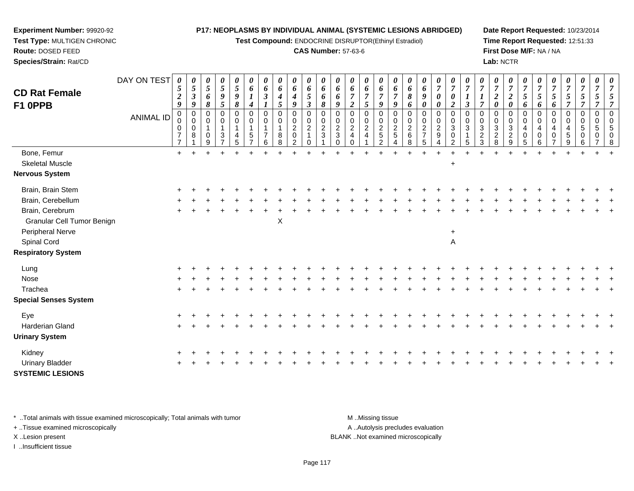**Test Compound:** ENDOCRINE DISRUPTOR(Ethinyl Estradiol)

#### **CAS Number:** 57-63-6

**Date Report Requested:** 10/23/2014**Time Report Requested:** 12:51:33**First Dose M/F:** NA / NA**Lab:** NCTR

| <b>CD Rat Female</b><br>F1 OPPB                 | DAY ON TEST<br><b>ANIMAL ID</b> | 0<br>$\sqrt{5}$<br>$\boldsymbol{2}$<br>$\boldsymbol{9}$<br>0<br>0<br>0<br>7 | $\boldsymbol{\theta}$<br>$5\phantom{.0}$<br>$\boldsymbol{\beta}$<br>$\boldsymbol{9}$<br>0<br>0<br>0<br>8 | U<br>5<br>6<br>8<br>0<br>$\mathbf 0$<br>0 | 0<br>$\mathfrak{s}$<br>9<br>$\mathfrak{s}$<br>0<br>$\mathbf 0$<br>$\overline{\mathbf{1}}$<br>$\mathbf{3}$ | 0<br>$\sqrt{5}$<br>9<br>$\boldsymbol{\delta}$<br>$\mathbf 0$<br>$\mathbf 0$<br>$\mathbf{1}$<br>4 | $\boldsymbol{\theta}$<br>6<br>4<br>0<br>0<br>5 | $\boldsymbol{\theta}$<br>6<br>$\boldsymbol{\beta}$<br>0<br>0 | $\boldsymbol{\theta}$<br>6<br>4<br>$\mathfrak{s}$<br>$\mathbf 0$<br>0<br>8 | 0<br>6<br>4<br>9<br>$\mathbf 0$<br>$\mathbf 0$<br>$\overline{c}$<br>$\mathsf{O}\xspace$ | 0<br>6<br>$\mathfrak{s}$<br>$\boldsymbol{\beta}$<br>$\mathbf 0$<br>$\pmb{0}$<br>$\overline{2}$<br>$\mathbf{1}$ | $\boldsymbol{\theta}$<br>6<br>6<br>8<br>0<br>0<br>$\overline{c}$<br>$\mathbf{3}$ | $\boldsymbol{\theta}$<br>6<br>6<br>9<br>0<br>0<br>$\overline{c}$<br>3 | U<br>6<br>$\boldsymbol{2}$<br>$\mathbf 0$<br>0<br>$\overline{2}$<br>4 | 0<br>6<br>$\overline{7}$<br>$\mathfrak{H}$<br>$\mathbf 0$<br>$\mathbf 0$<br>$\overline{2}$<br>$\overline{4}$ | $\boldsymbol{\theta}$<br>6<br>7<br>$\boldsymbol{g}$<br>$\mathbf 0$<br>$\mathbf 0$<br>$\overline{2}$<br>$\sqrt{5}$ | 0<br>6<br>9<br>0<br>0<br>$\overline{c}$<br>5 | $\boldsymbol{\theta}$<br>6<br>8<br>6<br>0<br>0<br>$\overline{c}$<br>6 | U<br>6<br>9<br>$\pmb{\theta}$<br>$\mathbf 0$<br>$\mathsf{O}\xspace$<br>$\overline{c}$<br>$\overline{7}$ | 0<br>$\boldsymbol{7}$<br>$\boldsymbol{\theta}$<br>$\boldsymbol{\theta}$<br>$\pmb{0}$<br>$\mathbf 0$<br>$\overline{c}$<br>$\boldsymbol{9}$ | $\boldsymbol{\theta}$<br>$\overline{7}$<br>$\boldsymbol{\theta}$<br>$\overline{2}$<br>$\pmb{0}$<br>$\mathbf 0$<br>$\mathbf{3}$<br>$\mathbf 0$ | $\overline{7}$<br>$\mathfrak{z}$<br>0<br>$\mathbf 0$<br>3 | $\overline{7}$<br>1<br>$\overline{7}$<br>$\mathbf 0$<br>0<br>$\sqrt{3}$<br>$\boldsymbol{2}$ | $\overline{7}$<br>$\boldsymbol{2}$<br>$\boldsymbol{\theta}$<br>$\mathbf 0$<br>0<br>$\sqrt{3}$<br>$\overline{c}$ | 0<br>$\overline{7}$<br>$\boldsymbol{2}$<br>$\boldsymbol{\theta}$<br>$\mathbf 0$<br>$\mathbf 0$<br>$\sqrt{3}$<br>$\sqrt{2}$ | $\boldsymbol{\theta}$<br>$\overline{7}$<br>5<br>6<br>$\mathbf 0$<br>$\mathbf 0$<br>$\overline{a}$<br>0 | $\overline{7}$<br>5<br>6<br>0<br>$\mathbf 0$<br>4<br>0 | $\mathfrak{s}$<br>6<br>0<br>0<br>4 | U<br>$\overline{7}$<br>5<br>0<br>$\mathbf 0$<br>4<br>5 | 0<br>$\overline{7}$<br>5<br>$\overline{7}$<br>0<br>$\mathbf 0$<br>$\sqrt{5}$<br>0 | $\boldsymbol{\theta}$<br>$\overline{7}$<br>5<br>$\overline{0}$<br>$\mathbf 0$<br>$\sqrt{5}$<br>0 |  |
|-------------------------------------------------|---------------------------------|-----------------------------------------------------------------------------|----------------------------------------------------------------------------------------------------------|-------------------------------------------|-----------------------------------------------------------------------------------------------------------|--------------------------------------------------------------------------------------------------|------------------------------------------------|--------------------------------------------------------------|----------------------------------------------------------------------------|-----------------------------------------------------------------------------------------|----------------------------------------------------------------------------------------------------------------|----------------------------------------------------------------------------------|-----------------------------------------------------------------------|-----------------------------------------------------------------------|--------------------------------------------------------------------------------------------------------------|-------------------------------------------------------------------------------------------------------------------|----------------------------------------------|-----------------------------------------------------------------------|---------------------------------------------------------------------------------------------------------|-------------------------------------------------------------------------------------------------------------------------------------------|-----------------------------------------------------------------------------------------------------------------------------------------------|-----------------------------------------------------------|---------------------------------------------------------------------------------------------|-----------------------------------------------------------------------------------------------------------------|----------------------------------------------------------------------------------------------------------------------------|--------------------------------------------------------------------------------------------------------|--------------------------------------------------------|------------------------------------|--------------------------------------------------------|-----------------------------------------------------------------------------------|--------------------------------------------------------------------------------------------------|--|
|                                                 |                                 | $\overline{7}$                                                              |                                                                                                          | 9                                         |                                                                                                           | 5                                                                                                |                                                |                                                              | 8                                                                          | 2                                                                                       | 0                                                                                                              |                                                                                  |                                                                       |                                                                       |                                                                                                              | $\overline{2}$                                                                                                    |                                              | 8                                                                     | 5                                                                                                       |                                                                                                                                           | 2                                                                                                                                             | 5                                                         | 3                                                                                           | 8                                                                                                               | 9                                                                                                                          | 5                                                                                                      | 6                                                      |                                    | g                                                      |                                                                                   |                                                                                                  |  |
| Bone, Femur                                     |                                 | $+$                                                                         |                                                                                                          |                                           |                                                                                                           |                                                                                                  |                                                |                                                              |                                                                            |                                                                                         |                                                                                                                |                                                                                  |                                                                       |                                                                       |                                                                                                              |                                                                                                                   |                                              |                                                                       |                                                                                                         |                                                                                                                                           |                                                                                                                                               |                                                           |                                                                                             |                                                                                                                 |                                                                                                                            |                                                                                                        |                                                        |                                    |                                                        |                                                                                   |                                                                                                  |  |
| <b>Skeletal Muscle</b><br><b>Nervous System</b> |                                 |                                                                             |                                                                                                          |                                           |                                                                                                           |                                                                                                  |                                                |                                                              |                                                                            |                                                                                         |                                                                                                                |                                                                                  |                                                                       |                                                                       |                                                                                                              |                                                                                                                   |                                              |                                                                       |                                                                                                         |                                                                                                                                           | $\ddot{}$                                                                                                                                     |                                                           |                                                                                             |                                                                                                                 |                                                                                                                            |                                                                                                        |                                                        |                                    |                                                        |                                                                                   |                                                                                                  |  |
| Brain, Brain Stem                               |                                 |                                                                             |                                                                                                          |                                           |                                                                                                           |                                                                                                  |                                                |                                                              |                                                                            |                                                                                         |                                                                                                                |                                                                                  |                                                                       |                                                                       |                                                                                                              |                                                                                                                   |                                              |                                                                       |                                                                                                         |                                                                                                                                           |                                                                                                                                               |                                                           |                                                                                             |                                                                                                                 |                                                                                                                            |                                                                                                        |                                                        |                                    |                                                        |                                                                                   |                                                                                                  |  |
| Brain, Cerebellum                               |                                 |                                                                             |                                                                                                          |                                           |                                                                                                           |                                                                                                  |                                                |                                                              |                                                                            |                                                                                         |                                                                                                                |                                                                                  |                                                                       |                                                                       |                                                                                                              |                                                                                                                   |                                              |                                                                       |                                                                                                         |                                                                                                                                           |                                                                                                                                               |                                                           |                                                                                             |                                                                                                                 |                                                                                                                            |                                                                                                        |                                                        |                                    |                                                        |                                                                                   |                                                                                                  |  |
| Brain, Cerebrum<br>Granular Cell Tumor Benign   |                                 |                                                                             |                                                                                                          |                                           |                                                                                                           |                                                                                                  |                                                |                                                              | $\mathsf X$                                                                |                                                                                         |                                                                                                                |                                                                                  |                                                                       |                                                                       |                                                                                                              |                                                                                                                   |                                              |                                                                       |                                                                                                         |                                                                                                                                           |                                                                                                                                               |                                                           |                                                                                             |                                                                                                                 |                                                                                                                            |                                                                                                        |                                                        |                                    |                                                        |                                                                                   |                                                                                                  |  |
| Peripheral Nerve<br>Spinal Cord                 |                                 |                                                                             |                                                                                                          |                                           |                                                                                                           |                                                                                                  |                                                |                                                              |                                                                            |                                                                                         |                                                                                                                |                                                                                  |                                                                       |                                                                       |                                                                                                              |                                                                                                                   |                                              |                                                                       |                                                                                                         |                                                                                                                                           | $\ddot{}$<br>A                                                                                                                                |                                                           |                                                                                             |                                                                                                                 |                                                                                                                            |                                                                                                        |                                                        |                                    |                                                        |                                                                                   |                                                                                                  |  |
| <b>Respiratory System</b>                       |                                 |                                                                             |                                                                                                          |                                           |                                                                                                           |                                                                                                  |                                                |                                                              |                                                                            |                                                                                         |                                                                                                                |                                                                                  |                                                                       |                                                                       |                                                                                                              |                                                                                                                   |                                              |                                                                       |                                                                                                         |                                                                                                                                           |                                                                                                                                               |                                                           |                                                                                             |                                                                                                                 |                                                                                                                            |                                                                                                        |                                                        |                                    |                                                        |                                                                                   |                                                                                                  |  |
| Lung                                            |                                 |                                                                             |                                                                                                          |                                           |                                                                                                           |                                                                                                  |                                                |                                                              |                                                                            |                                                                                         |                                                                                                                |                                                                                  |                                                                       |                                                                       |                                                                                                              |                                                                                                                   |                                              |                                                                       |                                                                                                         |                                                                                                                                           |                                                                                                                                               |                                                           |                                                                                             |                                                                                                                 |                                                                                                                            |                                                                                                        |                                                        |                                    |                                                        |                                                                                   |                                                                                                  |  |
| Nose                                            |                                 |                                                                             |                                                                                                          |                                           |                                                                                                           |                                                                                                  |                                                |                                                              |                                                                            |                                                                                         |                                                                                                                |                                                                                  |                                                                       |                                                                       |                                                                                                              |                                                                                                                   |                                              |                                                                       |                                                                                                         |                                                                                                                                           |                                                                                                                                               |                                                           |                                                                                             |                                                                                                                 |                                                                                                                            |                                                                                                        |                                                        |                                    |                                                        |                                                                                   |                                                                                                  |  |
| Trachea                                         |                                 |                                                                             |                                                                                                          |                                           |                                                                                                           |                                                                                                  |                                                |                                                              |                                                                            |                                                                                         |                                                                                                                |                                                                                  |                                                                       |                                                                       |                                                                                                              |                                                                                                                   |                                              |                                                                       |                                                                                                         |                                                                                                                                           |                                                                                                                                               |                                                           |                                                                                             |                                                                                                                 |                                                                                                                            |                                                                                                        |                                                        |                                    |                                                        |                                                                                   |                                                                                                  |  |
| <b>Special Senses System</b>                    |                                 |                                                                             |                                                                                                          |                                           |                                                                                                           |                                                                                                  |                                                |                                                              |                                                                            |                                                                                         |                                                                                                                |                                                                                  |                                                                       |                                                                       |                                                                                                              |                                                                                                                   |                                              |                                                                       |                                                                                                         |                                                                                                                                           |                                                                                                                                               |                                                           |                                                                                             |                                                                                                                 |                                                                                                                            |                                                                                                        |                                                        |                                    |                                                        |                                                                                   |                                                                                                  |  |
| Eye                                             |                                 |                                                                             |                                                                                                          |                                           |                                                                                                           |                                                                                                  |                                                |                                                              |                                                                            |                                                                                         |                                                                                                                |                                                                                  |                                                                       |                                                                       |                                                                                                              |                                                                                                                   |                                              |                                                                       |                                                                                                         |                                                                                                                                           |                                                                                                                                               |                                                           |                                                                                             |                                                                                                                 |                                                                                                                            |                                                                                                        |                                                        |                                    |                                                        |                                                                                   |                                                                                                  |  |
| Harderian Gland                                 |                                 |                                                                             |                                                                                                          |                                           |                                                                                                           |                                                                                                  |                                                |                                                              |                                                                            |                                                                                         |                                                                                                                |                                                                                  |                                                                       |                                                                       |                                                                                                              |                                                                                                                   |                                              |                                                                       |                                                                                                         |                                                                                                                                           |                                                                                                                                               |                                                           |                                                                                             |                                                                                                                 |                                                                                                                            |                                                                                                        |                                                        |                                    |                                                        |                                                                                   |                                                                                                  |  |
| <b>Urinary System</b>                           |                                 |                                                                             |                                                                                                          |                                           |                                                                                                           |                                                                                                  |                                                |                                                              |                                                                            |                                                                                         |                                                                                                                |                                                                                  |                                                                       |                                                                       |                                                                                                              |                                                                                                                   |                                              |                                                                       |                                                                                                         |                                                                                                                                           |                                                                                                                                               |                                                           |                                                                                             |                                                                                                                 |                                                                                                                            |                                                                                                        |                                                        |                                    |                                                        |                                                                                   |                                                                                                  |  |
| Kidney                                          |                                 |                                                                             |                                                                                                          |                                           |                                                                                                           |                                                                                                  |                                                |                                                              |                                                                            |                                                                                         |                                                                                                                |                                                                                  |                                                                       |                                                                       |                                                                                                              |                                                                                                                   |                                              |                                                                       |                                                                                                         |                                                                                                                                           |                                                                                                                                               |                                                           |                                                                                             |                                                                                                                 |                                                                                                                            |                                                                                                        |                                                        |                                    |                                                        |                                                                                   |                                                                                                  |  |
|                                                 |                                 |                                                                             |                                                                                                          |                                           |                                                                                                           |                                                                                                  |                                                |                                                              |                                                                            |                                                                                         |                                                                                                                |                                                                                  |                                                                       |                                                                       |                                                                                                              |                                                                                                                   |                                              |                                                                       |                                                                                                         |                                                                                                                                           |                                                                                                                                               |                                                           |                                                                                             |                                                                                                                 |                                                                                                                            |                                                                                                        |                                                        |                                    |                                                        |                                                                                   |                                                                                                  |  |

\* ..Total animals with tissue examined microscopically; Total animals with tumor **M** ...Missing tissue M ...Missing tissue

 $\mathsf{r}$  +

+ ..Tissue examined microscopically

**Experiment Number:** 99920-92**Test Type:** MULTIGEN CHRONIC

**Route:** DOSED FEED**Species/Strain:** Rat/CD

I ..Insufficient tissue

Urinary Bladder

**SYSTEMIC LESIONS**

A .. Autolysis precludes evaluation

<sup>+</sup> <sup>+</sup> <sup>+</sup> <sup>+</sup> <sup>+</sup> <sup>+</sup> <sup>+</sup> <sup>+</sup> <sup>+</sup> <sup>+</sup> <sup>+</sup> <sup>+</sup> <sup>+</sup> <sup>+</sup> <sup>+</sup> <sup>+</sup> <sup>+</sup> <sup>+</sup> <sup>+</sup> <sup>+</sup> <sup>+</sup> <sup>+</sup> <sup>+</sup> <sup>+</sup> <sup>+</sup> <sup>+</sup> <sup>+</sup> <sup>+</sup> <sup>+</sup> <sup>+</sup>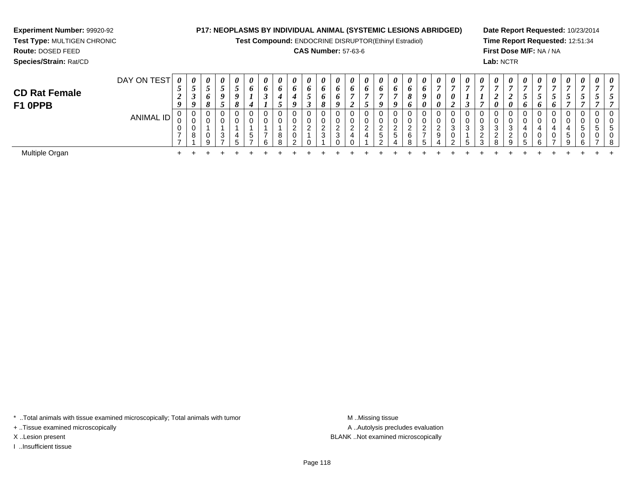**Test Compound:** ENDOCRINE DISRUPTOR(Ethinyl Estradiol)

#### **CAS Number:** 57-63-6

**Date Report Requested:** 10/23/2014**Time Report Requested:** 12:51:34**First Dose M/F:** NA / NA**Lab:** NCTR

| <b>CD Rat Female</b><br>F1 OPPB | DAY ON TEST      | $\boldsymbol{\theta}$<br>◡<br>◢<br>$\boldsymbol{0}$ | 0<br>$\boldsymbol{o}$ | $\theta$<br>◡<br>O<br>$\mathbf{o}$<br>$\mathbf o$ | 0<br>$\overline{\phantom{0}}$<br>$\mathcal{L}$<br>9<br>$\mathcal{L}$ | $\boldsymbol{\theta}$<br>◡<br>$\boldsymbol{0}$<br>$\mathbf{o}$ | 0<br>6<br>4 | 0<br>6<br>◡        | $\boldsymbol{\theta}$<br>6 | 0<br>$\bm{o}$<br>$\boldsymbol{a}$ | $\boldsymbol{\theta}$<br>$\bm{o}$<br>ູ<br>◡ | $\boldsymbol{\theta}$<br>6<br>$\bm{b}$ | 0<br>o<br>6 | 0<br>6 | $\theta$<br>o | $\theta$<br>o<br>u           | 0<br>$\bm{o}$<br>9  | $\boldsymbol{\theta}$<br>$\bm{o}$<br>$\mathbf o$<br>$\bm{o}$ | $\boldsymbol{\theta}$<br>6<br>$\boldsymbol{\theta}$ | 0<br>0<br>0     | $\boldsymbol{\theta}$<br>$\boldsymbol{\eta}$<br>◢ | 0<br>$\mathbf{r}$ | $\boldsymbol{\theta}$ | $\boldsymbol{\theta}$<br>ി<br>◢<br>$\boldsymbol{\theta}$ | $\boldsymbol{\theta}$<br>$\boldsymbol{\mathit{U}}$ | $\boldsymbol{\theta}$ | 0<br>$\overline{ }$<br>6 | $\theta$<br>$\mathbf{r}$<br>J<br>6 | $\boldsymbol{\theta}$<br>$\mathcal{L}$ | $\boldsymbol{\theta}$<br>◡       | 0<br>◡ | 0 |
|---------------------------------|------------------|-----------------------------------------------------|-----------------------|---------------------------------------------------|----------------------------------------------------------------------|----------------------------------------------------------------|-------------|--------------------|----------------------------|-----------------------------------|---------------------------------------------|----------------------------------------|-------------|--------|---------------|------------------------------|---------------------|--------------------------------------------------------------|-----------------------------------------------------|-----------------|---------------------------------------------------|-------------------|-----------------------|----------------------------------------------------------|----------------------------------------------------|-----------------------|--------------------------|------------------------------------|----------------------------------------|----------------------------------|--------|---|
|                                 | <b>ANIMAL ID</b> | U<br>ັບ<br>v                                        | U<br>U<br>U<br>8      | 0<br>0<br>U<br>Q                                  | 0<br>3<br>$\overline{ }$                                             | 0<br>0<br>4<br>∽                                               | G           | 0<br>0<br>-<br>ี ค | U<br>U<br>8<br>R           | 0<br>0<br>ົ<br>$\mathbf{0}$<br>ົ  | 0<br>U<br>ົ<br><u>_</u>                     | 0<br>0<br>ົ<br>3                       | $\sim$      |        | U<br>U        | 0<br>ົ<br><u>_</u><br>5<br>◠ | ົ<br><u>_</u><br>.5 | 0<br>0<br>ົ<br><u>_</u><br>6<br>8                            | -                                                   | $\epsilon$<br>9 | ึ<br>J<br>◡<br>ີ                                  | 0<br>0<br>3<br>Б. | 0<br>3<br>2<br>3      | 0<br>0<br>3<br>ົ<br><u>_</u><br>R                        | Q                                                  |                       | 0<br>0<br>4<br>0<br>ĥ.   | 0<br>4<br>0<br>-                   | 0<br>0<br>4<br>$\mathbf{p}$<br>Q       | 0<br>0<br>$\mathbf{p}$<br>0<br>6 | -      |   |
| Multiple Organ                  |                  |                                                     |                       |                                                   |                                                                      |                                                                |             |                    |                            |                                   |                                             |                                        |             |        |               |                              |                     |                                                              |                                                     |                 |                                                   |                   |                       |                                                          |                                                    |                       |                          |                                    |                                        |                                  |        |   |

\* ..Total animals with tissue examined microscopically; Total animals with tumor **M** . Missing tissue M ..Missing tissue

+ ..Tissue examined microscopically

**Experiment Number:** 99920-92**Test Type:** MULTIGEN CHRONIC

**Route:** DOSED FEED**Species/Strain:** Rat/CD

I ..Insufficient tissue

A ..Autolysis precludes evaluation X ..Lesion present BLANK ..Not examined microscopically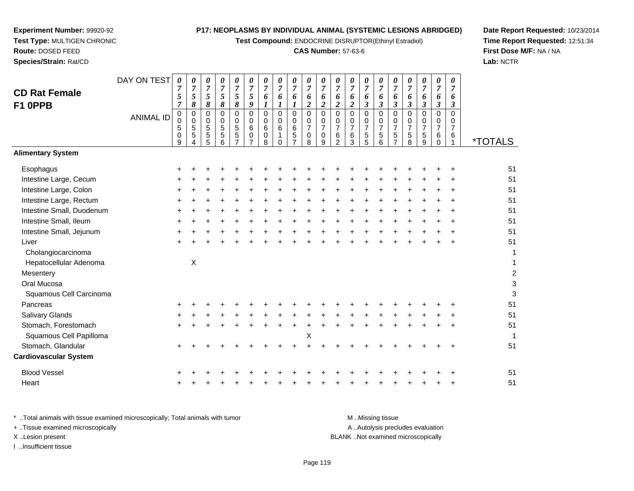**Test Compound:** ENDOCRINE DISRUPTOR(Ethinyl Estradiol)

## **CAS Number:** 57-63-6

**Date Report Requested:** 10/23/2014**Time Report Requested:** 12:51:34**First Dose M/F:** NA / NA**Lab:** NCTR

 $\mathbf{3}$ 

| Species/Strain: Rat/CD          |                  |                                                                |                                      |                                 |                                                   |                                         |                                              |                              |                              |                          |                                                     |                                                                |                                                        |                                            |                                           |                                                  |                                                           |                               |                                                                      |                                              |                                                  | Lab: NCTF             |
|---------------------------------|------------------|----------------------------------------------------------------|--------------------------------------|---------------------------------|---------------------------------------------------|-----------------------------------------|----------------------------------------------|------------------------------|------------------------------|--------------------------|-----------------------------------------------------|----------------------------------------------------------------|--------------------------------------------------------|--------------------------------------------|-------------------------------------------|--------------------------------------------------|-----------------------------------------------------------|-------------------------------|----------------------------------------------------------------------|----------------------------------------------|--------------------------------------------------|-----------------------|
| <b>CD Rat Female</b><br>F1 OPPB | DAY ON TEST      | $\boldsymbol{\theta}$<br>$\overline{7}$<br>5<br>$\overline{7}$ | 0<br>$\overline{7}$<br>5<br>8        | 0<br>$\overline{7}$<br>5<br>8   | $\boldsymbol{\theta}$<br>$\overline{7}$<br>5<br>8 | 0<br>$\overline{7}$<br>5<br>8           | 0<br>$\overline{7}$<br>5<br>9                | 0<br>$\boldsymbol{7}$<br>6   | 0<br>$\overline{7}$<br>6     | 0<br>$\overline{7}$<br>6 | 0<br>$\overline{7}$<br>6<br>$\overline{\mathbf{c}}$ | $\boldsymbol{\theta}$<br>$\overline{7}$<br>6<br>$\overline{c}$ | 0<br>$\overline{7}$<br>6<br>$\overline{\mathbf{2}}$    | 0<br>$\overline{7}$<br>6<br>$\overline{2}$ | 0<br>$\overline{7}$<br>6<br>3             | 0<br>$\overline{7}$<br>6<br>$\boldsymbol{\beta}$ | 0<br>$\overline{7}$<br>6<br>$\boldsymbol{\beta}$          | 0<br>$\overline{7}$<br>6<br>3 | $\boldsymbol{\theta}$<br>$\overline{7}$<br>6<br>$\mathfrak{z}$       | $\pmb{\theta}$<br>$\overline{7}$<br>6<br>3   | 0<br>$\overline{7}$<br>6<br>$\boldsymbol{\beta}$ |                       |
|                                 | <b>ANIMAL ID</b> | $\mathbf 0$<br>0<br>5<br>0<br>9                                | $\mathbf 0$<br>$\mathbf 0$<br>5<br>5 | $\mathbf 0$<br>0<br>5<br>5<br>5 | $\mathbf 0$<br>0<br>$\sqrt{5}$<br>5<br>6          | 0<br>0<br>$\mathbf 5$<br>$\overline{5}$ | $\mathbf 0$<br>0<br>6<br>0<br>$\overline{7}$ | $\Omega$<br>0<br>6<br>0<br>8 | $\Omega$<br>0<br>6<br>1<br>0 | $\Omega$<br>0<br>6<br>5  | 0<br>0<br>7<br>0<br>8                               | $\Omega$<br>0<br>$\overline{7}$<br>0<br>9                      | $\Omega$<br>0<br>$\overline{7}$<br>6<br>$\overline{2}$ | $\Omega$<br>0<br>$\overline{7}$<br>6<br>3  | $\Omega$<br>0<br>$\overline{7}$<br>5<br>5 | $\pmb{0}$<br>0<br>$\overline{7}$<br>5<br>6       | $\mathbf 0$<br>0<br>$\overline{7}$<br>5<br>$\overline{7}$ | $\Omega$<br>0<br>7<br>5<br>8  | $\mathbf 0$<br>0<br>$\overline{7}$<br>$\sqrt{5}$<br>$\boldsymbol{9}$ | $\mathbf 0$<br>0<br>$\overline{7}$<br>6<br>0 | $\Omega$<br>0<br>$\overline{7}$<br>6             | <i><b>*TOTALS</b></i> |
| <b>Alimentary System</b>        |                  |                                                                |                                      |                                 |                                                   |                                         |                                              |                              |                              |                          |                                                     |                                                                |                                                        |                                            |                                           |                                                  |                                                           |                               |                                                                      |                                              |                                                  |                       |
| Esophagus                       |                  |                                                                |                                      |                                 |                                                   |                                         |                                              |                              |                              |                          |                                                     |                                                                |                                                        |                                            |                                           |                                                  |                                                           |                               |                                                                      |                                              |                                                  | 51                    |
| Intestine Large, Cecum          |                  |                                                                |                                      |                                 |                                                   |                                         |                                              |                              |                              |                          |                                                     |                                                                |                                                        |                                            |                                           |                                                  |                                                           |                               |                                                                      |                                              |                                                  | 51                    |
| Intestine Large, Colon          |                  |                                                                |                                      |                                 |                                                   |                                         |                                              |                              |                              |                          |                                                     |                                                                |                                                        |                                            |                                           |                                                  |                                                           |                               |                                                                      |                                              |                                                  | 51                    |
| Intestine Large, Rectum         |                  |                                                                |                                      |                                 |                                                   |                                         |                                              |                              |                              |                          |                                                     |                                                                |                                                        |                                            |                                           |                                                  |                                                           |                               |                                                                      |                                              |                                                  | 51                    |
| Intestine Small, Duodenum       |                  |                                                                |                                      |                                 |                                                   |                                         |                                              |                              |                              |                          |                                                     |                                                                |                                                        |                                            |                                           |                                                  |                                                           |                               |                                                                      |                                              |                                                  | 51                    |
| Intestine Small, Ileum          |                  |                                                                |                                      |                                 |                                                   |                                         |                                              |                              |                              |                          |                                                     |                                                                |                                                        |                                            |                                           |                                                  |                                                           |                               |                                                                      |                                              |                                                  | 51                    |
| Intestine Small, Jejunum        |                  |                                                                |                                      |                                 |                                                   |                                         |                                              |                              |                              |                          |                                                     |                                                                |                                                        |                                            |                                           |                                                  |                                                           |                               |                                                                      |                                              |                                                  | 51                    |
| Liver                           |                  |                                                                |                                      |                                 |                                                   |                                         |                                              |                              |                              |                          |                                                     |                                                                |                                                        |                                            |                                           |                                                  |                                                           |                               |                                                                      |                                              |                                                  | 51                    |
| Cholangiocarcinoma              |                  |                                                                |                                      |                                 |                                                   |                                         |                                              |                              |                              |                          |                                                     |                                                                |                                                        |                                            |                                           |                                                  |                                                           |                               |                                                                      |                                              |                                                  |                       |
| Hepatocellular Adenoma          |                  |                                                                | X                                    |                                 |                                                   |                                         |                                              |                              |                              |                          |                                                     |                                                                |                                                        |                                            |                                           |                                                  |                                                           |                               |                                                                      |                                              |                                                  |                       |
| Mesentery                       |                  |                                                                |                                      |                                 |                                                   |                                         |                                              |                              |                              |                          |                                                     |                                                                |                                                        |                                            |                                           |                                                  |                                                           |                               |                                                                      |                                              |                                                  | $\overline{c}$        |
| Oral Mucosa                     |                  |                                                                |                                      |                                 |                                                   |                                         |                                              |                              |                              |                          |                                                     |                                                                |                                                        |                                            |                                           |                                                  |                                                           |                               |                                                                      |                                              |                                                  | 3                     |
| Squamous Cell Carcinoma         |                  |                                                                |                                      |                                 |                                                   |                                         |                                              |                              |                              |                          |                                                     |                                                                |                                                        |                                            |                                           |                                                  |                                                           |                               |                                                                      |                                              |                                                  | 3                     |
| Pancreas                        |                  |                                                                |                                      |                                 |                                                   |                                         |                                              |                              |                              |                          |                                                     |                                                                |                                                        |                                            |                                           |                                                  |                                                           |                               |                                                                      |                                              |                                                  | 51                    |
| Salivary Glands                 |                  |                                                                |                                      |                                 |                                                   |                                         |                                              |                              |                              |                          |                                                     |                                                                |                                                        |                                            |                                           |                                                  |                                                           |                               |                                                                      |                                              |                                                  | 51                    |
| Stomach, Forestomach            |                  |                                                                |                                      |                                 |                                                   |                                         |                                              |                              |                              |                          |                                                     |                                                                |                                                        |                                            |                                           |                                                  |                                                           |                               |                                                                      |                                              |                                                  | 51                    |
| Squamous Cell Papilloma         |                  |                                                                |                                      |                                 |                                                   |                                         |                                              |                              |                              |                          | x                                                   |                                                                |                                                        |                                            |                                           |                                                  |                                                           |                               |                                                                      |                                              |                                                  |                       |

**Experiment Number:** 99920-92**Test Type:** MULTIGEN CHRONIC

**Route:** DOSED FEED

 <sup>+</sup> <sup>+</sup> <sup>+</sup> <sup>+</sup> <sup>+</sup> <sup>+</sup> <sup>+</sup> <sup>+</sup> <sup>+</sup> <sup>+</sup> <sup>+</sup> <sup>+</sup> <sup>+</sup> <sup>+</sup> <sup>+</sup> <sup>+</sup> <sup>+</sup> <sup>+</sup> <sup>+</sup> <sup>51</sup> Squamous Cell Papillomaa  $X$  $\mathsf{X}$  and  $\mathsf{Y}$  are the set of  $\mathsf{Y}$  and  $\mathsf{Y}$  are the set of  $\mathsf{Y}$  and  $\mathsf{Y}$  are the set of  $\mathsf{Y}$  and  $\mathsf{Y}$  are the set of  $\mathsf{Y}$  and  $\mathsf{Y}$  are the set of  $\mathsf{Y}$  and  $\mathsf{Y}$  are the set of Stomach, Glandular $\mathsf{r}$  + <sup>+</sup> <sup>+</sup> <sup>+</sup> <sup>+</sup> <sup>+</sup> <sup>+</sup> <sup>+</sup> <sup>+</sup> <sup>+</sup> <sup>+</sup> <sup>+</sup> <sup>+</sup> <sup>+</sup> <sup>+</sup> <sup>+</sup> <sup>+</sup> <sup>+</sup> <sup>+</sup> <sup>+</sup> <sup>51</sup> **Cardiovascular System**Blood Vessel $\mathbf{+}$  <sup>+</sup> <sup>+</sup> <sup>+</sup> <sup>+</sup> <sup>+</sup> <sup>+</sup> <sup>+</sup> <sup>+</sup> <sup>+</sup> <sup>+</sup> <sup>+</sup> <sup>+</sup> <sup>+</sup> <sup>+</sup> <sup>+</sup> <sup>+</sup> <sup>+</sup> <sup>+</sup> <sup>+</sup> <sup>51</sup> Heart <sup>+</sup><sup>+</sup> <sup>+</sup> <sup>+</sup> <sup>+</sup> <sup>+</sup> <sup>+</sup> <sup>+</sup> <sup>+</sup> <sup>+</sup> <sup>+</sup> <sup>+</sup> <sup>+</sup> <sup>+</sup> <sup>+</sup> <sup>+</sup> <sup>+</sup> <sup>+</sup> <sup>+</sup> <sup>+</sup> <sup>51</sup>

\* ..Total animals with tissue examined microscopically; Total animals with tumor **M** ...Missing tissue M ...Missing tissue A .. Autolysis precludes evaluation + ..Tissue examined microscopically X ..Lesion present BLANK ..Not examined microscopicallyI ..Insufficient tissue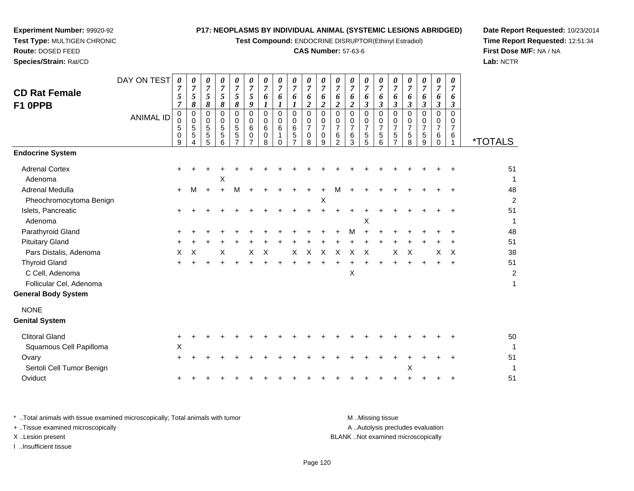**Test Compound:** ENDOCRINE DISRUPTOR(Ethinyl Estradiol)

## **CAS Number:** 57-63-6

**Date Report Requested:** 10/23/2014**Time Report Requested:** 12:51:34**First Dose M/F:** NA / NA**Lab:** NCTR

|                            | DAY ON TEST      | 0                   | 0                   | 0                         | 0                             | 0                            | 0                              | 0                   | 0                   | 0                   | 0                             | $\pmb{\theta}$          | $\boldsymbol{\theta}$         | 0                     | 0                             | 0                             | 0                   | $\frac{\boldsymbol{0}}{7}$    | 0                   | 0                             | 0                    |                       |
|----------------------------|------------------|---------------------|---------------------|---------------------------|-------------------------------|------------------------------|--------------------------------|---------------------|---------------------|---------------------|-------------------------------|-------------------------|-------------------------------|-----------------------|-------------------------------|-------------------------------|---------------------|-------------------------------|---------------------|-------------------------------|----------------------|-----------------------|
| <b>CD Rat Female</b>       |                  | $\overline{7}$<br>5 | $\overline{7}$<br>5 | $\overline{7}$<br>5       | $\overline{7}$<br>$\sqrt{5}$  | $\overline{7}$<br>$\sqrt{5}$ | $\boldsymbol{7}$<br>$\sqrt{5}$ | $\overline{7}$<br>6 | $\overline{7}$<br>6 | $\overline{7}$<br>6 | $\overline{7}$<br>6           | $\overline{7}$<br>6     | $\overline{7}$<br>6           | $\boldsymbol{7}$<br>6 | $\overline{7}$<br>6           | $\overline{7}$<br>6           | $\overline{7}$<br>6 | 6                             | $\overline{7}$<br>6 | $\overline{7}$<br>6           | $\overline{7}$<br>6  |                       |
| F1 OPPB                    |                  | $\overline{7}$      | 8                   | 8                         | 8                             | 8                            | $\boldsymbol{9}$               | $\boldsymbol{l}$    | $\boldsymbol{l}$    |                     | $\overline{c}$                | $\overline{\mathbf{c}}$ | $\boldsymbol{2}$              | $\boldsymbol{2}$      | $\mathfrak{z}$                | $\boldsymbol{\beta}$          | $\mathfrak{z}$      | $\mathfrak{z}$                | $\mathfrak{z}$      | $\mathfrak{z}$                | $\boldsymbol{\beta}$ |                       |
|                            | <b>ANIMAL ID</b> | 0                   | $\mathbf 0$         | $\mathbf 0$               | 0                             | $\mathbf 0$                  | $\mathbf 0$                    | $\mathbf 0$         | $\mathbf 0$         | 0                   | $\mathbf 0$                   | $\mathbf 0$             | $\mathbf 0$                   | $\mathbf 0$           | $\mathbf 0$                   | $\mathbf 0$                   | 0                   | $\mathbf 0$                   | $\mathbf 0$         | $\mathbf 0$                   | $\Omega$             |                       |
|                            |                  | $\mathbf 0$<br>5    | 0<br>5              | $\mathbf 0$<br>$\sqrt{5}$ | $\mathsf 0$<br>$\overline{5}$ | $\mathbf 0$<br>$\sqrt{5}$    | 0<br>6                         | $\Omega$<br>6       | $\mathbf 0$<br>6    | 0<br>6              | $\mathbf 0$<br>$\overline{7}$ | 0<br>$\overline{7}$     | $\mathbf 0$<br>$\overline{7}$ | 0<br>$\overline{7}$   | $\mathbf 0$<br>$\overline{7}$ | $\mathbf 0$<br>$\overline{7}$ | 0<br>$\overline{7}$ | $\mathbf 0$<br>$\overline{7}$ | 0<br>7              | $\mathbf 0$<br>$\overline{7}$ | 0<br>$\overline{7}$  |                       |
|                            |                  | 0                   | 5                   | $\sqrt{5}$                | $\overline{5}$                | $\,$ 5 $\,$                  | 0                              | $\mathbf 0$         | $\mathbf{1}$        | 5                   | $\mathbf 0$                   | 0                       | 6                             | 6                     | 5                             | 5                             | 5                   | 5                             | $\mathbf 5$         | $\,6$                         | 6                    |                       |
| <b>Endocrine System</b>    |                  | 9                   | 4                   | 5                         | 6                             | $\overline{7}$               | $\overline{7}$                 | 8                   | $\Omega$            | $\overline{7}$      | 8                             | 9                       | $\overline{2}$                | 3                     | 5                             | 6                             | $\overline{7}$      | 8                             | $\boldsymbol{9}$    | $\mathbf 0$                   |                      | <i><b>*TOTALS</b></i> |
| <b>Adrenal Cortex</b>      |                  |                     |                     |                           |                               |                              |                                |                     |                     |                     |                               |                         |                               |                       |                               |                               |                     |                               |                     |                               |                      | 51                    |
| Adenoma                    |                  |                     |                     |                           | Χ                             |                              |                                |                     |                     |                     |                               |                         |                               |                       |                               |                               |                     |                               |                     |                               |                      | 1                     |
| <b>Adrenal Medulla</b>     |                  | $\ddot{}$           | M                   | $\ddot{}$                 | $\ddot{}$                     | M                            |                                |                     |                     |                     |                               |                         |                               |                       |                               |                               |                     |                               |                     |                               |                      | 48                    |
| Pheochromocytoma Benign    |                  |                     |                     |                           |                               |                              |                                |                     |                     |                     |                               | Χ                       |                               |                       |                               |                               |                     |                               |                     |                               |                      | 2                     |
| Islets, Pancreatic         |                  |                     |                     |                           |                               |                              |                                |                     |                     |                     |                               |                         |                               |                       |                               |                               |                     |                               |                     |                               |                      | 51                    |
| Adenoma                    |                  |                     |                     |                           |                               |                              |                                |                     |                     |                     |                               |                         |                               |                       | X                             |                               |                     |                               |                     |                               |                      | 1                     |
| Parathyroid Gland          |                  |                     |                     |                           |                               |                              |                                |                     |                     |                     |                               |                         |                               | м                     |                               |                               |                     |                               |                     |                               |                      | 48                    |
| <b>Pituitary Gland</b>     |                  |                     |                     |                           |                               |                              |                                |                     |                     |                     |                               |                         |                               |                       |                               |                               |                     |                               |                     |                               |                      | 51                    |
| Pars Distalis, Adenoma     |                  | х                   | Х                   |                           | х                             |                              | Χ                              | X                   |                     | X                   | X                             | X                       | X                             | Х                     | X                             |                               | X                   | X                             |                     | Χ                             | X                    | 38                    |
| <b>Thyroid Gland</b>       |                  |                     |                     |                           |                               |                              |                                |                     |                     |                     |                               |                         |                               |                       |                               |                               |                     |                               |                     |                               |                      | 51                    |
| C Cell, Adenoma            |                  |                     |                     |                           |                               |                              |                                |                     |                     |                     |                               |                         |                               | Х                     |                               |                               |                     |                               |                     |                               |                      | 2                     |
| Follicular Cel, Adenoma    |                  |                     |                     |                           |                               |                              |                                |                     |                     |                     |                               |                         |                               |                       |                               |                               |                     |                               |                     |                               |                      |                       |
| <b>General Body System</b> |                  |                     |                     |                           |                               |                              |                                |                     |                     |                     |                               |                         |                               |                       |                               |                               |                     |                               |                     |                               |                      |                       |
| <b>NONE</b>                |                  |                     |                     |                           |                               |                              |                                |                     |                     |                     |                               |                         |                               |                       |                               |                               |                     |                               |                     |                               |                      |                       |
| <b>Genital System</b>      |                  |                     |                     |                           |                               |                              |                                |                     |                     |                     |                               |                         |                               |                       |                               |                               |                     |                               |                     |                               |                      |                       |
| <b>Clitoral Gland</b>      |                  | $\ddot{}$           |                     |                           |                               |                              |                                |                     |                     |                     |                               |                         |                               |                       |                               |                               |                     |                               |                     |                               |                      | 50                    |
| Squamous Cell Papilloma    |                  | X                   |                     |                           |                               |                              |                                |                     |                     |                     |                               |                         |                               |                       |                               |                               |                     |                               |                     |                               |                      |                       |
| Ovary                      |                  | ÷                   |                     |                           |                               |                              |                                |                     |                     |                     |                               |                         |                               |                       |                               |                               |                     |                               |                     |                               |                      | 51                    |
| Sertoli Cell Tumor Benign  |                  |                     |                     |                           |                               |                              |                                |                     |                     |                     |                               |                         |                               |                       |                               |                               |                     | X                             |                     |                               |                      |                       |
| Oviduct                    |                  |                     |                     |                           |                               |                              |                                |                     |                     |                     |                               |                         |                               |                       |                               |                               |                     |                               |                     |                               |                      | 51                    |
|                            |                  |                     |                     |                           |                               |                              |                                |                     |                     |                     |                               |                         |                               |                       |                               |                               |                     |                               |                     |                               |                      |                       |

**Experiment Number:** 99920-92**Test Type:** MULTIGEN CHRONIC

**Route:** DOSED FEED**Species/Strain:** Rat/CD

\* ..Total animals with tissue examined microscopically; Total animals with tumor **M** . Missing tissue M ..Missing tissue A ..Autolysis precludes evaluation + ..Tissue examined microscopically X ..Lesion present BLANK ..Not examined microscopicallyI ..Insufficient tissue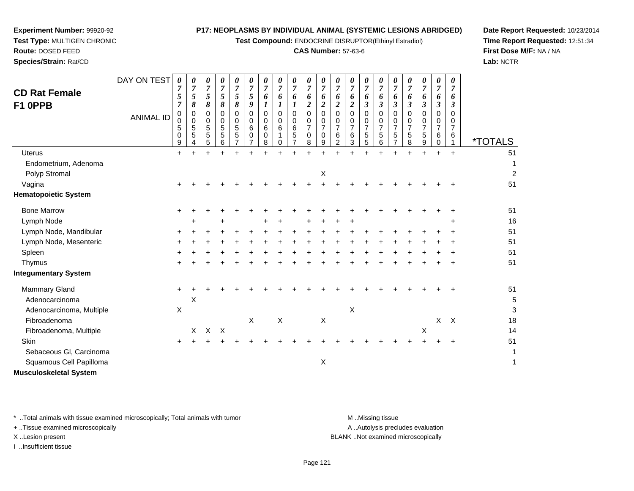**Test Compound:** ENDOCRINE DISRUPTOR(Ethinyl Estradiol)

## **CAS Number:** 57-63-6

**Date Report Requested:** 10/23/2014**Time Report Requested:** 12:51:34**First Dose M/F:** NA / NA**Lab:** NCTR

| <b>CD Rat Female</b><br>F1 OPPB | DAY ON TEST<br><b>ANIMAL ID</b> | 0<br>$\overline{7}$<br>5<br>$\overline{7}$<br>0<br>$\mathbf 0$<br>5<br>0<br>9 | 0<br>7<br>5<br>8<br>0<br>$\mathbf 0$<br>5<br>5 | 0<br>$\overline{7}$<br>5<br>8<br>$\mathbf 0$<br>$\mathbf 0$<br>$\sqrt{5}$<br>5<br>5 | 0<br>$\boldsymbol{7}$<br>5<br>8<br>$\Omega$<br>0<br>5<br>5<br>6 | 0<br>$\overline{7}$<br>5<br>8<br>$\Omega$<br>0<br>5<br>5<br>$\overline{7}$ | 0<br>$\boldsymbol{7}$<br>5<br>9<br>$\mathbf 0$<br>0<br>6<br>0<br>7 | 0<br>7<br>6<br>1<br>$\Omega$<br>$\Omega$<br>6<br>$\mathbf 0$<br>8 | 0<br>$\overline{7}$<br>6<br>$\mathbf 0$<br>0<br>6<br>1<br>0 | $\overline{7}$<br>6<br>$\mathbf 0$<br>0<br>6<br>5<br>$\overline{7}$ | 0<br>$\overline{7}$<br>6<br>$\overline{c}$<br>$\Omega$<br>0<br>$\overline{7}$<br>$\mathbf 0$<br>8 | 0<br>7<br>6<br>$\overline{\mathbf{2}}$<br>$\mathbf 0$<br>0<br>$\overline{7}$<br>0<br>9 | 0<br>$\overline{7}$<br>6<br>$\boldsymbol{2}$<br>$\Omega$<br>0<br>$\overline{7}$<br>6<br>$\overline{2}$ | 0<br>$\overline{7}$<br>6<br>$\overline{2}$<br>$\mathbf 0$<br>0<br>$\overline{7}$<br>6<br>3 | 0<br>$\overline{7}$<br>6<br>3<br>0<br>0<br>$\overline{7}$<br>5<br>5 | 0<br>$\overline{7}$<br>6<br>$\boldsymbol{\beta}$<br>$\mathbf 0$<br>0<br>$\overline{7}$<br>$\mathbf 5$<br>6 | 0<br>$\boldsymbol{7}$<br>6<br>3<br>$\mathbf 0$<br>0<br>7<br>5<br>7 | 0<br>$\overline{7}$<br>6<br>$\boldsymbol{\beta}$<br>$\Omega$<br>0<br>$\overline{7}$<br>5<br>8 | 0<br>$\overline{7}$<br>6<br>3<br>$\Omega$<br>0<br>7<br>$\sqrt{5}$<br>9 | 0<br>$\overline{7}$<br>6<br>$\boldsymbol{\beta}$<br>$\Omega$<br>0<br>$\boldsymbol{7}$<br>6<br>$\mathbf 0$ | 0<br>6<br>3<br>$\Omega$<br>$\overline{7}$<br>6 | <i><b>*TOTALS</b></i> |
|---------------------------------|---------------------------------|-------------------------------------------------------------------------------|------------------------------------------------|-------------------------------------------------------------------------------------|-----------------------------------------------------------------|----------------------------------------------------------------------------|--------------------------------------------------------------------|-------------------------------------------------------------------|-------------------------------------------------------------|---------------------------------------------------------------------|---------------------------------------------------------------------------------------------------|----------------------------------------------------------------------------------------|--------------------------------------------------------------------------------------------------------|--------------------------------------------------------------------------------------------|---------------------------------------------------------------------|------------------------------------------------------------------------------------------------------------|--------------------------------------------------------------------|-----------------------------------------------------------------------------------------------|------------------------------------------------------------------------|-----------------------------------------------------------------------------------------------------------|------------------------------------------------|-----------------------|
| <b>Uterus</b>                   |                                 | $\ddot{}$                                                                     | ÷.                                             | $\ddot{}$                                                                           | $\ddot{}$                                                       |                                                                            |                                                                    |                                                                   | ÷.                                                          |                                                                     | ÷                                                                                                 | $\ddot{}$                                                                              |                                                                                                        | +                                                                                          | ÷                                                                   | $\div$                                                                                                     | ÷.                                                                 | $\ddot{}$                                                                                     | +                                                                      | ÷                                                                                                         | $\ddot{}$                                      | 51                    |
| Endometrium, Adenoma            |                                 |                                                                               |                                                |                                                                                     |                                                                 |                                                                            |                                                                    |                                                                   |                                                             |                                                                     |                                                                                                   |                                                                                        |                                                                                                        |                                                                                            |                                                                     |                                                                                                            |                                                                    |                                                                                               |                                                                        |                                                                                                           |                                                |                       |
| Polyp Stromal                   |                                 |                                                                               |                                                |                                                                                     |                                                                 |                                                                            |                                                                    |                                                                   |                                                             |                                                                     |                                                                                                   | Χ                                                                                      |                                                                                                        |                                                                                            |                                                                     |                                                                                                            |                                                                    |                                                                                               |                                                                        |                                                                                                           |                                                | 2                     |
| Vagina                          |                                 |                                                                               |                                                |                                                                                     |                                                                 |                                                                            |                                                                    |                                                                   |                                                             |                                                                     |                                                                                                   |                                                                                        |                                                                                                        |                                                                                            |                                                                     |                                                                                                            |                                                                    |                                                                                               |                                                                        |                                                                                                           |                                                | 51                    |
| <b>Hematopoietic System</b>     |                                 |                                                                               |                                                |                                                                                     |                                                                 |                                                                            |                                                                    |                                                                   |                                                             |                                                                     |                                                                                                   |                                                                                        |                                                                                                        |                                                                                            |                                                                     |                                                                                                            |                                                                    |                                                                                               |                                                                        |                                                                                                           |                                                |                       |
| <b>Bone Marrow</b>              |                                 | ÷                                                                             |                                                |                                                                                     |                                                                 |                                                                            |                                                                    |                                                                   |                                                             |                                                                     |                                                                                                   |                                                                                        |                                                                                                        |                                                                                            |                                                                     |                                                                                                            |                                                                    |                                                                                               |                                                                        |                                                                                                           |                                                | 51                    |
| Lymph Node                      |                                 |                                                                               |                                                |                                                                                     |                                                                 |                                                                            |                                                                    |                                                                   |                                                             |                                                                     |                                                                                                   |                                                                                        |                                                                                                        |                                                                                            |                                                                     |                                                                                                            |                                                                    |                                                                                               |                                                                        |                                                                                                           | ÷                                              | 16                    |
| Lymph Node, Mandibular          |                                 |                                                                               |                                                |                                                                                     |                                                                 |                                                                            |                                                                    |                                                                   |                                                             |                                                                     |                                                                                                   |                                                                                        |                                                                                                        |                                                                                            |                                                                     |                                                                                                            |                                                                    |                                                                                               |                                                                        |                                                                                                           |                                                | 51                    |
| Lymph Node, Mesenteric          |                                 | ÷                                                                             |                                                |                                                                                     |                                                                 |                                                                            |                                                                    |                                                                   |                                                             |                                                                     |                                                                                                   |                                                                                        |                                                                                                        |                                                                                            |                                                                     |                                                                                                            |                                                                    |                                                                                               |                                                                        |                                                                                                           |                                                | 51                    |
| Spleen                          |                                 |                                                                               |                                                |                                                                                     |                                                                 |                                                                            |                                                                    |                                                                   |                                                             |                                                                     |                                                                                                   |                                                                                        |                                                                                                        |                                                                                            |                                                                     |                                                                                                            |                                                                    |                                                                                               |                                                                        |                                                                                                           |                                                | 51                    |
| Thymus                          |                                 |                                                                               |                                                |                                                                                     |                                                                 |                                                                            |                                                                    |                                                                   |                                                             |                                                                     |                                                                                                   |                                                                                        |                                                                                                        |                                                                                            |                                                                     |                                                                                                            |                                                                    |                                                                                               |                                                                        |                                                                                                           |                                                | 51                    |
| <b>Integumentary System</b>     |                                 |                                                                               |                                                |                                                                                     |                                                                 |                                                                            |                                                                    |                                                                   |                                                             |                                                                     |                                                                                                   |                                                                                        |                                                                                                        |                                                                                            |                                                                     |                                                                                                            |                                                                    |                                                                                               |                                                                        |                                                                                                           |                                                |                       |
| Mammary Gland                   |                                 | $\ddot{}$                                                                     |                                                |                                                                                     |                                                                 |                                                                            |                                                                    |                                                                   |                                                             |                                                                     |                                                                                                   |                                                                                        |                                                                                                        |                                                                                            |                                                                     |                                                                                                            |                                                                    |                                                                                               |                                                                        |                                                                                                           |                                                | 51                    |
| Adenocarcinoma                  |                                 |                                                                               | X                                              |                                                                                     |                                                                 |                                                                            |                                                                    |                                                                   |                                                             |                                                                     |                                                                                                   |                                                                                        |                                                                                                        |                                                                                            |                                                                     |                                                                                                            |                                                                    |                                                                                               |                                                                        |                                                                                                           |                                                | 5                     |
| Adenocarcinoma, Multiple        |                                 | X                                                                             |                                                |                                                                                     |                                                                 |                                                                            |                                                                    |                                                                   |                                                             |                                                                     |                                                                                                   |                                                                                        |                                                                                                        | Χ                                                                                          |                                                                     |                                                                                                            |                                                                    |                                                                                               |                                                                        |                                                                                                           |                                                | 3                     |
| Fibroadenoma                    |                                 |                                                                               |                                                |                                                                                     |                                                                 |                                                                            | X                                                                  |                                                                   | X                                                           |                                                                     |                                                                                                   | X                                                                                      |                                                                                                        |                                                                                            |                                                                     |                                                                                                            |                                                                    |                                                                                               |                                                                        | X                                                                                                         | $\mathsf{X}$                                   | 18                    |
| Fibroadenoma, Multiple          |                                 |                                                                               | X.                                             | $\mathsf{X}$                                                                        | $\times$                                                        |                                                                            |                                                                    |                                                                   |                                                             |                                                                     |                                                                                                   |                                                                                        |                                                                                                        |                                                                                            |                                                                     |                                                                                                            |                                                                    |                                                                                               | X                                                                      |                                                                                                           |                                                | 14                    |
| Skin                            |                                 | $\ddot{}$                                                                     |                                                |                                                                                     |                                                                 |                                                                            |                                                                    |                                                                   |                                                             |                                                                     |                                                                                                   |                                                                                        |                                                                                                        |                                                                                            |                                                                     |                                                                                                            |                                                                    |                                                                                               |                                                                        |                                                                                                           | ÷                                              | 51                    |
| Sebaceous GI, Carcinoma         |                                 |                                                                               |                                                |                                                                                     |                                                                 |                                                                            |                                                                    |                                                                   |                                                             |                                                                     |                                                                                                   |                                                                                        |                                                                                                        |                                                                                            |                                                                     |                                                                                                            |                                                                    |                                                                                               |                                                                        |                                                                                                           |                                                |                       |
| Squamous Cell Papilloma         |                                 |                                                                               |                                                |                                                                                     |                                                                 |                                                                            |                                                                    |                                                                   |                                                             |                                                                     |                                                                                                   | Χ                                                                                      |                                                                                                        |                                                                                            |                                                                     |                                                                                                            |                                                                    |                                                                                               |                                                                        |                                                                                                           |                                                | 1                     |
| <b>Musculoskeletal System</b>   |                                 |                                                                               |                                                |                                                                                     |                                                                 |                                                                            |                                                                    |                                                                   |                                                             |                                                                     |                                                                                                   |                                                                                        |                                                                                                        |                                                                                            |                                                                     |                                                                                                            |                                                                    |                                                                                               |                                                                        |                                                                                                           |                                                |                       |

\* ..Total animals with tissue examined microscopically; Total animals with tumor **M** ...Missing tissue M ...Missing tissue

+ ..Tissue examined microscopically

**Experiment Number:** 99920-92**Test Type:** MULTIGEN CHRONIC

**Route:** DOSED FEED**Species/Strain:** Rat/CD

I ..Insufficient tissue

A ..Autolysis precludes evaluation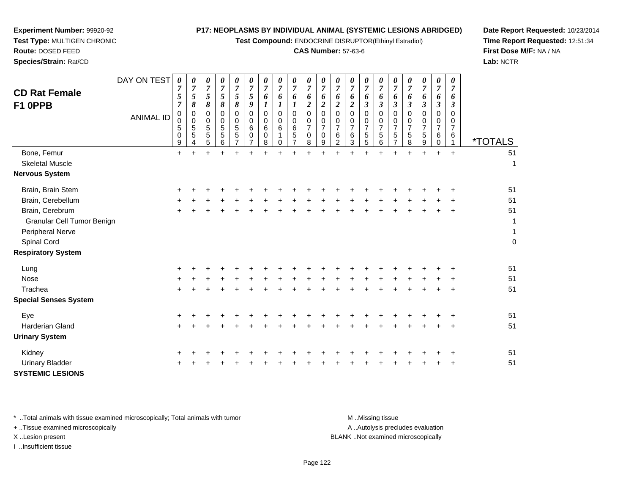**Test Compound:** ENDOCRINE DISRUPTOR(Ethinyl Estradiol)

## **CAS Number:** 57-63-6

**Date Report Requested:** 10/23/2014**Time Report Requested:** 12:51:34**First Dose M/F:** NA / NA**Lab:** NCTR

**Experiment Number:** 99920-92

**Species/Strain:** Rat/CD

| <b>CD Rat Female</b><br>F1 OPPB                                | DAY ON TEST      | $\boldsymbol{\theta}$<br>$\overline{7}$<br>$\sqrt{5}$<br>$\overline{7}$<br>$\pmb{0}$ | 0<br>$\boldsymbol{7}$<br>5<br>8<br>0 | 0<br>$\boldsymbol{7}$<br>5<br>$\pmb{8}$<br>$\mathbf 0$ | 0<br>$\overline{7}$<br>5<br>8<br>$\pmb{0}$ | 0<br>$\boldsymbol{7}$<br>$\mathfrak{s}$<br>$\pmb{8}$<br>$\pmb{0}$ | 0<br>$\boldsymbol{7}$<br>5<br>9<br>$\mathbf 0$ | 0<br>$\boldsymbol{7}$<br>6<br>$\boldsymbol{l}$<br>$\pmb{0}$ | 0<br>$\overline{7}$<br>6<br>$\boldsymbol{l}$<br>0 | 0<br>$\overline{7}$<br>6<br>$\boldsymbol{l}$<br>$\mathbf 0$ | 0<br>$\overline{7}$<br>6<br>$\boldsymbol{2}$<br>$\pmb{0}$ | 0<br>$\overline{7}$<br>6<br>$\overline{c}$<br>$\mathbf 0$ | 0<br>$\overline{7}$<br>6<br>$\overline{2}$<br>$\mathbf 0$ | 0<br>$\overline{7}$<br>6<br>$\overline{\mathbf{c}}$<br>$\pmb{0}$ | $\pmb{\theta}$<br>$\overline{7}$<br>6<br>$\boldsymbol{\beta}$<br>$\mathbf 0$ | 0<br>$\overline{7}$<br>6<br>$\boldsymbol{\beta}$<br>0 | 0<br>$\overline{7}$<br>6<br>$\boldsymbol{\beta}$<br>$\mathbf 0$ | 0<br>$\overline{7}$<br>6<br>$\mathfrak{z}$<br>$\pmb{0}$ | 0<br>$\overline{7}$<br>6<br>$\boldsymbol{\beta}$<br>$\mathbf 0$ | 0<br>$\overline{7}$<br>6<br>$\boldsymbol{\beta}$<br>0 | $\boldsymbol{\theta}$<br>$\overline{7}$<br>6<br>$\mathfrak{z}$<br>0 |                       |
|----------------------------------------------------------------|------------------|--------------------------------------------------------------------------------------|--------------------------------------|--------------------------------------------------------|--------------------------------------------|-------------------------------------------------------------------|------------------------------------------------|-------------------------------------------------------------|---------------------------------------------------|-------------------------------------------------------------|-----------------------------------------------------------|-----------------------------------------------------------|-----------------------------------------------------------|------------------------------------------------------------------|------------------------------------------------------------------------------|-------------------------------------------------------|-----------------------------------------------------------------|---------------------------------------------------------|-----------------------------------------------------------------|-------------------------------------------------------|---------------------------------------------------------------------|-----------------------|
|                                                                | <b>ANIMAL ID</b> | 0<br>5<br>0<br>$\boldsymbol{9}$                                                      | $\mathbf 0$<br>$\sqrt{5}$<br>5<br>4  | $\pmb{0}$<br>$\overline{5}$<br>5<br>5                  | $\mathbf 0$<br>5<br>$\overline{5}$<br>6    | $\mathbf 0$<br>$\,$ 5 $\,$<br>$\sqrt{5}$<br>7                     | $\pmb{0}$<br>6<br>0<br>$\overline{7}$          | 0<br>6<br>0<br>8                                            | 0<br>6<br>0                                       | $\pmb{0}$<br>$\,6\,$<br>$\overline{5}$<br>$\overline{7}$    | 0<br>$\overline{7}$<br>$\mathbf 0$<br>8                   | $\mathbf 0$<br>$\overline{7}$<br>0<br>9                   | $\mathbf 0$<br>$\overline{7}$<br>6<br>$\overline{2}$      | 0<br>$\overline{7}$<br>6<br>$\overline{3}$                       | $\mathbf 0$<br>$\overline{7}$<br>5<br>5                                      | 0<br>$\overline{7}$<br>5<br>6                         | 0<br>$\overline{7}$<br>5<br>$\overline{7}$                      | 0<br>$\overline{7}$<br>5<br>8                           | $\mathbf 0$<br>$\overline{7}$<br>5<br>9                         | 0<br>7<br>6<br>0                                      | 0<br>$\overline{7}$<br>6<br>$\mathbf{1}$                            | <i><b>*TOTALS</b></i> |
| Bone, Femur<br><b>Skeletal Muscle</b><br><b>Nervous System</b> |                  | $\ddot{}$                                                                            | $+$                                  | $+$                                                    | $+$                                        | $\ddot{}$                                                         | $+$                                            | ÷.                                                          | $+$                                               | $\ddot{}$                                                   | $+$                                                       | $+$                                                       | $\ddot{}$                                                 | $\ddot{}$                                                        | $+$                                                                          | $\ddot{}$                                             | +                                                               | $+$                                                     | $\ddot{}$                                                       | $+$                                                   | $\ddot{}$                                                           | 51<br>1               |
| Brain, Brain Stem                                              |                  |                                                                                      |                                      |                                                        |                                            |                                                                   |                                                |                                                             |                                                   |                                                             |                                                           |                                                           |                                                           |                                                                  |                                                                              |                                                       |                                                                 |                                                         |                                                                 |                                                       |                                                                     | 51                    |
| Brain, Cerebellum                                              |                  |                                                                                      |                                      |                                                        |                                            |                                                                   |                                                |                                                             |                                                   |                                                             |                                                           |                                                           |                                                           |                                                                  |                                                                              |                                                       |                                                                 |                                                         |                                                                 |                                                       |                                                                     | 51                    |
| Brain, Cerebrum<br>Granular Cell Tumor Benign                  |                  |                                                                                      |                                      |                                                        |                                            |                                                                   |                                                |                                                             |                                                   |                                                             |                                                           |                                                           |                                                           |                                                                  |                                                                              |                                                       |                                                                 |                                                         |                                                                 |                                                       | $\ddot{}$                                                           | 51<br>1               |
| Peripheral Nerve<br>Spinal Cord                                |                  |                                                                                      |                                      |                                                        |                                            |                                                                   |                                                |                                                             |                                                   |                                                             |                                                           |                                                           |                                                           |                                                                  |                                                                              |                                                       |                                                                 |                                                         |                                                                 |                                                       |                                                                     | 1<br>$\mathbf 0$      |
| <b>Respiratory System</b>                                      |                  |                                                                                      |                                      |                                                        |                                            |                                                                   |                                                |                                                             |                                                   |                                                             |                                                           |                                                           |                                                           |                                                                  |                                                                              |                                                       |                                                                 |                                                         |                                                                 |                                                       |                                                                     |                       |
| Lung                                                           |                  |                                                                                      |                                      |                                                        |                                            |                                                                   |                                                |                                                             |                                                   |                                                             |                                                           |                                                           |                                                           |                                                                  |                                                                              |                                                       |                                                                 |                                                         |                                                                 |                                                       |                                                                     | 51                    |
| Nose                                                           |                  |                                                                                      |                                      |                                                        |                                            |                                                                   |                                                |                                                             |                                                   |                                                             |                                                           |                                                           |                                                           |                                                                  |                                                                              |                                                       |                                                                 |                                                         |                                                                 |                                                       |                                                                     | 51                    |
| Trachea<br><b>Special Senses System</b>                        |                  |                                                                                      |                                      |                                                        |                                            |                                                                   |                                                |                                                             |                                                   |                                                             |                                                           |                                                           |                                                           |                                                                  |                                                                              |                                                       |                                                                 |                                                         |                                                                 |                                                       |                                                                     | 51                    |
|                                                                |                  |                                                                                      |                                      |                                                        |                                            |                                                                   |                                                |                                                             |                                                   |                                                             |                                                           |                                                           |                                                           |                                                                  |                                                                              |                                                       |                                                                 |                                                         |                                                                 |                                                       |                                                                     |                       |
| Eye                                                            |                  |                                                                                      |                                      |                                                        |                                            |                                                                   |                                                |                                                             |                                                   |                                                             |                                                           |                                                           |                                                           |                                                                  |                                                                              |                                                       |                                                                 |                                                         |                                                                 |                                                       |                                                                     | 51                    |
| <b>Harderian Gland</b><br><b>Urinary System</b>                |                  | +                                                                                    |                                      |                                                        |                                            |                                                                   |                                                |                                                             |                                                   |                                                             |                                                           |                                                           |                                                           |                                                                  |                                                                              |                                                       |                                                                 |                                                         |                                                                 |                                                       | $\ddot{}$                                                           | 51                    |
| Kidney                                                         |                  |                                                                                      |                                      |                                                        |                                            |                                                                   |                                                |                                                             |                                                   |                                                             |                                                           |                                                           |                                                           |                                                                  |                                                                              |                                                       |                                                                 |                                                         |                                                                 |                                                       |                                                                     | 51                    |
| <b>Urinary Bladder</b><br><b>SYSTEMIC LESIONS</b>              |                  |                                                                                      |                                      |                                                        |                                            |                                                                   |                                                |                                                             |                                                   |                                                             |                                                           |                                                           |                                                           |                                                                  |                                                                              |                                                       |                                                                 |                                                         |                                                                 |                                                       |                                                                     | 51                    |

\* ..Total animals with tissue examined microscopically; Total animals with tumor **M** . Missing tissue M ..Missing tissue

+ ..Tissue examined microscopically

I ..Insufficient tissue

A ..Autolysis precludes evaluation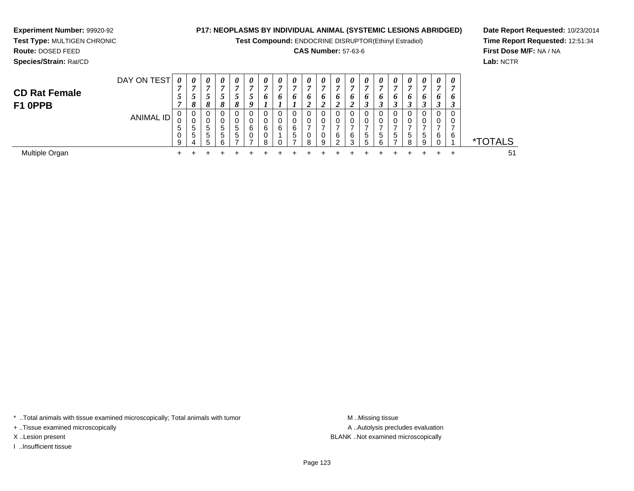**Test Compound:** ENDOCRINE DISRUPTOR(Ethinyl Estradiol)

## **CAS Number:** 57-63-6

 $\ddot{+}$ 

<sup>+</sup> <sup>+</sup> <sup>+</sup> <sup>+</sup> <sup>+</sup> <sup>+</sup> <sup>+</sup> <sup>+</sup> <sup>+</sup> <sup>+</sup> <sup>+</sup> <sup>+</sup> <sup>+</sup> <sup>+</sup> <sup>+</sup> <sup>+</sup> <sup>+</sup> <sup>+</sup> <sup>+</sup> <sup>51</sup>

 $+$ 

\*TOTALS

**Date Report Requested:** 10/23/2014**Time Report Requested:** 12:51:34**First Dose M/F:** NA / NA**Lab:** NCTR

| Species/Strain: Rat/CD |             |                       |                       |                       |                       |                       |   |                |   |   |   |        |                       |          |                       |                       |   |   |                      |                       |   |
|------------------------|-------------|-----------------------|-----------------------|-----------------------|-----------------------|-----------------------|---|----------------|---|---|---|--------|-----------------------|----------|-----------------------|-----------------------|---|---|----------------------|-----------------------|---|
|                        | DAY ON TEST | $\boldsymbol{\theta}$ | $\boldsymbol{\theta}$ | $\boldsymbol{\theta}$ | $\boldsymbol{\theta}$ | $\boldsymbol{\theta}$ | U | 0              | 0 | 0 | U | 0      | $\boldsymbol{\theta}$ | $\theta$ | $\boldsymbol{\theta}$ | $\boldsymbol{\theta}$ | U | U | 0                    | $\boldsymbol{\theta}$ |   |
| <b>CD Rat Female</b>   |             |                       |                       | е                     |                       | −                     |   | $\overline{ }$ |   |   |   | P,     | −                     |          | −                     |                       | , |   |                      |                       |   |
|                        |             | ັ                     | ູ                     | C                     | ູ                     |                       | C | o              | o | 6 | O | o      | o                     | o        | o                     | o                     | 0 | o | O                    | o                     |   |
| F1 0PPB                |             |                       | o                     | 8                     | 8                     | 8                     |   |                |   |   |   | ി<br>◢ | ∠                     | ◢        |                       |                       |   | J | $\ddot{\phantom{0}}$ |                       |   |
|                        |             |                       |                       | 0                     |                       | 0                     |   |                |   | 0 |   | 0      | 0                     |          |                       |                       |   |   |                      |                       |   |
|                        | ANIMAL ID   | U                     |                       | 0                     |                       | J.                    |   |                |   | 0 |   | 0      | υ                     |          | 0                     |                       |   |   |                      |                       |   |
|                        |             | đ                     | 5                     | 5                     | 5                     | 5.                    | 6 | 6              | 6 | 6 |   |        |                       |          |                       |                       |   |   |                      |                       |   |
|                        |             |                       | 5                     | 5                     | 5                     | 5                     |   |                |   | 5 |   | 0      | 6                     | 6        | 5                     | 5                     | 5 | 5 | ა                    | 6                     | 6 |
|                        |             | 9                     |                       | $\mathbf{b}$          | 6                     |                       |   | 8              |   |   |   | 9      |                       |          | ∽<br>÷.               |                       |   | 8 | 9                    |                       |   |

 $+$ 

 $\ddot{+}$ 

 $\ddot{+}$ 

 $\ddot{+}$ 

 $+$ 

Multiple Organn  $+$ 

**Experiment Number:** 99920-92**Test Type:** MULTIGEN CHRONIC

**Route:** DOSED FEED

\* ..Total animals with tissue examined microscopically; Total animals with tumor **M** ...Missing tissue M ...Missing tissue

+ ..Tissue examined microscopically

I ..Insufficient tissue

A .. Autolysis precludes evaluation X ..Lesion present BLANK ..Not examined microscopically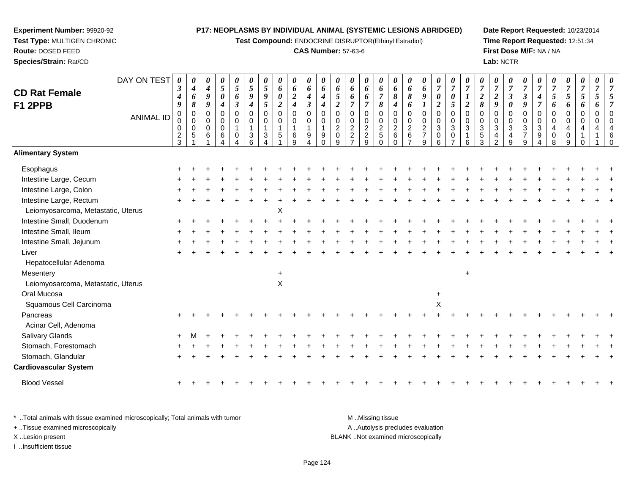**Test Compound:** ENDOCRINE DISRUPTOR(Ethinyl Estradiol)

#### **CAS Number:** 57-63-6

**Date Report Requested:** 10/23/2014**Time Report Requested:** 12:51:34**First Dose M/F:** NA / NA**Lab:** NCTR

|                                    | DAY ON TEST      | 0                                        | 0                        | 0                     | 0<br>$\mathfrak{s}$        | $\boldsymbol{\theta}$ | 0                                  | $\boldsymbol{\theta}$ | 0              | 0                             | $\boldsymbol{\theta}$ | 0                | 0              | 0                                | 0<br>6                   | 0                       | $\boldsymbol{\theta}$    | 0                | 0                     | $\boldsymbol{\theta}$<br>$\boldsymbol{7}$ | 0<br>$\overline{7}$        | $\overline{7}$   | 0                                  | 0                                    | 0<br>$\overline{7}$          | 0<br>$\overline{7}$   | 0<br>$\overline{7}$        | $\boldsymbol{\theta}$ | $\boldsymbol{\theta}$          | 0<br>$\overline{7}$ | 0<br>$\overline{7}$ | 0<br>7               |
|------------------------------------|------------------|------------------------------------------|--------------------------|-----------------------|----------------------------|-----------------------|------------------------------------|-----------------------|----------------|-------------------------------|-----------------------|------------------|----------------|----------------------------------|--------------------------|-------------------------|--------------------------|------------------|-----------------------|-------------------------------------------|----------------------------|------------------|------------------------------------|--------------------------------------|------------------------------|-----------------------|----------------------------|-----------------------|--------------------------------|---------------------|---------------------|----------------------|
| <b>CD Rat Female</b>               |                  | $\boldsymbol{\beta}$<br>$\boldsymbol{4}$ | $\boldsymbol{4}$<br>6    | $\boldsymbol{4}$<br>9 | $\pmb{\theta}$             | $\sqrt{5}$<br>6       | $\mathfrak{H}$<br>$\boldsymbol{9}$ | 5<br>9                | 6<br>0         | $\pmb{6}$<br>$\boldsymbol{2}$ | 6<br>$\boldsymbol{4}$ | 6<br>4           | 6<br>5         | 6<br>6                           | 6                        | 6<br>$\overline{7}$     | 6<br>8                   | 6<br>8           | 6<br>9                | $\boldsymbol{\theta}$                     | $\boldsymbol{\theta}$      | $\boldsymbol{l}$ | $\boldsymbol{7}$<br>$\overline{2}$ | $\boldsymbol{7}$<br>$\boldsymbol{2}$ | $\boldsymbol{\beta}$         | $\boldsymbol{\beta}$  | $\boldsymbol{4}$           | $\boldsymbol{7}$<br>5 | $\boldsymbol{7}$<br>$\sqrt{5}$ | 5                   | 5                   | 5                    |
| F1 2PPB                            |                  | 9                                        | $\pmb{8}$                | $\boldsymbol{g}$      | $\boldsymbol{4}$           | $\boldsymbol{\beta}$  | $\boldsymbol{4}$                   | 5                     | $\overline{2}$ | $\boldsymbol{4}$              | $\boldsymbol{\beta}$  | $\boldsymbol{4}$ | $\overline{c}$ | $\overline{7}$                   | $\overline{7}$           | $\pmb{8}$               | 4                        | 6                | $\boldsymbol{l}$      | $\boldsymbol{2}$                          | $\mathfrak{s}$             | $\boldsymbol{2}$ | $\pmb{8}$                          | 9                                    | $\boldsymbol{\theta}$        | $\boldsymbol{g}$      | $\overline{7}$             | 6                     | 6                              | 6                   | 6                   | 7                    |
|                                    | <b>ANIMAL ID</b> | $\pmb{0}$                                | $\pmb{0}$<br>$\mathbf 0$ | $\mathbf 0$<br>0      | $\mathbf 0$<br>$\mathbf 0$ | $\pmb{0}$<br>0        | $\mathbf 0$<br>0                   | $\mathbf 0$<br>0      | 0<br>0         | $\mathbf 0$<br>$\mathbf 0$    | $\mathbf 0$<br>0      | $\mathbf 0$<br>0 | 0<br>0         | 0<br>$\pmb{0}$                   | $\mathbf 0$<br>$\pmb{0}$ | 0<br>0                  | $\mathbf 0$<br>$\pmb{0}$ | 0<br>0           | 0<br>0                | $\mathbf 0$<br>$\pmb{0}$                  | $\mathbf 0$<br>$\mathbf 0$ | $\mathbf 0$<br>0 | $\mathbf 0$<br>0                   | $\mathbf 0$<br>$\mathbf 0$           | $\mathbf 0$<br>0             | $\mathbf 0$<br>0      | $\mathbf 0$<br>$\mathbf 0$ | 0<br>0                | $\mathbf 0$<br>$\mathbf 0$     | 0<br>$\Omega$       | 0<br>$\Omega$       | $\Omega$<br>$\Omega$ |
|                                    |                  | 0                                        | $\mathbf 0$              | $\mathsf{O}\xspace$   | $\mathbf 0$                | 1                     | 1                                  | $\mathbf{1}$          | $\mathbf{1}$   | $\overline{1}$                | $\overline{1}$        | 1                | $\overline{c}$ | $\overline{2}$                   | $\overline{2}$           | $\overline{2}$          | $\overline{2}$           | $\boldsymbol{2}$ | $\overline{2}$        | $\overline{3}$                            | $\sqrt{3}$                 | $\sqrt{3}$       | $\sqrt{3}$                         | $\overline{3}$                       | $\mathbf{3}$                 | $\sqrt{3}$            | $\sqrt{3}$                 | 4                     | 4                              | 4                   |                     |                      |
|                                    |                  | $\frac{2}{3}$                            | $\sqrt{5}$               | 6                     | $\,6$<br>Δ                 | $\mathbf 0$           | $\sqrt{3}$                         | 3                     | 5              | $\,6$<br>9                    | $9\,$<br>4            | 9<br>∩           | 0<br>9         | $\overline{a}$<br>$\overline{7}$ | $\frac{2}{9}$            | $\,$ 5 $\,$<br>$\Omega$ | $\,6\,$<br>$\Omega$      | $\,6\,$          | $\boldsymbol{7}$<br>9 | $\pmb{0}$<br>6                            | 0                          | 1<br>6           | $\sqrt{5}$<br>3                    | 4<br>$\overline{2}$                  | $\overline{\mathbf{4}}$<br>9 | $\boldsymbol{7}$<br>9 | 9                          | $\pmb{0}$<br>8        | $\mathbf 0$<br>9               |                     |                     | 6<br>$\sqrt{ }$      |
| <b>Alimentary System</b>           |                  |                                          |                          |                       |                            |                       |                                    |                       |                |                               |                       |                  |                |                                  |                          |                         |                          |                  |                       |                                           |                            |                  |                                    |                                      |                              |                       |                            |                       |                                |                     |                     |                      |
| Esophagus                          |                  |                                          |                          |                       |                            |                       |                                    |                       |                |                               |                       |                  |                |                                  |                          |                         |                          |                  |                       |                                           |                            |                  |                                    |                                      |                              |                       |                            |                       |                                |                     |                     |                      |
| Intestine Large, Cecum             |                  |                                          |                          |                       |                            |                       |                                    |                       |                |                               |                       |                  |                |                                  |                          |                         |                          |                  |                       |                                           |                            |                  |                                    |                                      |                              |                       |                            |                       |                                |                     |                     |                      |
| Intestine Large, Colon             |                  |                                          |                          |                       |                            |                       |                                    |                       |                |                               |                       |                  |                |                                  |                          |                         |                          |                  |                       |                                           |                            |                  |                                    |                                      |                              |                       |                            |                       |                                |                     |                     |                      |
| Intestine Large, Rectum            |                  |                                          |                          |                       |                            |                       |                                    |                       |                |                               |                       |                  |                |                                  |                          |                         |                          |                  |                       |                                           |                            |                  |                                    |                                      |                              |                       |                            |                       |                                |                     |                     |                      |
| Leiomyosarcoma, Metastatic, Uterus |                  |                                          |                          |                       |                            |                       |                                    |                       | X              |                               |                       |                  |                |                                  |                          |                         |                          |                  |                       |                                           |                            |                  |                                    |                                      |                              |                       |                            |                       |                                |                     |                     |                      |
| Intestine Small, Duodenum          |                  |                                          |                          |                       |                            |                       |                                    |                       |                |                               |                       |                  |                |                                  |                          |                         |                          |                  |                       |                                           |                            |                  |                                    |                                      |                              |                       |                            |                       |                                |                     |                     |                      |
| Intestine Small, Ileum             |                  |                                          |                          |                       |                            |                       |                                    |                       |                |                               |                       |                  |                |                                  |                          |                         |                          |                  |                       |                                           |                            |                  |                                    |                                      |                              |                       |                            |                       |                                |                     |                     |                      |
| Intestine Small, Jejunum           |                  |                                          |                          |                       |                            |                       |                                    |                       |                |                               |                       |                  |                |                                  |                          |                         |                          |                  |                       |                                           |                            |                  |                                    |                                      |                              |                       |                            |                       |                                |                     |                     |                      |
| Liver                              |                  |                                          |                          |                       |                            |                       |                                    |                       |                |                               |                       |                  |                |                                  |                          |                         |                          |                  |                       |                                           |                            |                  |                                    |                                      |                              |                       |                            |                       |                                |                     |                     |                      |
| Hepatocellular Adenoma             |                  |                                          |                          |                       |                            |                       |                                    |                       |                |                               |                       |                  |                |                                  |                          |                         |                          |                  |                       |                                           |                            |                  |                                    |                                      |                              |                       |                            |                       |                                |                     |                     |                      |
| Mesentery                          |                  |                                          |                          |                       |                            |                       |                                    |                       | $\ddot{}$      |                               |                       |                  |                |                                  |                          |                         |                          |                  |                       |                                           |                            | $\ddot{}$        |                                    |                                      |                              |                       |                            |                       |                                |                     |                     |                      |
| Leiomyosarcoma, Metastatic, Uterus |                  |                                          |                          |                       |                            |                       |                                    |                       | $\mathsf X$    |                               |                       |                  |                |                                  |                          |                         |                          |                  |                       |                                           |                            |                  |                                    |                                      |                              |                       |                            |                       |                                |                     |                     |                      |
| Oral Mucosa                        |                  |                                          |                          |                       |                            |                       |                                    |                       |                |                               |                       |                  |                |                                  |                          |                         |                          |                  |                       | $\ddot{}$                                 |                            |                  |                                    |                                      |                              |                       |                            |                       |                                |                     |                     |                      |
| Squamous Cell Carcinoma            |                  |                                          |                          |                       |                            |                       |                                    |                       |                |                               |                       |                  |                |                                  |                          |                         |                          |                  |                       | X                                         |                            |                  |                                    |                                      |                              |                       |                            |                       |                                |                     |                     |                      |
| Pancreas                           |                  |                                          |                          |                       |                            |                       |                                    |                       |                |                               |                       |                  |                |                                  |                          |                         |                          |                  |                       |                                           |                            |                  |                                    |                                      |                              |                       |                            |                       |                                |                     |                     |                      |
| Acinar Cell, Adenoma               |                  |                                          |                          |                       |                            |                       |                                    |                       |                |                               |                       |                  |                |                                  |                          |                         |                          |                  |                       |                                           |                            |                  |                                    |                                      |                              |                       |                            |                       |                                |                     |                     |                      |
| Salivary Glands                    |                  |                                          |                          |                       |                            |                       |                                    |                       |                |                               |                       |                  |                |                                  |                          |                         |                          |                  |                       |                                           |                            |                  |                                    |                                      |                              |                       |                            |                       |                                |                     |                     |                      |
| Stomach, Forestomach               |                  |                                          |                          |                       |                            |                       |                                    |                       |                |                               |                       |                  |                |                                  |                          |                         |                          |                  |                       |                                           |                            |                  |                                    |                                      |                              |                       |                            |                       |                                |                     |                     |                      |
| Stomach, Glandular                 |                  |                                          |                          |                       |                            |                       |                                    |                       |                |                               |                       |                  |                |                                  |                          |                         |                          |                  |                       |                                           |                            |                  |                                    |                                      |                              |                       |                            |                       |                                |                     |                     |                      |
| <b>Cardiovascular System</b>       |                  |                                          |                          |                       |                            |                       |                                    |                       |                |                               |                       |                  |                |                                  |                          |                         |                          |                  |                       |                                           |                            |                  |                                    |                                      |                              |                       |                            |                       |                                |                     |                     |                      |
| <b>Blood Vessel</b>                |                  | ÷                                        |                          |                       |                            |                       |                                    |                       |                |                               |                       |                  |                |                                  |                          |                         |                          |                  |                       |                                           |                            |                  |                                    |                                      |                              |                       |                            |                       |                                |                     |                     |                      |
|                                    |                  |                                          |                          |                       |                            |                       |                                    |                       |                |                               |                       |                  |                |                                  |                          |                         |                          |                  |                       |                                           |                            |                  |                                    |                                      |                              |                       |                            |                       |                                |                     |                     |                      |

\* ..Total animals with tissue examined microscopically; Total animals with tumor **M** . Missing tissue M ..Missing tissue A ..Autolysis precludes evaluation + ..Tissue examined microscopically X ..Lesion present BLANK ..Not examined microscopicallyI ..Insufficient tissue

**Experiment Number:** 99920-92**Test Type:** MULTIGEN CHRONIC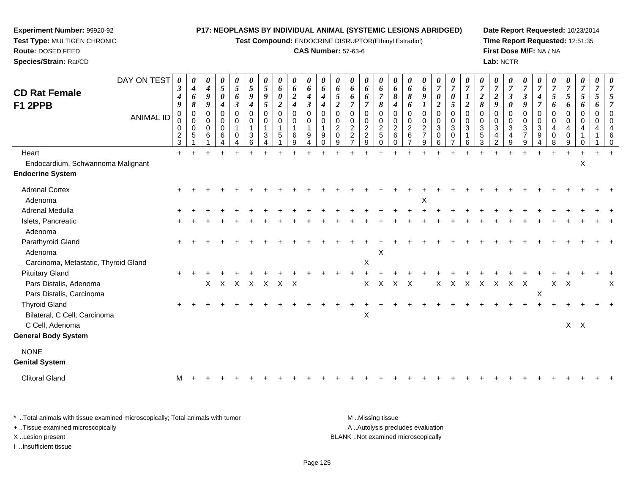**Test Compound:** ENDOCRINE DISRUPTOR(Ethinyl Estradiol)

#### **CAS Number:** 57-63-6

**Date Report Requested:** 10/23/2014**Time Report Requested:** 12:51:35**First Dose M/F:** NA / NA**Lab:** NCTR

| <b>CD Rat Female</b><br>F1 2PPB                                      | DAY ON TEST<br><b>ANIMAL ID</b> | 0<br>3<br>4<br>9<br>0<br>0<br>$\frac{2}{3}$ | 0<br>$\boldsymbol{4}$<br>6<br>8<br>$\pmb{0}$<br>0<br>$\mathbf 0$<br>5 | 0<br>$\boldsymbol{4}$<br>$\boldsymbol{g}$<br>9<br>0<br>0<br>$\mathbf 0$<br>6 | $\boldsymbol{\theta}$<br>$\overline{5}$<br>$\boldsymbol{\theta}$<br>4<br>$\pmb{0}$<br>0<br>$\mathbf 0$<br>6 | 0<br>5<br>6<br>$\boldsymbol{\beta}$<br>$\mathbf 0$<br>0<br>$\mathbf{1}$<br>0 | 0<br>5<br>9<br>4<br>$\mathbf 0$<br>0<br>$\mathbf{1}$<br>3 | 0<br>5<br>9<br>5<br>0<br>0<br>$\mathbf{1}$<br>3 | 0<br>6<br>0<br>$\boldsymbol{2}$<br>$\pmb{0}$<br>$\pmb{0}$<br>$\mathbf 1$<br>5 | $\pmb{\theta}$<br>6<br>$\overline{2}$<br>$\boldsymbol{4}$<br>$\mathbf 0$<br>$\pmb{0}$<br>$\mathbf{1}$<br>$\,6$<br>9 | $\pmb{\theta}$<br>6<br>$\boldsymbol{4}$<br>$\boldsymbol{\beta}$<br>0<br>0<br>$\overline{1}$<br>9<br>4 | 0<br>6<br>4<br>4<br>$\Omega$<br>$\Omega$<br>$\mathbf{1}$<br>9<br>$\Omega$ | 0<br>6<br>5<br>$\overline{2}$<br>0<br>0<br>$\overline{c}$<br>$\Omega$<br>9 | 0<br>6<br>6<br>$\overline{7}$<br>0<br>0<br>$\overline{2}$<br>$\overline{c}$<br>$\overline{7}$ | 0<br>6<br>6<br>$\overline{7}$<br>$\mathbf 0$<br>0<br>$\boldsymbol{2}$<br>$\overline{c}$<br>9 | 0<br>6<br>$\overline{7}$<br>8<br>$\mathbf 0$<br>0<br>$\overline{c}$<br>$5\,$<br>$\mathbf 0$ | 0<br>6<br>8<br>4<br>$\mathbf 0$<br>0<br>$\overline{2}$<br>$\,6\,$ | 0<br>6<br>8<br>6<br>0<br>$\mathbf 0$<br>$\boldsymbol{2}$<br>$\,6\,$<br>$\overline{7}$ | 0<br>6<br>9<br>0<br>$\pmb{0}$<br>$\overline{a}$<br>$\overline{7}$<br>9 | 0<br>$\overline{7}$<br>0<br>$\overline{c}$<br>0<br>$\mathbf 0$<br>3<br>0<br>6 | 0<br>$\boldsymbol{7}$<br>0<br>5<br>$\mathbf 0$<br>$\mathbf 0$<br>$\sqrt{3}$<br>$\mathbf 0$<br>$\overline{7}$ | 0<br>$\overline{7}$<br>$\boldsymbol{2}$<br>$\mathbf 0$<br>$\Omega$<br>$\sqrt{3}$<br>6 | $\boldsymbol{\theta}$<br>$\overline{7}$<br>$\overline{2}$<br>8<br>0<br>0<br>$\sqrt{3}$<br>$\,$ 5 $\,$<br>3 | 0<br>$\overline{7}$<br>$\boldsymbol{2}$<br>$\boldsymbol{g}$<br>$\mathbf 0$<br>$\mathbf 0$<br>$\sqrt{3}$<br>$\overline{4}$<br>$\overline{2}$ | 0<br>$\overline{7}$<br>3<br>0<br>0<br>$\Omega$<br>$\mathbf{3}$<br>4<br>9 | 0<br>$\overline{7}$<br>$\boldsymbol{\beta}$<br>9<br>$\mathbf 0$<br>$\Omega$<br>$\sqrt{3}$<br>$\overline{7}$<br>9 | 0<br>$\overline{7}$<br>4<br>$\overline{7}$<br>$\pmb{0}$<br>0<br>$\sqrt{3}$<br>$\boldsymbol{9}$ | 0<br>$\overline{7}$<br>5<br>6<br>0<br>0<br>4<br>$\mathbf 0$<br>8 | $\boldsymbol{\theta}$<br>$\overline{7}$<br>5<br>6<br>$\pmb{0}$<br>$\mathbf 0$<br>4<br>$\mathbf 0$<br>9 | 0<br>$\overline{7}$<br>5<br>6<br>$\mathbf 0$<br>$\Omega$<br>4<br>0 | 0<br>$\overline{7}$<br>5<br>6<br>$\mathbf 0$<br>$\Omega$<br>4 | 0<br>$\overline{7}$<br>5<br>$\overline{7}$<br>$\mathbf 0$<br>$\Omega$<br>4<br>6<br>$\mathbf 0$ |
|----------------------------------------------------------------------|---------------------------------|---------------------------------------------|-----------------------------------------------------------------------|------------------------------------------------------------------------------|-------------------------------------------------------------------------------------------------------------|------------------------------------------------------------------------------|-----------------------------------------------------------|-------------------------------------------------|-------------------------------------------------------------------------------|---------------------------------------------------------------------------------------------------------------------|-------------------------------------------------------------------------------------------------------|---------------------------------------------------------------------------|----------------------------------------------------------------------------|-----------------------------------------------------------------------------------------------|----------------------------------------------------------------------------------------------|---------------------------------------------------------------------------------------------|-------------------------------------------------------------------|---------------------------------------------------------------------------------------|------------------------------------------------------------------------|-------------------------------------------------------------------------------|--------------------------------------------------------------------------------------------------------------|---------------------------------------------------------------------------------------|------------------------------------------------------------------------------------------------------------|---------------------------------------------------------------------------------------------------------------------------------------------|--------------------------------------------------------------------------|------------------------------------------------------------------------------------------------------------------|------------------------------------------------------------------------------------------------|------------------------------------------------------------------|--------------------------------------------------------------------------------------------------------|--------------------------------------------------------------------|---------------------------------------------------------------|------------------------------------------------------------------------------------------------|
| Heart                                                                |                                 | $\ddot{}$                                   |                                                                       |                                                                              |                                                                                                             |                                                                              |                                                           |                                                 |                                                                               |                                                                                                                     |                                                                                                       |                                                                           |                                                                            |                                                                                               |                                                                                              |                                                                                             |                                                                   |                                                                                       |                                                                        |                                                                               |                                                                                                              |                                                                                       |                                                                                                            |                                                                                                                                             |                                                                          |                                                                                                                  |                                                                                                |                                                                  |                                                                                                        |                                                                    |                                                               |                                                                                                |
| Endocardium, Schwannoma Malignant                                    |                                 |                                             |                                                                       |                                                                              |                                                                                                             |                                                                              |                                                           |                                                 |                                                                               |                                                                                                                     |                                                                                                       |                                                                           |                                                                            |                                                                                               |                                                                                              |                                                                                             |                                                                   |                                                                                       |                                                                        |                                                                               |                                                                                                              |                                                                                       |                                                                                                            |                                                                                                                                             |                                                                          |                                                                                                                  |                                                                                                |                                                                  |                                                                                                        | X                                                                  |                                                               |                                                                                                |
| <b>Endocrine System</b>                                              |                                 |                                             |                                                                       |                                                                              |                                                                                                             |                                                                              |                                                           |                                                 |                                                                               |                                                                                                                     |                                                                                                       |                                                                           |                                                                            |                                                                                               |                                                                                              |                                                                                             |                                                                   |                                                                                       |                                                                        |                                                                               |                                                                                                              |                                                                                       |                                                                                                            |                                                                                                                                             |                                                                          |                                                                                                                  |                                                                                                |                                                                  |                                                                                                        |                                                                    |                                                               |                                                                                                |
| <b>Adrenal Cortex</b><br>Adenoma                                     |                                 |                                             |                                                                       |                                                                              |                                                                                                             |                                                                              |                                                           |                                                 |                                                                               |                                                                                                                     |                                                                                                       |                                                                           |                                                                            |                                                                                               |                                                                                              |                                                                                             |                                                                   |                                                                                       | X                                                                      |                                                                               |                                                                                                              |                                                                                       |                                                                                                            |                                                                                                                                             |                                                                          |                                                                                                                  |                                                                                                |                                                                  |                                                                                                        |                                                                    |                                                               |                                                                                                |
| Adrenal Medulla                                                      |                                 |                                             |                                                                       |                                                                              |                                                                                                             |                                                                              |                                                           |                                                 |                                                                               |                                                                                                                     |                                                                                                       |                                                                           |                                                                            |                                                                                               |                                                                                              |                                                                                             |                                                                   |                                                                                       |                                                                        |                                                                               |                                                                                                              |                                                                                       |                                                                                                            |                                                                                                                                             |                                                                          |                                                                                                                  |                                                                                                |                                                                  |                                                                                                        |                                                                    |                                                               |                                                                                                |
| Islets, Pancreatic<br>Adenoma                                        |                                 |                                             |                                                                       |                                                                              |                                                                                                             |                                                                              |                                                           |                                                 |                                                                               |                                                                                                                     |                                                                                                       |                                                                           |                                                                            |                                                                                               |                                                                                              |                                                                                             |                                                                   |                                                                                       |                                                                        |                                                                               |                                                                                                              |                                                                                       |                                                                                                            |                                                                                                                                             |                                                                          |                                                                                                                  |                                                                                                |                                                                  |                                                                                                        |                                                                    |                                                               |                                                                                                |
| Parathyroid Gland<br>Adenoma<br>Carcinoma, Metastatic, Thyroid Gland |                                 |                                             |                                                                       |                                                                              |                                                                                                             |                                                                              |                                                           |                                                 |                                                                               |                                                                                                                     |                                                                                                       |                                                                           |                                                                            |                                                                                               | $\mathsf X$                                                                                  | X                                                                                           |                                                                   |                                                                                       |                                                                        |                                                                               |                                                                                                              |                                                                                       |                                                                                                            |                                                                                                                                             |                                                                          |                                                                                                                  |                                                                                                |                                                                  |                                                                                                        |                                                                    |                                                               |                                                                                                |
| <b>Pituitary Gland</b>                                               |                                 |                                             |                                                                       |                                                                              |                                                                                                             |                                                                              |                                                           |                                                 |                                                                               |                                                                                                                     |                                                                                                       |                                                                           |                                                                            |                                                                                               |                                                                                              |                                                                                             |                                                                   |                                                                                       |                                                                        |                                                                               |                                                                                                              |                                                                                       |                                                                                                            |                                                                                                                                             |                                                                          |                                                                                                                  |                                                                                                |                                                                  |                                                                                                        |                                                                    |                                                               |                                                                                                |
| Pars Distalis, Adenoma<br>Pars Distalis, Carcinoma                   |                                 |                                             |                                                                       | $\mathsf{X}$                                                                 | $\mathsf{X}$                                                                                                |                                                                              |                                                           | x x x x x                                       |                                                                               |                                                                                                                     |                                                                                                       |                                                                           |                                                                            |                                                                                               | X                                                                                            | $\sf X$                                                                                     | $X$ $X$                                                           |                                                                                       |                                                                        | X                                                                             |                                                                                                              | X X X                                                                                 |                                                                                                            | $\mathsf{X}$                                                                                                                                | $X$ $X$                                                                  |                                                                                                                  | $\mathsf X$                                                                                    |                                                                  | $X$ $X$                                                                                                |                                                                    |                                                               | $\times$                                                                                       |
| <b>Thyroid Gland</b><br>Bilateral, C Cell, Carcinoma                 |                                 |                                             |                                                                       |                                                                              |                                                                                                             |                                                                              |                                                           |                                                 |                                                                               |                                                                                                                     |                                                                                                       |                                                                           |                                                                            |                                                                                               | X                                                                                            |                                                                                             |                                                                   |                                                                                       |                                                                        |                                                                               |                                                                                                              |                                                                                       |                                                                                                            |                                                                                                                                             |                                                                          |                                                                                                                  |                                                                                                |                                                                  |                                                                                                        |                                                                    |                                                               |                                                                                                |
| C Cell, Adenoma<br><b>General Body System</b>                        |                                 |                                             |                                                                       |                                                                              |                                                                                                             |                                                                              |                                                           |                                                 |                                                                               |                                                                                                                     |                                                                                                       |                                                                           |                                                                            |                                                                                               |                                                                                              |                                                                                             |                                                                   |                                                                                       |                                                                        |                                                                               |                                                                                                              |                                                                                       |                                                                                                            |                                                                                                                                             |                                                                          |                                                                                                                  |                                                                                                |                                                                  | $X$ $X$                                                                                                |                                                                    |                                                               |                                                                                                |
| <b>NONE</b><br><b>Genital System</b>                                 |                                 |                                             |                                                                       |                                                                              |                                                                                                             |                                                                              |                                                           |                                                 |                                                                               |                                                                                                                     |                                                                                                       |                                                                           |                                                                            |                                                                                               |                                                                                              |                                                                                             |                                                                   |                                                                                       |                                                                        |                                                                               |                                                                                                              |                                                                                       |                                                                                                            |                                                                                                                                             |                                                                          |                                                                                                                  |                                                                                                |                                                                  |                                                                                                        |                                                                    |                                                               |                                                                                                |
| <b>Clitoral Gland</b>                                                |                                 | м                                           |                                                                       |                                                                              |                                                                                                             |                                                                              |                                                           |                                                 |                                                                               |                                                                                                                     |                                                                                                       |                                                                           |                                                                            |                                                                                               |                                                                                              |                                                                                             |                                                                   |                                                                                       |                                                                        |                                                                               |                                                                                                              |                                                                                       |                                                                                                            |                                                                                                                                             |                                                                          |                                                                                                                  |                                                                                                |                                                                  |                                                                                                        |                                                                    |                                                               |                                                                                                |
|                                                                      |                                 |                                             |                                                                       |                                                                              |                                                                                                             |                                                                              |                                                           |                                                 |                                                                               |                                                                                                                     |                                                                                                       |                                                                           |                                                                            |                                                                                               |                                                                                              |                                                                                             |                                                                   |                                                                                       |                                                                        |                                                                               |                                                                                                              |                                                                                       |                                                                                                            |                                                                                                                                             |                                                                          |                                                                                                                  |                                                                                                |                                                                  |                                                                                                        |                                                                    |                                                               |                                                                                                |

\* ..Total animals with tissue examined microscopically; Total animals with tumor **M** . Missing tissue M ..Missing tissue A ..Autolysis precludes evaluation + ..Tissue examined microscopically X ..Lesion present BLANK ..Not examined microscopicallyI ..Insufficient tissue

**Experiment Number:** 99920-92**Test Type:** MULTIGEN CHRONIC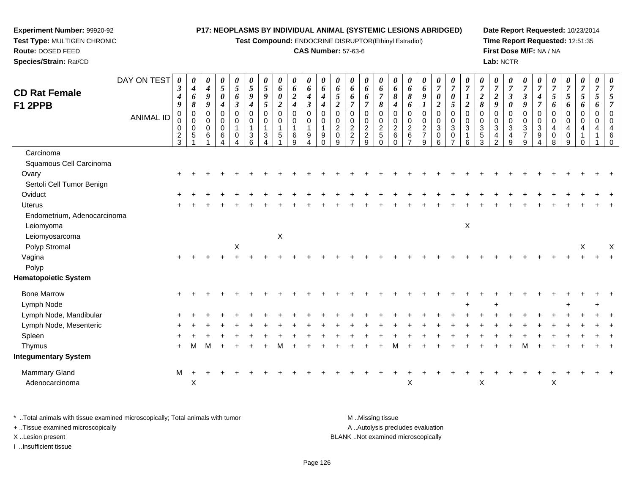**Test Compound:** ENDOCRINE DISRUPTOR(Ethinyl Estradiol)

#### **CAS Number:** 57-63-6

**Date Report Requested:** 10/23/2014**Time Report Requested:** 12:51:35**First Dose M/F:** NA / NA**Lab:** NCTR

| <b>CD Rat Female</b>        | DAY ON TEST      | 0<br>$\boldsymbol{\beta}$<br>4       | $\boldsymbol{\theta}$<br>$\boldsymbol{4}$<br>6 | 0<br>$\boldsymbol{4}$<br>$\boldsymbol{9}$      | 0<br>5<br>$\pmb{\theta}$                        | 0<br>$\mathfrak{s}$<br>6                           | 0<br>$\sqrt{5}$<br>9 | $\boldsymbol{\theta}$<br>5<br>$\boldsymbol{9}$ | 0<br>6<br>$\pmb{\theta}$ | 0<br>6<br>$\boldsymbol{2}$                         | 0<br>6<br>$\boldsymbol{4}$               | 0<br>6<br>$\boldsymbol{4}$               | 0<br>$\pmb{6}$<br>5                                              | 0<br>6<br>6                                                  | 0<br>6<br>6                                                                    | 0<br>6<br>$\overline{7}$                                      | 0<br>6<br>8                                               | 0<br>$\pmb{6}$<br>8                               | 0<br>6<br>$\boldsymbol{9}$                     | 0<br>$\overline{7}$<br>$\boldsymbol{\theta}$               | 0<br>$\boldsymbol{7}$<br>0                                        | 0<br>$\overline{7}$<br>$\boldsymbol{l}$                     | 0<br>$\overline{7}$<br>$\boldsymbol{2}$                          | 0<br>$\overline{7}$<br>$\overline{2}$                              | $\boldsymbol{\theta}$<br>$\overline{7}$<br>$\mathfrak{z}$         | 0<br>$\overline{7}$<br>$\boldsymbol{\beta}$           | 0<br>$\overline{7}$<br>4              | 0<br>$\overline{7}$<br>5                  | $\boldsymbol{\theta}$<br>$\overline{7}$<br>$\mathfrak{H}$        | 0<br>$\overline{7}$<br>$\mathfrak{s}$                                       | 0<br>$\overline{7}$<br>5 | $\overline{7}$            |
|-----------------------------|------------------|--------------------------------------|------------------------------------------------|------------------------------------------------|-------------------------------------------------|----------------------------------------------------|----------------------|------------------------------------------------|--------------------------|----------------------------------------------------|------------------------------------------|------------------------------------------|------------------------------------------------------------------|--------------------------------------------------------------|--------------------------------------------------------------------------------|---------------------------------------------------------------|-----------------------------------------------------------|---------------------------------------------------|------------------------------------------------|------------------------------------------------------------|-------------------------------------------------------------------|-------------------------------------------------------------|------------------------------------------------------------------|--------------------------------------------------------------------|-------------------------------------------------------------------|-------------------------------------------------------|---------------------------------------|-------------------------------------------|------------------------------------------------------------------|-----------------------------------------------------------------------------|--------------------------|---------------------------|
| <b>F1 2PPB</b>              |                  | 9                                    | 8                                              | $\boldsymbol{9}$                               | $\boldsymbol{4}$                                | $\boldsymbol{\beta}$                               | $\boldsymbol{4}$     | $\mathfrak{s}$                                 | $\overline{2}$           | $\boldsymbol{4}$                                   | $\boldsymbol{\beta}$                     | $\boldsymbol{4}$                         | $\overline{2}$                                                   | $\overline{7}$                                               | $\overline{7}$                                                                 | 8                                                             | $\boldsymbol{4}$                                          | 6                                                 | 1                                              | $\boldsymbol{2}$                                           | 5                                                                 | $\overline{2}$                                              | $\pmb{8}$                                                        | 9                                                                  | $\boldsymbol{\theta}$                                             | 9                                                     | $\overline{7}$                        | 6                                         | 6                                                                | 6                                                                           | 6                        | 7                         |
|                             | <b>ANIMAL ID</b> | $\pmb{0}$<br>0<br>0<br>$\frac{2}{3}$ | $\mathbf 0$<br>$\mathbf 0$<br>$\mathbf 0$<br>5 | $\mathbf 0$<br>$\mathbf 0$<br>$\mathbf 0$<br>6 | $\mathbf 0$<br>$\pmb{0}$<br>$\pmb{0}$<br>6<br>4 | $\mathbf 0$<br>$\pmb{0}$<br>$\mathbf{1}$<br>0<br>4 | 0<br>0<br>3<br>6     | $\mathbf 0$<br>$\mathbf 0$<br>1<br>3           | $\pmb{0}$<br>0<br>1<br>5 | $\mathbf 0$<br>$\pmb{0}$<br>$\mathbf{1}$<br>6<br>9 | 0<br>$\pmb{0}$<br>$\mathbf{1}$<br>9<br>4 | $\Omega$<br>$\mathbf 0$<br>9<br>$\Omega$ | $\mathbf 0$<br>$\mathbf 0$<br>$\overline{2}$<br>$\mathbf 0$<br>9 | 0<br>0<br>$\overline{c}$<br>$\overline{2}$<br>$\overline{7}$ | $\mathbf 0$<br>$\pmb{0}$<br>$\sqrt{2}$<br>$\boldsymbol{2}$<br>$\boldsymbol{9}$ | $\mathbf 0$<br>$\mathbf 0$<br>$\overline{2}$<br>5<br>$\Omega$ | $\pmb{0}$<br>$\pmb{0}$<br>$\overline{c}$<br>6<br>$\Omega$ | $\mathbf 0$<br>$\pmb{0}$<br>$\sqrt{2}$<br>$\,6\,$ | $\pmb{0}$<br>$\mathbf 0$<br>$\frac{2}{7}$<br>9 | $\pmb{0}$<br>$\pmb{0}$<br>$\mathbf{3}$<br>$\mathbf 0$<br>6 | $\mathbf 0$<br>0<br>$\mathbf{3}$<br>$\mathbf 0$<br>$\overline{ }$ | $\mathbf 0$<br>$\pmb{0}$<br>$\sqrt{3}$<br>$\mathbf{1}$<br>6 | $\mathbf 0$<br>$\mathbf 0$<br>$\sqrt{3}$<br>$5\phantom{.0}$<br>3 | $\pmb{0}$<br>0<br>$\ensuremath{\mathsf{3}}$<br>4<br>$\overline{2}$ | $\mathbf 0$<br>$\mathbf 0$<br>$\mathbf{3}$<br>$\overline{a}$<br>9 | 0<br>$\mathbf 0$<br>$\sqrt{3}$<br>$\overline{7}$<br>9 | 0<br>$\mathbf 0$<br>$\mathbf{3}$<br>9 | $\mathbf 0$<br>$\mathbf 0$<br>4<br>0<br>8 | $\mathbf 0$<br>$\mathbf 0$<br>$\overline{4}$<br>$\mathbf 0$<br>9 | $\mathbf 0$<br>$\mathbf 0$<br>$\overline{a}$<br>$\mathbf{1}$<br>$\mathbf 0$ | 0<br>0<br>4              | $\Omega$<br>$\Omega$<br>6 |
| Carcinoma                   |                  |                                      |                                                |                                                |                                                 |                                                    |                      |                                                |                          |                                                    |                                          |                                          |                                                                  |                                                              |                                                                                |                                                               |                                                           |                                                   |                                                |                                                            |                                                                   |                                                             |                                                                  |                                                                    |                                                                   |                                                       |                                       |                                           |                                                                  |                                                                             |                          |                           |
| Squamous Cell Carcinoma     |                  |                                      |                                                |                                                |                                                 |                                                    |                      |                                                |                          |                                                    |                                          |                                          |                                                                  |                                                              |                                                                                |                                                               |                                                           |                                                   |                                                |                                                            |                                                                   |                                                             |                                                                  |                                                                    |                                                                   |                                                       |                                       |                                           |                                                                  |                                                                             |                          |                           |
| Ovary                       |                  |                                      |                                                |                                                |                                                 |                                                    |                      |                                                |                          |                                                    |                                          |                                          |                                                                  |                                                              |                                                                                |                                                               |                                                           |                                                   |                                                |                                                            |                                                                   |                                                             |                                                                  |                                                                    |                                                                   |                                                       |                                       |                                           |                                                                  |                                                                             |                          |                           |
| Sertoli Cell Tumor Benign   |                  |                                      |                                                |                                                |                                                 |                                                    |                      |                                                |                          |                                                    |                                          |                                          |                                                                  |                                                              |                                                                                |                                                               |                                                           |                                                   |                                                |                                                            |                                                                   |                                                             |                                                                  |                                                                    |                                                                   |                                                       |                                       |                                           |                                                                  |                                                                             |                          |                           |
| Oviduct                     |                  |                                      |                                                |                                                |                                                 |                                                    |                      |                                                |                          |                                                    |                                          |                                          |                                                                  |                                                              |                                                                                |                                                               |                                                           |                                                   |                                                |                                                            |                                                                   |                                                             |                                                                  |                                                                    |                                                                   |                                                       |                                       |                                           |                                                                  |                                                                             |                          |                           |
| <b>Uterus</b>               |                  |                                      |                                                |                                                |                                                 |                                                    |                      |                                                |                          |                                                    |                                          |                                          |                                                                  |                                                              |                                                                                |                                                               |                                                           |                                                   |                                                |                                                            |                                                                   |                                                             |                                                                  |                                                                    |                                                                   |                                                       |                                       |                                           |                                                                  |                                                                             |                          |                           |
| Endometrium, Adenocarcinoma |                  |                                      |                                                |                                                |                                                 |                                                    |                      |                                                |                          |                                                    |                                          |                                          |                                                                  |                                                              |                                                                                |                                                               |                                                           |                                                   |                                                |                                                            |                                                                   |                                                             |                                                                  |                                                                    |                                                                   |                                                       |                                       |                                           |                                                                  |                                                                             |                          |                           |
| Leiomyoma                   |                  |                                      |                                                |                                                |                                                 |                                                    |                      |                                                |                          |                                                    |                                          |                                          |                                                                  |                                                              |                                                                                |                                                               |                                                           |                                                   |                                                |                                                            |                                                                   | $\mathsf X$                                                 |                                                                  |                                                                    |                                                                   |                                                       |                                       |                                           |                                                                  |                                                                             |                          |                           |
| Leiomyosarcoma              |                  |                                      |                                                |                                                |                                                 |                                                    |                      |                                                | $\mathsf X$              |                                                    |                                          |                                          |                                                                  |                                                              |                                                                                |                                                               |                                                           |                                                   |                                                |                                                            |                                                                   |                                                             |                                                                  |                                                                    |                                                                   |                                                       |                                       |                                           |                                                                  |                                                                             |                          |                           |
| Polyp Stromal               |                  |                                      |                                                |                                                |                                                 | $\mathsf X$                                        |                      |                                                |                          |                                                    |                                          |                                          |                                                                  |                                                              |                                                                                |                                                               |                                                           |                                                   |                                                |                                                            |                                                                   |                                                             |                                                                  |                                                                    |                                                                   |                                                       |                                       |                                           |                                                                  | X                                                                           |                          | X                         |
| Vagina                      |                  | $\ddot{}$                            |                                                |                                                |                                                 |                                                    |                      |                                                |                          |                                                    |                                          |                                          |                                                                  |                                                              |                                                                                |                                                               |                                                           |                                                   |                                                |                                                            |                                                                   |                                                             |                                                                  |                                                                    |                                                                   |                                                       |                                       |                                           |                                                                  |                                                                             |                          |                           |
| Polyp                       |                  |                                      |                                                |                                                |                                                 |                                                    |                      |                                                |                          |                                                    |                                          |                                          |                                                                  |                                                              |                                                                                |                                                               |                                                           |                                                   |                                                |                                                            |                                                                   |                                                             |                                                                  |                                                                    |                                                                   |                                                       |                                       |                                           |                                                                  |                                                                             |                          |                           |
| <b>Hematopoietic System</b> |                  |                                      |                                                |                                                |                                                 |                                                    |                      |                                                |                          |                                                    |                                          |                                          |                                                                  |                                                              |                                                                                |                                                               |                                                           |                                                   |                                                |                                                            |                                                                   |                                                             |                                                                  |                                                                    |                                                                   |                                                       |                                       |                                           |                                                                  |                                                                             |                          |                           |
| <b>Bone Marrow</b>          |                  |                                      |                                                |                                                |                                                 |                                                    |                      |                                                |                          |                                                    |                                          |                                          |                                                                  |                                                              |                                                                                |                                                               |                                                           |                                                   |                                                |                                                            |                                                                   |                                                             |                                                                  |                                                                    |                                                                   |                                                       |                                       |                                           |                                                                  |                                                                             |                          |                           |
| Lymph Node                  |                  |                                      |                                                |                                                |                                                 |                                                    |                      |                                                |                          |                                                    |                                          |                                          |                                                                  |                                                              |                                                                                |                                                               |                                                           |                                                   |                                                |                                                            |                                                                   |                                                             |                                                                  |                                                                    |                                                                   |                                                       |                                       |                                           |                                                                  |                                                                             |                          |                           |
| Lymph Node, Mandibular      |                  |                                      |                                                |                                                |                                                 |                                                    |                      |                                                |                          |                                                    |                                          |                                          |                                                                  |                                                              |                                                                                |                                                               |                                                           |                                                   |                                                |                                                            |                                                                   |                                                             |                                                                  |                                                                    |                                                                   |                                                       |                                       |                                           |                                                                  |                                                                             |                          |                           |
| Lymph Node, Mesenteric      |                  |                                      |                                                |                                                |                                                 |                                                    |                      |                                                |                          |                                                    |                                          |                                          |                                                                  |                                                              |                                                                                |                                                               |                                                           |                                                   |                                                |                                                            |                                                                   |                                                             |                                                                  |                                                                    |                                                                   |                                                       |                                       |                                           |                                                                  |                                                                             |                          |                           |
| Spleen                      |                  |                                      |                                                |                                                |                                                 |                                                    |                      |                                                |                          |                                                    |                                          |                                          |                                                                  |                                                              |                                                                                |                                                               |                                                           |                                                   |                                                |                                                            |                                                                   |                                                             |                                                                  |                                                                    |                                                                   |                                                       |                                       |                                           |                                                                  |                                                                             |                          |                           |
| Thymus                      |                  | $\ddot{}$                            | М                                              | M                                              |                                                 |                                                    |                      |                                                | м                        |                                                    |                                          |                                          |                                                                  |                                                              |                                                                                |                                                               |                                                           |                                                   |                                                |                                                            |                                                                   |                                                             |                                                                  |                                                                    |                                                                   |                                                       |                                       |                                           |                                                                  |                                                                             |                          |                           |
| <b>Integumentary System</b> |                  |                                      |                                                |                                                |                                                 |                                                    |                      |                                                |                          |                                                    |                                          |                                          |                                                                  |                                                              |                                                                                |                                                               |                                                           |                                                   |                                                |                                                            |                                                                   |                                                             |                                                                  |                                                                    |                                                                   |                                                       |                                       |                                           |                                                                  |                                                                             |                          |                           |
| <b>Mammary Gland</b>        |                  | M                                    |                                                |                                                |                                                 |                                                    |                      |                                                |                          |                                                    |                                          |                                          |                                                                  |                                                              |                                                                                |                                                               |                                                           |                                                   |                                                |                                                            |                                                                   |                                                             |                                                                  |                                                                    |                                                                   |                                                       |                                       |                                           |                                                                  |                                                                             |                          |                           |
| Adenocarcinoma              |                  |                                      | X                                              |                                                |                                                 |                                                    |                      |                                                |                          |                                                    |                                          |                                          |                                                                  |                                                              |                                                                                |                                                               |                                                           | X                                                 |                                                |                                                            |                                                                   |                                                             | X                                                                |                                                                    |                                                                   |                                                       |                                       | X                                         |                                                                  |                                                                             |                          |                           |
|                             |                  |                                      |                                                |                                                |                                                 |                                                    |                      |                                                |                          |                                                    |                                          |                                          |                                                                  |                                                              |                                                                                |                                                               |                                                           |                                                   |                                                |                                                            |                                                                   |                                                             |                                                                  |                                                                    |                                                                   |                                                       |                                       |                                           |                                                                  |                                                                             |                          |                           |

\* ..Total animals with tissue examined microscopically; Total animals with tumor **M** . Missing tissue M ..Missing tissue A ..Autolysis precludes evaluation + ..Tissue examined microscopically X ..Lesion present BLANK ..Not examined microscopicallyI ..Insufficient tissue

**Experiment Number:** 99920-92**Test Type:** MULTIGEN CHRONIC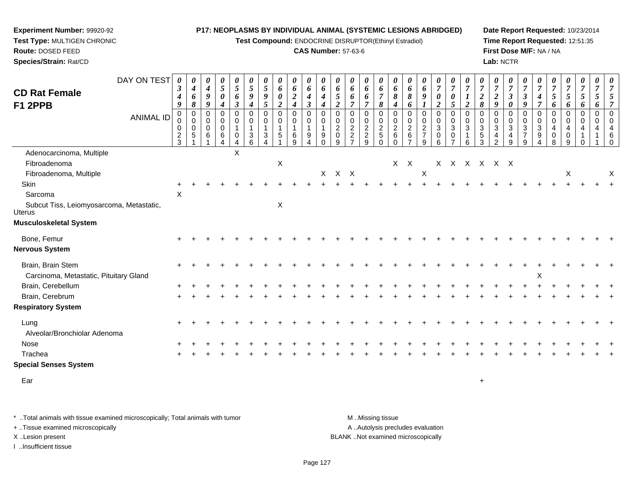**Test Compound:** ENDOCRINE DISRUPTOR(Ethinyl Estradiol)

#### **CAS Number:** 57-63-6

**Date Report Requested:** 10/23/2014**Time Report Requested:** 12:51:35**First Dose M/F:** NA / NA**Lab:** NCTR

| <b>CD Rat Female</b>                                               | DAY ON TEST      | 3<br>$\boldsymbol{4}$                    | 0<br>$\boldsymbol{4}$<br>6                                   | 0<br>$\boldsymbol{4}$<br>9 | 0<br>5<br>$\pmb{\theta}$                                                | $\frac{\theta}{5}$<br>6                                 | $\boldsymbol{\theta}$<br>$\sqrt{5}$<br>9                             | $\boldsymbol{\theta}$<br>$\mathfrak{s}$<br>9         | 0<br>$\boldsymbol{6}$<br>$\pmb{\theta}$                     | 0<br>6<br>$\boldsymbol{2}$                                                      | 0<br>6<br>4                                                       | $\boldsymbol{\theta}$<br>6<br>$\boldsymbol{4}$              | $\boldsymbol{\theta}$<br>6<br>5                                        | $\boldsymbol{\theta}$<br>6<br>6                                                 | 0<br>6<br>6                                                        | $\boldsymbol{\theta}$<br>6<br>$\overline{7}$                    | $\boldsymbol{\theta}$<br>6<br>8                                      | $\boldsymbol{\theta}$<br>6<br>8                                    | $\boldsymbol{\theta}$<br>6<br>9                                                         | $\boldsymbol{\theta}$<br>$\boldsymbol{7}$<br>$\boldsymbol{\theta}$                            | $\boldsymbol{\theta}$<br>$\overline{7}$<br>$\boldsymbol{\theta}$         | 0<br>$\boldsymbol{7}$<br>$\boldsymbol{l}$                             | 0<br>$\overline{7}$<br>$\overline{2}$                        | $\boldsymbol{\theta}$<br>$\boldsymbol{7}$<br>$\boldsymbol{2}$            | $\boldsymbol{\theta}$<br>$\overline{7}$<br>$\mathfrak{z}$                               | $\boldsymbol{\theta}$<br>$\boldsymbol{7}$<br>$\boldsymbol{\beta}$ | $\overline{7}$<br>$\boldsymbol{4}$                  | $\boldsymbol{\theta}$<br>$\overline{7}$<br>5 | $\boldsymbol{\theta}$<br>$\boldsymbol{7}$<br>$\sqrt{5}$ | 0<br>$\overline{7}$<br>$\mathfrak{s}$                  | 0<br>$\overline{7}$<br>$\overline{5}$ | 0<br>$\overline{7}$<br>5                                                     |
|--------------------------------------------------------------------|------------------|------------------------------------------|--------------------------------------------------------------|----------------------------|-------------------------------------------------------------------------|---------------------------------------------------------|----------------------------------------------------------------------|------------------------------------------------------|-------------------------------------------------------------|---------------------------------------------------------------------------------|-------------------------------------------------------------------|-------------------------------------------------------------|------------------------------------------------------------------------|---------------------------------------------------------------------------------|--------------------------------------------------------------------|-----------------------------------------------------------------|----------------------------------------------------------------------|--------------------------------------------------------------------|-----------------------------------------------------------------------------------------|-----------------------------------------------------------------------------------------------|--------------------------------------------------------------------------|-----------------------------------------------------------------------|--------------------------------------------------------------|--------------------------------------------------------------------------|-----------------------------------------------------------------------------------------|-------------------------------------------------------------------|-----------------------------------------------------|----------------------------------------------|---------------------------------------------------------|--------------------------------------------------------|---------------------------------------|------------------------------------------------------------------------------|
| F1 2PPB                                                            | <b>ANIMAL ID</b> | 9<br>$\Omega$<br>0<br>0<br>$\frac{2}{3}$ | 8<br>$\mathbf 0$<br>$\mathbf 0$<br>$\mathbf 0$<br>$\sqrt{5}$ | 9<br>0<br>0<br>0<br>6      | $\boldsymbol{4}$<br>$\mathbf 0$<br>$\mathbf 0$<br>$\mathbf 0$<br>6<br>4 | $\boldsymbol{\beta}$<br>$\mathbf 0$<br>0<br>1<br>0<br>4 | $\boldsymbol{4}$<br>$\mathbf 0$<br>0<br>$\mathbf 1$<br>$\frac{3}{6}$ | 5<br>$\mathbf 0$<br>0<br>1<br>$\sqrt{3}$<br>$\Delta$ | $\boldsymbol{2}$<br>$\mathbf 0$<br>0<br>$\overline{1}$<br>5 | $\boldsymbol{4}$<br>$\overline{0}$<br>$\mathbf 0$<br>$\mathbf{1}$<br>$\,6$<br>9 | $\boldsymbol{\beta}$<br>$\mathbf 0$<br>$\mathbf 0$<br>1<br>9<br>4 | $\overline{\boldsymbol{4}}$<br>0<br>0<br>1<br>9<br>$\Omega$ | $\overline{c}$<br>$\mathbf 0$<br>0<br>$\overline{2}$<br>$\pmb{0}$<br>9 | $\overline{7}$<br>$\mathbf 0$<br>$\mathbf 0$<br>$\frac{2}{2}$<br>$\overline{7}$ | $\overline{7}$<br>$\mathbf 0$<br>$\mathbf 0$<br>$\frac{2}{2}$<br>9 | 8<br>$\Omega$<br>$\mathbf 0$<br>$\overline{c}$<br>5<br>$\Omega$ | $\boldsymbol{4}$<br>$\mathbf 0$<br>0<br>$^2\phantom{1}6$<br>$\Omega$ | 6<br>$\mathbf 0$<br>0<br>$\overline{2}$<br>$\,6$<br>$\overline{7}$ | $\boldsymbol{l}$<br>$\mathbf 0$<br>$\mathbf 0$<br>$\overline{2}$<br>$\overline{7}$<br>9 | $\boldsymbol{2}$<br>$\mathbf 0$<br>$\mathbf 0$<br>$\mathbf{3}$<br>$\pmb{0}$<br>$6\phantom{a}$ | $\overline{5}$<br>$\mathbf 0$<br>$\mathbf 0$<br>3<br>0<br>$\overline{7}$ | $\boldsymbol{2}$<br>$\Omega$<br>$\mathbf 0$<br>$\mathbf{3}$<br>1<br>6 | 8<br>$\mathbf 0$<br>0<br>$\mathbf{3}$<br>$\overline{5}$<br>3 | $\boldsymbol{g}$<br>$\Omega$<br>0<br>$\mathbf{3}$<br>4<br>$\overline{2}$ | $\boldsymbol{\theta}$<br>$\Omega$<br>$\mathbf 0$<br>$\ensuremath{\mathsf{3}}$<br>4<br>9 | 9<br>0<br>0<br>3<br>7<br>9                                        | $\overline{7}$<br>$\Omega$<br>$\mathbf 0$<br>3<br>9 | 6<br>$\mathbf 0$<br>0<br>4<br>0<br>8         | 6<br>$\mathbf 0$<br>$\mathbf 0$<br>4<br>0<br>9          | 6<br>$\mathbf 0$<br>0<br>4<br>$\mathbf{1}$<br>$\Omega$ | 6<br>0<br>0<br>4                      | $\overline{7}$<br>$\mathbf 0$<br>$\Omega$<br>$\overline{4}$<br>6<br>$\Omega$ |
| Adenocarcinoma, Multiple<br>Fibroadenoma<br>Fibroadenoma, Multiple |                  |                                          |                                                              |                            |                                                                         | X                                                       |                                                                      |                                                      | $\mathsf X$                                                 |                                                                                 |                                                                   |                                                             | X X X                                                                  |                                                                                 |                                                                    |                                                                 |                                                                      | $X$ $X$                                                            | X                                                                                       | X                                                                                             |                                                                          |                                                                       | x x x x x                                                    |                                                                          |                                                                                         |                                                                   |                                                     |                                              | X                                                       |                                                        |                                       | $\times$                                                                     |
| Skin<br>Sarcoma<br>Subcut Tiss, Leiomyosarcoma, Metastatic,        |                  | X                                        |                                                              |                            |                                                                         |                                                         |                                                                      |                                                      | $\mathsf X$                                                 |                                                                                 |                                                                   |                                                             |                                                                        |                                                                                 |                                                                    |                                                                 |                                                                      |                                                                    |                                                                                         |                                                                                               |                                                                          |                                                                       |                                                              |                                                                          |                                                                                         |                                                                   |                                                     |                                              |                                                         |                                                        |                                       |                                                                              |
| Uterus<br>Musculoskeletal System                                   |                  |                                          |                                                              |                            |                                                                         |                                                         |                                                                      |                                                      |                                                             |                                                                                 |                                                                   |                                                             |                                                                        |                                                                                 |                                                                    |                                                                 |                                                                      |                                                                    |                                                                                         |                                                                                               |                                                                          |                                                                       |                                                              |                                                                          |                                                                                         |                                                                   |                                                     |                                              |                                                         |                                                        |                                       |                                                                              |
| Bone, Femur<br>Nervous System                                      |                  |                                          |                                                              |                            |                                                                         |                                                         |                                                                      |                                                      |                                                             |                                                                                 |                                                                   |                                                             |                                                                        |                                                                                 |                                                                    |                                                                 |                                                                      |                                                                    |                                                                                         |                                                                                               |                                                                          |                                                                       |                                                              |                                                                          |                                                                                         |                                                                   |                                                     |                                              |                                                         |                                                        |                                       |                                                                              |
| Brain, Brain Stem<br>Carcinoma, Metastatic, Pituitary Gland        |                  |                                          |                                                              |                            |                                                                         |                                                         |                                                                      |                                                      |                                                             |                                                                                 |                                                                   |                                                             |                                                                        |                                                                                 |                                                                    |                                                                 |                                                                      |                                                                    |                                                                                         |                                                                                               |                                                                          |                                                                       |                                                              |                                                                          |                                                                                         |                                                                   | X                                                   |                                              |                                                         |                                                        |                                       |                                                                              |
| Brain, Cerebellum<br>Brain, Cerebrum<br><b>Respiratory System</b>  |                  |                                          |                                                              |                            |                                                                         |                                                         |                                                                      |                                                      |                                                             |                                                                                 |                                                                   |                                                             |                                                                        |                                                                                 |                                                                    |                                                                 |                                                                      |                                                                    |                                                                                         |                                                                                               |                                                                          |                                                                       |                                                              |                                                                          |                                                                                         |                                                                   |                                                     |                                              |                                                         |                                                        |                                       |                                                                              |
| Lung<br>Alveolar/Bronchiolar Adenoma                               |                  |                                          |                                                              |                            |                                                                         |                                                         |                                                                      |                                                      |                                                             |                                                                                 |                                                                   |                                                             |                                                                        |                                                                                 |                                                                    |                                                                 |                                                                      |                                                                    |                                                                                         |                                                                                               |                                                                          |                                                                       |                                                              |                                                                          |                                                                                         |                                                                   |                                                     |                                              |                                                         |                                                        |                                       |                                                                              |
| Nose<br>Trachea<br><b>Special Senses System</b>                    |                  |                                          |                                                              |                            |                                                                         |                                                         |                                                                      |                                                      |                                                             |                                                                                 |                                                                   |                                                             |                                                                        |                                                                                 |                                                                    |                                                                 |                                                                      |                                                                    |                                                                                         |                                                                                               |                                                                          |                                                                       |                                                              |                                                                          |                                                                                         |                                                                   |                                                     |                                              |                                                         |                                                        |                                       |                                                                              |
| Ear                                                                |                  |                                          |                                                              |                            |                                                                         |                                                         |                                                                      |                                                      |                                                             |                                                                                 |                                                                   |                                                             |                                                                        |                                                                                 |                                                                    |                                                                 |                                                                      |                                                                    |                                                                                         |                                                                                               |                                                                          |                                                                       | $\ddot{}$                                                    |                                                                          |                                                                                         |                                                                   |                                                     |                                              |                                                         |                                                        |                                       |                                                                              |

\* ..Total animals with tissue examined microscopically; Total animals with tumor **M** . Missing tissue M ..Missing tissue A ..Autolysis precludes evaluation + ..Tissue examined microscopically X ..Lesion present BLANK ..Not examined microscopicallyI ..Insufficient tissue

**Experiment Number:** 99920-92**Test Type:** MULTIGEN CHRONIC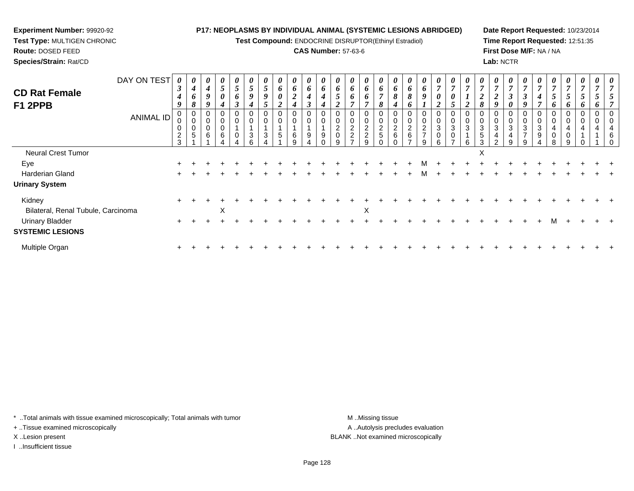**Test Compound:** ENDOCRINE DISRUPTOR(Ethinyl Estradiol)

#### **CAS Number:** 57-63-6

**Date Report Requested:** 10/23/2014**Time Report Requested:** 12:51:35**First Dose M/F:** NA / NA**Lab:** NCTR

| DAY ON TEST<br><b>CD Rat Female</b><br>F1 2PPB    | 0<br>$\boldsymbol{\beta}$<br>4<br>q | $\boldsymbol{\theta}$<br>$\boldsymbol{4}$<br>6<br>8 | 0<br>4<br>9<br>9 | $\boldsymbol{\theta}$<br>$\overline{5}$<br>$\boldsymbol{\theta}$ | $\boldsymbol{\theta}$<br>$\mathfrak{H}$<br>6 | $\mathfrak{I}$<br>9 | U<br>5<br>9     | $\boldsymbol{\theta}$<br>6<br>0           | 0<br>6<br>$\boldsymbol{2}$<br>$\boldsymbol{4}$            | $\boldsymbol{\theta}$<br>6<br>4 | 6<br>4 | 6                        | $\boldsymbol{\theta}$<br>6<br>6 | $\boldsymbol{\theta}$<br>6<br>6             | $\boldsymbol{\theta}$<br>6<br>$\overline{ }$<br>$\sigma$ | 6<br>8<br>4 | U.<br>6<br>8             | $\boldsymbol{\theta}$<br>6<br>9  | $\boldsymbol{\theta}$<br>$\overline{7}$<br>$\boldsymbol{\theta}$<br><u>ำ</u> | $\boldsymbol{\theta}$<br>$\overline{ }$<br>0 | $\boldsymbol{\theta}$ | $\boldsymbol{\theta}$<br>$\mathbf{r}$<br>∠      | 0<br>$\overline{ }$<br>◠<br>J<br>0      | $\boldsymbol{\theta}$<br>J<br>9    | 4                     | $\theta$<br>$\overline{ }$<br>5<br>O. | $\boldsymbol{\theta}$<br>5 | $\theta$<br>$\mathcal{I}$ | 0 |   |
|---------------------------------------------------|-------------------------------------|-----------------------------------------------------|------------------|------------------------------------------------------------------|----------------------------------------------|---------------------|-----------------|-------------------------------------------|-----------------------------------------------------------|---------------------------------|--------|--------------------------|---------------------------------|---------------------------------------------|----------------------------------------------------------|-------------|--------------------------|----------------------------------|------------------------------------------------------------------------------|----------------------------------------------|-----------------------|-------------------------------------------------|-----------------------------------------|------------------------------------|-----------------------|---------------------------------------|----------------------------|---------------------------|---|---|
| <b>ANIMAL ID</b>                                  | 0<br>$\overline{c}$<br>3            | 0<br>$\mathbf 0$<br>$\pmb{0}$<br>$\sqrt{5}$         | 0<br>0<br>0<br>6 | $\mathbf 0$<br>$\mathbf 0$<br>$\mathbf 0$<br>$\,6\,$             |                                              | 3                   | 0<br>$\sqrt{3}$ | $\mathbf 0$<br>$\mathbf 0$<br>$\,$ 5 $\,$ | $\boldsymbol{0}$<br>$\pmb{0}$<br>$\overline{A}$<br>6<br>9 | $\Omega$<br>9                   |        | 0<br>$\overline{c}$<br>0 | 0<br>0<br>$\frac{2}{2}$         | 0<br>$\pmb{0}$<br>$\frac{2}{2}$<br>$\Omega$ | 0<br>$\mathbf 0$<br>$\frac{2}{5}$                        | $^2$ 6      | 0<br>$\overline{a}$<br>6 | $\overline{c}$<br>$\overline{ }$ | $\mathbf 0$<br>$\pmb{0}$<br>$\mathbf{3}$<br>$\pmb{0}$<br>6                   | 0<br>$\mathbf 0$<br>3<br>0                   | 3                     | $\overline{0}$<br>3<br>$\overline{4}$<br>$\sim$ | $\mathbf 0$<br>3<br>$\overline{4}$<br>9 | $\mathbf 0$<br>3<br>$\overline{ }$ | $\mathbf 0$<br>3<br>9 | 4                                     |                            |                           |   | 6 |
| Neural Crest Tumor                                |                                     |                                                     |                  |                                                                  |                                              |                     |                 |                                           |                                                           |                                 |        |                          |                                 |                                             |                                                          |             |                          |                                  |                                                                              |                                              | X                     |                                                 |                                         |                                    |                       |                                       |                            |                           |   |   |
| Eye                                               |                                     |                                                     |                  |                                                                  |                                              |                     |                 |                                           |                                                           |                                 |        |                          |                                 |                                             |                                                          |             |                          |                                  |                                                                              |                                              |                       |                                                 |                                         |                                    |                       |                                       |                            |                           |   |   |
| Harderian Gland                                   |                                     |                                                     |                  |                                                                  |                                              |                     |                 |                                           |                                                           |                                 |        |                          |                                 |                                             |                                                          |             |                          |                                  |                                                                              |                                              |                       |                                                 |                                         |                                    |                       |                                       |                            |                           |   |   |
| <b>Urinary System</b>                             |                                     |                                                     |                  |                                                                  |                                              |                     |                 |                                           |                                                           |                                 |        |                          |                                 |                                             |                                                          |             |                          |                                  |                                                                              |                                              |                       |                                                 |                                         |                                    |                       |                                       |                            |                           |   |   |
| Kidney<br>Bilateral, Renal Tubule, Carcinoma      | $\pm$                               |                                                     |                  | X                                                                |                                              |                     |                 |                                           |                                                           |                                 |        |                          |                                 | X                                           |                                                          |             |                          |                                  |                                                                              |                                              |                       |                                                 |                                         |                                    |                       |                                       |                            |                           |   |   |
| <b>Urinary Bladder</b><br><b>SYSTEMIC LESIONS</b> | $\pm$                               |                                                     |                  |                                                                  |                                              |                     |                 |                                           |                                                           |                                 |        |                          |                                 |                                             |                                                          |             |                          |                                  |                                                                              |                                              |                       |                                                 |                                         |                                    |                       |                                       |                            |                           |   |   |
| Multiple Organ                                    | $\pm$                               |                                                     |                  |                                                                  |                                              |                     |                 |                                           |                                                           |                                 |        |                          |                                 |                                             |                                                          |             |                          |                                  |                                                                              |                                              |                       |                                                 |                                         |                                    |                       |                                       |                            |                           |   |   |

\* ..Total animals with tissue examined microscopically; Total animals with tumor **M** . Missing tissue M ..Missing tissue

+ ..Tissue examined microscopically

**Experiment Number:** 99920-92**Test Type:** MULTIGEN CHRONIC

**Route:** DOSED FEED**Species/Strain:** Rat/CD

I ..Insufficient tissue

A ..Autolysis precludes evaluation X ..Lesion present BLANK ..Not examined microscopically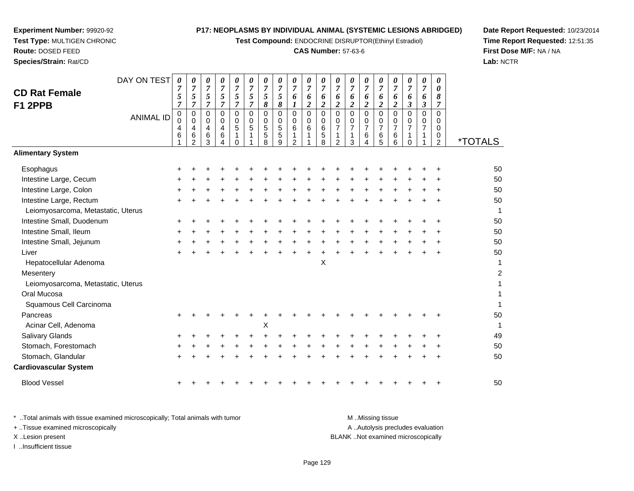**Test Compound:** ENDOCRINE DISRUPTOR(Ethinyl Estradiol)

#### **CAS Number:** 57-63-6

**Date Report Requested:** 10/23/2014**Time Report Requested:** 12:51:35**First Dose M/F:** NA / NA**Lab:** NCTR

|                                    | DAY ON TEST      | 0              | 0                     | 0                       | 0                          | 0                     | 0                     | 0                            | 0                   | 0                              | 0                   | 0                   | 0                              | 0<br>$\overline{7}$ | 0                     | 0                   | 0                       | 0                           | 0<br>$\overline{7}$ | 0<br>$\boldsymbol{\theta}$ |                       |
|------------------------------------|------------------|----------------|-----------------------|-------------------------|----------------------------|-----------------------|-----------------------|------------------------------|---------------------|--------------------------------|---------------------|---------------------|--------------------------------|---------------------|-----------------------|---------------------|-------------------------|-----------------------------|---------------------|----------------------------|-----------------------|
| <b>CD Rat Female</b>               |                  | 7<br>5         | $\boldsymbol{7}$<br>5 | $\boldsymbol{7}$<br>5   | $\boldsymbol{7}$<br>5      | $\boldsymbol{7}$<br>5 | $\boldsymbol{7}$<br>5 | $\overline{7}$<br>$\sqrt{5}$ | $\overline{7}$<br>5 | $\boldsymbol{7}$<br>6          | $\overline{7}$<br>6 | $\overline{7}$<br>6 | $\overline{7}$<br>6            | 6                   | $\boldsymbol{7}$<br>6 | $\overline{7}$<br>6 | $\boldsymbol{7}$<br>6   | $\overline{7}$<br>6         | 6                   | 8                          |                       |
| F1 2PPB                            |                  | $\overline{7}$ | 7                     | $\overline{7}$          | $\overline{7}$             | $\overline{7}$        | $\boldsymbol{7}$      | $\pmb{8}$                    | 8                   | $\boldsymbol{l}$               | $\boldsymbol{2}$    | $\boldsymbol{2}$    | $\boldsymbol{2}$               | $\overline{c}$      | $\boldsymbol{2}$      | $\boldsymbol{2}$    | $\overline{\mathbf{c}}$ | $\mathfrak{z}$              | $\mathfrak{z}$      | $\overline{7}$             |                       |
|                                    | <b>ANIMAL ID</b> | $\pmb{0}$<br>0 | $\mathbf 0$<br>0      | $\mathbf 0$<br>0        | $\mathbf 0$<br>$\mathbf 0$ | $\mathbf 0$<br>0      | $\mathbf 0$<br>0      | $\mathbf 0$<br>0             | $\mathbf 0$<br>0    | $\pmb{0}$<br>0                 | $\mathbf 0$<br>0    | $\mathbf 0$<br>0    | $\mathbf 0$<br>0               | $\mathbf 0$<br>0    | $\mathbf 0$<br>0      | $\mathbf 0$<br>0    | $\mathbf 0$<br>0        | $\mathbf 0$<br>0            | $\Omega$<br>0       | $\Omega$<br>0              |                       |
|                                    |                  | 4              | 4                     | $\overline{\mathbf{4}}$ | 4                          | 5                     | 5                     | $\sqrt{5}$                   | 5                   | 6                              | 6                   | 6                   | $\overline{7}$                 | $\overline{7}$      | $\overline{7}$        | $\overline{7}$      | $\overline{7}$          | $\overline{7}$              | $\overline{7}$      | $\mathbf 0$                |                       |
|                                    |                  | 6              | 6<br>$\overline{2}$   | 6<br>3                  | 6<br>4                     | 1<br>$\Omega$         |                       | $\mathbf 5$<br>8             | 5<br>9              | $\mathbf{1}$<br>$\overline{c}$ | $\mathbf{1}$        | 5<br>8              | $\mathbf{1}$<br>$\overline{2}$ | 1<br>3              | 6<br>4                | $\,6$<br>5          | 6<br>6                  | $\mathbf{1}$<br>$\mathbf 0$ | 1                   | 0<br>$\overline{c}$        | <i><b>*TOTALS</b></i> |
| <b>Alimentary System</b>           |                  |                |                       |                         |                            |                       |                       |                              |                     |                                |                     |                     |                                |                     |                       |                     |                         |                             |                     |                            |                       |
| Esophagus                          |                  |                |                       |                         |                            |                       |                       |                              |                     |                                |                     |                     |                                |                     |                       |                     |                         |                             |                     |                            | 50                    |
| Intestine Large, Cecum             |                  |                |                       |                         |                            |                       |                       |                              |                     |                                |                     |                     |                                |                     |                       |                     |                         |                             |                     |                            | 50                    |
| Intestine Large, Colon             |                  |                |                       |                         |                            |                       |                       |                              |                     |                                |                     |                     |                                |                     |                       |                     |                         |                             |                     |                            | 50                    |
| Intestine Large, Rectum            |                  |                |                       |                         |                            |                       |                       |                              |                     |                                |                     |                     |                                |                     |                       |                     |                         |                             |                     |                            | 50                    |
| Leiomyosarcoma, Metastatic, Uterus |                  |                |                       |                         |                            |                       |                       |                              |                     |                                |                     |                     |                                |                     |                       |                     |                         |                             |                     |                            | 1                     |
| Intestine Small, Duodenum          |                  |                |                       |                         |                            |                       |                       |                              |                     |                                |                     |                     |                                |                     |                       |                     |                         |                             |                     |                            | 50                    |
| Intestine Small, Ileum             |                  | +              |                       |                         |                            |                       |                       |                              |                     |                                |                     |                     |                                |                     |                       |                     |                         |                             |                     |                            | 50                    |
| Intestine Small, Jejunum           |                  |                |                       |                         |                            |                       |                       |                              |                     |                                |                     |                     |                                |                     |                       |                     |                         |                             |                     |                            | 50                    |
| Liver                              |                  | $\pm$          |                       |                         |                            |                       |                       |                              |                     |                                |                     |                     |                                |                     |                       |                     |                         |                             |                     |                            | 50                    |
| Hepatocellular Adenoma             |                  |                |                       |                         |                            |                       |                       |                              |                     |                                |                     | Χ                   |                                |                     |                       |                     |                         |                             |                     |                            | 1                     |
| Mesentery                          |                  |                |                       |                         |                            |                       |                       |                              |                     |                                |                     |                     |                                |                     |                       |                     |                         |                             |                     |                            | $\overline{c}$        |
| Leiomyosarcoma, Metastatic, Uterus |                  |                |                       |                         |                            |                       |                       |                              |                     |                                |                     |                     |                                |                     |                       |                     |                         |                             |                     |                            | 1                     |
| Oral Mucosa                        |                  |                |                       |                         |                            |                       |                       |                              |                     |                                |                     |                     |                                |                     |                       |                     |                         |                             |                     |                            | 1                     |
| Squamous Cell Carcinoma            |                  |                |                       |                         |                            |                       |                       |                              |                     |                                |                     |                     |                                |                     |                       |                     |                         |                             |                     |                            |                       |
| Pancreas                           |                  |                |                       |                         |                            |                       |                       |                              |                     |                                |                     |                     |                                |                     |                       |                     |                         |                             |                     |                            | 50                    |
| Acinar Cell, Adenoma               |                  |                |                       |                         |                            |                       |                       | X                            |                     |                                |                     |                     |                                |                     |                       |                     |                         |                             |                     |                            | $\mathbf{1}$          |
| Salivary Glands                    |                  |                |                       |                         |                            |                       |                       |                              |                     |                                |                     |                     |                                |                     |                       |                     |                         |                             |                     |                            | 49                    |
| Stomach, Forestomach               |                  |                |                       |                         |                            |                       |                       |                              |                     |                                |                     |                     |                                |                     |                       |                     |                         |                             |                     |                            | 50                    |
| Stomach, Glandular                 |                  |                |                       |                         |                            |                       |                       |                              |                     |                                |                     |                     |                                |                     |                       |                     |                         |                             |                     |                            | 50                    |
| <b>Cardiovascular System</b>       |                  |                |                       |                         |                            |                       |                       |                              |                     |                                |                     |                     |                                |                     |                       |                     |                         |                             |                     |                            |                       |
| <b>Blood Vessel</b>                |                  |                |                       |                         |                            |                       |                       |                              |                     |                                |                     |                     |                                |                     |                       |                     |                         |                             |                     |                            | 50                    |

**Experiment Number:** 99920-92**Test Type:** MULTIGEN CHRONIC

**Route:** DOSED FEED**Species/Strain:** Rat/CD

\* ..Total animals with tissue examined microscopically; Total animals with tumor **M** . Missing tissue M ..Missing tissue A ..Autolysis precludes evaluation + ..Tissue examined microscopically X ..Lesion present BLANK ..Not examined microscopicallyI ..Insufficient tissue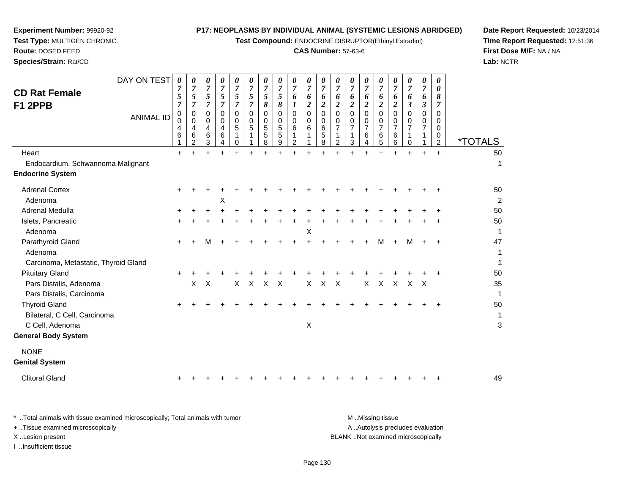**Test Compound:** ENDOCRINE DISRUPTOR(Ethinyl Estradiol)

# **CAS Number:** 57-63-6

**Date Report Requested:** 10/23/2014 **Time Report Requested:** 12:51:36**First Dose M/F:** NA / NA**Lab:** NCTR

| <b>CD Rat Female</b><br>F1 2PPB<br>Heart             | DAY ON TEST<br><b>ANIMAL ID</b> | $\boldsymbol{\theta}$<br>$\overline{7}$<br>5<br>$\overline{7}$<br>$\mathbf 0$<br>0<br>4<br>$6\phantom{1}6$<br>$+$ | 0<br>$\overline{7}$<br>$\sqrt{5}$<br>$\overline{7}$<br>$\Omega$<br>$\mathbf 0$<br>4<br>6<br>$\overline{2}$<br>$+$ | $\boldsymbol{\theta}$<br>$\overline{7}$<br>5<br>$\overline{7}$<br>$\Omega$<br>0<br>4<br>6<br>3<br>$\ddot{}$ | 0<br>7<br>5<br>$\overline{7}$<br>$\Omega$<br>0<br>$\overline{4}$<br>6<br>4<br>$\ddot{}$ | 0<br>$\overline{7}$<br>5<br>$\overline{7}$<br>$\Omega$<br>$\mathbf 0$<br>5<br>1<br>$\mathbf 0$<br>$+$ | $\boldsymbol{\theta}$<br>$\overline{7}$<br>$\sqrt{5}$<br>$\overline{7}$<br>0<br>$\mathbf 0$<br>5<br>1<br>1<br>$\ddot{}$ | 0<br>$\overline{7}$<br>$\sqrt{5}$<br>8<br>$\Omega$<br>$\mathbf 0$<br>$\sqrt{5}$<br>$\sqrt{5}$<br>8<br>$+$ | 0<br>$\overline{7}$<br>5<br>8<br>$\mathbf 0$<br>0<br>$\sqrt{5}$<br>$\sqrt{5}$<br>9<br>$+$ | 0<br>7<br>6<br>1<br>$\mathbf 0$<br>0<br>6<br>$\overline{2}$<br>$\ddot{}$ | 0<br>$\overline{7}$<br>6<br>$\boldsymbol{2}$<br>$\Omega$<br>0<br>6<br>1<br>$\ddot{}$ | 0<br>$\overline{7}$<br>6<br>$\boldsymbol{2}$<br>0<br>$\mathbf 0$<br>6<br>$\mathbf 5$<br>8<br>÷ | 0<br>$\overline{7}$<br>6<br>$\overline{c}$<br>$\Omega$<br>0<br>$\overline{7}$<br>1<br>2<br>$\ddot{}$ | 0<br>$\overline{7}$<br>6<br>$\boldsymbol{2}$<br>$\Omega$<br>$\mathbf 0$<br>$\overline{7}$<br>3<br>$\ddot{}$ | 0<br>7<br>6<br>$\boldsymbol{2}$<br>$\Omega$<br>$\mathbf 0$<br>$\overline{7}$<br>$\,6$<br>$\overline{4}$<br>$\ddot{}$ | 0<br>7<br>6<br>$\overline{2}$<br>$\Omega$<br>0<br>7<br>6<br>5<br>$+$ | 0<br>$\overline{7}$<br>6<br>$\boldsymbol{2}$<br>$\mathbf 0$<br>0<br>7<br>$\,6\,$<br>$\,6\,$<br>$+$ | 0<br>$\overline{7}$<br>6<br>$\boldsymbol{\beta}$<br>$\Omega$<br>0<br>7<br>1<br>$\mathbf 0$<br>$+$ | 0<br>$\overline{7}$<br>6<br>$\boldsymbol{\beta}$<br>$\mathbf 0$<br>$\mathbf 0$<br>$\overline{7}$<br>$\ddot{}$ | 0<br>0<br>8<br>$\overline{7}$<br>$\Omega$<br>0<br>0<br>0<br>$\overline{2}$<br>$+$ | <i><b>*TOTALS</b></i><br>50   |
|------------------------------------------------------|---------------------------------|-------------------------------------------------------------------------------------------------------------------|-------------------------------------------------------------------------------------------------------------------|-------------------------------------------------------------------------------------------------------------|-----------------------------------------------------------------------------------------|-------------------------------------------------------------------------------------------------------|-------------------------------------------------------------------------------------------------------------------------|-----------------------------------------------------------------------------------------------------------|-------------------------------------------------------------------------------------------|--------------------------------------------------------------------------|--------------------------------------------------------------------------------------|------------------------------------------------------------------------------------------------|------------------------------------------------------------------------------------------------------|-------------------------------------------------------------------------------------------------------------|----------------------------------------------------------------------------------------------------------------------|----------------------------------------------------------------------|----------------------------------------------------------------------------------------------------|---------------------------------------------------------------------------------------------------|---------------------------------------------------------------------------------------------------------------|-----------------------------------------------------------------------------------|-------------------------------|
| Endocardium, Schwannoma Malignant                    |                                 |                                                                                                                   |                                                                                                                   |                                                                                                             |                                                                                         |                                                                                                       |                                                                                                                         |                                                                                                           |                                                                                           |                                                                          |                                                                                      |                                                                                                |                                                                                                      |                                                                                                             |                                                                                                                      |                                                                      |                                                                                                    |                                                                                                   |                                                                                                               |                                                                                   | 1                             |
| <b>Endocrine System</b>                              |                                 |                                                                                                                   |                                                                                                                   |                                                                                                             |                                                                                         |                                                                                                       |                                                                                                                         |                                                                                                           |                                                                                           |                                                                          |                                                                                      |                                                                                                |                                                                                                      |                                                                                                             |                                                                                                                      |                                                                      |                                                                                                    |                                                                                                   |                                                                                                               |                                                                                   |                               |
| <b>Adrenal Cortex</b><br>Adenoma                     |                                 |                                                                                                                   |                                                                                                                   |                                                                                                             | X                                                                                       |                                                                                                       |                                                                                                                         |                                                                                                           |                                                                                           |                                                                          |                                                                                      |                                                                                                |                                                                                                      |                                                                                                             |                                                                                                                      |                                                                      |                                                                                                    |                                                                                                   |                                                                                                               |                                                                                   | 50<br>$\overline{\mathbf{c}}$ |
| Adrenal Medulla                                      |                                 |                                                                                                                   |                                                                                                                   |                                                                                                             |                                                                                         |                                                                                                       |                                                                                                                         |                                                                                                           |                                                                                           |                                                                          |                                                                                      |                                                                                                |                                                                                                      |                                                                                                             |                                                                                                                      |                                                                      |                                                                                                    |                                                                                                   |                                                                                                               |                                                                                   | 50                            |
| Islets, Pancreatic                                   |                                 |                                                                                                                   |                                                                                                                   |                                                                                                             |                                                                                         |                                                                                                       |                                                                                                                         |                                                                                                           |                                                                                           |                                                                          |                                                                                      |                                                                                                |                                                                                                      |                                                                                                             |                                                                                                                      |                                                                      |                                                                                                    |                                                                                                   |                                                                                                               |                                                                                   | 50                            |
| Adenoma                                              |                                 |                                                                                                                   |                                                                                                                   |                                                                                                             |                                                                                         |                                                                                                       |                                                                                                                         |                                                                                                           |                                                                                           |                                                                          | $\boldsymbol{\mathsf{X}}$                                                            |                                                                                                |                                                                                                      |                                                                                                             |                                                                                                                      |                                                                      |                                                                                                    |                                                                                                   |                                                                                                               |                                                                                   | 1                             |
| Parathyroid Gland<br>Adenoma                         |                                 |                                                                                                                   |                                                                                                                   |                                                                                                             |                                                                                         |                                                                                                       |                                                                                                                         |                                                                                                           |                                                                                           |                                                                          |                                                                                      |                                                                                                |                                                                                                      |                                                                                                             |                                                                                                                      | M                                                                    |                                                                                                    | м                                                                                                 |                                                                                                               |                                                                                   | 47<br>1                       |
| Carcinoma, Metastatic, Thyroid Gland                 |                                 |                                                                                                                   |                                                                                                                   |                                                                                                             |                                                                                         |                                                                                                       |                                                                                                                         |                                                                                                           |                                                                                           |                                                                          |                                                                                      |                                                                                                |                                                                                                      |                                                                                                             |                                                                                                                      |                                                                      |                                                                                                    |                                                                                                   |                                                                                                               |                                                                                   | 1                             |
| <b>Pituitary Gland</b>                               |                                 | ٠                                                                                                                 |                                                                                                                   |                                                                                                             |                                                                                         |                                                                                                       |                                                                                                                         |                                                                                                           |                                                                                           |                                                                          |                                                                                      |                                                                                                |                                                                                                      |                                                                                                             |                                                                                                                      |                                                                      |                                                                                                    |                                                                                                   |                                                                                                               |                                                                                   | 50                            |
| Pars Distalis, Adenoma<br>Pars Distalis, Carcinoma   |                                 |                                                                                                                   | X                                                                                                                 | $\boldsymbol{\mathsf{X}}$                                                                                   |                                                                                         | X                                                                                                     | $\mathsf{X}$                                                                                                            | $\boldsymbol{\mathsf{X}}$                                                                                 | $\mathsf{X}$                                                                              |                                                                          | $\pmb{\times}$                                                                       | X                                                                                              | $\boldsymbol{\mathsf{X}}$                                                                            |                                                                                                             | X                                                                                                                    | $\mathsf{X}$                                                         | $\mathsf{X}$                                                                                       | $\boldsymbol{\mathsf{X}}$                                                                         | $\mathsf{X}$                                                                                                  |                                                                                   | 35<br>1                       |
| <b>Thyroid Gland</b><br>Bilateral, C Cell, Carcinoma |                                 |                                                                                                                   |                                                                                                                   |                                                                                                             |                                                                                         |                                                                                                       |                                                                                                                         |                                                                                                           |                                                                                           |                                                                          |                                                                                      |                                                                                                |                                                                                                      |                                                                                                             |                                                                                                                      |                                                                      |                                                                                                    |                                                                                                   |                                                                                                               |                                                                                   | 50<br>1                       |
| C Cell, Adenoma                                      |                                 |                                                                                                                   |                                                                                                                   |                                                                                                             |                                                                                         |                                                                                                       |                                                                                                                         |                                                                                                           |                                                                                           |                                                                          | $\boldsymbol{\mathsf{X}}$                                                            |                                                                                                |                                                                                                      |                                                                                                             |                                                                                                                      |                                                                      |                                                                                                    |                                                                                                   |                                                                                                               |                                                                                   | 3                             |
| <b>General Body System</b>                           |                                 |                                                                                                                   |                                                                                                                   |                                                                                                             |                                                                                         |                                                                                                       |                                                                                                                         |                                                                                                           |                                                                                           |                                                                          |                                                                                      |                                                                                                |                                                                                                      |                                                                                                             |                                                                                                                      |                                                                      |                                                                                                    |                                                                                                   |                                                                                                               |                                                                                   |                               |
| <b>NONE</b>                                          |                                 |                                                                                                                   |                                                                                                                   |                                                                                                             |                                                                                         |                                                                                                       |                                                                                                                         |                                                                                                           |                                                                                           |                                                                          |                                                                                      |                                                                                                |                                                                                                      |                                                                                                             |                                                                                                                      |                                                                      |                                                                                                    |                                                                                                   |                                                                                                               |                                                                                   |                               |
| <b>Genital System</b>                                |                                 |                                                                                                                   |                                                                                                                   |                                                                                                             |                                                                                         |                                                                                                       |                                                                                                                         |                                                                                                           |                                                                                           |                                                                          |                                                                                      |                                                                                                |                                                                                                      |                                                                                                             |                                                                                                                      |                                                                      |                                                                                                    |                                                                                                   |                                                                                                               |                                                                                   |                               |
| <b>Clitoral Gland</b>                                |                                 |                                                                                                                   |                                                                                                                   |                                                                                                             |                                                                                         |                                                                                                       |                                                                                                                         |                                                                                                           |                                                                                           |                                                                          |                                                                                      |                                                                                                |                                                                                                      |                                                                                                             |                                                                                                                      |                                                                      |                                                                                                    |                                                                                                   |                                                                                                               |                                                                                   | 49                            |

**Experiment Number:** 99920-92**Test Type:** MULTIGEN CHRONIC

| * Total animals with tissue examined microscopically; Total animals with tumor | M Missing tissue                   |
|--------------------------------------------------------------------------------|------------------------------------|
| + Tissue examined microscopically                                              | A Autolysis precludes evaluation   |
| X Lesion present                                                               | BLANK Not examined microscopically |
| Insufficient tissue                                                            |                                    |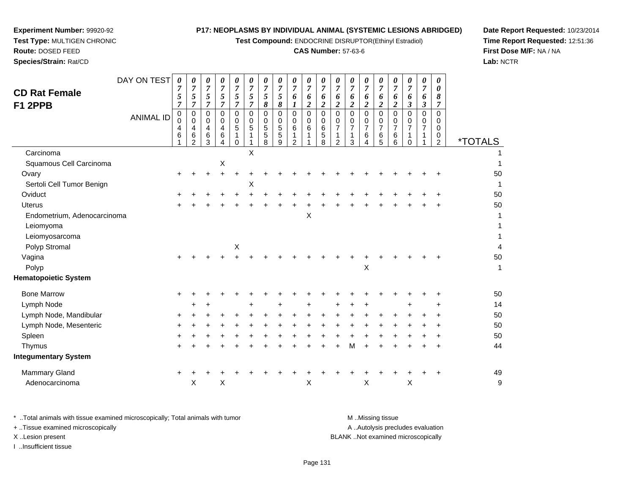**Test Compound:** ENDOCRINE DISRUPTOR(Ethinyl Estradiol)

#### **CAS Number:** 57-63-6

**Date Report Requested:** 10/23/2014**Time Report Requested:** 12:51:36**First Dose M/F:** NA / NA**Lab:** NCTR

| DAY ON TEST<br><b>CD Rat Female</b><br>F1 2PPB<br><b>ANIMAL ID</b> | $\overline{7}$<br>5<br>$\overline{7}$<br>$\pmb{0}$<br>$\mathbf 0$<br>4<br>6 | $\overline{7}$<br>5<br>$\overline{7}$<br>0<br>$\mathbf 0$<br>4<br>6<br>$\overline{2}$ | $\boldsymbol{7}$<br>5<br>$\overline{7}$<br>0<br>$\mathbf 0$<br>4<br>6<br>3 | $\overline{7}$<br>5<br>$\overline{7}$<br>$\pmb{0}$<br>$\mathbf 0$<br>$\overline{4}$<br>$6\phantom{1}6$<br>4 | $\overline{7}$<br>5<br>$\overline{7}$<br>$\mathbf 0$<br>$\mathbf 0$<br>5<br>1<br>$\Omega$ | $\overline{7}$<br>$\sqrt{5}$<br>$\overline{7}$<br>$\mathbf 0$<br>$\Omega$<br>5 | $\boldsymbol{7}$<br>5<br>8<br>$\mathbf 0$<br>$\mathbf 0$<br>$\sqrt{5}$<br>5<br>8 | $\boldsymbol{7}$<br>5<br>8<br>0<br>0<br>5<br>5<br>9 | $\overline{7}$<br>6<br>1<br>0<br>$\mathbf 0$<br>6<br>$\overline{2}$ | $\overline{7}$<br>6<br>$\boldsymbol{2}$<br>$\mathbf 0$<br>$\mathbf 0$<br>6 | $\overline{7}$<br>6<br>$\overline{2}$<br>$\mathbf 0$<br>$\mathbf 0$<br>6<br>5<br>8 | $\overline{7}$<br>6<br>$\boldsymbol{2}$<br>$\mathbf 0$<br>0<br>$\overline{7}$<br>1<br>$\overline{2}$ | $\overline{7}$<br>6<br>$\overline{\mathbf{c}}$<br>0<br>0<br>$\overline{7}$<br>3 | 7<br>6<br>$\boldsymbol{2}$<br>$\mathsf 0$<br>0<br>$\overline{7}$<br>6<br>4 | $\overline{7}$<br>6<br>$\boldsymbol{2}$<br>$\mathbf 0$<br>0<br>$\overline{7}$<br>$\,6$<br>5 | $\overline{7}$<br>6<br>$\boldsymbol{2}$<br>$\mathbf 0$<br>0<br>7<br>6<br>6 | $\overline{7}$<br>6<br>3<br>$\mathbf 0$<br>$\mathbf 0$<br>7<br>1<br>$\Omega$ | $\overline{7}$<br>6<br>3<br>0<br>0<br>$\overline{7}$ | 0<br>8<br>$\overline{7}$<br>0<br>0<br>0<br>0<br>$\overline{2}$ | <i><b>*TOTALS</b></i>    |
|--------------------------------------------------------------------|-----------------------------------------------------------------------------|---------------------------------------------------------------------------------------|----------------------------------------------------------------------------|-------------------------------------------------------------------------------------------------------------|-------------------------------------------------------------------------------------------|--------------------------------------------------------------------------------|----------------------------------------------------------------------------------|-----------------------------------------------------|---------------------------------------------------------------------|----------------------------------------------------------------------------|------------------------------------------------------------------------------------|------------------------------------------------------------------------------------------------------|---------------------------------------------------------------------------------|----------------------------------------------------------------------------|---------------------------------------------------------------------------------------------|----------------------------------------------------------------------------|------------------------------------------------------------------------------|------------------------------------------------------|----------------------------------------------------------------|--------------------------|
| Carcinoma                                                          |                                                                             |                                                                                       |                                                                            |                                                                                                             |                                                                                           | X                                                                              |                                                                                  |                                                     |                                                                     |                                                                            |                                                                                    |                                                                                                      |                                                                                 |                                                                            |                                                                                             |                                                                            |                                                                              |                                                      |                                                                |                          |
| Squamous Cell Carcinoma                                            |                                                                             |                                                                                       |                                                                            | $\boldsymbol{\mathsf{X}}$                                                                                   |                                                                                           |                                                                                |                                                                                  |                                                     |                                                                     |                                                                            |                                                                                    |                                                                                                      |                                                                                 |                                                                            |                                                                                             |                                                                            |                                                                              |                                                      |                                                                | 1                        |
| Ovary                                                              | $\ddot{}$                                                                   |                                                                                       |                                                                            | $\ddot{}$                                                                                                   |                                                                                           |                                                                                |                                                                                  |                                                     |                                                                     |                                                                            |                                                                                    |                                                                                                      |                                                                                 |                                                                            |                                                                                             |                                                                            |                                                                              |                                                      |                                                                | 50                       |
| Sertoli Cell Tumor Benign                                          |                                                                             |                                                                                       |                                                                            |                                                                                                             |                                                                                           | Χ                                                                              |                                                                                  |                                                     |                                                                     |                                                                            |                                                                                    |                                                                                                      |                                                                                 |                                                                            |                                                                                             |                                                                            |                                                                              |                                                      |                                                                | 1                        |
| Oviduct                                                            |                                                                             |                                                                                       |                                                                            |                                                                                                             |                                                                                           |                                                                                |                                                                                  |                                                     |                                                                     |                                                                            |                                                                                    |                                                                                                      |                                                                                 |                                                                            |                                                                                             |                                                                            |                                                                              |                                                      |                                                                | 50                       |
| <b>Uterus</b>                                                      |                                                                             |                                                                                       |                                                                            |                                                                                                             |                                                                                           |                                                                                |                                                                                  |                                                     |                                                                     |                                                                            |                                                                                    |                                                                                                      |                                                                                 |                                                                            |                                                                                             |                                                                            |                                                                              |                                                      |                                                                | 50                       |
| Endometrium, Adenocarcinoma                                        |                                                                             |                                                                                       |                                                                            |                                                                                                             |                                                                                           |                                                                                |                                                                                  |                                                     |                                                                     | $\pmb{\times}$                                                             |                                                                                    |                                                                                                      |                                                                                 |                                                                            |                                                                                             |                                                                            |                                                                              |                                                      |                                                                |                          |
| Leiomyoma                                                          |                                                                             |                                                                                       |                                                                            |                                                                                                             |                                                                                           |                                                                                |                                                                                  |                                                     |                                                                     |                                                                            |                                                                                    |                                                                                                      |                                                                                 |                                                                            |                                                                                             |                                                                            |                                                                              |                                                      |                                                                | 1                        |
| Leiomyosarcoma                                                     |                                                                             |                                                                                       |                                                                            |                                                                                                             |                                                                                           |                                                                                |                                                                                  |                                                     |                                                                     |                                                                            |                                                                                    |                                                                                                      |                                                                                 |                                                                            |                                                                                             |                                                                            |                                                                              |                                                      |                                                                | 1                        |
| Polyp Stromal                                                      |                                                                             |                                                                                       |                                                                            |                                                                                                             | $\mathsf X$                                                                               |                                                                                |                                                                                  |                                                     |                                                                     |                                                                            |                                                                                    |                                                                                                      |                                                                                 |                                                                            |                                                                                             |                                                                            |                                                                              |                                                      |                                                                | $\overline{\mathcal{L}}$ |
| Vagina                                                             | $\ddot{}$                                                                   |                                                                                       |                                                                            |                                                                                                             |                                                                                           |                                                                                |                                                                                  |                                                     |                                                                     |                                                                            |                                                                                    |                                                                                                      |                                                                                 |                                                                            |                                                                                             |                                                                            |                                                                              |                                                      |                                                                | 50                       |
| Polyp                                                              |                                                                             |                                                                                       |                                                                            |                                                                                                             |                                                                                           |                                                                                |                                                                                  |                                                     |                                                                     |                                                                            |                                                                                    |                                                                                                      |                                                                                 | Χ                                                                          |                                                                                             |                                                                            |                                                                              |                                                      |                                                                | 1                        |
| <b>Hematopoietic System</b>                                        |                                                                             |                                                                                       |                                                                            |                                                                                                             |                                                                                           |                                                                                |                                                                                  |                                                     |                                                                     |                                                                            |                                                                                    |                                                                                                      |                                                                                 |                                                                            |                                                                                             |                                                                            |                                                                              |                                                      |                                                                |                          |
| <b>Bone Marrow</b>                                                 | +                                                                           |                                                                                       |                                                                            |                                                                                                             |                                                                                           |                                                                                |                                                                                  |                                                     |                                                                     |                                                                            |                                                                                    |                                                                                                      |                                                                                 |                                                                            |                                                                                             |                                                                            |                                                                              |                                                      |                                                                | 50                       |
| Lymph Node                                                         |                                                                             | ÷                                                                                     |                                                                            |                                                                                                             |                                                                                           | $\ddot{}$                                                                      |                                                                                  |                                                     |                                                                     |                                                                            |                                                                                    |                                                                                                      |                                                                                 | $\ddot{}$                                                                  |                                                                                             |                                                                            |                                                                              |                                                      | ÷                                                              | 14                       |
| Lymph Node, Mandibular                                             | +                                                                           |                                                                                       |                                                                            |                                                                                                             |                                                                                           |                                                                                |                                                                                  |                                                     |                                                                     |                                                                            |                                                                                    |                                                                                                      |                                                                                 |                                                                            |                                                                                             |                                                                            |                                                                              |                                                      |                                                                | 50                       |
| Lymph Node, Mesenteric                                             | +                                                                           |                                                                                       |                                                                            |                                                                                                             |                                                                                           |                                                                                |                                                                                  |                                                     |                                                                     |                                                                            |                                                                                    |                                                                                                      |                                                                                 |                                                                            |                                                                                             |                                                                            |                                                                              |                                                      |                                                                | 50                       |
| Spleen                                                             |                                                                             |                                                                                       |                                                                            |                                                                                                             |                                                                                           |                                                                                |                                                                                  |                                                     |                                                                     |                                                                            |                                                                                    |                                                                                                      |                                                                                 |                                                                            |                                                                                             |                                                                            |                                                                              |                                                      |                                                                | 50                       |
| Thymus                                                             | $\pm$                                                                       |                                                                                       |                                                                            |                                                                                                             |                                                                                           |                                                                                |                                                                                  |                                                     |                                                                     |                                                                            |                                                                                    |                                                                                                      | M                                                                               |                                                                            |                                                                                             |                                                                            |                                                                              |                                                      | $\ddot{}$                                                      | 44                       |
| <b>Integumentary System</b>                                        |                                                                             |                                                                                       |                                                                            |                                                                                                             |                                                                                           |                                                                                |                                                                                  |                                                     |                                                                     |                                                                            |                                                                                    |                                                                                                      |                                                                                 |                                                                            |                                                                                             |                                                                            |                                                                              |                                                      |                                                                |                          |
| Mammary Gland                                                      | $\ddot{}$                                                                   |                                                                                       |                                                                            |                                                                                                             |                                                                                           |                                                                                |                                                                                  |                                                     |                                                                     |                                                                            |                                                                                    |                                                                                                      |                                                                                 |                                                                            |                                                                                             |                                                                            |                                                                              |                                                      |                                                                | 49                       |
| Adenocarcinoma                                                     |                                                                             | X                                                                                     |                                                                            | $\boldsymbol{\mathsf{X}}$                                                                                   |                                                                                           |                                                                                |                                                                                  |                                                     |                                                                     | $\boldsymbol{\mathsf{X}}$                                                  |                                                                                    |                                                                                                      |                                                                                 | Χ                                                                          |                                                                                             |                                                                            | X                                                                            |                                                      |                                                                | g                        |

**Experiment Number:** 99920-92**Test Type:** MULTIGEN CHRONIC

**Route:** DOSED FEED**Species/Strain:** Rat/CD

\* ..Total animals with tissue examined microscopically; Total animals with tumor **M** . Missing tissue M ..Missing tissue A ..Autolysis precludes evaluation + ..Tissue examined microscopically X ..Lesion present BLANK ..Not examined microscopicallyI ..Insufficient tissue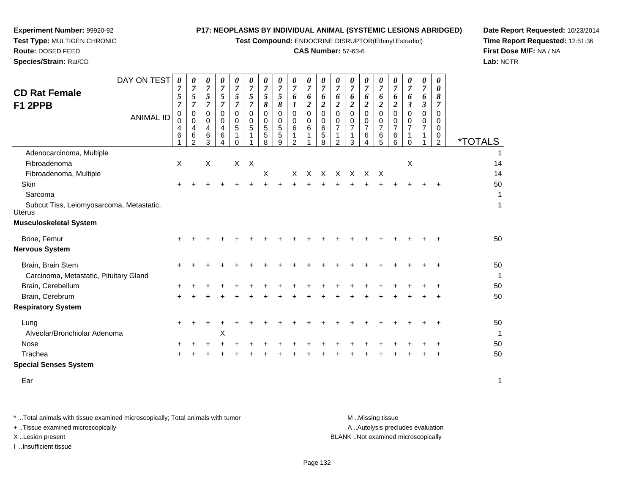**Test Compound:** ENDOCRINE DISRUPTOR(Ethinyl Estradiol)

#### **CAS Number:** 57-63-6

**Date Report Requested:** 10/23/2014**Time Report Requested:** 12:51:36**First Dose M/F:** NA / NA**Lab:** NCTR

| <b>CD Rat Female</b><br>F1 2PPB                           | DAY ON TEST<br><b>ANIMAL ID</b> | 0<br>7<br>5<br>$\overline{7}$<br>$\pmb{0}$<br>0<br>4<br>6 | 0<br>$\boldsymbol{7}$<br>5<br>$\overline{7}$<br>0<br>0<br>4<br>6<br>$\overline{2}$ | 0<br>$\overline{7}$<br>5<br>$\overline{7}$<br>0<br>0<br>$\overline{4}$<br>6<br>3 | $\pmb{\theta}$<br>$\overline{7}$<br>$\sqrt{5}$<br>$\overline{7}$<br>$\mathbf 0$<br>0<br>$\overline{4}$<br>6<br>4 | $\boldsymbol{\theta}$<br>$\overline{7}$<br>5<br>$\overline{7}$<br>$\Omega$<br>0<br>5<br>1<br>$\Omega$ | $\pmb{\theta}$<br>$\overline{7}$<br>$\sqrt{5}$<br>$\overline{7}$<br>0<br>0<br>5 | 0<br>$\boldsymbol{7}$<br>5<br>8<br>0<br>0<br>$\sqrt{5}$<br>5<br>8 | 0<br>$\boldsymbol{7}$<br>5<br>8<br>$\pmb{0}$<br>$\mathbf 0$<br>5<br>5<br>9 | $\pmb{\theta}$<br>$\boldsymbol{7}$<br>6<br>1<br>0<br>$\mathbf 0$<br>$\,6$<br>1<br>2 | 0<br>$\overline{7}$<br>6<br>$\boldsymbol{2}$<br>$\Omega$<br>0<br>6<br>1 | 0<br>$\overline{7}$<br>6<br>$\boldsymbol{2}$<br>0<br>0<br>6<br>5<br>8 | 0<br>$\overline{7}$<br>6<br>$\boldsymbol{2}$<br>0<br>0<br>$\overline{7}$<br>$\overline{2}$ | 0<br>7<br>6<br>$\overline{c}$<br>0<br>0<br>7<br>3 | 0<br>$\overline{7}$<br>6<br>$\boldsymbol{2}$<br>$\mathbf 0$<br>0<br>$\overline{7}$<br>6<br>$\overline{4}$ | 0<br>$\overline{7}$<br>6<br>$\boldsymbol{2}$<br>$\Omega$<br>0<br>$\overline{7}$<br>6<br>5 | 0<br>$\overline{7}$<br>6<br>$\overline{2}$<br>0<br>0<br>$\overline{7}$<br>6<br>6 | 0<br>$\overline{7}$<br>6<br>$\boldsymbol{\beta}$<br>0<br>0<br>$\overline{7}$<br>$\Omega$ | 0<br>7<br>6<br>3<br>$\Omega$<br>0<br>$\overline{7}$ | 0<br>0<br>8<br>$\overline{7}$<br>$\Omega$<br>0<br>0<br>0<br>2 | <i><b>*TOTALS</b></i> |
|-----------------------------------------------------------|---------------------------------|-----------------------------------------------------------|------------------------------------------------------------------------------------|----------------------------------------------------------------------------------|------------------------------------------------------------------------------------------------------------------|-------------------------------------------------------------------------------------------------------|---------------------------------------------------------------------------------|-------------------------------------------------------------------|----------------------------------------------------------------------------|-------------------------------------------------------------------------------------|-------------------------------------------------------------------------|-----------------------------------------------------------------------|--------------------------------------------------------------------------------------------|---------------------------------------------------|-----------------------------------------------------------------------------------------------------------|-------------------------------------------------------------------------------------------|----------------------------------------------------------------------------------|------------------------------------------------------------------------------------------|-----------------------------------------------------|---------------------------------------------------------------|-----------------------|
| Adenocarcinoma, Multiple                                  |                                 |                                                           |                                                                                    |                                                                                  |                                                                                                                  |                                                                                                       |                                                                                 |                                                                   |                                                                            |                                                                                     |                                                                         |                                                                       |                                                                                            |                                                   |                                                                                                           |                                                                                           |                                                                                  |                                                                                          |                                                     |                                                               |                       |
| Fibroadenoma                                              |                                 | X                                                         |                                                                                    | X                                                                                |                                                                                                                  |                                                                                                       | $X$ $X$                                                                         |                                                                   |                                                                            |                                                                                     |                                                                         |                                                                       |                                                                                            |                                                   |                                                                                                           |                                                                                           |                                                                                  | $\times$                                                                                 |                                                     |                                                               | 14                    |
| Fibroadenoma, Multiple                                    |                                 |                                                           |                                                                                    |                                                                                  |                                                                                                                  |                                                                                                       |                                                                                 | X                                                                 |                                                                            | X                                                                                   | X                                                                       |                                                                       |                                                                                            | X X X                                             | $\times$                                                                                                  | $\mathsf{X}$                                                                              |                                                                                  |                                                                                          |                                                     |                                                               | 14                    |
| Skin                                                      |                                 |                                                           |                                                                                    |                                                                                  |                                                                                                                  |                                                                                                       |                                                                                 |                                                                   |                                                                            |                                                                                     |                                                                         |                                                                       |                                                                                            |                                                   |                                                                                                           |                                                                                           |                                                                                  |                                                                                          |                                                     |                                                               | 50                    |
| Sarcoma                                                   |                                 |                                                           |                                                                                    |                                                                                  |                                                                                                                  |                                                                                                       |                                                                                 |                                                                   |                                                                            |                                                                                     |                                                                         |                                                                       |                                                                                            |                                                   |                                                                                                           |                                                                                           |                                                                                  |                                                                                          |                                                     |                                                               |                       |
| Subcut Tiss, Leiomyosarcoma, Metastatic,<br><b>Uterus</b> |                                 |                                                           |                                                                                    |                                                                                  |                                                                                                                  |                                                                                                       |                                                                                 |                                                                   |                                                                            |                                                                                     |                                                                         |                                                                       |                                                                                            |                                                   |                                                                                                           |                                                                                           |                                                                                  |                                                                                          |                                                     |                                                               | 1                     |
| <b>Musculoskeletal System</b>                             |                                 |                                                           |                                                                                    |                                                                                  |                                                                                                                  |                                                                                                       |                                                                                 |                                                                   |                                                                            |                                                                                     |                                                                         |                                                                       |                                                                                            |                                                   |                                                                                                           |                                                                                           |                                                                                  |                                                                                          |                                                     |                                                               |                       |
| Bone, Femur                                               |                                 |                                                           |                                                                                    |                                                                                  |                                                                                                                  |                                                                                                       |                                                                                 |                                                                   |                                                                            |                                                                                     |                                                                         |                                                                       |                                                                                            |                                                   |                                                                                                           |                                                                                           |                                                                                  |                                                                                          |                                                     |                                                               | 50                    |
| <b>Nervous System</b>                                     |                                 |                                                           |                                                                                    |                                                                                  |                                                                                                                  |                                                                                                       |                                                                                 |                                                                   |                                                                            |                                                                                     |                                                                         |                                                                       |                                                                                            |                                                   |                                                                                                           |                                                                                           |                                                                                  |                                                                                          |                                                     |                                                               |                       |
| Brain, Brain Stem                                         |                                 | ÷                                                         |                                                                                    |                                                                                  |                                                                                                                  |                                                                                                       |                                                                                 |                                                                   |                                                                            |                                                                                     |                                                                         |                                                                       |                                                                                            |                                                   |                                                                                                           |                                                                                           |                                                                                  |                                                                                          |                                                     | $\div$                                                        | 50                    |
| Carcinoma, Metastatic, Pituitary Gland                    |                                 |                                                           |                                                                                    |                                                                                  |                                                                                                                  |                                                                                                       |                                                                                 |                                                                   |                                                                            |                                                                                     |                                                                         |                                                                       |                                                                                            |                                                   |                                                                                                           |                                                                                           |                                                                                  |                                                                                          |                                                     |                                                               |                       |
| Brain, Cerebellum                                         |                                 |                                                           |                                                                                    |                                                                                  |                                                                                                                  |                                                                                                       |                                                                                 |                                                                   |                                                                            |                                                                                     |                                                                         |                                                                       |                                                                                            |                                                   |                                                                                                           |                                                                                           |                                                                                  |                                                                                          |                                                     |                                                               | 50                    |
| Brain, Cerebrum                                           |                                 | ÷                                                         |                                                                                    |                                                                                  |                                                                                                                  |                                                                                                       |                                                                                 |                                                                   |                                                                            |                                                                                     |                                                                         |                                                                       |                                                                                            |                                                   |                                                                                                           |                                                                                           |                                                                                  |                                                                                          |                                                     |                                                               | 50                    |
| <b>Respiratory System</b>                                 |                                 |                                                           |                                                                                    |                                                                                  |                                                                                                                  |                                                                                                       |                                                                                 |                                                                   |                                                                            |                                                                                     |                                                                         |                                                                       |                                                                                            |                                                   |                                                                                                           |                                                                                           |                                                                                  |                                                                                          |                                                     |                                                               |                       |
| Lung                                                      |                                 | ÷                                                         |                                                                                    |                                                                                  |                                                                                                                  |                                                                                                       |                                                                                 |                                                                   |                                                                            |                                                                                     |                                                                         |                                                                       |                                                                                            |                                                   |                                                                                                           |                                                                                           |                                                                                  |                                                                                          |                                                     |                                                               | 50                    |
| Alveolar/Bronchiolar Adenoma                              |                                 |                                                           |                                                                                    |                                                                                  | Χ                                                                                                                |                                                                                                       |                                                                                 |                                                                   |                                                                            |                                                                                     |                                                                         |                                                                       |                                                                                            |                                                   |                                                                                                           |                                                                                           |                                                                                  |                                                                                          |                                                     |                                                               | 1                     |
| Nose                                                      |                                 |                                                           |                                                                                    |                                                                                  |                                                                                                                  |                                                                                                       |                                                                                 |                                                                   |                                                                            |                                                                                     |                                                                         |                                                                       |                                                                                            |                                                   |                                                                                                           |                                                                                           |                                                                                  |                                                                                          |                                                     |                                                               | 50                    |
| Trachea                                                   |                                 |                                                           |                                                                                    |                                                                                  |                                                                                                                  |                                                                                                       |                                                                                 |                                                                   |                                                                            |                                                                                     |                                                                         |                                                                       |                                                                                            |                                                   |                                                                                                           |                                                                                           |                                                                                  |                                                                                          |                                                     |                                                               | 50                    |
|                                                           |                                 |                                                           |                                                                                    |                                                                                  |                                                                                                                  |                                                                                                       |                                                                                 |                                                                   |                                                                            |                                                                                     |                                                                         |                                                                       |                                                                                            |                                                   |                                                                                                           |                                                                                           |                                                                                  |                                                                                          |                                                     |                                                               |                       |

**Special Senses System**

**Experiment Number:** 99920-92**Test Type:** MULTIGEN CHRONIC

**Route:** DOSED FEED**Species/Strain:** Rat/CD

> Earr and the contract of the contract of the contract of the contract of the contract of the contract of the contract of the contract of the contract of the contract of the contract of the contract of the contract of the cont

\* ..Total animals with tissue examined microscopically; Total animals with tumor **M** . Missing tissue M ..Missing tissue A ..Autolysis precludes evaluation + ..Tissue examined microscopically X ..Lesion present BLANK ..Not examined microscopicallyI ..Insufficient tissue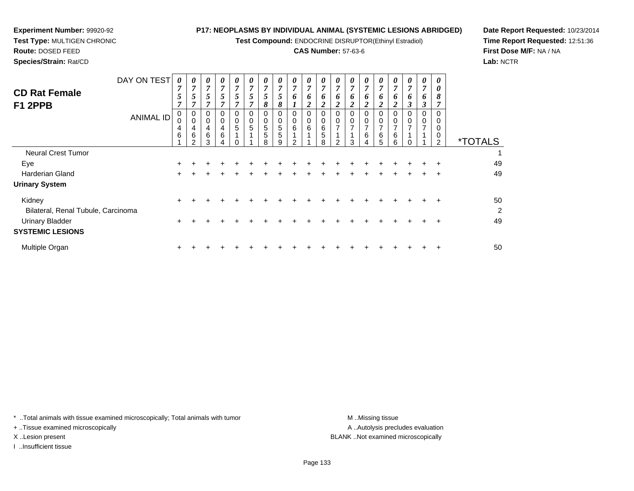**Test Compound:** ENDOCRINE DISRUPTOR(Ethinyl Estradiol)

## **CAS Number:** 57-63-6

0

0

0

0

0

0

0

**Date Report Requested:** 10/23/2014**Time Report Requested:** 12:51:36**First Dose M/F:** NA / NA**Lab:** NCTR

| Species/Strain: Rat/CD          |             |                                         |                                         |   |        |             |             |        |                    |             |             |   |  |
|---------------------------------|-------------|-----------------------------------------|-----------------------------------------|---|--------|-------------|-------------|--------|--------------------|-------------|-------------|---|--|
|                                 | DAY ON TEST | ~                                       | 0<br>-                                  | U | U<br>− | U<br>~      | U<br>−      | U      | U<br>A             | 0<br>~      | U           |   |  |
| <b>CD Rat Female</b><br>F1 2PPB |             | J<br>-                                  | Ć<br>-                                  | J | J<br>- | C<br>~      | J<br>~      | ິ<br>Ω | ມ<br>$\Omega$<br>o | 0           | n           | O |  |
|                                 | ANIMAL ID   | 0<br>0<br>4<br>$\overline{\phantom{a}}$ | 0<br>0<br>4<br>$\overline{\phantom{a}}$ | U | -      | 0<br>0<br>5 | 0<br>0<br>5 | 5      | U<br>U<br>5        | 0<br>0<br>6 | O<br>O<br>6 | 6 |  |

| AIVIIVIAL ID                       | 0<br>4<br>6 | 0<br>4<br>6<br>っ | 0<br>4<br>6<br>◠ | 0<br>4<br>6 | 0<br>$\overline{5}$ | 0<br>5<br>$\overline{\mathbf{A}}$ | $\mathbf 0$<br>$\sqrt{5}$<br>$\sqrt{5}$<br>8 | 0<br>5<br>5<br>g | 0<br>6<br>$\overline{A}$<br>$\sim$ | 0<br>$\,6\,$<br>$\overline{A}$ | 0<br>$\,6\,$<br>5<br>8 | $\mathbf 0$<br>$\overline{ }$<br>$\mathcal{D}$ | 0<br>$\overline{ }$<br>ર | 0<br>$\overline{ }$<br>6 | 0<br>$\overline{ }$<br>6<br>5 | 0<br>$\overline{7}$<br>6<br>6 | 0<br>$\overline{ }$ | 0<br>$\overline{ }$ | 0<br>0<br>0<br>$\sim$ | <i><b>*TOTALS</b></i> |
|------------------------------------|-------------|------------------|------------------|-------------|---------------------|-----------------------------------|----------------------------------------------|------------------|------------------------------------|--------------------------------|------------------------|------------------------------------------------|--------------------------|--------------------------|-------------------------------|-------------------------------|---------------------|---------------------|-----------------------|-----------------------|
| <b>Neural Crest Tumor</b>          |             |                  |                  |             |                     |                                   |                                              |                  |                                    |                                |                        |                                                |                          |                          |                               |                               |                     |                     |                       |                       |
| Eye                                | $\ddot{}$   |                  |                  |             |                     |                                   |                                              |                  |                                    |                                |                        |                                                |                          |                          |                               |                               |                     | ÷.                  | ÷                     | 49                    |
| <b>Harderian Gland</b>             | $\div$      |                  |                  |             |                     |                                   |                                              |                  |                                    |                                |                        |                                                |                          |                          |                               |                               |                     | ÷.                  |                       | 49                    |
| <b>Urinary System</b>              |             |                  |                  |             |                     |                                   |                                              |                  |                                    |                                |                        |                                                |                          |                          |                               |                               |                     |                     |                       |                       |
| Kidney                             | $\ddot{}$   |                  |                  |             |                     |                                   |                                              |                  |                                    |                                |                        |                                                |                          |                          |                               |                               |                     |                     |                       | 50                    |
| Bilateral, Renal Tubule, Carcinoma |             |                  |                  |             |                     |                                   |                                              |                  |                                    |                                |                        |                                                |                          |                          |                               |                               |                     |                     |                       | $\overline{c}$        |
| <b>Urinary Bladder</b>             | $\pm$       |                  |                  |             |                     |                                   |                                              |                  |                                    |                                |                        |                                                |                          |                          |                               |                               |                     |                     |                       | 49                    |
| <b>SYSTEMIC LESIONS</b>            |             |                  |                  |             |                     |                                   |                                              |                  |                                    |                                |                        |                                                |                          |                          |                               |                               |                     |                     |                       |                       |
| Multiple Organ                     | ÷           |                  |                  |             |                     |                                   |                                              |                  |                                    |                                |                        |                                                |                          |                          |                               |                               |                     |                     |                       | 50                    |
|                                    |             |                  |                  |             |                     |                                   |                                              |                  |                                    |                                |                        |                                                |                          |                          |                               |                               |                     |                     |                       |                       |

\* ..Total animals with tissue examined microscopically; Total animals with tumor **M** ...Missing tissue M ...Missing tissue

+ ..Tissue examined microscopically

**Experiment Number:** 99920-92**Test Type:** MULTIGEN CHRONIC

**Route:** DOSED FEED

I ..Insufficient tissue

A ..Autolysis precludes evaluation X ..Lesion present BLANK ..Not examined microscopically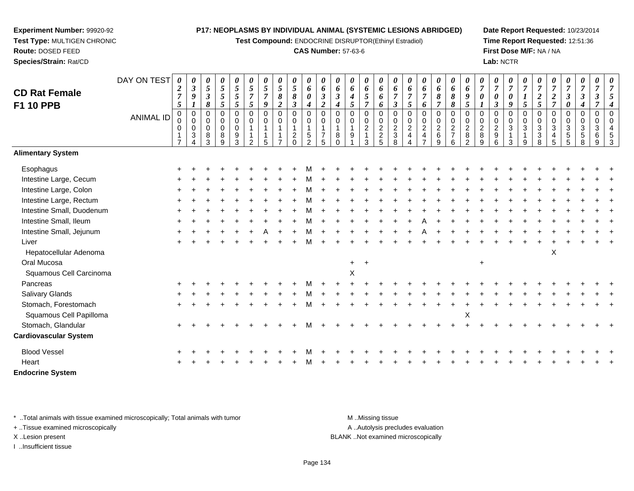**Test Compound:** ENDOCRINE DISRUPTOR(Ethinyl Estradiol)

#### **CAS Number:** 57-63-6

**Date Report Requested:** 10/23/2014**Time Report Requested:** 12:51:36**First Dose M/F:** NA / NA**Lab:** NCTR

| <b>CD Rat Female</b><br><b>F1 10 PPB</b> | DAY ON TEST<br><b>ANIMAL ID</b> | $\boldsymbol{2}$<br>$\overline{7}$<br>$\mathfrak{s}$<br>$\pmb{0}$<br>0<br>0 | 0<br>$\mathfrak{z}$<br>9<br>$\pmb{0}$<br>$\pmb{0}$<br>$\pmb{0}$<br>$\sqrt{3}$<br>$\Delta$ | $\pmb{\theta}$<br>$\mathfrak{s}$<br>$\boldsymbol{\beta}$<br>8<br>0<br>0<br>$\mathbf 0$<br>8<br>3 | $\boldsymbol{\theta}$<br>$\mathfrak{s}$<br>$\overline{5}$<br>5<br>$\mathbf 0$<br>$\mathbf 0$<br>$\mathbf 0$<br>$\,8\,$<br>9 | 0<br>$5\overline{)}$<br>5<br>5<br>$\Omega$<br>0<br>$\mathbf 0$<br>9<br>3 | 0<br>5<br>$\overline{7}$<br>$\mathfrak{s}$<br>$\mathbf 0$<br>0<br>$\mathbf{1}$<br>$\mathfrak{D}$ | 0<br>5<br>$\overline{7}$<br>9<br>$\mathbf 0$<br>$\mathbf 0$<br>5 | $\boldsymbol{\theta}$<br>$\mathfrak{H}$<br>8<br>$\overline{2}$<br>$\pmb{0}$<br>$\mathbf 0$<br>$\overline{1}$<br>$\overline{7}$ | $\boldsymbol{\theta}$<br>$\overline{5}$<br>$\pmb{8}$<br>$\boldsymbol{\beta}$<br>$\pmb{0}$<br>$\mathbf 0$<br>$\mathbf{1}$<br>$\sqrt{2}$<br>$\Omega$ | 0<br>6<br>0<br>4<br>$\mathbf 0$<br>$\mathbf 0$<br>5<br>$\mathfrak{p}$ | 0<br>6<br>$\boldsymbol{\beta}$<br>$\overline{2}$<br>$\Omega$<br>$\Omega$<br>$\overline{7}$<br>5 | 0<br>6<br>3<br>$\Omega$<br>0<br>8<br>$\Omega$ | 0<br>6<br>$\boldsymbol{4}$<br>5<br>$\mathbf 0$<br>0<br>9 | $\boldsymbol{\theta}$<br>6<br>5<br>$\overline{7}$<br>$\mathbf 0$<br>$\pmb{0}$<br>$\frac{2}{1}$<br>3 | 0<br>6<br>6<br>6<br>$\mathbf 0$<br>$\mathbf 0$<br>$\begin{array}{c} 2 \\ 2 \\ 5 \end{array}$ | 0<br>6<br>$\overline{7}$<br>$\boldsymbol{\beta}$<br>$\mathbf 0$<br>$\mathbf 0$<br>$\overline{2}$<br>$\ensuremath{\mathsf{3}}$<br>8 | 0<br>6<br>$\overline{7}$<br>5<br>$\mathbf 0$<br>$\mathbf 0$<br>$\overline{c}$<br>4 | 0<br>6<br>$\overline{7}$<br>6<br>0<br>0<br>$\overline{2}$<br>$\overline{\mathbf{4}}$<br>$\overline{z}$ | 0<br>6<br>8<br>$\overline{7}$<br>$\pmb{0}$<br>$\pmb{0}$<br>$\frac{2}{6}$<br>9 | 0<br>6<br>$\pmb{8}$<br>8<br>$\mathbf 0$<br>0<br>$\sqrt{2}$<br>$\overline{7}$<br>6 | 0<br>6<br>9<br>5<br>$\mathbf 0$<br>$\mathbf 0$<br>$\overline{c}$<br>$\,$ 8 $\,$<br>$\mathcal{P}$ | 0<br>$\overline{7}$<br>0<br>$\Omega$<br>0<br>$_{8}^2$<br>9 | $\pmb{\theta}$<br>$\overline{7}$<br>$\boldsymbol{\theta}$<br>$\boldsymbol{\beta}$<br>$\mathbf 0$<br>$0$<br>$9$<br>$6$ | 0<br>$\overline{7}$<br>$\boldsymbol{\theta}$<br>9<br>$\mathbf 0$<br>$\mathsf{O}\xspace$<br>$\overline{3}$<br>3 | 0<br>$\overline{7}$<br>$\boldsymbol{l}$<br>5<br>$\mathbf 0$<br>$\mathbf 0$<br>$\sqrt{3}$<br>9 | $\overline{7}$<br>$\boldsymbol{2}$<br>$\mathfrak{s}$<br>$\mathbf 0$<br>$\mathbf 0$<br>$\mathbf{3}$<br>$\sqrt{3}$<br>$\mathbf{8}$ | 0<br>$\overline{7}$<br>$\boldsymbol{2}$<br>$\overline{7}$<br>0<br>0<br>3<br>4<br>5 | 0<br>$\boldsymbol{7}$<br>$\boldsymbol{\beta}$<br>0<br>0<br>0<br>$\overline{3}$<br>$\frac{5}{5}$ | 0<br>$\overline{7}$<br>$\boldsymbol{\beta}$<br>4<br>$\mathbf 0$<br>$\pmb{0}$<br>$\sqrt{3}$<br>$\sqrt{5}$<br>8 | 0<br>$\boldsymbol{\beta}$<br>$\mathbf 0$<br>0<br>3<br>6<br>9 | 7<br>5<br>$\overline{4}$<br>$\Omega$<br>$\Omega$<br>$\overline{4}$<br>5<br>3 |
|------------------------------------------|---------------------------------|-----------------------------------------------------------------------------|-------------------------------------------------------------------------------------------|--------------------------------------------------------------------------------------------------|-----------------------------------------------------------------------------------------------------------------------------|--------------------------------------------------------------------------|--------------------------------------------------------------------------------------------------|------------------------------------------------------------------|--------------------------------------------------------------------------------------------------------------------------------|----------------------------------------------------------------------------------------------------------------------------------------------------|-----------------------------------------------------------------------|-------------------------------------------------------------------------------------------------|-----------------------------------------------|----------------------------------------------------------|-----------------------------------------------------------------------------------------------------|----------------------------------------------------------------------------------------------|------------------------------------------------------------------------------------------------------------------------------------|------------------------------------------------------------------------------------|--------------------------------------------------------------------------------------------------------|-------------------------------------------------------------------------------|-----------------------------------------------------------------------------------|--------------------------------------------------------------------------------------------------|------------------------------------------------------------|-----------------------------------------------------------------------------------------------------------------------|----------------------------------------------------------------------------------------------------------------|-----------------------------------------------------------------------------------------------|----------------------------------------------------------------------------------------------------------------------------------|------------------------------------------------------------------------------------|-------------------------------------------------------------------------------------------------|---------------------------------------------------------------------------------------------------------------|--------------------------------------------------------------|------------------------------------------------------------------------------|
| <b>Alimentary System</b>                 |                                 |                                                                             |                                                                                           |                                                                                                  |                                                                                                                             |                                                                          |                                                                                                  |                                                                  |                                                                                                                                |                                                                                                                                                    |                                                                       |                                                                                                 |                                               |                                                          |                                                                                                     |                                                                                              |                                                                                                                                    |                                                                                    |                                                                                                        |                                                                               |                                                                                   |                                                                                                  |                                                            |                                                                                                                       |                                                                                                                |                                                                                               |                                                                                                                                  |                                                                                    |                                                                                                 |                                                                                                               |                                                              |                                                                              |
| Esophagus                                |                                 |                                                                             |                                                                                           |                                                                                                  |                                                                                                                             |                                                                          |                                                                                                  |                                                                  |                                                                                                                                |                                                                                                                                                    |                                                                       |                                                                                                 |                                               |                                                          |                                                                                                     |                                                                                              |                                                                                                                                    |                                                                                    |                                                                                                        |                                                                               |                                                                                   |                                                                                                  |                                                            |                                                                                                                       |                                                                                                                |                                                                                               |                                                                                                                                  |                                                                                    |                                                                                                 |                                                                                                               |                                                              |                                                                              |
| Intestine Large, Cecum                   |                                 |                                                                             |                                                                                           |                                                                                                  |                                                                                                                             |                                                                          |                                                                                                  |                                                                  |                                                                                                                                |                                                                                                                                                    |                                                                       |                                                                                                 |                                               |                                                          |                                                                                                     |                                                                                              |                                                                                                                                    |                                                                                    |                                                                                                        |                                                                               |                                                                                   |                                                                                                  |                                                            |                                                                                                                       |                                                                                                                |                                                                                               |                                                                                                                                  |                                                                                    |                                                                                                 |                                                                                                               |                                                              |                                                                              |
| Intestine Large, Colon                   |                                 |                                                                             |                                                                                           |                                                                                                  |                                                                                                                             |                                                                          |                                                                                                  |                                                                  |                                                                                                                                |                                                                                                                                                    |                                                                       |                                                                                                 |                                               |                                                          |                                                                                                     |                                                                                              |                                                                                                                                    |                                                                                    |                                                                                                        |                                                                               |                                                                                   |                                                                                                  |                                                            |                                                                                                                       |                                                                                                                |                                                                                               |                                                                                                                                  |                                                                                    |                                                                                                 |                                                                                                               |                                                              |                                                                              |
| Intestine Large, Rectum                  |                                 |                                                                             |                                                                                           |                                                                                                  |                                                                                                                             |                                                                          |                                                                                                  |                                                                  |                                                                                                                                |                                                                                                                                                    |                                                                       |                                                                                                 |                                               |                                                          |                                                                                                     |                                                                                              |                                                                                                                                    |                                                                                    |                                                                                                        |                                                                               |                                                                                   |                                                                                                  |                                                            |                                                                                                                       |                                                                                                                |                                                                                               |                                                                                                                                  |                                                                                    |                                                                                                 |                                                                                                               |                                                              |                                                                              |
| Intestine Small, Duodenum                |                                 |                                                                             |                                                                                           |                                                                                                  |                                                                                                                             |                                                                          |                                                                                                  |                                                                  |                                                                                                                                |                                                                                                                                                    | м                                                                     |                                                                                                 |                                               |                                                          |                                                                                                     |                                                                                              |                                                                                                                                    |                                                                                    |                                                                                                        |                                                                               |                                                                                   |                                                                                                  |                                                            |                                                                                                                       |                                                                                                                |                                                                                               |                                                                                                                                  |                                                                                    |                                                                                                 |                                                                                                               |                                                              |                                                                              |
| Intestine Small, Ileum                   |                                 |                                                                             |                                                                                           |                                                                                                  |                                                                                                                             |                                                                          |                                                                                                  |                                                                  |                                                                                                                                |                                                                                                                                                    |                                                                       |                                                                                                 |                                               |                                                          |                                                                                                     |                                                                                              |                                                                                                                                    |                                                                                    |                                                                                                        |                                                                               |                                                                                   |                                                                                                  |                                                            |                                                                                                                       |                                                                                                                |                                                                                               |                                                                                                                                  |                                                                                    |                                                                                                 |                                                                                                               |                                                              |                                                                              |
| Intestine Small, Jejunum                 |                                 |                                                                             |                                                                                           |                                                                                                  |                                                                                                                             |                                                                          |                                                                                                  |                                                                  |                                                                                                                                |                                                                                                                                                    |                                                                       |                                                                                                 |                                               |                                                          |                                                                                                     |                                                                                              |                                                                                                                                    |                                                                                    |                                                                                                        |                                                                               |                                                                                   |                                                                                                  |                                                            |                                                                                                                       |                                                                                                                |                                                                                               |                                                                                                                                  |                                                                                    |                                                                                                 |                                                                                                               |                                                              |                                                                              |
| Liver                                    |                                 | $\pm$                                                                       |                                                                                           |                                                                                                  |                                                                                                                             |                                                                          |                                                                                                  |                                                                  |                                                                                                                                |                                                                                                                                                    | М                                                                     |                                                                                                 |                                               |                                                          |                                                                                                     |                                                                                              |                                                                                                                                    |                                                                                    |                                                                                                        |                                                                               |                                                                                   |                                                                                                  |                                                            |                                                                                                                       |                                                                                                                |                                                                                               |                                                                                                                                  |                                                                                    |                                                                                                 |                                                                                                               |                                                              |                                                                              |
| Hepatocellular Adenoma                   |                                 |                                                                             |                                                                                           |                                                                                                  |                                                                                                                             |                                                                          |                                                                                                  |                                                                  |                                                                                                                                |                                                                                                                                                    |                                                                       |                                                                                                 |                                               |                                                          |                                                                                                     |                                                                                              |                                                                                                                                    |                                                                                    |                                                                                                        |                                                                               |                                                                                   |                                                                                                  |                                                            |                                                                                                                       |                                                                                                                |                                                                                               |                                                                                                                                  | X                                                                                  |                                                                                                 |                                                                                                               |                                                              |                                                                              |
| Oral Mucosa                              |                                 |                                                                             |                                                                                           |                                                                                                  |                                                                                                                             |                                                                          |                                                                                                  |                                                                  |                                                                                                                                |                                                                                                                                                    |                                                                       |                                                                                                 |                                               | $+$                                                      | $+$                                                                                                 |                                                                                              |                                                                                                                                    |                                                                                    |                                                                                                        |                                                                               |                                                                                   |                                                                                                  | $\ddot{}$                                                  |                                                                                                                       |                                                                                                                |                                                                                               |                                                                                                                                  |                                                                                    |                                                                                                 |                                                                                                               |                                                              |                                                                              |
| Squamous Cell Carcinoma                  |                                 |                                                                             |                                                                                           |                                                                                                  |                                                                                                                             |                                                                          |                                                                                                  |                                                                  |                                                                                                                                |                                                                                                                                                    |                                                                       |                                                                                                 |                                               | X                                                        |                                                                                                     |                                                                                              |                                                                                                                                    |                                                                                    |                                                                                                        |                                                                               |                                                                                   |                                                                                                  |                                                            |                                                                                                                       |                                                                                                                |                                                                                               |                                                                                                                                  |                                                                                    |                                                                                                 |                                                                                                               |                                                              |                                                                              |
| Pancreas                                 |                                 |                                                                             |                                                                                           |                                                                                                  |                                                                                                                             |                                                                          |                                                                                                  |                                                                  |                                                                                                                                |                                                                                                                                                    |                                                                       |                                                                                                 |                                               |                                                          |                                                                                                     |                                                                                              |                                                                                                                                    |                                                                                    |                                                                                                        |                                                                               |                                                                                   |                                                                                                  |                                                            |                                                                                                                       |                                                                                                                |                                                                                               |                                                                                                                                  |                                                                                    |                                                                                                 |                                                                                                               |                                                              |                                                                              |
| Salivary Glands                          |                                 |                                                                             |                                                                                           |                                                                                                  |                                                                                                                             |                                                                          |                                                                                                  |                                                                  |                                                                                                                                |                                                                                                                                                    |                                                                       |                                                                                                 |                                               |                                                          |                                                                                                     |                                                                                              |                                                                                                                                    |                                                                                    |                                                                                                        |                                                                               |                                                                                   |                                                                                                  |                                                            |                                                                                                                       |                                                                                                                |                                                                                               |                                                                                                                                  |                                                                                    |                                                                                                 |                                                                                                               |                                                              |                                                                              |
| Stomach, Forestomach                     |                                 |                                                                             |                                                                                           |                                                                                                  |                                                                                                                             |                                                                          |                                                                                                  |                                                                  |                                                                                                                                |                                                                                                                                                    |                                                                       |                                                                                                 |                                               |                                                          |                                                                                                     |                                                                                              |                                                                                                                                    |                                                                                    |                                                                                                        |                                                                               |                                                                                   |                                                                                                  |                                                            |                                                                                                                       |                                                                                                                |                                                                                               |                                                                                                                                  |                                                                                    |                                                                                                 |                                                                                                               |                                                              |                                                                              |
| Squamous Cell Papilloma                  |                                 |                                                                             |                                                                                           |                                                                                                  |                                                                                                                             |                                                                          |                                                                                                  |                                                                  |                                                                                                                                |                                                                                                                                                    |                                                                       |                                                                                                 |                                               |                                                          |                                                                                                     |                                                                                              |                                                                                                                                    |                                                                                    |                                                                                                        |                                                                               |                                                                                   | X                                                                                                |                                                            |                                                                                                                       |                                                                                                                |                                                                                               |                                                                                                                                  |                                                                                    |                                                                                                 |                                                                                                               |                                                              |                                                                              |
| Stomach, Glandular                       |                                 | $+$                                                                         |                                                                                           |                                                                                                  |                                                                                                                             |                                                                          |                                                                                                  |                                                                  |                                                                                                                                |                                                                                                                                                    |                                                                       |                                                                                                 |                                               |                                                          |                                                                                                     |                                                                                              |                                                                                                                                    |                                                                                    |                                                                                                        |                                                                               |                                                                                   |                                                                                                  |                                                            |                                                                                                                       |                                                                                                                |                                                                                               |                                                                                                                                  |                                                                                    |                                                                                                 |                                                                                                               |                                                              |                                                                              |
| <b>Cardiovascular System</b>             |                                 |                                                                             |                                                                                           |                                                                                                  |                                                                                                                             |                                                                          |                                                                                                  |                                                                  |                                                                                                                                |                                                                                                                                                    |                                                                       |                                                                                                 |                                               |                                                          |                                                                                                     |                                                                                              |                                                                                                                                    |                                                                                    |                                                                                                        |                                                                               |                                                                                   |                                                                                                  |                                                            |                                                                                                                       |                                                                                                                |                                                                                               |                                                                                                                                  |                                                                                    |                                                                                                 |                                                                                                               |                                                              |                                                                              |
| <b>Blood Vessel</b>                      |                                 |                                                                             |                                                                                           |                                                                                                  |                                                                                                                             |                                                                          |                                                                                                  |                                                                  |                                                                                                                                |                                                                                                                                                    |                                                                       |                                                                                                 |                                               |                                                          |                                                                                                     |                                                                                              |                                                                                                                                    |                                                                                    |                                                                                                        |                                                                               |                                                                                   |                                                                                                  |                                                            |                                                                                                                       |                                                                                                                |                                                                                               |                                                                                                                                  |                                                                                    |                                                                                                 |                                                                                                               |                                                              |                                                                              |
| Heart                                    |                                 |                                                                             |                                                                                           |                                                                                                  |                                                                                                                             |                                                                          |                                                                                                  |                                                                  |                                                                                                                                |                                                                                                                                                    |                                                                       |                                                                                                 |                                               |                                                          |                                                                                                     |                                                                                              |                                                                                                                                    |                                                                                    |                                                                                                        |                                                                               |                                                                                   |                                                                                                  |                                                            |                                                                                                                       |                                                                                                                |                                                                                               |                                                                                                                                  |                                                                                    |                                                                                                 |                                                                                                               |                                                              |                                                                              |
|                                          |                                 |                                                                             |                                                                                           |                                                                                                  |                                                                                                                             |                                                                          |                                                                                                  |                                                                  |                                                                                                                                |                                                                                                                                                    |                                                                       |                                                                                                 |                                               |                                                          |                                                                                                     |                                                                                              |                                                                                                                                    |                                                                                    |                                                                                                        |                                                                               |                                                                                   |                                                                                                  |                                                            |                                                                                                                       |                                                                                                                |                                                                                               |                                                                                                                                  |                                                                                    |                                                                                                 |                                                                                                               |                                                              |                                                                              |

**Endocrine System**

\* ..Total animals with tissue examined microscopically; Total animals with tumor **M** . Missing tissue M ..Missing tissue

+ ..Tissue examined microscopically

**Experiment Number:** 99920-92**Test Type:** MULTIGEN CHRONIC

**Route:** DOSED FEED**Species/Strain:** Rat/CD

I ..Insufficient tissue

A ..Autolysis precludes evaluation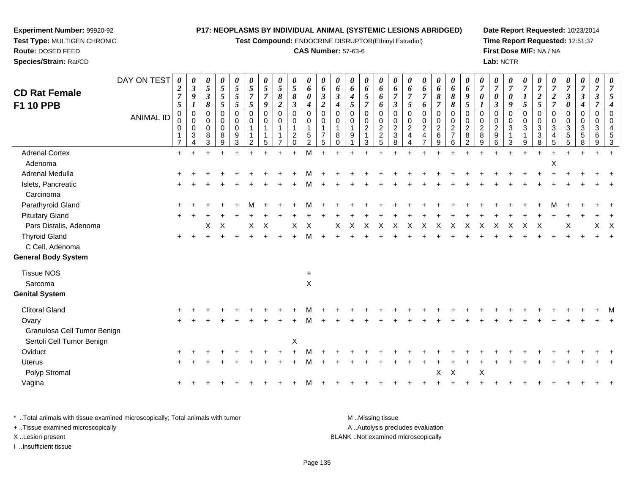**Test Compound:** ENDOCRINE DISRUPTOR(Ethinyl Estradiol)

## **CAS Number:** 57-63-6

**Date Report Requested:** 10/23/2014**Time Report Requested:** 12:51:37**First Dose M/F:** NA / NA**Lab:** NCTR

<sup>X</sup> <sup>X</sup>

<sup>+</sup> <sup>+</sup> <sup>+</sup> <sup>+</sup> <sup>+</sup> <sup>+</sup> <sup>+</sup> <sup>+</sup> <sup>+</sup> <sup>+</sup> <sup>+</sup> <sup>+</sup> <sup>+</sup> <sup>+</sup> <sup>+</sup> <sup>+</sup> <sup>+</sup> <sup>+</sup> <sup>+</sup> <sup>+</sup> <sup>+</sup>

|                             | DAY ON TEST      | 0<br>$\boldsymbol{2}$    | 0<br>$\boldsymbol{\beta}$ | 0<br>5                  | 0<br>$\mathfrak{s}$ | 0<br>$\mathfrak{s}$ | 0<br>$\sqrt{5}$            | $\boldsymbol{\theta}$<br>$\mathfrak{s}$ | 0<br>5         | 0<br>$\mathfrak{S}$            | 0<br>6                     | $\boldsymbol{\theta}$<br>6 | $\boldsymbol{\theta}$<br>6 | 0<br>6               | 0<br>6         | 0<br>6                             | 0<br>6                     | $\boldsymbol{\theta}$<br>6   | 0<br>6              | 0<br>6              | 0<br>6                             | $\boldsymbol{\theta}$<br>6 | $\overline{7}$          | $\theta$<br>$\overline{7}$ | 0<br>$\overline{7}$ | $\boldsymbol{\theta}$<br>$\overline{7}$ | $\theta$<br>$\overline{7}$ | $\overline{7}$       | 0<br>$\overline{7}$     | 0<br>$\overline{7}$  | 0<br>$\overline{7}$ | $\boldsymbol{\theta}$ |
|-----------------------------|------------------|--------------------------|---------------------------|-------------------------|---------------------|---------------------|----------------------------|-----------------------------------------|----------------|--------------------------------|----------------------------|----------------------------|----------------------------|----------------------|----------------|------------------------------------|----------------------------|------------------------------|---------------------|---------------------|------------------------------------|----------------------------|-------------------------|----------------------------|---------------------|-----------------------------------------|----------------------------|----------------------|-------------------------|----------------------|---------------------|-----------------------|
| <b>CD Rat Female</b>        |                  | $\overline{7}$           | $\boldsymbol{9}$          | $\overline{\mathbf{3}}$ | $\sqrt{5}$          | $\mathfrak{s}$      | $\overline{7}$             | $\overline{7}$                          | 8              | 8                              | 0                          | $\mathfrak{z}$             | $\mathfrak{z}$             | 4                    | 5              | 6                                  | $\overline{7}$             | $\overline{7}$               | $\overline{7}$      | 8                   | 8                                  | 9                          | $\boldsymbol{\theta}$   | $\boldsymbol{\theta}$      | 0                   |                                         | $\frac{2}{5}$              | $\boldsymbol{2}$     | $\overline{\mathbf{3}}$ | $\boldsymbol{\beta}$ |                     |                       |
| F1 10 PPB                   |                  | 5                        | $\boldsymbol{l}$          | 8                       | 5                   | 5                   | $\mathfrak{H}$             | $\boldsymbol{g}$                        | $\overline{2}$ | $\mathfrak{z}$                 | 4                          | $\boldsymbol{2}$           | $\boldsymbol{4}$           | 5                    | $\overline{7}$ | 6                                  | $\boldsymbol{\beta}$       | $\sqrt{5}$                   | 6                   | $\overline{7}$      | 8                                  | $\sqrt{5}$                 | 1                       | $\boldsymbol{\beta}$       | 9                   | 5                                       |                            | $\overline{7}$       | 0                       |                      |                     |                       |
|                             | <b>ANIMAL ID</b> | $\mathsf{O}\xspace$<br>0 | $\pmb{0}$<br>$\mathbf 0$  | $\Omega$<br>$\Omega$    | 0<br>0              | 0<br>0              | $\mathbf 0$<br>$\mathbf 0$ | $\mathbf 0$<br>0                        | 0<br>0         | 0<br>0                         | $\mathbf 0$<br>$\mathbf 0$ | $\mathbf 0$<br>$\mathbf 0$ | $\Omega$<br>$\Omega$       | $\Omega$<br>$\Omega$ | 0<br>0         | $\mathbf 0$<br>0                   | $\mathbf 0$<br>$\mathbf 0$ | $\mathbf 0$<br>$\mathbf 0$   | 0<br>0              | 0<br>0              | $\mathbf 0$<br>0                   | $\mathbf 0$<br>0           | $\Omega$<br>$\mathbf 0$ | $\Omega$<br>$\Omega$       | 0<br>0              | $\mathbf 0$<br>0                        | $\mathbf 0$<br>$\mathbf 0$ | $\Omega$<br>$\Omega$ | 0<br>0                  | 0<br>0               | 0<br>0              |                       |
|                             |                  | 0                        | 0<br>$\mathbf{3}$         | $\mathbf 0$<br>8        | 0<br>8              | $\mathbf 0$<br>9    |                            |                                         |                | $\mathbf{1}$<br>$\overline{2}$ | 5                          | $\overline{7}$             | 1<br>8                     | 9                    | $\overline{a}$ | $\overline{c}$<br>$\boldsymbol{2}$ | $\overline{2}$<br>3        | $\sqrt{2}$<br>$\overline{4}$ | $\overline{c}$<br>4 | $\overline{2}$<br>6 | $\boldsymbol{2}$<br>$\overline{7}$ | $\overline{2}$<br>8        | $\sqrt{2}$<br>8         | $\overline{2}$<br>9        | $\mathbf{3}$        | 3                                       | 3<br>3                     | 3<br>4               | 3<br>5                  | $\mathfrak{S}$<br>5  | 3<br>6              |                       |
|                             |                  | $\overline{7}$           | Δ                         | 3                       | 9                   | 3                   |                            |                                         |                | $\Omega$                       | $\mathcal{P}$              | 5                          |                            |                      | 3              | 5                                  | 8                          |                              |                     | 9                   | 6                                  | $\overline{2}$             | 9                       | 6                          | 3                   | 9                                       | 8                          | 5                    | 5                       |                      | $\mathbf{Q}$        |                       |
| <b>Adrenal Cortex</b>       |                  | $+$                      |                           |                         |                     |                     |                            |                                         |                | $+$                            | M                          |                            |                            |                      |                |                                    |                            |                              |                     |                     |                                    |                            |                         |                            |                     |                                         |                            |                      |                         |                      |                     |                       |
| Adenoma                     |                  |                          |                           |                         |                     |                     |                            |                                         |                |                                |                            |                            |                            |                      |                |                                    |                            |                              |                     |                     |                                    |                            |                         |                            |                     |                                         |                            | X                    |                         |                      |                     |                       |
| Adrenal Medulla             |                  |                          |                           |                         |                     |                     |                            |                                         |                |                                |                            |                            |                            |                      |                |                                    |                            |                              |                     |                     |                                    |                            |                         |                            |                     |                                         |                            |                      |                         |                      |                     |                       |
| Islets, Pancreatic          |                  |                          |                           |                         |                     |                     |                            |                                         |                |                                |                            |                            |                            |                      |                |                                    |                            |                              |                     |                     |                                    |                            |                         |                            |                     |                                         |                            |                      |                         |                      |                     |                       |
| Carcinoma                   |                  |                          |                           |                         |                     |                     |                            |                                         |                |                                |                            |                            |                            |                      |                |                                    |                            |                              |                     |                     |                                    |                            |                         |                            |                     |                                         |                            |                      |                         |                      |                     |                       |
| Parathyroid Gland           |                  |                          |                           |                         |                     |                     |                            |                                         |                |                                |                            |                            |                            |                      |                |                                    |                            |                              |                     |                     |                                    |                            |                         |                            |                     |                                         |                            | м                    |                         |                      |                     |                       |
| <b>Pituitary Gland</b>      |                  |                          |                           |                         |                     |                     |                            |                                         |                |                                |                            |                            |                            |                      |                |                                    |                            |                              |                     |                     |                                    |                            |                         |                            |                     |                                         |                            |                      |                         |                      |                     |                       |
| Pars Distalis, Adenoma      |                  |                          |                           | X                       | $\mathsf{X}$        |                     | X                          | $\times$                                |                | X                              | $\times$                   |                            | X                          | $\mathsf{X}$         | $\times$       | $\times$                           | X                          | X                            | $\times$            | $\times$            | $\times$                           | X                          | X                       | X                          | X                   | X                                       | X                          |                      | X                       |                      | $X$ $X$             |                       |
| <b>Thyroid Gland</b>        |                  |                          |                           |                         |                     |                     |                            |                                         |                |                                |                            |                            |                            |                      |                |                                    |                            |                              |                     |                     |                                    |                            |                         |                            |                     |                                         |                            |                      |                         |                      |                     |                       |
| C Cell, Adenoma             |                  |                          |                           |                         |                     |                     |                            |                                         |                |                                |                            |                            |                            |                      |                |                                    |                            |                              |                     |                     |                                    |                            |                         |                            |                     |                                         |                            |                      |                         |                      |                     |                       |
| <b>General Body System</b>  |                  |                          |                           |                         |                     |                     |                            |                                         |                |                                |                            |                            |                            |                      |                |                                    |                            |                              |                     |                     |                                    |                            |                         |                            |                     |                                         |                            |                      |                         |                      |                     |                       |
| <b>Tissue NOS</b>           |                  |                          |                           |                         |                     |                     |                            |                                         |                |                                | $\ddot{}$                  |                            |                            |                      |                |                                    |                            |                              |                     |                     |                                    |                            |                         |                            |                     |                                         |                            |                      |                         |                      |                     |                       |
| Sarcoma                     |                  |                          |                           |                         |                     |                     |                            |                                         |                |                                | X                          |                            |                            |                      |                |                                    |                            |                              |                     |                     |                                    |                            |                         |                            |                     |                                         |                            |                      |                         |                      |                     |                       |
| <b>Genital System</b>       |                  |                          |                           |                         |                     |                     |                            |                                         |                |                                |                            |                            |                            |                      |                |                                    |                            |                              |                     |                     |                                    |                            |                         |                            |                     |                                         |                            |                      |                         |                      |                     |                       |
| <b>Clitoral Gland</b>       |                  |                          |                           |                         |                     |                     |                            |                                         |                |                                |                            |                            |                            |                      |                |                                    |                            |                              |                     |                     |                                    |                            |                         |                            |                     |                                         |                            |                      |                         |                      |                     |                       |
| Ovary                       |                  |                          |                           |                         |                     |                     |                            |                                         |                |                                |                            |                            |                            |                      |                |                                    |                            |                              |                     |                     |                                    |                            |                         |                            |                     |                                         |                            |                      |                         |                      |                     |                       |
| Granulosa Cell Tumor Benign |                  |                          |                           |                         |                     |                     |                            |                                         |                |                                |                            |                            |                            |                      |                |                                    |                            |                              |                     |                     |                                    |                            |                         |                            |                     |                                         |                            |                      |                         |                      |                     |                       |
| Sertoli Cell Tumor Benign   |                  |                          |                           |                         |                     |                     |                            |                                         |                | X                              |                            |                            |                            |                      |                |                                    |                            |                              |                     |                     |                                    |                            |                         |                            |                     |                                         |                            |                      |                         |                      |                     |                       |
| Oviduct                     |                  |                          |                           |                         |                     |                     |                            |                                         |                |                                |                            |                            |                            |                      |                |                                    |                            |                              |                     |                     |                                    |                            |                         |                            |                     |                                         |                            |                      |                         |                      |                     |                       |
| <b>Uterus</b>               |                  |                          |                           |                         |                     |                     |                            |                                         |                |                                |                            |                            |                            |                      |                |                                    |                            |                              |                     |                     |                                    |                            |                         |                            |                     |                                         |                            |                      |                         |                      |                     |                       |
|                             |                  |                          |                           |                         |                     |                     |                            |                                         |                |                                |                            |                            |                            |                      |                |                                    |                            |                              |                     |                     |                                    |                            |                         |                            |                     |                                         |                            |                      |                         |                      |                     |                       |

\* ..Total animals with tissue examined microscopically; Total animals with tumor **M** ...Missing tissue M ...Missing tissue A .. Autolysis precludes evaluation + ..Tissue examined microscopically X ..Lesion present BLANK ..Not examined microscopicallyI ..Insufficient tissue

<u>i</u>

<sup>+</sup> <sup>+</sup> <sup>+</sup> <sup>+</sup> <sup>+</sup> <sup>+</sup> <sup>+</sup> <sup>+</sup> <sup>M</sup>

**Experiment Number:** 99920-92**Test Type:** MULTIGEN CHRONIC

**Route:** DOSED FEED**Species/Strain:** Rat/CD

Polyp Stromal

a  $+$ 

Vagina

Page 135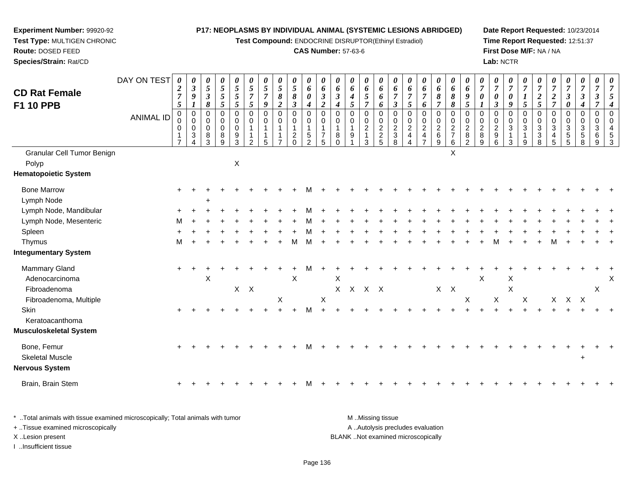**Test Compound:** ENDOCRINE DISRUPTOR(Ethinyl Estradiol)

# **CAS Number:** 57-63-6

**Date Report Requested:** 10/23/2014 **Time Report Requested:** 12:51:37**First Dose M/F:** NA / NA**Lab:** NCTR

| <b>CD Rat Female</b>                                                      | DAY ON TEST      | 0<br>$\boldsymbol{2}$<br>$\boldsymbol{7}$                                          | 0<br>$\mathfrak{z}$<br>$\boldsymbol{9}$                                                  | 0<br>$\mathfrak{s}$<br>$\boldsymbol{\beta}$                      | 0<br>$\overline{5}$<br>$\sqrt{5}$                                     | 0<br>5<br>5                          | 0<br>$\mathfrak{s}$<br>$\boldsymbol{7}$                   | 0<br>$\overline{5}$<br>$\overline{7}$             | 0<br>$\overline{5}$<br>8                                  | $\frac{\theta}{5}$<br>$\pmb{8}$                                                            | $\boldsymbol{\theta}$<br>6<br>$\boldsymbol{\theta}$                                            | 0<br>6<br>$\boldsymbol{\beta}$                                           | 0<br>6<br>$\mathfrak{z}$                    | 0<br>6<br>$\boldsymbol{4}$                 | 0<br>6<br>$\sqrt{5}$                                             | 0<br>6<br>6                          | 0<br>6<br>$\overline{7}$                                           | 0<br>6<br>$\overline{7}$                                  | 0<br>6<br>$\overline{7}$                  | 0<br>6<br>$\pmb{8}$                                              | 0<br>6<br>$\pmb{8}$                         | 0<br>6<br>$\boldsymbol{9}$                                    | 0<br>$\overline{7}$<br>$\boldsymbol{\theta}$       | 0<br>$\overline{7}$<br>$\pmb{\theta}$                  | 0<br>$\overline{7}$<br>0                                   | $\overline{7}$<br>$\boldsymbol{l}$                                                   | 0<br>$\overline{7}$<br>$\boldsymbol{2}$                            | 0<br>$\overline{7}$<br>$\boldsymbol{2}$                         | 0<br>$\overline{7}$<br>$\boldsymbol{\beta}$                                            | 0<br>$\overline{7}$<br>$\mathbf{3}$             | 0<br>$\overline{7}$<br>$\boldsymbol{\beta}$                 | 0<br>$\overline{7}$<br>5                                                           |
|---------------------------------------------------------------------------|------------------|------------------------------------------------------------------------------------|------------------------------------------------------------------------------------------|------------------------------------------------------------------|-----------------------------------------------------------------------|--------------------------------------|-----------------------------------------------------------|---------------------------------------------------|-----------------------------------------------------------|--------------------------------------------------------------------------------------------|------------------------------------------------------------------------------------------------|--------------------------------------------------------------------------|---------------------------------------------|--------------------------------------------|------------------------------------------------------------------|--------------------------------------|--------------------------------------------------------------------|-----------------------------------------------------------|-------------------------------------------|------------------------------------------------------------------|---------------------------------------------|---------------------------------------------------------------|----------------------------------------------------|--------------------------------------------------------|------------------------------------------------------------|--------------------------------------------------------------------------------------|--------------------------------------------------------------------|-----------------------------------------------------------------|----------------------------------------------------------------------------------------|-------------------------------------------------|-------------------------------------------------------------|------------------------------------------------------------------------------------|
| F1 10 PPB                                                                 | <b>ANIMAL ID</b> | $\overline{5}$<br>$\mathbf 0$<br>0<br>$\mathbf 0$<br>$\mathbf 1$<br>$\overline{7}$ | $\boldsymbol{l}$<br>$\mathbf 0$<br>$\pmb{0}$<br>$\pmb{0}$<br>3<br>$\boldsymbol{\Lambda}$ | 8<br>$\mathbf 0$<br>$\mathbf 0$<br>$\mathsf{O}\xspace$<br>8<br>3 | $\mathfrak{s}$<br>$\mathbf 0$<br>$\mathbf 0$<br>$\mathbf 0$<br>8<br>9 | 5<br>0<br>0<br>$\mathbf 0$<br>9<br>3 | $\mathfrak{s}$<br>$\mathbf 0$<br>0<br>1<br>$\overline{2}$ | 9<br>$\mathbf 0$<br>0<br>$\overline{1}$<br>1<br>5 | $\overline{2}$<br>$\mathbf 0$<br>0<br>1<br>$\overline{7}$ | $\mathfrak{z}$<br>$\pmb{0}$<br>$\mathbf 0$<br>$\overline{1}$<br>$\overline{c}$<br>$\Omega$ | $\boldsymbol{4}$<br>$\mathbf 0$<br>$\mathbf 0$<br>$\mathbf{1}$<br>$\sqrt{5}$<br>$\overline{2}$ | $\overline{2}$<br>$\mathbf 0$<br>$\mathbf 0$<br>1<br>$\overline{7}$<br>5 | $\boldsymbol{4}$<br>0<br>0<br>8<br>$\Omega$ | 5<br>$\mathbf 0$<br>0<br>$\mathbf{1}$<br>9 | $\overline{7}$<br>$\mathbf 0$<br>$\pmb{0}$<br>$\frac{2}{1}$<br>3 | 6<br>0<br>$\pmb{0}$<br>$\frac{2}{2}$ | $\mathfrak{z}$<br>$\mathbf 0$<br>$\mathbf 0$<br>$\frac{2}{3}$<br>8 | 5<br>$\mathbf 0$<br>0<br>$\overline{c}$<br>$\overline{4}$ | 6<br>0<br>$\frac{0}{2}$<br>$\overline{7}$ | $\overline{7}$<br>$\mathbf 0$<br>$\frac{0}{2}$<br>$\overline{9}$ | 8<br>$\mathbf 0$<br>0<br>$\frac{2}{7}$<br>6 | 5<br>$\mathbf 0$<br>0<br>$\overline{2}$<br>8<br>$\mathcal{P}$ | $\mathbf 0$<br>0<br>$\overline{c}$<br>$\bf 8$<br>9 | $\mathfrak{z}$<br>0<br>$\pmb{0}$<br>$\frac{2}{9}$<br>6 | 9<br>$\mathbf 0$<br>0<br>$\mathbf{3}$<br>$\mathbf{1}$<br>3 | $\mathfrak{s}$<br>$\mathbf 0$<br>0<br>$\sqrt{3}$<br>$\mathbf{1}$<br>$\boldsymbol{9}$ | $\overline{5}$<br>$\mathbf 0$<br>$_{3}^{\rm 0}$<br>$\sqrt{3}$<br>8 | $\overline{7}$<br>0<br>0<br>$\mathbf{3}$<br>$\overline{4}$<br>5 | $\boldsymbol{\theta}$<br>$\mathbf 0$<br>$\mathbf 0$<br>$\mathbf{3}$<br>$\sqrt{5}$<br>5 | 4<br>0<br>0<br>$\mathbf{3}$<br>$\mathbf 5$<br>8 | $\overline{7}$<br>$\mathbf 0$<br>$\mathbf 0$<br>3<br>6<br>9 | $\overline{\mathcal{A}}$<br>$\mathbf 0$<br>$\mathbf 0$<br>$\overline{4}$<br>5<br>3 |
| Granular Cell Tumor Benign<br>Polyp<br><b>Hematopoietic System</b>        |                  |                                                                                    |                                                                                          |                                                                  |                                                                       | $\mathsf X$                          |                                                           |                                                   |                                                           |                                                                                            |                                                                                                |                                                                          |                                             |                                            |                                                                  |                                      |                                                                    |                                                           |                                           |                                                                  | X                                           |                                                               |                                                    |                                                        |                                                            |                                                                                      |                                                                    |                                                                 |                                                                                        |                                                 |                                                             |                                                                                    |
| <b>Bone Marrow</b><br>Lymph Node                                          |                  | $\ddot{}$                                                                          |                                                                                          |                                                                  |                                                                       |                                      |                                                           |                                                   |                                                           |                                                                                            |                                                                                                |                                                                          |                                             |                                            |                                                                  |                                      |                                                                    |                                                           |                                           |                                                                  |                                             |                                                               |                                                    |                                                        |                                                            |                                                                                      |                                                                    |                                                                 |                                                                                        |                                                 |                                                             |                                                                                    |
| Lymph Node, Mandibular<br>Lymph Node, Mesenteric                          |                  | м                                                                                  |                                                                                          |                                                                  |                                                                       |                                      |                                                           |                                                   |                                                           |                                                                                            |                                                                                                |                                                                          |                                             |                                            |                                                                  |                                      |                                                                    |                                                           |                                           |                                                                  |                                             |                                                               |                                                    |                                                        |                                                            |                                                                                      |                                                                    |                                                                 |                                                                                        |                                                 |                                                             |                                                                                    |
| Spleen<br>Thymus                                                          |                  | М                                                                                  |                                                                                          |                                                                  |                                                                       |                                      |                                                           |                                                   |                                                           | м                                                                                          | м                                                                                              |                                                                          |                                             |                                            |                                                                  |                                      |                                                                    |                                                           |                                           |                                                                  |                                             |                                                               |                                                    |                                                        |                                                            |                                                                                      |                                                                    | М                                                               |                                                                                        |                                                 |                                                             |                                                                                    |
| <b>Integumentary System</b>                                               |                  |                                                                                    |                                                                                          |                                                                  |                                                                       |                                      |                                                           |                                                   |                                                           |                                                                                            |                                                                                                |                                                                          |                                             |                                            |                                                                  |                                      |                                                                    |                                                           |                                           |                                                                  |                                             |                                                               |                                                    |                                                        |                                                            |                                                                                      |                                                                    |                                                                 |                                                                                        |                                                 |                                                             |                                                                                    |
| Mammary Gland<br>Adenocarcinoma<br>Fibroadenoma<br>Fibroadenoma, Multiple |                  | $\ddot{}$                                                                          |                                                                                          | $\mathsf X$                                                      |                                                                       | X                                    | $\mathsf{X}$                                              |                                                   | X                                                         | X                                                                                          |                                                                                                | $\boldsymbol{\mathsf{X}}$                                                | X<br>X                                      |                                            | X X X                                                            |                                      |                                                                    |                                                           |                                           | $X$ $X$                                                          |                                             | X                                                             | $\boldsymbol{\mathsf{X}}$                          | X                                                      | X<br>X                                                     | X                                                                                    |                                                                    |                                                                 | X X X                                                                                  |                                                 | X                                                           | X                                                                                  |
| Skin<br>Keratoacanthoma<br>Musculoskeletal System                         |                  | $\ddot{}$                                                                          |                                                                                          |                                                                  |                                                                       |                                      |                                                           |                                                   |                                                           |                                                                                            | м                                                                                              |                                                                          |                                             |                                            |                                                                  |                                      |                                                                    |                                                           |                                           |                                                                  |                                             |                                                               |                                                    |                                                        |                                                            |                                                                                      |                                                                    |                                                                 |                                                                                        |                                                 |                                                             |                                                                                    |
| Bone, Femur<br><b>Skeletal Muscle</b><br>Nervous System                   |                  |                                                                                    |                                                                                          |                                                                  |                                                                       |                                      |                                                           |                                                   |                                                           |                                                                                            |                                                                                                |                                                                          |                                             |                                            |                                                                  |                                      |                                                                    |                                                           |                                           |                                                                  |                                             |                                                               |                                                    |                                                        |                                                            |                                                                                      |                                                                    |                                                                 |                                                                                        | $\ddot{}$                                       |                                                             |                                                                                    |
| Brain, Brain Stem                                                         |                  |                                                                                    |                                                                                          |                                                                  |                                                                       |                                      |                                                           |                                                   |                                                           |                                                                                            |                                                                                                |                                                                          |                                             |                                            |                                                                  |                                      |                                                                    |                                                           |                                           |                                                                  |                                             |                                                               |                                                    |                                                        |                                                            |                                                                                      |                                                                    |                                                                 |                                                                                        |                                                 |                                                             |                                                                                    |
|                                                                           |                  |                                                                                    |                                                                                          |                                                                  |                                                                       |                                      |                                                           |                                                   |                                                           |                                                                                            |                                                                                                |                                                                          |                                             |                                            |                                                                  |                                      |                                                                    |                                                           |                                           |                                                                  |                                             |                                                               |                                                    |                                                        |                                                            |                                                                                      |                                                                    |                                                                 |                                                                                        |                                                 |                                                             |                                                                                    |

| * Total animals with tissue examined microscopically; Total animals with tumor | M Missing tissue                   |
|--------------------------------------------------------------------------------|------------------------------------|
| + Tissue examined microscopically                                              | A Autolysis precludes evaluation   |
| X Lesion present                                                               | BLANK Not examined microscopically |
| Insufficient tissue                                                            |                                    |

**Experiment Number:** 99920-92**Test Type:** MULTIGEN CHRONIC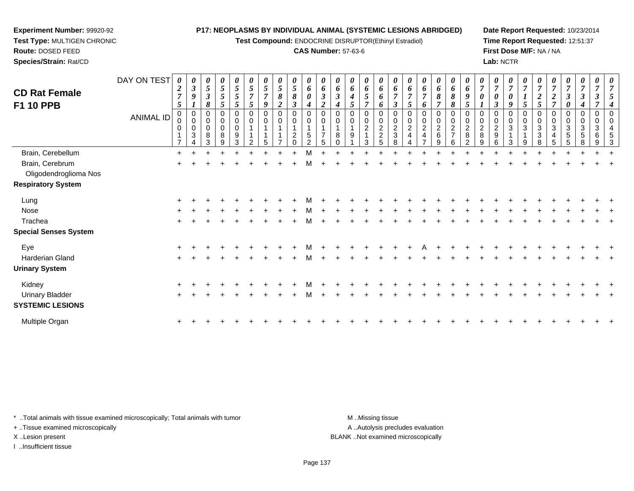**Test Compound:** ENDOCRINE DISRUPTOR(Ethinyl Estradiol)

#### **CAS Number:** 57-63-6

**Date Report Requested:** 10/23/2014**Time Report Requested:** 12:51:37**First Dose M/F:** NA / NA**Lab:** NCTR

 $+$ 

| <b>CD Rat Female</b><br>F1 10 PPB | DAY ON TEST<br><b>ANIMAL ID</b> | 0<br>$\boldsymbol{2}$<br>$\overline{7}$<br>$\mathfrak{s}$<br>$\mathbf 0$<br>0<br>0<br>$\overline{ }$ | $\boldsymbol{\theta}$<br>$\boldsymbol{\beta}$<br>1<br>$\mathbf 0$<br>$\mathbf 0$<br>0<br>3 | 0<br>5<br>3<br>8<br>0<br>0<br>0<br>8<br>3 | 0<br>$\mathfrak{s}$<br>5<br>5<br>0<br>$\mathbf 0$<br>8<br>9 | 0<br>$\mathfrak{s}$<br>$\overline{5}$<br>5<br>0<br>$\pmb{0}$<br>$\mathbf 0$<br>$9\,$<br>3 | 5<br>7<br>5<br>0<br>$\mathbf 0$ | 5<br>7<br>9<br>$\Omega$ | 0<br>5<br>8<br>0<br>0 | 0<br>$\mathfrak{s}$<br>8<br>0<br>0<br>$\overline{c}$ | 0<br>6<br>0<br>4<br>0<br>$\pmb{0}$<br>$\sqrt{5}$<br>$\overline{2}$ | $\boldsymbol{\theta}$<br>6<br>$\boldsymbol{\beta}$<br>$\boldsymbol{2}$<br>0<br>$\mathbf 0$<br>5 | 0<br>3<br>4 | 0<br>6<br>4<br>5<br>0<br>$\mathbf 0$<br>9 | 0<br>6<br>5<br>0<br>0<br>2<br>3 | 0<br>6<br>6<br>6<br>0<br>$\pmb{0}$<br>$\frac{2}{2}$<br>5 | $\boldsymbol{\theta}$<br>6<br>7<br>$\boldsymbol{\beta}$<br>0<br>$\mathbf 0$<br>$\overline{c}$<br>$\ensuremath{\mathsf{3}}$<br>8 | 7<br>5<br>$\overline{c}$ | $\boldsymbol{\theta}$<br>6<br>$\overline{ }$<br>6<br>0<br>0<br>$\overline{2}$<br>4 | 0<br>6<br>8<br>7<br>0<br>0<br>$\overline{c}$<br>6<br>9 | 0<br>6<br>$\pmb{8}$<br>$\boldsymbol{\delta}$<br>0<br>$\pmb{0}$<br>$\frac{2}{7}$<br>6 | 0<br>6<br>9<br>5<br>$\mathbf 0$<br>$\mathbf 0$<br>$\overline{\mathbf{c}}$<br>8<br>C | 0<br>$\boldsymbol{2}$<br>8 | 0<br>$\Omega$<br>$\overline{2}$<br>9 | 0<br>$\overline{ }$<br>0<br>9<br>$\mathbf 0$<br>$\mathbf 0$<br>3<br>3 | 0<br>$\overline{ }$<br>$\mathfrak{s}$<br>0<br>$\pmb{0}$<br>$\mathbf{3}$<br>9 | $\theta$<br>$\overline{ }$<br>∍<br>5<br>0<br>$\Omega$<br>3<br>3<br>8 | 3 | 0<br>$\Omega$<br>3<br>5 | $\theta$<br>7<br>3<br>0<br>$\mathbf 0$<br>3<br>$\sqrt{5}$ | $\overline{7}$<br>0<br>$\mathbf 0$<br>3<br>6 |  |
|-----------------------------------|---------------------------------|------------------------------------------------------------------------------------------------------|--------------------------------------------------------------------------------------------|-------------------------------------------|-------------------------------------------------------------|-------------------------------------------------------------------------------------------|---------------------------------|-------------------------|-----------------------|------------------------------------------------------|--------------------------------------------------------------------|-------------------------------------------------------------------------------------------------|-------------|-------------------------------------------|---------------------------------|----------------------------------------------------------|---------------------------------------------------------------------------------------------------------------------------------|--------------------------|------------------------------------------------------------------------------------|--------------------------------------------------------|--------------------------------------------------------------------------------------|-------------------------------------------------------------------------------------|----------------------------|--------------------------------------|-----------------------------------------------------------------------|------------------------------------------------------------------------------|----------------------------------------------------------------------|---|-------------------------|-----------------------------------------------------------|----------------------------------------------|--|
| Brain, Cerebellum                 |                                 | $\ddot{}$                                                                                            |                                                                                            |                                           |                                                             |                                                                                           |                                 |                         |                       |                                                      | M                                                                  |                                                                                                 |             |                                           |                                 |                                                          |                                                                                                                                 |                          |                                                                                    |                                                        |                                                                                      |                                                                                     |                            |                                      |                                                                       |                                                                              |                                                                      |   |                         |                                                           |                                              |  |
| Brain, Cerebrum                   |                                 | $\ddot{}$                                                                                            |                                                                                            |                                           |                                                             |                                                                                           |                                 |                         |                       |                                                      |                                                                    |                                                                                                 |             |                                           |                                 |                                                          |                                                                                                                                 |                          |                                                                                    |                                                        |                                                                                      |                                                                                     |                            |                                      |                                                                       |                                                                              |                                                                      |   |                         |                                                           |                                              |  |
| Oligodendroglioma Nos             |                                 |                                                                                                      |                                                                                            |                                           |                                                             |                                                                                           |                                 |                         |                       |                                                      |                                                                    |                                                                                                 |             |                                           |                                 |                                                          |                                                                                                                                 |                          |                                                                                    |                                                        |                                                                                      |                                                                                     |                            |                                      |                                                                       |                                                                              |                                                                      |   |                         |                                                           |                                              |  |
| <b>Respiratory System</b>         |                                 |                                                                                                      |                                                                                            |                                           |                                                             |                                                                                           |                                 |                         |                       |                                                      |                                                                    |                                                                                                 |             |                                           |                                 |                                                          |                                                                                                                                 |                          |                                                                                    |                                                        |                                                                                      |                                                                                     |                            |                                      |                                                                       |                                                                              |                                                                      |   |                         |                                                           |                                              |  |
| Lung                              |                                 |                                                                                                      |                                                                                            |                                           |                                                             |                                                                                           |                                 |                         |                       |                                                      |                                                                    |                                                                                                 |             |                                           |                                 |                                                          |                                                                                                                                 |                          |                                                                                    |                                                        |                                                                                      |                                                                                     |                            |                                      |                                                                       |                                                                              |                                                                      |   |                         |                                                           |                                              |  |
| Nose                              |                                 |                                                                                                      |                                                                                            |                                           |                                                             |                                                                                           |                                 |                         |                       |                                                      |                                                                    |                                                                                                 |             |                                           |                                 |                                                          |                                                                                                                                 |                          |                                                                                    |                                                        |                                                                                      |                                                                                     |                            |                                      |                                                                       |                                                                              |                                                                      |   |                         |                                                           |                                              |  |
| Trachea                           |                                 |                                                                                                      |                                                                                            |                                           |                                                             |                                                                                           |                                 |                         |                       |                                                      |                                                                    |                                                                                                 |             |                                           |                                 |                                                          |                                                                                                                                 |                          |                                                                                    |                                                        |                                                                                      |                                                                                     |                            |                                      |                                                                       |                                                                              |                                                                      |   |                         |                                                           |                                              |  |
| <b>Special Senses System</b>      |                                 |                                                                                                      |                                                                                            |                                           |                                                             |                                                                                           |                                 |                         |                       |                                                      |                                                                    |                                                                                                 |             |                                           |                                 |                                                          |                                                                                                                                 |                          |                                                                                    |                                                        |                                                                                      |                                                                                     |                            |                                      |                                                                       |                                                                              |                                                                      |   |                         |                                                           |                                              |  |
| Eye                               |                                 | $\ddot{}$                                                                                            |                                                                                            |                                           |                                                             |                                                                                           |                                 |                         |                       |                                                      |                                                                    |                                                                                                 |             |                                           |                                 |                                                          |                                                                                                                                 |                          |                                                                                    |                                                        |                                                                                      |                                                                                     |                            |                                      |                                                                       |                                                                              |                                                                      |   |                         |                                                           |                                              |  |
| Harderian Gland                   |                                 |                                                                                                      |                                                                                            |                                           |                                                             |                                                                                           |                                 |                         |                       |                                                      |                                                                    |                                                                                                 |             |                                           |                                 |                                                          |                                                                                                                                 |                          |                                                                                    |                                                        |                                                                                      |                                                                                     |                            |                                      |                                                                       |                                                                              |                                                                      |   |                         |                                                           |                                              |  |
| <b>Urinary System</b>             |                                 |                                                                                                      |                                                                                            |                                           |                                                             |                                                                                           |                                 |                         |                       |                                                      |                                                                    |                                                                                                 |             |                                           |                                 |                                                          |                                                                                                                                 |                          |                                                                                    |                                                        |                                                                                      |                                                                                     |                            |                                      |                                                                       |                                                                              |                                                                      |   |                         |                                                           |                                              |  |
| Kidney                            |                                 |                                                                                                      |                                                                                            |                                           |                                                             |                                                                                           |                                 |                         |                       |                                                      |                                                                    |                                                                                                 |             |                                           |                                 |                                                          |                                                                                                                                 |                          |                                                                                    |                                                        |                                                                                      |                                                                                     |                            |                                      |                                                                       |                                                                              |                                                                      |   |                         |                                                           |                                              |  |
| <b>Urinary Bladder</b>            |                                 |                                                                                                      |                                                                                            |                                           |                                                             |                                                                                           |                                 |                         |                       |                                                      |                                                                    |                                                                                                 |             |                                           |                                 |                                                          |                                                                                                                                 |                          |                                                                                    |                                                        |                                                                                      |                                                                                     |                            |                                      |                                                                       |                                                                              |                                                                      |   |                         |                                                           |                                              |  |
|                                   |                                 |                                                                                                      |                                                                                            |                                           |                                                             |                                                                                           |                                 |                         |                       |                                                      |                                                                    |                                                                                                 |             |                                           |                                 |                                                          |                                                                                                                                 |                          |                                                                                    |                                                        |                                                                                      |                                                                                     |                            |                                      |                                                                       |                                                                              |                                                                      |   |                         |                                                           |                                              |  |

\* ..Total animals with tissue examined microscopically; Total animals with tumor **M** ...Missing tissue M ...Missing tissue

n  $+$ 

+ ..Tissue examined microscopically

**Experiment Number:** 99920-92**Test Type:** MULTIGEN CHRONIC

**Route:** DOSED FEED**Species/Strain:** Rat/CD

I ..Insufficient tissue

**SYSTEMIC LESIONS**

Multiple Organ

A ..Autolysis precludes evaluation

<sup>+</sup> <sup>+</sup> <sup>+</sup> <sup>+</sup> <sup>+</sup> <sup>+</sup> <sup>+</sup> <sup>+</sup> <sup>+</sup> <sup>+</sup> <sup>+</sup> <sup>+</sup> <sup>+</sup> <sup>+</sup> <sup>+</sup> <sup>+</sup> <sup>+</sup> <sup>+</sup> <sup>+</sup> <sup>+</sup> <sup>+</sup> <sup>+</sup> <sup>+</sup> <sup>+</sup> <sup>+</sup> <sup>+</sup> <sup>+</sup> <sup>+</sup> <sup>+</sup> <sup>+</sup>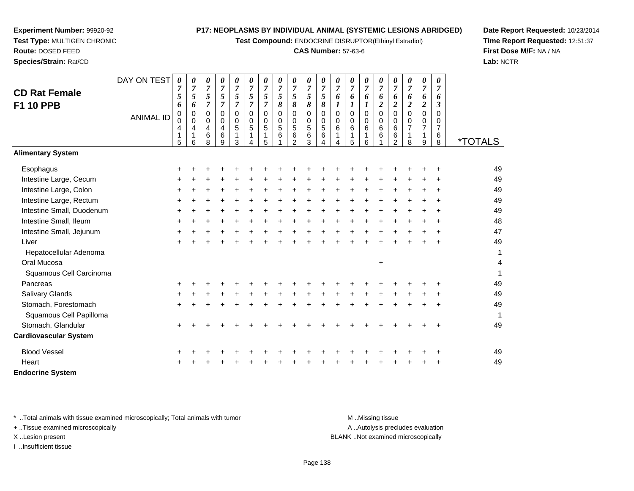**Test Compound:** ENDOCRINE DISRUPTOR(Ethinyl Estradiol)

#### **CAS Number:** 57-63-6

*0 75*

*0 76*

*0 76*

*0 76*

*0 76* *0 76*

*0 76*

*0 76*

*0 76*

**Date Report Requested:** 10/23/2014**Time Report Requested:** 12:51:37**First Dose M/F:** NA / NA**Lab:** NCTR

Page 138

**F1 10 PPB**ANIMAL ID *6* 0 0 4 1 5 *6* 0 0 4 1 6 *7* 0 0 4 6 8 *7* 0 0 4 6 9 *7 5 7* 0 0 5 1 3 *7* 0 0 5 1 4 *7 5 7* 0 0 5 1 5 *8* 0 0 5 6 1 *8* 0 0 5 6 2 *8* 0 0 5 6 3 *8* 0 0 5 6 4 *1* 0 0 6 1 4 *1* 0 0 6 1 5 *1* 0 0 6 1 6 *2* 0 0 6 6 1 *2* 0 0 6 6 2 *2* 0 0 7 1 8 *2* 0 0 7 1 9 *3* 0 0 7 6 $\check{8}$ 8 \*TOTALS**Alimentary SystemEsophagus**  $\mathsf{S}$  + <sup>+</sup> <sup>+</sup> <sup>+</sup> <sup>+</sup> <sup>+</sup> <sup>+</sup> <sup>+</sup> <sup>+</sup> <sup>+</sup> <sup>+</sup> <sup>+</sup> <sup>+</sup> <sup>+</sup> <sup>+</sup> <sup>+</sup> <sup>+</sup> <sup>+</sup> <sup>+</sup> <sup>49</sup> Intestine Large, Cecum <sup>+</sup> <sup>+</sup> <sup>+</sup> <sup>+</sup> <sup>+</sup> <sup>+</sup> <sup>+</sup> <sup>+</sup> <sup>+</sup> <sup>+</sup> <sup>+</sup> <sup>+</sup> <sup>+</sup> <sup>+</sup> <sup>+</sup> <sup>+</sup> <sup>+</sup> <sup>+</sup> <sup>+</sup> <sup>49</sup> Intestine Large, Colon $\mathsf{n}$  + <sup>+</sup> <sup>+</sup> <sup>+</sup> <sup>+</sup> <sup>+</sup> <sup>+</sup> <sup>+</sup> <sup>+</sup> <sup>+</sup> <sup>+</sup> <sup>+</sup> <sup>+</sup> <sup>+</sup> <sup>+</sup> <sup>+</sup> <sup>+</sup> <sup>+</sup> <sup>+</sup> <sup>49</sup> Intestine Large, Rectum <sup>+</sup> <sup>+</sup> <sup>+</sup> <sup>+</sup> <sup>+</sup> <sup>+</sup> <sup>+</sup> <sup>+</sup> <sup>+</sup> <sup>+</sup> <sup>+</sup> <sup>+</sup> <sup>+</sup> <sup>+</sup> <sup>+</sup> <sup>+</sup> <sup>+</sup> <sup>+</sup> <sup>+</sup> <sup>49</sup> Intestine Small, Duodenum <sup>+</sup> <sup>+</sup> <sup>+</sup> <sup>+</sup> <sup>+</sup> <sup>+</sup> <sup>+</sup> <sup>+</sup> <sup>+</sup> <sup>+</sup> <sup>+</sup> <sup>+</sup> <sup>+</sup> <sup>+</sup> <sup>+</sup> <sup>+</sup> <sup>+</sup> <sup>+</sup> <sup>+</sup> <sup>49</sup> Intestine Small, Ileum <sup>+</sup> <sup>+</sup> <sup>+</sup> <sup>+</sup> <sup>+</sup> <sup>+</sup> <sup>+</sup> <sup>+</sup> <sup>+</sup> <sup>+</sup> <sup>+</sup> <sup>+</sup> <sup>+</sup> <sup>+</sup> <sup>+</sup> <sup>+</sup> <sup>+</sup> <sup>+</sup> <sup>+</sup> <sup>48</sup> Intestine Small, Jejunum <sup>+</sup> <sup>+</sup> <sup>+</sup> <sup>+</sup> <sup>+</sup> <sup>+</sup> <sup>+</sup> <sup>+</sup> <sup>+</sup> <sup>+</sup> <sup>+</sup> <sup>+</sup> <sup>+</sup> <sup>+</sup> <sup>+</sup> <sup>+</sup> <sup>+</sup> <sup>+</sup> <sup>+</sup> <sup>47</sup> Liver $\mathsf{r}$  + <sup>+</sup> <sup>+</sup> <sup>+</sup> <sup>+</sup> <sup>+</sup> <sup>+</sup> <sup>+</sup> <sup>+</sup> <sup>+</sup> <sup>+</sup> <sup>+</sup> <sup>+</sup> <sup>+</sup> <sup>+</sup> <sup>+</sup> <sup>+</sup> <sup>+</sup> <sup>+</sup> <sup>49</sup> Hepatocellular Adenoma $\overline{a}$ Oral Mucosa $\overline{a}$  and  $\overline{b}$  and  $\overline{a}$  and  $\overline{a}$  and  $\overline{a}$  and  $\overline{a}$  and  $\overline{a}$  and  $\overline{a}$  and  $\overline{a}$  and  $\overline{a}$  and  $\overline{a}$  and  $\overline{a}$  and  $\overline{a}$  and  $\overline{a}$  and  $\overline{a}$  and  $\overline{a}$  and  $\overline{a}$  and  $+$  4 Squamous Cell Carcinoma $a \hspace{2.5cm}$ Pancreas <sup>+</sup> <sup>+</sup> <sup>+</sup> <sup>+</sup> <sup>+</sup> <sup>+</sup> <sup>+</sup> <sup>+</sup> <sup>+</sup> <sup>+</sup> <sup>+</sup> <sup>+</sup> <sup>+</sup> <sup>+</sup> <sup>+</sup> <sup>+</sup> <sup>+</sup> <sup>+</sup> <sup>+</sup> <sup>49</sup> Salivary Glands $\sim$   $\sim$   $\sim$   $\sim$   $\sim$   $\sim$   $\sim$  <sup>+</sup> <sup>+</sup> <sup>+</sup> <sup>+</sup> <sup>+</sup> <sup>+</sup> <sup>+</sup> <sup>+</sup> <sup>+</sup> <sup>+</sup> <sup>+</sup> <sup>+</sup> <sup>+</sup> <sup>+</sup> <sup>+</sup> <sup>+</sup> <sup>+</sup> <sup>+</sup> <sup>49</sup> Stomach, Forestomach $h \rightarrow$  <sup>+</sup> <sup>+</sup> <sup>+</sup> <sup>+</sup> <sup>+</sup> <sup>+</sup> <sup>+</sup> <sup>+</sup> <sup>+</sup> <sup>+</sup> <sup>+</sup> <sup>+</sup> <sup>+</sup> <sup>+</sup> <sup>+</sup> <sup>+</sup> <sup>+</sup> <sup>+</sup> <sup>49</sup> Squamous Cell Papilloma $\overline{a}$ Stomach, Glandular $\mathsf{r}$  + <sup>+</sup> <sup>+</sup> <sup>+</sup> <sup>+</sup> <sup>+</sup> <sup>+</sup> <sup>+</sup> <sup>+</sup> <sup>+</sup> <sup>+</sup> <sup>+</sup> <sup>+</sup> <sup>+</sup> <sup>+</sup> <sup>+</sup> <sup>+</sup> <sup>+</sup> <sup>+</sup> <sup>49</sup> **Cardiovascular System**Blood Vessel <sup>+</sup> <sup>+</sup> <sup>+</sup> <sup>+</sup> <sup>+</sup> <sup>+</sup> <sup>+</sup> <sup>+</sup> <sup>+</sup> <sup>+</sup> <sup>+</sup> <sup>+</sup> <sup>+</sup> <sup>+</sup> <sup>+</sup> <sup>+</sup> <sup>+</sup> <sup>+</sup> <sup>+</sup> <sup>49</sup> **Heart**  $\frac{1}{2}$ <sup>+</sup> <sup>+</sup> <sup>+</sup> <sup>+</sup> <sup>+</sup> <sup>+</sup> <sup>+</sup> <sup>+</sup> <sup>+</sup> <sup>+</sup> <sup>+</sup> <sup>+</sup> <sup>+</sup> <sup>+</sup> <sup>+</sup> <sup>+</sup> <sup>+</sup> <sup>+</sup> <sup>49</sup>

**Endocrine System**

\* ..Total animals with tissue examined microscopically; Total animals with tumor M ...Missing tissue M ...Missing tissue

DAY ON TEST

*0 75*

*0 7 5*

*0 75* *0 75*

*0*

*0 75*

*0*

*0 75* *0 75*

*0 75*

+ ..Tissue examined microscopically

**Experiment Number:** 99920-92**Test Type:** MULTIGEN CHRONIC

**Route:** DOSED FEED**Species/Strain:** Rat/CD

**CD Rat Female**

I ..Insufficient tissue

A ..Autolysis precludes evaluation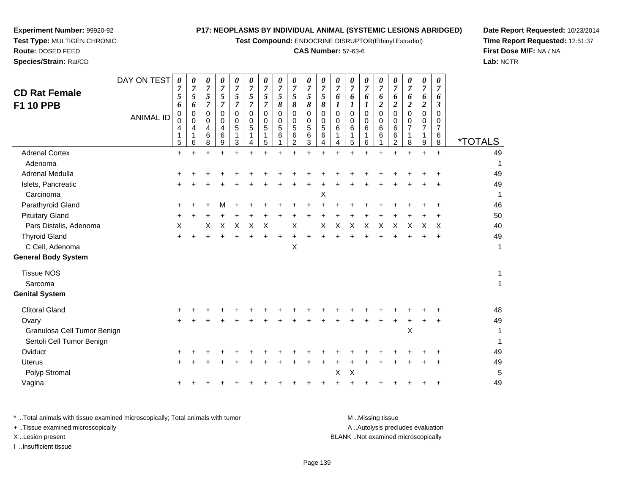**Test Compound:** ENDOCRINE DISRUPTOR(Ethinyl Estradiol)

#### **CAS Number:** 57-63-6

**Date Report Requested:** 10/23/2014**Time Report Requested:** 12:51:37**First Dose M/F:** NA / NA**Lab:** NCTR

|                             | DAY ON TEST      | 0                            | 0                                        | 0                               | 0                                      | 0                          | 0                         | 0                                                           | 0                          | 0                               | 0                     | 0                               | 0                               | 0                               | 0                                      | 0                          | 0                                  | 0                                  | $\pmb{\theta}$                                          | 0                                  |                       |
|-----------------------------|------------------|------------------------------|------------------------------------------|---------------------------------|----------------------------------------|----------------------------|---------------------------|-------------------------------------------------------------|----------------------------|---------------------------------|-----------------------|---------------------------------|---------------------------------|---------------------------------|----------------------------------------|----------------------------|------------------------------------|------------------------------------|---------------------------------------------------------|------------------------------------|-----------------------|
| <b>CD Rat Female</b>        |                  | 7<br>5                       | 7<br>5                                   | 7<br>5                          | 7<br>$\sqrt{5}$                        | $\overline{7}$<br>5        | 7<br>5                    | 7<br>5                                                      | 7<br>5                     | 7<br>5                          | $\boldsymbol{7}$<br>5 | 7<br>5                          | 7<br>6                          | 7<br>6                          | 7<br>6                                 | 7<br>6                     | 7<br>6                             | 7<br>6                             | $\overline{7}$<br>6                                     | 7<br>6                             |                       |
| <b>F1 10 PPB</b>            |                  | 6                            | 6                                        | 7                               | 7                                      | 7                          | 7                         | $\overline{7}$                                              | 8                          | 8                               | 8                     | 8                               | 1                               |                                 | 1                                      | $\overline{c}$             | $\boldsymbol{2}$                   | $\boldsymbol{2}$                   | $\boldsymbol{2}$                                        | $\boldsymbol{\beta}$               |                       |
|                             | <b>ANIMAL ID</b> | 0<br>$\Omega$<br>4<br>1<br>5 | $\pmb{0}$<br>0<br>4<br>$\mathbf{1}$<br>6 | $\mathbf 0$<br>0<br>4<br>6<br>8 | $\mathbf 0$<br>$\Omega$<br>4<br>6<br>9 | $\mathbf 0$<br>0<br>5<br>3 | 0<br>0<br>5<br>1<br>4     | $\mathbf 0$<br>0<br>$\sqrt{5}$<br>$\mathbf 1$<br>$\sqrt{5}$ | $\mathbf 0$<br>0<br>5<br>6 | $\mathbf 0$<br>0<br>5<br>6<br>2 | 0<br>0<br>5<br>6<br>3 | $\mathbf 0$<br>0<br>5<br>6<br>4 | $\mathbf 0$<br>0<br>6<br>1<br>4 | $\mathbf 0$<br>0<br>6<br>1<br>5 | $\mathbf 0$<br>$\Omega$<br>6<br>1<br>6 | $\mathbf 0$<br>0<br>6<br>6 | 0<br>0<br>6<br>6<br>$\overline{2}$ | 0<br>0<br>$\overline{7}$<br>1<br>8 | $\pmb{0}$<br>0<br>$\boldsymbol{7}$<br>$\mathbf{1}$<br>9 | 0<br>0<br>$\overline{7}$<br>6<br>8 | <i><b>*TOTALS</b></i> |
| <b>Adrenal Cortex</b>       |                  | $\ddot{}$                    |                                          |                                 |                                        |                            |                           |                                                             |                            |                                 |                       |                                 |                                 |                                 |                                        |                            |                                    |                                    | $\ddot{}$                                               | $\ddot{}$                          | 49                    |
| Adenoma                     |                  |                              |                                          |                                 |                                        |                            |                           |                                                             |                            |                                 |                       |                                 |                                 |                                 |                                        |                            |                                    |                                    |                                                         |                                    | 1                     |
| Adrenal Medulla             |                  |                              |                                          |                                 |                                        |                            |                           |                                                             |                            |                                 |                       |                                 |                                 |                                 |                                        |                            |                                    |                                    |                                                         |                                    | 49                    |
| Islets, Pancreatic          |                  |                              |                                          |                                 |                                        |                            |                           |                                                             |                            |                                 |                       |                                 |                                 |                                 |                                        |                            |                                    |                                    |                                                         |                                    | 49                    |
| Carcinoma                   |                  |                              |                                          |                                 |                                        |                            |                           |                                                             |                            |                                 |                       | Χ                               |                                 |                                 |                                        |                            |                                    |                                    |                                                         |                                    | $\mathbf{1}$          |
| Parathyroid Gland           |                  | ٠                            |                                          |                                 |                                        |                            |                           |                                                             |                            |                                 |                       |                                 |                                 |                                 |                                        |                            |                                    |                                    |                                                         |                                    | 46                    |
| <b>Pituitary Gland</b>      |                  | +                            |                                          |                                 |                                        |                            |                           |                                                             |                            |                                 |                       |                                 |                                 |                                 |                                        |                            |                                    |                                    |                                                         |                                    | 50                    |
| Pars Distalis, Adenoma      |                  | X                            |                                          | X                               | X                                      | X                          | $\boldsymbol{\mathsf{X}}$ | $\boldsymbol{\mathsf{X}}$                                   |                            | $\boldsymbol{\mathsf{X}}$       |                       | Χ                               | $\times$                        | $\boldsymbol{\mathsf{X}}$       | X                                      | X                          | $\pmb{\times}$                     | X                                  | X                                                       | X                                  | 40                    |
| <b>Thyroid Gland</b>        |                  | +                            |                                          |                                 |                                        |                            |                           |                                                             |                            |                                 |                       |                                 |                                 |                                 |                                        |                            |                                    |                                    |                                                         | $\ddot{}$                          | 49                    |
| C Cell, Adenoma             |                  |                              |                                          |                                 |                                        |                            |                           |                                                             |                            | X                               |                       |                                 |                                 |                                 |                                        |                            |                                    |                                    |                                                         |                                    | $\mathbf{1}$          |
| <b>General Body System</b>  |                  |                              |                                          |                                 |                                        |                            |                           |                                                             |                            |                                 |                       |                                 |                                 |                                 |                                        |                            |                                    |                                    |                                                         |                                    |                       |
| <b>Tissue NOS</b>           |                  |                              |                                          |                                 |                                        |                            |                           |                                                             |                            |                                 |                       |                                 |                                 |                                 |                                        |                            |                                    |                                    |                                                         |                                    | 1                     |
| Sarcoma                     |                  |                              |                                          |                                 |                                        |                            |                           |                                                             |                            |                                 |                       |                                 |                                 |                                 |                                        |                            |                                    |                                    |                                                         |                                    | $\mathbf{1}$          |
| <b>Genital System</b>       |                  |                              |                                          |                                 |                                        |                            |                           |                                                             |                            |                                 |                       |                                 |                                 |                                 |                                        |                            |                                    |                                    |                                                         |                                    |                       |
| <b>Clitoral Gland</b>       |                  |                              |                                          |                                 |                                        |                            |                           |                                                             |                            |                                 |                       |                                 |                                 |                                 |                                        |                            |                                    |                                    |                                                         |                                    | 48                    |
| Ovary                       |                  |                              |                                          |                                 |                                        |                            |                           |                                                             |                            |                                 |                       |                                 |                                 |                                 |                                        |                            |                                    |                                    |                                                         |                                    | 49                    |
| Granulosa Cell Tumor Benign |                  |                              |                                          |                                 |                                        |                            |                           |                                                             |                            |                                 |                       |                                 |                                 |                                 |                                        |                            |                                    | X                                  |                                                         |                                    | 1                     |
| Sertoli Cell Tumor Benign   |                  |                              |                                          |                                 |                                        |                            |                           |                                                             |                            |                                 |                       |                                 |                                 |                                 |                                        |                            |                                    |                                    |                                                         |                                    | 1                     |
| Oviduct                     |                  |                              |                                          |                                 |                                        |                            |                           |                                                             |                            |                                 |                       |                                 |                                 |                                 |                                        |                            |                                    |                                    |                                                         |                                    | 49                    |
| <b>Uterus</b>               |                  | ÷.                           |                                          |                                 |                                        |                            |                           |                                                             |                            |                                 |                       |                                 |                                 |                                 |                                        |                            |                                    |                                    |                                                         |                                    | 49                    |
| Polyp Stromal               |                  |                              |                                          |                                 |                                        |                            |                           |                                                             |                            |                                 |                       |                                 | X                               | X                               |                                        |                            |                                    |                                    |                                                         |                                    | 5                     |
| Vagina                      |                  | +                            |                                          |                                 |                                        |                            |                           |                                                             |                            |                                 |                       |                                 |                                 |                                 |                                        |                            |                                    |                                    |                                                         |                                    | 49                    |
|                             |                  |                              |                                          |                                 |                                        |                            |                           |                                                             |                            |                                 |                       |                                 |                                 |                                 |                                        |                            |                                    |                                    |                                                         |                                    |                       |

**Experiment Number:** 99920-92**Test Type:** MULTIGEN CHRONIC

**Route:** DOSED FEED**Species/Strain:** Rat/CD

\* ..Total animals with tissue examined microscopically; Total animals with tumor **M** . Missing tissue M ..Missing tissue A ..Autolysis precludes evaluation + ..Tissue examined microscopically X ..Lesion present BLANK ..Not examined microscopicallyI ..Insufficient tissue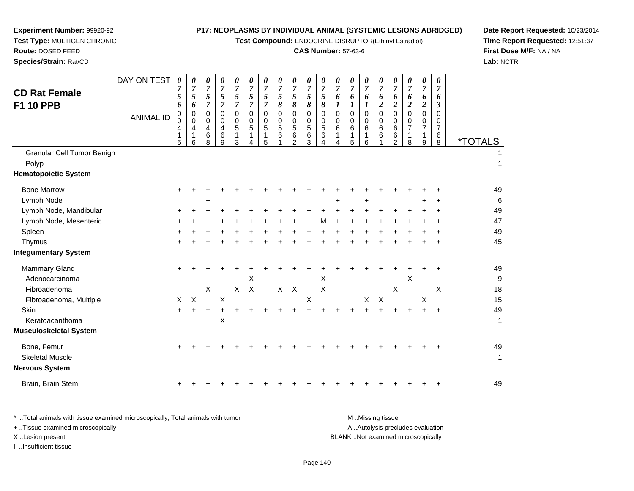**Test Compound:** ENDOCRINE DISRUPTOR(Ethinyl Estradiol)

# **CAS Number:** 57-63-6

**Date Report Requested:** 10/23/2014 **Time Report Requested:** 12:51:37**First Dose M/F:** NA / NA**Lab:** NCTR

| <b>CD Rat Female</b><br><b>F1 10 PPB</b><br>Granular Cell Tumor Benign<br>Polyp | DAY ON TEST<br><b>ANIMAL ID</b> | 0<br>$\overline{7}$<br>5<br>6<br>$\mathbf 0$<br>$\Omega$<br>4<br>1<br>5 | 0<br>$\boldsymbol{7}$<br>5<br>6<br>$\pmb{0}$<br>0<br>4<br>1<br>6 | 0<br>$\overline{7}$<br>5<br>$\overline{7}$<br>0<br>0<br>4<br>6<br>8 | 0<br>$\boldsymbol{7}$<br>5<br>$\overline{7}$<br>0<br>0<br>$\overline{4}$<br>6<br>9 | 0<br>$\overline{7}$<br>5<br>$\overline{7}$<br>$\Omega$<br>0<br>5<br>1<br>3 | 0<br>$\overline{7}$<br>$\sqrt{5}$<br>$\overline{7}$<br>$\Omega$<br>$\mathbf 0$<br>5<br>1<br>4 | 0<br>$\boldsymbol{7}$<br>5<br>$\overline{7}$<br>$\mathbf 0$<br>0<br>5<br>1<br>5 | 0<br>$\overline{7}$<br>5<br>8<br>0<br>0<br>5<br>6 | 0<br>$\boldsymbol{7}$<br>$\sqrt{5}$<br>8<br>0<br>0<br>5<br>6<br>$\overline{2}$ | 0<br>$\boldsymbol{7}$<br>$\sqrt{5}$<br>$\pmb{8}$<br>$\pmb{0}$<br>$\mathbf 0$<br>$\sqrt{5}$<br>$\,6$<br>3 | 0<br>$\overline{7}$<br>5<br>$\pmb{8}$<br>$\mathbf 0$<br>$\Omega$<br>5<br>6<br>4 | 0<br>$\overline{7}$<br>6<br>1<br>$\Omega$<br>$\Omega$<br>6<br>1<br>4 | 0<br>$\overline{7}$<br>6<br>$\boldsymbol{l}$<br>$\mathbf 0$<br>$\mathbf 0$<br>6<br>1<br>5 | 0<br>$\overline{7}$<br>6<br>1<br>0<br>0<br>6<br>1<br>6 | 0<br>$\overline{7}$<br>6<br>$\overline{2}$<br>$\Omega$<br>0<br>6<br>6 | 0<br>$\boldsymbol{7}$<br>6<br>$\overline{2}$<br>$\mathbf 0$<br>$\mathbf 0$<br>6<br>$\,6$<br>$\overline{c}$ | $\boldsymbol{\theta}$<br>$\overline{7}$<br>6<br>$\overline{c}$<br>$\Omega$<br>$\Omega$<br>$\overline{7}$<br>1<br>8 | $\boldsymbol{\theta}$<br>$\overline{7}$<br>6<br>$\overline{2}$<br>$\mathbf 0$<br>0<br>$\overline{7}$<br>$\mathbf 1$<br>9 | 0<br>$\overline{7}$<br>6<br>$\boldsymbol{\beta}$<br>$\Omega$<br>0<br>$\overline{7}$<br>6<br>8 | <i><b>*TOTALS</b></i><br>1 |
|---------------------------------------------------------------------------------|---------------------------------|-------------------------------------------------------------------------|------------------------------------------------------------------|---------------------------------------------------------------------|------------------------------------------------------------------------------------|----------------------------------------------------------------------------|-----------------------------------------------------------------------------------------------|---------------------------------------------------------------------------------|---------------------------------------------------|--------------------------------------------------------------------------------|----------------------------------------------------------------------------------------------------------|---------------------------------------------------------------------------------|----------------------------------------------------------------------|-------------------------------------------------------------------------------------------|--------------------------------------------------------|-----------------------------------------------------------------------|------------------------------------------------------------------------------------------------------------|--------------------------------------------------------------------------------------------------------------------|--------------------------------------------------------------------------------------------------------------------------|-----------------------------------------------------------------------------------------------|----------------------------|
| <b>Hematopoietic System</b>                                                     |                                 |                                                                         |                                                                  |                                                                     |                                                                                    |                                                                            |                                                                                               |                                                                                 |                                                   |                                                                                |                                                                                                          |                                                                                 |                                                                      |                                                                                           |                                                        |                                                                       |                                                                                                            |                                                                                                                    |                                                                                                                          |                                                                                               |                            |
| <b>Bone Marrow</b>                                                              |                                 |                                                                         |                                                                  |                                                                     |                                                                                    |                                                                            |                                                                                               |                                                                                 |                                                   |                                                                                |                                                                                                          |                                                                                 |                                                                      |                                                                                           |                                                        |                                                                       |                                                                                                            |                                                                                                                    |                                                                                                                          |                                                                                               | 49                         |
| Lymph Node                                                                      |                                 |                                                                         |                                                                  | ÷                                                                   |                                                                                    |                                                                            |                                                                                               |                                                                                 |                                                   |                                                                                |                                                                                                          |                                                                                 |                                                                      |                                                                                           | ÷                                                      |                                                                       |                                                                                                            |                                                                                                                    | ÷                                                                                                                        | ÷                                                                                             | 6                          |
| Lymph Node, Mandibular                                                          |                                 |                                                                         |                                                                  |                                                                     |                                                                                    |                                                                            |                                                                                               |                                                                                 |                                                   |                                                                                |                                                                                                          |                                                                                 |                                                                      |                                                                                           |                                                        |                                                                       |                                                                                                            |                                                                                                                    |                                                                                                                          |                                                                                               | 49                         |
| Lymph Node, Mesenteric                                                          |                                 |                                                                         |                                                                  |                                                                     |                                                                                    |                                                                            |                                                                                               |                                                                                 |                                                   |                                                                                |                                                                                                          |                                                                                 |                                                                      |                                                                                           |                                                        |                                                                       |                                                                                                            |                                                                                                                    |                                                                                                                          |                                                                                               | 47                         |
| Spleen                                                                          |                                 |                                                                         |                                                                  |                                                                     |                                                                                    |                                                                            |                                                                                               |                                                                                 |                                                   |                                                                                |                                                                                                          |                                                                                 |                                                                      |                                                                                           |                                                        |                                                                       |                                                                                                            |                                                                                                                    |                                                                                                                          |                                                                                               | 49                         |
| Thymus                                                                          |                                 |                                                                         |                                                                  |                                                                     |                                                                                    |                                                                            |                                                                                               |                                                                                 |                                                   |                                                                                |                                                                                                          |                                                                                 |                                                                      |                                                                                           |                                                        |                                                                       |                                                                                                            |                                                                                                                    |                                                                                                                          |                                                                                               | 45                         |
| <b>Integumentary System</b>                                                     |                                 |                                                                         |                                                                  |                                                                     |                                                                                    |                                                                            |                                                                                               |                                                                                 |                                                   |                                                                                |                                                                                                          |                                                                                 |                                                                      |                                                                                           |                                                        |                                                                       |                                                                                                            |                                                                                                                    |                                                                                                                          |                                                                                               |                            |
| Mammary Gland                                                                   |                                 |                                                                         |                                                                  |                                                                     |                                                                                    |                                                                            |                                                                                               |                                                                                 |                                                   |                                                                                |                                                                                                          |                                                                                 |                                                                      |                                                                                           |                                                        |                                                                       |                                                                                                            |                                                                                                                    |                                                                                                                          |                                                                                               | 49                         |
| Adenocarcinoma                                                                  |                                 |                                                                         |                                                                  |                                                                     |                                                                                    |                                                                            | X                                                                                             |                                                                                 |                                                   |                                                                                |                                                                                                          | Х                                                                               |                                                                      |                                                                                           |                                                        |                                                                       |                                                                                                            | X                                                                                                                  |                                                                                                                          |                                                                                               | g                          |
| Fibroadenoma                                                                    |                                 |                                                                         |                                                                  | $\pmb{\times}$                                                      |                                                                                    | $\mathsf{X}$                                                               | $\mathsf{X}$                                                                                  |                                                                                 | $\mathsf{X}$                                      | $\times$                                                                       |                                                                                                          | Χ                                                                               |                                                                      |                                                                                           |                                                        |                                                                       | $\boldsymbol{\mathsf{X}}$                                                                                  |                                                                                                                    |                                                                                                                          | X                                                                                             | 18                         |
| Fibroadenoma, Multiple                                                          |                                 | X                                                                       | $\boldsymbol{\mathsf{X}}$                                        |                                                                     | Χ                                                                                  |                                                                            |                                                                                               |                                                                                 |                                                   |                                                                                | X                                                                                                        |                                                                                 |                                                                      |                                                                                           | X                                                      | $\times$                                                              |                                                                                                            |                                                                                                                    | X                                                                                                                        |                                                                                               | 15                         |
| Skin                                                                            |                                 | $\ddot{}$                                                               |                                                                  | +                                                                   |                                                                                    |                                                                            |                                                                                               |                                                                                 |                                                   |                                                                                |                                                                                                          |                                                                                 |                                                                      |                                                                                           |                                                        |                                                                       |                                                                                                            |                                                                                                                    |                                                                                                                          | $\ddot{}$                                                                                     | 49                         |
| Keratoacanthoma                                                                 |                                 |                                                                         |                                                                  |                                                                     | $\times$                                                                           |                                                                            |                                                                                               |                                                                                 |                                                   |                                                                                |                                                                                                          |                                                                                 |                                                                      |                                                                                           |                                                        |                                                                       |                                                                                                            |                                                                                                                    |                                                                                                                          |                                                                                               | 1                          |
| <b>Musculoskeletal System</b>                                                   |                                 |                                                                         |                                                                  |                                                                     |                                                                                    |                                                                            |                                                                                               |                                                                                 |                                                   |                                                                                |                                                                                                          |                                                                                 |                                                                      |                                                                                           |                                                        |                                                                       |                                                                                                            |                                                                                                                    |                                                                                                                          |                                                                                               |                            |
| Bone, Femur<br><b>Skeletal Muscle</b><br><b>Nervous System</b>                  |                                 | ٠                                                                       |                                                                  |                                                                     |                                                                                    |                                                                            |                                                                                               |                                                                                 |                                                   |                                                                                |                                                                                                          |                                                                                 |                                                                      |                                                                                           |                                                        |                                                                       |                                                                                                            |                                                                                                                    |                                                                                                                          |                                                                                               | 49<br>1                    |
| Brain, Brain Stem                                                               |                                 |                                                                         |                                                                  |                                                                     |                                                                                    |                                                                            |                                                                                               |                                                                                 |                                                   |                                                                                |                                                                                                          |                                                                                 |                                                                      |                                                                                           |                                                        |                                                                       |                                                                                                            |                                                                                                                    |                                                                                                                          |                                                                                               | 49                         |
|                                                                                 |                                 |                                                                         |                                                                  |                                                                     |                                                                                    |                                                                            |                                                                                               |                                                                                 |                                                   |                                                                                |                                                                                                          |                                                                                 |                                                                      |                                                                                           |                                                        |                                                                       |                                                                                                            |                                                                                                                    |                                                                                                                          |                                                                                               |                            |

**Experiment Number:** 99920-92**Test Type:** MULTIGEN CHRONIC

| Total animals with tissue examined microscopically; Total animals with tumor. | M Missing tissue                   |
|-------------------------------------------------------------------------------|------------------------------------|
| + Tissue examined microscopically                                             | A Autolysis precludes evaluation   |
| X Lesion present                                                              | BLANK Not examined microscopically |
| Insufficient tissue                                                           |                                    |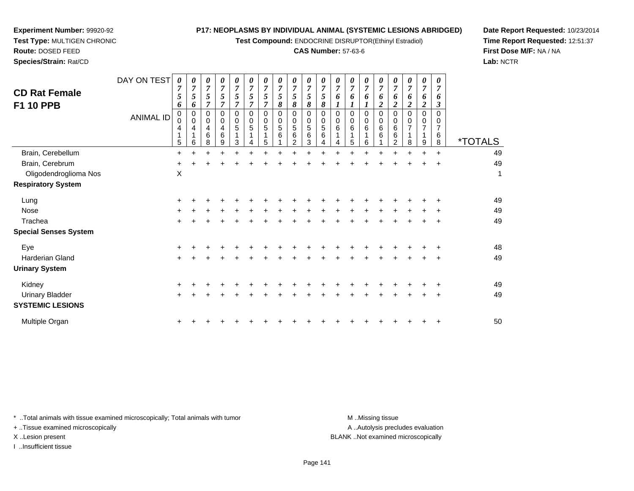**Test Compound:** ENDOCRINE DISRUPTOR(Ethinyl Estradiol)

#### **CAS Number:** 57-63-6

**Date Report Requested:** 10/23/2014**Time Report Requested:** 12:51:37**First Dose M/F:** NA / NA**Lab:** NCTR

**Experiment Number:** 99920-92

| <b>CD Rat Female</b><br><b>F1 10 PPB</b> | DAY ON TEST<br><b>ANIMAL ID</b> | 0<br>7<br>5<br>6<br>$\Omega$<br>0<br>4<br>5 | $\overline{7}$<br>5<br>6<br>0<br>0<br>4<br>6 | 0<br>7<br>5<br>$\overline{7}$<br>0<br>0<br>4<br>6<br>8 | 0<br>$\overline{7}$<br>5<br>$\overline{7}$<br>0<br>0<br>4<br>6<br>9 | 0<br>$\overline{7}$<br>5<br>$\overline{7}$<br>$\Omega$<br>$\mathbf 0$<br>5<br>3 | 0<br>$\boldsymbol{7}$<br>5<br>$\overline{7}$<br>0<br>0<br>5<br>4 | $\theta$<br>$\boldsymbol{7}$<br>5<br>0<br>0<br>5<br>5 | 0<br>$\boldsymbol{7}$<br>5<br>8<br>0<br>$\mathbf 0$<br>5<br>6 | 0<br>$\overline{7}$<br>5<br>8<br>$\mathbf 0$<br>$\mathbf 0$<br>$\sqrt{5}$<br>$\,6$<br>2 | 0<br>$\overline{7}$<br>5<br>8<br>$\mathbf 0$<br>$\mathbf 0$<br>$\sqrt{5}$<br>6<br>3 | $\theta$<br>$\overline{7}$<br>5<br>8<br>$\mathbf 0$<br>0<br>$\sqrt{5}$<br>6<br>4 | $\boldsymbol{\theta}$<br>7<br>6<br>0<br>0<br>6<br>4 | 0<br>$\overline{7}$<br>6<br>$\mathbf 0$<br>$\mathbf 0$<br>6<br>1<br>5 | $\boldsymbol{\theta}$<br>$\overline{7}$<br>6<br>0<br>0<br>6<br>6 | 0<br>$\overline{7}$<br>6<br>$\boldsymbol{2}$<br>$\Omega$<br>0<br>6<br>6 | 7<br>6<br>2<br>$\Omega$<br>0<br>6<br>6<br>2 | $\theta$<br>$\overline{7}$<br>6<br>$\boldsymbol{2}$<br>$\Omega$<br>0<br>$\overline{7}$<br>1<br>8 | 0<br>$\overline{7}$<br>6<br>2<br>$\Omega$<br>0<br>7<br>9 | 0<br>$\overline{7}$<br>6<br>3<br>$\Omega$<br>0<br>$\overline{7}$<br>6<br>8 | <i><b>*TOTALS</b></i> |
|------------------------------------------|---------------------------------|---------------------------------------------|----------------------------------------------|--------------------------------------------------------|---------------------------------------------------------------------|---------------------------------------------------------------------------------|------------------------------------------------------------------|-------------------------------------------------------|---------------------------------------------------------------|-----------------------------------------------------------------------------------------|-------------------------------------------------------------------------------------|----------------------------------------------------------------------------------|-----------------------------------------------------|-----------------------------------------------------------------------|------------------------------------------------------------------|-------------------------------------------------------------------------|---------------------------------------------|--------------------------------------------------------------------------------------------------|----------------------------------------------------------|----------------------------------------------------------------------------|-----------------------|
| Brain, Cerebellum                        |                                 | $\ddot{}$                                   |                                              |                                                        |                                                                     |                                                                                 |                                                                  |                                                       |                                                               |                                                                                         |                                                                                     |                                                                                  |                                                     |                                                                       |                                                                  |                                                                         |                                             |                                                                                                  |                                                          | $\ddot{}$                                                                  | 49                    |
| Brain, Cerebrum                          |                                 | $\ddot{}$                                   |                                              |                                                        |                                                                     |                                                                                 |                                                                  |                                                       |                                                               |                                                                                         |                                                                                     |                                                                                  |                                                     |                                                                       |                                                                  |                                                                         |                                             |                                                                                                  |                                                          | $\ddot{}$                                                                  | 49                    |
| Oligodendroglioma Nos                    |                                 | Χ                                           |                                              |                                                        |                                                                     |                                                                                 |                                                                  |                                                       |                                                               |                                                                                         |                                                                                     |                                                                                  |                                                     |                                                                       |                                                                  |                                                                         |                                             |                                                                                                  |                                                          |                                                                            | 1                     |
| <b>Respiratory System</b>                |                                 |                                             |                                              |                                                        |                                                                     |                                                                                 |                                                                  |                                                       |                                                               |                                                                                         |                                                                                     |                                                                                  |                                                     |                                                                       |                                                                  |                                                                         |                                             |                                                                                                  |                                                          |                                                                            |                       |
| Lung                                     |                                 | $\ddot{}$                                   |                                              |                                                        |                                                                     |                                                                                 |                                                                  |                                                       |                                                               |                                                                                         |                                                                                     |                                                                                  |                                                     |                                                                       |                                                                  |                                                                         |                                             |                                                                                                  |                                                          |                                                                            | 49                    |
| <b>Nose</b>                              |                                 | $\ddot{}$                                   |                                              |                                                        |                                                                     |                                                                                 |                                                                  |                                                       |                                                               |                                                                                         |                                                                                     |                                                                                  |                                                     |                                                                       |                                                                  |                                                                         |                                             |                                                                                                  |                                                          |                                                                            | 49                    |
| Trachea                                  |                                 | $\div$                                      |                                              |                                                        |                                                                     |                                                                                 |                                                                  |                                                       |                                                               |                                                                                         |                                                                                     |                                                                                  |                                                     |                                                                       |                                                                  |                                                                         |                                             |                                                                                                  |                                                          |                                                                            | 49                    |
| <b>Special Senses System</b>             |                                 |                                             |                                              |                                                        |                                                                     |                                                                                 |                                                                  |                                                       |                                                               |                                                                                         |                                                                                     |                                                                                  |                                                     |                                                                       |                                                                  |                                                                         |                                             |                                                                                                  |                                                          |                                                                            |                       |
| Eye                                      |                                 | $\ddot{}$                                   |                                              |                                                        |                                                                     |                                                                                 |                                                                  |                                                       |                                                               |                                                                                         |                                                                                     |                                                                                  |                                                     |                                                                       |                                                                  |                                                                         |                                             |                                                                                                  |                                                          | ÷                                                                          | 48                    |
| <b>Harderian Gland</b>                   |                                 | $\ddot{}$                                   |                                              |                                                        |                                                                     |                                                                                 |                                                                  |                                                       |                                                               |                                                                                         |                                                                                     |                                                                                  |                                                     |                                                                       |                                                                  |                                                                         |                                             |                                                                                                  |                                                          | $\ddot{}$                                                                  | 49                    |
| <b>Urinary System</b>                    |                                 |                                             |                                              |                                                        |                                                                     |                                                                                 |                                                                  |                                                       |                                                               |                                                                                         |                                                                                     |                                                                                  |                                                     |                                                                       |                                                                  |                                                                         |                                             |                                                                                                  |                                                          |                                                                            |                       |
| Kidney                                   |                                 | ÷                                           |                                              |                                                        |                                                                     |                                                                                 |                                                                  |                                                       |                                                               |                                                                                         |                                                                                     |                                                                                  |                                                     |                                                                       |                                                                  |                                                                         |                                             |                                                                                                  |                                                          | ٠                                                                          | 49                    |
| <b>Urinary Bladder</b>                   |                                 | $\div$                                      |                                              |                                                        |                                                                     |                                                                                 |                                                                  |                                                       |                                                               |                                                                                         |                                                                                     |                                                                                  |                                                     |                                                                       |                                                                  |                                                                         |                                             |                                                                                                  |                                                          |                                                                            | 49                    |
| <b>SYSTEMIC LESIONS</b>                  |                                 |                                             |                                              |                                                        |                                                                     |                                                                                 |                                                                  |                                                       |                                                               |                                                                                         |                                                                                     |                                                                                  |                                                     |                                                                       |                                                                  |                                                                         |                                             |                                                                                                  |                                                          |                                                                            |                       |
| Multiple Organ                           |                                 |                                             |                                              |                                                        |                                                                     |                                                                                 |                                                                  |                                                       |                                                               |                                                                                         |                                                                                     |                                                                                  |                                                     |                                                                       |                                                                  |                                                                         |                                             |                                                                                                  |                                                          | ÷                                                                          | 50                    |

\* ..Total animals with tissue examined microscopically; Total animals with tumor **M** . Missing tissue M ..Missing tissue

+ ..Tissue examined microscopically

I ..Insufficient tissue

A ..Autolysis precludes evaluation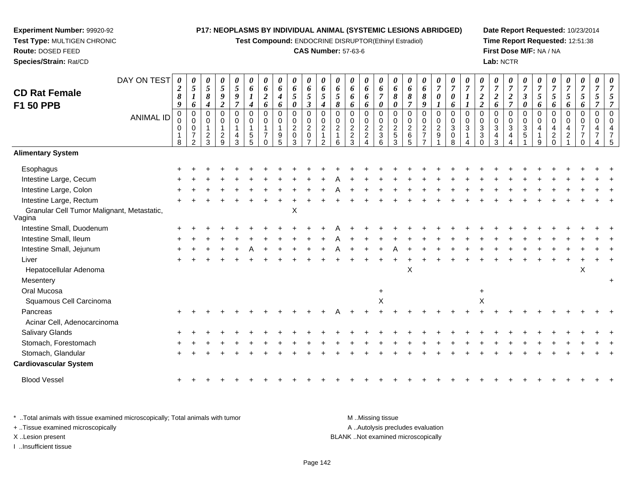**Test Compound:** ENDOCRINE DISRUPTOR(Ethinyl Estradiol)

#### **CAS Number:** 57-63-6

**Date Report Requested:** 10/23/2014**Time Report Requested:** 12:51:38**First Dose M/F:** NA / NA**Lab:** NCTR

#### DAY ON TEST**CD Rat FemaleF1 50 PPB**ANIMAL ID*0 2 8 9* 0 0 0 1 8*0 5 1 6* 0 0 0 7 2*0 5 8 4* 0 0 1 2 3*0 5 9 2* 0 0 1 2 9*0 5 9 7* 0 0 1 4 3*0 6 1 4* 0 0 1 5 5*0 6 2 6* 0 0 1 7 0*0 6 4 6* 0 0 1 9 5*0 6 5 0* 0 0 2 0 3*0 6 5 3* 0 0 2 0 7*0 6 5 4* 0 0 2 1 2*0 6 5 8* 0 0 2 1 6*0 6 6 6* 0 0 2 2 3*0 6 6 6* 0 0 2 2 4*0 6 7 0* 0 0 2 3 6*0 6 8 0* 0 0 2 5 3*0 6 8 7* 0 0 2 6 5*0 6 8 9* 0 0 2 7 7*0 7 0 1* 0 0 2 9 1*0 7 0 6* 0 0 3 0 8*0 7 1 1* 0 0 3 1 4*0 7 2 2* 0 0 3 3 0*0 7 2 6* 0 0 3 4 3*0 7 2 7* 0 0 3 4 4*0 7 3 0* 0 0 3 5 1*0 7 5 6* 0 0 4 1 9*0 7 5 6* 0 0 4 2 0*0 7 5 6* 0 0 4 2 1*0 7 5 6* 0 0 7 7 0*0 7 5 7* 0 0 4 7 4*0 7 5 7* 0 0 4 7 5**Alimentary SystemEsophagus**  $\mathsf{S}$  + <sup>+</sup> <sup>+</sup> <sup>+</sup> <sup>+</sup> <sup>+</sup> <sup>+</sup> <sup>+</sup> <sup>+</sup> <sup>+</sup> <sup>+</sup> <sup>+</sup> <sup>+</sup> <sup>+</sup> <sup>+</sup> <sup>+</sup> <sup>+</sup> <sup>+</sup> <sup>+</sup> <sup>+</sup> <sup>+</sup> <sup>+</sup> <sup>+</sup> <sup>+</sup> <sup>+</sup> <sup>+</sup> <sup>+</sup> <sup>+</sup> <sup>+</sup> <sup>+</sup> <sup>+</sup> Intestine Large, Cecum <sup>+</sup> <sup>+</sup> <sup>+</sup> <sup>+</sup> <sup>+</sup> <sup>+</sup> <sup>+</sup> <sup>+</sup> <sup>+</sup> <sup>+</sup> <sup>+</sup> <sup>A</sup> <sup>+</sup> <sup>+</sup> <sup>+</sup> <sup>+</sup> <sup>+</sup> <sup>+</sup> <sup>+</sup> <sup>+</sup> <sup>+</sup> <sup>+</sup> <sup>+</sup> <sup>+</sup> <sup>+</sup> <sup>+</sup> <sup>+</sup> <sup>+</sup> <sup>+</sup> <sup>+</sup> <sup>+</sup> Intestine Large, Colon $\mathsf{n}$  + <sup>+</sup> <sup>+</sup> <sup>+</sup> <sup>+</sup> <sup>+</sup> <sup>+</sup> <sup>+</sup> <sup>+</sup> <sup>+</sup> <sup>+</sup> <sup>A</sup> <sup>+</sup> <sup>+</sup> <sup>+</sup> <sup>+</sup> <sup>+</sup> <sup>+</sup> <sup>+</sup> <sup>+</sup> <sup>+</sup> <sup>+</sup> <sup>+</sup> <sup>+</sup> <sup>+</sup> <sup>+</sup> <sup>+</sup> <sup>+</sup> <sup>+</sup> <sup>+</sup> <sup>+</sup> Intestine Large, Rectum <sup>+</sup> <sup>+</sup> <sup>+</sup> <sup>+</sup> <sup>+</sup> <sup>+</sup> <sup>+</sup> <sup>+</sup> <sup>+</sup> <sup>+</sup> <sup>+</sup> <sup>+</sup> <sup>+</sup> <sup>+</sup> <sup>+</sup> <sup>+</sup> <sup>+</sup> <sup>+</sup> <sup>+</sup> <sup>+</sup> <sup>+</sup> <sup>+</sup> <sup>+</sup> <sup>+</sup> <sup>+</sup> <sup>+</sup> <sup>+</sup> <sup>+</sup> <sup>+</sup> <sup>+</sup> <sup>+</sup> Granular Cell Tumor Malignant, Metastatic,Vagina Intestine Small, DuodenumX <sup>+</sup> <sup>+</sup> <sup>+</sup> <sup>+</sup> <sup>+</sup> <sup>+</sup> <sup>+</sup> <sup>+</sup> <sup>+</sup> <sup>+</sup> <sup>+</sup> <sup>A</sup> <sup>+</sup> <sup>+</sup> <sup>+</sup> <sup>+</sup> <sup>+</sup> <sup>+</sup> <sup>+</sup> <sup>+</sup> <sup>+</sup> <sup>+</sup> <sup>+</sup> <sup>+</sup> <sup>+</sup> <sup>+</sup> <sup>+</sup> <sup>+</sup> <sup>+</sup> <sup>+</sup> <sup>+</sup> Intestine Small, Ileum <sup>+</sup> <sup>+</sup> <sup>+</sup> <sup>+</sup> <sup>+</sup> <sup>+</sup> <sup>+</sup> <sup>+</sup> <sup>+</sup> <sup>+</sup> <sup>+</sup> <sup>A</sup> <sup>+</sup> <sup>+</sup> <sup>+</sup> <sup>+</sup> <sup>+</sup> <sup>+</sup> <sup>+</sup> <sup>+</sup> <sup>+</sup> <sup>+</sup> <sup>+</sup> <sup>+</sup> <sup>+</sup> <sup>+</sup> <sup>+</sup> <sup>+</sup> <sup>+</sup> <sup>+</sup> <sup>+</sup> Intestine Small, Jejunum <sup>+</sup> <sup>+</sup> <sup>+</sup> <sup>+</sup> <sup>+</sup> <sup>A</sup> <sup>+</sup> <sup>+</sup> <sup>+</sup> <sup>+</sup> <sup>+</sup> <sup>A</sup> <sup>+</sup> <sup>+</sup> <sup>+</sup> <sup>A</sup> <sup>+</sup> <sup>+</sup> <sup>+</sup> <sup>+</sup> <sup>+</sup> <sup>+</sup> <sup>+</sup> <sup>+</sup> <sup>+</sup> <sup>+</sup> <sup>+</sup> <sup>+</sup> <sup>+</sup> <sup>+</sup> <sup>+</sup> Liver $\mathsf{r}$  + <sup>+</sup> <sup>+</sup> <sup>+</sup> <sup>+</sup> <sup>+</sup> <sup>+</sup> <sup>+</sup> <sup>+</sup> <sup>+</sup> <sup>+</sup> <sup>+</sup> <sup>+</sup> <sup>+</sup> <sup>+</sup> <sup>+</sup> <sup>+</sup> <sup>+</sup> <sup>+</sup> <sup>+</sup> <sup>+</sup> <sup>+</sup> <sup>+</sup> <sup>+</sup> <sup>+</sup> <sup>+</sup> <sup>+</sup> <sup>+</sup> <sup>+</sup> <sup>+</sup> <sup>+</sup> Hepatocellular Adenoma $\alpha$  $\mathsf{X}$  and  $\mathsf{X}$ **Mesentery**  <sup>+</sup>Oral Mucosa $\overline{a}$  and  $\overline{b}$  and  $\overline{a}$  and  $\overline{a}$  and  $\overline{a}$  and  $\overline{a}$  and  $\overline{a}$  and  $\overline{a}$  and  $\overline{a}$  and  $\overline{a}$  and  $\overline{a}$  and  $\overline{a}$  and  $\overline{a}$  and  $\overline{a}$  and  $\overline{a}$  and  $\overline{a}$  and  $\overline{a}$  and <sup>+</sup> Squamous Cell Carcinoma $\alpha$  $\mathsf{x}$  x Pancreas <sup>+</sup> <sup>+</sup> <sup>+</sup> <sup>+</sup> <sup>+</sup> <sup>+</sup> <sup>+</sup> <sup>+</sup> <sup>+</sup> <sup>+</sup> <sup>+</sup> <sup>A</sup> <sup>+</sup> <sup>+</sup> <sup>+</sup> <sup>+</sup> <sup>+</sup> <sup>+</sup> <sup>+</sup> <sup>+</sup> <sup>+</sup> <sup>+</sup> <sup>+</sup> <sup>+</sup> <sup>+</sup> <sup>+</sup> <sup>+</sup> <sup>+</sup> <sup>+</sup> <sup>+</sup> <sup>+</sup> Acinar Cell, AdenocarcinomaSalivary Glands $\sim$   $\sim$   $\sim$   $\sim$   $\sim$   $\sim$   $\sim$  <sup>+</sup> <sup>+</sup> <sup>+</sup> <sup>+</sup> <sup>+</sup> <sup>+</sup> <sup>+</sup> <sup>+</sup> <sup>+</sup> <sup>+</sup> <sup>+</sup> <sup>+</sup> <sup>+</sup> <sup>+</sup> <sup>+</sup> <sup>+</sup> <sup>+</sup> <sup>+</sup> <sup>+</sup> <sup>+</sup> <sup>+</sup> <sup>+</sup> <sup>+</sup> <sup>+</sup> <sup>+</sup> <sup>+</sup> <sup>+</sup> <sup>+</sup> <sup>+</sup> <sup>+</sup> Stomach, Forestomach $h \rightarrow$  <sup>+</sup> <sup>+</sup> <sup>+</sup> <sup>+</sup> <sup>+</sup> <sup>+</sup> <sup>+</sup> <sup>+</sup> <sup>+</sup> <sup>+</sup> <sup>+</sup> <sup>+</sup> <sup>+</sup> <sup>+</sup> <sup>+</sup> <sup>+</sup> <sup>+</sup> <sup>+</sup> <sup>+</sup> <sup>+</sup> <sup>+</sup> <sup>+</sup> <sup>+</sup> <sup>+</sup> <sup>+</sup> <sup>+</sup> <sup>+</sup> <sup>+</sup> <sup>+</sup> <sup>+</sup> Stomach, Glandular $\mathsf{r}$  + <sup>+</sup> <sup>+</sup> <sup>+</sup> <sup>+</sup> <sup>+</sup> <sup>+</sup> <sup>+</sup> <sup>+</sup> <sup>+</sup> <sup>+</sup> <sup>+</sup> <sup>+</sup> <sup>+</sup> <sup>+</sup> <sup>+</sup> <sup>+</sup> <sup>+</sup> <sup>+</sup> <sup>+</sup> <sup>+</sup> <sup>+</sup> <sup>+</sup> <sup>+</sup> <sup>+</sup> <sup>+</sup> <sup>+</sup> <sup>+</sup> <sup>+</sup> <sup>+</sup> <sup>+</sup> **Cardiovascular System**Blood Vessel $\mathbf{+}$ <sup>+</sup> <sup>+</sup> <sup>+</sup> <sup>+</sup> <sup>+</sup> <sup>+</sup> <sup>+</sup> <sup>+</sup> <sup>+</sup> <sup>+</sup> <sup>+</sup> <sup>+</sup> <sup>+</sup> <sup>+</sup> <sup>+</sup> <sup>+</sup> <sup>+</sup> <sup>+</sup> <sup>+</sup> <sup>+</sup> <sup>+</sup> <sup>+</sup> <sup>+</sup> <sup>+</sup> <sup>+</sup> <sup>+</sup> <sup>+</sup> <sup>+</sup> <sup>+</sup> <sup>+</sup>

\* ..Total animals with tissue examined microscopically; Total animals with tumor M ...Total animals with tumor A ..Autolysis precludes evaluation + ..Tissue examined microscopically X ..Lesion present BLANK ..Not examined microscopicallyI ..Insufficient tissue

**Experiment Number:** 99920-92**Test Type:** MULTIGEN CHRONIC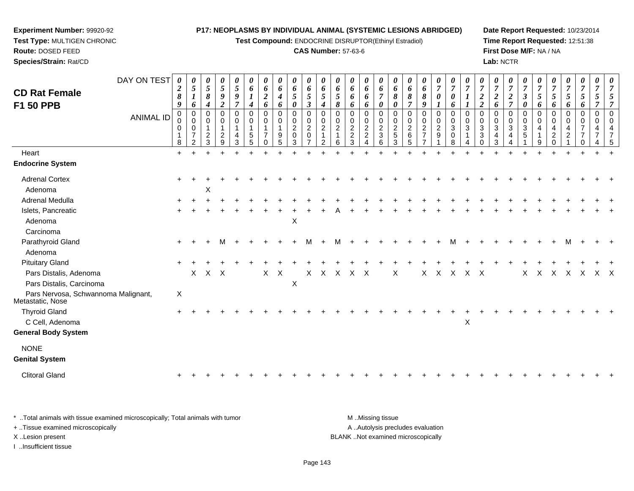**Test Compound:** ENDOCRINE DISRUPTOR(Ethinyl Estradiol)

#### **CAS Number:** 57-63-6

**Date Report Requested:** 10/23/2014**Time Report Requested:** 12:51:38**First Dose M/F:** NA / NA**Lab:** NCTR

| <b>CD Rat Female</b><br>F1 50 PPB                       | DAY ON TEST<br><b>ANIMAL ID</b> | $\boldsymbol{\theta}$<br>$\boldsymbol{2}$<br>$\pmb{8}$<br>9<br>$\mathbf 0$<br>0<br>0 | $\boldsymbol{\theta}$<br>5<br>$\boldsymbol{l}$<br>6<br>$\Omega$<br>$\mathbf 0$<br>$\mathbf 0$<br>7 | 0<br>5<br>8<br>4<br>0<br>$\Omega$<br>2 | 0<br>5<br>9<br>$\overline{2}$<br>$\Omega$<br>0<br>$\mathbf{1}$<br>$\overline{2}$ | $\boldsymbol{\theta}$<br>5<br>9<br>$\overline{7}$<br>$\Omega$<br>$\mathbf 0$<br>$\mathbf{1}$<br>4 | 0<br>6<br>$\boldsymbol{l}$<br>4<br>$\Omega$<br>0<br>5 | $\boldsymbol{\theta}$<br>6<br>$\boldsymbol{2}$<br>6<br>$\Omega$<br>$\mathbf 0$<br>7 | 0<br>6<br>$\boldsymbol{4}$<br>6<br>$\Omega$<br>0<br>9 | 0<br>6<br>5<br>0<br>$\Omega$<br>$\pmb{0}$<br>$\overline{c}$<br>$\pmb{0}$ | 0<br>6<br>5<br>$\mathfrak{z}$<br>$\Omega$<br>0<br>$\overline{2}$<br>$\mathbf 0$ | 0<br>6<br>$\overline{5}$<br>$\boldsymbol{4}$<br>$\Omega$<br>0<br>$\overline{c}$<br>$\mathbf 1$ | $\boldsymbol{\theta}$<br>6<br>$\mathfrak{s}$<br>8<br>$\Omega$<br>0<br>$\overline{2}$ | 0<br>6<br>6<br>6<br>$\Omega$<br>0<br>$\overline{c}$<br>$\overline{c}$ | 0<br>6<br>6<br>6<br>$\Omega$<br>0<br>$\frac{2}{2}$ | 0<br>6<br>$\overline{7}$<br>0<br>$\Omega$<br>$\mathbf 0$<br>$\frac{2}{3}$ | $\boldsymbol{\theta}$<br>6<br>$\boldsymbol{\delta}$<br>0<br>0<br>0<br>$\frac{2}{5}$ | 6<br>8<br>$\overline{7}$<br>$\Omega$<br>0<br>$\overline{c}$<br>6 | $\boldsymbol{\theta}$<br>6<br>8<br>9<br>$\Omega$<br>0<br>$\overline{c}$<br>$\overline{7}$ | $\boldsymbol{\theta}$<br>$\overline{7}$<br>$\boldsymbol{\theta}$<br>$\Omega$<br>$\mathbf 0$<br>$\overline{c}$<br>$\boldsymbol{9}$ | 0<br>$\overline{7}$<br>$\boldsymbol{\theta}$<br>6<br>$\Omega$<br>$\mathbf 0$<br>$\sqrt{3}$<br>0 | $\boldsymbol{\theta}$<br>$\overline{7}$<br>$\boldsymbol{I}$<br>$\Omega$<br>0<br>3 | $\overline{7}$<br>$\boldsymbol{2}$<br>$\overline{\mathbf{c}}$<br>$\Omega$<br>$\mathbf 0$<br>3<br>3 | 0<br>$\overline{7}$<br>$\overline{2}$<br>6<br>$\Omega$<br>0<br>3 | 0<br>$\overline{7}$<br>$\boldsymbol{2}$<br>$\overline{7}$<br>$\Omega$<br>$\pmb{0}$<br>$\sqrt{3}$<br>4 | $\overline{7}$<br>$\mathfrak{z}$<br>$\boldsymbol{\theta}$<br>$\Omega$<br>$\mathbf 0$<br>$\sqrt{3}$<br>5 | 0<br>$\overline{7}$<br>$\sqrt{5}$<br>6<br>0<br>0<br>$\overline{4}$ | $\overline{7}$<br>5<br>6<br>$\Omega$<br>$\mathbf 0$<br>4<br>2 | U<br>$\overline{7}$<br>5<br>6<br>$\Omega$<br>0<br>$\overline{2}$ | $\boldsymbol{\theta}$<br>$\overline{7}$<br>$\mathfrak{H}$<br>6<br>$\Omega$<br>0<br>$\overline{7}$ | $\boldsymbol{\theta}$<br>$\overline{7}$<br>5<br>$\Omega$<br>$\Omega$<br>4 | $\boldsymbol{\theta}$ |
|---------------------------------------------------------|---------------------------------|--------------------------------------------------------------------------------------|----------------------------------------------------------------------------------------------------|----------------------------------------|----------------------------------------------------------------------------------|---------------------------------------------------------------------------------------------------|-------------------------------------------------------|-------------------------------------------------------------------------------------|-------------------------------------------------------|--------------------------------------------------------------------------|---------------------------------------------------------------------------------|------------------------------------------------------------------------------------------------|--------------------------------------------------------------------------------------|-----------------------------------------------------------------------|----------------------------------------------------|---------------------------------------------------------------------------|-------------------------------------------------------------------------------------|------------------------------------------------------------------|-------------------------------------------------------------------------------------------|-----------------------------------------------------------------------------------------------------------------------------------|-------------------------------------------------------------------------------------------------|-----------------------------------------------------------------------------------|----------------------------------------------------------------------------------------------------|------------------------------------------------------------------|-------------------------------------------------------------------------------------------------------|---------------------------------------------------------------------------------------------------------|--------------------------------------------------------------------|---------------------------------------------------------------|------------------------------------------------------------------|---------------------------------------------------------------------------------------------------|---------------------------------------------------------------------------|-----------------------|
| Heart                                                   |                                 | 8<br>$+$                                                                             | $\mathcal{P}$                                                                                      | 3                                      | $9\,$                                                                            | 3                                                                                                 | $5\phantom{1}$                                        | $\Omega$                                                                            | 5                                                     | 3                                                                        | $\overline{7}$                                                                  | 2                                                                                              | 6                                                                                    | 3                                                                     | $\overline{4}$                                     | 6                                                                         | 3                                                                                   | 5                                                                |                                                                                           |                                                                                                                                   | 8                                                                                               | 4                                                                                 | $\Omega$                                                                                           | 3                                                                |                                                                                                       |                                                                                                         | 9                                                                  | $\Omega$                                                      |                                                                  | 0                                                                                                 |                                                                           |                       |
| <b>Endocrine System</b>                                 |                                 |                                                                                      |                                                                                                    |                                        |                                                                                  |                                                                                                   |                                                       |                                                                                     |                                                       |                                                                          |                                                                                 |                                                                                                |                                                                                      |                                                                       |                                                    |                                                                           |                                                                                     |                                                                  |                                                                                           |                                                                                                                                   |                                                                                                 |                                                                                   |                                                                                                    |                                                                  |                                                                                                       |                                                                                                         |                                                                    |                                                               |                                                                  |                                                                                                   |                                                                           |                       |
|                                                         |                                 |                                                                                      |                                                                                                    |                                        |                                                                                  |                                                                                                   |                                                       |                                                                                     |                                                       |                                                                          |                                                                                 |                                                                                                |                                                                                      |                                                                       |                                                    |                                                                           |                                                                                     |                                                                  |                                                                                           |                                                                                                                                   |                                                                                                 |                                                                                   |                                                                                                    |                                                                  |                                                                                                       |                                                                                                         |                                                                    |                                                               |                                                                  |                                                                                                   |                                                                           |                       |
| <b>Adrenal Cortex</b>                                   |                                 |                                                                                      |                                                                                                    |                                        |                                                                                  |                                                                                                   |                                                       |                                                                                     |                                                       |                                                                          |                                                                                 |                                                                                                |                                                                                      |                                                                       |                                                    |                                                                           |                                                                                     |                                                                  |                                                                                           |                                                                                                                                   |                                                                                                 |                                                                                   |                                                                                                    |                                                                  |                                                                                                       |                                                                                                         |                                                                    |                                                               |                                                                  |                                                                                                   |                                                                           |                       |
| Adenoma                                                 |                                 |                                                                                      |                                                                                                    | X                                      |                                                                                  |                                                                                                   |                                                       |                                                                                     |                                                       |                                                                          |                                                                                 |                                                                                                |                                                                                      |                                                                       |                                                    |                                                                           |                                                                                     |                                                                  |                                                                                           |                                                                                                                                   |                                                                                                 |                                                                                   |                                                                                                    |                                                                  |                                                                                                       |                                                                                                         |                                                                    |                                                               |                                                                  |                                                                                                   |                                                                           |                       |
| Adrenal Medulla                                         |                                 |                                                                                      |                                                                                                    |                                        |                                                                                  |                                                                                                   |                                                       |                                                                                     |                                                       |                                                                          |                                                                                 |                                                                                                |                                                                                      |                                                                       |                                                    |                                                                           |                                                                                     |                                                                  |                                                                                           |                                                                                                                                   |                                                                                                 |                                                                                   |                                                                                                    |                                                                  |                                                                                                       |                                                                                                         |                                                                    |                                                               |                                                                  |                                                                                                   |                                                                           |                       |
| Islets, Pancreatic                                      |                                 |                                                                                      |                                                                                                    |                                        |                                                                                  |                                                                                                   |                                                       |                                                                                     |                                                       |                                                                          |                                                                                 |                                                                                                |                                                                                      |                                                                       |                                                    |                                                                           |                                                                                     |                                                                  |                                                                                           |                                                                                                                                   |                                                                                                 |                                                                                   |                                                                                                    |                                                                  |                                                                                                       |                                                                                                         |                                                                    |                                                               |                                                                  |                                                                                                   |                                                                           |                       |
| Adenoma                                                 |                                 |                                                                                      |                                                                                                    |                                        |                                                                                  |                                                                                                   |                                                       |                                                                                     |                                                       | $\boldsymbol{\mathsf{X}}$                                                |                                                                                 |                                                                                                |                                                                                      |                                                                       |                                                    |                                                                           |                                                                                     |                                                                  |                                                                                           |                                                                                                                                   |                                                                                                 |                                                                                   |                                                                                                    |                                                                  |                                                                                                       |                                                                                                         |                                                                    |                                                               |                                                                  |                                                                                                   |                                                                           |                       |
| Carcinoma                                               |                                 |                                                                                      |                                                                                                    |                                        |                                                                                  |                                                                                                   |                                                       |                                                                                     |                                                       |                                                                          |                                                                                 |                                                                                                |                                                                                      |                                                                       |                                                    |                                                                           |                                                                                     |                                                                  |                                                                                           |                                                                                                                                   |                                                                                                 |                                                                                   |                                                                                                    |                                                                  |                                                                                                       |                                                                                                         |                                                                    |                                                               |                                                                  |                                                                                                   |                                                                           |                       |
| Parathyroid Gland                                       |                                 |                                                                                      |                                                                                                    |                                        | м                                                                                |                                                                                                   |                                                       |                                                                                     |                                                       |                                                                          | M                                                                               |                                                                                                | м                                                                                    |                                                                       |                                                    |                                                                           |                                                                                     |                                                                  |                                                                                           |                                                                                                                                   |                                                                                                 |                                                                                   |                                                                                                    |                                                                  |                                                                                                       |                                                                                                         |                                                                    |                                                               |                                                                  |                                                                                                   |                                                                           |                       |
| Adenoma                                                 |                                 |                                                                                      |                                                                                                    |                                        |                                                                                  |                                                                                                   |                                                       |                                                                                     |                                                       |                                                                          |                                                                                 |                                                                                                |                                                                                      |                                                                       |                                                    |                                                                           |                                                                                     |                                                                  |                                                                                           |                                                                                                                                   |                                                                                                 |                                                                                   |                                                                                                    |                                                                  |                                                                                                       |                                                                                                         |                                                                    |                                                               |                                                                  |                                                                                                   |                                                                           |                       |
| <b>Pituitary Gland</b>                                  |                                 |                                                                                      |                                                                                                    |                                        |                                                                                  |                                                                                                   |                                                       |                                                                                     |                                                       |                                                                          |                                                                                 |                                                                                                |                                                                                      |                                                                       |                                                    |                                                                           |                                                                                     |                                                                  |                                                                                           |                                                                                                                                   |                                                                                                 |                                                                                   |                                                                                                    |                                                                  |                                                                                                       |                                                                                                         |                                                                    |                                                               |                                                                  |                                                                                                   |                                                                           |                       |
| Pars Distalis, Adenoma                                  |                                 |                                                                                      | $\mathsf{X}$                                                                                       | $X$ $X$                                |                                                                                  |                                                                                                   |                                                       | $\mathsf{X}$                                                                        | $\boldsymbol{\mathsf{X}}$                             |                                                                          | $\mathsf{X}$                                                                    | X                                                                                              | $\mathsf{X}$                                                                         | $\mathsf{X}$                                                          | $\mathsf{X}$                                       |                                                                           | X                                                                                   |                                                                  | X                                                                                         | $X$ $X$                                                                                                                           |                                                                                                 | $X$ $X$                                                                           |                                                                                                    |                                                                  |                                                                                                       | $\mathsf{X}$                                                                                            | $\times$                                                           | $\times$                                                      | $\mathsf{X}$                                                     | $\mathsf{X}$                                                                                      | X X                                                                       |                       |
| Pars Distalis, Carcinoma                                |                                 |                                                                                      |                                                                                                    |                                        |                                                                                  |                                                                                                   |                                                       |                                                                                     |                                                       | $\boldsymbol{\mathsf{X}}$                                                |                                                                                 |                                                                                                |                                                                                      |                                                                       |                                                    |                                                                           |                                                                                     |                                                                  |                                                                                           |                                                                                                                                   |                                                                                                 |                                                                                   |                                                                                                    |                                                                  |                                                                                                       |                                                                                                         |                                                                    |                                                               |                                                                  |                                                                                                   |                                                                           |                       |
| Pars Nervosa, Schwannoma Malignant,<br>Metastatic, Nose |                                 | X                                                                                    |                                                                                                    |                                        |                                                                                  |                                                                                                   |                                                       |                                                                                     |                                                       |                                                                          |                                                                                 |                                                                                                |                                                                                      |                                                                       |                                                    |                                                                           |                                                                                     |                                                                  |                                                                                           |                                                                                                                                   |                                                                                                 |                                                                                   |                                                                                                    |                                                                  |                                                                                                       |                                                                                                         |                                                                    |                                                               |                                                                  |                                                                                                   |                                                                           |                       |
| <b>Thyroid Gland</b>                                    |                                 |                                                                                      |                                                                                                    |                                        |                                                                                  |                                                                                                   |                                                       |                                                                                     |                                                       |                                                                          |                                                                                 |                                                                                                |                                                                                      |                                                                       |                                                    |                                                                           |                                                                                     |                                                                  |                                                                                           |                                                                                                                                   |                                                                                                 |                                                                                   |                                                                                                    |                                                                  |                                                                                                       |                                                                                                         |                                                                    |                                                               |                                                                  |                                                                                                   |                                                                           |                       |
| C Cell, Adenoma                                         |                                 |                                                                                      |                                                                                                    |                                        |                                                                                  |                                                                                                   |                                                       |                                                                                     |                                                       |                                                                          |                                                                                 |                                                                                                |                                                                                      |                                                                       |                                                    |                                                                           |                                                                                     |                                                                  |                                                                                           |                                                                                                                                   |                                                                                                 | $\mathsf X$                                                                       |                                                                                                    |                                                                  |                                                                                                       |                                                                                                         |                                                                    |                                                               |                                                                  |                                                                                                   |                                                                           |                       |
| <b>General Body System</b>                              |                                 |                                                                                      |                                                                                                    |                                        |                                                                                  |                                                                                                   |                                                       |                                                                                     |                                                       |                                                                          |                                                                                 |                                                                                                |                                                                                      |                                                                       |                                                    |                                                                           |                                                                                     |                                                                  |                                                                                           |                                                                                                                                   |                                                                                                 |                                                                                   |                                                                                                    |                                                                  |                                                                                                       |                                                                                                         |                                                                    |                                                               |                                                                  |                                                                                                   |                                                                           |                       |
| <b>NONE</b>                                             |                                 |                                                                                      |                                                                                                    |                                        |                                                                                  |                                                                                                   |                                                       |                                                                                     |                                                       |                                                                          |                                                                                 |                                                                                                |                                                                                      |                                                                       |                                                    |                                                                           |                                                                                     |                                                                  |                                                                                           |                                                                                                                                   |                                                                                                 |                                                                                   |                                                                                                    |                                                                  |                                                                                                       |                                                                                                         |                                                                    |                                                               |                                                                  |                                                                                                   |                                                                           |                       |
| <b>Genital System</b>                                   |                                 |                                                                                      |                                                                                                    |                                        |                                                                                  |                                                                                                   |                                                       |                                                                                     |                                                       |                                                                          |                                                                                 |                                                                                                |                                                                                      |                                                                       |                                                    |                                                                           |                                                                                     |                                                                  |                                                                                           |                                                                                                                                   |                                                                                                 |                                                                                   |                                                                                                    |                                                                  |                                                                                                       |                                                                                                         |                                                                    |                                                               |                                                                  |                                                                                                   |                                                                           |                       |
| <b>Clitoral Gland</b>                                   |                                 |                                                                                      |                                                                                                    |                                        |                                                                                  |                                                                                                   |                                                       |                                                                                     |                                                       |                                                                          |                                                                                 |                                                                                                |                                                                                      |                                                                       |                                                    |                                                                           |                                                                                     |                                                                  |                                                                                           |                                                                                                                                   |                                                                                                 |                                                                                   |                                                                                                    |                                                                  |                                                                                                       |                                                                                                         |                                                                    |                                                               |                                                                  |                                                                                                   |                                                                           |                       |
|                                                         |                                 |                                                                                      |                                                                                                    |                                        |                                                                                  |                                                                                                   |                                                       |                                                                                     |                                                       |                                                                          |                                                                                 |                                                                                                |                                                                                      |                                                                       |                                                    |                                                                           |                                                                                     |                                                                  |                                                                                           |                                                                                                                                   |                                                                                                 |                                                                                   |                                                                                                    |                                                                  |                                                                                                       |                                                                                                         |                                                                    |                                                               |                                                                  |                                                                                                   |                                                                           |                       |

\* ..Total animals with tissue examined microscopically; Total animals with tumor **M** . Missing tissue M ..Missing tissue A ..Autolysis precludes evaluation + ..Tissue examined microscopically X ..Lesion present BLANK ..Not examined microscopicallyI ..Insufficient tissue

**Experiment Number:** 99920-92**Test Type:** MULTIGEN CHRONIC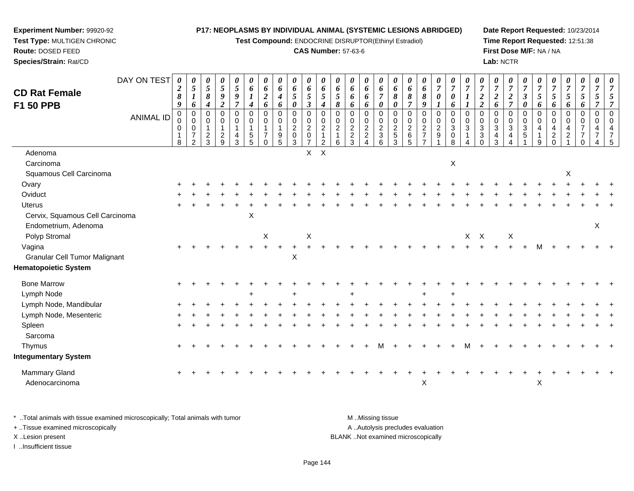**Test Compound:** ENDOCRINE DISRUPTOR(Ethinyl Estradiol)

#### **CAS Number:** 57-63-6

**Date Report Requested:** 10/23/2014**Time Report Requested:** 12:51:38**First Dose M/F:** NA / NA**Lab:** NCTR

|                                                         |                                 | $\boldsymbol{\theta}$                                                       | 0                                                 | 0                                                       | 0                                | 0                                                                      | 0                                                                                   | 0                                                  | 0                                                                       | 0                                                                   | 0                                                                    | 0                                    | 0                                                           | 0                                                                              | 0                                                      | 0                                                               | 0                                                  | 0                                                                               |                                                                  | 0                                                                         | 0                                               |                                                |                                                                                         | 0                                                               | 0                                            | $\boldsymbol{\theta}$                                             |                                                     | 0                                      |                                                                     | $\boldsymbol{\theta}$                                  | $\boldsymbol{\theta}$                                         |
|---------------------------------------------------------|---------------------------------|-----------------------------------------------------------------------------|---------------------------------------------------|---------------------------------------------------------|----------------------------------|------------------------------------------------------------------------|-------------------------------------------------------------------------------------|----------------------------------------------------|-------------------------------------------------------------------------|---------------------------------------------------------------------|----------------------------------------------------------------------|--------------------------------------|-------------------------------------------------------------|--------------------------------------------------------------------------------|--------------------------------------------------------|-----------------------------------------------------------------|----------------------------------------------------|---------------------------------------------------------------------------------|------------------------------------------------------------------|---------------------------------------------------------------------------|-------------------------------------------------|------------------------------------------------|-----------------------------------------------------------------------------------------|-----------------------------------------------------------------|----------------------------------------------|-------------------------------------------------------------------|-----------------------------------------------------|----------------------------------------|---------------------------------------------------------------------|--------------------------------------------------------|---------------------------------------------------------------|
| DAY ON TEST<br><b>CD Rat Female</b>                     | 0<br>$\boldsymbol{2}$<br>8      | $\sqrt{5}$<br>$\boldsymbol{l}$                                              | $\overline{5}$<br>$\pmb{8}$                       | $\mathfrak{S}$<br>9                                     | $\overline{5}$<br>9              | 6<br>$\boldsymbol{l}$                                                  | $\boldsymbol{6}$<br>$\boldsymbol{2}$                                                | 6<br>$\boldsymbol{4}$                              | 6<br>$\mathfrak{s}$                                                     | 6<br>5                                                              | 6<br>$\overline{5}$                                                  | 6<br>$\mathfrak{s}$                  | 6<br>6                                                      | 6<br>6                                                                         | $\boldsymbol{6}$<br>$\overline{7}$                     | 6<br>8                                                          | 6<br>8                                             | 6<br>$\pmb{8}$                                                                  | $\frac{\theta}{7}$<br>$\boldsymbol{\theta}$                      | $\overline{7}$<br>$\boldsymbol{\theta}$                                   | $\overline{7}$<br>1                             | $\frac{\boldsymbol{0}}{7}$<br>$\boldsymbol{2}$ | $\frac{\boldsymbol{0}}{7}$<br>$\boldsymbol{2}$                                          | $\overline{7}$<br>$\boldsymbol{2}$                              | $\overline{7}$<br>$\boldsymbol{\beta}$       | $\overline{7}$<br>5                                               | $\frac{\boldsymbol{0}}{7}$<br>5                     | $\overline{7}$<br>$\mathfrak{s}$       | $\frac{\theta}{7}$<br>$\mathfrak{s}$                                | $\overline{7}$<br>$\mathfrak{H}$                       | $\overline{7}$<br>5                                           |
| F1 50 PPB                                               | 9                               | $\pmb{6}$                                                                   | $\boldsymbol{4}$                                  | $\overline{2}$                                          | $\overline{7}$                   | $\boldsymbol{4}$                                                       | 6                                                                                   | 6                                                  | $\boldsymbol{\theta}$                                                   | $\mathfrak{z}$                                                      | $\boldsymbol{4}$                                                     | $\pmb{8}$                            | 6                                                           | 6                                                                              | $\pmb{\theta}$                                         | $\pmb{\theta}$                                                  | $\overline{7}$                                     | 9                                                                               | $\boldsymbol{l}$                                                 | 6                                                                         | $\boldsymbol{l}$                                | $\overline{2}$                                 | 6                                                                                       | $\overline{7}$                                                  | $\pmb{\theta}$                               | 6                                                                 | 6                                                   | 6                                      | 6                                                                   | $\overline{7}$                                         | $\overline{7}$                                                |
| <b>ANIMAL ID</b>                                        | $\mathbf 0$<br>0<br>0<br>1<br>8 | $\mathbf 0$<br>$\mathbf 0$<br>$\pmb{0}$<br>$\overline{7}$<br>$\overline{2}$ | 0<br>$\mathbf 0$<br>$\mathbf{1}$<br>$\frac{2}{3}$ | $\mathbf 0$<br>0<br>$\mathbf{1}$<br>$\overline{c}$<br>9 | 0<br>0<br>$\mathbf{1}$<br>4<br>3 | $\pmb{0}$<br>0<br>$\mathbf 1$<br>$\begin{array}{c} 5 \\ 5 \end{array}$ | $\mathbf 0$<br>$\mathbf 0$<br>$\mathbf{1}$<br>$\overline{7}$<br>$\mathsf{O}\xspace$ | 0<br>0<br>1<br>$\boldsymbol{9}$<br>$5\phantom{.0}$ | $\mathbf 0$<br>$\pmb{0}$<br>$\overline{c}$<br>$\pmb{0}$<br>$\mathbf{3}$ | $\mathbf 0$<br>0<br>$\boldsymbol{2}$<br>$\pmb{0}$<br>$\overline{7}$ | $\mathbf 0$<br>0<br>$\overline{c}$<br>$\mathbf{1}$<br>$\overline{2}$ | $\Omega$<br>0<br>$\overline{c}$<br>6 | $\mathbf 0$<br>$\mathbf 0$<br>$\frac{2}{2}$<br>$\mathbf{3}$ | $\mathbf 0$<br>$\mathbf 0$<br>$\boldsymbol{2}$<br>$\sqrt{2}$<br>$\overline{4}$ | $\mathbf 0$<br>0<br>$\overline{c}$<br>$\,$ 3 $\,$<br>6 | $\mathbf 0$<br>$\pmb{0}$<br>$\boldsymbol{2}$<br>$\sqrt{5}$<br>3 | 0<br>$\mathbf 0$<br>$\overline{c}$<br>$\,6\,$<br>5 | $\mathbf 0$<br>$\overline{0}$<br>$\sqrt{2}$<br>$\overline{7}$<br>$\overline{7}$ | $\mathbf 0$<br>$\pmb{0}$<br>$\boldsymbol{2}$<br>$\boldsymbol{9}$ | $\mathbf 0$<br>$\mathbf 0$<br>$\ensuremath{\mathsf{3}}$<br>$\pmb{0}$<br>8 | $\mathbf 0$<br>$\mathbf 0$<br>3<br>$\mathbf{1}$ | $\mathbf 0$<br>0<br>3<br>3<br>$\Omega$         | $\pmb{0}$<br>$\mathbf 0$<br>$\ensuremath{\mathsf{3}}$<br>$\overline{4}$<br>$\mathbf{3}$ | $\mathbf 0$<br>$\mathsf 0$<br>$\sqrt{3}$<br>$\overline{4}$<br>4 | $\mathbf 0$<br>0<br>$\sqrt{3}$<br>$\sqrt{5}$ | $\mathbf 0$<br>$\mathbf 0$<br>$\overline{4}$<br>$\mathbf{1}$<br>9 | $\mathbf 0$<br>0<br>4<br>$\overline{c}$<br>$\Omega$ | 0<br>0<br>$\overline{4}$<br>$\sqrt{2}$ | $\mathbf 0$<br>0<br>$\overline{7}$<br>$\overline{7}$<br>$\mathbf 0$ | $\mathbf 0$<br>$\mathbf 0$<br>4<br>$\overline{7}$<br>4 | $\Omega$<br>$\Omega$<br>$\overline{4}$<br>$\overline{7}$<br>5 |
| Adenoma                                                 |                                 |                                                                             |                                                   |                                                         |                                  |                                                                        |                                                                                     |                                                    |                                                                         | X                                                                   | $\mathsf{X}$                                                         |                                      |                                                             |                                                                                |                                                        |                                                                 |                                                    |                                                                                 |                                                                  |                                                                           |                                                 |                                                |                                                                                         |                                                                 |                                              |                                                                   |                                                     |                                        |                                                                     |                                                        |                                                               |
| Carcinoma                                               |                                 |                                                                             |                                                   |                                                         |                                  |                                                                        |                                                                                     |                                                    |                                                                         |                                                                     |                                                                      |                                      |                                                             |                                                                                |                                                        |                                                                 |                                                    |                                                                                 |                                                                  | $\boldsymbol{\mathsf{X}}$                                                 |                                                 |                                                |                                                                                         |                                                                 |                                              |                                                                   |                                                     |                                        |                                                                     |                                                        |                                                               |
| Squamous Cell Carcinoma                                 |                                 |                                                                             |                                                   |                                                         |                                  |                                                                        |                                                                                     |                                                    |                                                                         |                                                                     |                                                                      |                                      |                                                             |                                                                                |                                                        |                                                                 |                                                    |                                                                                 |                                                                  |                                                                           |                                                 |                                                |                                                                                         |                                                                 |                                              |                                                                   |                                                     | X                                      |                                                                     |                                                        |                                                               |
| Ovary                                                   |                                 |                                                                             |                                                   |                                                         |                                  |                                                                        |                                                                                     |                                                    |                                                                         |                                                                     |                                                                      |                                      |                                                             |                                                                                |                                                        |                                                                 |                                                    |                                                                                 |                                                                  |                                                                           |                                                 |                                                |                                                                                         |                                                                 |                                              |                                                                   |                                                     |                                        |                                                                     |                                                        |                                                               |
| Oviduct                                                 |                                 |                                                                             |                                                   |                                                         |                                  |                                                                        |                                                                                     |                                                    |                                                                         |                                                                     |                                                                      |                                      |                                                             |                                                                                |                                                        |                                                                 |                                                    |                                                                                 |                                                                  |                                                                           |                                                 |                                                |                                                                                         |                                                                 |                                              |                                                                   |                                                     |                                        |                                                                     |                                                        |                                                               |
| <b>Uterus</b>                                           |                                 |                                                                             |                                                   |                                                         |                                  |                                                                        |                                                                                     |                                                    |                                                                         |                                                                     |                                                                      |                                      |                                                             |                                                                                |                                                        |                                                                 |                                                    |                                                                                 |                                                                  |                                                                           |                                                 |                                                |                                                                                         |                                                                 |                                              |                                                                   |                                                     |                                        |                                                                     |                                                        |                                                               |
| Cervix, Squamous Cell Carcinoma<br>Endometrium, Adenoma |                                 |                                                                             |                                                   |                                                         |                                  | $\mathsf X$                                                            |                                                                                     |                                                    |                                                                         |                                                                     |                                                                      |                                      |                                                             |                                                                                |                                                        |                                                                 |                                                    |                                                                                 |                                                                  |                                                                           |                                                 |                                                |                                                                                         |                                                                 |                                              |                                                                   |                                                     |                                        |                                                                     | X                                                      |                                                               |
| Polyp Stromal                                           |                                 |                                                                             |                                                   |                                                         |                                  |                                                                        | X                                                                                   |                                                    |                                                                         | X                                                                   |                                                                      |                                      |                                                             |                                                                                |                                                        |                                                                 |                                                    |                                                                                 |                                                                  |                                                                           | $X$ $X$                                         |                                                |                                                                                         | X                                                               |                                              |                                                                   |                                                     |                                        |                                                                     |                                                        |                                                               |
| Vagina<br><b>Granular Cell Tumor Malignant</b>          |                                 |                                                                             |                                                   |                                                         |                                  |                                                                        |                                                                                     | $\pm$                                              | X                                                                       |                                                                     |                                                                      |                                      |                                                             |                                                                                |                                                        |                                                                 |                                                    |                                                                                 |                                                                  |                                                                           |                                                 |                                                |                                                                                         |                                                                 |                                              |                                                                   |                                                     |                                        |                                                                     |                                                        |                                                               |
| <b>Hematopoietic System</b>                             |                                 |                                                                             |                                                   |                                                         |                                  |                                                                        |                                                                                     |                                                    |                                                                         |                                                                     |                                                                      |                                      |                                                             |                                                                                |                                                        |                                                                 |                                                    |                                                                                 |                                                                  |                                                                           |                                                 |                                                |                                                                                         |                                                                 |                                              |                                                                   |                                                     |                                        |                                                                     |                                                        |                                                               |
| <b>Bone Marrow</b>                                      |                                 |                                                                             |                                                   |                                                         |                                  |                                                                        |                                                                                     |                                                    |                                                                         |                                                                     |                                                                      |                                      |                                                             |                                                                                |                                                        |                                                                 |                                                    |                                                                                 |                                                                  |                                                                           |                                                 |                                                |                                                                                         |                                                                 |                                              |                                                                   |                                                     |                                        |                                                                     |                                                        |                                                               |
| Lymph Node                                              |                                 |                                                                             |                                                   |                                                         |                                  |                                                                        |                                                                                     |                                                    |                                                                         |                                                                     |                                                                      |                                      |                                                             |                                                                                |                                                        |                                                                 |                                                    | $\ddot{}$                                                                       |                                                                  | $\ddot{}$                                                                 |                                                 |                                                |                                                                                         |                                                                 |                                              |                                                                   |                                                     |                                        |                                                                     |                                                        |                                                               |
| Lymph Node, Mandibular                                  |                                 |                                                                             |                                                   |                                                         |                                  |                                                                        |                                                                                     |                                                    |                                                                         |                                                                     |                                                                      |                                      |                                                             |                                                                                |                                                        |                                                                 |                                                    |                                                                                 |                                                                  |                                                                           |                                                 |                                                |                                                                                         |                                                                 |                                              |                                                                   |                                                     |                                        |                                                                     |                                                        |                                                               |
| Lymph Node, Mesenteric                                  |                                 |                                                                             |                                                   |                                                         |                                  |                                                                        |                                                                                     |                                                    |                                                                         |                                                                     |                                                                      |                                      |                                                             |                                                                                |                                                        |                                                                 |                                                    |                                                                                 |                                                                  |                                                                           |                                                 |                                                |                                                                                         |                                                                 |                                              |                                                                   |                                                     |                                        |                                                                     |                                                        |                                                               |
| Spleen                                                  |                                 |                                                                             |                                                   |                                                         |                                  |                                                                        |                                                                                     |                                                    |                                                                         |                                                                     |                                                                      |                                      |                                                             |                                                                                |                                                        |                                                                 |                                                    |                                                                                 |                                                                  |                                                                           |                                                 |                                                |                                                                                         |                                                                 |                                              |                                                                   |                                                     |                                        |                                                                     |                                                        |                                                               |
| Sarcoma                                                 |                                 |                                                                             |                                                   |                                                         |                                  |                                                                        |                                                                                     |                                                    |                                                                         |                                                                     |                                                                      |                                      |                                                             |                                                                                |                                                        |                                                                 |                                                    |                                                                                 |                                                                  |                                                                           |                                                 |                                                |                                                                                         |                                                                 |                                              |                                                                   |                                                     |                                        |                                                                     |                                                        |                                                               |
| Thymus                                                  |                                 |                                                                             |                                                   |                                                         |                                  |                                                                        |                                                                                     |                                                    |                                                                         |                                                                     |                                                                      |                                      |                                                             |                                                                                |                                                        |                                                                 |                                                    |                                                                                 |                                                                  |                                                                           |                                                 |                                                |                                                                                         |                                                                 |                                              |                                                                   |                                                     |                                        |                                                                     |                                                        |                                                               |
| <b>Integumentary System</b>                             |                                 |                                                                             |                                                   |                                                         |                                  |                                                                        |                                                                                     |                                                    |                                                                         |                                                                     |                                                                      |                                      |                                                             |                                                                                |                                                        |                                                                 |                                                    |                                                                                 |                                                                  |                                                                           |                                                 |                                                |                                                                                         |                                                                 |                                              |                                                                   |                                                     |                                        |                                                                     |                                                        |                                                               |
| Mammary Gland<br>Adenocarcinoma                         |                                 |                                                                             |                                                   |                                                         |                                  |                                                                        |                                                                                     |                                                    |                                                                         |                                                                     |                                                                      |                                      |                                                             |                                                                                |                                                        |                                                                 |                                                    | X                                                                               |                                                                  |                                                                           |                                                 |                                                |                                                                                         |                                                                 |                                              | $\mathsf{X}$                                                      |                                                     |                                        |                                                                     |                                                        |                                                               |

\* ..Total animals with tissue examined microscopically; Total animals with tumor **M** . Missing tissue M ..Missing tissue A ..Autolysis precludes evaluation + ..Tissue examined microscopically X ..Lesion present BLANK ..Not examined microscopicallyI ..Insufficient tissue

**Experiment Number:** 99920-92**Test Type:** MULTIGEN CHRONIC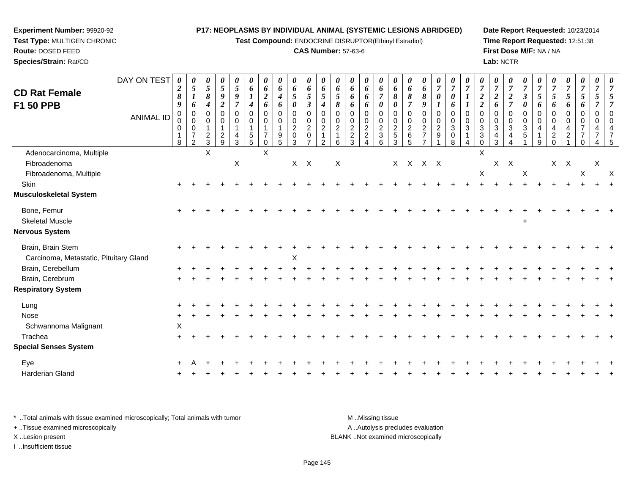**Test Compound:** ENDOCRINE DISRUPTOR(Ethinyl Estradiol)

#### **CAS Number:** 57-63-6

**Date Report Requested:** 10/23/2014**Time Report Requested:** 12:51:38**First Dose M/F:** NA / NA**Lab:** NCTR

|                                        | DAY ON TEST      |                       |                               |                    |                                  |                               |                              |                                |                  |                            |                                     |                                  |                                |                                  |                              |                                               |                                   |                               |                                           |                            |                                        |                |                                         |                                |                                              |                            |                     |                                  |                     |                                  |                     |   |
|----------------------------------------|------------------|-----------------------|-------------------------------|--------------------|----------------------------------|-------------------------------|------------------------------|--------------------------------|------------------|----------------------------|-------------------------------------|----------------------------------|--------------------------------|----------------------------------|------------------------------|-----------------------------------------------|-----------------------------------|-------------------------------|-------------------------------------------|----------------------------|----------------------------------------|----------------|-----------------------------------------|--------------------------------|----------------------------------------------|----------------------------|---------------------|----------------------------------|---------------------|----------------------------------|---------------------|---|
|                                        |                  | 0<br>$\boldsymbol{2}$ | 0<br>$\sqrt{5}$               | $\frac{\theta}{5}$ | $\frac{\theta}{5}$               | $\frac{\theta}{5}$            | 0<br>6                       | 0<br>6                         | 0<br>6           | 0<br>6                     | 0<br>$\pmb{6}$                      | 0<br>6                           | 0<br>6                         | 0<br>6                           | 0<br>6                       | 0<br>$\pmb{6}$                                | $\boldsymbol{\theta}$<br>6        | $\boldsymbol{\theta}$<br>6    | $\boldsymbol{\theta}$<br>$\boldsymbol{6}$ | $\frac{\boldsymbol{0}}{7}$ | $\frac{\boldsymbol{0}}{7}$             | $\overline{7}$ | $\boldsymbol{\theta}$<br>$\overline{7}$ | $\frac{\boldsymbol{0}}{7}$     | $\frac{\boldsymbol{\theta}}{\boldsymbol{7}}$ | $\frac{\boldsymbol{0}}{7}$ | U<br>$\overline{7}$ | $\overline{7}$                   | $\frac{\theta}{7}$  | 0<br>$\boldsymbol{7}$            | 0<br>$\overline{7}$ |   |
| <b>CD Rat Female</b>                   |                  | 8                     | $\boldsymbol{l}$              | 8                  | 9                                | 9                             |                              | $\boldsymbol{2}$               | $\boldsymbol{4}$ | $\mathfrak{z}$             | 5                                   | 5                                | $\overline{5}$                 | 6                                | 6                            | $\overline{7}$                                | 8                                 | $\boldsymbol{\delta}$         | 8                                         | $\boldsymbol{\theta}$      | $\boldsymbol{\theta}$                  |                | $\boldsymbol{2}$                        | $\overline{2}$                 | $\boldsymbol{2}$                             | $\overline{\mathbf{3}}$    | 5                   | $\mathfrak{s}$                   | $5\overline{)}$     | $\overline{5}$                   | 5                   |   |
| F1 50 PPB                              |                  | 9<br>$\mathbf{0}$     | 6<br>$\Omega$                 | 4<br>$\Omega$      | $\overline{2}$<br>$\mathbf 0$    | $\overline{7}$<br>$\mathbf 0$ | $\boldsymbol{4}$<br>$\Omega$ | 6<br>$\mathbf 0$               | 6<br>$\mathbf 0$ | $\boldsymbol{\theta}$<br>0 | $\boldsymbol{\beta}$<br>$\mathbf 0$ | $\boldsymbol{4}$<br>$\Omega$     | 8<br>$\Omega$                  | 6<br>$\Omega$                    | 6<br>$\mathbf 0$             | 0<br>$\mathbf 0$                              | $\boldsymbol{\theta}$<br>$\Omega$ | $\overline{7}$<br>$\mathbf 0$ | 9<br>$\mathbf 0$                          | $\boldsymbol{l}$           | 6<br>$\mathbf 0$                       | $\Omega$       | $\overline{2}$<br>$\Omega$              | 6<br>$\Omega$                  | $\overline{7}$<br>$\pmb{0}$                  | 0<br>$\mathbf 0$           | 6<br>$\Omega$       | 6<br>$\Omega$                    | 6<br>$\mathbf 0$    | 6<br>$\pmb{0}$                   | 7<br>$\mathbf 0$    |   |
|                                        | <b>ANIMAL ID</b> | $\pmb{0}$             | $\mathbf 0$                   | $\mathbf 0$        | $\mathbf 0$                      | $\pmb{0}$                     | $\mathbf 0$                  | $\mathbf 0$                    | $\mathbf 0$      | $\mathbf 0$                | $\pmb{0}$                           | $\mathbf 0$                      | $\mathbf 0$                    | $\mathbf 0$                      | $\pmb{0}$                    | $\pmb{0}$                                     | $\mathbf 0$                       | $\mathbf 0$                   | $\mathbf 0$                               | $_{\rm 0}^{\rm 0}$         | $\pmb{0}$                              | $\mathbf 0$    | $\mathbf 0$                             | 0                              | $\pmb{0}$                                    | $\mathbf 0$                | $\mathbf 0$         | $\mathbf 0$                      | $\mathbf 0$         | $\mathbf 0$                      | $\mathbf 0$         |   |
|                                        |                  | 0                     | $\mathbf 0$<br>$\overline{7}$ | $\overline{c}$     | $\overline{1}$<br>$\overline{c}$ | $\mathbf{1}$<br>4             | $\mathbf 1$<br>$\sqrt{5}$    | $\mathbf{1}$<br>$\overline{7}$ | 9                | $\frac{2}{3}$              | $\overline{c}$<br>$\mathbf 0$       | $\overline{2}$<br>$\overline{1}$ | $\overline{c}$<br>$\mathbf{1}$ | $\overline{2}$<br>$\overline{c}$ | $\sqrt{2}$<br>$\overline{c}$ | $\boldsymbol{2}$<br>$\ensuremath{\mathsf{3}}$ | $\frac{2}{5}$                     | $\sqrt{2}$<br>$\,6\,$         | $rac{2}{7}$                               | $\frac{2}{9}$              | $\ensuremath{\mathsf{3}}$<br>$\pmb{0}$ | 3              | $\sqrt{3}$<br>$\ensuremath{\mathsf{3}}$ | $\mathbf{3}$<br>$\overline{4}$ | $\mathbf{3}$<br>4                            | 3<br>5                     | 4                   | $\overline{4}$<br>$\overline{c}$ | 4<br>$\overline{a}$ | $\overline{7}$<br>$\overline{7}$ | 4<br>$\overline{7}$ |   |
|                                        |                  | 8                     | $\overline{2}$                | 3                  | 9                                | 3                             | 5                            | $\mathbf 0$                    | 5                |                            | $\overline{7}$                      | 2                                | 6                              | 3                                | $\overline{4}$               | 6                                             | 3                                 | 5                             |                                           | $\overline{1}$             | 8                                      |                | $\Omega$                                | 3                              | 4                                            |                            | 9                   | $\Omega$                         |                     | $\Omega$                         |                     |   |
| Adenocarcinoma, Multiple               |                  |                       |                               | X                  |                                  |                               |                              | $\boldsymbol{\mathsf{X}}$      |                  |                            |                                     |                                  |                                |                                  |                              |                                               |                                   |                               |                                           |                            |                                        |                | $\sf X$                                 |                                |                                              |                            |                     |                                  |                     |                                  |                     |   |
| Fibroadenoma                           |                  |                       |                               |                    |                                  | X                             |                              |                                |                  | $X$ $X$                    |                                     |                                  | $\boldsymbol{\mathsf{X}}$      |                                  |                              |                                               |                                   | X X X X                       |                                           |                            |                                        |                |                                         |                                | $X$ $X$                                      |                            |                     | $X$ $X$                          |                     |                                  | X                   |   |
| Fibroadenoma, Multiple                 |                  |                       |                               |                    |                                  |                               |                              |                                |                  |                            |                                     |                                  |                                |                                  |                              |                                               |                                   |                               |                                           |                            |                                        |                | $\mathsf X$                             |                                |                                              | $\boldsymbol{\mathsf{X}}$  |                     |                                  |                     | $\boldsymbol{\mathsf{X}}$        |                     | X |
| Skin                                   |                  |                       |                               |                    |                                  |                               |                              |                                |                  |                            |                                     |                                  |                                |                                  |                              |                                               |                                   |                               |                                           |                            |                                        |                |                                         |                                |                                              |                            |                     |                                  |                     |                                  |                     |   |
| Musculoskeletal System                 |                  |                       |                               |                    |                                  |                               |                              |                                |                  |                            |                                     |                                  |                                |                                  |                              |                                               |                                   |                               |                                           |                            |                                        |                |                                         |                                |                                              |                            |                     |                                  |                     |                                  |                     |   |
| Bone, Femur                            |                  |                       |                               |                    |                                  |                               |                              |                                |                  |                            |                                     |                                  |                                |                                  |                              |                                               |                                   |                               |                                           |                            |                                        |                |                                         |                                |                                              |                            |                     |                                  |                     |                                  |                     |   |
| <b>Skeletal Muscle</b>                 |                  |                       |                               |                    |                                  |                               |                              |                                |                  |                            |                                     |                                  |                                |                                  |                              |                                               |                                   |                               |                                           |                            |                                        |                |                                         |                                |                                              | $\pm$                      |                     |                                  |                     |                                  |                     |   |
| Nervous System                         |                  |                       |                               |                    |                                  |                               |                              |                                |                  |                            |                                     |                                  |                                |                                  |                              |                                               |                                   |                               |                                           |                            |                                        |                |                                         |                                |                                              |                            |                     |                                  |                     |                                  |                     |   |
| Brain, Brain Stem                      |                  |                       |                               |                    |                                  |                               |                              |                                |                  |                            |                                     |                                  |                                |                                  |                              |                                               |                                   |                               |                                           |                            |                                        |                |                                         |                                |                                              |                            |                     |                                  |                     |                                  |                     |   |
| Carcinoma, Metastatic, Pituitary Gland |                  |                       |                               |                    |                                  |                               |                              |                                |                  | X                          |                                     |                                  |                                |                                  |                              |                                               |                                   |                               |                                           |                            |                                        |                |                                         |                                |                                              |                            |                     |                                  |                     |                                  |                     |   |
| Brain, Cerebellum                      |                  |                       |                               |                    |                                  |                               |                              |                                |                  |                            |                                     |                                  |                                |                                  |                              |                                               |                                   |                               |                                           |                            |                                        |                |                                         |                                |                                              |                            |                     |                                  |                     |                                  |                     |   |
| Brain, Cerebrum                        |                  |                       |                               |                    |                                  |                               |                              |                                |                  |                            |                                     |                                  |                                |                                  |                              |                                               |                                   |                               |                                           |                            |                                        |                |                                         |                                |                                              |                            |                     |                                  |                     |                                  |                     |   |
| <b>Respiratory System</b>              |                  |                       |                               |                    |                                  |                               |                              |                                |                  |                            |                                     |                                  |                                |                                  |                              |                                               |                                   |                               |                                           |                            |                                        |                |                                         |                                |                                              |                            |                     |                                  |                     |                                  |                     |   |
| Lung                                   |                  |                       |                               |                    |                                  |                               |                              |                                |                  |                            |                                     |                                  |                                |                                  |                              |                                               |                                   |                               |                                           |                            |                                        |                |                                         |                                |                                              |                            |                     |                                  |                     |                                  |                     |   |
| <b>Nose</b>                            |                  |                       |                               |                    |                                  |                               |                              |                                |                  |                            |                                     |                                  |                                |                                  |                              |                                               |                                   |                               |                                           |                            |                                        |                |                                         |                                |                                              |                            |                     |                                  |                     |                                  |                     |   |
| Schwannoma Malignant                   |                  | X                     |                               |                    |                                  |                               |                              |                                |                  |                            |                                     |                                  |                                |                                  |                              |                                               |                                   |                               |                                           |                            |                                        |                |                                         |                                |                                              |                            |                     |                                  |                     |                                  |                     |   |
| Trachea                                |                  |                       |                               |                    |                                  |                               |                              |                                |                  |                            |                                     |                                  |                                |                                  |                              |                                               |                                   |                               |                                           |                            |                                        |                |                                         |                                |                                              |                            |                     |                                  |                     |                                  |                     |   |
| <b>Special Senses System</b>           |                  |                       |                               |                    |                                  |                               |                              |                                |                  |                            |                                     |                                  |                                |                                  |                              |                                               |                                   |                               |                                           |                            |                                        |                |                                         |                                |                                              |                            |                     |                                  |                     |                                  |                     |   |
| Eye                                    |                  |                       |                               |                    |                                  |                               |                              |                                |                  |                            |                                     |                                  |                                |                                  |                              |                                               |                                   |                               |                                           |                            |                                        |                |                                         |                                |                                              |                            |                     |                                  |                     |                                  |                     |   |
| Harderian Gland                        |                  |                       |                               |                    |                                  |                               |                              |                                |                  |                            |                                     |                                  |                                |                                  |                              |                                               |                                   |                               |                                           |                            |                                        |                |                                         |                                |                                              |                            |                     |                                  |                     |                                  |                     |   |
|                                        |                  |                       |                               |                    |                                  |                               |                              |                                |                  |                            |                                     |                                  |                                |                                  |                              |                                               |                                   |                               |                                           |                            |                                        |                |                                         |                                |                                              |                            |                     |                                  |                     |                                  |                     |   |

\* ..Total animals with tissue examined microscopically; Total animals with tumor **M** . Missing tissue M ..Missing tissue A ..Autolysis precludes evaluation + ..Tissue examined microscopically X ..Lesion present BLANK ..Not examined microscopicallyI ..Insufficient tissue

**Experiment Number:** 99920-92**Test Type:** MULTIGEN CHRONIC

**Route:** DOSED FEED**Species/Strain:** Rat/CD

Page 145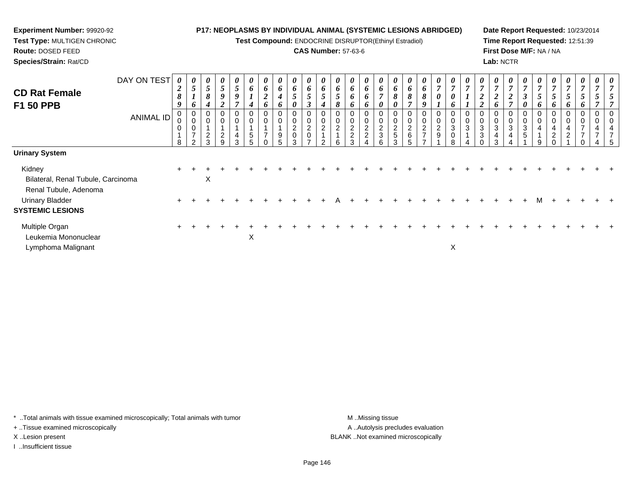**Test Compound:** ENDOCRINE DISRUPTOR(Ethinyl Estradiol)

#### **CAS Number:** 57-63-6

**Date Report Requested:** 10/23/2014**Time Report Requested:** 12:51:39**First Dose M/F:** NA / NA**Lab:** NCTR

| DAY ON TEST<br><b>CD Rat Female</b>               | $\boldsymbol{2}$<br>$\pmb{8}$        | U<br>$5\overline{)}$                                   | $\boldsymbol{\theta}$<br>$\sqrt{5}$<br>8                    | $\boldsymbol{\theta}$<br>$\overline{5}$<br>$\boldsymbol{g}$                 | $\boldsymbol{\theta}$<br>$\overline{5}$<br>$\boldsymbol{9}$<br>$\overline{ }$ | U<br>6<br>$\boldsymbol{l}$           | $\boldsymbol{\theta}$<br>6<br>$\overline{\mathbf{c}}$ | $\boldsymbol{\theta}$<br>6<br>4 | $\boldsymbol{\theta}$<br>6<br>$\mathfrak{s}$                           | $\boldsymbol{\theta}$<br>6<br>5                                            | $\boldsymbol{\mathit{U}}$<br>6<br>5                  | $\boldsymbol{\theta}$<br>6<br>$5\overline{)}$ | 0<br>6<br>6                                  | $\boldsymbol{\theta}$<br>6<br>6      | U<br>$\bm{o}$<br>$\overline{ }$             | $\boldsymbol{\theta}$<br>6<br>$\pmb{8}$                       | $\boldsymbol{\theta}$<br>6<br>8<br>$\overline{7}$ | $\boldsymbol{\theta}$<br>6<br>$\pmb{8}$   | $\boldsymbol{\theta}$<br>$\overline{ }$<br>0 | $\overline{ }$<br>0                                                          | $\boldsymbol{\theta}$<br>$\overline{ }$ | $\boldsymbol{\theta}$<br>$\overline{7}$<br>$\boldsymbol{2}$                                            | $\boldsymbol{\theta}$<br>$\overline{7}$<br>$\overline{2}$               | $\boldsymbol{\theta}$<br>$\overline{ }$<br>∍<br>◢<br>$\overline{ }$ | U<br>$\overline{7}$<br>$\boldsymbol{\beta}$ | $\boldsymbol{\theta}$<br>$\overline{ }$<br>5 | $\boldsymbol{\theta}$<br>$\overline{7}$<br>$5\overline{)}$      | $\boldsymbol{\theta}$<br>$\overline{7}$<br>$\mathfrak{s}$ | $\boldsymbol{\theta}$<br>7<br>$\mathfrak{s}$                        | $\boldsymbol{\mathit{U}}$<br>$\overline{ }$<br>$\mathfrak{I}$ | $\boldsymbol{\theta}$<br>$\overline{ }$ |
|---------------------------------------------------|--------------------------------------|--------------------------------------------------------|-------------------------------------------------------------|-----------------------------------------------------------------------------|-------------------------------------------------------------------------------|--------------------------------------|-------------------------------------------------------|---------------------------------|------------------------------------------------------------------------|----------------------------------------------------------------------------|------------------------------------------------------|-----------------------------------------------|----------------------------------------------|--------------------------------------|---------------------------------------------|---------------------------------------------------------------|---------------------------------------------------|-------------------------------------------|----------------------------------------------|------------------------------------------------------------------------------|-----------------------------------------|--------------------------------------------------------------------------------------------------------|-------------------------------------------------------------------------|---------------------------------------------------------------------|---------------------------------------------|----------------------------------------------|-----------------------------------------------------------------|-----------------------------------------------------------|---------------------------------------------------------------------|---------------------------------------------------------------|-----------------------------------------|
| <b>F1 50 PPB</b><br><b>ANIMAL ID</b>              | $\boldsymbol{g}$<br>$\mathbf 0$<br>8 | 6<br>U<br>0<br>$\pmb{0}$<br>$\overline{ }$<br>$\Omega$ | $\boldsymbol{4}$<br>0<br>$\mathbf 0$<br>$\overline{2}$<br>3 | $\overline{2}$<br>0<br>$\mathbf 0$<br>$\overline{A}$<br>$\overline{2}$<br>9 | 0<br>$\pmb{0}$<br>4<br>3                                                      | $\boldsymbol{4}$<br>$\mathbf 0$<br>5 | 6<br>0<br>0<br>$\overline{ }$                         | 6<br>0<br>$\pmb{0}$<br>9<br>5   | $\boldsymbol{\theta}$<br>$\mathbf 0$<br>$\pmb{0}$<br>$^2_{\rm 0}$<br>3 | $\boldsymbol{\beta}$<br>0<br>$\mathbf 0$<br>$^2_{\rm 0}$<br>$\overline{ }$ | $\boldsymbol{4}$<br>0<br>$\pmb{0}$<br>$\overline{2}$ | 8<br>$\Omega$<br>$\overline{\mathbf{c}}$<br>6 | 0<br>0<br>0<br>$\frac{2}{2}$<br>$\mathbf{r}$ | 6<br>0<br>$\pmb{0}$<br>$\frac{2}{2}$ | 0<br>0<br>$\mathbf 0$<br>$\frac{2}{3}$<br>6 | $\boldsymbol{\theta}$<br>0<br>$\pmb{0}$<br>$\frac{2}{5}$<br>3 | 0<br>$\mathbf 0$<br>$\frac{2}{6}$<br>5            | 0<br>0<br>$\frac{2}{7}$<br>$\overline{ }$ | 0<br>0<br>$\frac{2}{9}$                      | 6<br>$\mathbf 0$<br>$\ensuremath{\mathsf{3}}$<br>$\mathbf 0$<br>$\mathsf{R}$ | 0<br>$\pmb{0}$<br>$\sqrt{3}$            | $\overline{2}$<br>$\boldsymbol{0}$<br>$\pmb{0}$<br>$\ensuremath{\mathsf{3}}$<br>$\sqrt{3}$<br>$\Omega$ | 6<br>$\boldsymbol{0}$<br>$\pmb{0}$<br>$\sqrt{3}$<br>$\overline{4}$<br>3 | $\mathbf 0$<br>3<br>4                                               | 0<br>3<br>$\sqrt{5}$                        | 6<br>0<br>0<br>4<br>9                        | 6<br>0<br>0<br>$\overline{4}$<br>$\overline{2}$<br><sup>n</sup> | 6<br>0<br>$\pmb{0}$<br>$\overline{4}$<br>$\overline{2}$   | 6<br>0<br>$\pmb{0}$<br>$\overline{ }$<br>$\overline{ }$<br>$\Omega$ | 0<br>0<br>4<br>$\overline{ }$                                 | 4<br>7                                  |
| <b>Urinary System</b>                             |                                      |                                                        |                                                             |                                                                             |                                                                               |                                      |                                                       |                                 |                                                                        |                                                                            |                                                      |                                               |                                              |                                      |                                             |                                                               |                                                   |                                           |                                              |                                                                              |                                         |                                                                                                        |                                                                         |                                                                     |                                             |                                              |                                                                 |                                                           |                                                                     |                                                               |                                         |
| Kidney<br>Bilateral, Renal Tubule, Carcinoma      |                                      |                                                        | X                                                           |                                                                             |                                                                               |                                      |                                                       |                                 |                                                                        |                                                                            |                                                      |                                               |                                              |                                      |                                             |                                                               |                                                   |                                           |                                              |                                                                              |                                         |                                                                                                        |                                                                         |                                                                     |                                             |                                              |                                                                 |                                                           |                                                                     |                                                               |                                         |
| Renal Tubule, Adenoma                             |                                      |                                                        |                                                             |                                                                             |                                                                               |                                      |                                                       |                                 |                                                                        |                                                                            |                                                      |                                               |                                              |                                      |                                             |                                                               |                                                   |                                           |                                              |                                                                              |                                         |                                                                                                        |                                                                         |                                                                     |                                             |                                              |                                                                 |                                                           |                                                                     |                                                               |                                         |
| <b>Urinary Bladder</b><br><b>SYSTEMIC LESIONS</b> |                                      |                                                        |                                                             |                                                                             |                                                                               |                                      |                                                       |                                 |                                                                        |                                                                            |                                                      |                                               |                                              |                                      |                                             |                                                               |                                                   |                                           |                                              |                                                                              |                                         |                                                                                                        |                                                                         |                                                                     |                                             | м                                            |                                                                 |                                                           |                                                                     |                                                               |                                         |
| Multiple Organ<br>Leukemia Mononuclear            |                                      |                                                        |                                                             |                                                                             |                                                                               | X                                    |                                                       |                                 |                                                                        |                                                                            |                                                      |                                               |                                              |                                      |                                             |                                                               |                                                   |                                           |                                              |                                                                              |                                         |                                                                                                        |                                                                         |                                                                     |                                             |                                              |                                                                 |                                                           |                                                                     |                                                               |                                         |
| Lymphoma Malignant                                |                                      |                                                        |                                                             |                                                                             |                                                                               |                                      |                                                       |                                 |                                                                        |                                                                            |                                                      |                                               |                                              |                                      |                                             |                                                               |                                                   |                                           |                                              | X                                                                            |                                         |                                                                                                        |                                                                         |                                                                     |                                             |                                              |                                                                 |                                                           |                                                                     |                                                               |                                         |

\* ..Total animals with tissue examined microscopically; Total animals with tumor **M** . Missing tissue M ..Missing tissue

+ ..Tissue examined microscopically

**Experiment Number:** 99920-92**Test Type:** MULTIGEN CHRONIC

**Route:** DOSED FEED**Species/Strain:** Rat/CD

I ..Insufficient tissue

A ..Autolysis precludes evaluation X ..Lesion present BLANK ..Not examined microscopically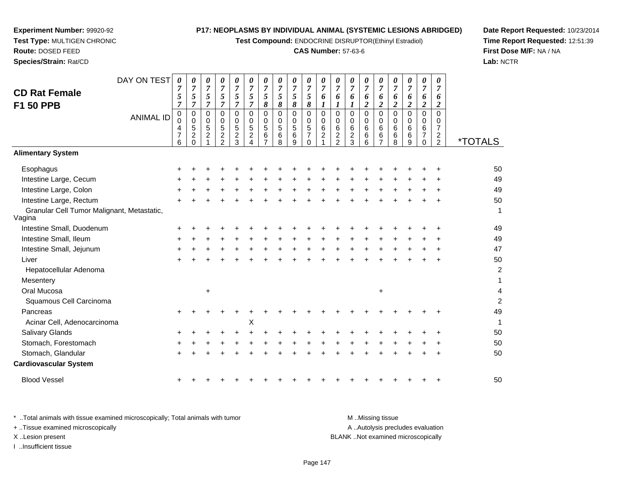**Test Compound:** ENDOCRINE DISRUPTOR(Ethinyl Estradiol)

#### **CAS Number:** 57-63-6

**Date Report Requested:** 10/23/2014**Time Report Requested:** 12:51:39**First Dose M/F:** NA / NA**Lab:** NCTR

 $\overline{4}$ 

| DAY ON TEST<br><b>CD Rat Female</b><br><b>F1 50 PPB</b> | 0<br>$\mathfrak{s}$<br>$\overline{7}$        | 0<br>$\overline{7}$<br>$\sqrt{5}$<br>7    | 0<br>$\overline{7}$<br>$\sqrt{5}$<br>$\overline{7}$ | 0<br>$\overline{7}$<br>$\sqrt{5}$<br>$\overline{7}$                   | 0<br>7<br>5<br>$\overline{7}$                  | 0<br>7<br>$\mathfrak{s}$<br>$\overline{7}$ | 0<br>$\overline{7}$<br>$\mathfrak{s}$<br>$\pmb{8}$ | 0<br>$\overline{7}$<br>$\sqrt{5}$<br>$\pmb{8}$     | 0<br>$\overline{7}$<br>$\mathfrak{H}$<br>8 | 0<br>$\overline{7}$<br>5<br>8                                | 0<br>7<br>6             | 0<br>$\overline{7}$<br>6<br>1                                    | 0<br>$\overline{7}$<br>6                            | 0<br>$\boldsymbol{7}$<br>6<br>$\overline{2}$ | 0<br>$\overline{7}$<br>6<br>$\overline{2}$ | 0<br>7<br>6<br>$\boldsymbol{2}$ | 0<br>$\overline{7}$<br>6<br>$\overline{c}$ | 0<br>$\overline{7}$<br>6<br>$\overline{2}$                 | 0<br>$\overline{7}$<br>6<br>$\boldsymbol{2}$                                  |                       |
|---------------------------------------------------------|----------------------------------------------|-------------------------------------------|-----------------------------------------------------|-----------------------------------------------------------------------|------------------------------------------------|--------------------------------------------|----------------------------------------------------|----------------------------------------------------|--------------------------------------------|--------------------------------------------------------------|-------------------------|------------------------------------------------------------------|-----------------------------------------------------|----------------------------------------------|--------------------------------------------|---------------------------------|--------------------------------------------|------------------------------------------------------------|-------------------------------------------------------------------------------|-----------------------|
| <b>ANIMAL ID</b>                                        | $\mathbf 0$<br>0<br>4<br>$\overline{7}$<br>6 | 0<br>0<br>5<br>$\overline{c}$<br>$\Omega$ | 0<br>0<br>$\sqrt{5}$<br>$\overline{c}$              | $\mathbf 0$<br>$\mathbf 0$<br>5<br>$\boldsymbol{2}$<br>$\mathfrak{p}$ | $\mathbf 0$<br>0<br>5<br>$\boldsymbol{2}$<br>3 | $\mathbf 0$<br>0<br>$\sqrt{5}$<br>2        | $\mathbf 0$<br>$\mathbf 0$<br>5<br>6<br>7          | $\mathbf 0$<br>$\mathbf 0$<br>$\sqrt{5}$<br>6<br>8 | $\mathbf 0$<br>0<br>$\sqrt{5}$<br>6<br>9   | $\mathbf 0$<br>0<br>$\sqrt{5}$<br>$\overline{7}$<br>$\Omega$ | 0<br>$\Omega$<br>6<br>2 | $\mathbf 0$<br>$\Omega$<br>6<br>$\overline{c}$<br>$\overline{2}$ | $\mathbf 0$<br>$\Omega$<br>6<br>$\overline{c}$<br>3 | 0<br>$\mathbf 0$<br>6<br>6<br>6              | 0<br>0<br>6<br>6<br>$\overline{7}$         | 0<br>0<br>6<br>6<br>8           | $\mathbf 0$<br>$\Omega$<br>6<br>6<br>9     | $\mathbf 0$<br>$\Omega$<br>6<br>$\overline{7}$<br>$\Omega$ | $\mathbf 0$<br>$\Omega$<br>$\overline{7}$<br>$\overline{2}$<br>$\overline{2}$ | <i><b>*TOTALS</b></i> |
| <b>Alimentary System</b>                                |                                              |                                           |                                                     |                                                                       |                                                |                                            |                                                    |                                                    |                                            |                                                              |                         |                                                                  |                                                     |                                              |                                            |                                 |                                            |                                                            |                                                                               |                       |
| Esophagus                                               | +                                            |                                           |                                                     |                                                                       |                                                |                                            |                                                    |                                                    |                                            |                                                              |                         |                                                                  |                                                     |                                              |                                            |                                 |                                            |                                                            |                                                                               | 50                    |
| Intestine Large, Cecum                                  |                                              |                                           |                                                     |                                                                       |                                                |                                            |                                                    |                                                    |                                            |                                                              |                         |                                                                  |                                                     |                                              |                                            |                                 |                                            |                                                            |                                                                               | 49                    |
| Intestine Large, Colon                                  |                                              |                                           |                                                     |                                                                       |                                                |                                            |                                                    |                                                    |                                            |                                                              |                         |                                                                  |                                                     |                                              |                                            |                                 |                                            |                                                            |                                                                               | 49                    |
| Intestine Large, Rectum                                 |                                              |                                           |                                                     |                                                                       |                                                |                                            |                                                    |                                                    |                                            |                                                              |                         |                                                                  |                                                     |                                              |                                            |                                 |                                            |                                                            |                                                                               | 50                    |
| Granular Cell Tumor Malignant, Metastatic,<br>Vagina    |                                              |                                           |                                                     |                                                                       |                                                |                                            |                                                    |                                                    |                                            |                                                              |                         |                                                                  |                                                     |                                              |                                            |                                 |                                            |                                                            |                                                                               | 1                     |
| Intestine Small, Duodenum                               |                                              |                                           |                                                     |                                                                       |                                                |                                            |                                                    |                                                    |                                            |                                                              |                         |                                                                  |                                                     |                                              |                                            |                                 |                                            |                                                            |                                                                               | 49                    |
| Intestine Small, Ileum                                  | +                                            |                                           |                                                     |                                                                       |                                                |                                            |                                                    |                                                    |                                            |                                                              |                         |                                                                  |                                                     |                                              |                                            |                                 |                                            |                                                            |                                                                               | 49                    |
| Intestine Small, Jejunum                                |                                              |                                           |                                                     |                                                                       |                                                |                                            |                                                    |                                                    |                                            |                                                              |                         |                                                                  |                                                     |                                              |                                            |                                 |                                            |                                                            |                                                                               | 47                    |
| Liver                                                   |                                              |                                           |                                                     |                                                                       |                                                |                                            |                                                    |                                                    |                                            |                                                              |                         |                                                                  |                                                     |                                              |                                            |                                 |                                            |                                                            |                                                                               | 50                    |
| Hepatocellular Adenoma                                  |                                              |                                           |                                                     |                                                                       |                                                |                                            |                                                    |                                                    |                                            |                                                              |                         |                                                                  |                                                     |                                              |                                            |                                 |                                            |                                                            |                                                                               | $\overline{c}$        |
| Mesentery                                               |                                              |                                           |                                                     |                                                                       |                                                |                                            |                                                    |                                                    |                                            |                                                              |                         |                                                                  |                                                     |                                              |                                            |                                 |                                            |                                                            |                                                                               | 1                     |
| Oral Mucosa                                             |                                              |                                           | $\ddot{}$                                           |                                                                       |                                                |                                            |                                                    |                                                    |                                            |                                                              |                         |                                                                  |                                                     |                                              | $\ddot{}$                                  |                                 |                                            |                                                            |                                                                               | 4                     |
| Squamous Cell Carcinoma                                 |                                              |                                           |                                                     |                                                                       |                                                |                                            |                                                    |                                                    |                                            |                                                              |                         |                                                                  |                                                     |                                              |                                            |                                 |                                            |                                                            |                                                                               | $\overline{c}$        |
| Pancreas                                                |                                              |                                           |                                                     |                                                                       |                                                |                                            |                                                    |                                                    |                                            |                                                              |                         |                                                                  |                                                     |                                              |                                            |                                 |                                            |                                                            |                                                                               | 49                    |
| Acinar Cell, Adenocarcinoma                             |                                              |                                           |                                                     |                                                                       |                                                | X                                          |                                                    |                                                    |                                            |                                                              |                         |                                                                  |                                                     |                                              |                                            |                                 |                                            |                                                            |                                                                               | 1                     |
| <b>Salivary Glands</b>                                  |                                              |                                           |                                                     |                                                                       |                                                |                                            |                                                    |                                                    |                                            |                                                              |                         |                                                                  |                                                     |                                              |                                            |                                 |                                            |                                                            |                                                                               | 50                    |
| Stomach, Forestomach                                    |                                              |                                           |                                                     |                                                                       |                                                |                                            |                                                    |                                                    |                                            |                                                              |                         |                                                                  |                                                     |                                              |                                            |                                 |                                            |                                                            |                                                                               | 50                    |
| Stomach, Glandular                                      |                                              |                                           |                                                     |                                                                       |                                                |                                            |                                                    |                                                    |                                            |                                                              |                         |                                                                  |                                                     |                                              |                                            |                                 |                                            |                                                            |                                                                               | 50                    |
| <b>Cardiovascular System</b>                            |                                              |                                           |                                                     |                                                                       |                                                |                                            |                                                    |                                                    |                                            |                                                              |                         |                                                                  |                                                     |                                              |                                            |                                 |                                            |                                                            |                                                                               |                       |
| <b>Blood Vessel</b>                                     |                                              |                                           |                                                     |                                                                       |                                                |                                            |                                                    |                                                    |                                            |                                                              |                         |                                                                  |                                                     |                                              |                                            |                                 |                                            |                                                            |                                                                               | 50                    |

**Experiment Number:** 99920-92**Test Type:** MULTIGEN CHRONIC

**Route:** DOSED FEED**Species/Strain:** Rat/CD

\* ..Total animals with tissue examined microscopically; Total animals with tumor A .. Autolysis precludes evaluation + ..Tissue examined microscopically X ..Lesion present BLANK ..Not examined microscopicallyI ..Insufficient tissue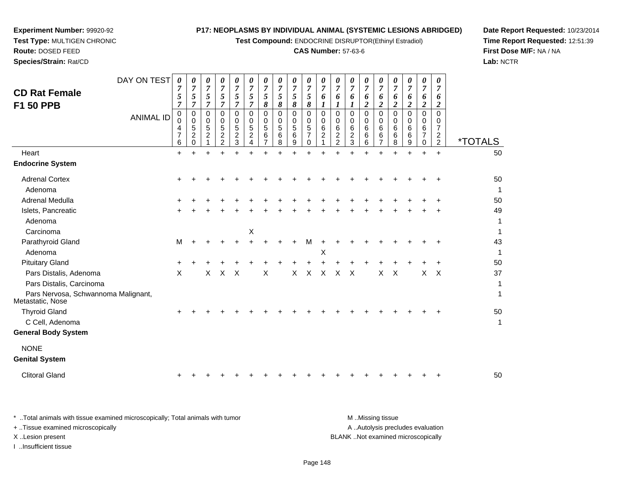**Test Compound:** ENDOCRINE DISRUPTOR(Ethinyl Estradiol)

# **CAS Number:** 57-63-6

**Date Report Requested:** 10/23/2014 **Time Report Requested:** 12:51:39**First Dose M/F:** NA / NA**Lab:** NCTR

| <b>CD Rat Female</b><br>F1 50 PPB<br>Heart              | DAY ON TEST<br><b>ANIMAL ID</b> | 0<br>7<br>5<br>7<br>0<br>0<br>4<br>7<br>6<br>$+$ | 0<br>$\overline{7}$<br>5<br>$\overline{7}$<br>$\mathbf 0$<br>$\mathbf 0$<br>$\,$ 5 $\,$<br>$\boldsymbol{2}$<br>$\mathbf 0$<br>$+$ | 0<br>$\overline{7}$<br>5<br>$\overline{7}$<br>$\Omega$<br>$\mathbf 0$<br>5<br>$\boldsymbol{2}$<br>1<br>÷ | 0<br>$\overline{7}$<br>5<br>$\overline{7}$<br>$\Omega$<br>0<br>$\,$ 5 $\,$<br>$\boldsymbol{2}$<br>$\overline{c}$<br>$\ddot{}$ | 0<br>$\overline{7}$<br>5<br>$\overline{7}$<br>$\Omega$<br>0<br>5<br>$\overline{c}$<br>3<br>$+$ | 0<br>$\boldsymbol{7}$<br>5<br>$\overline{7}$<br>$\Omega$<br>0<br>5<br>$\overline{c}$<br>$\overline{4}$<br>$\ddot{}$ | 0<br>$\overline{7}$<br>5<br>8<br>$\Omega$<br>0<br>5<br>6<br>$\overline{7}$ | 0<br>$\overline{7}$<br>5<br>8<br>$\Omega$<br>0<br>5<br>6<br>8<br>$\ddot{}$ | 0<br>$\boldsymbol{7}$<br>5<br>8<br>$\Omega$<br>$\mathbf 0$<br>5<br>$6\phantom{1}6$<br>9<br>$+$ | 0<br>$\overline{7}$<br>5<br>$\boldsymbol{\delta}$<br>$\mathbf 0$<br>$\mathbf 0$<br>5<br>$\overline{7}$<br>$\mathbf 0$<br>$+$ | 0<br>7<br>6<br>1<br>$\mathbf 0$<br>0<br>6<br>$\boldsymbol{2}$<br>1<br>$\ddot{}$ | 0<br>$\overline{7}$<br>6<br>$\boldsymbol{l}$<br>$\Omega$<br>$\mathbf 0$<br>6<br>$\boldsymbol{2}$<br>$\overline{2}$<br>÷. | $\boldsymbol{\theta}$<br>$\overline{7}$<br>6<br>1<br>$\Omega$<br>0<br>6<br>$\overline{\mathbf{c}}$<br>$\mathfrak{S}$<br>÷ | 0<br>$\overline{7}$<br>6<br>$\boldsymbol{2}$<br>$\Omega$<br>$\mathbf 0$<br>6<br>6<br>6<br>$\ddot{}$ | 0<br>$\overline{7}$<br>6<br>$\overline{2}$<br>$\Omega$<br>0<br>6<br>6<br>$\overline{7}$<br>$\ddot{}$ | 0<br>7<br>6<br>$\overline{c}$<br>0<br>0<br>6<br>$\,6$<br>8<br>$\ddot{}$ | 0<br>7<br>6<br>$\overline{c}$<br>$\Omega$<br>$\Omega$<br>6<br>6<br>9<br>$\ddot{}$ | 0<br>$\overline{7}$<br>6<br>$\boldsymbol{2}$<br>0<br>0<br>6<br>$\overline{7}$<br>$\mathbf 0$<br>$\ddot{}$ | 0<br>7<br>6<br>$\overline{c}$<br>$\Omega$<br>0<br>$\overline{7}$<br>$\overline{\mathbf{c}}$<br>$\overline{2}$<br>$+$ | <i><b>*TOTALS</b></i><br>50 |
|---------------------------------------------------------|---------------------------------|--------------------------------------------------|-----------------------------------------------------------------------------------------------------------------------------------|----------------------------------------------------------------------------------------------------------|-------------------------------------------------------------------------------------------------------------------------------|------------------------------------------------------------------------------------------------|---------------------------------------------------------------------------------------------------------------------|----------------------------------------------------------------------------|----------------------------------------------------------------------------|------------------------------------------------------------------------------------------------|------------------------------------------------------------------------------------------------------------------------------|---------------------------------------------------------------------------------|--------------------------------------------------------------------------------------------------------------------------|---------------------------------------------------------------------------------------------------------------------------|-----------------------------------------------------------------------------------------------------|------------------------------------------------------------------------------------------------------|-------------------------------------------------------------------------|-----------------------------------------------------------------------------------|-----------------------------------------------------------------------------------------------------------|----------------------------------------------------------------------------------------------------------------------|-----------------------------|
| <b>Endocrine System</b>                                 |                                 |                                                  |                                                                                                                                   |                                                                                                          |                                                                                                                               |                                                                                                |                                                                                                                     |                                                                            |                                                                            |                                                                                                |                                                                                                                              |                                                                                 |                                                                                                                          |                                                                                                                           |                                                                                                     |                                                                                                      |                                                                         |                                                                                   |                                                                                                           |                                                                                                                      |                             |
| <b>Adrenal Cortex</b><br>Adenoma                        |                                 |                                                  |                                                                                                                                   |                                                                                                          |                                                                                                                               |                                                                                                |                                                                                                                     |                                                                            |                                                                            |                                                                                                |                                                                                                                              |                                                                                 |                                                                                                                          |                                                                                                                           |                                                                                                     |                                                                                                      |                                                                         |                                                                                   |                                                                                                           |                                                                                                                      | 50<br>1                     |
| Adrenal Medulla                                         |                                 |                                                  |                                                                                                                                   |                                                                                                          |                                                                                                                               |                                                                                                |                                                                                                                     |                                                                            |                                                                            |                                                                                                |                                                                                                                              |                                                                                 |                                                                                                                          |                                                                                                                           |                                                                                                     |                                                                                                      |                                                                         |                                                                                   |                                                                                                           |                                                                                                                      | 50                          |
| Islets, Pancreatic<br>Adenoma<br>Carcinoma              |                                 |                                                  |                                                                                                                                   |                                                                                                          |                                                                                                                               |                                                                                                | Χ                                                                                                                   |                                                                            |                                                                            |                                                                                                |                                                                                                                              |                                                                                 |                                                                                                                          |                                                                                                                           |                                                                                                     |                                                                                                      |                                                                         |                                                                                   |                                                                                                           |                                                                                                                      | 49<br>1<br>1                |
| Parathyroid Gland                                       |                                 | M                                                |                                                                                                                                   |                                                                                                          |                                                                                                                               |                                                                                                |                                                                                                                     |                                                                            |                                                                            |                                                                                                | м                                                                                                                            | +                                                                               |                                                                                                                          |                                                                                                                           |                                                                                                     |                                                                                                      |                                                                         |                                                                                   |                                                                                                           |                                                                                                                      | 43                          |
| Adenoma                                                 |                                 |                                                  |                                                                                                                                   |                                                                                                          |                                                                                                                               |                                                                                                |                                                                                                                     |                                                                            |                                                                            |                                                                                                |                                                                                                                              | Χ                                                                               |                                                                                                                          |                                                                                                                           |                                                                                                     |                                                                                                      |                                                                         |                                                                                   |                                                                                                           |                                                                                                                      | $\mathbf{1}$                |
| <b>Pituitary Gland</b>                                  |                                 | ٠                                                |                                                                                                                                   |                                                                                                          |                                                                                                                               |                                                                                                |                                                                                                                     |                                                                            |                                                                            |                                                                                                |                                                                                                                              |                                                                                 |                                                                                                                          |                                                                                                                           |                                                                                                     |                                                                                                      |                                                                         |                                                                                   |                                                                                                           |                                                                                                                      | 50                          |
| Pars Distalis, Adenoma                                  |                                 | X                                                |                                                                                                                                   | X                                                                                                        | X                                                                                                                             | $\times$                                                                                       |                                                                                                                     | X                                                                          |                                                                            | X                                                                                              | X                                                                                                                            | X                                                                               | X                                                                                                                        | $\times$                                                                                                                  |                                                                                                     | X                                                                                                    | $\times$                                                                |                                                                                   | X                                                                                                         | $\times$                                                                                                             | 37                          |
| Pars Distalis, Carcinoma                                |                                 |                                                  |                                                                                                                                   |                                                                                                          |                                                                                                                               |                                                                                                |                                                                                                                     |                                                                            |                                                                            |                                                                                                |                                                                                                                              |                                                                                 |                                                                                                                          |                                                                                                                           |                                                                                                     |                                                                                                      |                                                                         |                                                                                   |                                                                                                           |                                                                                                                      | 1                           |
| Pars Nervosa, Schwannoma Malignant,<br>Metastatic, Nose |                                 |                                                  |                                                                                                                                   |                                                                                                          |                                                                                                                               |                                                                                                |                                                                                                                     |                                                                            |                                                                            |                                                                                                |                                                                                                                              |                                                                                 |                                                                                                                          |                                                                                                                           |                                                                                                     |                                                                                                      |                                                                         |                                                                                   |                                                                                                           |                                                                                                                      | 1                           |
| <b>Thyroid Gland</b>                                    |                                 |                                                  |                                                                                                                                   |                                                                                                          |                                                                                                                               |                                                                                                |                                                                                                                     |                                                                            |                                                                            |                                                                                                |                                                                                                                              |                                                                                 |                                                                                                                          |                                                                                                                           |                                                                                                     |                                                                                                      |                                                                         |                                                                                   |                                                                                                           |                                                                                                                      | 50                          |
| C Cell, Adenoma                                         |                                 |                                                  |                                                                                                                                   |                                                                                                          |                                                                                                                               |                                                                                                |                                                                                                                     |                                                                            |                                                                            |                                                                                                |                                                                                                                              |                                                                                 |                                                                                                                          |                                                                                                                           |                                                                                                     |                                                                                                      |                                                                         |                                                                                   |                                                                                                           |                                                                                                                      | 1                           |
| <b>General Body System</b>                              |                                 |                                                  |                                                                                                                                   |                                                                                                          |                                                                                                                               |                                                                                                |                                                                                                                     |                                                                            |                                                                            |                                                                                                |                                                                                                                              |                                                                                 |                                                                                                                          |                                                                                                                           |                                                                                                     |                                                                                                      |                                                                         |                                                                                   |                                                                                                           |                                                                                                                      |                             |
| <b>NONE</b>                                             |                                 |                                                  |                                                                                                                                   |                                                                                                          |                                                                                                                               |                                                                                                |                                                                                                                     |                                                                            |                                                                            |                                                                                                |                                                                                                                              |                                                                                 |                                                                                                                          |                                                                                                                           |                                                                                                     |                                                                                                      |                                                                         |                                                                                   |                                                                                                           |                                                                                                                      |                             |
| <b>Genital System</b>                                   |                                 |                                                  |                                                                                                                                   |                                                                                                          |                                                                                                                               |                                                                                                |                                                                                                                     |                                                                            |                                                                            |                                                                                                |                                                                                                                              |                                                                                 |                                                                                                                          |                                                                                                                           |                                                                                                     |                                                                                                      |                                                                         |                                                                                   |                                                                                                           |                                                                                                                      |                             |
| <b>Clitoral Gland</b>                                   |                                 |                                                  |                                                                                                                                   |                                                                                                          |                                                                                                                               |                                                                                                |                                                                                                                     |                                                                            |                                                                            |                                                                                                |                                                                                                                              |                                                                                 |                                                                                                                          |                                                                                                                           |                                                                                                     |                                                                                                      |                                                                         |                                                                                   |                                                                                                           |                                                                                                                      | 50                          |
|                                                         |                                 |                                                  |                                                                                                                                   |                                                                                                          |                                                                                                                               |                                                                                                |                                                                                                                     |                                                                            |                                                                            |                                                                                                |                                                                                                                              |                                                                                 |                                                                                                                          |                                                                                                                           |                                                                                                     |                                                                                                      |                                                                         |                                                                                   |                                                                                                           |                                                                                                                      |                             |

**Experiment Number:** 99920-92**Test Type:** MULTIGEN CHRONIC

| * Total animals with tissue examined microscopically; Total animals with tumor | M Missing tissue                   |
|--------------------------------------------------------------------------------|------------------------------------|
| + Tissue examined microscopically                                              | A Autolysis precludes evaluation   |
| X Lesion present                                                               | BLANK Not examined microscopically |
| Insufficient tissue                                                            |                                    |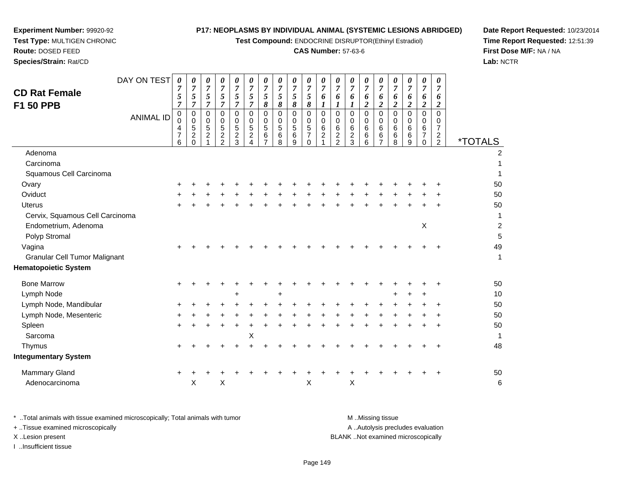**Test Compound:** ENDOCRINE DISRUPTOR(Ethinyl Estradiol)

# **CAS Number:** 57-63-6

**Date Report Requested:** 10/23/2014 **Time Report Requested:** 12:51:39**First Dose M/F:** NA / NA**Lab:** NCTR

| DAY ON TEST<br><b>CD Rat Female</b><br><b>F1 50 PPB</b><br><b>ANIMAL ID</b> | 0<br>7<br>5<br>$\overline{7}$<br>0 | 0<br>$\boldsymbol{7}$<br>5<br>$\overline{7}$<br>$\pmb{0}$ | 0<br>$\overline{7}$<br>5<br>$\overline{7}$<br>0 | 0<br>$\overline{7}$<br>5<br>$\overline{7}$<br>$\mathbf 0$ | 0<br>$\boldsymbol{7}$<br>5<br>$\overline{7}$<br>$\mathbf 0$ | 0<br>$\overline{7}$<br>5<br>$\overline{7}$<br>0 | 0<br>$\boldsymbol{7}$<br>$\sqrt{5}$<br>$\boldsymbol{\delta}$<br>$\mathbf 0$ | 0<br>$\boldsymbol{7}$<br>5<br>8<br>$\mathbf 0$ | 0<br>$\boldsymbol{7}$<br>5<br>8<br>0    | 0<br>$\overline{7}$<br>5<br>8<br>$\mathsf 0$      | 0<br>$\overline{7}$<br>6<br>$\boldsymbol{l}$<br>$\pmb{0}$ | 0<br>$\overline{7}$<br>6<br>$\boldsymbol{l}$<br>$\mathbf 0$ | 0<br>$\overline{7}$<br>6<br>$\boldsymbol{l}$<br>0 | 0<br>$\overline{7}$<br>6<br>$\overline{\mathbf{c}}$<br>0 | 0<br>$\overline{7}$<br>6<br>$\boldsymbol{2}$<br>$\pmb{0}$ | 0<br>$\overline{7}$<br>6<br>$\boldsymbol{2}$<br>$\mathbf 0$ | 0<br>$\overline{7}$<br>6<br>$\boldsymbol{2}$<br>$\mathbf 0$ | 0<br>$\overline{7}$<br>6<br>$\boldsymbol{2}$<br>0 | 0<br>$\overline{7}$<br>6<br>$\overline{2}$<br>$\Omega$ |                       |
|-----------------------------------------------------------------------------|------------------------------------|-----------------------------------------------------------|-------------------------------------------------|-----------------------------------------------------------|-------------------------------------------------------------|-------------------------------------------------|-----------------------------------------------------------------------------|------------------------------------------------|-----------------------------------------|---------------------------------------------------|-----------------------------------------------------------|-------------------------------------------------------------|---------------------------------------------------|----------------------------------------------------------|-----------------------------------------------------------|-------------------------------------------------------------|-------------------------------------------------------------|---------------------------------------------------|--------------------------------------------------------|-----------------------|
|                                                                             | 0<br>4<br>$\overline{7}$<br>6      | $\mathbf 0$<br>$\mathbf 5$<br>$\overline{c}$<br>$\Omega$  | $\mathbf 0$<br>$\sqrt{5}$<br>$\boldsymbol{2}$   | 0<br>$\sqrt{5}$<br>$\boldsymbol{2}$<br>$\overline{2}$     | $\mathbf 0$<br>$\,$ 5 $\,$<br>$\overline{c}$<br>3           | 0<br>5<br>$\overline{c}$                        | $\mathbf 0$<br>$\sqrt{5}$<br>$\,6\,$<br>$\overline{7}$                      | $\mathbf 0$<br>5<br>6<br>8                     | $\mathbf 0$<br>$\sqrt{5}$<br>$\,6$<br>9 | 0<br>$\overline{5}$<br>$\overline{7}$<br>$\Omega$ | $\mathbf 0$<br>$\,6$<br>$\overline{c}$                    | $\mathbf 0$<br>6<br>$\overline{c}$<br>2                     | 0<br>$\,6$<br>$\overline{c}$<br>3                 | 0<br>6<br>6<br>6                                         | 0<br>$\,6\,$<br>$\,6\,$<br>$\overline{7}$                 | 0<br>6<br>$6\phantom{1}6$<br>8                              | 0<br>6<br>6<br>9                                            | 0<br>6<br>7<br>$\Omega$                           | 0<br>$\overline{7}$<br>$\overline{c}$<br>2             | <i><b>*TOTALS</b></i> |
| Adenoma                                                                     |                                    |                                                           |                                                 |                                                           |                                                             |                                                 |                                                                             |                                                |                                         |                                                   |                                                           |                                                             |                                                   |                                                          |                                                           |                                                             |                                                             |                                                   |                                                        | $\overline{2}$        |
| Carcinoma                                                                   |                                    |                                                           |                                                 |                                                           |                                                             |                                                 |                                                                             |                                                |                                         |                                                   |                                                           |                                                             |                                                   |                                                          |                                                           |                                                             |                                                             |                                                   |                                                        |                       |
| Squamous Cell Carcinoma                                                     |                                    |                                                           |                                                 |                                                           |                                                             |                                                 |                                                                             |                                                |                                         |                                                   |                                                           |                                                             |                                                   |                                                          |                                                           |                                                             |                                                             |                                                   |                                                        | 1                     |
| Ovary                                                                       |                                    |                                                           |                                                 |                                                           |                                                             |                                                 |                                                                             |                                                |                                         |                                                   |                                                           |                                                             |                                                   |                                                          |                                                           |                                                             |                                                             |                                                   |                                                        | 50                    |
| Oviduct                                                                     | $\pm$                              |                                                           |                                                 |                                                           |                                                             |                                                 |                                                                             |                                                |                                         |                                                   |                                                           |                                                             |                                                   |                                                          |                                                           |                                                             |                                                             |                                                   |                                                        | 50                    |
| <b>Uterus</b>                                                               |                                    |                                                           |                                                 |                                                           |                                                             |                                                 |                                                                             |                                                |                                         |                                                   |                                                           |                                                             |                                                   |                                                          |                                                           |                                                             |                                                             |                                                   |                                                        | 50                    |
| Cervix, Squamous Cell Carcinoma                                             |                                    |                                                           |                                                 |                                                           |                                                             |                                                 |                                                                             |                                                |                                         |                                                   |                                                           |                                                             |                                                   |                                                          |                                                           |                                                             |                                                             |                                                   |                                                        | 1                     |
| Endometrium, Adenoma                                                        |                                    |                                                           |                                                 |                                                           |                                                             |                                                 |                                                                             |                                                |                                         |                                                   |                                                           |                                                             |                                                   |                                                          |                                                           |                                                             |                                                             | X                                                 |                                                        | $\overline{c}$        |
| Polyp Stromal                                                               |                                    |                                                           |                                                 |                                                           |                                                             |                                                 |                                                                             |                                                |                                         |                                                   |                                                           |                                                             |                                                   |                                                          |                                                           |                                                             |                                                             |                                                   |                                                        | 5                     |
| Vagina                                                                      |                                    |                                                           |                                                 |                                                           |                                                             |                                                 |                                                                             |                                                |                                         |                                                   |                                                           |                                                             |                                                   |                                                          |                                                           |                                                             |                                                             |                                                   |                                                        | 49                    |
| <b>Granular Cell Tumor Malignant</b>                                        |                                    |                                                           |                                                 |                                                           |                                                             |                                                 |                                                                             |                                                |                                         |                                                   |                                                           |                                                             |                                                   |                                                          |                                                           |                                                             |                                                             |                                                   |                                                        | $\mathbf{1}$          |
| <b>Hematopoietic System</b>                                                 |                                    |                                                           |                                                 |                                                           |                                                             |                                                 |                                                                             |                                                |                                         |                                                   |                                                           |                                                             |                                                   |                                                          |                                                           |                                                             |                                                             |                                                   |                                                        |                       |
| <b>Bone Marrow</b>                                                          | $\ddot{}$                          |                                                           |                                                 |                                                           |                                                             |                                                 |                                                                             |                                                |                                         |                                                   |                                                           |                                                             |                                                   |                                                          |                                                           |                                                             |                                                             |                                                   |                                                        | 50                    |
| Lymph Node                                                                  |                                    |                                                           |                                                 |                                                           | $\ddot{}$                                                   |                                                 |                                                                             | $\ddot{}$                                      |                                         |                                                   |                                                           |                                                             |                                                   |                                                          |                                                           |                                                             |                                                             | ÷                                                 |                                                        | 10                    |
| Lymph Node, Mandibular                                                      | +                                  |                                                           |                                                 |                                                           |                                                             |                                                 |                                                                             |                                                |                                         |                                                   |                                                           |                                                             |                                                   |                                                          |                                                           |                                                             |                                                             |                                                   |                                                        | 50                    |
| Lymph Node, Mesenteric                                                      |                                    |                                                           |                                                 |                                                           |                                                             |                                                 |                                                                             |                                                |                                         |                                                   |                                                           |                                                             |                                                   |                                                          |                                                           |                                                             |                                                             |                                                   |                                                        | 50                    |
| Spleen                                                                      | $\ddot{}$                          |                                                           |                                                 |                                                           | $\ddot{}$                                                   |                                                 |                                                                             |                                                |                                         |                                                   |                                                           |                                                             |                                                   |                                                          |                                                           |                                                             |                                                             |                                                   |                                                        | 50                    |
| Sarcoma                                                                     |                                    |                                                           |                                                 |                                                           |                                                             | $\boldsymbol{\mathsf{X}}$                       |                                                                             |                                                |                                         |                                                   |                                                           |                                                             |                                                   |                                                          |                                                           |                                                             |                                                             |                                                   |                                                        | $\mathbf{1}$          |
| Thymus                                                                      | $\pm$                              |                                                           |                                                 |                                                           |                                                             |                                                 |                                                                             |                                                |                                         |                                                   |                                                           |                                                             |                                                   |                                                          |                                                           |                                                             |                                                             |                                                   |                                                        | 48                    |
| <b>Integumentary System</b>                                                 |                                    |                                                           |                                                 |                                                           |                                                             |                                                 |                                                                             |                                                |                                         |                                                   |                                                           |                                                             |                                                   |                                                          |                                                           |                                                             |                                                             |                                                   |                                                        |                       |
| <b>Mammary Gland</b>                                                        | $\ddot{}$                          |                                                           |                                                 |                                                           |                                                             |                                                 |                                                                             |                                                |                                         |                                                   |                                                           |                                                             |                                                   |                                                          |                                                           |                                                             |                                                             |                                                   |                                                        | 50                    |
| Adenocarcinoma                                                              |                                    | X                                                         |                                                 | Χ                                                         |                                                             |                                                 |                                                                             |                                                |                                         | X                                                 |                                                           |                                                             | X                                                 |                                                          |                                                           |                                                             |                                                             |                                                   |                                                        | 6                     |

**Experiment Number:** 99920-92**Test Type:** MULTIGEN CHRONIC

| * Total animals with tissue examined microscopically; Total animals with tumor | M Missing tissue                   |
|--------------------------------------------------------------------------------|------------------------------------|
| + Tissue examined microscopically                                              | A Autolysis precludes evaluation   |
| X Lesion present                                                               | BLANK Not examined microscopically |
| …Insufficient tissue                                                           |                                    |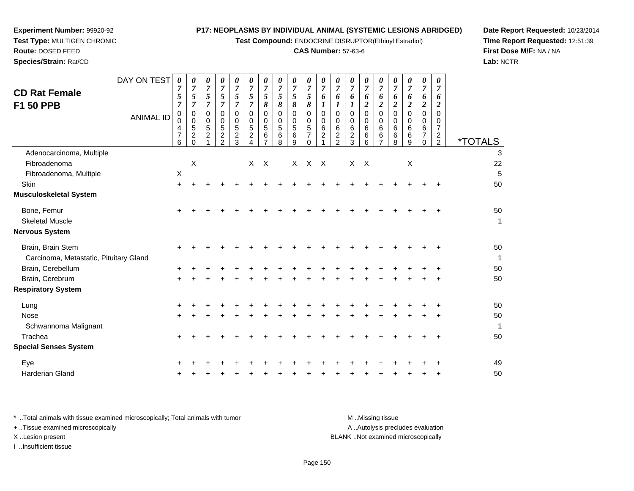**Test Compound:** ENDOCRINE DISRUPTOR(Ethinyl Estradiol)

#### **CAS Number:** 57-63-6

**Date Report Requested:** 10/23/2014**Time Report Requested:** 12:51:39**First Dose M/F:** NA / NA**Lab:** NCTR

| <b>CD Rat Female</b><br>F1 50 PPB                           | DAY ON TEST<br><b>ANIMAL ID</b> | 0<br>7<br>5<br>$\overline{7}$<br>0<br>0<br>4<br>$\overline{7}$<br>6 | 0<br>$\overline{7}$<br>5<br>$\overline{7}$<br>$\mathbf 0$<br>$\mathbf 0$<br>$\mathbf 5$<br>$\overline{c}$<br>$\Omega$ | 0<br>$\overline{7}$<br>5<br>$\overline{7}$<br>0<br>$\mathbf 0$<br>$\sqrt{5}$<br>$\overline{c}$ | 0<br>$\overline{7}$<br>5<br>$\overline{7}$<br>$\Omega$<br>$\mathbf 0$<br>5<br>$\overline{c}$<br>2 | 0<br>$\boldsymbol{7}$<br>5<br>$\overline{7}$<br>$\Omega$<br>$\mathbf 0$<br>5<br>$\overline{a}$<br>3 | 0<br>$\overline{7}$<br>5<br>$\overline{7}$<br>$\Omega$<br>0<br>$\sqrt{5}$<br>$\overline{c}$ | 0<br>$\boldsymbol{7}$<br>5<br>8<br>$\Omega$<br>0<br>5<br>6 | 0<br>$\overline{7}$<br>5<br>$\pmb{8}$<br>0<br>$\mathbf 0$<br>$\,$ 5 $\,$<br>$\,6\,$<br>8 | 0<br>$\overline{7}$<br>5<br>8<br>$\Omega$<br>$\mathbf 0$<br>$\sqrt{5}$<br>6<br>9 | 0<br>$\overline{7}$<br>5<br>8<br>$\mathbf 0$<br>$\mathbf 0$<br>5<br>$\overline{7}$<br>$\Omega$ | 0<br>$\boldsymbol{7}$<br>6<br>$\boldsymbol{l}$<br>$\mathbf 0$<br>0<br>6<br>$\overline{c}$ | 0<br>$\overline{7}$<br>6<br>$\boldsymbol{l}$<br>$\Omega$<br>$\mathbf 0$<br>6<br>$\overline{a}$<br>$\overline{2}$ | 0<br>$\overline{7}$<br>6<br>1<br>$\Omega$<br>0<br>6<br>$\overline{c}$<br>3 | 0<br>$\overline{7}$<br>6<br>$\boldsymbol{2}$<br>$\Omega$<br>$\mathbf 0$<br>6<br>6<br>6 | 0<br>$\overline{7}$<br>6<br>$\overline{2}$<br>$\Omega$<br>$\mathbf 0$<br>6<br>6 | 0<br>$\overline{7}$<br>6<br>$\overline{c}$<br>$\Omega$<br>$\mathbf 0$<br>6<br>6<br>8 | 0<br>$\overline{7}$<br>6<br>$\overline{2}$<br>$\Omega$<br>$\mathbf 0$<br>6<br>6<br>9 | 0<br>$\overline{7}$<br>6<br>$\boldsymbol{2}$<br>$\mathbf 0$<br>0<br>6<br>$\overline{7}$<br>$\Omega$ | 0<br>$\overline{7}$<br>6<br>2<br>$\Omega$<br>0<br>$\overline{7}$<br>$\overline{2}$<br>2 | <i><b>*TOTALS</b></i> |
|-------------------------------------------------------------|---------------------------------|---------------------------------------------------------------------|-----------------------------------------------------------------------------------------------------------------------|------------------------------------------------------------------------------------------------|---------------------------------------------------------------------------------------------------|-----------------------------------------------------------------------------------------------------|---------------------------------------------------------------------------------------------|------------------------------------------------------------|------------------------------------------------------------------------------------------|----------------------------------------------------------------------------------|------------------------------------------------------------------------------------------------|-------------------------------------------------------------------------------------------|------------------------------------------------------------------------------------------------------------------|----------------------------------------------------------------------------|----------------------------------------------------------------------------------------|---------------------------------------------------------------------------------|--------------------------------------------------------------------------------------|--------------------------------------------------------------------------------------|-----------------------------------------------------------------------------------------------------|-----------------------------------------------------------------------------------------|-----------------------|
| Adenocarcinoma, Multiple                                    |                                 |                                                                     |                                                                                                                       |                                                                                                |                                                                                                   |                                                                                                     |                                                                                             |                                                            |                                                                                          |                                                                                  |                                                                                                |                                                                                           |                                                                                                                  |                                                                            |                                                                                        |                                                                                 |                                                                                      |                                                                                      |                                                                                                     |                                                                                         | 3                     |
| Fibroadenoma                                                |                                 |                                                                     | $\mathsf{X}$                                                                                                          |                                                                                                |                                                                                                   |                                                                                                     | X                                                                                           | $\mathsf{X}$                                               |                                                                                          |                                                                                  | $X$ $X$ $X$                                                                                    |                                                                                           |                                                                                                                  | $\mathsf{X}$                                                               | $\mathsf{X}$                                                                           |                                                                                 |                                                                                      | $\mathsf X$                                                                          |                                                                                                     |                                                                                         | 22                    |
| Fibroadenoma, Multiple                                      |                                 | $\mathsf X$                                                         |                                                                                                                       |                                                                                                |                                                                                                   |                                                                                                     |                                                                                             |                                                            |                                                                                          |                                                                                  |                                                                                                |                                                                                           |                                                                                                                  |                                                                            |                                                                                        |                                                                                 |                                                                                      |                                                                                      |                                                                                                     |                                                                                         | 5                     |
| <b>Skin</b>                                                 |                                 | $\ddot{}$                                                           |                                                                                                                       |                                                                                                |                                                                                                   |                                                                                                     |                                                                                             |                                                            |                                                                                          |                                                                                  |                                                                                                |                                                                                           |                                                                                                                  |                                                                            |                                                                                        |                                                                                 |                                                                                      |                                                                                      |                                                                                                     |                                                                                         | 50                    |
| Musculoskeletal System                                      |                                 |                                                                     |                                                                                                                       |                                                                                                |                                                                                                   |                                                                                                     |                                                                                             |                                                            |                                                                                          |                                                                                  |                                                                                                |                                                                                           |                                                                                                                  |                                                                            |                                                                                        |                                                                                 |                                                                                      |                                                                                      |                                                                                                     |                                                                                         |                       |
| Bone, Femur                                                 |                                 | +                                                                   |                                                                                                                       |                                                                                                |                                                                                                   |                                                                                                     |                                                                                             |                                                            |                                                                                          |                                                                                  |                                                                                                |                                                                                           |                                                                                                                  |                                                                            |                                                                                        |                                                                                 |                                                                                      |                                                                                      |                                                                                                     |                                                                                         | 50                    |
| <b>Skeletal Muscle</b>                                      |                                 |                                                                     |                                                                                                                       |                                                                                                |                                                                                                   |                                                                                                     |                                                                                             |                                                            |                                                                                          |                                                                                  |                                                                                                |                                                                                           |                                                                                                                  |                                                                            |                                                                                        |                                                                                 |                                                                                      |                                                                                      |                                                                                                     |                                                                                         | $\mathbf{1}$          |
| Nervous System                                              |                                 |                                                                     |                                                                                                                       |                                                                                                |                                                                                                   |                                                                                                     |                                                                                             |                                                            |                                                                                          |                                                                                  |                                                                                                |                                                                                           |                                                                                                                  |                                                                            |                                                                                        |                                                                                 |                                                                                      |                                                                                      |                                                                                                     |                                                                                         |                       |
| Brain, Brain Stem<br>Carcinoma, Metastatic, Pituitary Gland |                                 | ÷                                                                   |                                                                                                                       |                                                                                                |                                                                                                   |                                                                                                     |                                                                                             |                                                            |                                                                                          |                                                                                  |                                                                                                |                                                                                           |                                                                                                                  |                                                                            |                                                                                        |                                                                                 |                                                                                      |                                                                                      |                                                                                                     |                                                                                         | 50<br>$\mathbf{1}$    |
| Brain, Cerebellum                                           |                                 |                                                                     |                                                                                                                       |                                                                                                |                                                                                                   |                                                                                                     |                                                                                             |                                                            |                                                                                          |                                                                                  |                                                                                                |                                                                                           |                                                                                                                  |                                                                            |                                                                                        |                                                                                 |                                                                                      |                                                                                      |                                                                                                     |                                                                                         | 50                    |
| Brain, Cerebrum                                             |                                 | $\pm$                                                               |                                                                                                                       |                                                                                                |                                                                                                   |                                                                                                     |                                                                                             |                                                            |                                                                                          |                                                                                  |                                                                                                |                                                                                           |                                                                                                                  |                                                                            |                                                                                        |                                                                                 |                                                                                      |                                                                                      |                                                                                                     |                                                                                         | 50                    |
| <b>Respiratory System</b>                                   |                                 |                                                                     |                                                                                                                       |                                                                                                |                                                                                                   |                                                                                                     |                                                                                             |                                                            |                                                                                          |                                                                                  |                                                                                                |                                                                                           |                                                                                                                  |                                                                            |                                                                                        |                                                                                 |                                                                                      |                                                                                      |                                                                                                     |                                                                                         |                       |
| Lung                                                        |                                 | +                                                                   |                                                                                                                       |                                                                                                |                                                                                                   |                                                                                                     |                                                                                             |                                                            |                                                                                          |                                                                                  |                                                                                                |                                                                                           |                                                                                                                  |                                                                            |                                                                                        |                                                                                 |                                                                                      |                                                                                      |                                                                                                     |                                                                                         | 50                    |
| <b>Nose</b>                                                 |                                 | +                                                                   |                                                                                                                       |                                                                                                |                                                                                                   |                                                                                                     |                                                                                             |                                                            |                                                                                          |                                                                                  |                                                                                                |                                                                                           |                                                                                                                  |                                                                            |                                                                                        |                                                                                 |                                                                                      |                                                                                      |                                                                                                     |                                                                                         | 50                    |
| Schwannoma Malignant                                        |                                 |                                                                     |                                                                                                                       |                                                                                                |                                                                                                   |                                                                                                     |                                                                                             |                                                            |                                                                                          |                                                                                  |                                                                                                |                                                                                           |                                                                                                                  |                                                                            |                                                                                        |                                                                                 |                                                                                      |                                                                                      |                                                                                                     |                                                                                         | $\mathbf{1}$          |
| Trachea                                                     |                                 | ÷                                                                   |                                                                                                                       |                                                                                                |                                                                                                   |                                                                                                     |                                                                                             |                                                            |                                                                                          |                                                                                  |                                                                                                |                                                                                           |                                                                                                                  |                                                                            |                                                                                        |                                                                                 |                                                                                      |                                                                                      |                                                                                                     |                                                                                         | 50                    |
| <b>Special Senses System</b>                                |                                 |                                                                     |                                                                                                                       |                                                                                                |                                                                                                   |                                                                                                     |                                                                                             |                                                            |                                                                                          |                                                                                  |                                                                                                |                                                                                           |                                                                                                                  |                                                                            |                                                                                        |                                                                                 |                                                                                      |                                                                                      |                                                                                                     |                                                                                         |                       |
| Eye                                                         |                                 |                                                                     |                                                                                                                       |                                                                                                |                                                                                                   |                                                                                                     |                                                                                             |                                                            |                                                                                          |                                                                                  |                                                                                                |                                                                                           |                                                                                                                  |                                                                            |                                                                                        |                                                                                 |                                                                                      |                                                                                      |                                                                                                     |                                                                                         | 49                    |
| Harderian Gland                                             |                                 | ٠                                                                   |                                                                                                                       |                                                                                                |                                                                                                   |                                                                                                     |                                                                                             |                                                            |                                                                                          |                                                                                  |                                                                                                |                                                                                           |                                                                                                                  |                                                                            |                                                                                        |                                                                                 |                                                                                      |                                                                                      |                                                                                                     |                                                                                         | 50                    |
|                                                             |                                 |                                                                     |                                                                                                                       |                                                                                                |                                                                                                   |                                                                                                     |                                                                                             |                                                            |                                                                                          |                                                                                  |                                                                                                |                                                                                           |                                                                                                                  |                                                                            |                                                                                        |                                                                                 |                                                                                      |                                                                                      |                                                                                                     |                                                                                         |                       |

**Experiment Number:** 99920-92**Test Type:** MULTIGEN CHRONIC

**Route:** DOSED FEED**Species/Strain:** Rat/CD

\* ..Total animals with tissue examined microscopically; Total animals with tumor **M** . Missing tissue M ..Missing tissue A ..Autolysis precludes evaluation + ..Tissue examined microscopically X ..Lesion present BLANK ..Not examined microscopicallyI ..Insufficient tissue

Page 150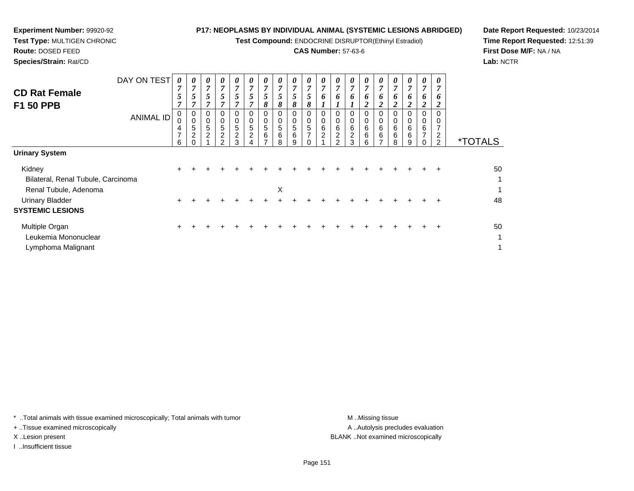**Test Compound:** ENDOCRINE DISRUPTOR(Ethinyl Estradiol)

## **CAS Number:** 57-63-6

*0*

*0 7*

*0 7*

0<br>0<br>6<br>7

*6 2*

0<br>0<br>6<br>6

0<br>0<br>6<br>6

*6 2*

0<br>0<br>6<br>6

*7 6 1*

0<br>0<br>6<br>2

**Date Report Requested:** 10/23/2014**Time Report Requested:** 12:51:39**First Dose M/F:** NA / NA**Lab:** NCTR

| Species/Strain: Rat/CD                   |                  |                |                  |                  |                            |                  |                                |                  |                  |   |
|------------------------------------------|------------------|----------------|------------------|------------------|----------------------------|------------------|--------------------------------|------------------|------------------|---|
|                                          | DAY ON TEST      | 7              | 0<br>~           | 0                | $\boldsymbol{\theta}$<br>7 | U<br>7           | $\boldsymbol{\mathit{U}}$<br>7 | 0<br>7           | U                |   |
| <b>CD Rat Female</b><br><b>F1 50 PPB</b> |                  | $\overline{ }$ | ~                |                  | 5<br>~                     | 7                | 7                              | 8                | ο<br>O           |   |
|                                          | <b>ANIMAL ID</b> | 0<br>0<br>4    | 0<br>0<br>5<br>◠ | 0<br>0<br>5<br>ົ | 0<br>0<br>5<br>◠           | 0<br>0<br>5<br>⌒ | 0<br>0<br>5<br>ົ               | 0<br>0<br>5<br>6 | O<br>0<br>5<br>6 | 5 |
|                                          |                  |                |                  |                  |                            |                  |                                |                  |                  |   |

|                                    | 6     | $\Omega$ | $\mathcal{P}$ | 3 | 4 | $\overline{ }$ | 8 | 9 | $\Omega$ | $\mathcal{P}$ | 3 | 6 | $\overline{ }$ | 8 | 9 | $\overline{0}$ | $\mathcal{P}$ | <i>*</i> TOTALS |
|------------------------------------|-------|----------|---------------|---|---|----------------|---|---|----------|---------------|---|---|----------------|---|---|----------------|---------------|-----------------|
| <b>Urinary System</b>              |       |          |               |   |   |                |   |   |          |               |   |   |                |   |   |                |               |                 |
| Kidney                             | $+$   |          |               |   |   |                |   |   |          |               |   |   |                |   |   |                | $+$           | 50              |
| Bilateral, Renal Tubule, Carcinoma |       |          |               |   |   |                |   |   |          |               |   |   |                |   |   |                |               | $\mathbf{1}$    |
| Renal Tubule, Adenoma              |       |          |               |   |   |                | X |   |          |               |   |   |                |   |   |                |               | $\mathbf{1}$    |
| Urinary Bladder                    | $\pm$ |          |               |   |   |                |   |   |          |               |   |   |                |   |   |                |               | 48              |
| <b>SYSTEMIC LESIONS</b>            |       |          |               |   |   |                |   |   |          |               |   |   |                |   |   |                |               |                 |
| Multiple Organ                     | $+$   |          |               |   |   |                |   |   |          |               |   |   |                |   |   |                | $\ddot{}$     | 50              |
| Leukemia Mononuclear               |       |          |               |   |   |                |   |   |          |               |   |   |                |   |   |                |               | $\mathbf{1}$    |
| Lymphoma Malignant                 |       |          |               |   |   |                |   |   |          |               |   |   |                |   |   |                |               | 1               |

\* ..Total animals with tissue examined microscopically; Total animals with tumor **M** ...Missing tissue M ...Missing tissue

+ ..Tissue examined microscopically

**Experiment Number:** 99920-92**Test Type:** MULTIGEN CHRONIC

**Route:** DOSED FEED

I ..Insufficient tissue

A .. Autolysis precludes evaluation X ..Lesion present BLANK ..Not examined microscopically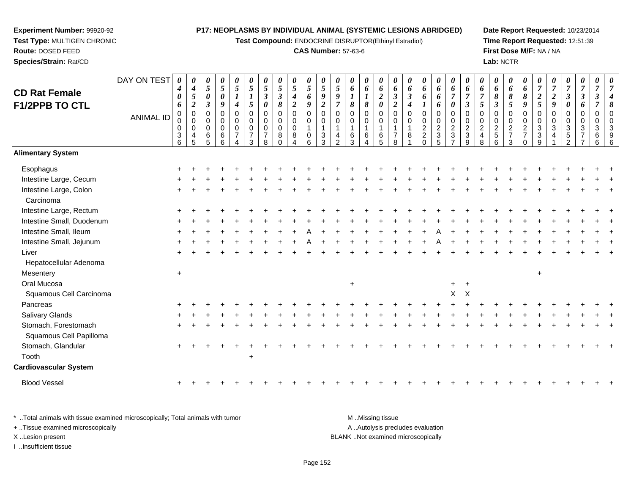**Test Compound:** ENDOCRINE DISRUPTOR(Ethinyl Estradiol)

#### **CAS Number:** 57-63-6

**Date Report Requested:** 10/23/2014**Time Report Requested:** 12:51:39**First Dose M/F:** NA / NA**Lab:** NCTR

| <b>CD Rat Female</b><br>F1/2PPB TO CTL | DAY ON TEST<br><b>ANIMAL ID</b> | 0<br>4<br>0<br>6<br>$\mathbf 0$<br>0<br>0<br>$\sqrt{3}$<br>6 | 0<br>$\boldsymbol{4}$<br>$\sqrt{5}$<br>$\overline{2}$<br>$\mathbf 0$<br>$\mathbf 0$<br>$\mathbf 0$<br>$\overline{4}$<br>5 | 0<br>$5\overline{)}$<br>0<br>$\boldsymbol{\beta}$<br>0<br>$\Omega$<br>$\Omega$<br>6<br>5 | 0<br>$\sqrt{5}$<br>$\pmb{\theta}$<br>9<br>$\mathbf 0$<br>0<br>0<br>6<br>$6\phantom{a}$ | 0<br>5<br>$\boldsymbol{l}$<br>$\boldsymbol{4}$<br>$\mathbf 0$<br>$\mathbf 0$<br>$\mathbf 0$<br>$\overline{7}$<br>4 | 0<br>$\overline{5}$<br>$\boldsymbol{l}$<br>5<br>$\mathbf 0$<br>$\mathbf 0$<br>$\mathbf 0$<br>$\overline{7}$<br>3 | 0<br>5<br>$\boldsymbol{\beta}$<br>$\pmb{\theta}$<br>$\mathbf 0$<br>$\mathbf 0$<br>$\mathbf 0$<br>$\overline{7}$<br>8 | 0<br>5<br>$\boldsymbol{\beta}$<br>8<br>$\mathbf 0$<br>0<br>$\Omega$<br>8<br><sup>0</sup> | 0<br>$\mathfrak{s}$<br>$\boldsymbol{4}$<br>$\boldsymbol{2}$<br>$\pmb{0}$<br>0<br>0<br>8 | 0<br>5<br>6<br>9<br>$\mathbf 0$<br>$\mathbf 0$<br>1<br>$\pmb{0}$<br>6 | $\boldsymbol{\theta}$<br>$\mathfrak{s}$<br>9<br>$\overline{2}$<br>$\pmb{0}$<br>$\mathbf 0$<br>$\overline{1}$<br>$\frac{3}{3}$ | $\theta$<br>$\overline{5}$<br>9<br>$\overline{7}$<br>$\mathbf 0$<br>$\mathbf 0$<br>$\mathbf{1}$<br>$\overline{4}$<br>$\overline{2}$ | 0<br>6<br>8<br>$\Omega$<br>0<br>6<br>3 | 0<br>6<br>$\boldsymbol{l}$<br>$\pmb{8}$<br>0<br>0<br>$\mathbf{1}$<br>$\,6$ | 0<br>6<br>$\boldsymbol{2}$<br>$\pmb{\theta}$<br>$\mathbf 0$<br>$\pmb{0}$<br>$\mathbf{1}$<br>$\,6\,$<br>5 | 0<br>6<br>$\boldsymbol{\beta}$<br>$\overline{2}$<br>$\mathbf 0$<br>0<br>$\overline{7}$<br>8 | 0<br>6<br>$\boldsymbol{\beta}$<br>4<br>$\mathbf 0$<br>0<br>$\mathbf{1}$<br>8 | 0<br>6<br>6<br>$\mathbf 0$<br>$\mathbf 0$<br>$\boldsymbol{2}$<br>$\overline{c}$<br>$\mathbf 0$ | 0<br>6<br>6<br>6<br>0<br>$\begin{array}{c}\n0 \\ 2 \\ 3 \\ 5\n\end{array}$ | 0<br>6<br>$\overline{7}$<br>0<br>$\mathbf 0$<br>$^{\rm 0}_{\rm 2}$<br>$\mathsf 3$<br>$\overline{7}$ | 0<br>6<br>7<br>$\boldsymbol{\beta}$<br>0<br>0<br>$\overline{2}$<br>$\ensuremath{\mathsf{3}}$<br>9 | 0<br>6<br>5<br>$\mathbf 0$<br>$\mathbf 0$<br>$\overline{2}$<br>$\overline{4}$<br>8 | 0<br>6<br>$\pmb{8}$<br>$\mathfrak{z}$<br>$\pmb{0}$<br>0<br>$\overline{2}$<br>$\overline{5}$<br>$6\phantom{1}6$ | 0<br>6<br>8<br>5<br>0<br>0<br>$\overline{a}$<br>$\overline{7}$<br>3 | 0<br>6<br>8<br>9<br>0<br>0<br>$\overline{2}$<br>$\overline{7}$<br>$\Omega$ | $\overline{7}$<br>$\boldsymbol{2}$<br>5<br>0<br>$\mathbf 0$<br>$\mathbf{3}$<br>$\sqrt{3}$<br>9 | $\overline{7}$<br>$\boldsymbol{2}$<br>$\boldsymbol{g}$<br>$\mathbf 0$<br>$\mathbf 0$<br>$\mathbf{3}$<br>$\overline{4}$ | 0<br>$\overline{7}$<br>$\boldsymbol{\beta}$<br>$\pmb{\theta}$<br>0<br>0<br>$\mathbf{3}$<br>$\sqrt{5}$<br>2 | 0<br>$\overline{7}$<br>$\mathbf{3}$<br>6<br>0<br>$\mathbf 0$<br>3<br>$\overline{7}$ | 0<br>$\overline{7}$<br>$\boldsymbol{\beta}$<br>$\overline{7}$<br>$\pmb{0}$<br>$\mathbf 0$<br>3<br>6<br>6 | $\overline{7}$<br>8<br>$\mathbf{0}$<br>$\Omega$<br>9 |
|----------------------------------------|---------------------------------|--------------------------------------------------------------|---------------------------------------------------------------------------------------------------------------------------|------------------------------------------------------------------------------------------|----------------------------------------------------------------------------------------|--------------------------------------------------------------------------------------------------------------------|------------------------------------------------------------------------------------------------------------------|----------------------------------------------------------------------------------------------------------------------|------------------------------------------------------------------------------------------|-----------------------------------------------------------------------------------------|-----------------------------------------------------------------------|-------------------------------------------------------------------------------------------------------------------------------|-------------------------------------------------------------------------------------------------------------------------------------|----------------------------------------|----------------------------------------------------------------------------|----------------------------------------------------------------------------------------------------------|---------------------------------------------------------------------------------------------|------------------------------------------------------------------------------|------------------------------------------------------------------------------------------------|----------------------------------------------------------------------------|-----------------------------------------------------------------------------------------------------|---------------------------------------------------------------------------------------------------|------------------------------------------------------------------------------------|----------------------------------------------------------------------------------------------------------------|---------------------------------------------------------------------|----------------------------------------------------------------------------|------------------------------------------------------------------------------------------------|------------------------------------------------------------------------------------------------------------------------|------------------------------------------------------------------------------------------------------------|-------------------------------------------------------------------------------------|----------------------------------------------------------------------------------------------------------|------------------------------------------------------|
| <b>Alimentary System</b>               |                                 |                                                              |                                                                                                                           |                                                                                          |                                                                                        |                                                                                                                    |                                                                                                                  |                                                                                                                      |                                                                                          |                                                                                         |                                                                       |                                                                                                                               |                                                                                                                                     |                                        |                                                                            |                                                                                                          |                                                                                             |                                                                              |                                                                                                |                                                                            |                                                                                                     |                                                                                                   |                                                                                    |                                                                                                                |                                                                     |                                                                            |                                                                                                |                                                                                                                        |                                                                                                            |                                                                                     |                                                                                                          |                                                      |
| Esophagus                              |                                 |                                                              |                                                                                                                           |                                                                                          |                                                                                        |                                                                                                                    |                                                                                                                  |                                                                                                                      |                                                                                          |                                                                                         |                                                                       |                                                                                                                               |                                                                                                                                     |                                        |                                                                            |                                                                                                          |                                                                                             |                                                                              |                                                                                                |                                                                            |                                                                                                     |                                                                                                   |                                                                                    |                                                                                                                |                                                                     |                                                                            |                                                                                                |                                                                                                                        |                                                                                                            |                                                                                     |                                                                                                          |                                                      |
| Intestine Large, Cecum                 |                                 |                                                              |                                                                                                                           |                                                                                          |                                                                                        |                                                                                                                    |                                                                                                                  |                                                                                                                      |                                                                                          |                                                                                         |                                                                       |                                                                                                                               |                                                                                                                                     |                                        |                                                                            |                                                                                                          |                                                                                             |                                                                              |                                                                                                |                                                                            |                                                                                                     |                                                                                                   |                                                                                    |                                                                                                                |                                                                     |                                                                            |                                                                                                |                                                                                                                        |                                                                                                            |                                                                                     |                                                                                                          |                                                      |
| Intestine Large, Colon<br>Carcinoma    |                                 |                                                              |                                                                                                                           |                                                                                          |                                                                                        |                                                                                                                    |                                                                                                                  |                                                                                                                      |                                                                                          |                                                                                         |                                                                       |                                                                                                                               |                                                                                                                                     |                                        |                                                                            |                                                                                                          |                                                                                             |                                                                              |                                                                                                |                                                                            |                                                                                                     |                                                                                                   |                                                                                    |                                                                                                                |                                                                     |                                                                            |                                                                                                |                                                                                                                        |                                                                                                            |                                                                                     |                                                                                                          |                                                      |
| Intestine Large, Rectum                |                                 |                                                              |                                                                                                                           |                                                                                          |                                                                                        |                                                                                                                    |                                                                                                                  |                                                                                                                      |                                                                                          |                                                                                         |                                                                       |                                                                                                                               |                                                                                                                                     |                                        |                                                                            |                                                                                                          |                                                                                             |                                                                              |                                                                                                |                                                                            |                                                                                                     |                                                                                                   |                                                                                    |                                                                                                                |                                                                     |                                                                            |                                                                                                |                                                                                                                        |                                                                                                            |                                                                                     |                                                                                                          |                                                      |
| Intestine Small, Duodenum              |                                 |                                                              |                                                                                                                           |                                                                                          |                                                                                        |                                                                                                                    |                                                                                                                  |                                                                                                                      |                                                                                          |                                                                                         |                                                                       |                                                                                                                               |                                                                                                                                     |                                        |                                                                            |                                                                                                          |                                                                                             |                                                                              |                                                                                                |                                                                            |                                                                                                     |                                                                                                   |                                                                                    |                                                                                                                |                                                                     |                                                                            |                                                                                                |                                                                                                                        |                                                                                                            |                                                                                     |                                                                                                          |                                                      |
| Intestine Small, Ileum                 |                                 |                                                              |                                                                                                                           |                                                                                          |                                                                                        |                                                                                                                    |                                                                                                                  |                                                                                                                      |                                                                                          |                                                                                         |                                                                       |                                                                                                                               |                                                                                                                                     |                                        |                                                                            |                                                                                                          |                                                                                             |                                                                              |                                                                                                |                                                                            |                                                                                                     |                                                                                                   |                                                                                    |                                                                                                                |                                                                     |                                                                            |                                                                                                |                                                                                                                        |                                                                                                            |                                                                                     |                                                                                                          |                                                      |
| Intestine Small, Jejunum               |                                 |                                                              |                                                                                                                           |                                                                                          |                                                                                        |                                                                                                                    |                                                                                                                  |                                                                                                                      |                                                                                          |                                                                                         |                                                                       |                                                                                                                               |                                                                                                                                     |                                        |                                                                            |                                                                                                          |                                                                                             |                                                                              |                                                                                                |                                                                            |                                                                                                     |                                                                                                   |                                                                                    |                                                                                                                |                                                                     |                                                                            |                                                                                                |                                                                                                                        |                                                                                                            |                                                                                     |                                                                                                          |                                                      |
| Liver                                  |                                 |                                                              |                                                                                                                           |                                                                                          |                                                                                        |                                                                                                                    |                                                                                                                  |                                                                                                                      |                                                                                          |                                                                                         |                                                                       |                                                                                                                               |                                                                                                                                     |                                        |                                                                            |                                                                                                          |                                                                                             |                                                                              |                                                                                                |                                                                            |                                                                                                     |                                                                                                   |                                                                                    |                                                                                                                |                                                                     |                                                                            |                                                                                                |                                                                                                                        |                                                                                                            |                                                                                     |                                                                                                          |                                                      |
| Hepatocellular Adenoma                 |                                 |                                                              |                                                                                                                           |                                                                                          |                                                                                        |                                                                                                                    |                                                                                                                  |                                                                                                                      |                                                                                          |                                                                                         |                                                                       |                                                                                                                               |                                                                                                                                     |                                        |                                                                            |                                                                                                          |                                                                                             |                                                                              |                                                                                                |                                                                            |                                                                                                     |                                                                                                   |                                                                                    |                                                                                                                |                                                                     |                                                                            |                                                                                                |                                                                                                                        |                                                                                                            |                                                                                     |                                                                                                          |                                                      |
| Mesentery                              |                                 | $+$                                                          |                                                                                                                           |                                                                                          |                                                                                        |                                                                                                                    |                                                                                                                  |                                                                                                                      |                                                                                          |                                                                                         |                                                                       |                                                                                                                               |                                                                                                                                     |                                        |                                                                            |                                                                                                          |                                                                                             |                                                                              |                                                                                                |                                                                            |                                                                                                     |                                                                                                   |                                                                                    |                                                                                                                |                                                                     |                                                                            | $+$                                                                                            |                                                                                                                        |                                                                                                            |                                                                                     |                                                                                                          |                                                      |
| Oral Mucosa                            |                                 |                                                              |                                                                                                                           |                                                                                          |                                                                                        |                                                                                                                    |                                                                                                                  |                                                                                                                      |                                                                                          |                                                                                         |                                                                       |                                                                                                                               |                                                                                                                                     | $\ddot{}$                              |                                                                            |                                                                                                          |                                                                                             |                                                                              |                                                                                                |                                                                            | $+$                                                                                                 |                                                                                                   |                                                                                    |                                                                                                                |                                                                     |                                                                            |                                                                                                |                                                                                                                        |                                                                                                            |                                                                                     |                                                                                                          |                                                      |
| Squamous Cell Carcinoma                |                                 |                                                              |                                                                                                                           |                                                                                          |                                                                                        |                                                                                                                    |                                                                                                                  |                                                                                                                      |                                                                                          |                                                                                         |                                                                       |                                                                                                                               |                                                                                                                                     |                                        |                                                                            |                                                                                                          |                                                                                             |                                                                              |                                                                                                |                                                                            | X                                                                                                   | $\times$                                                                                          |                                                                                    |                                                                                                                |                                                                     |                                                                            |                                                                                                |                                                                                                                        |                                                                                                            |                                                                                     |                                                                                                          |                                                      |
| Pancreas                               |                                 |                                                              |                                                                                                                           |                                                                                          |                                                                                        |                                                                                                                    |                                                                                                                  |                                                                                                                      |                                                                                          |                                                                                         |                                                                       |                                                                                                                               |                                                                                                                                     |                                        |                                                                            |                                                                                                          |                                                                                             |                                                                              |                                                                                                |                                                                            |                                                                                                     |                                                                                                   |                                                                                    |                                                                                                                |                                                                     |                                                                            |                                                                                                |                                                                                                                        |                                                                                                            |                                                                                     |                                                                                                          |                                                      |
| Salivary Glands                        |                                 |                                                              |                                                                                                                           |                                                                                          |                                                                                        |                                                                                                                    |                                                                                                                  |                                                                                                                      |                                                                                          |                                                                                         |                                                                       |                                                                                                                               |                                                                                                                                     |                                        |                                                                            |                                                                                                          |                                                                                             |                                                                              |                                                                                                |                                                                            |                                                                                                     |                                                                                                   |                                                                                    |                                                                                                                |                                                                     |                                                                            |                                                                                                |                                                                                                                        |                                                                                                            |                                                                                     |                                                                                                          |                                                      |
| Stomach, Forestomach                   |                                 |                                                              |                                                                                                                           |                                                                                          |                                                                                        |                                                                                                                    |                                                                                                                  |                                                                                                                      |                                                                                          |                                                                                         |                                                                       |                                                                                                                               |                                                                                                                                     |                                        |                                                                            |                                                                                                          |                                                                                             |                                                                              |                                                                                                |                                                                            |                                                                                                     |                                                                                                   |                                                                                    |                                                                                                                |                                                                     |                                                                            |                                                                                                |                                                                                                                        |                                                                                                            |                                                                                     |                                                                                                          |                                                      |
| Squamous Cell Papilloma                |                                 |                                                              |                                                                                                                           |                                                                                          |                                                                                        |                                                                                                                    |                                                                                                                  |                                                                                                                      |                                                                                          |                                                                                         |                                                                       |                                                                                                                               |                                                                                                                                     |                                        |                                                                            |                                                                                                          |                                                                                             |                                                                              |                                                                                                |                                                                            |                                                                                                     |                                                                                                   |                                                                                    |                                                                                                                |                                                                     |                                                                            |                                                                                                |                                                                                                                        |                                                                                                            |                                                                                     |                                                                                                          |                                                      |
| Stomach, Glandular                     |                                 |                                                              |                                                                                                                           |                                                                                          |                                                                                        |                                                                                                                    |                                                                                                                  |                                                                                                                      |                                                                                          |                                                                                         |                                                                       |                                                                                                                               |                                                                                                                                     |                                        |                                                                            |                                                                                                          |                                                                                             |                                                                              |                                                                                                |                                                                            |                                                                                                     |                                                                                                   |                                                                                    |                                                                                                                |                                                                     |                                                                            |                                                                                                |                                                                                                                        |                                                                                                            |                                                                                     |                                                                                                          |                                                      |
| Tooth                                  |                                 |                                                              |                                                                                                                           |                                                                                          |                                                                                        |                                                                                                                    | $\ddot{}$                                                                                                        |                                                                                                                      |                                                                                          |                                                                                         |                                                                       |                                                                                                                               |                                                                                                                                     |                                        |                                                                            |                                                                                                          |                                                                                             |                                                                              |                                                                                                |                                                                            |                                                                                                     |                                                                                                   |                                                                                    |                                                                                                                |                                                                     |                                                                            |                                                                                                |                                                                                                                        |                                                                                                            |                                                                                     |                                                                                                          |                                                      |
| <b>Cardiovascular System</b>           |                                 |                                                              |                                                                                                                           |                                                                                          |                                                                                        |                                                                                                                    |                                                                                                                  |                                                                                                                      |                                                                                          |                                                                                         |                                                                       |                                                                                                                               |                                                                                                                                     |                                        |                                                                            |                                                                                                          |                                                                                             |                                                                              |                                                                                                |                                                                            |                                                                                                     |                                                                                                   |                                                                                    |                                                                                                                |                                                                     |                                                                            |                                                                                                |                                                                                                                        |                                                                                                            |                                                                                     |                                                                                                          |                                                      |
| <b>Blood Vessel</b>                    |                                 |                                                              |                                                                                                                           |                                                                                          |                                                                                        |                                                                                                                    |                                                                                                                  |                                                                                                                      |                                                                                          |                                                                                         |                                                                       |                                                                                                                               |                                                                                                                                     |                                        |                                                                            |                                                                                                          |                                                                                             |                                                                              |                                                                                                |                                                                            |                                                                                                     |                                                                                                   |                                                                                    |                                                                                                                |                                                                     |                                                                            |                                                                                                |                                                                                                                        |                                                                                                            |                                                                                     |                                                                                                          |                                                      |

\* ..Total animals with tissue examined microscopically; Total animals with tumor **M** . Missing tissue M ..Missing tissue A ..Autolysis precludes evaluation + ..Tissue examined microscopically X ..Lesion present BLANK ..Not examined microscopicallyI ..Insufficient tissue

**Experiment Number:** 99920-92**Test Type:** MULTIGEN CHRONIC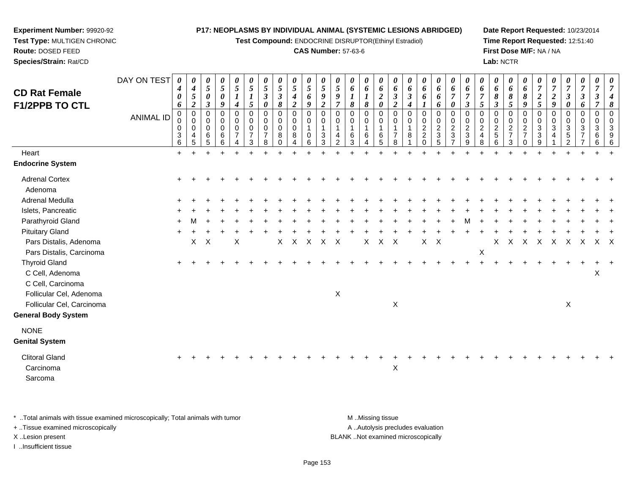**Test Compound:** ENDOCRINE DISRUPTOR(Ethinyl Estradiol)

#### **CAS Number:** 57-63-6

**Date Report Requested:** 10/23/2014**Time Report Requested:** 12:51:40**First Dose M/F:** NA / NA**Lab:** NCTR

| <b>CD Rat Female</b><br>F1/2PPB TO CTL                       | DAY ON TEST<br><b>ANIMAL ID</b> | 0<br>$\boldsymbol{4}$<br>$\boldsymbol{\theta}$<br>6<br>0<br>0<br>$\pmb{0}$<br>3<br>6 | $\theta$<br>$\boldsymbol{4}$<br>$\overline{5}$<br>$\boldsymbol{2}$<br>$\overline{0}$<br>$\mathbf 0$<br>$\mathbf 0$<br>4<br>5 | 0<br>5<br>0<br>3<br>$\Omega$<br>0<br>$\Omega$<br>6<br>5 | $\pmb{\theta}$<br>$\sqrt{5}$<br>$\boldsymbol{\theta}$<br>9<br>0<br>0<br>$\mathbf 0$<br>6<br>6 | 0<br>5<br>$\boldsymbol{4}$<br>$\mathbf 0$<br>0<br>$\pmb{0}$<br>$\overline{7}$<br>4 | $\boldsymbol{\theta}$<br>$\mathfrak{I}$<br>$\boldsymbol{l}$<br>$\mathfrak{I}$<br>0<br>$\mathbf 0$<br>$\mathbf 0$<br>$\overline{7}$<br>3 | $\boldsymbol{\theta}$<br>5<br>$\mathfrak{z}$<br>$\boldsymbol{\theta}$<br>$\mathbf 0$<br>$\mathbf 0$<br>$\mathbf 0$<br>$\overline{7}$<br>8 | 0<br>5<br>$\boldsymbol{\beta}$<br>8<br>$\mathbf 0$<br>0<br>$\Omega$<br>8<br>$\Omega$ | $\pmb{\theta}$<br>$\mathfrak{s}$<br>$\boldsymbol{4}$<br>$\boldsymbol{2}$<br>$\pmb{0}$<br>$\pmb{0}$<br>0<br>8<br>4 | $\boldsymbol{\theta}$<br>$\sqrt{5}$<br>6<br>9<br>$\mathbf 0$<br>0<br>$\overline{1}$<br>0<br>6 | 0<br>$\mathfrak{s}$<br>9<br>$\boldsymbol{2}$<br>$\mathbf 0$<br>0<br>3<br>3 | $\boldsymbol{\theta}$<br>$\mathfrak{s}$<br>9<br>$\overline{7}$<br>$\Omega$<br>$\Omega$<br>$\overline{4}$<br>$\mathcal{P}$ | 0<br>6<br>8<br>$\Omega$<br>$\Omega$<br>6<br>3 | 0<br>6<br>$\boldsymbol{l}$<br>8<br>0<br>0<br>$\mathbf{1}$<br>6<br>4 | 0<br>6<br>$\boldsymbol{2}$<br>0<br>$\mathbf 0$<br>$\mathbf 0$<br>$\mathbf{1}$<br>$\,6$<br>5 | 0<br>6<br>$\boldsymbol{\beta}$<br>$\boldsymbol{2}$<br>$\Omega$<br>$\Omega$<br>$\overline{7}$<br>8 | $\boldsymbol{\theta}$<br>6<br>$\boldsymbol{\beta}$<br>$\mathbf 0$<br>$\Omega$<br>8 | 0<br>6<br>6<br>$\mathbf 0$<br>0<br>$\overline{c}$<br>$\boldsymbol{2}$<br>$\Omega$ | 0<br>6<br>6<br>6<br>$\,0\,$<br>$\pmb{0}$<br>$\overline{a}$<br>$\mathbf{3}$<br>$\sqrt{5}$ | $\boldsymbol{\theta}$<br>6<br>$\overline{7}$<br>$\boldsymbol{\theta}$<br>$\pmb{0}$<br>$\pmb{0}$<br>$\boldsymbol{2}$<br>$\mathbf{3}$<br>$\overline{7}$ | 0<br>6<br>$\overline{7}$<br>$\mathfrak{z}$<br>0<br>0<br>$\overline{c}$<br>$\sqrt{3}$<br>9 | $\boldsymbol{\theta}$<br>6<br>$\overline{7}$<br>5<br>$\Omega$<br>$\Omega$<br>$\boldsymbol{2}$<br>4<br>8 | 0<br>6<br>8<br>3<br>$\Omega$<br>0<br>$\overline{a}$<br>$5\phantom{.0}$<br>6 | 0<br>6<br>8<br>5<br>0<br>0<br>$\overline{c}$<br>$\overline{7}$<br>$\mathbf{3}$ | $\boldsymbol{\theta}$<br>6<br>8<br>9<br>$\mathbf 0$<br>$\mathbf 0$<br>$\sqrt{2}$<br>$\overline{7}$<br>$\Omega$ | 0<br>$\overline{7}$<br>$\boldsymbol{2}$<br>5<br>0<br>0<br>$\ensuremath{\mathsf{3}}$<br>$\mathbf{3}$<br>9 | 7<br>$\boldsymbol{2}$<br>9<br>$\Omega$<br>$\Omega$<br>3<br>4 | 0<br>$\overline{7}$<br>3<br>0<br>0<br>0<br>3<br>5<br>$\mathfrak{p}$ | 0<br>$\boldsymbol{7}$<br>$\boldsymbol{\beta}$<br>6<br>0<br>$\mathbf 0$<br>$\sqrt{3}$<br>$\overline{7}$ | 0<br>7<br>3<br>$\mathbf 0$<br>$\mathbf 0$<br>$\mathbf{3}$<br>6<br>6 |                           |
|--------------------------------------------------------------|---------------------------------|--------------------------------------------------------------------------------------|------------------------------------------------------------------------------------------------------------------------------|---------------------------------------------------------|-----------------------------------------------------------------------------------------------|------------------------------------------------------------------------------------|-----------------------------------------------------------------------------------------------------------------------------------------|-------------------------------------------------------------------------------------------------------------------------------------------|--------------------------------------------------------------------------------------|-------------------------------------------------------------------------------------------------------------------|-----------------------------------------------------------------------------------------------|----------------------------------------------------------------------------|---------------------------------------------------------------------------------------------------------------------------|-----------------------------------------------|---------------------------------------------------------------------|---------------------------------------------------------------------------------------------|---------------------------------------------------------------------------------------------------|------------------------------------------------------------------------------------|-----------------------------------------------------------------------------------|------------------------------------------------------------------------------------------|-------------------------------------------------------------------------------------------------------------------------------------------------------|-------------------------------------------------------------------------------------------|---------------------------------------------------------------------------------------------------------|-----------------------------------------------------------------------------|--------------------------------------------------------------------------------|----------------------------------------------------------------------------------------------------------------|----------------------------------------------------------------------------------------------------------|--------------------------------------------------------------|---------------------------------------------------------------------|--------------------------------------------------------------------------------------------------------|---------------------------------------------------------------------|---------------------------|
| Heart                                                        |                                 | $+$                                                                                  |                                                                                                                              | ÷.                                                      | $\div$                                                                                        | $\div$                                                                             |                                                                                                                                         |                                                                                                                                           |                                                                                      | ÷.                                                                                                                |                                                                                               |                                                                            |                                                                                                                           |                                               |                                                                     |                                                                                             |                                                                                                   |                                                                                    |                                                                                   |                                                                                          |                                                                                                                                                       |                                                                                           |                                                                                                         |                                                                             |                                                                                |                                                                                                                | +                                                                                                        |                                                              |                                                                     |                                                                                                        |                                                                     |                           |
| <b>Endocrine System</b>                                      |                                 |                                                                                      |                                                                                                                              |                                                         |                                                                                               |                                                                                    |                                                                                                                                         |                                                                                                                                           |                                                                                      |                                                                                                                   |                                                                                               |                                                                            |                                                                                                                           |                                               |                                                                     |                                                                                             |                                                                                                   |                                                                                    |                                                                                   |                                                                                          |                                                                                                                                                       |                                                                                           |                                                                                                         |                                                                             |                                                                                |                                                                                                                |                                                                                                          |                                                              |                                                                     |                                                                                                        |                                                                     |                           |
| <b>Adrenal Cortex</b><br>Adenoma                             |                                 |                                                                                      |                                                                                                                              |                                                         |                                                                                               |                                                                                    |                                                                                                                                         |                                                                                                                                           |                                                                                      |                                                                                                                   |                                                                                               |                                                                            |                                                                                                                           |                                               |                                                                     |                                                                                             |                                                                                                   |                                                                                    |                                                                                   |                                                                                          |                                                                                                                                                       |                                                                                           |                                                                                                         |                                                                             |                                                                                |                                                                                                                |                                                                                                          |                                                              |                                                                     |                                                                                                        |                                                                     |                           |
| Adrenal Medulla                                              |                                 |                                                                                      |                                                                                                                              |                                                         |                                                                                               |                                                                                    |                                                                                                                                         |                                                                                                                                           |                                                                                      |                                                                                                                   |                                                                                               |                                                                            |                                                                                                                           |                                               |                                                                     |                                                                                             |                                                                                                   |                                                                                    |                                                                                   |                                                                                          |                                                                                                                                                       |                                                                                           |                                                                                                         |                                                                             |                                                                                |                                                                                                                |                                                                                                          |                                                              |                                                                     |                                                                                                        |                                                                     |                           |
| Islets, Pancreatic                                           |                                 |                                                                                      |                                                                                                                              |                                                         |                                                                                               |                                                                                    |                                                                                                                                         |                                                                                                                                           |                                                                                      |                                                                                                                   |                                                                                               |                                                                            |                                                                                                                           |                                               |                                                                     |                                                                                             |                                                                                                   |                                                                                    |                                                                                   |                                                                                          |                                                                                                                                                       |                                                                                           |                                                                                                         |                                                                             |                                                                                |                                                                                                                |                                                                                                          |                                                              |                                                                     |                                                                                                        |                                                                     |                           |
| Parathyroid Gland                                            |                                 |                                                                                      |                                                                                                                              |                                                         |                                                                                               |                                                                                    |                                                                                                                                         |                                                                                                                                           |                                                                                      |                                                                                                                   |                                                                                               |                                                                            |                                                                                                                           |                                               |                                                                     |                                                                                             |                                                                                                   |                                                                                    |                                                                                   |                                                                                          |                                                                                                                                                       |                                                                                           |                                                                                                         |                                                                             |                                                                                |                                                                                                                |                                                                                                          |                                                              |                                                                     |                                                                                                        |                                                                     |                           |
| <b>Pituitary Gland</b>                                       |                                 |                                                                                      |                                                                                                                              |                                                         |                                                                                               |                                                                                    |                                                                                                                                         |                                                                                                                                           |                                                                                      |                                                                                                                   |                                                                                               |                                                                            |                                                                                                                           |                                               |                                                                     |                                                                                             |                                                                                                   |                                                                                    |                                                                                   |                                                                                          |                                                                                                                                                       |                                                                                           |                                                                                                         |                                                                             |                                                                                |                                                                                                                |                                                                                                          |                                                              |                                                                     |                                                                                                        |                                                                     |                           |
| Pars Distalis, Adenoma<br>Pars Distalis, Carcinoma           |                                 |                                                                                      | $\mathsf{X}$                                                                                                                 | $\boldsymbol{\mathsf{X}}$                               |                                                                                               | X                                                                                  |                                                                                                                                         |                                                                                                                                           | X                                                                                    | $\boldsymbol{\mathsf{X}}$                                                                                         | $\mathsf{X}$                                                                                  | X                                                                          | $\mathsf{X}$                                                                                                              |                                               | X                                                                   | $\mathsf{X}$                                                                                | $\times$                                                                                          |                                                                                    | X                                                                                 | $\mathsf{X}$                                                                             |                                                                                                                                                       |                                                                                           | $\boldsymbol{\mathsf{X}}$                                                                               | X                                                                           | X                                                                              | Χ                                                                                                              | Χ                                                                                                        | X                                                            | X                                                                   | X                                                                                                      | X                                                                   | $\boldsymbol{\mathsf{x}}$ |
| <b>Thyroid Gland</b><br>C Cell, Adenoma<br>C Cell, Carcinoma |                                 | $\ddot{}$                                                                            |                                                                                                                              |                                                         |                                                                                               |                                                                                    |                                                                                                                                         |                                                                                                                                           |                                                                                      |                                                                                                                   |                                                                                               |                                                                            |                                                                                                                           |                                               |                                                                     |                                                                                             |                                                                                                   |                                                                                    |                                                                                   |                                                                                          |                                                                                                                                                       |                                                                                           |                                                                                                         |                                                                             |                                                                                |                                                                                                                |                                                                                                          |                                                              |                                                                     |                                                                                                        | $\boldsymbol{\mathsf{X}}$                                           |                           |
| Follicular Cel, Adenoma<br>Follicular Cel, Carcinoma         |                                 |                                                                                      |                                                                                                                              |                                                         |                                                                                               |                                                                                    |                                                                                                                                         |                                                                                                                                           |                                                                                      |                                                                                                                   |                                                                                               |                                                                            | $\mathsf X$                                                                                                               |                                               |                                                                     |                                                                                             | X                                                                                                 |                                                                                    |                                                                                   |                                                                                          |                                                                                                                                                       |                                                                                           |                                                                                                         |                                                                             |                                                                                |                                                                                                                |                                                                                                          |                                                              | X                                                                   |                                                                                                        |                                                                     |                           |
| <b>General Body System</b>                                   |                                 |                                                                                      |                                                                                                                              |                                                         |                                                                                               |                                                                                    |                                                                                                                                         |                                                                                                                                           |                                                                                      |                                                                                                                   |                                                                                               |                                                                            |                                                                                                                           |                                               |                                                                     |                                                                                             |                                                                                                   |                                                                                    |                                                                                   |                                                                                          |                                                                                                                                                       |                                                                                           |                                                                                                         |                                                                             |                                                                                |                                                                                                                |                                                                                                          |                                                              |                                                                     |                                                                                                        |                                                                     |                           |
| <b>NONE</b><br><b>Genital System</b>                         |                                 |                                                                                      |                                                                                                                              |                                                         |                                                                                               |                                                                                    |                                                                                                                                         |                                                                                                                                           |                                                                                      |                                                                                                                   |                                                                                               |                                                                            |                                                                                                                           |                                               |                                                                     |                                                                                             |                                                                                                   |                                                                                    |                                                                                   |                                                                                          |                                                                                                                                                       |                                                                                           |                                                                                                         |                                                                             |                                                                                |                                                                                                                |                                                                                                          |                                                              |                                                                     |                                                                                                        |                                                                     |                           |
| <b>Clitoral Gland</b><br>Carcinoma                           |                                 |                                                                                      |                                                                                                                              |                                                         |                                                                                               |                                                                                    |                                                                                                                                         |                                                                                                                                           |                                                                                      |                                                                                                                   |                                                                                               |                                                                            |                                                                                                                           |                                               |                                                                     |                                                                                             | X                                                                                                 |                                                                                    |                                                                                   |                                                                                          |                                                                                                                                                       |                                                                                           |                                                                                                         |                                                                             |                                                                                |                                                                                                                |                                                                                                          |                                                              |                                                                     |                                                                                                        |                                                                     |                           |

\* ..Total animals with tissue examined microscopically; Total animals with tumor **M** . Missing tissue M ..Missing tissue

+ ..Tissue examined microscopically

**Experiment Number:** 99920-92**Test Type:** MULTIGEN CHRONIC

**Route:** DOSED FEED**Species/Strain:** Rat/CD

Sarcoma

I ..Insufficient tissue

A ..Autolysis precludes evaluation

X ..Lesion present BLANK ..Not examined microscopically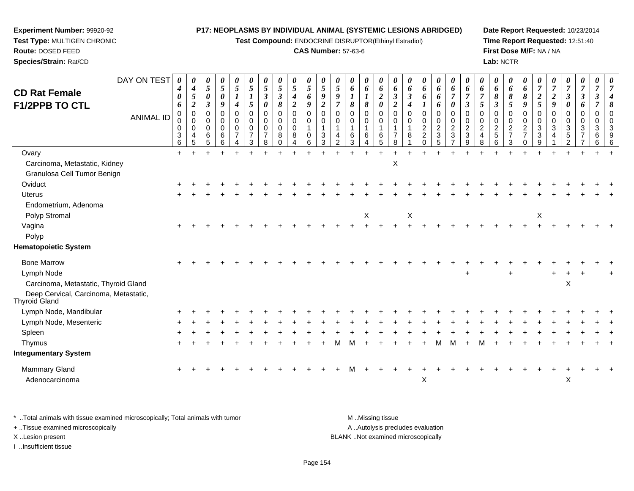**Test Compound:** ENDOCRINE DISRUPTOR(Ethinyl Estradiol)

#### **CAS Number:** 57-63-6

**Date Report Requested:** 10/23/2014**Time Report Requested:** 12:51:40**First Dose M/F:** NA / NA**Lab:** NCTR

 $\mathsf{x}$  x  $\mathsf{x}$ 

|                                                        | DAY ON TEST      | 0<br>4                | $\boldsymbol{\theta}$<br>$\boldsymbol{4}$ | 0<br>5         | 0<br>$\mathfrak{s}$ | 0<br>5                        | $\boldsymbol{\theta}$<br>$\mathfrak{s}$ | $\boldsymbol{\theta}$<br>$\mathfrak{s}$ | 0<br>5         | 0<br>$\mathfrak{s}$           | 0<br>5           | 0<br>$\mathfrak{s}$           | $\overline{5}$                | 0<br>6        | 0<br>6                 | $\boldsymbol{\theta}$<br>6 | $\boldsymbol{\theta}$<br>6      | $\boldsymbol{\theta}$<br>6      | 0<br>6                           | 0<br>6              | 0<br>6              | $\boldsymbol{\theta}$<br>6          | 6                                | 0<br>6              | 0<br>6                           | 0<br>6                             | $\boldsymbol{\theta}$<br>$\overline{7}$ | $\overline{7}$   | 0<br>$\overline{7}$        | 0<br>$\boldsymbol{7}$          | 0<br>$\overline{7}$  | 0             |
|--------------------------------------------------------|------------------|-----------------------|-------------------------------------------|----------------|---------------------|-------------------------------|-----------------------------------------|-----------------------------------------|----------------|-------------------------------|------------------|-------------------------------|-------------------------------|---------------|------------------------|----------------------------|---------------------------------|---------------------------------|----------------------------------|---------------------|---------------------|-------------------------------------|----------------------------------|---------------------|----------------------------------|------------------------------------|-----------------------------------------|------------------|----------------------------|--------------------------------|----------------------|---------------|
| <b>CD Rat Female</b>                                   |                  | $\boldsymbol{\theta}$ | $\mathfrak{s}$                            | $\pmb{\theta}$ | $\pmb{\theta}$      |                               | $\boldsymbol{l}$                        | $\boldsymbol{\beta}$                    | $\mathfrak{z}$ | $\boldsymbol{4}$              | 6                | $\boldsymbol{9}$              | 9                             |               |                        | $\overline{c}$             | $\boldsymbol{\beta}$            | $\boldsymbol{\beta}$            | 6                                | 6                   | $\overline{7}$      | $\overline{7}$                      | $\overline{7}$                   | 8                   | 8                                | 8                                  | $\boldsymbol{2}$                        | $\boldsymbol{2}$ | $\overline{\mathbf{3}}$    | $\mathfrak{z}$                 | $\boldsymbol{\beta}$ |               |
| <b>F1/2PPB TO CTL</b>                                  |                  | 6<br>$\pmb{0}$        | $\overline{2}$<br>$\pmb{0}$               | 3<br>0         | 9<br>0              | 4<br>$\pmb{0}$                | $\mathfrak{s}$<br>$\pmb{0}$             | $\boldsymbol{\theta}$<br>$\mathsf 0$    | 8<br>0         | $\overline{2}$<br>$\mathsf 0$ | 9<br>$\mathbf 0$ | $\overline{2}$<br>$\mathbf 0$ | $\overline{7}$<br>$\mathbf 0$ | 8<br>$\Omega$ | $\pmb{8}$<br>0         | 0<br>$\pmb{0}$             | $\boldsymbol{2}$<br>$\mathbf 0$ | $\boldsymbol{4}$<br>$\mathbf 0$ | 0                                | 6<br>$\mathsf 0$    | 0<br>$\pmb{0}$      | $\boldsymbol{\beta}$<br>$\mathbf 0$ | $\mathfrak{s}$<br>$\mathbf 0$    | 3<br>$\Omega$       | 5<br>0                           | 9<br>$\pmb{0}$                     | 5<br>$\mathbf 0$                        | 9<br>$\mathbf 0$ | $\boldsymbol{\theta}$<br>0 | 6<br>$\pmb{0}$                 | $\pmb{0}$            | 8<br>$\Omega$ |
|                                                        | <b>ANIMAL ID</b> | 0                     | $\mathbf 0$                               | $\Omega$       | 0                   | $\mathbf 0$                   | 0                                       | $\mathbf 0$                             | $\mathbf 0$    | 0                             | $\mathbf 0$      | 0                             | 0                             | $\Omega$      | 0                      | $\mathbf 0$                | $\mathbf 0$                     | 0                               | 0                                | 0                   | $\pmb{0}$           | $\mathbf 0$                         | 0                                | $\mathbf 0$         | 0                                | $\pmb{0}$                          | $\mathbf 0$                             | 0                | $\mathbf 0$                | 0                              | $\mathbf 0$          | $\Omega$      |
|                                                        |                  | 0<br>3                | $\mathbf 0$<br>$\overline{4}$             | 0<br>6         | 0<br>6              | $\mathbf 0$<br>$\overline{7}$ | 0<br>$\overline{7}$                     | $\mathbf 0$<br>$\overline{7}$           | 0<br>8         | 0<br>8                        | $\mathbf 0$      | $\overline{1}$<br>3           | $\mathbf{1}$<br>4             | 6             | $\mathbf{1}$<br>6      | 6                          | $\overline{7}$                  | 1<br>8                          | $\overline{2}$<br>$\overline{2}$ | $\overline{2}$<br>3 | $\overline{2}$<br>3 | $\overline{2}$<br>3                 | $\overline{2}$<br>$\overline{4}$ | $\overline{2}$<br>5 | $\overline{2}$<br>$\overline{7}$ | $\boldsymbol{2}$<br>$\overline{7}$ | 3<br>3                                  | 3<br>4           | 3<br>5                     | $\mathbf{3}$<br>$\overline{7}$ | $\mathbf{3}$<br>6    |               |
|                                                        |                  | 6                     | 5                                         | 5              | 6                   | 4                             | 3                                       | 8                                       |                | 4                             | 6                | 3                             | 2                             | 3             | $\boldsymbol{\Lambda}$ | 5                          | 8                               |                                 | $\Omega$                         | 5                   |                     | 9                                   | 8                                | 6                   | 3                                | $\Omega$                           | 9                                       |                  |                            |                                | 6                    | 6             |
| Ovary                                                  |                  | $\ddot{}$             |                                           |                |                     |                               |                                         |                                         |                |                               |                  |                               |                               |               |                        |                            |                                 |                                 |                                  |                     |                     |                                     |                                  |                     |                                  |                                    |                                         |                  |                            |                                |                      |               |
| Carcinoma, Metastatic, Kidney                          |                  |                       |                                           |                |                     |                               |                                         |                                         |                |                               |                  |                               |                               |               |                        |                            | $\pmb{\times}$                  |                                 |                                  |                     |                     |                                     |                                  |                     |                                  |                                    |                                         |                  |                            |                                |                      |               |
| Granulosa Cell Tumor Benign                            |                  |                       |                                           |                |                     |                               |                                         |                                         |                |                               |                  |                               |                               |               |                        |                            |                                 |                                 |                                  |                     |                     |                                     |                                  |                     |                                  |                                    |                                         |                  |                            |                                |                      |               |
| Oviduct                                                |                  |                       |                                           |                |                     |                               |                                         |                                         |                |                               |                  |                               |                               |               |                        |                            |                                 |                                 |                                  |                     |                     |                                     |                                  |                     |                                  |                                    |                                         |                  |                            |                                |                      |               |
| <b>Uterus</b>                                          |                  |                       |                                           |                |                     |                               |                                         |                                         |                |                               |                  |                               |                               |               |                        |                            |                                 |                                 |                                  |                     |                     |                                     |                                  |                     |                                  |                                    |                                         |                  |                            |                                |                      |               |
| Endometrium, Adenoma                                   |                  |                       |                                           |                |                     |                               |                                         |                                         |                |                               |                  |                               |                               |               |                        |                            |                                 |                                 |                                  |                     |                     |                                     |                                  |                     |                                  |                                    |                                         |                  |                            |                                |                      |               |
| Polyp Stromal                                          |                  |                       |                                           |                |                     |                               |                                         |                                         |                |                               |                  |                               |                               |               | X                      |                            |                                 | X                               |                                  |                     |                     |                                     |                                  |                     |                                  |                                    | $\mathsf X$                             |                  |                            |                                |                      |               |
| Vagina                                                 |                  |                       |                                           |                |                     |                               |                                         |                                         |                |                               |                  |                               |                               |               |                        |                            |                                 |                                 |                                  |                     |                     |                                     |                                  |                     |                                  |                                    |                                         |                  |                            |                                |                      |               |
| Polyp                                                  |                  |                       |                                           |                |                     |                               |                                         |                                         |                |                               |                  |                               |                               |               |                        |                            |                                 |                                 |                                  |                     |                     |                                     |                                  |                     |                                  |                                    |                                         |                  |                            |                                |                      |               |
| <b>Hematopoietic System</b>                            |                  |                       |                                           |                |                     |                               |                                         |                                         |                |                               |                  |                               |                               |               |                        |                            |                                 |                                 |                                  |                     |                     |                                     |                                  |                     |                                  |                                    |                                         |                  |                            |                                |                      |               |
| <b>Bone Marrow</b>                                     |                  |                       |                                           |                |                     |                               |                                         |                                         |                |                               |                  |                               |                               |               |                        |                            |                                 |                                 |                                  |                     |                     |                                     |                                  |                     |                                  |                                    |                                         |                  |                            |                                |                      |               |
| Lymph Node                                             |                  |                       |                                           |                |                     |                               |                                         |                                         |                |                               |                  |                               |                               |               |                        |                            |                                 |                                 |                                  |                     |                     |                                     |                                  |                     |                                  |                                    |                                         |                  |                            |                                |                      |               |
| Carcinoma, Metastatic, Thyroid Gland                   |                  |                       |                                           |                |                     |                               |                                         |                                         |                |                               |                  |                               |                               |               |                        |                            |                                 |                                 |                                  |                     |                     |                                     |                                  |                     |                                  |                                    |                                         |                  | Χ                          |                                |                      |               |
| Deep Cervical, Carcinoma, Metastatic,<br>Thyroid Gland |                  |                       |                                           |                |                     |                               |                                         |                                         |                |                               |                  |                               |                               |               |                        |                            |                                 |                                 |                                  |                     |                     |                                     |                                  |                     |                                  |                                    |                                         |                  |                            |                                |                      |               |
| Lymph Node, Mandibular                                 |                  |                       |                                           |                |                     |                               |                                         |                                         |                |                               |                  |                               |                               |               |                        |                            |                                 |                                 |                                  |                     |                     |                                     |                                  |                     |                                  |                                    |                                         |                  |                            |                                |                      |               |
| Lymph Node, Mesenteric                                 |                  |                       |                                           |                |                     |                               |                                         |                                         |                |                               |                  |                               |                               |               |                        |                            |                                 |                                 |                                  |                     |                     |                                     |                                  |                     |                                  |                                    |                                         |                  |                            |                                |                      |               |
| Spleen                                                 |                  |                       |                                           |                |                     |                               |                                         |                                         |                |                               |                  |                               |                               |               |                        |                            |                                 |                                 |                                  |                     |                     |                                     |                                  |                     |                                  |                                    |                                         |                  |                            |                                |                      |               |
| Thymus                                                 |                  |                       |                                           |                |                     |                               |                                         |                                         |                |                               |                  |                               | м                             |               |                        |                            |                                 |                                 |                                  |                     | м                   |                                     | м                                |                     |                                  |                                    |                                         |                  |                            |                                |                      |               |
| <b>Integumentary System</b>                            |                  |                       |                                           |                |                     |                               |                                         |                                         |                |                               |                  |                               |                               |               |                        |                            |                                 |                                 |                                  |                     |                     |                                     |                                  |                     |                                  |                                    |                                         |                  |                            |                                |                      |               |
| Mammary Gland                                          |                  |                       |                                           |                |                     |                               |                                         |                                         |                |                               |                  |                               |                               |               |                        |                            |                                 |                                 |                                  |                     |                     |                                     |                                  |                     |                                  |                                    |                                         |                  |                            |                                |                      |               |
|                                                        |                  |                       |                                           |                |                     |                               |                                         |                                         |                |                               |                  |                               |                               |               |                        |                            |                                 |                                 |                                  |                     |                     |                                     |                                  |                     |                                  |                                    |                                         |                  |                            |                                |                      |               |

\* ..Total animals with tissue examined microscopically; Total animals with tumor **M** . Missing tissue M ..Missing tissue A ..Autolysis precludes evaluation + ..Tissue examined microscopically X ..Lesion present BLANK ..Not examined microscopicallyI ..Insufficient tissue

 $\alpha$ 

**Experiment Number:** 99920-92**Test Type:** MULTIGEN CHRONIC

**Route:** DOSED FEED**Species/Strain:** Rat/CD

Adenocarcinoma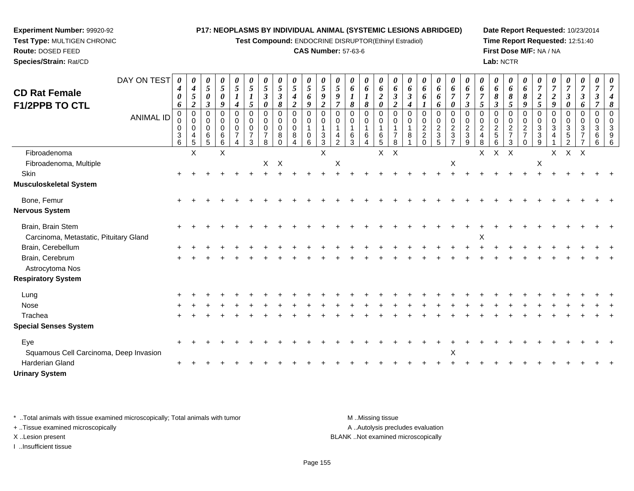**Test Compound:** ENDOCRINE DISRUPTOR(Ethinyl Estradiol)

#### **CAS Number:** 57-63-6

**Date Report Requested:** 10/23/2014**Time Report Requested:** 12:51:40**First Dose M/F:** NA / NA**Lab:** NCTR

| <b>CD Rat Female</b><br><b>F1/2PPB TO CTL</b><br>Fibroadenoma | DAY ON TEST<br><b>ANIMAL ID</b> | 0<br>4<br>0<br>6<br>0<br>0<br>0<br>3<br>6 | 0<br>$\boldsymbol{4}$<br>5<br>$\boldsymbol{2}$<br>$\pmb{0}$<br>0<br>$\mathbf 0$<br>4<br>$\sqrt{5}$<br>$\times$ | 0<br>$\sqrt{5}$<br>$\boldsymbol{\theta}$<br>$\mathfrak{Z}$<br>$\mathbf 0$<br>0<br>0<br>6<br>5 | 0<br>5<br>0<br>9<br>$\Omega$<br>0<br>$\Omega$<br>$\,6$<br>6<br>X | 0<br>5<br>$\boldsymbol{l}$<br>$\boldsymbol{4}$<br>$\mathbf 0$<br>$\mathbf 0$<br>$\mathbf 0$<br>$\overline{7}$<br>4 | 0<br>$\overline{5}$<br>$\boldsymbol{l}$<br>5<br>$\mathbf 0$<br>$\mathbf 0$<br>$\mathbf 0$<br>$\overline{7}$<br>3 | 0<br>$\mathfrak{s}$<br>3<br>0<br>$\mathbf 0$<br>0<br>$\mathbf 0$<br>$\overline{7}$<br>8 | 0<br>$\mathfrak{s}$<br>$\boldsymbol{\beta}$<br>8<br>$\Omega$<br>$\mathbf 0$<br>$\mathbf 0$<br>8 | 0<br>5<br>4<br>$\overline{a}$<br>$\mathbf 0$<br>0<br>$\Omega$<br>8 | 0<br>$\mathfrak{s}$<br>6<br>9<br>0<br>0<br>0<br>6 | 0<br>$\mathfrak{s}$<br>9<br>$\overline{2}$<br>$\mathbf 0$<br>$\mathbf 0$<br>$\mathbf 1$<br>$\sqrt{3}$<br>$\overline{3}$<br>$\times$ | 0<br>$\overline{5}$<br>$\boldsymbol{9}$<br>$\overline{\tau}$<br>$\Omega$<br>0<br>4<br>$\overline{2}$ | 0<br>6<br>8<br>$\Omega$<br>$\Omega$<br>6<br>3 | 0<br>6<br>8<br>$\Omega$<br>0<br>6 | 0<br>6<br>$\boldsymbol{2}$<br>0<br>0<br>0<br>1<br>6<br>5 | 0<br>6<br>$\boldsymbol{\beta}$<br>$\boldsymbol{2}$<br>$\mathbf 0$<br>0<br>$\overline{7}$<br>8<br>$X$ $X$ | 0<br>6<br>$\boldsymbol{\beta}$<br>4<br>$\Omega$<br>0<br>8 | 0<br>6<br>6<br>$\Omega$<br>$\mathbf 0$<br>$\overline{2}$<br>$\overline{c}$<br>$\Omega$ | 0<br>6<br>6<br>6<br>0<br>0<br>$\boldsymbol{2}$<br>$\sqrt{3}$<br>5 | $\boldsymbol{\theta}$<br>6<br>$\overline{7}$<br>$\boldsymbol{\theta}$<br>0<br>0<br>$\overline{c}$<br>$\mathbf{3}$<br>$\overline{7}$ | 0<br>6<br>$\overline{7}$<br>$\boldsymbol{\beta}$<br>0<br>0<br>$\overline{c}$<br>3<br>9 | 0<br>6<br>$\overline{7}$<br>5<br>$\mathbf 0$<br>$\pmb{0}$<br>$\overline{c}$<br>$\overline{4}$<br>8<br>X | 0<br>6<br>8<br>$\boldsymbol{\beta}$<br>$\Omega$<br>$\mathbf 0$<br>$\frac{2}{5}$<br>6<br>$X$ $X$ | 0<br>6<br>8<br>5<br>0<br>0<br>$\frac{2}{7}$<br>3 | $\boldsymbol{\theta}$<br>6<br>8<br>9<br>$\mathbf 0$<br>$\mathbf 0$<br>$\overline{2}$<br>$\overline{7}$<br>$\mathbf 0$ | 0<br>$\overline{7}$<br>$\boldsymbol{2}$<br>$5\overline{)}$<br>$\Omega$<br>0<br>3<br>3<br>9 | 0<br>$\overline{7}$<br>$\boldsymbol{2}$<br>9<br>$\mathbf 0$<br>3<br>X | 0<br>$\overline{7}$<br>3<br>0<br>0<br>0<br>3<br>5<br>$X$ $X$ | 0<br>$\overline{7}$<br>$\boldsymbol{\beta}$<br>6<br>0<br>3 | $\boldsymbol{\theta}$<br>$\overline{7}$<br>3<br>$\mathbf 0$<br>$\mathbf 0$<br>3<br>6<br>6 |  |
|---------------------------------------------------------------|---------------------------------|-------------------------------------------|----------------------------------------------------------------------------------------------------------------|-----------------------------------------------------------------------------------------------|------------------------------------------------------------------|--------------------------------------------------------------------------------------------------------------------|------------------------------------------------------------------------------------------------------------------|-----------------------------------------------------------------------------------------|-------------------------------------------------------------------------------------------------|--------------------------------------------------------------------|---------------------------------------------------|-------------------------------------------------------------------------------------------------------------------------------------|------------------------------------------------------------------------------------------------------|-----------------------------------------------|-----------------------------------|----------------------------------------------------------|----------------------------------------------------------------------------------------------------------|-----------------------------------------------------------|----------------------------------------------------------------------------------------|-------------------------------------------------------------------|-------------------------------------------------------------------------------------------------------------------------------------|----------------------------------------------------------------------------------------|---------------------------------------------------------------------------------------------------------|-------------------------------------------------------------------------------------------------|--------------------------------------------------|-----------------------------------------------------------------------------------------------------------------------|--------------------------------------------------------------------------------------------|-----------------------------------------------------------------------|--------------------------------------------------------------|------------------------------------------------------------|-------------------------------------------------------------------------------------------|--|
| Fibroadenoma, Multiple                                        |                                 |                                           |                                                                                                                |                                                                                               |                                                                  |                                                                                                                    |                                                                                                                  | X                                                                                       | $\boldsymbol{\mathsf{X}}$                                                                       |                                                                    |                                                   |                                                                                                                                     | X                                                                                                    |                                               |                                   |                                                          |                                                                                                          |                                                           |                                                                                        |                                                                   | X                                                                                                                                   |                                                                                        |                                                                                                         |                                                                                                 |                                                  |                                                                                                                       | X                                                                                          |                                                                       |                                                              |                                                            |                                                                                           |  |
| Skin                                                          |                                 |                                           |                                                                                                                |                                                                                               |                                                                  |                                                                                                                    |                                                                                                                  |                                                                                         |                                                                                                 |                                                                    |                                                   |                                                                                                                                     |                                                                                                      |                                               |                                   |                                                          |                                                                                                          |                                                           |                                                                                        |                                                                   |                                                                                                                                     |                                                                                        |                                                                                                         |                                                                                                 |                                                  |                                                                                                                       |                                                                                            |                                                                       |                                                              |                                                            |                                                                                           |  |
| <b>Musculoskeletal System</b>                                 |                                 |                                           |                                                                                                                |                                                                                               |                                                                  |                                                                                                                    |                                                                                                                  |                                                                                         |                                                                                                 |                                                                    |                                                   |                                                                                                                                     |                                                                                                      |                                               |                                   |                                                          |                                                                                                          |                                                           |                                                                                        |                                                                   |                                                                                                                                     |                                                                                        |                                                                                                         |                                                                                                 |                                                  |                                                                                                                       |                                                                                            |                                                                       |                                                              |                                                            |                                                                                           |  |
| Bone, Femur                                                   |                                 |                                           |                                                                                                                |                                                                                               |                                                                  |                                                                                                                    |                                                                                                                  |                                                                                         |                                                                                                 |                                                                    |                                                   |                                                                                                                                     |                                                                                                      |                                               |                                   |                                                          |                                                                                                          |                                                           |                                                                                        |                                                                   |                                                                                                                                     |                                                                                        |                                                                                                         |                                                                                                 |                                                  |                                                                                                                       |                                                                                            |                                                                       |                                                              |                                                            |                                                                                           |  |
| <b>Nervous System</b>                                         |                                 |                                           |                                                                                                                |                                                                                               |                                                                  |                                                                                                                    |                                                                                                                  |                                                                                         |                                                                                                 |                                                                    |                                                   |                                                                                                                                     |                                                                                                      |                                               |                                   |                                                          |                                                                                                          |                                                           |                                                                                        |                                                                   |                                                                                                                                     |                                                                                        |                                                                                                         |                                                                                                 |                                                  |                                                                                                                       |                                                                                            |                                                                       |                                                              |                                                            |                                                                                           |  |
| Brain, Brain Stem<br>Carcinoma, Metastatic, Pituitary Gland   |                                 |                                           |                                                                                                                |                                                                                               |                                                                  |                                                                                                                    |                                                                                                                  |                                                                                         |                                                                                                 |                                                                    |                                                   |                                                                                                                                     |                                                                                                      |                                               |                                   |                                                          |                                                                                                          |                                                           |                                                                                        |                                                                   |                                                                                                                                     |                                                                                        | X                                                                                                       |                                                                                                 |                                                  |                                                                                                                       |                                                                                            |                                                                       |                                                              |                                                            |                                                                                           |  |
| Brain, Cerebellum                                             |                                 |                                           |                                                                                                                |                                                                                               |                                                                  |                                                                                                                    |                                                                                                                  |                                                                                         |                                                                                                 |                                                                    |                                                   |                                                                                                                                     |                                                                                                      |                                               |                                   |                                                          |                                                                                                          |                                                           |                                                                                        |                                                                   |                                                                                                                                     |                                                                                        |                                                                                                         |                                                                                                 |                                                  |                                                                                                                       |                                                                                            |                                                                       |                                                              |                                                            |                                                                                           |  |
| Brain, Cerebrum<br>Astrocytoma Nos                            |                                 |                                           |                                                                                                                |                                                                                               |                                                                  |                                                                                                                    |                                                                                                                  |                                                                                         |                                                                                                 |                                                                    |                                                   |                                                                                                                                     |                                                                                                      |                                               |                                   |                                                          |                                                                                                          |                                                           |                                                                                        |                                                                   |                                                                                                                                     |                                                                                        |                                                                                                         |                                                                                                 |                                                  |                                                                                                                       |                                                                                            |                                                                       |                                                              |                                                            |                                                                                           |  |
| <b>Respiratory System</b>                                     |                                 |                                           |                                                                                                                |                                                                                               |                                                                  |                                                                                                                    |                                                                                                                  |                                                                                         |                                                                                                 |                                                                    |                                                   |                                                                                                                                     |                                                                                                      |                                               |                                   |                                                          |                                                                                                          |                                                           |                                                                                        |                                                                   |                                                                                                                                     |                                                                                        |                                                                                                         |                                                                                                 |                                                  |                                                                                                                       |                                                                                            |                                                                       |                                                              |                                                            |                                                                                           |  |
| Lung                                                          |                                 |                                           |                                                                                                                |                                                                                               |                                                                  |                                                                                                                    |                                                                                                                  |                                                                                         |                                                                                                 |                                                                    |                                                   |                                                                                                                                     |                                                                                                      |                                               |                                   |                                                          |                                                                                                          |                                                           |                                                                                        |                                                                   |                                                                                                                                     |                                                                                        |                                                                                                         |                                                                                                 |                                                  |                                                                                                                       |                                                                                            |                                                                       |                                                              |                                                            |                                                                                           |  |
| Nose                                                          |                                 |                                           |                                                                                                                |                                                                                               |                                                                  |                                                                                                                    |                                                                                                                  |                                                                                         |                                                                                                 |                                                                    |                                                   |                                                                                                                                     |                                                                                                      |                                               |                                   |                                                          |                                                                                                          |                                                           |                                                                                        |                                                                   |                                                                                                                                     |                                                                                        |                                                                                                         |                                                                                                 |                                                  |                                                                                                                       |                                                                                            |                                                                       |                                                              |                                                            |                                                                                           |  |
| Trachea                                                       |                                 |                                           |                                                                                                                |                                                                                               |                                                                  |                                                                                                                    |                                                                                                                  |                                                                                         |                                                                                                 |                                                                    |                                                   |                                                                                                                                     |                                                                                                      |                                               |                                   |                                                          |                                                                                                          |                                                           |                                                                                        |                                                                   |                                                                                                                                     |                                                                                        |                                                                                                         |                                                                                                 |                                                  |                                                                                                                       |                                                                                            |                                                                       |                                                              |                                                            |                                                                                           |  |
| <b>Special Senses System</b>                                  |                                 |                                           |                                                                                                                |                                                                                               |                                                                  |                                                                                                                    |                                                                                                                  |                                                                                         |                                                                                                 |                                                                    |                                                   |                                                                                                                                     |                                                                                                      |                                               |                                   |                                                          |                                                                                                          |                                                           |                                                                                        |                                                                   |                                                                                                                                     |                                                                                        |                                                                                                         |                                                                                                 |                                                  |                                                                                                                       |                                                                                            |                                                                       |                                                              |                                                            |                                                                                           |  |
| Eye<br>Squamous Cell Carcinoma, Deep Invasion                 |                                 |                                           |                                                                                                                |                                                                                               |                                                                  |                                                                                                                    |                                                                                                                  |                                                                                         |                                                                                                 |                                                                    |                                                   |                                                                                                                                     |                                                                                                      |                                               |                                   |                                                          |                                                                                                          |                                                           |                                                                                        |                                                                   | X                                                                                                                                   |                                                                                        |                                                                                                         |                                                                                                 |                                                  |                                                                                                                       |                                                                                            |                                                                       |                                                              |                                                            |                                                                                           |  |
| <b>Harderian Gland</b><br><b>Urinary System</b>               |                                 |                                           |                                                                                                                |                                                                                               |                                                                  |                                                                                                                    |                                                                                                                  |                                                                                         |                                                                                                 |                                                                    |                                                   |                                                                                                                                     |                                                                                                      |                                               |                                   |                                                          |                                                                                                          |                                                           |                                                                                        |                                                                   |                                                                                                                                     |                                                                                        |                                                                                                         |                                                                                                 |                                                  |                                                                                                                       |                                                                                            |                                                                       |                                                              |                                                            |                                                                                           |  |

\* ..Total animals with tissue examined microscopically; Total animals with tumor **M** . Missing tissue M ..Missing tissue + ..Tissue examined microscopically

**Experiment Number:** 99920-92**Test Type:** MULTIGEN CHRONIC

**Route:** DOSED FEED**Species/Strain:** Rat/CD

I ..Insufficient tissue

A ..Autolysis precludes evaluation X ..Lesion present BLANK ..Not examined microscopically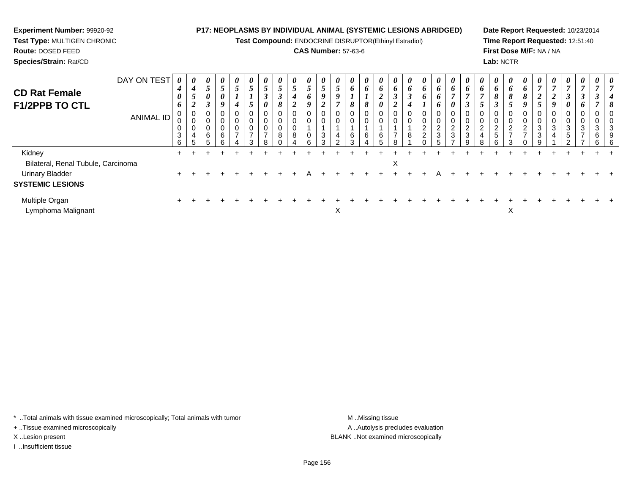**Test Compound:** ENDOCRINE DISRUPTOR(Ethinyl Estradiol)

#### **CAS Number:** 57-63-6

**Date Report Requested:** 10/23/2014**Time Report Requested:** 12:51:40**First Dose M/F:** NA / NA**Lab:** NCTR

| <b>CD Rat Female</b><br><b>F1/2PPB TO CTL</b> | DAY ON TEST<br>ANIMAL ID | 0<br>4<br>0<br>6<br>0<br>U<br>0<br>$\mathbf{3}$ | $\boldsymbol{\mathit{U}}$<br>4<br>$\mathcal{L}$<br>2<br>U<br>0<br>4 | $\boldsymbol{\theta}$<br>$\overline{ }$<br>J<br>0<br>$\rightarrow$<br>6 | $\boldsymbol{\theta}$<br>$\mathfrak{s}$<br>$\boldsymbol{\theta}$<br>9<br>0<br>0<br>0<br>6<br>$\sim$ | $\boldsymbol{\theta}$<br>Э<br>4<br>0<br>0<br>- | $\boldsymbol{\theta}$<br>$\mathfrak{I}$<br>$\mathbf{I}$<br>$\overline{5}$<br>0<br>0<br>0<br>$\overline{ }$<br>ົ | $\boldsymbol{\mathit{U}}$<br>5<br>$\boldsymbol{\beta}$<br>$\boldsymbol{\theta}$<br>$\pmb{0}$<br>$\pmb{0}$<br>$\overline{7}$<br>ີ | 0<br>$\overline{ }$<br>$\mathcal{L}$<br>$\rightarrow$<br>$\mathbf{J}$<br>8<br>0<br>0<br>8 | $\boldsymbol{\theta}$<br>$\mathfrak{I}$<br>$\boldsymbol{4}$<br>$\boldsymbol{2}$<br>0<br>U<br>8 | $\boldsymbol{\theta}$<br>5<br>6<br>9<br>0<br>0<br>$\pmb{0}$ | $\boldsymbol{\mathit{U}}$<br>C<br>9<br>2<br>0<br>$\sqrt{3}$<br>$\sim$ | $\boldsymbol{\theta}$<br>$5\overline{)}$<br>9<br>0<br>4 | $\boldsymbol{\theta}$<br>6<br>8<br>0<br>0<br>6<br>$\sim$ | $\boldsymbol{\theta}$<br>$\bm{o}$<br>8<br>6 | $\boldsymbol{\theta}$<br>o<br>◢<br>0<br>6 | 6<br>J<br>$\overline{2}$<br>0<br>$\overline{7}$ | $\boldsymbol{\theta}$<br>6<br>3<br>$\boldsymbol{4}$<br>0<br>0<br>8 | $\boldsymbol{\theta}$<br>6<br>6<br>T<br>0<br>0<br>$\frac{2}{2}$<br>⌒ | $\boldsymbol{\theta}$<br>6<br>6<br>6<br>0<br>$\pmb{0}$<br>$\frac{2}{3}$ | $\boldsymbol{\theta}$<br>6<br>$\overline{ }$<br>0<br>$\sim$<br>$\epsilon$<br>3 | $\boldsymbol{\theta}$<br>o<br>3<br>$\sim$<br>$\epsilon$<br>3 | $\boldsymbol{\theta}$<br>6<br>0<br>$\Omega$<br>$\epsilon$<br>4 | $\theta$<br>6<br>8<br>3<br>0<br>0<br>$\overline{2}$<br>5 | $\boldsymbol{\theta}$<br>$\bm{o}$<br>8<br>5<br>0<br>0<br>$\overline{2}$<br>$\overline{ }$ | $\boldsymbol{\theta}$<br>6<br>8<br>9<br>0<br>0<br>2<br>$\overline{ }$ | $\boldsymbol{\mathit{U}}$<br>$\boldsymbol{2}$<br>5<br>3<br>3 | $\boldsymbol{\theta}$<br>$\overline{ }$<br>$\boldsymbol{2}$<br>9<br>0<br>3 | $\boldsymbol{\theta}$<br>$\overline{7}$<br>$\boldsymbol{\beta}$<br>0<br>0<br>$\mathbf{3}$<br>$\sqrt{5}$ | $\boldsymbol{\theta}$<br>$\overline{ }$<br>$\boldsymbol{\beta}$<br>6<br>$\mathbf{0}$<br>0<br>3<br>$\overline{ }$ | 0<br>0<br>3<br>6 | $\boldsymbol{\theta}$<br>0<br>್ |
|-----------------------------------------------|--------------------------|-------------------------------------------------|---------------------------------------------------------------------|-------------------------------------------------------------------------|-----------------------------------------------------------------------------------------------------|------------------------------------------------|-----------------------------------------------------------------------------------------------------------------|----------------------------------------------------------------------------------------------------------------------------------|-------------------------------------------------------------------------------------------|------------------------------------------------------------------------------------------------|-------------------------------------------------------------|-----------------------------------------------------------------------|---------------------------------------------------------|----------------------------------------------------------|---------------------------------------------|-------------------------------------------|-------------------------------------------------|--------------------------------------------------------------------|----------------------------------------------------------------------|-------------------------------------------------------------------------|--------------------------------------------------------------------------------|--------------------------------------------------------------|----------------------------------------------------------------|----------------------------------------------------------|-------------------------------------------------------------------------------------------|-----------------------------------------------------------------------|--------------------------------------------------------------|----------------------------------------------------------------------------|---------------------------------------------------------------------------------------------------------|------------------------------------------------------------------------------------------------------------------|------------------|---------------------------------|
| Kidney                                        |                          | 6                                               | 5                                                                   |                                                                         |                                                                                                     |                                                |                                                                                                                 |                                                                                                                                  |                                                                                           |                                                                                                | 6                                                           |                                                                       |                                                         |                                                          |                                             |                                           |                                                 |                                                                    |                                                                      |                                                                         |                                                                                |                                                              | R                                                              | 6                                                        | 3                                                                                         |                                                                       |                                                              |                                                                            |                                                                                                         |                                                                                                                  | 6                | -6                              |
| Bilateral, Renal Tubule, Carcinoma            |                          |                                                 |                                                                     |                                                                         |                                                                                                     |                                                |                                                                                                                 |                                                                                                                                  |                                                                                           |                                                                                                |                                                             |                                                                       |                                                         |                                                          |                                             |                                           | Χ                                               |                                                                    |                                                                      |                                                                         |                                                                                |                                                              |                                                                |                                                          |                                                                                           |                                                                       |                                                              |                                                                            |                                                                                                         |                                                                                                                  |                  |                                 |
| <b>Urinary Bladder</b>                        |                          | ÷                                               |                                                                     |                                                                         |                                                                                                     |                                                |                                                                                                                 |                                                                                                                                  |                                                                                           |                                                                                                |                                                             |                                                                       |                                                         |                                                          |                                             |                                           |                                                 |                                                                    |                                                                      |                                                                         |                                                                                |                                                              |                                                                |                                                          |                                                                                           |                                                                       |                                                              |                                                                            |                                                                                                         |                                                                                                                  |                  |                                 |
| <b>SYSTEMIC LESIONS</b>                       |                          |                                                 |                                                                     |                                                                         |                                                                                                     |                                                |                                                                                                                 |                                                                                                                                  |                                                                                           |                                                                                                |                                                             |                                                                       |                                                         |                                                          |                                             |                                           |                                                 |                                                                    |                                                                      |                                                                         |                                                                                |                                                              |                                                                |                                                          |                                                                                           |                                                                       |                                                              |                                                                            |                                                                                                         |                                                                                                                  |                  |                                 |
| Multiple Organ<br>Lymphoma Malignant          |                          |                                                 |                                                                     |                                                                         |                                                                                                     |                                                |                                                                                                                 |                                                                                                                                  |                                                                                           |                                                                                                |                                                             |                                                                       | Χ                                                       |                                                          |                                             |                                           |                                                 |                                                                    |                                                                      |                                                                         |                                                                                |                                                              |                                                                |                                                          | X                                                                                         |                                                                       |                                                              |                                                                            |                                                                                                         |                                                                                                                  |                  |                                 |

\* ..Total animals with tissue examined microscopically; Total animals with tumor **M** . Missing tissue M ..Missing tissue

+ ..Tissue examined microscopically

**Experiment Number:** 99920-92**Test Type:** MULTIGEN CHRONIC

**Route:** DOSED FEED**Species/Strain:** Rat/CD

I ..Insufficient tissue

A ..Autolysis precludes evaluation X ..Lesion present BLANK ..Not examined microscopically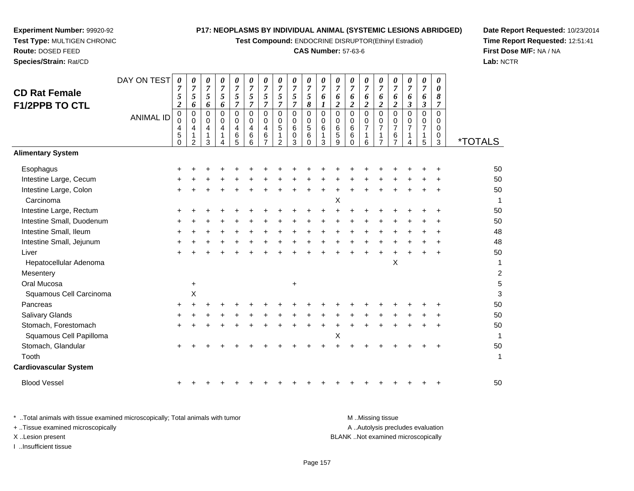**Test Compound:** ENDOCRINE DISRUPTOR(Ethinyl Estradiol)

#### **CAS Number:** 57-63-6

**Date Report Requested:** 10/23/2014**Time Report Requested:** 12:51:41**First Dose M/F:** NA / NA**Lab:** NCTR

| <b>CD Rat Female</b>                | DAY ON TEST      | 0<br>$\overline{7}$<br>5                                 | 0<br>$\overline{7}$<br>5                | 0<br>$\overline{7}$<br>5                        | 0<br>$\boldsymbol{7}$<br>5                 | 0<br>$\overline{7}$<br>5                                             | $\pmb{\theta}$<br>$\overline{7}$<br>5                       | 0<br>$\overline{7}$<br>5                                                        | 0<br>$\boldsymbol{7}$<br>5                                                     | 0<br>$\overline{7}$<br>5                          | 0<br>$\overline{7}$<br>$\mathfrak{s}$              | 0<br>$\overline{7}$<br>6                                  | 0<br>$\overline{7}$<br>6                              | 0<br>$\overline{7}$<br>6                                 | 0<br>$\overline{7}$<br>6                                        | 0<br>$\overline{7}$<br>6                                                 | 0<br>$\overline{7}$<br>6                                                 | 0<br>$\overline{7}$<br>6                                                  | 0<br>$\overline{7}$<br>6                                          | 0<br>$\theta$<br>8                                                 |                       |
|-------------------------------------|------------------|----------------------------------------------------------|-----------------------------------------|-------------------------------------------------|--------------------------------------------|----------------------------------------------------------------------|-------------------------------------------------------------|---------------------------------------------------------------------------------|--------------------------------------------------------------------------------|---------------------------------------------------|----------------------------------------------------|-----------------------------------------------------------|-------------------------------------------------------|----------------------------------------------------------|-----------------------------------------------------------------|--------------------------------------------------------------------------|--------------------------------------------------------------------------|---------------------------------------------------------------------------|-------------------------------------------------------------------|--------------------------------------------------------------------|-----------------------|
| <b>F1/2PPB TO CTL</b>               | <b>ANIMAL ID</b> | $\overline{2}$<br>0<br>$\mathbf 0$<br>4<br>5<br>$\Omega$ | 6<br>0<br>0<br>4<br>1<br>$\overline{2}$ | 6<br>$\mathbf 0$<br>0<br>4<br>$\mathbf{1}$<br>3 | 6<br>$\mathbf 0$<br>0<br>4<br>$\mathbf{1}$ | $\overline{7}$<br>$\mathbf 0$<br>0<br>$\overline{4}$<br>$\,6\,$<br>5 | $\overline{7}$<br>$\Omega$<br>0<br>$\overline{4}$<br>6<br>6 | $\overline{7}$<br>$\Omega$<br>$\Omega$<br>$\overline{4}$<br>6<br>$\overline{7}$ | $\overline{7}$<br>$\pmb{0}$<br>$\mathbf 0$<br>$\mathbf 5$<br>$\mathbf{1}$<br>2 | $\overline{7}$<br>$\mathbf 0$<br>0<br>6<br>0<br>3 | 8<br>0<br>0<br>$\overline{5}$<br>$\,6$<br>$\Omega$ | 1<br>$\mathbf 0$<br>$\mathbf 0$<br>6<br>$\mathbf{1}$<br>3 | $\overline{2}$<br>$\Omega$<br>$\Omega$<br>6<br>5<br>9 | $\overline{2}$<br>$\mathbf 0$<br>0<br>6<br>6<br>$\Omega$ | $\overline{2}$<br>0<br>0<br>$\overline{7}$<br>$\mathbf{1}$<br>6 | $\overline{2}$<br>$\Omega$<br>0<br>$\overline{7}$<br>1<br>$\overline{7}$ | $\overline{2}$<br>$\Omega$<br>0<br>$\overline{7}$<br>6<br>$\overline{7}$ | $\mathfrak{z}$<br>$\mathbf 0$<br>0<br>$\overline{7}$<br>$\mathbf{1}$<br>4 | $\boldsymbol{\beta}$<br>$\Omega$<br>0<br>$\overline{7}$<br>1<br>5 | $\overline{7}$<br>$\Omega$<br>$\mathbf 0$<br>0<br>$\mathbf 0$<br>3 | <i><b>*TOTALS</b></i> |
| <b>Alimentary System</b>            |                  |                                                          |                                         |                                                 |                                            |                                                                      |                                                             |                                                                                 |                                                                                |                                                   |                                                    |                                                           |                                                       |                                                          |                                                                 |                                                                          |                                                                          |                                                                           |                                                                   |                                                                    |                       |
| Esophagus                           |                  |                                                          |                                         |                                                 |                                            |                                                                      |                                                             |                                                                                 |                                                                                |                                                   |                                                    |                                                           |                                                       |                                                          |                                                                 |                                                                          |                                                                          |                                                                           |                                                                   |                                                                    | 50                    |
| Intestine Large, Cecum              |                  |                                                          |                                         |                                                 |                                            |                                                                      |                                                             |                                                                                 |                                                                                |                                                   |                                                    |                                                           |                                                       |                                                          |                                                                 |                                                                          |                                                                          |                                                                           |                                                                   |                                                                    | 50<br>50              |
| Intestine Large, Colon<br>Carcinoma |                  |                                                          |                                         |                                                 |                                            |                                                                      |                                                             |                                                                                 |                                                                                |                                                   |                                                    |                                                           | х                                                     |                                                          |                                                                 |                                                                          |                                                                          |                                                                           |                                                                   |                                                                    |                       |
| Intestine Large, Rectum             |                  |                                                          |                                         |                                                 |                                            |                                                                      |                                                             |                                                                                 |                                                                                |                                                   |                                                    |                                                           |                                                       |                                                          |                                                                 |                                                                          |                                                                          |                                                                           |                                                                   |                                                                    | 50                    |
| Intestine Small, Duodenum           |                  |                                                          |                                         |                                                 |                                            |                                                                      |                                                             |                                                                                 |                                                                                |                                                   |                                                    |                                                           |                                                       |                                                          |                                                                 |                                                                          |                                                                          |                                                                           |                                                                   |                                                                    | 50                    |
| Intestine Small, Ileum              |                  |                                                          |                                         |                                                 |                                            |                                                                      |                                                             |                                                                                 |                                                                                |                                                   |                                                    |                                                           |                                                       |                                                          |                                                                 |                                                                          |                                                                          |                                                                           |                                                                   |                                                                    | 48                    |
| Intestine Small, Jejunum            |                  |                                                          |                                         |                                                 |                                            |                                                                      |                                                             |                                                                                 |                                                                                |                                                   |                                                    |                                                           |                                                       |                                                          |                                                                 |                                                                          |                                                                          |                                                                           |                                                                   |                                                                    | 48                    |
| Liver                               |                  |                                                          |                                         |                                                 |                                            |                                                                      |                                                             |                                                                                 |                                                                                |                                                   |                                                    |                                                           |                                                       |                                                          |                                                                 |                                                                          |                                                                          |                                                                           |                                                                   |                                                                    | 50                    |
| Hepatocellular Adenoma<br>Mesentery |                  |                                                          |                                         |                                                 |                                            |                                                                      |                                                             |                                                                                 |                                                                                |                                                   |                                                    |                                                           |                                                       |                                                          |                                                                 |                                                                          | $\boldsymbol{\mathsf{X}}$                                                |                                                                           |                                                                   |                                                                    | 1<br>$\overline{c}$   |
| Oral Mucosa                         |                  |                                                          | $\ddot{}$                               |                                                 |                                            |                                                                      |                                                             |                                                                                 |                                                                                | $\pm$                                             |                                                    |                                                           |                                                       |                                                          |                                                                 |                                                                          |                                                                          |                                                                           |                                                                   |                                                                    | 5                     |
| Squamous Cell Carcinoma             |                  |                                                          | X                                       |                                                 |                                            |                                                                      |                                                             |                                                                                 |                                                                                |                                                   |                                                    |                                                           |                                                       |                                                          |                                                                 |                                                                          |                                                                          |                                                                           |                                                                   |                                                                    | 3                     |
| Pancreas                            |                  |                                                          |                                         |                                                 |                                            |                                                                      |                                                             |                                                                                 |                                                                                |                                                   |                                                    |                                                           |                                                       |                                                          |                                                                 |                                                                          |                                                                          |                                                                           |                                                                   |                                                                    | 50                    |
| Salivary Glands                     |                  |                                                          |                                         |                                                 |                                            |                                                                      |                                                             |                                                                                 |                                                                                |                                                   |                                                    |                                                           |                                                       |                                                          |                                                                 |                                                                          |                                                                          |                                                                           |                                                                   |                                                                    | 50                    |
| Stomach, Forestomach                |                  |                                                          |                                         |                                                 |                                            |                                                                      |                                                             |                                                                                 |                                                                                |                                                   |                                                    |                                                           |                                                       |                                                          |                                                                 |                                                                          |                                                                          |                                                                           |                                                                   |                                                                    | 50                    |
| Squamous Cell Papilloma             |                  |                                                          |                                         |                                                 |                                            |                                                                      |                                                             |                                                                                 |                                                                                |                                                   |                                                    |                                                           | Χ                                                     |                                                          |                                                                 |                                                                          |                                                                          |                                                                           |                                                                   |                                                                    |                       |
| Stomach, Glandular                  |                  |                                                          |                                         |                                                 |                                            |                                                                      |                                                             |                                                                                 |                                                                                |                                                   |                                                    |                                                           |                                                       |                                                          |                                                                 |                                                                          |                                                                          |                                                                           |                                                                   |                                                                    | 50                    |
| Tooth                               |                  |                                                          |                                         |                                                 |                                            |                                                                      |                                                             |                                                                                 |                                                                                |                                                   |                                                    |                                                           |                                                       |                                                          |                                                                 |                                                                          |                                                                          |                                                                           |                                                                   |                                                                    | 1                     |
|                                     |                  |                                                          |                                         |                                                 |                                            |                                                                      |                                                             |                                                                                 |                                                                                |                                                   |                                                    |                                                           |                                                       |                                                          |                                                                 |                                                                          |                                                                          |                                                                           |                                                                   |                                                                    |                       |

**Cardiovascular System**

**Experiment Number:** 99920-92**Test Type:** MULTIGEN CHRONIC

**Route:** DOSED FEED**Species/Strain:** Rat/CD

Blood Vessel<sup>+</sup>

\* ..Total animals with tissue examined microscopically; Total animals with tumor **M** ...Missing tissue M ...Missing tissue A .. Autolysis precludes evaluation + ..Tissue examined microscopically X ..Lesion present BLANK ..Not examined microscopicallyI ..Insufficient tissue

<sup>+</sup> <sup>+</sup> <sup>+</sup> <sup>+</sup> <sup>+</sup> <sup>+</sup> <sup>+</sup> <sup>+</sup> <sup>+</sup> <sup>+</sup> <sup>+</sup> <sup>+</sup> <sup>+</sup> <sup>+</sup> <sup>+</sup> <sup>+</sup> <sup>+</sup> <sup>+</sup> <sup>50</sup>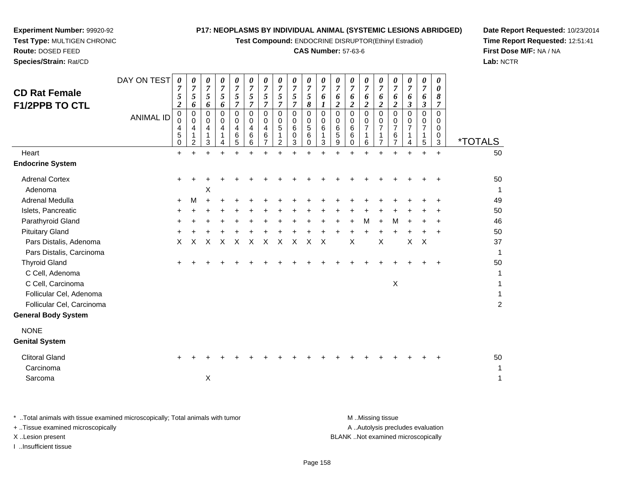**Test Compound:** ENDOCRINE DISRUPTOR(Ethinyl Estradiol)

#### **CAS Number:** 57-63-6

**Date Report Requested:** 10/23/2014**Time Report Requested:** 12:51:41**First Dose M/F:** NA / NA**Lab:** NCTR

| <b>CD Rat Female</b><br><b>F1/2PPB TO CTL</b><br>Heart<br><b>Endocrine System</b>                                                                | DAY ON TEST<br><b>ANIMAL ID</b> | $\boldsymbol{\theta}$<br>7<br>5<br>$\boldsymbol{2}$<br>$\mathbf 0$<br>$\mathbf 0$<br>4<br>5<br>$\Omega$<br>$\ddot{}$ | 0<br>$\overline{7}$<br>5<br>6<br>0<br>$\Omega$<br>4<br>2 | 0<br>$\overline{7}$<br>5<br>6<br>0<br>$\mathbf 0$<br>4<br>1<br>3<br>$\ddot{}$ | 0<br>$\overline{7}$<br>5<br>6<br>0<br>0<br>4<br>$\ddot{}$ | 0<br>$\boldsymbol{7}$<br>5<br>$\overline{7}$<br>0<br>0<br>4<br>6<br>5<br>$\ddot{}$ | $\boldsymbol{\theta}$<br>$\overline{7}$<br>5<br>$\overline{7}$<br>$\mathbf 0$<br>$\mathbf 0$<br>4<br>6<br>6 | 0<br>$\overline{7}$<br>$5\overline{)}$<br>$\overline{7}$<br>$\Omega$<br>$\Omega$<br>4<br>6<br>$\overline{7}$<br>÷ | $\boldsymbol{\theta}$<br>$\overline{7}$<br>$\sqrt{5}$<br>$\overline{7}$<br>$\mathbf 0$<br>$\mathbf 0$<br>5<br>1<br>$\overline{2}$<br>$\ddot{}$ | 0<br>$\overline{7}$<br>5<br>$\boldsymbol{7}$<br>$\mathbf 0$<br>$\mathbf 0$<br>6<br>0<br>3<br>$\ddot{}$ | 0<br>$\overline{7}$<br>5<br>8<br>$\mathbf 0$<br>$\pmb{0}$<br>5<br>6<br>$\Omega$ | 0<br>$\overline{7}$<br>6<br>1<br>0<br>0<br>6<br>3 | 0<br>$\overline{7}$<br>6<br>$\overline{c}$<br>0<br>$\mathbf 0$<br>6<br>5<br>9<br>$\ddot{}$ | $\boldsymbol{\theta}$<br>$\overline{7}$<br>6<br>$\overline{c}$<br>$\mathbf 0$<br>$\mathbf 0$<br>6<br>6<br>$\Omega$ | 0<br>$\overline{7}$<br>6<br>$\overline{2}$<br>$\mathbf 0$<br>0<br>$\overline{7}$<br>6<br>$\ddot{}$ | 0<br>$\overline{7}$<br>6<br>$\overline{c}$<br>$\Omega$<br>$\mathbf 0$<br>$\overline{7}$<br>1<br>$\overline{7}$ | 0<br>$\overline{7}$<br>6<br>$\boldsymbol{2}$<br>$\Omega$<br>$\Omega$<br>$\overline{7}$<br>6<br>$\overline{7}$ | 0<br>$\overline{7}$<br>6<br>$\boldsymbol{\beta}$<br>0<br>0<br>$\overline{7}$<br>1<br>4<br>$\ddot{}$ | 0<br>$\overline{7}$<br>6<br>3<br>0<br>0<br>$\overline{7}$<br>1<br>5<br>$\ddot{}$ | 0<br>0<br>8<br>7<br>$\Omega$<br>0<br>0<br>0<br>3<br>$\ddot{}$ | <i><b>*TOTALS</b></i><br>50    |
|--------------------------------------------------------------------------------------------------------------------------------------------------|---------------------------------|----------------------------------------------------------------------------------------------------------------------|----------------------------------------------------------|-------------------------------------------------------------------------------|-----------------------------------------------------------|------------------------------------------------------------------------------------|-------------------------------------------------------------------------------------------------------------|-------------------------------------------------------------------------------------------------------------------|------------------------------------------------------------------------------------------------------------------------------------------------|--------------------------------------------------------------------------------------------------------|---------------------------------------------------------------------------------|---------------------------------------------------|--------------------------------------------------------------------------------------------|--------------------------------------------------------------------------------------------------------------------|----------------------------------------------------------------------------------------------------|----------------------------------------------------------------------------------------------------------------|---------------------------------------------------------------------------------------------------------------|-----------------------------------------------------------------------------------------------------|----------------------------------------------------------------------------------|---------------------------------------------------------------|--------------------------------|
| <b>Adrenal Cortex</b><br>Adenoma                                                                                                                 |                                 | +                                                                                                                    |                                                          | X                                                                             |                                                           |                                                                                    |                                                                                                             |                                                                                                                   |                                                                                                                                                |                                                                                                        |                                                                                 |                                                   |                                                                                            |                                                                                                                    |                                                                                                    |                                                                                                                |                                                                                                               |                                                                                                     |                                                                                  |                                                               | 50<br>1                        |
| Adrenal Medulla<br>Islets, Pancreatic<br>Parathyroid Gland<br><b>Pituitary Gland</b><br>Pars Distalis, Adenoma                                   |                                 | $\pm$<br>$\times$                                                                                                    | M<br>X                                                   | X                                                                             | X                                                         | X                                                                                  | X                                                                                                           | X                                                                                                                 | X                                                                                                                                              | $\times$                                                                                               | X                                                                               | $\times$                                          |                                                                                            | X                                                                                                                  | M                                                                                                  | X                                                                                                              | M                                                                                                             | X                                                                                                   | $\times$                                                                         | $\ddot{}$                                                     | 49<br>50<br>46<br>50<br>37     |
| Pars Distalis, Carcinoma<br><b>Thyroid Gland</b><br>C Cell, Adenoma<br>C Cell, Carcinoma<br>Follicular Cel, Adenoma<br>Follicular Cel, Carcinoma |                                 |                                                                                                                      |                                                          |                                                                               |                                                           |                                                                                    |                                                                                                             |                                                                                                                   |                                                                                                                                                |                                                                                                        |                                                                                 |                                                   |                                                                                            |                                                                                                                    |                                                                                                    |                                                                                                                | $\mathsf X$                                                                                                   |                                                                                                     |                                                                                  | $\ddot{}$                                                     | 1<br>50<br>1<br>$\overline{c}$ |
| General Body System<br><b>NONE</b><br><b>Genital System</b>                                                                                      |                                 |                                                                                                                      |                                                          |                                                                               |                                                           |                                                                                    |                                                                                                             |                                                                                                                   |                                                                                                                                                |                                                                                                        |                                                                                 |                                                   |                                                                                            |                                                                                                                    |                                                                                                    |                                                                                                                |                                                                                                               |                                                                                                     |                                                                                  |                                                               |                                |
| <b>Clitoral Gland</b><br>Carcinoma<br>Sarcoma                                                                                                    |                                 |                                                                                                                      |                                                          | Χ                                                                             |                                                           |                                                                                    |                                                                                                             |                                                                                                                   |                                                                                                                                                |                                                                                                        |                                                                                 |                                                   |                                                                                            |                                                                                                                    |                                                                                                    |                                                                                                                |                                                                                                               |                                                                                                     |                                                                                  |                                                               | 50<br>1<br>1                   |

**Experiment Number:** 99920-92**Test Type:** MULTIGEN CHRONIC

**Route:** DOSED FEED**Species/Strain:** Rat/CD

\* ..Total animals with tissue examined microscopically; Total animals with tumor **M** . Missing tissue M ..Missing tissue A ..Autolysis precludes evaluation + ..Tissue examined microscopically X ..Lesion present BLANK ..Not examined microscopicallyI ..Insufficient tissue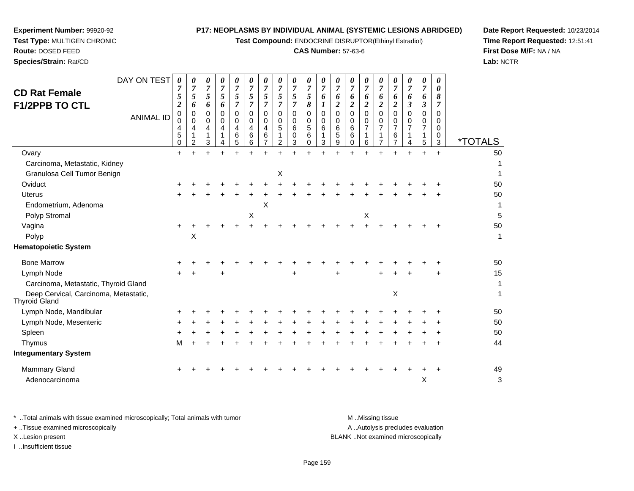**Test Compound:** ENDOCRINE DISRUPTOR(Ethinyl Estradiol)

#### **CAS Number:** 57-63-6

**Date Report Requested:** 10/23/2014**Time Report Requested:** 12:51:41**First Dose M/F:** NA / NA**Lab:** NCTR

| <b>CD Rat Female</b><br><b>F1/2PPB TO CTL</b>          | DAY ON TEST<br><b>ANIMAL ID</b> | $\boldsymbol{\theta}$<br>7<br>5<br>$\overline{\mathbf{2}}$<br>0<br>0<br>4<br>5<br>0 | 0<br>7<br>5<br>6<br>0<br>$\Omega$<br>4<br>$\overline{2}$ | 0<br>$\overline{7}$<br>5<br>6<br>0<br>0<br>4<br>3 | 0<br>7<br>5<br>6<br>0<br>0<br>4 | 0<br>$\overline{7}$<br>5<br>7<br>$\Omega$<br>0<br>4<br>6<br>5 | 0<br>7<br>5<br>7<br>$\Omega$<br>0<br>4<br>6<br>6 | 0<br>7<br>5<br>7<br>$\mathbf 0$<br>0<br>4<br>6<br>7 | 0<br>$\overline{7}$<br>5<br>$\overline{7}$<br>$\mathbf 0$<br>0<br>5<br>1<br>2 | 0<br>$\overline{7}$<br>5<br>$\overline{7}$<br>$\mathbf 0$<br>0<br>6<br>0<br>3 | 0<br>7<br>5<br>8<br>$\Omega$<br>0<br>$\sqrt{5}$<br>6<br>$\Omega$ | 0<br>7<br>6<br>$\mathbf 0$<br>0<br>6<br>3 | 0<br>7<br>6<br>2<br>$\Omega$<br>$\Omega$<br>6<br>5<br>9 | 0<br>$\overline{7}$<br>6<br>$\overline{\mathbf{2}}$<br>$\Omega$<br>$\Omega$<br>6<br>6<br>$\Omega$ | 0<br>$\overline{7}$<br>6<br>$\overline{2}$<br>$\mathbf 0$<br>0<br>$\overline{7}$<br>1<br>6 | 0<br>7<br>6<br>$\boldsymbol{2}$<br>$\Omega$<br>0<br>$\overline{7}$<br>$\overline{7}$ | 0<br>7<br>6<br>$\boldsymbol{2}$<br>$\mathbf 0$<br>0<br>$\overline{7}$<br>6<br>$\overline{7}$ | 0<br>7<br>6<br>3<br>$\Omega$<br>0<br>$\overline{7}$<br>4 | 0<br>7<br>6<br>3<br>0<br>0<br>$\overline{7}$<br>1<br>5 | 0<br>0<br>8<br>7<br>$\Omega$<br>0<br>0<br>0<br>3 | <i><b>*TOTALS</b></i> |
|--------------------------------------------------------|---------------------------------|-------------------------------------------------------------------------------------|----------------------------------------------------------|---------------------------------------------------|---------------------------------|---------------------------------------------------------------|--------------------------------------------------|-----------------------------------------------------|-------------------------------------------------------------------------------|-------------------------------------------------------------------------------|------------------------------------------------------------------|-------------------------------------------|---------------------------------------------------------|---------------------------------------------------------------------------------------------------|--------------------------------------------------------------------------------------------|--------------------------------------------------------------------------------------|----------------------------------------------------------------------------------------------|----------------------------------------------------------|--------------------------------------------------------|--------------------------------------------------|-----------------------|
| Ovary                                                  |                                 |                                                                                     |                                                          |                                                   |                                 |                                                               |                                                  |                                                     |                                                                               |                                                                               |                                                                  |                                           |                                                         |                                                                                                   |                                                                                            |                                                                                      |                                                                                              |                                                          |                                                        | $+$                                              | 50                    |
| Carcinoma, Metastatic, Kidney                          |                                 |                                                                                     |                                                          |                                                   |                                 |                                                               |                                                  |                                                     |                                                                               |                                                                               |                                                                  |                                           |                                                         |                                                                                                   |                                                                                            |                                                                                      |                                                                                              |                                                          |                                                        |                                                  | 1                     |
| Granulosa Cell Tumor Benign                            |                                 |                                                                                     |                                                          |                                                   |                                 |                                                               |                                                  |                                                     | X                                                                             |                                                                               |                                                                  |                                           |                                                         |                                                                                                   |                                                                                            |                                                                                      |                                                                                              |                                                          |                                                        |                                                  | 1                     |
| Oviduct                                                |                                 |                                                                                     |                                                          |                                                   |                                 |                                                               |                                                  |                                                     |                                                                               |                                                                               |                                                                  |                                           |                                                         |                                                                                                   |                                                                                            |                                                                                      |                                                                                              |                                                          |                                                        |                                                  | 50                    |
| <b>Uterus</b>                                          |                                 |                                                                                     |                                                          |                                                   |                                 |                                                               |                                                  |                                                     |                                                                               |                                                                               |                                                                  |                                           |                                                         |                                                                                                   |                                                                                            |                                                                                      |                                                                                              |                                                          |                                                        |                                                  | 50                    |
| Endometrium, Adenoma                                   |                                 |                                                                                     |                                                          |                                                   |                                 |                                                               |                                                  | X                                                   |                                                                               |                                                                               |                                                                  |                                           |                                                         |                                                                                                   |                                                                                            |                                                                                      |                                                                                              |                                                          |                                                        |                                                  | 1                     |
| Polyp Stromal                                          |                                 |                                                                                     |                                                          |                                                   |                                 |                                                               | $\boldsymbol{\mathsf{X}}$                        |                                                     |                                                                               |                                                                               |                                                                  |                                           |                                                         |                                                                                                   | X                                                                                          |                                                                                      |                                                                                              |                                                          |                                                        |                                                  | 5                     |
| Vagina                                                 |                                 |                                                                                     |                                                          |                                                   |                                 |                                                               |                                                  |                                                     |                                                                               |                                                                               |                                                                  |                                           |                                                         |                                                                                                   | $\ddot{}$                                                                                  |                                                                                      |                                                                                              |                                                          |                                                        | $\ddot{}$                                        | 50                    |
| Polyp                                                  |                                 |                                                                                     | Χ                                                        |                                                   |                                 |                                                               |                                                  |                                                     |                                                                               |                                                                               |                                                                  |                                           |                                                         |                                                                                                   |                                                                                            |                                                                                      |                                                                                              |                                                          |                                                        |                                                  | 1                     |
| <b>Hematopoietic System</b>                            |                                 |                                                                                     |                                                          |                                                   |                                 |                                                               |                                                  |                                                     |                                                                               |                                                                               |                                                                  |                                           |                                                         |                                                                                                   |                                                                                            |                                                                                      |                                                                                              |                                                          |                                                        |                                                  |                       |
| <b>Bone Marrow</b>                                     |                                 |                                                                                     |                                                          |                                                   |                                 |                                                               |                                                  |                                                     |                                                                               |                                                                               |                                                                  |                                           |                                                         |                                                                                                   |                                                                                            |                                                                                      |                                                                                              |                                                          |                                                        |                                                  | 50                    |
| Lymph Node                                             |                                 |                                                                                     |                                                          |                                                   |                                 |                                                               |                                                  |                                                     |                                                                               |                                                                               |                                                                  |                                           |                                                         |                                                                                                   |                                                                                            |                                                                                      |                                                                                              |                                                          |                                                        |                                                  | 15                    |
| Carcinoma, Metastatic, Thyroid Gland                   |                                 |                                                                                     |                                                          |                                                   |                                 |                                                               |                                                  |                                                     |                                                                               |                                                                               |                                                                  |                                           |                                                         |                                                                                                   |                                                                                            |                                                                                      |                                                                                              |                                                          |                                                        |                                                  | $\mathbf 1$           |
| Deep Cervical, Carcinoma, Metastatic,<br>Thyroid Gland |                                 |                                                                                     |                                                          |                                                   |                                 |                                                               |                                                  |                                                     |                                                                               |                                                                               |                                                                  |                                           |                                                         |                                                                                                   |                                                                                            |                                                                                      | Χ                                                                                            |                                                          |                                                        |                                                  | $\mathbf 1$           |
| Lymph Node, Mandibular                                 |                                 |                                                                                     |                                                          |                                                   |                                 |                                                               |                                                  |                                                     |                                                                               |                                                                               |                                                                  |                                           |                                                         |                                                                                                   |                                                                                            |                                                                                      |                                                                                              |                                                          |                                                        |                                                  | 50                    |
| Lymph Node, Mesenteric                                 |                                 |                                                                                     |                                                          |                                                   |                                 |                                                               |                                                  |                                                     |                                                                               |                                                                               |                                                                  |                                           |                                                         |                                                                                                   |                                                                                            |                                                                                      |                                                                                              |                                                          |                                                        |                                                  | 50                    |
| Spleen                                                 |                                 |                                                                                     |                                                          |                                                   |                                 |                                                               |                                                  |                                                     |                                                                               |                                                                               |                                                                  |                                           |                                                         |                                                                                                   |                                                                                            |                                                                                      |                                                                                              |                                                          |                                                        |                                                  | 50                    |
| Thymus                                                 |                                 | м                                                                                   |                                                          |                                                   |                                 |                                                               |                                                  |                                                     |                                                                               |                                                                               |                                                                  |                                           |                                                         |                                                                                                   |                                                                                            |                                                                                      |                                                                                              |                                                          |                                                        | ÷                                                | 44                    |
| <b>Integumentary System</b>                            |                                 |                                                                                     |                                                          |                                                   |                                 |                                                               |                                                  |                                                     |                                                                               |                                                                               |                                                                  |                                           |                                                         |                                                                                                   |                                                                                            |                                                                                      |                                                                                              |                                                          |                                                        |                                                  |                       |
| Mammary Gland                                          |                                 |                                                                                     |                                                          |                                                   |                                 |                                                               |                                                  |                                                     |                                                                               |                                                                               |                                                                  |                                           |                                                         |                                                                                                   |                                                                                            |                                                                                      |                                                                                              |                                                          |                                                        | +                                                | 49                    |
| Adenocarcinoma                                         |                                 |                                                                                     |                                                          |                                                   |                                 |                                                               |                                                  |                                                     |                                                                               |                                                                               |                                                                  |                                           |                                                         |                                                                                                   |                                                                                            |                                                                                      |                                                                                              |                                                          | $\boldsymbol{\mathsf{X}}$                              |                                                  | 3                     |
|                                                        |                                 |                                                                                     |                                                          |                                                   |                                 |                                                               |                                                  |                                                     |                                                                               |                                                                               |                                                                  |                                           |                                                         |                                                                                                   |                                                                                            |                                                                                      |                                                                                              |                                                          |                                                        |                                                  |                       |

**Experiment Number:** 99920-92**Test Type:** MULTIGEN CHRONIC

**Route:** DOSED FEED**Species/Strain:** Rat/CD

\* ..Total animals with tissue examined microscopically; Total animals with tumor **M** . Missing tissue M ..Missing tissue A ..Autolysis precludes evaluation + ..Tissue examined microscopically X ..Lesion present BLANK ..Not examined microscopicallyI ..Insufficient tissue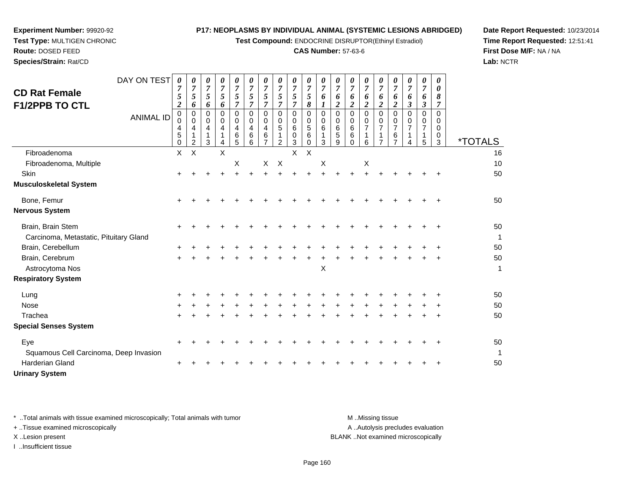**Test Compound:** ENDOCRINE DISRUPTOR(Ethinyl Estradiol)

#### **CAS Number:** 57-63-6

**Date Report Requested:** 10/23/2014**Time Report Requested:** 12:51:41**First Dose M/F:** NA / NA**Lab:** NCTR

| <b>CD Rat Female</b><br><b>F1/2PPB TO CTL</b>               | DAY ON TEST<br><b>ANIMAL ID</b> | 0<br>7<br>5<br>$\boldsymbol{2}$<br>0<br>$\Omega$<br>4<br>5<br>0 | 0<br>$\overline{7}$<br>5<br>6<br>0<br>0<br>4<br>1<br>$\overline{2}$ | 0<br>$\overline{7}$<br>5<br>6<br>$\Omega$<br>0<br>4<br>1<br>3 | 0<br>$\overline{7}$<br>5<br>6<br>$\Omega$<br>0<br>4<br>$\mathbf{1}$<br>4 | 0<br>$\overline{7}$<br>5<br>7<br>$\Omega$<br>0<br>4<br>$\,6\,$<br>5 | 0<br>7<br>5<br>7<br>$\Omega$<br>0<br>4<br>6<br>6 | 0<br>$\overline{7}$<br>5<br>7<br>$\Omega$<br>0<br>4<br>6 | 0<br>$\overline{7}$<br>5<br>7<br>$\Omega$<br>0<br>5<br>$\overline{2}$ | 0<br>7<br>5<br>7<br>$\mathbf 0$<br>0<br>6<br>0<br>3 | 0<br>7<br>5<br>8<br>$\Omega$<br>0<br>5<br>6<br>$\mathbf 0$ | 0<br>7<br>6<br>$\Omega$<br>0<br>6<br>3 | 0<br>$\overline{7}$<br>6<br>$\boldsymbol{2}$<br>$\Omega$<br>0<br>6<br>5<br>9 | 0<br>$\overline{7}$<br>6<br>$\overline{2}$<br>$\Omega$<br>0<br>6<br>6<br>$\Omega$ | 0<br>7<br>6<br>2<br>$\Omega$<br>0<br>1<br>6 | 0<br>7<br>6<br>2<br>$\Omega$<br>0 | 0<br>$\overline{7}$<br>6<br>$\boldsymbol{2}$<br>$\Omega$<br>0<br>$\overline{7}$<br>$\,6$<br>$\overline{7}$ | 0<br>$\overline{7}$<br>6<br>$\boldsymbol{\beta}$<br>$\Omega$<br>0<br>7<br>1<br>4 | $\boldsymbol{\theta}$<br>$\overline{7}$<br>6<br>3<br>$\Omega$<br>0<br>$\overline{7}$<br>-1<br>5 | 0<br>0<br>8<br>7<br>$\Omega$<br>0<br>$\Omega$<br>0<br>3 | <i><b>*TOTALS</b></i> |
|-------------------------------------------------------------|---------------------------------|-----------------------------------------------------------------|---------------------------------------------------------------------|---------------------------------------------------------------|--------------------------------------------------------------------------|---------------------------------------------------------------------|--------------------------------------------------|----------------------------------------------------------|-----------------------------------------------------------------------|-----------------------------------------------------|------------------------------------------------------------|----------------------------------------|------------------------------------------------------------------------------|-----------------------------------------------------------------------------------|---------------------------------------------|-----------------------------------|------------------------------------------------------------------------------------------------------------|----------------------------------------------------------------------------------|-------------------------------------------------------------------------------------------------|---------------------------------------------------------|-----------------------|
| Fibroadenoma                                                |                                 | X                                                               | $\times$                                                            |                                                               | $\times$                                                                 |                                                                     |                                                  |                                                          |                                                                       | X                                                   | $\times$                                                   |                                        |                                                                              |                                                                                   |                                             |                                   |                                                                                                            |                                                                                  |                                                                                                 |                                                         | 16                    |
| Fibroadenoma, Multiple                                      |                                 |                                                                 |                                                                     |                                                               |                                                                          | $\boldsymbol{\mathsf{X}}$                                           |                                                  | X                                                        | $\boldsymbol{\mathsf{X}}$                                             |                                                     |                                                            | $\boldsymbol{\mathsf{X}}$              |                                                                              |                                                                                   | Χ                                           |                                   |                                                                                                            |                                                                                  |                                                                                                 |                                                         | 10                    |
| Skin<br><b>Musculoskeletal System</b>                       |                                 | ÷                                                               |                                                                     |                                                               |                                                                          |                                                                     |                                                  |                                                          |                                                                       |                                                     |                                                            |                                        |                                                                              |                                                                                   | $\ddot{}$                                   |                                   |                                                                                                            |                                                                                  |                                                                                                 |                                                         | 50                    |
| Bone, Femur                                                 |                                 | $\ddot{}$                                                       |                                                                     |                                                               |                                                                          |                                                                     |                                                  |                                                          |                                                                       |                                                     |                                                            |                                        |                                                                              |                                                                                   |                                             |                                   |                                                                                                            |                                                                                  |                                                                                                 |                                                         | 50                    |
| <b>Nervous System</b>                                       |                                 |                                                                 |                                                                     |                                                               |                                                                          |                                                                     |                                                  |                                                          |                                                                       |                                                     |                                                            |                                        |                                                                              |                                                                                   |                                             |                                   |                                                                                                            |                                                                                  |                                                                                                 |                                                         |                       |
| Brain, Brain Stem<br>Carcinoma, Metastatic, Pituitary Gland |                                 | $\ddot{}$                                                       |                                                                     |                                                               |                                                                          |                                                                     |                                                  |                                                          |                                                                       |                                                     |                                                            |                                        |                                                                              |                                                                                   |                                             |                                   |                                                                                                            |                                                                                  |                                                                                                 |                                                         | 50<br>1               |
| Brain, Cerebellum                                           |                                 |                                                                 |                                                                     |                                                               |                                                                          |                                                                     |                                                  |                                                          |                                                                       |                                                     |                                                            |                                        |                                                                              |                                                                                   |                                             |                                   |                                                                                                            |                                                                                  |                                                                                                 |                                                         | 50                    |
| Brain, Cerebrum<br>Astrocytoma Nos                          |                                 |                                                                 |                                                                     |                                                               |                                                                          |                                                                     |                                                  |                                                          |                                                                       |                                                     |                                                            | Χ                                      |                                                                              |                                                                                   |                                             |                                   |                                                                                                            |                                                                                  |                                                                                                 |                                                         | 50<br>1               |
| <b>Respiratory System</b>                                   |                                 |                                                                 |                                                                     |                                                               |                                                                          |                                                                     |                                                  |                                                          |                                                                       |                                                     |                                                            |                                        |                                                                              |                                                                                   |                                             |                                   |                                                                                                            |                                                                                  |                                                                                                 |                                                         |                       |
| Lung                                                        |                                 |                                                                 |                                                                     |                                                               |                                                                          |                                                                     |                                                  |                                                          |                                                                       |                                                     |                                                            |                                        |                                                                              |                                                                                   |                                             |                                   |                                                                                                            |                                                                                  |                                                                                                 |                                                         | 50                    |
| Nose                                                        |                                 |                                                                 |                                                                     |                                                               |                                                                          |                                                                     |                                                  |                                                          |                                                                       |                                                     |                                                            |                                        |                                                                              |                                                                                   |                                             |                                   |                                                                                                            |                                                                                  |                                                                                                 |                                                         | 50                    |
| Trachea                                                     |                                 | +                                                               |                                                                     |                                                               |                                                                          |                                                                     |                                                  |                                                          |                                                                       |                                                     |                                                            |                                        |                                                                              |                                                                                   |                                             |                                   |                                                                                                            |                                                                                  |                                                                                                 |                                                         | 50                    |
| <b>Special Senses System</b>                                |                                 |                                                                 |                                                                     |                                                               |                                                                          |                                                                     |                                                  |                                                          |                                                                       |                                                     |                                                            |                                        |                                                                              |                                                                                   |                                             |                                   |                                                                                                            |                                                                                  |                                                                                                 |                                                         |                       |
| Eye<br>Squamous Cell Carcinoma, Deep Invasion               |                                 |                                                                 |                                                                     |                                                               |                                                                          |                                                                     |                                                  |                                                          |                                                                       |                                                     |                                                            |                                        |                                                                              |                                                                                   |                                             |                                   |                                                                                                            |                                                                                  |                                                                                                 |                                                         | 50<br>1               |
| <b>Harderian Gland</b>                                      |                                 |                                                                 |                                                                     |                                                               |                                                                          |                                                                     |                                                  |                                                          |                                                                       |                                                     |                                                            |                                        |                                                                              |                                                                                   |                                             |                                   |                                                                                                            |                                                                                  |                                                                                                 |                                                         | 50                    |
| <b>Urinary System</b>                                       |                                 |                                                                 |                                                                     |                                                               |                                                                          |                                                                     |                                                  |                                                          |                                                                       |                                                     |                                                            |                                        |                                                                              |                                                                                   |                                             |                                   |                                                                                                            |                                                                                  |                                                                                                 |                                                         |                       |

**Experiment Number:** 99920-92**Test Type:** MULTIGEN CHRONIC

**Route:** DOSED FEED**Species/Strain:** Rat/CD

\* ..Total animals with tissue examined microscopically; Total animals with tumor **M** . Missing tissue M ..Missing tissue A ..Autolysis precludes evaluation + ..Tissue examined microscopically X ..Lesion present BLANK ..Not examined microscopicallyI ..Insufficient tissue

Page 160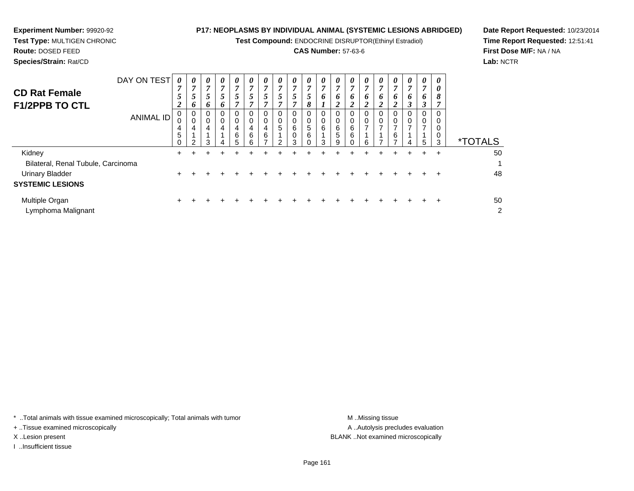**Test Compound:** ENDOCRINE DISRUPTOR(Ethinyl Estradiol)

### **CAS Number:** 57-63-6

**Date Report Requested:** 10/23/2014**Time Report Requested:** 12:51:41**First Dose M/F:** NA / NA**Lab:** NCTR

| <b>CD Rat Female</b><br><b>F1/2PPB TO CTL</b>     |                  | 7<br>5<br>C<br>∠        | 7<br>5<br>6                               | 7<br>5<br>6      | 7<br>5<br>6                                            | 7<br>5<br>7           | 7<br>$5\overline{)}$<br>7       | 5 <sup>5</sup> | 7<br>$5\overline{)}$<br>7  | 7<br>5<br>7                         | $\overline{7}$<br>5<br>8     | 7<br>6                     | 7<br>6           | 7<br>6           | 7<br>6                       | 7<br>6<br>2              | $\overline{7}$<br>6<br>$\overline{2}$ | 7<br>6<br>3 | 7<br>6<br>3 | $\boldsymbol{\theta}$<br>8<br>$\overline{ }$ |                       |
|---------------------------------------------------|------------------|-------------------------|-------------------------------------------|------------------|--------------------------------------------------------|-----------------------|---------------------------------|----------------|----------------------------|-------------------------------------|------------------------------|----------------------------|------------------|------------------|------------------------------|--------------------------|---------------------------------------|-------------|-------------|----------------------------------------------|-----------------------|
|                                                   | <b>ANIMAL ID</b> | υ<br>4<br>5<br>$\Omega$ | $\overline{0}$<br>0<br>4<br>$\mathcal{P}$ | 0<br>0<br>4<br>3 | $\boldsymbol{0}$<br>$\mathbf 0$<br>$\overline{4}$<br>4 | 0<br>0<br>4<br>6<br>5 | 0<br>$\mathbf 0$<br>4<br>6<br>6 | 0<br>4<br>6    | $\mathbf 0$<br>0<br>5<br>っ | 0<br>$\,0\,$<br>6<br>$\pmb{0}$<br>3 | 0<br>0<br>5<br>6<br>$\Omega$ | 0<br>$\mathbf 0$<br>6<br>3 | U<br>6<br>5<br>9 | 0<br>0<br>6<br>6 | 0<br>0<br>$\rightarrow$<br>6 | 0<br>0<br>$\overline{7}$ | 0<br>0<br>$\overline{ }$<br>6<br>⇁    | 0<br>0<br>4 | 5           | 0<br>0<br>0<br>0<br>3                        | <i><b>*TOTALS</b></i> |
| Kidney<br>Bilateral, Renal Tubule, Carcinoma      |                  | $+$                     | +                                         |                  |                                                        |                       |                                 |                |                            |                                     |                              |                            |                  |                  | ÷                            | ÷.                       | ÷                                     | $\pm$       | $+$         | $\ddot{}$                                    | 50                    |
| <b>Urinary Bladder</b><br><b>SYSTEMIC LESIONS</b> |                  |                         |                                           |                  |                                                        |                       |                                 |                |                            |                                     |                              |                            |                  |                  |                              |                          |                                       |             |             |                                              | 48                    |
| Multiple Organ<br>Lymphoma Malignant              |                  |                         |                                           |                  |                                                        |                       |                                 |                |                            |                                     |                              |                            |                  |                  |                              |                          |                                       |             | ÷.          | ÷                                            | 50<br>$\overline{2}$  |

\* ..Total animals with tissue examined microscopically; Total animals with tumor **M** ...Missing tissue M ...Missing tissue

+ ..Tissue examined microscopically

**Experiment Number:** 99920-92**Test Type:** MULTIGEN CHRONIC

I ..Insufficient tissue

A .. Autolysis precludes evaluation X ..Lesion present BLANK ..Not examined microscopically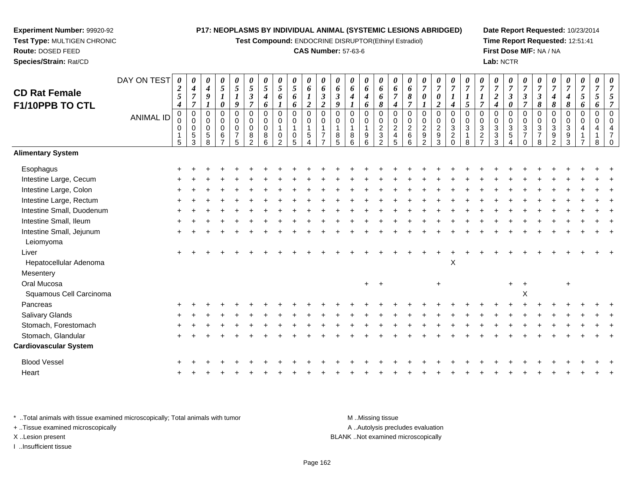**Test Compound:** ENDOCRINE DISRUPTOR(Ethinyl Estradiol)

#### **CAS Number:** 57-63-6

**Date Report Requested:** 10/23/2014**Time Report Requested:** 12:51:41**First Dose M/F:** NA / NA**Lab:** NCTR

| <b>CD Rat Female</b><br>F1/10PPB TO CTL | DAY ON TEST<br><b>ANIMAL ID</b> | 0<br>$\boldsymbol{2}$<br>$\mathfrak{s}$<br>$\boldsymbol{4}$<br>$\pmb{0}$<br>$\mathbf 0$<br>0<br>$\mathbf{1}$<br>5 | 0<br>$\boldsymbol{4}$<br>$\boldsymbol{7}$<br>$\boldsymbol{7}$<br>$\pmb{0}$<br>$\pmb{0}$<br>$\pmb{0}$<br>$\,$ 5 $\,$<br>3 | 0<br>$\boldsymbol{4}$<br>9<br>$\mathbf 0$<br>$\mathbf 0$<br>$\mathbf 0$<br>$\overline{5}$<br>8 | 0<br>5<br>$\boldsymbol{l}$<br>0<br>$\Omega$<br>0<br>0<br>$\,6\,$<br>$\overline{z}$ | $\pmb{\theta}$<br>5<br>$\boldsymbol{l}$<br>9<br>$\mathbf 0$<br>$\mathbf 0$<br>$\mathbf 0$<br>$\overline{7}$<br>5 | 0<br>$\overline{5}$<br>$\boldsymbol{\beta}$<br>$\overline{7}$<br>$\pmb{0}$<br>$\mathbf 0$<br>$\mathbf 0$<br>8<br>$\overline{2}$ | 0<br>5<br>4<br>6<br>0<br>$\mathbf 0$<br>$\mathbf 0$<br>8<br>6 | 0<br>5<br>6<br>0<br>$\mathbf 0$<br>0<br>$\mathcal{P}$ | 0<br>5<br>6<br>6<br>0<br>$\mathbf 0$<br>$\pmb{0}$<br>5 | $\boldsymbol{\theta}$<br>6<br>$\overline{2}$<br>$\pmb{0}$<br>$\mathbf 0$<br>$\mathbf{1}$<br>$\sqrt{5}$<br>$\Delta$ | $\pmb{\theta}$<br>6<br>$\boldsymbol{\beta}$<br>$\boldsymbol{2}$<br>$\mathbf 0$<br>0<br>$\mathbf{1}$<br>$\overline{7}$<br>$\overline{ }$ | 0<br>6<br>$\boldsymbol{\mathfrak{z}}$<br>9<br>$\mathbf 0$<br>$\Omega$<br>1<br>$\bf 8$<br>5 | 0<br>6<br>4<br>$\Omega$<br>0<br>8<br>6 | 0<br>6<br>$\boldsymbol{4}$<br>6<br>$\pmb{0}$<br>$\pmb{0}$<br>$\mathbf{1}$<br>$\boldsymbol{9}$<br>$6\phantom{a}$ | 0<br>6<br>6<br>8<br>$\mathbf 0$<br>$\pmb{0}$<br>$\boldsymbol{2}$<br>$\sqrt{3}$<br>$\overline{2}$ | 0<br>6<br>$\overline{7}$<br>$\boldsymbol{4}$<br>$\mathbf 0$<br>0<br>$\sqrt{2}$<br>$\overline{4}$<br>5 | 0<br>6<br>8<br>$\overline{7}$<br>$\mathbf 0$<br>$\mathbf 0$<br>$\overline{2}$<br>$\,6$<br>$6\phantom{1}$ | 0<br>$\overline{7}$<br>0<br>$\mathbf 0$<br>0<br>$\overline{c}$<br>$\boldsymbol{9}$<br>2 | 0<br>$\boldsymbol{7}$<br>$\pmb{\theta}$<br>$\overline{2}$<br>$\pmb{0}$<br>$\pmb{0}$<br>$\overline{a}$<br>$\frac{9}{3}$ | $\pmb{\theta}$<br>$\overline{7}$<br>$\boldsymbol{l}$<br>$\boldsymbol{4}$<br>$\pmb{0}$<br>$\pmb{0}$<br>$\sqrt{3}$<br>$\frac{2}{0}$ | 0<br>$\overline{7}$<br>$\boldsymbol{l}$<br>5<br>$\mathbf 0$<br>$\mathbf 0$<br>$\mathfrak{S}$<br>$\overline{1}$<br>8 | 0<br>$\overline{7}$<br>$\boldsymbol{l}$<br>$\overline{7}$<br>$\mathbf 0$<br>$\mathbf 0$<br>$\mathbf{3}$<br>$\boldsymbol{2}$<br>$\overline{z}$ | 0<br>$\overline{7}$<br>$\overline{c}$<br>$\boldsymbol{4}$<br>$\Omega$<br>0<br>3<br>$\mathbf{3}$<br>3 | 0<br>$\overline{7}$<br>$\boldsymbol{\beta}$<br>0<br>0<br>0<br>$\mathbf 3$<br>$\sqrt{5}$<br>4 | 0<br>$\overline{7}$<br>3<br>$\overline{7}$<br>$\mathbf 0$<br>$\pmb{0}$<br>$\ensuremath{\mathsf{3}}$<br>$\overline{7}$<br>$\mathbf 0$ | 0<br>$\overline{7}$<br>$\boldsymbol{\beta}$<br>8<br>$\mathbf 0$<br>$\mathbf 0$<br>$\sqrt{3}$<br>$\overline{7}$<br>$\,8\,$ | $\overline{7}$<br>$\boldsymbol{4}$<br>8<br>$\mathbf 0$<br>$\mathbf 0$<br>3<br>$\frac{9}{2}$ | 0<br>$\overline{7}$<br>4<br>8<br>0<br>0<br>3<br>9<br>3 | $\pmb{\theta}$<br>$\overline{7}$<br>5<br>6<br>$\mathbf 0$<br>$\mathbf 0$<br>$\overline{4}$ | 0<br>$\overline{7}$<br>$\mathfrak{s}$<br>6<br>$\mathbf 0$<br>$\mathbf 0$<br>4<br>8 | $\Omega$ |
|-----------------------------------------|---------------------------------|-------------------------------------------------------------------------------------------------------------------|--------------------------------------------------------------------------------------------------------------------------|------------------------------------------------------------------------------------------------|------------------------------------------------------------------------------------|------------------------------------------------------------------------------------------------------------------|---------------------------------------------------------------------------------------------------------------------------------|---------------------------------------------------------------|-------------------------------------------------------|--------------------------------------------------------|--------------------------------------------------------------------------------------------------------------------|-----------------------------------------------------------------------------------------------------------------------------------------|--------------------------------------------------------------------------------------------|----------------------------------------|-----------------------------------------------------------------------------------------------------------------|--------------------------------------------------------------------------------------------------|-------------------------------------------------------------------------------------------------------|----------------------------------------------------------------------------------------------------------|-----------------------------------------------------------------------------------------|------------------------------------------------------------------------------------------------------------------------|-----------------------------------------------------------------------------------------------------------------------------------|---------------------------------------------------------------------------------------------------------------------|-----------------------------------------------------------------------------------------------------------------------------------------------|------------------------------------------------------------------------------------------------------|----------------------------------------------------------------------------------------------|--------------------------------------------------------------------------------------------------------------------------------------|---------------------------------------------------------------------------------------------------------------------------|---------------------------------------------------------------------------------------------|--------------------------------------------------------|--------------------------------------------------------------------------------------------|------------------------------------------------------------------------------------|----------|
| <b>Alimentary System</b>                |                                 |                                                                                                                   |                                                                                                                          |                                                                                                |                                                                                    |                                                                                                                  |                                                                                                                                 |                                                               |                                                       |                                                        |                                                                                                                    |                                                                                                                                         |                                                                                            |                                        |                                                                                                                 |                                                                                                  |                                                                                                       |                                                                                                          |                                                                                         |                                                                                                                        |                                                                                                                                   |                                                                                                                     |                                                                                                                                               |                                                                                                      |                                                                                              |                                                                                                                                      |                                                                                                                           |                                                                                             |                                                        |                                                                                            |                                                                                    |          |
| Esophagus                               |                                 |                                                                                                                   |                                                                                                                          |                                                                                                |                                                                                    |                                                                                                                  |                                                                                                                                 |                                                               |                                                       |                                                        |                                                                                                                    |                                                                                                                                         |                                                                                            |                                        |                                                                                                                 |                                                                                                  |                                                                                                       |                                                                                                          |                                                                                         |                                                                                                                        |                                                                                                                                   |                                                                                                                     |                                                                                                                                               |                                                                                                      |                                                                                              |                                                                                                                                      |                                                                                                                           |                                                                                             |                                                        |                                                                                            |                                                                                    |          |
| Intestine Large, Cecum                  |                                 |                                                                                                                   |                                                                                                                          |                                                                                                |                                                                                    |                                                                                                                  |                                                                                                                                 |                                                               |                                                       |                                                        |                                                                                                                    |                                                                                                                                         |                                                                                            |                                        |                                                                                                                 |                                                                                                  |                                                                                                       |                                                                                                          |                                                                                         |                                                                                                                        |                                                                                                                                   |                                                                                                                     |                                                                                                                                               |                                                                                                      |                                                                                              |                                                                                                                                      |                                                                                                                           |                                                                                             |                                                        |                                                                                            |                                                                                    |          |
| Intestine Large, Colon                  |                                 |                                                                                                                   |                                                                                                                          |                                                                                                |                                                                                    |                                                                                                                  |                                                                                                                                 |                                                               |                                                       |                                                        |                                                                                                                    |                                                                                                                                         |                                                                                            |                                        |                                                                                                                 |                                                                                                  |                                                                                                       |                                                                                                          |                                                                                         |                                                                                                                        |                                                                                                                                   |                                                                                                                     |                                                                                                                                               |                                                                                                      |                                                                                              |                                                                                                                                      |                                                                                                                           |                                                                                             |                                                        |                                                                                            |                                                                                    |          |
| Intestine Large, Rectum                 |                                 |                                                                                                                   |                                                                                                                          |                                                                                                |                                                                                    |                                                                                                                  |                                                                                                                                 |                                                               |                                                       |                                                        |                                                                                                                    |                                                                                                                                         |                                                                                            |                                        |                                                                                                                 |                                                                                                  |                                                                                                       |                                                                                                          |                                                                                         |                                                                                                                        |                                                                                                                                   |                                                                                                                     |                                                                                                                                               |                                                                                                      |                                                                                              |                                                                                                                                      |                                                                                                                           |                                                                                             |                                                        |                                                                                            |                                                                                    |          |
| Intestine Small, Duodenum               |                                 |                                                                                                                   |                                                                                                                          |                                                                                                |                                                                                    |                                                                                                                  |                                                                                                                                 |                                                               |                                                       |                                                        |                                                                                                                    |                                                                                                                                         |                                                                                            |                                        |                                                                                                                 |                                                                                                  |                                                                                                       |                                                                                                          |                                                                                         |                                                                                                                        |                                                                                                                                   |                                                                                                                     |                                                                                                                                               |                                                                                                      |                                                                                              |                                                                                                                                      |                                                                                                                           |                                                                                             |                                                        |                                                                                            |                                                                                    |          |
| Intestine Small, Ileum                  |                                 |                                                                                                                   |                                                                                                                          |                                                                                                |                                                                                    |                                                                                                                  |                                                                                                                                 |                                                               |                                                       |                                                        |                                                                                                                    |                                                                                                                                         |                                                                                            |                                        |                                                                                                                 |                                                                                                  |                                                                                                       |                                                                                                          |                                                                                         |                                                                                                                        |                                                                                                                                   |                                                                                                                     |                                                                                                                                               |                                                                                                      |                                                                                              |                                                                                                                                      |                                                                                                                           |                                                                                             |                                                        |                                                                                            |                                                                                    |          |
| Intestine Small, Jejunum<br>Leiomyoma   |                                 |                                                                                                                   |                                                                                                                          |                                                                                                |                                                                                    |                                                                                                                  |                                                                                                                                 |                                                               |                                                       |                                                        |                                                                                                                    |                                                                                                                                         |                                                                                            |                                        |                                                                                                                 |                                                                                                  |                                                                                                       |                                                                                                          |                                                                                         |                                                                                                                        |                                                                                                                                   |                                                                                                                     |                                                                                                                                               |                                                                                                      |                                                                                              |                                                                                                                                      |                                                                                                                           |                                                                                             |                                                        |                                                                                            |                                                                                    |          |
| Liver                                   |                                 |                                                                                                                   |                                                                                                                          |                                                                                                |                                                                                    |                                                                                                                  |                                                                                                                                 |                                                               |                                                       |                                                        |                                                                                                                    |                                                                                                                                         |                                                                                            |                                        |                                                                                                                 |                                                                                                  |                                                                                                       |                                                                                                          |                                                                                         |                                                                                                                        |                                                                                                                                   |                                                                                                                     |                                                                                                                                               |                                                                                                      |                                                                                              |                                                                                                                                      |                                                                                                                           |                                                                                             |                                                        |                                                                                            |                                                                                    |          |
| Hepatocellular Adenoma                  |                                 |                                                                                                                   |                                                                                                                          |                                                                                                |                                                                                    |                                                                                                                  |                                                                                                                                 |                                                               |                                                       |                                                        |                                                                                                                    |                                                                                                                                         |                                                                                            |                                        |                                                                                                                 |                                                                                                  |                                                                                                       |                                                                                                          |                                                                                         |                                                                                                                        | $\mathsf X$                                                                                                                       |                                                                                                                     |                                                                                                                                               |                                                                                                      |                                                                                              |                                                                                                                                      |                                                                                                                           |                                                                                             |                                                        |                                                                                            |                                                                                    |          |
| Mesentery                               |                                 |                                                                                                                   |                                                                                                                          |                                                                                                |                                                                                    |                                                                                                                  |                                                                                                                                 |                                                               |                                                       |                                                        |                                                                                                                    |                                                                                                                                         |                                                                                            |                                        |                                                                                                                 |                                                                                                  |                                                                                                       |                                                                                                          |                                                                                         |                                                                                                                        |                                                                                                                                   |                                                                                                                     |                                                                                                                                               |                                                                                                      |                                                                                              |                                                                                                                                      |                                                                                                                           |                                                                                             |                                                        |                                                                                            |                                                                                    |          |
| Oral Mucosa                             |                                 |                                                                                                                   |                                                                                                                          |                                                                                                |                                                                                    |                                                                                                                  |                                                                                                                                 |                                                               |                                                       |                                                        |                                                                                                                    |                                                                                                                                         |                                                                                            |                                        | $+$                                                                                                             | $+$                                                                                              |                                                                                                       |                                                                                                          |                                                                                         | $+$                                                                                                                    |                                                                                                                                   |                                                                                                                     |                                                                                                                                               |                                                                                                      | $+$                                                                                          |                                                                                                                                      |                                                                                                                           |                                                                                             | $\ddot{}$                                              |                                                                                            |                                                                                    |          |
| Squamous Cell Carcinoma                 |                                 |                                                                                                                   |                                                                                                                          |                                                                                                |                                                                                    |                                                                                                                  |                                                                                                                                 |                                                               |                                                       |                                                        |                                                                                                                    |                                                                                                                                         |                                                                                            |                                        |                                                                                                                 |                                                                                                  |                                                                                                       |                                                                                                          |                                                                                         |                                                                                                                        |                                                                                                                                   |                                                                                                                     |                                                                                                                                               |                                                                                                      |                                                                                              | X                                                                                                                                    |                                                                                                                           |                                                                                             |                                                        |                                                                                            |                                                                                    |          |
| Pancreas                                |                                 |                                                                                                                   |                                                                                                                          |                                                                                                |                                                                                    |                                                                                                                  |                                                                                                                                 |                                                               |                                                       |                                                        |                                                                                                                    |                                                                                                                                         |                                                                                            |                                        |                                                                                                                 |                                                                                                  |                                                                                                       |                                                                                                          |                                                                                         |                                                                                                                        |                                                                                                                                   |                                                                                                                     |                                                                                                                                               |                                                                                                      |                                                                                              |                                                                                                                                      |                                                                                                                           |                                                                                             |                                                        |                                                                                            |                                                                                    |          |
| Salivary Glands                         |                                 |                                                                                                                   |                                                                                                                          |                                                                                                |                                                                                    |                                                                                                                  |                                                                                                                                 |                                                               |                                                       |                                                        |                                                                                                                    |                                                                                                                                         |                                                                                            |                                        |                                                                                                                 |                                                                                                  |                                                                                                       |                                                                                                          |                                                                                         |                                                                                                                        |                                                                                                                                   |                                                                                                                     |                                                                                                                                               |                                                                                                      |                                                                                              |                                                                                                                                      |                                                                                                                           |                                                                                             |                                                        |                                                                                            |                                                                                    |          |
| Stomach, Forestomach                    |                                 |                                                                                                                   |                                                                                                                          |                                                                                                |                                                                                    |                                                                                                                  |                                                                                                                                 |                                                               |                                                       |                                                        |                                                                                                                    |                                                                                                                                         |                                                                                            |                                        |                                                                                                                 |                                                                                                  |                                                                                                       |                                                                                                          |                                                                                         |                                                                                                                        |                                                                                                                                   |                                                                                                                     |                                                                                                                                               |                                                                                                      |                                                                                              |                                                                                                                                      |                                                                                                                           |                                                                                             |                                                        |                                                                                            |                                                                                    |          |
| Stomach, Glandular                      |                                 |                                                                                                                   |                                                                                                                          |                                                                                                |                                                                                    |                                                                                                                  |                                                                                                                                 |                                                               |                                                       |                                                        |                                                                                                                    |                                                                                                                                         |                                                                                            |                                        |                                                                                                                 |                                                                                                  |                                                                                                       |                                                                                                          |                                                                                         |                                                                                                                        |                                                                                                                                   |                                                                                                                     |                                                                                                                                               |                                                                                                      |                                                                                              |                                                                                                                                      |                                                                                                                           |                                                                                             |                                                        |                                                                                            |                                                                                    |          |
| <b>Cardiovascular System</b>            |                                 |                                                                                                                   |                                                                                                                          |                                                                                                |                                                                                    |                                                                                                                  |                                                                                                                                 |                                                               |                                                       |                                                        |                                                                                                                    |                                                                                                                                         |                                                                                            |                                        |                                                                                                                 |                                                                                                  |                                                                                                       |                                                                                                          |                                                                                         |                                                                                                                        |                                                                                                                                   |                                                                                                                     |                                                                                                                                               |                                                                                                      |                                                                                              |                                                                                                                                      |                                                                                                                           |                                                                                             |                                                        |                                                                                            |                                                                                    |          |
| <b>Blood Vessel</b>                     |                                 |                                                                                                                   |                                                                                                                          |                                                                                                |                                                                                    |                                                                                                                  |                                                                                                                                 |                                                               |                                                       |                                                        |                                                                                                                    |                                                                                                                                         |                                                                                            |                                        |                                                                                                                 |                                                                                                  |                                                                                                       |                                                                                                          |                                                                                         |                                                                                                                        |                                                                                                                                   |                                                                                                                     |                                                                                                                                               |                                                                                                      |                                                                                              |                                                                                                                                      |                                                                                                                           |                                                                                             |                                                        |                                                                                            |                                                                                    |          |
| Heart                                   |                                 |                                                                                                                   |                                                                                                                          |                                                                                                |                                                                                    |                                                                                                                  |                                                                                                                                 |                                                               |                                                       |                                                        |                                                                                                                    |                                                                                                                                         |                                                                                            |                                        |                                                                                                                 |                                                                                                  |                                                                                                       |                                                                                                          |                                                                                         |                                                                                                                        |                                                                                                                                   |                                                                                                                     |                                                                                                                                               |                                                                                                      |                                                                                              |                                                                                                                                      |                                                                                                                           |                                                                                             |                                                        |                                                                                            |                                                                                    |          |

\* ..Total animals with tissue examined microscopically; Total animals with tumor **M** . Missing tissue M ..Missing tissue A ..Autolysis precludes evaluation + ..Tissue examined microscopically X ..Lesion present BLANK ..Not examined microscopicallyI ..Insufficient tissue

**Experiment Number:** 99920-92**Test Type:** MULTIGEN CHRONIC

**Route:** DOSED FEED**Species/Strain:** Rat/CD

Page 162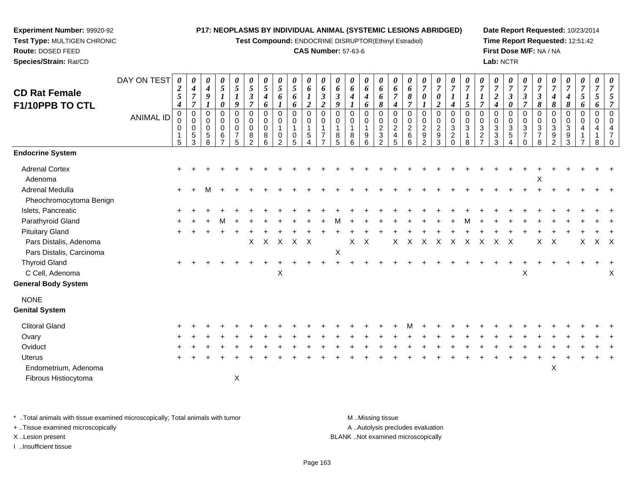**Test Compound:** ENDOCRINE DISRUPTOR(Ethinyl Estradiol)

#### **CAS Number:** 57-63-6

**Date Report Requested:** 10/23/2014**Time Report Requested:** 12:51:42**First Dose M/F:** NA / NA**Lab:** NCTR

| <b>CD Rat Female</b><br>F1/10PPB TO CTL            | DAY ON TEST      | $\boldsymbol{\theta}$<br>$\boldsymbol{2}$<br>$\mathfrak{s}$<br>$\boldsymbol{4}$ | 0<br>$\boldsymbol{4}$<br>$\boldsymbol{7}$<br>$\overline{7}$         | 0<br>$\boldsymbol{4}$<br>9      | 0<br>$\mathfrak{s}$<br>$\boldsymbol{l}$<br>0 | 0<br>5<br>$\boldsymbol{l}$<br>9                              | $\boldsymbol{\theta}$<br>$\mathfrak{s}$<br>$\boldsymbol{\beta}$<br>$\overline{7}$ | 0<br>$\mathfrak{s}$<br>$\boldsymbol{4}$<br>6 | 0<br>5<br>6      | 0<br>$\mathfrak{s}$<br>6<br>6    | 0<br>6<br>$\overline{2}$                               | $\boldsymbol{\theta}$<br>6<br>$\boldsymbol{\beta}$<br>$\overline{2}$ | 0<br>6<br>$\boldsymbol{\beta}$<br>9        | 0<br>6<br>4                | 0<br>6<br>$\boldsymbol{4}$<br>6              | 0<br>6<br>6<br>8                                                           | $\boldsymbol{\theta}$<br>6<br>$\overline{7}$<br>$\boldsymbol{4}$    | 0<br>6<br>$\pmb{8}$<br>$\overline{7}$                  | 0<br>$\overline{7}$<br>$\boldsymbol{\theta}$                | 0<br>$\boldsymbol{7}$<br>0<br>$\overline{c}$                             | 0<br>$\overline{7}$<br>4                                                | 0<br>$\overline{7}$<br>$\boldsymbol{l}$<br>5                          | $\theta$<br>$\overline{7}$<br>$\boldsymbol{l}$<br>$\overline{7}$   | 0<br>$\overline{7}$<br>$\overline{2}$<br>4  | 0<br>$\overline{7}$<br>3<br>0 | 0<br>$\overline{7}$<br>3<br>$\overline{7}$                           | 0<br>$\overline{7}$<br>$\boldsymbol{\beta}$<br>8                     | $\overline{7}$<br>$\boldsymbol{4}$<br>8                      | 0<br>$\overline{7}$<br>$\boldsymbol{4}$<br>8 | 0<br>$\overline{7}$<br>5<br>6 | 0<br>$\overline{7}$<br>5<br>6 | 0<br>$\overline{7}$ |
|----------------------------------------------------|------------------|---------------------------------------------------------------------------------|---------------------------------------------------------------------|---------------------------------|----------------------------------------------|--------------------------------------------------------------|-----------------------------------------------------------------------------------|----------------------------------------------|------------------|----------------------------------|--------------------------------------------------------|----------------------------------------------------------------------|--------------------------------------------|----------------------------|----------------------------------------------|----------------------------------------------------------------------------|---------------------------------------------------------------------|--------------------------------------------------------|-------------------------------------------------------------|--------------------------------------------------------------------------|-------------------------------------------------------------------------|-----------------------------------------------------------------------|--------------------------------------------------------------------|---------------------------------------------|-------------------------------|----------------------------------------------------------------------|----------------------------------------------------------------------|--------------------------------------------------------------|----------------------------------------------|-------------------------------|-------------------------------|---------------------|
|                                                    | <b>ANIMAL ID</b> | 0<br>0<br>0<br>$\mathbf 1$<br>5                                                 | $\pmb{0}$<br>$\mathbf 0$<br>$\pmb{0}$<br>$\sqrt{5}$<br>$\mathbf{3}$ | 0<br>0<br>$\mathbf 0$<br>5<br>8 | 0<br>0<br>0<br>$\,6\,$<br>$\overline{7}$     | $\mathbf 0$<br>$\pmb{0}$<br>$\pmb{0}$<br>$\overline{7}$<br>5 | 0<br>$\mathbf 0$<br>$\mathbf 0$<br>8<br>$\overline{2}$                            | 0<br>0<br>$\mathbf 0$<br>8<br>6              | 0<br>0<br>0<br>2 | 0<br>0<br>$\mathbf{1}$<br>0<br>5 | $\pmb{0}$<br>$\pmb{0}$<br>$\sqrt{5}$<br>$\overline{4}$ | $\mathbf 0$<br>$\mathbf 0$<br>$\overline{7}$                         | $\mathbf 0$<br>0<br>$\mathbf{1}$<br>8<br>5 | 0<br>$\mathbf 0$<br>8<br>6 | 0<br>$\mathbf 0$<br>$\overline{1}$<br>9<br>6 | $\mathbf 0$<br>$\pmb{0}$<br>$\overline{c}$<br>$\sqrt{3}$<br>$\overline{2}$ | $\mathbf 0$<br>$\mathbf 0$<br>$\overline{c}$<br>$\overline{4}$<br>5 | $\mathbf 0$<br>$\pmb{0}$<br>$\sqrt{2}$<br>$\,6\,$<br>6 | 0<br>$\mathbf 0$<br>$\overline{c}$<br>$\boldsymbol{9}$<br>2 | $\pmb{0}$<br>$\boldsymbol{0}$<br>$\overline{a}$<br>$\boldsymbol{9}$<br>3 | $\mathbf 0$<br>$\pmb{0}$<br>$\sqrt{3}$<br>$\overline{c}$<br>$\mathbf 0$ | $\mathbf 0$<br>$\mathsf{O}\xspace$<br>$\sqrt{3}$<br>$\mathbf{1}$<br>8 | $\mathbf 0$<br>0<br>$\sqrt{3}$<br>$\overline{c}$<br>$\overline{z}$ | 0<br>0<br>$\mathbf{3}$<br>$\mathbf{3}$<br>3 | 0<br>0<br>3<br>$5\,$<br>4     | $\mathbf 0$<br>$\pmb{0}$<br>$\sqrt{3}$<br>$\overline{7}$<br>$\Omega$ | 0<br>$\mathbf 0$<br>$\ensuremath{\mathsf{3}}$<br>$\overline{7}$<br>8 | 0<br>0<br>$\mathbf{3}$<br>$\boldsymbol{9}$<br>$\overline{2}$ | $\mathbf 0$<br>0<br>3<br>9<br>3              | 0<br>$\mathbf 0$<br>4         | 0<br>$\mathbf 0$<br>4<br>8    |                     |
| <b>Endocrine System</b>                            |                  |                                                                                 |                                                                     |                                 |                                              |                                                              |                                                                                   |                                              |                  |                                  |                                                        |                                                                      |                                            |                            |                                              |                                                                            |                                                                     |                                                        |                                                             |                                                                          |                                                                         |                                                                       |                                                                    |                                             |                               |                                                                      |                                                                      |                                                              |                                              |                               |                               |                     |
| <b>Adrenal Cortex</b><br>Adenoma                   |                  |                                                                                 |                                                                     |                                 |                                              |                                                              |                                                                                   |                                              |                  |                                  |                                                        |                                                                      |                                            |                            |                                              |                                                                            |                                                                     |                                                        |                                                             |                                                                          |                                                                         |                                                                       |                                                                    |                                             |                               |                                                                      | X                                                                    |                                                              |                                              |                               |                               |                     |
| <b>Adrenal Medulla</b><br>Pheochromocytoma Benign  |                  | $\pm$                                                                           |                                                                     | М                               |                                              |                                                              |                                                                                   |                                              |                  |                                  |                                                        |                                                                      |                                            |                            |                                              |                                                                            |                                                                     |                                                        |                                                             |                                                                          |                                                                         |                                                                       |                                                                    |                                             |                               |                                                                      |                                                                      |                                                              |                                              |                               |                               |                     |
| Islets, Pancreatic                                 |                  |                                                                                 |                                                                     |                                 |                                              |                                                              |                                                                                   |                                              |                  |                                  |                                                        |                                                                      |                                            |                            |                                              |                                                                            |                                                                     |                                                        |                                                             |                                                                          |                                                                         |                                                                       |                                                                    |                                             |                               |                                                                      |                                                                      |                                                              |                                              |                               |                               |                     |
| Parathyroid Gland                                  |                  |                                                                                 |                                                                     |                                 |                                              |                                                              |                                                                                   |                                              |                  |                                  |                                                        |                                                                      |                                            |                            |                                              |                                                                            |                                                                     |                                                        |                                                             |                                                                          |                                                                         |                                                                       |                                                                    |                                             |                               |                                                                      |                                                                      |                                                              |                                              |                               |                               |                     |
| <b>Pituitary Gland</b>                             |                  |                                                                                 |                                                                     |                                 |                                              |                                                              |                                                                                   |                                              |                  |                                  |                                                        |                                                                      |                                            |                            |                                              |                                                                            |                                                                     |                                                        |                                                             |                                                                          |                                                                         |                                                                       |                                                                    |                                             |                               |                                                                      |                                                                      |                                                              |                                              |                               |                               |                     |
| Pars Distalis, Adenoma<br>Pars Distalis, Carcinoma |                  |                                                                                 |                                                                     |                                 |                                              |                                                              | X                                                                                 | $X$ $X$                                      |                  | $X$ $X$                          |                                                        |                                                                      | $\boldsymbol{\mathsf{X}}$                  | X                          | $\mathsf{X}$                                 |                                                                            | X                                                                   | $\times$                                               | $\boldsymbol{\mathsf{X}}$                                   | $\mathsf{X}$                                                             | $\boldsymbol{\mathsf{X}}$                                               | $\mathsf{X}$                                                          | $\boldsymbol{\mathsf{X}}$                                          | $\boldsymbol{X}$                            | $\mathsf{X}$                  |                                                                      | X                                                                    | Χ                                                            |                                              | X                             | X X                           |                     |
| <b>Thyroid Gland</b>                               |                  |                                                                                 |                                                                     |                                 |                                              |                                                              |                                                                                   |                                              |                  |                                  |                                                        |                                                                      |                                            |                            |                                              |                                                                            |                                                                     |                                                        |                                                             |                                                                          |                                                                         |                                                                       |                                                                    |                                             |                               |                                                                      |                                                                      |                                                              |                                              |                               |                               |                     |
| C Cell, Adenoma                                    |                  |                                                                                 |                                                                     |                                 |                                              |                                                              |                                                                                   |                                              | X                |                                  |                                                        |                                                                      |                                            |                            |                                              |                                                                            |                                                                     |                                                        |                                                             |                                                                          |                                                                         |                                                                       |                                                                    |                                             |                               | $\boldsymbol{\mathsf{X}}$                                            |                                                                      |                                                              |                                              |                               |                               | Χ                   |
| <b>General Body System</b>                         |                  |                                                                                 |                                                                     |                                 |                                              |                                                              |                                                                                   |                                              |                  |                                  |                                                        |                                                                      |                                            |                            |                                              |                                                                            |                                                                     |                                                        |                                                             |                                                                          |                                                                         |                                                                       |                                                                    |                                             |                               |                                                                      |                                                                      |                                                              |                                              |                               |                               |                     |
| <b>NONE</b><br><b>Genital System</b>               |                  |                                                                                 |                                                                     |                                 |                                              |                                                              |                                                                                   |                                              |                  |                                  |                                                        |                                                                      |                                            |                            |                                              |                                                                            |                                                                     |                                                        |                                                             |                                                                          |                                                                         |                                                                       |                                                                    |                                             |                               |                                                                      |                                                                      |                                                              |                                              |                               |                               |                     |
| <b>Clitoral Gland</b>                              |                  |                                                                                 |                                                                     |                                 |                                              |                                                              |                                                                                   |                                              |                  |                                  |                                                        |                                                                      |                                            |                            |                                              |                                                                            |                                                                     |                                                        |                                                             |                                                                          |                                                                         |                                                                       |                                                                    |                                             |                               |                                                                      |                                                                      |                                                              |                                              |                               |                               |                     |
| Ovary                                              |                  |                                                                                 |                                                                     |                                 |                                              |                                                              |                                                                                   |                                              |                  |                                  |                                                        |                                                                      |                                            |                            |                                              |                                                                            |                                                                     |                                                        |                                                             |                                                                          |                                                                         |                                                                       |                                                                    |                                             |                               |                                                                      |                                                                      |                                                              |                                              |                               |                               |                     |
| Oviduct                                            |                  |                                                                                 |                                                                     |                                 |                                              |                                                              |                                                                                   |                                              |                  |                                  |                                                        |                                                                      |                                            |                            |                                              |                                                                            |                                                                     |                                                        |                                                             |                                                                          |                                                                         |                                                                       |                                                                    |                                             |                               |                                                                      |                                                                      |                                                              |                                              |                               |                               |                     |
| Uterus                                             |                  |                                                                                 |                                                                     |                                 |                                              |                                                              |                                                                                   |                                              |                  |                                  |                                                        |                                                                      |                                            |                            |                                              |                                                                            |                                                                     |                                                        |                                                             |                                                                          |                                                                         |                                                                       |                                                                    |                                             |                               |                                                                      |                                                                      |                                                              |                                              |                               |                               |                     |
| Endometrium, Adenoma                               |                  |                                                                                 |                                                                     |                                 |                                              |                                                              |                                                                                   |                                              |                  |                                  |                                                        |                                                                      |                                            |                            |                                              |                                                                            |                                                                     |                                                        |                                                             |                                                                          |                                                                         |                                                                       |                                                                    |                                             |                               |                                                                      |                                                                      | X                                                            |                                              |                               |                               |                     |
| Fibrous Histiocytoma                               |                  |                                                                                 |                                                                     |                                 |                                              | X                                                            |                                                                                   |                                              |                  |                                  |                                                        |                                                                      |                                            |                            |                                              |                                                                            |                                                                     |                                                        |                                                             |                                                                          |                                                                         |                                                                       |                                                                    |                                             |                               |                                                                      |                                                                      |                                                              |                                              |                               |                               |                     |
|                                                    |                  |                                                                                 |                                                                     |                                 |                                              |                                                              |                                                                                   |                                              |                  |                                  |                                                        |                                                                      |                                            |                            |                                              |                                                                            |                                                                     |                                                        |                                                             |                                                                          |                                                                         |                                                                       |                                                                    |                                             |                               |                                                                      |                                                                      |                                                              |                                              |                               |                               |                     |

\* ..Total animals with tissue examined microscopically; Total animals with tumor **M** . Missing tissue M ..Missing tissue

+ ..Tissue examined microscopically

**Experiment Number:** 99920-92**Test Type:** MULTIGEN CHRONIC

**Route:** DOSED FEED**Species/Strain:** Rat/CD

I ..Insufficient tissue

A ..Autolysis precludes evaluation

X ..Lesion present BLANK ..Not examined microscopically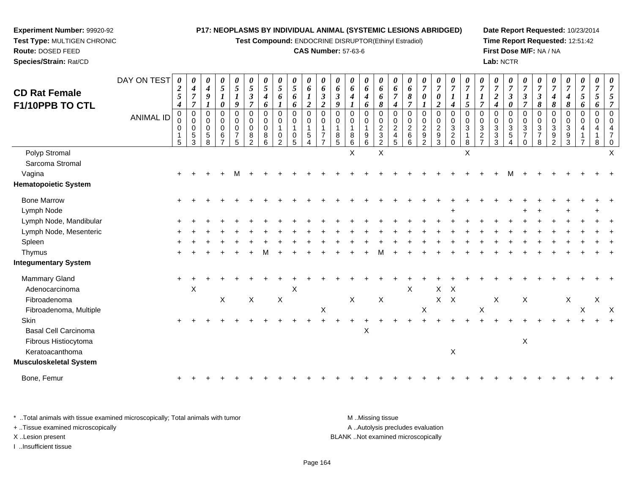**Test Compound:** ENDOCRINE DISRUPTOR(Ethinyl Estradiol)

#### **CAS Number:** 57-63-6

**Date Report Requested:** 10/23/2014**Time Report Requested:** 12:51:42**First Dose M/F:** NA / NA**Lab:** NCTR

| <b>CD Rat Female</b><br><b>F1/10PPB TO CTL</b> | DAY ON TEST<br><b>ANIMAL ID</b> | $\boldsymbol{\theta}$<br>$\boldsymbol{2}$<br>$\mathfrak{s}$<br>$\boldsymbol{4}$<br>$\pmb{0}$<br>0<br>$\mathbf 0$<br>$\sqrt{5}$ | 0<br>$\boldsymbol{4}$<br>$\overline{7}$<br>$\overline{7}$<br>$\pmb{0}$<br>$\pmb{0}$<br>0<br>$\sqrt{5}$<br>$\mathbf{3}$ | 0<br>$\boldsymbol{4}$<br>9<br>0<br>0<br>$\mathbf 0$<br>5<br>8 | 0<br>$\mathfrak{z}$<br>$\boldsymbol{l}$<br>0<br>0<br>0<br>$\mathbf 0$<br>6<br>$\overline{7}$ | 0<br>$\sqrt{5}$<br>9<br>$\boldsymbol{0}$<br>0<br>$\mathbf 0$<br>$\overline{7}$<br>5 | 0<br>$\overline{5}$<br>$\boldsymbol{\beta}$<br>7<br>$\pmb{0}$<br>0<br>$\mathbf 0$<br>8<br>$\overline{2}$ | 0<br>$\mathfrak{s}$<br>$\boldsymbol{4}$<br>6<br>$\mathbf 0$<br>$\mathbf 0$<br>$\mathbf 0$<br>8<br>6 | 0<br>5<br>6<br>$\mathbf 0$<br>0<br>$\mathbf{1}$<br>0<br>$\overline{2}$ | 0<br>$\mathfrak{s}$<br>6<br>6<br>0<br>0<br>$\mathbf{1}$<br>0<br>5 | $\boldsymbol{\theta}$<br>6<br>1<br>$\overline{2}$<br>$\pmb{0}$<br>$\mathbf 0$<br>1<br>$\sqrt{5}$<br>Δ | $\boldsymbol{\theta}$<br>6<br>$\boldsymbol{\beta}$<br>$\overline{\mathbf{c}}$<br>$\boldsymbol{0}$<br>$\mathbf 0$<br>$\overline{1}$<br>$\overline{7}$ | $\boldsymbol{\theta}$<br>6<br>$\boldsymbol{\beta}$<br>9<br>$\mathbf 0$<br>0<br>$\overline{1}$<br>8<br>5 | 0<br>6<br>4<br>$\Omega$<br>0<br>1<br>8<br>6 | 0<br>6<br>$\boldsymbol{4}$<br>6<br>0<br>0<br>$\mathbf{1}$<br>9<br>6 | 0<br>6<br>6<br>8<br>$\pmb{0}$<br>$\pmb{0}$<br>$\boldsymbol{2}$<br>$\ensuremath{\mathsf{3}}$<br>$\overline{c}$ | 0<br>6<br>$\overline{7}$<br>$\boldsymbol{4}$<br>$\mathbf 0$<br>0<br>$\boldsymbol{2}$<br>$\overline{4}$<br>5 | 0<br>6<br>8<br>$\overline{7}$<br>$\mathbf 0$<br>$\pmb{0}$<br>$\overline{2}$<br>$\,6\,$<br>6 | 0<br>$\overline{7}$<br>0<br>$\mathbf 0$<br>0<br>$\overline{c}$<br>$\boldsymbol{9}$<br>$\overline{2}$ | $\pmb{\theta}$<br>$\overline{7}$<br>0<br>$\boldsymbol{2}$<br>$\pmb{0}$<br>$\pmb{0}$<br>$\overline{c}$<br>$\boldsymbol{9}$<br>$\mathbf{3}$ | 0<br>$\overline{7}$<br>4<br>$\pmb{0}$<br>$\mathsf 0$<br>$\sqrt{3}$<br>$\overline{c}$<br>$\mathsf{O}\xspace$ | 0<br>$\overline{7}$<br>$\boldsymbol{l}$<br>5<br>0<br>0<br>$\sqrt{3}$<br>$\overline{1}$<br>8 | 0<br>$\overline{7}$<br>$\boldsymbol{l}$<br>$\overline{7}$<br>$\Omega$<br>$\mathbf 0$<br>$\mathbf{3}$<br>$\overline{c}$<br>$\overline{7}$ | 0<br>$\overline{7}$<br>$\overline{c}$<br>$\boldsymbol{4}$<br>$\Omega$<br>$\Omega$<br>3<br>3<br>3 | $\pmb{\theta}$<br>$\boldsymbol{7}$<br>$\boldsymbol{\beta}$<br>0<br>0<br>$\pmb{0}$<br>$\mathbf{3}$<br>$\sqrt{5}$<br>4 | $\pmb{\theta}$<br>$\overline{7}$<br>3<br>7<br>$\mathbf 0$<br>$\mathbf 0$<br>$\sqrt{3}$<br>$\overline{7}$<br>$\mathbf 0$ | 0<br>$\overline{7}$<br>$\boldsymbol{\beta}$<br>8<br>0<br>$\mathbf 0$<br>3<br>$\overline{7}$<br>8 | 7<br>4<br>8<br>$\Omega$<br>$\Omega$<br>3<br>9<br>$\overline{2}$ | 0<br>$\overline{7}$<br>4<br>8<br>$\mathbf 0$<br>$\Omega$<br>3<br>9<br>3 | $\pmb{\theta}$<br>$\overline{7}$<br>5<br>6<br>$\,0\,$<br>0<br>$\overline{7}$ | 0<br>$\overline{7}$<br>5<br>6<br>$\mathbf 0$<br>$\Omega$<br>8 |   |
|------------------------------------------------|---------------------------------|--------------------------------------------------------------------------------------------------------------------------------|------------------------------------------------------------------------------------------------------------------------|---------------------------------------------------------------|----------------------------------------------------------------------------------------------|-------------------------------------------------------------------------------------|----------------------------------------------------------------------------------------------------------|-----------------------------------------------------------------------------------------------------|------------------------------------------------------------------------|-------------------------------------------------------------------|-------------------------------------------------------------------------------------------------------|------------------------------------------------------------------------------------------------------------------------------------------------------|---------------------------------------------------------------------------------------------------------|---------------------------------------------|---------------------------------------------------------------------|---------------------------------------------------------------------------------------------------------------|-------------------------------------------------------------------------------------------------------------|---------------------------------------------------------------------------------------------|------------------------------------------------------------------------------------------------------|-------------------------------------------------------------------------------------------------------------------------------------------|-------------------------------------------------------------------------------------------------------------|---------------------------------------------------------------------------------------------|------------------------------------------------------------------------------------------------------------------------------------------|--------------------------------------------------------------------------------------------------|----------------------------------------------------------------------------------------------------------------------|-------------------------------------------------------------------------------------------------------------------------|--------------------------------------------------------------------------------------------------|-----------------------------------------------------------------|-------------------------------------------------------------------------|------------------------------------------------------------------------------|---------------------------------------------------------------|---|
| Polyp Stromal                                  |                                 |                                                                                                                                |                                                                                                                        |                                                               |                                                                                              |                                                                                     |                                                                                                          |                                                                                                     |                                                                        |                                                                   |                                                                                                       |                                                                                                                                                      |                                                                                                         | X                                           |                                                                     | $\boldsymbol{\mathsf{X}}$                                                                                     |                                                                                                             |                                                                                             |                                                                                                      |                                                                                                                                           |                                                                                                             | $\sf X$                                                                                     |                                                                                                                                          |                                                                                                  |                                                                                                                      |                                                                                                                         |                                                                                                  |                                                                 |                                                                         |                                                                              |                                                               |   |
| Sarcoma Stromal                                |                                 |                                                                                                                                |                                                                                                                        |                                                               |                                                                                              |                                                                                     |                                                                                                          |                                                                                                     |                                                                        |                                                                   |                                                                                                       |                                                                                                                                                      |                                                                                                         |                                             |                                                                     |                                                                                                               |                                                                                                             |                                                                                             |                                                                                                      |                                                                                                                                           |                                                                                                             |                                                                                             |                                                                                                                                          |                                                                                                  |                                                                                                                      |                                                                                                                         |                                                                                                  |                                                                 |                                                                         |                                                                              |                                                               |   |
| Vagina                                         |                                 |                                                                                                                                |                                                                                                                        |                                                               |                                                                                              |                                                                                     |                                                                                                          |                                                                                                     |                                                                        |                                                                   |                                                                                                       |                                                                                                                                                      |                                                                                                         |                                             |                                                                     |                                                                                                               |                                                                                                             |                                                                                             |                                                                                                      |                                                                                                                                           |                                                                                                             |                                                                                             |                                                                                                                                          |                                                                                                  |                                                                                                                      |                                                                                                                         |                                                                                                  |                                                                 |                                                                         |                                                                              |                                                               |   |
| <b>Hematopoietic System</b>                    |                                 |                                                                                                                                |                                                                                                                        |                                                               |                                                                                              |                                                                                     |                                                                                                          |                                                                                                     |                                                                        |                                                                   |                                                                                                       |                                                                                                                                                      |                                                                                                         |                                             |                                                                     |                                                                                                               |                                                                                                             |                                                                                             |                                                                                                      |                                                                                                                                           |                                                                                                             |                                                                                             |                                                                                                                                          |                                                                                                  |                                                                                                                      |                                                                                                                         |                                                                                                  |                                                                 |                                                                         |                                                                              |                                                               |   |
| <b>Bone Marrow</b>                             |                                 |                                                                                                                                |                                                                                                                        |                                                               |                                                                                              |                                                                                     |                                                                                                          |                                                                                                     |                                                                        |                                                                   |                                                                                                       |                                                                                                                                                      |                                                                                                         |                                             |                                                                     |                                                                                                               |                                                                                                             |                                                                                             |                                                                                                      |                                                                                                                                           |                                                                                                             |                                                                                             |                                                                                                                                          |                                                                                                  |                                                                                                                      |                                                                                                                         |                                                                                                  |                                                                 |                                                                         |                                                                              |                                                               |   |
| Lymph Node                                     |                                 |                                                                                                                                |                                                                                                                        |                                                               |                                                                                              |                                                                                     |                                                                                                          |                                                                                                     |                                                                        |                                                                   |                                                                                                       |                                                                                                                                                      |                                                                                                         |                                             |                                                                     |                                                                                                               |                                                                                                             |                                                                                             |                                                                                                      |                                                                                                                                           |                                                                                                             |                                                                                             |                                                                                                                                          |                                                                                                  |                                                                                                                      |                                                                                                                         |                                                                                                  |                                                                 |                                                                         |                                                                              |                                                               |   |
| Lymph Node, Mandibular                         |                                 |                                                                                                                                |                                                                                                                        |                                                               |                                                                                              |                                                                                     |                                                                                                          |                                                                                                     |                                                                        |                                                                   |                                                                                                       |                                                                                                                                                      |                                                                                                         |                                             |                                                                     |                                                                                                               |                                                                                                             |                                                                                             |                                                                                                      |                                                                                                                                           |                                                                                                             |                                                                                             |                                                                                                                                          |                                                                                                  |                                                                                                                      |                                                                                                                         |                                                                                                  |                                                                 |                                                                         |                                                                              |                                                               |   |
| Lymph Node, Mesenteric                         |                                 |                                                                                                                                |                                                                                                                        |                                                               |                                                                                              |                                                                                     |                                                                                                          |                                                                                                     |                                                                        |                                                                   |                                                                                                       |                                                                                                                                                      |                                                                                                         |                                             |                                                                     |                                                                                                               |                                                                                                             |                                                                                             |                                                                                                      |                                                                                                                                           |                                                                                                             |                                                                                             |                                                                                                                                          |                                                                                                  |                                                                                                                      |                                                                                                                         |                                                                                                  |                                                                 |                                                                         |                                                                              |                                                               |   |
| Spleen                                         |                                 |                                                                                                                                |                                                                                                                        |                                                               |                                                                                              |                                                                                     |                                                                                                          |                                                                                                     |                                                                        |                                                                   |                                                                                                       |                                                                                                                                                      |                                                                                                         |                                             |                                                                     |                                                                                                               |                                                                                                             |                                                                                             |                                                                                                      |                                                                                                                                           |                                                                                                             |                                                                                             |                                                                                                                                          |                                                                                                  |                                                                                                                      |                                                                                                                         |                                                                                                  |                                                                 |                                                                         |                                                                              |                                                               |   |
| Thymus                                         |                                 |                                                                                                                                |                                                                                                                        |                                                               |                                                                                              |                                                                                     |                                                                                                          |                                                                                                     |                                                                        |                                                                   |                                                                                                       |                                                                                                                                                      |                                                                                                         |                                             |                                                                     |                                                                                                               |                                                                                                             |                                                                                             |                                                                                                      |                                                                                                                                           |                                                                                                             |                                                                                             |                                                                                                                                          |                                                                                                  |                                                                                                                      |                                                                                                                         |                                                                                                  |                                                                 |                                                                         |                                                                              |                                                               |   |
| <b>Integumentary System</b>                    |                                 |                                                                                                                                |                                                                                                                        |                                                               |                                                                                              |                                                                                     |                                                                                                          |                                                                                                     |                                                                        |                                                                   |                                                                                                       |                                                                                                                                                      |                                                                                                         |                                             |                                                                     |                                                                                                               |                                                                                                             |                                                                                             |                                                                                                      |                                                                                                                                           |                                                                                                             |                                                                                             |                                                                                                                                          |                                                                                                  |                                                                                                                      |                                                                                                                         |                                                                                                  |                                                                 |                                                                         |                                                                              |                                                               |   |
| Mammary Gland                                  |                                 |                                                                                                                                |                                                                                                                        |                                                               |                                                                                              |                                                                                     |                                                                                                          |                                                                                                     |                                                                        |                                                                   |                                                                                                       |                                                                                                                                                      |                                                                                                         |                                             |                                                                     |                                                                                                               |                                                                                                             |                                                                                             |                                                                                                      |                                                                                                                                           |                                                                                                             |                                                                                             |                                                                                                                                          |                                                                                                  |                                                                                                                      |                                                                                                                         |                                                                                                  |                                                                 |                                                                         |                                                                              |                                                               |   |
| Adenocarcinoma                                 |                                 |                                                                                                                                | X                                                                                                                      |                                                               |                                                                                              |                                                                                     |                                                                                                          |                                                                                                     |                                                                        | $\boldsymbol{\mathsf{X}}$                                         |                                                                                                       |                                                                                                                                                      |                                                                                                         |                                             |                                                                     |                                                                                                               |                                                                                                             | $\sf X$                                                                                     |                                                                                                      | X                                                                                                                                         | $\mathsf{X}$                                                                                                |                                                                                             |                                                                                                                                          |                                                                                                  |                                                                                                                      |                                                                                                                         |                                                                                                  |                                                                 |                                                                         |                                                                              |                                                               |   |
| Fibroadenoma                                   |                                 |                                                                                                                                |                                                                                                                        |                                                               | X                                                                                            |                                                                                     | $\mathsf X$                                                                                              |                                                                                                     | X                                                                      |                                                                   |                                                                                                       |                                                                                                                                                      |                                                                                                         | X                                           |                                                                     | $\boldsymbol{\mathsf{X}}$                                                                                     |                                                                                                             |                                                                                             |                                                                                                      |                                                                                                                                           | $X$ $X$                                                                                                     |                                                                                             |                                                                                                                                          | X                                                                                                |                                                                                                                      | X                                                                                                                       |                                                                                                  |                                                                 | X                                                                       |                                                                              | X                                                             |   |
| Fibroadenoma, Multiple                         |                                 |                                                                                                                                |                                                                                                                        |                                                               |                                                                                              |                                                                                     |                                                                                                          |                                                                                                     |                                                                        |                                                                   |                                                                                                       | $\mathsf X$                                                                                                                                          |                                                                                                         |                                             |                                                                     |                                                                                                               |                                                                                                             |                                                                                             | $\mathsf X$                                                                                          |                                                                                                                                           |                                                                                                             |                                                                                             | $\boldsymbol{\mathsf{X}}$                                                                                                                |                                                                                                  |                                                                                                                      |                                                                                                                         |                                                                                                  |                                                                 |                                                                         | X                                                                            |                                                               | X |
| <b>Skin</b>                                    |                                 |                                                                                                                                |                                                                                                                        |                                                               |                                                                                              |                                                                                     |                                                                                                          |                                                                                                     |                                                                        |                                                                   |                                                                                                       |                                                                                                                                                      |                                                                                                         |                                             |                                                                     |                                                                                                               |                                                                                                             |                                                                                             |                                                                                                      |                                                                                                                                           |                                                                                                             |                                                                                             |                                                                                                                                          |                                                                                                  |                                                                                                                      |                                                                                                                         |                                                                                                  |                                                                 |                                                                         |                                                                              |                                                               |   |
| <b>Basal Cell Carcinoma</b>                    |                                 |                                                                                                                                |                                                                                                                        |                                                               |                                                                                              |                                                                                     |                                                                                                          |                                                                                                     |                                                                        |                                                                   |                                                                                                       |                                                                                                                                                      |                                                                                                         |                                             | $\mathsf X$                                                         |                                                                                                               |                                                                                                             |                                                                                             |                                                                                                      |                                                                                                                                           |                                                                                                             |                                                                                             |                                                                                                                                          |                                                                                                  |                                                                                                                      |                                                                                                                         |                                                                                                  |                                                                 |                                                                         |                                                                              |                                                               |   |
| Fibrous Histiocytoma                           |                                 |                                                                                                                                |                                                                                                                        |                                                               |                                                                                              |                                                                                     |                                                                                                          |                                                                                                     |                                                                        |                                                                   |                                                                                                       |                                                                                                                                                      |                                                                                                         |                                             |                                                                     |                                                                                                               |                                                                                                             |                                                                                             |                                                                                                      |                                                                                                                                           |                                                                                                             |                                                                                             |                                                                                                                                          |                                                                                                  |                                                                                                                      | X                                                                                                                       |                                                                                                  |                                                                 |                                                                         |                                                                              |                                                               |   |
| Keratoacanthoma                                |                                 |                                                                                                                                |                                                                                                                        |                                                               |                                                                                              |                                                                                     |                                                                                                          |                                                                                                     |                                                                        |                                                                   |                                                                                                       |                                                                                                                                                      |                                                                                                         |                                             |                                                                     |                                                                                                               |                                                                                                             |                                                                                             |                                                                                                      |                                                                                                                                           | X                                                                                                           |                                                                                             |                                                                                                                                          |                                                                                                  |                                                                                                                      |                                                                                                                         |                                                                                                  |                                                                 |                                                                         |                                                                              |                                                               |   |
| Musculoskeletal System                         |                                 |                                                                                                                                |                                                                                                                        |                                                               |                                                                                              |                                                                                     |                                                                                                          |                                                                                                     |                                                                        |                                                                   |                                                                                                       |                                                                                                                                                      |                                                                                                         |                                             |                                                                     |                                                                                                               |                                                                                                             |                                                                                             |                                                                                                      |                                                                                                                                           |                                                                                                             |                                                                                             |                                                                                                                                          |                                                                                                  |                                                                                                                      |                                                                                                                         |                                                                                                  |                                                                 |                                                                         |                                                                              |                                                               |   |
| Bone, Femur                                    |                                 |                                                                                                                                |                                                                                                                        |                                                               |                                                                                              |                                                                                     |                                                                                                          |                                                                                                     |                                                                        |                                                                   |                                                                                                       |                                                                                                                                                      |                                                                                                         |                                             |                                                                     |                                                                                                               |                                                                                                             |                                                                                             |                                                                                                      |                                                                                                                                           |                                                                                                             |                                                                                             |                                                                                                                                          |                                                                                                  |                                                                                                                      |                                                                                                                         |                                                                                                  |                                                                 |                                                                         |                                                                              |                                                               |   |
|                                                |                                 |                                                                                                                                |                                                                                                                        |                                                               |                                                                                              |                                                                                     |                                                                                                          |                                                                                                     |                                                                        |                                                                   |                                                                                                       |                                                                                                                                                      |                                                                                                         |                                             |                                                                     |                                                                                                               |                                                                                                             |                                                                                             |                                                                                                      |                                                                                                                                           |                                                                                                             |                                                                                             |                                                                                                                                          |                                                                                                  |                                                                                                                      |                                                                                                                         |                                                                                                  |                                                                 |                                                                         |                                                                              |                                                               |   |

\* ..Total animals with tissue examined microscopically; Total animals with tumor **M** . Missing tissue M ..Missing tissue A ..Autolysis precludes evaluation + ..Tissue examined microscopically X ..Lesion present BLANK ..Not examined microscopicallyI ..Insufficient tissue

**Experiment Number:** 99920-92**Test Type:** MULTIGEN CHRONIC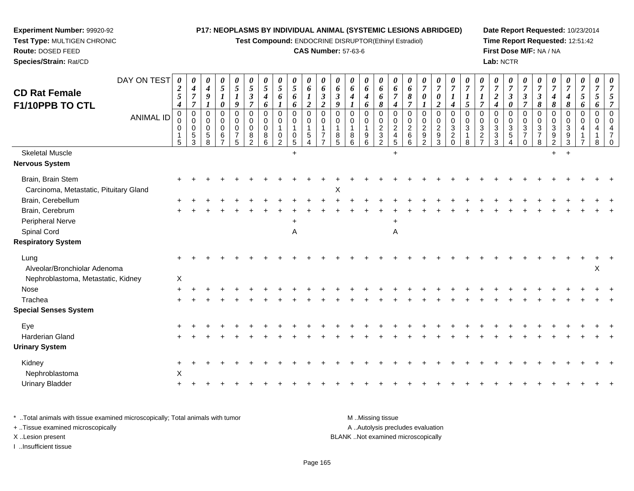**Test Compound:** ENDOCRINE DISRUPTOR(Ethinyl Estradiol)

#### **CAS Number:** 57-63-6

**Date Report Requested:** 10/23/2014**Time Report Requested:** 12:51:42**First Dose M/F:** NA / NA**Lab:** NCTR

| <b>CD Rat Female</b><br>F1/10PPB TO CTL                     | DAY ON TEST<br><b>ANIMAL ID</b> | 0<br>$\boldsymbol{2}$<br>$\mathfrak{s}$<br>$\boldsymbol{4}$<br>$\mathbf 0$<br>0<br>0<br>-1<br>5 | $\boldsymbol{\theta}$<br>$\boldsymbol{4}$<br>$\overline{7}$<br>$\overline{7}$<br>$\overline{0}$<br>$\mathbf 0$<br>$\mathbf 0$<br>$\sqrt{5}$<br>3 | $\theta$<br>$\boldsymbol{4}$<br>9<br>$\Omega$<br>$\Omega$<br>$\Omega$<br>5<br>8 | 0<br>$\mathfrak{s}$<br>$\boldsymbol{l}$<br>0<br>$\mathbf 0$<br>0<br>$\mathbf 0$<br>6 | $\frac{\theta}{5}$<br>$\boldsymbol{l}$<br>$\boldsymbol{9}$<br>$\mathbf 0$<br>$\mathbf 0$<br>$\pmb{0}$<br>$\overline{7}$<br>$\sqrt{5}$ | $\boldsymbol{\theta}$<br>$\overline{5}$<br>$\boldsymbol{\beta}$<br>$\overline{7}$<br>$\mathbf 0$<br>$\mathbf 0$<br>$\mathbf 0$<br>8<br>$\overline{2}$ | $\boldsymbol{\theta}$<br>5<br>$\boldsymbol{4}$<br>6<br>$\mathbf 0$<br>$\mathbf 0$<br>$\mathbf 0$<br>8<br>6 | 0<br>$5\overline{)}$<br>6<br>$\mathbf 0$<br>0<br>0<br>2 | 0<br>$5\overline{)}$<br>6<br>6<br>$\mathbf 0$<br>0<br>$\mathbf 1$<br>0<br>$\sqrt{5}$ | 0<br>$\boldsymbol{6}$<br>$\boldsymbol{l}$<br>$\boldsymbol{2}$<br>$\mathbf 0$<br>$\mathbf 0$<br>1<br>$\sqrt{5}$<br>4 | 0<br>6<br>$\boldsymbol{\beta}$<br>$\boldsymbol{2}$<br>$\Omega$<br>$\Omega$<br>$\overline{7}$ | $\boldsymbol{\theta}$<br>6<br>$\boldsymbol{\beta}$<br>9<br>$\Omega$<br>$\Omega$<br>8<br>5 | 0<br>6<br>4<br>$\Omega$<br>$\Omega$<br>8<br>6 | 0<br>6<br>$\boldsymbol{4}$<br>6<br>$\mathbf 0$<br>0<br>$\mathbf{1}$<br>$\boldsymbol{9}$<br>6 | $\boldsymbol{\theta}$<br>6<br>6<br>$\pmb{8}$<br>$\mathbf 0$<br>$\mathbf 0$<br>$\boldsymbol{2}$<br>$\ensuremath{\mathsf{3}}$<br>$\overline{2}$ | $\boldsymbol{\theta}$<br>6<br>$\overline{7}$<br>$\boldsymbol{4}$<br>$\Omega$<br>0<br>$\overline{c}$<br>$\overline{4}$<br>$\sqrt{5}$ | $\boldsymbol{\theta}$<br>6<br>8<br>$\overline{7}$<br>$\mathbf 0$<br>$\mathbf 0$<br>$\overline{2}$<br>$\,6\,$<br>6 | $\boldsymbol{\theta}$<br>$\overline{7}$<br>0<br>$\mathbf 0$<br>0<br>$\overline{c}$<br>$\boldsymbol{9}$<br>$\overline{2}$ | $\frac{\boldsymbol{\theta}}{\boldsymbol{7}}$<br>$\pmb{\theta}$<br>$\boldsymbol{2}$<br>$\pmb{0}$<br>$\mathbf 0$<br>$\overline{2}$<br>$\boldsymbol{9}$<br>$\mathfrak{S}$ | $\boldsymbol{\theta}$<br>$\overline{7}$<br>$\boldsymbol{l}$<br>$\boldsymbol{4}$<br>$\mathbf 0$<br>$\pmb{0}$<br>$\overline{3}$<br>$\boldsymbol{2}$<br>$\pmb{0}$ | $\boldsymbol{\theta}$<br>$\overline{7}$<br>$\boldsymbol{l}$<br>$5\overline{)}$<br>$\Omega$<br>$\mathbf 0$<br>3<br>$\mathbf{1}$<br>8 | $\overline{7}$<br>1<br>$\overline{7}$<br>$\Omega$<br>$\Omega$<br>$\mathbf{3}$<br>$\overline{c}$<br>$\overline{7}$ | $\frac{\boldsymbol{0}}{7}$<br>$\overline{2}$<br>$\boldsymbol{4}$<br>$\Omega$<br>0<br>3<br>3<br>3 | $\frac{\boldsymbol{0}}{7}$<br>$\boldsymbol{\beta}$<br>$\pmb{\theta}$<br>$\mathbf 0$<br>$\mathbf 0$<br>$\ensuremath{\mathsf{3}}$<br>$\sqrt{5}$<br>$\overline{4}$ | $\boldsymbol{\theta}$<br>$\overline{7}$<br>$\mathfrak{z}$<br>$\overline{7}$<br>$\Omega$<br>$\mathbf 0$<br>$\sqrt{3}$<br>$\overline{7}$<br>$\mathbf 0$ | $\boldsymbol{\theta}$<br>$\overline{7}$<br>$\boldsymbol{\beta}$<br>$\pmb{8}$<br>$\mathbf 0$<br>$\mathbf 0$<br>$\sqrt{3}$<br>$\overline{7}$<br>$\,8\,$ | $\overline{7}$<br>4<br>$\pmb{8}$<br>$\Omega$<br>$\Omega$<br>3<br>9<br>$\overline{2}$ | $\frac{\boldsymbol{0}}{7}$<br>4<br>8<br>$\Omega$<br>$\Omega$<br>3<br>9<br>3 | $\boldsymbol{\theta}$<br>$\overline{7}$<br>5<br>6<br>$\mathbf 0$<br>$\Omega$ | $\boldsymbol{\theta}$<br>$\overline{7}$<br>5<br>6<br>$\mathbf 0$<br>$\Omega$ | $\boldsymbol{\theta}$ |
|-------------------------------------------------------------|---------------------------------|-------------------------------------------------------------------------------------------------|--------------------------------------------------------------------------------------------------------------------------------------------------|---------------------------------------------------------------------------------|--------------------------------------------------------------------------------------|---------------------------------------------------------------------------------------------------------------------------------------|-------------------------------------------------------------------------------------------------------------------------------------------------------|------------------------------------------------------------------------------------------------------------|---------------------------------------------------------|--------------------------------------------------------------------------------------|---------------------------------------------------------------------------------------------------------------------|----------------------------------------------------------------------------------------------|-------------------------------------------------------------------------------------------|-----------------------------------------------|----------------------------------------------------------------------------------------------|-----------------------------------------------------------------------------------------------------------------------------------------------|-------------------------------------------------------------------------------------------------------------------------------------|-------------------------------------------------------------------------------------------------------------------|--------------------------------------------------------------------------------------------------------------------------|------------------------------------------------------------------------------------------------------------------------------------------------------------------------|----------------------------------------------------------------------------------------------------------------------------------------------------------------|-------------------------------------------------------------------------------------------------------------------------------------|-------------------------------------------------------------------------------------------------------------------|--------------------------------------------------------------------------------------------------|-----------------------------------------------------------------------------------------------------------------------------------------------------------------|-------------------------------------------------------------------------------------------------------------------------------------------------------|-------------------------------------------------------------------------------------------------------------------------------------------------------|--------------------------------------------------------------------------------------|-----------------------------------------------------------------------------|------------------------------------------------------------------------------|------------------------------------------------------------------------------|-----------------------|
| <b>Skeletal Muscle</b>                                      |                                 |                                                                                                 |                                                                                                                                                  |                                                                                 |                                                                                      |                                                                                                                                       |                                                                                                                                                       |                                                                                                            |                                                         | $+$                                                                                  |                                                                                                                     |                                                                                              |                                                                                           |                                               |                                                                                              |                                                                                                                                               | $\ddot{}$                                                                                                                           |                                                                                                                   |                                                                                                                          |                                                                                                                                                                        |                                                                                                                                                                |                                                                                                                                     |                                                                                                                   |                                                                                                  |                                                                                                                                                                 |                                                                                                                                                       |                                                                                                                                                       | $+$                                                                                  | $+$                                                                         |                                                                              |                                                                              |                       |
| <b>Nervous System</b>                                       |                                 |                                                                                                 |                                                                                                                                                  |                                                                                 |                                                                                      |                                                                                                                                       |                                                                                                                                                       |                                                                                                            |                                                         |                                                                                      |                                                                                                                     |                                                                                              |                                                                                           |                                               |                                                                                              |                                                                                                                                               |                                                                                                                                     |                                                                                                                   |                                                                                                                          |                                                                                                                                                                        |                                                                                                                                                                |                                                                                                                                     |                                                                                                                   |                                                                                                  |                                                                                                                                                                 |                                                                                                                                                       |                                                                                                                                                       |                                                                                      |                                                                             |                                                                              |                                                                              |                       |
| Brain, Brain Stem<br>Carcinoma, Metastatic, Pituitary Gland |                                 |                                                                                                 |                                                                                                                                                  |                                                                                 |                                                                                      |                                                                                                                                       |                                                                                                                                                       |                                                                                                            |                                                         |                                                                                      |                                                                                                                     |                                                                                              | X                                                                                         |                                               |                                                                                              |                                                                                                                                               |                                                                                                                                     |                                                                                                                   |                                                                                                                          |                                                                                                                                                                        |                                                                                                                                                                |                                                                                                                                     |                                                                                                                   |                                                                                                  |                                                                                                                                                                 |                                                                                                                                                       |                                                                                                                                                       |                                                                                      |                                                                             |                                                                              |                                                                              |                       |
| Brain, Cerebellum                                           |                                 |                                                                                                 |                                                                                                                                                  |                                                                                 |                                                                                      |                                                                                                                                       |                                                                                                                                                       |                                                                                                            |                                                         |                                                                                      |                                                                                                                     |                                                                                              |                                                                                           |                                               |                                                                                              |                                                                                                                                               |                                                                                                                                     |                                                                                                                   |                                                                                                                          |                                                                                                                                                                        |                                                                                                                                                                |                                                                                                                                     |                                                                                                                   |                                                                                                  |                                                                                                                                                                 |                                                                                                                                                       |                                                                                                                                                       |                                                                                      |                                                                             |                                                                              |                                                                              |                       |
| Brain, Cerebrum                                             |                                 |                                                                                                 |                                                                                                                                                  |                                                                                 |                                                                                      |                                                                                                                                       |                                                                                                                                                       |                                                                                                            |                                                         |                                                                                      |                                                                                                                     |                                                                                              |                                                                                           |                                               |                                                                                              |                                                                                                                                               |                                                                                                                                     |                                                                                                                   |                                                                                                                          |                                                                                                                                                                        |                                                                                                                                                                |                                                                                                                                     |                                                                                                                   |                                                                                                  |                                                                                                                                                                 |                                                                                                                                                       |                                                                                                                                                       |                                                                                      |                                                                             |                                                                              |                                                                              |                       |
| Peripheral Nerve                                            |                                 |                                                                                                 |                                                                                                                                                  |                                                                                 |                                                                                      |                                                                                                                                       |                                                                                                                                                       |                                                                                                            |                                                         |                                                                                      |                                                                                                                     |                                                                                              |                                                                                           |                                               |                                                                                              |                                                                                                                                               |                                                                                                                                     |                                                                                                                   |                                                                                                                          |                                                                                                                                                                        |                                                                                                                                                                |                                                                                                                                     |                                                                                                                   |                                                                                                  |                                                                                                                                                                 |                                                                                                                                                       |                                                                                                                                                       |                                                                                      |                                                                             |                                                                              |                                                                              |                       |
| Spinal Cord                                                 |                                 |                                                                                                 |                                                                                                                                                  |                                                                                 |                                                                                      |                                                                                                                                       |                                                                                                                                                       |                                                                                                            |                                                         | Α                                                                                    |                                                                                                                     |                                                                                              |                                                                                           |                                               |                                                                                              |                                                                                                                                               | Α                                                                                                                                   |                                                                                                                   |                                                                                                                          |                                                                                                                                                                        |                                                                                                                                                                |                                                                                                                                     |                                                                                                                   |                                                                                                  |                                                                                                                                                                 |                                                                                                                                                       |                                                                                                                                                       |                                                                                      |                                                                             |                                                                              |                                                                              |                       |
| <b>Respiratory System</b>                                   |                                 |                                                                                                 |                                                                                                                                                  |                                                                                 |                                                                                      |                                                                                                                                       |                                                                                                                                                       |                                                                                                            |                                                         |                                                                                      |                                                                                                                     |                                                                                              |                                                                                           |                                               |                                                                                              |                                                                                                                                               |                                                                                                                                     |                                                                                                                   |                                                                                                                          |                                                                                                                                                                        |                                                                                                                                                                |                                                                                                                                     |                                                                                                                   |                                                                                                  |                                                                                                                                                                 |                                                                                                                                                       |                                                                                                                                                       |                                                                                      |                                                                             |                                                                              |                                                                              |                       |
| Lung<br>Alveolar/Bronchiolar Adenoma                        |                                 |                                                                                                 |                                                                                                                                                  |                                                                                 |                                                                                      |                                                                                                                                       |                                                                                                                                                       |                                                                                                            |                                                         |                                                                                      |                                                                                                                     |                                                                                              |                                                                                           |                                               |                                                                                              |                                                                                                                                               |                                                                                                                                     |                                                                                                                   |                                                                                                                          |                                                                                                                                                                        |                                                                                                                                                                |                                                                                                                                     |                                                                                                                   |                                                                                                  |                                                                                                                                                                 |                                                                                                                                                       |                                                                                                                                                       |                                                                                      |                                                                             |                                                                              | X                                                                            |                       |
| Nephroblastoma, Metastatic, Kidney                          |                                 | X                                                                                               |                                                                                                                                                  |                                                                                 |                                                                                      |                                                                                                                                       |                                                                                                                                                       |                                                                                                            |                                                         |                                                                                      |                                                                                                                     |                                                                                              |                                                                                           |                                               |                                                                                              |                                                                                                                                               |                                                                                                                                     |                                                                                                                   |                                                                                                                          |                                                                                                                                                                        |                                                                                                                                                                |                                                                                                                                     |                                                                                                                   |                                                                                                  |                                                                                                                                                                 |                                                                                                                                                       |                                                                                                                                                       |                                                                                      |                                                                             |                                                                              |                                                                              |                       |
| Nose<br>Trachea                                             |                                 |                                                                                                 |                                                                                                                                                  |                                                                                 |                                                                                      |                                                                                                                                       |                                                                                                                                                       |                                                                                                            |                                                         |                                                                                      |                                                                                                                     |                                                                                              |                                                                                           |                                               |                                                                                              |                                                                                                                                               |                                                                                                                                     |                                                                                                                   |                                                                                                                          |                                                                                                                                                                        |                                                                                                                                                                |                                                                                                                                     |                                                                                                                   |                                                                                                  |                                                                                                                                                                 |                                                                                                                                                       |                                                                                                                                                       |                                                                                      |                                                                             |                                                                              |                                                                              |                       |
| <b>Special Senses System</b>                                |                                 |                                                                                                 |                                                                                                                                                  |                                                                                 |                                                                                      |                                                                                                                                       |                                                                                                                                                       |                                                                                                            |                                                         |                                                                                      |                                                                                                                     |                                                                                              |                                                                                           |                                               |                                                                                              |                                                                                                                                               |                                                                                                                                     |                                                                                                                   |                                                                                                                          |                                                                                                                                                                        |                                                                                                                                                                |                                                                                                                                     |                                                                                                                   |                                                                                                  |                                                                                                                                                                 |                                                                                                                                                       |                                                                                                                                                       |                                                                                      |                                                                             |                                                                              |                                                                              |                       |
| Eye                                                         |                                 |                                                                                                 |                                                                                                                                                  |                                                                                 |                                                                                      |                                                                                                                                       |                                                                                                                                                       |                                                                                                            |                                                         |                                                                                      |                                                                                                                     |                                                                                              |                                                                                           |                                               |                                                                                              |                                                                                                                                               |                                                                                                                                     |                                                                                                                   |                                                                                                                          |                                                                                                                                                                        |                                                                                                                                                                |                                                                                                                                     |                                                                                                                   |                                                                                                  |                                                                                                                                                                 |                                                                                                                                                       |                                                                                                                                                       |                                                                                      |                                                                             |                                                                              |                                                                              |                       |
| <b>Harderian Gland</b>                                      |                                 |                                                                                                 |                                                                                                                                                  |                                                                                 |                                                                                      |                                                                                                                                       |                                                                                                                                                       |                                                                                                            |                                                         |                                                                                      |                                                                                                                     |                                                                                              |                                                                                           |                                               |                                                                                              |                                                                                                                                               |                                                                                                                                     |                                                                                                                   |                                                                                                                          |                                                                                                                                                                        |                                                                                                                                                                |                                                                                                                                     |                                                                                                                   |                                                                                                  |                                                                                                                                                                 |                                                                                                                                                       |                                                                                                                                                       |                                                                                      |                                                                             |                                                                              |                                                                              |                       |
| <b>Urinary System</b>                                       |                                 |                                                                                                 |                                                                                                                                                  |                                                                                 |                                                                                      |                                                                                                                                       |                                                                                                                                                       |                                                                                                            |                                                         |                                                                                      |                                                                                                                     |                                                                                              |                                                                                           |                                               |                                                                                              |                                                                                                                                               |                                                                                                                                     |                                                                                                                   |                                                                                                                          |                                                                                                                                                                        |                                                                                                                                                                |                                                                                                                                     |                                                                                                                   |                                                                                                  |                                                                                                                                                                 |                                                                                                                                                       |                                                                                                                                                       |                                                                                      |                                                                             |                                                                              |                                                                              |                       |
| Kidney                                                      |                                 |                                                                                                 |                                                                                                                                                  |                                                                                 |                                                                                      |                                                                                                                                       |                                                                                                                                                       |                                                                                                            |                                                         |                                                                                      |                                                                                                                     |                                                                                              |                                                                                           |                                               |                                                                                              |                                                                                                                                               |                                                                                                                                     |                                                                                                                   |                                                                                                                          |                                                                                                                                                                        |                                                                                                                                                                |                                                                                                                                     |                                                                                                                   |                                                                                                  |                                                                                                                                                                 |                                                                                                                                                       |                                                                                                                                                       |                                                                                      |                                                                             |                                                                              |                                                                              |                       |
| Nephroblastoma                                              |                                 | X                                                                                               |                                                                                                                                                  |                                                                                 |                                                                                      |                                                                                                                                       |                                                                                                                                                       |                                                                                                            |                                                         |                                                                                      |                                                                                                                     |                                                                                              |                                                                                           |                                               |                                                                                              |                                                                                                                                               |                                                                                                                                     |                                                                                                                   |                                                                                                                          |                                                                                                                                                                        |                                                                                                                                                                |                                                                                                                                     |                                                                                                                   |                                                                                                  |                                                                                                                                                                 |                                                                                                                                                       |                                                                                                                                                       |                                                                                      |                                                                             |                                                                              |                                                                              |                       |
| <b>Urinary Bladder</b>                                      |                                 |                                                                                                 |                                                                                                                                                  |                                                                                 |                                                                                      |                                                                                                                                       |                                                                                                                                                       |                                                                                                            |                                                         |                                                                                      |                                                                                                                     |                                                                                              |                                                                                           |                                               |                                                                                              |                                                                                                                                               |                                                                                                                                     |                                                                                                                   |                                                                                                                          |                                                                                                                                                                        |                                                                                                                                                                |                                                                                                                                     |                                                                                                                   |                                                                                                  |                                                                                                                                                                 |                                                                                                                                                       |                                                                                                                                                       |                                                                                      |                                                                             |                                                                              |                                                                              |                       |

\* ..Total animals with tissue examined microscopically; Total animals with tumor **M** . Missing tissue M ..Missing tissue A ..Autolysis precludes evaluation + ..Tissue examined microscopically X ..Lesion present BLANK ..Not examined microscopicallyI ..Insufficient tissue

**Experiment Number:** 99920-92**Test Type:** MULTIGEN CHRONIC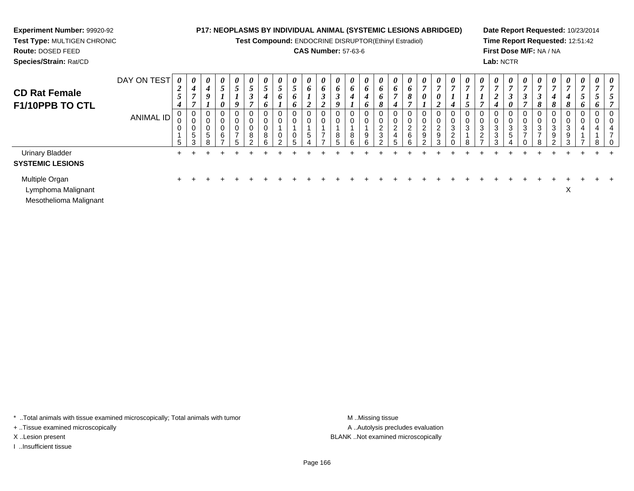**Test Compound:** ENDOCRINE DISRUPTOR(Ethinyl Estradiol)

### **CAS Number:** 57-63-6

**Date Report Requested:** 10/23/2014**Time Report Requested:** 12:51:42**First Dose M/F:** NA / NA**Lab:** NCTR

#### **Route:** DOSED FEED **Species/Strain:** Rat/CDDAY ON TEST *0 2***CD Rat Female***0 0 0 0 0 0 0 0 0 60 60 60 60 60 60 60 6*

| <b>CD Rat Female</b><br>F1/10PPB TO CTL           | DAY ON TEST<br><b>ANIMAL ID</b> | 0<br>$\overline{2}$<br>$5\overline{)}$<br>$\boldsymbol{4}$ | 0<br>4<br>$\overline{ }$<br>$\overline{ }$<br>0<br>⌒<br>U<br>0<br>5<br>3 | $\boldsymbol{\theta}$<br>4<br>9<br>J<br>5<br>8 | $\boldsymbol{\theta}$<br>C<br>$\boldsymbol{\theta}$<br>0<br>0<br>0<br>6<br>- | $\boldsymbol{\theta}$<br>$\overline{5}$<br>$\mathbf{I}$<br>9<br>0<br>0<br>0<br>$\overline{ }$<br>5 | $\boldsymbol{\theta}$<br>5<br>$\boldsymbol{\beta}$<br>Ł.<br>0<br>U<br>U<br>8<br>ົ | $\boldsymbol{\theta}$<br>C<br>4<br>6<br>0<br>0<br>0<br>8<br>6 | $\boldsymbol{\theta}$<br>C<br>$\bm{o}$<br>◠ | $\boldsymbol{\theta}$<br>o<br>O. | $\boldsymbol{\theta}$<br>o<br>◢<br>0<br>0<br>$5\phantom{.0}$ | $\boldsymbol{\theta}$<br>6<br>$\rightarrow$<br>◠<br>$\overline{v}$<br>0<br>0 | U<br>o<br>Q<br>υ<br>8<br>ς | $\boldsymbol{\theta}$<br>6<br>4<br>0<br>0<br>8<br>6 | $\boldsymbol{\theta}$<br>6<br>4<br>6<br>0<br>0<br>9<br>6 | $\boldsymbol{\theta}$<br>$\bm{o}$<br>$\bm{o}$<br>8<br>0<br>U<br>$\overline{2}$<br>3<br>າ | $\boldsymbol{\theta}$<br>6<br>$\overline{ }$<br>4<br>0<br>0<br>ົ<br>∼<br>4<br>5 | $\boldsymbol{\theta}$<br>6<br>8<br>$\overline{ }$<br>6<br>$\sim$ | $\boldsymbol{\theta}$<br>0<br>$\epsilon$<br>9<br>$\sim$ | $\boldsymbol{\theta}$<br>U<br>$\sim$<br>$\epsilon$<br>9<br>3 | $\boldsymbol{\theta}$<br>$\overline{ }$<br>U<br>U<br>3<br>$\sim$<br>∠ | $\boldsymbol{\mathit{U}}$<br>ν<br>⌒<br>చ<br>8 | $\boldsymbol{\theta}$<br>$\overline{ }$<br>0<br>0<br>3<br>$\Omega$<br>$\epsilon$<br>$\rightarrow$ | $\boldsymbol{\theta}$<br>7<br>◠<br>$\overline{v}$<br>4<br>0<br>0<br>3<br>3<br>3 | $\boldsymbol{\theta}$<br>7<br>$\boldsymbol{\beta}$<br>0<br>0<br>0<br>3<br>5 | $\boldsymbol{\theta}$<br>$\overline{ }$<br>J<br>$\overline{ }$<br>0<br>υ<br>$\sim$<br>J | $\boldsymbol{\theta}$<br>J<br>8<br>ა<br>⇁ | 0<br>4<br>8<br>0<br>υ<br>ົ<br>J.<br>9 | $\boldsymbol{\theta}$<br>4<br>$\Omega$<br>U<br>3<br>9<br>$\sim$ | $\boldsymbol{\theta}$<br>o<br>U<br>U<br>4 | $\theta$<br>0<br>4<br>o | 0<br>0<br>0<br>- 0 |
|---------------------------------------------------|---------------------------------|------------------------------------------------------------|--------------------------------------------------------------------------|------------------------------------------------|------------------------------------------------------------------------------|----------------------------------------------------------------------------------------------------|-----------------------------------------------------------------------------------|---------------------------------------------------------------|---------------------------------------------|----------------------------------|--------------------------------------------------------------|------------------------------------------------------------------------------|----------------------------|-----------------------------------------------------|----------------------------------------------------------|------------------------------------------------------------------------------------------|---------------------------------------------------------------------------------|------------------------------------------------------------------|---------------------------------------------------------|--------------------------------------------------------------|-----------------------------------------------------------------------|-----------------------------------------------|---------------------------------------------------------------------------------------------------|---------------------------------------------------------------------------------|-----------------------------------------------------------------------------|-----------------------------------------------------------------------------------------|-------------------------------------------|---------------------------------------|-----------------------------------------------------------------|-------------------------------------------|-------------------------|--------------------|
| <b>Urinary Bladder</b><br><b>SYSTEMIC LESIONS</b> |                                 |                                                            |                                                                          |                                                |                                                                              |                                                                                                    |                                                                                   |                                                               |                                             |                                  |                                                              |                                                                              |                            |                                                     |                                                          |                                                                                          |                                                                                 |                                                                  |                                                         |                                                              |                                                                       |                                               |                                                                                                   |                                                                                 |                                                                             |                                                                                         |                                           |                                       |                                                                 |                                           |                         |                    |
| Multiple Organ<br>Lymphoma Malignant              |                                 |                                                            |                                                                          |                                                |                                                                              |                                                                                                    |                                                                                   |                                                               |                                             |                                  |                                                              |                                                                              |                            |                                                     |                                                          |                                                                                          |                                                                                 |                                                                  |                                                         |                                                              |                                                                       |                                               |                                                                                                   |                                                                                 |                                                                             |                                                                                         |                                           |                                       | ㅅ                                                               |                                           |                         |                    |

Mesothelioma Malignant

**Experiment Number:** 99920-92**Test Type:** MULTIGEN CHRONIC

\* ..Total animals with tissue examined microscopically; Total animals with tumor **M** ..Missing tissue M ..Missing tissue

+ ..Tissue examined microscopically

I ..Insufficient tissue

A .. Autolysis precludes evaluation X ..Lesion present BLANK ..Not examined microscopically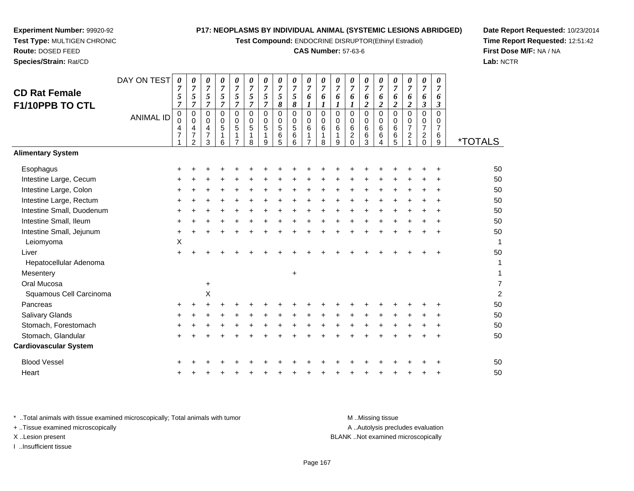**Test Compound:** ENDOCRINE DISRUPTOR(Ethinyl Estradiol)

#### **CAS Number:** 57-63-6

<sup>+</sup> <sup>+</sup> <sup>+</sup> <sup>+</sup> <sup>+</sup> <sup>+</sup> <sup>+</sup> <sup>+</sup> <sup>+</sup> <sup>+</sup> <sup>+</sup> <sup>+</sup> <sup>+</sup> <sup>+</sup> <sup>+</sup> <sup>+</sup> <sup>+</sup> <sup>+</sup> <sup>50</sup>

<sup>+</sup> <sup>+</sup> <sup>+</sup> <sup>+</sup> <sup>+</sup> <sup>+</sup> <sup>+</sup> <sup>+</sup> <sup>+</sup> <sup>+</sup> <sup>+</sup> <sup>+</sup> <sup>+</sup> <sup>+</sup> <sup>+</sup> <sup>+</sup> <sup>+</sup> <sup>+</sup> <sup>50</sup>

9 \*TOTALS

**Date Report Requested:** 10/23/2014**Time Report Requested:** 12:51:42**First Dose M/F:** NA / NA**Lab:** NCTR

| Intestine Large, Rectum      | $\pm$     |   |                |   |           |           |           |       |           |           |        |        |       |           |           |           |           |           |           | 50             |
|------------------------------|-----------|---|----------------|---|-----------|-----------|-----------|-------|-----------|-----------|--------|--------|-------|-----------|-----------|-----------|-----------|-----------|-----------|----------------|
| Intestine Small, Duodenum    | $+$       | ٠ |                | ÷ | $\pm$     | ٠         | $\pm$     | $\pm$ | $\ddot{}$ | $\pm$     | $\pm$  | $\pm$  | $\pm$ | $\ddot{}$ | $\pm$     | $\ddot{}$ | $\pm$     | ÷         | $\pm$     | 50             |
| Intestine Small, Ileum       | $+$       | ÷ |                | ÷ | $\ddot{}$ | $\ddot{}$ | $\ddot{}$ |       | ٠         |           | $\pm$  | $\pm$  | $\pm$ | $\ddot{}$ |           | $\ddot{}$ | $\pm$     | $\pm$     | $\pm$     | 50             |
| Intestine Small, Jejunum     | $\ddot{}$ |   |                |   |           |           |           |       |           |           |        |        |       | ÷.        |           |           |           | $\ddot{}$ | $\pm$     | 50             |
| Leiomyoma                    | X         |   |                |   |           |           |           |       |           |           |        |        |       |           |           |           |           |           |           | 1              |
| Liver                        | $+$       |   |                |   |           |           |           |       |           |           |        |        |       |           |           |           |           |           | $\ddot{}$ | 50             |
| Hepatocellular Adenoma       |           |   |                |   |           |           |           |       |           |           |        |        |       |           |           |           |           |           |           | 1              |
| Mesentery                    |           |   |                |   |           |           |           |       | $\ddot{}$ |           |        |        |       |           |           |           |           |           |           | 1              |
| Oral Mucosa                  |           |   | $\ddot{}$      |   |           |           |           |       |           |           |        |        |       |           |           |           |           |           |           | 7              |
| Squamous Cell Carcinoma      |           |   | $\pmb{\times}$ |   |           |           |           |       |           |           |        |        |       |           |           |           |           |           |           | $\overline{c}$ |
| Pancreas                     | $\ddot{}$ |   |                |   |           |           |           |       |           |           |        |        |       |           |           |           |           |           | $\pm$     | 50             |
| Salivary Glands              | $\ddot{}$ |   |                |   |           |           | $+$       |       | ÷         |           | $\div$ | $\div$ | $\pm$ | $+$       | $\ddot{}$ | ÷         | $\ddot{}$ |           | $\ddot{}$ | 50             |
| Stomach, Forestomach         | $+$       |   |                |   | ÷         | $\div$    | $\pm$     | $+$   | $\div$    | $\ddot{}$ | $\div$ | $\div$ | $\pm$ | $\pm$     | $\div$    | $\div$    | $\div$    |           | $\pm$     | 50             |
| Stomach, Glandular           | $\pm$     |   |                |   |           |           | ÷         | $+$   | ÷         |           | +      | +      | $\pm$ | $\pm$     | +         | ÷         | $\pm$     | $\ddot{}$ | $\pm$     | 50             |
| <b>Cardiovascular System</b> |           |   |                |   |           |           |           |       |           |           |        |        |       |           |           |           |           |           |           |                |
| <b>Blood Vessel</b>          | $\ddot{}$ |   |                |   |           |           |           |       |           |           |        |        |       |           |           |           |           |           | $\pm$     | 50             |
| Heart                        | $+$       |   |                |   | ÷         |           | ÷         |       |           |           |        | ÷      | $\pm$ | $\pm$     | $\pm$     | $\pm$     | $\pm$     | $\ddot{}$ | $\ddot{}$ | 50             |
|                              |           |   |                |   |           |           |           |       |           |           |        |        |       |           |           |           |           |           |           |                |
|                              |           |   |                |   |           |           |           |       |           |           |        |        |       |           |           |           |           |           |           |                |

**Experiment Number:** 99920-92**Test Type:** MULTIGEN CHRONIC

DAY ON TEST

*0 7*

*0*

*0*

<sup>+</sup> <sup>+</sup> <sup>+</sup> <sup>+</sup> <sup>+</sup> <sup>+</sup> <sup>+</sup> <sup>+</sup> <sup>+</sup> <sup>+</sup> <sup>+</sup> <sup>+</sup> <sup>+</sup> <sup>+</sup> <sup>+</sup> <sup>+</sup> <sup>+</sup> <sup>+</sup> <sup>+</sup> <sup>50</sup>

*7 5 7*

*7 5 7*

ANIMAL ID

 $\mathsf{S}$  +

n  $+$ 

**Route:** DOSED FEED**Species/Strain:** Rat/CD

**CD Rat FemaleF1/10PPB TO CTL**

**Alimentary System**

Intestine Large, Cecum

Intestine Large, Colon

**Esophagus** 

\* ..Total animals with tissue examined microscopically; Total animals with tumor M ...Missing tissue M ...Missing tissue A ..Autolysis precludes evaluation + ..Tissue examined microscopically X ..Lesion present BLANK ..Not examined microscopicallyI ..Insufficient tissue

Page 167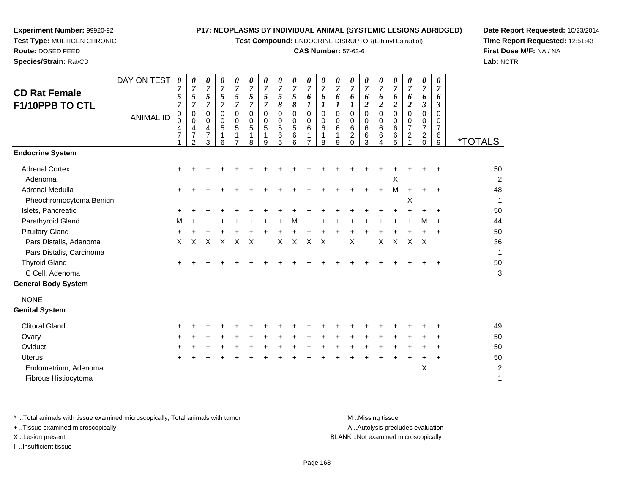**Test Compound:** ENDOCRINE DISRUPTOR(Ethinyl Estradiol)

#### **CAS Number:** 57-63-6

**Date Report Requested:** 10/23/2014**Time Report Requested:** 12:51:43**First Dose M/F:** NA / NA**Lab:** NCTR

| <b>CD Rat Female</b>                               | DAY ON TEST      | 0<br>7<br>5<br>$\overline{7}$         | 0<br>$\overline{7}$<br>5<br>$\overline{7}$      | 0<br>$\overline{7}$<br>5<br>$\overline{7}$ | 0<br>$\overline{7}$<br>5<br>$\overline{7}$ | 0<br>$\overline{7}$<br>$\sqrt{5}$<br>$\overline{7}$ | 0<br>$\overline{7}$<br>5<br>$\overline{7}$ | 0<br>$\overline{7}$<br>$\sqrt{5}$<br>$\overline{7}$ | 0<br>$\overline{7}$<br>$\sqrt{5}$<br>8 | 0<br>$\boldsymbol{7}$<br>5<br>8 | 0<br>$\overline{7}$<br>6<br>1                                   | 0<br>$\boldsymbol{7}$<br>6<br>1 | 0<br>$\boldsymbol{7}$<br>6 | 0<br>$\overline{7}$<br>6<br>1                   | 0<br>$\overline{7}$<br>6<br>$\overline{2}$      | 0<br>$\boldsymbol{7}$<br>6<br>$\overline{2}$ | 0<br>$\overline{7}$<br>6<br>$\boldsymbol{2}$ | 0<br>$\overline{7}$<br>6<br>$\boldsymbol{2}$                 | 0<br>$\overline{7}$<br>6<br>$\boldsymbol{\beta}$ | 0<br>$\overline{7}$<br>6<br>$\boldsymbol{\beta}$ |                              |
|----------------------------------------------------|------------------|---------------------------------------|-------------------------------------------------|--------------------------------------------|--------------------------------------------|-----------------------------------------------------|--------------------------------------------|-----------------------------------------------------|----------------------------------------|---------------------------------|-----------------------------------------------------------------|---------------------------------|----------------------------|-------------------------------------------------|-------------------------------------------------|----------------------------------------------|----------------------------------------------|--------------------------------------------------------------|--------------------------------------------------|--------------------------------------------------|------------------------------|
| F1/10PPB TO CTL                                    | <b>ANIMAL ID</b> | $\pmb{0}$<br>0<br>4<br>$\overline{7}$ | 0<br>0<br>4<br>$\overline{7}$<br>$\overline{2}$ | 0<br>0<br>4<br>$\overline{7}$<br>3         | 0<br>0<br>5<br>6                           | $\mathbf 0$<br>0<br>5<br>1                          | $\mathbf 0$<br>0<br>5<br>1<br>8            | $\mathbf 0$<br>0<br>5<br>$\mathbf{1}$<br>9          | $\mathbf 0$<br>0<br>5<br>6<br>5        | $\mathbf 0$<br>0<br>5<br>6<br>6 | $\mathbf 0$<br>$\pmb{0}$<br>6<br>$\mathbf{1}$<br>$\overline{7}$ | 0<br>0<br>6<br>1<br>8           | 0<br>0<br>6<br>1<br>9      | $\mathbf 0$<br>0<br>6<br>$\sqrt{2}$<br>$\Omega$ | $\mathbf 0$<br>$\mathbf 0$<br>6<br>$\,6\,$<br>3 | $\Omega$<br>0<br>6<br>6<br>4                 | $\mathbf 0$<br>0<br>6<br>6<br>5              | $\pmb{0}$<br>$\mathbf 0$<br>$\overline{7}$<br>$\overline{c}$ | 0<br>0<br>7<br>$\overline{a}$<br>0               | 0<br>0<br>$\overline{7}$<br>6<br>9               | <i><b>*TOTALS</b></i>        |
| <b>Endocrine System</b>                            |                  |                                       |                                                 |                                            |                                            |                                                     |                                            |                                                     |                                        |                                 |                                                                 |                                 |                            |                                                 |                                                 |                                              |                                              |                                                              |                                                  |                                                  |                              |
| <b>Adrenal Cortex</b><br>Adenoma                   |                  |                                       |                                                 |                                            |                                            |                                                     |                                            |                                                     |                                        |                                 |                                                                 |                                 |                            |                                                 |                                                 |                                              | $\mathsf X$                                  |                                                              |                                                  | ÷                                                | 50<br>2                      |
| Adrenal Medulla<br>Pheochromocytoma Benign         |                  |                                       |                                                 |                                            |                                            |                                                     |                                            |                                                     |                                        |                                 |                                                                 |                                 |                            |                                                 |                                                 |                                              | M                                            | X                                                            |                                                  | $\ddot{}$                                        | 48<br>1                      |
| Islets, Pancreatic                                 |                  |                                       |                                                 |                                            |                                            |                                                     |                                            |                                                     |                                        |                                 |                                                                 |                                 |                            |                                                 |                                                 |                                              |                                              |                                                              |                                                  | +                                                | 50                           |
| Parathyroid Gland                                  |                  | м                                     |                                                 |                                            |                                            |                                                     |                                            |                                                     |                                        |                                 |                                                                 |                                 |                            |                                                 |                                                 |                                              |                                              |                                                              | М                                                | $\ddot{}$                                        | 44                           |
| <b>Pituitary Gland</b>                             |                  | ٠                                     |                                                 |                                            |                                            |                                                     |                                            |                                                     |                                        |                                 |                                                                 |                                 |                            |                                                 |                                                 |                                              |                                              |                                                              |                                                  | $\ddot{}$                                        | 50                           |
| Pars Distalis, Adenoma<br>Pars Distalis, Carcinoma |                  | $\pmb{\times}$                        | X                                               | X                                          | X                                          | X                                                   | $\boldsymbol{\mathsf{X}}$                  |                                                     | $\pmb{\times}$                         | $\sf X$                         | X                                                               | $\boldsymbol{\mathsf{X}}$       |                            | $\sf X$                                         |                                                 | $\pmb{\times}$                               | $\mathsf X$                                  | $\pmb{\times}$                                               | $\times$                                         |                                                  | 36                           |
| <b>Thyroid Gland</b>                               |                  |                                       |                                                 |                                            |                                            |                                                     |                                            |                                                     |                                        |                                 |                                                                 |                                 |                            |                                                 |                                                 |                                              |                                              |                                                              |                                                  |                                                  | 50                           |
| C Cell, Adenoma                                    |                  |                                       |                                                 |                                            |                                            |                                                     |                                            |                                                     |                                        |                                 |                                                                 |                                 |                            |                                                 |                                                 |                                              |                                              |                                                              |                                                  |                                                  | 3                            |
| <b>General Body System</b>                         |                  |                                       |                                                 |                                            |                                            |                                                     |                                            |                                                     |                                        |                                 |                                                                 |                                 |                            |                                                 |                                                 |                                              |                                              |                                                              |                                                  |                                                  |                              |
| <b>NONE</b><br><b>Genital System</b>               |                  |                                       |                                                 |                                            |                                            |                                                     |                                            |                                                     |                                        |                                 |                                                                 |                                 |                            |                                                 |                                                 |                                              |                                              |                                                              |                                                  |                                                  |                              |
| <b>Clitoral Gland</b>                              |                  |                                       |                                                 |                                            |                                            |                                                     |                                            |                                                     |                                        |                                 |                                                                 |                                 |                            |                                                 |                                                 |                                              |                                              |                                                              |                                                  |                                                  | 49                           |
| Ovary                                              |                  |                                       |                                                 |                                            |                                            |                                                     |                                            |                                                     |                                        |                                 |                                                                 |                                 |                            |                                                 |                                                 |                                              |                                              |                                                              |                                                  |                                                  | 50                           |
| Oviduct                                            |                  |                                       |                                                 |                                            |                                            |                                                     |                                            |                                                     |                                        |                                 |                                                                 |                                 |                            |                                                 |                                                 |                                              |                                              |                                                              |                                                  | ÷                                                | 50                           |
| <b>Uterus</b>                                      |                  |                                       |                                                 |                                            |                                            |                                                     |                                            |                                                     |                                        |                                 |                                                                 |                                 |                            |                                                 |                                                 |                                              |                                              |                                                              |                                                  |                                                  | 50                           |
| Endometrium, Adenoma<br>Fibrous Histiocytoma       |                  |                                       |                                                 |                                            |                                            |                                                     |                                            |                                                     |                                        |                                 |                                                                 |                                 |                            |                                                 |                                                 |                                              |                                              |                                                              | X                                                |                                                  | $\overline{\mathbf{c}}$<br>1 |
|                                                    |                  |                                       |                                                 |                                            |                                            |                                                     |                                            |                                                     |                                        |                                 |                                                                 |                                 |                            |                                                 |                                                 |                                              |                                              |                                                              |                                                  |                                                  |                              |

\* ..Total animals with tissue examined microscopically; Total animals with tumor **M** . Missing tissue M ..Missing tissue A ..Autolysis precludes evaluation + ..Tissue examined microscopically X ..Lesion present BLANK ..Not examined microscopicallyI ..Insufficient tissue

**Experiment Number:** 99920-92**Test Type:** MULTIGEN CHRONIC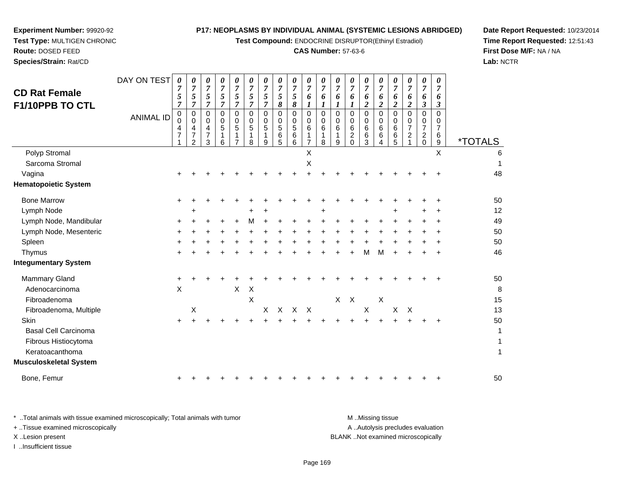**Test Compound:** ENDOCRINE DISRUPTOR(Ethinyl Estradiol)

#### **CAS Number:** 57-63-6

**Date Report Requested:** 10/23/2014**Time Report Requested:** 12:51:43**First Dose M/F:** NA / NA**Lab:** NCTR

| <b>CD Rat Female</b><br>F1/10PPB TO CTL                                                                  | DAY ON TEST      | 0<br>7<br>5<br>$\overline{7}$ | 0<br>$\overline{7}$<br>5<br>$\overline{7}$ | 0<br>$\overline{7}$<br>5<br>$\overline{7}$ | 0<br>$\overline{7}$<br>5<br>$\overline{7}$ | 0<br>$\overline{7}$<br>$\mathfrak{s}$<br>$\overline{7}$ | 0<br>$\overline{7}$<br>5<br>$\overline{7}$ | 0<br>$\overline{7}$<br>5<br>$\overline{7}$ | 0<br>$\overline{7}$<br>5<br>8   | 0<br>$\overline{7}$<br>5<br>$\pmb{8}$               | 0<br>7<br>6<br>1                                   | 0<br>7<br>6<br>1        | 0<br>$\overline{7}$<br>6<br>$\boldsymbol{l}$ | 0<br>$\overline{7}$<br>6                                        | 0<br>$\overline{7}$<br>6<br>$\overline{c}$          | 0<br>$\overline{7}$<br>6<br>$\boldsymbol{2}$ | 0<br>$\overline{7}$<br>6<br>$\boldsymbol{2}$ | 0<br>$\overline{7}$<br>6<br>$\boldsymbol{2}$           | 0<br>$\overline{7}$<br>6<br>3                          | 0<br>$\overline{7}$<br>6<br>$\mathfrak{z}$      |                       |
|----------------------------------------------------------------------------------------------------------|------------------|-------------------------------|--------------------------------------------|--------------------------------------------|--------------------------------------------|---------------------------------------------------------|--------------------------------------------|--------------------------------------------|---------------------------------|-----------------------------------------------------|----------------------------------------------------|-------------------------|----------------------------------------------|-----------------------------------------------------------------|-----------------------------------------------------|----------------------------------------------|----------------------------------------------|--------------------------------------------------------|--------------------------------------------------------|-------------------------------------------------|-----------------------|
|                                                                                                          | <b>ANIMAL ID</b> | 0<br>0<br>4<br>7              | 0<br>0<br>4<br>$\overline{7}$<br>2         | 0<br>0<br>4<br>7<br>3                      | 0<br>0<br>5<br>6                           | 0<br>0<br>$\sqrt{5}$<br>7                               | $\Omega$<br>0<br>5<br>8                    | $\Omega$<br>0<br>5<br>1<br>9               | $\mathbf 0$<br>0<br>5<br>6<br>5 | $\mathbf 0$<br>$\mathbf 0$<br>$\,$ 5 $\,$<br>6<br>6 | $\Omega$<br>0<br>$6\phantom{1}6$<br>$\overline{7}$ | $\Omega$<br>0<br>6<br>8 | $\Omega$<br>0<br>6<br>9                      | $\mathbf 0$<br>$\mathbf 0$<br>6<br>$\boldsymbol{2}$<br>$\Omega$ | $\mathbf 0$<br>$\mathbf 0$<br>$\,6\,$<br>$\,6$<br>3 | $\Omega$<br>0<br>6<br>6<br>4                 | $\Omega$<br>0<br>6<br>6<br>5                 | $\mathbf 0$<br>0<br>$\overline{7}$<br>$\boldsymbol{2}$ | 0<br>0<br>$\overline{7}$<br>$\overline{a}$<br>$\Omega$ | 0<br>0<br>$\overline{7}$<br>6<br>$\overline{9}$ | <i><b>*TOTALS</b></i> |
| Polyp Stromal<br>Sarcoma Stromal                                                                         |                  |                               |                                            |                                            |                                            |                                                         |                                            |                                            |                                 |                                                     | X<br>X                                             |                         |                                              |                                                                 |                                                     |                                              |                                              |                                                        |                                                        | X                                               | 6                     |
| Vagina<br><b>Hematopoietic System</b>                                                                    |                  |                               |                                            |                                            |                                            |                                                         |                                            |                                            |                                 |                                                     |                                                    |                         |                                              |                                                                 |                                                     |                                              |                                              |                                                        |                                                        |                                                 | 48                    |
| <b>Bone Marrow</b>                                                                                       |                  | +                             |                                            |                                            |                                            |                                                         |                                            |                                            |                                 |                                                     |                                                    |                         |                                              |                                                                 |                                                     |                                              |                                              |                                                        |                                                        |                                                 | 50                    |
| Lymph Node                                                                                               |                  |                               | +                                          |                                            |                                            |                                                         |                                            | ÷                                          |                                 |                                                     |                                                    | +                       |                                              |                                                                 |                                                     |                                              | +                                            |                                                        |                                                        | +                                               | 12                    |
| Lymph Node, Mandibular                                                                                   |                  | ÷                             |                                            |                                            |                                            |                                                         | м                                          |                                            |                                 |                                                     |                                                    |                         |                                              |                                                                 |                                                     |                                              |                                              |                                                        |                                                        |                                                 | 49                    |
| Lymph Node, Mesenteric                                                                                   |                  |                               |                                            |                                            |                                            |                                                         |                                            |                                            |                                 |                                                     |                                                    |                         |                                              |                                                                 |                                                     |                                              |                                              |                                                        |                                                        |                                                 | 50                    |
| Spleen                                                                                                   |                  |                               |                                            |                                            |                                            |                                                         |                                            |                                            |                                 |                                                     |                                                    |                         |                                              |                                                                 |                                                     |                                              |                                              |                                                        |                                                        |                                                 | 50                    |
| Thymus                                                                                                   |                  |                               |                                            |                                            |                                            |                                                         |                                            |                                            |                                 |                                                     |                                                    |                         |                                              |                                                                 | м                                                   | м                                            |                                              |                                                        |                                                        | +                                               | 46                    |
| <b>Integumentary System</b>                                                                              |                  |                               |                                            |                                            |                                            |                                                         |                                            |                                            |                                 |                                                     |                                                    |                         |                                              |                                                                 |                                                     |                                              |                                              |                                                        |                                                        |                                                 |                       |
| <b>Mammary Gland</b><br>Adenocarcinoma<br>Fibroadenoma                                                   |                  | $\ddot{}$<br>$\mathsf X$      |                                            |                                            |                                            | $\mathsf X$                                             | Χ<br>$\times$                              |                                            |                                 |                                                     |                                                    |                         | X                                            | $\mathsf{X}$                                                    |                                                     | $\boldsymbol{\mathsf{X}}$                    |                                              |                                                        |                                                        |                                                 | 50<br>8<br>15         |
| Fibroadenoma, Multiple                                                                                   |                  |                               | X                                          |                                            |                                            |                                                         |                                            | X                                          |                                 | X X X                                               |                                                    |                         |                                              |                                                                 | $\boldsymbol{\mathsf{X}}$                           |                                              | X                                            | $\boldsymbol{\mathsf{X}}$                              |                                                        |                                                 | 13                    |
| Skin<br><b>Basal Cell Carcinoma</b><br>Fibrous Histiocytoma<br>Keratoacanthoma<br>Musculoskeletal System |                  | +                             |                                            |                                            |                                            |                                                         |                                            |                                            |                                 |                                                     |                                                    |                         |                                              |                                                                 |                                                     |                                              |                                              |                                                        |                                                        | ٠                                               | 50<br>1<br>1<br>1     |
| Bone, Femur                                                                                              |                  | ÷                             |                                            |                                            |                                            |                                                         |                                            |                                            |                                 |                                                     |                                                    |                         |                                              |                                                                 |                                                     |                                              |                                              |                                                        |                                                        | +                                               | 50                    |
|                                                                                                          |                  |                               |                                            |                                            |                                            |                                                         |                                            |                                            |                                 |                                                     |                                                    |                         |                                              |                                                                 |                                                     |                                              |                                              |                                                        |                                                        |                                                 |                       |

**Experiment Number:** 99920-92**Test Type:** MULTIGEN CHRONIC

**Route:** DOSED FEED**Species/Strain:** Rat/CD

\* ..Total animals with tissue examined microscopically; Total animals with tumor **M** . Missing tissue M ..Missing tissue A ..Autolysis precludes evaluation + ..Tissue examined microscopically X ..Lesion present BLANK ..Not examined microscopicallyI ..Insufficient tissue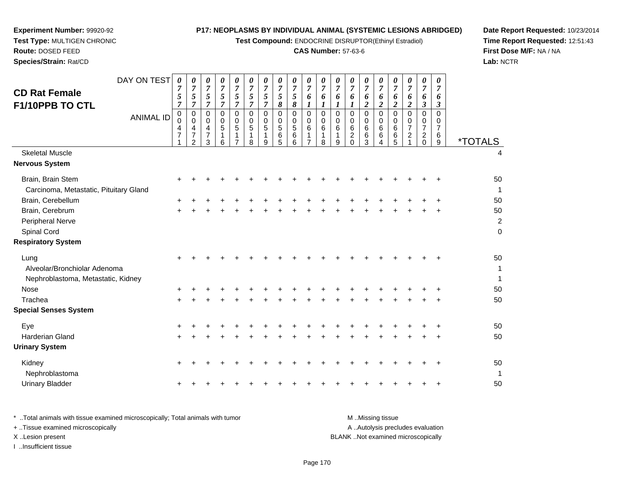**Test Compound:** ENDOCRINE DISRUPTOR(Ethinyl Estradiol)

#### **CAS Number:** 57-63-6

**Date Report Requested:** 10/23/2014**Time Report Requested:** 12:51:43**First Dose M/F:** NA / NA**Lab:** NCTR

| <b>CD Rat Female</b><br>F1/10PPB TO CTL                                    | DAY ON TEST<br><b>ANIMAL ID</b> | $\boldsymbol{\theta}$<br>7<br>5<br>$\overline{7}$<br>0<br>$\Omega$<br>4<br>$\overline{7}$ | 0<br>7<br>5<br>$\overline{7}$<br>$\pmb{0}$<br>0<br>$\overline{\mathbf{4}}$<br>$\overline{7}$<br>$\overline{2}$ | 0<br>$\overline{7}$<br>5<br>$\overline{7}$<br>$\mathbf 0$<br>0<br>4<br>$\overline{7}$<br>3 | 0<br>$\overline{7}$<br>$\sqrt{5}$<br>$\overline{7}$<br>$\mathbf 0$<br>0<br>5<br>1<br>6 | 0<br>$\overline{7}$<br>5<br>$\overline{7}$<br>$\mathbf 0$<br>0<br>5<br>$\overline{7}$ | 0<br>7<br>5<br>$\overline{7}$<br>$\Omega$<br>0<br>$\overline{5}$<br>1<br>8 | 0<br>7<br>5<br>7<br>0<br>0<br>5<br>1<br>9 | 0<br>$\overline{7}$<br>5<br>8<br>$\mathbf 0$<br>0<br>$\sqrt{5}$<br>$\,6\,$<br>5 | 0<br>$\overline{7}$<br>5<br>8<br>$\mathbf 0$<br>0<br>5<br>6<br>6 | 0<br>$\overline{7}$<br>6<br>$\boldsymbol{l}$<br>$\pmb{0}$<br>0<br>6<br>1<br>$\overline{7}$ | 0<br>$\overline{7}$<br>6<br>$\boldsymbol{l}$<br>$\mathbf 0$<br>0<br>6<br>1<br>8 | 0<br>7<br>6<br>1<br>$\mathbf 0$<br>0<br>6<br>1<br>9 | 0<br>7<br>6<br>1<br>$\mathbf 0$<br>0<br>6<br>$\overline{c}$<br>$\Omega$ | 0<br>$\overline{7}$<br>6<br>$\overline{2}$<br>$\pmb{0}$<br>0<br>$\,6\,$<br>6<br>3 | 0<br>7<br>6<br>$\overline{c}$<br>0<br>0<br>$\,6\,$<br>6<br>4 | 0<br>7<br>6<br>$\overline{c}$<br>$\Omega$<br>0<br>6<br>6<br>5 | 0<br>7<br>6<br>$\boldsymbol{2}$<br>$\mathbf 0$<br>0<br>$\overline{7}$<br>$\overline{2}$ | 0<br>7<br>6<br>3<br>$\mathbf 0$<br>0<br>$\overline{7}$<br>$\overline{2}$<br>0 | 0<br>7<br>6<br>$\boldsymbol{\beta}$<br>$\Omega$<br>0<br>$\overline{7}$<br>6<br>9 | <i><b>*TOTALS</b></i>               |
|----------------------------------------------------------------------------|---------------------------------|-------------------------------------------------------------------------------------------|----------------------------------------------------------------------------------------------------------------|--------------------------------------------------------------------------------------------|----------------------------------------------------------------------------------------|---------------------------------------------------------------------------------------|----------------------------------------------------------------------------|-------------------------------------------|---------------------------------------------------------------------------------|------------------------------------------------------------------|--------------------------------------------------------------------------------------------|---------------------------------------------------------------------------------|-----------------------------------------------------|-------------------------------------------------------------------------|-----------------------------------------------------------------------------------|--------------------------------------------------------------|---------------------------------------------------------------|-----------------------------------------------------------------------------------------|-------------------------------------------------------------------------------|----------------------------------------------------------------------------------|-------------------------------------|
| <b>Skeletal Muscle</b>                                                     |                                 |                                                                                           |                                                                                                                |                                                                                            |                                                                                        |                                                                                       |                                                                            |                                           |                                                                                 |                                                                  |                                                                                            |                                                                                 |                                                     |                                                                         |                                                                                   |                                                              |                                                               |                                                                                         |                                                                               |                                                                                  | 4                                   |
| Nervous System                                                             |                                 |                                                                                           |                                                                                                                |                                                                                            |                                                                                        |                                                                                       |                                                                            |                                           |                                                                                 |                                                                  |                                                                                            |                                                                                 |                                                     |                                                                         |                                                                                   |                                                              |                                                               |                                                                                         |                                                                               |                                                                                  |                                     |
| Brain, Brain Stem<br>Carcinoma, Metastatic, Pituitary Gland                |                                 | +                                                                                         |                                                                                                                |                                                                                            |                                                                                        |                                                                                       |                                                                            |                                           |                                                                                 |                                                                  |                                                                                            |                                                                                 |                                                     |                                                                         |                                                                                   |                                                              |                                                               |                                                                                         |                                                                               |                                                                                  | 50<br>1                             |
| Brain, Cerebellum                                                          |                                 |                                                                                           |                                                                                                                |                                                                                            |                                                                                        |                                                                                       |                                                                            |                                           |                                                                                 |                                                                  |                                                                                            |                                                                                 |                                                     |                                                                         |                                                                                   |                                                              |                                                               |                                                                                         |                                                                               |                                                                                  | 50                                  |
| Brain, Cerebrum<br>Peripheral Nerve<br>Spinal Cord                         |                                 | $\pm$                                                                                     |                                                                                                                |                                                                                            |                                                                                        |                                                                                       |                                                                            |                                           |                                                                                 |                                                                  |                                                                                            |                                                                                 |                                                     |                                                                         |                                                                                   |                                                              |                                                               |                                                                                         |                                                                               |                                                                                  | 50<br>$\overline{c}$<br>$\mathsf 0$ |
| <b>Respiratory System</b>                                                  |                                 |                                                                                           |                                                                                                                |                                                                                            |                                                                                        |                                                                                       |                                                                            |                                           |                                                                                 |                                                                  |                                                                                            |                                                                                 |                                                     |                                                                         |                                                                                   |                                                              |                                                               |                                                                                         |                                                                               |                                                                                  |                                     |
| Lung<br>Alveolar/Bronchiolar Adenoma<br>Nephroblastoma, Metastatic, Kidney |                                 |                                                                                           |                                                                                                                |                                                                                            |                                                                                        |                                                                                       |                                                                            |                                           |                                                                                 |                                                                  |                                                                                            |                                                                                 |                                                     |                                                                         |                                                                                   |                                                              |                                                               |                                                                                         |                                                                               |                                                                                  | 50<br>$\mathbf{1}$<br>$\mathbf{1}$  |
| Nose                                                                       |                                 |                                                                                           |                                                                                                                |                                                                                            |                                                                                        |                                                                                       |                                                                            |                                           |                                                                                 |                                                                  |                                                                                            |                                                                                 |                                                     |                                                                         |                                                                                   |                                                              |                                                               |                                                                                         |                                                                               |                                                                                  | 50                                  |
| Trachea<br><b>Special Senses System</b>                                    |                                 |                                                                                           |                                                                                                                |                                                                                            |                                                                                        |                                                                                       |                                                                            |                                           |                                                                                 |                                                                  |                                                                                            |                                                                                 |                                                     |                                                                         |                                                                                   |                                                              |                                                               |                                                                                         |                                                                               |                                                                                  | 50                                  |
| Eye                                                                        |                                 | +                                                                                         |                                                                                                                |                                                                                            |                                                                                        |                                                                                       |                                                                            |                                           |                                                                                 |                                                                  |                                                                                            |                                                                                 |                                                     |                                                                         |                                                                                   |                                                              |                                                               |                                                                                         |                                                                               |                                                                                  | 50                                  |
| <b>Harderian Gland</b>                                                     |                                 |                                                                                           |                                                                                                                |                                                                                            |                                                                                        |                                                                                       |                                                                            |                                           |                                                                                 |                                                                  |                                                                                            |                                                                                 |                                                     |                                                                         |                                                                                   |                                                              |                                                               |                                                                                         |                                                                               |                                                                                  | 50                                  |
| <b>Urinary System</b>                                                      |                                 |                                                                                           |                                                                                                                |                                                                                            |                                                                                        |                                                                                       |                                                                            |                                           |                                                                                 |                                                                  |                                                                                            |                                                                                 |                                                     |                                                                         |                                                                                   |                                                              |                                                               |                                                                                         |                                                                               |                                                                                  |                                     |
| Kidney<br>Nephroblastoma                                                   |                                 | $\ddot{}$                                                                                 |                                                                                                                |                                                                                            |                                                                                        |                                                                                       |                                                                            |                                           |                                                                                 |                                                                  |                                                                                            |                                                                                 |                                                     |                                                                         |                                                                                   |                                                              |                                                               |                                                                                         |                                                                               |                                                                                  | 50<br>$\mathbf 1$                   |
| <b>Urinary Bladder</b>                                                     |                                 | ÷                                                                                         |                                                                                                                |                                                                                            |                                                                                        |                                                                                       |                                                                            |                                           |                                                                                 |                                                                  |                                                                                            |                                                                                 |                                                     |                                                                         |                                                                                   |                                                              |                                                               |                                                                                         |                                                                               | +                                                                                | 50                                  |

**Experiment Number:** 99920-92**Test Type:** MULTIGEN CHRONIC

**Route:** DOSED FEED**Species/Strain:** Rat/CD

\* ..Total animals with tissue examined microscopically; Total animals with tumor **M** . Missing tissue M ..Missing tissue A ..Autolysis precludes evaluation + ..Tissue examined microscopically X ..Lesion present BLANK ..Not examined microscopicallyI ..Insufficient tissue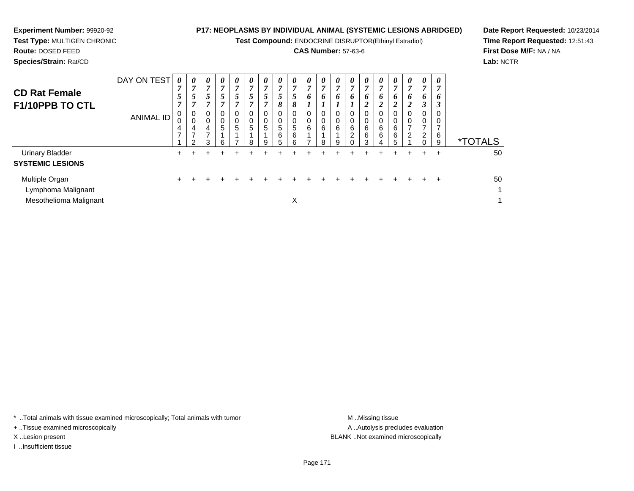**Test Compound:** ENDOCRINE DISRUPTOR(Ethinyl Estradiol)

### **CAS Number:** 57-63-6

**Date Report Requested:** 10/23/2014**Time Report Requested:** 12:51:43**First Dose M/F:** NA / NA**Lab:** NCTR

**Experiment Number:** 99920-92

| <b>CD Rat Female</b><br>F1/10PPB TO CTL                        | DAY ON TEST<br>ANIMAL ID | 0<br>$\overline{7}$<br>5<br>7<br>0<br>0<br>4<br>$\overline{ }$ | 0<br>$\mathbf{r}$<br>5<br>4<br>2 | 0<br>$\mathbf{r}$<br>$\mathcal{L}$<br>F.<br>0<br>0<br>4<br>$\overline{ }$<br>3 | 0<br>$\overline{7}$<br>5<br>σ<br>0<br>0<br>5<br>6 | $\boldsymbol{\theta}$<br>$\overline{ }$<br>5<br>,<br>0<br>$\mathbf 0$<br>5 | 0<br>7<br>5<br>0<br>0<br>5<br>8 | $\boldsymbol{\theta}$<br>7<br>$5\overline{)}$<br>σ<br>$\pmb{0}$<br>5<br>9 | $\boldsymbol{\theta}$<br>7<br>5<br>8<br>0<br>0<br>$5\overline{)}$<br>6<br>5 | 0<br>$\mathbf{r}$<br>5<br>8<br>0<br>0<br>5<br>6<br>6 | 0<br>7<br>6<br>0<br>$\mathbf 0$<br>6 | 0<br>7<br>6<br>0<br>0<br>6<br>8 | $\boldsymbol{\theta}$<br>$\overline{ }$<br>6<br>0<br>0<br>6<br>9 | $\boldsymbol{\theta}$<br>6<br>6<br>$\overline{2}$ | $\boldsymbol{\theta}$<br>7<br>6<br>∍<br>∠<br>$\mathbf 0$<br>$\mathbf 0$<br>6<br>6<br>3 | 0<br>7<br>6<br>$\boldsymbol{2}$<br>0<br>0<br>6<br>6<br>4 | 0<br>$\overline{ }$<br>6<br>2<br>0<br>6<br>6<br>5 | $\theta$<br>7<br>6<br>2<br>$\Omega$<br>$\mathbf 0$<br>7<br>2 | 0<br>7<br>6<br>3<br>0<br>0<br>7<br>$\overline{2}$ | $\theta$<br>$\overline{ }$<br>0<br>3<br>6<br>9 | <i><b>*TOTALS</b></i> |
|----------------------------------------------------------------|--------------------------|----------------------------------------------------------------|----------------------------------|--------------------------------------------------------------------------------|---------------------------------------------------|----------------------------------------------------------------------------|---------------------------------|---------------------------------------------------------------------------|-----------------------------------------------------------------------------|------------------------------------------------------|--------------------------------------|---------------------------------|------------------------------------------------------------------|---------------------------------------------------|----------------------------------------------------------------------------------------|----------------------------------------------------------|---------------------------------------------------|--------------------------------------------------------------|---------------------------------------------------|------------------------------------------------|-----------------------|
| <b>Urinary Bladder</b><br><b>SYSTEMIC LESIONS</b>              |                          | $+$                                                            | ÷.                               | ÷                                                                              |                                                   |                                                                            |                                 |                                                                           |                                                                             |                                                      |                                      |                                 |                                                                  |                                                   | +                                                                                      | ÷                                                        | $\pm$                                             | +                                                            | ÷                                                 | $\div$                                         | 50                    |
| Multiple Organ<br>Lymphoma Malignant<br>Mesothelioma Malignant |                          | $\pm$                                                          |                                  |                                                                                |                                                   | ÷                                                                          |                                 |                                                                           | ÷                                                                           | X                                                    |                                      |                                 |                                                                  |                                                   |                                                                                        | ÷.                                                       | $+$                                               | $\div$                                                       | $\div$                                            | ÷                                              | 50<br>-1<br>-4        |

\* ..Total animals with tissue examined microscopically; Total animals with tumor **M** . Missing tissue M ..Missing tissue

+ ..Tissue examined microscopically

I ..Insufficient tissue

A ..Autolysis precludes evaluation X ..Lesion present BLANK ..Not examined microscopically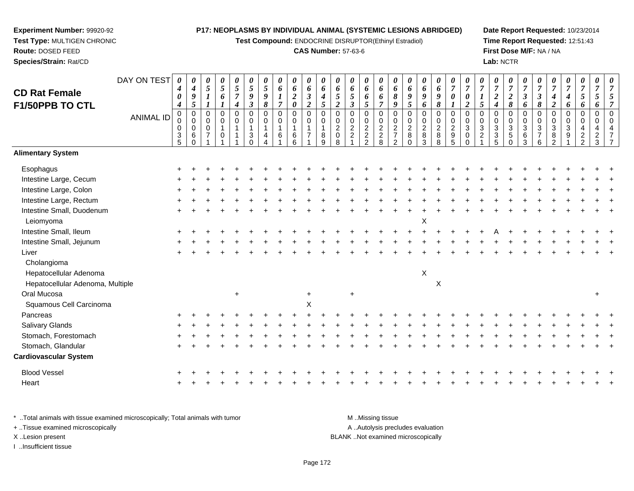**Test Compound:** ENDOCRINE DISRUPTOR(Ethinyl Estradiol)

#### **CAS Number:** 57-63-6

**Date Report Requested:** 10/23/2014**Time Report Requested:** 12:51:43**First Dose M/F:** NA / NA**Lab:** NCTR

| <b>CD Rat Female</b>                   | DAY ON TEST      | 0<br>$\boldsymbol{4}$                            | 0<br>$\boldsymbol{4}$                            | 0<br>5                                                      | 0<br>$\mathfrak{s}$               | 0<br>$\mathfrak{s}$                | 0<br>$\sqrt{5}$                                                           | 0<br>5                                | 0<br>6                                  | 0<br>6                             | 0<br>6                                            | 0<br>6                                           | 0<br>6                                                            | 0<br>6                                               | 0<br>6                                                    | 0<br>6                                                | 0<br>6                                                             | 0<br>6                                                                 | 0<br>6                             | 0<br>6                                               | 0<br>$\overline{7}$                                                                        | 0<br>$\overline{7}$                                                   | $\overline{7}$                                               | 0<br>$\overline{7}$                               | 0<br>$\boldsymbol{7}$                            | 0<br>$\overline{7}$                                      | 0<br>$\overline{7}$                                             | $\overline{7}$                                                   | 0<br>$\overline{7}$                | 0<br>$\boldsymbol{7}$                                                    | 0<br>$\overline{7}$                                                 | 0<br>$\overline{7}$ |
|----------------------------------------|------------------|--------------------------------------------------|--------------------------------------------------|-------------------------------------------------------------|-----------------------------------|------------------------------------|---------------------------------------------------------------------------|---------------------------------------|-----------------------------------------|------------------------------------|---------------------------------------------------|--------------------------------------------------|-------------------------------------------------------------------|------------------------------------------------------|-----------------------------------------------------------|-------------------------------------------------------|--------------------------------------------------------------------|------------------------------------------------------------------------|------------------------------------|------------------------------------------------------|--------------------------------------------------------------------------------------------|-----------------------------------------------------------------------|--------------------------------------------------------------|---------------------------------------------------|--------------------------------------------------|----------------------------------------------------------|-----------------------------------------------------------------|------------------------------------------------------------------|------------------------------------|--------------------------------------------------------------------------|---------------------------------------------------------------------|---------------------|
| F1/50PPB TO CTL                        |                  | 0<br>$\boldsymbol{4}$                            | 9<br>5                                           | $\bm{l}$                                                    | 6                                 | $\overline{7}$<br>$\boldsymbol{4}$ | 9<br>$\mathfrak{z}$                                                       | 9<br>8                                | 1<br>$\overline{7}$                     | $\boldsymbol{2}$<br>$\pmb{\theta}$ | $\boldsymbol{\beta}$<br>$\overline{2}$            | $\boldsymbol{4}$<br>5                            | 5<br>$\boldsymbol{2}$                                             | 5<br>$\boldsymbol{\beta}$                            | 6<br>5                                                    | 6<br>$\overline{7}$                                   | $\pmb{8}$<br>9                                                     | 9<br>$\mathfrak{s}$                                                    | 9<br>6                             | 9<br>8                                               | $\boldsymbol{\theta}$                                                                      | $\boldsymbol{\theta}$<br>$\boldsymbol{2}$                             | $\boldsymbol{l}$<br>$\mathfrak{s}$                           | $\overline{c}$<br>$\boldsymbol{4}$                | $\overline{2}$<br>8                              | 3<br>6                                                   | $\boldsymbol{\beta}$<br>8                                       | $\boldsymbol{4}$<br>$\boldsymbol{2}$                             | 4<br>6                             | 5<br>6                                                                   | 5<br>6                                                              |                     |
|                                        | <b>ANIMAL ID</b> | $\pmb{0}$<br>0<br>$\mathbf 0$<br>$\sqrt{3}$<br>5 | $\mathbf 0$<br>0<br>$\mathbf 0$<br>6<br>$\Omega$ | $\mathbf 0$<br>$\mathbf 0$<br>$\mathbf 0$<br>$\overline{7}$ | $\mathbf 0$<br>0<br>1<br>$\Omega$ | $\mathbf 0$<br>0<br>1              | $\mathbf 0$<br>0<br>$\mathbf{1}$<br>$\ensuremath{\mathsf{3}}$<br>$\Omega$ | $\mathbf 0$<br>0<br>$\mathbf{1}$<br>4 | $\overline{0}$<br>0<br>$\mathbf 1$<br>6 | $\mathbf 0$<br>0<br>6<br>6         | $\mathbf 0$<br>$\mathbf 0$<br>1<br>$\overline{7}$ | $\mathbf 0$<br>0<br>$\mathbf{1}$<br>$\bf 8$<br>9 | $\overline{0}$<br>$\mathbf 0$<br>$\overline{2}$<br>$\pmb{0}$<br>8 | $\mathbf 0$<br>0<br>$\overline{c}$<br>$\overline{a}$ | $\pmb{0}$<br>$\pmb{0}$<br>$\overline{2}$<br>$\frac{2}{2}$ | $\pmb{0}$<br>$\pmb{0}$<br>$\sqrt{2}$<br>$\frac{2}{8}$ | $\mathbf 0$<br>0<br>$\sqrt{2}$<br>$\overline{7}$<br>$\overline{2}$ | $\overline{0}$<br>$\mathbf 0$<br>$\overline{2}$<br>$\bf 8$<br>$\Omega$ | 0<br>0<br>$\overline{c}$<br>8<br>3 | $\pmb{0}$<br>$\pmb{0}$<br>$\overline{2}$<br>$_{8}^8$ | $\overline{0}$<br>$\mathbf 0$<br>$\boldsymbol{2}$<br>$\begin{array}{c} 9 \\ 5 \end{array}$ | $\mathbf 0$<br>$\mathbf 0$<br>$\mathbf{3}$<br>$\mathbf 0$<br>$\Omega$ | $\overline{0}$<br>$\Omega$<br>$\mathbf{3}$<br>$\overline{2}$ | $\Omega$<br>$\mathbf 0$<br>3<br>$\mathbf{3}$<br>5 | 0<br>0<br>$\mathbf{3}$<br>$\sqrt{5}$<br>$\Omega$ | $\mathbf 0$<br>$\mathbf 0$<br>$\sqrt{3}$<br>$\,6\,$<br>3 | $\mathbf 0$<br>$\mathbf 0$<br>$\sqrt{3}$<br>$\overline{7}$<br>6 | $\overline{0}$<br>$\Omega$<br>$\mathbf{3}$<br>8<br>$\mathcal{D}$ | 0<br>$\Omega$<br>$\mathbf{3}$<br>9 | $\mathbf 0$<br>0<br>$\overline{4}$<br>$\boldsymbol{2}$<br>$\mathfrak{p}$ | $\mathsf 0$<br>$\mathbf 0$<br>$\overline{4}$<br>$\overline{c}$<br>3 | $\Omega$            |
| <b>Alimentary System</b>               |                  |                                                  |                                                  |                                                             |                                   |                                    |                                                                           |                                       |                                         |                                    |                                                   |                                                  |                                                                   |                                                      |                                                           |                                                       |                                                                    |                                                                        |                                    |                                                      |                                                                                            |                                                                       |                                                              |                                                   |                                                  |                                                          |                                                                 |                                                                  |                                    |                                                                          |                                                                     |                     |
| Esophagus                              |                  |                                                  |                                                  |                                                             |                                   |                                    |                                                                           |                                       |                                         |                                    |                                                   |                                                  |                                                                   |                                                      |                                                           |                                                       |                                                                    |                                                                        |                                    |                                                      |                                                                                            |                                                                       |                                                              |                                                   |                                                  |                                                          |                                                                 |                                                                  |                                    |                                                                          |                                                                     |                     |
| Intestine Large, Cecum                 |                  |                                                  |                                                  |                                                             |                                   |                                    |                                                                           |                                       |                                         |                                    |                                                   |                                                  |                                                                   |                                                      |                                                           |                                                       |                                                                    |                                                                        |                                    |                                                      |                                                                                            |                                                                       |                                                              |                                                   |                                                  |                                                          |                                                                 |                                                                  |                                    |                                                                          |                                                                     |                     |
| Intestine Large, Colon                 |                  |                                                  |                                                  |                                                             |                                   |                                    |                                                                           |                                       |                                         |                                    |                                                   |                                                  |                                                                   |                                                      |                                                           |                                                       |                                                                    |                                                                        |                                    |                                                      |                                                                                            |                                                                       |                                                              |                                                   |                                                  |                                                          |                                                                 |                                                                  |                                    |                                                                          |                                                                     |                     |
| Intestine Large, Rectum                |                  |                                                  |                                                  |                                                             |                                   |                                    |                                                                           |                                       |                                         |                                    |                                                   |                                                  |                                                                   |                                                      |                                                           |                                                       |                                                                    |                                                                        |                                    |                                                      |                                                                                            |                                                                       |                                                              |                                                   |                                                  |                                                          |                                                                 |                                                                  |                                    |                                                                          |                                                                     |                     |
| Intestine Small, Duodenum<br>Leiomyoma |                  |                                                  |                                                  |                                                             |                                   |                                    |                                                                           |                                       |                                         |                                    |                                                   |                                                  |                                                                   |                                                      |                                                           |                                                       |                                                                    |                                                                        | X                                  |                                                      |                                                                                            |                                                                       |                                                              |                                                   |                                                  |                                                          |                                                                 |                                                                  |                                    |                                                                          |                                                                     |                     |
| Intestine Small, Ileum                 |                  |                                                  |                                                  |                                                             |                                   |                                    |                                                                           |                                       |                                         |                                    |                                                   |                                                  |                                                                   |                                                      |                                                           |                                                       |                                                                    |                                                                        |                                    |                                                      |                                                                                            |                                                                       |                                                              |                                                   |                                                  |                                                          |                                                                 |                                                                  |                                    |                                                                          |                                                                     |                     |
| Intestine Small, Jejunum               |                  |                                                  |                                                  |                                                             |                                   |                                    |                                                                           |                                       |                                         |                                    |                                                   |                                                  |                                                                   |                                                      |                                                           |                                                       |                                                                    |                                                                        |                                    |                                                      |                                                                                            |                                                                       |                                                              |                                                   |                                                  |                                                          |                                                                 |                                                                  |                                    |                                                                          |                                                                     |                     |
| Liver                                  |                  |                                                  |                                                  |                                                             |                                   |                                    |                                                                           |                                       |                                         |                                    |                                                   |                                                  |                                                                   |                                                      |                                                           |                                                       |                                                                    |                                                                        |                                    |                                                      |                                                                                            |                                                                       |                                                              |                                                   |                                                  |                                                          |                                                                 |                                                                  |                                    |                                                                          |                                                                     |                     |
| Cholangioma                            |                  |                                                  |                                                  |                                                             |                                   |                                    |                                                                           |                                       |                                         |                                    |                                                   |                                                  |                                                                   |                                                      |                                                           |                                                       |                                                                    |                                                                        |                                    |                                                      |                                                                                            |                                                                       |                                                              |                                                   |                                                  |                                                          |                                                                 |                                                                  |                                    |                                                                          |                                                                     |                     |
| Hepatocellular Adenoma                 |                  |                                                  |                                                  |                                                             |                                   |                                    |                                                                           |                                       |                                         |                                    |                                                   |                                                  |                                                                   |                                                      |                                                           |                                                       |                                                                    |                                                                        | X                                  |                                                      |                                                                                            |                                                                       |                                                              |                                                   |                                                  |                                                          |                                                                 |                                                                  |                                    |                                                                          |                                                                     |                     |
| Hepatocellular Adenoma, Multiple       |                  |                                                  |                                                  |                                                             |                                   |                                    |                                                                           |                                       |                                         |                                    |                                                   |                                                  |                                                                   |                                                      |                                                           |                                                       |                                                                    |                                                                        |                                    | $\pmb{\times}$                                       |                                                                                            |                                                                       |                                                              |                                                   |                                                  |                                                          |                                                                 |                                                                  |                                    |                                                                          |                                                                     |                     |
| Oral Mucosa                            |                  |                                                  |                                                  |                                                             |                                   |                                    |                                                                           |                                       |                                         |                                    |                                                   |                                                  |                                                                   |                                                      |                                                           |                                                       |                                                                    |                                                                        |                                    |                                                      |                                                                                            |                                                                       |                                                              |                                                   |                                                  |                                                          |                                                                 |                                                                  |                                    |                                                                          | $\pm$                                                               |                     |
| Squamous Cell Carcinoma                |                  |                                                  |                                                  |                                                             |                                   |                                    |                                                                           |                                       |                                         |                                    | X                                                 |                                                  |                                                                   |                                                      |                                                           |                                                       |                                                                    |                                                                        |                                    |                                                      |                                                                                            |                                                                       |                                                              |                                                   |                                                  |                                                          |                                                                 |                                                                  |                                    |                                                                          |                                                                     |                     |
| Pancreas                               |                  |                                                  |                                                  |                                                             |                                   |                                    |                                                                           |                                       |                                         |                                    |                                                   |                                                  |                                                                   |                                                      |                                                           |                                                       |                                                                    |                                                                        |                                    |                                                      |                                                                                            |                                                                       |                                                              |                                                   |                                                  |                                                          |                                                                 |                                                                  |                                    |                                                                          |                                                                     |                     |
| Salivary Glands                        |                  |                                                  |                                                  |                                                             |                                   |                                    |                                                                           |                                       |                                         |                                    |                                                   |                                                  |                                                                   |                                                      |                                                           |                                                       |                                                                    |                                                                        |                                    |                                                      |                                                                                            |                                                                       |                                                              |                                                   |                                                  |                                                          |                                                                 |                                                                  |                                    |                                                                          |                                                                     |                     |
| Stomach, Forestomach                   |                  |                                                  |                                                  |                                                             |                                   |                                    |                                                                           |                                       |                                         |                                    |                                                   |                                                  |                                                                   |                                                      |                                                           |                                                       |                                                                    |                                                                        |                                    |                                                      |                                                                                            |                                                                       |                                                              |                                                   |                                                  |                                                          |                                                                 |                                                                  |                                    |                                                                          |                                                                     |                     |
| Stomach, Glandular                     |                  |                                                  |                                                  |                                                             |                                   |                                    |                                                                           |                                       |                                         |                                    |                                                   |                                                  |                                                                   |                                                      |                                                           |                                                       |                                                                    |                                                                        |                                    |                                                      |                                                                                            |                                                                       |                                                              |                                                   |                                                  |                                                          |                                                                 |                                                                  |                                    |                                                                          |                                                                     |                     |
| <b>Cardiovascular System</b>           |                  |                                                  |                                                  |                                                             |                                   |                                    |                                                                           |                                       |                                         |                                    |                                                   |                                                  |                                                                   |                                                      |                                                           |                                                       |                                                                    |                                                                        |                                    |                                                      |                                                                                            |                                                                       |                                                              |                                                   |                                                  |                                                          |                                                                 |                                                                  |                                    |                                                                          |                                                                     |                     |
| <b>Blood Vessel</b>                    |                  |                                                  |                                                  |                                                             |                                   |                                    |                                                                           |                                       |                                         |                                    |                                                   |                                                  |                                                                   |                                                      |                                                           |                                                       |                                                                    |                                                                        |                                    |                                                      |                                                                                            |                                                                       |                                                              |                                                   |                                                  |                                                          |                                                                 |                                                                  |                                    |                                                                          |                                                                     |                     |
| Heart                                  |                  |                                                  |                                                  |                                                             |                                   |                                    |                                                                           |                                       |                                         |                                    |                                                   |                                                  |                                                                   |                                                      |                                                           |                                                       |                                                                    |                                                                        |                                    |                                                      |                                                                                            |                                                                       |                                                              |                                                   |                                                  |                                                          |                                                                 |                                                                  |                                    |                                                                          |                                                                     |                     |
|                                        |                  |                                                  |                                                  |                                                             |                                   |                                    |                                                                           |                                       |                                         |                                    |                                                   |                                                  |                                                                   |                                                      |                                                           |                                                       |                                                                    |                                                                        |                                    |                                                      |                                                                                            |                                                                       |                                                              |                                                   |                                                  |                                                          |                                                                 |                                                                  |                                    |                                                                          |                                                                     |                     |

\* ..Total animals with tissue examined microscopically; Total animals with tumor **M** . Missing tissue M ..Missing tissue A ..Autolysis precludes evaluation + ..Tissue examined microscopically X ..Lesion present BLANK ..Not examined microscopicallyI ..Insufficient tissue

**Experiment Number:** 99920-92**Test Type:** MULTIGEN CHRONIC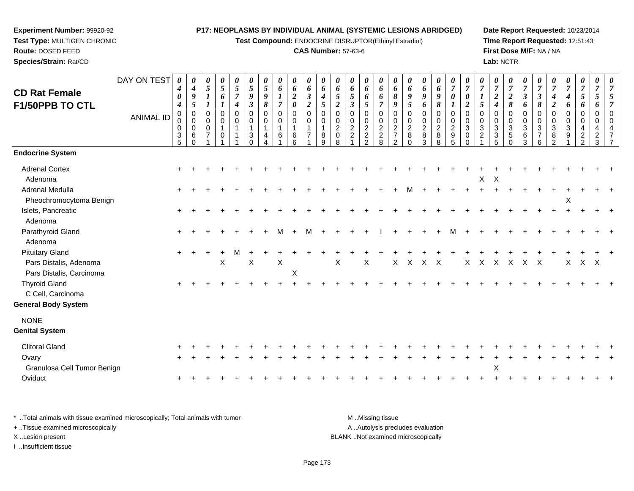**Test Compound:** ENDOCRINE DISRUPTOR(Ethinyl Estradiol)

#### **CAS Number:** 57-63-6

**Date Report Requested:** 10/23/2014**Time Report Requested:** 12:51:43**First Dose M/F:** NA / NA**Lab:** NCTR

| <b>CD Rat Female</b><br>F1/50PPB TO CTL                                      | DAY ON TEST      | 0<br>4<br>0<br>4        | 0<br>$\boldsymbol{4}$<br>9<br>5            | 0<br>$\overline{5}$<br>1                | 0<br>5<br>6<br>1                      | 0<br>5<br>$\overline{7}$<br>$\boldsymbol{4}$         | 0<br>5<br>9<br>$\boldsymbol{\beta}$ | 0<br>5<br>9<br>8 | 0<br>6<br>$\boldsymbol{l}$<br>$\overline{7}$ | 0<br>6<br>$\boldsymbol{2}$<br>$\boldsymbol{\theta}$    | 0<br>6<br>$\boldsymbol{\beta}$<br>$\boldsymbol{2}$ | 0<br>6<br>$\boldsymbol{4}$<br>$\mathfrak{s}$                   | 0<br>6<br>5<br>$\overline{2}$                          | 0<br>6<br>5<br>$\mathfrak{z}$ | 0<br>6<br>6<br>5                                  | 0<br>6<br>6<br>$\overline{7}$                    | 0<br>6<br>8<br>9                                                                    | 0<br>6<br>9<br>5                                          | 0<br>6<br>9<br>6                         | 0<br>6<br>9<br>8             | 0<br>$\boldsymbol{7}$<br>0<br>1                             | 0<br>$\overline{7}$<br>$\boldsymbol{\theta}$<br>$\boldsymbol{2}$    | 0<br>$\overline{7}$<br>$\boldsymbol{l}$<br>5 | 0<br>$\overline{7}$<br>$\boldsymbol{2}$<br>$\boldsymbol{4}$ | 0<br>$\overline{7}$<br>2<br>8           | 0<br>$\overline{7}$<br>$\boldsymbol{\beta}$<br>6 | 0<br>$\overline{7}$<br>$\boldsymbol{\beta}$<br>8 | 0<br>$\boldsymbol{7}$<br>$\boldsymbol{4}$<br>$\boldsymbol{2}$ | 0<br>$\overline{7}$<br>$\boldsymbol{4}$<br>6        | 0<br>$\overline{7}$<br>5<br>6                   | 0<br>7<br>5<br>6                          | 0<br>$\overline{7}$<br>5<br>$\overline{7}$                       |
|------------------------------------------------------------------------------|------------------|-------------------------|--------------------------------------------|-----------------------------------------|---------------------------------------|------------------------------------------------------|-------------------------------------|------------------|----------------------------------------------|--------------------------------------------------------|----------------------------------------------------|----------------------------------------------------------------|--------------------------------------------------------|-------------------------------|---------------------------------------------------|--------------------------------------------------|-------------------------------------------------------------------------------------|-----------------------------------------------------------|------------------------------------------|------------------------------|-------------------------------------------------------------|---------------------------------------------------------------------|----------------------------------------------|-------------------------------------------------------------|-----------------------------------------|--------------------------------------------------|--------------------------------------------------|---------------------------------------------------------------|-----------------------------------------------------|-------------------------------------------------|-------------------------------------------|------------------------------------------------------------------|
|                                                                              | <b>ANIMAL ID</b> | 0<br>0<br>$\frac{3}{5}$ | 0<br>$\pmb{0}$<br>0<br>$\,6\,$<br>$\Omega$ | 0<br>0<br>$\mathbf 0$<br>$\overline{7}$ | 0<br>0<br>$\mathbf{1}$<br>$\mathbf 0$ | $\mathbf 0$<br>0<br>$\overline{1}$<br>$\overline{1}$ | 0<br>0<br>1<br>3                    | 0<br>0<br>4      | $\pmb{0}$<br>$\pmb{0}$<br>6                  | $\pmb{0}$<br>$\mathbf 0$<br>$\mathbf{1}$<br>$\,6$<br>6 | 0<br>0<br>$\overline{7}$                           | $\mathbf 0$<br>$\Omega$<br>$\overline{1}$<br>8<br>$\mathsf{Q}$ | 0<br>$\mathbf 0$<br>$\overline{c}$<br>$\mathsf 0$<br>8 | 0<br>0<br>$\frac{2}{2}$       | 0<br>$\pmb{0}$<br>$\frac{2}{2}$<br>$\overline{2}$ | $\mathbf 0$<br>$\mathbf 0$<br>$\frac{2}{2}$<br>8 | $\mathbf 0$<br>$\mathop{2}\limits^{\mathbb{O}}$<br>$\overline{7}$<br>$\overline{2}$ | 0<br>$\mathbf 0$<br>$\overline{c}$<br>$\,8\,$<br>$\Omega$ | 0<br>0<br>$\overline{c}$<br>$\,8\,$<br>3 | 0<br>0<br>$\frac{2}{8}$<br>8 | 0<br>$\pmb{0}$<br>$\boldsymbol{2}$<br>$\boldsymbol{9}$<br>5 | $\mathbf 0$<br>$\mathbf 0$<br>$\sqrt{3}$<br>$\mathbf 0$<br>$\Omega$ | 0<br>0<br>$\sqrt{3}$<br>$\overline{c}$       | 0<br>$\pmb{0}$<br>$\mathbf{3}$<br>$\mathbf{3}$<br>5         | 0<br>0<br>$\mathbf{3}$<br>5<br>$\Omega$ | 0<br>$\mathbf 0$<br>$\sqrt{3}$<br>$\,6\,$<br>3   | 0<br>0<br>$\sqrt{3}$<br>$\overline{7}$<br>6      | 0<br>$\mathbf 0$<br>$\mathbf{3}$<br>8<br>$\overline{2}$       | $\mathbf 0$<br>$\mathbf 0$<br>$\mathbf{3}$<br>$9\,$ | 0<br>0<br>4<br>$\overline{c}$<br>$\overline{2}$ | 0<br>$\Omega$<br>4<br>$\overline{c}$<br>3 | $\Omega$<br>$\mathbf 0$<br>$\overline{4}$<br>$\overline{7}$<br>7 |
| <b>Endocrine System</b>                                                      |                  |                         |                                            |                                         |                                       |                                                      |                                     |                  |                                              |                                                        |                                                    |                                                                |                                                        |                               |                                                   |                                                  |                                                                                     |                                                           |                                          |                              |                                                             |                                                                     |                                              |                                                             |                                         |                                                  |                                                  |                                                               |                                                     |                                                 |                                           |                                                                  |
| <b>Adrenal Cortex</b><br>Adenoma                                             |                  |                         |                                            |                                         |                                       |                                                      |                                     |                  |                                              |                                                        |                                                    |                                                                |                                                        |                               |                                                   |                                                  |                                                                                     |                                                           |                                          |                              |                                                             |                                                                     | X                                            | $\boldsymbol{\mathsf{X}}$                                   |                                         |                                                  |                                                  |                                                               |                                                     |                                                 |                                           |                                                                  |
| Adrenal Medulla<br>Pheochromocytoma Benign                                   |                  |                         |                                            |                                         |                                       |                                                      |                                     |                  |                                              |                                                        |                                                    |                                                                |                                                        |                               |                                                   |                                                  |                                                                                     | м                                                         |                                          |                              |                                                             |                                                                     | $+$                                          |                                                             |                                         |                                                  |                                                  |                                                               | X                                                   |                                                 |                                           |                                                                  |
| Islets, Pancreatic<br>Adenoma                                                |                  |                         |                                            |                                         |                                       |                                                      |                                     |                  |                                              |                                                        |                                                    |                                                                |                                                        |                               |                                                   |                                                  |                                                                                     |                                                           |                                          |                              |                                                             |                                                                     |                                              |                                                             |                                         |                                                  |                                                  |                                                               |                                                     |                                                 |                                           |                                                                  |
| Parathyroid Gland<br>Adenoma                                                 |                  |                         |                                            |                                         |                                       |                                                      |                                     |                  | м                                            |                                                        |                                                    |                                                                |                                                        |                               |                                                   |                                                  |                                                                                     |                                                           |                                          |                              |                                                             |                                                                     |                                              |                                                             |                                         |                                                  |                                                  |                                                               |                                                     |                                                 |                                           |                                                                  |
| <b>Pituitary Gland</b><br>Pars Distalis, Adenoma<br>Pars Distalis, Carcinoma |                  | $\ddot{}$               |                                            |                                         | $\mathsf X$                           |                                                      | X                                   |                  | $\mathsf X$                                  | $\boldsymbol{\mathsf{X}}$                              |                                                    |                                                                | X                                                      |                               | X                                                 |                                                  | $\times$                                                                            | $\mathsf{X}$                                              | X X                                      |                              |                                                             |                                                                     | X X                                          | $\mathsf{X}$                                                | $\mathsf{X}$                            | X X                                              |                                                  |                                                               | X                                                   | X X                                             |                                           |                                                                  |
| <b>Thyroid Gland</b><br>C Cell, Carcinoma<br><b>General Body System</b>      |                  | $\ddot{}$               |                                            |                                         |                                       |                                                      |                                     |                  |                                              |                                                        |                                                    |                                                                |                                                        |                               |                                                   |                                                  |                                                                                     |                                                           |                                          |                              |                                                             |                                                                     |                                              |                                                             |                                         |                                                  |                                                  |                                                               |                                                     |                                                 |                                           |                                                                  |
| <b>NONE</b><br><b>Genital System</b>                                         |                  |                         |                                            |                                         |                                       |                                                      |                                     |                  |                                              |                                                        |                                                    |                                                                |                                                        |                               |                                                   |                                                  |                                                                                     |                                                           |                                          |                              |                                                             |                                                                     |                                              |                                                             |                                         |                                                  |                                                  |                                                               |                                                     |                                                 |                                           |                                                                  |
| <b>Clitoral Gland</b>                                                        |                  |                         |                                            |                                         |                                       |                                                      |                                     |                  |                                              |                                                        |                                                    |                                                                |                                                        |                               |                                                   |                                                  |                                                                                     |                                                           |                                          |                              |                                                             |                                                                     |                                              |                                                             |                                         |                                                  |                                                  |                                                               |                                                     |                                                 |                                           |                                                                  |
| Ovary<br>Granulosa Cell Tumor Benign                                         |                  |                         |                                            |                                         |                                       |                                                      |                                     |                  |                                              |                                                        |                                                    |                                                                |                                                        |                               |                                                   |                                                  |                                                                                     |                                                           |                                          |                              |                                                             |                                                                     |                                              | X                                                           |                                         |                                                  |                                                  |                                                               |                                                     |                                                 |                                           |                                                                  |
| Oviduct                                                                      |                  | $\ddot{}$               |                                            |                                         |                                       |                                                      |                                     |                  |                                              |                                                        |                                                    |                                                                |                                                        |                               |                                                   |                                                  |                                                                                     |                                                           |                                          |                              |                                                             |                                                                     |                                              |                                                             |                                         |                                                  |                                                  |                                                               |                                                     |                                                 |                                           |                                                                  |

\* ..Total animals with tissue examined microscopically; Total animals with tumor **M** . Missing tissue M ..Missing tissue A ..Autolysis precludes evaluation + ..Tissue examined microscopically X ..Lesion present BLANK ..Not examined microscopicallyI ..Insufficient tissue

**Experiment Number:** 99920-92**Test Type:** MULTIGEN CHRONIC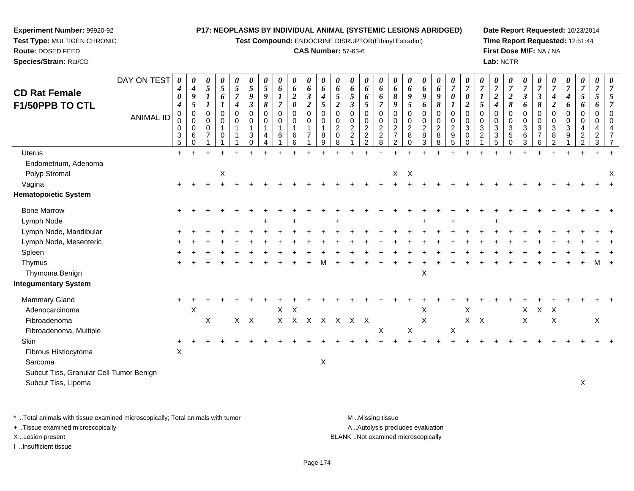**Test Compound:** ENDOCRINE DISRUPTOR(Ethinyl Estradiol)

#### **CAS Number:** 57-63-6

**Date Report Requested:** 10/23/2014**Time Report Requested:** 12:51:44**First Dose M/F:** NA / NA**Lab:** NCTR

| <b>CD Rat Female</b>                                           | DAY ON TEST      | 4<br>0                                                     | 0<br>$\boldsymbol{4}$<br>$\boldsymbol{g}$                       | 0<br>$\mathfrak{s}$<br>$\boldsymbol{l}$      | 0<br>5<br>6                                | 0<br>$\mathfrak{s}$<br>$\boldsymbol{7}$              | $\boldsymbol{\theta}$<br>$\mathfrak{s}$<br>$\boldsymbol{9}$ | 0<br>5<br>9                          | 0<br>$\boldsymbol{6}$<br>1         | 0<br>6<br>$\boldsymbol{2}$                                          | 0<br>$\boldsymbol{6}$<br>$\boldsymbol{\beta}$                       | $\boldsymbol{\theta}$<br>6<br>$\boldsymbol{4}$ | 0<br>6<br>$\mathfrak{s}$                                              | 0<br>6<br>$\sqrt{5}$                                                   | 0<br>6<br>6                                              | 0<br>6<br>6                               | $\boldsymbol{\theta}$<br>6<br>$\pmb{8}$                                       | 0<br>6<br>9                                                              | 0<br>$\boldsymbol{6}$<br>9                | 0<br>6<br>9                                                 | $\frac{\theta}{7}$<br>$\pmb{\theta}$                | $\overline{7}$<br>$\boldsymbol{\theta}$   | $\overline{7}$                            | 0<br>$\overline{7}$<br>$\boldsymbol{2}$   | 0<br>$\boldsymbol{7}$<br>$\boldsymbol{2}$         | 0<br>$\overline{7}$<br>$\boldsymbol{\beta}$ | $\overline{7}$<br>$\boldsymbol{\beta}$            | $\boldsymbol{\theta}$<br>$\overline{7}$<br>$\boldsymbol{4}$                 | 0<br>$\boldsymbol{7}$<br>$\boldsymbol{4}$ | 0<br>$\boldsymbol{7}$<br>$\mathfrak{s}$               | 0<br>$\overline{7}$<br>5                    |                                        |
|----------------------------------------------------------------|------------------|------------------------------------------------------------|-----------------------------------------------------------------|----------------------------------------------|--------------------------------------------|------------------------------------------------------|-------------------------------------------------------------|--------------------------------------|------------------------------------|---------------------------------------------------------------------|---------------------------------------------------------------------|------------------------------------------------|-----------------------------------------------------------------------|------------------------------------------------------------------------|----------------------------------------------------------|-------------------------------------------|-------------------------------------------------------------------------------|--------------------------------------------------------------------------|-------------------------------------------|-------------------------------------------------------------|-----------------------------------------------------|-------------------------------------------|-------------------------------------------|-------------------------------------------|---------------------------------------------------|---------------------------------------------|---------------------------------------------------|-----------------------------------------------------------------------------|-------------------------------------------|-------------------------------------------------------|---------------------------------------------|----------------------------------------|
| <b>F1/50PPB TO CTL</b>                                         | <b>ANIMAL ID</b> | $\boldsymbol{4}$<br>$\mathbf 0$<br>0<br>0<br>$\frac{3}{5}$ | 5<br>$\mathbf 0$<br>$\mathbf 0$<br>$\mathbf 0$<br>6<br>$\Omega$ | 1<br>0<br>0<br>$\mathbf 0$<br>$\overline{7}$ | 1<br>0<br>$\mathbf 0$<br>$\mathbf{1}$<br>0 | $\boldsymbol{4}$<br>$\mathbf 0$<br>0<br>$\mathbf{1}$ | $\boldsymbol{\beta}$<br>$\mathbf 0$<br>0<br>3<br>0          | 8<br>$\mathbf 0$<br>$\mathbf 0$<br>4 | $\overline{7}$<br>0<br>0<br>1<br>6 | $\boldsymbol{\theta}$<br>$\mathbf 0$<br>0<br>$\mathbf{1}$<br>6<br>6 | $\overline{2}$<br>$\mathbf 0$<br>0<br>$\mathbf 1$<br>$\overline{7}$ | 5<br>$\Omega$<br>0<br>8<br>9                   | $\overline{2}$<br>$\Omega$<br>0<br>$\overline{c}$<br>$\mathbf 0$<br>8 | $\mathfrak{z}$<br>0<br>$\mathbf 0$<br>$\overline{2}$<br>$\overline{c}$ | 5<br>$\mathbf 0$<br>0<br>$\overline{c}$<br>$\frac{2}{2}$ | $\overline{7}$<br>0<br>0<br>$\frac{2}{8}$ | 9<br>$\mathbf 0$<br>0<br>$\boldsymbol{2}$<br>$\overline{7}$<br>$\overline{2}$ | $\mathfrak{s}$<br>$\mathbf 0$<br>0<br>$\overline{c}$<br>8<br>$\mathbf 0$ | 6<br>0<br>0<br>$\boldsymbol{2}$<br>8<br>3 | 8<br>$\mathbf 0$<br>$\mathbf 0$<br>$\overline{c}$<br>8<br>8 | $\mathbf 0$<br>0<br>$\frac{2}{9}$<br>$\overline{5}$ | $\boldsymbol{2}$<br>0<br>0<br>3<br>0<br>0 | 5<br>$\Omega$<br>0<br>3<br>$\overline{c}$ | $\boldsymbol{4}$<br>0<br>0<br>3<br>3<br>5 | 8<br>$\Omega$<br>0<br>$\sqrt{3}$<br>5<br>$\Omega$ | 6<br>$\mathbf 0$<br>0<br>3<br>6<br>3        | 8<br>$\mathbf 0$<br>0<br>3<br>$\overline{7}$<br>6 | $\boldsymbol{2}$<br>$\mathbf 0$<br>0<br>$\mathbf{3}$<br>8<br>$\overline{2}$ | 6<br>0<br>0<br>$\mathbf{3}$<br>9          | 6<br>$\mathbf 0$<br>$\mathbf 0$<br>4<br>$\frac{2}{2}$ | 6<br>$\mathbf 0$<br>0<br>4<br>$\frac{2}{3}$ | $\overline{7}$<br>$\Omega$<br>$\Omega$ |
| <b>Uterus</b>                                                  |                  | $\ddot{}$                                                  |                                                                 |                                              |                                            |                                                      |                                                             |                                      |                                    |                                                                     |                                                                     |                                                |                                                                       |                                                                        |                                                          |                                           |                                                                               |                                                                          |                                           |                                                             |                                                     |                                           |                                           |                                           |                                                   |                                             |                                                   |                                                                             |                                           |                                                       |                                             |                                        |
| Endometrium, Adenoma<br>Polyp Stromal                          |                  |                                                            |                                                                 |                                              | X                                          |                                                      |                                                             |                                      |                                    |                                                                     |                                                                     |                                                |                                                                       |                                                                        |                                                          |                                           | $\mathsf{X}$                                                                  | $\mathsf{X}$                                                             |                                           |                                                             |                                                     |                                           |                                           |                                           |                                                   |                                             |                                                   |                                                                             |                                           |                                                       |                                             | Χ                                      |
| Vagina                                                         |                  | $+$                                                        |                                                                 |                                              |                                            |                                                      |                                                             |                                      |                                    |                                                                     |                                                                     |                                                |                                                                       |                                                                        |                                                          |                                           |                                                                               |                                                                          |                                           |                                                             |                                                     |                                           |                                           |                                           |                                                   |                                             |                                                   |                                                                             |                                           |                                                       |                                             |                                        |
| Hematopoietic System                                           |                  |                                                            |                                                                 |                                              |                                            |                                                      |                                                             |                                      |                                    |                                                                     |                                                                     |                                                |                                                                       |                                                                        |                                                          |                                           |                                                                               |                                                                          |                                           |                                                             |                                                     |                                           |                                           |                                           |                                                   |                                             |                                                   |                                                                             |                                           |                                                       |                                             |                                        |
| <b>Bone Marrow</b><br>Lymph Node                               |                  |                                                            |                                                                 |                                              |                                            |                                                      |                                                             |                                      |                                    |                                                                     |                                                                     |                                                |                                                                       |                                                                        |                                                          |                                           |                                                                               |                                                                          |                                           |                                                             |                                                     |                                           |                                           |                                           |                                                   |                                             |                                                   |                                                                             |                                           |                                                       |                                             |                                        |
| Lymph Node, Mandibular                                         |                  |                                                            |                                                                 |                                              |                                            |                                                      |                                                             |                                      |                                    |                                                                     |                                                                     |                                                |                                                                       |                                                                        |                                                          |                                           |                                                                               |                                                                          |                                           |                                                             |                                                     |                                           |                                           |                                           |                                                   |                                             |                                                   |                                                                             |                                           |                                                       |                                             |                                        |
| Lymph Node, Mesenteric                                         |                  |                                                            |                                                                 |                                              |                                            |                                                      |                                                             |                                      |                                    |                                                                     |                                                                     |                                                |                                                                       |                                                                        |                                                          |                                           |                                                                               |                                                                          |                                           |                                                             |                                                     |                                           |                                           |                                           |                                                   |                                             |                                                   |                                                                             |                                           |                                                       |                                             |                                        |
| Spleen                                                         |                  |                                                            |                                                                 |                                              |                                            |                                                      |                                                             |                                      |                                    |                                                                     |                                                                     |                                                |                                                                       |                                                                        |                                                          |                                           |                                                                               |                                                                          |                                           |                                                             |                                                     |                                           |                                           |                                           |                                                   |                                             |                                                   |                                                                             |                                           |                                                       |                                             |                                        |
| Thymus<br>Thymoma Benign                                       |                  |                                                            |                                                                 |                                              |                                            |                                                      |                                                             |                                      |                                    |                                                                     |                                                                     |                                                |                                                                       |                                                                        |                                                          |                                           |                                                                               |                                                                          | X                                         |                                                             |                                                     |                                           |                                           |                                           |                                                   |                                             |                                                   |                                                                             |                                           |                                                       |                                             |                                        |
| <b>Integumentary System</b>                                    |                  |                                                            |                                                                 |                                              |                                            |                                                      |                                                             |                                      |                                    |                                                                     |                                                                     |                                                |                                                                       |                                                                        |                                                          |                                           |                                                                               |                                                                          |                                           |                                                             |                                                     |                                           |                                           |                                           |                                                   |                                             |                                                   |                                                                             |                                           |                                                       |                                             |                                        |
| <b>Mammary Gland</b>                                           |                  |                                                            |                                                                 |                                              |                                            |                                                      |                                                             |                                      |                                    |                                                                     |                                                                     |                                                |                                                                       |                                                                        |                                                          |                                           |                                                                               |                                                                          |                                           |                                                             |                                                     |                                           |                                           |                                           |                                                   |                                             |                                                   |                                                                             |                                           |                                                       |                                             |                                        |
| Adenocarcinoma                                                 |                  |                                                            | X                                                               |                                              |                                            |                                                      |                                                             |                                      | $X$ $X$                            |                                                                     |                                                                     |                                                |                                                                       |                                                                        |                                                          |                                           |                                                                               |                                                                          | X                                         |                                                             |                                                     | X                                         |                                           |                                           |                                                   | X                                           | $X$ $X$                                           |                                                                             |                                           |                                                       |                                             |                                        |
| Fibroadenoma                                                   |                  |                                                            |                                                                 | $\mathsf X$                                  |                                            | $\mathsf{X}$                                         | $\mathsf{X}$                                                |                                      |                                    |                                                                     | X X X X X X X                                                       |                                                |                                                                       |                                                                        |                                                          |                                           |                                                                               |                                                                          | X                                         |                                                             |                                                     | $X$ $X$                                   |                                           |                                           |                                                   | X                                           |                                                   | $\mathsf X$                                                                 |                                           |                                                       | X                                           |                                        |
| Fibroadenoma, Multiple                                         |                  |                                                            |                                                                 |                                              |                                            |                                                      |                                                             |                                      |                                    |                                                                     |                                                                     |                                                |                                                                       |                                                                        |                                                          | X                                         |                                                                               | $\pmb{\times}$                                                           |                                           |                                                             | $\times$                                            |                                           |                                           |                                           |                                                   |                                             |                                                   |                                                                             |                                           |                                                       |                                             |                                        |
| <b>Skin</b>                                                    |                  |                                                            |                                                                 |                                              |                                            |                                                      |                                                             |                                      |                                    |                                                                     |                                                                     |                                                |                                                                       |                                                                        |                                                          |                                           |                                                                               |                                                                          |                                           |                                                             |                                                     |                                           |                                           |                                           |                                                   |                                             |                                                   |                                                                             |                                           |                                                       |                                             |                                        |
| Fibrous Histiocytoma                                           |                  | X                                                          |                                                                 |                                              |                                            |                                                      |                                                             |                                      |                                    |                                                                     |                                                                     |                                                |                                                                       |                                                                        |                                                          |                                           |                                                                               |                                                                          |                                           |                                                             |                                                     |                                           |                                           |                                           |                                                   |                                             |                                                   |                                                                             |                                           |                                                       |                                             |                                        |
| Sarcoma                                                        |                  |                                                            |                                                                 |                                              |                                            |                                                      |                                                             |                                      |                                    |                                                                     |                                                                     | X                                              |                                                                       |                                                                        |                                                          |                                           |                                                                               |                                                                          |                                           |                                                             |                                                     |                                           |                                           |                                           |                                                   |                                             |                                                   |                                                                             |                                           |                                                       |                                             |                                        |
| Subcut Tiss, Granular Cell Tumor Benign<br>Subcut Tiss, Lipoma |                  |                                                            |                                                                 |                                              |                                            |                                                      |                                                             |                                      |                                    |                                                                     |                                                                     |                                                |                                                                       |                                                                        |                                                          |                                           |                                                                               |                                                                          |                                           |                                                             |                                                     |                                           |                                           |                                           |                                                   |                                             |                                                   |                                                                             |                                           | X                                                     |                                             |                                        |
|                                                                |                  |                                                            |                                                                 |                                              |                                            |                                                      |                                                             |                                      |                                    |                                                                     |                                                                     |                                                |                                                                       |                                                                        |                                                          |                                           |                                                                               |                                                                          |                                           |                                                             |                                                     |                                           |                                           |                                           |                                                   |                                             |                                                   |                                                                             |                                           |                                                       |                                             |                                        |

\* ..Total animals with tissue examined microscopically; Total animals with tumor **M** . Missing tissue M ..Missing tissue

+ ..Tissue examined microscopically

**Experiment Number:** 99920-92**Test Type:** MULTIGEN CHRONIC

**Route:** DOSED FEED**Species/Strain:** Rat/CD

I ..Insufficient tissue

A ..Autolysis precludes evaluation

X ..Lesion present BLANK ..Not examined microscopically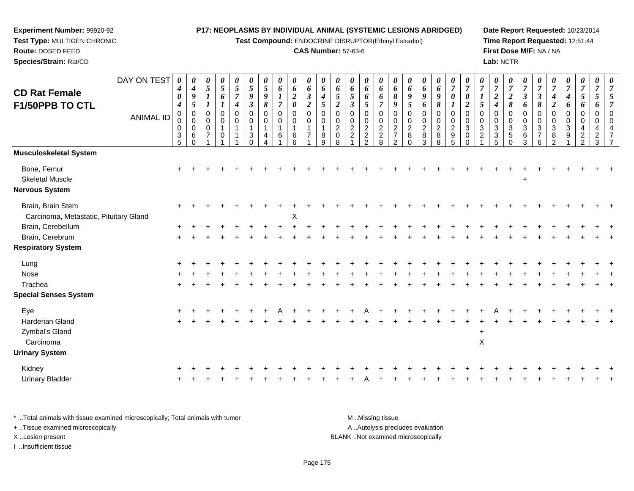**Test Compound:** ENDOCRINE DISRUPTOR(Ethinyl Estradiol)

#### **CAS Number:** 57-63-6

**Date Report Requested:** 10/23/2014**Time Report Requested:** 12:51:44**First Dose M/F:** NA / NA**Lab:** NCTR

| <b>CD Rat Female</b><br>F1/50PPB TO CTL                     | DAY ON TEST<br><b>ANIMAL ID</b> | $\boldsymbol{\theta}$<br>$\boldsymbol{4}$<br>0<br>$\boldsymbol{4}$<br>$\mathbf 0$<br>0<br>0<br>$\frac{3}{5}$ | $\boldsymbol{\theta}$<br>$\boldsymbol{4}$<br>$\boldsymbol{9}$<br>5<br>$\mathbf 0$<br>$\mathbf 0$<br>$\mathbf 0$<br>6<br>$\Omega$ | 0<br>5<br>0<br>0<br>$\mathbf 0$ | $\pmb{\theta}$<br>$\sqrt{5}$<br>6<br>$\mathbf 0$<br>0<br>$\mathbf{1}$<br>0 | 0<br>$\sqrt{5}$<br>$\overline{7}$<br>$\boldsymbol{4}$<br>$\pmb{0}$<br>$\mathbf 0$ | 0<br>$\overline{5}$<br>9<br>$\boldsymbol{\beta}$<br>$\mathbf 0$<br>0<br>$\overline{1}$<br>3 | 0<br>5<br>9<br>8<br>$\mathbf 0$<br>$\Omega$<br>-1<br>4 | 0<br>6<br>$\overline{7}$<br>0<br>$\mathbf 0$<br>6 | $\pmb{\theta}$<br>6<br>$\boldsymbol{2}$<br>$\boldsymbol{\theta}$<br>$\mathbf 0$<br>0<br>$\mathbf{1}$<br>$\,6$<br>6 | 0<br>6<br>$\boldsymbol{\beta}$<br>$\boldsymbol{2}$<br>$\pmb{0}$<br>$\mathbf 0$<br>$\mathbf 1$<br>$\overline{7}$ | 0<br>6<br>$\boldsymbol{4}$<br>5<br>0<br>$\mathbf 0$<br>$\mathbf{1}$<br>8<br>9 | 0<br>6<br>5<br>$\overline{2}$<br>$\pmb{0}$<br>$\mathbf 0$<br>$\overline{2}$<br>$\mathbf 0$<br>8 | 0<br>6<br>5<br>3<br>$\mathbf 0$<br>$\Omega$<br>$\overline{c}$<br>$\overline{2}$ | $\pmb{\theta}$<br>6<br>6<br>5<br>$\mathbf 0$<br>$\begin{smallmatrix} 0\\ 2 \end{smallmatrix}$<br>$\frac{2}{2}$ | 0<br>6<br>6<br>$\overline{7}$<br>$\mathbf 0$<br>$\pmb{0}$<br>$\sqrt{2}$<br>$_{\rm 8}^2$ | 0<br>6<br>$\pmb{8}$<br>9<br>0<br>$\mathbf 0$<br>$\sqrt{2}$<br>$\overline{7}$<br>2 | 0<br>6<br>9<br>5<br>$\mathbf 0$<br>$\mathbf 0$<br>$\overline{2}$<br>8<br>$\Omega$ | 0<br>6<br>9<br>6<br>0<br>0<br>$\sqrt{2}$<br>8<br>3 | $\pmb{\theta}$<br>6<br>9<br>8<br>0<br>$^{\rm 0}_{\rm 2}$<br>$_{8}^8$ | $\pmb{\theta}$<br>$\overline{7}$<br>$\pmb{\theta}$<br>$\pmb{0}$<br>$\mathsf{O}\xspace$<br>$\sqrt{2}$<br>$\begin{array}{c} 9 \\ 5 \end{array}$ | 0<br>$\overline{7}$<br>$\boldsymbol{\theta}$<br>$\boldsymbol{2}$<br>$\mathbf 0$<br>$\Omega$<br>3<br>0<br>0 | 0<br>$\overline{7}$<br>$\boldsymbol{l}$<br>5<br>$\overline{0}$<br>$\Omega$<br>$\mathbf{3}$<br>$\overline{2}$ | 0<br>$\overline{7}$<br>$\overline{c}$<br>4<br>$\mathbf 0$<br>$\mathbf 0$<br>$\mathbf{3}$<br>3<br>5 | $\pmb{\theta}$<br>$\overline{7}$<br>$\boldsymbol{2}$<br>8<br>$\pmb{0}$<br>0<br>$\ensuremath{\mathsf{3}}$<br>$\sqrt{5}$<br>$\Omega$ | 0<br>$\overline{7}$<br>$\boldsymbol{\beta}$<br>6<br>$\pmb{0}$<br>$\mathbf 0$<br>$\sqrt{3}$<br>$\,6$<br>3 | 0<br>$\overline{7}$<br>$\boldsymbol{\beta}$<br>$\pmb{8}$<br>0<br>$\Omega$<br>3<br>$\overline{7}$<br>6 | $\overline{7}$<br>$\overline{c}$<br>$\mathbf 0$<br>$\Omega$<br>3<br>8 | 0<br>$\overline{7}$<br>4<br>6<br>0<br>$\Omega$<br>3<br>9 | 0<br>$\overline{7}$<br>5<br>6<br>0<br>0<br>4<br>$\overline{c}$<br>$\mathcal{P}$ | 0<br>$\overline{7}$<br>5<br>6<br>$\mathsf{O}\xspace$<br>$\mathbf 0$<br>$\overline{4}$<br>$\overline{c}$<br>3 |  |
|-------------------------------------------------------------|---------------------------------|--------------------------------------------------------------------------------------------------------------|----------------------------------------------------------------------------------------------------------------------------------|---------------------------------|----------------------------------------------------------------------------|-----------------------------------------------------------------------------------|---------------------------------------------------------------------------------------------|--------------------------------------------------------|---------------------------------------------------|--------------------------------------------------------------------------------------------------------------------|-----------------------------------------------------------------------------------------------------------------|-------------------------------------------------------------------------------|-------------------------------------------------------------------------------------------------|---------------------------------------------------------------------------------|----------------------------------------------------------------------------------------------------------------|-----------------------------------------------------------------------------------------|-----------------------------------------------------------------------------------|-----------------------------------------------------------------------------------|----------------------------------------------------|----------------------------------------------------------------------|-----------------------------------------------------------------------------------------------------------------------------------------------|------------------------------------------------------------------------------------------------------------|--------------------------------------------------------------------------------------------------------------|----------------------------------------------------------------------------------------------------|------------------------------------------------------------------------------------------------------------------------------------|----------------------------------------------------------------------------------------------------------|-------------------------------------------------------------------------------------------------------|-----------------------------------------------------------------------|----------------------------------------------------------|---------------------------------------------------------------------------------|--------------------------------------------------------------------------------------------------------------|--|
| Musculoskeletal System                                      |                                 |                                                                                                              |                                                                                                                                  |                                 |                                                                            |                                                                                   |                                                                                             |                                                        |                                                   |                                                                                                                    |                                                                                                                 |                                                                               |                                                                                                 |                                                                                 |                                                                                                                |                                                                                         |                                                                                   |                                                                                   |                                                    |                                                                      |                                                                                                                                               |                                                                                                            |                                                                                                              |                                                                                                    |                                                                                                                                    |                                                                                                          |                                                                                                       |                                                                       |                                                          |                                                                                 |                                                                                                              |  |
| Bone, Femur<br><b>Skeletal Muscle</b><br>Nervous System     |                                 |                                                                                                              |                                                                                                                                  |                                 |                                                                            |                                                                                   |                                                                                             |                                                        |                                                   |                                                                                                                    |                                                                                                                 |                                                                               |                                                                                                 |                                                                                 |                                                                                                                |                                                                                         |                                                                                   |                                                                                   |                                                    |                                                                      |                                                                                                                                               |                                                                                                            |                                                                                                              |                                                                                                    |                                                                                                                                    |                                                                                                          |                                                                                                       |                                                                       |                                                          |                                                                                 |                                                                                                              |  |
| Brain, Brain Stem<br>Carcinoma, Metastatic, Pituitary Gland |                                 |                                                                                                              |                                                                                                                                  |                                 |                                                                            |                                                                                   |                                                                                             |                                                        |                                                   | X                                                                                                                  |                                                                                                                 |                                                                               |                                                                                                 |                                                                                 |                                                                                                                |                                                                                         |                                                                                   |                                                                                   |                                                    |                                                                      |                                                                                                                                               |                                                                                                            |                                                                                                              |                                                                                                    |                                                                                                                                    |                                                                                                          |                                                                                                       |                                                                       |                                                          |                                                                                 |                                                                                                              |  |
| Brain, Cerebellum                                           |                                 |                                                                                                              |                                                                                                                                  |                                 |                                                                            |                                                                                   |                                                                                             |                                                        |                                                   |                                                                                                                    |                                                                                                                 |                                                                               |                                                                                                 |                                                                                 |                                                                                                                |                                                                                         |                                                                                   |                                                                                   |                                                    |                                                                      |                                                                                                                                               |                                                                                                            |                                                                                                              |                                                                                                    |                                                                                                                                    |                                                                                                          |                                                                                                       |                                                                       |                                                          |                                                                                 |                                                                                                              |  |
| Brain, Cerebrum                                             |                                 |                                                                                                              |                                                                                                                                  |                                 |                                                                            |                                                                                   |                                                                                             |                                                        |                                                   |                                                                                                                    |                                                                                                                 |                                                                               |                                                                                                 |                                                                                 |                                                                                                                |                                                                                         |                                                                                   |                                                                                   |                                                    |                                                                      |                                                                                                                                               |                                                                                                            |                                                                                                              |                                                                                                    |                                                                                                                                    |                                                                                                          |                                                                                                       |                                                                       |                                                          |                                                                                 |                                                                                                              |  |
| <b>Respiratory System</b>                                   |                                 |                                                                                                              |                                                                                                                                  |                                 |                                                                            |                                                                                   |                                                                                             |                                                        |                                                   |                                                                                                                    |                                                                                                                 |                                                                               |                                                                                                 |                                                                                 |                                                                                                                |                                                                                         |                                                                                   |                                                                                   |                                                    |                                                                      |                                                                                                                                               |                                                                                                            |                                                                                                              |                                                                                                    |                                                                                                                                    |                                                                                                          |                                                                                                       |                                                                       |                                                          |                                                                                 |                                                                                                              |  |
| Lung                                                        |                                 |                                                                                                              |                                                                                                                                  |                                 |                                                                            |                                                                                   |                                                                                             |                                                        |                                                   |                                                                                                                    |                                                                                                                 |                                                                               |                                                                                                 |                                                                                 |                                                                                                                |                                                                                         |                                                                                   |                                                                                   |                                                    |                                                                      |                                                                                                                                               |                                                                                                            |                                                                                                              |                                                                                                    |                                                                                                                                    |                                                                                                          |                                                                                                       |                                                                       |                                                          |                                                                                 |                                                                                                              |  |
| Nose                                                        |                                 |                                                                                                              |                                                                                                                                  |                                 |                                                                            |                                                                                   |                                                                                             |                                                        |                                                   |                                                                                                                    |                                                                                                                 |                                                                               |                                                                                                 |                                                                                 |                                                                                                                |                                                                                         |                                                                                   |                                                                                   |                                                    |                                                                      |                                                                                                                                               |                                                                                                            |                                                                                                              |                                                                                                    |                                                                                                                                    |                                                                                                          |                                                                                                       |                                                                       |                                                          |                                                                                 |                                                                                                              |  |
| Trachea                                                     |                                 |                                                                                                              |                                                                                                                                  |                                 |                                                                            |                                                                                   |                                                                                             |                                                        |                                                   |                                                                                                                    |                                                                                                                 |                                                                               |                                                                                                 |                                                                                 |                                                                                                                |                                                                                         |                                                                                   |                                                                                   |                                                    |                                                                      |                                                                                                                                               |                                                                                                            |                                                                                                              |                                                                                                    |                                                                                                                                    |                                                                                                          |                                                                                                       |                                                                       |                                                          |                                                                                 |                                                                                                              |  |
| <b>Special Senses System</b>                                |                                 |                                                                                                              |                                                                                                                                  |                                 |                                                                            |                                                                                   |                                                                                             |                                                        |                                                   |                                                                                                                    |                                                                                                                 |                                                                               |                                                                                                 |                                                                                 |                                                                                                                |                                                                                         |                                                                                   |                                                                                   |                                                    |                                                                      |                                                                                                                                               |                                                                                                            |                                                                                                              |                                                                                                    |                                                                                                                                    |                                                                                                          |                                                                                                       |                                                                       |                                                          |                                                                                 |                                                                                                              |  |
| Eye                                                         |                                 |                                                                                                              |                                                                                                                                  |                                 |                                                                            |                                                                                   |                                                                                             |                                                        |                                                   |                                                                                                                    |                                                                                                                 |                                                                               |                                                                                                 |                                                                                 |                                                                                                                |                                                                                         |                                                                                   |                                                                                   |                                                    |                                                                      |                                                                                                                                               |                                                                                                            |                                                                                                              |                                                                                                    |                                                                                                                                    |                                                                                                          |                                                                                                       |                                                                       |                                                          |                                                                                 |                                                                                                              |  |
| <b>Harderian Gland</b>                                      |                                 |                                                                                                              |                                                                                                                                  |                                 |                                                                            |                                                                                   |                                                                                             |                                                        |                                                   |                                                                                                                    |                                                                                                                 |                                                                               |                                                                                                 |                                                                                 |                                                                                                                |                                                                                         |                                                                                   |                                                                                   |                                                    |                                                                      |                                                                                                                                               |                                                                                                            |                                                                                                              |                                                                                                    |                                                                                                                                    |                                                                                                          |                                                                                                       |                                                                       |                                                          |                                                                                 |                                                                                                              |  |
| Zymbal's Gland<br>Carcinoma                                 |                                 |                                                                                                              |                                                                                                                                  |                                 |                                                                            |                                                                                   |                                                                                             |                                                        |                                                   |                                                                                                                    |                                                                                                                 |                                                                               |                                                                                                 |                                                                                 |                                                                                                                |                                                                                         |                                                                                   |                                                                                   |                                                    |                                                                      |                                                                                                                                               |                                                                                                            | $\ddot{}$<br>$\mathsf X$                                                                                     |                                                                                                    |                                                                                                                                    |                                                                                                          |                                                                                                       |                                                                       |                                                          |                                                                                 |                                                                                                              |  |
| <b>Urinary System</b>                                       |                                 |                                                                                                              |                                                                                                                                  |                                 |                                                                            |                                                                                   |                                                                                             |                                                        |                                                   |                                                                                                                    |                                                                                                                 |                                                                               |                                                                                                 |                                                                                 |                                                                                                                |                                                                                         |                                                                                   |                                                                                   |                                                    |                                                                      |                                                                                                                                               |                                                                                                            |                                                                                                              |                                                                                                    |                                                                                                                                    |                                                                                                          |                                                                                                       |                                                                       |                                                          |                                                                                 |                                                                                                              |  |
| Kidney                                                      |                                 |                                                                                                              |                                                                                                                                  |                                 |                                                                            |                                                                                   |                                                                                             |                                                        |                                                   |                                                                                                                    |                                                                                                                 |                                                                               |                                                                                                 |                                                                                 |                                                                                                                |                                                                                         |                                                                                   |                                                                                   |                                                    |                                                                      |                                                                                                                                               |                                                                                                            |                                                                                                              |                                                                                                    |                                                                                                                                    |                                                                                                          |                                                                                                       |                                                                       |                                                          |                                                                                 |                                                                                                              |  |
| <b>Urinary Bladder</b>                                      |                                 |                                                                                                              |                                                                                                                                  |                                 |                                                                            |                                                                                   |                                                                                             |                                                        |                                                   |                                                                                                                    |                                                                                                                 |                                                                               |                                                                                                 |                                                                                 |                                                                                                                |                                                                                         |                                                                                   |                                                                                   |                                                    |                                                                      |                                                                                                                                               |                                                                                                            |                                                                                                              |                                                                                                    |                                                                                                                                    |                                                                                                          |                                                                                                       |                                                                       |                                                          |                                                                                 |                                                                                                              |  |
|                                                             |                                 |                                                                                                              |                                                                                                                                  |                                 |                                                                            |                                                                                   |                                                                                             |                                                        |                                                   |                                                                                                                    |                                                                                                                 |                                                                               |                                                                                                 |                                                                                 |                                                                                                                |                                                                                         |                                                                                   |                                                                                   |                                                    |                                                                      |                                                                                                                                               |                                                                                                            |                                                                                                              |                                                                                                    |                                                                                                                                    |                                                                                                          |                                                                                                       |                                                                       |                                                          |                                                                                 |                                                                                                              |  |

\* ..Total animals with tissue examined microscopically; Total animals with tumor **M** . Missing tissue M ..Missing tissue A ..Autolysis precludes evaluation + ..Tissue examined microscopically X ..Lesion present BLANK ..Not examined microscopicallyI ..Insufficient tissue

**Experiment Number:** 99920-92**Test Type:** MULTIGEN CHRONIC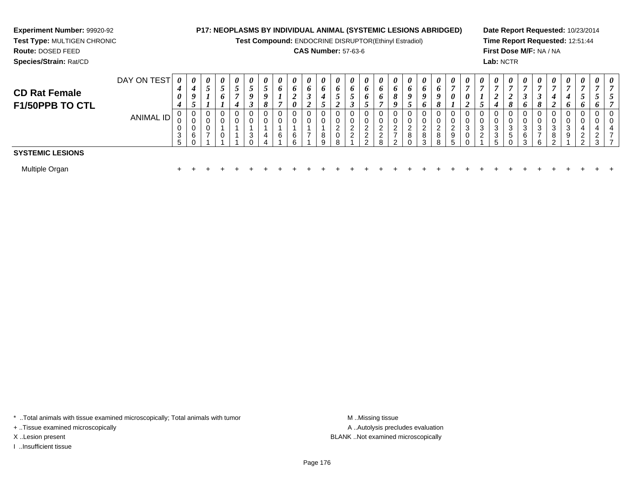# **Experiment Number:** 99920-92**Test Type:** MULTIGEN CHRONIC

**Route:** DOSED FEED

**Species/Strain:** Rat/CD

# **P17: NEOPLASMS BY INDIVIDUAL ANIMAL (SYSTEMIC LESIONS ABRIDGED)**

**Test Compound:** ENDOCRINE DISRUPTOR(Ethinyl Estradiol)

# **CAS Number:** 57-63-6

**Date Report Requested:** 10/23/2014**Time Report Requested:** 12:51:44**First Dose M/F:** NA / NA**Lab:** NCTR

| <b>CD Rat Female</b><br>F1/50PPB TO CTL | DAY ON TEST | $\theta$<br>4<br>0<br>4          | $\theta$<br>4<br>9<br>$\overline{\phantom{0}}$<br>◡ | 0<br>-<br>$\mathcal{L}$ | $\boldsymbol{\theta}$<br>◡<br>6 | $\boldsymbol{\theta}$<br>J<br>4 | $\boldsymbol{\theta}$<br>J | $\boldsymbol{\theta}$<br>J<br>$\boldsymbol{0}$<br>$\mathbf{o}$ | 0<br>6      | $\theta$<br>o<br>∠<br>0 | $\boldsymbol{\theta}$<br>$\bm{o}$<br>J<br>◠ | $\boldsymbol{\theta}$<br>$\bm{b}$<br>4<br>◡ | $\boldsymbol{\theta}$<br>J<br>$\epsilon$ | 0<br>$\bm{o}$<br>$\mathcal{L}$<br>J | $\boldsymbol{\theta}$<br>$\bm{o}$<br>$\bm{o}$ | $\boldsymbol{\theta}$<br>0<br>$\bm{o}$ | $\boldsymbol{\theta}$<br>0<br>$\Omega$<br>$\mathbf o$ | $\boldsymbol{\theta}$<br>o<br>$\boldsymbol{0}$<br>$\overline{\phantom{0}}$ | $\theta$<br>6<br>9<br>6 | $\boldsymbol{\theta}$<br>$\bm{o}$<br>$\boldsymbol{o}$<br>$\mathbf{o}$ | $\boldsymbol{\theta}$<br>0          | $\boldsymbol{\theta}$<br>0<br>◢ | $\boldsymbol{\theta}$<br>J | $\boldsymbol{\theta}$<br>ി<br>4 | $\boldsymbol{\theta}$<br>$\mathbf{o}$ | $\boldsymbol{\theta}$<br>J<br>6 | 0<br>$\overline{ }$<br>◡<br>8 | $\boldsymbol{\theta}$<br>$\overline{ }$<br>4<br>$\overline{v}$ | $\boldsymbol{\theta}$<br>4<br>$\bm{o}$ | $\boldsymbol{\theta}$<br>O       | $\boldsymbol{\theta}$<br>J<br>0          | $\boldsymbol{\theta}$        |
|-----------------------------------------|-------------|----------------------------------|-----------------------------------------------------|-------------------------|---------------------------------|---------------------------------|----------------------------|----------------------------------------------------------------|-------------|-------------------------|---------------------------------------------|---------------------------------------------|------------------------------------------|-------------------------------------|-----------------------------------------------|----------------------------------------|-------------------------------------------------------|----------------------------------------------------------------------------|-------------------------|-----------------------------------------------------------------------|-------------------------------------|---------------------------------|----------------------------|---------------------------------|---------------------------------------|---------------------------------|-------------------------------|----------------------------------------------------------------|----------------------------------------|----------------------------------|------------------------------------------|------------------------------|
|                                         | ANIMAL ID   | 0<br>U<br>0<br>3<br><sub>5</sub> | 0<br>ັບ<br>v<br>6                                   | 0<br>0<br>0<br>-        | 0<br>0<br>U                     |                                 | P                          |                                                                | 0<br>0<br>6 | 6<br>ี                  | 0<br>0<br>⇁                                 | 0<br>0<br>8<br>Q                            | 0<br>0<br>$\sim$<br>0<br>Ω               | 0<br>0<br>ົ<br>▵<br>2               | ົ<br>っ<br><u>_</u><br>ົ                       |                                        | -                                                     | 0<br>0<br>ົ<br><u>L</u><br>8<br>∩                                          | U<br>ົ<br>∠<br>8<br>ີ   | $\mathbf{0}$<br>0<br>റ<br>8<br>R                                      | 0<br>0<br>റ<br>$\epsilon$<br>9<br>5 | 3                               | 0<br>0<br>3<br>◠<br>∼      | 0<br>υ<br>3<br>3<br>5           | э                                     | ⌒<br>3                          | 0<br>0<br>3<br>-<br>6         | 0<br>0<br>3<br>8<br>ົ                                          | U<br>U<br>3<br>9                       | 4<br>$\sqrt{2}$<br><u>_</u><br>◠ | 0<br>0<br>4<br>$\Omega$<br><u>_</u><br>3 | 0<br>0<br>4<br>$\rightarrow$ |
| <b>SYSTEMIC LESIONS</b>                 |             |                                  |                                                     |                         |                                 |                                 |                            |                                                                |             |                         |                                             |                                             |                                          |                                     |                                               |                                        |                                                       |                                                                            |                         |                                                                       |                                     |                                 |                            |                                 |                                       |                                 |                               |                                                                |                                        |                                  |                                          |                              |
| Multiple Organ                          |             |                                  |                                                     |                         |                                 |                                 |                            |                                                                |             |                         |                                             |                                             |                                          |                                     |                                               |                                        |                                                       |                                                                            |                         |                                                                       |                                     |                                 |                            |                                 |                                       |                                 |                               |                                                                |                                        |                                  |                                          |                              |

\* ..Total animals with tissue examined microscopically; Total animals with tumor **M** . Missing tissue M ..Missing tissue

+ ..Tissue examined microscopically

I ..Insufficient tissue

A ..Autolysis precludes evaluation X ..Lesion present BLANK ..Not examined microscopically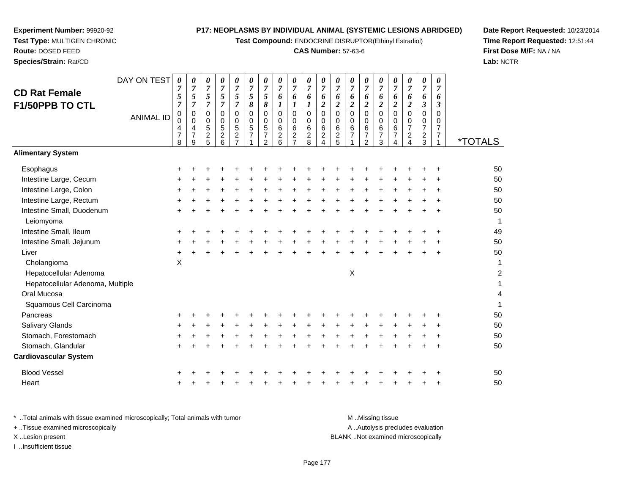**Test Compound:** ENDOCRINE DISRUPTOR(Ethinyl Estradiol)

#### **CAS Number:** 57-63-6

**Date Report Requested:** 10/23/2014**Time Report Requested:** 12:51:44**First Dose M/F:** NA / NA**Lab:** NCTR

| <b>CD Rat Female</b><br><b>F1/50PPB TO CTL</b> | DAY ON TEST<br><b>ANIMAL ID</b> | 0<br>7<br>5<br>7<br>0<br>0<br>4<br>$\overline{7}$ | 0<br>$\boldsymbol{7}$<br>5<br>$\overline{7}$<br>0<br>$\Omega$<br>4<br>$\overline{7}$ | 0<br>$\overline{7}$<br>5<br>$\overline{7}$<br>0<br>$\mathbf 0$<br>$\mathbf 5$<br>$\overline{c}$ | 0<br>$\overline{7}$<br>5<br>$\overline{7}$<br>0<br>$\mathbf 0$<br>5<br>$\overline{c}$ | 0<br>$\overline{7}$<br>5<br>$\overline{7}$<br>0<br>0<br>$\mathbf 5$<br>$\overline{c}$ | $\boldsymbol{\theta}$<br>$\boldsymbol{7}$<br>5<br>8<br>$\mathbf 0$<br>0<br>$\sqrt{5}$<br>$\overline{7}$ | 0<br>$\overline{7}$<br>5<br>8<br>0<br>$\mathbf 0$<br>$\sqrt{5}$<br>$\overline{7}$ | 0<br>$\overline{7}$<br>6<br>$\mathbf 0$<br>$\mathbf 0$<br>6<br>$\overline{c}$ | 0<br>$\overline{7}$<br>6<br>$\mathbf 0$<br>$\mathbf 0$<br>6<br>$\boldsymbol{2}$ | 0<br>$\overline{7}$<br>6<br>0<br>$\pmb{0}$<br>$\begin{array}{c} 6 \\ 2 \end{array}$ | 0<br>$\overline{7}$<br>6<br>$\overline{c}$<br>$\Omega$<br>0<br>6<br>$\overline{c}$ | 0<br>$\overline{7}$<br>6<br>2<br>0<br>0<br>6 | 0<br>$\overline{7}$<br>6<br>2<br>$\Omega$<br>$\mathbf 0$<br>$\,6$<br>$\overline{7}$ | 0<br>$\overline{7}$<br>6<br>$\overline{c}$<br>0<br>$\mathbf 0$<br>$\,6$<br>$\overline{\mathcal{I}}$ | 0<br>$\overline{7}$<br>6<br>$\boldsymbol{2}$<br>$\Omega$<br>$\mathbf 0$<br>$\,6\,$<br>$\overline{7}$ | 0<br>$\overline{7}$<br>6<br>$\overline{c}$<br>$\Omega$<br>$\Omega$<br>6<br>$\overline{7}$ | 0<br>$\overline{7}$<br>6<br>$\boldsymbol{2}$<br>0<br>$\mathbf 0$<br>$\boldsymbol{7}$ | $\boldsymbol{\theta}$<br>$\overline{7}$<br>6<br>3<br>0<br>$\mathbf 0$<br>$\overline{7}$ | 0<br>$\overline{7}$<br>6<br>3<br>$\Omega$<br>0<br>$\overline{7}$<br>7 |                       |
|------------------------------------------------|---------------------------------|---------------------------------------------------|--------------------------------------------------------------------------------------|-------------------------------------------------------------------------------------------------|---------------------------------------------------------------------------------------|---------------------------------------------------------------------------------------|---------------------------------------------------------------------------------------------------------|-----------------------------------------------------------------------------------|-------------------------------------------------------------------------------|---------------------------------------------------------------------------------|-------------------------------------------------------------------------------------|------------------------------------------------------------------------------------|----------------------------------------------|-------------------------------------------------------------------------------------|-----------------------------------------------------------------------------------------------------|------------------------------------------------------------------------------------------------------|-------------------------------------------------------------------------------------------|--------------------------------------------------------------------------------------|-----------------------------------------------------------------------------------------|-----------------------------------------------------------------------|-----------------------|
|                                                |                                 | 8                                                 | 9                                                                                    | 5                                                                                               | 6                                                                                     | $\overline{7}$                                                                        |                                                                                                         | $\mathfrak{p}$                                                                    | 6                                                                             | $\overline{7}$                                                                  | 8                                                                                   |                                                                                    | $\frac{2}{5}$                                |                                                                                     | $\mathcal{P}$                                                                                       | 3                                                                                                    | 4                                                                                         | $\frac{2}{4}$                                                                        | $\frac{2}{3}$                                                                           |                                                                       | <i><b>*TOTALS</b></i> |
| <b>Alimentary System</b>                       |                                 |                                                   |                                                                                      |                                                                                                 |                                                                                       |                                                                                       |                                                                                                         |                                                                                   |                                                                               |                                                                                 |                                                                                     |                                                                                    |                                              |                                                                                     |                                                                                                     |                                                                                                      |                                                                                           |                                                                                      |                                                                                         |                                                                       |                       |
| Esophagus                                      |                                 |                                                   |                                                                                      |                                                                                                 |                                                                                       |                                                                                       |                                                                                                         |                                                                                   |                                                                               |                                                                                 |                                                                                     |                                                                                    |                                              |                                                                                     |                                                                                                     |                                                                                                      |                                                                                           |                                                                                      |                                                                                         |                                                                       | 50                    |
| Intestine Large, Cecum                         |                                 |                                                   |                                                                                      |                                                                                                 |                                                                                       |                                                                                       |                                                                                                         |                                                                                   |                                                                               |                                                                                 |                                                                                     |                                                                                    |                                              |                                                                                     |                                                                                                     |                                                                                                      |                                                                                           |                                                                                      |                                                                                         |                                                                       | 50                    |
| Intestine Large, Colon                         |                                 |                                                   |                                                                                      |                                                                                                 |                                                                                       |                                                                                       |                                                                                                         |                                                                                   |                                                                               |                                                                                 |                                                                                     |                                                                                    |                                              |                                                                                     |                                                                                                     |                                                                                                      |                                                                                           |                                                                                      |                                                                                         |                                                                       | 50                    |
| Intestine Large, Rectum                        |                                 |                                                   |                                                                                      |                                                                                                 |                                                                                       |                                                                                       |                                                                                                         |                                                                                   |                                                                               |                                                                                 |                                                                                     |                                                                                    |                                              |                                                                                     |                                                                                                     |                                                                                                      |                                                                                           |                                                                                      |                                                                                         |                                                                       | 50                    |
| Intestine Small, Duodenum<br>Leiomyoma         |                                 |                                                   |                                                                                      |                                                                                                 |                                                                                       |                                                                                       |                                                                                                         |                                                                                   |                                                                               |                                                                                 |                                                                                     |                                                                                    |                                              |                                                                                     |                                                                                                     |                                                                                                      |                                                                                           |                                                                                      |                                                                                         |                                                                       | 50<br>1               |
| Intestine Small, Ileum                         |                                 |                                                   |                                                                                      |                                                                                                 |                                                                                       |                                                                                       |                                                                                                         |                                                                                   |                                                                               |                                                                                 |                                                                                     |                                                                                    |                                              |                                                                                     |                                                                                                     |                                                                                                      |                                                                                           |                                                                                      |                                                                                         |                                                                       | 49                    |
| Intestine Small, Jejunum                       |                                 |                                                   |                                                                                      |                                                                                                 |                                                                                       |                                                                                       |                                                                                                         |                                                                                   |                                                                               |                                                                                 |                                                                                     |                                                                                    |                                              |                                                                                     |                                                                                                     |                                                                                                      |                                                                                           |                                                                                      |                                                                                         |                                                                       | 50                    |
| Liver                                          |                                 |                                                   |                                                                                      |                                                                                                 |                                                                                       |                                                                                       |                                                                                                         |                                                                                   |                                                                               |                                                                                 |                                                                                     |                                                                                    |                                              |                                                                                     |                                                                                                     |                                                                                                      |                                                                                           |                                                                                      |                                                                                         | ÷                                                                     | 50                    |
| Cholangioma                                    |                                 | X                                                 |                                                                                      |                                                                                                 |                                                                                       |                                                                                       |                                                                                                         |                                                                                   |                                                                               |                                                                                 |                                                                                     |                                                                                    |                                              |                                                                                     |                                                                                                     |                                                                                                      |                                                                                           |                                                                                      |                                                                                         |                                                                       | 1                     |
| Hepatocellular Adenoma                         |                                 |                                                   |                                                                                      |                                                                                                 |                                                                                       |                                                                                       |                                                                                                         |                                                                                   |                                                                               |                                                                                 |                                                                                     |                                                                                    |                                              | X                                                                                   |                                                                                                     |                                                                                                      |                                                                                           |                                                                                      |                                                                                         |                                                                       | 2                     |
| Hepatocellular Adenoma, Multiple               |                                 |                                                   |                                                                                      |                                                                                                 |                                                                                       |                                                                                       |                                                                                                         |                                                                                   |                                                                               |                                                                                 |                                                                                     |                                                                                    |                                              |                                                                                     |                                                                                                     |                                                                                                      |                                                                                           |                                                                                      |                                                                                         |                                                                       |                       |
| Oral Mucosa                                    |                                 |                                                   |                                                                                      |                                                                                                 |                                                                                       |                                                                                       |                                                                                                         |                                                                                   |                                                                               |                                                                                 |                                                                                     |                                                                                    |                                              |                                                                                     |                                                                                                     |                                                                                                      |                                                                                           |                                                                                      |                                                                                         |                                                                       | 4                     |
| Squamous Cell Carcinoma                        |                                 |                                                   |                                                                                      |                                                                                                 |                                                                                       |                                                                                       |                                                                                                         |                                                                                   |                                                                               |                                                                                 |                                                                                     |                                                                                    |                                              |                                                                                     |                                                                                                     |                                                                                                      |                                                                                           |                                                                                      |                                                                                         |                                                                       |                       |
| Pancreas                                       |                                 |                                                   |                                                                                      |                                                                                                 |                                                                                       |                                                                                       |                                                                                                         |                                                                                   |                                                                               |                                                                                 |                                                                                     |                                                                                    |                                              |                                                                                     |                                                                                                     |                                                                                                      |                                                                                           |                                                                                      |                                                                                         |                                                                       | 50                    |
| Salivary Glands                                |                                 |                                                   |                                                                                      |                                                                                                 |                                                                                       |                                                                                       |                                                                                                         |                                                                                   |                                                                               |                                                                                 |                                                                                     |                                                                                    |                                              |                                                                                     |                                                                                                     |                                                                                                      |                                                                                           |                                                                                      |                                                                                         |                                                                       | 50                    |
|                                                |                                 |                                                   |                                                                                      |                                                                                                 |                                                                                       |                                                                                       |                                                                                                         |                                                                                   |                                                                               |                                                                                 |                                                                                     |                                                                                    |                                              |                                                                                     |                                                                                                     |                                                                                                      |                                                                                           |                                                                                      |                                                                                         |                                                                       |                       |

**Experiment Number:** 99920-92**Test Type:** MULTIGEN CHRONIC

Stomach, Forestomach

Stomach, Glandular

 $\mathsf{h}$  +

 $\mathsf{r}$  +

**Route:** DOSED FEED**Species/Strain:** Rat/CD

\* ..Total animals with tissue examined microscopically; Total animals with tumor **M** ...Missing tissue M ...Missing tissue <sup>+</sup> <sup>+</sup> <sup>+</sup> <sup>+</sup> <sup>+</sup> <sup>+</sup> <sup>+</sup> <sup>+</sup> <sup>+</sup> <sup>+</sup> <sup>+</sup> <sup>+</sup> <sup>+</sup> <sup>+</sup> <sup>+</sup> <sup>+</sup> <sup>+</sup> <sup>+</sup> <sup>50</sup> **Cardiovascular System**Blood Vessel $\mathbf{+}$  <sup>+</sup> <sup>+</sup> <sup>+</sup> <sup>+</sup> <sup>+</sup> <sup>+</sup> <sup>+</sup> <sup>+</sup> <sup>+</sup> <sup>+</sup> <sup>+</sup> <sup>+</sup> <sup>+</sup> <sup>+</sup> <sup>+</sup> <sup>+</sup> <sup>+</sup> <sup>+</sup> <sup>50</sup> Heart <sup>+</sup><sup>+</sup> <sup>+</sup> <sup>+</sup> <sup>+</sup> <sup>+</sup> <sup>+</sup> <sup>+</sup> <sup>+</sup> <sup>+</sup> <sup>+</sup> <sup>+</sup> <sup>+</sup> <sup>+</sup> <sup>+</sup> <sup>+</sup> <sup>+</sup> <sup>+</sup> <sup>+</sup> <sup>50</sup>

A .. Autolysis precludes evaluation + ..Tissue examined microscopically X ..Lesion present BLANK ..Not examined microscopicallyI ..Insufficient tissue

<sup>+</sup> <sup>+</sup> <sup>+</sup> <sup>+</sup> <sup>+</sup> <sup>+</sup> <sup>+</sup> <sup>+</sup> <sup>+</sup> <sup>+</sup> <sup>+</sup> <sup>+</sup> <sup>+</sup> <sup>+</sup> <sup>+</sup> <sup>+</sup> <sup>+</sup> <sup>+</sup> <sup>50</sup>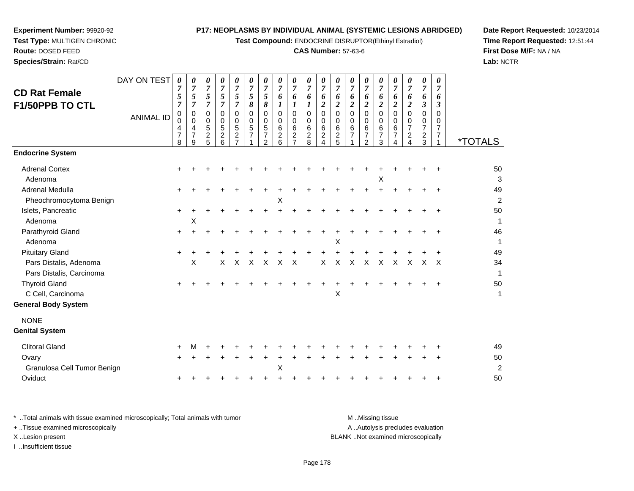**Test Compound:** ENDOCRINE DISRUPTOR(Ethinyl Estradiol)

#### **CAS Number:** 57-63-6

**Date Report Requested:** 10/23/2014**Time Report Requested:** 12:51:44**First Dose M/F:** NA / NA**Lab:** NCTR

DAY ON TEST**CD Rat Female F1/50PPB TO CTL**ANIMAL ID*0 7 5 7* 0 0 4 7 8*0 7 5 7* 0 0 4 7 9*0 7 5 7* 0 0 5 2 5*0 7 5 7* 0 0 5 2 6*0 7 5 7* 0 0 5 2 7*0 7 5 8* 0 0 5 71*0 7 5 8* 0 0 5 7 2*0 7 6 1* 0 0 6 2 6*0 7 6 1* 0 0 6 2 7*0 7 6 1* 0 0 6 2 8*0 7 6 2* 0 0 6 2 4*0 7 6 2* 0 0 6 2 5*0 7 6 2* 0 0 6 7 1*0 7 6 2* 0 0 6 7 2*0 7 6 2* 0 0 6 7 3*0 7 6 2* 0 0 6 7 4*0 7 6 2* 0 0 7 2 4*0 7 6 3* 0 0 7 2 3*0 7 6 3* 0 0 7 7 $\overline{1}$ <sup>1</sup> \*TOTALS**Endocrine System**Adrenal Cortex $\times$  + <sup>+</sup> <sup>+</sup> <sup>+</sup> <sup>+</sup> <sup>+</sup> <sup>+</sup> <sup>+</sup> <sup>+</sup> <sup>+</sup> <sup>+</sup> <sup>+</sup> <sup>+</sup> <sup>+</sup> <sup>+</sup> <sup>+</sup> <sup>+</sup> <sup>+</sup> <sup>+</sup> <sup>50</sup> Adenoma $\alpha$  $\mathsf{X}$  3 Adrenal Medullaa  $+$  <sup>+</sup> <sup>+</sup> <sup>+</sup> <sup>+</sup> <sup>+</sup> <sup>+</sup> <sup>+</sup> <sup>+</sup> <sup>+</sup> <sup>+</sup> <sup>+</sup> <sup>+</sup> <sup>+</sup> <sup>+</sup> <sup>+</sup> <sup>+</sup> <sup>+</sup> <sup>+</sup> <sup>49</sup> Pheochromocytoma Benign $\mathsf{M}$  $\mathsf{X}$  and  $\mathsf{Z}$ Islets, Pancreatic $\overline{c}$  + <sup>+</sup> <sup>+</sup> <sup>+</sup> <sup>+</sup> <sup>+</sup> <sup>+</sup> <sup>+</sup> <sup>+</sup> <sup>+</sup> <sup>+</sup> <sup>+</sup> <sup>+</sup> <sup>+</sup> <sup>+</sup> <sup>+</sup> <sup>+</sup> <sup>+</sup> <sup>+</sup> <sup>50</sup> Adenomaa  $\lambda$  $\chi$  1 Parathyroid Glandd  $+$  <sup>+</sup> <sup>+</sup> <sup>+</sup> <sup>+</sup> <sup>+</sup> <sup>+</sup> <sup>+</sup> <sup>+</sup> <sup>+</sup> <sup>+</sup> <sup>+</sup> <sup>+</sup> <sup>+</sup> <sup>+</sup> <sup>+</sup> <sup>+</sup> <sup>+</sup> <sup>+</sup> <sup>46</sup> Adenoma $\alpha$  $\mathsf{X}$  and  $\mathsf{Y}$  are the set of  $\mathsf{Y}$  and  $\mathsf{Y}$  are the set of  $\mathsf{Y}$  and  $\mathsf{Y}$  are the set of  $\mathsf{Y}$  and  $\mathsf{Y}$  are the set of  $\mathsf{Y}$  and  $\mathsf{Y}$  are the set of  $\mathsf{Y}$  and  $\mathsf{Y}$  are the set of Pituitary Gland $\alpha$  + <sup>+</sup> <sup>+</sup> <sup>+</sup> <sup>+</sup> <sup>+</sup> <sup>+</sup> <sup>+</sup> <sup>+</sup> <sup>+</sup> <sup>+</sup> <sup>+</sup> <sup>+</sup> <sup>+</sup> <sup>+</sup> <sup>+</sup> <sup>+</sup> <sup>+</sup> <sup>+</sup> <sup>49</sup> Pars Distalis, Adenomaa X <sup>X</sup> <sup>X</sup> <sup>X</sup> <sup>X</sup> <sup>X</sup> <sup>X</sup> <sup>X</sup> <sup>X</sup> <sup>X</sup> <sup>X</sup> <sup>X</sup> <sup>X</sup> <sup>X</sup> <sup>X</sup> <sup>X</sup> <sup>34</sup> Pars Distalis, Carcinoma $\overline{a}$ Thyroid Gland $\alpha$  + <sup>+</sup> <sup>+</sup> <sup>+</sup> <sup>+</sup> <sup>+</sup> <sup>+</sup> <sup>+</sup> <sup>+</sup> <sup>+</sup> <sup>+</sup> <sup>+</sup> <sup>+</sup> <sup>+</sup> <sup>+</sup> <sup>+</sup> <sup>+</sup> <sup>+</sup> <sup>+</sup> <sup>50</sup> C Cell, Carcinoma $\alpha$  $\mathsf{X}$  and  $\mathsf{Y}$  are the set of  $\mathsf{Y}$  and  $\mathsf{Y}$  are the set of  $\mathsf{Y}$  and  $\mathsf{Y}$  are the set of  $\mathsf{Y}$  and  $\mathsf{Y}$  are the set of  $\mathsf{Y}$  and  $\mathsf{Y}$  are the set of  $\mathsf{Y}$  and  $\mathsf{Y}$  are the set of **General Body System**NONE **Genital System**Clitoral Glandd  $+$  <sup>M</sup> <sup>+</sup> <sup>+</sup> <sup>+</sup> <sup>+</sup> <sup>+</sup> <sup>+</sup> <sup>+</sup> <sup>+</sup> <sup>+</sup> <sup>+</sup> <sup>+</sup> <sup>+</sup> <sup>+</sup> <sup>+</sup> <sup>+</sup> <sup>+</sup> <sup>+</sup> <sup>49</sup> Ovary $\mathsf y$  <sup>+</sup> <sup>+</sup> <sup>+</sup> <sup>+</sup> <sup>+</sup> <sup>+</sup> <sup>+</sup> <sup>+</sup> <sup>+</sup> <sup>+</sup> <sup>+</sup> <sup>+</sup> <sup>+</sup> <sup>+</sup> <sup>+</sup> <sup>+</sup> <sup>+</sup> <sup>+</sup> <sup>50</sup> Granulosa Cell Tumor Benign $\mathsf{M}$  $\chi$  2 **Oviduct**  $\mathfrak{t}$  + <sup>+</sup> <sup>+</sup> <sup>+</sup> <sup>+</sup> <sup>+</sup> <sup>+</sup> <sup>+</sup> <sup>+</sup> <sup>+</sup> <sup>+</sup> <sup>+</sup> <sup>+</sup> <sup>+</sup> <sup>+</sup> <sup>+</sup> <sup>+</sup> <sup>+</sup> <sup>+</sup> <sup>50</sup>

**Experiment Number:** 99920-92**Test Type:** MULTIGEN CHRONIC

**Route:** DOSED FEED**Species/Strain:** Rat/CD

\* ..Total animals with tissue examined microscopically; Total animals with tumor M ...Missing tissue M ...Missing tissue A ..Autolysis precludes evaluation + ..Tissue examined microscopically X ..Lesion present BLANK ..Not examined microscopicallyI ..Insufficient tissue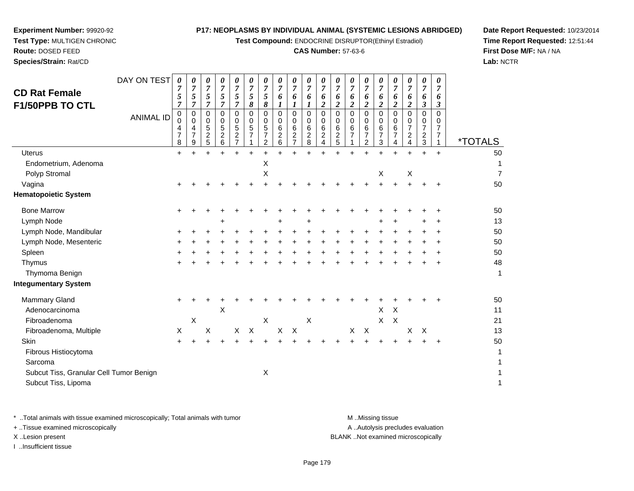**Test Compound:** ENDOCRINE DISRUPTOR(Ethinyl Estradiol)

#### **CAS Number:** 57-63-6

**Date Report Requested:** 10/23/2014**Time Report Requested:** 12:51:44**First Dose M/F:** NA / NA**Lab:** NCTR

| <b>CD Rat Female</b><br><b>F1/50PPB TO CTL</b>                 | DAY ON TEST<br><b>ANIMAL ID</b> | 0<br>7<br>5<br>$\overline{7}$<br>0<br>$\Omega$<br>4<br>$\overline{7}$<br>8 | 0<br>$\overline{7}$<br>5<br>$\overline{7}$<br>$\mathbf 0$<br>0<br>$\overline{4}$<br>$\overline{7}$<br>9 | 0<br>$\overline{7}$<br>5<br>$\overline{7}$<br>$\mathbf 0$<br>0<br>5<br>$\overline{c}$<br>5 | 0<br>$\overline{7}$<br>5<br>$\overline{7}$<br>$\pmb{0}$<br>0<br>$\overline{5}$<br>$\boldsymbol{2}$<br>6 | 0<br>7<br>5<br>$\overline{\tau}$<br>0<br>0<br>5<br>$\overline{\mathbf{c}}$<br>$\overline{7}$ | 0<br>$\overline{7}$<br>5<br>8<br>$\Omega$<br>0<br>$\sqrt{5}$<br>$\overline{7}$ | 0<br>$\overline{7}$<br>5<br>8<br>$\Omega$<br>0<br>5<br>$\overline{7}$<br>2 | 0<br>$\overline{7}$<br>6<br>1<br>$\Omega$<br>0<br>6<br>$\overline{\mathbf{c}}$<br>6 | 0<br>$\overline{7}$<br>6<br>1<br>$\mathbf 0$<br>0<br>6<br>$\overline{\mathbf{c}}$<br>$\overline{7}$ | 0<br>$\overline{7}$<br>6<br>1<br>0<br>0<br>6<br>$\frac{2}{8}$ | 0<br>$\overline{7}$<br>6<br>$\boldsymbol{2}$<br>0<br>0<br>6<br>$\frac{2}{4}$ | 0<br>$\overline{7}$<br>6<br>$\boldsymbol{2}$<br>$\mathbf 0$<br>0<br>$\,6\,$<br>$\frac{2}{5}$ | 0<br>$\overline{7}$<br>6<br>2<br>$\Omega$<br>$\Omega$<br>6<br>$\overline{7}$ | 0<br>$\overline{7}$<br>6<br>$\boldsymbol{2}$<br>0<br>0<br>6<br>$\overline{7}$<br>2 | 0<br>$\overline{7}$<br>6<br>$\overline{2}$<br>$\mathbf 0$<br>0<br>6<br>$\overline{7}$<br>3 | 0<br>7<br>6<br>$\boldsymbol{2}$<br>0<br>0<br>6<br>$\overline{7}$<br>4 | 0<br>$\overline{7}$<br>6<br>$\boldsymbol{2}$<br>$\Omega$<br>0<br>$\overline{7}$<br>$\overline{\mathbf{c}}$<br>4 | 0<br>$\overline{7}$<br>6<br>$\boldsymbol{\beta}$<br>$\mathbf 0$<br>0<br>$\overline{7}$<br>$\frac{2}{3}$ | 0<br>$\overline{7}$<br>6<br>$\boldsymbol{\beta}$<br>$\Omega$<br>0<br>$\overline{7}$<br>$\overline{7}$<br>1 | <i><b>*TOTALS</b></i> |
|----------------------------------------------------------------|---------------------------------|----------------------------------------------------------------------------|---------------------------------------------------------------------------------------------------------|--------------------------------------------------------------------------------------------|---------------------------------------------------------------------------------------------------------|----------------------------------------------------------------------------------------------|--------------------------------------------------------------------------------|----------------------------------------------------------------------------|-------------------------------------------------------------------------------------|-----------------------------------------------------------------------------------------------------|---------------------------------------------------------------|------------------------------------------------------------------------------|----------------------------------------------------------------------------------------------|------------------------------------------------------------------------------|------------------------------------------------------------------------------------|--------------------------------------------------------------------------------------------|-----------------------------------------------------------------------|-----------------------------------------------------------------------------------------------------------------|---------------------------------------------------------------------------------------------------------|------------------------------------------------------------------------------------------------------------|-----------------------|
| Uterus                                                         |                                 | $\ddot{}$                                                                  |                                                                                                         |                                                                                            |                                                                                                         |                                                                                              |                                                                                |                                                                            |                                                                                     |                                                                                                     |                                                               |                                                                              |                                                                                              |                                                                              |                                                                                    |                                                                                            |                                                                       |                                                                                                                 | $\ddot{}$                                                                                               | $\ddot{}$                                                                                                  | 50                    |
| Endometrium, Adenoma                                           |                                 |                                                                            |                                                                                                         |                                                                                            |                                                                                                         |                                                                                              |                                                                                | X                                                                          |                                                                                     |                                                                                                     |                                                               |                                                                              |                                                                                              |                                                                              |                                                                                    |                                                                                            |                                                                       |                                                                                                                 |                                                                                                         |                                                                                                            | 1                     |
| Polyp Stromal                                                  |                                 |                                                                            |                                                                                                         |                                                                                            |                                                                                                         |                                                                                              |                                                                                | $\mathsf X$                                                                |                                                                                     |                                                                                                     |                                                               |                                                                              |                                                                                              |                                                                              |                                                                                    | X                                                                                          |                                                                       | $\mathsf X$                                                                                                     |                                                                                                         |                                                                                                            | $\overline{7}$        |
| Vagina                                                         |                                 |                                                                            |                                                                                                         |                                                                                            |                                                                                                         |                                                                                              |                                                                                |                                                                            |                                                                                     |                                                                                                     |                                                               |                                                                              |                                                                                              |                                                                              |                                                                                    | $\ddot{}$                                                                                  | $+$                                                                   | $+$                                                                                                             |                                                                                                         |                                                                                                            | 50                    |
| <b>Hematopoietic System</b>                                    |                                 |                                                                            |                                                                                                         |                                                                                            |                                                                                                         |                                                                                              |                                                                                |                                                                            |                                                                                     |                                                                                                     |                                                               |                                                                              |                                                                                              |                                                                              |                                                                                    |                                                                                            |                                                                       |                                                                                                                 |                                                                                                         |                                                                                                            |                       |
| <b>Bone Marrow</b>                                             |                                 | $\pm$                                                                      |                                                                                                         |                                                                                            |                                                                                                         |                                                                                              |                                                                                |                                                                            |                                                                                     |                                                                                                     |                                                               |                                                                              |                                                                                              |                                                                              |                                                                                    |                                                                                            |                                                                       |                                                                                                                 |                                                                                                         |                                                                                                            | 50                    |
| Lymph Node                                                     |                                 |                                                                            |                                                                                                         |                                                                                            |                                                                                                         |                                                                                              |                                                                                |                                                                            |                                                                                     |                                                                                                     |                                                               |                                                                              |                                                                                              |                                                                              |                                                                                    |                                                                                            |                                                                       |                                                                                                                 |                                                                                                         |                                                                                                            | 13                    |
| Lymph Node, Mandibular                                         |                                 |                                                                            |                                                                                                         |                                                                                            |                                                                                                         |                                                                                              |                                                                                |                                                                            |                                                                                     |                                                                                                     |                                                               |                                                                              |                                                                                              |                                                                              |                                                                                    |                                                                                            |                                                                       |                                                                                                                 |                                                                                                         |                                                                                                            | 50                    |
| Lymph Node, Mesenteric                                         |                                 |                                                                            |                                                                                                         |                                                                                            |                                                                                                         |                                                                                              |                                                                                |                                                                            |                                                                                     |                                                                                                     |                                                               |                                                                              |                                                                                              |                                                                              |                                                                                    |                                                                                            |                                                                       |                                                                                                                 |                                                                                                         |                                                                                                            | 50                    |
| Spleen                                                         |                                 |                                                                            |                                                                                                         |                                                                                            |                                                                                                         |                                                                                              |                                                                                |                                                                            |                                                                                     |                                                                                                     |                                                               |                                                                              |                                                                                              |                                                                              |                                                                                    |                                                                                            |                                                                       |                                                                                                                 |                                                                                                         |                                                                                                            | 50                    |
| Thymus                                                         |                                 |                                                                            |                                                                                                         |                                                                                            |                                                                                                         |                                                                                              |                                                                                |                                                                            |                                                                                     |                                                                                                     |                                                               |                                                                              |                                                                                              |                                                                              |                                                                                    |                                                                                            |                                                                       |                                                                                                                 |                                                                                                         |                                                                                                            | 48                    |
| Thymoma Benign                                                 |                                 |                                                                            |                                                                                                         |                                                                                            |                                                                                                         |                                                                                              |                                                                                |                                                                            |                                                                                     |                                                                                                     |                                                               |                                                                              |                                                                                              |                                                                              |                                                                                    |                                                                                            |                                                                       |                                                                                                                 |                                                                                                         |                                                                                                            | $\mathbf{1}$          |
| <b>Integumentary System</b>                                    |                                 |                                                                            |                                                                                                         |                                                                                            |                                                                                                         |                                                                                              |                                                                                |                                                                            |                                                                                     |                                                                                                     |                                                               |                                                                              |                                                                                              |                                                                              |                                                                                    |                                                                                            |                                                                       |                                                                                                                 |                                                                                                         |                                                                                                            |                       |
| <b>Mammary Gland</b>                                           |                                 |                                                                            |                                                                                                         |                                                                                            |                                                                                                         |                                                                                              |                                                                                |                                                                            |                                                                                     |                                                                                                     |                                                               |                                                                              |                                                                                              |                                                                              |                                                                                    |                                                                                            |                                                                       |                                                                                                                 |                                                                                                         |                                                                                                            | 50                    |
| Adenocarcinoma                                                 |                                 |                                                                            |                                                                                                         |                                                                                            | X                                                                                                       |                                                                                              |                                                                                |                                                                            |                                                                                     |                                                                                                     |                                                               |                                                                              |                                                                                              |                                                                              |                                                                                    | $\pmb{\times}$                                                                             | $\boldsymbol{\mathsf{X}}$                                             |                                                                                                                 |                                                                                                         |                                                                                                            | 11                    |
| Fibroadenoma                                                   |                                 |                                                                            | X                                                                                                       |                                                                                            |                                                                                                         |                                                                                              |                                                                                | $\boldsymbol{\mathsf{X}}$                                                  |                                                                                     |                                                                                                     | $\boldsymbol{\mathsf{X}}$                                     |                                                                              |                                                                                              |                                                                              |                                                                                    | X                                                                                          | $\times$                                                              |                                                                                                                 |                                                                                                         |                                                                                                            | 21                    |
| Fibroadenoma, Multiple                                         |                                 | X                                                                          |                                                                                                         | X                                                                                          |                                                                                                         | $\pmb{\times}$                                                                               | $\times$                                                                       |                                                                            | $\pmb{\times}$                                                                      | $\boldsymbol{\mathsf{X}}$                                                                           |                                                               |                                                                              |                                                                                              | X                                                                            | $\boldsymbol{X}$                                                                   |                                                                                            |                                                                       | $\times$                                                                                                        | $\times$                                                                                                |                                                                                                            | 13                    |
| Skin                                                           |                                 |                                                                            |                                                                                                         |                                                                                            |                                                                                                         |                                                                                              |                                                                                |                                                                            |                                                                                     |                                                                                                     |                                                               |                                                                              |                                                                                              |                                                                              |                                                                                    |                                                                                            | ÷                                                                     |                                                                                                                 |                                                                                                         |                                                                                                            | 50                    |
| Fibrous Histiocytoma                                           |                                 |                                                                            |                                                                                                         |                                                                                            |                                                                                                         |                                                                                              |                                                                                |                                                                            |                                                                                     |                                                                                                     |                                                               |                                                                              |                                                                                              |                                                                              |                                                                                    |                                                                                            |                                                                       |                                                                                                                 |                                                                                                         |                                                                                                            | 1                     |
| Sarcoma                                                        |                                 |                                                                            |                                                                                                         |                                                                                            |                                                                                                         |                                                                                              |                                                                                |                                                                            |                                                                                     |                                                                                                     |                                                               |                                                                              |                                                                                              |                                                                              |                                                                                    |                                                                                            |                                                                       |                                                                                                                 |                                                                                                         |                                                                                                            | 1                     |
| Subcut Tiss, Granular Cell Tumor Benign<br>Subcut Tiss, Lipoma |                                 |                                                                            |                                                                                                         |                                                                                            |                                                                                                         |                                                                                              |                                                                                | $\boldsymbol{\mathsf{X}}$                                                  |                                                                                     |                                                                                                     |                                                               |                                                                              |                                                                                              |                                                                              |                                                                                    |                                                                                            |                                                                       |                                                                                                                 |                                                                                                         |                                                                                                            | 1<br>1                |

**Experiment Number:** 99920-92**Test Type:** MULTIGEN CHRONIC

**Route:** DOSED FEED**Species/Strain:** Rat/CD

\* ..Total animals with tissue examined microscopically; Total animals with tumor **M** . Missing tissue M ..Missing tissue A ..Autolysis precludes evaluation + ..Tissue examined microscopically X ..Lesion present BLANK ..Not examined microscopicallyI ..Insufficient tissue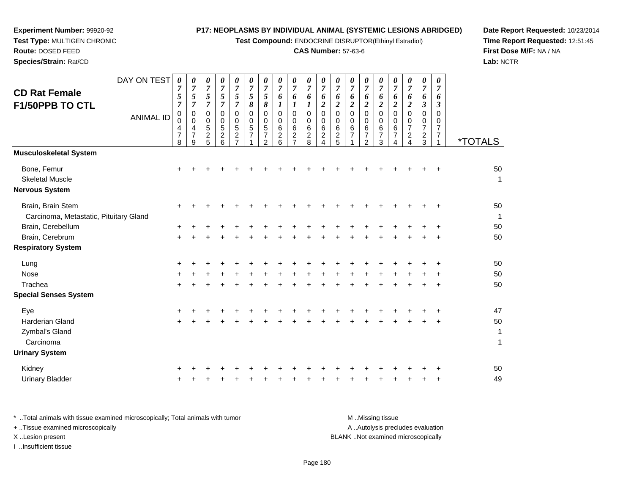**Test Compound:** ENDOCRINE DISRUPTOR(Ethinyl Estradiol)

# **CAS Number:** 57-63-6

**Date Report Requested:** 10/23/2014 **Time Report Requested:** 12:51:45**First Dose M/F:** NA / NA**Lab:** NCTR

| <b>CD Rat Female</b><br>F1/50PPB TO CTL                     | DAY ON TEST      | $\boldsymbol{\theta}$<br>7<br>5<br>$\overline{7}$   | 0<br>$\overline{7}$<br>5<br>7             | 0<br>$\overline{7}$<br>5<br>$\overline{7}$ | 0<br>$\overline{7}$<br>5<br>7      | 0<br>$\boldsymbol{7}$<br>$\mathfrak{s}$<br>$\overline{7}$ | 0<br>$\overline{7}$<br>$\mathfrak{s}$<br>8 | 0<br>$\overline{7}$<br>5<br>8                                              | 0<br>$\overline{7}$<br>6<br>1                          | 0<br>$\overline{7}$<br>6<br>1                                   | 0<br>$\overline{7}$<br>6<br>1                      | 0<br>$\boldsymbol{7}$<br>6<br>2            | 0<br>$\boldsymbol{7}$<br>6<br>2 | 0<br>$\boldsymbol{7}$<br>6<br>$\overline{2}$      | 0<br>$\boldsymbol{7}$<br>6<br>$\overline{2}$               | $\boldsymbol{\theta}$<br>$\boldsymbol{7}$<br>6<br>$\overline{2}$ | 0<br>$\overline{7}$<br>6<br>$\boldsymbol{2}$     | 0<br>$\overline{7}$<br>6<br>$\overline{c}$                     | 0<br>$\overline{7}$<br>6<br>3 | 0<br>$\overline{7}$<br>6<br>3                     |                       |
|-------------------------------------------------------------|------------------|-----------------------------------------------------|-------------------------------------------|--------------------------------------------|------------------------------------|-----------------------------------------------------------|--------------------------------------------|----------------------------------------------------------------------------|--------------------------------------------------------|-----------------------------------------------------------------|----------------------------------------------------|--------------------------------------------|---------------------------------|---------------------------------------------------|------------------------------------------------------------|------------------------------------------------------------------|--------------------------------------------------|----------------------------------------------------------------|-------------------------------|---------------------------------------------------|-----------------------|
|                                                             | <b>ANIMAL ID</b> | $\mathbf 0$<br>$\Omega$<br>4<br>$\overline{7}$<br>8 | 0<br>$\Omega$<br>4<br>$\overline{7}$<br>9 | 0<br>0<br>5<br>$\overline{c}$<br>5         | 0<br>0<br>5<br>$\overline{c}$<br>6 | $\Omega$<br>0<br>5<br>$\overline{c}$<br>$\overline{7}$    | $\mathbf 0$<br>0<br>5<br>$\overline{7}$    | $\mathbf 0$<br>$\Omega$<br>$\mathbf 5$<br>$\overline{7}$<br>$\overline{2}$ | $\mathbf 0$<br>$\mathbf 0$<br>6<br>$\overline{c}$<br>6 | $\mathbf 0$<br>0<br>$\,6$<br>$\boldsymbol{2}$<br>$\overline{7}$ | $\pmb{0}$<br>0<br>$\,6\,$<br>$\boldsymbol{2}$<br>8 | $\pmb{0}$<br>0<br>6<br>$\overline{a}$<br>4 | 0<br>0<br>6<br>$\frac{2}{5}$    | $\mathbf 0$<br>$\mathbf 0$<br>6<br>$\overline{7}$ | $\mathbf 0$<br>$\mathbf 0$<br>$\,6$<br>$\overline{7}$<br>2 | $\mathbf 0$<br>$\mathbf 0$<br>6<br>$\overline{7}$<br>3           | $\Omega$<br>$\Omega$<br>6<br>$\overline{7}$<br>4 | 0<br>0<br>$\overline{7}$<br>$\boldsymbol{2}$<br>$\overline{4}$ | 0<br>0<br>7<br>$\frac{2}{3}$  | $\Omega$<br>0<br>$\overline{7}$<br>$\overline{7}$ | <i><b>*TOTALS</b></i> |
| Musculoskeletal System                                      |                  |                                                     |                                           |                                            |                                    |                                                           |                                            |                                                                            |                                                        |                                                                 |                                                    |                                            |                                 |                                                   |                                                            |                                                                  |                                                  |                                                                |                               |                                                   |                       |
| Bone, Femur<br><b>Skeletal Muscle</b><br>Nervous System     |                  | +                                                   |                                           |                                            |                                    |                                                           |                                            |                                                                            |                                                        |                                                                 |                                                    |                                            |                                 |                                                   |                                                            |                                                                  |                                                  |                                                                |                               |                                                   | 50<br>$\overline{1}$  |
| Brain, Brain Stem<br>Carcinoma, Metastatic, Pituitary Gland |                  |                                                     |                                           |                                            |                                    |                                                           |                                            |                                                                            |                                                        |                                                                 |                                                    |                                            |                                 |                                                   |                                                            |                                                                  |                                                  |                                                                |                               |                                                   | 50<br>1               |
| Brain, Cerebellum                                           |                  |                                                     |                                           |                                            |                                    |                                                           |                                            |                                                                            |                                                        |                                                                 |                                                    |                                            |                                 |                                                   |                                                            |                                                                  |                                                  |                                                                |                               |                                                   | 50                    |
| Brain, Cerebrum                                             |                  | $\pm$                                               |                                           |                                            |                                    |                                                           |                                            |                                                                            |                                                        |                                                                 |                                                    |                                            |                                 |                                                   |                                                            |                                                                  |                                                  |                                                                |                               |                                                   | 50                    |
| <b>Respiratory System</b>                                   |                  |                                                     |                                           |                                            |                                    |                                                           |                                            |                                                                            |                                                        |                                                                 |                                                    |                                            |                                 |                                                   |                                                            |                                                                  |                                                  |                                                                |                               |                                                   |                       |
| Lung                                                        |                  |                                                     |                                           |                                            |                                    |                                                           |                                            |                                                                            |                                                        |                                                                 |                                                    |                                            |                                 |                                                   |                                                            |                                                                  |                                                  |                                                                |                               | +                                                 | 50                    |
| Nose                                                        |                  |                                                     |                                           |                                            |                                    |                                                           |                                            |                                                                            |                                                        |                                                                 |                                                    |                                            |                                 |                                                   |                                                            |                                                                  |                                                  |                                                                |                               | ÷                                                 | 50                    |
| Trachea                                                     |                  | $\div$                                              |                                           |                                            |                                    |                                                           |                                            |                                                                            |                                                        |                                                                 |                                                    |                                            |                                 |                                                   |                                                            |                                                                  |                                                  |                                                                |                               | $\ddot{}$                                         | 50                    |
| <b>Special Senses System</b>                                |                  |                                                     |                                           |                                            |                                    |                                                           |                                            |                                                                            |                                                        |                                                                 |                                                    |                                            |                                 |                                                   |                                                            |                                                                  |                                                  |                                                                |                               |                                                   |                       |
| Eye                                                         |                  | +                                                   |                                           |                                            |                                    |                                                           |                                            |                                                                            |                                                        |                                                                 |                                                    |                                            |                                 |                                                   |                                                            |                                                                  |                                                  |                                                                |                               | +                                                 | 47                    |
| <b>Harderian Gland</b><br>Zymbal's Gland                    |                  | +                                                   |                                           |                                            |                                    |                                                           |                                            |                                                                            |                                                        |                                                                 |                                                    |                                            |                                 |                                                   |                                                            |                                                                  |                                                  |                                                                |                               |                                                   | 50<br>1               |
| Carcinoma                                                   |                  |                                                     |                                           |                                            |                                    |                                                           |                                            |                                                                            |                                                        |                                                                 |                                                    |                                            |                                 |                                                   |                                                            |                                                                  |                                                  |                                                                |                               |                                                   | 1                     |
| <b>Urinary System</b>                                       |                  |                                                     |                                           |                                            |                                    |                                                           |                                            |                                                                            |                                                        |                                                                 |                                                    |                                            |                                 |                                                   |                                                            |                                                                  |                                                  |                                                                |                               |                                                   |                       |
| Kidney                                                      |                  |                                                     |                                           |                                            |                                    |                                                           |                                            |                                                                            |                                                        |                                                                 |                                                    |                                            |                                 |                                                   |                                                            |                                                                  |                                                  |                                                                |                               |                                                   | 50                    |
| <b>Urinary Bladder</b>                                      |                  |                                                     |                                           |                                            |                                    |                                                           |                                            |                                                                            |                                                        |                                                                 |                                                    |                                            |                                 |                                                   |                                                            |                                                                  |                                                  |                                                                |                               | +                                                 | 49                    |
|                                                             |                  |                                                     |                                           |                                            |                                    |                                                           |                                            |                                                                            |                                                        |                                                                 |                                                    |                                            |                                 |                                                   |                                                            |                                                                  |                                                  |                                                                |                               |                                                   |                       |

**Experiment Number:** 99920-92**Test Type:** MULTIGEN CHRONIC

| * Total animals with tissue examined microscopically; Total animals with tumor | M Missing tissue                   |
|--------------------------------------------------------------------------------|------------------------------------|
| + Tissue examined microscopically                                              | A Autolysis precludes evaluation   |
| X Lesion present                                                               | BLANK Not examined microscopically |
| Insufficient tissue                                                            |                                    |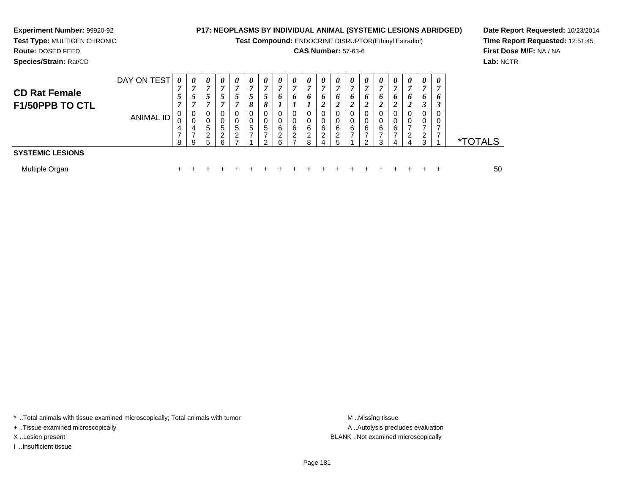**Test Compound:** ENDOCRINE DISRUPTOR(Ethinyl Estradiol)

# **CAS Number:** 57-63-6

**Date Report Requested:** 10/23/2014**Time Report Requested:** 12:51:45**First Dose M/F:** NA / NA**Lab:** NCTR

**Species/Strain:** Rat/CD

**Experiment Number:** 99920-92

| <b>CD Rat Female</b><br>F1/50PPB TO CTL | DAY ON TEST<br><b>ANIMAL ID</b> | $\boldsymbol{\theta}$<br>$\overline{ }$<br>8 | 0<br>r,<br>0<br>4<br><sub>9</sub> | 0<br>⇁<br>~<br>0<br>0<br>5<br>ົ<br>5 | $\boldsymbol{\theta}$<br>- 0<br>0<br>5<br>ົ<br>6 | $\boldsymbol{\theta}$<br>5 | $\boldsymbol{\theta}$<br>$\overline{ }$<br>8<br>0<br>0<br>5<br>⇁ | 0<br>7<br>8<br>0<br>5 | 0<br>7<br>6<br>0<br>0<br>6<br>ົ<br>6 | $\boldsymbol{\theta}$<br>6<br>0<br>6<br>റ | $\boldsymbol{\theta}$<br>6<br>ົ<br>я | 0<br>7<br>6<br>ാ<br>0<br>0<br>6<br>ົ<br>4 | 0<br>7<br>6<br>2<br>0<br>6<br>າ | 0<br>7<br>o<br>ി<br>0<br>0<br>6 | $\boldsymbol{\theta}$<br>o<br>ി<br>0<br>6<br>ົ | $\boldsymbol{\theta}$<br>6 | 0<br>o<br>$\Omega$<br>6<br>д | 0<br>6<br>າ<br>4 | $\boldsymbol{\theta}$<br>7<br>6<br>0<br>0<br>ົ<br>3 | $\boldsymbol{\theta}$<br>o<br>-0<br>-0 | <i><b>*TOTALS</b></i> |
|-----------------------------------------|---------------------------------|----------------------------------------------|-----------------------------------|--------------------------------------|--------------------------------------------------|----------------------------|------------------------------------------------------------------|-----------------------|--------------------------------------|-------------------------------------------|--------------------------------------|-------------------------------------------|---------------------------------|---------------------------------|------------------------------------------------|----------------------------|------------------------------|------------------|-----------------------------------------------------|----------------------------------------|-----------------------|
| <b>SYSTEMIC LESIONS</b>                 |                                 |                                              |                                   |                                      |                                                  |                            |                                                                  |                       |                                      |                                           |                                      |                                           |                                 |                                 |                                                |                            |                              |                  |                                                     |                                        |                       |
| Multiple Organ                          |                                 |                                              |                                   |                                      |                                                  |                            |                                                                  |                       |                                      |                                           |                                      |                                           |                                 |                                 |                                                |                            |                              |                  |                                                     |                                        | 50                    |

\* ..Total animals with tissue examined microscopically; Total animals with tumor **M** . Missing tissue M ..Missing tissue

+ ..Tissue examined microscopically

I ..Insufficient tissue

A ..Autolysis precludes evaluation X ..Lesion present BLANK ..Not examined microscopically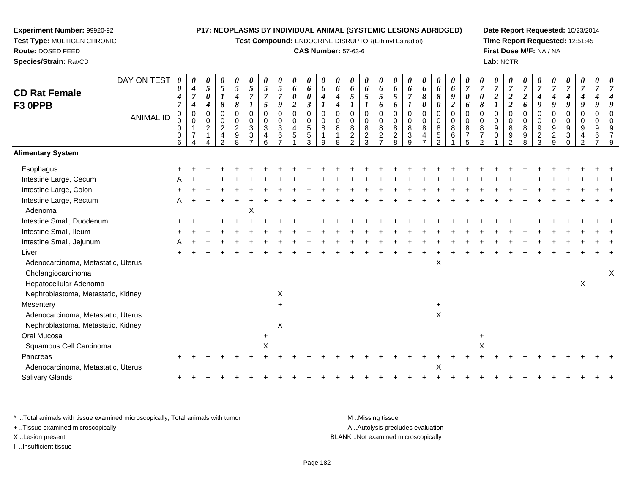**Test Compound:** ENDOCRINE DISRUPTOR(Ethinyl Estradiol)

# **CAS Number:** 57-63-6

**Date Report Requested:** 10/23/2014**Time Report Requested:** 12:51:45**First Dose M/F:** NA / NA**Lab:** NCTR

| <b>CD Rat Female</b><br>F3 OPPB    | DAY ON TEST      | 0<br>0<br>4<br>$\overline{7}$                | 0<br>4<br>$\overline{7}$<br>$\boldsymbol{4}$    | 0<br>5<br>0<br>4         | 0<br>$\sqrt{5}$<br>$\boldsymbol{l}$<br>8        | 0<br>5<br>$\boldsymbol{4}$<br>$\pmb{8}$                             | 0<br>$\overline{5}$<br>$\overline{7}$<br>$\boldsymbol{l}$ | 0<br>$\mathfrak{s}$<br>$\overline{7}$<br>$\mathfrak{s}$ | 0<br>5<br>$\overline{7}$<br>9                 | 0<br>6<br>0<br>$\overline{2}$        | 0<br>6<br>$\pmb{\theta}$<br>$\mathfrak{z}$                | 0<br>6<br>$\boldsymbol{4}$<br>1 | 0<br>6<br>4<br>4                     | $\theta$<br>6<br>5                                     | 0<br>6<br>5                          | 0<br>6<br>5<br>6                                      | 0<br>6<br>$\sqrt{5}$<br>6          | 0<br>6<br>$\overline{7}$<br>$\boldsymbol{l}$                  | 0<br>6<br>8<br>0           | 0<br>6<br>8<br>$\pmb{\theta}$                  | 0<br>6<br>9<br>$\overline{2}$                      | 0<br>$\overline{7}$<br>$\boldsymbol{\theta}$<br>6 | $\boldsymbol{\theta}$<br>$\overline{7}$<br>$\boldsymbol{\theta}$<br>8 | 0<br>$\overline{7}$<br>2 | 0<br>$\boldsymbol{7}$<br>$\boldsymbol{2}$<br>$\overline{2}$ | $\overline{7}$<br>$\boldsymbol{2}$<br>6       | 0<br>$\overline{7}$<br>$\boldsymbol{4}$<br>9 | $\overline{7}$<br>9                                   | 0<br>$\overline{7}$<br>4<br>9 | 0<br>$\overline{7}$<br>4<br>9 | 9                                    |   |
|------------------------------------|------------------|----------------------------------------------|-------------------------------------------------|--------------------------|-------------------------------------------------|---------------------------------------------------------------------|-----------------------------------------------------------|---------------------------------------------------------|-----------------------------------------------|--------------------------------------|-----------------------------------------------------------|---------------------------------|--------------------------------------|--------------------------------------------------------|--------------------------------------|-------------------------------------------------------|------------------------------------|---------------------------------------------------------------|----------------------------|------------------------------------------------|----------------------------------------------------|---------------------------------------------------|-----------------------------------------------------------------------|--------------------------|-------------------------------------------------------------|-----------------------------------------------|----------------------------------------------|-------------------------------------------------------|-------------------------------|-------------------------------|--------------------------------------|---|
|                                    | <b>ANIMAL ID</b> | $\mathbf 0$<br>0<br>0<br>0<br>$6\phantom{1}$ | $\overline{0}$<br>$\mathbf 0$<br>$\overline{7}$ | 0<br>0<br>$\overline{2}$ | 0<br>0<br>$\overline{c}$<br>$\overline{4}$<br>າ | $\mathbf 0$<br>$\pmb{0}$<br>$\overline{c}$<br>$\boldsymbol{9}$<br>8 | $\mathbf 0$<br>0<br>$\mathbf{3}$<br>3                     | $\mathbf 0$<br>$\pmb{0}$<br>$\mathbf{3}$<br>4<br>6      | $\mathbf 0$<br>$\mathbf 0$<br>$\sqrt{3}$<br>6 | $\mathbf 0$<br>$\mathbf 0$<br>4<br>5 | $\mathbf 0$<br>$\pmb{0}$<br>$\sqrt{5}$<br>$\sqrt{5}$<br>3 | 0<br>0<br>8<br>9                | $\mathbf 0$<br>$\mathbf 0$<br>8<br>8 | $\Omega$<br>0<br>8<br>$\boldsymbol{2}$<br><sub>2</sub> | 0<br>$\pmb{0}$<br>8<br>$\frac{2}{3}$ | $\mathbf 0$<br>$\pmb{0}$<br>$\bf 8$<br>$\overline{c}$ | 0<br>0<br>$\,8\,$<br>$\frac{2}{8}$ | $\mathbf 0$<br>$\mathbf 0$<br>8<br>$\sqrt{3}$<br>$\mathbf{Q}$ | $\mathbf 0$<br>0<br>8<br>4 | $\mathbf 0$<br>$\pmb{0}$<br>8<br>$\frac{5}{2}$ | $\mathbf 0$<br>$\mathsf{O}\xspace$<br>$\,8\,$<br>6 | 0<br>$\mathbf 0$<br>8<br>$\overline{7}$<br>5      | $\mathbf 0$<br>$\mathbf 0$<br>8<br>$\overline{7}$<br>ົ                | 0<br>0<br>9<br>$\Omega$  | 0<br>$\pmb{0}$<br>8<br>$\frac{9}{2}$                        | $\mathbf 0$<br>$\mathbf 0$<br>8<br>$9\,$<br>8 | 0<br>0<br>9<br>$\overline{c}$<br>3           | $\mathbf 0$<br>0<br>9<br>$\overline{\mathbf{c}}$<br>9 | 0<br>0<br>9<br>3              | 0<br>$\pmb{0}$<br>9           | $\mathbf 0$<br>$\mathbf 0$<br>9<br>6 |   |
| <b>Alimentary System</b>           |                  |                                              |                                                 |                          |                                                 |                                                                     |                                                           |                                                         |                                               |                                      |                                                           |                                 |                                      |                                                        |                                      |                                                       |                                    |                                                               |                            |                                                |                                                    |                                                   |                                                                       |                          |                                                             |                                               |                                              |                                                       |                               |                               |                                      |   |
| Esophagus                          |                  |                                              |                                                 |                          |                                                 |                                                                     |                                                           |                                                         |                                               |                                      |                                                           |                                 |                                      |                                                        |                                      |                                                       |                                    |                                                               |                            |                                                |                                                    |                                                   |                                                                       |                          |                                                             |                                               |                                              |                                                       |                               |                               |                                      |   |
| Intestine Large, Cecum             |                  |                                              |                                                 |                          |                                                 |                                                                     |                                                           |                                                         |                                               |                                      |                                                           |                                 |                                      |                                                        |                                      |                                                       |                                    |                                                               |                            |                                                |                                                    |                                                   |                                                                       |                          |                                                             |                                               |                                              |                                                       |                               |                               |                                      |   |
| Intestine Large, Colon             |                  |                                              |                                                 |                          |                                                 |                                                                     |                                                           |                                                         |                                               |                                      |                                                           |                                 |                                      |                                                        |                                      |                                                       |                                    |                                                               |                            |                                                |                                                    |                                                   |                                                                       |                          |                                                             |                                               |                                              |                                                       |                               |                               |                                      |   |
| Intestine Large, Rectum            |                  |                                              |                                                 |                          |                                                 |                                                                     |                                                           |                                                         |                                               |                                      |                                                           |                                 |                                      |                                                        |                                      |                                                       |                                    |                                                               |                            |                                                |                                                    |                                                   |                                                                       |                          |                                                             |                                               |                                              |                                                       |                               |                               |                                      |   |
| Adenoma                            |                  |                                              |                                                 |                          |                                                 |                                                                     | х                                                         |                                                         |                                               |                                      |                                                           |                                 |                                      |                                                        |                                      |                                                       |                                    |                                                               |                            |                                                |                                                    |                                                   |                                                                       |                          |                                                             |                                               |                                              |                                                       |                               |                               |                                      |   |
| Intestine Small, Duodenum          |                  |                                              |                                                 |                          |                                                 |                                                                     |                                                           |                                                         |                                               |                                      |                                                           |                                 |                                      |                                                        |                                      |                                                       |                                    |                                                               |                            |                                                |                                                    |                                                   |                                                                       |                          |                                                             |                                               |                                              |                                                       |                               |                               |                                      |   |
| Intestine Small, Ileum             |                  |                                              |                                                 |                          |                                                 |                                                                     |                                                           |                                                         |                                               |                                      |                                                           |                                 |                                      |                                                        |                                      |                                                       |                                    |                                                               |                            |                                                |                                                    |                                                   |                                                                       |                          |                                                             |                                               |                                              |                                                       |                               |                               |                                      |   |
| Intestine Small, Jejunum           |                  |                                              |                                                 |                          |                                                 |                                                                     |                                                           |                                                         |                                               |                                      |                                                           |                                 |                                      |                                                        |                                      |                                                       |                                    |                                                               |                            |                                                |                                                    |                                                   |                                                                       |                          |                                                             |                                               |                                              |                                                       |                               |                               |                                      |   |
| Liver                              |                  |                                              |                                                 |                          |                                                 |                                                                     |                                                           |                                                         |                                               |                                      |                                                           |                                 |                                      |                                                        |                                      |                                                       |                                    |                                                               |                            |                                                |                                                    |                                                   |                                                                       |                          |                                                             |                                               |                                              |                                                       |                               |                               |                                      |   |
| Adenocarcinoma, Metastatic, Uterus |                  |                                              |                                                 |                          |                                                 |                                                                     |                                                           |                                                         |                                               |                                      |                                                           |                                 |                                      |                                                        |                                      |                                                       |                                    |                                                               |                            | х                                              |                                                    |                                                   |                                                                       |                          |                                                             |                                               |                                              |                                                       |                               |                               |                                      |   |
| Cholangiocarcinoma                 |                  |                                              |                                                 |                          |                                                 |                                                                     |                                                           |                                                         |                                               |                                      |                                                           |                                 |                                      |                                                        |                                      |                                                       |                                    |                                                               |                            |                                                |                                                    |                                                   |                                                                       |                          |                                                             |                                               |                                              |                                                       |                               |                               |                                      | Χ |
| Hepatocellular Adenoma             |                  |                                              |                                                 |                          |                                                 |                                                                     |                                                           |                                                         |                                               |                                      |                                                           |                                 |                                      |                                                        |                                      |                                                       |                                    |                                                               |                            |                                                |                                                    |                                                   |                                                                       |                          |                                                             |                                               |                                              |                                                       |                               | Χ                             |                                      |   |
| Nephroblastoma, Metastatic, Kidney |                  |                                              |                                                 |                          |                                                 |                                                                     |                                                           |                                                         | X                                             |                                      |                                                           |                                 |                                      |                                                        |                                      |                                                       |                                    |                                                               |                            |                                                |                                                    |                                                   |                                                                       |                          |                                                             |                                               |                                              |                                                       |                               |                               |                                      |   |
| Mesentery                          |                  |                                              |                                                 |                          |                                                 |                                                                     |                                                           |                                                         | $\ddot{}$                                     |                                      |                                                           |                                 |                                      |                                                        |                                      |                                                       |                                    |                                                               |                            | $+$                                            |                                                    |                                                   |                                                                       |                          |                                                             |                                               |                                              |                                                       |                               |                               |                                      |   |
| Adenocarcinoma, Metastatic, Uterus |                  |                                              |                                                 |                          |                                                 |                                                                     |                                                           |                                                         |                                               |                                      |                                                           |                                 |                                      |                                                        |                                      |                                                       |                                    |                                                               |                            | X                                              |                                                    |                                                   |                                                                       |                          |                                                             |                                               |                                              |                                                       |                               |                               |                                      |   |
| Nephroblastoma, Metastatic, Kidney |                  |                                              |                                                 |                          |                                                 |                                                                     |                                                           |                                                         | Χ                                             |                                      |                                                           |                                 |                                      |                                                        |                                      |                                                       |                                    |                                                               |                            |                                                |                                                    |                                                   |                                                                       |                          |                                                             |                                               |                                              |                                                       |                               |                               |                                      |   |
| Oral Mucosa                        |                  |                                              |                                                 |                          |                                                 |                                                                     |                                                           |                                                         |                                               |                                      |                                                           |                                 |                                      |                                                        |                                      |                                                       |                                    |                                                               |                            |                                                |                                                    |                                                   | +                                                                     |                          |                                                             |                                               |                                              |                                                       |                               |                               |                                      |   |
| Squamous Cell Carcinoma            |                  |                                              |                                                 |                          |                                                 |                                                                     |                                                           | Χ                                                       |                                               |                                      |                                                           |                                 |                                      |                                                        |                                      |                                                       |                                    |                                                               |                            |                                                |                                                    |                                                   | X                                                                     |                          |                                                             |                                               |                                              |                                                       |                               |                               |                                      |   |
| Pancreas                           |                  |                                              |                                                 |                          |                                                 |                                                                     |                                                           |                                                         |                                               |                                      |                                                           |                                 |                                      |                                                        |                                      |                                                       |                                    |                                                               |                            |                                                |                                                    |                                                   |                                                                       |                          |                                                             |                                               |                                              |                                                       |                               |                               |                                      |   |
| Adenocarcinoma, Metastatic, Uterus |                  |                                              |                                                 |                          |                                                 |                                                                     |                                                           |                                                         |                                               |                                      |                                                           |                                 |                                      |                                                        |                                      |                                                       |                                    |                                                               |                            | X                                              |                                                    |                                                   |                                                                       |                          |                                                             |                                               |                                              |                                                       |                               |                               |                                      |   |
| Salivary Glands                    |                  |                                              |                                                 |                          |                                                 |                                                                     |                                                           |                                                         |                                               |                                      |                                                           |                                 |                                      |                                                        |                                      |                                                       |                                    |                                                               |                            |                                                |                                                    |                                                   |                                                                       |                          |                                                             |                                               |                                              |                                                       |                               |                               |                                      |   |
|                                    |                  |                                              |                                                 |                          |                                                 |                                                                     |                                                           |                                                         |                                               |                                      |                                                           |                                 |                                      |                                                        |                                      |                                                       |                                    |                                                               |                            |                                                |                                                    |                                                   |                                                                       |                          |                                                             |                                               |                                              |                                                       |                               |                               |                                      |   |

\* ..Total animals with tissue examined microscopically; Total animals with tumor **M** . Missing tissue M ..Missing tissue + ..Tissue examined microscopically X ..Lesion present BLANK ..Not examined microscopically

I ..Insufficient tissue

**Experiment Number:** 99920-92**Test Type:** MULTIGEN CHRONIC

**Route:** DOSED FEED**Species/Strain:** Rat/CD

A ..Autolysis precludes evaluation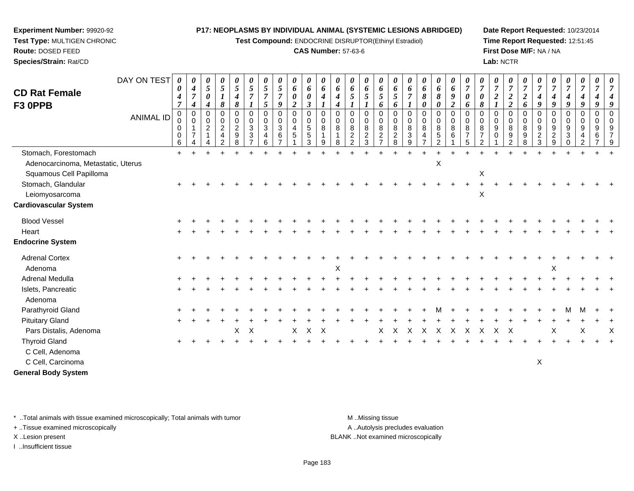**Test Compound:** ENDOCRINE DISRUPTOR(Ethinyl Estradiol)

# **CAS Number:** 57-63-6

**Date Report Requested:** 10/23/2014**Time Report Requested:** 12:51:45**First Dose M/F:** NA / NA**Lab:** NCTR

|                                                               | DAY ON TEST      | 0<br>0                          | 0<br>$\boldsymbol{4}$              | 0<br>$\mathfrak{s}$                       | 0<br>$\overline{5}$                                              | 0<br>5                                        | 0<br>5                                    | 0<br>5                | 0<br>$\mathfrak{s}$                      | 0<br>6                                                      | $\boldsymbol{\theta}$<br>6                    | 0<br>6                  | 0<br>6                  | 0<br>6                                    | 0<br>6                                                          | 0<br>6                               | 0<br>6                                                         | $\boldsymbol{\theta}$<br>6                           | 0<br>6                                                          | 0<br>6                              | 0<br>6                  | 0<br>$\overline{7}$                  | 0<br>$\overline{7}$                                    | 0<br>$\overline{7}$                                 | 0<br>$\overline{7}$                | $\overline{7}$               | $\theta$<br>$\overline{7}$                | 0<br>$\overline{7}$                                 | 0<br>$\overline{7}$                                  | 0<br>$\overline{7}$                       | 0<br>$\overline{7}$     | $\boldsymbol{\theta}$<br>$\overline{7}$ |
|---------------------------------------------------------------|------------------|---------------------------------|------------------------------------|-------------------------------------------|------------------------------------------------------------------|-----------------------------------------------|-------------------------------------------|-----------------------|------------------------------------------|-------------------------------------------------------------|-----------------------------------------------|-------------------------|-------------------------|-------------------------------------------|-----------------------------------------------------------------|--------------------------------------|----------------------------------------------------------------|------------------------------------------------------|-----------------------------------------------------------------|-------------------------------------|-------------------------|--------------------------------------|--------------------------------------------------------|-----------------------------------------------------|------------------------------------|------------------------------|-------------------------------------------|-----------------------------------------------------|------------------------------------------------------|-------------------------------------------|-------------------------|-----------------------------------------|
| <b>CD Rat Female</b><br>F3 OPPB                               |                  | 4<br>$\overline{7}$             | $\overline{7}$<br>$\boldsymbol{4}$ | $\boldsymbol{\theta}$<br>$\boldsymbol{4}$ | $\boldsymbol{l}$<br>$\boldsymbol{\delta}$                        | $\boldsymbol{4}$<br>8                         | $\overline{7}$<br>1                       | $\overline{7}$<br>5   | $\overline{7}$<br>9                      | $\boldsymbol{\theta}$<br>$\overline{2}$                     | $\boldsymbol{\theta}$<br>$\boldsymbol{\beta}$ | $\boldsymbol{4}$        | 4<br>4                  | $\mathfrak{s}$                            | 5                                                               | 5<br>6                               | 5<br>6                                                         | $\overline{7}$                                       | 8<br>0                                                          | $\boldsymbol{\delta}$<br>0          | 9<br>$\overline{2}$     | 0<br>6                               | $\boldsymbol{\theta}$<br>8                             | $\boldsymbol{2}$<br>$\boldsymbol{l}$                | $\boldsymbol{2}$<br>$\overline{2}$ | $\boldsymbol{2}$<br>6        | 4<br>9                                    | 4<br>9                                              | $\boldsymbol{4}$<br>9                                | $\boldsymbol{4}$<br>$\boldsymbol{g}$      | 4<br>9                  | $\overline{4}$<br>9                     |
|                                                               | <b>ANIMAL ID</b> | $\mathbf 0$<br>0<br>0<br>0<br>6 | $\Omega$<br>$\mathbf 0$            | $\Omega$<br>0<br>$\overline{2}$           | $\Omega$<br>$\mathbf 0$<br>$\overline{2}$<br>4<br>$\overline{2}$ | $\Omega$<br>0<br>$\overline{2}$<br>$9\,$<br>8 | $\Omega$<br>0<br>3<br>3<br>$\overline{ }$ | 0<br>0<br>3<br>4<br>6 | $\Omega$<br>$\pmb{0}$<br>$\sqrt{3}$<br>6 | $\mathbf 0$<br>$\mathbf 0$<br>$\overline{4}$<br>$\,$ 5 $\,$ | $\Omega$<br>0<br>5<br>$\,$ 5 $\,$<br>3        | $\Omega$<br>0<br>8<br>9 | $\Omega$<br>0<br>8<br>8 | $\Omega$<br>0<br>8<br>$\overline{c}$<br>2 | $\Omega$<br>$\pmb{0}$<br>$\bf8$<br>$\overline{\mathbf{c}}$<br>3 | $\Omega$<br>0<br>8<br>$\overline{c}$ | $\Omega$<br>$\mathbf 0$<br>8<br>$\overline{c}$<br>$\mathbf{8}$ | $\mathbf 0$<br>$\mathbf 0$<br>8<br>$\mathbf{3}$<br>9 | $\Omega$<br>0<br>8<br>$\overline{\mathbf{4}}$<br>$\overline{7}$ | $\Omega$<br>0<br>8<br>$\frac{5}{2}$ | $\Omega$<br>0<br>8<br>6 | $\Omega$<br>0<br>8<br>$\overline{5}$ | $\Omega$<br>0<br>8<br>$\overline{7}$<br>$\overline{2}$ | $\Omega$<br>$\mathbf 0$<br>9<br>0<br>$\overline{1}$ | $\Omega$<br>0<br>8<br>9<br>2       | $\Omega$<br>0<br>8<br>9<br>8 | $\Omega$<br>0<br>9<br>$\overline{c}$<br>3 | $\Omega$<br>$\mathbf 0$<br>9<br>$\overline{a}$<br>9 | $\Omega$<br>$\mathbf 0$<br>$9\,$<br>3<br>$\mathbf 0$ | $\Omega$<br>0<br>9<br>4<br>$\overline{2}$ | $\Omega$<br>0<br>9<br>6 | $\Omega$<br>0<br>9<br>7<br>9            |
| Stomach, Forestomach                                          |                  | $\ddot{}$                       |                                    |                                           |                                                                  |                                               |                                           |                       |                                          |                                                             |                                               |                         |                         |                                           |                                                                 |                                      |                                                                |                                                      |                                                                 |                                     |                         |                                      |                                                        |                                                     |                                    |                              |                                           |                                                     |                                                      |                                           |                         |                                         |
| Adenocarcinoma, Metastatic, Uterus<br>Squamous Cell Papilloma |                  |                                 |                                    |                                           |                                                                  |                                               |                                           |                       |                                          |                                                             |                                               |                         |                         |                                           |                                                                 |                                      |                                                                |                                                      |                                                                 | $\sf X$                             |                         |                                      | X                                                      |                                                     |                                    |                              |                                           |                                                     |                                                      |                                           |                         |                                         |
| Stomach, Glandular                                            |                  |                                 |                                    |                                           |                                                                  |                                               |                                           |                       |                                          |                                                             |                                               |                         |                         |                                           |                                                                 |                                      |                                                                |                                                      |                                                                 |                                     |                         |                                      |                                                        |                                                     |                                    |                              |                                           |                                                     |                                                      |                                           |                         |                                         |
| Leiomyosarcoma<br><b>Cardiovascular System</b>                |                  |                                 |                                    |                                           |                                                                  |                                               |                                           |                       |                                          |                                                             |                                               |                         |                         |                                           |                                                                 |                                      |                                                                |                                                      |                                                                 |                                     |                         |                                      | X                                                      |                                                     |                                    |                              |                                           |                                                     |                                                      |                                           |                         |                                         |
| <b>Blood Vessel</b>                                           |                  |                                 |                                    |                                           |                                                                  |                                               |                                           |                       |                                          |                                                             |                                               |                         |                         |                                           |                                                                 |                                      |                                                                |                                                      |                                                                 |                                     |                         |                                      |                                                        |                                                     |                                    |                              |                                           |                                                     |                                                      |                                           |                         |                                         |
| Heart                                                         |                  |                                 |                                    |                                           |                                                                  |                                               |                                           |                       |                                          |                                                             |                                               |                         |                         |                                           |                                                                 |                                      |                                                                |                                                      |                                                                 |                                     |                         |                                      |                                                        |                                                     |                                    |                              |                                           |                                                     |                                                      |                                           |                         |                                         |
| <b>Endocrine System</b>                                       |                  |                                 |                                    |                                           |                                                                  |                                               |                                           |                       |                                          |                                                             |                                               |                         |                         |                                           |                                                                 |                                      |                                                                |                                                      |                                                                 |                                     |                         |                                      |                                                        |                                                     |                                    |                              |                                           |                                                     |                                                      |                                           |                         |                                         |
| <b>Adrenal Cortex</b><br>Adenoma                              |                  | $\ddot{}$                       |                                    |                                           |                                                                  |                                               |                                           |                       |                                          |                                                             |                                               |                         | X                       |                                           |                                                                 |                                      |                                                                |                                                      |                                                                 |                                     |                         |                                      |                                                        |                                                     |                                    |                              |                                           | X                                                   |                                                      |                                           |                         |                                         |
| Adrenal Medulla                                               |                  |                                 |                                    |                                           |                                                                  |                                               |                                           |                       |                                          |                                                             |                                               |                         |                         |                                           |                                                                 |                                      |                                                                |                                                      |                                                                 |                                     |                         |                                      |                                                        |                                                     |                                    |                              |                                           |                                                     |                                                      |                                           |                         |                                         |
| Islets, Pancreatic<br>Adenoma                                 |                  |                                 |                                    |                                           |                                                                  |                                               |                                           |                       |                                          |                                                             |                                               |                         |                         |                                           |                                                                 |                                      |                                                                |                                                      |                                                                 |                                     |                         |                                      |                                                        |                                                     |                                    |                              |                                           |                                                     |                                                      |                                           |                         |                                         |
| Parathyroid Gland                                             |                  |                                 |                                    |                                           |                                                                  |                                               |                                           |                       |                                          |                                                             |                                               |                         |                         |                                           |                                                                 |                                      |                                                                |                                                      |                                                                 |                                     |                         |                                      |                                                        |                                                     |                                    |                              |                                           |                                                     | M                                                    | М                                         |                         |                                         |
| <b>Pituitary Gland</b>                                        |                  |                                 |                                    |                                           |                                                                  |                                               |                                           |                       |                                          |                                                             |                                               |                         |                         |                                           |                                                                 |                                      |                                                                |                                                      |                                                                 |                                     |                         |                                      |                                                        |                                                     |                                    |                              |                                           |                                                     |                                                      |                                           |                         |                                         |
| Pars Distalis, Adenoma                                        |                  |                                 |                                    |                                           |                                                                  | Χ                                             | X                                         |                       |                                          | X                                                           | $\mathsf X$                                   | X                       |                         |                                           |                                                                 | X                                    | X                                                              | $\boldsymbol{\mathsf{X}}$                            | $\mathsf{X}$                                                    | $\boldsymbol{\mathsf{X}}$           | $\mathsf{X}$            | X                                    | $\boldsymbol{\mathsf{X}}$                              | $\mathsf{X}$                                        | $\times$                           |                              |                                           | Χ                                                   |                                                      | X                                         |                         | $\times$                                |
| <b>Thyroid Gland</b>                                          |                  |                                 |                                    |                                           |                                                                  |                                               |                                           |                       |                                          |                                                             |                                               |                         |                         |                                           |                                                                 |                                      |                                                                |                                                      |                                                                 |                                     |                         |                                      |                                                        |                                                     |                                    |                              |                                           |                                                     |                                                      |                                           |                         |                                         |
| C Cell, Adenoma                                               |                  |                                 |                                    |                                           |                                                                  |                                               |                                           |                       |                                          |                                                             |                                               |                         |                         |                                           |                                                                 |                                      |                                                                |                                                      |                                                                 |                                     |                         |                                      |                                                        |                                                     |                                    |                              |                                           |                                                     |                                                      |                                           |                         |                                         |
| C Cell, Carcinoma                                             |                  |                                 |                                    |                                           |                                                                  |                                               |                                           |                       |                                          |                                                             |                                               |                         |                         |                                           |                                                                 |                                      |                                                                |                                                      |                                                                 |                                     |                         |                                      |                                                        |                                                     |                                    |                              | X                                         |                                                     |                                                      |                                           |                         |                                         |
| <b>General Body System</b>                                    |                  |                                 |                                    |                                           |                                                                  |                                               |                                           |                       |                                          |                                                             |                                               |                         |                         |                                           |                                                                 |                                      |                                                                |                                                      |                                                                 |                                     |                         |                                      |                                                        |                                                     |                                    |                              |                                           |                                                     |                                                      |                                           |                         |                                         |

\* ..Total animals with tissue examined microscopically; Total animals with tumor **M** . Missing tissue M ..Missing tissue

+ ..Tissue examined microscopically

**Experiment Number:** 99920-92**Test Type:** MULTIGEN CHRONIC

**Route:** DOSED FEED**Species/Strain:** Rat/CD

I ..Insufficient tissue

A ..Autolysis precludes evaluation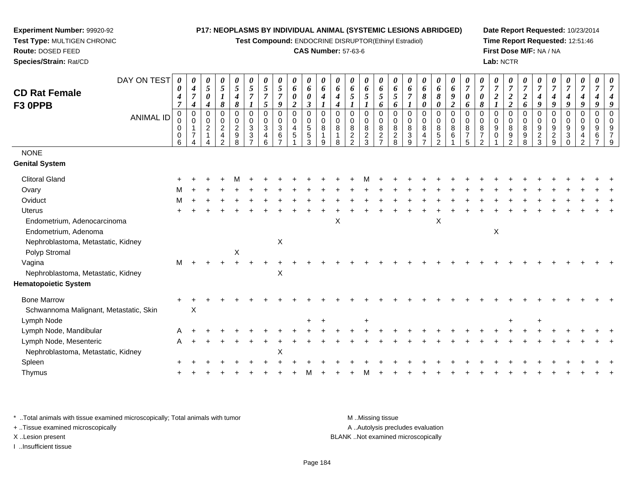**Test Compound:** ENDOCRINE DISRUPTOR(Ethinyl Estradiol)

## **CAS Number:** 57-63-6

**Date Report Requested:** 10/23/2014**Time Report Requested:** 12:51:46**First Dose M/F:** NA / NA**Lab:** NCTR

| <b>CD Rat Female</b><br>F3 OPPB                                                           | DAY ON TEST      | $\boldsymbol{\theta}$<br>0<br>$\boldsymbol{4}$<br>$\overline{7}$ | 0<br>$\boldsymbol{4}$<br>$\overline{7}$<br>$\boldsymbol{4}$               | 0<br>$5\overline{)}$<br>$\pmb{\theta}$<br>$\boldsymbol{4}$ | 0<br>$5\overline{)}$<br>$\boldsymbol{l}$<br>8                                    | 0<br>5<br>$\boldsymbol{4}$<br>8                  | U<br>5<br>$\overline{7}$<br>1 | 0<br>$\sqrt{5}$<br>$\overline{7}$<br>$\mathfrak{s}$                            | 0<br>5<br>$\overline{7}$<br>9                                                    | 0<br>6<br>0<br>$\overline{2}$        | 0<br>6<br>0<br>$\boldsymbol{\beta}$                  | 0<br>6<br>$\boldsymbol{4}$       | 0<br>6<br>$\boldsymbol{4}$<br>$\boldsymbol{4}$ | 0<br>6<br>5                        | 0<br>6<br>5<br>$\boldsymbol{l}$                       | 0<br>6<br>5<br>6                    | $\boldsymbol{\theta}$<br>6<br>$\mathfrak{s}$<br>6 | 0<br>6<br>$\overline{7}$                               | $\boldsymbol{\theta}$<br>6<br>$\pmb{8}$<br>$\boldsymbol{\theta}$ | 0<br>6<br>$\boldsymbol{\delta}$<br>$\boldsymbol{\theta}$ | 0<br>6<br>9<br>$\overline{a}$ | $\boldsymbol{\theta}$<br>$\boldsymbol{7}$<br>0<br>6 | $\overline{7}$<br>0<br>$\pmb{8}$                         | 0<br>$\boldsymbol{7}$<br>$\boldsymbol{2}$ | 0<br>$\overline{7}$<br>$\boldsymbol{2}$<br>$\overline{\mathbf{c}}$ | $\boldsymbol{\theta}$<br>$\overline{7}$<br>$\overline{2}$<br>6 | $\overline{7}$<br>4<br>$\boldsymbol{g}$     | $\overline{7}$<br>4<br>9               | 0<br>$\boldsymbol{7}$<br>$\boldsymbol{4}$<br>9 | $\boldsymbol{\theta}$<br>$\overline{7}$<br>$\boldsymbol{4}$<br>9    | 0<br>$\overline{7}$<br>9                     |               |
|-------------------------------------------------------------------------------------------|------------------|------------------------------------------------------------------|---------------------------------------------------------------------------|------------------------------------------------------------|----------------------------------------------------------------------------------|--------------------------------------------------|-------------------------------|--------------------------------------------------------------------------------|----------------------------------------------------------------------------------|--------------------------------------|------------------------------------------------------|----------------------------------|------------------------------------------------|------------------------------------|-------------------------------------------------------|-------------------------------------|---------------------------------------------------|--------------------------------------------------------|------------------------------------------------------------------|----------------------------------------------------------|-------------------------------|-----------------------------------------------------|----------------------------------------------------------|-------------------------------------------|--------------------------------------------------------------------|----------------------------------------------------------------|---------------------------------------------|----------------------------------------|------------------------------------------------|---------------------------------------------------------------------|----------------------------------------------|---------------|
|                                                                                           | <b>ANIMAL ID</b> | $\mathbf 0$<br>0<br>0<br>0<br>6                                  | $\mathbf 0$<br>$\mathbf 0$<br>$\mathbf{1}$<br>$\overline{7}$<br>$\Lambda$ | 0<br>$\overline{0}$<br>$\overline{c}$                      | $\mathbf 0$<br>$\mathbf 0$<br>$\overline{2}$<br>$\overline{4}$<br>$\overline{2}$ | $\mathbf 0$<br>$\mathbf 0$<br>$\frac{2}{9}$<br>8 | 0<br>0<br>3<br>$\frac{3}{7}$  | $\mathbf 0$<br>$\mathbf 0$<br>$\ensuremath{\mathsf{3}}$<br>$\overline{4}$<br>6 | $\pmb{0}$<br>$\mathbf 0$<br>$\ensuremath{\mathsf{3}}$<br>$\,6$<br>$\overline{7}$ | $\mathbf 0$<br>$\mathbf 0$<br>4<br>5 | 0<br>$\begin{array}{c} 0 \\ 5 \\ 5 \end{array}$<br>3 | $\mathbf 0$<br>0<br>8<br>-1<br>9 | $\mathbf 0$<br>0<br>8<br>8                     | 0<br>0<br>$\bf 8$<br>$\frac{2}{2}$ | $\mathbf 0$<br>$\mathbf 0$<br>$\, 8$<br>$\frac{2}{3}$ | $\Omega$<br>0<br>8<br>$\frac{2}{7}$ | $\mathbf 0$<br>0<br>8<br>$\frac{2}{8}$            | $\mathbf 0$<br>$\mathbf 0$<br>$\bf 8$<br>$\frac{3}{9}$ | 0<br>$\mathbf 0$<br>8<br>$\overline{4}$<br>$\overline{7}$        | $\mathbf 0$<br>$\mathbf 0$<br>$\, 8$<br>$\frac{5}{2}$    | $\mathbf 0$<br>0<br>8<br>6    | 0<br>0<br>8<br>$\overline{7}$<br>5                  | $\mathbf 0$<br>0<br>8<br>$\overline{7}$<br>$\mathcal{P}$ | $\mathbf 0$<br>0<br>9<br>0                | $\mathbf 0$<br>0<br>8<br>9<br>$\overline{2}$                       | $\mathbf 0$<br>$\mathbf 0$<br>8<br>9<br>8                      | 0<br>0<br>$\boldsymbol{9}$<br>$\frac{2}{3}$ | $\mathbf 0$<br>0<br>9<br>$\frac{2}{9}$ | 0<br>0<br>9<br>$\mathbf{3}$<br>$\Omega$        | $\mathbf 0$<br>$\mathbf 0$<br>9<br>$\overline{4}$<br>$\overline{2}$ | $\mathbf 0$<br>0<br>9<br>6<br>$\overline{ }$ | $\Omega$<br>Q |
| <b>NONE</b>                                                                               |                  |                                                                  |                                                                           |                                                            |                                                                                  |                                                  |                               |                                                                                |                                                                                  |                                      |                                                      |                                  |                                                |                                    |                                                       |                                     |                                                   |                                                        |                                                                  |                                                          |                               |                                                     |                                                          |                                           |                                                                    |                                                                |                                             |                                        |                                                |                                                                     |                                              |               |
| <b>Genital System</b>                                                                     |                  |                                                                  |                                                                           |                                                            |                                                                                  |                                                  |                               |                                                                                |                                                                                  |                                      |                                                      |                                  |                                                |                                    |                                                       |                                     |                                                   |                                                        |                                                                  |                                                          |                               |                                                     |                                                          |                                           |                                                                    |                                                                |                                             |                                        |                                                |                                                                     |                                              |               |
| <b>Clitoral Gland</b>                                                                     |                  |                                                                  |                                                                           |                                                            |                                                                                  |                                                  |                               |                                                                                |                                                                                  |                                      |                                                      |                                  |                                                |                                    |                                                       |                                     |                                                   |                                                        |                                                                  |                                                          |                               |                                                     |                                                          |                                           |                                                                    |                                                                |                                             |                                        |                                                |                                                                     |                                              |               |
| Ovary                                                                                     |                  | M                                                                |                                                                           |                                                            |                                                                                  |                                                  |                               |                                                                                |                                                                                  |                                      |                                                      |                                  |                                                |                                    |                                                       |                                     |                                                   |                                                        |                                                                  |                                                          |                               |                                                     |                                                          |                                           |                                                                    |                                                                |                                             |                                        |                                                |                                                                     |                                              |               |
| Oviduct                                                                                   |                  |                                                                  |                                                                           |                                                            |                                                                                  |                                                  |                               |                                                                                |                                                                                  |                                      |                                                      |                                  |                                                |                                    |                                                       |                                     |                                                   |                                                        |                                                                  |                                                          |                               |                                                     |                                                          |                                           |                                                                    |                                                                |                                             |                                        |                                                |                                                                     |                                              |               |
| Uterus                                                                                    |                  |                                                                  |                                                                           |                                                            |                                                                                  |                                                  |                               |                                                                                |                                                                                  |                                      |                                                      |                                  |                                                |                                    |                                                       |                                     |                                                   |                                                        |                                                                  |                                                          |                               |                                                     |                                                          |                                           |                                                                    |                                                                |                                             |                                        |                                                |                                                                     |                                              |               |
| Endometrium, Adenocarcinoma<br>Endometrium, Adenoma<br>Nephroblastoma, Metastatic, Kidney |                  |                                                                  |                                                                           |                                                            |                                                                                  |                                                  |                               |                                                                                | X                                                                                |                                      |                                                      |                                  | $\mathsf X$                                    |                                    |                                                       |                                     |                                                   |                                                        |                                                                  | $\times$                                                 |                               |                                                     |                                                          | X                                         |                                                                    |                                                                |                                             |                                        |                                                |                                                                     |                                              |               |
| Polyp Stromal                                                                             |                  |                                                                  |                                                                           |                                                            |                                                                                  | X                                                |                               |                                                                                |                                                                                  |                                      |                                                      |                                  |                                                |                                    |                                                       |                                     |                                                   |                                                        |                                                                  |                                                          |                               |                                                     |                                                          |                                           |                                                                    |                                                                |                                             |                                        |                                                |                                                                     |                                              |               |
| Vagina<br>Nephroblastoma, Metastatic, Kidney                                              |                  | M                                                                |                                                                           |                                                            |                                                                                  |                                                  |                               |                                                                                | X                                                                                |                                      |                                                      |                                  |                                                |                                    |                                                       |                                     |                                                   |                                                        |                                                                  |                                                          |                               |                                                     |                                                          |                                           |                                                                    |                                                                |                                             |                                        |                                                |                                                                     |                                              |               |
| <b>Hematopoietic System</b>                                                               |                  |                                                                  |                                                                           |                                                            |                                                                                  |                                                  |                               |                                                                                |                                                                                  |                                      |                                                      |                                  |                                                |                                    |                                                       |                                     |                                                   |                                                        |                                                                  |                                                          |                               |                                                     |                                                          |                                           |                                                                    |                                                                |                                             |                                        |                                                |                                                                     |                                              |               |
| <b>Bone Marrow</b><br>Schwannoma Malignant, Metastatic, Skin<br>Lymph Node                |                  |                                                                  | X                                                                         |                                                            |                                                                                  |                                                  |                               |                                                                                |                                                                                  |                                      | ÷                                                    |                                  |                                                |                                    | $\ddot{}$                                             |                                     |                                                   |                                                        |                                                                  |                                                          |                               |                                                     |                                                          |                                           |                                                                    |                                                                | $\div$                                      |                                        |                                                |                                                                     |                                              |               |
| Lymph Node, Mandibular                                                                    |                  | A                                                                |                                                                           |                                                            |                                                                                  |                                                  |                               |                                                                                |                                                                                  |                                      |                                                      |                                  |                                                |                                    |                                                       |                                     |                                                   |                                                        |                                                                  |                                                          |                               |                                                     |                                                          |                                           |                                                                    |                                                                |                                             |                                        |                                                |                                                                     |                                              |               |
| Lymph Node, Mesenteric<br>Nephroblastoma, Metastatic, Kidney                              |                  | A                                                                |                                                                           |                                                            |                                                                                  |                                                  |                               |                                                                                | X                                                                                |                                      |                                                      |                                  |                                                |                                    |                                                       |                                     |                                                   |                                                        |                                                                  |                                                          |                               |                                                     |                                                          |                                           |                                                                    |                                                                |                                             |                                        |                                                |                                                                     |                                              |               |
| Spleen                                                                                    |                  |                                                                  |                                                                           |                                                            |                                                                                  |                                                  |                               |                                                                                |                                                                                  |                                      |                                                      |                                  |                                                |                                    |                                                       |                                     |                                                   |                                                        |                                                                  |                                                          |                               |                                                     |                                                          |                                           |                                                                    |                                                                |                                             |                                        |                                                |                                                                     |                                              |               |
| Thymus                                                                                    |                  |                                                                  |                                                                           |                                                            |                                                                                  |                                                  |                               |                                                                                |                                                                                  |                                      |                                                      |                                  |                                                |                                    |                                                       |                                     |                                                   |                                                        |                                                                  |                                                          |                               |                                                     |                                                          |                                           |                                                                    |                                                                |                                             |                                        |                                                |                                                                     |                                              |               |
|                                                                                           |                  |                                                                  |                                                                           |                                                            |                                                                                  |                                                  |                               |                                                                                |                                                                                  |                                      |                                                      |                                  |                                                |                                    |                                                       |                                     |                                                   |                                                        |                                                                  |                                                          |                               |                                                     |                                                          |                                           |                                                                    |                                                                |                                             |                                        |                                                |                                                                     |                                              |               |

\* ..Total animals with tissue examined microscopically; Total animals with tumor **M** . Missing tissue M ..Missing tissue A ..Autolysis precludes evaluation + ..Tissue examined microscopically X ..Lesion present BLANK ..Not examined microscopicallyI ..Insufficient tissue

**Experiment Number:** 99920-92**Test Type:** MULTIGEN CHRONIC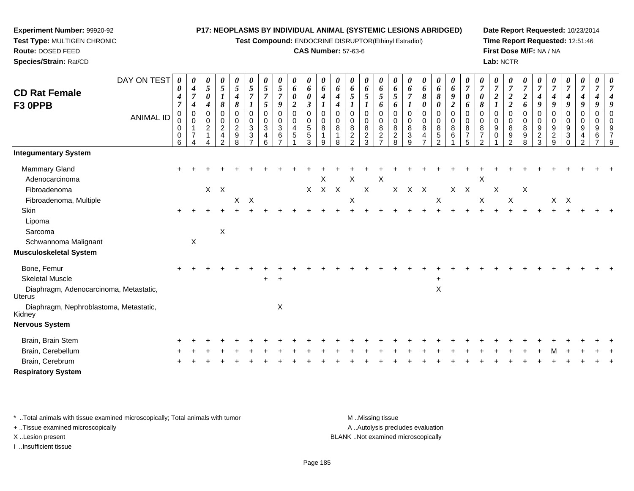**Test Compound:** ENDOCRINE DISRUPTOR(Ethinyl Estradiol)

### **CAS Number:** 57-63-6

**Date Report Requested:** 10/23/2014**Time Report Requested:** 12:51:46**First Dose M/F:** NA / NA**Lab:** NCTR

| <b>CD Rat Female</b><br>F3 OPPB<br><b>Integumentary System</b> | DAY ON TEST<br><b>ANIMAL ID</b> | 0<br>0<br>4<br>$\overline{7}$<br>$\overline{0}$<br>0<br>0<br>0<br>6 | 0<br>$\boldsymbol{4}$<br>$\overline{7}$<br>$\boldsymbol{4}$<br>$\mathbf 0$<br>$\mathbf 0$<br>$\overline{7}$ | 0<br>5<br>$\boldsymbol{\theta}$<br>4<br>0<br>0<br>$\overline{\mathbf{c}}$<br>$\mathbf{1}$ | 0<br>$\mathfrak{s}$<br>$\boldsymbol{l}$<br>8<br>0<br>$\mathbf 0$<br>$\frac{2}{4}$<br>$\overline{2}$ | $\pmb{\theta}$<br>$\sqrt{5}$<br>$\boldsymbol{4}$<br>8<br>$\pmb{0}$<br>$\mathbf 0$<br>$\frac{2}{9}$<br>8 | $\boldsymbol{\theta}$<br>$\overline{5}$<br>$\overline{7}$<br>$\boldsymbol{l}$<br>0<br>0<br>$\sqrt{3}$<br>3<br>$\overline{7}$ | 0<br>5<br>$\overline{7}$<br>$\mathfrak{s}$<br>$\pmb{0}$<br>$\pmb{0}$<br>$\mathbf{3}$<br>$\overline{\mathbf{4}}$<br>6 | 0<br>5<br>$\boldsymbol{7}$<br>9<br>$\pmb{0}$<br>$\mathbf 0$<br>$\ensuremath{\mathsf{3}}$<br>6<br>$\overline{7}$ | 0<br>6<br>0<br>$\boldsymbol{2}$<br>0<br>$\mathsf{O}\xspace$<br>4<br>5 | 0<br>6<br>$\pmb{\theta}$<br>$\boldsymbol{\beta}$<br>$\pmb{0}$<br>$\pmb{0}$<br>$\frac{5}{3}$ | 0<br>6<br>4<br>$\mathbf 0$<br>0<br>$\,8\,$<br>9 | $\boldsymbol{\theta}$<br>6<br>4<br>4<br>$\mathbf 0$<br>$\pmb{0}$<br>$\bf 8$<br>$\mathbf 1$<br>8 | 0<br>6<br>5<br>0<br>0<br>$\bf 8$<br>$\frac{2}{2}$ | $\boldsymbol{\theta}$<br>6<br>5<br>$\mathbf 0$<br>$\mathbf 0$<br>$\bf 8$<br>$\frac{2}{3}$ | 0<br>6<br>$5\overline{)}$<br>6<br>0<br>0<br>8<br>$\frac{2}{7}$ | 0<br>6<br>5<br>6<br>$\mathbf 0$<br>0<br>8<br>$\frac{2}{8}$ | 0<br>6<br>$\overline{7}$<br>$\pmb{0}$<br>$\pmb{0}$<br>$\bf8$<br>$\ensuremath{\mathsf{3}}$<br>9 | 0<br>6<br>8<br>0<br>0<br>$\mathbf 0$<br>8<br>$\overline{\mathbf{4}}$<br>$\overline{ }$ | $\boldsymbol{\theta}$<br>6<br>8<br>$\boldsymbol{\theta}$<br>$\mathbf 0$<br>$\mathbf 0$<br>$\bf 8$<br>$\frac{5}{2}$ | 0<br>6<br>$\boldsymbol{g}$<br>$\boldsymbol{2}$<br>$\mathbf 0$<br>$\mathbf 0$<br>$\bf 8$<br>6 | $\boldsymbol{\theta}$<br>$\boldsymbol{7}$<br>$\boldsymbol{\theta}$<br>6<br>$\mathbf 0$<br>$\mathbf 0$<br>8<br>$\overline{7}$<br>5 | 0<br>$\overline{7}$<br>0<br>8<br>$\Omega$<br>0<br>8<br>$\overline{7}$<br>$\mathfrak{p}$ | $\pmb{\theta}$<br>$\overline{7}$<br>$\overline{\mathbf{c}}$<br>$\mathbf 0$<br>$\mathbf 0$<br>$\boldsymbol{9}$<br>$\Omega$ | 0<br>$\overline{7}$<br>$\overline{2}$<br>$\boldsymbol{2}$<br>$\overline{0}$<br>$\pmb{0}$<br>$\bf 8$<br>$\boldsymbol{9}$<br>2 | 0<br>$\overline{7}$<br>$\overline{2}$<br>6<br>$\mathbf 0$<br>0<br>8<br>9<br>8 | $\boldsymbol{\theta}$<br>$\overline{7}$<br>4<br>9<br>$\mathbf 0$<br>0<br>$\boldsymbol{9}$<br>$\frac{2}{3}$ | $\boldsymbol{\theta}$<br>$\overline{7}$<br>$\boldsymbol{4}$<br>9<br>$\pmb{0}$<br>$\mathbf 0$<br>$\boldsymbol{9}$<br>$\frac{2}{9}$ | 0<br>$\overline{7}$<br>$\boldsymbol{4}$<br>9<br>0<br>0<br>$\boldsymbol{9}$<br>$\sqrt{3}$<br>$\Omega$ | 0<br>$\overline{7}$<br>4<br>9<br>$\mathbf 0$<br>0<br>9<br>4<br>$\overline{2}$ | $\pmb{\theta}$<br>$\overline{7}$<br>$\boldsymbol{4}$<br>9<br>$\mathbf 0$<br>0<br>9<br>6<br>$\overline{7}$ | 0<br>7<br>9<br>$\overline{0}$<br>$\Omega$<br>9<br>7<br>9 |
|----------------------------------------------------------------|---------------------------------|---------------------------------------------------------------------|-------------------------------------------------------------------------------------------------------------|-------------------------------------------------------------------------------------------|-----------------------------------------------------------------------------------------------------|---------------------------------------------------------------------------------------------------------|------------------------------------------------------------------------------------------------------------------------------|----------------------------------------------------------------------------------------------------------------------|-----------------------------------------------------------------------------------------------------------------|-----------------------------------------------------------------------|---------------------------------------------------------------------------------------------|-------------------------------------------------|-------------------------------------------------------------------------------------------------|---------------------------------------------------|-------------------------------------------------------------------------------------------|----------------------------------------------------------------|------------------------------------------------------------|------------------------------------------------------------------------------------------------|----------------------------------------------------------------------------------------|--------------------------------------------------------------------------------------------------------------------|----------------------------------------------------------------------------------------------|-----------------------------------------------------------------------------------------------------------------------------------|-----------------------------------------------------------------------------------------|---------------------------------------------------------------------------------------------------------------------------|------------------------------------------------------------------------------------------------------------------------------|-------------------------------------------------------------------------------|------------------------------------------------------------------------------------------------------------|-----------------------------------------------------------------------------------------------------------------------------------|------------------------------------------------------------------------------------------------------|-------------------------------------------------------------------------------|-----------------------------------------------------------------------------------------------------------|----------------------------------------------------------|
|                                                                |                                 |                                                                     |                                                                                                             |                                                                                           |                                                                                                     |                                                                                                         |                                                                                                                              |                                                                                                                      |                                                                                                                 |                                                                       |                                                                                             |                                                 |                                                                                                 |                                                   |                                                                                           |                                                                |                                                            |                                                                                                |                                                                                        |                                                                                                                    |                                                                                              |                                                                                                                                   |                                                                                         |                                                                                                                           |                                                                                                                              |                                                                               |                                                                                                            |                                                                                                                                   |                                                                                                      |                                                                               |                                                                                                           |                                                          |
| <b>Mammary Gland</b>                                           |                                 | ÷                                                                   |                                                                                                             |                                                                                           |                                                                                                     |                                                                                                         |                                                                                                                              |                                                                                                                      |                                                                                                                 |                                                                       |                                                                                             |                                                 |                                                                                                 |                                                   |                                                                                           |                                                                |                                                            |                                                                                                |                                                                                        |                                                                                                                    |                                                                                              |                                                                                                                                   |                                                                                         |                                                                                                                           |                                                                                                                              |                                                                               |                                                                                                            |                                                                                                                                   |                                                                                                      |                                                                               |                                                                                                           |                                                          |
| Adenocarcinoma                                                 |                                 |                                                                     |                                                                                                             |                                                                                           |                                                                                                     |                                                                                                         |                                                                                                                              |                                                                                                                      |                                                                                                                 |                                                                       |                                                                                             | X                                               |                                                                                                 | X                                                 |                                                                                           | X                                                              |                                                            |                                                                                                |                                                                                        |                                                                                                                    |                                                                                              |                                                                                                                                   | Χ                                                                                       |                                                                                                                           |                                                                                                                              |                                                                               |                                                                                                            |                                                                                                                                   |                                                                                                      |                                                                               |                                                                                                           |                                                          |
| Fibroadenoma                                                   |                                 |                                                                     |                                                                                                             |                                                                                           | $X$ $X$                                                                                             |                                                                                                         |                                                                                                                              |                                                                                                                      |                                                                                                                 |                                                                       | $\sf X$                                                                                     |                                                 | $X$ $X$                                                                                         |                                                   | $\mathsf X$                                                                               |                                                                |                                                            | X X X                                                                                          |                                                                                        |                                                                                                                    | X X                                                                                          |                                                                                                                                   |                                                                                         | X                                                                                                                         |                                                                                                                              | X                                                                             |                                                                                                            |                                                                                                                                   |                                                                                                      |                                                                               |                                                                                                           |                                                          |
| Fibroadenoma, Multiple                                         |                                 |                                                                     |                                                                                                             |                                                                                           |                                                                                                     | X                                                                                                       | $\boldsymbol{\mathsf{X}}$                                                                                                    |                                                                                                                      |                                                                                                                 |                                                                       |                                                                                             |                                                 |                                                                                                 | Χ                                                 |                                                                                           |                                                                |                                                            |                                                                                                |                                                                                        | X                                                                                                                  |                                                                                              |                                                                                                                                   | $\boldsymbol{\mathsf{X}}$                                                               |                                                                                                                           | X                                                                                                                            |                                                                               |                                                                                                            |                                                                                                                                   | $X$ $X$                                                                                              |                                                                               |                                                                                                           |                                                          |
| Skin                                                           |                                 |                                                                     |                                                                                                             |                                                                                           |                                                                                                     |                                                                                                         |                                                                                                                              |                                                                                                                      |                                                                                                                 |                                                                       |                                                                                             |                                                 |                                                                                                 |                                                   |                                                                                           |                                                                |                                                            |                                                                                                |                                                                                        |                                                                                                                    |                                                                                              |                                                                                                                                   |                                                                                         |                                                                                                                           |                                                                                                                              |                                                                               |                                                                                                            |                                                                                                                                   |                                                                                                      |                                                                               |                                                                                                           |                                                          |
| Lipoma                                                         |                                 |                                                                     |                                                                                                             |                                                                                           |                                                                                                     |                                                                                                         |                                                                                                                              |                                                                                                                      |                                                                                                                 |                                                                       |                                                                                             |                                                 |                                                                                                 |                                                   |                                                                                           |                                                                |                                                            |                                                                                                |                                                                                        |                                                                                                                    |                                                                                              |                                                                                                                                   |                                                                                         |                                                                                                                           |                                                                                                                              |                                                                               |                                                                                                            |                                                                                                                                   |                                                                                                      |                                                                               |                                                                                                           |                                                          |
| Sarcoma                                                        |                                 |                                                                     |                                                                                                             |                                                                                           | X                                                                                                   |                                                                                                         |                                                                                                                              |                                                                                                                      |                                                                                                                 |                                                                       |                                                                                             |                                                 |                                                                                                 |                                                   |                                                                                           |                                                                |                                                            |                                                                                                |                                                                                        |                                                                                                                    |                                                                                              |                                                                                                                                   |                                                                                         |                                                                                                                           |                                                                                                                              |                                                                               |                                                                                                            |                                                                                                                                   |                                                                                                      |                                                                               |                                                                                                           |                                                          |
| Schwannoma Malignant                                           |                                 |                                                                     | $\mathsf X$                                                                                                 |                                                                                           |                                                                                                     |                                                                                                         |                                                                                                                              |                                                                                                                      |                                                                                                                 |                                                                       |                                                                                             |                                                 |                                                                                                 |                                                   |                                                                                           |                                                                |                                                            |                                                                                                |                                                                                        |                                                                                                                    |                                                                                              |                                                                                                                                   |                                                                                         |                                                                                                                           |                                                                                                                              |                                                                               |                                                                                                            |                                                                                                                                   |                                                                                                      |                                                                               |                                                                                                           |                                                          |
| <b>Musculoskeletal System</b>                                  |                                 |                                                                     |                                                                                                             |                                                                                           |                                                                                                     |                                                                                                         |                                                                                                                              |                                                                                                                      |                                                                                                                 |                                                                       |                                                                                             |                                                 |                                                                                                 |                                                   |                                                                                           |                                                                |                                                            |                                                                                                |                                                                                        |                                                                                                                    |                                                                                              |                                                                                                                                   |                                                                                         |                                                                                                                           |                                                                                                                              |                                                                               |                                                                                                            |                                                                                                                                   |                                                                                                      |                                                                               |                                                                                                           |                                                          |
| Bone, Femur                                                    |                                 |                                                                     |                                                                                                             |                                                                                           |                                                                                                     |                                                                                                         |                                                                                                                              |                                                                                                                      |                                                                                                                 |                                                                       |                                                                                             |                                                 |                                                                                                 |                                                   |                                                                                           |                                                                |                                                            |                                                                                                |                                                                                        |                                                                                                                    |                                                                                              |                                                                                                                                   |                                                                                         |                                                                                                                           |                                                                                                                              |                                                                               |                                                                                                            |                                                                                                                                   |                                                                                                      |                                                                               |                                                                                                           |                                                          |
| <b>Skeletal Muscle</b>                                         |                                 |                                                                     |                                                                                                             |                                                                                           |                                                                                                     |                                                                                                         |                                                                                                                              | $\ddot{}$                                                                                                            | $\ddot{}$                                                                                                       |                                                                       |                                                                                             |                                                 |                                                                                                 |                                                   |                                                                                           |                                                                |                                                            |                                                                                                |                                                                                        | $\ddot{}$                                                                                                          |                                                                                              |                                                                                                                                   |                                                                                         |                                                                                                                           |                                                                                                                              |                                                                               |                                                                                                            |                                                                                                                                   |                                                                                                      |                                                                               |                                                                                                           |                                                          |
| Diaphragm, Adenocarcinoma, Metastatic,<br><b>Uterus</b>        |                                 |                                                                     |                                                                                                             |                                                                                           |                                                                                                     |                                                                                                         |                                                                                                                              |                                                                                                                      |                                                                                                                 |                                                                       |                                                                                             |                                                 |                                                                                                 |                                                   |                                                                                           |                                                                |                                                            |                                                                                                |                                                                                        | $\sf X$                                                                                                            |                                                                                              |                                                                                                                                   |                                                                                         |                                                                                                                           |                                                                                                                              |                                                                               |                                                                                                            |                                                                                                                                   |                                                                                                      |                                                                               |                                                                                                           |                                                          |
| Diaphragm, Nephroblastoma, Metastatic,<br>Kidney               |                                 |                                                                     |                                                                                                             |                                                                                           |                                                                                                     |                                                                                                         |                                                                                                                              |                                                                                                                      | X                                                                                                               |                                                                       |                                                                                             |                                                 |                                                                                                 |                                                   |                                                                                           |                                                                |                                                            |                                                                                                |                                                                                        |                                                                                                                    |                                                                                              |                                                                                                                                   |                                                                                         |                                                                                                                           |                                                                                                                              |                                                                               |                                                                                                            |                                                                                                                                   |                                                                                                      |                                                                               |                                                                                                           |                                                          |
| <b>Nervous System</b>                                          |                                 |                                                                     |                                                                                                             |                                                                                           |                                                                                                     |                                                                                                         |                                                                                                                              |                                                                                                                      |                                                                                                                 |                                                                       |                                                                                             |                                                 |                                                                                                 |                                                   |                                                                                           |                                                                |                                                            |                                                                                                |                                                                                        |                                                                                                                    |                                                                                              |                                                                                                                                   |                                                                                         |                                                                                                                           |                                                                                                                              |                                                                               |                                                                                                            |                                                                                                                                   |                                                                                                      |                                                                               |                                                                                                           |                                                          |
| Brain, Brain Stem                                              |                                 |                                                                     |                                                                                                             |                                                                                           |                                                                                                     |                                                                                                         |                                                                                                                              |                                                                                                                      |                                                                                                                 |                                                                       |                                                                                             |                                                 |                                                                                                 |                                                   |                                                                                           |                                                                |                                                            |                                                                                                |                                                                                        |                                                                                                                    |                                                                                              |                                                                                                                                   |                                                                                         |                                                                                                                           |                                                                                                                              |                                                                               |                                                                                                            |                                                                                                                                   |                                                                                                      |                                                                               |                                                                                                           |                                                          |
| Brain, Cerebellum                                              |                                 |                                                                     |                                                                                                             |                                                                                           |                                                                                                     |                                                                                                         |                                                                                                                              |                                                                                                                      |                                                                                                                 |                                                                       |                                                                                             |                                                 |                                                                                                 |                                                   |                                                                                           |                                                                |                                                            |                                                                                                |                                                                                        |                                                                                                                    |                                                                                              |                                                                                                                                   |                                                                                         |                                                                                                                           |                                                                                                                              |                                                                               |                                                                                                            |                                                                                                                                   |                                                                                                      |                                                                               |                                                                                                           |                                                          |
| Brain, Cerebrum                                                |                                 |                                                                     |                                                                                                             |                                                                                           |                                                                                                     |                                                                                                         |                                                                                                                              |                                                                                                                      |                                                                                                                 |                                                                       |                                                                                             |                                                 |                                                                                                 |                                                   |                                                                                           |                                                                |                                                            |                                                                                                |                                                                                        |                                                                                                                    |                                                                                              |                                                                                                                                   |                                                                                         |                                                                                                                           |                                                                                                                              |                                                                               |                                                                                                            |                                                                                                                                   |                                                                                                      |                                                                               |                                                                                                           |                                                          |
| <b>Respiratory System</b>                                      |                                 |                                                                     |                                                                                                             |                                                                                           |                                                                                                     |                                                                                                         |                                                                                                                              |                                                                                                                      |                                                                                                                 |                                                                       |                                                                                             |                                                 |                                                                                                 |                                                   |                                                                                           |                                                                |                                                            |                                                                                                |                                                                                        |                                                                                                                    |                                                                                              |                                                                                                                                   |                                                                                         |                                                                                                                           |                                                                                                                              |                                                                               |                                                                                                            |                                                                                                                                   |                                                                                                      |                                                                               |                                                                                                           |                                                          |

\* ..Total animals with tissue examined microscopically; Total animals with tumor **M** . Missing tissue M ..Missing tissue

+ ..Tissue examined microscopically

**Experiment Number:** 99920-92**Test Type:** MULTIGEN CHRONIC

**Route:** DOSED FEED**Species/Strain:** Rat/CD

I ..Insufficient tissue

A ..Autolysis precludes evaluation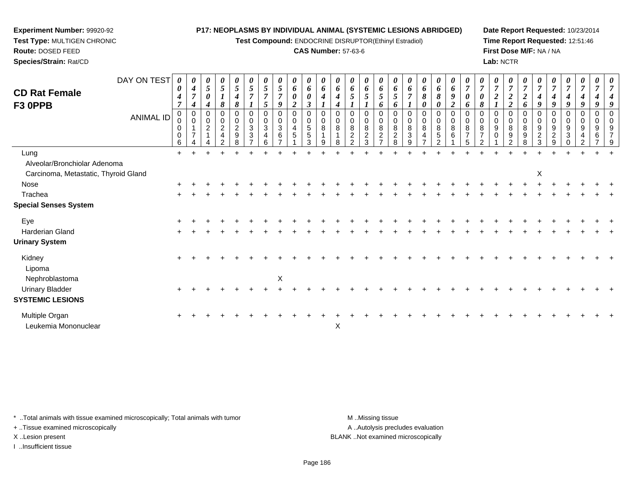**Test Compound:** ENDOCRINE DISRUPTOR(Ethinyl Estradiol)

# **CAS Number:** 57-63-6

**Date Report Requested:** 10/23/2014**Time Report Requested:** 12:51:46**First Dose M/F:** NA / NA**Lab:** NCTR

| <b>CD Rat Female</b><br>F3 OPPB                                      | DAY ON TEST<br><b>ANIMAL ID</b> | 0<br>0<br>4<br>7<br>0<br>0<br>0<br>0<br>6 | U<br>4<br>7<br>4<br>$\mathbf 0$<br>$\overline{7}$ | 0<br>5<br>0<br>0<br>0<br>$\overline{c}$ | $\boldsymbol{\theta}$<br>$\sqrt{5}$<br>8<br>0<br>$\boldsymbol{2}$<br>$\overline{\mathbf{r}}$ | $\boldsymbol{\theta}$<br>5<br>4<br>8<br>0<br>$\mathbf 0$<br>$\overline{2}$<br>9 | $5\overline{)}$<br>7<br>0<br>0<br>$\mathbf{3}$<br>3 | 5<br>7<br>5<br>0<br>3 | $\boldsymbol{\theta}$<br>5<br>$\overline{7}$<br>9<br>0<br>0<br>3<br>6 | $\theta$<br>6<br>0<br>$\overline{\mathbf{2}}$<br>0<br>0<br>4<br>$5\phantom{.0}$ | $\boldsymbol{\theta}$<br>$\pmb{6}$<br>$\boldsymbol{\theta}$<br>$\boldsymbol{\beta}$<br>$\pmb{0}$<br>$\pmb{0}$<br>$\sqrt{5}$<br>$\overline{5}$<br>3 | $\boldsymbol{\theta}$<br>$\boldsymbol{\delta}$<br>4<br>$\mathbf 0$<br>0<br>8<br>9 | U<br>6<br>4 | 0<br>6<br>5<br>$\mathbf 0$<br>0<br>8<br>$\overline{c}$<br>ົ | 0<br>6<br>5<br>0<br>0<br>8<br>$\overline{c}$<br>3 | $\boldsymbol{\theta}$<br>6<br>5<br>6<br>$\mathbf 0$<br>0<br>8<br>$\overline{2}$ | $\boldsymbol{\theta}$<br>6<br>$\mathfrak{s}$<br>6<br>0<br>0<br>8<br>$\overline{c}$<br>8 | 7<br>8<br>3 | $\boldsymbol{\theta}$<br>6<br>8<br>0<br>0<br>0<br>8<br>4 | 0<br>6<br>8<br>0<br>0<br>0<br>8<br>5<br>$\Omega$ | 0<br>6<br>$\boldsymbol{g}$<br>$\boldsymbol{2}$<br>$\mathbf 0$<br>$\pmb{0}$<br>$\bf 8$<br>6 | $\boldsymbol{\theta}$<br>$\overline{7}$<br>0<br>6<br>0<br>$\mathbf 0$<br>8<br>$\overline{7}$ | 8<br>$\overline{ }$ | $\boldsymbol{2}$<br>0<br>9<br>$\Omega$ | 0<br>$\overline{7}$<br>$\overline{\mathbf{c}}$<br>$\overline{c}$<br>$\mathbf 0$<br>0<br>8<br>9 | 0<br>$\overline{7}$<br>$\boldsymbol{2}$<br>6<br>0<br>$\bf8$<br>9 | $\theta$<br>9<br>0<br>9<br>$\overline{\mathbf{c}}$<br>3 | 4<br>9<br>9<br>$\overline{c}$ | 4<br>9<br>0<br>9<br>3 | $\boldsymbol{\theta}$<br>4<br>9<br>0<br>0<br>9 | $\boldsymbol{\theta}$<br>0<br>9<br>6 |  |
|----------------------------------------------------------------------|---------------------------------|-------------------------------------------|---------------------------------------------------|-----------------------------------------|----------------------------------------------------------------------------------------------|---------------------------------------------------------------------------------|-----------------------------------------------------|-----------------------|-----------------------------------------------------------------------|---------------------------------------------------------------------------------|----------------------------------------------------------------------------------------------------------------------------------------------------|-----------------------------------------------------------------------------------|-------------|-------------------------------------------------------------|---------------------------------------------------|---------------------------------------------------------------------------------|-----------------------------------------------------------------------------------------|-------------|----------------------------------------------------------|--------------------------------------------------|--------------------------------------------------------------------------------------------|----------------------------------------------------------------------------------------------|---------------------|----------------------------------------|------------------------------------------------------------------------------------------------|------------------------------------------------------------------|---------------------------------------------------------|-------------------------------|-----------------------|------------------------------------------------|--------------------------------------|--|
| Lung                                                                 |                                 | $\ddot{}$                                 |                                                   |                                         |                                                                                              |                                                                                 |                                                     |                       |                                                                       |                                                                                 |                                                                                                                                                    |                                                                                   |             |                                                             |                                                   |                                                                                 |                                                                                         |             |                                                          |                                                  |                                                                                            |                                                                                              |                     |                                        |                                                                                                |                                                                  |                                                         |                               |                       |                                                |                                      |  |
| Alveolar/Bronchiolar Adenoma<br>Carcinoma, Metastatic, Thyroid Gland |                                 |                                           |                                                   |                                         |                                                                                              |                                                                                 |                                                     |                       |                                                                       |                                                                                 |                                                                                                                                                    |                                                                                   |             |                                                             |                                                   |                                                                                 |                                                                                         |             |                                                          |                                                  |                                                                                            |                                                                                              |                     |                                        |                                                                                                |                                                                  | X                                                       |                               |                       |                                                |                                      |  |
| Nose                                                                 |                                 |                                           |                                                   |                                         |                                                                                              |                                                                                 |                                                     |                       |                                                                       |                                                                                 |                                                                                                                                                    |                                                                                   |             |                                                             |                                                   |                                                                                 |                                                                                         |             |                                                          |                                                  |                                                                                            |                                                                                              |                     |                                        |                                                                                                |                                                                  |                                                         |                               |                       |                                                |                                      |  |
| Trachea                                                              |                                 |                                           |                                                   |                                         |                                                                                              |                                                                                 |                                                     |                       |                                                                       |                                                                                 |                                                                                                                                                    |                                                                                   |             |                                                             |                                                   |                                                                                 |                                                                                         |             |                                                          |                                                  |                                                                                            |                                                                                              |                     |                                        |                                                                                                |                                                                  |                                                         |                               |                       |                                                |                                      |  |
| <b>Special Senses System</b>                                         |                                 |                                           |                                                   |                                         |                                                                                              |                                                                                 |                                                     |                       |                                                                       |                                                                                 |                                                                                                                                                    |                                                                                   |             |                                                             |                                                   |                                                                                 |                                                                                         |             |                                                          |                                                  |                                                                                            |                                                                                              |                     |                                        |                                                                                                |                                                                  |                                                         |                               |                       |                                                |                                      |  |
| Eye                                                                  |                                 |                                           |                                                   |                                         |                                                                                              |                                                                                 |                                                     |                       |                                                                       |                                                                                 |                                                                                                                                                    |                                                                                   |             |                                                             |                                                   |                                                                                 |                                                                                         |             |                                                          |                                                  |                                                                                            |                                                                                              |                     |                                        |                                                                                                |                                                                  |                                                         |                               |                       |                                                |                                      |  |
| Harderian Gland                                                      |                                 |                                           |                                                   |                                         |                                                                                              |                                                                                 |                                                     |                       |                                                                       |                                                                                 |                                                                                                                                                    |                                                                                   |             |                                                             |                                                   |                                                                                 |                                                                                         |             |                                                          |                                                  |                                                                                            |                                                                                              |                     |                                        |                                                                                                |                                                                  |                                                         |                               |                       |                                                |                                      |  |
| <b>Urinary System</b>                                                |                                 |                                           |                                                   |                                         |                                                                                              |                                                                                 |                                                     |                       |                                                                       |                                                                                 |                                                                                                                                                    |                                                                                   |             |                                                             |                                                   |                                                                                 |                                                                                         |             |                                                          |                                                  |                                                                                            |                                                                                              |                     |                                        |                                                                                                |                                                                  |                                                         |                               |                       |                                                |                                      |  |
| Kidney<br>Lipoma                                                     |                                 |                                           |                                                   |                                         |                                                                                              |                                                                                 |                                                     |                       |                                                                       |                                                                                 |                                                                                                                                                    |                                                                                   |             |                                                             |                                                   |                                                                                 |                                                                                         |             |                                                          |                                                  |                                                                                            |                                                                                              |                     |                                        |                                                                                                |                                                                  |                                                         |                               |                       |                                                |                                      |  |
| Nephroblastoma<br><b>Urinary Bladder</b><br><b>SYSTEMIC LESIONS</b>  |                                 | $\div$                                    |                                                   |                                         |                                                                                              |                                                                                 |                                                     |                       | X                                                                     |                                                                                 |                                                                                                                                                    |                                                                                   |             |                                                             |                                                   |                                                                                 |                                                                                         |             |                                                          |                                                  |                                                                                            |                                                                                              |                     |                                        |                                                                                                |                                                                  |                                                         |                               |                       |                                                |                                      |  |

\* ..Total animals with tissue examined microscopically; Total animals with tumor **M** ...Missing tissue M ...Missing tissue

n  $+$ 

 $\mathsf{r}$  x

+ ..Tissue examined microscopically

**Experiment Number:** 99920-92**Test Type:** MULTIGEN CHRONIC

**Route:** DOSED FEED**Species/Strain:** Rat/CD

I ..Insufficient tissue

Multiple Organ

Leukemia Mononuclear

A .. Autolysis precludes evaluation

<sup>+</sup> <sup>+</sup> <sup>+</sup> <sup>+</sup> <sup>+</sup> <sup>+</sup> <sup>+</sup> <sup>+</sup> <sup>+</sup> <sup>+</sup> <sup>+</sup> <sup>+</sup> <sup>+</sup> <sup>+</sup> <sup>+</sup> <sup>+</sup> <sup>+</sup> <sup>+</sup> <sup>+</sup> <sup>+</sup> <sup>+</sup> <sup>+</sup> <sup>+</sup> <sup>+</sup> <sup>+</sup> <sup>+</sup> <sup>+</sup> <sup>+</sup> <sup>+</sup> <sup>+</sup>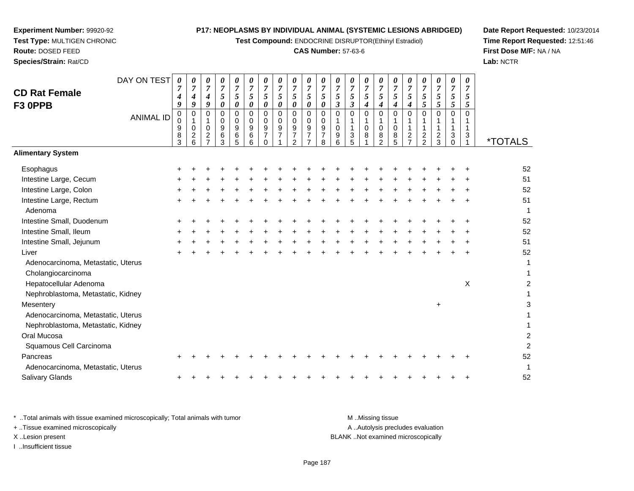**Test Compound:** ENDOCRINE DISRUPTOR(Ethinyl Estradiol)

# **CAS Number:** 57-63-6

**Date Report Requested:** 10/23/2014**Time Report Requested:** 12:51:46**First Dose M/F:** NA / NA**Lab:** NCTR

| Nephroblastoma, Metastatic, Kidney                                             |  |  |  |  |  |  |                                    |  |  |  |
|--------------------------------------------------------------------------------|--|--|--|--|--|--|------------------------------------|--|--|--|
| Oral Mucosa                                                                    |  |  |  |  |  |  |                                    |  |  |  |
| Squamous Cell Carcinoma                                                        |  |  |  |  |  |  |                                    |  |  |  |
| Pancreas                                                                       |  |  |  |  |  |  |                                    |  |  |  |
| Adenocarcinoma, Metastatic, Uterus                                             |  |  |  |  |  |  |                                    |  |  |  |
| <b>Salivary Glands</b>                                                         |  |  |  |  |  |  |                                    |  |  |  |
| * Total animals with tissue examined microscopically; Total animals with tumor |  |  |  |  |  |  | MMissing tissue                    |  |  |  |
| + Tissue examined microscopically                                              |  |  |  |  |  |  | A Autolysis precludes evaluation   |  |  |  |
| X Lesion present                                                               |  |  |  |  |  |  | BLANK Not examined microscopically |  |  |  |

I ..Insufficient tissue

| DAY ON TEST                                              | 0                                    | 0                                               | 0                              | 0                                                        | 0                                   | 0                            | 0                                                   | 0                                       | 0                                                         | 0                                                       | 0                                            | $\boldsymbol{\theta}$               | 0                   | 0                     | 0                                                          | 0                            | 0                                                                    | 0                                                       | 0                                          | 0                              | 0                   |                       |
|----------------------------------------------------------|--------------------------------------|-------------------------------------------------|--------------------------------|----------------------------------------------------------|-------------------------------------|------------------------------|-----------------------------------------------------|-----------------------------------------|-----------------------------------------------------------|---------------------------------------------------------|----------------------------------------------|-------------------------------------|---------------------|-----------------------|------------------------------------------------------------|------------------------------|----------------------------------------------------------------------|---------------------------------------------------------|--------------------------------------------|--------------------------------|---------------------|-----------------------|
| <b>CD Rat Female</b>                                     | 7<br>4                               | $\overline{7}$<br>4                             | $\overline{7}$<br>4            | $\overline{7}$<br>5                                      | $\overline{7}$<br>5                 | 7<br>5                       | $\overline{7}$<br>5                                 | $\overline{7}$<br>5                     | $\overline{7}$<br>5                                       | $\overline{7}$<br>$\mathfrak{s}$                        | $\overline{7}$<br>5                          | $\overline{7}$<br>$\mathfrak{s}$    | $\overline{7}$<br>5 | $\overline{7}$<br>5   | $\overline{7}$<br>$5\phantom{.0}$                          | $\overline{7}$<br>$\sqrt{5}$ | $\overline{7}$<br>5                                                  | $\overline{7}$<br>5                                     | 7<br>5                                     | $\overline{7}$<br>5            | $\overline{7}$<br>5 |                       |
| F3 OPPB                                                  | 9                                    | 9                                               | 9                              | $\boldsymbol{\theta}$                                    | $\boldsymbol{\theta}$               | 0                            | 0                                                   | 0                                       | 0                                                         | $\boldsymbol{\theta}$                                   | $\boldsymbol{\theta}$                        | $\mathfrak{z}$                      | $\mathfrak{z}$      | 4                     | $\boldsymbol{4}$                                           | $\boldsymbol{4}$             | $\boldsymbol{4}$                                                     | 5                                                       | $\mathfrak{s}$                             | $\mathfrak{s}$                 | 5                   |                       |
| <b>ANIMAL ID</b>                                         | 0<br>$\mathbf 0$<br>9<br>$\bf8$<br>3 | $\pmb{0}$<br>$\mathbf 0$<br>$\overline{c}$<br>6 | 0<br>$\mathbf 0$<br>$\sqrt{2}$ | $\mathsf 0$<br>$\mathbf 0$<br>$\boldsymbol{9}$<br>6<br>3 | $\mathbf 0$<br>0<br>9<br>$\,6$<br>5 | $\Omega$<br>0<br>9<br>6<br>6 | $\mathbf 0$<br>0<br>9<br>$\overline{7}$<br>$\Omega$ | $\mathbf 0$<br>0<br>9<br>$\overline{7}$ | $\mathbf 0$<br>0<br>9<br>$\overline{7}$<br>$\overline{2}$ | $\pmb{0}$<br>0<br>9<br>$\overline{7}$<br>$\overline{7}$ | $\mathbf 0$<br>0<br>9<br>$\overline{7}$<br>8 | $\Omega$<br>1<br>$\Omega$<br>9<br>6 | $\Omega$<br>3<br>5  | 0<br>$\mathbf 0$<br>8 | $\mathbf 0$<br>$\mathbf{1}$<br>$\mathsf 0$<br>$\bf 8$<br>2 | 0<br>1<br>0<br>8<br>5        | $\overline{0}$<br>$\mathbf{1}$<br>$\boldsymbol{2}$<br>$\overline{7}$ | $\overline{0}$<br>1<br>$\overline{c}$<br>$\overline{2}$ | $\overline{0}$<br>1<br>$\overline{2}$<br>3 | $\Omega$<br>1<br>3<br>$\Omega$ | $\Omega$<br>3       | <i><b>*TOTALS</b></i> |
| <b>Alimentary System</b>                                 |                                      |                                                 |                                |                                                          |                                     |                              |                                                     |                                         |                                                           |                                                         |                                              |                                     |                     |                       |                                                            |                              |                                                                      |                                                         |                                            |                                |                     |                       |
| Esophagus                                                |                                      |                                                 |                                |                                                          |                                     |                              |                                                     |                                         |                                                           |                                                         |                                              |                                     |                     |                       |                                                            |                              |                                                                      |                                                         |                                            |                                |                     | 52                    |
| Intestine Large, Cecum                                   |                                      |                                                 |                                |                                                          |                                     |                              |                                                     |                                         |                                                           |                                                         |                                              |                                     |                     |                       |                                                            |                              |                                                                      |                                                         |                                            |                                |                     | 51                    |
| Intestine Large, Colon                                   |                                      |                                                 |                                |                                                          |                                     |                              |                                                     |                                         |                                                           |                                                         |                                              |                                     |                     |                       |                                                            |                              |                                                                      |                                                         |                                            |                                |                     | 52                    |
| Intestine Large, Rectum<br>Adenoma                       |                                      |                                                 |                                |                                                          |                                     |                              |                                                     |                                         |                                                           |                                                         |                                              |                                     |                     |                       |                                                            |                              |                                                                      |                                                         |                                            |                                |                     | 51<br>1               |
| Intestine Small, Duodenum                                |                                      |                                                 |                                |                                                          |                                     |                              |                                                     |                                         |                                                           |                                                         |                                              |                                     |                     |                       |                                                            |                              |                                                                      |                                                         |                                            |                                |                     | 52                    |
| Intestine Small, Ileum                                   |                                      |                                                 |                                |                                                          |                                     |                              |                                                     |                                         |                                                           |                                                         |                                              |                                     |                     |                       |                                                            |                              |                                                                      |                                                         |                                            |                                |                     | 52                    |
| Intestine Small, Jejunum                                 |                                      |                                                 |                                |                                                          |                                     |                              |                                                     |                                         |                                                           |                                                         |                                              |                                     |                     |                       |                                                            |                              |                                                                      |                                                         |                                            |                                |                     | 51                    |
| Liver                                                    |                                      |                                                 |                                |                                                          |                                     |                              |                                                     |                                         |                                                           |                                                         |                                              |                                     |                     |                       |                                                            |                              |                                                                      |                                                         |                                            |                                |                     | 52                    |
| Adenocarcinoma, Metastatic, Uterus<br>Cholangiocarcinoma |                                      |                                                 |                                |                                                          |                                     |                              |                                                     |                                         |                                                           |                                                         |                                              |                                     |                     |                       |                                                            |                              |                                                                      |                                                         |                                            |                                |                     | 1<br>1                |
| Hepatocellular Adenoma                                   |                                      |                                                 |                                |                                                          |                                     |                              |                                                     |                                         |                                                           |                                                         |                                              |                                     |                     |                       |                                                            |                              |                                                                      |                                                         |                                            |                                | X                   | 2                     |
| Nephroblastoma, Metastatic, Kidney                       |                                      |                                                 |                                |                                                          |                                     |                              |                                                     |                                         |                                                           |                                                         |                                              |                                     |                     |                       |                                                            |                              |                                                                      |                                                         |                                            |                                |                     |                       |
| Mesentery                                                |                                      |                                                 |                                |                                                          |                                     |                              |                                                     |                                         |                                                           |                                                         |                                              |                                     |                     |                       |                                                            |                              |                                                                      |                                                         | $\ddot{}$                                  |                                |                     | 3                     |
| Adenocarcinoma, Metastatic, Uterus                       |                                      |                                                 |                                |                                                          |                                     |                              |                                                     |                                         |                                                           |                                                         |                                              |                                     |                     |                       |                                                            |                              |                                                                      |                                                         |                                            |                                |                     |                       |
| Nephroblastoma, Metastatic, Kidney                       |                                      |                                                 |                                |                                                          |                                     |                              |                                                     |                                         |                                                           |                                                         |                                              |                                     |                     |                       |                                                            |                              |                                                                      |                                                         |                                            |                                |                     |                       |
| Oral Mucosa                                              |                                      |                                                 |                                |                                                          |                                     |                              |                                                     |                                         |                                                           |                                                         |                                              |                                     |                     |                       |                                                            |                              |                                                                      |                                                         |                                            |                                |                     | $\overline{c}$        |
| Squamous Cell Carcinoma                                  |                                      |                                                 |                                |                                                          |                                     |                              |                                                     |                                         |                                                           |                                                         |                                              |                                     |                     |                       |                                                            |                              |                                                                      |                                                         |                                            |                                |                     | $\overline{2}$        |
| Pancreas                                                 |                                      |                                                 |                                |                                                          |                                     |                              |                                                     |                                         |                                                           |                                                         |                                              |                                     |                     |                       |                                                            |                              |                                                                      |                                                         |                                            |                                |                     | 52                    |
| Adenocarcinoma, Metastatic, Uterus                       |                                      |                                                 |                                |                                                          |                                     |                              |                                                     |                                         |                                                           |                                                         |                                              |                                     |                     |                       |                                                            |                              |                                                                      |                                                         |                                            |                                |                     | 1                     |
| Salivary Glands                                          |                                      |                                                 |                                |                                                          |                                     |                              |                                                     |                                         |                                                           |                                                         |                                              |                                     |                     |                       |                                                            |                              |                                                                      |                                                         |                                            |                                |                     | 52                    |

# **Experiment Number:** 99920-92 **Test Type:** MULTIGEN CHRONIC**Route:** DOSED FEED

DAY ON TEST

**Species/Strain:** Rat/CD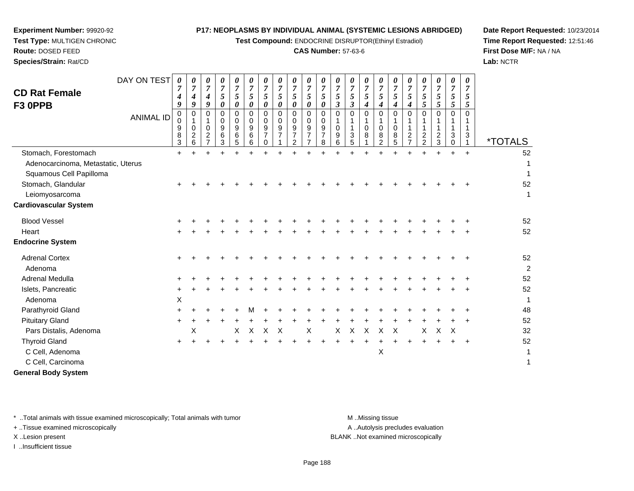**Test Compound:** ENDOCRINE DISRUPTOR(Ethinyl Estradiol)

# **CAS Number:** 57-63-6

**Date Report Requested:** 10/23/2014**Time Report Requested:** 12:51:46**First Dose M/F:** NA / NA**Lab:** NCTR

 **Test Type:** MULTIGEN CHRONIC**Route:** DOSED FEED**Species/Strain:** Rat/CD

**Experiment Number:** 99920-92

|                                    | DAY ON TEST      | 0                     | 0                                                      | $\pmb{\theta}$                                                     | $\boldsymbol{\theta}$                                      | 0                                              | 0                                                        | 0                                         | 0                                       | 0                                  | 0                                                                        | 0                                            | 0                                                    | 0                                     | 0                                  | 0                                         | 0                                                  | 0                                                      | 0                            | 0                                                 | 0                               |                     |                       |
|------------------------------------|------------------|-----------------------|--------------------------------------------------------|--------------------------------------------------------------------|------------------------------------------------------------|------------------------------------------------|----------------------------------------------------------|-------------------------------------------|-----------------------------------------|------------------------------------|--------------------------------------------------------------------------|----------------------------------------------|------------------------------------------------------|---------------------------------------|------------------------------------|-------------------------------------------|----------------------------------------------------|--------------------------------------------------------|------------------------------|---------------------------------------------------|---------------------------------|---------------------|-----------------------|
| <b>CD Rat Female</b>               |                  | $\boldsymbol{7}$<br>4 | $\boldsymbol{7}$<br>$\boldsymbol{4}$                   | $\boldsymbol{7}$<br>$\boldsymbol{4}$                               | $\boldsymbol{7}$<br>$\mathfrak{s}$                         | $\boldsymbol{7}$<br>5                          | $\overline{7}$<br>$\mathfrak{s}$                         | $\boldsymbol{7}$<br>5                     | $\boldsymbol{7}$<br>$\sqrt{5}$          | $\overline{7}$<br>5                | $\boldsymbol{7}$<br>5                                                    | $\boldsymbol{7}$<br>5                        | $\boldsymbol{7}$<br>$\mathfrak{s}$                   | $\overline{7}$<br>5                   | $\boldsymbol{7}$<br>5              | $\boldsymbol{7}$<br>5                     | $\overline{7}$<br>5                                | $\overline{7}$<br>5                                    | $\boldsymbol{7}$<br>5        | $\boldsymbol{7}$<br>$\sqrt{5}$                    | $\overline{7}$<br>$\sqrt{5}$    | $\overline{7}$<br>5 |                       |
| F3 OPPB                            |                  | 9                     | 9                                                      | $\boldsymbol{g}$                                                   | $\boldsymbol{\theta}$                                      | 0                                              | 0                                                        | 0                                         | $\boldsymbol{\theta}$                   | 0                                  | 0                                                                        | 0                                            | $\mathfrak{z}$                                       | $\boldsymbol{\beta}$                  | $\boldsymbol{4}$                   | $\boldsymbol{4}$                          | $\boldsymbol{4}$                                   | $\boldsymbol{4}$                                       | 5                            | 5                                                 | 5                               | 5                   |                       |
|                                    | <b>ANIMAL ID</b> | 0<br>0<br>9<br>8<br>3 | 0<br>$\mathbf 1$<br>$\mathbf 0$<br>$\overline{2}$<br>6 | 0<br>$\mathbf{1}$<br>$\pmb{0}$<br>$\overline{c}$<br>$\overline{7}$ | $\pmb{0}$<br>$\mathbf 0$<br>$\boldsymbol{9}$<br>$\,6$<br>3 | $\mathbf 0$<br>0<br>$\boldsymbol{9}$<br>6<br>5 | $\mathbf 0$<br>$\mathbf 0$<br>$\boldsymbol{9}$<br>6<br>6 | 0<br>$\Omega$<br>9<br>$\overline{7}$<br>0 | 0<br>$\mathbf 0$<br>9<br>$\overline{7}$ | 0<br>0<br>9<br>$\overline{7}$<br>2 | 0<br>$\mathbf 0$<br>$\boldsymbol{9}$<br>$\overline{7}$<br>$\overline{7}$ | 0<br>$\mathbf 0$<br>9<br>$\overline{7}$<br>8 | $\mathbf 0$<br>$\mathbf{1}$<br>$\mathbf 0$<br>9<br>6 | $\Omega$<br>1<br>1<br>$\sqrt{3}$<br>5 | $\mathbf 0$<br>1<br>$\pmb{0}$<br>8 | $\mathbf 0$<br>1<br>$\mathbf 0$<br>8<br>2 | $\mathbf 0$<br>$\mathbf{1}$<br>$\pmb{0}$<br>8<br>5 | $\Omega$<br>1<br>1<br>$\overline{c}$<br>$\overline{7}$ | $\mathbf 0$<br>$\frac{2}{2}$ | $\mathbf 0$<br>1<br>$\mathbf{1}$<br>$\frac{2}{3}$ | $\mathbf 0$<br>1<br>1<br>3<br>0 | $\Omega$<br>3       | <i><b>*TOTALS</b></i> |
| Stomach, Forestomach               |                  | $+$                   |                                                        |                                                                    |                                                            |                                                |                                                          |                                           |                                         |                                    |                                                                          |                                              |                                                      |                                       | $\ddot{}$                          |                                           | $\ddot{}$                                          |                                                        | $\ddot{}$                    |                                                   |                                 | $+$                 | 52                    |
| Adenocarcinoma, Metastatic, Uterus |                  |                       |                                                        |                                                                    |                                                            |                                                |                                                          |                                           |                                         |                                    |                                                                          |                                              |                                                      |                                       |                                    |                                           |                                                    |                                                        |                              |                                                   |                                 |                     | 1                     |
| Squamous Cell Papilloma            |                  |                       |                                                        |                                                                    |                                                            |                                                |                                                          |                                           |                                         |                                    |                                                                          |                                              |                                                      |                                       |                                    |                                           |                                                    |                                                        |                              |                                                   |                                 |                     | 1                     |
| Stomach, Glandular                 |                  |                       |                                                        |                                                                    |                                                            |                                                |                                                          |                                           |                                         |                                    |                                                                          |                                              |                                                      |                                       |                                    |                                           |                                                    |                                                        |                              |                                                   |                                 |                     | 52                    |
| Leiomyosarcoma                     |                  |                       |                                                        |                                                                    |                                                            |                                                |                                                          |                                           |                                         |                                    |                                                                          |                                              |                                                      |                                       |                                    |                                           |                                                    |                                                        |                              |                                                   |                                 |                     | 1                     |
| <b>Cardiovascular System</b>       |                  |                       |                                                        |                                                                    |                                                            |                                                |                                                          |                                           |                                         |                                    |                                                                          |                                              |                                                      |                                       |                                    |                                           |                                                    |                                                        |                              |                                                   |                                 |                     |                       |
| <b>Blood Vessel</b>                |                  |                       |                                                        |                                                                    |                                                            |                                                |                                                          |                                           |                                         |                                    |                                                                          |                                              |                                                      |                                       |                                    |                                           |                                                    |                                                        |                              |                                                   |                                 |                     | 52                    |
| Heart                              |                  |                       |                                                        |                                                                    |                                                            |                                                |                                                          |                                           |                                         |                                    |                                                                          |                                              |                                                      |                                       |                                    |                                           |                                                    |                                                        |                              |                                                   |                                 |                     | 52                    |
| <b>Endocrine System</b>            |                  |                       |                                                        |                                                                    |                                                            |                                                |                                                          |                                           |                                         |                                    |                                                                          |                                              |                                                      |                                       |                                    |                                           |                                                    |                                                        |                              |                                                   |                                 |                     |                       |
| <b>Adrenal Cortex</b><br>Adenoma   |                  | +                     |                                                        |                                                                    |                                                            |                                                |                                                          |                                           |                                         |                                    |                                                                          |                                              |                                                      |                                       |                                    |                                           |                                                    |                                                        |                              |                                                   |                                 |                     | 52<br>$\overline{2}$  |
| Adrenal Medulla                    |                  |                       |                                                        |                                                                    |                                                            |                                                |                                                          |                                           |                                         |                                    |                                                                          |                                              |                                                      |                                       |                                    |                                           |                                                    |                                                        |                              |                                                   |                                 |                     | 52                    |
| Islets, Pancreatic                 |                  | +                     |                                                        |                                                                    |                                                            |                                                |                                                          |                                           |                                         |                                    |                                                                          |                                              |                                                      |                                       |                                    |                                           |                                                    |                                                        |                              |                                                   |                                 |                     | 52                    |
| Adenoma                            |                  | X                     |                                                        |                                                                    |                                                            |                                                |                                                          |                                           |                                         |                                    |                                                                          |                                              |                                                      |                                       |                                    |                                           |                                                    |                                                        |                              |                                                   |                                 |                     | $\mathbf{1}$          |
| Parathyroid Gland                  |                  | $\ddot{}$             |                                                        |                                                                    |                                                            |                                                |                                                          |                                           |                                         |                                    |                                                                          |                                              |                                                      |                                       |                                    |                                           |                                                    |                                                        |                              |                                                   |                                 |                     | 48                    |
| <b>Pituitary Gland</b>             |                  | $\ddot{}$             |                                                        |                                                                    |                                                            |                                                |                                                          |                                           |                                         |                                    |                                                                          |                                              |                                                      |                                       |                                    |                                           |                                                    |                                                        |                              |                                                   |                                 |                     | 52                    |
| Pars Distalis, Adenoma             |                  |                       | Χ                                                      |                                                                    |                                                            | Χ                                              | $\boldsymbol{\mathsf{X}}$                                | X                                         | Χ                                       |                                    | Χ                                                                        |                                              | X                                                    | $\boldsymbol{X}$                      | $\boldsymbol{X}$                   | $\mathsf X$                               | X                                                  |                                                        | Χ                            | X                                                 | X                               |                     | 32                    |
| <b>Thyroid Gland</b>               |                  |                       |                                                        |                                                                    |                                                            |                                                |                                                          |                                           |                                         |                                    |                                                                          |                                              |                                                      |                                       |                                    |                                           |                                                    |                                                        |                              |                                                   |                                 |                     | 52                    |
| C Cell, Adenoma                    |                  |                       |                                                        |                                                                    |                                                            |                                                |                                                          |                                           |                                         |                                    |                                                                          |                                              |                                                      |                                       |                                    | Χ                                         |                                                    |                                                        |                              |                                                   |                                 |                     | 1                     |
| C Cell, Carcinoma                  |                  |                       |                                                        |                                                                    |                                                            |                                                |                                                          |                                           |                                         |                                    |                                                                          |                                              |                                                      |                                       |                                    |                                           |                                                    |                                                        |                              |                                                   |                                 |                     | $\mathbf{1}$          |
| <b>General Body System</b>         |                  |                       |                                                        |                                                                    |                                                            |                                                |                                                          |                                           |                                         |                                    |                                                                          |                                              |                                                      |                                       |                                    |                                           |                                                    |                                                        |                              |                                                   |                                 |                     |                       |

\* ..Total animals with tissue examined microscopically; Total animals with tumor **M** . Missing tissue M ..Missing tissue

+ ..Tissue examined microscopically

I ..Insufficient tissue

A ..Autolysis precludes evaluation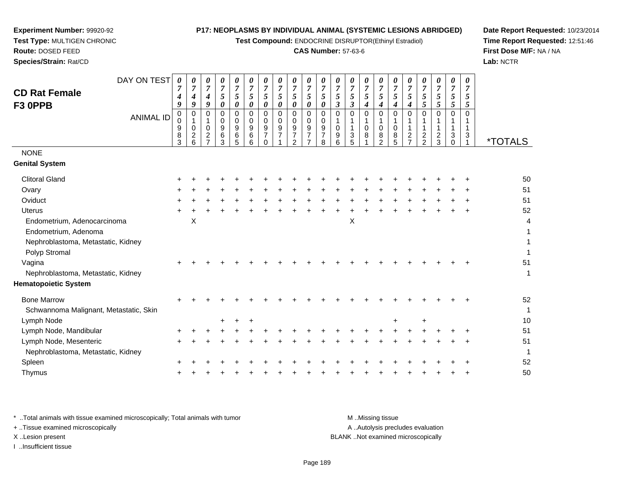**Test Compound:** ENDOCRINE DISRUPTOR(Ethinyl Estradiol)

# **CAS Number:** 57-63-6

**Date Report Requested:** 10/23/2014**Time Report Requested:** 12:51:46**First Dose M/F:** NA / NA**Lab:** NCTR

| DAY ON TEST                            | 0                          | 0                                                       | 0                                                                             | 0                                                    | 0                                                  | $\boldsymbol{\theta}$                                    | 0                                                          | 0                                       | 0                                                        | 0                                                                        | 0                                            | 0                                      | 0                                  | 0                     | 0                                                          | 0                                   | 0                                                                               | 0                                                                      | 0                                                     | 0                                      | 0                   |                       |
|----------------------------------------|----------------------------|---------------------------------------------------------|-------------------------------------------------------------------------------|------------------------------------------------------|----------------------------------------------------|----------------------------------------------------------|------------------------------------------------------------|-----------------------------------------|----------------------------------------------------------|--------------------------------------------------------------------------|----------------------------------------------|----------------------------------------|------------------------------------|-----------------------|------------------------------------------------------------|-------------------------------------|---------------------------------------------------------------------------------|------------------------------------------------------------------------|-------------------------------------------------------|----------------------------------------|---------------------|-----------------------|
| <b>CD Rat Female</b>                   | $\overline{7}$<br>4        | $\boldsymbol{7}$<br>4                                   | $\overline{7}$<br>4                                                           | $\overline{7}$<br>$\sqrt{5}$                         | $\overline{7}$<br>5                                | 7<br>5                                                   | $\overline{7}$<br>$\sqrt{5}$                               | $\overline{7}$<br>$\sqrt{5}$            | $\overline{7}$<br>5                                      | $\boldsymbol{7}$<br>5                                                    | $\overline{7}$<br>5                          | $\overline{7}$<br>$\sqrt{5}$           | $\boldsymbol{7}$<br>$\mathfrak{s}$ | $\boldsymbol{7}$<br>5 | $\overline{7}$<br>$\mathfrak{H}$                           | $\overline{7}$<br>$\sqrt{5}$        | $\overline{7}$<br>5                                                             | $\overline{7}$<br>5                                                    | $\overline{7}$<br>$\mathfrak{s}$                      | $\overline{7}$<br>5                    | $\overline{7}$<br>5 |                       |
| F3 OPPB                                | 9                          | 9                                                       | 9                                                                             | $\pmb{\theta}$                                       | $\boldsymbol{\theta}$                              | 0                                                        | 0                                                          | $\boldsymbol{\theta}$                   | 0                                                        | 0                                                                        | 0                                            | $\boldsymbol{\beta}$                   | $\boldsymbol{\beta}$               | $\boldsymbol{4}$      | $\boldsymbol{4}$                                           | $\boldsymbol{4}$                    | $\boldsymbol{4}$                                                                | $\sqrt{5}$                                                             | 5                                                     | $\overline{5}$                         | 5                   |                       |
| <b>ANIMAL ID</b>                       | 0<br>0<br>9<br>$\bf8$<br>3 | 0<br>$\mathbf{1}$<br>$\mathbf 0$<br>$\overline{c}$<br>6 | $\mathbf 0$<br>$\mathbf 1$<br>$\mathbf 0$<br>$\overline{c}$<br>$\overline{7}$ | $\mathsf 0$<br>0<br>$\boldsymbol{9}$<br>$\,6\,$<br>3 | $\mathbf 0$<br>0<br>$\boldsymbol{9}$<br>$\,6$<br>5 | $\mathbf 0$<br>$\mathbf 0$<br>$\boldsymbol{9}$<br>6<br>6 | $\mathbf 0$<br>$\Omega$<br>9<br>$\overline{7}$<br>$\Omega$ | 0<br>$\mathbf 0$<br>9<br>$\overline{7}$ | $\mathbf 0$<br>$\mathbf 0$<br>9<br>$\boldsymbol{7}$<br>2 | $\mathbf 0$<br>0<br>$\boldsymbol{9}$<br>$\overline{7}$<br>$\overline{7}$ | $\mathbf 0$<br>0<br>9<br>$\overline{7}$<br>8 | $\Omega$<br>1<br>$\mathbf 0$<br>9<br>6 | $\Omega$<br>1<br>3<br>5            | $\mathbf 0$<br>0<br>8 | $\mathbf 0$<br>$\mathbf{1}$<br>$\mathbf 0$<br>$\bf 8$<br>2 | 0<br>1<br>$\pmb{0}$<br>$\bf 8$<br>5 | $\mathbf 0$<br>$\mathbf{1}$<br>$\mathbf{1}$<br>$\overline{c}$<br>$\overline{7}$ | $\mathbf 0$<br>1<br>$\mathbf{1}$<br>$\boldsymbol{2}$<br>$\overline{2}$ | $\mathbf 0$<br>1<br>1<br>$\overline{\mathbf{c}}$<br>3 | $\mathbf 0$<br>1<br>1<br>3<br>$\Omega$ | 0<br>1<br>3         | <i><b>*TOTALS</b></i> |
| <b>NONE</b>                            |                            |                                                         |                                                                               |                                                      |                                                    |                                                          |                                                            |                                         |                                                          |                                                                          |                                              |                                        |                                    |                       |                                                            |                                     |                                                                                 |                                                                        |                                                       |                                        |                     |                       |
| <b>Genital System</b>                  |                            |                                                         |                                                                               |                                                      |                                                    |                                                          |                                                            |                                         |                                                          |                                                                          |                                              |                                        |                                    |                       |                                                            |                                     |                                                                                 |                                                                        |                                                       |                                        |                     |                       |
| <b>Clitoral Gland</b>                  |                            |                                                         |                                                                               |                                                      |                                                    |                                                          |                                                            |                                         |                                                          |                                                                          |                                              |                                        |                                    |                       |                                                            |                                     |                                                                                 |                                                                        |                                                       |                                        |                     | 50                    |
| Ovary                                  |                            |                                                         |                                                                               |                                                      |                                                    |                                                          |                                                            |                                         |                                                          |                                                                          |                                              |                                        |                                    |                       |                                                            |                                     |                                                                                 |                                                                        |                                                       |                                        |                     | 51                    |
| Oviduct                                |                            |                                                         |                                                                               |                                                      |                                                    |                                                          |                                                            |                                         |                                                          |                                                                          |                                              |                                        |                                    |                       |                                                            |                                     |                                                                                 |                                                                        |                                                       |                                        |                     | 51                    |
| <b>Uterus</b>                          |                            |                                                         |                                                                               |                                                      |                                                    |                                                          |                                                            |                                         |                                                          |                                                                          |                                              |                                        |                                    |                       |                                                            |                                     |                                                                                 |                                                                        |                                                       |                                        |                     | 52                    |
| Endometrium, Adenocarcinoma            |                            | X                                                       |                                                                               |                                                      |                                                    |                                                          |                                                            |                                         |                                                          |                                                                          |                                              |                                        | $\pmb{\times}$                     |                       |                                                            |                                     |                                                                                 |                                                                        |                                                       |                                        |                     | 4                     |
| Endometrium, Adenoma                   |                            |                                                         |                                                                               |                                                      |                                                    |                                                          |                                                            |                                         |                                                          |                                                                          |                                              |                                        |                                    |                       |                                                            |                                     |                                                                                 |                                                                        |                                                       |                                        |                     | 1                     |
| Nephroblastoma, Metastatic, Kidney     |                            |                                                         |                                                                               |                                                      |                                                    |                                                          |                                                            |                                         |                                                          |                                                                          |                                              |                                        |                                    |                       |                                                            |                                     |                                                                                 |                                                                        |                                                       |                                        |                     |                       |
| Polyp Stromal                          |                            |                                                         |                                                                               |                                                      |                                                    |                                                          |                                                            |                                         |                                                          |                                                                          |                                              |                                        |                                    |                       |                                                            |                                     |                                                                                 |                                                                        |                                                       |                                        |                     | 1                     |
| Vagina                                 |                            |                                                         |                                                                               |                                                      |                                                    |                                                          |                                                            |                                         |                                                          |                                                                          |                                              |                                        |                                    |                       |                                                            |                                     |                                                                                 |                                                                        |                                                       |                                        |                     | 51                    |
| Nephroblastoma, Metastatic, Kidney     |                            |                                                         |                                                                               |                                                      |                                                    |                                                          |                                                            |                                         |                                                          |                                                                          |                                              |                                        |                                    |                       |                                                            |                                     |                                                                                 |                                                                        |                                                       |                                        |                     | 1                     |
| <b>Hematopoietic System</b>            |                            |                                                         |                                                                               |                                                      |                                                    |                                                          |                                                            |                                         |                                                          |                                                                          |                                              |                                        |                                    |                       |                                                            |                                     |                                                                                 |                                                                        |                                                       |                                        |                     |                       |
| <b>Bone Marrow</b>                     |                            |                                                         |                                                                               |                                                      |                                                    |                                                          |                                                            |                                         |                                                          |                                                                          |                                              |                                        |                                    |                       |                                                            |                                     |                                                                                 |                                                                        |                                                       |                                        |                     | 52                    |
| Schwannoma Malignant, Metastatic, Skin |                            |                                                         |                                                                               |                                                      |                                                    |                                                          |                                                            |                                         |                                                          |                                                                          |                                              |                                        |                                    |                       |                                                            |                                     |                                                                                 |                                                                        |                                                       |                                        |                     | 1                     |
| Lymph Node                             |                            |                                                         |                                                                               | +                                                    |                                                    |                                                          |                                                            |                                         |                                                          |                                                                          |                                              |                                        |                                    |                       |                                                            | +                                   |                                                                                 | $\ddot{}$                                                              |                                                       |                                        |                     | 10                    |
| Lymph Node, Mandibular                 |                            |                                                         |                                                                               |                                                      |                                                    |                                                          |                                                            |                                         |                                                          |                                                                          |                                              |                                        |                                    |                       |                                                            |                                     |                                                                                 |                                                                        |                                                       |                                        |                     | 51                    |
| Lymph Node, Mesenteric                 | $\pm$                      |                                                         |                                                                               |                                                      |                                                    |                                                          |                                                            |                                         |                                                          |                                                                          |                                              |                                        |                                    |                       |                                                            |                                     |                                                                                 |                                                                        |                                                       |                                        |                     | 51                    |
| Nephroblastoma, Metastatic, Kidney     |                            |                                                         |                                                                               |                                                      |                                                    |                                                          |                                                            |                                         |                                                          |                                                                          |                                              |                                        |                                    |                       |                                                            |                                     |                                                                                 |                                                                        |                                                       |                                        |                     | 1                     |
| Spleen                                 |                            |                                                         |                                                                               |                                                      |                                                    |                                                          |                                                            |                                         |                                                          |                                                                          |                                              |                                        |                                    |                       |                                                            |                                     |                                                                                 |                                                                        |                                                       |                                        |                     | 52                    |
| Thymus                                 |                            |                                                         |                                                                               |                                                      |                                                    |                                                          |                                                            |                                         |                                                          |                                                                          |                                              |                                        |                                    |                       |                                                            |                                     |                                                                                 |                                                                        |                                                       |                                        |                     | 50                    |
|                                        |                            |                                                         |                                                                               |                                                      |                                                    |                                                          |                                                            |                                         |                                                          |                                                                          |                                              |                                        |                                    |                       |                                                            |                                     |                                                                                 |                                                                        |                                                       |                                        |                     |                       |

\* ..Total animals with tissue examined microscopically; Total animals with tumor **M** ...Missing tissue M ...Missing tissue A .. Autolysis precludes evaluation + ..Tissue examined microscopically X ..Lesion present BLANK ..Not examined microscopicallyI ..Insufficient tissue

**Experiment Number:** 99920-92**Test Type:** MULTIGEN CHRONIC

**Route:** DOSED FEED**Species/Strain:** Rat/CD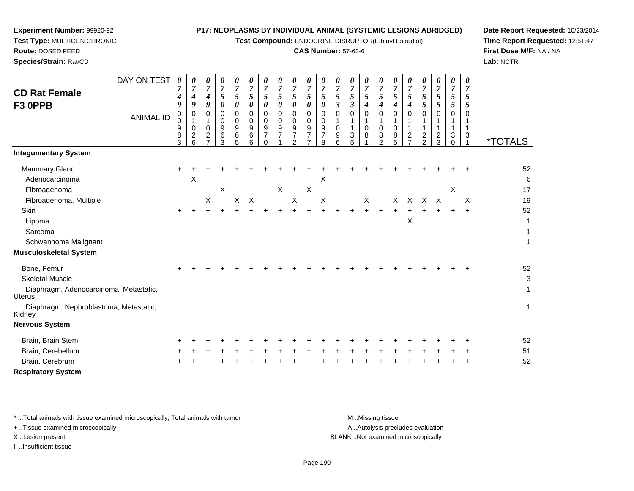**Test Compound:** ENDOCRINE DISRUPTOR(Ethinyl Estradiol)

# **CAS Number:** 57-63-6

*0 7*

*0 7*

*0 7*

*0 7*

*0 7*

*0 7*

*0 7*

*0 7*

*0 7*

*0 7*

*0 7*

**Date Report Requested:** 10/23/2014**Time Report Requested:** 12:51:47**First Dose M/F:** NA / NA**Lab:** NCTR

| <b>Route: DOSED FEED</b> |                |          |   |   |   |   |   |  |
|--------------------------|----------------|----------|---|---|---|---|---|--|
| Species/Strain: Rat/CD   |                |          |   |   |   |   |   |  |
|                          | DAY ON TEST    | $\theta$ | 0 | 0 | 0 |   |   |  |
| <b>CD Rat Female</b>     |                |          |   |   |   |   | 5 |  |
| F <sub>3</sub> OPPB      |                | Q        | g |   |   | 0 | 0 |  |
|                          | <b>ANIIMAI</b> | 0        |   |   |   |   |   |  |

| <b>VD INGLI GILIGIG</b>                                 | 4                     | 4                                                        | 4                                                           | 5                     | 5                                                      | 5                                                            | 5                                      | 5                                    | 5                                            | 5                                               | 5                                  | 5                                          | 5                     | 5                                    | 5                                                   | 5                                      | 5                                                            |                                |                           | 5                                                 | 5                  |                       |
|---------------------------------------------------------|-----------------------|----------------------------------------------------------|-------------------------------------------------------------|-----------------------|--------------------------------------------------------|--------------------------------------------------------------|----------------------------------------|--------------------------------------|----------------------------------------------|-------------------------------------------------|------------------------------------|--------------------------------------------|-----------------------|--------------------------------------|-----------------------------------------------------|----------------------------------------|--------------------------------------------------------------|--------------------------------|---------------------------|---------------------------------------------------|--------------------|-----------------------|
| F3 OPPB                                                 | 9                     | $\boldsymbol{g}$                                         | $\boldsymbol{9}$                                            | $\boldsymbol{\theta}$ | $\pmb{\theta}$                                         | $\pmb{\theta}$                                               | $\pmb{\theta}$                         | $\pmb{\theta}$                       | $\pmb{\theta}$                               | $\boldsymbol{\theta}$                           | $\boldsymbol{\theta}$              | $\mathfrak{z}$                             | $\boldsymbol{\beta}$  | $\boldsymbol{4}$                     | $\boldsymbol{4}$                                    | $\boldsymbol{4}$                       | $\boldsymbol{4}$                                             | $rac{5}{5}$                    | $\frac{5}{5}$             | 5                                                 | 5                  |                       |
| <b>ANIMAL ID</b>                                        | 0<br>0<br>9<br>8<br>3 | 0<br>$\mathbf{1}$<br>$\mathbf{0}$<br>$\overline{c}$<br>6 | 0<br>1<br>$\mathbf 0$<br>$\boldsymbol{2}$<br>$\overline{7}$ | 0<br>0<br>9<br>6<br>3 | $\mathbf 0$<br>$\pmb{0}$<br>$\boldsymbol{9}$<br>6<br>5 | $\mathbf 0$<br>$\mathbf 0$<br>$\boldsymbol{9}$<br>$\,6$<br>6 | $\mathbf 0$<br>0<br>9<br>7<br>$\Omega$ | $\mathbf 0$<br>$\mathbf 0$<br>9<br>7 | 0<br>$\mathbf 0$<br>9<br>$\overline{7}$<br>2 | 0<br>0<br>9<br>$\overline{7}$<br>$\overline{ }$ | 0<br>0<br>9<br>$\overline{7}$<br>8 | 0<br>$\mathbf{1}$<br>$\mathbf 0$<br>9<br>6 | 0<br>1<br>1<br>3<br>5 | $\mathbf 0$<br>1<br>$\mathbf 0$<br>8 | $\Omega$<br>1<br>$\mathbf 0$<br>8<br>$\overline{2}$ | $\Omega$<br>1<br>$\mathbf 0$<br>8<br>5 | $\Omega$<br>$\mathbf{1}$<br>$\overline{c}$<br>$\overline{ }$ | $\Omega$<br>1<br>$\frac{2}{2}$ | $\Omega$<br>$\frac{2}{3}$ | $\mathbf 0$<br>1<br>$\mathbf{1}$<br>3<br>$\Omega$ | $\Omega$<br>1<br>3 | <i><b>*TOTALS</b></i> |
| <b>Integumentary System</b>                             |                       |                                                          |                                                             |                       |                                                        |                                                              |                                        |                                      |                                              |                                                 |                                    |                                            |                       |                                      |                                                     |                                        |                                                              |                                |                           |                                                   |                    |                       |
| Mammary Gland                                           | $\ddot{}$             |                                                          |                                                             |                       |                                                        |                                                              |                                        |                                      |                                              |                                                 |                                    |                                            |                       |                                      |                                                     |                                        |                                                              |                                |                           |                                                   |                    | 52                    |
| Adenocarcinoma                                          |                       | X                                                        |                                                             |                       |                                                        |                                                              |                                        |                                      |                                              |                                                 | X                                  |                                            |                       |                                      |                                                     |                                        |                                                              |                                |                           |                                                   |                    | 6                     |
| Fibroadenoma                                            |                       |                                                          |                                                             | Χ                     |                                                        |                                                              |                                        | $\boldsymbol{\mathsf{X}}$            |                                              | $\sf X$                                         |                                    |                                            |                       |                                      |                                                     |                                        |                                                              |                                |                           | X                                                 |                    | 17                    |
| Fibroadenoma, Multiple                                  |                       |                                                          | X                                                           |                       | X                                                      | $\mathsf{X}$                                                 |                                        |                                      | $\boldsymbol{X}$                             |                                                 | $\boldsymbol{\mathsf{X}}$          |                                            |                       | X                                    |                                                     |                                        |                                                              | X X X                          | $\boldsymbol{\mathsf{X}}$ |                                                   | $\sf X$            | 19                    |
| Skin                                                    | $\pm$                 |                                                          |                                                             |                       |                                                        |                                                              |                                        |                                      |                                              |                                                 |                                    |                                            |                       |                                      |                                                     | $\ddot{}$                              | $\ddot{}$                                                    | $\ddot{}$                      | $\ddot{}$                 | $+$                                               |                    | 52                    |
| Lipoma                                                  |                       |                                                          |                                                             |                       |                                                        |                                                              |                                        |                                      |                                              |                                                 |                                    |                                            |                       |                                      |                                                     |                                        | Χ                                                            |                                |                           |                                                   |                    | 1                     |
| Sarcoma                                                 |                       |                                                          |                                                             |                       |                                                        |                                                              |                                        |                                      |                                              |                                                 |                                    |                                            |                       |                                      |                                                     |                                        |                                                              |                                |                           |                                                   |                    |                       |
| Schwannoma Malignant                                    |                       |                                                          |                                                             |                       |                                                        |                                                              |                                        |                                      |                                              |                                                 |                                    |                                            |                       |                                      |                                                     |                                        |                                                              |                                |                           |                                                   |                    | 1                     |
| <b>Musculoskeletal System</b>                           |                       |                                                          |                                                             |                       |                                                        |                                                              |                                        |                                      |                                              |                                                 |                                    |                                            |                       |                                      |                                                     |                                        |                                                              |                                |                           |                                                   |                    |                       |
| Bone, Femur                                             |                       |                                                          |                                                             |                       |                                                        |                                                              |                                        |                                      |                                              |                                                 |                                    |                                            |                       |                                      |                                                     |                                        |                                                              |                                |                           |                                                   |                    | 52                    |
| <b>Skeletal Muscle</b>                                  |                       |                                                          |                                                             |                       |                                                        |                                                              |                                        |                                      |                                              |                                                 |                                    |                                            |                       |                                      |                                                     |                                        |                                                              |                                |                           |                                                   |                    | $\mathbf{3}$          |
| Diaphragm, Adenocarcinoma, Metastatic,<br><b>Uterus</b> |                       |                                                          |                                                             |                       |                                                        |                                                              |                                        |                                      |                                              |                                                 |                                    |                                            |                       |                                      |                                                     |                                        |                                                              |                                |                           |                                                   |                    | 1                     |
| Diaphragm, Nephroblastoma, Metastatic,<br>Kidney        |                       |                                                          |                                                             |                       |                                                        |                                                              |                                        |                                      |                                              |                                                 |                                    |                                            |                       |                                      |                                                     |                                        |                                                              |                                |                           |                                                   |                    | 1                     |
| <b>Nervous System</b>                                   |                       |                                                          |                                                             |                       |                                                        |                                                              |                                        |                                      |                                              |                                                 |                                    |                                            |                       |                                      |                                                     |                                        |                                                              |                                |                           |                                                   |                    |                       |
| Brain, Brain Stem                                       |                       |                                                          |                                                             |                       |                                                        |                                                              |                                        |                                      |                                              |                                                 |                                    |                                            |                       |                                      |                                                     |                                        |                                                              |                                |                           |                                                   |                    | 52                    |
| Brain, Cerebellum                                       |                       |                                                          |                                                             |                       |                                                        |                                                              |                                        |                                      |                                              |                                                 |                                    |                                            |                       |                                      |                                                     |                                        |                                                              |                                |                           |                                                   |                    | 51                    |
| Brain, Cerebrum                                         |                       |                                                          |                                                             |                       |                                                        |                                                              |                                        |                                      |                                              |                                                 |                                    |                                            |                       |                                      |                                                     |                                        |                                                              |                                |                           |                                                   |                    | 52                    |
| <b>Respiratory System</b>                               |                       |                                                          |                                                             |                       |                                                        |                                                              |                                        |                                      |                                              |                                                 |                                    |                                            |                       |                                      |                                                     |                                        |                                                              |                                |                           |                                                   |                    |                       |

*0 7*

*0 7*

*0 7*

*0 7*

\* ..Total animals with tissue examined microscopically; Total animals with tumor **M** ...Missing tissue M ...Missing tissue

+ ..Tissue examined microscopically

**Experiment Number:** 99920-92**Test Type:** MULTIGEN CHRONIC

I ..Insufficient tissue

A .. Autolysis precludes evaluation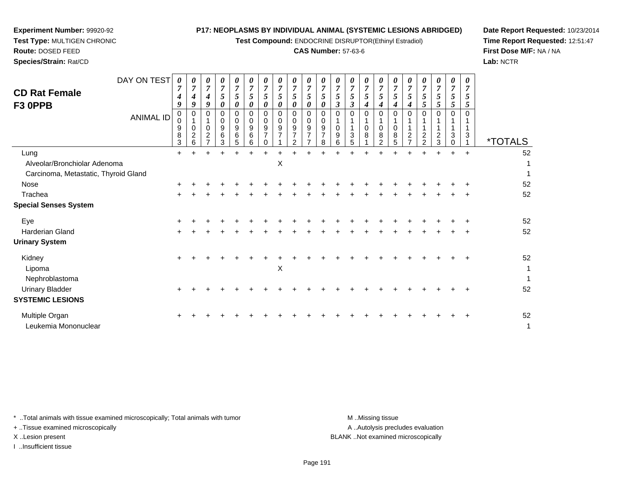**Test Compound:** ENDOCRINE DISRUPTOR(Ethinyl Estradiol)

# **CAS Number:** 57-63-6

**Date Report Requested:** 10/23/2014**Time Report Requested:** 12:51:47**First Dose M/F:** NA / NA**Lab:** NCTR

| <b>CD Rat Female</b><br>F3 OPPB      | DAY ON TEST<br><b>ANIMAL ID</b> | 0<br>7<br>4<br>9<br>$\mathbf 0$<br>$\mathbf{0}$<br>9<br>8<br>3 | $\boldsymbol{7}$<br>4<br>9<br>0<br>0<br>$\boldsymbol{2}$<br>6 | 0<br>$\overline{7}$<br>$\boldsymbol{4}$<br>9<br>0<br>$\mathbf 0$<br>$\overline{2}$ | $\boldsymbol{\theta}$<br>$\overline{7}$<br>5<br>0<br>0<br>$\pmb{0}$<br>9<br>6<br>3 | $\boldsymbol{\theta}$<br>$\overline{7}$<br>5<br>0<br>0<br>$\pmb{0}$<br>$\boldsymbol{9}$<br>6<br>5 | 0<br>$\overline{7}$<br>5<br>0<br>$\Omega$<br>0<br>9<br>6<br>6 | 0<br>$\overline{7}$<br>U<br>$\Omega$<br>$\mathbf 0$<br>9 | 0<br>$\overline{7}$<br>5<br>0<br>0<br>$\boldsymbol{9}$<br>$\overline{ }$ | 0<br>$\overline{7}$<br>5<br>0<br>0<br>0<br>9<br>$\overline{ }$<br>2 | 0<br>$\overline{7}$<br>5 <sup>5</sup><br>0<br>0<br>0<br>9<br>$\overline{7}$ | 0<br>$\overline{7}$<br>5<br>0<br>0<br>0<br>9<br>$\overline{ }$<br>8 | 0<br>$\overline{7}$<br>$5\overline{)}$<br>$\boldsymbol{\beta}$<br>$\Omega$<br>0<br>9<br>6 | $\overline{\tau}$<br>5<br>3<br>$\Omega$<br>3<br>5 | 0<br>$\overline{7}$<br>5<br>4<br>$\Omega$<br>0<br>8 | 0<br>$\overline{7}$<br>5<br>4<br>0<br>0<br>8<br>$\mathfrak{p}$ | 0<br>$\overline{7}$<br>5<br>4<br>0<br>8<br>5 | 0<br>$\overline{7}$<br>5<br>4<br>$\Omega$<br>$\overline{c}$ | 0<br>$\overline{7}$<br>5<br>5<br>$\Omega$<br>$\overline{c}$<br>$\overline{2}$ | 0<br>$\overline{7}$<br>$5\overline{)}$<br>$\overline{5}$<br>0<br>$\overline{c}$<br>3 | 0<br>$\overline{\tau}$<br>$5\overline{)}$<br>5<br>$\Omega$<br>3 | 0<br>7<br>$\mathfrak{H}$<br>5<br>3 | <i><b>*TOTALS</b></i> |
|--------------------------------------|---------------------------------|----------------------------------------------------------------|---------------------------------------------------------------|------------------------------------------------------------------------------------|------------------------------------------------------------------------------------|---------------------------------------------------------------------------------------------------|---------------------------------------------------------------|----------------------------------------------------------|--------------------------------------------------------------------------|---------------------------------------------------------------------|-----------------------------------------------------------------------------|---------------------------------------------------------------------|-------------------------------------------------------------------------------------------|---------------------------------------------------|-----------------------------------------------------|----------------------------------------------------------------|----------------------------------------------|-------------------------------------------------------------|-------------------------------------------------------------------------------|--------------------------------------------------------------------------------------|-----------------------------------------------------------------|------------------------------------|-----------------------|
| Lung                                 |                                 | $+$                                                            | $+$                                                           | $\ddot{}$                                                                          | $\div$                                                                             | $\ddot{}$                                                                                         |                                                               |                                                          |                                                                          |                                                                     |                                                                             |                                                                     |                                                                                           |                                                   | +                                                   |                                                                |                                              |                                                             |                                                                               |                                                                                      | $+$                                                             | $\ddot{}$                          | 52                    |
| Alveolar/Bronchiolar Adenoma         |                                 |                                                                |                                                               |                                                                                    |                                                                                    |                                                                                                   |                                                               |                                                          | $\mathsf X$                                                              |                                                                     |                                                                             |                                                                     |                                                                                           |                                                   |                                                     |                                                                |                                              |                                                             |                                                                               |                                                                                      |                                                                 |                                    |                       |
| Carcinoma, Metastatic, Thyroid Gland |                                 |                                                                |                                                               |                                                                                    |                                                                                    |                                                                                                   |                                                               |                                                          |                                                                          |                                                                     |                                                                             |                                                                     |                                                                                           |                                                   |                                                     |                                                                |                                              |                                                             |                                                                               |                                                                                      |                                                                 |                                    |                       |
| Nose                                 |                                 |                                                                |                                                               |                                                                                    |                                                                                    |                                                                                                   |                                                               |                                                          |                                                                          |                                                                     |                                                                             |                                                                     |                                                                                           |                                                   |                                                     |                                                                |                                              |                                                             |                                                                               |                                                                                      |                                                                 |                                    | 52                    |
| Trachea                              |                                 |                                                                |                                                               |                                                                                    |                                                                                    |                                                                                                   |                                                               |                                                          |                                                                          |                                                                     |                                                                             |                                                                     |                                                                                           |                                                   |                                                     |                                                                |                                              |                                                             |                                                                               |                                                                                      | $\div$                                                          | $\ddot{}$                          | 52                    |
| <b>Special Senses System</b>         |                                 |                                                                |                                                               |                                                                                    |                                                                                    |                                                                                                   |                                                               |                                                          |                                                                          |                                                                     |                                                                             |                                                                     |                                                                                           |                                                   |                                                     |                                                                |                                              |                                                             |                                                                               |                                                                                      |                                                                 |                                    |                       |
| Eye                                  |                                 |                                                                |                                                               |                                                                                    |                                                                                    |                                                                                                   |                                                               |                                                          |                                                                          |                                                                     |                                                                             |                                                                     |                                                                                           |                                                   |                                                     |                                                                |                                              |                                                             |                                                                               |                                                                                      |                                                                 |                                    | 52                    |
| Harderian Gland                      |                                 |                                                                |                                                               |                                                                                    |                                                                                    |                                                                                                   |                                                               |                                                          |                                                                          |                                                                     |                                                                             |                                                                     |                                                                                           |                                                   |                                                     |                                                                |                                              |                                                             |                                                                               |                                                                                      |                                                                 |                                    | 52                    |
| Urinary System                       |                                 |                                                                |                                                               |                                                                                    |                                                                                    |                                                                                                   |                                                               |                                                          |                                                                          |                                                                     |                                                                             |                                                                     |                                                                                           |                                                   |                                                     |                                                                |                                              |                                                             |                                                                               |                                                                                      |                                                                 |                                    |                       |
| Kidney<br>Lipoma<br>Nephroblastoma   |                                 |                                                                |                                                               |                                                                                    |                                                                                    |                                                                                                   |                                                               |                                                          | X                                                                        |                                                                     |                                                                             |                                                                     |                                                                                           |                                                   |                                                     |                                                                |                                              |                                                             |                                                                               |                                                                                      |                                                                 |                                    | 52                    |
| <b>Urinary Bladder</b>               |                                 |                                                                |                                                               |                                                                                    |                                                                                    |                                                                                                   |                                                               |                                                          |                                                                          |                                                                     |                                                                             |                                                                     |                                                                                           |                                                   |                                                     |                                                                |                                              |                                                             |                                                                               |                                                                                      |                                                                 |                                    | 52                    |
|                                      |                                 |                                                                |                                                               |                                                                                    |                                                                                    |                                                                                                   |                                                               |                                                          |                                                                          |                                                                     |                                                                             |                                                                     |                                                                                           |                                                   |                                                     |                                                                |                                              |                                                             |                                                                               |                                                                                      |                                                                 |                                    |                       |

\* ..Total animals with tissue examined microscopically; Total animals with tumor **M** ...Missing tissue M ...Missing tissue

n  $+$ 

+ ..Tissue examined microscopically

**Experiment Number:** 99920-92**Test Type:** MULTIGEN CHRONIC

**Route:** DOSED FEED**Species/Strain:** Rat/CD

I ..Insufficient tissue

**SYSTEMIC LESIONS**

Leukemia Mononuclear

Multiple Organ

<sup>+</sup> <sup>+</sup> <sup>+</sup> <sup>+</sup> <sup>+</sup> <sup>+</sup> <sup>+</sup> <sup>+</sup> <sup>+</sup> <sup>+</sup> <sup>+</sup> <sup>+</sup> <sup>+</sup> <sup>+</sup> <sup>+</sup> <sup>+</sup> <sup>+</sup> <sup>+</sup> <sup>+</sup> <sup>+</sup> <sup>52</sup>

A .. Autolysis precludes evaluation

X ..Lesion present BLANK ..Not examined microscopically

r and the contract of the contract of the contract of the contract of the contract of the contract of the contract of the contract of the contract of the contract of the contract of the contract of the contract of the cont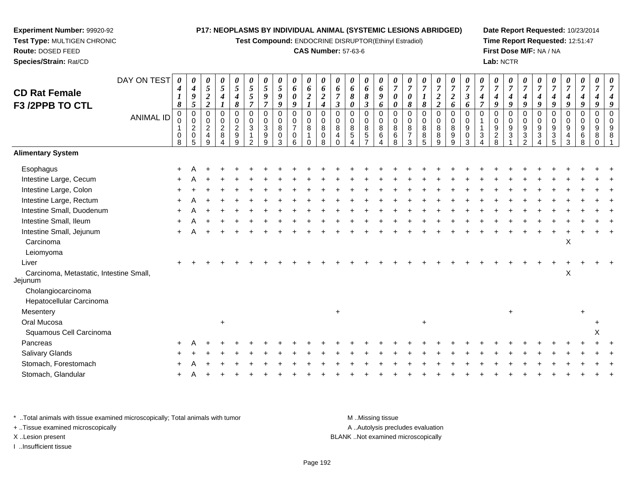**Test Compound:** ENDOCRINE DISRUPTOR(Ethinyl Estradiol)

# **CAS Number:** 57-63-6

**Date Report Requested:** 10/23/2014**Time Report Requested:** 12:51:47**First Dose M/F:** NA / NA**Lab:** NCTR

| <b>CD Rat Female</b><br>F3 /2PPB TO CTL            | DAY ON TEST<br><b>ANIMAL ID</b> | 0<br>$\boldsymbol{4}$<br>1<br>8<br>$\pmb{0}$<br>$\mathbf{1}$<br>0<br>8 | $\boldsymbol{\theta}$<br>$\boldsymbol{4}$<br>9<br>$5\phantom{.0}$<br>$\pmb{0}$<br>0<br>$\frac{2}{0}$<br>5 | $\boldsymbol{\theta}$<br>$\sqrt{5}$<br>$\boldsymbol{2}$<br>$\boldsymbol{2}$<br>$\pmb{0}$<br>$\mathbf 0$<br>$\frac{2}{4}$<br>9 | $\pmb{\theta}$<br>$\overline{5}$<br>$\boldsymbol{4}$<br>$\boldsymbol{l}$<br>$\pmb{0}$<br>$\pmb{0}$<br>$\overline{2}$<br>$\bf8$<br>4 | 0<br>5<br>4<br>8<br>$\mathbf 0$<br>0<br>$\boldsymbol{2}$<br>9<br>9 | 0<br>$\mathfrak{s}$<br>5<br>$\overline{7}$<br>$\mathbf 0$<br>0<br>3<br>$\mathcal{P}$ | 0<br>5<br>9<br>$\overline{7}$<br>$\pmb{0}$<br>0<br>$\sqrt{3}$<br>9<br>9 | 0<br>$\sqrt{5}$<br>9<br>9<br>0<br>$\boldsymbol{0}$<br>8<br>0<br>3 | $\boldsymbol{\theta}$<br>6<br>$\boldsymbol{\theta}$<br>9<br>$\pmb{0}$<br>$\pmb{0}$<br>$\overline{7}$<br>$\mathbf 0$<br>6 | $\boldsymbol{\theta}$<br>6<br>$\boldsymbol{2}$<br>$\boldsymbol{l}$<br>$\boldsymbol{0}$<br>0<br>$\, 8$<br>$\mathbf{1}$<br>$\Omega$ | 0<br>6<br>$\boldsymbol{2}$<br>4<br>$\Omega$<br>0<br>8<br>0<br>8 | $\pmb{\theta}$<br>6<br>$\overline{7}$<br>$\boldsymbol{\beta}$<br>0<br>0<br>8<br>4 | $\pmb{\theta}$<br>6<br>8<br>0<br>$\mathbf 0$<br>0<br>$^8$ 5 | $\pmb{\theta}$<br>6<br>8<br>$\boldsymbol{\beta}$<br>$\pmb{0}$<br>$\pmb{0}$<br>$\overline{8}$<br>$\sqrt{5}$ | $\pmb{\theta}$<br>6<br>9<br>6<br>$\mathbf 0$<br>0<br>$\bf 8$<br>6<br>4 | 0<br>$\overline{7}$<br>$\boldsymbol{\theta}$<br>$\boldsymbol{\theta}$<br>$\mathbf 0$<br>$\mathbf 0$<br>8<br>6<br>8 | $\pmb{\theta}$<br>$\overline{7}$<br>$\boldsymbol{\theta}$<br>8<br>0<br>0<br>8<br>$\overline{7}$<br>3 | 0<br>$\boldsymbol{7}$<br>$\boldsymbol{l}$<br>$\pmb{8}$<br>0<br>0<br>8<br>8<br>$\overline{5}$ | $\boldsymbol{\theta}$<br>$\overline{7}$<br>$\boldsymbol{2}$<br>$\boldsymbol{2}$<br>$\mathbf 0$<br>$\pmb{0}$<br>$\, 8$<br>$\bf 8$<br>9 | $\boldsymbol{\theta}$<br>$\overline{7}$<br>$\overline{2}$<br>6<br>$\mathbf 0$<br>0<br>$\bf 8$<br>9<br>9 | $\boldsymbol{\theta}$<br>$\overline{7}$<br>$\boldsymbol{\beta}$<br>6<br>$\Omega$<br>$\Omega$<br>9<br>0<br>$\mathcal{R}$ | $\boldsymbol{\theta}$<br>$\overline{7}$<br>4<br>$\overline{7}$<br>$\Omega$<br>3 | 0<br>$\boldsymbol{7}$<br>$\boldsymbol{4}$<br>9<br>$\mathbf 0$<br>$\pmb{0}$<br>$\boldsymbol{9}$<br>$\overline{2}$<br>8 | $\pmb{\theta}$<br>$\overline{7}$<br>$\boldsymbol{4}$<br>9<br>$\mathbf 0$<br>0<br>$\boldsymbol{9}$<br>3 | 0<br>$\overline{7}$<br>$\boldsymbol{4}$<br>9<br>$\Omega$<br>0<br>9<br>$\sqrt{3}$<br>$\mathfrak{p}$ | $\boldsymbol{\theta}$<br>$\overline{7}$<br>4<br>9<br>$\pmb{0}$<br>$\pmb{0}$<br>$\boldsymbol{9}$<br>$\mathbf{3}$ | $\pmb{\theta}$<br>$\overline{7}$<br>4<br>9<br>0<br>0<br>$\boldsymbol{9}$<br>$\mathbf{3}$<br>5 | $\boldsymbol{\theta}$<br>$\overline{7}$<br>4<br>9<br>$\mathbf 0$<br>$\mathbf 0$<br>$\boldsymbol{9}$<br>$\overline{4}$<br>3 | 0<br>$\overline{7}$<br>4<br>9<br>$\Omega$<br>0<br>9<br>6<br>8 | $\boldsymbol{\theta}$<br>$\overline{7}$<br>9<br>$\mathbf 0$<br>0<br>9<br>8 | $\boldsymbol{\theta}$<br>7<br>9<br>$\Omega$<br>$\mathbf 0$<br>9<br>8 |
|----------------------------------------------------|---------------------------------|------------------------------------------------------------------------|-----------------------------------------------------------------------------------------------------------|-------------------------------------------------------------------------------------------------------------------------------|-------------------------------------------------------------------------------------------------------------------------------------|--------------------------------------------------------------------|--------------------------------------------------------------------------------------|-------------------------------------------------------------------------|-------------------------------------------------------------------|--------------------------------------------------------------------------------------------------------------------------|-----------------------------------------------------------------------------------------------------------------------------------|-----------------------------------------------------------------|-----------------------------------------------------------------------------------|-------------------------------------------------------------|------------------------------------------------------------------------------------------------------------|------------------------------------------------------------------------|--------------------------------------------------------------------------------------------------------------------|------------------------------------------------------------------------------------------------------|----------------------------------------------------------------------------------------------|---------------------------------------------------------------------------------------------------------------------------------------|---------------------------------------------------------------------------------------------------------|-------------------------------------------------------------------------------------------------------------------------|---------------------------------------------------------------------------------|-----------------------------------------------------------------------------------------------------------------------|--------------------------------------------------------------------------------------------------------|----------------------------------------------------------------------------------------------------|-----------------------------------------------------------------------------------------------------------------|-----------------------------------------------------------------------------------------------|----------------------------------------------------------------------------------------------------------------------------|---------------------------------------------------------------|----------------------------------------------------------------------------|----------------------------------------------------------------------|
| <b>Alimentary System</b>                           |                                 |                                                                        |                                                                                                           |                                                                                                                               |                                                                                                                                     |                                                                    |                                                                                      |                                                                         |                                                                   |                                                                                                                          |                                                                                                                                   |                                                                 |                                                                                   |                                                             |                                                                                                            |                                                                        |                                                                                                                    |                                                                                                      |                                                                                              |                                                                                                                                       |                                                                                                         |                                                                                                                         |                                                                                 |                                                                                                                       |                                                                                                        |                                                                                                    |                                                                                                                 |                                                                                               |                                                                                                                            |                                                               |                                                                            |                                                                      |
| Esophagus                                          |                                 |                                                                        |                                                                                                           |                                                                                                                               |                                                                                                                                     |                                                                    |                                                                                      |                                                                         |                                                                   |                                                                                                                          |                                                                                                                                   |                                                                 |                                                                                   |                                                             |                                                                                                            |                                                                        |                                                                                                                    |                                                                                                      |                                                                                              |                                                                                                                                       |                                                                                                         |                                                                                                                         |                                                                                 |                                                                                                                       |                                                                                                        |                                                                                                    |                                                                                                                 |                                                                                               |                                                                                                                            |                                                               |                                                                            |                                                                      |
| Intestine Large, Cecum                             |                                 |                                                                        |                                                                                                           |                                                                                                                               |                                                                                                                                     |                                                                    |                                                                                      |                                                                         |                                                                   |                                                                                                                          |                                                                                                                                   |                                                                 |                                                                                   |                                                             |                                                                                                            |                                                                        |                                                                                                                    |                                                                                                      |                                                                                              |                                                                                                                                       |                                                                                                         |                                                                                                                         |                                                                                 |                                                                                                                       |                                                                                                        |                                                                                                    |                                                                                                                 |                                                                                               |                                                                                                                            |                                                               |                                                                            |                                                                      |
| Intestine Large, Colon                             |                                 |                                                                        |                                                                                                           |                                                                                                                               |                                                                                                                                     |                                                                    |                                                                                      |                                                                         |                                                                   |                                                                                                                          |                                                                                                                                   |                                                                 |                                                                                   |                                                             |                                                                                                            |                                                                        |                                                                                                                    |                                                                                                      |                                                                                              |                                                                                                                                       |                                                                                                         |                                                                                                                         |                                                                                 |                                                                                                                       |                                                                                                        |                                                                                                    |                                                                                                                 |                                                                                               |                                                                                                                            |                                                               |                                                                            |                                                                      |
| Intestine Large, Rectum                            |                                 |                                                                        |                                                                                                           |                                                                                                                               |                                                                                                                                     |                                                                    |                                                                                      |                                                                         |                                                                   |                                                                                                                          |                                                                                                                                   |                                                                 |                                                                                   |                                                             |                                                                                                            |                                                                        |                                                                                                                    |                                                                                                      |                                                                                              |                                                                                                                                       |                                                                                                         |                                                                                                                         |                                                                                 |                                                                                                                       |                                                                                                        |                                                                                                    |                                                                                                                 |                                                                                               |                                                                                                                            |                                                               |                                                                            |                                                                      |
| Intestine Small, Duodenum                          |                                 |                                                                        |                                                                                                           |                                                                                                                               |                                                                                                                                     |                                                                    |                                                                                      |                                                                         |                                                                   |                                                                                                                          |                                                                                                                                   |                                                                 |                                                                                   |                                                             |                                                                                                            |                                                                        |                                                                                                                    |                                                                                                      |                                                                                              |                                                                                                                                       |                                                                                                         |                                                                                                                         |                                                                                 |                                                                                                                       |                                                                                                        |                                                                                                    |                                                                                                                 |                                                                                               |                                                                                                                            |                                                               |                                                                            |                                                                      |
| Intestine Small, Ileum                             |                                 |                                                                        |                                                                                                           |                                                                                                                               |                                                                                                                                     |                                                                    |                                                                                      |                                                                         |                                                                   |                                                                                                                          |                                                                                                                                   |                                                                 |                                                                                   |                                                             |                                                                                                            |                                                                        |                                                                                                                    |                                                                                                      |                                                                                              |                                                                                                                                       |                                                                                                         |                                                                                                                         |                                                                                 |                                                                                                                       |                                                                                                        |                                                                                                    |                                                                                                                 |                                                                                               |                                                                                                                            |                                                               |                                                                            |                                                                      |
| Intestine Small, Jejunum                           |                                 | $\pm$                                                                  |                                                                                                           |                                                                                                                               |                                                                                                                                     |                                                                    |                                                                                      |                                                                         |                                                                   |                                                                                                                          |                                                                                                                                   |                                                                 |                                                                                   |                                                             |                                                                                                            |                                                                        |                                                                                                                    |                                                                                                      |                                                                                              |                                                                                                                                       |                                                                                                         |                                                                                                                         |                                                                                 |                                                                                                                       |                                                                                                        |                                                                                                    |                                                                                                                 |                                                                                               |                                                                                                                            |                                                               |                                                                            |                                                                      |
| Carcinoma                                          |                                 |                                                                        |                                                                                                           |                                                                                                                               |                                                                                                                                     |                                                                    |                                                                                      |                                                                         |                                                                   |                                                                                                                          |                                                                                                                                   |                                                                 |                                                                                   |                                                             |                                                                                                            |                                                                        |                                                                                                                    |                                                                                                      |                                                                                              |                                                                                                                                       |                                                                                                         |                                                                                                                         |                                                                                 |                                                                                                                       |                                                                                                        |                                                                                                    |                                                                                                                 |                                                                                               | X                                                                                                                          |                                                               |                                                                            |                                                                      |
| Leiomyoma                                          |                                 |                                                                        |                                                                                                           |                                                                                                                               |                                                                                                                                     |                                                                    |                                                                                      |                                                                         |                                                                   |                                                                                                                          |                                                                                                                                   |                                                                 |                                                                                   |                                                             |                                                                                                            |                                                                        |                                                                                                                    |                                                                                                      |                                                                                              |                                                                                                                                       |                                                                                                         |                                                                                                                         |                                                                                 |                                                                                                                       |                                                                                                        |                                                                                                    |                                                                                                                 |                                                                                               |                                                                                                                            |                                                               |                                                                            |                                                                      |
| Liver                                              |                                 |                                                                        |                                                                                                           |                                                                                                                               |                                                                                                                                     |                                                                    |                                                                                      |                                                                         |                                                                   |                                                                                                                          |                                                                                                                                   |                                                                 |                                                                                   |                                                             |                                                                                                            |                                                                        |                                                                                                                    |                                                                                                      |                                                                                              |                                                                                                                                       |                                                                                                         |                                                                                                                         |                                                                                 |                                                                                                                       |                                                                                                        |                                                                                                    |                                                                                                                 |                                                                                               |                                                                                                                            |                                                               |                                                                            |                                                                      |
| Carcinoma, Metastatic, Intestine Small,<br>Jejunum |                                 |                                                                        |                                                                                                           |                                                                                                                               |                                                                                                                                     |                                                                    |                                                                                      |                                                                         |                                                                   |                                                                                                                          |                                                                                                                                   |                                                                 |                                                                                   |                                                             |                                                                                                            |                                                                        |                                                                                                                    |                                                                                                      |                                                                                              |                                                                                                                                       |                                                                                                         |                                                                                                                         |                                                                                 |                                                                                                                       |                                                                                                        |                                                                                                    |                                                                                                                 |                                                                                               | X                                                                                                                          |                                                               |                                                                            |                                                                      |
| Cholangiocarcinoma                                 |                                 |                                                                        |                                                                                                           |                                                                                                                               |                                                                                                                                     |                                                                    |                                                                                      |                                                                         |                                                                   |                                                                                                                          |                                                                                                                                   |                                                                 |                                                                                   |                                                             |                                                                                                            |                                                                        |                                                                                                                    |                                                                                                      |                                                                                              |                                                                                                                                       |                                                                                                         |                                                                                                                         |                                                                                 |                                                                                                                       |                                                                                                        |                                                                                                    |                                                                                                                 |                                                                                               |                                                                                                                            |                                                               |                                                                            |                                                                      |
| Hepatocellular Carcinoma                           |                                 |                                                                        |                                                                                                           |                                                                                                                               |                                                                                                                                     |                                                                    |                                                                                      |                                                                         |                                                                   |                                                                                                                          |                                                                                                                                   |                                                                 |                                                                                   |                                                             |                                                                                                            |                                                                        |                                                                                                                    |                                                                                                      |                                                                                              |                                                                                                                                       |                                                                                                         |                                                                                                                         |                                                                                 |                                                                                                                       |                                                                                                        |                                                                                                    |                                                                                                                 |                                                                                               |                                                                                                                            |                                                               |                                                                            |                                                                      |
| Mesentery                                          |                                 |                                                                        |                                                                                                           |                                                                                                                               |                                                                                                                                     |                                                                    |                                                                                      |                                                                         |                                                                   |                                                                                                                          |                                                                                                                                   |                                                                 | $\ddot{}$                                                                         |                                                             |                                                                                                            |                                                                        |                                                                                                                    |                                                                                                      |                                                                                              |                                                                                                                                       |                                                                                                         |                                                                                                                         |                                                                                 |                                                                                                                       | $\ddot{}$                                                                                              |                                                                                                    |                                                                                                                 |                                                                                               |                                                                                                                            |                                                               |                                                                            |                                                                      |
| Oral Mucosa                                        |                                 |                                                                        |                                                                                                           |                                                                                                                               | $\ddot{}$                                                                                                                           |                                                                    |                                                                                      |                                                                         |                                                                   |                                                                                                                          |                                                                                                                                   |                                                                 |                                                                                   |                                                             |                                                                                                            |                                                                        |                                                                                                                    |                                                                                                      | $\ddot{}$                                                                                    |                                                                                                                                       |                                                                                                         |                                                                                                                         |                                                                                 |                                                                                                                       |                                                                                                        |                                                                                                    |                                                                                                                 |                                                                                               |                                                                                                                            |                                                               |                                                                            |                                                                      |
| Squamous Cell Carcinoma                            |                                 |                                                                        |                                                                                                           |                                                                                                                               |                                                                                                                                     |                                                                    |                                                                                      |                                                                         |                                                                   |                                                                                                                          |                                                                                                                                   |                                                                 |                                                                                   |                                                             |                                                                                                            |                                                                        |                                                                                                                    |                                                                                                      |                                                                                              |                                                                                                                                       |                                                                                                         |                                                                                                                         |                                                                                 |                                                                                                                       |                                                                                                        |                                                                                                    |                                                                                                                 |                                                                                               |                                                                                                                            |                                                               | X                                                                          |                                                                      |
| Pancreas                                           |                                 |                                                                        |                                                                                                           |                                                                                                                               |                                                                                                                                     |                                                                    |                                                                                      |                                                                         |                                                                   |                                                                                                                          |                                                                                                                                   |                                                                 |                                                                                   |                                                             |                                                                                                            |                                                                        |                                                                                                                    |                                                                                                      |                                                                                              |                                                                                                                                       |                                                                                                         |                                                                                                                         |                                                                                 |                                                                                                                       |                                                                                                        |                                                                                                    |                                                                                                                 |                                                                                               |                                                                                                                            |                                                               |                                                                            |                                                                      |
| <b>Salivary Glands</b>                             |                                 |                                                                        |                                                                                                           |                                                                                                                               |                                                                                                                                     |                                                                    |                                                                                      |                                                                         |                                                                   |                                                                                                                          |                                                                                                                                   |                                                                 |                                                                                   |                                                             |                                                                                                            |                                                                        |                                                                                                                    |                                                                                                      |                                                                                              |                                                                                                                                       |                                                                                                         |                                                                                                                         |                                                                                 |                                                                                                                       |                                                                                                        |                                                                                                    |                                                                                                                 |                                                                                               |                                                                                                                            |                                                               |                                                                            |                                                                      |
| Stomach, Forestomach                               |                                 |                                                                        |                                                                                                           |                                                                                                                               |                                                                                                                                     |                                                                    |                                                                                      |                                                                         |                                                                   |                                                                                                                          |                                                                                                                                   |                                                                 |                                                                                   |                                                             |                                                                                                            |                                                                        |                                                                                                                    |                                                                                                      |                                                                                              |                                                                                                                                       |                                                                                                         |                                                                                                                         |                                                                                 |                                                                                                                       |                                                                                                        |                                                                                                    |                                                                                                                 |                                                                                               |                                                                                                                            |                                                               |                                                                            |                                                                      |
| Stomach, Glandular                                 |                                 |                                                                        |                                                                                                           |                                                                                                                               |                                                                                                                                     |                                                                    |                                                                                      |                                                                         |                                                                   |                                                                                                                          |                                                                                                                                   |                                                                 |                                                                                   |                                                             |                                                                                                            |                                                                        |                                                                                                                    |                                                                                                      |                                                                                              |                                                                                                                                       |                                                                                                         |                                                                                                                         |                                                                                 |                                                                                                                       |                                                                                                        |                                                                                                    |                                                                                                                 |                                                                                               |                                                                                                                            |                                                               |                                                                            |                                                                      |
|                                                    |                                 |                                                                        |                                                                                                           |                                                                                                                               |                                                                                                                                     |                                                                    |                                                                                      |                                                                         |                                                                   |                                                                                                                          |                                                                                                                                   |                                                                 |                                                                                   |                                                             |                                                                                                            |                                                                        |                                                                                                                    |                                                                                                      |                                                                                              |                                                                                                                                       |                                                                                                         |                                                                                                                         |                                                                                 |                                                                                                                       |                                                                                                        |                                                                                                    |                                                                                                                 |                                                                                               |                                                                                                                            |                                                               |                                                                            |                                                                      |

\* ..Total animals with tissue examined microscopically; Total animals with tumor **M** . Missing tissue M ..Missing tissue A ..Autolysis precludes evaluation + ..Tissue examined microscopically X ..Lesion present BLANK ..Not examined microscopicallyI ..Insufficient tissue

**Experiment Number:** 99920-92**Test Type:** MULTIGEN CHRONIC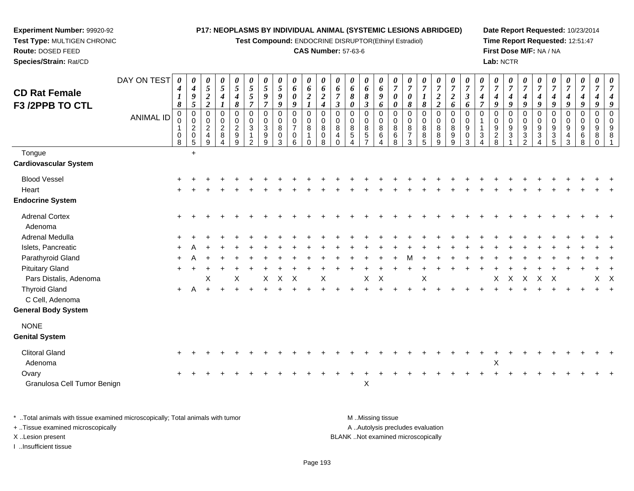**Test Compound:** ENDOCRINE DISRUPTOR(Ethinyl Estradiol)

### **CAS Number:** 57-63-6

**Date Report Requested:** 10/23/2014**Time Report Requested:** 12:51:47**First Dose M/F:** NA / NA**Lab:** NCTR

| <b>CD Rat Female</b>                                                           | DAY ON TEST      | 0<br>4<br>1<br>8  | 0<br>$\boldsymbol{4}$<br>$\boldsymbol{g}$<br>5                 | 0<br>$\overline{5}$<br>$\frac{2}{2}$       | 0<br>$\mathfrak{s}$<br>$\boldsymbol{4}$<br>$\boldsymbol{l}$ | $\boldsymbol{\theta}$<br>$\sqrt{5}$<br>4<br>8               | 0<br>$\sqrt{5}$<br>$rac{5}{7}$                          | 0<br>$\sqrt{5}$<br>$\boldsymbol{9}$<br>$\overline{7}$             | $\boldsymbol{\theta}$<br>$\sqrt{5}$<br>$\pmb{9}$<br>$\boldsymbol{g}$ | 0<br>6<br>$\pmb{\theta}$<br>9                                    | $\boldsymbol{\theta}$<br>6<br>$\boldsymbol{2}$ | 0<br>6<br>$\boldsymbol{2}$<br>$\boldsymbol{4}$ | 0<br>6<br>$\overline{7}$<br>$\mathbf{3}$ | 0<br>6<br>8<br>0                                        | 0<br>6<br>8<br>$\boldsymbol{\beta}$                                      | 0<br>6<br>9<br>6                               | 0<br>$\boldsymbol{7}$<br>0<br>0           | 0<br>$\overline{7}$<br>0<br>8                | 0<br>$\boldsymbol{7}$<br>$\boldsymbol{I}$<br>$\pmb{8}$       | $\boldsymbol{\theta}$<br>$\overline{7}$<br>$\boldsymbol{2}$<br>$\overline{2}$ | $\boldsymbol{\theta}$<br>$\overline{7}$<br>$\boldsymbol{2}$<br>6 | $\boldsymbol{\theta}$<br>$\boldsymbol{7}$<br>$\boldsymbol{\beta}$<br>6 | 0<br>$\overline{7}$<br>4<br>$\overline{\tau}$ | 0<br>$\boldsymbol{7}$<br>$\boldsymbol{4}$<br>9        | $\boldsymbol{\theta}$<br>$\overline{7}$<br>$\boldsymbol{4}$<br>$\boldsymbol{q}$ | $\boldsymbol{\theta}$<br>$\overline{7}$<br>$\boldsymbol{4}$<br>9 | $\boldsymbol{\theta}$<br>$\overline{7}$<br>4<br>9         | 0<br>$\overline{7}$<br>4<br>9                         | 0<br>$\boldsymbol{7}$<br>$\boldsymbol{4}$<br>9  | 0<br>$\overline{7}$<br>$\boldsymbol{4}$<br>9  | 0<br>$\overline{7}$<br>$\boldsymbol{4}$<br>9 | $\boldsymbol{\theta}$<br>$\overline{7}$<br>$\boldsymbol{4}$<br>9 |
|--------------------------------------------------------------------------------|------------------|-------------------|----------------------------------------------------------------|--------------------------------------------|-------------------------------------------------------------|-------------------------------------------------------------|---------------------------------------------------------|-------------------------------------------------------------------|----------------------------------------------------------------------|------------------------------------------------------------------|------------------------------------------------|------------------------------------------------|------------------------------------------|---------------------------------------------------------|--------------------------------------------------------------------------|------------------------------------------------|-------------------------------------------|----------------------------------------------|--------------------------------------------------------------|-------------------------------------------------------------------------------|------------------------------------------------------------------|------------------------------------------------------------------------|-----------------------------------------------|-------------------------------------------------------|---------------------------------------------------------------------------------|------------------------------------------------------------------|-----------------------------------------------------------|-------------------------------------------------------|-------------------------------------------------|-----------------------------------------------|----------------------------------------------|------------------------------------------------------------------|
| F3 /2PPB TO CTL                                                                | <b>ANIMAL ID</b> | 0<br>-1<br>0<br>8 | $\mathbf 0$<br>$\mathbf 0$<br>$\overline{c}$<br>$\pmb{0}$<br>5 | 0<br>$\pmb{0}$<br>$\overline{c}$<br>4<br>9 | $\overline{0}$<br>$\mathbf 0$<br>$\overline{c}$<br>8<br>4   | $\mathbf 0$<br>0<br>$\overline{c}$<br>$\boldsymbol{9}$<br>9 | $\mathbf 0$<br>0<br>3<br>$\mathbf{1}$<br>$\overline{2}$ | $\mathbf 0$<br>$\mathbf 0$<br>$\sqrt{3}$<br>$\boldsymbol{9}$<br>9 | $\mathbf 0$<br>$\pmb{0}$<br>$\bf8$<br>$\mathbf 0$<br>3               | $\mathbf 0$<br>$\mathbf 0$<br>$\overline{7}$<br>$\mathbf 0$<br>6 | $\mathbf 0$<br>0<br>8<br>1<br>$\Omega$         | $\mathbf 0$<br>$\mathbf 0$<br>8<br>0<br>8      | $\mathbf 0$<br>0<br>8<br>4<br>$\Omega$   | $\mathbf 0$<br>$\mathbf 0$<br>8<br>$5\phantom{.0}$<br>4 | $\mathbf 0$<br>$\mathbf 0$<br>$\, 8$<br>$\overline{5}$<br>$\overline{7}$ | $\overline{0}$<br>$\pmb{0}$<br>8<br>$\,6$<br>4 | $\mathbf 0$<br>$\mathbf 0$<br>8<br>6<br>8 | $\mathbf 0$<br>0<br>8<br>$\overline{7}$<br>3 | $\mathbf 0$<br>$\mathbf 0$<br>8<br>$\bf 8$<br>$\overline{5}$ | $\mathbf 0$<br>$\pmb{0}$<br>8<br>8<br>9                                       | $\mathbf 0$<br>$\mathbf 0$<br>8<br>9<br>9                        | $\mathbf 0$<br>$\mathbf 0$<br>9<br>0<br>3                              | $\Omega$<br>3<br>$\overline{\mathbf{4}}$      | $\mathbf 0$<br>0<br>$\boldsymbol{9}$<br>$\frac{2}{8}$ | $\mathbf 0$<br>$\mathbf 0$<br>9<br>$\sqrt{3}$                                   | $\mathbf 0$<br>0<br>9<br>$\frac{3}{2}$                           | $\mathbf 0$<br>$\mathbf 0$<br>9<br>$\sqrt{3}$<br>$\Delta$ | 0<br>$\pmb{0}$<br>9<br>$\ensuremath{\mathsf{3}}$<br>5 | 0<br>0<br>$9\,$<br>$\overline{\mathbf{4}}$<br>3 | $\mathbf 0$<br>$\pmb{0}$<br>9<br>$\,6\,$<br>8 | $\mathbf 0$<br>0<br>9<br>8<br>$\mathbf{0}$   | $\Omega$<br>$\mathbf 0$<br>9<br>8<br>-1                          |
| Tongue<br>Cardiovascular System                                                |                  |                   | $\ddot{}$                                                      |                                            |                                                             |                                                             |                                                         |                                                                   |                                                                      |                                                                  |                                                |                                                |                                          |                                                         |                                                                          |                                                |                                           |                                              |                                                              |                                                                               |                                                                  |                                                                        |                                               |                                                       |                                                                                 |                                                                  |                                                           |                                                       |                                                 |                                               |                                              |                                                                  |
| <b>Blood Vessel</b><br>Heart<br><b>Endocrine System</b>                        |                  |                   |                                                                |                                            |                                                             |                                                             |                                                         |                                                                   |                                                                      |                                                                  |                                                |                                                |                                          |                                                         |                                                                          |                                                |                                           |                                              |                                                              |                                                                               |                                                                  |                                                                        |                                               |                                                       |                                                                                 |                                                                  |                                                           |                                                       |                                                 |                                               |                                              |                                                                  |
| <b>Adrenal Cortex</b><br>Adenoma                                               |                  |                   |                                                                |                                            |                                                             |                                                             |                                                         |                                                                   |                                                                      |                                                                  |                                                |                                                |                                          |                                                         |                                                                          |                                                |                                           |                                              |                                                              |                                                                               |                                                                  |                                                                        |                                               |                                                       |                                                                                 |                                                                  |                                                           |                                                       |                                                 |                                               |                                              |                                                                  |
| <b>Adrenal Medulla</b>                                                         |                  |                   |                                                                |                                            |                                                             |                                                             |                                                         |                                                                   |                                                                      |                                                                  |                                                |                                                |                                          |                                                         |                                                                          |                                                |                                           |                                              |                                                              |                                                                               |                                                                  |                                                                        |                                               |                                                       |                                                                                 |                                                                  |                                                           |                                                       |                                                 |                                               |                                              |                                                                  |
| Islets, Pancreatic                                                             |                  |                   |                                                                |                                            |                                                             |                                                             |                                                         |                                                                   |                                                                      |                                                                  |                                                |                                                |                                          |                                                         |                                                                          |                                                |                                           |                                              |                                                              |                                                                               |                                                                  |                                                                        |                                               |                                                       |                                                                                 |                                                                  |                                                           |                                                       |                                                 |                                               |                                              |                                                                  |
| Parathyroid Gland<br><b>Pituitary Gland</b>                                    |                  |                   |                                                                |                                            |                                                             |                                                             |                                                         |                                                                   |                                                                      |                                                                  |                                                |                                                |                                          |                                                         |                                                                          |                                                |                                           |                                              |                                                              |                                                                               |                                                                  |                                                                        |                                               |                                                       |                                                                                 |                                                                  |                                                           |                                                       |                                                 |                                               |                                              |                                                                  |
| Pars Distalis, Adenoma                                                         |                  |                   |                                                                | X                                          |                                                             | X                                                           |                                                         | $\mathsf{X}$                                                      | $\mathsf{X}$                                                         | $\mathsf{X}$                                                     |                                                | Χ                                              |                                          |                                                         | X                                                                        | X                                              |                                           |                                              | X                                                            |                                                                               |                                                                  |                                                                        |                                               | X                                                     | $\mathsf{X}$                                                                    | $\mathsf{X}$                                                     | $\mathsf{X}$                                              | X                                                     |                                                 |                                               | $X$ $X$                                      |                                                                  |
| <b>Thyroid Gland</b><br>C Cell, Adenoma<br><b>General Body System</b>          |                  | $+$               | $\overline{A}$                                                 | $\div$                                     |                                                             |                                                             |                                                         |                                                                   |                                                                      |                                                                  |                                                |                                                |                                          |                                                         |                                                                          |                                                |                                           |                                              |                                                              |                                                                               |                                                                  |                                                                        |                                               |                                                       |                                                                                 |                                                                  |                                                           |                                                       |                                                 |                                               |                                              |                                                                  |
| <b>NONE</b><br><b>Genital System</b>                                           |                  |                   |                                                                |                                            |                                                             |                                                             |                                                         |                                                                   |                                                                      |                                                                  |                                                |                                                |                                          |                                                         |                                                                          |                                                |                                           |                                              |                                                              |                                                                               |                                                                  |                                                                        |                                               |                                                       |                                                                                 |                                                                  |                                                           |                                                       |                                                 |                                               |                                              |                                                                  |
| <b>Clitoral Gland</b><br>Adenoma                                               |                  |                   |                                                                |                                            |                                                             |                                                             |                                                         |                                                                   |                                                                      |                                                                  |                                                |                                                |                                          |                                                         |                                                                          |                                                |                                           |                                              |                                                              |                                                                               |                                                                  |                                                                        |                                               | X                                                     |                                                                                 |                                                                  |                                                           |                                                       |                                                 |                                               |                                              |                                                                  |
| Ovary<br>Granulosa Cell Tumor Benign                                           |                  | $\ddot{}$         |                                                                |                                            |                                                             |                                                             |                                                         |                                                                   |                                                                      |                                                                  |                                                |                                                |                                          |                                                         | $\sf X$                                                                  |                                                |                                           |                                              |                                                              |                                                                               |                                                                  |                                                                        |                                               |                                                       |                                                                                 |                                                                  |                                                           |                                                       |                                                 |                                               |                                              |                                                                  |
| * Total animals with tissue examined microscopically; Total animals with tumor |                  |                   |                                                                |                                            |                                                             |                                                             |                                                         |                                                                   |                                                                      |                                                                  |                                                |                                                |                                          |                                                         |                                                                          | M Missing tissue                               |                                           |                                              |                                                              |                                                                               |                                                                  |                                                                        |                                               |                                                       |                                                                                 |                                                                  |                                                           |                                                       |                                                 |                                               |                                              |                                                                  |

+ ..Tissue examined microscopically

**Experiment Number:** 99920-92**Test Type:** MULTIGEN CHRONIC

**Route:** DOSED FEED**Species/Strain:** Rat/CD

I ..Insufficient tissue

A ..Autolysis precludes evaluation X ..Lesion present BLANK ..Not examined microscopically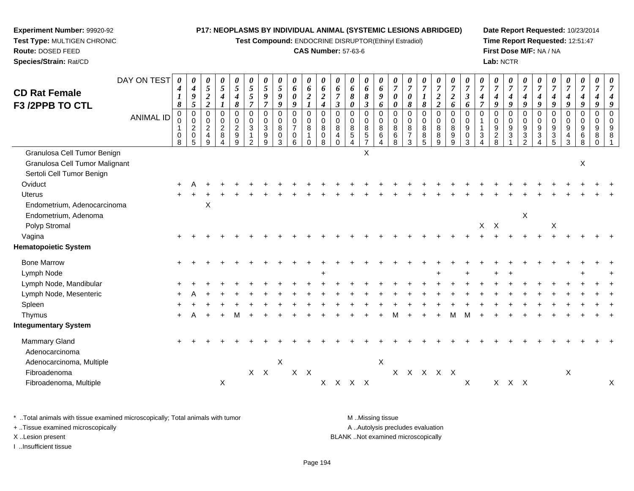**Test Compound:** ENDOCRINE DISRUPTOR(Ethinyl Estradiol)

# **CAS Number:** 57-63-6

**Date Report Requested:** 10/23/2014**Time Report Requested:** 12:51:47**First Dose M/F:** NA / NA**Lab:** NCTR

| <b>CD Rat Female</b>                     | DAY ON TEST      | $\boldsymbol{\theta}$<br>$\boldsymbol{4}$ | $\boldsymbol{\theta}$<br>$\boldsymbol{4}$                               | 0<br>5                                       | 0<br>$\sqrt{5}$               | 0<br>$\mathfrak{s}$                                     | 0<br>$\mathfrak{s}$                                               | 0<br>$\mathfrak{s}$                                        | 0<br>5<br>9                     | 0<br>6                       | 0<br>6                                     | $\boldsymbol{\theta}$<br>6              | 0<br>6<br>$\overline{7}$                                            | 0<br>6                     | 0<br>6                                      | 0<br>6<br>9                                       | 0<br>$\overline{7}$                       | $\overline{7}$<br>$\boldsymbol{\theta}$                | 0<br>7                          | 0<br>$\overline{7}$                  | 0<br>$\overline{7}$                         | 0<br>$\overline{7}$             | $\overline{7}$      | 0<br>$\overline{7}$                                 | 0<br>$\overline{7}$             | 0<br>$\overline{7}$                                                 | 0<br>$\overline{7}$     | 7                                      | 0<br>$\overline{7}$        | 0<br>$\overline{7}$   | 0<br>$\overline{7}$               |   |
|------------------------------------------|------------------|-------------------------------------------|-------------------------------------------------------------------------|----------------------------------------------|-------------------------------|---------------------------------------------------------|-------------------------------------------------------------------|------------------------------------------------------------|---------------------------------|------------------------------|--------------------------------------------|-----------------------------------------|---------------------------------------------------------------------|----------------------------|---------------------------------------------|---------------------------------------------------|-------------------------------------------|--------------------------------------------------------|---------------------------------|--------------------------------------|---------------------------------------------|---------------------------------|---------------------|-----------------------------------------------------|---------------------------------|---------------------------------------------------------------------|-------------------------|----------------------------------------|----------------------------|-----------------------|-----------------------------------|---|
| <b>F3 /2PPB TO CTL</b>                   |                  | 1<br>8                                    | 9<br>$\mathfrak{s}$                                                     | $\boldsymbol{2}$<br>$\overline{2}$           | $\boldsymbol{4}$              | $\boldsymbol{4}$<br>8                                   | $\mathfrak{s}$<br>$\overline{7}$                                  | $\boldsymbol{9}$<br>$\overline{7}$                         | 9                               | 0<br>9                       | $\boldsymbol{2}$                           | $\boldsymbol{2}$<br>$\boldsymbol{4}$    | $\boldsymbol{\beta}$                                                | 8<br>0                     | 8<br>3                                      | 6                                                 | $\boldsymbol{\theta}$<br>0                | 8                                                      | 8                               | $\boldsymbol{2}$<br>$\boldsymbol{2}$ | $\boldsymbol{2}$<br>6                       | $\boldsymbol{\beta}$<br>6       | 4<br>$\overline{7}$ | 9                                                   | 4<br>9                          | 4<br>9                                                              | 4<br>9                  | 9                                      | 4<br>9                     | 4<br>9                |                                   |   |
|                                          | <b>ANIMAL ID</b> | $\pmb{0}$<br>0<br>-1<br>0<br>8            | $\pmb{0}$<br>$\pmb{0}$<br>$\overline{2}$<br>$\pmb{0}$<br>$5\phantom{1}$ | 0<br>$\mathbf 0$<br>$\overline{a}$<br>4<br>9 | 0<br>0<br>$\overline{2}$<br>8 | $\boldsymbol{0}$<br>$\mathbf 0$<br>$\sqrt{2}$<br>9<br>9 | $\pmb{0}$<br>$\mathbf 0$<br>3<br>$\overline{1}$<br>$\overline{2}$ | $\pmb{0}$<br>$\mathsf{O}\xspace$<br>$\mathbf{3}$<br>9<br>9 | $\mathbf 0$<br>0<br>8<br>0<br>3 | 0<br>$\frac{0}{7}$<br>0<br>6 | $\pmb{0}$<br>$\pmb{0}$<br>8<br>$\mathbf 0$ | $\pmb{0}$<br>$\mathbf 0$<br>8<br>0<br>8 | $\mathbf 0$<br>$\mathbf 0$<br>$\,8\,$<br>$\overline{4}$<br>$\Omega$ | 0<br>$\mathbf 0$<br>8<br>5 | 0<br>0<br>8<br>$\sqrt{5}$<br>$\overline{7}$ | $\pmb{0}$<br>$\mathbf 0$<br>$\,8\,$<br>$\,6$<br>4 | $\mathbf 0$<br>$\mathbf 0$<br>8<br>6<br>8 | $\mathbf 0$<br>$\mathbf 0$<br>8<br>$\overline{7}$<br>3 | $\mathbf 0$<br>0<br>8<br>8<br>5 | $\pmb{0}$<br>0<br>8<br>8<br>9        | $\pmb{0}$<br>$\pmb{0}$<br>$\,8\,$<br>9<br>9 | 0<br>$\mathbf 0$<br>9<br>0<br>3 | $\Omega$<br>3       | $\mathbf 0$<br>$\Omega$<br>9<br>$\overline{2}$<br>8 | 0<br>0<br>$\boldsymbol{9}$<br>3 | $\mathbf 0$<br>$\mathbf 0$<br>$\boldsymbol{9}$<br>$\mathbf{3}$<br>2 | 0<br>$\Omega$<br>9<br>3 | $\mathbf 0$<br>$\Omega$<br>9<br>3<br>5 | $\mathbf 0$<br>0<br>9<br>3 | 0<br>0<br>9<br>6<br>8 | $\mathbf 0$<br>$\Omega$<br>9<br>8 |   |
| Granulosa Cell Tumor Benign              |                  |                                           |                                                                         |                                              |                               |                                                         |                                                                   |                                                            |                                 |                              |                                            |                                         |                                                                     |                            | X                                           |                                                   |                                           |                                                        |                                 |                                      |                                             |                                 |                     |                                                     |                                 |                                                                     |                         |                                        |                            |                       |                                   |   |
| Granulosa Cell Tumor Malignant           |                  |                                           |                                                                         |                                              |                               |                                                         |                                                                   |                                                            |                                 |                              |                                            |                                         |                                                                     |                            |                                             |                                                   |                                           |                                                        |                                 |                                      |                                             |                                 |                     |                                                     |                                 |                                                                     |                         |                                        |                            | Χ                     |                                   |   |
| Sertoli Cell Tumor Benign                |                  |                                           |                                                                         |                                              |                               |                                                         |                                                                   |                                                            |                                 |                              |                                            |                                         |                                                                     |                            |                                             |                                                   |                                           |                                                        |                                 |                                      |                                             |                                 |                     |                                                     |                                 |                                                                     |                         |                                        |                            |                       |                                   |   |
| Oviduct                                  |                  |                                           |                                                                         |                                              |                               |                                                         |                                                                   |                                                            |                                 |                              |                                            |                                         |                                                                     |                            |                                             |                                                   |                                           |                                                        |                                 |                                      |                                             |                                 |                     |                                                     |                                 |                                                                     |                         |                                        |                            |                       |                                   |   |
| <b>Uterus</b>                            |                  |                                           |                                                                         |                                              |                               |                                                         |                                                                   |                                                            |                                 |                              |                                            |                                         |                                                                     |                            |                                             |                                                   |                                           |                                                        |                                 |                                      |                                             |                                 |                     |                                                     |                                 |                                                                     |                         |                                        |                            |                       |                                   |   |
| Endometrium, Adenocarcinoma              |                  |                                           |                                                                         | X                                            |                               |                                                         |                                                                   |                                                            |                                 |                              |                                            |                                         |                                                                     |                            |                                             |                                                   |                                           |                                                        |                                 |                                      |                                             |                                 |                     |                                                     |                                 |                                                                     |                         |                                        |                            |                       |                                   |   |
| Endometrium, Adenoma                     |                  |                                           |                                                                         |                                              |                               |                                                         |                                                                   |                                                            |                                 |                              |                                            |                                         |                                                                     |                            |                                             |                                                   |                                           |                                                        |                                 |                                      |                                             |                                 |                     |                                                     |                                 | X                                                                   |                         |                                        |                            |                       |                                   |   |
| Polyp Stromal                            |                  |                                           |                                                                         |                                              |                               |                                                         |                                                                   |                                                            |                                 |                              |                                            |                                         |                                                                     |                            |                                             |                                                   |                                           |                                                        |                                 |                                      |                                             |                                 |                     | $X$ $X$                                             |                                 |                                                                     |                         | X                                      |                            |                       |                                   |   |
| Vagina                                   |                  |                                           |                                                                         |                                              |                               |                                                         |                                                                   |                                                            |                                 |                              |                                            |                                         |                                                                     |                            |                                             |                                                   |                                           |                                                        |                                 |                                      |                                             |                                 |                     |                                                     |                                 |                                                                     |                         |                                        |                            |                       |                                   |   |
| <b>Hematopoietic System</b>              |                  |                                           |                                                                         |                                              |                               |                                                         |                                                                   |                                                            |                                 |                              |                                            |                                         |                                                                     |                            |                                             |                                                   |                                           |                                                        |                                 |                                      |                                             |                                 |                     |                                                     |                                 |                                                                     |                         |                                        |                            |                       |                                   |   |
| <b>Bone Marrow</b>                       |                  |                                           |                                                                         |                                              |                               |                                                         |                                                                   |                                                            |                                 |                              |                                            |                                         |                                                                     |                            |                                             |                                                   |                                           |                                                        |                                 |                                      |                                             |                                 |                     |                                                     |                                 |                                                                     |                         |                                        |                            |                       |                                   |   |
| Lymph Node                               |                  |                                           |                                                                         |                                              |                               |                                                         |                                                                   |                                                            |                                 |                              |                                            |                                         |                                                                     |                            |                                             |                                                   |                                           |                                                        |                                 |                                      |                                             |                                 |                     |                                                     |                                 |                                                                     |                         |                                        |                            |                       |                                   |   |
| Lymph Node, Mandibular                   |                  |                                           |                                                                         |                                              |                               |                                                         |                                                                   |                                                            |                                 |                              |                                            |                                         |                                                                     |                            |                                             |                                                   |                                           |                                                        |                                 |                                      |                                             |                                 |                     |                                                     |                                 |                                                                     |                         |                                        |                            |                       |                                   |   |
| Lymph Node, Mesenteric                   |                  |                                           |                                                                         |                                              |                               |                                                         |                                                                   |                                                            |                                 |                              |                                            |                                         |                                                                     |                            |                                             |                                                   |                                           |                                                        |                                 |                                      |                                             |                                 |                     |                                                     |                                 |                                                                     |                         |                                        |                            |                       |                                   |   |
| Spleen                                   |                  |                                           |                                                                         |                                              |                               |                                                         |                                                                   |                                                            |                                 |                              |                                            |                                         |                                                                     |                            |                                             |                                                   |                                           |                                                        |                                 |                                      |                                             |                                 |                     |                                                     |                                 |                                                                     |                         |                                        |                            |                       |                                   |   |
| Thymus                                   |                  |                                           |                                                                         |                                              |                               |                                                         |                                                                   |                                                            |                                 |                              |                                            |                                         |                                                                     |                            |                                             |                                                   |                                           |                                                        |                                 |                                      |                                             |                                 |                     |                                                     |                                 |                                                                     |                         |                                        |                            |                       |                                   |   |
| <b>Integumentary System</b>              |                  |                                           |                                                                         |                                              |                               |                                                         |                                                                   |                                                            |                                 |                              |                                            |                                         |                                                                     |                            |                                             |                                                   |                                           |                                                        |                                 |                                      |                                             |                                 |                     |                                                     |                                 |                                                                     |                         |                                        |                            |                       |                                   |   |
| Mammary Gland                            |                  |                                           |                                                                         |                                              |                               |                                                         |                                                                   |                                                            |                                 |                              |                                            |                                         |                                                                     |                            |                                             |                                                   |                                           |                                                        |                                 |                                      |                                             |                                 |                     |                                                     |                                 |                                                                     |                         |                                        |                            |                       |                                   |   |
| Adenocarcinoma                           |                  |                                           |                                                                         |                                              |                               |                                                         |                                                                   |                                                            | X                               |                              |                                            |                                         |                                                                     |                            |                                             |                                                   |                                           |                                                        |                                 |                                      |                                             |                                 |                     |                                                     |                                 |                                                                     |                         |                                        |                            |                       |                                   |   |
| Adenocarcinoma, Multiple<br>Fibroadenoma |                  |                                           |                                                                         |                                              |                               |                                                         |                                                                   | $X$ $X$                                                    |                                 | $X$ $X$                      |                                            |                                         |                                                                     |                            |                                             | X                                                 |                                           |                                                        |                                 | x x x x x                            |                                             |                                 |                     |                                                     |                                 |                                                                     |                         |                                        | X                          |                       |                                   |   |
| Fibroadenoma, Multiple                   |                  |                                           |                                                                         |                                              | X                             |                                                         |                                                                   |                                                            |                                 |                              |                                            |                                         | X X X X                                                             |                            |                                             |                                                   |                                           |                                                        |                                 |                                      |                                             | Χ                               |                     |                                                     | $X$ $X$ $X$                     |                                                                     |                         |                                        |                            |                       |                                   | Χ |
|                                          |                  |                                           |                                                                         |                                              |                               |                                                         |                                                                   |                                                            |                                 |                              |                                            |                                         |                                                                     |                            |                                             |                                                   |                                           |                                                        |                                 |                                      |                                             |                                 |                     |                                                     |                                 |                                                                     |                         |                                        |                            |                       |                                   |   |

\* ..Total animals with tissue examined microscopically; Total animals with tumor **M** . Missing tissue M ..Missing tissue A ..Autolysis precludes evaluation + ..Tissue examined microscopically X ..Lesion present BLANK ..Not examined microscopicallyI ..Insufficient tissue

**Experiment Number:** 99920-92**Test Type:** MULTIGEN CHRONIC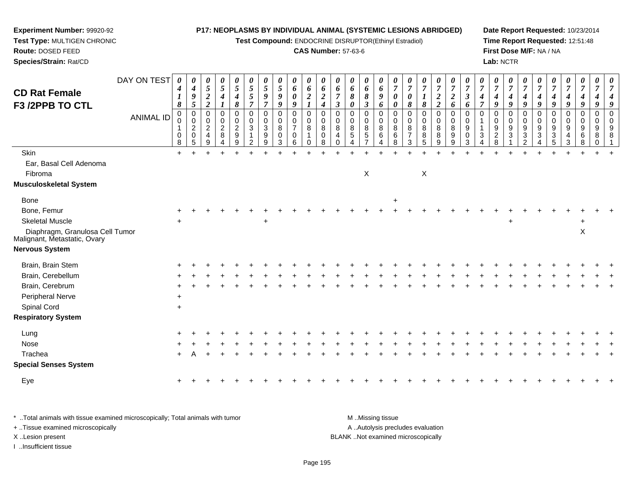**Test Compound:** ENDOCRINE DISRUPTOR(Ethinyl Estradiol)

### **CAS Number:** 57-63-6

**Date Report Requested:** 10/23/2014**Time Report Requested:** 12:51:48**First Dose M/F:** NA / NA**Lab:** NCTR

| <b>CD Rat Female</b><br>F3 /2PPB TO CTL                         | DAY ON TEST      | 0<br>4<br>1<br>$\boldsymbol{\delta}$ | 0<br>$\boldsymbol{4}$<br>$\boldsymbol{9}$<br>5         | 0<br>$5\overline{)}$<br>$\boldsymbol{2}$<br>$\overline{2}$ | 0<br>$\mathfrak{s}$<br>$\boldsymbol{4}$<br>$\mathbf{I}$ | $\boldsymbol{\theta}$<br>$\overline{5}$<br>$\boldsymbol{4}$<br>8 | 0<br>$\sqrt{5}$<br>$\sqrt{5}$<br>$\overline{7}$    | $\boldsymbol{\theta}$<br>$\sqrt{5}$<br>$\boldsymbol{9}$<br>$\overline{7}$ | $\boldsymbol{\theta}$<br>$\overline{5}$<br>$\boldsymbol{9}$<br>9 | $\boldsymbol{\theta}$<br>6<br>$\pmb{\theta}$<br>9      | 0<br>6<br>$\boldsymbol{2}$             | $\boldsymbol{\theta}$<br>6<br>$\boldsymbol{2}$<br>$\boldsymbol{4}$ | $\boldsymbol{\theta}$<br>6<br>$\overline{7}$<br>$\mathfrak{z}$ | 0<br>6<br>$\pmb{8}$<br>$\boldsymbol{\theta}$             | 0<br>6<br>$\pmb{8}$<br>$\mathfrak{z}$                       | $\boldsymbol{\theta}$<br>6<br>$\boldsymbol{g}$<br>6 | $\boldsymbol{\theta}$<br>$\overline{7}$<br>$\boldsymbol{\theta}$<br>0 | $\boldsymbol{\theta}$<br>$\overline{7}$<br>0<br>8 | $\boldsymbol{\theta}$<br>$\overline{7}$<br>$\boldsymbol{I}$<br>8 | $\boldsymbol{\theta}$<br>$\overline{7}$<br>$\boldsymbol{2}$<br>$\overline{2}$ | $\boldsymbol{\theta}$<br>$\overline{7}$<br>$\overline{2}$<br>6 | $\boldsymbol{\theta}$<br>$\overline{7}$<br>$\mathfrak{z}$<br>6 | 0<br>$\overline{7}$<br>4<br>$\overline{7}$ | 0<br>$\boldsymbol{7}$<br>$\boldsymbol{4}$<br>9    | $\boldsymbol{\theta}$<br>$\overline{7}$<br>$\boldsymbol{4}$<br>9 | 0<br>$\overline{7}$<br>4<br>9                          | $\boldsymbol{\theta}$<br>$\overline{7}$<br>$\boldsymbol{4}$<br>9 | $\boldsymbol{\theta}$<br>$\overline{7}$<br>4<br>9            | U<br>$\overline{7}$<br>$\boldsymbol{4}$<br>9             | 0<br>$\overline{7}$<br>4<br>9                | 0<br>$\overline{7}$<br>$\boldsymbol{4}$<br>9 | 0<br>$\overline{7}$<br>4<br>g  |
|-----------------------------------------------------------------|------------------|--------------------------------------|--------------------------------------------------------|------------------------------------------------------------|---------------------------------------------------------|------------------------------------------------------------------|----------------------------------------------------|---------------------------------------------------------------------------|------------------------------------------------------------------|--------------------------------------------------------|----------------------------------------|--------------------------------------------------------------------|----------------------------------------------------------------|----------------------------------------------------------|-------------------------------------------------------------|-----------------------------------------------------|-----------------------------------------------------------------------|---------------------------------------------------|------------------------------------------------------------------|-------------------------------------------------------------------------------|----------------------------------------------------------------|----------------------------------------------------------------|--------------------------------------------|---------------------------------------------------|------------------------------------------------------------------|--------------------------------------------------------|------------------------------------------------------------------|--------------------------------------------------------------|----------------------------------------------------------|----------------------------------------------|----------------------------------------------|--------------------------------|
|                                                                 | <b>ANIMAL ID</b> | 0<br>0<br>0<br>8                     | $\mathbf 0$<br>0<br>$\overline{2}$<br>$\mathbf 0$<br>5 | $\Omega$<br>0<br>$\boldsymbol{2}$<br>$\overline{4}$<br>9   | $\mathbf 0$<br>0<br>$\overline{2}$<br>$\,8\,$           | $\mathbf 0$<br>0<br>$\boldsymbol{2}$<br>$\boldsymbol{9}$<br>9    | $\mathbf 0$<br>0<br>$\sqrt{3}$<br>$\mathbf 1$<br>2 | $\mathbf 0$<br>$\mathbf 0$<br>$\mathbf{3}$<br>9<br>9                      | 0<br>0<br>$\,8\,$<br>$\mathbf 0$<br>3                            | $\mathbf 0$<br>0<br>$\overline{7}$<br>$\mathbf 0$<br>6 | $\mathbf 0$<br>0<br>8<br>1<br>$\Omega$ | 0<br>0<br>8<br>$\pmb{0}$<br>8                                      | $\Omega$<br>$\mathbf 0$<br>$\,8\,$<br>4<br>$\Omega$            | $\mathbf 0$<br>$\mathbf 0$<br>$\,8\,$<br>$\sqrt{5}$<br>4 | $\mathbf 0$<br>0<br>$\,8\,$<br>$\sqrt{5}$<br>$\overline{7}$ | $\Omega$<br>0<br>8<br>$\,6$<br>4                    | $\mathbf 0$<br>0<br>8<br>6<br>8                                       | $\mathbf 0$<br>0<br>8<br>$\overline{7}$<br>3      | 0<br>0<br>8<br>$\bf 8$<br>$\sqrt{5}$                             | $\mathbf 0$<br>$\boldsymbol{0}$<br>$\,8\,$<br>$\bf8$<br>9                     | 0<br>0<br>$\,8\,$<br>$\boldsymbol{9}$<br>9                     | $\Omega$<br>$\mathbf 0$<br>$9\,$<br>$\mathbf 0$<br>3           | $\Omega$<br>3<br>4                         | 0<br>0<br>$\boldsymbol{9}$<br>$\overline{c}$<br>8 | $\Omega$<br>0<br>$\boldsymbol{9}$<br>$\mathbf{3}$                | $\Omega$<br>0<br>$\boldsymbol{9}$<br>$\mathbf{3}$<br>2 | $\Omega$<br>0<br>$9\,$<br>3<br>$\boldsymbol{\Lambda}$            | 0<br>0<br>$\boldsymbol{9}$<br>$\ensuremath{\mathsf{3}}$<br>5 | $\Omega$<br>0<br>$\boldsymbol{9}$<br>$\overline{4}$<br>3 | $\Omega$<br>$\mathbf 0$<br>9<br>$\,6\,$<br>8 | $\Omega$<br>0<br>9<br>8<br>0                 | $\Omega$<br>$\Omega$<br>9<br>8 |
| Skin                                                            |                  | $+$                                  |                                                        |                                                            |                                                         |                                                                  |                                                    |                                                                           |                                                                  |                                                        |                                        |                                                                    |                                                                |                                                          |                                                             |                                                     |                                                                       |                                                   |                                                                  |                                                                               |                                                                |                                                                |                                            |                                                   |                                                                  |                                                        |                                                                  |                                                              |                                                          |                                              |                                              |                                |
| Ear, Basal Cell Adenoma                                         |                  |                                      |                                                        |                                                            |                                                         |                                                                  |                                                    |                                                                           |                                                                  |                                                        |                                        |                                                                    |                                                                |                                                          |                                                             |                                                     |                                                                       |                                                   |                                                                  |                                                                               |                                                                |                                                                |                                            |                                                   |                                                                  |                                                        |                                                                  |                                                              |                                                          |                                              |                                              |                                |
| Fibroma                                                         |                  |                                      |                                                        |                                                            |                                                         |                                                                  |                                                    |                                                                           |                                                                  |                                                        |                                        |                                                                    |                                                                |                                                          | X                                                           |                                                     |                                                                       |                                                   | X                                                                |                                                                               |                                                                |                                                                |                                            |                                                   |                                                                  |                                                        |                                                                  |                                                              |                                                          |                                              |                                              |                                |
| <b>Musculoskeletal System</b>                                   |                  |                                      |                                                        |                                                            |                                                         |                                                                  |                                                    |                                                                           |                                                                  |                                                        |                                        |                                                                    |                                                                |                                                          |                                                             |                                                     |                                                                       |                                                   |                                                                  |                                                                               |                                                                |                                                                |                                            |                                                   |                                                                  |                                                        |                                                                  |                                                              |                                                          |                                              |                                              |                                |
| Bone                                                            |                  |                                      |                                                        |                                                            |                                                         |                                                                  |                                                    |                                                                           |                                                                  |                                                        |                                        |                                                                    |                                                                |                                                          |                                                             |                                                     | $\ddot{}$                                                             |                                                   |                                                                  |                                                                               |                                                                |                                                                |                                            |                                                   |                                                                  |                                                        |                                                                  |                                                              |                                                          |                                              |                                              |                                |
| Bone, Femur                                                     |                  |                                      |                                                        |                                                            |                                                         |                                                                  |                                                    |                                                                           |                                                                  |                                                        |                                        |                                                                    |                                                                |                                                          |                                                             |                                                     |                                                                       |                                                   |                                                                  |                                                                               |                                                                |                                                                |                                            |                                                   |                                                                  |                                                        |                                                                  |                                                              |                                                          |                                              |                                              |                                |
| <b>Skeletal Muscle</b>                                          |                  | $\ddot{}$                            |                                                        |                                                            |                                                         |                                                                  |                                                    |                                                                           |                                                                  |                                                        |                                        |                                                                    |                                                                |                                                          |                                                             |                                                     |                                                                       |                                                   |                                                                  |                                                                               |                                                                |                                                                |                                            |                                                   | $\pm$                                                            |                                                        |                                                                  |                                                              |                                                          | ÷                                            |                                              |                                |
| Diaphragm, Granulosa Cell Tumor<br>Malignant, Metastatic, Ovary |                  |                                      |                                                        |                                                            |                                                         |                                                                  |                                                    |                                                                           |                                                                  |                                                        |                                        |                                                                    |                                                                |                                                          |                                                             |                                                     |                                                                       |                                                   |                                                                  |                                                                               |                                                                |                                                                |                                            |                                                   |                                                                  |                                                        |                                                                  |                                                              |                                                          | $\mathsf X$                                  |                                              |                                |
| <b>Nervous System</b>                                           |                  |                                      |                                                        |                                                            |                                                         |                                                                  |                                                    |                                                                           |                                                                  |                                                        |                                        |                                                                    |                                                                |                                                          |                                                             |                                                     |                                                                       |                                                   |                                                                  |                                                                               |                                                                |                                                                |                                            |                                                   |                                                                  |                                                        |                                                                  |                                                              |                                                          |                                              |                                              |                                |
| Brain, Brain Stem                                               |                  |                                      |                                                        |                                                            |                                                         |                                                                  |                                                    |                                                                           |                                                                  |                                                        |                                        |                                                                    |                                                                |                                                          |                                                             |                                                     |                                                                       |                                                   |                                                                  |                                                                               |                                                                |                                                                |                                            |                                                   |                                                                  |                                                        |                                                                  |                                                              |                                                          |                                              |                                              |                                |
| Brain, Cerebellum                                               |                  |                                      |                                                        |                                                            |                                                         |                                                                  |                                                    |                                                                           |                                                                  |                                                        |                                        |                                                                    |                                                                |                                                          |                                                             |                                                     |                                                                       |                                                   |                                                                  |                                                                               |                                                                |                                                                |                                            |                                                   |                                                                  |                                                        |                                                                  |                                                              |                                                          |                                              |                                              |                                |
| Brain, Cerebrum                                                 |                  |                                      |                                                        |                                                            |                                                         |                                                                  |                                                    |                                                                           |                                                                  |                                                        |                                        |                                                                    |                                                                |                                                          |                                                             |                                                     |                                                                       |                                                   |                                                                  |                                                                               |                                                                |                                                                |                                            |                                                   |                                                                  |                                                        |                                                                  |                                                              |                                                          |                                              |                                              |                                |
| Peripheral Nerve                                                |                  | $\ddot{}$                            |                                                        |                                                            |                                                         |                                                                  |                                                    |                                                                           |                                                                  |                                                        |                                        |                                                                    |                                                                |                                                          |                                                             |                                                     |                                                                       |                                                   |                                                                  |                                                                               |                                                                |                                                                |                                            |                                                   |                                                                  |                                                        |                                                                  |                                                              |                                                          |                                              |                                              |                                |
| Spinal Cord                                                     |                  | $\ddot{}$                            |                                                        |                                                            |                                                         |                                                                  |                                                    |                                                                           |                                                                  |                                                        |                                        |                                                                    |                                                                |                                                          |                                                             |                                                     |                                                                       |                                                   |                                                                  |                                                                               |                                                                |                                                                |                                            |                                                   |                                                                  |                                                        |                                                                  |                                                              |                                                          |                                              |                                              |                                |
| <b>Respiratory System</b>                                       |                  |                                      |                                                        |                                                            |                                                         |                                                                  |                                                    |                                                                           |                                                                  |                                                        |                                        |                                                                    |                                                                |                                                          |                                                             |                                                     |                                                                       |                                                   |                                                                  |                                                                               |                                                                |                                                                |                                            |                                                   |                                                                  |                                                        |                                                                  |                                                              |                                                          |                                              |                                              |                                |
| Lung                                                            |                  |                                      |                                                        |                                                            |                                                         |                                                                  |                                                    |                                                                           |                                                                  |                                                        |                                        |                                                                    |                                                                |                                                          |                                                             |                                                     |                                                                       |                                                   |                                                                  |                                                                               |                                                                |                                                                |                                            |                                                   |                                                                  |                                                        |                                                                  |                                                              |                                                          |                                              |                                              |                                |
| Nose                                                            |                  |                                      |                                                        |                                                            |                                                         |                                                                  |                                                    |                                                                           |                                                                  |                                                        |                                        |                                                                    |                                                                |                                                          |                                                             |                                                     |                                                                       |                                                   |                                                                  |                                                                               |                                                                |                                                                |                                            |                                                   |                                                                  |                                                        |                                                                  |                                                              |                                                          |                                              |                                              |                                |
| Trachea                                                         |                  |                                      |                                                        |                                                            |                                                         |                                                                  |                                                    |                                                                           |                                                                  |                                                        |                                        |                                                                    |                                                                |                                                          |                                                             |                                                     |                                                                       |                                                   |                                                                  |                                                                               |                                                                |                                                                |                                            |                                                   |                                                                  |                                                        |                                                                  |                                                              |                                                          |                                              |                                              |                                |
| <b>Special Senses System</b>                                    |                  |                                      |                                                        |                                                            |                                                         |                                                                  |                                                    |                                                                           |                                                                  |                                                        |                                        |                                                                    |                                                                |                                                          |                                                             |                                                     |                                                                       |                                                   |                                                                  |                                                                               |                                                                |                                                                |                                            |                                                   |                                                                  |                                                        |                                                                  |                                                              |                                                          |                                              |                                              |                                |
| Eye                                                             |                  |                                      |                                                        |                                                            |                                                         |                                                                  |                                                    |                                                                           |                                                                  |                                                        |                                        |                                                                    |                                                                |                                                          |                                                             |                                                     |                                                                       |                                                   |                                                                  |                                                                               |                                                                |                                                                |                                            |                                                   |                                                                  |                                                        |                                                                  |                                                              |                                                          |                                              |                                              |                                |
|                                                                 |                  |                                      |                                                        |                                                            |                                                         |                                                                  |                                                    |                                                                           |                                                                  |                                                        |                                        |                                                                    |                                                                |                                                          |                                                             |                                                     |                                                                       |                                                   |                                                                  |                                                                               |                                                                |                                                                |                                            |                                                   |                                                                  |                                                        |                                                                  |                                                              |                                                          |                                              |                                              |                                |

\* ..Total animals with tissue examined microscopically; Total animals with tumor **M** . Missing tissue M ..Missing tissue A ..Autolysis precludes evaluation + ..Tissue examined microscopically X ..Lesion present BLANK ..Not examined microscopicallyI ..Insufficient tissue

**Experiment Number:** 99920-92**Test Type:** MULTIGEN CHRONIC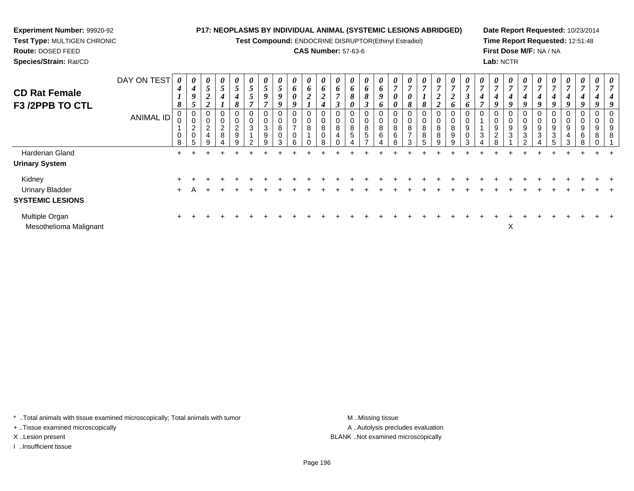**Test Compound:** ENDOCRINE DISRUPTOR(Ethinyl Estradiol)

# **CAS Number:** 57-63-6

**Date Report Requested:** 10/23/2014**Time Report Requested:** 12:51:48**First Dose M/F:** NA / NA**Lab:** NCTR

| <b>CD Rat Female</b><br>F3 /2PPB TO CTL  | DAY ON TEST      | 4<br>1<br>8 | $\boldsymbol{\theta}$<br>4<br>9            | $\boldsymbol{\theta}$<br>$\overline{5}$<br>າ<br>◢<br>◠<br>◢ | $\boldsymbol{\theta}$<br>$\overline{5}$<br>4 | $\boldsymbol{\theta}$<br>$\epsilon$<br>$\mathcal{L}$<br>4<br>$\sigma$ | $\boldsymbol{\mathit{U}}$<br>$\mathfrak{s}$<br>$\mathfrak{s}$ | $\boldsymbol{\theta}$<br>5<br>9<br>$\mathbf{r}$ | $\boldsymbol{\theta}$<br>$5\overline{)}$<br>9<br>9 | $\boldsymbol{\theta}$<br>6<br>$\boldsymbol{\theta}$<br>9 | 0<br>6<br>$\boldsymbol{2}$ | U<br>6<br>$\overline{2}$                | $\boldsymbol{\theta}$<br>6<br>$\overline{ }$ | $\boldsymbol{\theta}$<br>6<br>8 | $\boldsymbol{\theta}$<br>6<br>$\mathbf o$ | U<br>$\bm{o}$<br>9<br>$\bm{o}$ | $\boldsymbol{\theta}$<br>$\overline{ }$<br>$\boldsymbol{\theta}$<br>0 | $\boldsymbol{\theta}$<br>$\overline{7}$<br>$\boldsymbol{\theta}$<br>8 | $\boldsymbol{\theta}$<br>$\overline{7}$<br>8 | $\boldsymbol{\theta}$<br>$\overline{ }$<br>$\boldsymbol{2}$<br>$\overline{2}$ | U<br>$\overline{ }$<br>$\boldsymbol{2}$<br>6 | $\boldsymbol{\theta}$<br>3<br>o | $\boldsymbol{\theta}$<br>$\overline{7}$<br>4 | $\boldsymbol{\theta}$<br>$\overline{7}$<br>4<br>9         | $\boldsymbol{\theta}$<br>$\overline{ }$<br>4 | U<br>4 | $\boldsymbol{\theta}$<br>$\overline{ }$<br>4<br>Q | $\boldsymbol{\theta}$<br>$\overline{7}$<br>4<br>9 | $\boldsymbol{\theta}$<br>$\overline{7}$<br>4<br>9         | $\boldsymbol{\theta}$<br>$\overline{ }$<br>4<br>9 | 0<br>$\overline{7}$<br>4 | $\boldsymbol{\theta}$<br>$\overline{ }$<br>4<br>Q |
|------------------------------------------|------------------|-------------|--------------------------------------------|-------------------------------------------------------------|----------------------------------------------|-----------------------------------------------------------------------|---------------------------------------------------------------|-------------------------------------------------|----------------------------------------------------|----------------------------------------------------------|----------------------------|-----------------------------------------|----------------------------------------------|---------------------------------|-------------------------------------------|--------------------------------|-----------------------------------------------------------------------|-----------------------------------------------------------------------|----------------------------------------------|-------------------------------------------------------------------------------|----------------------------------------------|---------------------------------|----------------------------------------------|-----------------------------------------------------------|----------------------------------------------|--------|---------------------------------------------------|---------------------------------------------------|-----------------------------------------------------------|---------------------------------------------------|--------------------------|---------------------------------------------------|
|                                          | <b>ANIMAL ID</b> | 0<br>8      | 0<br>0<br>$\overline{c}$<br>$\pmb{0}$<br>5 | 0<br>0<br>$\overline{c}$<br>4<br>9                          | 0<br>0<br>$\boldsymbol{2}$<br>$\,8\,$        | 0<br>$\pmb{0}$<br>$\overline{2}$<br>9<br>g                            | 0<br>3                                                        | 0<br>0<br>3<br>9                                | 0<br>0<br>8<br>$\mathbf 0$<br>3                    | 0<br>$\pmb{0}$<br>$\overline{ }$<br>$\pmb{0}$<br>6       | 0<br>0<br>8                | 0<br>$\mathbf 0$<br>8<br>$\pmb{0}$<br>8 | 0<br>8<br>4                                  | 0<br>0<br>8<br>5                | 0<br>0<br>$\bf8$<br>$\sqrt{5}$            | 0<br>0<br>8<br>6               | 0<br>0<br>8<br>$\,6$                                                  | 0<br>0<br>8<br>$\overline{ }$<br>3                                    | 0<br>8<br>8                                  | 0<br>0<br>8<br>8<br>a                                                         | 0<br>0<br>8<br>9<br>9                        | 0<br>$\pmb{0}$<br>9<br>0        | 0<br>$\mathbf{3}$                            | 0<br>$\pmb{0}$<br>$\boldsymbol{9}$<br>$\overline{c}$<br>8 | 0<br>9<br>3                                  | 9<br>3 | 0<br>0<br>9<br>3                                  | 0<br>0<br>9<br>3<br>5                             | 0<br>$\pmb{0}$<br>$\boldsymbol{9}$<br>$\overline{4}$<br>3 | 0<br>$\pmb{0}$<br>9<br>$\,6$<br>8                 | 9<br>8                   | 9<br>8                                            |
| Harderian Gland                          |                  | $\pm$       |                                            |                                                             |                                              |                                                                       |                                                               |                                                 |                                                    |                                                          |                            |                                         |                                              |                                 |                                           |                                |                                                                       |                                                                       |                                              |                                                                               |                                              |                                 |                                              |                                                           |                                              |        |                                                   |                                                   |                                                           |                                                   |                          |                                                   |
| <b>Urinary System</b>                    |                  |             |                                            |                                                             |                                              |                                                                       |                                                               |                                                 |                                                    |                                                          |                            |                                         |                                              |                                 |                                           |                                |                                                                       |                                                                       |                                              |                                                                               |                                              |                                 |                                              |                                                           |                                              |        |                                                   |                                                   |                                                           |                                                   |                          |                                                   |
| Kidney                                   |                  |             |                                            |                                                             |                                              |                                                                       |                                                               |                                                 |                                                    |                                                          |                            |                                         |                                              |                                 |                                           |                                |                                                                       |                                                                       |                                              |                                                                               |                                              |                                 |                                              |                                                           |                                              |        |                                                   |                                                   |                                                           |                                                   |                          |                                                   |
| <b>Urinary Bladder</b>                   |                  | $+$         | А                                          |                                                             |                                              |                                                                       |                                                               |                                                 |                                                    |                                                          |                            |                                         |                                              |                                 |                                           |                                |                                                                       |                                                                       |                                              |                                                                               |                                              |                                 |                                              |                                                           |                                              |        |                                                   |                                                   |                                                           |                                                   |                          |                                                   |
| <b>SYSTEMIC LESIONS</b>                  |                  |             |                                            |                                                             |                                              |                                                                       |                                                               |                                                 |                                                    |                                                          |                            |                                         |                                              |                                 |                                           |                                |                                                                       |                                                                       |                                              |                                                                               |                                              |                                 |                                              |                                                           |                                              |        |                                                   |                                                   |                                                           |                                                   |                          |                                                   |
| Multiple Organ<br>Mesothelioma Malignant |                  | $\pm$       |                                            |                                                             |                                              |                                                                       |                                                               |                                                 |                                                    |                                                          |                            |                                         |                                              |                                 |                                           |                                |                                                                       |                                                                       |                                              |                                                                               |                                              |                                 |                                              |                                                           | X                                            |        |                                                   |                                                   |                                                           |                                                   |                          |                                                   |

\* ..Total animals with tissue examined microscopically; Total animals with tumor **M** . Missing tissue M ..Missing tissue

+ ..Tissue examined microscopically

**Experiment Number:** 99920-92**Test Type:** MULTIGEN CHRONIC

**Route:** DOSED FEED**Species/Strain:** Rat/CD

I ..Insufficient tissue

A ..Autolysis precludes evaluation X ..Lesion present BLANK ..Not examined microscopically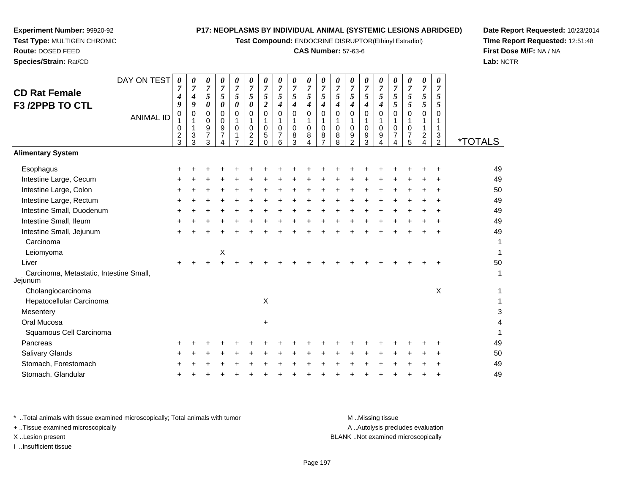**Test Compound:** ENDOCRINE DISRUPTOR(Ethinyl Estradiol)

# **CAS Number:** 57-63-6

**Date Report Requested:** 10/23/2014**Time Report Requested:** 12:51:48**First Dose M/F:** NA / NA**Lab:** NCTR

|                                                    | DAY ON TEST      | 0                | 0                     | 0                            | 0                   | 0                | 0                         | $\pmb{\theta}$                 | 0                           | 0                              | 0                                  | 0                                  | 0              | 0                   | 0              | 0                         | 0                 | 0                | 0                                | 0                           |                       |
|----------------------------------------------------|------------------|------------------|-----------------------|------------------------------|---------------------|------------------|---------------------------|--------------------------------|-----------------------------|--------------------------------|------------------------------------|------------------------------------|----------------|---------------------|----------------|---------------------------|-------------------|------------------|----------------------------------|-----------------------------|-----------------------|
| <b>CD Rat Female</b>                               |                  | $\overline{7}$   | $\overline{7}$        | $\overline{7}$               | $\boldsymbol{7}$    | $\boldsymbol{7}$ | $\boldsymbol{7}$          | $\overline{7}$                 | $\overline{7}$              | $\overline{7}$                 | $\overline{7}$                     | $\boldsymbol{7}$                   | $\overline{7}$ | $\boldsymbol{7}$    | $\overline{7}$ | $\overline{7}$            | $\overline{7}$    | $\boldsymbol{7}$ | $\overline{7}$                   | $\overline{7}$              |                       |
| F3 /2PPB TO CTL                                    |                  | 4<br>9           | $\boldsymbol{4}$<br>9 | $\sqrt{5}$<br>$\pmb{\theta}$ | 5<br>$\pmb{\theta}$ | $\sqrt{5}$<br>0  | 5<br>$\pmb{\theta}$       | $\sqrt{5}$<br>$\boldsymbol{2}$ | $\sqrt{5}$<br>4             | $\sqrt{5}$<br>$\boldsymbol{4}$ | $\mathfrak{s}$<br>$\boldsymbol{4}$ | $\mathfrak{s}$<br>$\boldsymbol{4}$ | 5<br>4         | $\overline{5}$<br>4 | 5<br>4         | 5<br>$\boldsymbol{4}$     | 5<br>5            | 5<br>5           | $\mathfrak{H}$<br>$\mathfrak{s}$ | 5<br>5                      |                       |
|                                                    | <b>ANIMAL ID</b> | 0                | $\pmb{0}$             | $\,0\,$                      | 0                   | $\mathbf 0$      | $\pmb{0}$                 | $\mathbf 0$                    | $\mathbf 0$                 | 0                              | $\pmb{0}$                          | $\mathsf{O}\xspace$                | $\mathbf 0$    | $\pmb{0}$           | 0              | 0                         | 0                 | $\mathbf 0$      | $\mathbf 0$                      | 0                           |                       |
|                                                    |                  | 1<br>$\mathbf 0$ | 1<br>$\mathbf{1}$     | 0<br>$\boldsymbol{9}$        | 0<br>9              | 1<br>$\mathbf 0$ | $\mathbf{1}$<br>$\pmb{0}$ | $\mathbf{1}$<br>$\mathbf 0$    | $\mathbf{1}$<br>$\mathbf 0$ | 1<br>$\pmb{0}$                 | $\mathbf{1}$<br>$\mathbf 0$        | $\mathbf{1}$<br>$\pmb{0}$          | 1<br>$\pmb{0}$ | 1<br>0              | 1<br>0         | $\mathbf{1}$<br>$\pmb{0}$ | $\mathbf{1}$<br>0 | 1<br>0           | 1                                | $\mathbf 1$<br>$\mathbf{1}$ |                       |
|                                                    |                  | $\frac{2}{3}$    | $\mathsf 3$           | $\overline{7}$               | 7                   | 1                | $\boldsymbol{2}$          | $\mathbf 5$                    | $\overline{7}$              | 8                              | 8                                  | 8                                  | 8              | $\boldsymbol{9}$    | 9              | 9                         | $\overline{7}$    | $\overline{7}$   | $\overline{a}$                   | 3                           |                       |
|                                                    |                  |                  | 3                     | 3                            | 4                   | $\overline{7}$   | 2                         | $\Omega$                       | 6                           | 3                              | 4                                  | $\overline{7}$                     | 8              | $\overline{2}$      | 3              | 4                         | 4                 | 5                | $\overline{4}$                   | $\overline{2}$              | <i><b>*TOTALS</b></i> |
| <b>Alimentary System</b>                           |                  |                  |                       |                              |                     |                  |                           |                                |                             |                                |                                    |                                    |                |                     |                |                           |                   |                  |                                  |                             |                       |
| Esophagus                                          |                  |                  |                       |                              |                     |                  |                           |                                |                             |                                |                                    |                                    |                |                     |                |                           |                   |                  |                                  |                             | 49                    |
| Intestine Large, Cecum                             |                  |                  |                       |                              |                     |                  |                           |                                |                             |                                |                                    |                                    |                |                     |                |                           |                   |                  |                                  |                             | 49                    |
| Intestine Large, Colon                             |                  |                  |                       |                              |                     |                  |                           |                                |                             |                                |                                    |                                    |                |                     |                |                           |                   |                  |                                  |                             | 50                    |
| Intestine Large, Rectum                            |                  |                  |                       |                              |                     |                  |                           |                                |                             |                                |                                    |                                    |                |                     |                |                           |                   |                  |                                  |                             | 49                    |
| Intestine Small, Duodenum                          |                  |                  |                       |                              |                     |                  |                           |                                |                             |                                |                                    |                                    |                |                     |                |                           |                   |                  |                                  |                             | 49                    |
| Intestine Small, Ileum                             |                  |                  |                       |                              |                     |                  |                           |                                |                             |                                |                                    |                                    |                |                     |                |                           |                   |                  |                                  |                             | 49                    |
| Intestine Small, Jejunum                           |                  |                  |                       |                              |                     |                  |                           |                                |                             |                                |                                    |                                    |                |                     |                |                           |                   |                  |                                  |                             | 49                    |
| Carcinoma                                          |                  |                  |                       |                              |                     |                  |                           |                                |                             |                                |                                    |                                    |                |                     |                |                           |                   |                  |                                  |                             | 1                     |
| Leiomyoma                                          |                  |                  |                       |                              | X                   |                  |                           |                                |                             |                                |                                    |                                    |                |                     |                |                           |                   |                  |                                  |                             | 1                     |
| Liver                                              |                  |                  |                       |                              |                     |                  |                           |                                |                             |                                |                                    |                                    |                |                     |                |                           |                   |                  |                                  |                             | 50                    |
| Carcinoma, Metastatic, Intestine Small,<br>Jejunum |                  |                  |                       |                              |                     |                  |                           |                                |                             |                                |                                    |                                    |                |                     |                |                           |                   |                  |                                  |                             | 1                     |
| Cholangiocarcinoma                                 |                  |                  |                       |                              |                     |                  |                           |                                |                             |                                |                                    |                                    |                |                     |                |                           |                   |                  |                                  | X                           | 1                     |
| Hepatocellular Carcinoma                           |                  |                  |                       |                              |                     |                  |                           | Χ                              |                             |                                |                                    |                                    |                |                     |                |                           |                   |                  |                                  |                             | 1                     |
| Mesentery                                          |                  |                  |                       |                              |                     |                  |                           |                                |                             |                                |                                    |                                    |                |                     |                |                           |                   |                  |                                  |                             | 3                     |
| Oral Mucosa                                        |                  |                  |                       |                              |                     |                  |                           | $\ddot{}$                      |                             |                                |                                    |                                    |                |                     |                |                           |                   |                  |                                  |                             | 4                     |
| Squamous Cell Carcinoma                            |                  |                  |                       |                              |                     |                  |                           |                                |                             |                                |                                    |                                    |                |                     |                |                           |                   |                  |                                  |                             |                       |
| Pancreas                                           |                  |                  |                       |                              |                     |                  |                           |                                |                             |                                |                                    |                                    |                |                     |                |                           |                   |                  |                                  |                             | 49                    |
| Salivary Glands                                    |                  |                  |                       |                              |                     |                  |                           |                                |                             |                                |                                    |                                    |                |                     |                |                           |                   |                  |                                  |                             | 50                    |
| Stomach, Forestomach                               |                  |                  |                       |                              |                     |                  |                           |                                |                             |                                |                                    |                                    |                |                     |                |                           |                   |                  |                                  |                             | 49                    |
| Stomach, Glandular                                 |                  |                  |                       |                              |                     |                  |                           |                                |                             |                                |                                    |                                    |                |                     |                |                           |                   |                  |                                  |                             | 49                    |
|                                                    |                  |                  |                       |                              |                     |                  |                           |                                |                             |                                |                                    |                                    |                |                     |                |                           |                   |                  |                                  |                             |                       |

**Experiment Number:** 99920-92**Test Type:** MULTIGEN CHRONIC

**Route:** DOSED FEED**Species/Strain:** Rat/CD

Jejunum

\* ..Total animals with tissue examined microscopically; Total animals with tumor **M** . Missing tissue M ..Missing tissue A ..Autolysis precludes evaluation + ..Tissue examined microscopically X ..Lesion present BLANK ..Not examined microscopicallyI ..Insufficient tissue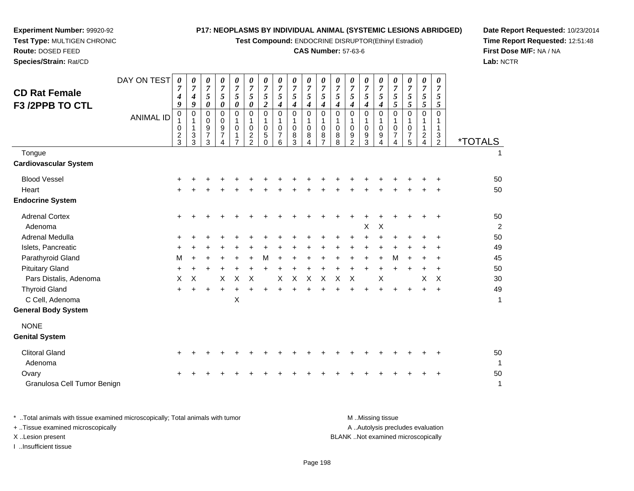**Test Compound:** ENDOCRINE DISRUPTOR(Ethinyl Estradiol)

# **CAS Number:** 57-63-6

**Date Report Requested:** 10/23/2014**Time Report Requested:** 12:51:48**First Dose M/F:** NA / NA**Lab:** NCTR

| <b>ANIMAL ID</b> | 9<br>$\mathbf 0$<br>1<br>0<br>$\overline{c}$<br>3<br>$\ddot{}$ | 9<br>0<br>3<br>3                      | $\boldsymbol{\theta}$<br>0<br>0<br>9<br>$\overline{7}$<br>3 | $\boldsymbol{\theta}$<br>0<br>$\mathbf 0$<br>9<br>$\overline{7}$<br>4 | $\pmb{\theta}$<br>$\mathbf 0$<br>1<br>$\Omega$<br>1<br>7 | $\pmb{\theta}$<br>$\mathbf 0$<br>1<br>$\mathbf 0$<br>$\overline{c}$<br>$\overline{2}$ | $\boldsymbol{2}$<br>$\Omega$<br>1<br>$\Omega$<br>5<br>$\Omega$ | $\boldsymbol{4}$<br>$\mathbf 0$<br>1<br>$\mathbf 0$<br>7<br>6 | $\boldsymbol{4}$<br>$\mathbf 0$<br>$\mathbf{1}$<br>$\mathbf 0$<br>8<br>3 | $\boldsymbol{4}$<br>$\mathbf 0$<br>1<br>$\mathbf 0$<br>8<br>$\overline{\mathbf{4}}$ | 4<br>0<br>0<br>8 | 4<br>$\mathbf 0$<br>1<br>0<br>8<br>8 | 4<br>0<br>1<br>$\mathbf 0$<br>9<br>$\overline{2}$ | $\boldsymbol{4}$<br>$\Omega$<br>1<br>$\mathbf 0$<br>9<br>3 | $\boldsymbol{4}$<br>$\Omega$<br>1<br>$\Omega$<br>9<br>4 | 5<br>$\mathbf 0$<br>$\Omega$<br>$\overline{7}$<br>4 | $\mathfrak{s}$<br>$\pmb{0}$<br>$\mathbf{1}$<br>$\mathbf 0$<br>7<br>5 | 5<br>$\mathbf 0$<br>$\mathbf{1}$<br>1<br>$\overline{\mathbf{c}}$<br>$\overline{4}$ | 5<br>0<br>1<br>$\mathbf{1}$<br>$\frac{3}{2}$ | <i><b>*TOTALS</b></i><br>1                                       |
|------------------|----------------------------------------------------------------|---------------------------------------|-------------------------------------------------------------|-----------------------------------------------------------------------|----------------------------------------------------------|---------------------------------------------------------------------------------------|----------------------------------------------------------------|---------------------------------------------------------------|--------------------------------------------------------------------------|-------------------------------------------------------------------------------------|------------------|--------------------------------------|---------------------------------------------------|------------------------------------------------------------|---------------------------------------------------------|-----------------------------------------------------|----------------------------------------------------------------------|------------------------------------------------------------------------------------|----------------------------------------------|------------------------------------------------------------------|
|                  |                                                                |                                       |                                                             |                                                                       |                                                          |                                                                                       |                                                                |                                                               |                                                                          |                                                                                     |                  |                                      |                                                   |                                                            |                                                         |                                                     |                                                                      |                                                                                    |                                              |                                                                  |
|                  |                                                                |                                       |                                                             |                                                                       |                                                          |                                                                                       |                                                                |                                                               |                                                                          |                                                                                     |                  |                                      |                                                   |                                                            |                                                         |                                                     |                                                                      |                                                                                    |                                              |                                                                  |
|                  |                                                                |                                       |                                                             |                                                                       |                                                          |                                                                                       |                                                                |                                                               |                                                                          |                                                                                     |                  |                                      |                                                   |                                                            |                                                         |                                                     |                                                                      |                                                                                    | $\ddot{}$<br>$\ddot{}$                       | 50<br>50                                                         |
|                  |                                                                | ٠                                     |                                                             |                                                                       |                                                          |                                                                                       |                                                                |                                                               |                                                                          |                                                                                     |                  |                                      |                                                   | х                                                          | X                                                       |                                                     |                                                                      | $\ddot{}$                                                                          | $\ddot{}$                                    | 50<br>2                                                          |
|                  |                                                                |                                       |                                                             |                                                                       |                                                          |                                                                                       |                                                                |                                                               |                                                                          |                                                                                     |                  |                                      |                                                   | +                                                          |                                                         |                                                     |                                                                      |                                                                                    | +                                            | 50                                                               |
|                  |                                                                |                                       |                                                             |                                                                       |                                                          |                                                                                       |                                                                |                                                               |                                                                          |                                                                                     |                  |                                      |                                                   | +                                                          |                                                         |                                                     |                                                                      |                                                                                    |                                              | 49                                                               |
|                  |                                                                |                                       |                                                             |                                                                       |                                                          |                                                                                       |                                                                |                                                               |                                                                          |                                                                                     |                  |                                      |                                                   |                                                            |                                                         |                                                     |                                                                      |                                                                                    |                                              | 45                                                               |
|                  |                                                                |                                       |                                                             |                                                                       |                                                          |                                                                                       |                                                                |                                                               |                                                                          |                                                                                     |                  |                                      |                                                   |                                                            |                                                         |                                                     |                                                                      |                                                                                    |                                              | 50<br>30                                                         |
|                  |                                                                |                                       |                                                             |                                                                       |                                                          |                                                                                       |                                                                |                                                               |                                                                          |                                                                                     |                  |                                      |                                                   |                                                            |                                                         |                                                     |                                                                      |                                                                                    |                                              | 49                                                               |
|                  |                                                                |                                       |                                                             |                                                                       | Χ                                                        |                                                                                       |                                                                |                                                               |                                                                          |                                                                                     |                  |                                      |                                                   |                                                            |                                                         |                                                     |                                                                      |                                                                                    |                                              | 1                                                                |
|                  |                                                                |                                       |                                                             |                                                                       |                                                          |                                                                                       |                                                                |                                                               |                                                                          |                                                                                     |                  |                                      |                                                   |                                                            |                                                         |                                                     |                                                                      |                                                                                    |                                              |                                                                  |
|                  |                                                                |                                       |                                                             |                                                                       |                                                          |                                                                                       |                                                                |                                                               |                                                                          |                                                                                     |                  |                                      |                                                   |                                                            |                                                         |                                                     |                                                                      |                                                                                    |                                              |                                                                  |
|                  |                                                                |                                       |                                                             |                                                                       |                                                          |                                                                                       |                                                                |                                                               |                                                                          |                                                                                     |                  |                                      |                                                   |                                                            |                                                         |                                                     |                                                                      |                                                                                    |                                              | 50<br>1                                                          |
|                  |                                                                |                                       |                                                             |                                                                       |                                                          |                                                                                       |                                                                |                                                               |                                                                          |                                                                                     |                  |                                      |                                                   |                                                            |                                                         |                                                     |                                                                      | +                                                                                  | $\ddot{}$                                    | 50<br>1                                                          |
|                  |                                                                | М<br>$\ddot{}$<br>$\pmb{\times}$<br>+ | X<br>$\pm$                                                  | $\ddot{}$<br>$\ddot{}$                                                | X<br>+                                                   | +<br>$\times$<br>+                                                                    | $\times$                                                       | М<br>+                                                        | ÷<br>$\pmb{\times}$                                                      | +<br>$\mathsf{X}$                                                                   | $\ddot{}$<br>X   | X                                    | X                                                 | X                                                          | +<br>$\ddot{}$<br>$\ddot{}$                             | $\ddot{}$<br>$\pmb{\times}$                         | м<br>+<br>+                                                          | $\ddot{}$<br>$\ddot{}$                                                             | +<br>X<br>$\ddot{}$                          | $\ddot{}$<br>$\ddot{}$<br>$\boldsymbol{\mathsf{X}}$<br>$\ddot{}$ |

**Experiment Number:** 99920-92**Test Type:** MULTIGEN CHRONIC

**Route:** DOSED FEED**Species/Strain:** Rat/CD

\* ..Total animals with tissue examined microscopically; Total animals with tumor **M** . Missing tissue M ..Missing tissue A ..Autolysis precludes evaluation + ..Tissue examined microscopically X ..Lesion present BLANK ..Not examined microscopicallyI ..Insufficient tissue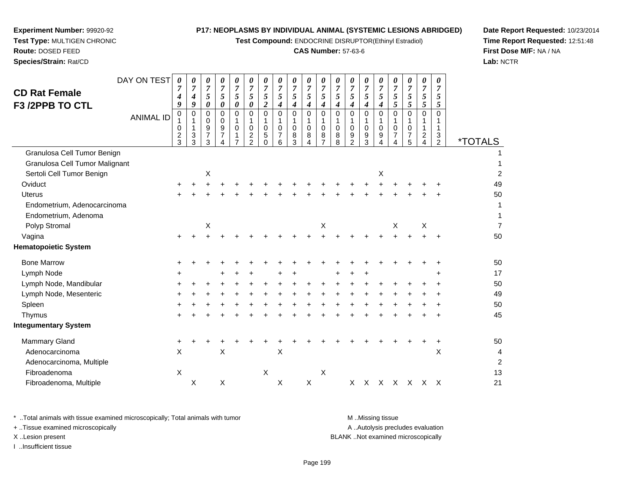**Test Compound:** ENDOCRINE DISRUPTOR(Ethinyl Estradiol)

# **CAS Number:** 57-63-6

**Date Report Requested:** 10/23/2014**Time Report Requested:** 12:51:48**First Dose M/F:** NA / NA**Lab:** NCTR

\* ..Total animals with tissue examined microscopically; Total animals with tumor **M** ...Missing tissue M ...Missing tissue

I ..Insufficient tissue

+ ..Tissue examined microscopically

| A  Autolysis precludes evaluation |
|-----------------------------------|
| LANK Not examined microscopically |
|                                   |

| <b>CD Rat Female</b><br>F3 /2PPB TO CTL | DAY ON TEST      | 0<br>$\overline{7}$<br>$\boldsymbol{4}$<br>9 | 0<br>$\overline{7}$<br>$\boldsymbol{4}$<br>9 | 0<br>$\overline{7}$<br>5<br>0      | 0<br>$\overline{7}$<br>$\sqrt{5}$<br>$\boldsymbol{\theta}$             | 0<br>$\overline{7}$<br>5<br>0                            | 0<br>7<br>5<br>0                                            | 0<br>$\overline{7}$<br>5<br>$\boldsymbol{2}$ | 0<br>7<br>5<br>$\boldsymbol{4}$           | 0<br>$\overline{7}$<br>5<br>$\boldsymbol{4}$ | 0<br>7<br>5<br>4                         | 0<br>$\overline{7}$<br>$\mathfrak{s}$<br>$\boldsymbol{4}$ | 0<br>$\overline{7}$<br>5<br>4        | 0<br>$\overline{7}$<br>$\mathfrak{s}$<br>4        | 0<br>7<br>5<br>4           | 0<br>$\overline{7}$<br>5<br>$\boldsymbol{4}$ | 0<br>$\overline{7}$<br>5<br>5                  | 0<br>5<br>5             | 0<br>$\overline{7}$<br>$\mathfrak{s}$<br>$\mathfrak{s}$ | 0<br>$\overline{7}$<br>5<br>5 |                       |
|-----------------------------------------|------------------|----------------------------------------------|----------------------------------------------|------------------------------------|------------------------------------------------------------------------|----------------------------------------------------------|-------------------------------------------------------------|----------------------------------------------|-------------------------------------------|----------------------------------------------|------------------------------------------|-----------------------------------------------------------|--------------------------------------|---------------------------------------------------|----------------------------|----------------------------------------------|------------------------------------------------|-------------------------|---------------------------------------------------------|-------------------------------|-----------------------|
|                                         | <b>ANIMAL ID</b> | 0<br>0<br>$\overline{c}$<br>3                | 0<br>1<br>$\mathbf{1}$<br>3<br>3             | 0<br>0<br>9<br>$\overline{7}$<br>3 | 0<br>0<br>$\boldsymbol{9}$<br>$\overline{7}$<br>$\boldsymbol{\Lambda}$ | $\Omega$<br>$\mathbf 0$<br>$\mathbf 1$<br>$\overline{7}$ | $\mathbf 0$<br>$\pmb{0}$<br>$\overline{c}$<br>$\mathcal{P}$ | $\mathbf 0$<br>1<br>$\mathbf 0$<br>5<br>0    | $\mathbf 0$<br>1<br>$\mathbf 0$<br>7<br>6 | $\mathbf 0$<br>$\mathbf 0$<br>8<br>3         | 0<br>$\mathbf{1}$<br>$\pmb{0}$<br>8<br>4 | $\pmb{0}$<br>$\mathbf 1$<br>$\mathbf 0$<br>8<br>7         | $\mathbf 0$<br>$\mathbf 0$<br>8<br>8 | $\mathbf 0$<br>$\mathbf 0$<br>9<br>$\mathfrak{p}$ | 0<br>$\mathbf 0$<br>9<br>3 | 0<br>1<br>$\mathbf 0$<br>9<br>4              | $\Omega$<br>$\mathbf 0$<br>$\overline{7}$<br>4 | $\Omega$<br>0<br>7<br>5 | $\mathbf 0$<br>1<br>$\overline{2}$<br>4                 | $\Omega$<br>1<br>3<br>2       | <i><b>*TOTALS</b></i> |
| Granulosa Cell Tumor Benign             |                  |                                              |                                              |                                    |                                                                        |                                                          |                                                             |                                              |                                           |                                              |                                          |                                                           |                                      |                                                   |                            |                                              |                                                |                         |                                                         |                               |                       |
| Granulosa Cell Tumor Malignant          |                  |                                              |                                              |                                    |                                                                        |                                                          |                                                             |                                              |                                           |                                              |                                          |                                                           |                                      |                                                   |                            |                                              |                                                |                         |                                                         |                               |                       |
| Sertoli Cell Tumor Benign               |                  |                                              |                                              | $\boldsymbol{\mathsf{X}}$          |                                                                        |                                                          |                                                             |                                              |                                           |                                              |                                          |                                                           |                                      |                                                   |                            | X                                            |                                                |                         |                                                         |                               | $\overline{c}$        |
| Oviduct                                 |                  | $\ddot{}$                                    |                                              |                                    |                                                                        |                                                          |                                                             |                                              |                                           |                                              |                                          |                                                           |                                      |                                                   |                            |                                              |                                                |                         |                                                         |                               | 49                    |
| <b>Uterus</b>                           |                  |                                              |                                              |                                    |                                                                        |                                                          |                                                             |                                              |                                           |                                              |                                          |                                                           |                                      |                                                   |                            |                                              |                                                |                         |                                                         |                               | 50                    |
| Endometrium, Adenocarcinoma             |                  |                                              |                                              |                                    |                                                                        |                                                          |                                                             |                                              |                                           |                                              |                                          |                                                           |                                      |                                                   |                            |                                              |                                                |                         |                                                         |                               | 1                     |
| Endometrium, Adenoma                    |                  |                                              |                                              |                                    |                                                                        |                                                          |                                                             |                                              |                                           |                                              |                                          |                                                           |                                      |                                                   |                            |                                              |                                                |                         |                                                         |                               |                       |
| Polyp Stromal                           |                  |                                              |                                              | х                                  |                                                                        |                                                          |                                                             |                                              |                                           |                                              |                                          | X                                                         |                                      |                                                   |                            |                                              | X                                              |                         | X                                                       |                               | $\overline{7}$        |
| Vagina                                  |                  |                                              |                                              |                                    |                                                                        |                                                          |                                                             |                                              |                                           |                                              |                                          |                                                           |                                      |                                                   |                            |                                              |                                                |                         |                                                         |                               | 50                    |
| <b>Hematopoietic System</b>             |                  |                                              |                                              |                                    |                                                                        |                                                          |                                                             |                                              |                                           |                                              |                                          |                                                           |                                      |                                                   |                            |                                              |                                                |                         |                                                         |                               |                       |
| <b>Bone Marrow</b>                      |                  |                                              |                                              |                                    |                                                                        |                                                          |                                                             |                                              |                                           |                                              |                                          |                                                           |                                      |                                                   |                            |                                              |                                                |                         |                                                         |                               | 50                    |
| Lymph Node                              |                  |                                              |                                              |                                    |                                                                        |                                                          |                                                             |                                              |                                           |                                              |                                          |                                                           |                                      |                                                   |                            |                                              |                                                |                         |                                                         |                               | 17                    |
| Lymph Node, Mandibular                  |                  |                                              |                                              |                                    |                                                                        |                                                          |                                                             |                                              |                                           |                                              |                                          |                                                           |                                      |                                                   |                            |                                              |                                                |                         |                                                         |                               | 50                    |
| Lymph Node, Mesenteric                  |                  |                                              |                                              |                                    |                                                                        |                                                          |                                                             |                                              |                                           |                                              |                                          |                                                           |                                      |                                                   |                            |                                              |                                                |                         |                                                         |                               | 49                    |
| Spleen                                  |                  |                                              |                                              |                                    |                                                                        |                                                          |                                                             |                                              |                                           |                                              |                                          |                                                           |                                      |                                                   |                            |                                              |                                                |                         |                                                         |                               | 50                    |
| Thymus                                  |                  |                                              |                                              |                                    |                                                                        |                                                          |                                                             |                                              |                                           |                                              |                                          |                                                           |                                      |                                                   |                            |                                              |                                                |                         |                                                         |                               | 45                    |
| <b>Integumentary System</b>             |                  |                                              |                                              |                                    |                                                                        |                                                          |                                                             |                                              |                                           |                                              |                                          |                                                           |                                      |                                                   |                            |                                              |                                                |                         |                                                         |                               |                       |
| Mammary Gland                           |                  | ٠                                            |                                              |                                    |                                                                        |                                                          |                                                             |                                              |                                           |                                              |                                          |                                                           |                                      |                                                   |                            |                                              |                                                |                         |                                                         | $\ddot{}$                     | 50                    |
| Adenocarcinoma                          |                  | X                                            |                                              |                                    | Χ                                                                      |                                                          |                                                             |                                              | X                                         |                                              |                                          |                                                           |                                      |                                                   |                            |                                              |                                                |                         |                                                         | X                             | 4                     |
| Adenocarcinoma, Multiple                |                  |                                              |                                              |                                    |                                                                        |                                                          |                                                             |                                              |                                           |                                              |                                          |                                                           |                                      |                                                   |                            |                                              |                                                |                         |                                                         |                               | $\overline{c}$        |
| Fibroadenoma                            |                  | $\pmb{\times}$                               |                                              |                                    |                                                                        |                                                          |                                                             | $\boldsymbol{\mathsf{X}}$                    |                                           |                                              |                                          | $\times$                                                  |                                      |                                                   |                            |                                              |                                                |                         |                                                         |                               | 13                    |
| Fibroadenoma, Multiple                  |                  |                                              | X                                            |                                    | X                                                                      |                                                          |                                                             |                                              | X                                         |                                              | $\mathsf X$                              |                                                           |                                      | X                                                 |                            |                                              | x x x x x x                                    |                         |                                                         |                               | 21                    |
|                                         |                  |                                              |                                              |                                    |                                                                        |                                                          |                                                             |                                              |                                           |                                              |                                          |                                                           |                                      |                                                   |                            |                                              |                                                |                         |                                                         |                               |                       |

**Experiment Number:** 99920-92 **Test Type:** MULTIGEN CHRONIC**Route:** DOSED FEED**Species/Strain:** Rat/CD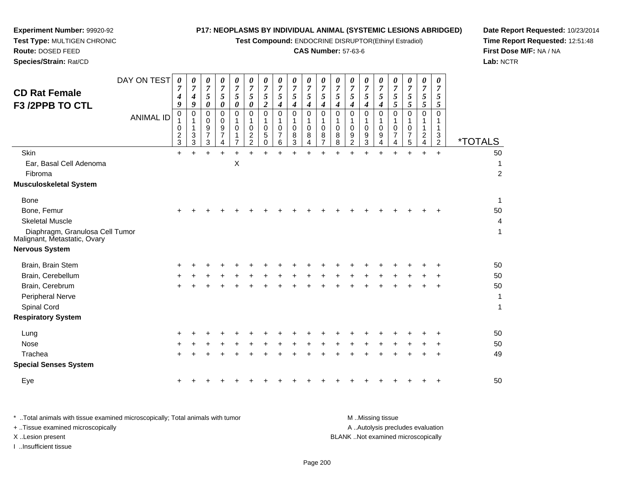**Test Compound:** ENDOCRINE DISRUPTOR(Ethinyl Estradiol)

# **CAS Number:** 57-63-6

**Date Report Requested:** 10/23/2014 **Time Report Requested:** 12:51:48**First Dose M/F:** NA / NA**Lab:** NCTR

|                                                                 | DAY ON TEST      | 0                   | 0                           | 0                       | 0                   | 0<br>$\overline{7}$ | 0                                | 0                   | 0                   | 0                   | 0<br>$\overline{7}$ | 0<br>$\overline{7}$ | 0                   | 0                                  | 0                   | 0<br>$\overline{7}$ | 0                   | 0                                   | 0                                | 0                                 |                       |
|-----------------------------------------------------------------|------------------|---------------------|-----------------------------|-------------------------|---------------------|---------------------|----------------------------------|---------------------|---------------------|---------------------|---------------------|---------------------|---------------------|------------------------------------|---------------------|---------------------|---------------------|-------------------------------------|----------------------------------|-----------------------------------|-----------------------|
| <b>CD Rat Female</b>                                            |                  | $\overline{7}$<br>4 | $\overline{7}$<br>4         | $\overline{7}$<br>5     | $\overline{7}$<br>5 | 5                   | $\overline{7}$<br>$\mathfrak{s}$ | $\overline{7}$<br>5 | $\overline{7}$<br>5 | $\overline{7}$<br>5 | 5                   | 5                   | $\overline{7}$<br>5 | $\boldsymbol{7}$<br>$\mathfrak{s}$ | $\overline{7}$<br>5 | 5                   | $\overline{7}$<br>5 | $\boldsymbol{7}$<br>$5\overline{)}$ | $\overline{7}$<br>$\mathfrak{s}$ | $\overline{7}$<br>$5\overline{)}$ |                       |
| F3 /2PPB TO CTL                                                 |                  | 9                   | 9                           | 0                       | 0                   | 0                   | 0                                | $\overline{2}$      | $\boldsymbol{4}$    | 4                   | $\boldsymbol{4}$    | 4                   | 4                   | 4                                  | 4                   | $\boldsymbol{4}$    | 5                   | $5\overline{)}$                     | 5                                | $5\overline{)}$                   |                       |
|                                                                 | <b>ANIMAL ID</b> | 0                   | $\mathbf 0$<br>$\mathbf{1}$ | $\mathbf 0$<br>$\Omega$ | 0<br>0              | $\Omega$            | 0<br>1                           | $\Omega$<br>1       | $\Omega$<br>1       | $\mathbf 0$<br>1    | $\mathbf 0$         | $\mathbf 0$<br>1    | $\Omega$<br>1       | $\Omega$<br>1                      | $\Omega$<br>1       | $\Omega$            | $\Omega$            | $\Omega$                            | $\mathbf 0$                      | $\Omega$<br>1                     |                       |
|                                                                 |                  | 0                   | $\mathbf{1}$                | 9                       | 9                   | $\mathbf 0$         | $\mathbf 0$                      | 0                   | $\mathbf 0$         | $\mathbf 0$         | 1<br>$\mathbf 0$    | 0                   | $\mathbf 0$         | $\mathbf 0$                        | $\mathbf 0$         | $\mathbf 0$         | $\mathbf 0$         | $\mathbf 0$                         | 1<br>$\mathbf{1}$                | 1                                 |                       |
|                                                                 |                  | $\frac{2}{3}$       | $\mathbf{3}$<br>3           | $\overline{7}$<br>3     | 7                   |                     | $\overline{2}$<br>2              | 5<br>0              | $\overline{7}$<br>6 | 8<br>3              | 8<br>4              | 8<br>$\overline{7}$ | 8<br>8              | 9<br>$\overline{2}$                | 9<br>3              | 9<br>4              | 7<br>4              | $\overline{7}$<br>5                 | $\overline{c}$<br>$\overline{4}$ | 3<br>$\overline{2}$               | <i><b>*TOTALS</b></i> |
| Skin                                                            |                  | $\ddot{}$           |                             |                         | $\ddot{}$           |                     |                                  |                     |                     |                     | $\ddot{}$           | $\ddot{}$           |                     |                                    |                     | $\ddot{}$           | $\ddot{}$           |                                     | $\ddot{}$                        | $\ddot{}$                         | 50                    |
| Ear, Basal Cell Adenoma                                         |                  |                     |                             |                         |                     | X                   |                                  |                     |                     |                     |                     |                     |                     |                                    |                     |                     |                     |                                     |                                  |                                   | 1                     |
| Fibroma                                                         |                  |                     |                             |                         |                     |                     |                                  |                     |                     |                     |                     |                     |                     |                                    |                     |                     |                     |                                     |                                  |                                   | $\overline{c}$        |
| Musculoskeletal System                                          |                  |                     |                             |                         |                     |                     |                                  |                     |                     |                     |                     |                     |                     |                                    |                     |                     |                     |                                     |                                  |                                   |                       |
| <b>Bone</b>                                                     |                  |                     |                             |                         |                     |                     |                                  |                     |                     |                     |                     |                     |                     |                                    |                     |                     |                     |                                     |                                  |                                   | $\mathbf{1}$          |
| Bone, Femur                                                     |                  |                     |                             |                         |                     |                     |                                  |                     |                     |                     |                     |                     |                     |                                    |                     |                     |                     |                                     |                                  |                                   | 50                    |
| <b>Skeletal Muscle</b>                                          |                  |                     |                             |                         |                     |                     |                                  |                     |                     |                     |                     |                     |                     |                                    |                     |                     |                     |                                     |                                  |                                   | $\overline{4}$        |
| Diaphragm, Granulosa Cell Tumor<br>Malignant, Metastatic, Ovary |                  |                     |                             |                         |                     |                     |                                  |                     |                     |                     |                     |                     |                     |                                    |                     |                     |                     |                                     |                                  |                                   | $\mathbf{1}$          |
| Nervous System                                                  |                  |                     |                             |                         |                     |                     |                                  |                     |                     |                     |                     |                     |                     |                                    |                     |                     |                     |                                     |                                  |                                   |                       |
| Brain, Brain Stem                                               |                  |                     |                             |                         |                     |                     |                                  |                     |                     |                     |                     |                     |                     |                                    |                     |                     |                     |                                     |                                  |                                   | 50                    |
| Brain, Cerebellum                                               |                  |                     |                             |                         |                     |                     |                                  |                     |                     |                     |                     |                     |                     |                                    |                     |                     |                     |                                     |                                  |                                   | 50                    |
| Brain, Cerebrum                                                 |                  |                     |                             |                         |                     |                     |                                  |                     |                     |                     |                     |                     |                     |                                    |                     |                     |                     |                                     |                                  |                                   | 50                    |
| Peripheral Nerve                                                |                  |                     |                             |                         |                     |                     |                                  |                     |                     |                     |                     |                     |                     |                                    |                     |                     |                     |                                     |                                  |                                   | 1                     |
| Spinal Cord                                                     |                  |                     |                             |                         |                     |                     |                                  |                     |                     |                     |                     |                     |                     |                                    |                     |                     |                     |                                     |                                  |                                   | 1                     |
| <b>Respiratory System</b>                                       |                  |                     |                             |                         |                     |                     |                                  |                     |                     |                     |                     |                     |                     |                                    |                     |                     |                     |                                     |                                  |                                   |                       |
| Lung                                                            |                  |                     |                             |                         |                     |                     |                                  |                     |                     |                     |                     |                     |                     |                                    |                     |                     |                     |                                     |                                  |                                   | 50                    |
| Nose                                                            |                  |                     |                             |                         |                     |                     |                                  |                     |                     |                     |                     |                     |                     |                                    |                     |                     |                     |                                     |                                  |                                   | 50                    |
| Trachea                                                         |                  |                     |                             |                         |                     |                     |                                  |                     |                     |                     |                     |                     |                     |                                    |                     |                     |                     |                                     |                                  |                                   | 49                    |
| <b>Special Senses System</b>                                    |                  |                     |                             |                         |                     |                     |                                  |                     |                     |                     |                     |                     |                     |                                    |                     |                     |                     |                                     |                                  |                                   |                       |
| Eye                                                             |                  |                     |                             |                         |                     |                     |                                  |                     |                     |                     |                     |                     |                     |                                    |                     |                     |                     |                                     |                                  |                                   | 50                    |
|                                                                 |                  |                     |                             |                         |                     |                     |                                  |                     |                     |                     |                     |                     |                     |                                    |                     |                     |                     |                                     |                                  |                                   |                       |

**Experiment Number:** 99920-92**Test Type:** MULTIGEN CHRONIC

| Total animals with tissue examined microscopically; Total animals with tumor | M Missing tissue                   |
|------------------------------------------------------------------------------|------------------------------------|
| + Tissue examined microscopically                                            | A Autolysis precludes evaluation   |
| X Lesion present                                                             | BLANK Not examined microscopically |
| …Insufficient tissue                                                         |                                    |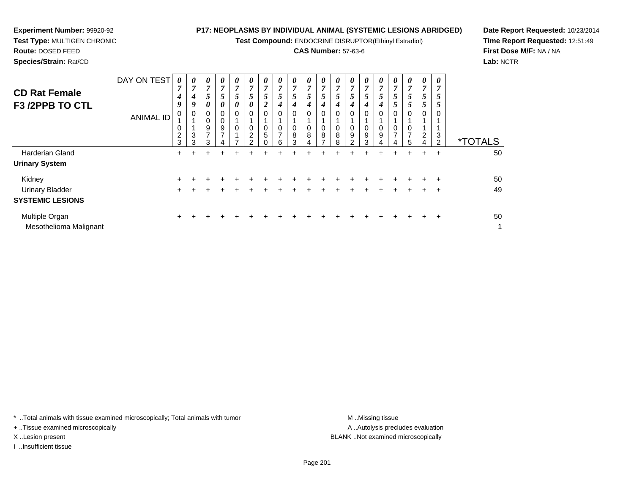**Test Compound:** ENDOCRINE DISRUPTOR(Ethinyl Estradiol)

# **CAS Number:** 57-63-6

**Date Report Requested:** 10/23/2014**Time Report Requested:** 12:51:49**First Dose M/F:** NA / NA**Lab:** NCTR

| Species/Strain: Rat/CD |                  |   |   |   |   |        |   |                       |    |   |   |   |
|------------------------|------------------|---|---|---|---|--------|---|-----------------------|----|---|---|---|
|                        | DAY ON TEST      | 0 |   | U |   | 0      | U | $\boldsymbol{\theta}$ |    |   |   |   |
|                        |                  |   |   |   |   |        |   |                       |    |   |   |   |
| <b>CD Rat Female</b>   |                  |   |   |   |   |        |   | ٠,                    | نم |   |   |   |
| <b>F3 /2PPB TO CTL</b> |                  |   |   |   |   | 0      |   |                       |    |   |   |   |
|                        |                  |   | 0 | 0 |   | 0      |   |                       |    |   |   | 0 |
|                        | <b>ANIMAL ID</b> |   |   | 0 |   |        |   |                       |    |   |   |   |
|                        |                  | 0 |   | 9 | 9 | 0      |   |                       |    |   |   | 0 |
|                        |                  | ⌒ | ົ |   |   | $\sim$ |   | C                     | C  | C | C |   |

| <b>CD Rat Female</b><br><b>F3 /2PPB TO CTL</b> | DAY ON TEST<br><b>ANIMAL ID</b> | 0<br>$\overline{7}$<br>4<br>9<br>0<br>0<br>$\overline{2}$<br>3 | $\theta$<br>7<br>4<br>9<br>3<br>3 | 0<br>7<br>5<br>0<br>0<br>0<br>9<br>3 | 0<br>7<br>5<br>9 | 0<br>7<br>$\overline{ }$<br>Ć<br>0<br>0<br>$\Omega$ | $\boldsymbol{\theta}$<br>7<br>5<br>$\theta$<br>$\Omega$<br>0<br>2<br>ົ | $\boldsymbol{\theta}$<br>7<br>5<br>∍<br>$\Omega$<br>0<br>5 | $\boldsymbol{\theta}$<br>7<br>$\mathcal{P}$<br>0<br>⇁<br>6 | $\boldsymbol{\theta}$<br>7<br>$\mathfrak{p}$<br>0<br>8<br>3 | 0<br>7<br>5<br>4<br>0<br>0<br>8 | 0<br>5<br>4<br>0<br>8 | 0<br>7<br>$\mathfrak{p}$<br>0<br>8<br>8 | $\boldsymbol{\theta}$<br>7<br>$\mathcal{F}$<br>0<br>9<br>$\sim$ | $\boldsymbol{\theta}$<br>7<br>5<br>0<br>0<br>9<br>3 | 0<br>7<br>5<br>4<br>0<br>0<br>9<br>4 | $\boldsymbol{\theta}$<br>7<br>$\mathfrak{p}$<br>0<br>$\rightarrow$ | 0<br>7<br>5 | 0<br>7<br>5<br>2 | 0<br>7<br>Ć<br>3<br>$\mathcal{D}$ | <i><b>*TOTALS</b></i> |
|------------------------------------------------|---------------------------------|----------------------------------------------------------------|-----------------------------------|--------------------------------------|------------------|-----------------------------------------------------|------------------------------------------------------------------------|------------------------------------------------------------|------------------------------------------------------------|-------------------------------------------------------------|---------------------------------|-----------------------|-----------------------------------------|-----------------------------------------------------------------|-----------------------------------------------------|--------------------------------------|--------------------------------------------------------------------|-------------|------------------|-----------------------------------|-----------------------|
| <b>Harderian Gland</b>                         |                                 | $\pm$                                                          |                                   |                                      |                  |                                                     |                                                                        |                                                            |                                                            |                                                             |                                 |                       |                                         |                                                                 |                                                     |                                      |                                                                    | $\pm$       | $\pm$            | $\ddot{}$                         | 50                    |
| <b>Urinary System</b>                          |                                 |                                                                |                                   |                                      |                  |                                                     |                                                                        |                                                            |                                                            |                                                             |                                 |                       |                                         |                                                                 |                                                     |                                      |                                                                    |             |                  |                                   |                       |
| Kidney                                         |                                 |                                                                |                                   |                                      |                  |                                                     |                                                                        |                                                            |                                                            |                                                             |                                 |                       |                                         |                                                                 |                                                     |                                      |                                                                    |             |                  |                                   | 50                    |
| <b>Urinary Bladder</b>                         |                                 | ÷                                                              |                                   |                                      |                  |                                                     |                                                                        |                                                            |                                                            |                                                             |                                 |                       |                                         |                                                                 |                                                     |                                      |                                                                    |             |                  | ÷                                 | 49                    |
| <b>SYSTEMIC LESIONS</b>                        |                                 |                                                                |                                   |                                      |                  |                                                     |                                                                        |                                                            |                                                            |                                                             |                                 |                       |                                         |                                                                 |                                                     |                                      |                                                                    |             |                  |                                   |                       |
| Multiple Organ<br>Mesothelioma Malignant       |                                 | $\ddot{}$                                                      |                                   |                                      |                  |                                                     |                                                                        |                                                            |                                                            |                                                             |                                 |                       |                                         |                                                                 |                                                     |                                      |                                                                    |             |                  | ÷                                 | 50<br>1               |

\* ..Total animals with tissue examined microscopically; Total animals with tumor **M** . Missing tissue M ..Missing tissue

+ ..Tissue examined microscopically

**Experiment Number:** 99920-92**Test Type:** MULTIGEN CHRONIC

**Route:** DOSED FEED

I ..Insufficient tissue

A ..Autolysis precludes evaluation X ..Lesion present BLANK ..Not examined microscopically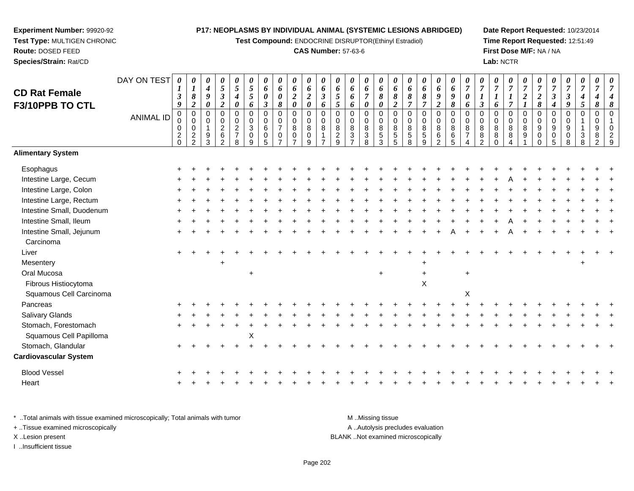**Test Compound:** ENDOCRINE DISRUPTOR(Ethinyl Estradiol)

## **CAS Number:** 57-63-6

**Date Report Requested:** 10/23/2014**Time Report Requested:** 12:51:49**First Dose M/F:** NA / NA**Lab:** NCTR

| <b>CD Rat Female</b>         | DAY ON TEST      | 0<br>1                          | 0                                                | $\boldsymbol{\theta}$<br>$\boldsymbol{4}$           | $\pmb{\theta}$<br>$\mathfrak{s}$                                  | 0<br>5                                                            | 0<br>$\sqrt{5}$                                  | $\pmb{\theta}$<br>6           | $\pmb{\theta}$<br>6                                                 | $\pmb{\theta}$<br>$\pmb{6}$                                 | $\boldsymbol{\theta}$<br>6                        | $\boldsymbol{\theta}$<br>6   | 0<br>6                                       | $\pmb{\theta}$<br>6                        | $\boldsymbol{\theta}$<br>6                               | 0<br>6                                          | $\boldsymbol{\theta}$<br>6                                   | 0<br>6                               | 0<br>6                             | $\boldsymbol{\theta}$<br>$\pmb{6}$                       | $\boldsymbol{\theta}$<br>6             | 0<br>$\overline{7}$                         | $\pmb{\theta}$<br>$\overline{7}$                      | 0<br>$\boldsymbol{7}$                  | $\frac{\boldsymbol{0}}{7}$           | 0<br>$\overline{7}$                  | 0<br>$\overline{7}$                            | 0<br>$\boldsymbol{7}$ | $\pmb{\theta}$<br>$\overline{7}$          | 0<br>$\overline{7}$ | 0<br>$\overline{7}$                          | 0<br>$\overline{7}$            |
|------------------------------|------------------|---------------------------------|--------------------------------------------------|-----------------------------------------------------|-------------------------------------------------------------------|-------------------------------------------------------------------|--------------------------------------------------|-------------------------------|---------------------------------------------------------------------|-------------------------------------------------------------|---------------------------------------------------|------------------------------|----------------------------------------------|--------------------------------------------|----------------------------------------------------------|-------------------------------------------------|--------------------------------------------------------------|--------------------------------------|------------------------------------|----------------------------------------------------------|----------------------------------------|---------------------------------------------|-------------------------------------------------------|----------------------------------------|--------------------------------------|--------------------------------------|------------------------------------------------|-----------------------|-------------------------------------------|---------------------|----------------------------------------------|--------------------------------|
| F3/10PPB TO CTL              |                  | $\boldsymbol{\beta}$<br>9       | $\pmb{8}$<br>$\boldsymbol{2}$                    | $\pmb{9}$<br>$\boldsymbol{\theta}$                  | $\frac{3}{2}$                                                     | 4<br>$\boldsymbol{\theta}$                                        | $\sqrt{5}$<br>6                                  | 0<br>$\mathfrak{z}$           | 0<br>8                                                              | $\sqrt{2}$<br>$\pmb{\theta}$                                | $\overline{2}$<br>$\boldsymbol{\theta}$           | $\boldsymbol{\beta}$<br>6    | 5<br>5                                       | 6<br>6                                     | $\overline{7}$<br>$\boldsymbol{\theta}$                  | $\pmb{8}$<br>0                                  | 8<br>$\boldsymbol{2}$                                        | $\pmb{8}$<br>$\overline{7}$          | $\pmb{8}$<br>$\overline{7}$        | $\boldsymbol{g}$<br>$\boldsymbol{2}$                     | $\boldsymbol{g}$<br>$\pmb{8}$          | 0<br>6                                      | $\boldsymbol{\mathfrak{z}}$                           | $\boldsymbol{l}$<br>6                  | $\overline{7}$                       | $\boldsymbol{2}$                     | $\boldsymbol{2}$<br>$\pmb{8}$                  | $\mathbf{3}$<br>4     | $\boldsymbol{\beta}$<br>9                 | 4<br>5              | 8                                            | $\pmb{8}$                      |
|                              | <b>ANIMAL ID</b> | $\pmb{0}$<br>0<br>0<br>$^2_{0}$ | $\mathsf 0$<br>$\mathbf 0$<br>0<br>$\frac{2}{2}$ | $\mathbf 0$<br>0<br>$\overline{1}$<br>$\frac{9}{3}$ | $\pmb{0}$<br>$\mathbf 0$<br>$\overline{2}$<br>6<br>$\overline{2}$ | $\pmb{0}$<br>$\mathbf 0$<br>$\overline{c}$<br>$\overline{7}$<br>8 | $\pmb{0}$<br>$\mathbf 0$<br>$\sqrt{3}$<br>0<br>9 | $\pmb{0}$<br>0<br>6<br>0<br>5 | $\mathbf 0$<br>$\mathbf 0$<br>$\overline{7}$<br>0<br>$\overline{ }$ | $\boldsymbol{0}$<br>$\mathbf 0$<br>8<br>0<br>$\overline{ }$ | $\pmb{0}$<br>$\mathbf 0$<br>8<br>$\mathbf 0$<br>9 | $\mathbf 0$<br>$\Omega$<br>8 | 0<br>$\mathbf 0$<br>8<br>$\overline{a}$<br>9 | 0<br>$\pmb{0}$<br>$\,8\,$<br>$\frac{3}{7}$ | $\mathbf 0$<br>$\mathbf 0$<br>$\,8\,$<br>$\sqrt{3}$<br>8 | $\mathbf 0$<br>$\Omega$<br>8<br>$\sqrt{5}$<br>3 | $\mathbf 0$<br>$\Omega$<br>8<br>$\sqrt{5}$<br>$\overline{5}$ | $\pmb{0}$<br>$\Omega$<br>8<br>5<br>8 | 0<br>0<br>8<br>5<br>$\overline{9}$ | $\pmb{0}$<br>$\pmb{0}$<br>8<br>$\,6\,$<br>$\overline{2}$ | $\mathbf 0$<br>$\Omega$<br>8<br>6<br>5 | $\Omega$<br>$\Omega$<br>8<br>$\overline{7}$ | $\mathbf 0$<br>$\mathbf 0$<br>8<br>8<br>$\mathcal{P}$ | 0<br>$\mathbf 0$<br>8<br>8<br>$\Omega$ | $\mathsf 0$<br>$\mathbf 0$<br>8<br>8 | $\mathbf 0$<br>$\mathbf 0$<br>8<br>9 | $\pmb{0}$<br>$\mathbf 0$<br>9<br>0<br>$\Omega$ | 0<br>0<br>9<br>0<br>5 | $\mathbf 0$<br>$\mathbf 0$<br>9<br>0<br>8 | $\Omega$<br>3<br>8  | $\mathbf 0$<br>0<br>9<br>8<br>$\mathfrak{p}$ | $\Omega$<br>$\Omega$<br>2<br>9 |
| <b>Alimentary System</b>     |                  |                                 |                                                  |                                                     |                                                                   |                                                                   |                                                  |                               |                                                                     |                                                             |                                                   |                              |                                              |                                            |                                                          |                                                 |                                                              |                                      |                                    |                                                          |                                        |                                             |                                                       |                                        |                                      |                                      |                                                |                       |                                           |                     |                                              |                                |
| Esophagus                    |                  |                                 |                                                  |                                                     |                                                                   |                                                                   |                                                  |                               |                                                                     |                                                             |                                                   |                              |                                              |                                            |                                                          |                                                 |                                                              |                                      |                                    |                                                          |                                        |                                             |                                                       |                                        |                                      |                                      |                                                |                       |                                           |                     |                                              |                                |
| Intestine Large, Cecum       |                  |                                 |                                                  |                                                     |                                                                   |                                                                   |                                                  |                               |                                                                     |                                                             |                                                   |                              |                                              |                                            |                                                          |                                                 |                                                              |                                      |                                    |                                                          |                                        |                                             |                                                       |                                        |                                      |                                      |                                                |                       |                                           |                     |                                              |                                |
| Intestine Large, Colon       |                  |                                 |                                                  |                                                     |                                                                   |                                                                   |                                                  |                               |                                                                     |                                                             |                                                   |                              |                                              |                                            |                                                          |                                                 |                                                              |                                      |                                    |                                                          |                                        |                                             |                                                       |                                        |                                      |                                      |                                                |                       |                                           |                     |                                              |                                |
| Intestine Large, Rectum      |                  |                                 |                                                  |                                                     |                                                                   |                                                                   |                                                  |                               |                                                                     |                                                             |                                                   |                              |                                              |                                            |                                                          |                                                 |                                                              |                                      |                                    |                                                          |                                        |                                             |                                                       |                                        |                                      |                                      |                                                |                       |                                           |                     |                                              |                                |
| Intestine Small, Duodenum    |                  |                                 |                                                  |                                                     |                                                                   |                                                                   |                                                  |                               |                                                                     |                                                             |                                                   |                              |                                              |                                            |                                                          |                                                 |                                                              |                                      |                                    |                                                          |                                        |                                             |                                                       |                                        |                                      |                                      |                                                |                       |                                           |                     |                                              |                                |
| Intestine Small, Ileum       |                  |                                 |                                                  |                                                     |                                                                   |                                                                   |                                                  |                               |                                                                     |                                                             |                                                   |                              |                                              |                                            |                                                          |                                                 |                                                              |                                      |                                    |                                                          |                                        |                                             |                                                       |                                        |                                      |                                      |                                                |                       |                                           |                     |                                              |                                |
| Intestine Small, Jejunum     |                  |                                 |                                                  |                                                     |                                                                   |                                                                   |                                                  |                               |                                                                     |                                                             |                                                   |                              |                                              |                                            |                                                          |                                                 |                                                              |                                      |                                    |                                                          |                                        |                                             |                                                       |                                        |                                      |                                      |                                                |                       |                                           |                     |                                              |                                |
| Carcinoma                    |                  |                                 |                                                  |                                                     |                                                                   |                                                                   |                                                  |                               |                                                                     |                                                             |                                                   |                              |                                              |                                            |                                                          |                                                 |                                                              |                                      |                                    |                                                          |                                        |                                             |                                                       |                                        |                                      |                                      |                                                |                       |                                           |                     |                                              |                                |
| Liver                        |                  |                                 |                                                  |                                                     |                                                                   |                                                                   |                                                  |                               |                                                                     |                                                             |                                                   |                              |                                              |                                            |                                                          |                                                 |                                                              |                                      |                                    |                                                          |                                        |                                             |                                                       |                                        |                                      |                                      |                                                |                       |                                           |                     |                                              |                                |
| Mesentery                    |                  |                                 |                                                  |                                                     |                                                                   |                                                                   |                                                  |                               |                                                                     |                                                             |                                                   |                              |                                              |                                            |                                                          |                                                 |                                                              |                                      |                                    |                                                          |                                        |                                             |                                                       |                                        |                                      |                                      |                                                |                       |                                           |                     |                                              |                                |
| Oral Mucosa                  |                  |                                 |                                                  |                                                     |                                                                   |                                                                   | $\ddot{}$                                        |                               |                                                                     |                                                             |                                                   |                              |                                              |                                            |                                                          | $+$                                             |                                                              |                                      | $\ddot{}$                          |                                                          |                                        | $\ddot{}$                                   |                                                       |                                        |                                      |                                      |                                                |                       |                                           |                     |                                              |                                |
| Fibrous Histiocytoma         |                  |                                 |                                                  |                                                     |                                                                   |                                                                   |                                                  |                               |                                                                     |                                                             |                                                   |                              |                                              |                                            |                                                          |                                                 |                                                              |                                      | X                                  |                                                          |                                        |                                             |                                                       |                                        |                                      |                                      |                                                |                       |                                           |                     |                                              |                                |
| Squamous Cell Carcinoma      |                  |                                 |                                                  |                                                     |                                                                   |                                                                   |                                                  |                               |                                                                     |                                                             |                                                   |                              |                                              |                                            |                                                          |                                                 |                                                              |                                      |                                    |                                                          |                                        | $\mathsf X$                                 |                                                       |                                        |                                      |                                      |                                                |                       |                                           |                     |                                              |                                |
| Pancreas                     |                  |                                 |                                                  |                                                     |                                                                   |                                                                   |                                                  |                               |                                                                     |                                                             |                                                   |                              |                                              |                                            |                                                          |                                                 |                                                              |                                      |                                    |                                                          |                                        |                                             |                                                       |                                        |                                      |                                      |                                                |                       |                                           |                     |                                              |                                |
| Salivary Glands              |                  |                                 |                                                  |                                                     |                                                                   |                                                                   |                                                  |                               |                                                                     |                                                             |                                                   |                              |                                              |                                            |                                                          |                                                 |                                                              |                                      |                                    |                                                          |                                        |                                             |                                                       |                                        |                                      |                                      |                                                |                       |                                           |                     |                                              |                                |
| Stomach, Forestomach         |                  |                                 |                                                  |                                                     |                                                                   |                                                                   |                                                  |                               |                                                                     |                                                             |                                                   |                              |                                              |                                            |                                                          |                                                 |                                                              |                                      |                                    |                                                          |                                        |                                             |                                                       |                                        |                                      |                                      |                                                |                       |                                           |                     |                                              |                                |
| Squamous Cell Papilloma      |                  |                                 |                                                  |                                                     |                                                                   |                                                                   | X                                                |                               |                                                                     |                                                             |                                                   |                              |                                              |                                            |                                                          |                                                 |                                                              |                                      |                                    |                                                          |                                        |                                             |                                                       |                                        |                                      |                                      |                                                |                       |                                           |                     |                                              |                                |
| Stomach, Glandular           |                  |                                 |                                                  |                                                     |                                                                   |                                                                   |                                                  |                               |                                                                     |                                                             |                                                   |                              |                                              |                                            |                                                          |                                                 |                                                              |                                      |                                    |                                                          |                                        |                                             |                                                       |                                        |                                      |                                      |                                                |                       |                                           |                     |                                              |                                |
| <b>Cardiovascular System</b> |                  |                                 |                                                  |                                                     |                                                                   |                                                                   |                                                  |                               |                                                                     |                                                             |                                                   |                              |                                              |                                            |                                                          |                                                 |                                                              |                                      |                                    |                                                          |                                        |                                             |                                                       |                                        |                                      |                                      |                                                |                       |                                           |                     |                                              |                                |
| <b>Blood Vessel</b>          |                  |                                 |                                                  |                                                     |                                                                   |                                                                   |                                                  |                               |                                                                     |                                                             |                                                   |                              |                                              |                                            |                                                          |                                                 |                                                              |                                      |                                    |                                                          |                                        |                                             |                                                       |                                        |                                      |                                      |                                                |                       |                                           |                     |                                              |                                |
| Heart                        |                  |                                 |                                                  |                                                     |                                                                   |                                                                   |                                                  |                               |                                                                     |                                                             |                                                   |                              |                                              |                                            |                                                          |                                                 |                                                              |                                      |                                    |                                                          |                                        |                                             |                                                       |                                        |                                      |                                      |                                                |                       |                                           |                     |                                              |                                |

\* ..Total animals with tissue examined microscopically; Total animals with tumor M..Missing tissue A ..Autolysis precludes evaluation + ..Tissue examined microscopically X ..Lesion present BLANK ..Not examined microscopicallyI ..Insufficient tissue

**Experiment Number:** 99920-92**Test Type:** MULTIGEN CHRONIC

<sup>+</sup>

**Route:** DOSED FEED**Species/Strain:** Rat/CD

<sup>+</sup> <sup>+</sup> <sup>+</sup> <sup>+</sup> <sup>+</sup> <sup>+</sup> <sup>+</sup> <sup>+</sup> <sup>+</sup> <sup>+</sup> <sup>+</sup> <sup>+</sup> <sup>+</sup> <sup>+</sup> <sup>+</sup> <sup>+</sup> <sup>+</sup> <sup>+</sup> <sup>+</sup> <sup>+</sup> <sup>+</sup> <sup>+</sup> <sup>+</sup> <sup>+</sup> <sup>+</sup> <sup>+</sup> <sup>+</sup> <sup>+</sup> <sup>+</sup> <sup>+</sup>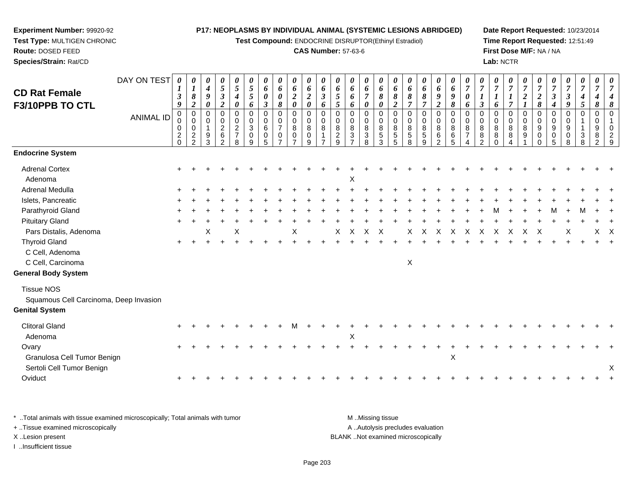**Test Compound:** ENDOCRINE DISRUPTOR(Ethinyl Estradiol)

# **CAS Number:** 57-63-6

**Date Report Requested:** 10/23/2014**Time Report Requested:** 12:51:49**First Dose M/F:** NA / NA**Lab:** NCTR

| <b>CD Rat Female</b><br>F3/10PPB TO CTL | DAY ON TEST<br><b>ANIMAL ID</b> | 0<br>$\boldsymbol{l}$<br>$\boldsymbol{\beta}$<br>9<br>$\mathbf 0$<br>0<br>0<br>$\frac{2}{0}$ | $\boldsymbol{\theta}$<br>$\boldsymbol{l}$<br>$\boldsymbol{\delta}$<br>$\overline{2}$<br>$\Omega$<br>0<br>$\mathbf 0$<br>$\overline{c}$ | $\theta$<br>4<br>9<br>0<br>0<br>$\Omega$<br>9 | 0<br>5<br>$\mathfrak{z}$<br>$\overline{2}$<br>$\Omega$<br>0<br>$\overline{c}$<br>$\,6$ | $\boldsymbol{\theta}$<br>5<br>$\boldsymbol{4}$<br>0<br>$\mathbf 0$<br>$\mathbf 0$<br>$\overline{c}$<br>$\overline{7}$ | $\boldsymbol{\theta}$<br>$\sqrt{5}$<br>$\mathfrak{s}$<br>6<br>$\Omega$<br>0<br>3<br>0 | $\boldsymbol{\theta}$<br>6<br>$\boldsymbol{\theta}$<br>$\mathfrak{z}$<br>$\Omega$<br>0<br>6<br>$\boldsymbol{0}$ | 0<br>6<br>0<br>8<br>$\Omega$<br>0<br>$\overline{7}$<br>0 | 0<br>6<br>$\boldsymbol{2}$<br>$\boldsymbol{\theta}$<br>0<br>0<br>8<br>$\mathbf 0$ | 0<br>6<br>$\boldsymbol{2}$<br>$\boldsymbol{\theta}$<br>$\mathbf 0$<br>$\pmb{0}$<br>$\bf 8$<br>$\pmb{0}$ | 0<br>6<br>$\boldsymbol{\beta}$<br>6<br>0<br>0<br>8 | $\boldsymbol{\theta}$<br>6<br>$\mathfrak{s}$<br>$\mathfrak{s}$<br>$\Omega$<br>$\mathbf 0$<br>8<br>$\frac{2}{9}$ | 0<br>6<br>6<br>6<br>$\Omega$<br>0<br>8<br>$\ensuremath{\mathsf{3}}$ | 0<br>6<br>$\overline{7}$<br>0<br>0<br>0<br>8<br>$\ensuremath{\mathsf{3}}$ | 0<br>6<br>$\pmb{8}$<br>0<br>$\Omega$<br>$\mathbf 0$<br>$\bf 8$<br>$\sqrt{5}$ | 0<br>6<br>$\pmb{8}$<br>$\boldsymbol{2}$<br>0<br>0<br>8<br>$\,$ 5 $\,$ | $\boldsymbol{\theta}$<br>6<br>8<br>$\overline{7}$<br>$\Omega$<br>0<br>8<br>$\,$ 5 $\,$ | 0<br>6<br>8<br>$\overline{7}$<br>$\Omega$<br>0<br>8<br>$\sqrt{5}$ | 0<br>6<br>9<br>$\overline{2}$<br>$\mathbf 0$<br>$\pmb{0}$<br>8<br>$\frac{6}{2}$ | 0<br>$\boldsymbol{6}$<br>$\boldsymbol{g}$<br>8<br>$\mathbf 0$<br>$\pmb{0}$<br>$\bf 8$<br>$\,6\,$ | $\boldsymbol{\theta}$<br>$\overline{7}$<br>$\pmb{\theta}$<br>6<br>$\Omega$<br>0<br>8<br>$\overline{7}$ | $\overline{7}$<br>$\boldsymbol{l}$<br>$\mathfrak{z}$<br>$\Omega$<br>0<br>8<br>8 | $\boldsymbol{\theta}$<br>$\overline{7}$<br>6<br>$\Omega$<br>$\Omega$<br>8<br>8 | $\frac{\boldsymbol{0}}{7}$<br>$\boldsymbol{l}$<br>$\overline{7}$<br>$\Omega$<br>$\pmb{0}$<br>8<br>8 | $\boldsymbol{\theta}$<br>$\overline{7}$<br>$\overline{2}$<br>$\Omega$<br>$\mathbf 0$<br>8<br>9 | $\boldsymbol{\theta}$<br>$\overline{7}$<br>$\boldsymbol{2}$<br>8<br>$\Omega$<br>0<br>9<br>0 | $\overline{7}$<br>3<br>$\boldsymbol{4}$<br>$\Omega$<br>$\mathbf 0$<br>9<br>0 | $\frac{\boldsymbol{0}}{7}$<br>$\boldsymbol{\beta}$<br>9<br>0<br>0<br>9<br>0 | $\boldsymbol{\theta}$<br>$\boldsymbol{7}$<br>$\boldsymbol{4}$<br>5<br>$\Omega$<br>$\ensuremath{\mathsf{3}}$ | $\boldsymbol{\theta}$<br>$\overline{7}$<br>4<br>8<br>$\mathbf 0$<br>0<br>9<br>8 | $\boldsymbol{\theta}$ |
|-----------------------------------------|---------------------------------|----------------------------------------------------------------------------------------------|----------------------------------------------------------------------------------------------------------------------------------------|-----------------------------------------------|----------------------------------------------------------------------------------------|-----------------------------------------------------------------------------------------------------------------------|---------------------------------------------------------------------------------------|-----------------------------------------------------------------------------------------------------------------|----------------------------------------------------------|-----------------------------------------------------------------------------------|---------------------------------------------------------------------------------------------------------|----------------------------------------------------|-----------------------------------------------------------------------------------------------------------------|---------------------------------------------------------------------|---------------------------------------------------------------------------|------------------------------------------------------------------------------|-----------------------------------------------------------------------|----------------------------------------------------------------------------------------|-------------------------------------------------------------------|---------------------------------------------------------------------------------|--------------------------------------------------------------------------------------------------|--------------------------------------------------------------------------------------------------------|---------------------------------------------------------------------------------|--------------------------------------------------------------------------------|-----------------------------------------------------------------------------------------------------|------------------------------------------------------------------------------------------------|---------------------------------------------------------------------------------------------|------------------------------------------------------------------------------|-----------------------------------------------------------------------------|-------------------------------------------------------------------------------------------------------------|---------------------------------------------------------------------------------|-----------------------|
| <b>Endocrine System</b>                 |                                 |                                                                                              | $\mathcal{P}$                                                                                                                          | 3                                             | 2                                                                                      | 8                                                                                                                     | 9                                                                                     | $\overline{5}$                                                                                                  | $\overline{7}$                                           | $\overline{7}$                                                                    | 9                                                                                                       | $\overline{7}$                                     |                                                                                                                 | $\overline{ }$                                                      | 8                                                                         | 3                                                                            | 5                                                                     | 8                                                                                      | 9                                                                 |                                                                                 | 5                                                                                                | 4                                                                                                      | $\mathcal{P}$                                                                   | $\Omega$                                                                       | $\Delta$                                                                                            |                                                                                                | $\Omega$                                                                                    | 5                                                                            | 8                                                                           | 8                                                                                                           | $\overline{2}$                                                                  | q                     |
|                                         |                                 |                                                                                              |                                                                                                                                        |                                               |                                                                                        |                                                                                                                       |                                                                                       |                                                                                                                 |                                                          |                                                                                   |                                                                                                         |                                                    |                                                                                                                 |                                                                     |                                                                           |                                                                              |                                                                       |                                                                                        |                                                                   |                                                                                 |                                                                                                  |                                                                                                        |                                                                                 |                                                                                |                                                                                                     |                                                                                                |                                                                                             |                                                                              |                                                                             |                                                                                                             |                                                                                 |                       |
| <b>Adrenal Cortex</b>                   |                                 |                                                                                              |                                                                                                                                        |                                               |                                                                                        |                                                                                                                       |                                                                                       |                                                                                                                 |                                                          |                                                                                   |                                                                                                         |                                                    |                                                                                                                 |                                                                     |                                                                           |                                                                              |                                                                       |                                                                                        |                                                                   |                                                                                 |                                                                                                  |                                                                                                        |                                                                                 |                                                                                |                                                                                                     |                                                                                                |                                                                                             |                                                                              |                                                                             |                                                                                                             |                                                                                 |                       |
| Adenoma                                 |                                 |                                                                                              |                                                                                                                                        |                                               |                                                                                        |                                                                                                                       |                                                                                       |                                                                                                                 |                                                          |                                                                                   |                                                                                                         |                                                    |                                                                                                                 | х                                                                   |                                                                           |                                                                              |                                                                       |                                                                                        |                                                                   |                                                                                 |                                                                                                  |                                                                                                        |                                                                                 |                                                                                |                                                                                                     |                                                                                                |                                                                                             |                                                                              |                                                                             |                                                                                                             |                                                                                 |                       |
| Adrenal Medulla                         |                                 |                                                                                              |                                                                                                                                        |                                               |                                                                                        |                                                                                                                       |                                                                                       |                                                                                                                 |                                                          |                                                                                   |                                                                                                         |                                                    |                                                                                                                 |                                                                     |                                                                           |                                                                              |                                                                       |                                                                                        |                                                                   |                                                                                 |                                                                                                  |                                                                                                        |                                                                                 |                                                                                |                                                                                                     |                                                                                                |                                                                                             |                                                                              |                                                                             |                                                                                                             |                                                                                 |                       |
| Islets, Pancreatic                      |                                 |                                                                                              |                                                                                                                                        |                                               |                                                                                        |                                                                                                                       |                                                                                       |                                                                                                                 |                                                          |                                                                                   |                                                                                                         |                                                    |                                                                                                                 |                                                                     |                                                                           |                                                                              |                                                                       |                                                                                        |                                                                   |                                                                                 |                                                                                                  |                                                                                                        |                                                                                 |                                                                                |                                                                                                     |                                                                                                |                                                                                             |                                                                              |                                                                             |                                                                                                             |                                                                                 |                       |
| Parathyroid Gland                       |                                 |                                                                                              |                                                                                                                                        |                                               |                                                                                        |                                                                                                                       |                                                                                       |                                                                                                                 |                                                          |                                                                                   |                                                                                                         |                                                    |                                                                                                                 |                                                                     |                                                                           |                                                                              |                                                                       |                                                                                        |                                                                   |                                                                                 |                                                                                                  |                                                                                                        |                                                                                 |                                                                                |                                                                                                     |                                                                                                |                                                                                             |                                                                              |                                                                             |                                                                                                             |                                                                                 |                       |
| <b>Pituitary Gland</b>                  |                                 |                                                                                              |                                                                                                                                        |                                               |                                                                                        |                                                                                                                       |                                                                                       |                                                                                                                 |                                                          |                                                                                   |                                                                                                         |                                                    |                                                                                                                 |                                                                     |                                                                           |                                                                              |                                                                       |                                                                                        |                                                                   |                                                                                 |                                                                                                  |                                                                                                        |                                                                                 |                                                                                |                                                                                                     |                                                                                                |                                                                                             |                                                                              |                                                                             |                                                                                                             |                                                                                 |                       |
| Pars Distalis, Adenoma                  |                                 |                                                                                              |                                                                                                                                        | X                                             |                                                                                        | X                                                                                                                     |                                                                                       |                                                                                                                 |                                                          | X                                                                                 |                                                                                                         |                                                    | Χ                                                                                                               | $\mathsf{X}$                                                        | $\mathsf{X}$                                                              | $\mathsf{X}$                                                                 |                                                                       | X                                                                                      | $\times$                                                          | $\times$                                                                        | X                                                                                                | X                                                                                                      | X                                                                               | X                                                                              | X                                                                                                   | X                                                                                              | X                                                                                           |                                                                              | х                                                                           |                                                                                                             | X.                                                                              | X                     |
| <b>Thyroid Gland</b>                    |                                 |                                                                                              |                                                                                                                                        |                                               |                                                                                        |                                                                                                                       |                                                                                       |                                                                                                                 |                                                          |                                                                                   |                                                                                                         |                                                    |                                                                                                                 |                                                                     |                                                                           |                                                                              |                                                                       |                                                                                        |                                                                   |                                                                                 |                                                                                                  |                                                                                                        |                                                                                 |                                                                                |                                                                                                     |                                                                                                |                                                                                             |                                                                              |                                                                             |                                                                                                             |                                                                                 |                       |
| C Cell, Adenoma                         |                                 |                                                                                              |                                                                                                                                        |                                               |                                                                                        |                                                                                                                       |                                                                                       |                                                                                                                 |                                                          |                                                                                   |                                                                                                         |                                                    |                                                                                                                 |                                                                     |                                                                           |                                                                              |                                                                       |                                                                                        |                                                                   |                                                                                 |                                                                                                  |                                                                                                        |                                                                                 |                                                                                |                                                                                                     |                                                                                                |                                                                                             |                                                                              |                                                                             |                                                                                                             |                                                                                 |                       |
| C Cell, Carcinoma                       |                                 |                                                                                              |                                                                                                                                        |                                               |                                                                                        |                                                                                                                       |                                                                                       |                                                                                                                 |                                                          |                                                                                   |                                                                                                         |                                                    |                                                                                                                 |                                                                     |                                                                           |                                                                              |                                                                       | $\boldsymbol{\mathsf{X}}$                                                              |                                                                   |                                                                                 |                                                                                                  |                                                                                                        |                                                                                 |                                                                                |                                                                                                     |                                                                                                |                                                                                             |                                                                              |                                                                             |                                                                                                             |                                                                                 |                       |
| <b>General Body System</b>              |                                 |                                                                                              |                                                                                                                                        |                                               |                                                                                        |                                                                                                                       |                                                                                       |                                                                                                                 |                                                          |                                                                                   |                                                                                                         |                                                    |                                                                                                                 |                                                                     |                                                                           |                                                                              |                                                                       |                                                                                        |                                                                   |                                                                                 |                                                                                                  |                                                                                                        |                                                                                 |                                                                                |                                                                                                     |                                                                                                |                                                                                             |                                                                              |                                                                             |                                                                                                             |                                                                                 |                       |
| <b>Tissue NOS</b>                       |                                 |                                                                                              |                                                                                                                                        |                                               |                                                                                        |                                                                                                                       |                                                                                       |                                                                                                                 |                                                          |                                                                                   |                                                                                                         |                                                    |                                                                                                                 |                                                                     |                                                                           |                                                                              |                                                                       |                                                                                        |                                                                   |                                                                                 |                                                                                                  |                                                                                                        |                                                                                 |                                                                                |                                                                                                     |                                                                                                |                                                                                             |                                                                              |                                                                             |                                                                                                             |                                                                                 |                       |
| Squamous Cell Carcinoma, Deep Invasion  |                                 |                                                                                              |                                                                                                                                        |                                               |                                                                                        |                                                                                                                       |                                                                                       |                                                                                                                 |                                                          |                                                                                   |                                                                                                         |                                                    |                                                                                                                 |                                                                     |                                                                           |                                                                              |                                                                       |                                                                                        |                                                                   |                                                                                 |                                                                                                  |                                                                                                        |                                                                                 |                                                                                |                                                                                                     |                                                                                                |                                                                                             |                                                                              |                                                                             |                                                                                                             |                                                                                 |                       |
| <b>Genital System</b>                   |                                 |                                                                                              |                                                                                                                                        |                                               |                                                                                        |                                                                                                                       |                                                                                       |                                                                                                                 |                                                          |                                                                                   |                                                                                                         |                                                    |                                                                                                                 |                                                                     |                                                                           |                                                                              |                                                                       |                                                                                        |                                                                   |                                                                                 |                                                                                                  |                                                                                                        |                                                                                 |                                                                                |                                                                                                     |                                                                                                |                                                                                             |                                                                              |                                                                             |                                                                                                             |                                                                                 |                       |
| <b>Clitoral Gland</b>                   |                                 |                                                                                              |                                                                                                                                        |                                               |                                                                                        |                                                                                                                       |                                                                                       |                                                                                                                 |                                                          |                                                                                   |                                                                                                         |                                                    |                                                                                                                 |                                                                     |                                                                           |                                                                              |                                                                       |                                                                                        |                                                                   |                                                                                 |                                                                                                  |                                                                                                        |                                                                                 |                                                                                |                                                                                                     |                                                                                                |                                                                                             |                                                                              |                                                                             |                                                                                                             |                                                                                 |                       |
| Adenoma                                 |                                 |                                                                                              |                                                                                                                                        |                                               |                                                                                        |                                                                                                                       |                                                                                       |                                                                                                                 |                                                          |                                                                                   |                                                                                                         |                                                    |                                                                                                                 | Χ                                                                   |                                                                           |                                                                              |                                                                       |                                                                                        |                                                                   |                                                                                 |                                                                                                  |                                                                                                        |                                                                                 |                                                                                |                                                                                                     |                                                                                                |                                                                                             |                                                                              |                                                                             |                                                                                                             |                                                                                 |                       |
| Ovary                                   |                                 |                                                                                              |                                                                                                                                        |                                               |                                                                                        |                                                                                                                       |                                                                                       |                                                                                                                 |                                                          |                                                                                   |                                                                                                         |                                                    |                                                                                                                 |                                                                     |                                                                           |                                                                              |                                                                       |                                                                                        |                                                                   |                                                                                 |                                                                                                  |                                                                                                        |                                                                                 |                                                                                |                                                                                                     |                                                                                                |                                                                                             |                                                                              |                                                                             |                                                                                                             |                                                                                 |                       |
| Granulosa Cell Tumor Benign             |                                 |                                                                                              |                                                                                                                                        |                                               |                                                                                        |                                                                                                                       |                                                                                       |                                                                                                                 |                                                          |                                                                                   |                                                                                                         |                                                    |                                                                                                                 |                                                                     |                                                                           |                                                                              |                                                                       |                                                                                        |                                                                   |                                                                                 | $\boldsymbol{\mathsf{X}}$                                                                        |                                                                                                        |                                                                                 |                                                                                |                                                                                                     |                                                                                                |                                                                                             |                                                                              |                                                                             |                                                                                                             |                                                                                 |                       |
| Sertoli Cell Tumor Benign               |                                 |                                                                                              |                                                                                                                                        |                                               |                                                                                        |                                                                                                                       |                                                                                       |                                                                                                                 |                                                          |                                                                                   |                                                                                                         |                                                    |                                                                                                                 |                                                                     |                                                                           |                                                                              |                                                                       |                                                                                        |                                                                   |                                                                                 |                                                                                                  |                                                                                                        |                                                                                 |                                                                                |                                                                                                     |                                                                                                |                                                                                             |                                                                              |                                                                             |                                                                                                             |                                                                                 |                       |
| Oviduct                                 |                                 |                                                                                              |                                                                                                                                        |                                               |                                                                                        |                                                                                                                       |                                                                                       |                                                                                                                 |                                                          |                                                                                   |                                                                                                         |                                                    |                                                                                                                 |                                                                     |                                                                           |                                                                              |                                                                       |                                                                                        |                                                                   |                                                                                 |                                                                                                  |                                                                                                        |                                                                                 |                                                                                |                                                                                                     |                                                                                                |                                                                                             |                                                                              |                                                                             |                                                                                                             |                                                                                 |                       |
|                                         |                                 |                                                                                              |                                                                                                                                        |                                               |                                                                                        |                                                                                                                       |                                                                                       |                                                                                                                 |                                                          |                                                                                   |                                                                                                         |                                                    |                                                                                                                 |                                                                     |                                                                           |                                                                              |                                                                       |                                                                                        |                                                                   |                                                                                 |                                                                                                  |                                                                                                        |                                                                                 |                                                                                |                                                                                                     |                                                                                                |                                                                                             |                                                                              |                                                                             |                                                                                                             |                                                                                 |                       |

\* ..Total animals with tissue examined microscopically; Total animals with tumor **M** . Missing tissue M ..Missing tissue A ..Autolysis precludes evaluation + ..Tissue examined microscopically X ..Lesion present BLANK ..Not examined microscopicallyI ..Insufficient tissue

**Experiment Number:** 99920-92**Test Type:** MULTIGEN CHRONIC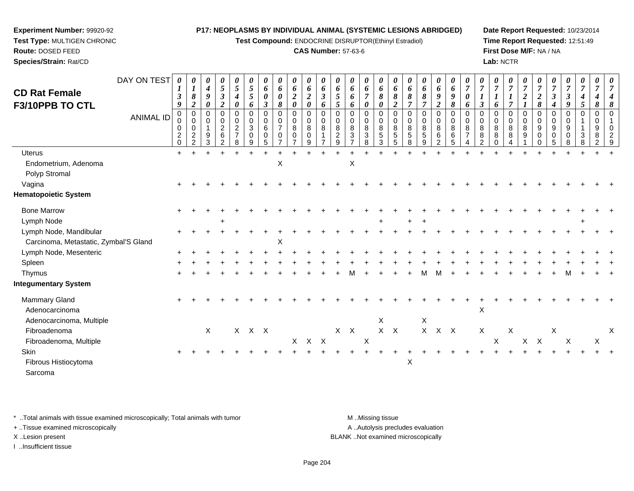**Test Compound:** ENDOCRINE DISRUPTOR(Ethinyl Estradiol)

# **CAS Number:** 57-63-6

**Date Report Requested:** 10/23/2014**Time Report Requested:** 12:51:49**First Dose M/F:** NA / NA**Lab:** NCTR

 $\ddot{}$ 

|                                         | DAY ON TEST      |                              | 0                                                                | $\theta$<br>$\boldsymbol{4}$ | $\boldsymbol{\theta}$<br>$\sqrt{5}$                         | $\boldsymbol{\theta}$<br>$\sqrt{5}$                                 | 5                                               | $\boldsymbol{\theta}$<br>6                    | U<br>6                                        | 6                                         | 6                     | 6                         | 6                                                  | 6                                                         | 6                               | 6                                        | $\boldsymbol{\theta}$<br>6              | 6                                        | 6                                        | 6                                    | 6                          | $\boldsymbol{\theta}$<br>$\overline{7}$ | $\boldsymbol{\theta}$<br>$\overline{7}$                          | $\overline{7}$                          |             | $\overline{7}$             | $\overline{7}$                                                            |                            |                                          | $\boldsymbol{\theta}$ |                    |  |
|-----------------------------------------|------------------|------------------------------|------------------------------------------------------------------|------------------------------|-------------------------------------------------------------|---------------------------------------------------------------------|-------------------------------------------------|-----------------------------------------------|-----------------------------------------------|-------------------------------------------|-----------------------|---------------------------|----------------------------------------------------|-----------------------------------------------------------|---------------------------------|------------------------------------------|-----------------------------------------|------------------------------------------|------------------------------------------|--------------------------------------|----------------------------|-----------------------------------------|------------------------------------------------------------------|-----------------------------------------|-------------|----------------------------|---------------------------------------------------------------------------|----------------------------|------------------------------------------|-----------------------|--------------------|--|
| <b>CD Rat Female</b><br>F3/10PPB TO CTL |                  | $\boldsymbol{\beta}$<br>9    | 8<br>$\boldsymbol{2}$                                            | $\boldsymbol{g}$<br>0        | $\mathfrak{z}$<br>$\boldsymbol{2}$                          | $\boldsymbol{4}$<br>$\boldsymbol{\theta}$                           | 5<br>6                                          | $\boldsymbol{\theta}$<br>$\boldsymbol{\beta}$ | $\boldsymbol{\theta}$<br>8                    | $\boldsymbol{2}$<br>$\boldsymbol{\theta}$ | $\overline{2}$<br>0   | $\boldsymbol{\beta}$<br>6 | $\sqrt{5}$<br>5                                    | 6<br>6                                                    | 0                               | 8<br>0                                   | 8<br>$\boldsymbol{2}$                   | 8                                        | $\boldsymbol{\delta}$<br>7               | $\boldsymbol{2}$                     | $\boldsymbol{q}$<br>8      | $\pmb{\theta}$<br>6                     | $\boldsymbol{\beta}$                                             | 6                                       |             | $\overline{2}$             | $\boldsymbol{2}$<br>8                                                     | 4                          | $\boldsymbol{\beta}$<br>$\boldsymbol{g}$ | $\boldsymbol{4}$<br>5 | 8                  |  |
|                                         | <b>ANIMAL ID</b> | 0<br>$\mathbf 2$<br>$\Omega$ | 0<br>$\mathbf 0$<br>$\pmb{0}$<br>$\overline{c}$<br>$\mathcal{P}$ | 0<br>$\boldsymbol{9}$<br>3   | $\mathbf 0$<br>$\pmb{0}$<br>$\frac{2}{6}$<br>$\overline{2}$ | $\mathbf 0$<br>$\mathbf 0$<br>$\overline{c}$<br>$\overline{7}$<br>8 | $\mathbf 0$<br>$\mathbf{3}$<br>$\mathbf 0$<br>9 | 0<br>0<br>6<br>0<br>5                         | 0<br>$\pmb{0}$<br>$\overline{7}$<br>$\pmb{0}$ | 0<br>$\mathbf 0$<br>8<br>$\Omega$         | $\mathbf 0$<br>8<br>q | 0<br>0<br>8               | 0<br>$\pmb{0}$<br>$\bf 8$<br>$\boldsymbol{2}$<br>9 | $\pmb{0}$<br>$\pmb{0}$<br>$\frac{8}{3}$<br>$\overline{ }$ | 0<br>$\bf 8$<br>$\sqrt{3}$<br>8 | 0<br>$\mathbf 0$<br>8<br>$\sqrt{5}$<br>3 | 0<br>$\pmb{0}$<br>8<br>$\,$ 5 $\,$<br>5 | 0<br>$\mathbf 0$<br>8<br>$\sqrt{5}$<br>8 | 0<br>$\mathbf 0$<br>8<br>$\sqrt{5}$<br>9 | $\mathbf 0$<br>$\mathbf 0$<br>8<br>6 | $\mathbf 0$<br>8<br>6<br>5 | $\pmb{0}$<br>8<br>$\overline{7}$        | $\boldsymbol{0}$<br>$\mathsf 0$<br>8<br>$\bf 8$<br>$\mathcal{P}$ | $\mathbf 0$<br>8<br>$\bf 8$<br>$\Omega$ | 0<br>8<br>8 | 0<br>$\mathbf 0$<br>8<br>9 | $\mathbf 0$<br>$\mathbf 0$<br>$\boldsymbol{9}$<br>$\mathbf 0$<br>$\Omega$ | $\mathbf 0$<br>9<br>0<br>5 | 0<br>$\mathbf 0$<br>9                    | 0<br>3<br>8           | $\Omega$<br>9<br>8 |  |
| <b>Uterus</b>                           |                  | $+$                          |                                                                  |                              |                                                             |                                                                     |                                                 |                                               |                                               |                                           |                       |                           |                                                    |                                                           |                                 |                                          |                                         |                                          |                                          |                                      |                            |                                         |                                                                  |                                         |             |                            |                                                                           |                            |                                          |                       |                    |  |
| Endometrium, Adenoma                    |                  |                              |                                                                  |                              |                                                             |                                                                     |                                                 |                                               | X                                             |                                           |                       |                           |                                                    | X                                                         |                                 |                                          |                                         |                                          |                                          |                                      |                            |                                         |                                                                  |                                         |             |                            |                                                                           |                            |                                          |                       |                    |  |
| Polyp Stromal                           |                  |                              |                                                                  |                              |                                                             |                                                                     |                                                 |                                               |                                               |                                           |                       |                           |                                                    |                                                           |                                 |                                          |                                         |                                          |                                          |                                      |                            |                                         |                                                                  |                                         |             |                            |                                                                           |                            |                                          |                       |                    |  |
| Vagina                                  |                  |                              |                                                                  |                              |                                                             |                                                                     |                                                 |                                               |                                               |                                           |                       |                           |                                                    |                                                           |                                 |                                          |                                         |                                          |                                          |                                      |                            |                                         |                                                                  |                                         |             |                            |                                                                           |                            |                                          |                       |                    |  |
| <b>Hematopoietic System</b>             |                  |                              |                                                                  |                              |                                                             |                                                                     |                                                 |                                               |                                               |                                           |                       |                           |                                                    |                                                           |                                 |                                          |                                         |                                          |                                          |                                      |                            |                                         |                                                                  |                                         |             |                            |                                                                           |                            |                                          |                       |                    |  |
| <b>Bone Marrow</b>                      |                  |                              |                                                                  |                              |                                                             |                                                                     |                                                 |                                               |                                               |                                           |                       |                           |                                                    |                                                           |                                 |                                          |                                         |                                          |                                          |                                      |                            |                                         |                                                                  |                                         |             |                            |                                                                           |                            |                                          |                       |                    |  |
| Lymph Node                              |                  |                              |                                                                  |                              | $\ddot{}$                                                   |                                                                     |                                                 |                                               |                                               |                                           |                       |                           |                                                    |                                                           |                                 | $+$                                      |                                         | $+$                                      | $+$                                      |                                      |                            |                                         |                                                                  |                                         |             |                            |                                                                           |                            |                                          | $\pm$                 |                    |  |
| Lymph Node, Mandibular                  |                  |                              |                                                                  |                              |                                                             |                                                                     |                                                 |                                               |                                               |                                           |                       |                           |                                                    |                                                           |                                 |                                          |                                         |                                          |                                          |                                      |                            |                                         |                                                                  |                                         |             |                            |                                                                           |                            |                                          |                       |                    |  |
| Carcinoma, Metastatic, Zymbal'S Gland   |                  |                              |                                                                  |                              |                                                             |                                                                     |                                                 |                                               | X                                             |                                           |                       |                           |                                                    |                                                           |                                 |                                          |                                         |                                          |                                          |                                      |                            |                                         |                                                                  |                                         |             |                            |                                                                           |                            |                                          |                       |                    |  |
| Lymph Node, Mesenteric                  |                  |                              |                                                                  |                              |                                                             |                                                                     |                                                 |                                               |                                               |                                           |                       |                           |                                                    |                                                           |                                 |                                          |                                         |                                          |                                          |                                      |                            |                                         |                                                                  |                                         |             |                            |                                                                           |                            |                                          |                       |                    |  |
| Spleen                                  |                  |                              |                                                                  |                              |                                                             |                                                                     |                                                 |                                               |                                               |                                           |                       |                           |                                                    |                                                           |                                 |                                          |                                         |                                          |                                          |                                      |                            |                                         |                                                                  |                                         |             |                            |                                                                           |                            |                                          |                       |                    |  |
| Thymus                                  |                  |                              |                                                                  |                              |                                                             |                                                                     |                                                 |                                               |                                               |                                           |                       |                           |                                                    |                                                           |                                 |                                          |                                         |                                          |                                          |                                      |                            |                                         |                                                                  |                                         |             |                            |                                                                           |                            |                                          |                       |                    |  |
| <b>Integumentary System</b>             |                  |                              |                                                                  |                              |                                                             |                                                                     |                                                 |                                               |                                               |                                           |                       |                           |                                                    |                                                           |                                 |                                          |                                         |                                          |                                          |                                      |                            |                                         |                                                                  |                                         |             |                            |                                                                           |                            |                                          |                       |                    |  |
| Mammary Gland                           |                  |                              |                                                                  |                              |                                                             |                                                                     |                                                 |                                               |                                               |                                           |                       |                           |                                                    |                                                           |                                 |                                          |                                         |                                          |                                          |                                      |                            |                                         |                                                                  |                                         |             |                            |                                                                           |                            |                                          |                       |                    |  |

 $\alpha$ 

e and the set of the set of the set of the set of the set of the set of the set of the set of the set of the s

 $\alpha$ 

e X

\* ..Total animals with tissue examined microscopically; Total animals with tumor **M** ..Missing tissue M ..Missing tissue

a X

n  $+$ 

+ ..Tissue examined microscopically

Adenocarcinoma

Fibroadenoma

**Skin** 

Adenocarcinoma, Multiple

Fibroadenoma, Multiple

Fibrous Histiocytoma

**Experiment Number:** 99920-92**Test Type:** MULTIGEN CHRONIC

**Route:** DOSED FEED**Species/Strain:** Rat/CD

Sarcoma

I ..Insufficient tissue

<sup>+</sup> <sup>+</sup> <sup>+</sup> <sup>+</sup> <sup>+</sup> <sup>+</sup> <sup>+</sup> <sup>+</sup> <sup>+</sup> <sup>+</sup> <sup>+</sup> <sup>+</sup> <sup>+</sup> <sup>+</sup> <sup>+</sup> <sup>+</sup> <sup>+</sup> <sup>+</sup> <sup>+</sup> <sup>+</sup> <sup>+</sup> <sup>+</sup> <sup>+</sup> <sup>+</sup> <sup>+</sup> <sup>+</sup> <sup>+</sup> <sup>+</sup> <sup>+</sup> <sup>+</sup>

A ..Autolysis precludes evaluation

 $\begin{array}{ccc} x & x \\ x & x & x \end{array}$ 

<sup>X</sup> <sup>X</sup> <sup>X</sup> <sup>X</sup> <sup>X</sup> <sup>X</sup> <sup>X</sup> <sup>X</sup>

<sup>X</sup> <sup>X</sup> <sup>X</sup> <sup>X</sup> <sup>X</sup> <sup>X</sup> <sup>X</sup> <sup>X</sup> <sup>X</sup> <sup>X</sup> <sup>X</sup> <sup>X</sup> <sup>X</sup> <sup>X</sup>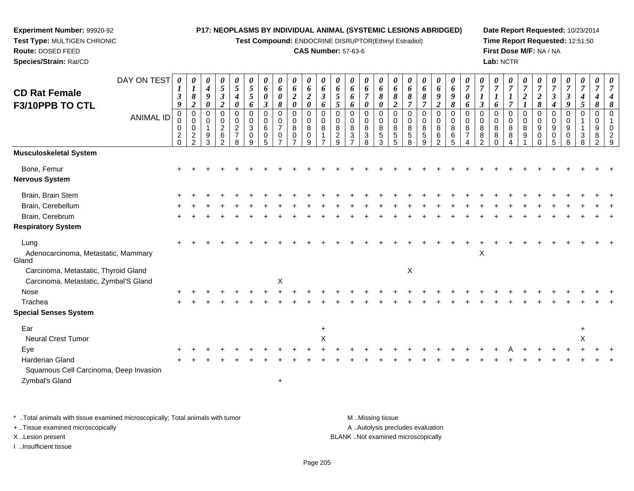**Test Compound:** ENDOCRINE DISRUPTOR(Ethinyl Estradiol)

## **CAS Number:** 57-63-6

**Date Report Requested:** 10/23/2014**Time Report Requested:** 12:51:50**First Dose M/F:** NA / NA**Lab:** NCTR

| $\mathbf 0$<br>$\mathbf 0$<br>$\mathbf 0$<br>$\mathbf 0$<br>$\mathbf 0$<br>$\mathbf 0$<br>$\mathbf 0$<br>$\Omega$<br>$\mathbf 0$<br>$\mathbf 0$<br>$\Omega$<br>$\Omega$<br>$\Omega$<br>0<br>0<br>$\mathbf 0$<br>$\mathbf 0$<br>$\Omega$<br>$\Omega$<br>$\mathbf 0$<br>$\Omega$<br>0<br>$\Omega$<br>0<br>0<br>$\mathbf 0$<br>$\mathbf 0$<br>$\mathbf 0$<br>$\Omega$<br>$\Omega$<br><b>ANIMAL ID</b><br>$\pmb{0}$<br>$\mathbf 0$<br>$\pmb{0}$<br>0<br>$\mathbf 0$<br>$\boldsymbol{0}$<br>$\pmb{0}$<br>$\pmb{0}$<br>$\pmb{0}$<br>$\mathbf 0$<br>0<br>0<br>$\mathbf 0$<br>$\mathbf 0$<br>$\mathbf 0$<br>0<br>0<br>0<br>0<br>$\mathbf 0$<br>0<br>0<br>0<br>0<br>0<br>0<br>$\mathbf{1}$<br>0<br>0<br>0<br>$\sqrt{2}$<br>$\overline{c}$<br>$\mathbf{3}$<br>$\bf8$<br>$\bf 8$<br>8<br>$\bf8$<br>8<br>$\pmb{0}$<br>6<br>$\overline{7}$<br>8<br>8<br>8<br>8<br>8<br>8<br>8<br>8<br>8<br>8<br>8<br>9<br>9<br>9<br>0<br>8<br>9<br>-1<br>$\overline{7}$<br>$\frac{5}{3}$<br>$\,6$<br>$\overline{c}$<br>$\frac{2}{2}$<br>$9\,$<br>6<br>$\frac{2}{9}$<br>3<br>$\sqrt{3}$<br>$\sqrt{5}$<br>$\sqrt{5}$<br>5<br>$\,6\,$<br>8<br>8<br>3<br>0<br>0<br>0<br>$\overline{7}$<br>8<br>9<br>0<br>0<br>0<br>0<br>8<br>$\Omega$<br>$\overline{5}$<br>2<br>5<br>3<br>2<br>$\Omega$<br>9<br>8<br>8<br>$\mathcal{P}$<br>5<br>8<br>2<br>8<br>9<br>5<br>$\overline{ }$<br>$\overline{ }$<br>9<br>$\Omega$<br>8<br>4<br>∩<br><b>Musculoskeletal System</b><br>Bone, Femur<br><b>Nervous System</b><br>Brain, Brain Stem<br>Brain, Cerebellum<br>Brain, Cerebrum<br><b>Respiratory System</b><br>Lung<br>X<br>Adenocarcinoma, Metastatic, Mammary<br>Gland<br>X<br>Carcinoma, Metastatic, Thyroid Gland<br>$\sf X$<br>Carcinoma, Metastatic, Zymbal'S Gland<br>Nose<br>Trachea<br><b>Special Senses System</b><br>Ear<br>$\ddot{}$<br><b>Neural Crest Tumor</b><br>X<br>X<br>Eye<br><b>Harderian Gland</b><br>Squamous Cell Carcinoma, Deep Invasion<br>$\ddot{}$ | <b>CD Rat Female</b> | DAY ON TEST | 0<br>$\bm{l}$<br>$\boldsymbol{\beta}$ | $\boldsymbol{l}$<br>$\pmb{8}$ | $\boldsymbol{\theta}$<br>$\boldsymbol{4}$<br>9 | $\boldsymbol{\theta}$<br>$\mathfrak{s}$<br>$\boldsymbol{\beta}$ | $\boldsymbol{\theta}$<br>$\mathfrak{S}$<br>$\boldsymbol{4}$ | 0<br>$\mathfrak{H}$<br>5 | $\boldsymbol{\theta}$<br>6<br>$\boldsymbol{\theta}$ | $\boldsymbol{\theta}$<br>6<br>0 | $\boldsymbol{\theta}$<br>6<br>$\boldsymbol{2}$ | 0<br>6<br>$\boldsymbol{2}$<br>$\boldsymbol{\theta}$ | 0<br>$\pmb{6}$<br>$\mathfrak{z}$ | 0<br>6<br>$\sqrt{5}$ | 0<br>6<br>6 | 0<br>6<br>$\overline{7}$ | $\boldsymbol{\theta}$<br>6<br>8 | 0<br>6<br>8      | $\boldsymbol{\theta}$<br>6<br>8 | $\boldsymbol{\theta}$<br>6<br>8 | 0<br>$\boldsymbol{6}$<br>$\boldsymbol{g}$ | $\boldsymbol{\theta}$<br>6<br>9 | $\overline{7}$<br>0 | $\overline{7}$       | U<br>$\overline{7}$ | $\boldsymbol{\theta}$<br>$\overline{7}$ | $\boldsymbol{\theta}$<br>$\overline{7}$<br>$\boldsymbol{2}$ | $\boldsymbol{7}$<br>$\boldsymbol{2}$ | $\overline{7}$<br>$\boldsymbol{\beta}$ | $\boldsymbol{\theta}$<br>$\overline{7}$<br>$\boldsymbol{\beta}$ | 0<br>$\overline{7}$<br>$\boldsymbol{4}$ | 0<br>$\overline{7}$<br>4 | 7                              |
|---------------------------------------------------------------------------------------------------------------------------------------------------------------------------------------------------------------------------------------------------------------------------------------------------------------------------------------------------------------------------------------------------------------------------------------------------------------------------------------------------------------------------------------------------------------------------------------------------------------------------------------------------------------------------------------------------------------------------------------------------------------------------------------------------------------------------------------------------------------------------------------------------------------------------------------------------------------------------------------------------------------------------------------------------------------------------------------------------------------------------------------------------------------------------------------------------------------------------------------------------------------------------------------------------------------------------------------------------------------------------------------------------------------------------------------------------------------------------------------------------------------------------------------------------------------------------------------------------------------------------------------------------------------------------------------------------------------------------------------------------------------------------------------------------------------------------------------------------------------------------------------------------------------------------------|----------------------|-------------|---------------------------------------|-------------------------------|------------------------------------------------|-----------------------------------------------------------------|-------------------------------------------------------------|--------------------------|-----------------------------------------------------|---------------------------------|------------------------------------------------|-----------------------------------------------------|----------------------------------|----------------------|-------------|--------------------------|---------------------------------|------------------|---------------------------------|---------------------------------|-------------------------------------------|---------------------------------|---------------------|----------------------|---------------------|-----------------------------------------|-------------------------------------------------------------|--------------------------------------|----------------------------------------|-----------------------------------------------------------------|-----------------------------------------|--------------------------|--------------------------------|
|                                                                                                                                                                                                                                                                                                                                                                                                                                                                                                                                                                                                                                                                                                                                                                                                                                                                                                                                                                                                                                                                                                                                                                                                                                                                                                                                                                                                                                                                                                                                                                                                                                                                                                                                                                                                                                                                                                                                 | F3/10PPB TO CTL      |             | 9                                     | $\boldsymbol{2}$              | $\boldsymbol{\theta}$                          | $\overline{2}$                                                  | $\boldsymbol{\theta}$                                       | 6                        | $\boldsymbol{\beta}$                                | 8                               | $\boldsymbol{\theta}$                          |                                                     | 6                                | $5\overline{)}$      | 6           | 0                        | $\boldsymbol{\theta}$           | $\boldsymbol{2}$ | $\overline{7}$                  | $\overline{7}$                  | $\overline{c}$                            | 8                               | 6                   | $\boldsymbol{\beta}$ | 6                   | $\overline{7}$                          |                                                             | 8                                    | 4                                      | 9                                                               | 5                                       | 8                        | 8<br>$\Omega$<br>$\Omega$<br>O |
|                                                                                                                                                                                                                                                                                                                                                                                                                                                                                                                                                                                                                                                                                                                                                                                                                                                                                                                                                                                                                                                                                                                                                                                                                                                                                                                                                                                                                                                                                                                                                                                                                                                                                                                                                                                                                                                                                                                                 |                      |             |                                       |                               |                                                |                                                                 |                                                             |                          |                                                     |                                 |                                                |                                                     |                                  |                      |             |                          |                                 |                  |                                 |                                 |                                           |                                 |                     |                      |                     |                                         |                                                             |                                      |                                        |                                                                 |                                         |                          |                                |
|                                                                                                                                                                                                                                                                                                                                                                                                                                                                                                                                                                                                                                                                                                                                                                                                                                                                                                                                                                                                                                                                                                                                                                                                                                                                                                                                                                                                                                                                                                                                                                                                                                                                                                                                                                                                                                                                                                                                 |                      |             |                                       |                               |                                                |                                                                 |                                                             |                          |                                                     |                                 |                                                |                                                     |                                  |                      |             |                          |                                 |                  |                                 |                                 |                                           |                                 |                     |                      |                     |                                         |                                                             |                                      |                                        |                                                                 |                                         |                          |                                |
|                                                                                                                                                                                                                                                                                                                                                                                                                                                                                                                                                                                                                                                                                                                                                                                                                                                                                                                                                                                                                                                                                                                                                                                                                                                                                                                                                                                                                                                                                                                                                                                                                                                                                                                                                                                                                                                                                                                                 |                      |             |                                       |                               |                                                |                                                                 |                                                             |                          |                                                     |                                 |                                                |                                                     |                                  |                      |             |                          |                                 |                  |                                 |                                 |                                           |                                 |                     |                      |                     |                                         |                                                             |                                      |                                        |                                                                 |                                         |                          |                                |
|                                                                                                                                                                                                                                                                                                                                                                                                                                                                                                                                                                                                                                                                                                                                                                                                                                                                                                                                                                                                                                                                                                                                                                                                                                                                                                                                                                                                                                                                                                                                                                                                                                                                                                                                                                                                                                                                                                                                 |                      |             |                                       |                               |                                                |                                                                 |                                                             |                          |                                                     |                                 |                                                |                                                     |                                  |                      |             |                          |                                 |                  |                                 |                                 |                                           |                                 |                     |                      |                     |                                         |                                                             |                                      |                                        |                                                                 |                                         |                          |                                |
|                                                                                                                                                                                                                                                                                                                                                                                                                                                                                                                                                                                                                                                                                                                                                                                                                                                                                                                                                                                                                                                                                                                                                                                                                                                                                                                                                                                                                                                                                                                                                                                                                                                                                                                                                                                                                                                                                                                                 |                      |             |                                       |                               |                                                |                                                                 |                                                             |                          |                                                     |                                 |                                                |                                                     |                                  |                      |             |                          |                                 |                  |                                 |                                 |                                           |                                 |                     |                      |                     |                                         |                                                             |                                      |                                        |                                                                 |                                         |                          |                                |
|                                                                                                                                                                                                                                                                                                                                                                                                                                                                                                                                                                                                                                                                                                                                                                                                                                                                                                                                                                                                                                                                                                                                                                                                                                                                                                                                                                                                                                                                                                                                                                                                                                                                                                                                                                                                                                                                                                                                 |                      |             |                                       |                               |                                                |                                                                 |                                                             |                          |                                                     |                                 |                                                |                                                     |                                  |                      |             |                          |                                 |                  |                                 |                                 |                                           |                                 |                     |                      |                     |                                         |                                                             |                                      |                                        |                                                                 |                                         |                          |                                |
|                                                                                                                                                                                                                                                                                                                                                                                                                                                                                                                                                                                                                                                                                                                                                                                                                                                                                                                                                                                                                                                                                                                                                                                                                                                                                                                                                                                                                                                                                                                                                                                                                                                                                                                                                                                                                                                                                                                                 |                      |             |                                       |                               |                                                |                                                                 |                                                             |                          |                                                     |                                 |                                                |                                                     |                                  |                      |             |                          |                                 |                  |                                 |                                 |                                           |                                 |                     |                      |                     |                                         |                                                             |                                      |                                        |                                                                 |                                         |                          |                                |
|                                                                                                                                                                                                                                                                                                                                                                                                                                                                                                                                                                                                                                                                                                                                                                                                                                                                                                                                                                                                                                                                                                                                                                                                                                                                                                                                                                                                                                                                                                                                                                                                                                                                                                                                                                                                                                                                                                                                 |                      |             |                                       |                               |                                                |                                                                 |                                                             |                          |                                                     |                                 |                                                |                                                     |                                  |                      |             |                          |                                 |                  |                                 |                                 |                                           |                                 |                     |                      |                     |                                         |                                                             |                                      |                                        |                                                                 |                                         |                          |                                |
|                                                                                                                                                                                                                                                                                                                                                                                                                                                                                                                                                                                                                                                                                                                                                                                                                                                                                                                                                                                                                                                                                                                                                                                                                                                                                                                                                                                                                                                                                                                                                                                                                                                                                                                                                                                                                                                                                                                                 |                      |             |                                       |                               |                                                |                                                                 |                                                             |                          |                                                     |                                 |                                                |                                                     |                                  |                      |             |                          |                                 |                  |                                 |                                 |                                           |                                 |                     |                      |                     |                                         |                                                             |                                      |                                        |                                                                 |                                         |                          |                                |
|                                                                                                                                                                                                                                                                                                                                                                                                                                                                                                                                                                                                                                                                                                                                                                                                                                                                                                                                                                                                                                                                                                                                                                                                                                                                                                                                                                                                                                                                                                                                                                                                                                                                                                                                                                                                                                                                                                                                 |                      |             |                                       |                               |                                                |                                                                 |                                                             |                          |                                                     |                                 |                                                |                                                     |                                  |                      |             |                          |                                 |                  |                                 |                                 |                                           |                                 |                     |                      |                     |                                         |                                                             |                                      |                                        |                                                                 |                                         |                          |                                |
|                                                                                                                                                                                                                                                                                                                                                                                                                                                                                                                                                                                                                                                                                                                                                                                                                                                                                                                                                                                                                                                                                                                                                                                                                                                                                                                                                                                                                                                                                                                                                                                                                                                                                                                                                                                                                                                                                                                                 |                      |             |                                       |                               |                                                |                                                                 |                                                             |                          |                                                     |                                 |                                                |                                                     |                                  |                      |             |                          |                                 |                  |                                 |                                 |                                           |                                 |                     |                      |                     |                                         |                                                             |                                      |                                        |                                                                 |                                         |                          |                                |
|                                                                                                                                                                                                                                                                                                                                                                                                                                                                                                                                                                                                                                                                                                                                                                                                                                                                                                                                                                                                                                                                                                                                                                                                                                                                                                                                                                                                                                                                                                                                                                                                                                                                                                                                                                                                                                                                                                                                 |                      |             |                                       |                               |                                                |                                                                 |                                                             |                          |                                                     |                                 |                                                |                                                     |                                  |                      |             |                          |                                 |                  |                                 |                                 |                                           |                                 |                     |                      |                     |                                         |                                                             |                                      |                                        |                                                                 |                                         |                          |                                |
|                                                                                                                                                                                                                                                                                                                                                                                                                                                                                                                                                                                                                                                                                                                                                                                                                                                                                                                                                                                                                                                                                                                                                                                                                                                                                                                                                                                                                                                                                                                                                                                                                                                                                                                                                                                                                                                                                                                                 |                      |             |                                       |                               |                                                |                                                                 |                                                             |                          |                                                     |                                 |                                                |                                                     |                                  |                      |             |                          |                                 |                  |                                 |                                 |                                           |                                 |                     |                      |                     |                                         |                                                             |                                      |                                        |                                                                 |                                         |                          |                                |
|                                                                                                                                                                                                                                                                                                                                                                                                                                                                                                                                                                                                                                                                                                                                                                                                                                                                                                                                                                                                                                                                                                                                                                                                                                                                                                                                                                                                                                                                                                                                                                                                                                                                                                                                                                                                                                                                                                                                 |                      |             |                                       |                               |                                                |                                                                 |                                                             |                          |                                                     |                                 |                                                |                                                     |                                  |                      |             |                          |                                 |                  |                                 |                                 |                                           |                                 |                     |                      |                     |                                         |                                                             |                                      |                                        |                                                                 |                                         |                          |                                |
|                                                                                                                                                                                                                                                                                                                                                                                                                                                                                                                                                                                                                                                                                                                                                                                                                                                                                                                                                                                                                                                                                                                                                                                                                                                                                                                                                                                                                                                                                                                                                                                                                                                                                                                                                                                                                                                                                                                                 |                      |             |                                       |                               |                                                |                                                                 |                                                             |                          |                                                     |                                 |                                                |                                                     |                                  |                      |             |                          |                                 |                  |                                 |                                 |                                           |                                 |                     |                      |                     |                                         |                                                             |                                      |                                        |                                                                 |                                         |                          |                                |
|                                                                                                                                                                                                                                                                                                                                                                                                                                                                                                                                                                                                                                                                                                                                                                                                                                                                                                                                                                                                                                                                                                                                                                                                                                                                                                                                                                                                                                                                                                                                                                                                                                                                                                                                                                                                                                                                                                                                 |                      |             |                                       |                               |                                                |                                                                 |                                                             |                          |                                                     |                                 |                                                |                                                     |                                  |                      |             |                          |                                 |                  |                                 |                                 |                                           |                                 |                     |                      |                     |                                         |                                                             |                                      |                                        |                                                                 |                                         |                          |                                |
|                                                                                                                                                                                                                                                                                                                                                                                                                                                                                                                                                                                                                                                                                                                                                                                                                                                                                                                                                                                                                                                                                                                                                                                                                                                                                                                                                                                                                                                                                                                                                                                                                                                                                                                                                                                                                                                                                                                                 |                      |             |                                       |                               |                                                |                                                                 |                                                             |                          |                                                     |                                 |                                                |                                                     |                                  |                      |             |                          |                                 |                  |                                 |                                 |                                           |                                 |                     |                      |                     |                                         |                                                             |                                      |                                        |                                                                 |                                         |                          |                                |
|                                                                                                                                                                                                                                                                                                                                                                                                                                                                                                                                                                                                                                                                                                                                                                                                                                                                                                                                                                                                                                                                                                                                                                                                                                                                                                                                                                                                                                                                                                                                                                                                                                                                                                                                                                                                                                                                                                                                 | Zymbal's Gland       |             |                                       |                               |                                                |                                                                 |                                                             |                          |                                                     |                                 |                                                |                                                     |                                  |                      |             |                          |                                 |                  |                                 |                                 |                                           |                                 |                     |                      |                     |                                         |                                                             |                                      |                                        |                                                                 |                                         |                          |                                |

\* ..Total animals with tissue examined microscopically; Total animals with tumor **M** . Missing tissue M ..Missing tissue

+ ..Tissue examined microscopically

**Experiment Number:** 99920-92**Test Type:** MULTIGEN CHRONIC

**Route:** DOSED FEED**Species/Strain:** Rat/CD

I ..Insufficient tissue

A ..Autolysis precludes evaluation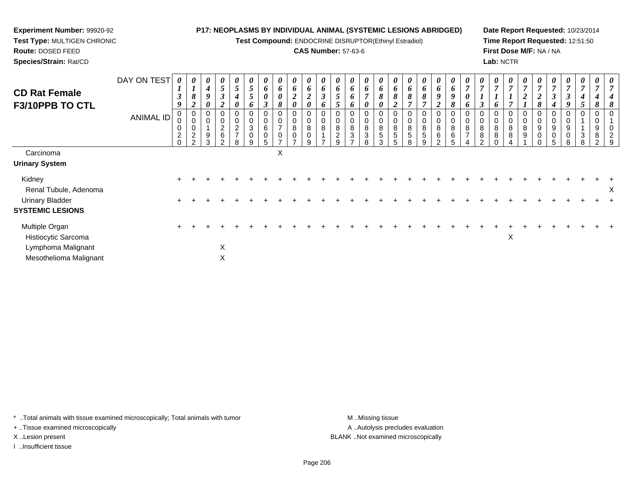**Test Compound:** ENDOCRINE DISRUPTOR(Ethinyl Estradiol)

# **CAS Number:** 57-63-6

**Date Report Requested:** 10/23/2014**Time Report Requested:** 12:51:50**First Dose M/F:** NA / NA**Lab:** NCTR

| <b>CD Rat Female</b><br>F3/10PPB TO CTL           | DAY ON TEST | $\theta$<br>$\mathbf{I}$<br>$\mathfrak{z}$<br>9 | $\boldsymbol{l}$<br>8<br>$\overline{2}$                   | 0<br>$\boldsymbol{4}$<br>9<br>$\boldsymbol{\theta}$ | 0<br>$5\overline{)}$<br>$\boldsymbol{\beta}$<br>$\boldsymbol{2}$ | 5<br>$\boldsymbol{4}$<br>0           | 5<br>$5\overline{)}$<br>6                                | 6<br>$\pmb{\theta}$<br>$\boldsymbol{\beta}$ | 0<br>6<br>$\pmb{\theta}$<br>8                                   | 0<br>6<br>$\boldsymbol{2}$<br>$\boldsymbol{\theta}$    | 0<br>6<br>$\boldsymbol{2}$<br>0       | 6<br>$\mathfrak{z}$<br>6 | 6<br>$\overline{5}$<br>$\mathcal{L}$ | $\boldsymbol{\theta}$<br>6<br>6<br>6     | 0<br>6<br>$\overline{ }$<br>0 | $\boldsymbol{\theta}$<br>6<br>8<br>0                | 6<br>8<br>$\overline{2}$  | 6<br>8                     | $\theta$<br>6<br>$\pmb{8}$<br>$\overline{ }$ | 0<br>6<br>9<br>$\boldsymbol{2}$ | $\theta$<br>6<br>9<br>8       | $\overline{ }$<br>o      | $\overline{ }$<br>$\boldsymbol{\beta}$ | $\theta$<br>$\overline{ }$<br>6 | 0<br>$\overline{7}$<br>$\overline{ }$ | 0<br>$\overline{ }$ | ∠<br>8         | $\overline{ }$<br>$\boldsymbol{\beta}$<br>4  | $\boldsymbol{\theta}$<br>7<br>$\boldsymbol{\beta}$<br>9 | $\boldsymbol{\theta}$<br>$\overline{7}$<br>4<br>5 | 0<br>$\overline{ }$<br>8 |   |
|---------------------------------------------------|-------------|-------------------------------------------------|-----------------------------------------------------------|-----------------------------------------------------|------------------------------------------------------------------|--------------------------------------|----------------------------------------------------------|---------------------------------------------|-----------------------------------------------------------------|--------------------------------------------------------|---------------------------------------|--------------------------|--------------------------------------|------------------------------------------|-------------------------------|-----------------------------------------------------|---------------------------|----------------------------|----------------------------------------------|---------------------------------|-------------------------------|--------------------------|----------------------------------------|---------------------------------|---------------------------------------|---------------------|----------------|----------------------------------------------|---------------------------------------------------------|---------------------------------------------------|--------------------------|---|
|                                                   | ANIMAL ID   | 0<br>0<br>0<br>$\sqrt{2}$<br>$\mathbf 0$        | 0<br>$\pmb{0}$<br>$\pmb{0}$<br>$\overline{c}$<br>$\Omega$ | 0<br>0<br>9<br>3                                    | $\boldsymbol{0}$<br>$\frac{2}{6}$<br>C                           | 0<br>$\pmb{0}$<br>$\frac{2}{7}$<br>8 | $\pmb{0}$<br>$\ensuremath{\mathsf{3}}$<br>$\pmb{0}$<br>9 | 0<br>6<br>$\pmb{0}$<br>$\overline{5}$       | 0<br>$\pmb{0}$<br>$\overline{ }$<br>$\pmb{0}$<br>$\overline{ }$ | $\boldsymbol{0}$<br>8<br>$\mathbf 0$<br>$\overline{ }$ | 0<br>$\pmb{0}$<br>8<br>$\pmb{0}$<br>9 | 0<br>8<br>$\rightarrow$  | 0<br>8<br>$\overline{c}$<br>$\Omega$ | 0<br>$\,0\,$<br>8<br>3<br>$\overline{ }$ | 0<br>8<br>3<br>R              | 0<br>$\boldsymbol{0}$<br>$\bf 8$<br>$\sqrt{5}$<br>3 | 0<br>8<br>$\sqrt{5}$<br>5 | 0<br>8<br>$\,$ 5 $\,$<br>8 | 0<br>0<br>8<br>5<br>9                        | 0<br>8<br>6<br>$\sim$           | 0<br>$\pmb{0}$<br>8<br>6<br>5 | 0<br>8<br>$\overline{ }$ | 0<br>8<br>8                            | 0<br>8<br>8                     | $\mathbf 0$<br>8<br>8                 | 0<br>8<br>9         | $\pmb{0}$<br>9 | 0<br>$\boldsymbol{0}$<br>9<br>$\pmb{0}$<br>5 | 0<br>9<br>0<br>8                                        | 3                                                 | 0<br>9<br>8              | ∠ |
| Carcinoma<br><b>Urinary System</b>                |             |                                                 |                                                           |                                                     |                                                                  |                                      |                                                          |                                             | X                                                               |                                                        |                                       |                          |                                      |                                          |                               |                                                     |                           |                            |                                              |                                 |                               |                          |                                        |                                 |                                       |                     |                |                                              |                                                         |                                                   |                          |   |
| Kidney<br>Renal Tubule, Adenoma                   |             |                                                 |                                                           |                                                     |                                                                  |                                      |                                                          |                                             |                                                                 |                                                        |                                       |                          |                                      |                                          |                               |                                                     |                           |                            |                                              |                                 |                               |                          |                                        |                                 |                                       |                     |                |                                              |                                                         |                                                   |                          | X |
| <b>Urinary Bladder</b><br><b>SYSTEMIC LESIONS</b> |             |                                                 |                                                           |                                                     |                                                                  |                                      |                                                          |                                             |                                                                 |                                                        |                                       |                          |                                      |                                          |                               |                                                     |                           |                            |                                              |                                 |                               |                          |                                        |                                 |                                       |                     |                |                                              |                                                         |                                                   |                          |   |
| Multiple Organ<br>Histiocytic Sarcoma             |             |                                                 |                                                           |                                                     |                                                                  |                                      |                                                          |                                             |                                                                 |                                                        |                                       |                          |                                      |                                          |                               |                                                     |                           |                            |                                              |                                 |                               |                          |                                        |                                 | X                                     |                     |                |                                              |                                                         |                                                   |                          |   |
| Lymphoma Malignant<br>Mesothelioma Malignant      |             |                                                 |                                                           |                                                     | X<br>X                                                           |                                      |                                                          |                                             |                                                                 |                                                        |                                       |                          |                                      |                                          |                               |                                                     |                           |                            |                                              |                                 |                               |                          |                                        |                                 |                                       |                     |                |                                              |                                                         |                                                   |                          |   |

\* ..Total animals with tissue examined microscopically; Total animals with tumor **M** . Missing tissue M ..Missing tissue

+ ..Tissue examined microscopically

**Experiment Number:** 99920-92**Test Type:** MULTIGEN CHRONIC

**Route:** DOSED FEED**Species/Strain:** Rat/CD

I ..Insufficient tissue

A ..Autolysis precludes evaluation X ..Lesion present BLANK ..Not examined microscopically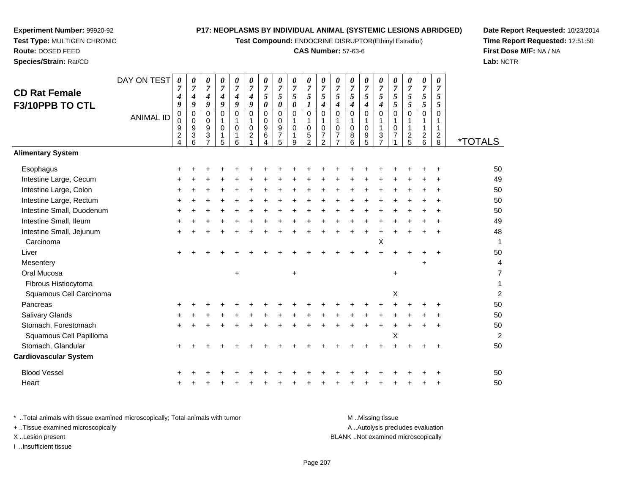**Test Compound:** ENDOCRINE DISRUPTOR(Ethinyl Estradiol)

# **CAS Number:** 57-63-6

**Date Report Requested:** 10/23/2014**Time Report Requested:** 12:51:50**First Dose M/F:** NA / NA**Lab:** NCTR

| <b>CD Rat Female</b>         | DAY ON TEST      | $\boldsymbol{\theta}$<br>$\overline{7}$ | 0<br>$\overline{7}$ | 0<br>$\overline{7}$                            | 0<br>$\overline{7}$ | 0<br>$\overline{7}$          | 0<br>$\overline{7}$                        | 0<br>$\overline{7}$              | 0<br>$\overline{7}$                     | 0<br>$\overline{7}$                     | 0<br>$\overline{7}$           | 0<br>$\overline{7}$ | 0<br>$\overline{7}$              | 0<br>$\overline{7}$           | 0<br>$\overline{7}$                       | 0<br>$\overline{7}$          | 0<br>$\overline{7}$  | 0<br>$\overline{7}$            | 0<br>$\overline{7}$ | 0<br>$\overline{7}$    |                       |
|------------------------------|------------------|-----------------------------------------|---------------------|------------------------------------------------|---------------------|------------------------------|--------------------------------------------|----------------------------------|-----------------------------------------|-----------------------------------------|-------------------------------|---------------------|----------------------------------|-------------------------------|-------------------------------------------|------------------------------|----------------------|--------------------------------|---------------------|------------------------|-----------------------|
|                              |                  | 4                                       | 4                   | $\boldsymbol{4}$                               | 4                   | $\boldsymbol{4}$             | 4                                          | $\sqrt{5}$                       | $\sqrt{5}$                              | 5                                       | 5                             | $5\overline{)}$     | $\mathfrak{s}$                   | 5                             | 5                                         | 5                            | $\mathfrak{s}$       | $\mathfrak{s}$                 | 5                   | 5                      |                       |
| F3/10PPB TO CTL              |                  | 9                                       | 9                   | 9                                              | 9                   | 9                            | 9                                          | 0                                | $\boldsymbol{\theta}$                   | $\pmb{\theta}$                          | $\boldsymbol{\mathit{1}}$     | 4                   | 4                                | 4                             | $\boldsymbol{4}$                          | $\boldsymbol{4}$             | 5                    | 5                              | 5                   | 5                      |                       |
|                              | <b>ANIMAL ID</b> | 0<br>0<br>9                             | 0<br>$\Omega$<br>9  | $\mathbf 0$<br>$\mathbf 0$<br>$\boldsymbol{9}$ | 0<br>1<br>$\Omega$  | $\mathbf 0$<br>1<br>$\Omega$ | $\mathbf 0$<br>$\mathbf{1}$<br>$\mathbf 0$ | $\mathbf 0$<br>$\mathbf{0}$<br>9 | $\mathsf{O}\xspace$<br>$\mathbf 0$<br>9 | $\mathbf 0$<br>$\mathbf{1}$<br>$\Omega$ | $\mathbf 0$<br>1<br>$\pmb{0}$ | 0<br>1<br>0         | 0<br>1<br>$\mathbf 0$            | $\pmb{0}$<br>1<br>$\mathbf 0$ | $\mathbf 0$<br>$\mathbf 1$<br>$\mathbf 0$ | $\Omega$<br>1<br>$\mathbf 1$ | $\Omega$<br>$\Omega$ | $\pmb{0}$<br>1<br>$\mathbf{1}$ | 0<br>1              | 0<br>1<br>$\mathbf{1}$ |                       |
|                              |                  | $\overline{c}$<br>4                     | 3<br>6              | 3<br>$\overline{7}$                            | 1<br>5              | 1<br>6                       | $\overline{c}$                             | 6<br>4                           | $\overline{7}$<br>5                     | 1<br>9                                  | $\frac{5}{2}$                 | 7<br>$\mathfrak{p}$ | $\overline{7}$<br>$\overline{7}$ | 8<br>6                        | 9<br>5                                    | $\sqrt{3}$<br>$\overline{7}$ | $\overline{7}$       | $\frac{2}{5}$                  | $\frac{2}{6}$       | $\frac{2}{8}$          | <i><b>*TOTALS</b></i> |
| <b>Alimentary System</b>     |                  |                                         |                     |                                                |                     |                              |                                            |                                  |                                         |                                         |                               |                     |                                  |                               |                                           |                              |                      |                                |                     |                        |                       |
| Esophagus                    |                  |                                         |                     |                                                |                     |                              |                                            |                                  |                                         |                                         |                               |                     |                                  |                               |                                           |                              |                      |                                |                     |                        | 50                    |
| Intestine Large, Cecum       |                  |                                         |                     |                                                |                     |                              |                                            |                                  |                                         |                                         |                               |                     |                                  |                               |                                           |                              |                      |                                |                     |                        | 49                    |
| Intestine Large, Colon       |                  |                                         |                     |                                                |                     |                              |                                            |                                  |                                         |                                         |                               |                     |                                  |                               |                                           |                              |                      |                                |                     |                        | 50                    |
| Intestine Large, Rectum      |                  |                                         |                     |                                                |                     |                              |                                            |                                  |                                         |                                         |                               |                     |                                  |                               |                                           |                              |                      |                                |                     |                        | 50                    |
| Intestine Small, Duodenum    |                  |                                         |                     |                                                |                     |                              |                                            |                                  |                                         |                                         |                               |                     |                                  |                               |                                           |                              |                      |                                |                     |                        | 50                    |
| Intestine Small, Ileum       |                  |                                         |                     |                                                |                     |                              |                                            |                                  |                                         |                                         |                               |                     |                                  |                               |                                           |                              |                      |                                |                     |                        | 49                    |
| Intestine Small, Jejunum     |                  |                                         |                     |                                                |                     |                              |                                            |                                  |                                         |                                         |                               |                     |                                  |                               |                                           |                              |                      |                                |                     |                        | 48                    |
| Carcinoma                    |                  |                                         |                     |                                                |                     |                              |                                            |                                  |                                         |                                         |                               |                     |                                  |                               |                                           | Χ                            |                      |                                |                     |                        | 1                     |
| Liver                        |                  |                                         |                     |                                                |                     |                              |                                            |                                  |                                         |                                         |                               |                     |                                  |                               |                                           |                              |                      |                                |                     |                        | 50                    |
| Mesentery                    |                  |                                         |                     |                                                |                     |                              |                                            |                                  |                                         |                                         |                               |                     |                                  |                               |                                           |                              |                      |                                |                     |                        | 4                     |
| Oral Mucosa                  |                  |                                         |                     |                                                |                     | +                            |                                            |                                  |                                         | $\ddot{}$                               |                               |                     |                                  |                               |                                           |                              | $\ddot{}$            |                                |                     |                        | 7                     |
| Fibrous Histiocytoma         |                  |                                         |                     |                                                |                     |                              |                                            |                                  |                                         |                                         |                               |                     |                                  |                               |                                           |                              |                      |                                |                     |                        | 1                     |
| Squamous Cell Carcinoma      |                  |                                         |                     |                                                |                     |                              |                                            |                                  |                                         |                                         |                               |                     |                                  |                               |                                           |                              | X                    |                                |                     |                        | 2                     |
| Pancreas                     |                  |                                         |                     |                                                |                     |                              |                                            |                                  |                                         |                                         |                               |                     |                                  |                               |                                           |                              |                      |                                |                     |                        | 50                    |
| <b>Salivary Glands</b>       |                  |                                         |                     |                                                |                     |                              |                                            |                                  |                                         |                                         |                               |                     |                                  |                               |                                           |                              |                      |                                |                     |                        | 50                    |
| Stomach, Forestomach         |                  |                                         |                     |                                                |                     |                              |                                            |                                  |                                         |                                         |                               |                     |                                  |                               |                                           |                              |                      |                                |                     |                        | 50                    |
| Squamous Cell Papilloma      |                  |                                         |                     |                                                |                     |                              |                                            |                                  |                                         |                                         |                               |                     |                                  |                               |                                           |                              | X                    |                                |                     |                        | 2                     |
| Stomach, Glandular           |                  |                                         |                     |                                                |                     |                              |                                            |                                  |                                         |                                         |                               |                     |                                  |                               |                                           |                              |                      |                                |                     |                        | 50                    |
| <b>Cardiovascular System</b> |                  |                                         |                     |                                                |                     |                              |                                            |                                  |                                         |                                         |                               |                     |                                  |                               |                                           |                              |                      |                                |                     |                        |                       |
| <b>Blood Vessel</b>          |                  |                                         |                     |                                                |                     |                              |                                            |                                  |                                         |                                         |                               |                     |                                  |                               |                                           |                              |                      |                                |                     |                        | 50                    |
| Heart                        |                  |                                         |                     |                                                |                     |                              |                                            |                                  |                                         |                                         |                               |                     |                                  |                               |                                           |                              |                      |                                |                     |                        | 50                    |
|                              |                  |                                         |                     |                                                |                     |                              |                                            |                                  |                                         |                                         |                               |                     |                                  |                               |                                           |                              |                      |                                |                     |                        |                       |

**Experiment Number:** 99920-92**Test Type:** MULTIGEN CHRONIC

**Route:** DOSED FEED**Species/Strain:** Rat/CD

\* ..Total animals with tissue examined microscopically; Total animals with tumor **M** . Missing tissue M ..Missing tissue A ..Autolysis precludes evaluation + ..Tissue examined microscopically X ..Lesion present BLANK ..Not examined microscopicallyI ..Insufficient tissue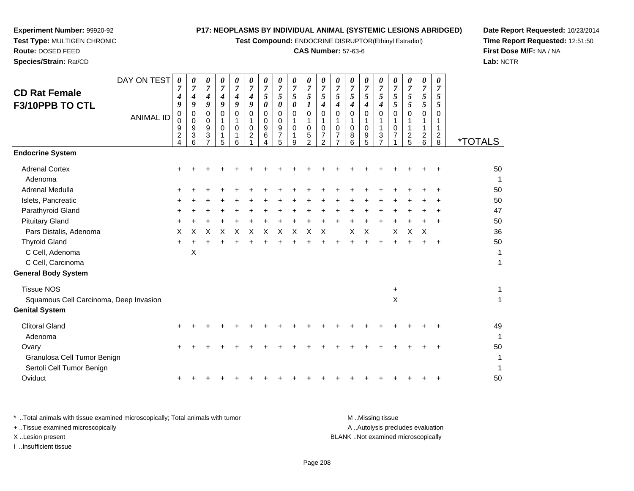**Test Compound:** ENDOCRINE DISRUPTOR(Ethinyl Estradiol)

# **CAS Number:** 57-63-6

**Date Report Requested:** 10/23/2014**Time Report Requested:** 12:51:50**First Dose M/F:** NA / NA**Lab:** NCTR

|                                        | DAY ON TEST      | 0                                | 0                                  | 0                                  | 0                     | 0                     | 0                                  | 0                                  | 0                          | 0                            | 0                            | 0                                  | 0                              | 0                     | 0                   | 0                              | 0                   | 0                     | 0                   | 0                                |                       |
|----------------------------------------|------------------|----------------------------------|------------------------------------|------------------------------------|-----------------------|-----------------------|------------------------------------|------------------------------------|----------------------------|------------------------------|------------------------------|------------------------------------|--------------------------------|-----------------------|---------------------|--------------------------------|---------------------|-----------------------|---------------------|----------------------------------|-----------------------|
| <b>CD Rat Female</b>                   |                  | 7<br>4                           | $\overline{7}$<br>$\boldsymbol{4}$ | $\overline{7}$<br>$\boldsymbol{4}$ | $\boldsymbol{7}$<br>4 | $\boldsymbol{7}$<br>4 | $\overline{7}$<br>$\boldsymbol{4}$ | $\boldsymbol{7}$<br>$\mathfrak{s}$ | $\overline{7}$<br>5        | $\overline{7}$<br>$\sqrt{5}$ | $\overline{7}$<br>$\sqrt{5}$ | $\boldsymbol{7}$<br>$\mathfrak{H}$ | $\boldsymbol{7}$<br>$\sqrt{5}$ | $\boldsymbol{7}$<br>5 | $\overline{7}$<br>5 | $\overline{7}$<br>5            | $\overline{7}$<br>5 | $\boldsymbol{7}$<br>5 | $\overline{7}$<br>5 | $\overline{7}$<br>$\mathfrak{s}$ |                       |
| F3/10PPB TO CTL                        |                  | 9                                | 9                                  | 9                                  | 9                     | 9                     | 9                                  | $\boldsymbol{\theta}$              | $\boldsymbol{\theta}$      | 0                            | $\boldsymbol{l}$             | $\boldsymbol{4}$                   | 4                              | 4                     | 4                   | 4                              | 5                   | 5                     | $\mathfrak{H}$      | 5                                |                       |
|                                        | <b>ANIMAL ID</b> | 0<br>$\mathbf 0$                 | $\mathbf 0$                        | $\mathbf 0$                        | 0<br>1                | $\Omega$              | $\mathbf 0$                        | $\Omega$<br>$\mathbf 0$            | $\mathbf 0$<br>$\mathbf 0$ | 0                            | $\mathbf 0$                  | $\mathbf 0$                        | $\Omega$                       | $\Omega$              | 0                   | $\mathbf 0$                    | $\Omega$            | $\Omega$              | $\Omega$            | $\Omega$                         |                       |
|                                        |                  | 9                                | 0<br>9                             | 0<br>9                             | $\mathbf 0$           | 1<br>$\Omega$         | $\mathbf{1}$<br>$\mathbf 0$        | 9                                  | 9                          | 1<br>0                       | 1<br>0                       | 1<br>0                             | 1<br>$\mathbf 0$               | $\mathbf 0$           | 1<br>$\mathbf 0$    | 1<br>$\mathbf{1}$              | 1<br>$\mathbf 0$    | 1                     |                     | 1<br>1                           |                       |
|                                        |                  | $\overline{2}$<br>$\overline{4}$ | $\ensuremath{\mathsf{3}}$<br>6     | $\mathbf{3}$                       | 1<br>5                | 1<br>6                | $\overline{2}$                     | 6<br>Λ                             | $\overline{7}$<br>5        | 1<br>9                       | 5<br>$\overline{2}$          | $\overline{7}$<br>2                | 7                              | 8<br>6                | 9<br>5              | $\mathbf{3}$<br>$\overline{7}$ | $\overline{7}$      | $\overline{c}$<br>5   | $\overline{c}$<br>6 | $\overline{2}$<br>8              | <i><b>*TOTALS</b></i> |
| <b>Endocrine System</b>                |                  |                                  |                                    |                                    |                       |                       |                                    |                                    |                            |                              |                              |                                    |                                |                       |                     |                                |                     |                       |                     |                                  |                       |
| <b>Adrenal Cortex</b>                  |                  |                                  |                                    |                                    |                       |                       |                                    |                                    |                            |                              |                              |                                    |                                |                       |                     |                                |                     |                       |                     |                                  | 50                    |
| Adenoma                                |                  |                                  |                                    |                                    |                       |                       |                                    |                                    |                            |                              |                              |                                    |                                |                       |                     |                                |                     |                       |                     |                                  | 1                     |
| Adrenal Medulla                        |                  |                                  |                                    |                                    |                       |                       |                                    |                                    |                            |                              |                              |                                    |                                |                       |                     |                                |                     |                       |                     |                                  | 50                    |
| Islets, Pancreatic                     |                  |                                  |                                    |                                    |                       |                       |                                    |                                    |                            |                              |                              |                                    |                                |                       |                     |                                |                     |                       |                     |                                  | 50                    |
| Parathyroid Gland                      |                  |                                  |                                    |                                    |                       |                       |                                    |                                    |                            |                              |                              |                                    |                                |                       |                     |                                |                     |                       |                     |                                  | 47                    |
| <b>Pituitary Gland</b>                 |                  |                                  |                                    |                                    |                       |                       |                                    |                                    |                            |                              |                              |                                    |                                |                       |                     |                                |                     |                       |                     |                                  | 50                    |
| Pars Distalis, Adenoma                 |                  | X                                | X                                  | х                                  | х                     | X                     | X                                  | X                                  | х                          | X                            | X                            | X                                  |                                | X                     | X                   |                                | X                   | X                     | X                   |                                  | 36                    |
| <b>Thyroid Gland</b>                   |                  | +                                |                                    |                                    |                       |                       |                                    |                                    |                            |                              |                              |                                    |                                |                       |                     |                                |                     |                       |                     |                                  | 50                    |
| C Cell, Adenoma                        |                  |                                  | X                                  |                                    |                       |                       |                                    |                                    |                            |                              |                              |                                    |                                |                       |                     |                                |                     |                       |                     |                                  | 1                     |
| C Cell, Carcinoma                      |                  |                                  |                                    |                                    |                       |                       |                                    |                                    |                            |                              |                              |                                    |                                |                       |                     |                                |                     |                       |                     |                                  | 1                     |
| <b>General Body System</b>             |                  |                                  |                                    |                                    |                       |                       |                                    |                                    |                            |                              |                              |                                    |                                |                       |                     |                                |                     |                       |                     |                                  |                       |
| <b>Tissue NOS</b>                      |                  |                                  |                                    |                                    |                       |                       |                                    |                                    |                            |                              |                              |                                    |                                |                       |                     |                                | +                   |                       |                     |                                  | 1                     |
| Squamous Cell Carcinoma, Deep Invasion |                  |                                  |                                    |                                    |                       |                       |                                    |                                    |                            |                              |                              |                                    |                                |                       |                     |                                | X                   |                       |                     |                                  | 1                     |
| <b>Genital System</b>                  |                  |                                  |                                    |                                    |                       |                       |                                    |                                    |                            |                              |                              |                                    |                                |                       |                     |                                |                     |                       |                     |                                  |                       |
| <b>Clitoral Gland</b>                  |                  |                                  |                                    |                                    |                       |                       |                                    |                                    |                            |                              |                              |                                    |                                |                       |                     |                                |                     |                       |                     |                                  | 49                    |
| Adenoma                                |                  |                                  |                                    |                                    |                       |                       |                                    |                                    |                            |                              |                              |                                    |                                |                       |                     |                                |                     |                       |                     |                                  | 1                     |
| Ovary                                  |                  |                                  |                                    |                                    |                       |                       |                                    |                                    |                            |                              |                              |                                    |                                |                       |                     |                                |                     |                       |                     |                                  | 50                    |
| Granulosa Cell Tumor Benign            |                  |                                  |                                    |                                    |                       |                       |                                    |                                    |                            |                              |                              |                                    |                                |                       |                     |                                |                     |                       |                     |                                  |                       |
| Sertoli Cell Tumor Benign              |                  |                                  |                                    |                                    |                       |                       |                                    |                                    |                            |                              |                              |                                    |                                |                       |                     |                                |                     |                       |                     |                                  | 1                     |
| Oviduct                                |                  |                                  |                                    |                                    |                       |                       |                                    |                                    |                            |                              |                              |                                    |                                |                       |                     |                                |                     |                       |                     |                                  | 50                    |
|                                        |                  |                                  |                                    |                                    |                       |                       |                                    |                                    |                            |                              |                              |                                    |                                |                       |                     |                                |                     |                       |                     |                                  |                       |

**Experiment Number:** 99920-92**Test Type:** MULTIGEN CHRONIC

**Route:** DOSED FEED**Species/Strain:** Rat/CD

\* ..Total animals with tissue examined microscopically; Total animals with tumor **M** . Missing tissue M ..Missing tissue A ..Autolysis precludes evaluation + ..Tissue examined microscopically X ..Lesion present BLANK ..Not examined microscopicallyI ..Insufficient tissue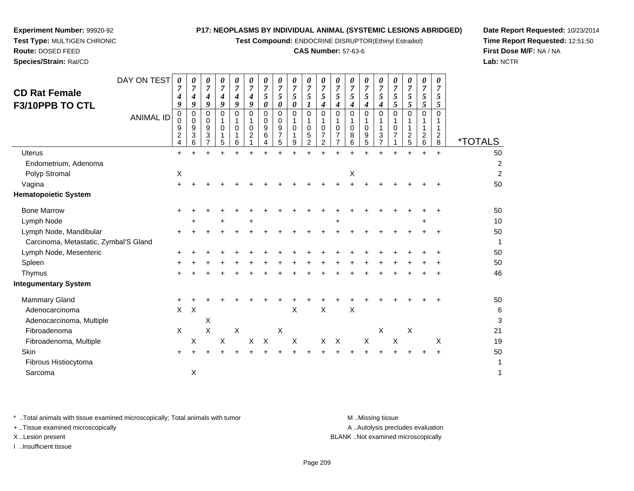**Test Compound:** ENDOCRINE DISRUPTOR(Ethinyl Estradiol)

# **CAS Number:** 57-63-6

**Date Report Requested:** 10/23/2014**Time Report Requested:** 12:51:50**First Dose M/F:** NA / NA**Lab:** NCTR

|                                       | DAY ON TEST      | 0                                  | 0                               | 0                              | 0                         | 0                         | 0                                         | 0                            | 0                                                   | 0                         | 0                                  | 0                                              | 0                         | 0                              | 0                         | 0                                    | 0                                         | 0                                               | 0                                                           | 0                                             |                       |
|---------------------------------------|------------------|------------------------------------|---------------------------------|--------------------------------|---------------------------|---------------------------|-------------------------------------------|------------------------------|-----------------------------------------------------|---------------------------|------------------------------------|------------------------------------------------|---------------------------|--------------------------------|---------------------------|--------------------------------------|-------------------------------------------|-------------------------------------------------|-------------------------------------------------------------|-----------------------------------------------|-----------------------|
| <b>CD Rat Female</b>                  |                  | 7<br>4                             | $\overline{7}$<br>4             | 7<br>4                         | $\overline{7}$<br>4       | $\boldsymbol{7}$<br>4     | $\overline{7}$<br>4                       | $\overline{7}$<br>$\sqrt{5}$ | $\overline{7}$<br>5                                 | $\overline{7}$<br>5       | $\boldsymbol{7}$<br>5              | $\overline{7}$<br>$\sqrt{5}$                   | $\overline{7}$<br>5       | $\overline{7}$<br>5            | 7<br>5                    | $\overline{7}$<br>5                  | $\overline{7}$<br>5                       | $\overline{7}$<br>5                             | $\overline{7}$<br>5                                         | $\overline{\mathcal{I}}$<br>5                 |                       |
| F3/10PPB TO CTL                       |                  | 9                                  | 9                               | 9                              | 9                         | 9                         | 9                                         | $\boldsymbol{\theta}$        | $\boldsymbol{\theta}$                               | 0                         | 1                                  | $\boldsymbol{4}$                               | $\boldsymbol{4}$          | 4                              | 4                         | $\boldsymbol{4}$                     | 5                                         | 5                                               | 5                                                           | 5                                             |                       |
|                                       | <b>ANIMAL ID</b> | 0<br>0<br>9<br>$\overline{c}$<br>4 | $\mathbf 0$<br>0<br>9<br>3<br>6 | $\Omega$<br>$\Omega$<br>9<br>3 | $\Omega$<br>$\Omega$<br>5 | $\Omega$<br>$\Omega$<br>6 | $\Omega$<br>$\mathbf 0$<br>$\overline{c}$ | 0<br>0<br>9<br>6<br>4        | $\Omega$<br>$\mathbf 0$<br>9<br>$\overline{7}$<br>5 | $\Omega$<br>$\Omega$<br>9 | 0<br>1<br>0<br>5<br>$\overline{2}$ | $\Omega$<br>$\mathbf 0$<br>$\overline{7}$<br>2 | $\Omega$<br>$\Omega$<br>7 | $\Omega$<br>$\Omega$<br>8<br>6 | 0<br>$\Omega$<br>9<br>5   | $\Omega$<br>1<br>3<br>$\overline{7}$ | $\Omega$<br>$\mathbf 0$<br>$\overline{7}$ | $\Omega$<br>$\mathbf{1}$<br>$\overline{c}$<br>5 | $\mathbf 0$<br>$\mathbf{1}$<br>$\overline{\mathbf{c}}$<br>6 | $\Omega$<br>1<br>$\overline{\mathbf{c}}$<br>8 | <i><b>*TOTALS</b></i> |
| <b>Uterus</b>                         |                  | $\ddot{}$                          | $+$                             | $+$                            | $\ddot{}$                 | $\ddot{}$                 | $\ddot{}$                                 | 4                            |                                                     | $+$                       | $+$                                | ÷.                                             | ÷.                        | $+$                            | $\ddot{}$                 | $\ddot{}$                            |                                           | ÷                                               | $\ddot{}$                                                   | $\ddot{}$                                     | 50                    |
| Endometrium, Adenoma                  |                  |                                    |                                 |                                |                           |                           |                                           |                              |                                                     |                           |                                    |                                                |                           |                                |                           |                                      |                                           |                                                 |                                                             |                                               | $\boldsymbol{2}$      |
| Polyp Stromal                         |                  | $\mathsf X$                        |                                 |                                |                           |                           |                                           |                              |                                                     |                           |                                    |                                                |                           | X                              |                           |                                      |                                           |                                                 |                                                             |                                               | $\overline{c}$        |
| Vagina                                |                  | $\ddot{}$                          |                                 |                                |                           |                           |                                           |                              |                                                     |                           |                                    |                                                |                           |                                |                           |                                      |                                           |                                                 |                                                             |                                               | 50                    |
| <b>Hematopoietic System</b>           |                  |                                    |                                 |                                |                           |                           |                                           |                              |                                                     |                           |                                    |                                                |                           |                                |                           |                                      |                                           |                                                 |                                                             |                                               |                       |
| <b>Bone Marrow</b>                    |                  | +                                  |                                 |                                |                           |                           |                                           |                              |                                                     |                           |                                    |                                                |                           |                                |                           |                                      |                                           |                                                 |                                                             |                                               | 50                    |
| Lymph Node                            |                  |                                    |                                 |                                |                           |                           |                                           |                              |                                                     |                           |                                    |                                                |                           |                                |                           |                                      |                                           |                                                 |                                                             |                                               | $10$                  |
| Lymph Node, Mandibular                |                  | +                                  |                                 |                                |                           |                           |                                           |                              |                                                     |                           |                                    |                                                |                           |                                |                           |                                      |                                           |                                                 |                                                             |                                               | 50                    |
| Carcinoma, Metastatic, Zymbal'S Gland |                  |                                    |                                 |                                |                           |                           |                                           |                              |                                                     |                           |                                    |                                                |                           |                                |                           |                                      |                                           |                                                 |                                                             |                                               | 1                     |
| Lymph Node, Mesenteric                |                  |                                    |                                 |                                |                           |                           |                                           |                              |                                                     |                           |                                    |                                                |                           |                                |                           |                                      |                                           |                                                 |                                                             |                                               | 50                    |
| Spleen                                |                  |                                    |                                 |                                |                           |                           |                                           |                              |                                                     |                           |                                    |                                                |                           |                                |                           |                                      |                                           |                                                 |                                                             |                                               | 50                    |
| Thymus                                |                  | $\ddot{}$                          |                                 |                                |                           |                           |                                           |                              |                                                     |                           |                                    |                                                |                           |                                |                           |                                      |                                           |                                                 |                                                             |                                               | 46                    |
| <b>Integumentary System</b>           |                  |                                    |                                 |                                |                           |                           |                                           |                              |                                                     |                           |                                    |                                                |                           |                                |                           |                                      |                                           |                                                 |                                                             |                                               |                       |
| Mammary Gland                         |                  | +                                  |                                 |                                |                           |                           |                                           |                              |                                                     |                           |                                    |                                                |                           |                                |                           |                                      |                                           |                                                 |                                                             |                                               | 50                    |
| Adenocarcinoma                        |                  | $\mathsf{X}$                       | $\boldsymbol{\mathsf{X}}$       |                                |                           |                           |                                           |                              |                                                     | X                         |                                    | $\times$                                       |                           | $\pmb{\times}$                 |                           |                                      |                                           |                                                 |                                                             |                                               | 6                     |
| Adenocarcinoma, Multiple              |                  |                                    |                                 | X                              |                           |                           |                                           |                              |                                                     |                           |                                    |                                                |                           |                                |                           |                                      |                                           |                                                 |                                                             |                                               | 3                     |
| Fibroadenoma                          |                  | $\boldsymbol{\mathsf{X}}$          |                                 | $\pmb{\times}$                 |                           | $\mathsf X$               |                                           |                              | X                                                   |                           |                                    |                                                |                           |                                |                           | $\boldsymbol{\mathsf{X}}$            |                                           | X                                               |                                                             |                                               | 21                    |
| Fibroadenoma, Multiple                |                  |                                    | X                               |                                | X                         |                           | X                                         | $\times$                     |                                                     | $\boldsymbol{\mathsf{X}}$ |                                    | X                                              | $\boldsymbol{\mathsf{X}}$ |                                | $\boldsymbol{\mathsf{X}}$ |                                      | $\boldsymbol{\mathsf{X}}$                 |                                                 |                                                             | X                                             | 19                    |
| <b>Skin</b>                           |                  |                                    |                                 |                                |                           |                           |                                           |                              |                                                     |                           |                                    |                                                |                           |                                |                           |                                      |                                           |                                                 |                                                             |                                               | 50                    |
| Fibrous Histiocytoma                  |                  |                                    |                                 |                                |                           |                           |                                           |                              |                                                     |                           |                                    |                                                |                           |                                |                           |                                      |                                           |                                                 |                                                             |                                               | 1                     |

Sarcomaa  $\lambda$  $\chi$  1

\* ..Total animals with tissue examined microscopically; Total animals with tumor **M** ...Missing tissue M ...Missing tissue

+ ..Tissue examined microscopically

Fibrous Histiocytoma

**Experiment Number:** 99920-92**Test Type:** MULTIGEN CHRONIC

**Route:** DOSED FEED**Species/Strain:** Rat/CD

I ..Insufficient tissue

A .. Autolysis precludes evaluation

X ..Lesion present BLANK ..Not examined microscopically

 $a$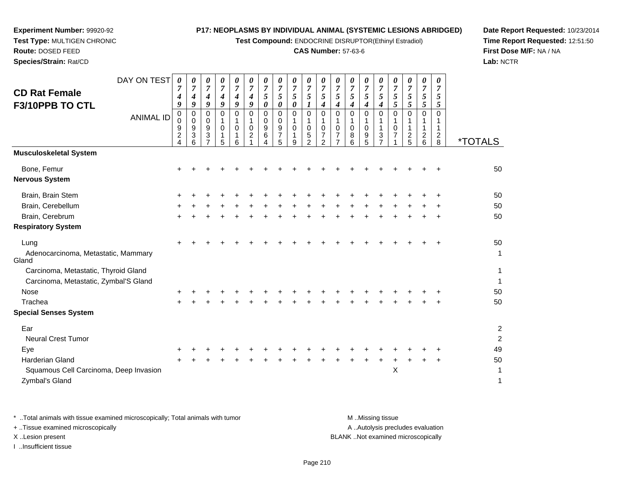**Test Compound:** ENDOCRINE DISRUPTOR(Ethinyl Estradiol)

# **CAS Number:** 57-63-6

**Date Report Requested:** 10/23/2014**Time Report Requested:** 12:51:50**First Dose M/F:** NA / NA**Lab:** NCTR

| <b>CD Rat Female</b><br>F3/10PPB TO CTL                                       | DAY ON TEST<br><b>ANIMAL ID</b> | $\boldsymbol{\theta}$<br>7<br>4<br>9<br>0<br>0<br>9<br>$\overline{\mathbf{c}}$<br>4 | 0<br>$\overline{7}$<br>4<br>9<br>0<br>0<br>9<br>3<br>6 | 0<br>$\overline{7}$<br>4<br>9<br>0<br>$\mathbf 0$<br>9<br>3<br>$\overline{7}$ | 0<br>$\overline{7}$<br>$\boldsymbol{4}$<br>9<br>$\Omega$<br>-1<br>$\Omega$<br>5 | 0<br>7<br>4<br>9<br>$\Omega$<br>$\Omega$<br>6 | 0<br>$\overline{7}$<br>4<br>9<br>$\Omega$<br>1<br>0<br>$\overline{c}$ | 0<br>$\overline{7}$<br>$\sqrt{5}$<br>$\boldsymbol{\theta}$<br>0<br>0<br>9<br>6<br>4 | 0<br>$\overline{7}$<br>5<br>0<br>0<br>$\mathbf 0$<br>9<br>$\overline{7}$<br>5 | 0<br>$\overline{7}$<br>5<br>0<br>0<br>$\mathbf{1}$<br>$\mathbf 0$<br>1<br>9 | 0<br>$\boldsymbol{7}$<br>5<br>1<br>0<br>1<br>0<br>5<br>$\overline{2}$ | 0<br>$\overline{7}$<br>$\sqrt{5}$<br>4<br>$\mathbf 0$<br>$\mathbf{1}$<br>$\mathbf 0$<br>$\overline{7}$<br>$\overline{2}$ | 0<br>$\overline{7}$<br>5<br>$\boldsymbol{4}$<br>0<br>-1<br>$\Omega$<br>7<br>$\overline{7}$ | 0<br>$\overline{7}$<br>5<br>4<br>$\Omega$<br>1<br>0<br>8<br>6 | 0<br>$\overline{7}$<br>5<br>4<br>0<br>$\mathbf 0$<br>$\frac{9}{5}$ | 0<br>$\overline{7}$<br>5<br>$\boldsymbol{4}$<br>$\Omega$<br>1<br>1<br>3<br>$\overline{7}$ | 0<br>$\overline{7}$<br>5<br>5<br>$\Omega$<br>1<br>$\mathbf 0$<br>$\overline{7}$ | 0<br>7<br>5<br>5<br>$\Omega$<br>1<br>1<br>$\frac{2}{5}$ | 0<br>$\overline{7}$<br>5<br>5<br>$\mathbf 0$<br>1<br>$\mathbf{1}$<br>$\frac{2}{6}$ | 0<br>7<br>5<br>5<br>0<br>1<br>$\overline{c}$<br>8 | <i><b>*TOTALS</b></i> |
|-------------------------------------------------------------------------------|---------------------------------|-------------------------------------------------------------------------------------|--------------------------------------------------------|-------------------------------------------------------------------------------|---------------------------------------------------------------------------------|-----------------------------------------------|-----------------------------------------------------------------------|-------------------------------------------------------------------------------------|-------------------------------------------------------------------------------|-----------------------------------------------------------------------------|-----------------------------------------------------------------------|--------------------------------------------------------------------------------------------------------------------------|--------------------------------------------------------------------------------------------|---------------------------------------------------------------|--------------------------------------------------------------------|-------------------------------------------------------------------------------------------|---------------------------------------------------------------------------------|---------------------------------------------------------|------------------------------------------------------------------------------------|---------------------------------------------------|-----------------------|
| <b>Musculoskeletal System</b>                                                 |                                 |                                                                                     |                                                        |                                                                               |                                                                                 |                                               |                                                                       |                                                                                     |                                                                               |                                                                             |                                                                       |                                                                                                                          |                                                                                            |                                                               |                                                                    |                                                                                           |                                                                                 |                                                         |                                                                                    |                                                   |                       |
| Bone, Femur<br><b>Nervous System</b>                                          |                                 |                                                                                     |                                                        |                                                                               |                                                                                 |                                               |                                                                       |                                                                                     |                                                                               |                                                                             |                                                                       |                                                                                                                          |                                                                                            |                                                               |                                                                    |                                                                                           |                                                                                 |                                                         |                                                                                    |                                                   | 50                    |
| Brain, Brain Stem                                                             |                                 |                                                                                     |                                                        |                                                                               |                                                                                 |                                               |                                                                       |                                                                                     |                                                                               |                                                                             |                                                                       |                                                                                                                          |                                                                                            |                                                               |                                                                    |                                                                                           |                                                                                 |                                                         |                                                                                    |                                                   | 50                    |
| Brain, Cerebellum                                                             |                                 |                                                                                     |                                                        |                                                                               |                                                                                 |                                               |                                                                       |                                                                                     |                                                                               |                                                                             |                                                                       |                                                                                                                          |                                                                                            |                                                               |                                                                    |                                                                                           |                                                                                 |                                                         |                                                                                    |                                                   | 50                    |
| Brain, Cerebrum                                                               |                                 | +                                                                                   |                                                        |                                                                               |                                                                                 |                                               |                                                                       |                                                                                     |                                                                               |                                                                             |                                                                       |                                                                                                                          |                                                                                            |                                                               |                                                                    |                                                                                           |                                                                                 |                                                         |                                                                                    |                                                   | 50                    |
| <b>Respiratory System</b>                                                     |                                 |                                                                                     |                                                        |                                                                               |                                                                                 |                                               |                                                                       |                                                                                     |                                                                               |                                                                             |                                                                       |                                                                                                                          |                                                                                            |                                                               |                                                                    |                                                                                           |                                                                                 |                                                         |                                                                                    |                                                   |                       |
| Lung<br>Adenocarcinoma, Metastatic, Mammary                                   |                                 |                                                                                     |                                                        |                                                                               |                                                                                 |                                               |                                                                       |                                                                                     |                                                                               |                                                                             |                                                                       |                                                                                                                          |                                                                                            |                                                               |                                                                    |                                                                                           |                                                                                 |                                                         |                                                                                    |                                                   | 50<br>$\mathbf{1}$    |
| Gland                                                                         |                                 |                                                                                     |                                                        |                                                                               |                                                                                 |                                               |                                                                       |                                                                                     |                                                                               |                                                                             |                                                                       |                                                                                                                          |                                                                                            |                                                               |                                                                    |                                                                                           |                                                                                 |                                                         |                                                                                    |                                                   |                       |
| Carcinoma, Metastatic, Thyroid Gland<br>Carcinoma, Metastatic, Zymbal'S Gland |                                 |                                                                                     |                                                        |                                                                               |                                                                                 |                                               |                                                                       |                                                                                     |                                                                               |                                                                             |                                                                       |                                                                                                                          |                                                                                            |                                                               |                                                                    |                                                                                           |                                                                                 |                                                         |                                                                                    |                                                   | 1<br>$\mathbf{1}$     |
| <b>Nose</b>                                                                   |                                 |                                                                                     |                                                        |                                                                               |                                                                                 |                                               |                                                                       |                                                                                     |                                                                               |                                                                             |                                                                       |                                                                                                                          |                                                                                            |                                                               |                                                                    |                                                                                           |                                                                                 |                                                         |                                                                                    |                                                   | 50                    |
| Trachea                                                                       |                                 |                                                                                     |                                                        |                                                                               |                                                                                 |                                               |                                                                       |                                                                                     |                                                                               |                                                                             |                                                                       |                                                                                                                          |                                                                                            |                                                               |                                                                    |                                                                                           |                                                                                 |                                                         |                                                                                    |                                                   | 50                    |
| <b>Special Senses System</b>                                                  |                                 |                                                                                     |                                                        |                                                                               |                                                                                 |                                               |                                                                       |                                                                                     |                                                                               |                                                                             |                                                                       |                                                                                                                          |                                                                                            |                                                               |                                                                    |                                                                                           |                                                                                 |                                                         |                                                                                    |                                                   |                       |
| Ear                                                                           |                                 |                                                                                     |                                                        |                                                                               |                                                                                 |                                               |                                                                       |                                                                                     |                                                                               |                                                                             |                                                                       |                                                                                                                          |                                                                                            |                                                               |                                                                    |                                                                                           |                                                                                 |                                                         |                                                                                    |                                                   | $\overline{c}$        |
| <b>Neural Crest Tumor</b>                                                     |                                 |                                                                                     |                                                        |                                                                               |                                                                                 |                                               |                                                                       |                                                                                     |                                                                               |                                                                             |                                                                       |                                                                                                                          |                                                                                            |                                                               |                                                                    |                                                                                           |                                                                                 |                                                         |                                                                                    |                                                   | $\overline{c}$        |
| Eye                                                                           |                                 |                                                                                     |                                                        |                                                                               |                                                                                 |                                               |                                                                       |                                                                                     |                                                                               |                                                                             |                                                                       |                                                                                                                          |                                                                                            |                                                               |                                                                    |                                                                                           |                                                                                 |                                                         |                                                                                    |                                                   | 49                    |
| Harderian Gland                                                               |                                 |                                                                                     |                                                        |                                                                               |                                                                                 |                                               |                                                                       |                                                                                     |                                                                               |                                                                             |                                                                       |                                                                                                                          |                                                                                            |                                                               |                                                                    |                                                                                           |                                                                                 |                                                         |                                                                                    |                                                   | 50                    |
| Squamous Cell Carcinoma, Deep Invasion<br>Zymbal's Gland                      |                                 |                                                                                     |                                                        |                                                                               |                                                                                 |                                               |                                                                       |                                                                                     |                                                                               |                                                                             |                                                                       |                                                                                                                          |                                                                                            |                                                               |                                                                    |                                                                                           | X                                                                               |                                                         |                                                                                    |                                                   | 1<br>1                |

**Experiment Number:** 99920-92**Test Type:** MULTIGEN CHRONIC

**Route:** DOSED FEED**Species/Strain:** Rat/CD

\* ..Total animals with tissue examined microscopically; Total animals with tumor **M** . Missing tissue M ..Missing tissue A ..Autolysis precludes evaluation + ..Tissue examined microscopically X ..Lesion present BLANK ..Not examined microscopicallyI ..Insufficient tissue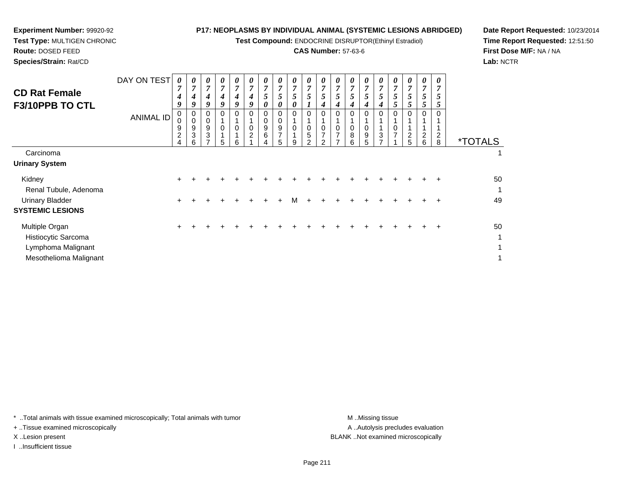**Test Compound:** ENDOCRINE DISRUPTOR(Ethinyl Estradiol)

# **CAS Number:** 57-63-6

<sup>+</sup> <sup>+</sup> <sup>+</sup> <sup>+</sup> <sup>+</sup> <sup>+</sup> <sup>+</sup> <sup>+</sup> <sup>+</sup> <sup>+</sup> <sup>+</sup> <sup>+</sup> <sup>+</sup> <sup>+</sup> <sup>+</sup> <sup>+</sup> <sup>+</sup> <sup>+</sup> <sup>50</sup>

 $\overline{a}$ 

t de la construction de la construction de la construction de la construction de la construction de la construction<br>La construction de la construction de la construction de la construction de la construction de la construc

t de la construction de la construction de la construction de la construction de la construction de la construction<br>La construction de la construction de la construction de la construction de la construction de la construc

**Date Report Requested:** 10/23/2014**Time Report Requested:** 12:51:50**First Dose M/F:** NA / NA**Lab:** NCTR

 $\overline{1}$ 

| <b>CD Rat Female</b><br>F3/10PPB TO CTL           | DAY ON TEST<br><b>ANIMAL ID</b> | 0<br>7<br>4<br>9<br>0<br>0<br>9<br>$\overline{2}$ | 0<br>7<br>4<br>9<br>0<br>0<br>9<br>3 | $\boldsymbol{\theta}$<br>7<br>4<br>9<br>9<br>3 | 0<br>7<br>4<br>9<br>0 | 0<br>$\overline{7}$<br>$\boldsymbol{4}$<br>9<br>0<br>$\mathbf 0$ | 0<br>$\overline{7}$<br>4<br>9<br>0<br>0<br>$\overline{2}$ | $\boldsymbol{\theta}$<br>7<br>C<br>0<br>0<br>9<br>6 | 0<br>7<br>5<br>0<br>9<br>$\overline{\phantom{a}}$ | 0<br>7<br>5<br>0<br>0<br>0 | 0<br>$\overline{7}$<br>5<br>0<br>$\mathbf 0$<br>5 | $\theta$<br>7<br>5<br>4<br>0<br>0<br>7 | $\boldsymbol{\theta}$<br>7<br>$\mathfrak{I}$<br>4<br>0<br>$\overline{ }$ | $\boldsymbol{\theta}$<br>7<br>5<br>4<br>0<br>8 | 0<br>7<br>5<br>4<br>0<br>9 | 0<br>7<br>5<br>4<br>3 | $\boldsymbol{\theta}$<br>$\overline{7}$<br>5<br>5<br>0<br>0<br>$\overline{ }$ | $\boldsymbol{\theta}$<br>7<br>5 <sup>5</sup><br>5<br>$\overline{2}$ | 0<br>$\overline{7}$<br>5<br>5<br>0<br>2 | 0<br>7<br>C<br>0<br>$\overline{\mathbf{c}}$ |                       |
|---------------------------------------------------|---------------------------------|---------------------------------------------------|--------------------------------------|------------------------------------------------|-----------------------|------------------------------------------------------------------|-----------------------------------------------------------|-----------------------------------------------------|---------------------------------------------------|----------------------------|---------------------------------------------------|----------------------------------------|--------------------------------------------------------------------------|------------------------------------------------|----------------------------|-----------------------|-------------------------------------------------------------------------------|---------------------------------------------------------------------|-----------------------------------------|---------------------------------------------|-----------------------|
| Carcinoma                                         |                                 | 4                                                 | 6                                    |                                                | 5                     | 6                                                                |                                                           |                                                     | 5                                                 | 9                          | $\mathcal{P}$                                     | າ                                      |                                                                          | 6                                              | 5                          |                       |                                                                               | 5                                                                   | 6                                       | 8                                           | <i><b>*TOTALS</b></i> |
| <b>Urinary System</b>                             |                                 |                                                   |                                      |                                                |                       |                                                                  |                                                           |                                                     |                                                   |                            |                                                   |                                        |                                                                          |                                                |                            |                       |                                                                               |                                                                     |                                         |                                             |                       |
| Kidney<br>Renal Tubule, Adenoma                   |                                 | $\div$                                            |                                      |                                                |                       |                                                                  |                                                           |                                                     |                                                   |                            |                                                   |                                        |                                                                          |                                                |                            |                       |                                                                               |                                                                     | $\pm$                                   |                                             | 50<br>1               |
| <b>Urinary Bladder</b><br><b>SYSTEMIC LESIONS</b> |                                 | +                                                 |                                      |                                                |                       |                                                                  | +                                                         | ÷                                                   | $\div$                                            | м                          | $\pm$                                             |                                        |                                                                          |                                                |                            |                       |                                                                               |                                                                     | +                                       | ÷                                           | 49                    |

\* ..Total animals with tissue examined microscopically; Total animals with tumor **M** ...Missing tissue M ...Missing tissue

n  $+$ 

+ ..Tissue examined microscopically

**Experiment Number:** 99920-92**Test Type:** MULTIGEN CHRONIC

**Route:** DOSED FEED**Species/Strain:** Rat/CD

Multiple Organ

Histiocytic Sarcoma

Lymphoma Malignant

Mesothelioma Malignant

I ..Insufficient tissue

A .. Autolysis precludes evaluation X ..Lesion present BLANK ..Not examined microscopically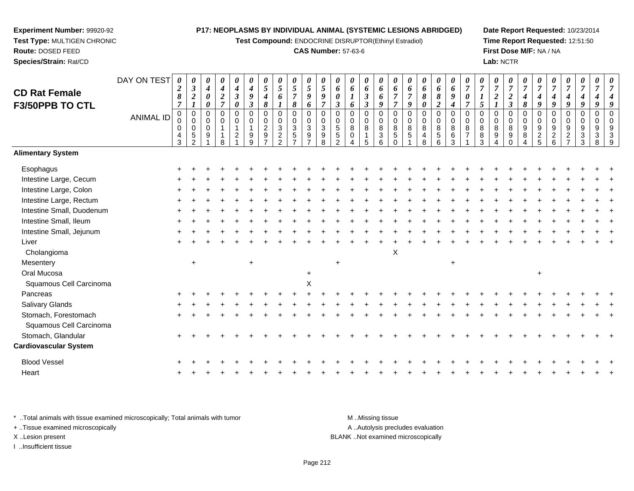**Test Compound:** ENDOCRINE DISRUPTOR(Ethinyl Estradiol)

# **CAS Number:** 57-63-6

**Date Report Requested:** 10/23/2014**Time Report Requested:** 12:51:50**First Dose M/F:** NA / NA**Lab:** NCTR

| <b>CD Rat Female</b><br>F3/50PPB TO CTL | DAY ON TEST<br><b>ANIMAL ID</b> | 0<br>$\boldsymbol{2}$<br>$\pmb{8}$<br>$\overline{7}$<br>$\pmb{0}$<br>0<br>0<br>$\frac{4}{3}$ | 0<br>$\boldsymbol{\beta}$<br>$\boldsymbol{2}$<br>$\boldsymbol{l}$<br>$\pmb{0}$<br>$\mathbf 0$<br>$\mathbf 0$<br>$\,$ 5 $\,$<br>$\mathcal{P}$ | 0<br>$\boldsymbol{4}$<br>0<br>0<br>$\Omega$<br>0<br>$\Omega$<br>9 | 0<br>$\boldsymbol{4}$<br>$\boldsymbol{2}$<br>$\overline{7}$<br>$\mathbf 0$<br>$\mathbf 0$<br>$\mathbf{1}$<br>8 | $\pmb{\theta}$<br>$\boldsymbol{4}$<br>$\boldsymbol{\beta}$<br>0<br>$\mathbf 0$<br>$\mathbf 0$<br>$\mathbf{1}$<br>$\overline{c}$ | 0<br>$\boldsymbol{4}$<br>$\boldsymbol{9}$<br>$\boldsymbol{\beta}$<br>$\mathbf 0$<br>0<br>$\mathbf{1}$<br>9<br>9 | 0<br>$\sqrt{5}$<br>4<br>8<br>$\mathbf 0$<br>$\mathbf 0$<br>$\overline{2}$<br>$\boldsymbol{9}$<br>$\overline{z}$ | 0<br>5<br>6<br>$\mathbf 0$<br>0<br>$\mathfrak{S}$<br>$\frac{2}{2}$ | $\pmb{\theta}$<br>5<br>$\overline{7}$<br>8<br>0<br>$\pmb{0}$<br>$\sqrt{3}$<br>$\sqrt{5}$<br>$\overline{ }$ | 0<br>5<br>9<br>6<br>$\pmb{0}$<br>$\pmb{0}$<br>$\sqrt{3}$<br>$\boldsymbol{9}$<br>$\overline{7}$ | $\boldsymbol{\theta}$<br>$\overline{5}$<br>$\boldsymbol{g}$<br>$\overline{7}$<br>$\mathbf 0$<br>$\mathbf 0$<br>$\mathbf{3}$<br>$\boldsymbol{9}$<br>8 | 0<br>6<br>$\boldsymbol{\theta}$<br>$\boldsymbol{\beta}$<br>$\mathbf 0$<br>$\mathbf 0$<br>$\overline{5}$<br>$\sqrt{5}$<br>$\mathcal{P}$ | 0<br>6<br>6<br>$\Omega$<br>0<br>8<br>$\Omega$ | 0<br>6<br>$\boldsymbol{\beta}$<br>$\boldsymbol{\beta}$<br>$\mathbf 0$<br>0<br>8<br>$\mathbf{1}$<br>5 | 0<br>6<br>6<br>9<br>$\mathbf 0$<br>$\pmb{0}$<br>$\,8\,$<br>$\ensuremath{\mathsf{3}}$<br>$6\phantom{1}$ | 0<br>6<br>$\overline{7}$<br>$\overline{7}$<br>$\mathbf 0$<br>$\mathbf 0$<br>$\,8\,$<br>$\sqrt{5}$<br>$\Omega$ | 0<br>6<br>$\overline{7}$<br>9<br>$\mathbf 0$<br>$\mathbf 0$<br>8<br>5 | 0<br>6<br>8<br>0<br>$\mathbf 0$<br>0<br>8<br>4<br>8 | 0<br>6<br>8<br>$\boldsymbol{2}$<br>$\pmb{0}$<br>$\mathsf 0$<br>8<br>$\sqrt{5}$<br>6 | 0<br>6<br>9<br>$\boldsymbol{4}$<br>$\mathbf 0$<br>$\pmb{0}$<br>$\,8\,$<br>$\,6\,$<br>3 | 0<br>$\overline{7}$<br>$\boldsymbol{\theta}$<br>$\overline{7}$<br>$\mathbf 0$<br>$\mathbf 0$<br>$\bf 8$<br>$\overline{7}$ | $\overline{7}$<br>$\boldsymbol{l}$<br>5<br>$\Omega$<br>$\mathbf 0$<br>$\, 8$<br>$\, 8$<br>3 | 0<br>$\overline{\tau}$<br>$\overline{\mathbf{c}}$<br>$\Omega$<br>0<br>8<br>9 | 0<br>$\overline{7}$<br>$\boldsymbol{2}$<br>$\mathfrak{z}$<br>0<br>$\mathbf 0$<br>8<br>9<br>$\Omega$ | 0<br>$\overline{7}$<br>4<br>8<br>$\mathbf 0$<br>$\mathbf 0$<br>$\boldsymbol{9}$<br>$\bf 8$<br>4 | 0<br>$\overline{7}$<br>$\boldsymbol{4}$<br>9<br>$\mathbf 0$<br>$\mathbf 0$<br>$\frac{9}{2}$ | $\overline{7}$<br>$\boldsymbol{4}$<br>9<br>$\Omega$<br>$\mathbf 0$<br>9<br>$\begin{array}{c} 2 \\ 6 \end{array}$ | 0<br>$\overline{7}$<br>4<br>9<br>0<br>0<br>9<br>$\overline{c}$<br>$\overline{7}$ | 0<br>$\overline{7}$<br>$\boldsymbol{4}$<br>9<br>0<br>$\mathbf 0$<br>9<br>$\ensuremath{\mathsf{3}}$<br>$\mathbf{3}$ | 0<br>$\overline{7}$<br>4<br>9<br>$\mathbf 0$<br>$\mathbf 0$<br>9<br>$\ensuremath{\mathsf{3}}$<br>8 | $\Omega$<br>q |
|-----------------------------------------|---------------------------------|----------------------------------------------------------------------------------------------|----------------------------------------------------------------------------------------------------------------------------------------------|-------------------------------------------------------------------|----------------------------------------------------------------------------------------------------------------|---------------------------------------------------------------------------------------------------------------------------------|-----------------------------------------------------------------------------------------------------------------|-----------------------------------------------------------------------------------------------------------------|--------------------------------------------------------------------|------------------------------------------------------------------------------------------------------------|------------------------------------------------------------------------------------------------|------------------------------------------------------------------------------------------------------------------------------------------------------|----------------------------------------------------------------------------------------------------------------------------------------|-----------------------------------------------|------------------------------------------------------------------------------------------------------|--------------------------------------------------------------------------------------------------------|---------------------------------------------------------------------------------------------------------------|-----------------------------------------------------------------------|-----------------------------------------------------|-------------------------------------------------------------------------------------|----------------------------------------------------------------------------------------|---------------------------------------------------------------------------------------------------------------------------|---------------------------------------------------------------------------------------------|------------------------------------------------------------------------------|-----------------------------------------------------------------------------------------------------|-------------------------------------------------------------------------------------------------|---------------------------------------------------------------------------------------------|------------------------------------------------------------------------------------------------------------------|----------------------------------------------------------------------------------|--------------------------------------------------------------------------------------------------------------------|----------------------------------------------------------------------------------------------------|---------------|
| <b>Alimentary System</b>                |                                 |                                                                                              |                                                                                                                                              |                                                                   |                                                                                                                |                                                                                                                                 |                                                                                                                 |                                                                                                                 |                                                                    |                                                                                                            |                                                                                                |                                                                                                                                                      |                                                                                                                                        |                                               |                                                                                                      |                                                                                                        |                                                                                                               |                                                                       |                                                     |                                                                                     |                                                                                        |                                                                                                                           |                                                                                             |                                                                              |                                                                                                     |                                                                                                 |                                                                                             |                                                                                                                  |                                                                                  |                                                                                                                    |                                                                                                    |               |
| Esophagus                               |                                 |                                                                                              |                                                                                                                                              |                                                                   |                                                                                                                |                                                                                                                                 |                                                                                                                 |                                                                                                                 |                                                                    |                                                                                                            |                                                                                                |                                                                                                                                                      |                                                                                                                                        |                                               |                                                                                                      |                                                                                                        |                                                                                                               |                                                                       |                                                     |                                                                                     |                                                                                        |                                                                                                                           |                                                                                             |                                                                              |                                                                                                     |                                                                                                 |                                                                                             |                                                                                                                  |                                                                                  |                                                                                                                    |                                                                                                    |               |
| Intestine Large, Cecum                  |                                 |                                                                                              |                                                                                                                                              |                                                                   |                                                                                                                |                                                                                                                                 |                                                                                                                 |                                                                                                                 |                                                                    |                                                                                                            |                                                                                                |                                                                                                                                                      |                                                                                                                                        |                                               |                                                                                                      |                                                                                                        |                                                                                                               |                                                                       |                                                     |                                                                                     |                                                                                        |                                                                                                                           |                                                                                             |                                                                              |                                                                                                     |                                                                                                 |                                                                                             |                                                                                                                  |                                                                                  |                                                                                                                    |                                                                                                    |               |
| Intestine Large, Colon                  |                                 |                                                                                              |                                                                                                                                              |                                                                   |                                                                                                                |                                                                                                                                 |                                                                                                                 |                                                                                                                 |                                                                    |                                                                                                            |                                                                                                |                                                                                                                                                      |                                                                                                                                        |                                               |                                                                                                      |                                                                                                        |                                                                                                               |                                                                       |                                                     |                                                                                     |                                                                                        |                                                                                                                           |                                                                                             |                                                                              |                                                                                                     |                                                                                                 |                                                                                             |                                                                                                                  |                                                                                  |                                                                                                                    |                                                                                                    |               |
| Intestine Large, Rectum                 |                                 |                                                                                              |                                                                                                                                              |                                                                   |                                                                                                                |                                                                                                                                 |                                                                                                                 |                                                                                                                 |                                                                    |                                                                                                            |                                                                                                |                                                                                                                                                      |                                                                                                                                        |                                               |                                                                                                      |                                                                                                        |                                                                                                               |                                                                       |                                                     |                                                                                     |                                                                                        |                                                                                                                           |                                                                                             |                                                                              |                                                                                                     |                                                                                                 |                                                                                             |                                                                                                                  |                                                                                  |                                                                                                                    |                                                                                                    |               |
| Intestine Small, Duodenum               |                                 |                                                                                              |                                                                                                                                              |                                                                   |                                                                                                                |                                                                                                                                 |                                                                                                                 |                                                                                                                 |                                                                    |                                                                                                            |                                                                                                |                                                                                                                                                      |                                                                                                                                        |                                               |                                                                                                      |                                                                                                        |                                                                                                               |                                                                       |                                                     |                                                                                     |                                                                                        |                                                                                                                           |                                                                                             |                                                                              |                                                                                                     |                                                                                                 |                                                                                             |                                                                                                                  |                                                                                  |                                                                                                                    |                                                                                                    |               |
| Intestine Small, Ileum                  |                                 |                                                                                              |                                                                                                                                              |                                                                   |                                                                                                                |                                                                                                                                 |                                                                                                                 |                                                                                                                 |                                                                    |                                                                                                            |                                                                                                |                                                                                                                                                      |                                                                                                                                        |                                               |                                                                                                      |                                                                                                        |                                                                                                               |                                                                       |                                                     |                                                                                     |                                                                                        |                                                                                                                           |                                                                                             |                                                                              |                                                                                                     |                                                                                                 |                                                                                             |                                                                                                                  |                                                                                  |                                                                                                                    |                                                                                                    |               |
| Intestine Small, Jejunum                |                                 |                                                                                              |                                                                                                                                              |                                                                   |                                                                                                                |                                                                                                                                 |                                                                                                                 |                                                                                                                 |                                                                    |                                                                                                            |                                                                                                |                                                                                                                                                      |                                                                                                                                        |                                               |                                                                                                      |                                                                                                        |                                                                                                               |                                                                       |                                                     |                                                                                     |                                                                                        |                                                                                                                           |                                                                                             |                                                                              |                                                                                                     |                                                                                                 |                                                                                             |                                                                                                                  |                                                                                  |                                                                                                                    |                                                                                                    |               |
| Liver                                   |                                 |                                                                                              |                                                                                                                                              |                                                                   |                                                                                                                |                                                                                                                                 |                                                                                                                 |                                                                                                                 |                                                                    |                                                                                                            |                                                                                                |                                                                                                                                                      |                                                                                                                                        |                                               |                                                                                                      |                                                                                                        |                                                                                                               |                                                                       |                                                     |                                                                                     |                                                                                        |                                                                                                                           |                                                                                             |                                                                              |                                                                                                     |                                                                                                 |                                                                                             |                                                                                                                  |                                                                                  |                                                                                                                    |                                                                                                    |               |
| Cholangioma                             |                                 |                                                                                              |                                                                                                                                              |                                                                   |                                                                                                                |                                                                                                                                 |                                                                                                                 |                                                                                                                 |                                                                    |                                                                                                            |                                                                                                |                                                                                                                                                      |                                                                                                                                        |                                               |                                                                                                      |                                                                                                        | X                                                                                                             |                                                                       |                                                     |                                                                                     |                                                                                        |                                                                                                                           |                                                                                             |                                                                              |                                                                                                     |                                                                                                 |                                                                                             |                                                                                                                  |                                                                                  |                                                                                                                    |                                                                                                    |               |
| Mesentery                               |                                 |                                                                                              | $\ddot{}$                                                                                                                                    |                                                                   |                                                                                                                |                                                                                                                                 | $\ddot{}$                                                                                                       |                                                                                                                 |                                                                    |                                                                                                            |                                                                                                |                                                                                                                                                      | $\ddot{}$                                                                                                                              |                                               |                                                                                                      |                                                                                                        |                                                                                                               |                                                                       |                                                     |                                                                                     | $\ddot{}$                                                                              |                                                                                                                           |                                                                                             |                                                                              |                                                                                                     |                                                                                                 |                                                                                             |                                                                                                                  |                                                                                  |                                                                                                                    |                                                                                                    |               |
| Oral Mucosa                             |                                 |                                                                                              |                                                                                                                                              |                                                                   |                                                                                                                |                                                                                                                                 |                                                                                                                 |                                                                                                                 |                                                                    |                                                                                                            | $\ddot{}$                                                                                      |                                                                                                                                                      |                                                                                                                                        |                                               |                                                                                                      |                                                                                                        |                                                                                                               |                                                                       |                                                     |                                                                                     |                                                                                        |                                                                                                                           |                                                                                             |                                                                              |                                                                                                     |                                                                                                 | $\ddot{}$                                                                                   |                                                                                                                  |                                                                                  |                                                                                                                    |                                                                                                    |               |
| Squamous Cell Carcinoma                 |                                 |                                                                                              |                                                                                                                                              |                                                                   |                                                                                                                |                                                                                                                                 |                                                                                                                 |                                                                                                                 |                                                                    |                                                                                                            | X                                                                                              |                                                                                                                                                      |                                                                                                                                        |                                               |                                                                                                      |                                                                                                        |                                                                                                               |                                                                       |                                                     |                                                                                     |                                                                                        |                                                                                                                           |                                                                                             |                                                                              |                                                                                                     |                                                                                                 |                                                                                             |                                                                                                                  |                                                                                  |                                                                                                                    |                                                                                                    |               |
| Pancreas                                |                                 |                                                                                              |                                                                                                                                              |                                                                   |                                                                                                                |                                                                                                                                 |                                                                                                                 |                                                                                                                 |                                                                    |                                                                                                            |                                                                                                |                                                                                                                                                      |                                                                                                                                        |                                               |                                                                                                      |                                                                                                        |                                                                                                               |                                                                       |                                                     |                                                                                     |                                                                                        |                                                                                                                           |                                                                                             |                                                                              |                                                                                                     |                                                                                                 |                                                                                             |                                                                                                                  |                                                                                  |                                                                                                                    |                                                                                                    |               |
| Salivary Glands                         |                                 |                                                                                              |                                                                                                                                              |                                                                   |                                                                                                                |                                                                                                                                 |                                                                                                                 |                                                                                                                 |                                                                    |                                                                                                            |                                                                                                |                                                                                                                                                      |                                                                                                                                        |                                               |                                                                                                      |                                                                                                        |                                                                                                               |                                                                       |                                                     |                                                                                     |                                                                                        |                                                                                                                           |                                                                                             |                                                                              |                                                                                                     |                                                                                                 |                                                                                             |                                                                                                                  |                                                                                  |                                                                                                                    |                                                                                                    |               |
| Stomach, Forestomach                    |                                 |                                                                                              |                                                                                                                                              |                                                                   |                                                                                                                |                                                                                                                                 |                                                                                                                 |                                                                                                                 |                                                                    |                                                                                                            |                                                                                                |                                                                                                                                                      |                                                                                                                                        |                                               |                                                                                                      |                                                                                                        |                                                                                                               |                                                                       |                                                     |                                                                                     |                                                                                        |                                                                                                                           |                                                                                             |                                                                              |                                                                                                     |                                                                                                 |                                                                                             |                                                                                                                  |                                                                                  |                                                                                                                    |                                                                                                    |               |
| Squamous Cell Carcinoma                 |                                 |                                                                                              |                                                                                                                                              |                                                                   |                                                                                                                |                                                                                                                                 |                                                                                                                 |                                                                                                                 |                                                                    |                                                                                                            |                                                                                                |                                                                                                                                                      |                                                                                                                                        |                                               |                                                                                                      |                                                                                                        |                                                                                                               |                                                                       |                                                     |                                                                                     |                                                                                        |                                                                                                                           |                                                                                             |                                                                              |                                                                                                     |                                                                                                 |                                                                                             |                                                                                                                  |                                                                                  |                                                                                                                    |                                                                                                    |               |
| Stomach, Glandular                      |                                 |                                                                                              |                                                                                                                                              |                                                                   |                                                                                                                |                                                                                                                                 |                                                                                                                 |                                                                                                                 |                                                                    |                                                                                                            |                                                                                                |                                                                                                                                                      |                                                                                                                                        |                                               |                                                                                                      |                                                                                                        |                                                                                                               |                                                                       |                                                     |                                                                                     |                                                                                        |                                                                                                                           |                                                                                             |                                                                              |                                                                                                     |                                                                                                 |                                                                                             |                                                                                                                  |                                                                                  |                                                                                                                    |                                                                                                    |               |
| <b>Cardiovascular System</b>            |                                 |                                                                                              |                                                                                                                                              |                                                                   |                                                                                                                |                                                                                                                                 |                                                                                                                 |                                                                                                                 |                                                                    |                                                                                                            |                                                                                                |                                                                                                                                                      |                                                                                                                                        |                                               |                                                                                                      |                                                                                                        |                                                                                                               |                                                                       |                                                     |                                                                                     |                                                                                        |                                                                                                                           |                                                                                             |                                                                              |                                                                                                     |                                                                                                 |                                                                                             |                                                                                                                  |                                                                                  |                                                                                                                    |                                                                                                    |               |
| <b>Blood Vessel</b>                     |                                 |                                                                                              |                                                                                                                                              |                                                                   |                                                                                                                |                                                                                                                                 |                                                                                                                 |                                                                                                                 |                                                                    |                                                                                                            |                                                                                                |                                                                                                                                                      |                                                                                                                                        |                                               |                                                                                                      |                                                                                                        |                                                                                                               |                                                                       |                                                     |                                                                                     |                                                                                        |                                                                                                                           |                                                                                             |                                                                              |                                                                                                     |                                                                                                 |                                                                                             |                                                                                                                  |                                                                                  |                                                                                                                    |                                                                                                    |               |
| Heart                                   |                                 |                                                                                              |                                                                                                                                              |                                                                   |                                                                                                                |                                                                                                                                 |                                                                                                                 |                                                                                                                 |                                                                    |                                                                                                            |                                                                                                |                                                                                                                                                      |                                                                                                                                        |                                               |                                                                                                      |                                                                                                        |                                                                                                               |                                                                       |                                                     |                                                                                     |                                                                                        |                                                                                                                           |                                                                                             |                                                                              |                                                                                                     |                                                                                                 |                                                                                             |                                                                                                                  |                                                                                  |                                                                                                                    |                                                                                                    |               |
|                                         |                                 |                                                                                              |                                                                                                                                              |                                                                   |                                                                                                                |                                                                                                                                 |                                                                                                                 |                                                                                                                 |                                                                    |                                                                                                            |                                                                                                |                                                                                                                                                      |                                                                                                                                        |                                               |                                                                                                      |                                                                                                        |                                                                                                               |                                                                       |                                                     |                                                                                     |                                                                                        |                                                                                                                           |                                                                                             |                                                                              |                                                                                                     |                                                                                                 |                                                                                             |                                                                                                                  |                                                                                  |                                                                                                                    |                                                                                                    |               |

\* ..Total animals with tissue examined microscopically; Total animals with tumor **M** . Missing tissue M ..Missing tissue A ..Autolysis precludes evaluation + ..Tissue examined microscopically X ..Lesion present BLANK ..Not examined microscopicallyI ..Insufficient tissue

**Experiment Number:** 99920-92**Test Type:** MULTIGEN CHRONIC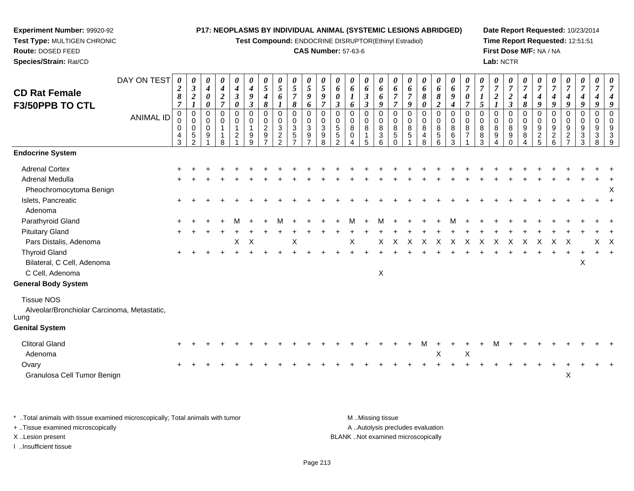**Test Compound:** ENDOCRINE DISRUPTOR(Ethinyl Estradiol)

# **CAS Number:** 57-63-6

**Date Report Requested:** 10/23/2014**Time Report Requested:** 12:51:51**First Dose M/F:** NA / NA**Lab:** NCTR

| <b>CD Rat Female</b><br>F3/50PPB TO CTL                                  | DAY ON TEST      | 0<br>$\boldsymbol{2}$<br>8<br>$\overline{7}$ | 0<br>$\boldsymbol{\beta}$<br>$\boldsymbol{2}$<br>$\boldsymbol{l}$       | 0<br>$\boldsymbol{4}$<br>0<br>$\pmb{\theta}$ | 0<br>$\boldsymbol{4}$<br>$\boldsymbol{2}$<br>$\overline{7}$ | 0<br>$\boldsymbol{4}$<br>$\boldsymbol{\beta}$<br>$\boldsymbol{\theta}$ | 0<br>$\boldsymbol{4}$<br>9<br>$\boldsymbol{\beta}$ | 0<br>$\mathfrak{s}$<br>4<br>8                       | 0<br>5<br>6                                               | 0<br>$\mathfrak{s}$<br>$\overline{7}$<br>$\pmb{8}$                                    | 0<br>5<br>9<br>6                                                             | 0<br>5<br>9<br>$\overline{7}$            | 0<br>6<br>$\boldsymbol{\theta}$<br>$\mathfrak{z}$                        | 0<br>6<br>1<br>6                             | 0<br>6<br>$\boldsymbol{\beta}$<br>$\boldsymbol{\beta}$     | 0<br>6<br>6<br>9          | 0<br>6<br>$\overline{7}$<br>$\overline{7}$ | 0<br>6<br>$\overline{\tau}$<br>9 | 0<br>6<br>$\pmb{8}$<br>0                                   | 0<br>6<br>$\pmb{8}$<br>$\overline{2}$                       | 0<br>6<br>$\boldsymbol{g}$<br>$\boldsymbol{4}$        | 0<br>$\overline{7}$<br>$\boldsymbol{\theta}$<br>$\overline{7}$ | 0<br>$\overline{7}$<br>5        | 0<br>$\boldsymbol{7}$<br>$\overline{a}$<br>$\boldsymbol{l}$ | 0<br>$\overline{7}$<br>$\boldsymbol{2}$<br>$\mathfrak{z}$ | $\overline{7}$<br>$\boldsymbol{4}$<br>8      | 0<br>$\overline{7}$<br>$\boldsymbol{4}$<br>9                    | 0<br>$\overline{7}$<br>$\boldsymbol{4}$<br>$\boldsymbol{g}$ | 0<br>$\boldsymbol{7}$<br>$\boldsymbol{4}$<br>$\boldsymbol{9}$ | 0<br>$\overline{7}$<br>$\boldsymbol{4}$<br>9 | 0<br>$\overline{7}$<br>4<br>9  | 0<br>$\overline{7}$<br>4<br>9             |
|--------------------------------------------------------------------------|------------------|----------------------------------------------|-------------------------------------------------------------------------|----------------------------------------------|-------------------------------------------------------------|------------------------------------------------------------------------|----------------------------------------------------|-----------------------------------------------------|-----------------------------------------------------------|---------------------------------------------------------------------------------------|------------------------------------------------------------------------------|------------------------------------------|--------------------------------------------------------------------------|----------------------------------------------|------------------------------------------------------------|---------------------------|--------------------------------------------|----------------------------------|------------------------------------------------------------|-------------------------------------------------------------|-------------------------------------------------------|----------------------------------------------------------------|---------------------------------|-------------------------------------------------------------|-----------------------------------------------------------|----------------------------------------------|-----------------------------------------------------------------|-------------------------------------------------------------|---------------------------------------------------------------|----------------------------------------------|--------------------------------|-------------------------------------------|
|                                                                          | <b>ANIMAL ID</b> | 0<br>$\mathbf 0$<br>$\Omega$<br>4<br>3       | $\mathbf 0$<br>$\pmb{0}$<br>$\mathbf 0$<br>$\sqrt{5}$<br>$\overline{2}$ | 0<br>0<br>$\mathbf 0$<br>9                   | 0<br>$\mathbf 0$<br>8                                       | $\mathbf 0$<br>$\mathbf 0$<br>$\overline{1}$<br>$\overline{c}$         | $\Omega$<br>0<br>1<br>9<br>9                       | $\mathbf 0$<br>$\mathbf 0$<br>$\boldsymbol{2}$<br>9 | 0<br>0<br>$\mathbf{3}$<br>$\overline{c}$<br>$\mathcal{P}$ | 0<br>$\mathsf{O}\xspace$<br>$\ensuremath{\mathsf{3}}$<br>$\sqrt{5}$<br>$\overline{ }$ | $\mathbf 0$<br>$\pmb{0}$<br>$\sqrt{3}$<br>$\boldsymbol{9}$<br>$\overline{7}$ | 0<br>$\mathbf 0$<br>$\sqrt{3}$<br>9<br>8 | $\mathbf 0$<br>$\mathbf 0$<br>$\,$ 5 $\,$<br>$\sqrt{5}$<br>$\mathcal{P}$ | 0<br>0<br>8<br>$\mathbf 0$<br>$\overline{A}$ | $\mathbf 0$<br>$\pmb{0}$<br>$\bf 8$<br>$\overline{1}$<br>5 | 0<br>0<br>8<br>3<br>6     | 0<br>$\mathbf 0$<br>8<br>$\sqrt{5}$        | $\mathbf 0$<br>0<br>8<br>5       | 0<br>$\mathsf{O}\xspace$<br>$\bf 8$<br>$\overline{4}$<br>8 | $\boldsymbol{0}$<br>$\pmb{0}$<br>$\,8\,$<br>$\sqrt{5}$<br>6 | $\mathbf 0$<br>$\mathbf 0$<br>$\,8\,$<br>$\,6\,$<br>3 | $\mathbf 0$<br>$\mathbf 0$<br>8<br>$\overline{7}$              | $\mathbf 0$<br>0<br>8<br>8<br>3 | 0<br>$\mathbf 0$<br>8<br>9<br>4                             | 0<br>0<br>8<br>9<br>$\mathbf 0$                           | 0<br>$\mathbf 0$<br>9<br>8<br>$\overline{4}$ | $\mathbf 0$<br>$\mathbf 0$<br>$\boldsymbol{9}$<br>$\frac{2}{5}$ | $\pmb{0}$<br>$\boldsymbol{0}$<br>$\frac{9}{2}$ 6            | 0<br>0<br>9<br>$\overline{c}$<br>$\overline{7}$               | $\mathbf 0$<br>0<br>9<br>$\mathbf{3}$<br>3   | 0<br>0<br>9<br>$\sqrt{3}$<br>8 | $\mathbf 0$<br>$\mathbf 0$<br>9<br>3<br>9 |
| <b>Endocrine System</b>                                                  |                  |                                              |                                                                         |                                              |                                                             |                                                                        |                                                    |                                                     |                                                           |                                                                                       |                                                                              |                                          |                                                                          |                                              |                                                            |                           |                                            |                                  |                                                            |                                                             |                                                       |                                                                |                                 |                                                             |                                                           |                                              |                                                                 |                                                             |                                                               |                                              |                                |                                           |
| <b>Adrenal Cortex</b>                                                    |                  |                                              |                                                                         |                                              |                                                             |                                                                        |                                                    |                                                     |                                                           |                                                                                       |                                                                              |                                          |                                                                          |                                              |                                                            |                           |                                            |                                  |                                                            |                                                             |                                                       |                                                                |                                 |                                                             |                                                           |                                              |                                                                 |                                                             |                                                               |                                              |                                |                                           |
| <b>Adrenal Medulla</b><br>Pheochromocytoma Benign                        |                  |                                              |                                                                         |                                              |                                                             |                                                                        |                                                    |                                                     |                                                           |                                                                                       |                                                                              |                                          |                                                                          |                                              |                                                            |                           |                                            |                                  |                                                            |                                                             |                                                       |                                                                |                                 |                                                             |                                                           |                                              |                                                                 |                                                             |                                                               |                                              |                                | $\times$                                  |
| Islets, Pancreatic<br>Adenoma                                            |                  |                                              |                                                                         |                                              |                                                             |                                                                        |                                                    |                                                     |                                                           |                                                                                       |                                                                              |                                          |                                                                          |                                              |                                                            |                           |                                            |                                  |                                                            |                                                             |                                                       |                                                                |                                 |                                                             |                                                           |                                              |                                                                 |                                                             |                                                               |                                              |                                |                                           |
| Parathyroid Gland                                                        |                  |                                              |                                                                         |                                              |                                                             |                                                                        |                                                    |                                                     |                                                           |                                                                                       |                                                                              |                                          |                                                                          |                                              |                                                            |                           |                                            |                                  |                                                            |                                                             |                                                       |                                                                |                                 |                                                             |                                                           |                                              |                                                                 |                                                             |                                                               |                                              |                                |                                           |
| <b>Pituitary Gland</b>                                                   |                  |                                              |                                                                         |                                              |                                                             |                                                                        |                                                    |                                                     |                                                           |                                                                                       |                                                                              |                                          |                                                                          |                                              |                                                            |                           |                                            |                                  |                                                            |                                                             |                                                       |                                                                |                                 |                                                             |                                                           |                                              |                                                                 |                                                             |                                                               |                                              |                                |                                           |
| Pars Distalis, Adenoma                                                   |                  |                                              |                                                                         |                                              |                                                             | X                                                                      | X                                                  |                                                     |                                                           | $\boldsymbol{\mathsf{X}}$                                                             |                                                                              |                                          |                                                                          | X                                            |                                                            | X                         | X                                          | X                                | X                                                          | X                                                           | X                                                     |                                                                | Χ                               |                                                             | х                                                         |                                              |                                                                 | X                                                           | X                                                             |                                              | $X$ $X$                        |                                           |
| <b>Thyroid Gland</b>                                                     |                  |                                              |                                                                         |                                              |                                                             |                                                                        |                                                    |                                                     |                                                           |                                                                                       |                                                                              |                                          |                                                                          |                                              |                                                            |                           |                                            |                                  |                                                            |                                                             |                                                       |                                                                |                                 |                                                             |                                                           |                                              |                                                                 |                                                             |                                                               |                                              |                                |                                           |
| Bilateral, C Cell, Adenoma                                               |                  |                                              |                                                                         |                                              |                                                             |                                                                        |                                                    |                                                     |                                                           |                                                                                       |                                                                              |                                          |                                                                          |                                              |                                                            |                           |                                            |                                  |                                                            |                                                             |                                                       |                                                                |                                 |                                                             |                                                           |                                              |                                                                 |                                                             |                                                               | $\boldsymbol{\mathsf{X}}$                    |                                |                                           |
| C Cell, Adenoma                                                          |                  |                                              |                                                                         |                                              |                                                             |                                                                        |                                                    |                                                     |                                                           |                                                                                       |                                                                              |                                          |                                                                          |                                              |                                                            | $\boldsymbol{\mathsf{X}}$ |                                            |                                  |                                                            |                                                             |                                                       |                                                                |                                 |                                                             |                                                           |                                              |                                                                 |                                                             |                                                               |                                              |                                |                                           |
| <b>General Body System</b>                                               |                  |                                              |                                                                         |                                              |                                                             |                                                                        |                                                    |                                                     |                                                           |                                                                                       |                                                                              |                                          |                                                                          |                                              |                                                            |                           |                                            |                                  |                                                            |                                                             |                                                       |                                                                |                                 |                                                             |                                                           |                                              |                                                                 |                                                             |                                                               |                                              |                                |                                           |
| <b>Tissue NOS</b><br>Alveolar/Bronchiolar Carcinoma, Metastatic,<br>Lung |                  |                                              |                                                                         |                                              |                                                             |                                                                        |                                                    |                                                     |                                                           |                                                                                       |                                                                              |                                          |                                                                          |                                              |                                                            |                           |                                            |                                  |                                                            |                                                             |                                                       |                                                                |                                 |                                                             |                                                           |                                              |                                                                 |                                                             |                                                               |                                              |                                |                                           |
| <b>Genital System</b>                                                    |                  |                                              |                                                                         |                                              |                                                             |                                                                        |                                                    |                                                     |                                                           |                                                                                       |                                                                              |                                          |                                                                          |                                              |                                                            |                           |                                            |                                  |                                                            |                                                             |                                                       |                                                                |                                 |                                                             |                                                           |                                              |                                                                 |                                                             |                                                               |                                              |                                |                                           |
| <b>Clitoral Gland</b><br>Adenoma                                         |                  |                                              |                                                                         |                                              |                                                             |                                                                        |                                                    |                                                     |                                                           |                                                                                       |                                                                              |                                          |                                                                          |                                              |                                                            |                           |                                            |                                  |                                                            | X                                                           |                                                       | $\boldsymbol{\mathsf{X}}$                                      |                                 |                                                             |                                                           |                                              |                                                                 |                                                             |                                                               |                                              |                                |                                           |
| Ovary<br>Granulosa Cell Tumor Benign                                     |                  |                                              |                                                                         |                                              |                                                             |                                                                        |                                                    |                                                     |                                                           |                                                                                       |                                                                              |                                          |                                                                          |                                              |                                                            |                           |                                            |                                  |                                                            |                                                             |                                                       |                                                                |                                 |                                                             |                                                           |                                              |                                                                 |                                                             | X                                                             |                                              |                                |                                           |
|                                                                          |                  |                                              |                                                                         |                                              |                                                             |                                                                        |                                                    |                                                     |                                                           |                                                                                       |                                                                              |                                          |                                                                          |                                              |                                                            |                           |                                            |                                  |                                                            |                                                             |                                                       |                                                                |                                 |                                                             |                                                           |                                              |                                                                 |                                                             |                                                               |                                              |                                |                                           |

\* ..Total animals with tissue examined microscopically; Total animals with tumor **M** . Missing tissue M ..Missing tissue A ..Autolysis precludes evaluation + ..Tissue examined microscopically X ..Lesion present BLANK ..Not examined microscopicallyI ..Insufficient tissue

**Experiment Number:** 99920-92**Test Type:** MULTIGEN CHRONIC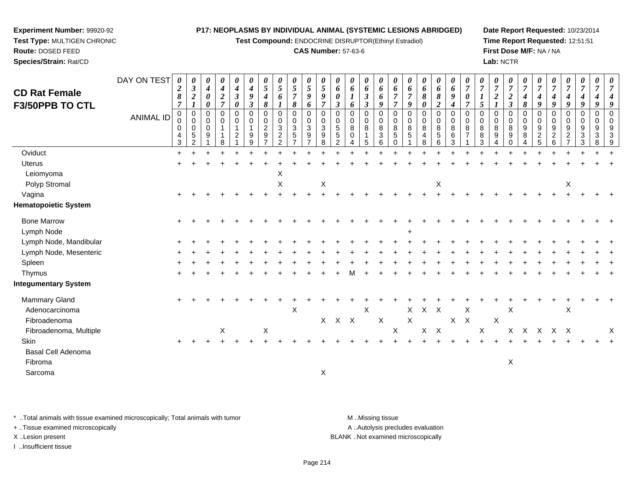**Test Compound:** ENDOCRINE DISRUPTOR(Ethinyl Estradiol)

## **CAS Number:** 57-63-6

**Date Report Requested:** 10/23/2014**Time Report Requested:** 12:51:51**First Dose M/F:** NA / NA**Lab:** NCTR

| <b>CD Rat Female</b><br><b>F3/50PPB TO CTL</b> | DAY ON TEST      | $\boldsymbol{\theta}$<br>$\boldsymbol{2}$<br>8<br>$\overline{7}$ | 0<br>$\boldsymbol{\beta}$<br>$\boldsymbol{2}$         | 0<br>$\boldsymbol{4}$<br>0<br>0 | $\boldsymbol{\theta}$<br>$\boldsymbol{4}$<br>$\boldsymbol{2}$<br>$\overline{7}$ | 0<br>$\boldsymbol{4}$<br>$\boldsymbol{\beta}$<br>0 | 0<br>4<br>9<br>3                  | 0<br>5<br>4<br>8              | 0<br>$5\phantom{.0}$<br>6              | 0<br>$\sqrt{5}$<br>$\overline{7}$<br>8                          | 0<br>$\mathfrak{H}$<br>9<br>6                                         | 0<br>$\overline{5}$<br>9<br>$\overline{7}$ | 0<br>6<br>0<br>$\boldsymbol{\beta}$          | 0<br>6<br>$\boldsymbol{l}$<br>6                     | 0<br>6<br>$\mathfrak{z}$<br>$\mathfrak{z}$ | 0<br>6<br>6<br>9                                           | 0<br>6<br>$\overline{7}$                         | 0<br>6<br>$\overline{7}$<br>9 | 0<br>6<br>8<br>0                                       | 0<br>6<br>8<br>$\overline{2}$                   | 0<br>6<br>9<br>$\boldsymbol{4}$     | 0<br>$\overline{7}$<br>0        | 0<br>$\overline{7}$<br>5                        | 0<br>$\overline{7}$<br>$\boldsymbol{2}$<br>$\boldsymbol{l}$ | 0<br>$\overline{7}$<br>$\boldsymbol{2}$<br>$\mathbf{3}$ | 0<br>$\overline{7}$<br>4<br>8                        | 0<br>$\overline{7}$<br>4<br>9 | 0<br>$\overline{7}$<br>4<br>9      | $\boldsymbol{\theta}$<br>$\overline{7}$<br>$\boldsymbol{4}$<br>9 | 0<br>$\overline{7}$<br>4<br>9                                      | 0<br>$\overline{7}$<br>9 | 0<br>$\overline{7}$<br>$\overline{4}$<br>9 |
|------------------------------------------------|------------------|------------------------------------------------------------------|-------------------------------------------------------|---------------------------------|---------------------------------------------------------------------------------|----------------------------------------------------|-----------------------------------|-------------------------------|----------------------------------------|-----------------------------------------------------------------|-----------------------------------------------------------------------|--------------------------------------------|----------------------------------------------|-----------------------------------------------------|--------------------------------------------|------------------------------------------------------------|--------------------------------------------------|-------------------------------|--------------------------------------------------------|-------------------------------------------------|-------------------------------------|---------------------------------|-------------------------------------------------|-------------------------------------------------------------|---------------------------------------------------------|------------------------------------------------------|-------------------------------|------------------------------------|------------------------------------------------------------------|--------------------------------------------------------------------|--------------------------|--------------------------------------------|
|                                                | <b>ANIMAL ID</b> | $\mathbf 0$<br>0<br>0<br>4<br>$\mathbf{3}$                       | 0<br>0<br>$\mathbf 0$<br>$\sqrt{5}$<br>$\overline{2}$ | 0<br>0<br>0<br>9                | $\mathbf 0$<br>$\mathbf 0$<br>$\mathbf 1$<br>8                                  | 0<br>0<br>1<br>$\overline{c}$                      | $\mathbf 0$<br>$\Omega$<br>9<br>9 | 0<br>0<br>$\overline{2}$<br>9 | $\mathbf 0$<br>0<br>3<br>$\frac{2}{2}$ | $\mathbf 0$<br>$\mathbf 0$<br>3<br>$\sqrt{5}$<br>$\overline{ }$ | $\mathbf 0$<br>$\mathbf 0$<br>3<br>$\boldsymbol{9}$<br>$\overline{7}$ | $\mathbf 0$<br>0<br>3<br>9<br>8            | 0<br>$\mathbf 0$<br>5<br>5<br>$\overline{c}$ | $\mathbf 0$<br>$\mathbf 0$<br>8<br>$\mathbf 0$<br>4 | $\mathbf 0$<br>0<br>8<br>$\mathbf{1}$<br>5 | $\Omega$<br>0<br>8<br>$\ensuremath{\mathsf{3}}$<br>$\,6\,$ | $\mathbf 0$<br>$\mathbf 0$<br>8<br>5<br>$\Omega$ | 0<br>$\mathbf 0$<br>8<br>5    | $\mathbf 0$<br>$\mathbf 0$<br>8<br>$\overline{4}$<br>8 | $\mathbf 0$<br>$\mathbf 0$<br>$\bf 8$<br>5<br>6 | $\mathbf 0$<br>0<br>8<br>$\,6$<br>3 | $\mathbf 0$<br>$\mathbf 0$<br>8 | $\mathbf 0$<br>$\mathbf 0$<br>8<br>$\bf 8$<br>3 | 0<br>0<br>8<br>9<br>4                                       | 0<br>0<br>8<br>9<br>0                                   | $\mathbf 0$<br>0<br>$\boldsymbol{9}$<br>$\bf 8$<br>4 | 0<br>0<br>9<br>$rac{2}{5}$    | 0<br>0<br>9<br>$\overline{c}$<br>6 | $\mathbf 0$<br>$\mathbf 0$<br>9<br>$\frac{2}{7}$                 | $\mathbf 0$<br>0<br>9<br>$\ensuremath{\mathsf{3}}$<br>$\mathbf{3}$ | 0<br>0<br>9<br>3<br>8    | $\Omega$<br>$\mathbf 0$<br>9<br>3<br>9     |
| Oviduct                                        |                  |                                                                  |                                                       |                                 |                                                                                 |                                                    |                                   |                               |                                        |                                                                 |                                                                       |                                            |                                              |                                                     |                                            |                                                            |                                                  |                               |                                                        |                                                 |                                     |                                 |                                                 |                                                             |                                                         |                                                      |                               |                                    |                                                                  |                                                                    |                          |                                            |
| <b>Uterus</b><br>Leiomyoma                     |                  |                                                                  |                                                       |                                 |                                                                                 |                                                    |                                   |                               | X                                      |                                                                 |                                                                       |                                            |                                              |                                                     |                                            |                                                            |                                                  |                               |                                                        |                                                 |                                     |                                 |                                                 |                                                             |                                                         |                                                      |                               |                                    |                                                                  |                                                                    |                          |                                            |
| Polyp Stromal                                  |                  |                                                                  |                                                       |                                 |                                                                                 |                                                    |                                   |                               | $\pmb{\times}$                         |                                                                 |                                                                       | $\boldsymbol{\mathsf{X}}$                  |                                              |                                                     |                                            |                                                            |                                                  |                               |                                                        | X                                               |                                     |                                 |                                                 |                                                             |                                                         |                                                      |                               |                                    | X                                                                |                                                                    |                          |                                            |
| Vagina<br><b>Hematopoietic System</b>          |                  |                                                                  |                                                       |                                 |                                                                                 |                                                    |                                   |                               |                                        |                                                                 |                                                                       |                                            |                                              |                                                     |                                            |                                                            |                                                  |                               |                                                        |                                                 |                                     |                                 |                                                 |                                                             |                                                         |                                                      |                               |                                    |                                                                  |                                                                    |                          |                                            |
| <b>Bone Marrow</b><br>Lymph Node               |                  | $\ddot{}$                                                        |                                                       |                                 |                                                                                 |                                                    |                                   |                               |                                        |                                                                 |                                                                       |                                            |                                              |                                                     |                                            |                                                            |                                                  |                               |                                                        |                                                 |                                     |                                 |                                                 |                                                             |                                                         |                                                      |                               |                                    |                                                                  |                                                                    |                          |                                            |
| Lymph Node, Mandibular                         |                  |                                                                  |                                                       |                                 |                                                                                 |                                                    |                                   |                               |                                        |                                                                 |                                                                       |                                            |                                              |                                                     |                                            |                                                            |                                                  |                               |                                                        |                                                 |                                     |                                 |                                                 |                                                             |                                                         |                                                      |                               |                                    |                                                                  |                                                                    |                          |                                            |
| Lymph Node, Mesenteric                         |                  |                                                                  |                                                       |                                 |                                                                                 |                                                    |                                   |                               |                                        |                                                                 |                                                                       |                                            |                                              |                                                     |                                            |                                                            |                                                  |                               |                                                        |                                                 |                                     |                                 |                                                 |                                                             |                                                         |                                                      |                               |                                    |                                                                  |                                                                    |                          |                                            |
| Spleen                                         |                  |                                                                  |                                                       |                                 |                                                                                 |                                                    |                                   |                               |                                        |                                                                 |                                                                       |                                            |                                              |                                                     |                                            |                                                            |                                                  |                               |                                                        |                                                 |                                     |                                 |                                                 |                                                             |                                                         |                                                      |                               |                                    |                                                                  |                                                                    |                          |                                            |
| Thymus<br><b>Integumentary System</b>          |                  |                                                                  |                                                       |                                 |                                                                                 |                                                    |                                   |                               |                                        |                                                                 |                                                                       |                                            |                                              |                                                     |                                            |                                                            |                                                  |                               |                                                        |                                                 |                                     |                                 |                                                 |                                                             |                                                         |                                                      |                               |                                    |                                                                  |                                                                    |                          |                                            |
| Mammary Gland<br>Adenocarcinoma                |                  | $\ddot{}$                                                        |                                                       |                                 |                                                                                 |                                                    |                                   |                               |                                        | $\mathsf X$                                                     |                                                                       |                                            |                                              |                                                     | $\mathsf{X}$                               |                                                            |                                                  | $\mathsf{X}$                  | X X                                                    |                                                 |                                     | X                               |                                                 |                                                             | X                                                       |                                                      |                               |                                    | X                                                                |                                                                    |                          |                                            |
| Fibroadenoma                                   |                  |                                                                  |                                                       |                                 |                                                                                 |                                                    |                                   |                               |                                        |                                                                 |                                                                       |                                            | X X X                                        |                                                     |                                            | $\mathsf X$                                                |                                                  | $\mathsf{X}$                  |                                                        |                                                 |                                     | $X$ $X$                         |                                                 | X                                                           |                                                         |                                                      |                               |                                    |                                                                  |                                                                    |                          |                                            |
| Fibroadenoma, Multiple                         |                  |                                                                  |                                                       |                                 | X                                                                               |                                                    |                                   | X                             |                                        |                                                                 |                                                                       |                                            |                                              |                                                     |                                            |                                                            | X                                                |                               |                                                        | $\mathsf{X}-\mathsf{X}$                         |                                     |                                 | $\boldsymbol{\mathsf{X}}$                       |                                                             | X                                                       |                                                      | X X X X                       |                                    |                                                                  |                                                                    |                          | Χ                                          |
| <b>Skin</b>                                    |                  | $\ddot{}$                                                        |                                                       |                                 |                                                                                 |                                                    |                                   |                               |                                        |                                                                 |                                                                       |                                            |                                              |                                                     |                                            |                                                            |                                                  |                               |                                                        |                                                 |                                     |                                 |                                                 |                                                             |                                                         |                                                      |                               |                                    |                                                                  |                                                                    |                          |                                            |
| Basal Cell Adenoma                             |                  |                                                                  |                                                       |                                 |                                                                                 |                                                    |                                   |                               |                                        |                                                                 |                                                                       |                                            |                                              |                                                     |                                            |                                                            |                                                  |                               |                                                        |                                                 |                                     |                                 |                                                 |                                                             |                                                         |                                                      |                               |                                    |                                                                  |                                                                    |                          |                                            |
| Fibroma                                        |                  |                                                                  |                                                       |                                 |                                                                                 |                                                    |                                   |                               |                                        |                                                                 |                                                                       |                                            |                                              |                                                     |                                            |                                                            |                                                  |                               |                                                        |                                                 |                                     |                                 |                                                 |                                                             | $\boldsymbol{\mathsf{X}}$                               |                                                      |                               |                                    |                                                                  |                                                                    |                          |                                            |
| Sarcoma                                        |                  |                                                                  |                                                       |                                 |                                                                                 |                                                    |                                   |                               |                                        |                                                                 |                                                                       | X                                          |                                              |                                                     |                                            |                                                            |                                                  |                               |                                                        |                                                 |                                     |                                 |                                                 |                                                             |                                                         |                                                      |                               |                                    |                                                                  |                                                                    |                          |                                            |
|                                                |                  |                                                                  |                                                       |                                 |                                                                                 |                                                    |                                   |                               |                                        |                                                                 |                                                                       |                                            |                                              |                                                     |                                            |                                                            |                                                  |                               |                                                        |                                                 |                                     |                                 |                                                 |                                                             |                                                         |                                                      |                               |                                    |                                                                  |                                                                    |                          |                                            |

\* ..Total animals with tissue examined microscopically; Total animals with tumor **M** . Missing tissue M ..Missing tissue

+ ..Tissue examined microscopically

**Experiment Number:** 99920-92**Test Type:** MULTIGEN CHRONIC

**Route:** DOSED FEED**Species/Strain:** Rat/CD

I ..Insufficient tissue

A ..Autolysis precludes evaluation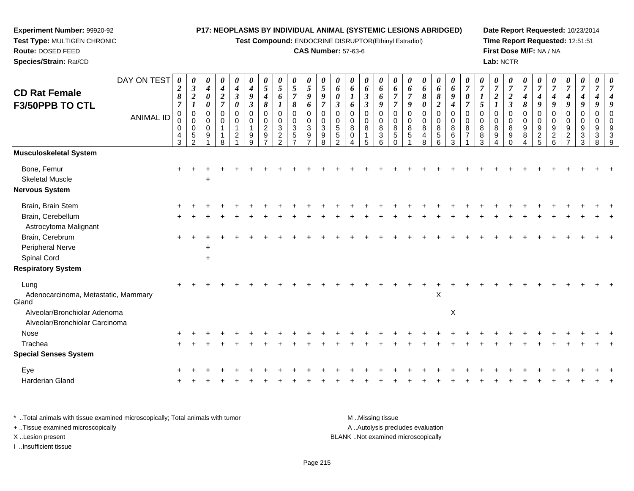**Test Compound:** ENDOCRINE DISRUPTOR(Ethinyl Estradiol)

# **CAS Number:** 57-63-6

**Date Report Requested:** 10/23/2014**Time Report Requested:** 12:51:51**First Dose M/F:** NA / NA**Lab:** NCTR

| <b>CD Rat Female</b>                                           | DAY ON TEST      | 0<br>$\boldsymbol{2}$<br>8                                | 0<br>$\boldsymbol{\beta}$<br>$\boldsymbol{2}$                            | $\boldsymbol{\theta}$<br>$\boldsymbol{4}$<br>$\boldsymbol{\theta}$  | $\pmb{\theta}$<br>$\boldsymbol{4}$<br>$\boldsymbol{2}$                        | 0<br>4<br>$\boldsymbol{\beta}$                         | 0<br>$\boldsymbol{4}$<br>$\pmb{9}$                        | 0<br>5<br>4                                              | 0<br>5<br>6                                                                   | $\boldsymbol{\theta}$<br>$\mathfrak{s}$<br>$\overline{7}$            | 0<br>$\overline{5}$<br>9                             | 0<br>5<br>9                                  | 0<br>6<br>0                                                      | 0<br>6<br>$\boldsymbol{l}$                  | 0<br>6<br>$\mathfrak{z}$                                                           | 0<br>6<br>6                                     | 0<br>6<br>$\overline{7}$                               | 0<br>6<br>$\overline{7}$               | 0<br>6<br>8                      | 0<br>6<br>8                                                             | $\boldsymbol{\theta}$<br>6<br>9                | 0<br>$\overline{7}$<br>$\boldsymbol{\theta}$ | 0<br>$\boldsymbol{7}$<br>$\boldsymbol{l}$  | 0<br>$\boldsymbol{7}$<br>$\boldsymbol{2}$ | 0<br>$\overline{7}$<br>$\boldsymbol{2}$            | $\overline{7}$<br>$\boldsymbol{4}$          | 0<br>$\overline{7}$<br>4                                                                | 0<br>$\overline{7}$<br>4                               | 0<br>$\boldsymbol{7}$<br>4                                  | 0<br>$\overline{7}$<br>4                    | 0<br>$\overline{7}$                  | 0<br>7                                         |
|----------------------------------------------------------------|------------------|-----------------------------------------------------------|--------------------------------------------------------------------------|---------------------------------------------------------------------|-------------------------------------------------------------------------------|--------------------------------------------------------|-----------------------------------------------------------|----------------------------------------------------------|-------------------------------------------------------------------------------|----------------------------------------------------------------------|------------------------------------------------------|----------------------------------------------|------------------------------------------------------------------|---------------------------------------------|------------------------------------------------------------------------------------|-------------------------------------------------|--------------------------------------------------------|----------------------------------------|----------------------------------|-------------------------------------------------------------------------|------------------------------------------------|----------------------------------------------|--------------------------------------------|-------------------------------------------|----------------------------------------------------|---------------------------------------------|-----------------------------------------------------------------------------------------|--------------------------------------------------------|-------------------------------------------------------------|---------------------------------------------|--------------------------------------|------------------------------------------------|
| F3/50PPB TO CTL                                                | <b>ANIMAL ID</b> | $\overline{7}$<br>$\pmb{0}$<br>0<br>$\mathbf 0$<br>4<br>3 | $\pmb{0}$<br>$\mathsf 0$<br>$\mathbf 0$<br>$\,$ 5 $\,$<br>$\mathfrak{p}$ | $\boldsymbol{\theta}$<br>$\pmb{0}$<br>$\pmb{0}$<br>$\mathbf 0$<br>9 | $\overline{7}$<br>$\pmb{0}$<br>$\pmb{0}$<br>$\mathbf{1}$<br>$\mathbf{1}$<br>8 | 0<br>$\mathbf 0$<br>0<br>$\mathbf 1$<br>$\overline{c}$ | $\boldsymbol{\beta}$<br>$\mathbf 0$<br>$\Omega$<br>9<br>q | 8<br>$\mathbf 0$<br>$\mathbf 0$<br>$\boldsymbol{2}$<br>9 | $\mathsf 0$<br>$\mathbf 0$<br>$\mathbf{3}$<br>$\overline{2}$<br>$\mathcal{P}$ | 8<br>$\pmb{0}$<br>$\mathbf 0$<br>$\mathbf{3}$<br>5<br>$\overline{ }$ | 6<br>$\mathbf 0$<br>$\mathbf 0$<br>$\mathbf{3}$<br>9 | 7<br>$\Omega$<br>0<br>$\mathbf{3}$<br>9<br>8 | $\boldsymbol{\beta}$<br>$\Omega$<br>0<br>5<br>5<br>$\mathcal{P}$ | 6<br>$\pmb{0}$<br>$\pmb{0}$<br>$\,8\,$<br>0 | $\boldsymbol{\beta}$<br>$\pmb{0}$<br>$\mathbf 0$<br>$\,8\,$<br>$\overline{1}$<br>5 | 9<br>0<br>$\mathbf 0$<br>8<br>$\mathbf{3}$<br>6 | $\overline{7}$<br>$\mathbf 0$<br>$\mathbf 0$<br>8<br>5 | 9<br>$\mathbf 0$<br>$\Omega$<br>8<br>5 | 0<br>0<br>0<br>$\,8\,$<br>4<br>8 | $\boldsymbol{2}$<br>$\mathbf 0$<br>$\mathbf 0$<br>8<br>$\mathbf 5$<br>6 | 4<br>$\mathbf 0$<br>$\mathbf 0$<br>8<br>6<br>3 | $\overline{7}$<br>$\Omega$<br>$\Omega$<br>8  | 5<br>$\mathbf 0$<br>0<br>$\bf 8$<br>8<br>3 | $\mathbf 0$<br>$\pmb{0}$<br>8<br>9        | $\boldsymbol{\beta}$<br>$\mathbf 0$<br>0<br>8<br>9 | 8<br>$\Omega$<br>0<br>$\boldsymbol{9}$<br>8 | 9<br>$\mathbf 0$<br>$\mathbf 0$<br>$\boldsymbol{9}$<br>$\overline{c}$<br>$\overline{5}$ | 9<br>0<br>$\boldsymbol{0}$<br>9<br>$\overline{a}$<br>6 | 9<br>$\mathbf 0$<br>$\mathbf 0$<br>9<br>$\overline{c}$<br>7 | 9<br>$\mathbf 0$<br>$\Omega$<br>9<br>3<br>3 | 9<br>$\mathbf 0$<br>0<br>9<br>3<br>8 | 9<br>$\mathbf 0$<br>$\mathbf 0$<br>9<br>3<br>9 |
| Musculoskeletal System                                         |                  |                                                           |                                                                          |                                                                     |                                                                               |                                                        |                                                           |                                                          |                                                                               |                                                                      |                                                      |                                              |                                                                  |                                             |                                                                                    |                                                 |                                                        |                                        |                                  |                                                                         |                                                |                                              |                                            |                                           |                                                    |                                             |                                                                                         |                                                        |                                                             |                                             |                                      |                                                |
| Bone, Femur<br><b>Skeletal Muscle</b><br>Nervous System        |                  | $\ddot{}$                                                 |                                                                          |                                                                     |                                                                               |                                                        |                                                           |                                                          |                                                                               |                                                                      |                                                      |                                              |                                                                  |                                             |                                                                                    |                                                 |                                                        |                                        |                                  |                                                                         |                                                |                                              |                                            |                                           |                                                    |                                             |                                                                                         |                                                        |                                                             |                                             |                                      |                                                |
| Brain, Brain Stem                                              |                  |                                                           |                                                                          |                                                                     |                                                                               |                                                        |                                                           |                                                          |                                                                               |                                                                      |                                                      |                                              |                                                                  |                                             |                                                                                    |                                                 |                                                        |                                        |                                  |                                                                         |                                                |                                              |                                            |                                           |                                                    |                                             |                                                                                         |                                                        |                                                             |                                             |                                      |                                                |
| Brain, Cerebellum<br>Astrocytoma Malignant                     |                  |                                                           |                                                                          |                                                                     |                                                                               |                                                        |                                                           |                                                          |                                                                               |                                                                      |                                                      |                                              |                                                                  |                                             |                                                                                    |                                                 |                                                        |                                        |                                  |                                                                         |                                                |                                              |                                            |                                           |                                                    |                                             |                                                                                         |                                                        |                                                             |                                             |                                      |                                                |
| Brain, Cerebrum                                                |                  |                                                           |                                                                          |                                                                     |                                                                               |                                                        |                                                           |                                                          |                                                                               |                                                                      |                                                      |                                              |                                                                  |                                             |                                                                                    |                                                 |                                                        |                                        |                                  |                                                                         |                                                |                                              |                                            |                                           |                                                    |                                             |                                                                                         |                                                        |                                                             |                                             |                                      |                                                |
| Peripheral Nerve                                               |                  |                                                           |                                                                          |                                                                     |                                                                               |                                                        |                                                           |                                                          |                                                                               |                                                                      |                                                      |                                              |                                                                  |                                             |                                                                                    |                                                 |                                                        |                                        |                                  |                                                                         |                                                |                                              |                                            |                                           |                                                    |                                             |                                                                                         |                                                        |                                                             |                                             |                                      |                                                |
| Spinal Cord                                                    |                  |                                                           |                                                                          |                                                                     |                                                                               |                                                        |                                                           |                                                          |                                                                               |                                                                      |                                                      |                                              |                                                                  |                                             |                                                                                    |                                                 |                                                        |                                        |                                  |                                                                         |                                                |                                              |                                            |                                           |                                                    |                                             |                                                                                         |                                                        |                                                             |                                             |                                      |                                                |
| <b>Respiratory System</b>                                      |                  |                                                           |                                                                          |                                                                     |                                                                               |                                                        |                                                           |                                                          |                                                                               |                                                                      |                                                      |                                              |                                                                  |                                             |                                                                                    |                                                 |                                                        |                                        |                                  |                                                                         |                                                |                                              |                                            |                                           |                                                    |                                             |                                                                                         |                                                        |                                                             |                                             |                                      |                                                |
| Lung<br>Adenocarcinoma, Metastatic, Mammary<br>Gland           |                  |                                                           |                                                                          |                                                                     |                                                                               |                                                        |                                                           |                                                          |                                                                               |                                                                      |                                                      |                                              |                                                                  |                                             |                                                                                    |                                                 |                                                        |                                        |                                  | $\pmb{\times}$                                                          |                                                |                                              |                                            |                                           |                                                    |                                             |                                                                                         |                                                        |                                                             |                                             |                                      |                                                |
| Alveolar/Bronchiolar Adenoma<br>Alveolar/Bronchiolar Carcinoma |                  |                                                           |                                                                          |                                                                     |                                                                               |                                                        |                                                           |                                                          |                                                                               |                                                                      |                                                      |                                              |                                                                  |                                             |                                                                                    |                                                 |                                                        |                                        |                                  |                                                                         | $\boldsymbol{\mathsf{X}}$                      |                                              |                                            |                                           |                                                    |                                             |                                                                                         |                                                        |                                                             |                                             |                                      |                                                |
| Nose                                                           |                  |                                                           |                                                                          |                                                                     |                                                                               |                                                        |                                                           |                                                          |                                                                               |                                                                      |                                                      |                                              |                                                                  |                                             |                                                                                    |                                                 |                                                        |                                        |                                  |                                                                         |                                                |                                              |                                            |                                           |                                                    |                                             |                                                                                         |                                                        |                                                             |                                             |                                      |                                                |
| Trachea                                                        |                  |                                                           |                                                                          |                                                                     |                                                                               |                                                        |                                                           |                                                          |                                                                               |                                                                      |                                                      |                                              |                                                                  |                                             |                                                                                    |                                                 |                                                        |                                        |                                  |                                                                         |                                                |                                              |                                            |                                           |                                                    |                                             |                                                                                         |                                                        |                                                             |                                             |                                      |                                                |
| <b>Special Senses System</b>                                   |                  |                                                           |                                                                          |                                                                     |                                                                               |                                                        |                                                           |                                                          |                                                                               |                                                                      |                                                      |                                              |                                                                  |                                             |                                                                                    |                                                 |                                                        |                                        |                                  |                                                                         |                                                |                                              |                                            |                                           |                                                    |                                             |                                                                                         |                                                        |                                                             |                                             |                                      |                                                |
| Eye                                                            |                  |                                                           |                                                                          |                                                                     |                                                                               |                                                        |                                                           |                                                          |                                                                               |                                                                      |                                                      |                                              |                                                                  |                                             |                                                                                    |                                                 |                                                        |                                        |                                  |                                                                         |                                                |                                              |                                            |                                           |                                                    |                                             |                                                                                         |                                                        |                                                             |                                             |                                      |                                                |
| Harderian Gland                                                |                  |                                                           |                                                                          |                                                                     |                                                                               |                                                        |                                                           |                                                          |                                                                               |                                                                      |                                                      |                                              |                                                                  |                                             |                                                                                    |                                                 |                                                        |                                        |                                  |                                                                         |                                                |                                              |                                            |                                           |                                                    |                                             |                                                                                         |                                                        |                                                             |                                             |                                      |                                                |
|                                                                |                  |                                                           |                                                                          |                                                                     |                                                                               |                                                        |                                                           |                                                          |                                                                               |                                                                      |                                                      |                                              |                                                                  |                                             |                                                                                    |                                                 |                                                        |                                        |                                  |                                                                         |                                                |                                              |                                            |                                           |                                                    |                                             |                                                                                         |                                                        |                                                             |                                             |                                      |                                                |

\* ..Total animals with tissue examined microscopically; Total animals with tumor **M** . Missing tissue M ..Missing tissue A ..Autolysis precludes evaluation + ..Tissue examined microscopically X ..Lesion present BLANK ..Not examined microscopicallyI ..Insufficient tissue

**Experiment Number:** 99920-92**Test Type:** MULTIGEN CHRONIC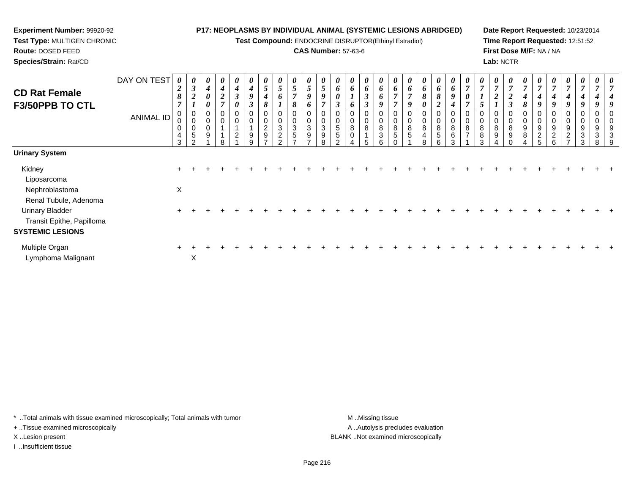**Test Compound:** ENDOCRINE DISRUPTOR(Ethinyl Estradiol)

# **CAS Number:** 57-63-6

**Date Report Requested:** 10/23/2014**Time Report Requested:** 12:51:52**First Dose M/F:** NA / NA**Lab:** NCTR

| <b>CD Rat Female</b><br><b>F3/50PPB TO CTL</b> | DAY ON TEST<br>ANIMAL ID | $\boldsymbol{\theta}$<br>$\overline{2}$<br>8<br>$\overline{7}$<br>0<br>0<br>0<br>$\overline{4}$ | $\boldsymbol{\theta}$<br>$\mathfrak{z}$<br>$\overline{2}$<br>$\pmb{0}$<br>$\pmb{0}$<br>$\pmb{0}$<br>5 | 0<br>4<br>$\boldsymbol{\theta}$<br>0<br>0<br>0<br>0<br>9 | 0<br>$\boldsymbol{4}$<br>$\boldsymbol{2}$<br>$\overline{ }$<br>$\mathbf 0$ | 0<br>$\boldsymbol{4}$<br>3<br>0<br>0<br>0<br>$\overline{A}$<br>$\overline{c}$ | 0<br>4<br>9<br>$\boldsymbol{\beta}$<br>0<br>0<br>9 | $\boldsymbol{\theta}$<br>5<br>4<br>8<br>0<br>$\overline{c}$<br>$\boldsymbol{9}$ | $\boldsymbol{\theta}$<br>$5\overline{)}$<br>6<br>0<br>$\mathbf 0$<br>$\mathbf{3}$<br>$\boldsymbol{2}$ | 0<br>$\sqrt{5}$<br>$\overline{7}$<br>8<br>$\mathbf 0$<br>3<br>5 | 0<br>5<br>9<br>6<br>$\pmb{0}$<br>$\pmb{0}$<br>$\sqrt{3}$<br>$\boldsymbol{9}$ | 0<br>5<br>9<br>0<br>3<br>9 | $\boldsymbol{\theta}$<br>6<br>$\boldsymbol{\theta}$<br>$\boldsymbol{\beta}$<br>0<br>5<br>5 | $\boldsymbol{\theta}$<br>6<br>6<br>0<br>0<br>8<br>0 | 0<br>6<br>$\mathfrak{z}$<br>3<br>8 | 0<br>6<br>6<br>9<br>0<br>$\mathbf 0$<br>8<br>$\ensuremath{\mathsf{3}}$ | 6<br>$\overline{ }$<br>8<br>5 | $\boldsymbol{\theta}$<br>6<br>$\overline{ }$<br>9<br>0<br>$\mathbf 0$<br>8<br>5 | $\boldsymbol{\theta}$<br>6<br>8<br>0<br>0<br>0<br>8<br>$\overline{4}$ | 0<br>6<br>8<br>$\boldsymbol{2}$<br>$\overline{0}$<br>8<br>5 | 0<br>6<br>9<br>$\boldsymbol{4}$<br>0<br>0<br>8<br>6 | $\theta$<br>$\overline{ }$<br>8<br>$\rightarrow$ | $\boldsymbol{\theta}$<br>$\mathcal{L}$<br>0<br>0<br>8<br>8 | $\boldsymbol{\theta}$<br>$\boldsymbol{2}$<br>0<br>0<br>8<br>9 | 0<br>$\overline{ }$<br>$\boldsymbol{2}$<br>3<br>8<br>9 | 0<br>$\overline{ }$<br>4<br>8<br>0<br>0<br>9<br>8 | 4<br>9<br>9<br>$\overline{c}$ | $\boldsymbol{\theta}$<br>4<br>9<br>0<br>0<br>9<br>$\boldsymbol{2}$ | 0<br>4<br>9<br>0<br>0<br>9<br>$\sqrt{2}$ | $\boldsymbol{\theta}$<br>4<br>9<br>$\overline{0}$<br>9<br>3 | 0<br>9<br>3 | 3 |
|------------------------------------------------|--------------------------|-------------------------------------------------------------------------------------------------|-------------------------------------------------------------------------------------------------------|----------------------------------------------------------|----------------------------------------------------------------------------|-------------------------------------------------------------------------------|----------------------------------------------------|---------------------------------------------------------------------------------|-------------------------------------------------------------------------------------------------------|-----------------------------------------------------------------|------------------------------------------------------------------------------|----------------------------|--------------------------------------------------------------------------------------------|-----------------------------------------------------|------------------------------------|------------------------------------------------------------------------|-------------------------------|---------------------------------------------------------------------------------|-----------------------------------------------------------------------|-------------------------------------------------------------|-----------------------------------------------------|--------------------------------------------------|------------------------------------------------------------|---------------------------------------------------------------|--------------------------------------------------------|---------------------------------------------------|-------------------------------|--------------------------------------------------------------------|------------------------------------------|-------------------------------------------------------------|-------------|---|
|                                                |                          | 3                                                                                               | າ                                                                                                     |                                                          | R                                                                          |                                                                               | 9                                                  | -                                                                               | <sup>o</sup>                                                                                          | $\overline{ }$                                                  | $\rightarrow$                                                                | 8                          |                                                                                            |                                                     | 5                                  | 6                                                                      |                               |                                                                                 | 8                                                                     | 6                                                           | 3                                                   |                                                  | 3                                                          |                                                               |                                                        |                                                   | 5                             | 6                                                                  | $\overline{ }$                           | 3                                                           | 8           | 9 |
| <b>Urinary System</b>                          |                          |                                                                                                 |                                                                                                       |                                                          |                                                                            |                                                                               |                                                    |                                                                                 |                                                                                                       |                                                                 |                                                                              |                            |                                                                                            |                                                     |                                    |                                                                        |                               |                                                                                 |                                                                       |                                                             |                                                     |                                                  |                                                            |                                                               |                                                        |                                                   |                               |                                                                    |                                          |                                                             |             |   |
| Kidney                                         |                          |                                                                                                 |                                                                                                       |                                                          |                                                                            |                                                                               |                                                    |                                                                                 |                                                                                                       |                                                                 |                                                                              |                            |                                                                                            |                                                     |                                    |                                                                        |                               |                                                                                 |                                                                       |                                                             |                                                     |                                                  |                                                            |                                                               |                                                        |                                                   |                               |                                                                    |                                          |                                                             |             |   |
| Liposarcoma                                    |                          |                                                                                                 |                                                                                                       |                                                          |                                                                            |                                                                               |                                                    |                                                                                 |                                                                                                       |                                                                 |                                                                              |                            |                                                                                            |                                                     |                                    |                                                                        |                               |                                                                                 |                                                                       |                                                             |                                                     |                                                  |                                                            |                                                               |                                                        |                                                   |                               |                                                                    |                                          |                                                             |             |   |
| Nephroblastoma                                 |                          | $\pmb{\times}$                                                                                  |                                                                                                       |                                                          |                                                                            |                                                                               |                                                    |                                                                                 |                                                                                                       |                                                                 |                                                                              |                            |                                                                                            |                                                     |                                    |                                                                        |                               |                                                                                 |                                                                       |                                                             |                                                     |                                                  |                                                            |                                                               |                                                        |                                                   |                               |                                                                    |                                          |                                                             |             |   |
| Renal Tubule, Adenoma                          |                          |                                                                                                 |                                                                                                       |                                                          |                                                                            |                                                                               |                                                    |                                                                                 |                                                                                                       |                                                                 |                                                                              |                            |                                                                                            |                                                     |                                    |                                                                        |                               |                                                                                 |                                                                       |                                                             |                                                     |                                                  |                                                            |                                                               |                                                        |                                                   |                               |                                                                    |                                          |                                                             |             |   |
| <b>Urinary Bladder</b>                         |                          |                                                                                                 |                                                                                                       |                                                          |                                                                            |                                                                               |                                                    |                                                                                 |                                                                                                       |                                                                 |                                                                              |                            |                                                                                            |                                                     |                                    |                                                                        |                               |                                                                                 |                                                                       |                                                             |                                                     |                                                  |                                                            |                                                               |                                                        |                                                   |                               |                                                                    |                                          |                                                             |             |   |
| Transit Epithe, Papilloma                      |                          |                                                                                                 |                                                                                                       |                                                          |                                                                            |                                                                               |                                                    |                                                                                 |                                                                                                       |                                                                 |                                                                              |                            |                                                                                            |                                                     |                                    |                                                                        |                               |                                                                                 |                                                                       |                                                             |                                                     |                                                  |                                                            |                                                               |                                                        |                                                   |                               |                                                                    |                                          |                                                             |             |   |
| <b>SYSTEMIC LESIONS</b>                        |                          |                                                                                                 |                                                                                                       |                                                          |                                                                            |                                                                               |                                                    |                                                                                 |                                                                                                       |                                                                 |                                                                              |                            |                                                                                            |                                                     |                                    |                                                                        |                               |                                                                                 |                                                                       |                                                             |                                                     |                                                  |                                                            |                                                               |                                                        |                                                   |                               |                                                                    |                                          |                                                             |             |   |
| Multiple Organ                                 |                          |                                                                                                 |                                                                                                       |                                                          |                                                                            |                                                                               |                                                    |                                                                                 |                                                                                                       |                                                                 |                                                                              |                            |                                                                                            |                                                     |                                    |                                                                        |                               |                                                                                 |                                                                       |                                                             |                                                     |                                                  |                                                            |                                                               |                                                        |                                                   |                               |                                                                    |                                          |                                                             |             |   |
| Lymphoma Malignant                             |                          |                                                                                                 | X                                                                                                     |                                                          |                                                                            |                                                                               |                                                    |                                                                                 |                                                                                                       |                                                                 |                                                                              |                            |                                                                                            |                                                     |                                    |                                                                        |                               |                                                                                 |                                                                       |                                                             |                                                     |                                                  |                                                            |                                                               |                                                        |                                                   |                               |                                                                    |                                          |                                                             |             |   |

\* ..Total animals with tissue examined microscopically; Total animals with tumor **M** . Missing tissue M ..Missing tissue

+ ..Tissue examined microscopically

**Experiment Number:** 99920-92**Test Type:** MULTIGEN CHRONIC

**Route:** DOSED FEED**Species/Strain:** Rat/CD

I ..Insufficient tissue

A ..Autolysis precludes evaluation X ..Lesion present BLANK ..Not examined microscopically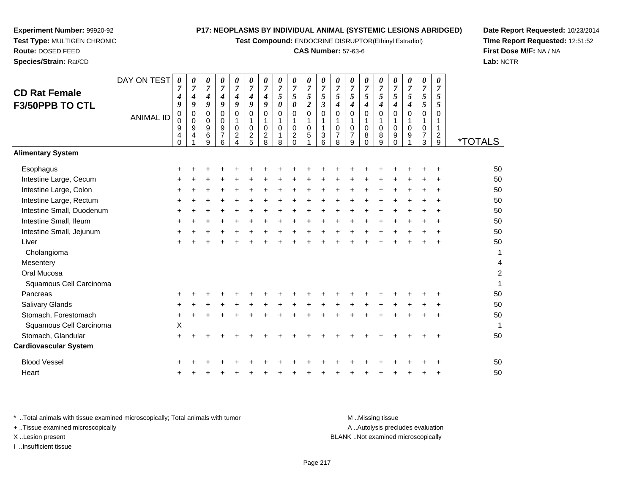**Test Compound:** ENDOCRINE DISRUPTOR(Ethinyl Estradiol)

### **CAS Number:** 57-63-6

**Date Report Requested:** 10/23/2014**Time Report Requested:** 12:51:52**First Dose M/F:** NA / NA**Lab:** NCTR

 $\overline{2}$ 

| <b>CD Rat Female</b><br>F3/50PPB TO CTL | DAY ON TEST      | 0<br>4<br>9                          | 0<br>$\overline{7}$<br>4<br>9 | 0<br>7<br>$\boldsymbol{4}$<br>9     | 0<br>$\overline{7}$<br>$\boldsymbol{4}$<br>9 | 0<br>$\overline{7}$<br>$\boldsymbol{4}$<br>9 | 0<br>7<br>4<br>9                                 | 0<br>$\overline{7}$<br>4<br>9                       | 0<br>$\overline{7}$<br>5<br>0          | 0<br>$\overline{7}$<br>5<br>$\pmb{\theta}$                               | 0<br>$\overline{7}$<br>5<br>$\boldsymbol{2}$ | 0<br>$\overline{7}$<br>5<br>$\boldsymbol{\beta}$ | 0<br>$\overline{7}$<br>5<br>4                       | 0<br>$\overline{7}$<br>5<br>4                    | 0<br>$\overline{7}$<br>$\mathfrak{s}$<br>$\boldsymbol{4}$ | 0<br>$\overline{7}$<br>5<br>$\boldsymbol{4}$ | 0<br>$\overline{7}$<br>5<br>4                 | 0<br>$\overline{7}$<br>5<br>4        | 0<br>$\overline{7}$<br>5<br>5                       | 0<br>$\overline{7}$<br>5<br>5   |                       |
|-----------------------------------------|------------------|--------------------------------------|-------------------------------|-------------------------------------|----------------------------------------------|----------------------------------------------|--------------------------------------------------|-----------------------------------------------------|----------------------------------------|--------------------------------------------------------------------------|----------------------------------------------|--------------------------------------------------|-----------------------------------------------------|--------------------------------------------------|-----------------------------------------------------------|----------------------------------------------|-----------------------------------------------|--------------------------------------|-----------------------------------------------------|---------------------------------|-----------------------|
|                                         | <b>ANIMAL ID</b> | $\pmb{0}$<br>0<br>9<br>4<br>$\Omega$ | $\mathbf 0$<br>0<br>9<br>4    | $\mathbf 0$<br>0<br>$9\,$<br>6<br>9 | $\Omega$<br>0<br>9<br>$\overline{7}$<br>6    | $\mathbf 0$<br>1<br>0<br>$\overline{c}$<br>4 | $\Omega$<br>1<br>$\Omega$<br>$\overline{c}$<br>5 | $\Omega$<br>1<br>$\mathbf 0$<br>$\overline{2}$<br>8 | $\Omega$<br>1<br>$\mathbf 0$<br>1<br>8 | $\mathbf 0$<br>$\mathbf{1}$<br>$\mathbf 0$<br>$\overline{c}$<br>$\Omega$ | $\mathbf 0$<br>1<br>$\mathbf 0$<br>5         | $\Omega$<br>1<br>3<br>6                          | $\Omega$<br>1<br>$\mathbf 0$<br>$\overline{7}$<br>8 | $\Omega$<br>1<br>$\Omega$<br>$\overline{7}$<br>9 | $\Omega$<br>$\mathbf{1}$<br>$\mathbf 0$<br>8<br>$\Omega$  | $\Omega$<br>1<br>$\mathbf 0$<br>8<br>9       | $\Omega$<br>1<br>$\mathbf 0$<br>9<br>$\Omega$ | $\mathbf 0$<br>1<br>$\mathbf 0$<br>9 | $\Omega$<br>1<br>$\mathbf 0$<br>$\overline{7}$<br>3 | $\Omega$<br>$\overline{2}$<br>9 | <i><b>*TOTALS</b></i> |
| <b>Alimentary System</b>                |                  |                                      |                               |                                     |                                              |                                              |                                                  |                                                     |                                        |                                                                          |                                              |                                                  |                                                     |                                                  |                                                           |                                              |                                               |                                      |                                                     |                                 |                       |
| Esophagus                               |                  | ٠                                    |                               |                                     |                                              |                                              |                                                  |                                                     |                                        |                                                                          |                                              |                                                  |                                                     |                                                  |                                                           |                                              |                                               |                                      |                                                     |                                 | 50                    |
| Intestine Large, Cecum                  |                  |                                      |                               |                                     |                                              |                                              |                                                  |                                                     |                                        |                                                                          |                                              |                                                  |                                                     |                                                  |                                                           |                                              |                                               |                                      |                                                     |                                 | 50                    |
| Intestine Large, Colon                  |                  | +                                    |                               |                                     |                                              |                                              |                                                  |                                                     |                                        |                                                                          |                                              |                                                  |                                                     |                                                  |                                                           |                                              |                                               |                                      |                                                     |                                 | 50                    |
| Intestine Large, Rectum                 |                  | +                                    |                               |                                     |                                              |                                              |                                                  |                                                     |                                        |                                                                          |                                              |                                                  |                                                     |                                                  |                                                           |                                              |                                               |                                      |                                                     |                                 | 50                    |
| Intestine Small, Duodenum               |                  | $\ddot{}$                            |                               |                                     |                                              |                                              |                                                  |                                                     |                                        |                                                                          |                                              |                                                  |                                                     |                                                  |                                                           |                                              |                                               |                                      |                                                     | ÷                               | 50                    |
| Intestine Small, Ileum                  |                  |                                      |                               |                                     |                                              |                                              |                                                  |                                                     |                                        |                                                                          |                                              |                                                  |                                                     |                                                  |                                                           |                                              |                                               |                                      |                                                     |                                 | 50                    |
| Intestine Small, Jejunum                |                  | +                                    |                               |                                     |                                              |                                              |                                                  |                                                     |                                        |                                                                          |                                              |                                                  |                                                     |                                                  |                                                           |                                              |                                               |                                      |                                                     |                                 | 50                    |
| Liver                                   |                  |                                      |                               |                                     |                                              |                                              |                                                  |                                                     |                                        |                                                                          |                                              |                                                  |                                                     |                                                  |                                                           |                                              |                                               |                                      |                                                     |                                 | 50                    |
| Cholangioma                             |                  |                                      |                               |                                     |                                              |                                              |                                                  |                                                     |                                        |                                                                          |                                              |                                                  |                                                     |                                                  |                                                           |                                              |                                               |                                      |                                                     |                                 | 1                     |
| Mesentery                               |                  |                                      |                               |                                     |                                              |                                              |                                                  |                                                     |                                        |                                                                          |                                              |                                                  |                                                     |                                                  |                                                           |                                              |                                               |                                      |                                                     |                                 | 4                     |
| Oral Mucosa                             |                  |                                      |                               |                                     |                                              |                                              |                                                  |                                                     |                                        |                                                                          |                                              |                                                  |                                                     |                                                  |                                                           |                                              |                                               |                                      |                                                     |                                 | $\overline{c}$        |
| Squamous Cell Carcinoma                 |                  |                                      |                               |                                     |                                              |                                              |                                                  |                                                     |                                        |                                                                          |                                              |                                                  |                                                     |                                                  |                                                           |                                              |                                               |                                      |                                                     |                                 | 1                     |
| Pancreas                                |                  |                                      |                               |                                     |                                              |                                              |                                                  |                                                     |                                        |                                                                          |                                              |                                                  |                                                     |                                                  |                                                           |                                              |                                               |                                      |                                                     |                                 | 50                    |
| Salivary Glands                         |                  | ٠                                    |                               |                                     |                                              |                                              |                                                  |                                                     |                                        |                                                                          |                                              |                                                  |                                                     |                                                  |                                                           |                                              |                                               |                                      |                                                     |                                 | 50                    |
| Stomach, Forestomach                    |                  | +                                    |                               |                                     |                                              |                                              |                                                  |                                                     |                                        |                                                                          |                                              |                                                  |                                                     |                                                  |                                                           |                                              |                                               |                                      |                                                     |                                 | 50                    |
| Squamous Cell Carcinoma                 |                  | X                                    |                               |                                     |                                              |                                              |                                                  |                                                     |                                        |                                                                          |                                              |                                                  |                                                     |                                                  |                                                           |                                              |                                               |                                      |                                                     |                                 | 1                     |
| Stomach, Glandular                      |                  |                                      |                               |                                     |                                              |                                              |                                                  |                                                     |                                        |                                                                          |                                              |                                                  |                                                     |                                                  |                                                           |                                              |                                               |                                      |                                                     |                                 | 50                    |
| <b>Cardiovascular System</b>            |                  |                                      |                               |                                     |                                              |                                              |                                                  |                                                     |                                        |                                                                          |                                              |                                                  |                                                     |                                                  |                                                           |                                              |                                               |                                      |                                                     |                                 |                       |
| <b>Blood Vessel</b>                     |                  |                                      |                               |                                     |                                              |                                              |                                                  |                                                     |                                        |                                                                          |                                              |                                                  |                                                     |                                                  |                                                           |                                              |                                               |                                      |                                                     |                                 | 50                    |
| Heart                                   |                  |                                      |                               |                                     |                                              |                                              |                                                  |                                                     |                                        |                                                                          |                                              |                                                  |                                                     |                                                  |                                                           |                                              |                                               |                                      |                                                     |                                 | 50                    |
|                                         |                  |                                      |                               |                                     |                                              |                                              |                                                  |                                                     |                                        |                                                                          |                                              |                                                  |                                                     |                                                  |                                                           |                                              |                                               |                                      |                                                     |                                 |                       |

**Experiment Number:** 99920-92**Test Type:** MULTIGEN CHRONIC

**Route:** DOSED FEED**Species/Strain:** Rat/CD

\* ..Total animals with tissue examined microscopically; Total animals with tumor A .. Autolysis precludes evaluation + ..Tissue examined microscopically X ..Lesion present BLANK ..Not examined microscopicallyI ..Insufficient tissue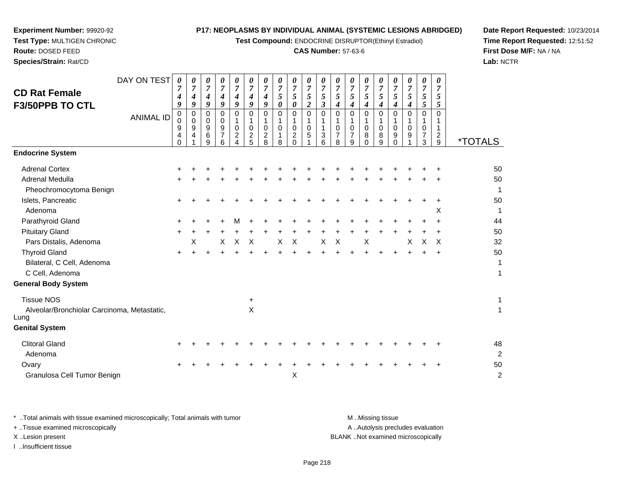**Test Compound:** ENDOCRINE DISRUPTOR(Ethinyl Estradiol)

# **CAS Number:** 57-63-6

**Date Report Requested:** 10/23/2014 **Time Report Requested:** 12:51:52**First Dose M/F:** NA / NA**Lab:** NCTR

| DAY ON TEST<br><b>CD Rat Female</b><br>F3/50PPB TO CTL                                              | 0<br>4<br>9                  | 0<br>$\overline{7}$<br>4<br>9 | 0<br>7<br>4<br>9                        | 0<br>$\overline{7}$<br>$\boldsymbol{4}$<br>9        | 0<br>$\boldsymbol{7}$<br>$\boldsymbol{4}$<br>9         | 0<br>$\overline{7}$<br>$\boldsymbol{4}$<br>9 | 0<br>$\overline{7}$<br>$\boldsymbol{4}$<br>$\boldsymbol{g}$ | 0<br>$\overline{7}$<br>5<br>0 | 0<br>$\overline{7}$<br>5<br>0                                  | 0<br>$\overline{7}$<br>5<br>$\overline{\mathbf{c}}$ | 0<br>$\overline{7}$<br>$\sqrt{5}$<br>$\boldsymbol{\beta}$ | 0<br>$\overline{7}$<br>5<br>$\boldsymbol{4}$     | 0<br>$\overline{7}$<br>5<br>4                | 0<br>7<br>5<br>4               | 0<br>$\overline{7}$<br>5<br>$\boldsymbol{4}$ | 0<br>$\overline{7}$<br>$\mathfrak{s}$<br>4 | 0<br>$\overline{7}$<br>5<br>4 | 0<br>$\overline{7}$<br>5<br>5   | 0<br>$\overline{7}$<br>5<br>$\mathfrak{F}$           |                       |
|-----------------------------------------------------------------------------------------------------|------------------------------|-------------------------------|-----------------------------------------|-----------------------------------------------------|--------------------------------------------------------|----------------------------------------------|-------------------------------------------------------------|-------------------------------|----------------------------------------------------------------|-----------------------------------------------------|-----------------------------------------------------------|--------------------------------------------------|----------------------------------------------|--------------------------------|----------------------------------------------|--------------------------------------------|-------------------------------|---------------------------------|------------------------------------------------------|-----------------------|
| <b>ANIMAL ID</b>                                                                                    | 0<br>0<br>9<br>4<br>$\Omega$ | 0<br>$\mathbf 0$<br>9<br>4    | $\Omega$<br>0<br>9<br>6<br>$\mathbf{Q}$ | $\Omega$<br>$\mathbf 0$<br>9<br>$\overline{7}$<br>6 | $\Omega$<br>$\mathbf 0$<br>$\overline{c}$<br>$\lambda$ | $\Omega$<br>$\Omega$<br>$\overline{c}$<br>5  | $\Omega$<br>-1<br>0<br>$\overline{c}$<br>8                  | $\Omega$<br>1<br>0<br>-1<br>8 | $\mathbf 0$<br>$\mathbf{1}$<br>0<br>$\overline{c}$<br>$\Omega$ | 0<br>$\mathbf{1}$<br>0<br>5                         | $\Omega$<br>1<br>$\mathbf{1}$<br>$\mathbf{3}$<br>6        | $\Omega$<br>1<br>$\Omega$<br>$\overline{7}$<br>8 | $\mathbf 0$<br>1<br>0<br>$\overline{7}$<br>9 | $\Omega$<br>0<br>8<br>$\Omega$ | $\mathbf 0$<br>1<br>0<br>8<br>$\mathbf{q}$   | $\Omega$<br>1<br>$\Omega$<br>9<br>$\Omega$ | $\Omega$<br>$\Omega$<br>9     | $\mathbf 0$<br>1<br>0<br>7<br>3 | $\Omega$<br>1<br>$\mathbf{1}$<br>$\overline{2}$<br>9 | <i><b>*TOTALS</b></i> |
| <b>Endocrine System</b>                                                                             |                              |                               |                                         |                                                     |                                                        |                                              |                                                             |                               |                                                                |                                                     |                                                           |                                                  |                                              |                                |                                              |                                            |                               |                                 |                                                      |                       |
| <b>Adrenal Cortex</b>                                                                               |                              |                               |                                         |                                                     |                                                        |                                              |                                                             |                               |                                                                |                                                     |                                                           |                                                  |                                              |                                |                                              |                                            |                               |                                 |                                                      | 50                    |
| <b>Adrenal Medulla</b><br>Pheochromocytoma Benign                                                   |                              |                               |                                         |                                                     |                                                        |                                              |                                                             |                               |                                                                |                                                     |                                                           |                                                  |                                              |                                |                                              |                                            |                               |                                 |                                                      | 50<br>$\mathbf{1}$    |
| Islets, Pancreatic<br>Adenoma                                                                       | +                            |                               |                                         |                                                     |                                                        |                                              |                                                             |                               |                                                                |                                                     |                                                           |                                                  |                                              |                                |                                              |                                            |                               |                                 | Χ                                                    | 50<br>1               |
| Parathyroid Gland                                                                                   | +                            |                               |                                         |                                                     |                                                        |                                              |                                                             |                               |                                                                |                                                     |                                                           |                                                  |                                              |                                |                                              |                                            |                               |                                 |                                                      | 44                    |
| <b>Pituitary Gland</b><br>Pars Distalis, Adenoma                                                    | $\ddot{}$                    | X                             |                                         | X                                                   | X                                                      | $\times$                                     |                                                             | X                             | $\times$                                                       |                                                     | $\boldsymbol{\mathsf{X}}$                                 | $\mathsf X$                                      |                                              | $\boldsymbol{\mathsf{X}}$      |                                              |                                            | X                             | X                               | $\boldsymbol{\mathsf{X}}$                            | 50<br>32              |
| <b>Thyroid Gland</b><br>Bilateral, C Cell, Adenoma<br>C Cell, Adenoma<br><b>General Body System</b> |                              |                               |                                         |                                                     |                                                        |                                              |                                                             |                               |                                                                |                                                     |                                                           |                                                  |                                              |                                |                                              |                                            |                               |                                 |                                                      | 50<br>1<br>1          |
|                                                                                                     |                              |                               |                                         |                                                     |                                                        |                                              |                                                             |                               |                                                                |                                                     |                                                           |                                                  |                                              |                                |                                              |                                            |                               |                                 |                                                      |                       |
| <b>Tissue NOS</b><br>Alveolar/Bronchiolar Carcinoma, Metastatic,<br>Lung                            |                              |                               |                                         |                                                     |                                                        | $\ddot{}$<br>$\boldsymbol{\mathsf{X}}$       |                                                             |                               |                                                                |                                                     |                                                           |                                                  |                                              |                                |                                              |                                            |                               |                                 |                                                      | 1<br>$\mathbf{1}$     |
| <b>Genital System</b>                                                                               |                              |                               |                                         |                                                     |                                                        |                                              |                                                             |                               |                                                                |                                                     |                                                           |                                                  |                                              |                                |                                              |                                            |                               |                                 |                                                      |                       |
| <b>Clitoral Gland</b><br>Adenoma                                                                    | +                            |                               |                                         |                                                     |                                                        |                                              |                                                             |                               |                                                                |                                                     |                                                           |                                                  |                                              |                                |                                              |                                            |                               |                                 |                                                      | 48<br>$\overline{c}$  |
| Ovary<br>Granulosa Cell Tumor Benign                                                                |                              |                               |                                         |                                                     |                                                        |                                              |                                                             |                               | X                                                              |                                                     |                                                           |                                                  |                                              |                                |                                              |                                            |                               |                                 |                                                      | 50<br>$\overline{2}$  |

**Experiment Number:** 99920-92**Test Type:** MULTIGEN CHRONIC

**Route:** DOSED FEED**Species/Strain:** Rat/CD

| Total animals with tissue examined microscopically; Total animals with tumor | M Missina tissue                   |
|------------------------------------------------------------------------------|------------------------------------|
| + Tissue examined microscopically                                            | A Autolysis precludes evaluation   |
| X Lesion present                                                             | BLANK Not examined microscopically |
| …Insufficient tissue                                                         |                                    |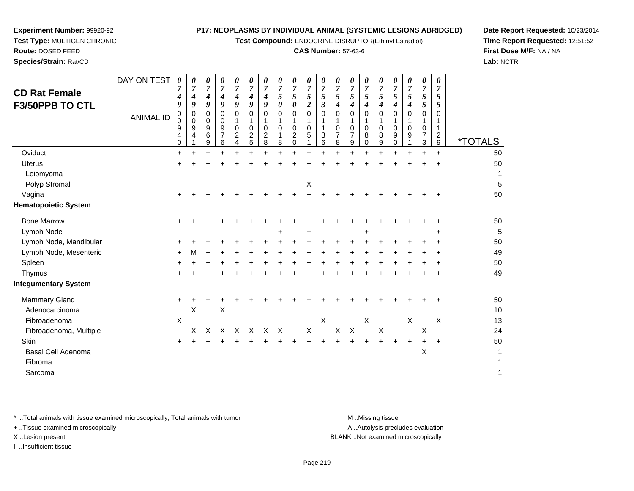**Test Compound:** ENDOCRINE DISRUPTOR(Ethinyl Estradiol)

#### **CAS Number:** 57-63-6

<sup>+</sup> <sup>+</sup> <sup>+</sup> <sup>+</sup> <sup>+</sup> <sup>+</sup> <sup>+</sup> <sup>+</sup> <sup>+</sup> <sup>+</sup> <sup>+</sup> <sup>+</sup> <sup>+</sup> <sup>+</sup> <sup>+</sup> <sup>+</sup> <sup>+</sup> <sup>+</sup> <sup>50</sup>

 $X$   $X$   $X$   $X$   $X$  13

<sup>+</sup> <sup>+</sup> <sup>+</sup> <sup>+</sup> <sup>+</sup> <sup>+</sup> <sup>+</sup> <sup>+</sup> <sup>+</sup> <sup>+</sup> <sup>+</sup> <sup>+</sup> <sup>+</sup> <sup>+</sup> <sup>+</sup> <sup>+</sup> <sup>+</sup> <sup>+</sup> <sup>50</sup>

X X X X X X X X X X X X 24

9 \*TOTALS

 $\boldsymbol{X}$  1

50

**Date Report Requested:** 10/23/2014**Time Report Requested:** 12:51:52**First Dose M/F:** NA / NA**Lab:** NCTR

| <b>Uterus</b>               | $\ddot{}$ |   |        |        |           |        |       |           |           |       |       |    |           |       |           |     |        |        | 50 |
|-----------------------------|-----------|---|--------|--------|-----------|--------|-------|-----------|-----------|-------|-------|----|-----------|-------|-----------|-----|--------|--------|----|
| Leiomyoma                   |           |   |        |        |           |        |       |           |           |       |       |    |           |       |           |     |        |        | 1  |
| Polyp Stromal               |           |   |        |        |           |        |       |           | X         |       |       |    |           |       |           |     |        |        | 5  |
| Vagina                      | $\pm$     |   |        |        |           |        |       |           |           |       |       |    |           |       |           |     | $\div$ | $\div$ | 50 |
| <b>Hematopoietic System</b> |           |   |        |        |           |        |       |           |           |       |       |    |           |       |           |     |        |        |    |
| <b>Bone Marrow</b>          | $\ddot{}$ |   |        |        |           |        |       |           |           |       |       |    |           |       |           |     |        |        | 50 |
| Lymph Node                  |           |   |        |        |           |        | $+$   |           | $\ddot{}$ |       |       |    | $\ddot{}$ |       |           |     |        | $\pm$  | 5  |
| Lymph Node, Mandibular      | $\ddot{}$ |   |        |        |           |        |       |           |           |       |       |    |           |       |           |     |        |        | 50 |
| Lymph Node, Mesenteric      | $\ddot{}$ | M |        |        |           |        |       |           |           |       | $\pm$ | ÷. | $\pm$     |       |           |     | ÷.     | $\pm$  | 49 |
| Spleen                      | $\pm$     |   | ÷      | $\div$ | $+$       | $\pm$  | $\pm$ | $\pm$     | ÷         | $\pm$ | $\pm$ | +  | $\pm$     | $\pm$ |           |     | $\pm$  | $\pm$  | 50 |
| Thymus                      | $\ddot{}$ |   | $\div$ | $+$    | $\ddot{}$ | $\div$ | $\pm$ | $\ddot{}$ | $\ddot{}$ | +     | $\pm$ | ÷. | $+$       | $+$   | $\ddot{}$ | $+$ | $\pm$  | $\pm$  | 49 |
| <b>Integumentary System</b> |           |   |        |        |           |        |       |           |           |       |       |    |           |       |           |     |        |        |    |
| Mammary Gland               | $\ddot{}$ |   |        |        |           |        |       |           |           |       |       |    |           |       |           |     |        | $\div$ | 50 |
| Adenocarcinoma              |           | X | X      |        |           |        |       |           |           |       |       |    |           |       |           |     |        |        | 10 |
|                             |           |   |        |        |           |        |       |           |           |       |       |    |           |       |           |     |        |        |    |

DAY ON TEST

 $\alpha$ 

 $\overline{a}$ 

 $a$ 

0 2 4

ANIMAL ID

 $\mathfrak{t}$  +

\* ..Total animals with tissue examined microscopically; Total animals with tumor **M** ..Missing tissue M ..Missing tissue

a  $\lambda$ 

n  $+$ 

e X

+ ..Tissue examined microscopically

**Experiment Number:** 99920-92**Test Type:** MULTIGEN CHRONIC

**Route:** DOSED FEED**Species/Strain:** Rat/CD

**CD Rat FemaleF3/50PPB TO CTL**

**Oviduct** 

Uterus

**Skin** 

Fibroma

Sarcoma

Fibroadenoma

Fibroadenoma, Multiple

Basal Cell Adenoma

I ..Insufficient tissue

A ..Autolysis precludes evaluation

X ..Lesion present BLANK ..Not examined microscopically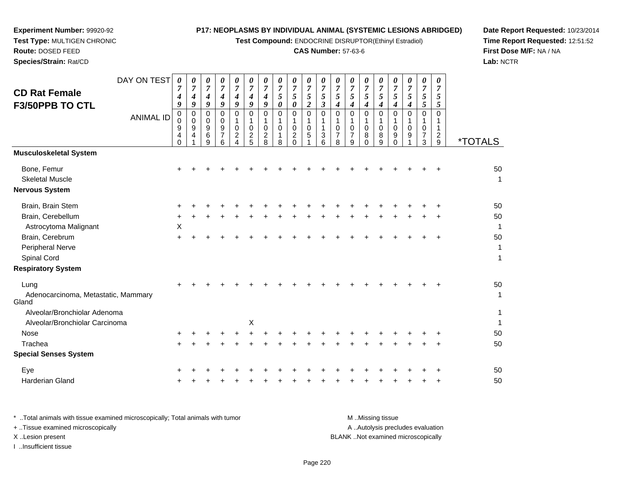**Test Compound:** ENDOCRINE DISRUPTOR(Ethinyl Estradiol)

# **CAS Number:** 57-63-6

**Date Report Requested:** 10/23/2014 **Time Report Requested:** 12:51:52**First Dose M/F:** NA / NA**Lab:** NCTR

| DAY ON TEST<br><b>CD Rat Female</b><br>F3/50PPB TO CTL<br><b>ANIMAL ID</b> | $\boldsymbol{\theta}$<br>7<br>4<br>9<br>$\mathbf 0$<br>$\mathbf 0$<br>9<br>4<br>$\Omega$ | 0<br>$\overline{7}$<br>$\boldsymbol{4}$<br>9<br>$\mathbf 0$<br>$\mathbf 0$<br>9<br>4 | 0<br>$\overline{7}$<br>4<br>9<br>0<br>0<br>9<br>6<br>9 | 0<br>$\boldsymbol{7}$<br>$\boldsymbol{4}$<br>9<br>$\mathbf 0$<br>$\mathbf 0$<br>9<br>$\overline{7}$<br>6 | $\frac{\boldsymbol{\theta}}{\boldsymbol{7}}$<br>$\boldsymbol{4}$<br>9<br>0<br>1<br>$\pmb{0}$<br>$\overline{c}$<br>4 | $\pmb{\theta}$<br>$\overline{7}$<br>$\boldsymbol{4}$<br>9<br>0<br>1<br>$\mathbf 0$<br>$\boldsymbol{2}$<br>5 | 0<br>$\overline{7}$<br>4<br>9<br>0<br>0<br>$\overline{c}$<br>8 | $\boldsymbol{\theta}$<br>$\overline{7}$<br>$\sqrt{5}$<br>$\pmb{\theta}$<br>$\mathbf 0$<br>1<br>$\pmb{0}$<br>$\mathbf{1}$<br>8 | 0<br>$\overline{7}$<br>$\mathfrak{s}$<br>$\boldsymbol{\theta}$<br>$\mathbf 0$<br>1<br>$\mathbf 0$<br>$\overline{c}$<br>$\Omega$ | 0<br>$\overline{7}$<br>5<br>$\overline{c}$<br>$\overline{0}$<br>$\pmb{0}$<br>5 | 0<br>$\overline{7}$<br>$\sqrt{5}$<br>$\overline{\mathbf{3}}$<br>0<br>1<br>$\mathbf{1}$<br>$\ensuremath{\mathsf{3}}$<br>6 | 0<br>$\overline{7}$<br>5<br>$\boldsymbol{4}$<br>$\pmb{0}$<br>1<br>$\pmb{0}$<br>$\overline{7}$<br>8 | 0<br>$\overline{7}$<br>$\sqrt{5}$<br>$\boldsymbol{4}$<br>$\mathbf 0$<br>1<br>$\mathbf 0$<br>$\overline{7}$<br>9 | 0<br>$\overline{7}$<br>5<br>4<br>$\mathbf 0$<br>1<br>$\mathbf 0$<br>8<br>$\Omega$ | 0<br>$\overline{7}$<br>5<br>4<br>0<br>1<br>$\mathbf 0$<br>8<br>9 | 0<br>$\overline{7}$<br>5<br>$\boldsymbol{4}$<br>0<br>1<br>$\mathbf 0$<br>9<br>$\Omega$ | 0<br>$\overline{7}$<br>5<br>$\boldsymbol{4}$<br>$\Omega$<br>0<br>9 | 0<br>$\overline{7}$<br>5<br>5<br>$\mathbf 0$<br>1<br>0<br>7<br>3 | $\boldsymbol{\theta}$<br>$\overline{7}$<br>5<br>5<br>$\mathbf 0$<br>1<br>1<br>$\frac{2}{9}$ | <i><b>*TOTALS</b></i> |
|----------------------------------------------------------------------------|------------------------------------------------------------------------------------------|--------------------------------------------------------------------------------------|--------------------------------------------------------|----------------------------------------------------------------------------------------------------------|---------------------------------------------------------------------------------------------------------------------|-------------------------------------------------------------------------------------------------------------|----------------------------------------------------------------|-------------------------------------------------------------------------------------------------------------------------------|---------------------------------------------------------------------------------------------------------------------------------|--------------------------------------------------------------------------------|--------------------------------------------------------------------------------------------------------------------------|----------------------------------------------------------------------------------------------------|-----------------------------------------------------------------------------------------------------------------|-----------------------------------------------------------------------------------|------------------------------------------------------------------|----------------------------------------------------------------------------------------|--------------------------------------------------------------------|------------------------------------------------------------------|---------------------------------------------------------------------------------------------|-----------------------|
| <b>Musculoskeletal System</b>                                              |                                                                                          |                                                                                      |                                                        |                                                                                                          |                                                                                                                     |                                                                                                             |                                                                |                                                                                                                               |                                                                                                                                 |                                                                                |                                                                                                                          |                                                                                                    |                                                                                                                 |                                                                                   |                                                                  |                                                                                        |                                                                    |                                                                  |                                                                                             |                       |
| Bone, Femur<br><b>Skeletal Muscle</b><br><b>Nervous System</b>             |                                                                                          |                                                                                      |                                                        |                                                                                                          |                                                                                                                     |                                                                                                             |                                                                |                                                                                                                               |                                                                                                                                 |                                                                                |                                                                                                                          |                                                                                                    |                                                                                                                 |                                                                                   |                                                                  |                                                                                        |                                                                    |                                                                  |                                                                                             | 50<br>1               |
| Brain, Brain Stem                                                          |                                                                                          |                                                                                      |                                                        |                                                                                                          |                                                                                                                     |                                                                                                             |                                                                |                                                                                                                               |                                                                                                                                 |                                                                                |                                                                                                                          |                                                                                                    |                                                                                                                 |                                                                                   |                                                                  |                                                                                        |                                                                    |                                                                  |                                                                                             | 50                    |
| Brain, Cerebellum<br>Astrocytoma Malignant                                 | X                                                                                        |                                                                                      |                                                        |                                                                                                          |                                                                                                                     |                                                                                                             |                                                                |                                                                                                                               |                                                                                                                                 |                                                                                |                                                                                                                          |                                                                                                    |                                                                                                                 |                                                                                   |                                                                  |                                                                                        |                                                                    |                                                                  |                                                                                             | 50<br>-1              |
| Brain, Cerebrum<br>Peripheral Nerve<br>Spinal Cord                         | $+$                                                                                      |                                                                                      |                                                        |                                                                                                          |                                                                                                                     |                                                                                                             |                                                                |                                                                                                                               |                                                                                                                                 |                                                                                |                                                                                                                          |                                                                                                    |                                                                                                                 |                                                                                   |                                                                  |                                                                                        |                                                                    |                                                                  |                                                                                             | 50<br>1<br>1          |
| <b>Respiratory System</b>                                                  |                                                                                          |                                                                                      |                                                        |                                                                                                          |                                                                                                                     |                                                                                                             |                                                                |                                                                                                                               |                                                                                                                                 |                                                                                |                                                                                                                          |                                                                                                    |                                                                                                                 |                                                                                   |                                                                  |                                                                                        |                                                                    |                                                                  |                                                                                             |                       |
| Lung<br>Adenocarcinoma, Metastatic, Mammary<br>Gland                       |                                                                                          |                                                                                      |                                                        |                                                                                                          |                                                                                                                     |                                                                                                             |                                                                |                                                                                                                               |                                                                                                                                 |                                                                                |                                                                                                                          |                                                                                                    |                                                                                                                 |                                                                                   |                                                                  |                                                                                        |                                                                    |                                                                  |                                                                                             | 50<br>1               |
| Alveolar/Bronchiolar Adenoma<br>Alveolar/Bronchiolar Carcinoma             |                                                                                          |                                                                                      |                                                        |                                                                                                          |                                                                                                                     | Χ                                                                                                           |                                                                |                                                                                                                               |                                                                                                                                 |                                                                                |                                                                                                                          |                                                                                                    |                                                                                                                 |                                                                                   |                                                                  |                                                                                        |                                                                    |                                                                  |                                                                                             | 1<br>1                |
| <b>Nose</b>                                                                |                                                                                          |                                                                                      |                                                        |                                                                                                          |                                                                                                                     |                                                                                                             |                                                                |                                                                                                                               |                                                                                                                                 |                                                                                |                                                                                                                          |                                                                                                    |                                                                                                                 |                                                                                   |                                                                  |                                                                                        |                                                                    |                                                                  |                                                                                             | 50                    |
| Trachea                                                                    |                                                                                          |                                                                                      |                                                        |                                                                                                          |                                                                                                                     |                                                                                                             |                                                                |                                                                                                                               |                                                                                                                                 |                                                                                |                                                                                                                          |                                                                                                    |                                                                                                                 |                                                                                   |                                                                  |                                                                                        |                                                                    |                                                                  |                                                                                             | 50                    |
| <b>Special Senses System</b>                                               |                                                                                          |                                                                                      |                                                        |                                                                                                          |                                                                                                                     |                                                                                                             |                                                                |                                                                                                                               |                                                                                                                                 |                                                                                |                                                                                                                          |                                                                                                    |                                                                                                                 |                                                                                   |                                                                  |                                                                                        |                                                                    |                                                                  |                                                                                             |                       |
| Eye                                                                        |                                                                                          |                                                                                      |                                                        |                                                                                                          |                                                                                                                     |                                                                                                             |                                                                |                                                                                                                               |                                                                                                                                 |                                                                                |                                                                                                                          |                                                                                                    |                                                                                                                 |                                                                                   |                                                                  |                                                                                        |                                                                    |                                                                  |                                                                                             | 50                    |
| <b>Harderian Gland</b>                                                     |                                                                                          |                                                                                      |                                                        |                                                                                                          |                                                                                                                     |                                                                                                             |                                                                |                                                                                                                               |                                                                                                                                 |                                                                                |                                                                                                                          |                                                                                                    |                                                                                                                 |                                                                                   |                                                                  |                                                                                        |                                                                    |                                                                  |                                                                                             | 50                    |

**Experiment Number:** 99920-92**Test Type:** MULTIGEN CHRONIC

**Route:** DOSED FEED**Species/Strain:** Rat/CD

| * Total animals with tissue examined microscopically; Total animals with tumor | M Missing tissue                   |
|--------------------------------------------------------------------------------|------------------------------------|
| + Tissue examined microscopically                                              | A Autolysis precludes evaluation   |
| X Lesion present                                                               | BLANK Not examined microscopically |
| Insufficient tissue                                                            |                                    |